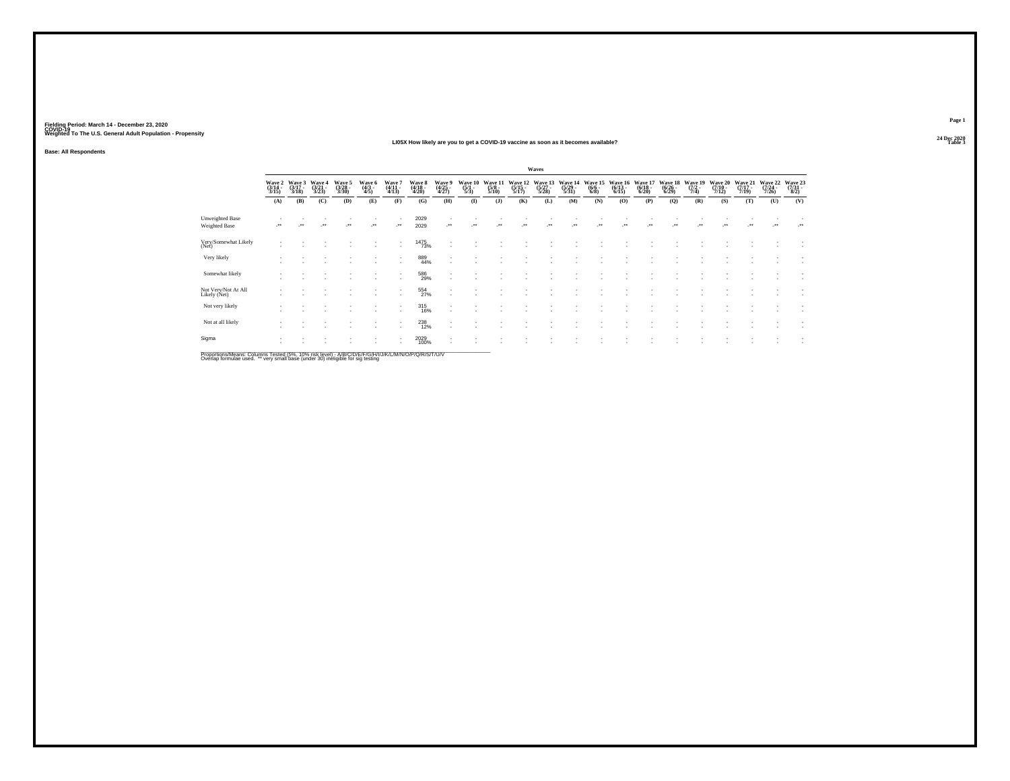### **24 Dec 2020LI05X How likely are you to get a COVID-19 vaccine as soon as it becomes available?Table 3**

**Base: All Respondents**

|                                                          |                            |                                              |                          |                            |                          |                                    |                                                               |                                    |                                      |                          |                             | Waves                       |                             |                                  |                             |                             |                             |                           |                                    |                             |                             |                                   |
|----------------------------------------------------------|----------------------------|----------------------------------------------|--------------------------|----------------------------|--------------------------|------------------------------------|---------------------------------------------------------------|------------------------------------|--------------------------------------|--------------------------|-----------------------------|-----------------------------|-----------------------------|----------------------------------|-----------------------------|-----------------------------|-----------------------------|---------------------------|------------------------------------|-----------------------------|-----------------------------|-----------------------------------|
|                                                          | Wave 2<br>(3/14 -<br>3/15) | $\frac{\text{Wave}}{\frac{3}{17}}$ .<br>3/18 | Wave 4<br>(3/21<br>3/23) | Wave 5<br>(3/28 -<br>3/30) | Wave 6<br>(4/3 -<br>4/5) | Wave 7<br>(4/11 -<br>4/13)         | Wave 8<br>(4/18 -<br>4/20)                                    | Wave 9<br>(4/25 -<br>4/27)         | Wave 10<br>$\frac{(5/1 - 1)}{(5/3)}$ | Wave 1:<br>(5/8<br>5/10) | Wave 12<br>(5/15 -<br>5/17) | Wave 13<br>(5/27 -<br>5/28) | Wave 14<br>(5/29 -<br>5/31) | Wave 15<br>$\frac{(6/6)}{(6/8)}$ | Wave 16<br>(6/13 -<br>6/15) | Wave 17<br>(6/18 -<br>6/20) | Wave 18<br>(6/26 -<br>6/29) | Wave 19<br>(7/2 -<br>7/4) | Wave 20<br>$\frac{(7/10-7)}{7/12}$ | Wave 21<br>(7/17 -<br>7/19) | Wave 22<br>(7/24 -<br>7/26) | Wave 23<br>$\frac{(7/31)}{(8/2)}$ |
|                                                          | (A)                        | (B)                                          | (C)                      | (D)                        | (E)                      | (F)                                | (G)                                                           | (H)                                | $($ $\Gamma$                         | $($ J $)$                | (K)                         | (L)                         | (M)                         | (N)                              | (0)                         | (P)                         | (Q)                         | (R)                       | (S)                                | (T)                         | (U)                         | (V)                               |
| Unweighted Base<br>Weighted Base                         | $^{\tiny{+}}$              |                                              |                          |                            |                          | $\cdot$                            | 2029<br>2029                                                  |                                    |                                      |                          |                             |                             |                             |                                  |                             |                             |                             |                           |                                    |                             | $\ddot{\phantom{1}}$        |                                   |
| Very/Somewhat Likely<br>(Net)                            |                            |                                              |                          |                            |                          | $\sim$                             | <sup>1475</sup> 73%                                           | $\overline{\phantom{a}}$           |                                      |                          |                             |                             |                             |                                  |                             |                             |                             |                           |                                    |                             |                             | $\overline{\phantom{a}}$          |
| Very likely                                              |                            |                                              |                          |                            |                          | ٠<br>$\overline{\phantom{a}}$      | 889<br>44%                                                    | $\sim$                             |                                      |                          |                             |                             |                             |                                  |                             |                             |                             |                           |                                    |                             |                             |                                   |
| Somewhat likely                                          |                            |                                              |                          |                            |                          | $\sim$<br>$\overline{\phantom{a}}$ | 586<br>29%                                                    | $\sim$<br>$\overline{\phantom{a}}$ |                                      |                          |                             |                             |                             |                                  |                             |                             |                             |                           |                                    |                             |                             |                                   |
| Not Very/Not At All<br>Likely (Net)                      |                            |                                              |                          |                            |                          | ٠<br>$\sim$                        | 554<br>27%                                                    | $\sim$<br>и.                       |                                      |                          |                             |                             |                             |                                  |                             |                             |                             |                           |                                    |                             |                             | $\;$<br>$\overline{\phantom{a}}$  |
| Not very likely                                          |                            |                                              |                          |                            |                          | ٠                                  | 315<br>16%                                                    |                                    |                                      |                          |                             |                             |                             |                                  |                             |                             |                             |                           |                                    |                             |                             |                                   |
| Not at all likely                                        |                            |                                              |                          |                            |                          | $\sim$<br>$\overline{\phantom{a}}$ | 238<br>12%                                                    | $\sim$<br>и.                       |                                      |                          |                             |                             |                             |                                  |                             |                             |                             |                           |                                    |                             |                             |                                   |
| Sigma                                                    |                            |                                              |                          |                            |                          | ٠<br>$\sim$                        | 2029<br>100%                                                  |                                    |                                      |                          |                             |                             |                             |                                  |                             |                             |                             |                           |                                    |                             |                             | $\overline{\phantom{a}}$          |
| Deep sites a Magazin Calvesa Castral (FA) AAAC dal Jacob |                            |                                              |                          |                            |                          |                                    | A ID ID ID ID ID ID I THE LIVE IS AN U.C. ID ID ID ID ID ID I |                                    |                                      |                          |                             |                             |                             |                                  |                             |                             |                             |                           |                                    |                             |                             |                                   |

Proportions/Means: Columns Tested (5%, 10% risk level) - A/B/C/D/E/F/G/H/I/J/K/L/M/N/O/P/Q/R/S/T/U/V<br>Overlap formulae used. \*\* very small base (under 30) ineligible for sig testing

**Page 1**24 Dec 2020<br>Table 3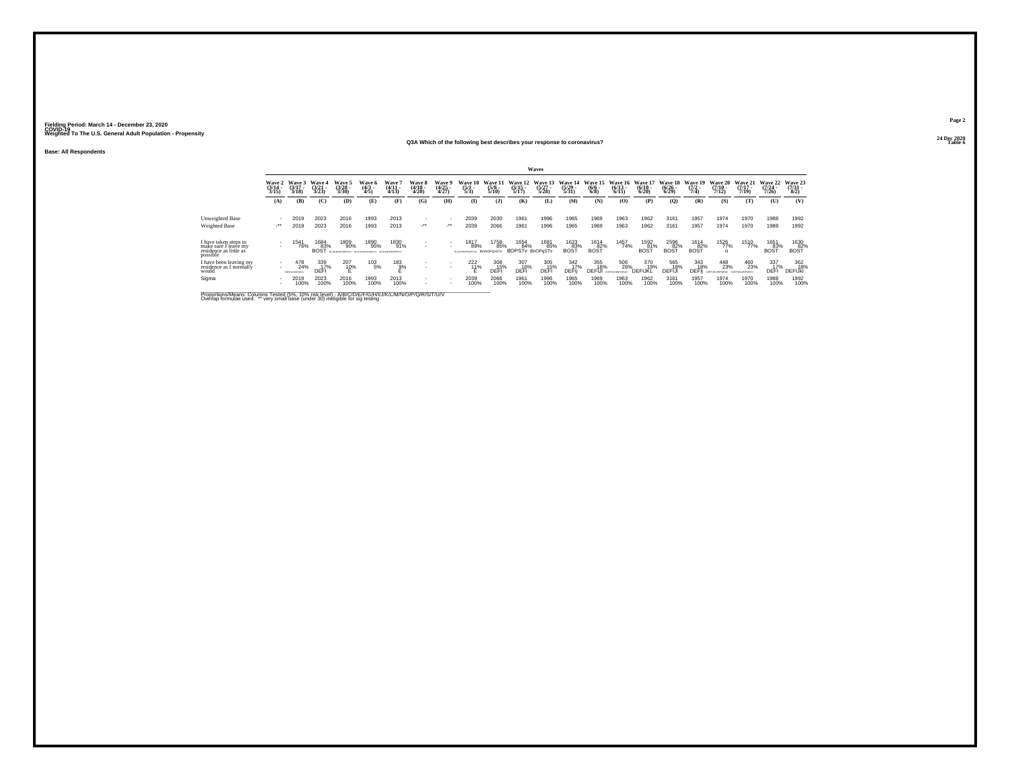### **Base: All Respondents**

### **24 Dec 2020Q3A Which of the following best describes your response to coronavirus?Table 6**

|                                                                                     |                            |                             |                                 |                               |                                         |                                            |                                     |                          |                                      |                                 |                                             | Waves                            |                                  |                                       |                       |                                         |                                  |                                       |                                         |                                  |                                         |                                 |
|-------------------------------------------------------------------------------------|----------------------------|-----------------------------|---------------------------------|-------------------------------|-----------------------------------------|--------------------------------------------|-------------------------------------|--------------------------|--------------------------------------|---------------------------------|---------------------------------------------|----------------------------------|----------------------------------|---------------------------------------|-----------------------|-----------------------------------------|----------------------------------|---------------------------------------|-----------------------------------------|----------------------------------|-----------------------------------------|---------------------------------|
|                                                                                     | Wave 2<br>(3/14 -<br>3/15) | Wave 3<br>(3/17)<br>3/18    | Wave 4<br>$\frac{(3/21)}{3/23}$ | Wave 5<br>$\frac{3728}{3/30}$ | <b>Wave 6</b><br>$\frac{(4/3)}{4/5}$    | Wave <sup>'</sup><br>$\frac{(4/11)}{4/13}$ | <b>Wave 8</b><br>(4/18 -<br>4/20)   | Wave 9<br>(4/25<br>4/27) | Wave 10<br>$\frac{(5/1)}{5/3}$       | Wave 11<br>$\frac{(5/8)}{5/10}$ | Wave 12<br>$\frac{(5/15)}{5/17}$            | Wave 13<br>$\frac{(5/27)}{5/28}$ | Wave 14<br>$\frac{(5/29)}{5/31}$ | Wave 15 Wave 16<br>$\binom{6/6}{6/8}$ | $\frac{(6/13)}{6/15}$ | <b>Wave 17</b><br>$\frac{(6/18)}{6/20}$ | Wave 18<br>$\frac{(6/26)}{6/29}$ | <b>Wave 19</b><br>$\frac{(7/2)}{7/4}$ | <b>Wave 20</b><br>$\frac{(7/10)}{7/12}$ | Wave 21<br>$\frac{(7/17)}{7/19}$ | <b>Wave 22</b><br>$\frac{(7/24)}{7/26}$ | Wave 23<br>$\frac{(7/31)}{8/2}$ |
|                                                                                     | (A)                        | (B)                         | (C)                             | (D)                           | (E)                                     | (F)                                        | (G)                                 | (H)                      | $\bf{I}$                             | $($ $)$                         | (K)                                         | (L)                              | (M)                              | (N)                                   | (O)                   | (P)                                     | $\mathbf{Q}$                     | (R)                                   | (S)                                     | (T)                              | (U)                                     | (V)                             |
| Unweighted Base<br>Weighted Base                                                    | $\cdot$                    | 2019<br>2019                | 2023<br>2023                    | 2016<br>2016                  | 1993<br>1993                            | 2013<br>2013                               | $\overline{\phantom{a}}$<br>$\cdot$ | $\cdot$                  | 2039<br>2039                         | 2030<br>2066                    | 1961<br>1961                                | 1996<br>1996                     | 1965<br>1965                     | 1969<br>1969                          | 1963<br>1963          | 1962<br>1962                            | 3161<br>3161                     | 1957<br>1957                          | 1974<br>1974                            | 1970<br>1970                     | 1988<br>1988                            | 1992<br>1992                    |
| I have taken steps to<br>make sure I leave my<br>residence as little as<br>possible |                            | 541<br>76%                  | 1684<br>83%<br><b>BOST</b>      | 1809<br>90%<br>BCJAMMOPORSTLV | 1890<br>95%<br><b>BCDFUKLINGPORTFUV</b> | 1830<br>91%<br>BCJAMMOPORSTU               |                                     | ٠                        | 1817<br>89%<br><b>ECALIMOFORETIV</b> | 1758<br>85%<br>BmNOPQrSTV       | 1654 1691<br>85% 84% 85%<br>BOPSTv BnOPgSTv | 1691<br>85%                      | 1623<br>83%<br><b>BOST</b>       | $\underset{\text{BOST}}{^{1614}}$     | 1457<br>74%           | 1592<br>81%<br>BOS <sup>-</sup>         | 2596<br>82%<br>BOS <sup>T</sup>  | $\underset{\text{BOST}}{^{1614}}$     | $\frac{1526}{77\%}$                     | 1510<br>77%                      | 1651<br>83%                             | 1630<br>82%<br>BOST             |
| I have been leaving my<br>residence as I normally<br>would                          | $\sim$                     | 478<br>24%<br>CONFUSIAMMONS | 339<br>17%<br>DEF               | 207<br>10%                    | $^{103}_{-5\%}$                         | $^{183}_{9%}$                              |                                     | ٠                        | $^{222}_{11\%}$                      | 308<br>15%<br>DEFI              | 307<br>16%<br>DEFI                          | 305<br>15%<br>DEFI               | 342<br>17%<br>DEFII              | 355<br>18%<br>DEFIJ                   | 506<br>26%            | 370<br>19%<br>DEFIJKL                   | 565<br>18%<br>DEFIJ              | 343<br>18%<br>DEFIi                   | 448<br>23%<br>COEFUIAMIPORIA            | 460<br>23%                       | 337<br>17%<br>DEFI                      | 362<br>18%<br>DEFIJKI           |
| Sigma                                                                               |                            | 2019<br>100%                | 2023<br>100%                    | 2016<br>100%                  | 1993<br>100%                            | 2013<br>100%                               | ٠                                   |                          | 2039<br>100%                         | 2066<br>100%                    | 1961<br>100%                                | 1996<br>100%                     | 1965<br>100%                     | 1969<br>100%                          | 1963<br>100%          | 1962<br>100%                            | 3161<br>100%                     | 1957<br>100%                          | 1974<br>100%                            | 1970<br>100%                     | 1988<br>100%                            | 1992<br>100%                    |

Proportions/Means: Columns Tested (5%, 10% risk level) - A/B/C/D/E/F/G/H/I/J/K/L/M/N/O/P/Q/R/S/T/U/V<br>Overlap formulae used. \*\* very small base (under 30) ineligible for sig testing

**Page 224 Dec 2020<br>Table 6**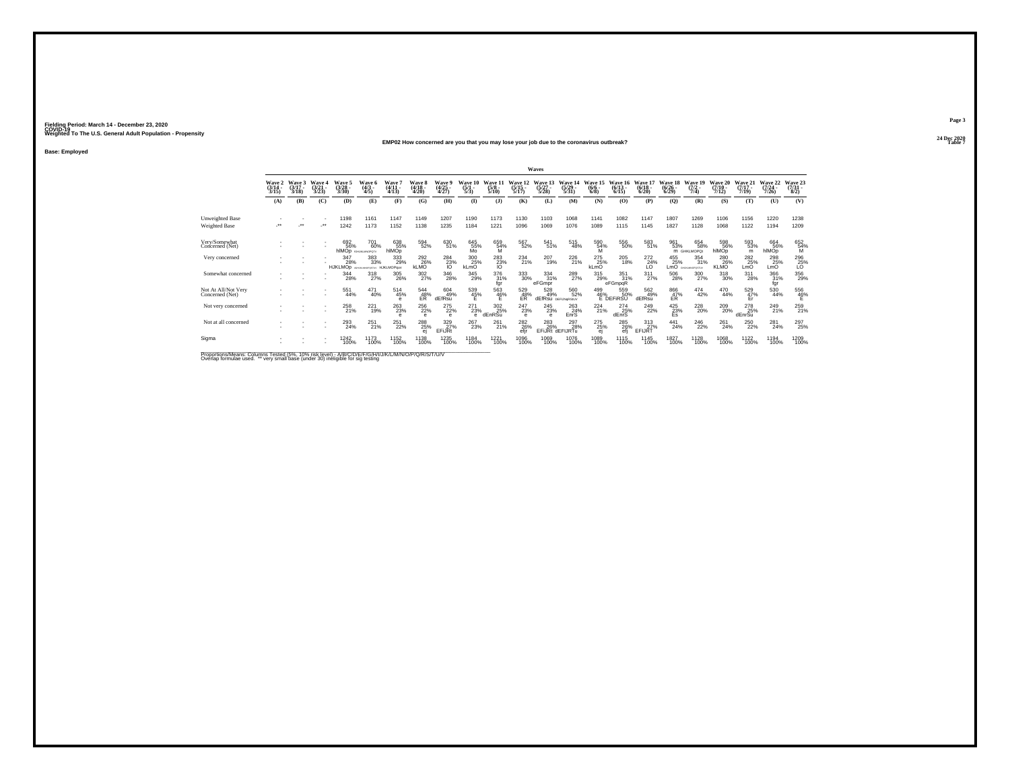### **24 Dec 2020EMP02 How concerned are you that you may lose your job due to the coronavirus outbreak?Table 7**

**Base: Employed**

|                                                                                                    |                          |                             |                           |                                  |                           |                             |                             |                                 |                                |                                                                              |                                        | Waves                            |                                  |                                |                                             |                               |                                        |                                |                                 |                               |                              |                                                  |
|----------------------------------------------------------------------------------------------------|--------------------------|-----------------------------|---------------------------|----------------------------------|---------------------------|-----------------------------|-----------------------------|---------------------------------|--------------------------------|------------------------------------------------------------------------------|----------------------------------------|----------------------------------|----------------------------------|--------------------------------|---------------------------------------------|-------------------------------|----------------------------------------|--------------------------------|---------------------------------|-------------------------------|------------------------------|--------------------------------------------------|
|                                                                                                    | Wave 2<br>(3/14)<br>3/15 | Wave 3<br>$(3/17 -$<br>3/18 | Wave<br>$(3/21 -$<br>3/23 | Wave 5<br>$\frac{(3/28)}{3/30}$  | Waye 6<br>$(4/3 -$<br>4/5 | Wave 7<br>$(4/11 -$<br>4/13 | Wave 8<br>$(4/18 -$<br>4/20 | Wave 9<br>$\frac{(4/25)}{4/27}$ | Wave 10<br>$\frac{(5/1)}{5/3}$ | Wave 17<br>$\frac{(5/8)}{5/10}$                                              | $\frac{(5/15)}{5/17}$                  | Wave 13<br>$\frac{(5/27)}{5/28}$ | Wave 14<br>(5/29 -<br>5/31)      | Wave 15<br>$\frac{(6/6)}{6/8}$ | Wave<br>$(6/13 -$<br>6/15                   | Wave<br>$\frac{(6/18)}{6/20}$ | Wave 18<br>$\frac{(6/26)}{(6/29)}$     | Wave 19<br>$(7/2 -$<br>7/4)    | Wave 20<br>$(7/10 -$<br>7/12    | Wave 21<br>$(7/17 -$<br>7/19  | Wave 22<br>$(7/24 -$<br>7/26 | Wave 23<br>$\frac{(7/31)}{8/2}$                  |
|                                                                                                    | (A)                      | (B)                         | (C)                       | (D)                              | (E)                       | (F)                         | (G)                         | (H)                             | $($ I                          | (1)                                                                          | (K)                                    | (L)                              | (M)                              | (N)                            | (0)                                         | (P)                           | $\mathbf{Q}$                           | (R)                            | (S)                             | (T)                           | (U)                          | (V)                                              |
| <b>Unweighted Base</b><br>Weighted Base                                                            | $\ddot{}$                |                             |                           | 1198<br>1242                     | 1161<br>1173              | 1147<br>1152                | 1149<br>1138                | 1207<br>1235                    | 1190<br>1184                   | 1173<br>1221                                                                 | 1130<br>1096                           | 1103<br>1069                     | 1068<br>1076                     | 1141<br>1089                   | 1082<br>1115                                | 1147<br>1145                  | 1807<br>1827                           | 1269<br>1128                   | 1106<br>1068                    | 1156<br>1122                  | 1220<br>1194                 | 1238<br>1209                                     |
| Very/Somewhat<br>Concerned (Net)                                                                   |                          |                             |                           | 692<br>56%<br>hIMOD SHUKLINGPOTY | 701<br>60%                | 638<br>55%<br>hlMOp         | 594<br>52%                  | 630<br>51%                      | 645<br>55%<br>Mo               | 659<br>54%<br>M                                                              | 567<br>52%                             | 541%                             | 515<br>48%                       | $^{590}_{\substack{54\% \ M}}$ | 556<br>50%                                  | 583<br>51%                    | 961<br>53%                             | 654<br>58%<br>M GHKLMOPOt      | 598<br>56%<br>hlMOp             | 593<br>53%<br>m               | 664<br>56%<br>hlMOp          | 652<br>54%<br>M                                  |
| Very concerned                                                                                     |                          |                             |                           | 347<br>28%<br><b>HJKLMOp</b>     | 383<br>33%                | 333<br>29%<br>HJKLMOPquv    | 292<br>26%<br><b>KLMO</b>   | $\frac{284}{23\%}$              | 300<br>25%<br>kLmO             | $\underset{\begin{array}{c} 283 \\ 73\% \\ 10 \end{array}}^{\textstyle 283}$ | 234<br>21%                             | 207<br>19%                       | 226<br>21%                       | 275<br>25%<br>kLmO             | 205<br>18%                                  | 272<br>$^{24\%}_{L0}$         | 455<br>25%<br>LmO                      | 354<br>31%<br><b>NUMBER OF</b> | 280<br>26%<br>KLMO <sup>'</sup> | 282<br>25%<br>LmO             | 298<br>25%<br>LmO            | $^{296}_{\phantom{1}\phantom{1}\phantom{1}25\%}$ |
| Somewhat concerned                                                                                 |                          |                             |                           | 344<br>28%                       | 318<br>27%                | $^{305}_{\,26\%}$           | 302<br>27%                  | $\substack{346 \\ 28\%}$        | 345<br>29%                     | 376<br>31%<br>fgr                                                            | $^{333}_{\ 30\%}$                      | $\frac{334}{31\%}$<br>eFGmpr     | 289<br>27%                       | 315<br>29%                     | $\frac{351}{31\%}$<br>eFGmpqR               | $^{311}_{27\%}$               | 506<br>28%                             | 300<br>27%                     | $^{318}_{\phantom{1}30\%}$      | 311<br>28%                    | 366<br>31%<br>fgr            | 356<br>29%                                       |
| Not At All/Not Very<br>Concerned (Net)                                                             |                          |                             |                           | 551<br>44%                       | 471<br>40%                | $^{514}_{45\%}$             | $^{544}_{~48\%}$            | $604 \over 49\%$<br>dEfRsu      | $^{539}_{45\%}$                | $^{563}_{46\%}$                                                              | 529<br>48%<br>EŘ                       | 528<br>49%                       | 560<br>52%<br>dEfRsu DEFUNGRSIUV |                                | 559<br>50%<br>499 55<br>46% 50<br>E DEFIRSU | 562<br>49%<br>dEfRsu          | $^{866}_{\substack{47\%\\ \text{ER}}}$ | $^{474}_{42\%}$                | 470<br>44%                      | 529 47%<br>Fr                 | $\substack{530 \\ 44\%}$     | $^{556}_{~46\%}$                                 |
| Not very concerned                                                                                 |                          |                             |                           | 258<br>21%                       | 221<br>19%                | $\substack{263 \\ 23\%}$    | 256<br>22%                  | $^{275}_{22\%}$<br>$\theta$     | 271<br>23%<br>$\alpha$         | 302<br>25%<br>dEnRSu                                                         | 247<br>23%<br>$\theta$                 | $\substack{245 \\ 23\%}$         | 263<br>24%<br>EnrS               | $^{224}_{21\%}$                | 274<br>25%<br>dEnrS                         | 249<br>22%                    | $^{425}_{\substack{23\%\\\text{Es}}}$  | 228<br>20%                     | 209<br>20%                      | 278<br>25%<br>dEnrSu          | 249<br>21%                   | 259<br>21%                                       |
| Not at all concerned                                                                               |                          |                             |                           | 293<br>24%                       | $^{251}_{21\%}$           | 251<br>22%                  | 288<br>25%                  | 329 27%<br>EFiJRt               | 267<br>23%                     | $^{261}_{21\%}$                                                              | <sup>282</sup> <sub>26</sub> %<br>efir | 283<br>26%                       | 297<br>28%<br>EFIJRt dEFIJRTu    | 275%<br>ej                     | <sup>285</sup> 26%<br>efi                   | $\frac{313}{27\%}$<br>EFIJRT  | $^{441}_{24\%}$                        | <sup>246</sup> <sub>22%</sub>  | 261%                            | <sup>250</sup> <sub>22%</sub> | 281<br>24%                   | 297<br>25%                                       |
| Sigma                                                                                              |                          |                             |                           | 1242<br>100%                     | 1173<br>100%              | 1152<br>100%                | 1138<br>100%                | 1235<br>100%                    | 1184<br>100%                   | 1221<br>100%                                                                 | 1096<br>100%                           | 1069<br>100%                     | 1076<br>100%                     | 1089<br>100%                   | 1115<br>100%                                | 1145<br>100%                  | 1827<br>100%                           | 1128<br>100%                   | 1068<br>100%                    | 1122<br>100%                  | 1194<br>100%                 | 1209<br>100%                                     |
| Proportions/Means: Columns Tested (5%, 10% risk level) - A/R/C/D/E/E/G/H/U/W/L/M/N/Q/P/Q/R/S/T/U/V |                          |                             |                           |                                  |                           |                             |                             |                                 |                                |                                                                              |                                        |                                  |                                  |                                |                                             |                               |                                        |                                |                                 |                               |                              |                                                  |

Proportions/Means: Columns Tested (5%, 10% risk level) - A/B/C/D/E/F/G/H/I/J/K/L/M/N/O/P/Q/R/S/T/U/V<br>Overlap formulae used. \*\* very small base (under 30) ineligible for sig testing

**Page 3**24 Dec 2020<br>Table 7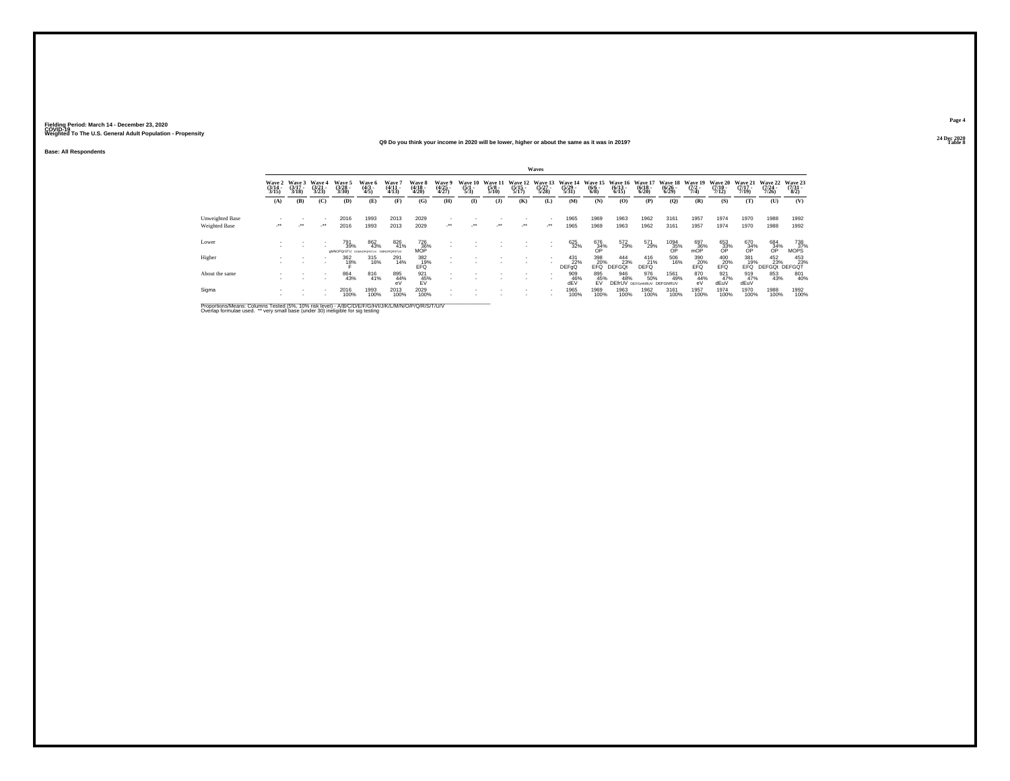### **24 Dec 2020Q9 Do you think your income in 2020 will be lower, higher or about the same as it was in 2019?**

**Base: All Respondents**

|                                  |                                 |                             |                                 |                                                   |                          |                                            |                                                          |                          |                                |                                 |                             | Waves                       |                             |                                |                                  |                                       |                                        |                                      |                                  |                                  |                                  |                                |
|----------------------------------|---------------------------------|-----------------------------|---------------------------------|---------------------------------------------------|--------------------------|--------------------------------------------|----------------------------------------------------------|--------------------------|--------------------------------|---------------------------------|-----------------------------|-----------------------------|-----------------------------|--------------------------------|----------------------------------|---------------------------------------|----------------------------------------|--------------------------------------|----------------------------------|----------------------------------|----------------------------------|--------------------------------|
|                                  | Wave 2<br>$\frac{(3/14)}{3/15}$ | Wave 3<br>$(3/17 -$<br>3/18 | Wave 4<br>$\frac{(3/21)}{3/23}$ | Wave 5<br>(3/28 -<br>3/30)                        | Wave 6<br>(4/3 -<br>4/5) | Wave <sup>*</sup><br>$\frac{(4/11)}{4/13}$ | Wave 8<br>(4/18 -<br>4/20)                               | Wave 9<br>(4/25<br>4/27) | Wave 10<br>$\frac{(5/1)}{5/3}$ | Wave 11<br>$\frac{(5/8)}{5/10}$ | Wave 12<br>(5/15 -<br>5/17) | Wave 13<br>(5/27 -<br>5/28) | Wave 14<br>(5/29 -<br>5/31) | Wave 15<br>$\frac{(6/6)}{6/8}$ | Wave 16<br>$\frac{(6/13)}{6/15}$ | Wave 17<br>$\frac{(6/18)}{6/20}$      | Wave 18<br>$\frac{(6/26)}{6/29}$       | Wave 19<br>$\frac{(7/2 - 1)}{(7/4)}$ | Wave 20<br>$\frac{(7/10)}{7/12}$ | Wave 21<br>$\frac{(7/17)}{7/19}$ | Wave 22<br>$\frac{(7/24)}{7/26}$ | Wave 23<br>$\binom{7/31}{8/2}$ |
|                                  | (A)                             | (B)                         | (C)                             | (D)                                               | (E)                      | (F)                                        | (G)                                                      | (H)                      | $\bf(I)$                       | (1)                             | (K)                         | (L)                         | (M)                         | (N)                            | (O)                              | (P)                                   | (Q)                                    | (R)                                  | (S)                              | (T)                              | (U)                              | (V)                            |
| Unweighted Base<br>Weighted Base | $\cdot$                         | $\cdot$                     | -<br>$\cdot$                    | 2016<br>2016                                      | 1993<br>1993             | 2013<br>2013                               | 2029<br>2029                                             | $\cdot$                  | $\cdot$                        | $\cdot$                         | $\cdot$                     | $\cdot$                     | 1965<br>1965                | 1969<br>1969                   | 1963<br>1963                     | 1962<br>1962                          | 3161<br>3161                           | 1957<br>1957                         | 1974<br>1974                     | 1970<br>1970                     | 1988<br>1988                     | 1992<br>1992                   |
| Lower                            |                                 |                             |                                 | 791<br>39%<br>dMNOPQrSTU powycepostuv GMNOPORSTUV | 862<br>43%               | 826<br>41%                                 | $\frac{726}{36\%}$ MOP                                   |                          |                                |                                 |                             | $\mathbf{r}$                | 625<br>32%                  | 676<br>34%<br>OP               | 572<br>29%                       | 571<br>29%                            | $^{1094}_{\substack{35\%\\ {\sf OP}}}$ | $\frac{697}{36\%}$                   | 653<br>33%<br>OP                 | 670<br>34%<br>OP                 | 684<br>34%<br>OP                 | 738<br>37%<br>MOPS             |
| Higher                           |                                 |                             | <b>COL</b>                      | 362<br>18%                                        | 315<br>16%               | 291<br>14%                                 | $\begin{array}{c} 382 \\ 19\% \\ \text{EFQ} \end{array}$ | $\overline{\phantom{a}}$ |                                |                                 |                             |                             | 431<br>22%<br>DEFaQ         | 398<br>20%<br>EFO <sup>1</sup> | 444<br>23%<br><b>DEFGOt</b>      | 416<br>21%<br><b>DEFO</b>             | 506<br>16%                             | 390<br>20%<br>EFÖ                    | $^{400}_{EFG}$                   | 381<br>19%<br>FFŐ.               | 452<br>23%<br><b>DEFGOt</b>      | 453<br>23%<br><b>DEFGOT</b>    |
| About the same                   |                                 |                             |                                 | 864<br>43%                                        | 816<br>41%               | 895<br>44%<br>eV                           | 921<br>45%<br>FV                                         |                          |                                |                                 |                             |                             | 909<br>46%<br>dEV           | 895<br>45%<br><b>FV</b>        | 946<br>48%                       | 976<br>50%<br><b>DEfrUV</b> DEFGMNRUV | 1561<br>49%<br>DEFGNRUV                | 870<br>44%<br>eV                     | $\frac{921}{47\%}$<br>dEuV       | 919<br>47%<br>dEu\               | 853<br>43%                       | 801<br>40%                     |
| Sigma                            |                                 |                             |                                 | 2016<br>100%                                      | 1993<br>100%             | 2013<br>100%                               | 2029<br>100%                                             |                          |                                |                                 |                             | $\sim$                      | 1965<br>100%                | 1969<br>100%                   | 1963<br>100%                     | 1962<br>100%                          | 3161<br>100%                           | 1957<br>100%                         | 1974<br>100%                     | 1970<br>100%                     | 1988<br>100%                     | 1992<br>100%                   |

Proportions/Means: Columns Tested (5%, 10% risk level) - A/B/C/D/E/F/G/H/I/J/K/L/M/N/O/P/Q/R/S/T/U/V<br>Overlap formulae used. \*\* very small base (under 30) ineligible for sig testing

**Page 424 Dec 2020**<br>Table 8

**Table 8**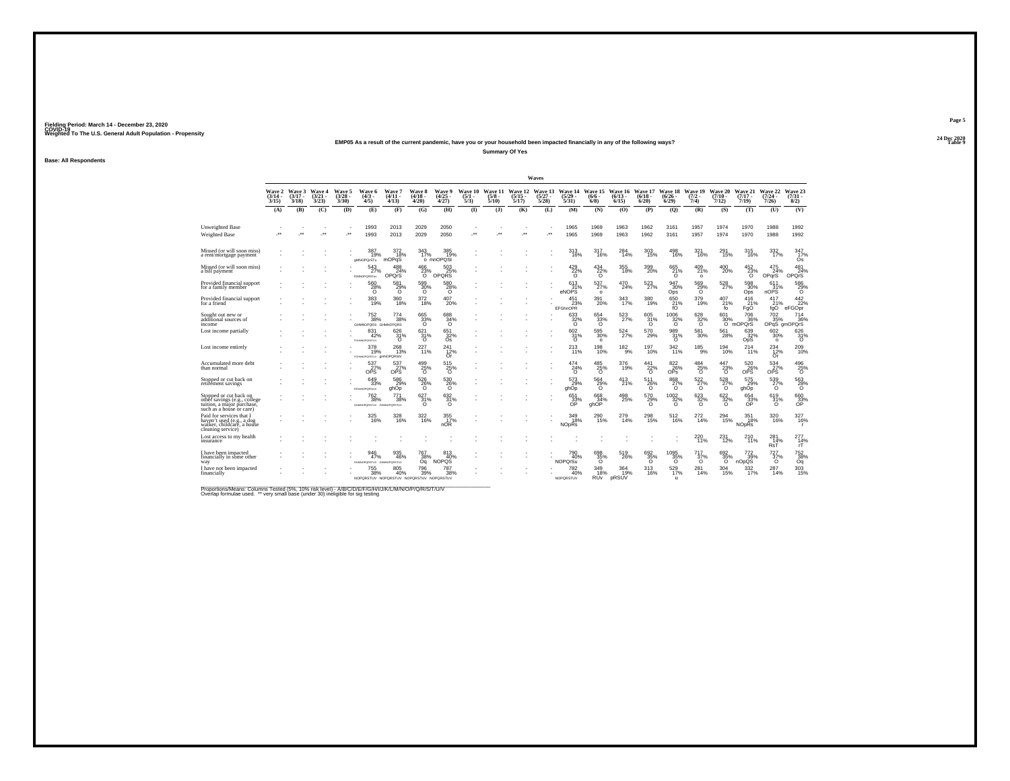### **24 Dec 2020EMP05 As a result of the current pandemic, have you or your household been impacted financially in any of the following ways?**

**Summary Of Yes**

**Base: All Respondents**

|                                                                                                                  |                             |                             |                                 |                                |                                                                     |                                                  |                                |                                           |                                |                                 |                                  | Waves                            |                                       |                                             |                              |                                            |                                   |                                       |                              |                                       |                                      |                                |
|------------------------------------------------------------------------------------------------------------------|-----------------------------|-----------------------------|---------------------------------|--------------------------------|---------------------------------------------------------------------|--------------------------------------------------|--------------------------------|-------------------------------------------|--------------------------------|---------------------------------|----------------------------------|----------------------------------|---------------------------------------|---------------------------------------------|------------------------------|--------------------------------------------|-----------------------------------|---------------------------------------|------------------------------|---------------------------------------|--------------------------------------|--------------------------------|
|                                                                                                                  | Wave 2<br>$(3/14 -$<br>3/15 | Wave 3<br>$(3/17 -$<br>3/18 | Wave 4<br>$\frac{(3/21)}{3/23}$ | Wave 5<br>$\binom{3/28}{3/30}$ | Wave 6<br>$\binom{4/3}{4/5}$                                        | <b>Wave 7</b><br>$(4/11 -$<br>(4/13)             | Wave 8<br>$(4/18 -$<br>4/20    | Wave 9<br>$\binom{4/25}{4/27}$            | Wave 10<br>$\frac{(5/1)}{5/3}$ | Wave 11<br>$\frac{(5/8)}{5/10}$ | Wave 12<br>$\frac{(5/15)}{5/17}$ | Wave 13<br>$\frac{(5/27)}{5/28}$ | Wave 14<br>$\frac{(5/29)}{5/31}$      | Wave 15<br>$(6/6 -$<br>$6/8$ )              | Wave 16<br>$(6/13 -$<br>6/15 | Wave 17<br>$(6/18 -$<br>$6/20$ )           | Wave 18<br>$\frac{(6/26)}{6/29}$  | Wave 19<br>$\frac{(7/2)}{7/4}$        | Wave 20<br>$(7/10 -$<br>7/12 | Wave 21<br>$(7/17 -$<br>7/19          | Wave 22<br>$\frac{(7/24 - 7)}{7/26}$ | Wave 23<br>$\binom{7/31}{8/2}$ |
|                                                                                                                  | (A)                         | (B)                         | (C)                             | (D)                            | (E)                                                                 | (F)                                              | (G)                            | (H)                                       | $($ $\Gamma$                   | (3)                             | (K)                              | (L)                              | (M)                                   | (N)                                         | (0)                          | (P)                                        | (0)                               | (R)                                   | (S)                          | (T)                                   | (U)                                  | (V)                            |
| Unweighted Base<br>Weighted Base                                                                                 |                             |                             | $\cdot$                         | $\star$                        | 1993<br>1993                                                        | 2013<br>2013                                     | 2029<br>2029                   | 2050<br>2050                              | $\ddot{\phantom{0}}$           | $\bullet\bullet$                | $\cdot$                          | J.                               | 1965<br>1965                          | 1969<br>1969                                | 1963<br>1963                 | 1962<br>1962                               | 3161<br>3161                      | 1957<br>1957                          | 1974<br>1974                 | 1970<br>1970                          | 1988<br>1988                         | 1992<br>1992                   |
| Missed (or will soon miss)<br>a rent/mortgage payment                                                            |                             |                             |                                 |                                | 387<br>19%<br>gMNOPQrSTu                                            | 372<br>18%<br>mOPqS                              | 343<br>17%                     | 385<br>19%<br>o mnOPQSt                   |                                |                                 |                                  |                                  | 313<br>16%                            | 317<br>16%                                  | 284<br>14%                   | 303<br>15%                                 | 498<br>16%                        | 321<br>16%                            | 291<br>15%                   | 315<br>16%                            | $\frac{332}{17\%}$                   | 347<br>17%<br>Ós               |
| Missed (or will soon miss)<br>a bill payment                                                                     |                             |                             |                                 |                                | 543<br>27%<br><b>IGMNOPQRSTuv</b>                                   | 24%<br>OPOrS                                     | 466<br>23%<br>ō                | 503<br>OPQRS                              |                                |                                 |                                  |                                  | 429/22%<br>$\Omega$                   | $^{434}_{\substack{22\%\\0}}$               | 355<br>18%                   | 399<br>20%                                 | 665<br>21%<br>$\circ$             | $^{409}_{21\%}$<br>$\circ$            | 400<br>20%                   | $^{452}_{\phantom{1}23\%}$            | 475<br>24%<br>OPqrS                  | 481<br>24%<br>OPOrS            |
| Provided financial support<br>for a family member                                                                |                             |                             |                                 |                                | $^{560}_{\  \  \, 28\%}$                                            | $^{581}_{\, \substack{29\% \\ \scriptstyle 0} }$ | 599<br>30%<br>Ō                | 580<br>28%<br>Ō                           |                                |                                 |                                  |                                  | 613<br>31%<br>eNOPS                   | 537%<br>$\circ$                             | 470<br>24%                   | 523<br>27%                                 | 947<br>30%<br>Ops                 | 569<br>29%<br>٦ō                      | 528<br>27%                   | 598<br>Ops                            | 611<br>31%<br>nOPS                   | $^{586}_{28\%}$                |
| Provided financial support<br>for a friend                                                                       |                             |                             |                                 |                                | 383<br>19%                                                          | 360<br>18%                                       | 372<br>18%                     | 407<br>20%                                |                                |                                 |                                  |                                  | 451<br>23%<br><b>EFGhnOPR</b>         | 391<br>20%                                  | 343<br>17%                   | 380<br>19%                                 | 650<br>$^{21\%}_{60}$             | 379<br>19%                            | 407<br>21%<br>fo             | 416<br>21%<br>FgO                     | 417<br>21%<br>fqO                    | $\frac{442}{22\%}$<br>eFGOpr   |
| Sought out new or<br>additional sources of<br>income                                                             |                             |                             |                                 |                                | $\substack{752\\38\%}$<br>GHMNOPORS GHMNOPORS                       | 774<br>38%                                       | 665<br>33%<br>$\Omega$         | 688<br>$\circ$                            |                                |                                 |                                  |                                  | 633 %<br>$\Omega$                     | 654<br>33%<br>ō                             | 523%                         | 605<br>31%<br>$\circ$                      | $^{1006}_{32\%}$<br>ō             | $\frac{628}{32\%}$<br>$\circ$         | 601<br>30%                   | <sup>706</sup> 36%<br>O mOPQrS        | 702<br>35%                           | 714<br>36%<br>OPqS gmOPQrS     |
| Lost income partially                                                                                            |                             |                             |                                 |                                | 831<br>42%<br>FGHMNOPORSTLV                                         | 626<br>$^{31\%}_{0}$                             | $\frac{621}{31}\%$             | $651$ <sub>32%</sub><br>Ōs                |                                |                                 |                                  |                                  | $^{602}_{31\%}$<br>$\circ$            | 595<br>30%<br>$\circ$                       | 524%                         | $^{570}_{29\%}$                            | $^{989}_{\phantom{1}31\%}$        | $^{581}_{30\%}$                       | 561<br>28%                   | $^{639}_{32\%}$ OpS                   | 602 %<br>$\circ$                     | $\frac{626}{31}\%$             |
| Lost income entirely                                                                                             |                             |                             |                                 |                                | 378<br>19%<br>FGHMN0PORSTUV QMNOPORSIV                              | 268<br>13%                                       | $^{227}_{11\%}$                | 241<br>12%<br>Or                          |                                |                                 |                                  |                                  | 213<br>11%                            | 198<br>10%                                  | $^{182}_{9\%}$               | 197<br>10%                                 | 342 <sub>%</sub>                  | $185\over 9\%$                        | $^{194}_{10\%}$              | 214%                                  | $^{234}_{12\%}$<br>Or                | $^{209}_{10\%}$                |
| Accumulated more debt<br>than normal                                                                             |                             |                             |                                 |                                | $^{537}_{\phantom{27}\phantom{27}\phantom{27}\%}$ ops               | 537<br>27%                                       | $^{499}_{25\%}$                | $^{515}_{\phantom{5}25\%}_{\phantom{5}0}$ |                                |                                 |                                  |                                  | $^{474}_{24\%}$<br>$\circ$            | $^{485}_{\, \, 25\%}$                       | 376<br>19%                   | $\overset{441}{\underset{\text{O}}{22\%}}$ | $\underset{\mathsf{OPs}}{^{822}}$ | $^{484}_{\, 25\%}$                    | $^{447}_{23\%}$              | $^{520}_{26\%}$ ops                   | $^{534}_{\ 27\%}$ ops                | $^{496}_{\  \  \, 25\%}$       |
| Stopped or cut back on<br>retirement savings                                                                     |                             |                             |                                 |                                | 649<br>33%<br><b>IGHHNOPORSIJV</b>                                  | 586<br>%29<br>ghOp                               | 526<br>26%                     | 530<br>26%                                |                                |                                 |                                  |                                  | 573<br>29%<br>qhOp                    | 564<br>$^{29%}_{0}$                         | 413<br>21%                   | 511<br>$^{26\%}_{0}$                       | 868<br>$^{27\%}_{0}$              | $^{522}_{\  \  \, 27\%}_{\  \  \, 0}$ | 528<br>$^{27\%}_{0}$         | 575<br>29%                            | 539<br>$^{27\%}_{0}$                 | $^{563}_{\phantom{1}28\%}$     |
| Stopped or cut back on<br>other savings (e.g., college<br>tuition, a major purchase,<br>such as a house or care) |                             |                             |                                 |                                | $^{762}_{38\%}$<br>GHANOPORSTUV GHANOPORSTUV                        | 771<br>38%                                       | $\frac{627}{31\%}$<br>$\Omega$ | 632/31%<br>$\Omega$                       |                                |                                 |                                  |                                  | 651<br>33%<br>ŐP                      | 668<br>ahOP                                 | 498<br>25%                   | 570<br>29%<br>$\Omega$                     | $\frac{1002}{32\%}$               | $\frac{623}{32\%}$<br>6               | $\frac{622}{32}\%$<br>6      | 654<br>33%<br>OP                      | 619<br>$^{31\%}_{0}$                 | 660<br>33%<br>OP               |
| Paid for services that I<br>haven't used (e.g., a dog<br>walker, childcare, a house<br>cleaning service)         |                             |                             |                                 |                                | 16%                                                                 | 328<br>16%                                       | 322<br>16%                     | $\frac{355}{17\%}$<br>nOR                 |                                |                                 |                                  |                                  | 349<br>18%<br><b>NO<sub>p</sub>Rs</b> | 290<br>15%                                  | 279<br>14%                   | 298<br>15%                                 | 512%                              | 272 <sub>14%</sub>                    | 294<br>15%                   | 351<br>18%<br><b>NO<sub>DRs</sub></b> | 320<br>16%                           | 327/16%                        |
| ost access to my health.<br>insurance                                                                            |                             |                             |                                 |                                |                                                                     |                                                  |                                |                                           |                                |                                 |                                  |                                  |                                       |                                             |                              |                                            |                                   | 220<br>11%                            | 231<br>12%                   | 210 <sub>%</sub>                      | $^{281}_{14\%}$ RsT                  | $^{277}_{14\%}$                |
| have been impacted<br>inancially in some other<br>way                                                            |                             |                             |                                 |                                | 946<br>47%<br>GHMNOPORSTUV GHMNOPORSTUV                             | 935<br>46%                                       | 767<br>$\frac{38\%}{09}$       | 813<br>40%<br>NOPQS                       |                                |                                 |                                  |                                  | 790<br>40%<br><b>NOPOrSu</b>          | 698<br>35%                                  | 519<br>26%                   | 692<br>35%                                 | $\underset{\mathcal{O}}{^{1095}}$ | 717<br>37%                            | 692<br>35%                   | 772<br>nOpQS                          | 727<br>37%                           | 752<br>38%<br>Oq               |
| have not been impacted<br>financially                                                                            |                             |                             |                                 |                                | $\substack{755 \\ 38\%}$<br>NOPORSTUV NOPORSTUV NOPORSTUV NOPORSTUV | 805<br>40%                                       | 796<br>39%                     | 787<br>38%                                |                                |                                 |                                  |                                  | 782<br>40%<br>NOPORSTUV               | $\frac{349}{18\%}$<br><b>RU<sub>v</sub></b> | 364<br>19%<br>pRSUV          | $313 \atop 16\%$                           | 529<br>17%<br>$\mathbf{u}$        | 281<br>14%                            | 304<br>15%                   | 332/17%                               | 287<br>14%                           | $\frac{303}{15\%}$             |

Proportions/Means: Columns Tested (5%, 10% risk level) - A/B/C/D/E/F/G/H/I/J/K/L/M/N/O/P/Q/R/S/T/U/V<br>Overlap formulae used. \*\* very small base (under 30) ineligible for sig testing

**Page 5**24 Dec 2020<br>Table 9

**Particularly 2 Table 9 Table 9 Table 9 Table 9 Table 9 Table 9 Table 9 Table 9 Table 9 Table 9 Table 9 Table 9 Table 9 Table 9 Table 9 Table 9 Table 9 Table 9 Table 9 Table 9 Tabl**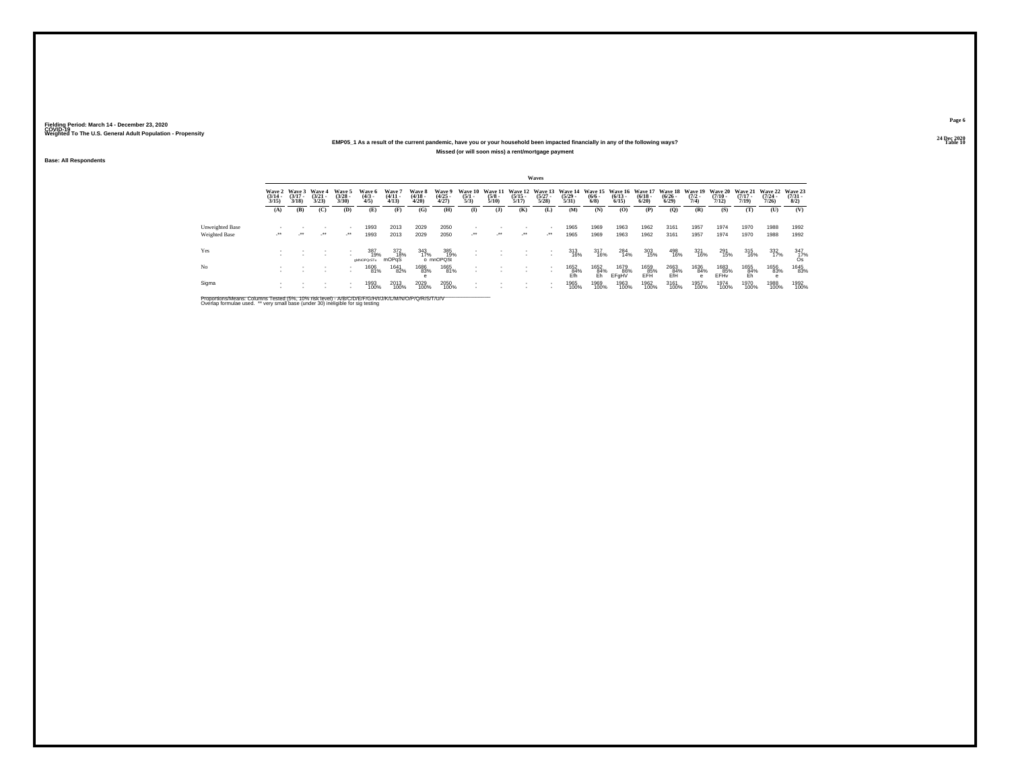## **24 Dec 2020EMP05\_1 As a result of the current pandemic, have you or your household been impacted financially in any of the following ways?Missed (or will soon miss) a rent/mortgage payment**

**Base: All Respondents**

|                 |                                 |                                 |                                 |                                |                              |                                |                                 |                                |                                |                                 |                       | Waves                              |                                                                                 |                           |                       |                      |                                          |                     |                       |                                                  |                       |                                     |
|-----------------|---------------------------------|---------------------------------|---------------------------------|--------------------------------|------------------------------|--------------------------------|---------------------------------|--------------------------------|--------------------------------|---------------------------------|-----------------------|------------------------------------|---------------------------------------------------------------------------------|---------------------------|-----------------------|----------------------|------------------------------------------|---------------------|-----------------------|--------------------------------------------------|-----------------------|-------------------------------------|
|                 | Wave 2<br>$\frac{(3/14)}{3/15}$ | Wave 3<br>$\frac{(3/17)}{3/18}$ | Wave 4<br>$\frac{(3/21)}{3/23}$ | Wave 5<br>$\binom{3/28}{3/30}$ | Wave 6<br>$\binom{4/3}{4/5}$ | Wave 7<br>$\frac{(4/11}{4/13}$ | Wave 8<br>$\frac{(4/18)}{4/20}$ | Wave 9<br>$\binom{4/25}{4/27}$ | Wave 10<br>$\frac{(5/1)}{5/3}$ | Wave 11<br>$\frac{(5/8)}{5/10}$ | $\frac{(5/15)}{5/17}$ | $\frac{(5/27)}{5/28}$              | Wave 12 Wave 13 Wave 14 Wave 15 Wave 16 Wave 17<br>$\frac{(5/29 - 5/31)}{5/31}$ | $\frac{(6/6 - 6)}{(6/8)}$ | $\frac{(6/13)}{6/15}$ | $\binom{6/18}{6/20}$ | Wave 18 Wave 19<br>$\frac{(6/26)}{6/29}$ | $\frac{(7/2)}{7/4}$ | $\frac{(7/10)}{7/12}$ | Wave 20 Wave 21 Wave 22<br>$\frac{(7/17)}{7/19}$ | $\frac{(7/24)}{7/26}$ | Wave 23<br>$\frac{(7/31 - 1)}{8/2}$ |
|                 | (A)                             | (B)                             | (C)                             | (D)                            | (E)                          | (F)                            | (G)                             | (H)                            | $\mathbf{I}$                   | ( <b>J</b> )                    | (K)                   | (L)                                | (M)                                                                             | (N)                       | (O)                   | (P)                  | (Q)                                      | (R)                 | (S)                   | (T)                                              | (U)                   | (V)                                 |
| Unweighted Base |                                 |                                 |                                 |                                | 1993                         | 2013                           | 2029                            | 2050                           |                                |                                 |                       | $\sim$                             | 1965                                                                            | 1969                      | 1963                  | 1962                 | 3161                                     | 1957                | 1974                  | 1970                                             | 1988                  | 1992                                |
| Weighted Base   | $\cdot$                         | $\cdot$                         | $\cdot$                         | $\mathcal{L}^{\bullet\bullet}$ | 1993                         | 2013                           | 2029                            | 2050                           | $\mathcal{L}$                  | $\mathcal{L}^{\bullet\bullet}$  | $\cdot$               | $\cdot$                            | 1965                                                                            | 1969                      | 1963                  | 1962                 | 3161                                     | 1957                | 1974                  | 1970                                             | 1988                  | 1992                                |
| Yes             |                                 |                                 |                                 |                                | 387<br>19%<br>aMNOPQrSTu     | 372<br>18%<br>mOPaS            | 343<br>17%                      | 385<br>19%<br>o mnOPQSt        |                                |                                 |                       | $\sim$<br>$\overline{\phantom{a}}$ | 313<br>16%                                                                      | 317<br>16%                | 284<br>14%            | 303<br>15%           | 498<br>16%                               | 321<br>16%          | 291<br>15%            | 315<br>16%                                       | 332<br>17%            | $\frac{347}{17\%}$                  |
| No              |                                 |                                 |                                 |                                | 1606<br>81%                  | 1641<br>82%                    | 1686<br>83%                     | 1665<br>81%                    |                                |                                 |                       | $\overline{\phantom{a}}$           | 1652<br>84%<br>Efh                                                              | 1652<br>84%<br>Fh         | 1679<br>86%<br>EFaHV  | 1659<br>85%<br>FFH   | 2663<br>84%<br>FfH                       | 1636<br>84%<br>e    | 1683<br>85%<br>EFHy   | 1655<br>84%<br>Eh                                | 1656<br>83%           | 1645<br>83%                         |
| Sigma           |                                 |                                 |                                 | . .                            | 1993<br>100%                 | 2013<br>100%                   | 2029<br>100%                    | 2050<br>100%                   |                                |                                 |                       |                                    | 1965<br>100%                                                                    | 1969<br>100%              | 1963<br>100%          | 1962<br>100%         | 3161<br>100%                             | 1957<br>100%        | 1974<br>100%          | 1970<br>100%                                     | 1988<br>100%          | 1992<br>100%                        |

Proportions/Means: Columns Tested (5%, 10% risk level) - A/B/C/D/E/F/G/H/I/J/K/L/M/N/O/P/Q/R/S/T/U/V<br>Overlap formulae used. \*\* very small base (under 30) ineligible for sig testing

**Page 624 Dec 2020<br>Table 10** 

**Table 10 Table 10 Table 10 Table 10 Table 10 Table 10 Table 10 Table 10**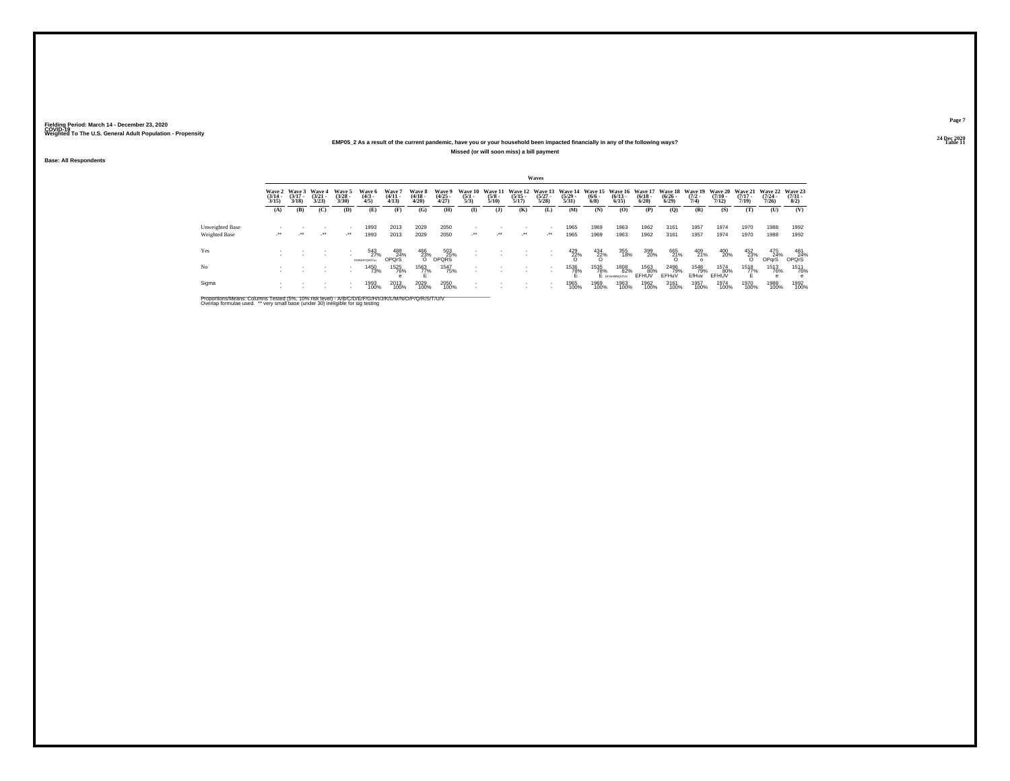## **24 Dec 2020EMP05\_2 As a result of the current pandemic, have you or your household been impacted financially in any of the following ways?Missed (or will soon miss) a bill payment**

**Base: All Respondents**

|                 |                                 |                                 |                                |                                |                                   |                                |                                 |                                |                                |                                 |                                  | Waves                               |                                  |                                              |                              |                                 |                                          |                      |                                         |                                         |                                  |                                                            |
|-----------------|---------------------------------|---------------------------------|--------------------------------|--------------------------------|-----------------------------------|--------------------------------|---------------------------------|--------------------------------|--------------------------------|---------------------------------|----------------------------------|-------------------------------------|----------------------------------|----------------------------------------------|------------------------------|---------------------------------|------------------------------------------|----------------------|-----------------------------------------|-----------------------------------------|----------------------------------|------------------------------------------------------------|
|                 | Wave 2<br>$\frac{(3/14)}{3/15}$ | Wave 3<br>$\frac{(3/17)}{3/18}$ | Wave 4<br>$\binom{3/21}{3/23}$ | Wave 5<br>$\binom{3/28}{3/30}$ | Wave 6<br>$\binom{4/3}{4/5}$      | Wave 7<br>$\frac{(4/11}{4/13}$ | Wave 8<br>$\frac{(4/18)}{4/20}$ | Wave 9<br>$\binom{4/25}{4/27}$ | Wave 10<br>$\frac{(5/1)}{5/3}$ | Wave 11<br>$\frac{(5/8)}{5/10}$ | Wave 12<br>$\frac{(5/15)}{5/17}$ | Wave 13<br>$\frac{(5/27)}{5/28}$    | Wave 14<br>$\frac{(5/29)}{5/31}$ | Wave 15 Wave 16<br>$\frac{(6/6 - 6)}{(6/8)}$ | $\binom{6/13}{6/15}$         | Wave 17<br>$\binom{6/18}{6/20}$ | Wave 18 Wave 19<br>$\frac{(6/26)}{6/29}$ | $\frac{(7/2)}{7/4}$  | <b>Wave 20</b><br>$\frac{(7/10)}{7/12}$ | <b>Wave 21</b><br>$\frac{(7/17)}{7/19}$ | Wave 22<br>$\frac{(7/24)}{7/26}$ | Wave 23<br>$\frac{(7/31 - 1)}{8/2}$                        |
|                 | (A)                             | (B)                             | (C)                            | (D)                            | (E)                               | (F)                            | (G)                             | (H)                            | $\mathbf{I}$                   | ( <b>J</b> )                    | (K)                              | (L)                                 | (M)                              | (N)                                          | (O)                          | (P)                             | (Q)                                      | (R)                  | (S)                                     | (T)                                     | (U)                              | (V)                                                        |
| Unweighted Base | $\cdot$                         | $\cdot$                         | $\cdot$                        | $\mathcal{L}^{\bullet\bullet}$ | 1993                              | 2013                           | 2029                            | 2050                           | $\cdot$                        | $\mathcal{L}^{\bullet\bullet}$  | $\cdot$                          | $\overline{\phantom{a}}$<br>$\cdot$ | 1965                             | 1969                                         | 1963                         | 1962                            | 3161                                     | 1957                 | 1974                                    | 1970                                    | 1988                             | 1992                                                       |
| Weighted Base   |                                 |                                 |                                |                                | 1993                              | 2013                           | 2029                            | 2050                           |                                |                                 |                                  |                                     | 1965                             | 1969                                         | 1963                         | 1962                            | 3161                                     | 1957                 | 1974                                    | 1970                                    | 1988                             | 1992                                                       |
| Yes             |                                 |                                 |                                |                                | 543<br>27%<br><b>KUMADEORST</b> W | 488<br>24%<br>OPOrS            | $\frac{466}{23\%}$              | $503$<br>OPQRS                 |                                |                                 |                                  |                                     | $^{429}_{22\%}$                  | $\frac{434}{22\%}$                           | 355<br>18%                   | 399<br>20%                      | 665<br>21%<br>O                          | 409<br>21%           | 400<br>20%                              | $\frac{452}{23\%}$                      | 475<br>24%<br>OPqrS              | $\begin{array}{c} 481 \\ 24\% \\ \text{OPQrS} \end{array}$ |
| No              |                                 |                                 |                                | . .                            | 1450<br>73%                       | 1525<br>76%                    | 1563<br>77%                     | 1547<br>75%                    |                                |                                 |                                  |                                     | 1536<br>78%                      | 1535<br>78%                                  | 1608<br>82%<br>E EFGHMNO/TUV | 1563<br>80%<br>EFHUV            | 2496<br>79%<br>EFHuV                     | 1548<br>79%<br>EfHuv | 1574<br>80%<br>EFHUV                    | 1518<br>77%                             | 1513<br>76%                      | 1511<br>76%<br>e                                           |
| Sigma           |                                 |                                 |                                | $\overline{\phantom{a}}$       | 1993<br>100%                      | 2013<br>100%                   | 2029<br>100%                    | 2050<br>100%                   |                                |                                 |                                  |                                     | 1965<br>100%                     | 1969<br>100%                                 | 1963<br>100%                 | 1962<br>100%                    | 3161<br>100%                             | 1957<br>100%         | 1974<br>100%                            | 1970<br>100%                            | 1988<br>100%                     | 1992<br>100%                                               |

Proportions/Means: Columns Tested (5%, 10% risk level) - A/B/C/D/E/F/G/H/I/J/K/L/M/N/O/P/Q/R/S/T/U/V<br>Overlap formulae used. \*\* very small base (under 30) ineligible for sig testing

**Page 724 Dec 2020<br>Table 11** 

**Table 11 Table 11 Table 11 Table 11 Table 11 Table 11**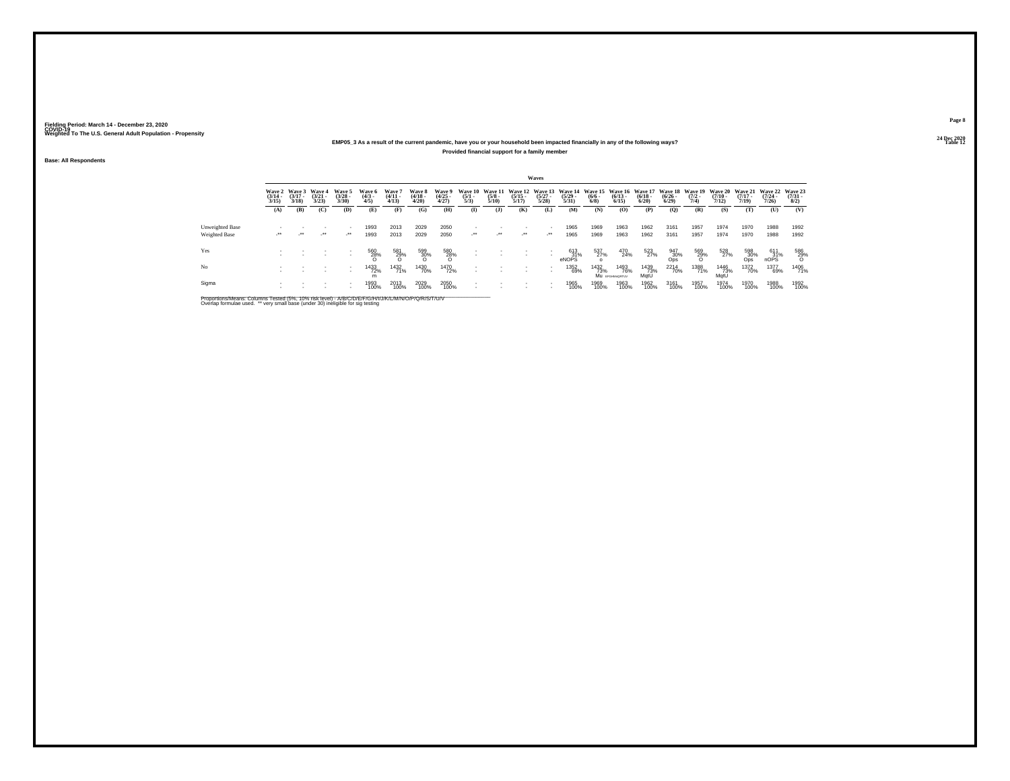## **24 Dec 2020EMP05\_3 As a result of the current pandemic, have you or your household been impacted financially in any of the following ways?Provided financial support for a family member**

**Base: All Respondents**

|                                  |                                 |                                 |                                 |                                |                               |                                |                                 |                                                                            |                                |                                 |                                  | Waves                                    |                                  |                                      |                                  |                                        |                                 |                                |                                  |                                  |                              |                                |
|----------------------------------|---------------------------------|---------------------------------|---------------------------------|--------------------------------|-------------------------------|--------------------------------|---------------------------------|----------------------------------------------------------------------------|--------------------------------|---------------------------------|----------------------------------|------------------------------------------|----------------------------------|--------------------------------------|----------------------------------|----------------------------------------|---------------------------------|--------------------------------|----------------------------------|----------------------------------|------------------------------|--------------------------------|
|                                  | Wave 2<br>$\frac{(3/14)}{3/15}$ | Wave 3<br>$\frac{(3/17)}{3/18}$ | Wave 4<br>$\frac{(3/21)}{3/23}$ | Wave 5<br>$\binom{3/28}{3/30}$ | Wave 6<br>$\frac{(4/3)}{4/5}$ | Wave '<br>$\frac{(4/11}{4/13}$ | Wave 8<br>$\frac{(4/18)}{4/20}$ | Wave 9<br>$\binom{4/25}{4/27}$                                             | Wave 10<br>$\frac{(5/1)}{5/3}$ | Wave 11<br>$\frac{(5/8)}{5/10}$ | Wave 12<br>$\frac{(5/15)}{5/17}$ | Wave 13<br>$\frac{(5/27)}{5/28}$         | Wave 14<br>$\frac{(5/29)}{5/31}$ | <b>Wave 15</b><br>$\binom{6/6}{6/8}$ | Wave 16<br>$\frac{(6/13)}{6/15}$ | <b>Wave 17</b><br>$\binom{6/18}{6/20}$ | Wave 18<br>$\binom{6/26}{6/29}$ | Wave 19<br>$\frac{(7/2)}{7/4}$ | Wave 20<br>$\frac{(7/10)}{7/12}$ | Wave 21<br>$\frac{(7/17)}{7/19}$ | Wave 22<br>$(7/24 -$<br>7/26 | Wave 23<br>$\binom{7/31}{8/2}$ |
|                                  | (A)                             | (B)                             | (C)                             | (D)                            | (E)                           | (F)                            | (G)                             | (H)                                                                        | $\bf(I)$                       | $($ $\bf{J}$                    | (K)                              | (L)                                      | (M)                              | (N)                                  | (O)                              | (P)                                    | (Q)                             | (R)                            | (S)                              | (T)                              | (U)                          | (V)                            |
| Unweighted Base<br>Weighted Base | $\cdot$                         | $\cdot$                         | $\cdot$                         | $\cdot$                        | 1993<br>1993                  | 2013<br>2013                   | 2029<br>2029                    | 2050<br>2050                                                               | $\cdot$                        | $\cdot$                         | $\cdot$                          | $\sim$<br>$\mathcal{L}^{\bullet\bullet}$ | 1965<br>1965                     | 1969<br>1969                         | 1963<br>1963                     | 1962<br>1962                           | 3161<br>3161                    | 1957<br>1957                   | 1974<br>1974                     | 1970<br>1970                     | 1988<br>1988                 | 1992<br>1992                   |
| Yes                              |                                 |                                 |                                 | ٠                              | 560<br>28%                    | 581<br>29%<br>O                | 599<br>30%                      | $^{580}_{\phantom{1}\phantom{1}28\%}_{\phantom{1}\phantom{1}\phantom{1}0}$ | $\overline{\phantom{a}}$       |                                 |                                  |                                          | 613<br>31%<br>eNOPS              | 537<br>27%                           | 470<br>24%                       | 523<br>27%                             | 947<br>30%<br>Ops               | 569<br>29%<br>O                | 528<br>27%                       | 598<br>30%<br>Ops                | $611\n31%$ nOPS              | 586<br>29%<br>O                |
| No                               |                                 |                                 |                                 | $\overline{\phantom{a}}$<br>٠  | 1433<br>72%<br>m              | 1432<br>71%                    | 1430<br>70%                     | <sup>1470</sup> 72%                                                        |                                |                                 |                                  | $\sim$                                   | 1352<br>69%                      | 1432<br>73%                          | 1493<br>76%<br>Mu EFGHMORTUV     | 1439<br>73%<br>MatU                    | <sup>2214</sup> 70%             | 1388<br>71%                    | 1446<br>73%<br>MatU              | <sup>1372</sup> 70%              | 1377<br>69%                  | 1406<br>71%                    |
| Sigma                            |                                 |                                 |                                 | $\overline{\phantom{a}}$<br>٠  | 1993<br>100%                  | 2013<br>100%                   | 2029<br>100%                    | 2050<br>100%                                                               |                                |                                 |                                  | $\sim$                                   | 1965<br>100%                     | 1969<br>100%                         | 1963<br>100%                     | 1962<br>100%                           | 3161<br>100%                    | 1957<br>100%                   | 1974<br>100%                     | 1970<br>100%                     | 1988<br>100%                 | 1992<br>100%                   |

Proportions/Means: Columns Tested (5%, 10% risk level) - A/B/C/D/E/F/G/H/I/J/K/L/M/N/O/P/Q/R/S/T/U/V<br>Overlap formulae used. \*\* very small base (under 30) ineligible for sig testing

**Page 824 Dec 2020<br>Table 12** 

**Table 12 Table 12 Table 12 Table 12 Table 12**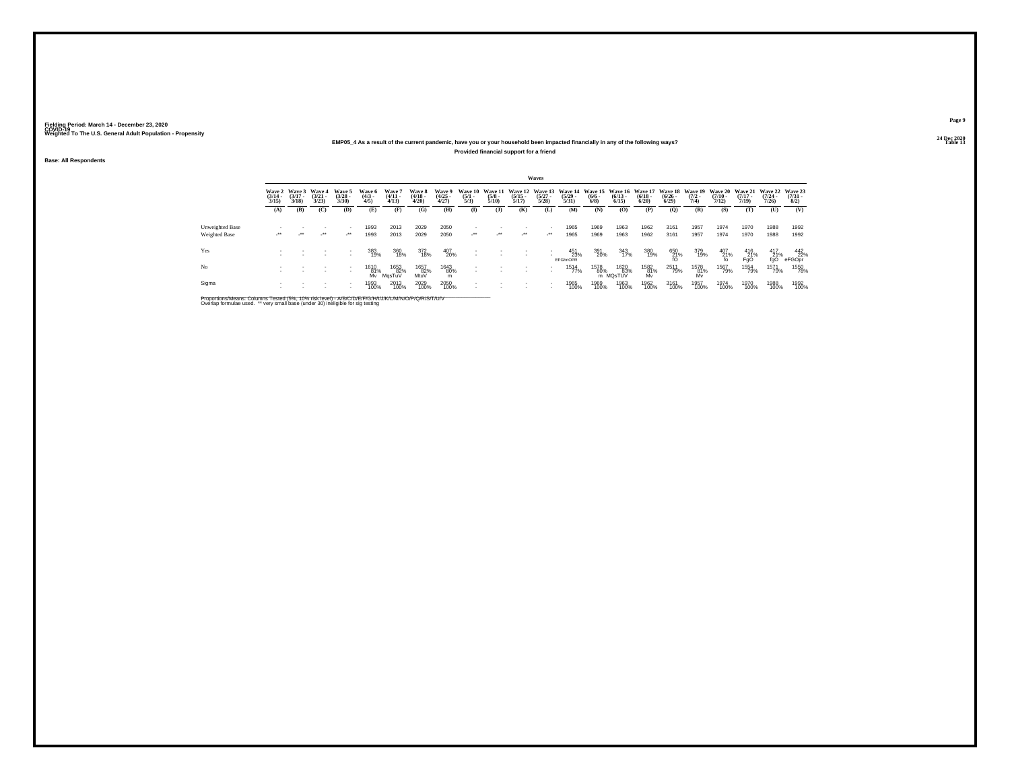## **24 Dec 2020EMP05\_4 As a result of the current pandemic, have you or your household been impacted financially in any of the following ways?Provided financial support for a friend**

**Base: All Respondents**

|                 |                       |                                        |                                 |                                |                              |                                |                                 |                                |                                |                                        |                                  | Waves                            |                                  |                           |                                                  |                       |                       |                                        |                                         |                                         |                                         |                                |
|-----------------|-----------------------|----------------------------------------|---------------------------------|--------------------------------|------------------------------|--------------------------------|---------------------------------|--------------------------------|--------------------------------|----------------------------------------|----------------------------------|----------------------------------|----------------------------------|---------------------------|--------------------------------------------------|-----------------------|-----------------------|----------------------------------------|-----------------------------------------|-----------------------------------------|-----------------------------------------|--------------------------------|
|                 | $\frac{(3/14)}{3/15}$ | Wave 2 Wave 3<br>$\frac{(3/17)}{3/18}$ | Wave 4<br>$\frac{(3/21)}{3/23}$ | Wave 5<br>$\binom{3/28}{3/30}$ | Wave 6<br>$\binom{4/3}{4/5}$ | Wave 7<br>$\frac{(4/11}{4/13}$ | Wave 8<br>$\frac{(4/18)}{4/20}$ | Wave 9<br>$\binom{4/25}{4/27}$ | Wave 10<br>$\frac{(5/1)}{5/3}$ | <b>Wave 11</b><br>$\frac{(5/8)}{5/10}$ | Wave 12<br>$\frac{(5/15)}{5/17}$ | Wave 13<br>$\frac{(5/27)}{5/28}$ | Wave 14<br>$\frac{(5/29)}{5/31}$ | $\frac{(6/6 - 6)}{(6/8)}$ | Wave 15 Wave 16 Wave 17<br>$\frac{(6/13)}{6/15}$ | $\frac{(6/18)}{6/20}$ | $\frac{(6/26)}{6/29}$ | Wave 18 Wave 19<br>$\frac{(7/2)}{7/4}$ | <b>Wave 20</b><br>$\frac{(7/10)}{7/12}$ | <b>Wave 21</b><br>$\frac{(7/17)}{7/19}$ | <b>Wave 22</b><br>$\frac{(7/24)}{7/26}$ | Wave 23<br>$\binom{7/31}{8/2}$ |
|                 | (A)                   | (B)                                    | (C)                             | (D)                            | (E)                          | (F)                            | (G)                             | (H)                            | $\bf{I}$                       | $($ $\bf{J}$                           | (K)                              | (L)                              | (M)                              | (N)                       | (O)                                              | (P)                   | (Q)                   | (R)                                    | (S)                                     | (T)                                     | (U)                                     | (V)                            |
| Unweighted Base |                       |                                        |                                 |                                | 1993                         | 2013                           | 2029                            | 2050                           |                                |                                        |                                  |                                  | 1965                             | 1969                      | 1963                                             | 1962                  | 3161                  | 1957                                   | 1974                                    | 1970                                    | 1988                                    | 1992                           |
| Weighted Base   | $\cdot$               | $\cdot$                                | $\cdot$                         | $\lambda$                      | 1993                         | 2013                           | 2029                            | 2050                           | $\cdot$                        | $\mathcal{L}^{\bullet\bullet}$         | $\cdot$                          | $\cdot$                          | 1965                             | 1969                      | 1963                                             | 1962                  | 3161                  | 1957                                   | 1974                                    | 1970                                    | 1988                                    | 1992                           |
| Yes             |                       |                                        |                                 | $\overline{\phantom{a}}$       | 383<br>19%                   | 360<br>18%                     | 372<br>18%                      | 407<br>20%                     |                                |                                        |                                  |                                  | 451<br>23%<br><b>EFGhnOPR</b>    | 391<br>20%                | 343<br>17%                                       | 380<br>19%            | 650<br>21%<br>fO      | 379<br>19%                             | $^{407}_{\substack{21\%\\\text{fo}}}$   | $^{416}_{Fg0}$                          | $^{417}_{21\%}$                         | 442<br>22%<br>eFGOpr           |
| No              |                       |                                        |                                 | $\overline{\phantom{a}}$       | 1610<br>81%<br>Mv            | 1653<br>82%<br>MasTuV          | 1657<br>82%<br>MtuV             | 1643<br>80%<br>m               |                                |                                        |                                  |                                  | 1514<br>77%                      | 1578<br>80%               | 1620<br>83%<br>m MQsTUV                          | 1582<br>81%<br>Mv     | 2511<br>79%           | 1578<br>81%<br>Mv                      | 1567<br>79%                             | 1554<br>79%                             | 1571<br>79%                             | 1550<br>78%                    |
| Sigma           |                       |                                        |                                 |                                | 1993<br>100%                 | 2013<br>100%                   | 2029<br>100%                    | 2050<br>100%                   |                                |                                        |                                  |                                  | 1965<br>100%                     | 1969<br>100%              | 1963<br>100%                                     | 1962<br>100%          | 3161<br>100%          | 1957<br>100%                           | 1974<br>100%                            | 1970<br>100%                            | 1988<br>100%                            | 1992<br>100%                   |

Proportions/Means: Columns Tested (5%, 10% risk level) - A/B/C/D/E/F/G/H/I/J/K/L/M/N/O/P/Q/R/S/T/U/V<br>Overlap formulae used. \*\* very small base (under 30) ineligible for sig testing

**Page 924 Dec 2020<br>Table 13** 

**Table 13 Table 13**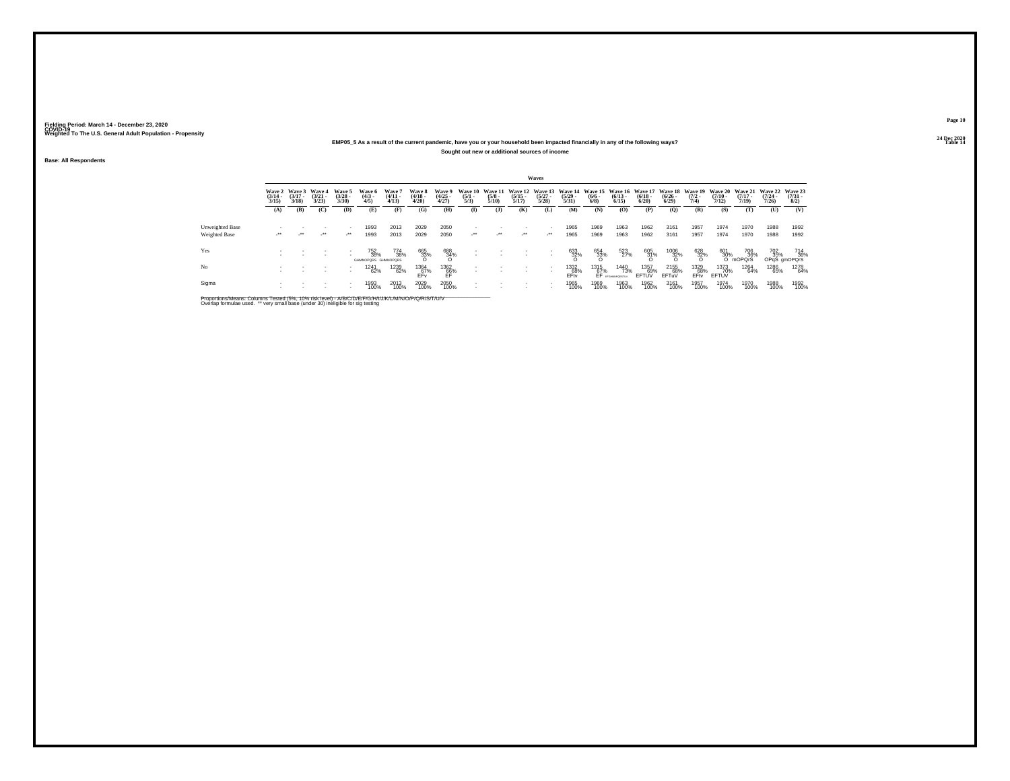## **24 Dec 2020EMP05\_5 As a result of the current pandemic, have you or your household been impacted financially in any of the following ways?Sought out new or additional sources of income**

**Base: All Respondents**

|                        |                                 |                                        |                                |                                |                                   |                                           |                                 |                                |                                |                                 |                                  | Waves                 |                       |                                     |                                                                 |                      |                                          |                     |                                         |                                         |                                     |                                     |
|------------------------|---------------------------------|----------------------------------------|--------------------------------|--------------------------------|-----------------------------------|-------------------------------------------|---------------------------------|--------------------------------|--------------------------------|---------------------------------|----------------------------------|-----------------------|-----------------------|-------------------------------------|-----------------------------------------------------------------|----------------------|------------------------------------------|---------------------|-----------------------------------------|-----------------------------------------|-------------------------------------|-------------------------------------|
|                        | Wave 2<br>$\frac{(3/14)}{3/15}$ | <b>Wave 3</b><br>$\frac{(3/17)}{3/18}$ | Wave 4<br>$\binom{3/21}{3/23}$ | Wave 5<br>$\binom{3/28}{3/30}$ | Wave 6<br>$\binom{4/3}{4/5}$      | Wave <sup>'</sup><br>$\binom{4/11}{4/13}$ | Wave 8<br>$\frac{(4/18)}{4/20}$ | Wave 9<br>$\binom{4/25}{4/27}$ | Wave 10<br>$\frac{(5/1)}{5/3}$ | Wave 11<br>$\frac{(5/8)}{5/10}$ | Wave 12<br>$\frac{(5/15)}{5/17}$ | $\frac{(5/27)}{5/28}$ | $\frac{(5/29)}{5/31}$ | $\frac{(6/6)}{6/8}$                 | Wave 13 Wave 14 Wave 15 Wave 16 Wave 17<br>$\binom{6/13}{6/15}$ | $\binom{6/18}{6/20}$ | Wave 18 Wave 19<br>$\frac{(6/26)}{6/29}$ | $\frac{(7/2)}{7/4}$ | <b>Wave 20</b><br>$\frac{(7/10)}{7/12}$ | <b>Wave 21</b><br>$\frac{(7/17)}{7/19}$ | <b>Wave 22</b><br>$(7/24 -$<br>7/26 | Wave 23<br>$\frac{(7/31 - 8)}{8/2}$ |
|                        | (A)                             | (B)                                    | (C)                            | (D)                            | (E)                               | (F)                                       | (G)                             | (H)                            | $($ I                          | $($ $\bf{J}$                    | (K)                              | (L)                   | (M)                   | (N)                                 | (0)                                                             | (P)                  | (0)                                      | (R)                 | (S)                                     | (T)                                     | (U)                                 | (V)                                 |
| <b>Unweighted Base</b> |                                 |                                        |                                |                                | 1993                              | 2013                                      | 2029                            | 2050                           |                                |                                 |                                  |                       | 1965                  | 1969                                | 1963                                                            | 1962                 | 3161                                     | 1957                | 1974                                    | 1970                                    | 1988                                | 1992                                |
| Weighted Base          | $\cdot$                         | $\mathcal{L}^{\bullet\bullet}$         | $\cdot$                        | ur.                            | 1993                              | 2013                                      | 2029                            | 2050                           | $\cdot$                        | $\cdot$                         | $\cdot$                          | $\cdot$               | 1965                  | 1969                                | 1963                                                            | 1962                 | 3161                                     | 1957                | 1974                                    | 1970                                    | 1988                                | 1992                                |
| Yes                    |                                 |                                        |                                | ٠                              | 752<br>38%<br>GHMNOPORS GHMNOPORS | 774<br>38%                                | 665<br>33%<br>O                 | $\frac{688}{34\%}$             |                                |                                 |                                  |                       | 633<br>32%            | $\overset{654}{\underset{0}{33\%}}$ | 523<br>27%                                                      | 605<br>31%<br>0      | $^{1006}_{32\%}$                         | $\frac{628}{32\%}$  | 601<br>30%                              | 706<br>36%<br>O mOPOrS                  | 702<br>35%                          | 714<br>36%<br>OPqS gmOPQrS          |
| No                     |                                 |                                        |                                | $\overline{\phantom{a}}$       | <sup>1241</sup> 62%               | 1239<br>62%                               | 1364<br>67%<br>FFv              | 1362<br>66%<br>ĒĒ              |                                |                                 |                                  |                       | 1332<br>68%<br>EFty   | 1315<br>67%                         | 1440<br>73%<br>EF provemporatur                                 | 1357<br>69%<br>EFTUV | <sup>2155</sup> 68%<br>EFTuV             | 1329<br>68%<br>EFty | 1373<br>70%<br>EFTUV                    | 1264<br>64%                             | 1286<br>65%                         | 1278<br>64%                         |
| Sigma                  |                                 |                                        |                                |                                | 1993<br>100%                      | 2013<br>100%                              | 2029<br>100%                    | 2050<br>100%                   | ٠                              |                                 |                                  |                       | 1965<br>100%          | 1969<br>100%                        | 1963<br>100%                                                    | 1962<br>100%         | 3161<br>100%                             | 1957<br>100%        | 1974<br>100%                            | 1970<br>100%                            | 1988<br>100%                        | 1992<br>100%                        |

Proportions/Means: Columns Tested (5%, 10% risk level) - A/B/C/D/E/F/G/H/I/J/K/L/M/N/O/P/Q/R/S/T/U/V<br>Overlap formulae used. \*\* very small base (under 30) ineligible for sig testing

**Page 10**24 Dec 2020<br>Table 14

**Table 14 Table 14 Table 14 Table 14 Table 14 Table 14 Table 14 Table 14 Table 14**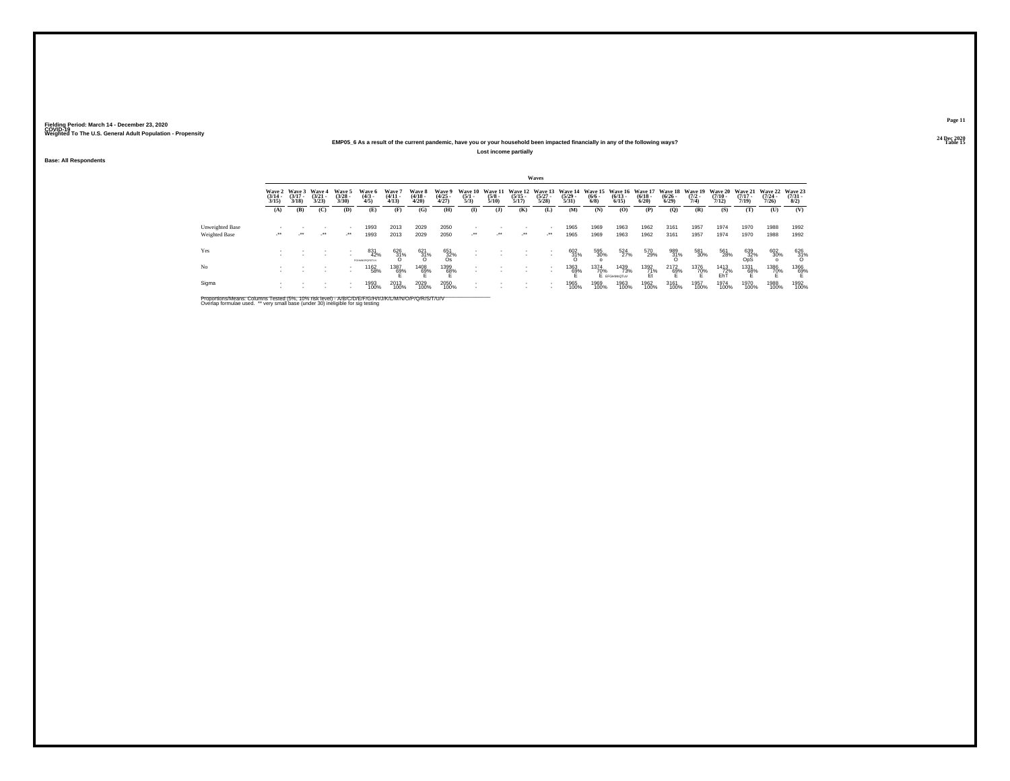### **24 Dec 2020EMP05\_6 As a result of the current pandemic, have you or your household been impacted financially in any of the following ways?Lost income partially**

**Base: All Respondents**

|                 |                                 |                             |                             |                                |                               |                                |                                 |                                |                                |                                 |                          | Waves                    |                                                                                          |                    |                             |                      |                       |                     |                                         |                                         |                                         |                                     |
|-----------------|---------------------------------|-----------------------------|-----------------------------|--------------------------------|-------------------------------|--------------------------------|---------------------------------|--------------------------------|--------------------------------|---------------------------------|--------------------------|--------------------------|------------------------------------------------------------------------------------------|--------------------|-----------------------------|----------------------|-----------------------|---------------------|-----------------------------------------|-----------------------------------------|-----------------------------------------|-------------------------------------|
|                 | Wave 2<br>$\frac{(3/14)}{3/15}$ | Wave 3<br>$(3/17 -$<br>3/18 | Wave 4<br>$(3/21 -$<br>3/23 | Wave 5<br>$\binom{3/28}{3/30}$ | Wave 6<br>$\frac{(4/3)}{4/5}$ | Wave 7<br>$\frac{(4/11}{4/13}$ | Wave 8<br>$\frac{(4/18)}{4/20}$ | Wave 9<br>$\binom{4/25}{4/27}$ | Wave 10<br>$\frac{(5/1)}{5/3}$ | Wave 11<br>$\frac{(5/8)}{5/10}$ | $\frac{(5/15)}{5/17}$    | $\frac{(5/27)}{5/28}$    | Wave 12 Wave 13 Wave 14 Wave 15 Wave 16 Wave 17 Wave 18 Wave 19<br>$\frac{(5/29)}{5/31}$ | $\binom{6/6}{6/8}$ | $\binom{6/13}{6/15}$        | $\binom{6/18}{6/20}$ | $\frac{(6/26)}{6/29}$ | $\frac{(7/2)}{7/4}$ | <b>Wave 20</b><br>$\frac{(7/10)}{7/12}$ | <b>Wave 21</b><br>$\frac{(7/17)}{7/19}$ | <b>Wave 22</b><br>$\frac{(7/24)}{7/26}$ | Wave 23<br>$\frac{(7/31 - 1)}{8/2}$ |
|                 | (A)                             | (B)                         | (C)                         | (D)                            | (E)                           | (F)                            | (G)                             | (H)                            | $\mathbf{I}$                   | $($ $\bf{J}$                    | (K)                      | (L)                      | (M)                                                                                      | (N)                | (O)                         | (P)                  | (Q)                   | (R)                 | (S)                                     | (T)                                     | (U)                                     | (V)                                 |
| Unweighted Base |                                 |                             |                             |                                | 1993                          | 2013                           | 2029                            | 2050                           |                                |                                 |                          |                          | 1965                                                                                     | 1969               | 1963                        | 1962                 | 3161                  | 1957                | 1974                                    | 1970                                    | 1988                                    | 1992                                |
| Weighted Base   | $\cdot$                         | $\cdot$                     | $\cdot$                     | $\mathcal{L}^{\bullet\bullet}$ | 1993                          | 2013                           | 2029                            | 2050                           | $\mathcal{L}^{\star\star}$     | $\mathcal{L}^{\bullet\bullet}$  | $\cdot$                  | $\cdot$                  | 1965                                                                                     | 1969               | 1963                        | 1962                 | 3161                  | 1957                | 1974                                    | 1970                                    | 1988                                    | 1992                                |
| Yes             |                                 |                             |                             |                                | 831<br>42%<br>DGAMAGOODSTLIV  | $\frac{626}{31\%}$             | $^{621}_{31\%}$                 | 651<br>32%<br>Os               |                                |                                 | $\overline{\phantom{a}}$ |                          | $^{602}_{31\%}$                                                                          | 595<br>30%         | 524<br>27%                  | 570<br>29%           | 989<br>31%            | 581<br>30%          | 561<br>28%                              | $^{639}_{32\%}$ OpS                     | 602<br>30%                              | 626<br>31%<br>O                     |
| No              |                                 |                             |                             |                                | 1162<br>58%                   | 1387<br>69%                    | 1408<br>69%                     | $^{1399}_{68\%}$               |                                |                                 |                          | $\overline{\phantom{a}}$ | <sup>1363</sup> 69%                                                                      | 1374<br>70%        | 1439<br>73%<br>E EFGHMnOTuV | 1392<br>71%          | $^{2172}_{69\%}$      | 1376<br>70%         | <sup>1413</sup> 72%<br>EhT              | 1331<br>68%                             | 1386<br>70%                             | 1366<br>69%                         |
| Sigma           |                                 |                             |                             |                                | 1993<br>100%                  | 2013<br>100%                   | 2029<br>100%                    | 2050<br>100%                   |                                |                                 |                          | $\overline{\phantom{a}}$ | 1965<br>100%                                                                             | 1969<br>100%       | 1963<br>100%                | 1962<br>100%         | 3161<br>100%          | 1957<br>100%        | 1974<br>100%                            | 1970<br>100%                            | 1988<br>100%                            | 1992<br>100%                        |

Proportions/Means: Columns Tested (5%, 10% risk level) - A/B/C/D/E/F/G/H/I/J/K/L/M/N/O/P/Q/R/S/T/U/V<br>Overlap formulae used. \*\* very small base (under 30) ineligible for sig testing

**Page 1124 Dec 2020<br>Table 15** 

**Table 15 Table 15 Table 15 Table 15 Table 15 Table 15**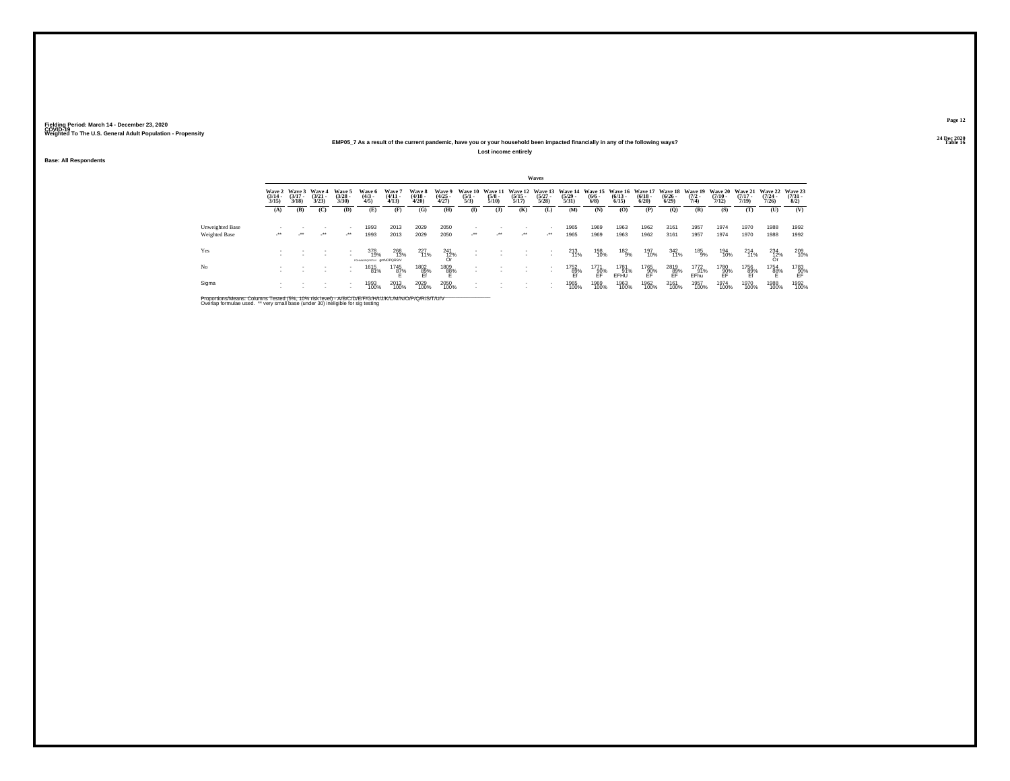### **24 Dec 2020EMP05\_7 As a result of the current pandemic, have you or your household been impacted financially in any of the following ways?Lost income entirely**

**Base: All Respondents**

|                 |                                 |                                 |                                 |                                |                                        |                                |                                 |                                |                                |                                 |                          | Waves                                    |                                  |                                                      |                      |                         |                       |                                        |                                         |                                         |                                         |                                     |
|-----------------|---------------------------------|---------------------------------|---------------------------------|--------------------------------|----------------------------------------|--------------------------------|---------------------------------|--------------------------------|--------------------------------|---------------------------------|--------------------------|------------------------------------------|----------------------------------|------------------------------------------------------|----------------------|-------------------------|-----------------------|----------------------------------------|-----------------------------------------|-----------------------------------------|-----------------------------------------|-------------------------------------|
|                 | Wave 2<br>$\frac{(3/14)}{3/15}$ | Wave 3<br>$\frac{(3/17)}{3/18}$ | Wave 4<br>$\frac{(3/21)}{3/23}$ | Wave 5<br>$\binom{3/28}{3/30}$ | Wave 6<br>$\binom{4/3}{4/5}$           | Wave 7<br>$\frac{(4/11}{4/13}$ | Wave 8<br>$\frac{(4/18)}{4/20}$ | Wave 9<br>$\binom{4/25}{4/27}$ | Wave 10<br>$\frac{(5/1)}{5/3}$ | Wave 11<br>$\frac{(5/8)}{5/10}$ | $\frac{(5/15)}{5/17}$    | Wave 12 Wave 13<br>$\frac{(5/27)}{5/28}$ | Wave 14<br>$\frac{(5/29)}{5/31}$ | Wave 15 Wave 16 Wave 17<br>$\frac{(6/6 - 6)}{(6/8)}$ | $\binom{6/13}{6/15}$ | $\frac{(6/18)}{(6/20)}$ | $\frac{(6/26)}{6/29}$ | Wave 18 Wave 19<br>$\frac{(7/2)}{7/4}$ | <b>Wave 20</b><br>$\frac{(7/10)}{7/12}$ | <b>Wave 21</b><br>$\frac{(7/17)}{7/19}$ | <b>Wave 22</b><br>$\frac{(7/24)}{7/26}$ | Wave 23<br>$\frac{(7/31 - 1)}{8/2}$ |
|                 | (A)                             | (B)                             | (C)                             | (D)                            | (E)                                    | (F)                            | (G)                             | (H)                            | $\mathbf{I}$                   | $($ $\bf{J}$                    | (K)                      | (L)                                      | (M)                              | (N)                                                  | (O)                  | (P)                     | (Q)                   | (R)                                    | (S)                                     | (T)                                     | (U)                                     | (V)                                 |
| Unweighted Base |                                 |                                 |                                 |                                | 1993                                   | 2013                           | 2029                            | 2050                           |                                |                                 |                          |                                          | 1965                             | 1969                                                 | 1963                 | 1962                    | 3161                  | 1957                                   | 1974                                    | 1970                                    | 1988                                    | 1992                                |
| Weighted Base   | $\cdot$                         | $\cdot$                         | $\overline{\phantom{a}}$        | $\mathcal{L}^{\bullet\bullet}$ | 1993                                   | 2013                           | 2029                            | 2050                           | $\mathcal{L}^{\star\star}$     | $\mathcal{L}^{\bullet\bullet}$  | $\cdot$                  | $\cdot$                                  | 1965                             | 1969                                                 | 1963                 | 1962                    | 3161                  | 1957                                   | 1974                                    | 1970                                    | 1988                                    | 1992                                |
| Yes             |                                 |                                 |                                 |                                | 378<br>19%<br>FGHMNOPORSTLV QMNOPORSIV | 268<br>13%                     | 227<br>11%                      | $\frac{241}{0r}$               |                                |                                 | $\overline{\phantom{a}}$ | $\sim$                                   | 213<br>11%                       | 198<br>10%                                           | 182<br>9%            | 197<br>10%              | 342<br>11%            | 185<br>9%                              | 194<br>10%                              | $^{214}_{11\%}$                         | $^{234}_{\substack{12\%\\ \text{Or}}}$  | 209<br>10%                          |
| No              |                                 |                                 |                                 |                                | 1615<br>81%                            | 1745<br>87%                    | 1802<br>89%<br>Ef               | 1809<br>88%                    |                                |                                 | $\overline{\phantom{a}}$ |                                          | 1752<br>89%<br>Ef                | 1771<br>90%<br>FF                                    | 1781<br>91%<br>EFHU  | 1765<br>90%<br>FF       | 2819<br>89%<br>EF     | 1772<br>91%<br>EFhu                    | 1780<br>-90%<br>EF                      | 1756<br>89%<br>Ef                       | 1754<br>8 <u>8</u> %                    | $^{1783}_{90\%}$                    |
| Sigma           |                                 |                                 |                                 | $\overline{\phantom{a}}$       | 1993<br>100%                           | 2013<br>100%                   | 2029<br>100%                    | 2050<br>100%                   |                                |                                 |                          | $\overline{\phantom{a}}$                 | 1965<br>100%                     | 1969<br>100%                                         | 1963<br>100%         | 1962<br>100%            | 3161<br>100%          | 1957<br>100%                           | 1974<br>100%                            | 1970<br>100%                            | 1988<br>100%                            | 1992<br>100%                        |

Proportions/Means: Columns Tested (5%, 10% risk level) - A/B/C/D/E/F/G/H/I/J/K/L/M/N/O/P/Q/R/S/T/U/V<br>Overlap formulae used. \*\* very small base (under 30) ineligible for sig testing

**Page 1224 Dec 2020<br>Table 16** 

**Table 16 Table 16 Table 16 Table 16 Table 16 Table 16 Table 16 Table 16**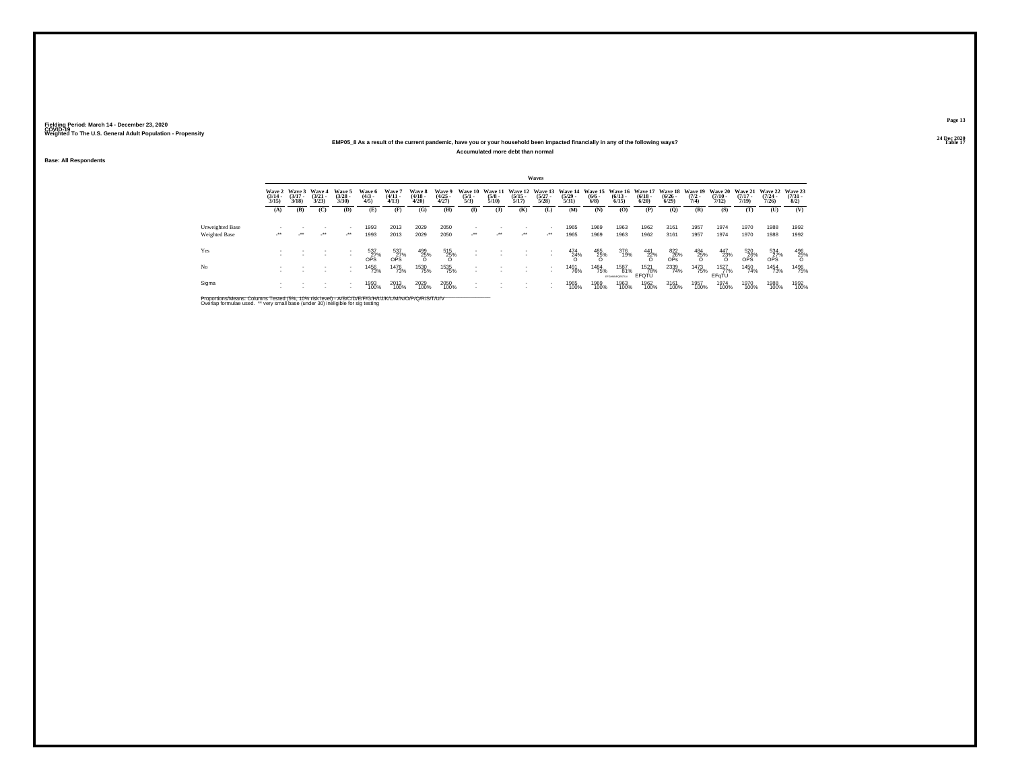### **24 Dec 2020EMP05\_8 As a result of the current pandemic, have you or your household been impacted financially in any of the following ways?Accumulated more debt than normal**

**Base: All Respondents**

|                 |                                 |                                 |                                 |                                |                                         |                                         |                                 |                                |                                |                                 |                       | <b>Waves</b>                             |                                                                          |                           |                                    |                      |                                                     |                                        |                       |                                                  |                                   |                                     |
|-----------------|---------------------------------|---------------------------------|---------------------------------|--------------------------------|-----------------------------------------|-----------------------------------------|---------------------------------|--------------------------------|--------------------------------|---------------------------------|-----------------------|------------------------------------------|--------------------------------------------------------------------------|---------------------------|------------------------------------|----------------------|-----------------------------------------------------|----------------------------------------|-----------------------|--------------------------------------------------|-----------------------------------|-------------------------------------|
|                 | Wave 2<br>$\frac{(3/14)}{3/15}$ | Wave 3<br>$\frac{(3/17)}{3/18}$ | Wave 4<br>$\frac{(3/21)}{3/23}$ | Wave 5<br>$\binom{3/28}{3/30}$ | Wave 6<br>$\binom{4/3}{4/5}$            | Wave 7<br>$\frac{(4/11}{4/13}$          | Wave 8<br>$\frac{(4/18)}{4/20}$ | Wave 9<br>$\binom{4/25}{4/27}$ | Wave 10<br>$\frac{(5/1)}{5/3}$ | Wave 11<br>$\frac{(5/8)}{5/10}$ | $\frac{(5/15)}{5/17}$ | $\binom{5/27}{5/28}$                     | Wave 12 Wave 13 Wave 14 Wave 15 Wave 16 Wave 17<br>$\frac{(5/29)}{5/31}$ | $\frac{(6/6 - 6)}{(6/8)}$ | $\binom{6/13}{6/15}$               | $\binom{6/18}{6/20}$ | $\frac{(6/26)}{6/29}$                               | Wave 18 Wave 19<br>$\frac{(7/2)}{7/4}$ | $\frac{(7/10)}{7/12}$ | Wave 20 Wave 21 Wave 22<br>$\frac{(7/17)}{7/19}$ | $\frac{(7/24)}{7/26}$             | Wave 23<br>$\frac{(7/31 - 1)}{8/2}$ |
|                 | (A)                             | (B)                             | (C)                             | (D)                            | (E)                                     | (F)                                     | (G)                             | (H)                            | $\mathbf{I}$                   | ( <b>J</b> )                    | (K)                   | (L)                                      | (M)                                                                      | (N)                       | (O)                                | (P)                  | (Q)                                                 | (R)                                    | (S)                   | (T)                                              | (U)                               | (V)                                 |
| Unweighted Base |                                 |                                 |                                 |                                | 1993                                    | 2013                                    | 2029                            | 2050                           |                                |                                 |                       | $\overline{\phantom{a}}$                 | 1965                                                                     | 1969                      | 1963                               | 1962                 | 3161                                                | 1957                                   | 1974                  | 1970                                             | 1988                              | 1992                                |
| Weighted Base   | $\cdot$                         | $\cdot$                         | $\cdot$                         | $\mathcal{L}^{\bullet\bullet}$ | 1993                                    | 2013                                    | 2029                            | 2050                           | $\cdot$                        | $\mathcal{L}^{\bullet\bullet}$  | $\cdot$               | $\cdot$                                  | 1965                                                                     | 1969                      | 1963                               | 1962                 | 3161                                                | 1957                                   | 1974                  | 1970                                             | 1988                              | 1992                                |
| Yes             |                                 |                                 |                                 | . .                            | $^{537}_{\substack{27\%\\ \text{OPS}}}$ | $^{537}_{\substack{27\%\\ \text{OPS}}}$ | $^{499}_{25\%}$                 | 515<br>25%<br>O                |                                |                                 |                       | $\overline{\phantom{a}}$<br>$\mathbf{r}$ | $^{474}_{24\%}$                                                          | $\frac{485}{25\%}$        | 376<br>19%                         | $\frac{441}{22\%}$   | $\overset{822}{\underset{\text{OPs}}{\text{26\%}}}$ | $^{484}_{25\%}$                        | $^{447}_{23\%}$       | $\frac{520}{0P}$ S%                              | $\frac{534}{0P}$ S <sup>27%</sup> | $^{496}_{25\%}$                     |
| No              |                                 |                                 |                                 | . .                            | 1456<br>73%                             | <sup>1476</sup> 73%                     | 1530<br>75%                     | 1535<br>75%                    |                                |                                 |                       | $\overline{\phantom{a}}$                 | 1491<br>76%                                                              | 1484<br>75%               | 1587<br>81%<br><b>CCGANDORSTIA</b> | 1521<br>78%<br>EFQTU | 2339<br>74%                                         | 1473<br>75%                            | 1527<br>77%<br>EFGTU  | 1450<br>74%                                      | 1454<br>73%                       | 1496<br>75%                         |
| Sigma           |                                 |                                 |                                 | $\overline{\phantom{a}}$       | 1993<br>100%                            | 2013<br>100%                            | 2029<br>100%                    | 2050<br>100%                   |                                |                                 |                       |                                          | 1965<br>100%                                                             | 1969<br>100%              | 1963<br>100%                       | 1962<br>100%         | 3161<br>100%                                        | 1957<br>100%                           | 1974<br>100%          | 1970<br>100%                                     | 1988<br>100%                      | 1992<br>100%                        |

Proportions/Means: Columns Tested (5%, 10% risk level) - A/B/C/D/E/F/G/H/I/J/K/L/M/N/O/P/Q/R/S/T/U/V<br>Overlap formulae used. \*\* very small base (under 30) ineligible for sig testing

**Page 1324 Dec 2020<br>Table 17** 

**Table 17 Table 17 Table 17 Table 17 Table 17 Table 17 Table 17**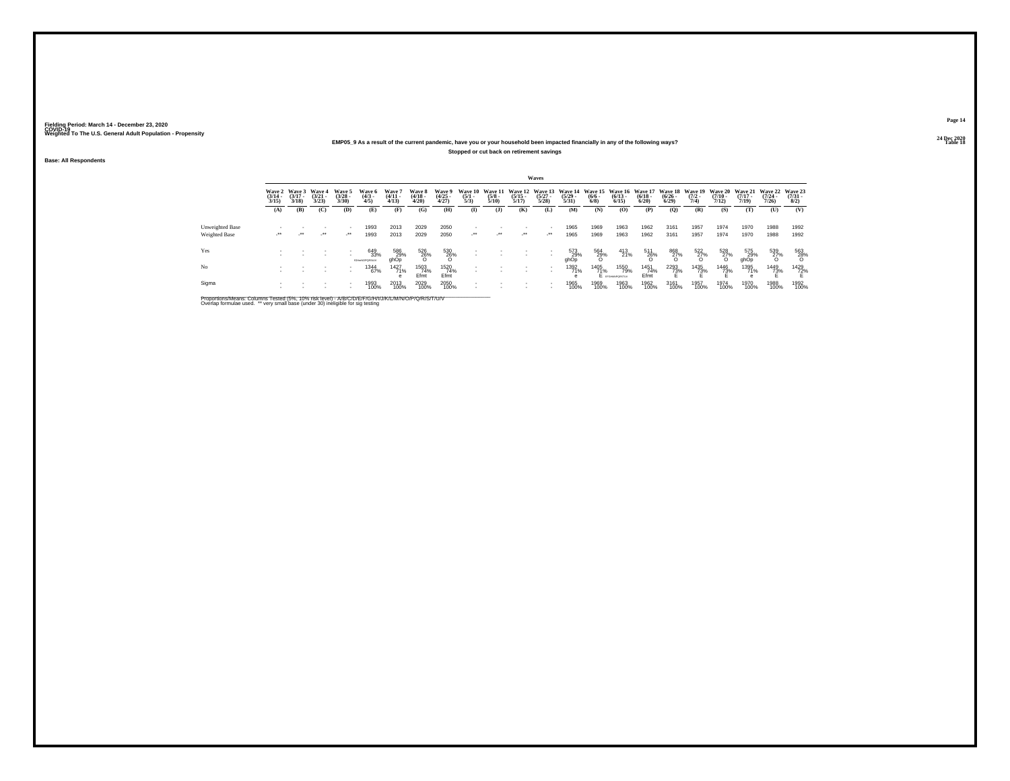## **24 Dec 2020EMP05\_9 As a result of the current pandemic, have you or your household been impacted financially in any of the following ways?Stopped or cut back on retirement savings**

**Base: All Respondents**

|                 |                                 |                                 |                                 |                                |                                    |                                |                                 |                                |                                |                                 |                                          | Waves                                                |                                         |                                              |                                 |                                 |                                          |                     |                                         |                                  |                                         |                                     |
|-----------------|---------------------------------|---------------------------------|---------------------------------|--------------------------------|------------------------------------|--------------------------------|---------------------------------|--------------------------------|--------------------------------|---------------------------------|------------------------------------------|------------------------------------------------------|-----------------------------------------|----------------------------------------------|---------------------------------|---------------------------------|------------------------------------------|---------------------|-----------------------------------------|----------------------------------|-----------------------------------------|-------------------------------------|
|                 | Wave 2<br>$\frac{(3/14)}{3/15}$ | Wave 3<br>$\frac{(3/17)}{3/18}$ | Wave 4<br>$\frac{(3/21)}{3/23}$ | Wave 5<br>$\binom{3/28}{3/30}$ | Wave 6<br>$\binom{4/3}{4/5}$       | Wave 7<br>$\frac{(4/11}{4/13}$ | Wave 8<br>$\frac{(4/18)}{4/20}$ | Wave 9<br>$\binom{4/25}{4/27}$ | Wave 10<br>$\frac{(5/1)}{5/3}$ | Wave 11<br>$\frac{(5/8)}{5/10}$ | Wave 12 Wave 13<br>$\frac{(5/15)}{5/17}$ | $\binom{5/27}{5/28}$                                 | Wave 14<br>$\frac{(5/29 - 5/31)}{5/31}$ | Wave 15 Wave 16<br>$\frac{(6/6 - 6)}{(6/8)}$ | $\binom{6/13}{6/15}$            | Wave 17<br>$\binom{6/18}{6/20}$ | Wave 18 Wave 19<br>$\frac{(6/26)}{6/29}$ | $\frac{(7/2)}{7/4}$ | <b>Wave 20</b><br>$\frac{(7/10)}{7/12}$ | Wave 21<br>$\frac{(7/17)}{7/19}$ | <b>Wave 22</b><br>$\frac{(7/24)}{7/26}$ | Wave 23<br>$\frac{(7/31 - 8)}{8/2}$ |
|                 | (A)                             | (B)                             | (C)                             | (D)                            | (E)                                | (F)                            | (G)                             | (H)                            | $\mathbf{I}$                   | ( <b>J</b> )                    | (K)                                      | (L)                                                  | (M)                                     | (N)                                          | (O)                             | (P)                             | (Q)                                      | (R)                 | (S)                                     | (T)                              | (U)                                     | (V)                                 |
| Unweighted Base |                                 |                                 |                                 |                                | 1993                               | 2013                           | 2029                            | 2050                           |                                |                                 |                                          | $\overline{\phantom{a}}$                             | 1965                                    | 1969                                         | 1963                            | 1962                            | 3161                                     | 1957                | 1974                                    | 1970                             | 1988                                    | 1992                                |
| Weighted Base   | $\cdot$                         | $\cdot$                         | $\cdot$                         | $\mathcal{L}^{\bullet\bullet}$ | 1993                               | 2013                           | 2029                            | 2050                           | $\cdot$                        | $\mathcal{L}^{\bullet\bullet}$  |                                          | $\cdot$                                              | 1965                                    | 1969                                         | 1963                            | 1962                            | 3161                                     | 1957                | 1974                                    | 1970                             | 1988                                    | 1992                                |
| Yes             |                                 |                                 |                                 |                                | 649<br>33%<br><b>IGH-NOPORSIJV</b> | 586<br>29%<br>ghOp             | 526<br>26%<br>0                 | $^{530}_{26\%}$                |                                |                                 |                                          |                                                      | 573<br>29%<br>ahOp                      | $\frac{564}{29\%}$                           | 413<br>21%                      | 511<br>26%<br>O                 | 868<br>27%<br>O                          | $\frac{522}{27\%}$  | $^{528}_{27\%}$                         | 575<br>29%<br>ghOp               | 539<br>27%<br>O                         | 563<br>28%                          |
| No              |                                 |                                 |                                 |                                | 1344<br>67%                        | 1427<br>71%<br>e               | 1503<br>74%<br>Efmt             | 1520<br>74%<br>Efmt            |                                |                                 |                                          | $\overline{\phantom{a}}$<br>$\overline{\phantom{a}}$ | 1392<br>71%<br>e                        | 1405<br>71%                                  | 1550<br>79%<br>E provemporature | 1451<br>74%<br>Efmt             | <sup>2293</sup> %                        | 1435<br>73%         | 1446<br>73%                             | 1395<br>71%                      | 1449<br>73%                             | 1429<br>72%                         |
| Sigma           |                                 |                                 |                                 | . .                            | 1993<br>100%                       | 2013<br>100%                   | 2029<br>100%                    | 2050<br>100%                   |                                |                                 |                                          |                                                      | 1965<br>100%                            | 1969<br>100%                                 | 1963<br>100%                    | 1962<br>100%                    | 3161<br>100%                             | 1957<br>100%        | 1974<br>100%                            | 1970<br>100%                     | 1988<br>100%                            | 1992<br>100%                        |

Proportions/Means: Columns Tested (5%, 10% risk level) - A/B/C/D/E/F/G/H/I/J/K/L/M/N/O/P/Q/R/S/T/U/V<br>Overlap formulae used. \*\* very small base (under 30) ineligible for sig testing

**Page 1424 Dec 2020<br>Table 18** 

**Table 18 Table 18 Table 18 Table 18 Table 18 Table 18 Table 18 Table 18**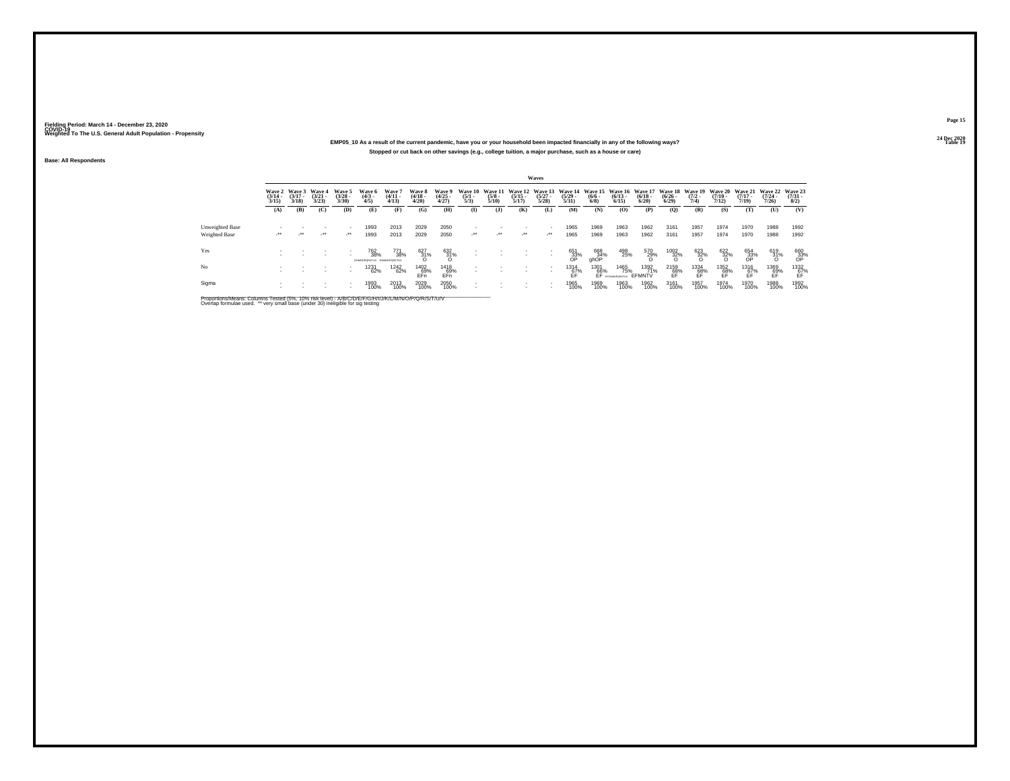## **24 Dec 2020EMP05\_10 As a result of the current pandemic, have you or your household been impacted financially in any of the following ways?Stopped or cut back on other savings (e.g., college tuition, a major purchase, such as a house or care)**

**Base: All Respondents**

|                                         |                                 |                                        |                                 |                                     |                                       |                                |                                 |                                |                                |                                 |                                  | Waves                           |                                  |                                       |                                 |                                        |                                      |                                |                                               |                                  |                                                                                     |                                |
|-----------------------------------------|---------------------------------|----------------------------------------|---------------------------------|-------------------------------------|---------------------------------------|--------------------------------|---------------------------------|--------------------------------|--------------------------------|---------------------------------|----------------------------------|---------------------------------|----------------------------------|---------------------------------------|---------------------------------|----------------------------------------|--------------------------------------|--------------------------------|-----------------------------------------------|----------------------------------|-------------------------------------------------------------------------------------|--------------------------------|
|                                         | Wave 2<br>$\frac{(3/14)}{3/15}$ | <b>Wave 3</b><br>$\frac{(3/17)}{3/18}$ | Wave 4<br>$\frac{(3/21)}{3/23}$ | Wave 5<br>$\binom{3/28}{3/30}$      | Wave 6<br>$\binom{4/3}{4/5}$          | Wave 7<br>$\binom{4/11}{4/13}$ | Wave 8<br>$\frac{(4/18)}{4/20}$ | Wave 9<br>$\binom{4/25}{4/27}$ | Wave 10<br>$\frac{(5/1)}{5/3}$ | Wave 11<br>$\frac{(5/8)}{5/10}$ | Wave 12<br>$\frac{(5/15)}{5/17}$ | Wave 13<br>$\binom{5/27}{5/28}$ | Wave 14<br>$\frac{(5/29)}{5/31}$ | <b>Wave 15</b><br>$\frac{(6/6)}{6/8}$ | Wave 16<br>$\binom{6/13}{6/15}$ | <b>Wave 17</b><br>$\binom{6/18}{6/20}$ | Wave 18<br>$\frac{(6/26 - 6)}{6/29}$ | Wave 19<br>$\frac{(7/2)}{7/4}$ | Wave 20<br>$\frac{(7/10)}{7/12}$              | Wave 21<br>$\frac{(7/17)}{7/19}$ | Wave 22<br>$(7/24 -$<br>7/26                                                        | Wave 23<br>$\binom{7/31}{8/2}$ |
|                                         | (A)                             | (B)                                    | (C)                             | (D)                                 | (E)                                   | (F)                            | (G)                             | (H)                            | $($ I                          | $($ $\bf{J}$                    | (K)                              | (L)                             | (M)                              | (N)                                   | (O)                             | (P)                                    | (Q)                                  | (R)                            | (S)                                           | (T)                              | (U)                                                                                 | (V)                            |
| <b>Unweighted Base</b><br>Weighted Base |                                 | $\cdot$                                | $\cdot$                         | $\overline{\phantom{a}}$<br>$\cdot$ | 1993<br>1993                          | 2013<br>2013                   | 2029<br>2029                    | 2050<br>2050                   | $\cdot$                        | $\cdot$                         | $\cdot$                          | $\cdot$                         | 1965<br>1965                     | 1969<br>1969                          | 1963<br>1963                    | 1962<br>1962                           | 3161<br>3161                         | 1957<br>1957                   | 1974<br>1974                                  | 1970<br>1970                     | 1988<br>1988                                                                        | 1992<br>1992                   |
|                                         |                                 |                                        |                                 |                                     |                                       |                                |                                 |                                |                                |                                 |                                  |                                 |                                  |                                       |                                 |                                        |                                      |                                |                                               |                                  |                                                                                     |                                |
| Yes                                     |                                 |                                        |                                 | ٠                                   | 762<br>38%<br>GHMOPORSTUV GHMOPORSTUV | 771<br>38%                     | 627<br>31%                      | $\underset{\text{O}}{^{632}}$  |                                |                                 |                                  |                                 | 651<br>33%                       | 668<br>9hOP                           | 498<br>25%                      | 570<br>29%                             | $^{1002}_{32\%}$                     | $\frac{623}{32\%}$             | $\frac{622}{32\%}$                            | 654<br>33%                       | $\frac{619}{31\%}$                                                                  | 660<br>33%<br>OP               |
| No                                      |                                 |                                        |                                 | $\overline{\phantom{a}}$            | 1231<br>62%                           | <sup>1242</sup> 62%            | 1402<br>69%<br>FFn              | 1418<br>69%<br>EFn             |                                |                                 |                                  |                                 | 1314<br>$E_F^2$                  | 1301<br>66%                           | 1465<br>75%<br>EF EFGHANPORSTUY | 1392<br>71%<br>EFMNTV                  | $^{2159}_{68\%}$                     | 1334<br>68%<br>FF              | $\underset{\substack{68\\ \text{EF}}}^{1352}$ | 1316<br>67%<br>FF                | $\underset{\substack{\mathbf{69}\ \mathbf{69}\ \mathbf{69}}{\mathbf{69}}}\nolimits$ | $^{1332}_{67\%}$               |
| Sigma                                   |                                 |                                        |                                 |                                     | 1993<br>100%                          | 2013<br>100%                   | 2029<br>100%                    | 2050<br>100%                   |                                |                                 |                                  |                                 | 1965<br>100%                     | 1969<br>100%                          | 1963<br>100%                    | 1962<br>100%                           | 3161<br>100%                         | 1957<br>100%                   | 1974<br>100%                                  | 1970<br>100%                     | 1988<br>100%                                                                        | 1992<br>100%                   |

Proportions/Means: Columns Tested (5%, 10% risk level) - A/B/C/D/E/F/G/H/I/J/K/L/M/N/O/P/Q/R/S/T/U/V<br>Overlap formulae used. \*\* very small base (under 30) ineligible for sig testing

**Page 15**24 Dec 2020<br>Table 19

**Table 19 Table 19 Table 19 Table 19 Table 19 Table 19 Table 19 Table 19**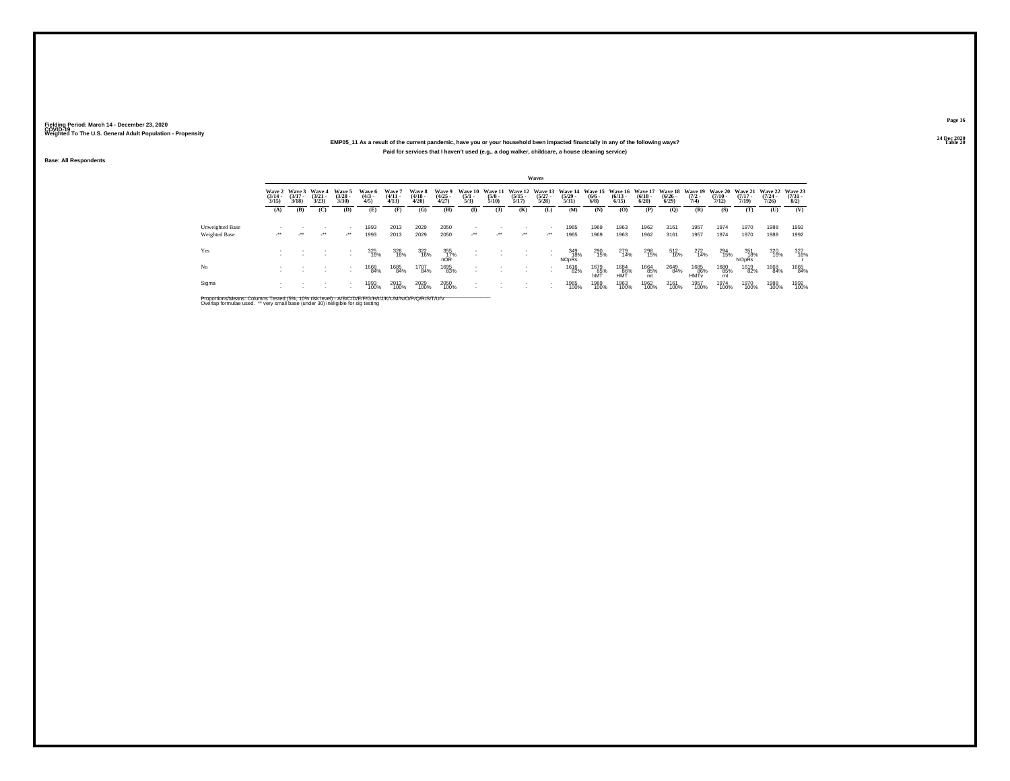## **24 Dec 2020EMP05\_11 As a result of the current pandemic, have you or your household been impacted financially in any of the following ways?Paid for services that I haven't used (e.g., a dog walker, childcare, a house cleaning service)**

**Base: All Respondents**

|                 |                                 |                             |                                 |                                |                               |                                |                                        |                          |                                |                                        |                       | Waves                                    |                                  |                                       |                      |                                    |                                          |                                       |                                             |                                       |                                  |                                |
|-----------------|---------------------------------|-----------------------------|---------------------------------|--------------------------------|-------------------------------|--------------------------------|----------------------------------------|--------------------------|--------------------------------|----------------------------------------|-----------------------|------------------------------------------|----------------------------------|---------------------------------------|----------------------|------------------------------------|------------------------------------------|---------------------------------------|---------------------------------------------|---------------------------------------|----------------------------------|--------------------------------|
|                 | Wave 2<br>$\frac{(3/14)}{3/15}$ | Wave 3<br>$(3/17 -$<br>3/18 | Wave 4<br>$\frac{(3/21)}{3/23}$ | Wave 5<br>$\binom{3/28}{3/30}$ | Wave 6<br>$\frac{(4/3)}{4/5}$ | Wave?<br>$\frac{(4/11)}{4/13}$ | Wave 8<br>$\frac{(4/18 - 4/28)}{4/20}$ | Wave 9<br>(4/25<br>4/27) | Wave 10<br>$\frac{(5/1)}{5/3}$ | <b>Wave 11</b><br>$\frac{(5/8)}{5/10}$ | $\frac{(5/15)}{5/17}$ | Wave 12 Wave 13<br>$\frac{(5/27)}{5/28}$ | Wave 14<br>$\frac{(5/29)}{5/31}$ | Wave 15 Wave 16<br>$\binom{6/6}{6/8}$ | $\binom{6/13}{6/15}$ | Wave 17<br>$\frac{(6/18)}{(6/20)}$ | Wave 18 Wave 19<br>$\frac{(6/26)}{6/29}$ | $\frac{(7/2)}{7/4}$                   | <b>Wave 20</b><br>$\frac{(7/10 - 7)}{7/12}$ | Wave 21<br>$\frac{(7/17)}{7/19}$      | Wave 22<br>$\frac{(7/24)}{7/26}$ | Wave 23<br>$\binom{7/31}{8/2}$ |
|                 | (A)                             | (B)                         | (C)                             | (D)                            | (E)                           | (F)                            | (G)                                    | (H)                      | $\mathbf{I}$                   | $($ $)$                                | (K)                   | (L)                                      | (M)                              | (N)                                   | (0)                  | (P)                                | (O)                                      | (R)                                   | (S)                                         | (T)                                   | (U)                              | (V)                            |
| Unweighted Base |                                 |                             |                                 | $\overline{\phantom{a}}$       | 1993                          | 2013                           | 2029                                   | 2050                     |                                |                                        |                       |                                          | 1965                             | 1969                                  | 1963                 | 1962                               | 3161                                     | 1957                                  | 1974                                        | 1970                                  | 1988                             | 1992                           |
| Weighted Base   | $\cdot$                         | $\cdot$                     | $\cdot$                         | $\mathcal{L}^{\bullet\bullet}$ | 1993                          | 2013                           | 2029                                   | 2050                     | $\cdot$                        | $\mathcal{L}^{\bullet\bullet}$         | $\cdot$               | $\cdot$                                  | 1965                             | 1969                                  | 1963                 | 1962                               | 3161                                     | 1957                                  | 1974                                        | 1970                                  | 1988                             | 1992                           |
| Yes             |                                 |                             |                                 | $\overline{\phantom{a}}$       | 325<br>16%                    | 328<br>16%                     | 322<br>16%                             | 355<br>17%<br>nOR        | $\sim$                         |                                        |                       |                                          | 349<br>18%<br>NOpRs              | 290<br>15%                            | 279<br>14%           | 298<br>15%                         | 512<br>16%                               | 272<br>14%                            | 294<br>15%                                  | 351<br>18%<br><b>NO<sub>DRS</sub></b> | 320<br>16%                       | 327<br>16%                     |
| No              |                                 |                             |                                 | $\overline{\phantom{a}}$       | 1668<br>84%                   | 1685<br>84%                    | 1707<br>84%                            | 1695<br>83%              |                                |                                        |                       |                                          | 1616<br>82%                      | 1679<br>85%<br>hMT                    | 1684<br>86%<br>HMT   | 1664<br>85%<br>mt                  | 2649<br>84%                              | 1685<br>86%<br><b>HMT<sub>v</sub></b> | 1680<br>85%<br>mt                           | 1619<br>82%                           | 1668<br>84%                      | 1665<br>84%                    |
| Sigma           |                                 |                             |                                 | $\overline{\phantom{a}}$       | 1993<br>100%                  | 2013<br>100%                   | 2029<br>100%                           | 2050<br>100%             |                                |                                        |                       |                                          | 1965<br>100%                     | 1969<br>100%                          | 1963<br>100%         | 1962<br>100%                       | 3161<br>100%                             | 1957<br>100%                          | 1974<br>100%                                | 1970<br>100%                          | 1988<br>100%                     | 1992<br>100%                   |

Proportions/Means: Columns Tested (5%, 10% risk level) - A/B/C/D/E/F/G/H/I/J/K/L/M/N/O/P/Q/R/S/T/U/V<br>Overlap formulae used. \*\* very small base (under 30) ineligible for sig testing

**Page 16**24 Dec 2020<br>Table 20

**Table 20 Table 20 Table 20 Table 20 Table 20**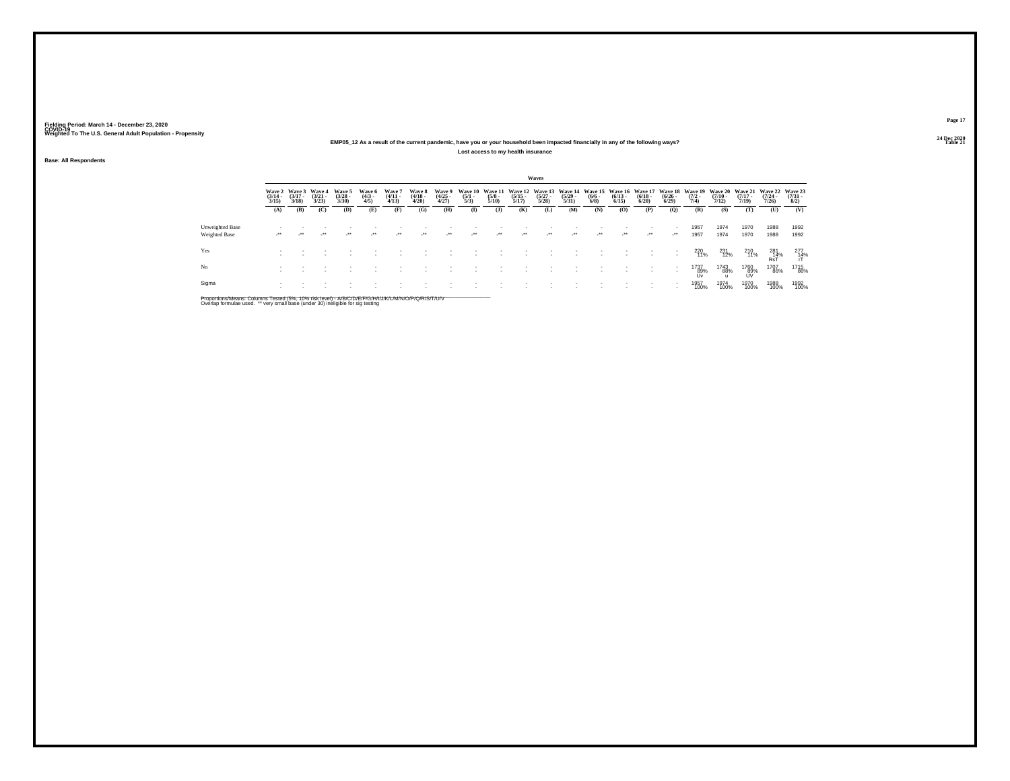## **24 Dec 2020EMP05\_12 As a result of the current pandemic, have you or your household been impacted financially in any of the following ways?**

**Lost access to my health insurance**

**Base: All Respondents**

|                                  |                                 |                                        |                                 |                                |                              |                                |                                 |                                |                                |                                 |                                          | Waves                |                                  |                                                |                       |                       |                       |                                                        |                             |                       |                                          |                          |
|----------------------------------|---------------------------------|----------------------------------------|---------------------------------|--------------------------------|------------------------------|--------------------------------|---------------------------------|--------------------------------|--------------------------------|---------------------------------|------------------------------------------|----------------------|----------------------------------|------------------------------------------------|-----------------------|-----------------------|-----------------------|--------------------------------------------------------|-----------------------------|-----------------------|------------------------------------------|--------------------------|
|                                  | Wave 2<br>$\frac{(3/14)}{3/15}$ | <b>Wave 3</b><br>$\frac{(3/17)}{3/18}$ | Wave 4<br>$\frac{(3/21)}{3/23}$ | Wave 5<br>$\binom{3/28}{3/30}$ | Wave 6<br>$\binom{4/3}{4/5}$ | Wave 7<br>$\binom{4/11}{4/13}$ | Wave 8<br>$\frac{(4/18)}{4/20}$ | Wave 9<br>$\binom{4/25}{4/27}$ | Wave 10<br>$\frac{(5/1)}{5/3}$ | Wave 11<br>$\frac{(5/8)}{5/10}$ | Wave 12 Wave 13<br>$\frac{(5/15)}{5/17}$ | $\binom{5/27}{5/28}$ | Wave 14<br>$\frac{(5/29)}{5/31}$ | Wave 15 Wave 16 Wave 17<br>$\frac{(6/6)}{6/8}$ | $\frac{(6/13)}{6/15}$ | $\frac{(6/18)}{6/20}$ | $\frac{(6/26)}{6/29}$ | Wave 18 Wave 19 Wave 20 Wave 21<br>$\frac{(7/2)}{7/4}$ | $\frac{(7/10)}{7/12}$       | $\frac{(7/17)}{7/19}$ | Wave 22 Wave 23<br>$\frac{(7/24)}{7/26}$ | $\frac{(7/31 - 1)}{8/2}$ |
|                                  | (A)                             | (B)                                    | (C)                             | (D)                            | (E)                          | (F)                            | (G)                             | (H)                            | $\bf (I)$                      | $\mathbf{J}$                    | (K)                                      | (L)                  | (M)                              | (N)                                            | (O)                   | (P)                   | $\mathbf{Q}$          | (R)                                                    | (S)                         | (T)                   | (U)                                      | (V)                      |
| Unweighted Base<br>Weighted Base | $\cdot$                         | $\bullet\bullet$                       | -**                             | $\star$                        | $\cdot$                      | $\rightarrow$                  | $\cdot$                         | $\cdot$                        | $\cdot$                        | $\cdot$                         | $\cdot$                                  | $\cdot$              | $\cdot$                          | $\cdot$                                        | $\cdot$               | $\cdot$               | $\cdot$               | 1957<br>1957                                           | 1974<br>1974                | 1970<br>1970          | 1988<br>1988                             | 1992<br>1992             |
| Yes                              |                                 |                                        |                                 |                                |                              |                                |                                 |                                |                                |                                 |                                          |                      |                                  |                                                |                       |                       |                       | 220<br>11%                                             | 231<br>12%                  | 210<br>11%            | $\underset{\text{RsT}}{^{281}}$          | $^{277}_{14\%}$          |
| No                               |                                 |                                        |                                 |                                |                              |                                |                                 |                                |                                |                                 |                                          |                      |                                  |                                                |                       |                       |                       | 1737<br>89%<br><b>Uv</b>                               | 1743<br>88%<br>$\mathbf{u}$ | 1760<br>89%<br>UV     | 1707<br>86%                              | <sup>1715</sup> 86%      |
| Sigma                            |                                 |                                        |                                 |                                |                              |                                |                                 |                                |                                |                                 |                                          |                      |                                  |                                                |                       |                       | . .                   | 1957<br>100%                                           | 1974<br>100%                | 1970<br>100%          | 1988<br>100%                             | 1992<br>100%             |

Proportions/Means: Columns Tested (5%, 10% risk level) - A/B/C/D/E/F/G/H/I/J/K/L/M/N/O/P/Q/R/S/T/U/V<br>Overlap formulae used. \*\* very small base (under 30) ineligible for sig testing

**Page 1724 Dec 2020<br>Table 21** 

**Table 21 Table 21 Table 21**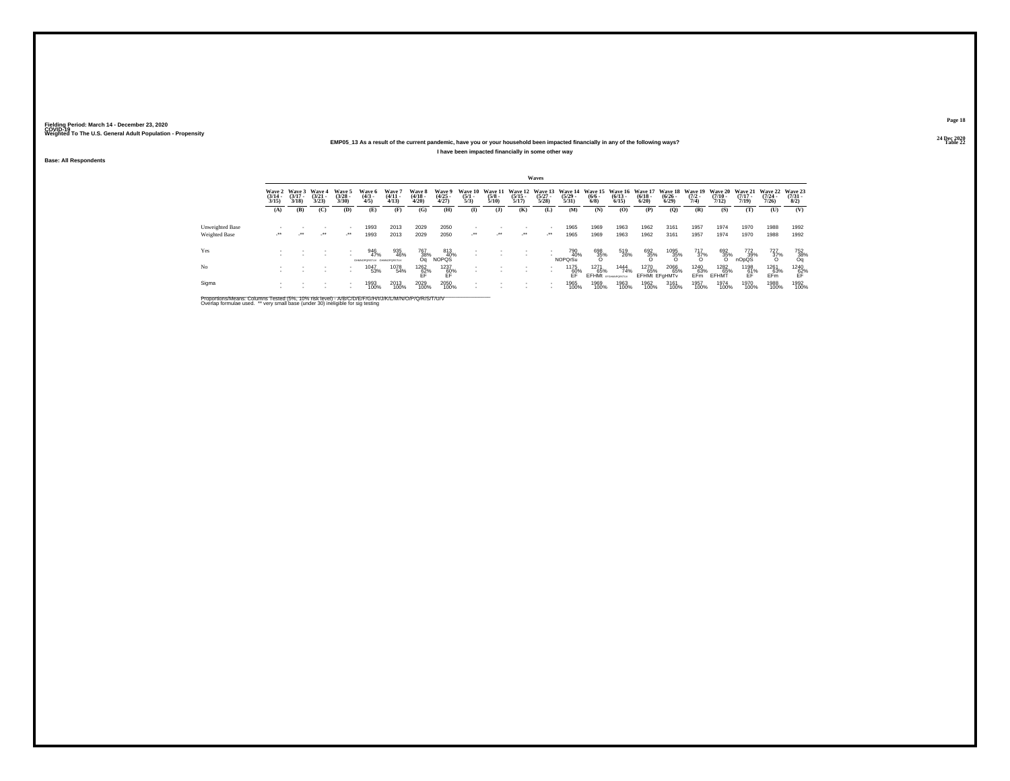## **24 Dec 2020EMP05\_13 As a result of the current pandemic, have you or your household been impacted financially in any of the following ways?I have been impacted financially in some other way**

**Base: All Respondents**

|                        |                                 |                             |                                 |                                |                                         |                                 |                                                                                 |                                |                                |                                 |                                          | Waves                                                |                                         |                           |                                           |                                     |                                          |                                |                                         |                                     |                                         |                                |
|------------------------|---------------------------------|-----------------------------|---------------------------------|--------------------------------|-----------------------------------------|---------------------------------|---------------------------------------------------------------------------------|--------------------------------|--------------------------------|---------------------------------|------------------------------------------|------------------------------------------------------|-----------------------------------------|---------------------------|-------------------------------------------|-------------------------------------|------------------------------------------|--------------------------------|-----------------------------------------|-------------------------------------|-----------------------------------------|--------------------------------|
|                        | Wave 2<br>$\frac{(3/14)}{3/15}$ | Wave 3<br>$(3/17 -$<br>3/18 | Wave 4<br>$\frac{(3/21)}{3/23}$ | Wave 5<br>$\binom{3/28}{3/30}$ | Wave 6<br>$\binom{4/3}{4/5}$            | Wave 7<br>$\frac{(4/11)}{4/13}$ | Wave 8<br>$\frac{(4/18)}{4/20}$                                                 | Wave 9<br>$\binom{4/25}{4/27}$ | Wave 10<br>$\frac{(5/1)}{5/3}$ | Wave 11<br>$\frac{(5/8)}{5/10}$ | Wave 12 Wave 13<br>$\frac{(5/15)}{5/17}$ | $\frac{(5/27)}{5/28}$                                | Wave 14<br>$\frac{(5/29 - 5/31)}{5/31}$ | $\frac{(6/6 - 6)}{(6/8)}$ | Wave 15 Wave 16<br>$\binom{6/13}{6/15}$   | Wave 17<br>$\binom{6/18}{6/20}$     | Wave 18 Wave 19<br>$\frac{(6/26)}{6/29}$ | $(7/2 -$<br>7/4                | <b>Wave 20</b><br>$\frac{(7/10)}{7/12}$ | <b>Wave 21</b><br>$(7/17 -$<br>7/19 | Wave 22<br>$\frac{(7/24 - 7/26)}{7/26}$ | Wave 23<br>$\binom{7/31}{8/2}$ |
|                        | (A)                             | (B)                         | (C)                             | (D)                            | (E)                                     | (F)                             | (G)                                                                             | (H)                            | $\mathbf{I}$                   | $($ $\bf{J}$                    | (K)                                      | (L)                                                  | (M)                                     | (N)                       | (O)                                       | (P)                                 | (0)                                      | (R)                            | (S)                                     | (T)                                 | (U)                                     | (V)                            |
| <b>Unweighted Base</b> |                                 |                             |                                 |                                | 1993                                    | 2013                            | 2029                                                                            | 2050                           |                                |                                 |                                          |                                                      | 1965                                    | 1969                      | 1963                                      | 1962                                | 3161                                     | 1957                           | 1974                                    | 1970                                | 1988                                    | 1992                           |
| Weighted Base          | $\cdot$                         | $\cdot$                     | $\cdot$                         | $\cdot$                        | 1993                                    | 2013                            | 2029                                                                            | 2050                           | $\cdot$                        | $\cdot$                         | $\cdot$                                  | $\cdot$                                              | 1965                                    | 1969                      | 1963                                      | 1962                                | 3161                                     | 1957                           | 1974                                    | 1970                                | 1988                                    | 1992                           |
| Yes                    |                                 |                             |                                 |                                | 946<br>47%<br>GHMNOPORSTUV GHMNOPORSTUV | 935<br>46%                      | 767<br>38%<br>Oa                                                                | 813<br>40%<br><b>NOPQS</b>     |                                |                                 | $\overline{\phantom{a}}$                 |                                                      | 790<br>40%<br><b>NOPOrSu</b>            | 698<br>35%                | 519<br>26%                                | $\frac{692}{35\%}$                  | 1095<br>35%<br>O                         | $\frac{717}{37\%}$             | 692<br>35%<br>O                         | 772<br>39%<br>nOpQS                 | 727<br>37%                              | 752<br>38%<br>Oq               |
| No                     |                                 |                             |                                 |                                | 1047<br>53%                             | 1078<br>54%                     | $\underset{\mathsf{EF}}{\overset{1262}{\underset{\mathsf{EF}}{\mathbb{82\%}}}}$ | $^{1237}_{60\%}$               | $\overline{\phantom{a}}$       |                                 |                                          | $\sim$<br>$\overline{\phantom{a}}$                   | 1175<br>60%                             | 1271<br>65%               | 1444<br>74%<br><b>EFHMt</b> provemporatur | 1270<br>65%<br><b>EFHMt EFGHMTv</b> | 2066<br>65%                              | 1240<br>63%<br>EF <sub>m</sub> | 1282<br>65%<br>EFHMT                    | 1198<br>61%<br>FF                   | 1261<br>63%<br>EFm                      | 1240<br>62%<br>EF              |
| Sigma                  |                                 |                             |                                 |                                | 1993<br>100%                            | 2013<br>100%                    | 2029<br>100%                                                                    | 2050<br>100%                   |                                |                                 |                                          | $\overline{\phantom{a}}$<br>$\overline{\phantom{a}}$ | 1965<br>100%                            | 1969<br>100%              | 1963<br>100%                              | 1962<br>100%                        | 3161<br>100%                             | 1957<br>100%                   | 1974<br>100%                            | 1970<br>100%                        | 1988<br>100%                            | 1992<br>100%                   |

Proportions/Means: Columns Tested (5%, 10% risk level) - A/B/C/D/E/F/G/H/I/J/K/L/M/N/O/P/Q/R/S/T/U/V<br>Overlap formulae used. \*\* very small base (under 30) ineligible for sig testing

**Page 1824 Dec 2020<br>Table 22** 

**Table 22 Table 22**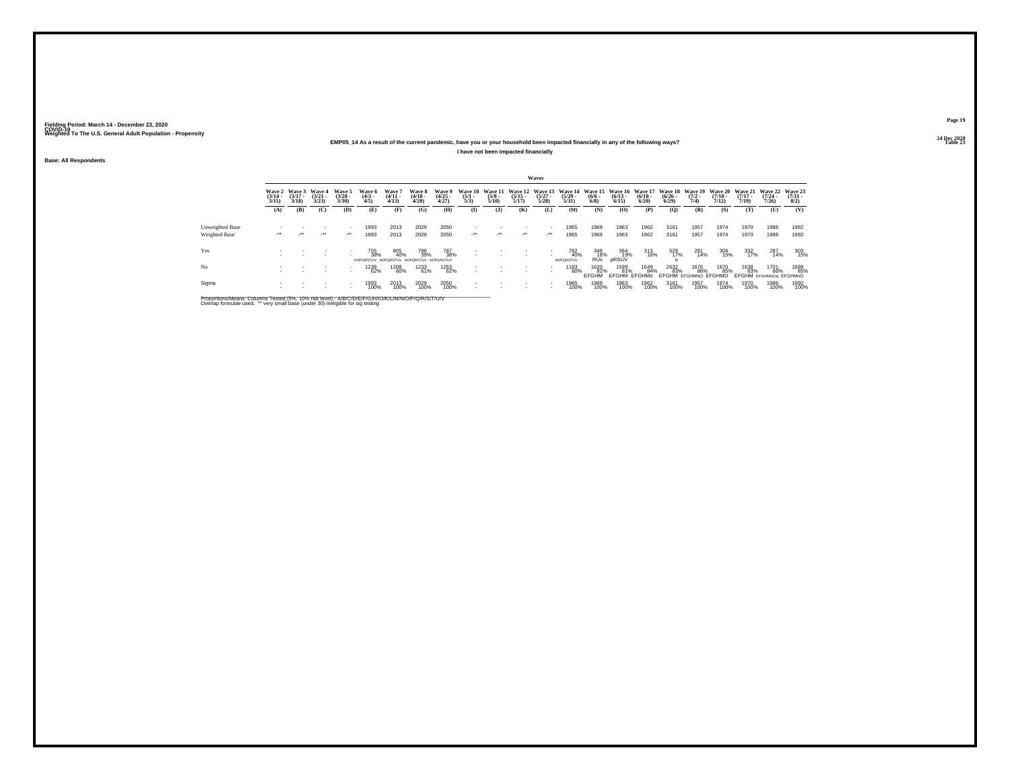## **24 Dec 2020EMP05\_14 As a result of the current pandemic, have you or your household been impacted financially in any of the following ways?I have not been impacted financially**

**Base: All Respondents**

|                 |                       |                                        |                                        |                                          |                                                       |                                 |                                 |                                |                                |                                 |                                | Waves                    |                                                                  |                                     |                                    |                                                  |                           |                                     |                       |                       |                                       |                                                             |
|-----------------|-----------------------|----------------------------------------|----------------------------------------|------------------------------------------|-------------------------------------------------------|---------------------------------|---------------------------------|--------------------------------|--------------------------------|---------------------------------|--------------------------------|--------------------------|------------------------------------------------------------------|-------------------------------------|------------------------------------|--------------------------------------------------|---------------------------|-------------------------------------|-----------------------|-----------------------|---------------------------------------|-------------------------------------------------------------|
|                 | $\frac{(3/14)}{3/15}$ | Wave 2 Wave 3<br>$\frac{(3/17)}{3/18}$ | <b>Wave 4</b><br>$\frac{(3/21)}{3/23}$ | Wave 5<br>$\binom{3/28}{3/30}$           | Wave 6<br>$\frac{(4/3)}{4/5}$                         | Wave 7<br>$\frac{(4/11)}{4/13}$ | Wave 8<br>$\frac{(4/18)}{4/20}$ | Wave 9<br>$\binom{4/25}{4/27}$ | Wave 10<br>$\frac{(5/1)}{5/3}$ | Wave 11<br>$\frac{(5/8)}{5/10}$ | $\frac{(5/15)}{5/17}$          | $\frac{(5/27)}{5/28}$    | Wave 12 Wave 13 Wave 14 Wave 15 Wave 16<br>$\frac{(5/29)}{5/31}$ | $\frac{(6/6 - 6)}{(6/8)}$           | $\frac{(6/13)}{6/15}$              | Wave 17 Wave 18 Wave 19<br>$\frac{(6/18)}{6/20}$ | $\frac{(6/26 - 6)}{6/29}$ | $\frac{(7/2)}{7/4}$                 | $\frac{(7/10)}{7/12}$ | $\frac{(7/17)}{7/19}$ | $\frac{(7/24)}{7/26}$                 | Wave 20 Wave 21 Wave 22 Wave 23<br>$\frac{(7/31 - 1)}{8/2}$ |
|                 | (A)                   | (B)                                    | (C)                                    | (D)                                      | Œ)                                                    | (F)                             | (G)                             | (H)                            | $\bf{I}$                       | (J)                             | (K)                            | (L)                      | (M)                                                              | (N)                                 | (O)                                | (P)                                              | $\mathbf{Q}$              | (R)                                 | (S)                   | (T)                   | (U)                                   | (V)                                                         |
| Unweighted Base |                       |                                        |                                        | $\overline{\phantom{a}}$                 | 1993                                                  | 2013                            | 2029                            | 2050                           |                                |                                 |                                | $\overline{\phantom{a}}$ | 1965                                                             | 1969                                | 1963                               | 1962                                             | 3161                      | 1957                                | 1974                  | 1970                  | 1988                                  | 1992                                                        |
| Weighted Base   | ur.                   | $\cdot$                                | $\cdot$                                | $\mathcal{L}^{\bullet\bullet}$           | 1993                                                  | 2013                            | 2029                            | 2050                           | $\cdot$                        | $\mathcal{L}^{\bullet\bullet}$  | $\mathcal{L}^{\bullet\bullet}$ |                          | 1965                                                             | 1969                                | 1963                               | 1962                                             | 3161                      | 1957                                | 1974                  | 1970                  | 1988                                  | 1992                                                        |
| Yes             |                       |                                        |                                        | $\overline{\phantom{a}}$                 | 755<br>38%<br>NOPORSTUV NOPORSTUV NOPORSTUV NOPORSTUV | 805<br>40%                      | 796<br>39%                      | 787<br>38%                     |                                |                                 |                                | $\sim$                   | 782<br>40%<br>NOPORSTUV                                          | 349<br>18%<br><b>RU<sub>v</sub></b> | 364<br>19%<br>pRSUV                | 313<br>16%                                       | 529<br>17%                | 281<br>14%                          | 304<br>15%            | 332<br>17%            | 287<br>14%                            | 303<br>15%                                                  |
| No              |                       |                                        |                                        | $\mathbf{r}$<br>$\overline{\phantom{a}}$ | 1238<br>62%                                           | 1208<br>60%                     | 1233<br>61%                     | 1263<br>62%                    |                                |                                 |                                | $\sim$                   | 1183<br>60%                                                      | 1620<br>82%<br><b>FFGHM</b>         | 1599<br>81%<br><b>EFGHM EFGHMo</b> | 1649<br>84%                                      | 2632<br>83%               | 1676<br>86%<br>EFGHM EFGHMNO EFGHMO | 1670<br>85%           | 1638<br>83%           | 1701<br>86%<br>EFGHM EFGHMNOg EFGHMnO | 1689<br>85%                                                 |
| Sigma           |                       |                                        |                                        | $\overline{\phantom{a}}$<br>$\mathbf{r}$ | 1993<br>100%                                          | 2013<br>100%                    | 2029<br>100%                    | 2050<br>100%                   |                                |                                 | ٠                              | $\overline{\phantom{a}}$ | 1965<br>100%                                                     | 1969<br>100%                        | 1963<br>100%                       | 1962<br>100%                                     | 3161<br>100%              | 1957<br>100%                        | 1974<br>100%          | 1970<br>100%          | 1988<br>100%                          | 1992<br>100%                                                |

Proportions/Means: Columns Tested (5%, 10% risk level) - A/B/C/D/E/F/G/H/I/J/K/L/M/N/O/P/Q/R/S/T/U/V<br>Overlap formulae used. \*\* very small base (under 30) ineligible for sig testing

**Page 1924 Dec 2020<br>Table 23** 

**Table 23 Table 23**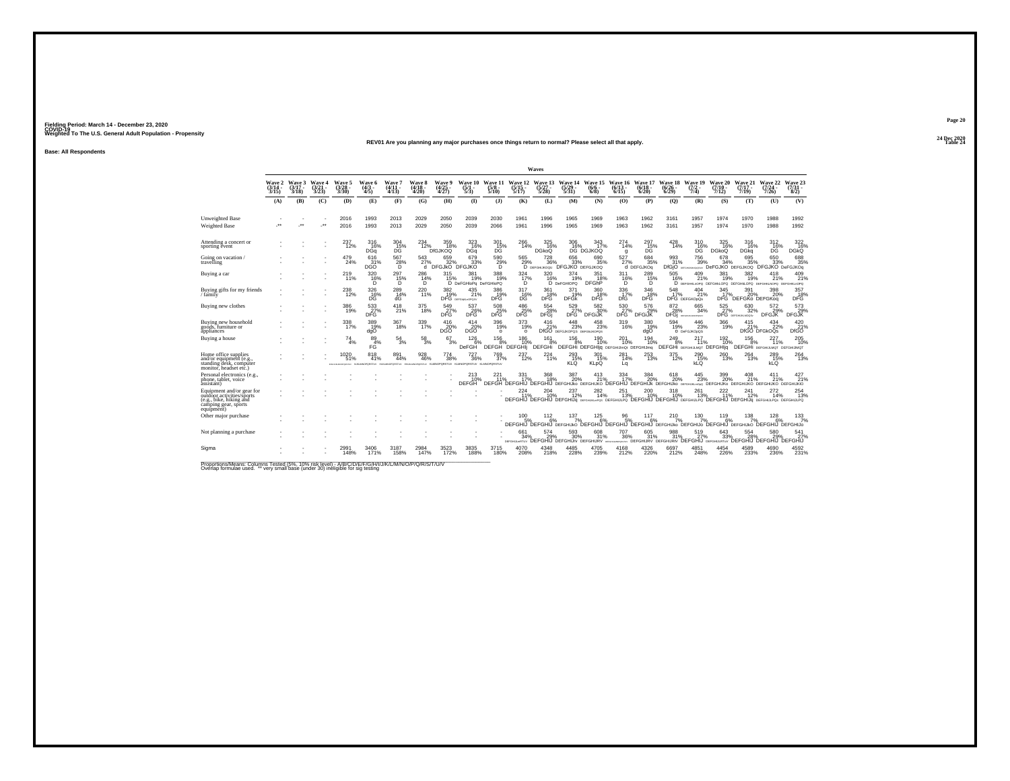#### **24 Dec 2020REV01 Are you planning any major purchases once things return to normal? Please select all that apply.Table 24 Table 24**

**Base: All Respondents**

|                                                                                                                         |                             |                             |                            |                                              |                                                                                                                          |                                                                        |                                 |                                |                                      |                                   |                                                        | Waves                                                  |                                           |                                                     |                              |                              |                                 |                                                                                                                                                     |                                |                                 |                                             |                                |
|-------------------------------------------------------------------------------------------------------------------------|-----------------------------|-----------------------------|----------------------------|----------------------------------------------|--------------------------------------------------------------------------------------------------------------------------|------------------------------------------------------------------------|---------------------------------|--------------------------------|--------------------------------------|-----------------------------------|--------------------------------------------------------|--------------------------------------------------------|-------------------------------------------|-----------------------------------------------------|------------------------------|------------------------------|---------------------------------|-----------------------------------------------------------------------------------------------------------------------------------------------------|--------------------------------|---------------------------------|---------------------------------------------|--------------------------------|
|                                                                                                                         | Wave 2<br>$(3/14 -$<br>3/15 | Wave 3<br>$(3/17 -$<br>3/18 | Wave 4<br>$3/21 -$<br>3/23 | Wave 5<br>$\binom{3/28}{3/30}$               | Wave 6<br>$\frac{(4/3)}{4/5}$                                                                                            | Wave 7<br>$(4/11 -$<br>4/13                                            | Wave 8<br>$\frac{(4/18)}{4/20}$ | Wave 9<br>$\binom{4/25}{4/27}$ | Wave 10<br>$\frac{(5/1)}{5/3}$       | Wave 11<br>$\frac{(5/8)}{5/10}$   | Wave 12<br>$\frac{(5/15)}{5/17}$                       | Wave 13<br>$\frac{(5/27)}{5/28}$                       | Wave 14<br>$\frac{(5/29)}{5/31}$          | Wave 15<br>$(6/6 -$<br>$6/8$ )                      | Wave 16<br>$(6/13 -$<br>6/15 | Wave 17<br>$(6/18 -$<br>6/20 | Wave 18<br>$\binom{6/26}{6/29}$ | Wave 19<br>$(7/2 -$<br>7/4                                                                                                                          | Wave 20<br>$(7/10 -$<br>7/12   | Wave 21<br>$(7/17 -$<br>7/19    | Wave 22<br>$\frac{(7/24)}{7/26}$            | Wave 23<br>$\binom{7/31}{8/2}$ |
|                                                                                                                         | (A)                         | (B)                         | (C)                        | (D)                                          | (E)                                                                                                                      | (F)                                                                    | (G)                             | (H)                            | $\Phi$                               | (3)                               | (K)                                                    | (L)                                                    | (M)                                       | (N)                                                 | (0)                          | (P)                          | (Q)                             | (R)                                                                                                                                                 | (S)                            | (T)                             | (U)                                         | (V)                            |
| Unweighted Base<br>Weighted Base                                                                                        | $\ddot{\phantom{1}}$        | $\cdot$                     | $\cdot$                    | 2016<br>2016                                 | 1993<br>1993                                                                                                             | 2013<br>2013                                                           | 2029<br>2029                    | 2050<br>2050                   | 2039<br>2039                         | 2030<br>2066                      | 1961<br>1961                                           | 1996<br>1996                                           | 1965<br>1965                              | 1969<br>1969                                        | 1963<br>1963                 | 1962<br>1962                 | 3161<br>3161                    | 1957<br>1957                                                                                                                                        | 1974<br>1974                   | 1970<br>1970                    | 1988<br>1988                                | 1992<br>1992                   |
| Attending a concert or<br>sporting event                                                                                |                             |                             |                            | 237<br>12%                                   | 316<br>16%<br>DGa                                                                                                        | $^{304}_{\rm -15\%}$ DG                                                | 234<br>12%                      | 359 18%<br><b>DIGJKOO</b>      | $\frac{323}{16\%}$<br>DGa            | 301<br>15%<br>DG                  | 266<br>14%                                             | $^{325}_{16\%}$<br><b>DGkoQ</b>                        | 306<br>16%                                | 343<br>DG DGJKOQ                                    | 274<br>14%<br>q              | 297<br>15%<br>DG             | 428<br>14%                      | 310<br>16%<br>DĞ                                                                                                                                    | 325<br>16%<br><b>DGkoQ</b>     | 316<br>16%<br>DGka              | 312<br>16%<br>DĞ                            | 322<br>16%<br>DGKO             |
| Going on vacation<br>travelling                                                                                         |                             |                             |                            | 479<br>24%                                   | 616<br>31%<br>DGÓ                                                                                                        | 567<br>28%                                                             | 543<br>27%<br>d.                | 659<br><b>DFGJKO</b>           | 679<br>33%<br><b>DFGJKO</b>          | 590<br>29%                        | 565                                                    | 728<br>29% 36% 33% 35%<br>D DEFGHJKOQU DFGJKO DEFGJKOQ | 656                                       | 690<br>35%                                          | 527<br>27%                   | 684<br>35%<br>d DEFGJKOg     | 993<br>31%                      | 756<br>39%<br>DfGjO assaurances DeFGJKO DEFGJKOQ DFGJKO DeFGJKOq                                                                                    | 678<br>34%                     | 695<br>35%                      | 650<br>33%                                  | 688<br>35%                     |
| Buying a car                                                                                                            |                             |                             |                            | 219 <sub>0%</sub>                            | 320<br>16%<br>D.                                                                                                         | 297<br>15%<br>D                                                        | 286<br>14%<br>D.                | 315 <sub>%</sub>               | 381<br>19%<br>D DeFGHIoPq DeFGHIoPQ  | 388                               | $\frac{324}{17\%}$<br>D                                | $\frac{320}{16\%}$                                     | 374<br>19%<br>D DeFGHIOPQ                 | 351<br>18%<br><b>DFGhP</b>                          | 311<br>16%<br>D              | 289 15%<br>D.                | 505<br>16%                      | $^{409}_{21\%}$<br>D DEFGHKLNOPQ DEFGHKLOPQ DEFGHKLOPQ DEFGHKLNOPQ DEFGHKLNOPQ                                                                      | 381<br>19%                     | 382<br>19%                      | 418<br>21%                                  | 409<br>21%                     |
| Buying gifts for my friends<br>/ family                                                                                 |                             |                             |                            | 238<br>12%                                   | 326<br>16%<br>DĜ                                                                                                         | 289<br>14%<br>dG                                                       | 220<br>11%                      | 382<br>19%                     | $^{435}_{21\%}$<br>DFG DEFGNALADPOSV | 386<br>19%<br>DFĞ                 | 317<br>$^{16}_{DG}$                                    | 361<br>18%<br>DFG                                      | 371<br>19%<br><b>DFGK</b>                 | 360<br>18%<br>DFĞ                                   | 336<br>17%<br>DfG            | 346<br>18%<br>DFĞ            | 548<br>17%                      | $^{404}_{21\%}$<br>DFG DEFGKOpQs                                                                                                                    | 345<br>17%<br>DFG <sup>'</sup> | 391<br>20%<br>DEFGKo DEFGKog    | 398<br>20%                                  | 357<br>18%<br>DFG              |
| Buying new clothes                                                                                                      |                             |                             |                            | 386<br>19%                                   | 533<br>$27\%$ DFG                                                                                                        | 418<br>21%                                                             | 375<br>18%                      | 549<br>27%<br>DFG <sup>'</sup> | 537<br>26%<br>DFG                    | 508<br>25%                        | 486<br>25%                                             | 554<br>28%<br>DFGI                                     | 529<br>27%<br>DFG                         | 582<br>30%<br><b>DFGiJK</b>                         | 530<br>27%<br>DFG            | 576<br>29%<br><b>DFGIJK</b>  | 872<br>28%<br>DFGi              | 665<br>34%<br>DEPOHLIKLMICPOSITY                                                                                                                    | 525<br>27%                     | 630<br>32%<br>DFG DEFGHUKLMOOSV | 572<br>29%<br><b>DFGJK</b>                  | 573<br>29%<br>DFGJK            |
| Buying new household<br>goods, furniture or<br>appliances                                                               |                             |                             |                            | 338<br>17%                                   | 389<br>19%<br>dgO                                                                                                        | 367<br>18%                                                             | 339<br>17%                      | $^{416}_{20\%}$<br>DGO         | 414<br>20%<br>DGO                    | 396<br>19%<br>$\circ$             | 373 19%<br>$\circ$                                     | 416<br>21%                                             | 448<br>23%<br>DfGO DEFGJKOPOS DEFGHJKOPOS | $^{458}_{23\%}$                                     | 319<br>16%                   | 380 19%<br>dgO               | 594<br>19%                      | 446<br>23%<br>O DeFGJKOpQS                                                                                                                          | 366<br>19%                     | $^{415}_{21\%}$                 | $^{434}_{22\%}$<br>DfGO DFGkOQs             | 420 21%<br>DfGO                |
| Buying a house                                                                                                          |                             |                             |                            | $^{74}_{4\%}$                                | 89<br>4%<br>FĠ                                                                                                           | $^{54}_{\ 3\%}$                                                        | 58<br>3%                        | 67<br>3%                       | 126<br>6%<br><b>DeFGH</b>            | 156<br>DEFGH DEFGHI               | 186<br>10%                                             | 161<br>8%<br>DEFGHi                                    | 156                                       | 190<br>10%<br>DEFGHI DEFGHIjq DEFGHIJImQt DEFGHIJmq | 201<br>10%                   | 194<br>10%                   | 249<br>8%                       | 217<br>11%<br>DEFGHI DEFGHIJLMOT DEFGHIJG                                                                                                           | 192<br>10%                     | 156<br>8%                       | 227<br>11%<br>DEFGHI DEFGHIJLMOT DEFGHIJMOT | 205<br>10%                     |
| Home office supplies<br>and/or equipment (e.g.,<br>standing desk, computer<br>monitor, headset etc.)                    |                             |                             |                            | 1020<br>51%<br>FROM ALCOHOL: NHA MACROSCO IV | 818<br>41%                                                                                                               | 891<br>44%<br>HJKLINOPORSTUV EHJKLINOPORSTUV KLMNOPORSTUV KLMNOPORSTUV | 928<br>46%                      | 774<br>38%                     | 727<br>36%                           | 769<br>37%<br><b>KLMNOPORSTUV</b> | $237 \atop 12\%$                                       | $^{224}_{11\%}$                                        | $^{293}_{15\%}$<br>KLO                    | 301<br>15%<br><b>KLpQ</b>                           | 281<br>14%<br>La             | 253<br>13%                   | $^{375}_{12\%}$                 | 290 15%<br><b>kLQ</b>                                                                                                                               | 260<br>13%                     | 264<br>13%                      | 289<br>15%<br>kLQ                           | 264<br>13%                     |
| Personal electronics (e.g.,<br>phone, tablet, voice<br>assistant)                                                       |                             |                             |                            |                                              |                                                                                                                          |                                                                        |                                 |                                | 213<br>10%<br>DEFGH                  | 221<br>11%                        | $331$<br>$17\%$                                        | $368$<br>$18\%$                                        | 387<br>20%                                | 413<br>21%                                          | 334<br>17%                   | 384<br>20%                   | 618<br>20%                      | $^{445}_{23\%}$<br>DEFGH DEFGHIJ DEFGHIJ DEFGHIJKO DEFGHIJKO DEFGHIJ DEFGHIJK DEFGHIJKO DEFGHIJKO DEFGHIJKO DEFGHIJKO DEFGHIJKO DEFGHIJKO DEFGHIJKO | 399<br>20%                     | 408<br>21%                      | 411<br>21%                                  | 427%                           |
| Equipment and/or gear for<br>outdoor activities/sports<br>(e.g., bike, hiking and<br>camping gear, sports<br>equipment) |                             |                             |                            |                                              |                                                                                                                          |                                                                        |                                 |                                |                                      |                                   | 224                                                    | 204<br>10%                                             | $^{237}_{12\%}$                           | $^{282}_{14\%}$                                     | 25'<br>13%                   | 200                          | 318<br>10%                      | 261<br>13%<br>DEFGHIJ DEFGHIJ DEFGHIJG DEFGHING DEFGHIJLPO DEFGHIJ DEFGHIJ DEFGHIJLPO DEFGHIJJ DEFGHIJG DEFGHIJLPO DEFGHIJLPO                       |                                | 241<br>12%                      | 272<br>14%                                  | $^{254}_{13\%}$                |
| Other major purchase                                                                                                    |                             |                             |                            |                                              |                                                                                                                          |                                                                        |                                 |                                |                                      |                                   | $^{100}_{-5\%}$                                        | $^{112}_{.6\%}$                                        | 137<br>7%                                 | 125<br>6%                                           | 96<br>5%                     | 117<br>6%                    | 210%                            | 130<br>7%<br>DEFGHIJ DEFGHIJ DEFGHIJKO DEFGHIJ DEFGHIJ DEFGHIJ DEFGHIJKO DEFGHIJO DEFGHIJ DEFGHIJO DEFGHIJO DEFGHIJO                                | 119<br>6%                      | 138                             | 128<br>6%                                   | 133/7%                         |
| Not planning a purchase                                                                                                 |                             |                             |                            |                                              |                                                                                                                          |                                                                        |                                 |                                |                                      |                                   | 661<br>34%<br>DEFGHULMRTUV DEFGHIJ DEFGHIJIV DEFGHIJRV | 574<br>29%                                             | 593<br>30%                                | 608<br>31%                                          | 707<br>36%                   | 605<br>31%                   | 988<br>31%                      | 519<br>27%<br>GEFOR AN DEFORMATION DEFORMATION DEFORMATION DEFORMATION DEFORMATION DEFORMATION                                                      | 643<br>33%                     | 554<br>28%                      | 580                                         | 541                            |
| Sigma                                                                                                                   |                             |                             |                            | 2991<br>148%                                 | 171%<br>the first contribution of the control of the control of the control of the control of the control of the control | 158%                                                                   | 147%                            | 172%                           | 188%                                 | 3715<br>180%                      | 4070<br>208%                                           | 218%                                                   | 4485<br>228%                              | 4705<br>239%                                        | 4168<br>212%                 | 4326<br>220%                 | 6697<br>212%                    | 4851<br>248%                                                                                                                                        | $\substack{4454 \\ 226\%}$     | 4589<br>233%                    | 4690<br>236%                                | 4592<br>231%                   |

Proportions/Means: Columns Tested (5%, 10% risk level) - A/B/C/D/E/F/G/H/I/J/K/L/M/N/O/P/Q/R/S/T/U/V<br>Overlap formulae used. \*\* very small base (under 30) ineligible for sig testing

**Page 20**24 Dec 2020<br>Table 24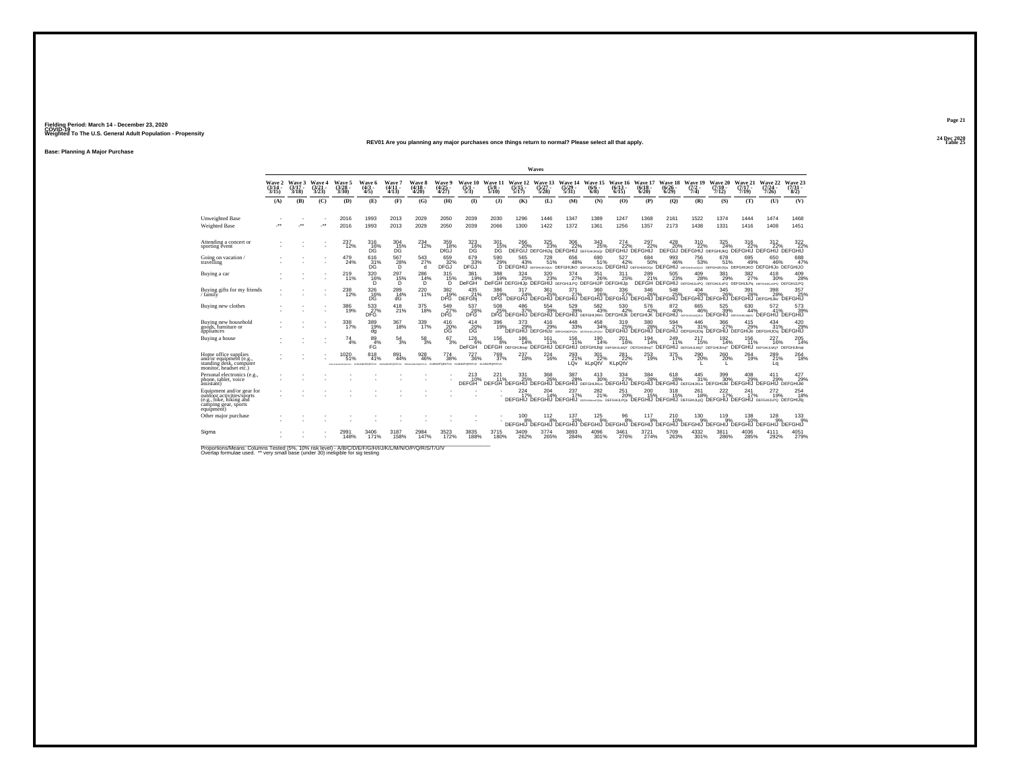#### **24 Dec 2020REV01 Are you planning any major purchases once things return to normal? Please select all that apply.Table 25 Table 25**

**Base: Planning A Major Purchase**

|                                                                                                                         |                             |                             |                         |                                   |                                                                                                 |                             |                             |                                |                                  |                                 |                                  | Waves                                                          |                                  |                                                                                                                                    |                              |                              |                            |                            |                                    |                                        |                                                                                         |                                 |
|-------------------------------------------------------------------------------------------------------------------------|-----------------------------|-----------------------------|-------------------------|-----------------------------------|-------------------------------------------------------------------------------------------------|-----------------------------|-----------------------------|--------------------------------|----------------------------------|---------------------------------|----------------------------------|----------------------------------------------------------------|----------------------------------|------------------------------------------------------------------------------------------------------------------------------------|------------------------------|------------------------------|----------------------------|----------------------------|------------------------------------|----------------------------------------|-----------------------------------------------------------------------------------------|---------------------------------|
|                                                                                                                         | Wave 2<br>$(3/14 -$<br>3/15 | Wave 3<br>$(3/17 -$<br>3/18 | Wave 4<br>(3/21<br>3/23 | Wave 5<br>$\frac{(3/28)}{3/30}$   | Wave 6<br>$\frac{(4/3)}{4/5}$                                                                   | Wave 7<br>$(4/11 -$<br>4/13 | Wave 8<br>$(4/18 -$<br>4/20 | Wave 9<br>$\binom{4/25}{4/27}$ | Wave 10<br>$\frac{(5/1)}{5/3}$   | Wave 11<br>$\frac{(5/8)}{5/10}$ | Wave 12<br>$\frac{(5/15)}{5/17}$ | Wave 13<br>$\frac{(5/27)}{5/28}$                               | Wave 14<br>$\frac{(5/29)}{5/31}$ | Wave 15<br>$(6/6 -$<br>6/8                                                                                                         | Wave 16<br>$(6/13 -$<br>6/15 | Wave 17<br>$(6/18 -$<br>6/20 | Wave 18<br>(6/26 -<br>6/29 | Wave 19<br>$(7/2 -$<br>7/4 | Wave 20<br>$(7/10 -$<br>7/12       | Wave 21<br>$(7/17 -$<br>7/19           | Wave 22<br>$(7/24 -$<br>7/26                                                            | Wave 23<br>$\frac{(7/31)}{8/2}$ |
|                                                                                                                         | (A)                         | (B)                         | (C)                     | (D)                               | (E)                                                                                             | (F)                         | (G)                         | (H)                            | $($ I                            | (1)                             | (K)                              | (L)                                                            | (M)                              | (N)                                                                                                                                | (0)                          | (P)                          | (O)                        | (R)                        | (S)                                | (T)                                    | (U)                                                                                     | (V)                             |
| Unweighted Base<br><b>Weighted Base</b>                                                                                 | $\ddot{\phantom{0}}$        | $\cdot$                     | $\cdot$                 | 2016<br>2016                      | 1993<br>1993                                                                                    | 2013<br>2013                | 2029<br>2029                | 2050<br>2050                   | 2039<br>2039                     | 2030<br>2066                    | 1296<br>1300                     | 1446<br>1422                                                   | 1347<br>1372                     | 1389<br>1361                                                                                                                       | 1247<br>1256                 | 1368<br>1357                 | 2161<br>2173               | 1522<br>1438               | 1374<br>1331                       | 1444<br>1416                           | 1474<br>1408                                                                            | 1468<br>1451                    |
| Attending a concert or<br>sporting event                                                                                |                             |                             |                         | 237<br>12%                        | $^{316}_{16\%}$                                                                                 | $^{304}_{\rm \ 15\%}$       | $^{234}_{12\%}$             | 359<br>18%<br>DfGJ             | $^{323}_{16\%}$                  | $^{301}_{15\%}$<br>DG.          | 266                              | 325                                                            | 306<br>22%                       | 343<br>25%<br>DEFGIJ DEFGHIJG DEFGHIJ DEFGHUKOG DEFGHIJ DEFGHIJ                                                                    | 274<br>22%                   | 297                          | 428                        | 310<br>22%                 | 325<br>24%                         | 316                                    | 312<br>DEFGIJ DEFGHIJ DEFGHIJKO DEFGHIJ DEFGHIJ DEFGHIJ                                 | $\frac{322}{22}\%$              |
| Going on vacation /<br>travelling                                                                                       |                             |                             |                         | 479<br>24%                        | 616<br>$^{31\%}_{DC}$                                                                           | 567<br>$^{28\%}_{D}$        | 543<br>27%<br>đ             | 659<br>DFGJ <sup>32%</sup>     | 679<br>33%<br>DFĞJ               | 590<br>29%                      | 565<br>43%                       | 728<br>51%                                                     | 656<br>48%                       | 690<br>51%<br>D DEFGHIJ DEFGHIKOQU DEFGHIJKO DEFGHIJKOQU DEFGHIJ DEFGHIJO DEFGHIJ DEFGHIJ DEFGHIJKOQU DEFGHIJKO DEFGHIJO DEFGHIJO  | 527<br>42%                   | 684<br>50%                   | 993<br>46%                 | 756<br>53%                 | 678<br>51%                         | 695<br>49%                             | 650<br>46%                                                                              | 688<br>47%                      |
| Buying a car                                                                                                            |                             |                             |                         | 219<br>11%                        | 320 16%<br>D                                                                                    | 297<br>15%<br>D             | 286<br>14%<br>D             | 315<br>15%<br>D                | 381<br>19%<br>DeFGH              | 388<br>19%                      | $324_{25\%}$                     | $\frac{320}{23\%}$                                             | $\frac{374}{27\%}$               | 351<br>26%<br>DeFGH DEFGHIJp DEFGHIJ DEFGHIJPO DEFGHIJP DEFGHIJp                                                                   | 311<br>25%                   | 289<br>21%                   | 505<br>23%                 | $^{409}_{28\%}$            | 381<br>29%                         | $^{382}_{\phantom{1}27\%}$             | 418<br>30%<br>DEFGH DEFGHIJ DEFGHIJLOPO DEFGHIJLOPO DEFGHIJLPO DEFGHIJLPO DEFGHIJLPO    | 409<br>28%                      |
| Buying gifts for my friends<br>/ family                                                                                 |                             |                             |                         | 238<br>12%                        | 326<br>16%<br>DG                                                                                | $^{289}_{14\%}$<br>ďĠ       | 220<br>11%                  | $\frac{382}{19\%}$<br>DFG      | $^{435}_{21\%}$<br><b>DEFGhi</b> | 386<br>19%<br>DFG <sup>1</sup>  | 317<br>24%<br>DEFGHJ             | 361<br>25%                                                     | $\frac{371}{27\%}$               | 360<br>26%<br>`DEFGHIJ`DEFGHIJ`DEFGHIJ`DEFGHIJ`DEFGHIJ`DEFGHIJ`DEFGHIJ                                                             | 336<br>27%                   | 346<br>26%                   | 548                        | 404<br>28%                 | 345<br>26%<br>DEFGHIJ              | 391<br>28%<br><b>DEFGHIJ DEFGHIJKV</b> | 398<br>28%                                                                              | 357<br>25%<br><b>DEFGHIJ</b>    |
| Buying new clothes                                                                                                      |                             |                             |                         | 386<br>19%                        | 533<br>DFG                                                                                      | 418<br>21%                  | 375<br>18%                  | 549<br>DFG                     | 537<br><b>26%</b>                | 508<br>25%                      | 486<br>37%                       | 554<br>39%                                                     | 529<br>39%                       | 582<br>43%<br>DFG DEFGHIJ DEFGHIJ DEFGHIJ DEFGHIJK DEFGHIJK DEFGHIJK DEFGHIJ GEFGHIJ                                               | 530<br>42%                   | 576<br>42%                   | 872<br>40%                 | 665<br>46%                 | 525<br>39%<br>DEFGHIJ DEFGHUKLM4SV | 630<br>44%                             | 572<br>41%<br><b>DEFGHIJ</b>                                                            | 573<br>39%<br><b>DEFGHIJ</b>    |
| Buying new household<br>goods, furniture or<br>appliances                                                               |                             |                             |                         | 338<br>17%                        | 389<br>19%<br>dg                                                                                | $367 \over 18\%$            | 339<br>17%                  | $^{416}_{20\%}$<br>DG          | 414<br>20%<br>DG.                | 396<br>19%                      | 373<br>29%                       | $^{416}_{29\%}$<br>DEFGHIJ DEFGHIJO DEFGHUNOPOSV DEFGHUNLOPOSV | 448<br>33%                       | 458<br>34%                                                                                                                         | 319<br>25%                   | 380<br>28%                   | $^{594}_{27\%}$            | 446<br>31%                 | 366<br>27%                         | 415<br>29%                             | $^{434}_{31\%}$<br>DEFGHIJ DEFGHIJ DEFGHIJ DEFGHIJO4 DEFGHIJ DEFGHIJO DEFGHIJO4 DEFGHIJ | 420<br>29%                      |
| Buying a house                                                                                                          |                             |                             |                         | 74<br>4%                          | 89<br>4%<br>FĠ                                                                                  | 54<br>3%                    | 58<br>3%                    | 67<br>3%                       | 126<br>6%<br><b>DeFGH</b>        | 156<br>8%                       | 186<br>14%                       | 161                                                            | 156<br>11%                       | 190<br>14%<br>DEFGH DEFGHUmat DEFGHU DEFGHU DEFGHUlat DEFGHUMOT DEFGHUmoT DEFGHU DEFGHUMOT DEFGHUmoT DEFGHUMOT DEFGHUMOT DEFGHUMOT | 201<br>16%                   | 194<br>14%                   | 249<br>11%                 | 217<br>15%                 | 192<br>14%                         | 156<br>11%                             | 227<br>16%                                                                              | 205<br>14%                      |
| Home office supplies<br>and/or equipment (e.g.,<br>standing desk, computer<br>monitor, headset etc.)                    |                             |                             |                         | 1020<br>51%<br>EFO-LIGAN/OPDRETUV | 818<br>41%<br>NUMMOROSSTUV HUKUMOROSSTUV EHUKUMOROSSTUV KLMNOROROSTUV KLMNORORSTUV KLMNORORSTUV | 891<br>44%                  | $\substack{928 \\ 46\%}$    | $^{774}_{38\%}$                | $^{727}_{36\%}$                  | $^{769}_{37\%}$                 | 237<br>18%                       | $^{224}_{16\%}$                                                | 293<br>21%<br>LQv                | 301<br>22%<br>kLpQtV                                                                                                               | $^{281}_{22\%}$<br>KLpQtV    | 253<br>19%                   | 375 17%                    | 290%                       | 260%                               | 264<br>19%                             | 289<br>21%<br>La                                                                        | $^{264}_{18\%}$                 |
| Personal electronics (e.g.,<br>phone, tablet, voice<br>assistant)                                                       |                             |                             |                         |                                   |                                                                                                 |                             |                             |                                | <b>DEFGH</b>                     | $^{221}_{11\%}$                 | 331<br>25%                       | 368<br>26%                                                     | 387<br>28%                       | 413<br>30%<br>DEFGH DEFGHIJ DEFGHIJ DEFGHIJ DEFGHIJKLO DEFGHIJ DEFGHIJ DEFGHIJ DEFGHIJKLO DEFGHIJKI DEFGHIJ DEFGHIJKI              | 334<br>27%                   | 384<br>28%                   | $618\atop-28\%$            | 445<br>31%                 | 399<br>30%                         | 29%                                    | 411<br>29%                                                                              | 427<br>29%                      |
| Equipment and/or gear for<br>outdoor activities/sports<br>(e.g., bike, hiking and<br>camping gear, sports<br>equipment) |                             |                             |                         |                                   |                                                                                                 |                             |                             |                                |                                  |                                 | 224                              | 204                                                            | 237<br>17%                       | 282<br>21%<br>DEFGHIJ DEFGHIJ DEFGHIJ DEFGHIJ DEFGHIJPOS DEFGHIJ DEFGHIJ DEFGHIJ DEFGHIJ DEFGHIJ DEFGHIJ DEFGHIJPO DEFGHIJID       | 251<br>20%                   | 200                          | 318<br>15%                 | 261<br>18%                 | 222                                | 241                                    | $^{272}_{19\%}$                                                                         | 254<br>18%                      |
| Other major purchase                                                                                                    |                             |                             |                         |                                   |                                                                                                 |                             |                             |                                |                                  |                                 | $^{100}_{8\%}$                   | 112<br>$\overline{8}$ %                                        | 137<br>10%                       | $^{125}_{9%}$<br>DEEGHIJ DEEGHIJ DEEGHIJ DEEGHIJ DEEGHIJ DEEGHIJ DEEGHIJ DEEGHIJ DEEGHIJ                                           | $\frac{96}{8\%}$             | 117<br>9%                    | 210<br>10%                 | $^{130}_{.9\%}$            | 119%                               | 138<br>10%<br>DEFGHIJ DEFGHIJ DEFGHIJ  | $^{128}_{.9\%}$                                                                         | $^{133}_{9%}$<br><b>DEFGHIJ</b> |
| Sigma                                                                                                                   |                             |                             |                         | 2991<br>148%                      | 3406<br>171%                                                                                    | 3187<br>158%                | 2984<br>147%                | 3523<br>172%                   | 3835<br>188%                     | 3715<br>180%                    | 3409<br>262%                     | 3774<br>265%                                                   | 3893<br>284%                     | 4096<br>301%                                                                                                                       | 3461<br>276%                 | 3721<br>274%                 | 5709<br>263%               | 4332<br>301%               | 3811<br>286%                       | 4036<br>285%                           | 4111<br>292%                                                                            | 4051<br>279%                    |

Proportions/Means: Columns Tested (5%, 10% risk level) - A/B/C/D/E/F/G/H/I/J/K/L/M/N/O/P/Q/R/S/T/U/V<br>Overlap formulae used. \*\* very small base (under 30) ineligible for sig testing

**Page 2124 Dec 2020<br>Table 25**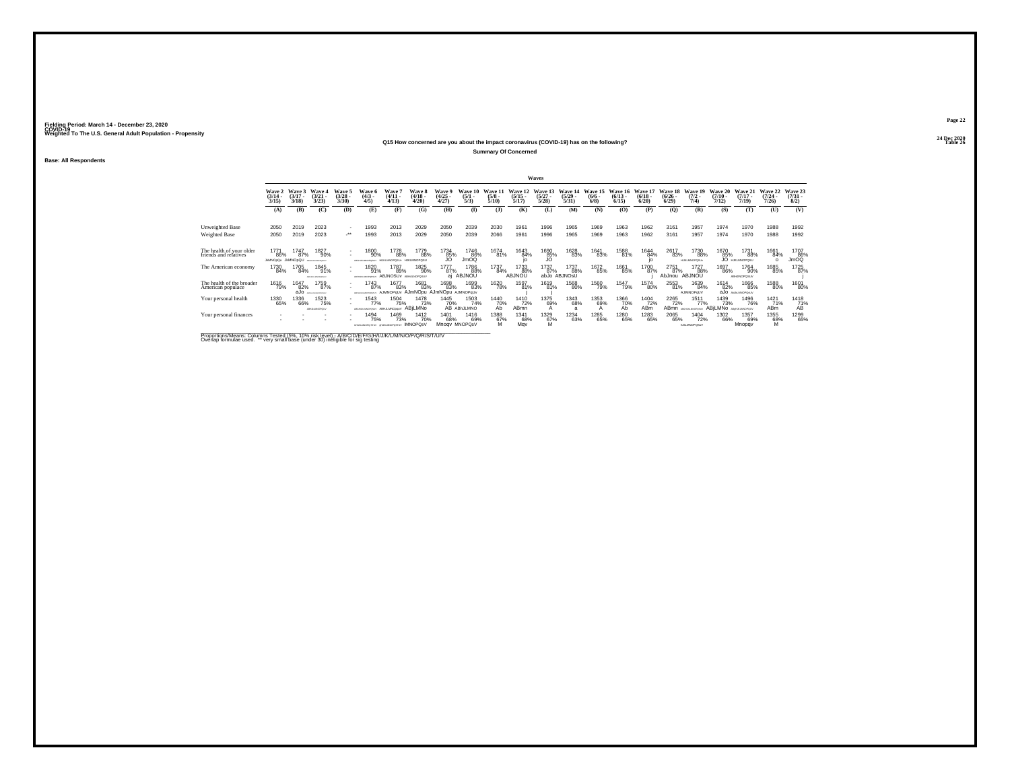### **24 Dec 2020Q15 How concerned are you about the impact coronavirus (COVID-19) has on the following?Table 26 Table 26 Table 26 Table 26 Table 26 Table 26 Table 26 Table 26**

**Summary Of Concerned**

**Base: All Respondents**

|                                                   |                                 |                                |                                   |                                          |                                          |                                                    |                                        |                                       |                                |                                 |                                  | <b>Waves</b>                     |                                  |                                      |                                 |                                 |                                  |                                            |                                         |                                    |                                         |                                |
|---------------------------------------------------|---------------------------------|--------------------------------|-----------------------------------|------------------------------------------|------------------------------------------|----------------------------------------------------|----------------------------------------|---------------------------------------|--------------------------------|---------------------------------|----------------------------------|----------------------------------|----------------------------------|--------------------------------------|---------------------------------|---------------------------------|----------------------------------|--------------------------------------------|-----------------------------------------|------------------------------------|-----------------------------------------|--------------------------------|
|                                                   | Wave 2<br>$\frac{(3/14)}{3/15}$ | Wave 3<br>$(3/17 -$<br>3/18    | Wave 4<br>$(3/21 -$<br>3/23       | Wave 5<br>$\binom{3/28}{3/30}$           | Wave 6<br>$\binom{4/3}{4/5}$             | Wave <sup>'</sup><br>$\frac{(4/11)}{4/13}$         | Wave 8<br>$\frac{(4/18)}{4/20}$        | <b>Wave 9</b><br>$\binom{4/25}{4/27}$ | Wave 10<br>$\frac{(5/1)}{5/3}$ | Wave 11<br>$\frac{(5/8)}{5/10}$ | Wave 12<br>$\frac{(5/15)}{5/17}$ | Wave 13<br>$\frac{(5/27)}{5/28}$ | Wave 14<br>$\frac{(5/29)}{5/31}$ | Wave 15<br>$\frac{(6/6 - 6)}{(6/8)}$ | Wave 16<br>$\binom{6/13}{6/15}$ | Wave 17<br>$\binom{6/18}{6/20}$ | Wave 18<br>$\frac{(6/26)}{6/29}$ | Wave 19<br>$\frac{(7/2)}{7/4}$             | <b>Wave 20</b><br>$\frac{(7/10)}{7/12}$ | Wave 21<br>$(7/17 -$<br>7/19       | <b>Wave 22</b><br>$\frac{(7/24)}{7/26}$ | Wave 23<br>$\binom{7/31}{8/2}$ |
|                                                   | (A)                             | (B)                            | (C)                               | (D)                                      | (E)                                      | (F)                                                | (G)                                    | (H)                                   | $\mathbf{D}$                   | $($ $)$                         | (K)                              | (L)                              | (M)                              | (N)                                  | (O)                             | (P)                             | $\mathbf{Q}$                     | (R)                                        | (S)                                     | (T)                                | (U)                                     | (V)                            |
| Unweighted Base<br>Weighted Base                  | 2050<br>2050                    | 2019<br>2019                   | 2023<br>2023                      | $\sim$<br>$\cdot$                        | 1993<br>1993                             | 2013<br>2013                                       | 2029<br>2029                           | 2050<br>2050                          | 2039<br>2039                   | 2030<br>2066                    | 1961<br>1961                     | 1996<br>1996                     | 1965<br>1965                     | 1969<br>1969                         | 1963<br>1963                    | 1962<br>1962                    | 3161<br>3161                     | 1957<br>1957                               | 1974<br>1974                            | 1970<br>1970                       | 1988<br>1988                            | 1992<br>1992                   |
| The health of your older<br>friends and relatives | 1771<br>86%<br><b>JMNOpOu</b>   | 1747<br>87%<br><b>JkMNOpQU</b> | 1827<br>90%<br>ABOVERSANCING EASY | $\sim$<br>$\sim$                         | 1800<br>90%<br>VUSOROMANA MARA           | 1778<br>88%                                        | 1779<br>88%<br>H IKI MNOROSH           | 1734<br>85%                           | 1746<br>86%<br>JmOQ            | 1674<br>81%                     | 1643<br>84%                      | 1690<br>35%                      | 1628<br>83%                      | 1641<br>83%                          | 1588<br>81%                     | 1644<br>84%<br>io               | 2617<br>83%                      | 1730<br>88%<br>HUKLMNOPOSUv                | 1670<br>85%                             | 1731<br>88%<br>JO HJKLMNOPOSU      | 1661<br>84%<br>$\Omega$                 | 1707<br>JmOQ                   |
| The American economy                              | 1730<br>84%                     | 1705<br>84%                    | 1845<br>91%<br>ABFHUNLMOPORIUM    | $\overline{\phantom{a}}$<br>$\mathbf{r}$ | 1820<br>91%<br>ABFHUNLINGPORTL           | 1787<br>89%<br><b>ABJNOSUV ABHJLNOPOSUV</b>        | 1825<br>90%                            | 1777<br>87%<br>ai                     | 1786<br>88%<br>ABJNOU          | 1737<br>84%                     | 1733<br>88%<br>ABJNOU            | 1737<br>87%                      | 1737<br>88%<br>abJo ABJNOsU      | 1672<br>85%                          | 1661<br>85%                     | 1700<br>87%                     | 2751<br>87%<br>AbJnou            | 1727<br>88%<br><b>ABJNOU</b>               | 1697<br>86%                             | 1764<br>90%<br><b>ABHJINOPOSUV</b> | 1685<br>85%                             | 1725<br>87%                    |
| The health of the broader<br>American populace    | 1616<br>79%                     | 1647<br>82%<br>aJo             | 1759<br>87%<br>FOILAGEOFORD/      |                                          | 1743<br>87%<br>ARED-LAUMOROS             | 1677<br>83%<br>AJMNOPqUv AJmNOpu AJmNOpu AJMNOPqUv | 1681<br>83%                            | 1698<br>83%                           | 1699<br>83%                    | 1620<br>78%                     | 1597<br>81%                      | 1619<br>81%                      | 1568<br>80%                      | 1560<br>79%                          | 1547<br>79%                     | 1574<br>80%                     | 2553<br>81%                      | 1639<br>84%<br>AJIMNOPoUV                  | 1614<br>82%                             | 1666<br>85%<br>aJO ANAMOPONIV      | 1588<br>80%                             | 1601<br>80%                    |
| Your personal health                              | 1330<br>65%                     | 1336<br>66%                    | 1523<br>75%<br>ABILIELMNOPOLIV    |                                          | 1543<br>77%<br>ARGHUNDROPOSUV            | 1504<br>75%<br>ABHJLMNOppuV ABILMNO                | 1478<br>73%                            | 1445<br>70%                           | 1503<br>74%<br>AB ABhJLMNO     | 1440<br>70%<br>Ab               | 1410<br>72%<br><b>ABmn</b>       | 1375<br>69%                      | 1343<br>68%<br>a                 | 1353<br>69%                          | 1366<br>70%<br>Аb               | 1404<br>72%<br>ABm              | 2265<br>72%<br>AB <sub>mn</sub>  | 1511<br>77%<br>ABSILIALMINOPOSITY          | 1439<br>73%<br>ABILMNO ABUNAMOPOLY      | 1496<br>76%                        | 1421<br>71%<br><b>ABm</b>               | 1418<br>$\frac{71}{4}$         |
| Your personal finances                            |                                 |                                |                                   |                                          | 1494<br>75%<br>GHJAMOPOSTUV GHJAMOPOSTUV | <sup>1469</sup> 73%                                | <sup>1412</sup> 70%<br><b>IMNOPOSV</b> | 1401<br>68%                           | 1416<br>69%<br>Mnogy MNOPOsV   | 1388<br>67%<br>M                | 1341<br>68%<br>May               | 1329<br>67%                      | 1234<br>63%                      | 1285<br>65%                          | 1280<br>65%                     | 1283<br>65%                     | 2065<br>65%                      | <sup>1404</sup> 72%<br><b>INJUANOPOSVI</b> | 1302<br>66%                             | 1357<br>69%<br>Mnopqv              | 1355<br>68%<br>M                        | 1299<br>65%                    |

Proportions/Means: Columns Tested (5%, 10% risk level) - A/B/C/D/E/F/G/H/I/J/K/L/M/N/O/P/Q/R/S/T/U/V<br>Overlap formulae used. \*\* very small base (under 30) ineligible for sig testing

**Page 2224 Dec 2020<br>Table 26**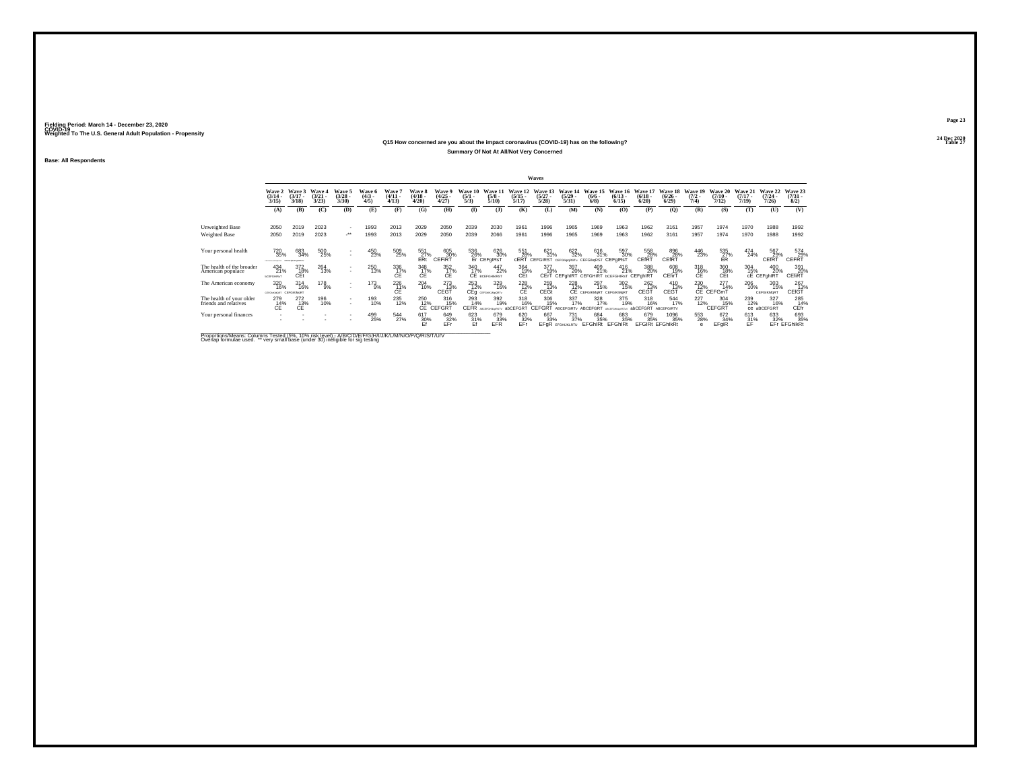### **24 Dec 2020Q15 How concerned are you about the impact coronavirus (COVID-19) has on the following?Table 27 Table 27 Summary Of Not At All/Not Very Concerned**

**Base: All Respondents**

|                                                   |                                                   |                             |                             |                                |                              |                                      |                             |                                |                                |                                  |                              | Waves                           |                                                          |                                         |                                 |                                   |                                        |                                |                                     |                                  |                              |                                 |
|---------------------------------------------------|---------------------------------------------------|-----------------------------|-----------------------------|--------------------------------|------------------------------|--------------------------------------|-----------------------------|--------------------------------|--------------------------------|----------------------------------|------------------------------|---------------------------------|----------------------------------------------------------|-----------------------------------------|---------------------------------|-----------------------------------|----------------------------------------|--------------------------------|-------------------------------------|----------------------------------|------------------------------|---------------------------------|
|                                                   | Wave 2<br>$\frac{(3/14)}{3/15}$                   | Wave 3<br>$(3/17 -$<br>3/18 | Wave 4<br>$(3/21 -$<br>3/23 | Wave 5<br>$\binom{3/28}{3/30}$ | Wave 6<br>$\binom{4/3}{4/5}$ | <b>Wave</b><br>$\frac{(4/11)}{4/13}$ | Wave 8<br>$(4/18 -$<br>4/20 | Wave 9<br>$\binom{4/25}{4/27}$ | Wave 10<br>$\frac{(5/1)}{5/3}$ | Wave 11<br>$\frac{(5/8)}{5/10}$  | Wave 12<br>$(5/15 -$<br>5/17 | Wave 13<br>$\binom{5/27}{5/28}$ | Wave 14<br>$\frac{(5/29)}{5/31}$                         | Wave 15<br>$\frac{(6/6 - 6)}{(6/8)}$    | Wave 16<br>$\binom{6/13}{6/15}$ | Wave 17<br>$\binom{6/18}{6/20}$   | <b>Wave 18</b><br>$\binom{6/26}{6/29}$ | Wave 19<br>$\frac{(7/2)}{7/4}$ | Wave 20<br>$\frac{(7/10)}{7/12}$    | Wave 21<br>$\frac{(7/17)}{7/19}$ | Wave 22<br>$(7/24 -$<br>7/26 | Wave 23<br>$\binom{7/31}{8/2}$  |
|                                                   | (A)                                               | (B)                         | (C)                         | (D)                            | (E)                          | (F)                                  | (G)                         | (H)                            | $\mathbf{D}$                   | (3)                              | (K)                          | (L)                             | (M)                                                      | (N)                                     | (0)                             | (P)                               | (O)                                    | (R)                            | (S)                                 | (T)                              | (U)                          | (V)                             |
| Unweighted Base                                   | 2050                                              | 2019                        | 2023                        | $\overline{\phantom{a}}$       | 1993                         | 2013                                 | 2029                        | 2050                           | 2039                           | 2030                             | 1961                         | 1996                            | 1965                                                     | 1969                                    | 1963                            | 1962                              | 3161                                   | 1957                           | 1974                                | 1970                             | 1988                         | 1992                            |
| <b>Weighted Base</b>                              | 2050                                              | 2019                        | 2023                        | $\cdot$                        | 1993                         | 2013                                 | 2029                        | 2050                           | 2039                           | 2066                             | 1961                         | 1996                            | 1965                                                     | 1969                                    | 1963                            | 1962                              | 3161                                   | 1957                           | 1974                                | 1970                             | 1988                         | 1992                            |
| Your personal health                              | 720<br>35%<br>PERMITTEN CEFORATORIES              | 683<br>34%                  | 500<br>25%                  | $\sim$<br>$\mathbf{r}$         | 450<br>23%                   | 509<br>25%                           | 551<br>27%<br>ERt           | 605<br>30%<br>CEFIRT           | 536<br>26%                     | 626<br>30%<br>Er CEFgIRsT        | 551<br>28%<br>cERT           | 621<br>31%<br><b>CEFGIRST</b>   | 622<br>32%<br>CEFGIkpaRSTu CEFGIkgRST                    | 616<br>31%                              | 597<br>30%<br>CEFolRsT          | 558<br>28%<br>CEfRT               | 896<br>28%<br>CEfRT                    | 446<br>23%                     | $^{535}_{\substack{27}{\text{ER}}}$ | 474<br>24%                       | 567<br>29%<br>CEfRT          | $^{574}_{-29\%}$ CEFRT          |
| The health of the broader<br>American populace    | $^{434}_{21\%}$<br><b><i><u>bCEFGHRsT</u></i></b> | 372<br>18%<br>CEt           | 264<br>13%                  | $\sim$<br>$\mathbf{r}$         | 250<br>13%                   | 336<br>17%<br>СE                     | 348<br>17%<br>CE            | $\frac{352}{17\%}$<br>CE       | 340<br>17%                     | 447<br>22%<br>CE BCEFGHIMRST     | 364<br>19%<br>CEt            | 377<br>19%                      | 397<br>20%<br>CErT CEFghIRT CEFGHIRT bCEFGHIRsT CEFghIRT | $^{409}_{21\%}$                         | $^{416}_{21\%}$                 | 388<br>20%                        | 608<br>19%<br>CEfirT                   | 318<br>16%<br>СE               | 360<br>18%<br>CEt                   | $\frac{304}{15\%}$               | 400<br>20%<br>CE CEFghIRT    | 391<br>20%<br>CEfiRT            |
| The American economy                              | 320<br>16%<br><b>GEFGHAGMORT CEFGIKIMsRT</b>      | $^{314}_{16\%}$             | 178 9%                      | $\sim$<br>$\mathbf{r}$         | $^{173}_{9\%}$               | 226<br>ĆÉ.                           | 204<br>10%                  | 273<br>13%<br>CEGŤ             | $\frac{253}{12\%}$             | 329<br>16%<br>CEg cerchiculation | $^{228}_{\substack{12 \ 6}}$ | 259<br>13%<br>CEGt              | <sup>228</sup> <sub>12%</sub>                            | 297<br>15%<br>CE CEFGIKMORT CEFGIKIMORT | 302<br>15%                      | <sup>262</sup><br>13%<br>CEGT     | $^{410}_{13\%}$<br>CEGT                | 230<br>12%                     | $^{277}_{14\%}$<br>CE CEFGmT        | 206<br>10%                       | 303<br>15%<br>CEFGIKMqRT     | 267<br>13%<br>CEfGT             |
| The health of your older<br>friends and relatives | 279<br>C <sup>14</sup> <sub>E</sub>               | 272<br>C <sup>13%</sup>     | 196<br>10%                  | $\mathbf{r}$                   | 193<br>10%                   | 235<br>12%                           | 250<br>12%                  | 316<br>15%<br>CE CEFGRT        | 293<br>14%<br><b>CEFR</b>      | 392<br>19%                       | 318<br>16%<br>abCEFGRT       | 306<br>15%<br><b>CEFGRT</b>     | 337<br>17%<br>ABCEFGIRTy                                 | 328<br>17%<br>ABCEFGRT                  | 375<br>19%<br>ARCEFOHN          | 318<br>16%<br>abCEFGRT ABCEFGIRTV | 544<br>17%                             | 227<br>12%                     | 304<br>15%<br>CEFGRT                | 239<br>12%                       | 327<br>16%<br>CB aBCEFGRT    | 285<br>14%<br>CEfr <sup>1</sup> |
| Your personal finances                            |                                                   |                             |                             |                                | 499<br>25%                   | 544<br>27%                           | 617<br>30%<br>Ef            | 649<br>32%<br>EFr              | 623<br>31%<br>Ff               | 679<br>33%<br>EFR                | 620<br>32%<br>EFr            | 667<br>33%<br>EFaR              | $^{731}_{37\%}$<br>EFGHJKLRTU                            | 684<br>35%<br>EFGhIRt                   | 683<br>35%<br>EFGh<br>IRt       | 679<br>35%<br>EFGIRt              | 1096<br>35%<br>EFGhlkRt                | 553<br>28%<br>e                | 672<br>34%<br>EFgiR                 | 613<br>31%<br>EF                 | 633<br>32%                   | 693<br>35%<br>EFr EFGhlkRt      |

Proportions/Means: Columns Tested (5%, 10% risk level) - A/B/C/D/E/F/G/H/I/J/K/L/M/N/O/P/Q/R/S/T/U/V<br>Overlap formulae used. \*\* very small base (under 30) ineligible for sig testing

**Page 2324 Dec 2020<br>Table 27**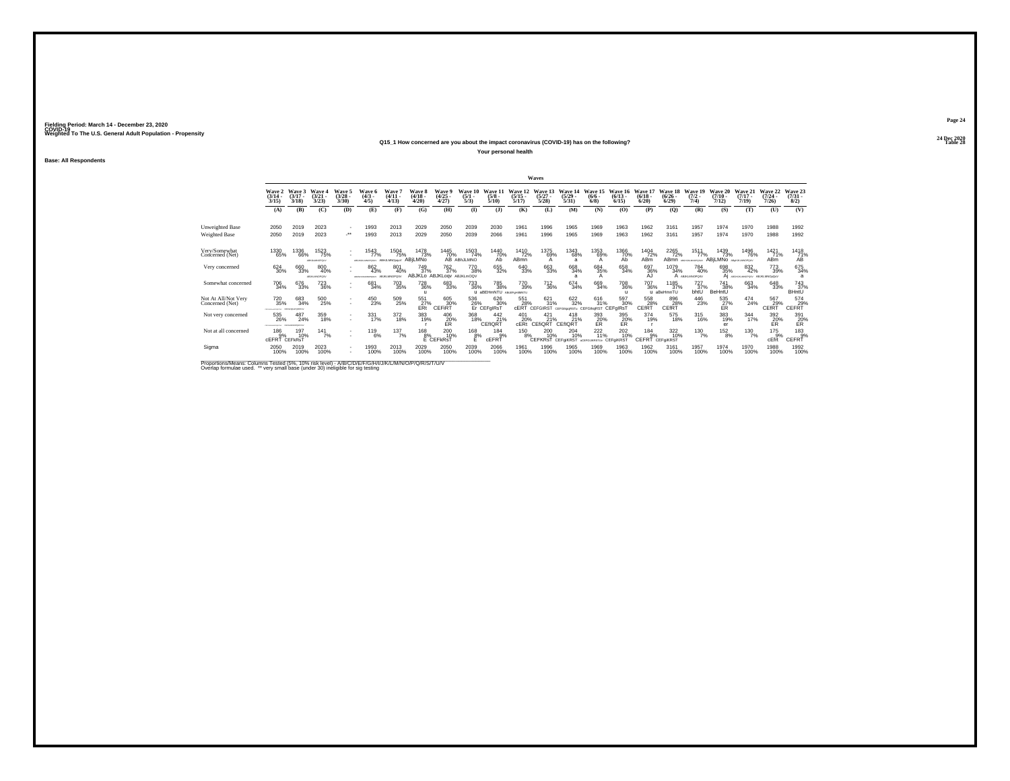### **24 Dec 2020Q15\_1 How concerned are you about the impact coronavirus (COVID-19) has on the following?Table 28 Table 28**

**Your personal health**

**Base: All Respondents**

|                                        |                                   |                               |                                |                                          |                                    |                                     |                                               |                                                            |                                |                                      |                                  | Waves                            |                                           |                                |                                  |                                    |                                  |                                                 |                                      |                                             |                              |                                        |
|----------------------------------------|-----------------------------------|-------------------------------|--------------------------------|------------------------------------------|------------------------------------|-------------------------------------|-----------------------------------------------|------------------------------------------------------------|--------------------------------|--------------------------------------|----------------------------------|----------------------------------|-------------------------------------------|--------------------------------|----------------------------------|------------------------------------|----------------------------------|-------------------------------------------------|--------------------------------------|---------------------------------------------|------------------------------|----------------------------------------|
|                                        | Wave 2<br>$\frac{(3/14)}{3/15}$   | Wave 3<br>$(3/17 -$<br>3/18   | Wave 4<br>(3/21)<br>3/23       | Wave 5<br>$\frac{(3/28)}{3/30}$          | <b>Wave 6</b><br>$(4/3 -$<br>4/5   | Wave<br>$(4/11 -$<br>4/13           | <b>Wave 8</b><br>$\frac{(4/18)}{4/20}$        | Wave 9<br>$\binom{4/25}{4/27}$                             | Wave 10<br>$\frac{(5/1)}{5/3}$ | Wave 11<br>$(5/8 -$<br>5/10          | Wave 12<br>$\frac{(5/15)}{5/17}$ | Wave 13<br>$\frac{(5/27)}{5/28}$ | Wave 14<br>$\binom{5/29}{5/31}$           | Wave 15<br>$\frac{(6/6)}{6/8}$ | Wave 16<br>$\frac{(6/13)}{6/15}$ | Wave 17<br>$\frac{(6/18)}{(6/20)}$ | Wave 18<br>$\frac{(6/26)}{6/29}$ | Wave 19<br>$(7/2 -$<br>7/4)                     | Wave 20<br>$\frac{(7/10)}{7/12}$     | Wave 21<br>$(7/17 -$<br>7/19                | Wave 22<br>$(7/24 -$<br>7/26 | Wave 23<br>$\binom{7/31}{8/2}$         |
|                                        | (A)                               | (B)                           | (C)                            | (D)                                      | (E)                                | (F)                                 | (G)                                           | <b>(H)</b>                                                 | $\Phi$                         | $($ $)$                              | (K)                              | (L)                              | (M)                                       | (N)                            | (0)                              | (P)                                | (Q)                              | (R)                                             | (S)                                  | (T)                                         | (U)                          | (V)                                    |
| Unweighted Base                        | 2050                              | 2019                          | 2023                           | ٠                                        | 1993                               | 2013                                | 2029                                          | 2050                                                       | 2039                           | 2030                                 | 1961                             | 1996                             | 1965                                      | 1969                           | 1963                             | 1962                               | 3161                             | 1957                                            | 1974                                 | 1970                                        | 1988                         | 1992                                   |
| Weighted Base                          | 2050                              | 2019                          | 2023                           | $\star\star$                             | 1993                               | 2013                                | 2029                                          | 2050                                                       | 2039                           | 2066                                 | 1961                             | 1996                             | 1965                                      | 1969                           | 1963                             | 1962                               | 3161                             | 1957                                            | 1974                                 | 1970                                        | 1988                         | 1992                                   |
| Very/Somewhat<br>Concerned (Net)       | 1330<br>65%                       | 1336<br>66%                   | 1523<br>75%<br>ABILIELMNOPOLIV |                                          | 1543<br>77%<br>ABSHUKANOPOSUV      | 1504<br>75%<br>ABHJLMNOppLV ABILMNO | 1478<br>73%                                   | 1445<br>70%                                                | 1503<br>74%<br>AB ABIJLMNO     | 1440<br>70%<br>ÁБ                    | 1410<br>72%<br>ABmn              | 1375<br>69%                      | 1343<br>68%<br>a                          | 1353<br>69%<br>А               | 1366<br>70%<br>Ab                | 1404<br>72%<br>ABm                 | 2265<br>72%<br>AB <sub>mn</sub>  | 1511<br>77%<br>ABGHJASANOPOSLIV                 | 1439<br>73%<br>ABILMNO ABUNAMOPOLY   | 1496<br>76%                                 | 1421<br>71%<br><b>ABm</b>    | $^{1418}_{\substack{71\%\\\text{AB}}}$ |
| Very concerned                         | 624 30%                           | 660<br>33%                    | 800<br>40%<br>ABJKLMNOPOSV     |                                          | 862<br>43%<br><b>MUSEUM MORELY</b> | 801<br>40%<br>ABJKLMNOPOSV          | 749<br>37%                                    | <sup>762</sup> <sub>37%</sub><br>ABJKLo ABJKLogv ABJKLmOQV | 770<br>38%                     | 655<br>32%                           | 640<br>33%                       | 663<br>33%                       | 668<br>34%                                | 684<br>35%<br>А                | 658<br>34%                       | 697<br>36%<br>AJ                   | 1079<br>34%                      | <sup>784</sup> <sub>40%</sub><br>A ABJKLMNOPOSV | 698<br>35%                           | 832<br>42%<br>AI ABGHUNUMOPOSY ABJKLMNOxOxV | 773<br>39%                   | 675<br>34%                             |
| Somewhat concerned                     | 706<br>34%                        | 676<br>33%                    | <sup>723</sup> <sub>36%</sub>  |                                          | 681<br>34%                         | 703<br>35%                          | <sup>728</sup> <sub>36%</sub><br>$\mathbf{u}$ | 683<br>33%                                                 | <sup>733</sup> <sub>36%</sub>  | 785<br>38%<br>aBEHmNTU ABdEFgHIMNTU  | 770<br>39%                       | <sup>712</sup> <sub>36%</sub>    | 674<br>34%                                | 669<br>34%                     | 708<br>36%<br>$\mathbf{u}$       | 707<br>36%                         | 1185<br>37%<br>u aBeHmnTU        | $^{727}_{37\%}$<br>bhtU                         | <sup>741</sup> 38%<br>BeHntU         | 663<br>34%                                  | 648<br>33%                   | 743<br>37%<br>BHntÜ                    |
| Not At All/Not Very<br>Concerned (Net) | 720<br>35%<br>--------------      | 683<br>34%<br>CEFD-66-PORTLEY | 500<br>25%                     | $\sim$<br>$\overline{\phantom{a}}$       | 450<br>23%                         | 509<br>25%                          | 551<br>E <sub>RT</sub> <sup>27%</sup>         | 605<br>30%<br>CEFIRT                                       | 536                            | 626<br>30%<br>26% 30°<br>Er CEFgIRsT | 551<br>28%<br>cERT               | 621<br>31%<br><b>CEFGIRST</b>    | 622<br>32%<br>CEFGIkpoRSTu CEFGIkgRST     | 616<br>31%                     | 597<br>30%<br>CEFgIRs1           | 558<br>28%<br><b>CEfRT</b>         | 896<br>28%<br>CEfRT              | 446<br>23%                                      | $^{535}_{\substack{27}{\text{ER}} }$ | 474<br>24%                                  | 567<br>29%<br>CEfRT          | 574<br>CEFF                            |
| Not very concerned                     | 535<br>26%<br>-------------       | 24%<br>CEFO-MONOPORTERY       | 359<br>18%                     | $\mathbf{r}$<br>$\sim$                   | 331/17%                            | 372<br>18%                          | 383<br>19%                                    | 406<br>20%<br>ER                                           | 368<br>18%                     | $^{442}_{21\%}$<br>CEfIQRT           | 401<br>20%<br>cERt               | 21%<br>CEfiQRT                   | 418<br>21%<br><b>CEfIORT</b>              | 393<br>20%<br>ER               | 395<br>20%<br>ER                 | 374<br>19%                         | 575<br>18%                       | $^{315}_{16\%}$                                 | 383<br>19%<br>er                     | $\frac{344}{17\%}$                          | 392<br>20%<br>ER             | 391<br>20%<br><b>ER</b>                |
| Not at all concerned                   | 186<br>9%<br><b>CEFRT CEFKRST</b> | 197<br>10%                    | $141$ <sub>7%</sub>            | $\mathbf{r}$<br>$\overline{\phantom{a}}$ | $^{119}_{6\%}$                     | 137/7%                              | $^{168}_{-8\%}$                               | $^{200}_{10\%}$<br>E CEFKRST                               | $\frac{168}{8\%}$              | $\frac{184}{9\%}$<br>cEFRT           | 150 8%                           | 200 10%<br><b>CEFKRsT</b>        | $^{204}_{10\%}$<br>CEFGIKRST acercuiostuv | $^{222}_{11\%}$                | 202 10%<br>CEFGIKRST             | $\frac{184}{9%}$<br>CEFRT CEFGKRST | 322<br>10%                       | $^{130}_{7\%}$                                  | $^{152}_{8\%}$                       | $^{130}$ $^{7\%}$                           | 175%<br>cEfrt                | $\frac{183}{9%}$<br>CEFRT              |
| Sigma                                  | 2050<br>100%                      | 2019<br>100%                  | 2023<br>100%                   | $\mathbf{r}$                             | 1993<br>100%                       | 2013<br>100%                        | 2029<br>100%                                  | 2050<br>100%                                               | 2039<br>100%                   | 2066<br>100%                         | 1961<br>100%                     | 1996<br>100%                     | 1965<br>100%                              | 1969<br>100%                   | 1963<br>100%                     | 1962<br>100%                       | 3161<br>100%                     | 1957<br>100%                                    | 1974<br>100%                         | 1970<br>100%                                | 1988<br>100%                 | 1992<br>100%                           |

Proportions/Means: Columns Tested (5%, 10% risk level) - A/B/C/D/E/F/G/H/I/J/K/L/M/N/O/P/Q/R/S/T/U/V<br>Overlap formulae used. \*\* very small base (under 30) ineligible for sig testing

**Page 24**24 Dec 2020<br>Table 28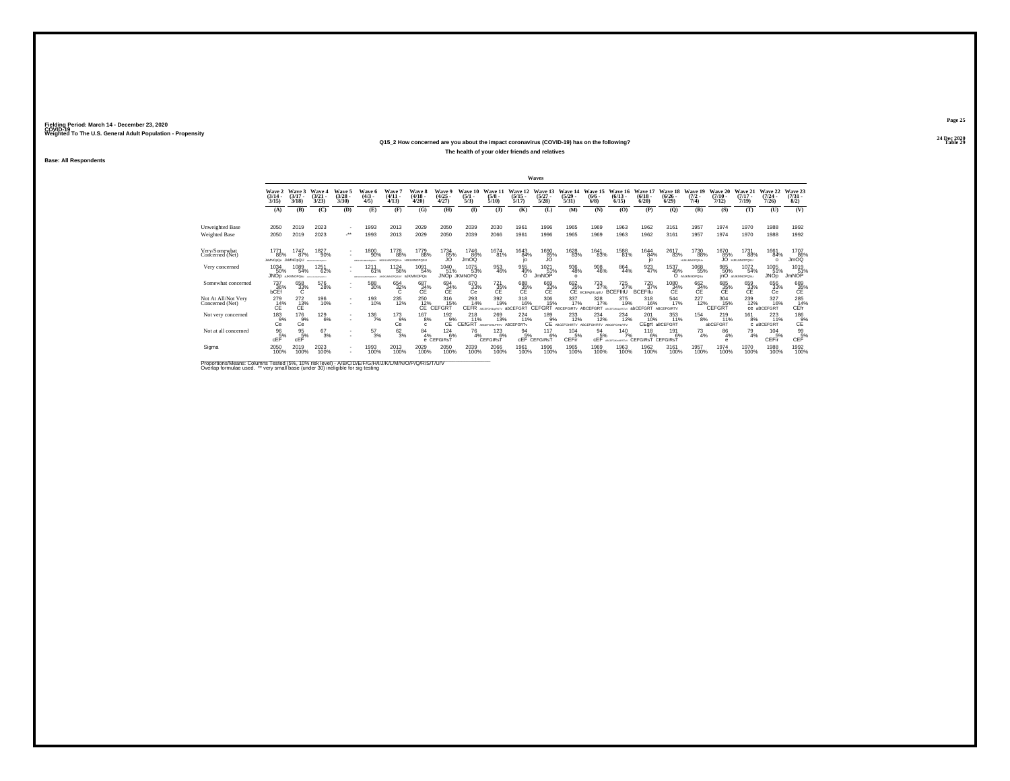### **24 Dec 2020Q15\_2 How concerned are you about the impact coronavirus (COVID-19) has on the following?Table 29 Table 29**

**The health of your older friends and relatives**

**Base: All Respondents**

|                                        |                                 |                                        |                                       |                                                      |                                  |                                               |                                |                                     |                                |                                      |                                  | Waves                                 |                                               |                                                     |                                           |                                                |                                  |                             |                              |                                       |                                  |                                              |
|----------------------------------------|---------------------------------|----------------------------------------|---------------------------------------|------------------------------------------------------|----------------------------------|-----------------------------------------------|--------------------------------|-------------------------------------|--------------------------------|--------------------------------------|----------------------------------|---------------------------------------|-----------------------------------------------|-----------------------------------------------------|-------------------------------------------|------------------------------------------------|----------------------------------|-----------------------------|------------------------------|---------------------------------------|----------------------------------|----------------------------------------------|
|                                        | Wave 2<br>$\frac{(3/14)}{3/15}$ | Wave 3<br>$(3/17 -$<br>3/18            | Wave 4<br>(3/21)<br>3/23              | Wave 5<br>$\binom{3/28}{3/30}$                       | Wave 6<br>$(4/3 -$<br>4/5        | Wave?<br>(4/11)<br>(4/13)                     | Wave 8<br>$(4/18 -$<br>4/20    | Wave 9<br>$\binom{4/25}{4/27}$      | Wave 10<br>$\frac{(5/1)}{5/3}$ | Wave 11<br>$\frac{(5/8)}{5/10}$      | Wave 12<br>$\frac{(5/15)}{5/17}$ | Wave 13<br>$\binom{5/27}{5/28}$       | Wave 14<br>$\frac{(5/29)}{5/31}$              | Wave 15<br>$(6/6 -$<br>6/8                          | Wave 16<br>$\frac{(6/13)}{6/15}$          | Wave 17<br>$\binom{6/18}{6/20}$                | Wave 18<br>$\frac{(6/26)}{6/29}$ | Wave 19<br>$(7/2 -$<br>7/4) | Wave 20<br>$(7/10 -$<br>7/12 | Wave 21<br>$(7/17 -$<br>7/19          | Wave 22<br>$\frac{(7/24)}{7/26}$ | Wave 23<br>$\binom{7/31}{8/2}$               |
|                                        | (A)                             | (B)                                    | (C)                                   | (D)                                                  | (E)                              | (F)                                           | (G)                            | (H)                                 | $($ I                          | (1)                                  | (K)                              | (L)                                   | (M)                                           | (N)                                                 | (O)                                       | (P)                                            | (Q)                              | (R)                         | (S)                          | (T)                                   | (U)                              | (V)                                          |
| Unweighted Base                        | 2050                            | 2019                                   | 2023                                  | $\overline{\phantom{a}}$                             | 1993                             | 2013                                          | 2029                           | 2050                                | 2039                           | 2030                                 | 1961                             | 1996                                  | 1965                                          | 1969                                                | 1963                                      | 1962                                           | 3161                             | 1957                        | 1974                         | 1970                                  | 1988                             | 1992                                         |
| Weighted Base                          | 2050                            | 2019                                   | 2023                                  | ÷                                                    | 1993                             | 2013                                          | 2029                           | 2050                                | 2039                           | 2066                                 | 1961                             | 1996                                  | 1965                                          | 1969                                                | 1963                                      | 1962                                           | 3161                             | 1957                        | 1974                         | 1970                                  | 1988                             | 1992                                         |
| Very/Somewhat<br>Concerned (Net)       | 1771<br>86%<br><b>JMNOpOu</b>   | 1747<br>87%<br><b>JkMNOpQU</b>         | 1827<br>90%<br>BOILKIMONICUL          |                                                      | 1800<br>90%<br>ABGHLKLM2PORCELV  | 1778<br>88%<br>HUKUMKOPOSUv HJKLMNOPOSU       | 1779<br>88%                    | 1734<br>85%                         | 1746<br>86%<br><b>JmOQ</b>     | 1674<br>81%                          | 1643<br>84%<br><b>IO</b>         | 1690<br>35%                           | 1628<br>83%                                   | 1641<br>83%                                         | 1588<br>81%                               | 1644<br>84%<br>ıо                              | 2617<br>83%                      | 1730<br>88%<br>HUKLMNOPOSUv | 1670<br>85%                  | 1731<br>88%<br><b>JO</b> HJKLMNOPOSU  | 1661<br>84%<br>$\Omega$          | 1707<br>86%<br>JmOQ                          |
| Very concerned                         | 1034<br>50%                     | 1089<br>54%<br>JNOD AJKMNOPOAU         | 1251<br>62%<br><b>MEDICALMONISTLY</b> | $\sim$                                               | 121<br>61%<br>ARE GHASAM CPORTUN | <sup>1124</sup> 56%<br>AUKLINDPOSUV &JKMNOPOS | 1091<br>54%                    | 1040<br>51%                         | 1075<br>53%<br>JNOp JKMNOPQ    | 953<br>46%                           | 955<br>49%<br>$\Omega$           | $1021$ <sub>51%</sub><br><b>JmNOP</b> | 936<br>48%<br>$\Omega$                        | 908<br>46%                                          | 864<br>44%                                | 923<br>47%                                     | 1537<br>49%                      | 1068<br>55%<br>O ANKWHOPOSu | 985<br>50%                   | 1072<br>54%<br><b>inO</b> anJKMNOPOSu | 1005<br>51%<br><b>JNOp</b>       | 1019<br>51%<br><b>JmNOP</b>                  |
| Somewhat concerned                     | 737<br>36%<br>bCEf              | 658<br>33%                             | 576<br>28%                            | $\mathbf{r}$                                         | 588<br>30%                       | 654<br>32%                                    | $^{687}_{34\%}$ CE             | $^{694}_{\substack{34}{\text{C}} }$ | 670<br>33%<br>Сė               | $\frac{721}{35\%}$                   | 688<br>35%<br>CE                 | $^{669}_{33\%}$ CE                    |                                               | 692 733<br>35% 37%<br>CE BCEFghlLgrtU<br>733<br>37% | <sup>725</sup> <sub>37%</sub><br>BCEFIItU | <sup>720</sup> <sub>37%</sub><br><b>BCFFII</b> | 1080<br>34%<br>CЕ                | $^{662}_{34\%}$             | 685<br>35%<br>CE             | 659<br>33%<br>CE                      | 656<br>33%<br>Сė                 | $^{689}_{35\%}$                              |
| Not At All/Not Very<br>Concerned (Net) | 279<br>14%<br>ĆÉ                | $^{272}_{\substack{13 \times \\ C E}}$ | 196<br>10%                            | $\overline{\phantom{a}}$<br>$\overline{\phantom{a}}$ | 193<br>10%                       | $^{235}_{12\%}$                               | 250<br>C <sup>2</sup>          | 316<br>15%<br>CEFGRT                | 293<br>14%<br>CEFR             | 392<br>19%<br><b>VISSAURSTV</b>      | 318<br>16%<br><b>abCEEGRT</b>    | 306<br>15%<br>CEFGRT                  | 337<br>17%<br>ABCEFGIRTy ABCEFGRT             | 328<br>17%                                          | 375<br>19%<br>4905                        | 318<br>16%<br>abCEFGRT                         | 544<br>17%<br>ABCEFGIRTV         | 227<br>12%                  | 304<br>15%<br>CEFGRT         | 239<br>12%                            | 327<br>16%<br>CB aBCEFGRT        | 285<br>14%<br>CEfr                           |
| Not very concerned                     | $^{183}_{9%}$<br>Ce             | $^{176}_{9\%}$<br>Ce                   | <sup>129</sup> <sub>6%</sub>          | $\sim$<br>$\sim$                                     | 1367%                            | $^{173}_{9\%}$<br>Сe                          | $^{167}_{8\%}$<br>$\mathbf{c}$ | $192_{9\%}$<br>CE                   | 218<br>11%<br>CEfGRT           | 269<br>13%<br>ABCEFGHLPRTV ABCEFGRTV | 224<br>11%                       | $^{189}_{9%}$                         | 233<br>CE ABCEFGHIRTV ABCEFGHIRTV ABCEFGHLRTV | 234<br>12%                                          | <sup>234</sup> <sub>12%</sub>             | 201<br>10%                                     | 353<br>11%<br>CEgrt aBCEFGRT     | $^{154}_{8\%}$              | 219<br>$-11%$<br>abCEFGRT    | 161<br>8%                             | 223<br>11%<br>C aBCEFGRT         | 186 9%<br>CE                                 |
| Not at all concerned                   | $\frac{96}{5%}$<br>cEF          | $\frac{95}{5%}$<br>cEF                 | $^{67}_{3\%}$                         | $\sim$                                               | $^{57}_{3\%}$                    | $^{62}_{3\%}$                                 | $^{84}_{4\%}$                  | $^{124}_{6\%}$<br>e CEFGIRsT        | 76<br>4%                       | $^{123}_{6\%}$<br><b>CEFGIRST</b>    | $\frac{94}{5\%}$                 | 117<br>6%<br><b>CEF CEFGIRST</b>      | $^{104}_{-5\%}$<br><b>CEFir</b>               | $^{94}_{5\%}$<br>cEF                                | $140$ <sub>7%</sub><br>ADPECTMINAGET      | $^{118}_{6\%}$<br>CEFGIRST CEFGIRST            | 191<br>6%                        | $^{73}_{4\%}$               | 86<br>4%<br>А                | $^{79}_{4\%}$                         | 104<br>5%<br>CEFir               | $\mathop{\mathsf{GEF}}\limits^{\mathsf{99}}$ |
| Sigma                                  | 2050<br>100%                    | 2019<br>100%                           | 2023<br>100%                          | ×.                                                   | 1993<br>100%                     | 2013<br>100%                                  | 2029<br>100%                   | 2050<br>100%                        | 2039<br>100%                   | 2066<br>100%                         | 1961<br>100%                     | 1996<br>100%                          | 1965<br>100%                                  | 1969<br>100%                                        | 1963<br>100%                              | 1962<br>100%                                   | 3161<br>100%                     | 1957<br>100%                | 1974<br>100%                 | 1970<br>100%                          | 1988<br>100%                     | 1992<br>100%                                 |

Proportions/Means: Columns Tested (5%, 10% risk level) - A/B/C/D/E/F/G/H/I/J/K/L/M/N/O/P/Q/R/S/T/U/V<br>Overlap formulae used. \*\* very small base (under 30) ineligible for sig testing

**Page 25**24 Dec 2020<br>Table 29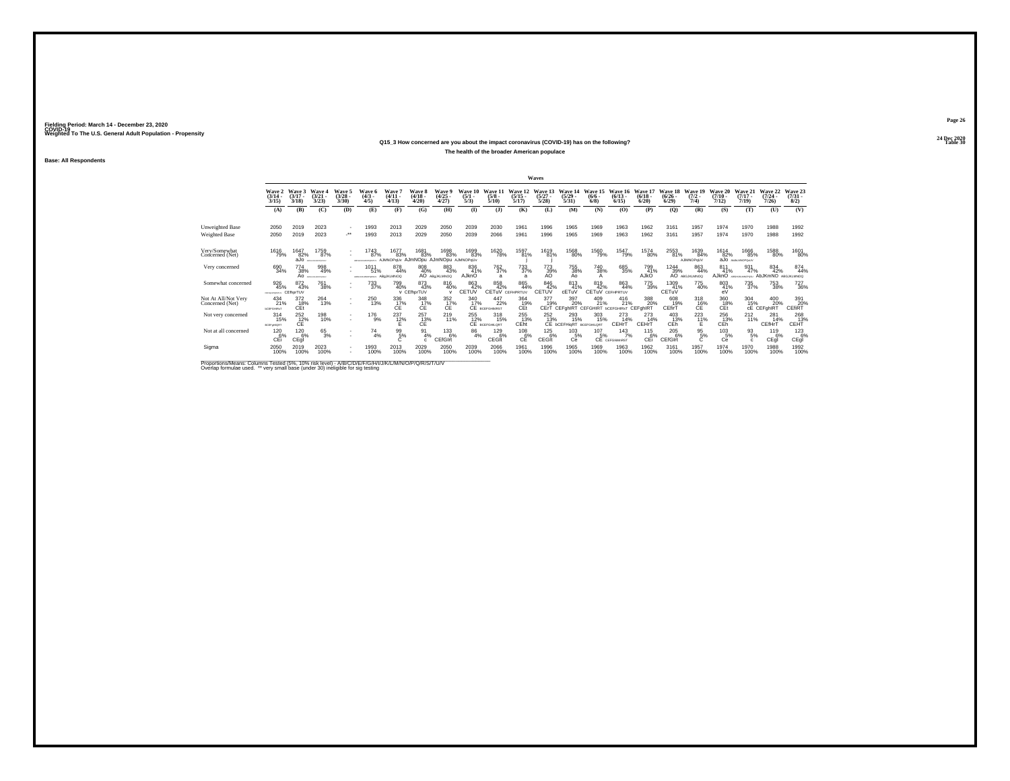### **24 Dec 2020Q15\_3 How concerned are you about the impact coronavirus (COVID-19) has on the following?Table 30 Table 30**

**The health of the broader American populace**

**Base: All Respondents**

|                                        |                                              |                                     |                                              |                                                      |                                                      |                                      |                                      |                                          |                                |                                                 |                                  | Waves                            |                                               |                                                     |                                                                                        |                                 |                                    |                             |                              |                                 |                                      |                                |
|----------------------------------------|----------------------------------------------|-------------------------------------|----------------------------------------------|------------------------------------------------------|------------------------------------------------------|--------------------------------------|--------------------------------------|------------------------------------------|--------------------------------|-------------------------------------------------|----------------------------------|----------------------------------|-----------------------------------------------|-----------------------------------------------------|----------------------------------------------------------------------------------------|---------------------------------|------------------------------------|-----------------------------|------------------------------|---------------------------------|--------------------------------------|--------------------------------|
|                                        | Wave 2<br>$\frac{(3/14)}{3/15}$              | Wave 3<br>$(3/17 -$<br>3/18         | Wave 4<br>(3/21)<br>3/23                     | Wave 5<br>$\frac{(3/28)}{3/30}$                      | Wave 6<br>$(4/3 -$<br>4/5                            | Wave?<br>(4/11)<br>4/13              | Wave 8<br>(4/18.<br>4/20             | Wave 9<br>$\binom{4/25}{4/27}$           | Wave 10<br>$\frac{(5/1)}{5/3}$ | Wave 11<br>$\frac{(5/8)}{5/10}$                 | Wave 12<br>$\frac{(5/15)}{5/17}$ | Wave 13<br>$\frac{(5/27)}{5/28}$ | Wave 14<br>$\frac{(5/29)}{5/31}$              | Wave 15<br>$\frac{(6/6)}{6/8}$                      | Wave 16<br>$\frac{(6/13)}{6/15}$                                                       | Wave 17<br>$\binom{6/18}{6/20}$ | Wave 18<br>$\frac{(6/26)}{(6/29)}$ | Wave 19<br>$(7/2 -$<br>7/4  | Wave 20<br>$(7/10 -$<br>7/12 | Wave 21<br>$(7/17 -$<br>7/19    | Wave 22<br>$\frac{(7/24 - 7)}{7/26}$ | Wave 23<br>$\binom{7/31}{8/2}$ |
|                                        | (A)                                          | (B)                                 | (C)                                          | (D)                                                  | (E)                                                  | (F)                                  | (G)                                  | (H)                                      | $($ I                          | (1)                                             | (K)                              | (L)                              | (M)                                           | (N)                                                 | (O)                                                                                    | (P)                             | (Q)                                | (R)                         | (S)                          | (T)                             | (U)                                  | (V)                            |
| Unweighted Base                        | 2050                                         | 2019                                | 2023                                         | $\sim$                                               | 1993                                                 | 2013                                 | 2029                                 | 2050                                     | 2039                           | 2030                                            | 1961                             | 1996                             | 1965                                          | 1969                                                | 1963                                                                                   | 1962                            | 3161                               | 1957                        | 1974                         | 1970                            | 1988                                 | 1992                           |
| Weighted Base                          | 2050                                         | 2019                                | 2023                                         |                                                      | 1993                                                 | 2013                                 | 2029                                 | 2050                                     | 2039                           | 2066                                            | 1961                             | 1996                             | 1965                                          | 1969                                                | 1963                                                                                   | 1962                            | 3161                               | 1957                        | 1974                         | 1970                            | 1988                                 | 1992                           |
| Verv/Somewhat<br>Concerned (Net)       | 1616<br>79%                                  | 1647<br>82%<br>aJo                  | 1759<br>87%<br><b>ARTHUR WANTED REGISTER</b> | ٠                                                    | 1743<br>87%<br><b><i>AREFAE AT MUSIC SERVICE</i></b> | 1677<br>83%<br>AJMNOPoUv AJMNOpu     | 1681<br>83%                          | 1698<br>83%<br>AJMNOpu AJMNOPoUv         | 1699<br>83%                    | 1620<br>78%                                     | 1597<br>81%                      | 1619<br>81%                      | 1568<br>80%                                   | 1560<br>79%                                         | 1547<br>79%                                                                            | 1574<br>80%                     | 2553<br>81%                        | 1639<br>84%<br>AJIMNOPoUV   | 1614<br>82%                  | 1666<br>85%<br>aJo ANALIMOPONIV | 1588<br>80%                          | 1601<br>80%                    |
| Very concerned                         | 690<br>34%                                   | 774<br>38%                          | 998<br>49%<br>AO APOILIMOPORA                | ÷.                                                   | 101<br>51%<br>ARPOHASING/CRISIA                      | 878<br>44%<br><b>ABGJKLMNOQ</b>      | 808<br>40%                           | 883<br>43%<br>AO ABOJKLMNOO              | 836<br>41%<br>AJknO            | <sup>762</sup> <sub>37%</sub><br>$\overline{a}$ | 733<br>37%<br>a                  | 773<br>39%<br>AO                 | 755<br>38%<br>Aο                              | 740<br>38%<br>А                                     | 685<br>35%                                                                             | 799<br>41%<br>AJkO              | 1244<br>39%                        | 863<br>44%<br>AO ABGJKLMNOQ | 811<br>41%<br>AJknO          | 931<br>47%                      | 834<br>42%<br>AbJKmNO                | 874<br>44%<br>ABGJKLMNOQ       |
| Somewhat concerned                     | 926<br>45%<br>CEFAM-POLITY/                  | 872<br>43%<br>CEfhorTUV             | <sup>761</sup> 38%                           | $\overline{\phantom{a}}$                             | 733<br>37%                                           | 799<br>40%                           | 873<br>43%<br>v CEfhprTUV            | $\substack{816 \\ 40\%}$<br>$\mathbf{v}$ | 863<br>42%<br>CETUV            | 858<br>42%<br><b>CETUV</b> CEFHPRTUV            | 865<br>44%                       | 846<br>42%<br>CETUN              | 813<br>41%<br>cETuV                           | 819<br>42%<br><b>CETUV</b> CEFHPRTUV                | 863<br>44%                                                                             | 775<br>39%                      | 1309<br>41%<br>CETUV               | 775<br>40%                  | 803<br>41%<br>eV             | <sup>735</sup> <sub>37%</sub>   | 753<br>38%                           | <sup>727</sup> <sub>36%</sub>  |
| Not At All/Not Very<br>Concerned (Net) | 434<br>21%<br><b><i><u>bCEFGHRsT</u></i></b> | 372<br>18%<br>CEt                   | 264<br>13%                                   | $\overline{\phantom{a}}$<br>$\overline{\phantom{a}}$ | 250<br>13%                                           | 336<br>C <sub>E</sub> <sup>17%</sup> | 348<br>C <sub>E</sub> <sup>17%</sup> | 352<br>C <sub>E</sub> <sup>17%</sup>     | 340<br>17%                     | 447<br>22%<br><b>CE</b> BCEFGHIMRST             | 364<br>19%<br>CEt                | 377<br>19%<br>CErT               | 397<br>20%                                    | 409<br>21%<br>CEFGHIRT CEFGHIRT bCEFGHIRsT CEFGhIRT | 416<br>21%                                                                             | 388<br>20%                      | 608<br>19%<br>CEfirT               | 318<br>$CE^{\frac{16}{6}}$  | 360<br>18%<br>CEt            | 304<br>15%                      | 400<br>20%<br>CE CEFGhIRT            | 391<br>20%<br>CEfiRT           |
| Not very concerned                     | $^{314}_{15\%}$<br><b>BCEF@HIGRT</b>         | <sup>252</sup> <sub>12%</sub><br>СE | 198<br>10%                                   | $\overline{\phantom{a}}$<br>$\sim$                   | 176<br>9%                                            | $^{237}_{12\%}$                      | $\frac{257}{13%}$<br><b>CE</b>       | $^{219}_{11\%}$                          | $^{255}_{12\%}$                | 318<br>15%<br>CE BCEFGHILORT                    | 255<br>13%<br>CEht               | 252<br>13%                       | 293<br>15%<br>CE <b>bCEFHIGRT</b> BCEFGHILDRT | $\frac{303}{15\%}$                                  | $^{273}_{14\%}$<br>CEHrT                                                               | 273<br>14%<br>CEHrT             | $^{403}_{13\%}$<br>CEh             | $^{223}_{11\%}$<br>F        | 256<br>13%<br>CEh            | $^{212}_{11\%}$                 | 281<br>14%<br>CEfHrT                 | 268<br>13%<br>CEHT             |
| Not at all concerned                   | $^{120}_{6\%}$<br>CEi                        | 120 6%<br>CEql                      | 653%                                         | $\mathbf{r}$<br>$\overline{\phantom{a}}$             | 74<br>4%                                             | $^{99}_{5\%}$                        | 91<br>4%                             | $^{133}_{6\%}$<br>CEfGIrt                | $^{86}_{4\%}$                  | $^{129}_{6\%}$<br>CEGIt                         | $^{108}_{-6\%}$<br>СĒ            | $^{125}_{6\%}$<br>CEGIt          | $^{103}_{-5\%}$<br>Cē                         |                                                     | $\begin{array}{cc}\n107 & 143 \\ 5\% & 7\n\end{array}$ CE CEFGIMMRST<br>$^{143}_{7\%}$ | $^{115}_{-6\%}$<br>CEi          | 2056%<br>CEfGIrt                   | $\frac{95}{5%}$             | $^{103}_{-5\%}$<br>Ce        | $\frac{93}{5%}$<br>c.           | $^{119}_{6\%}$<br>CEql               | $^{123}_{6\%}$<br>CEgi         |
| Sigma                                  | 2050<br>100%                                 | 2019<br>100%                        | 2023<br>100%                                 | $\mathbf{r}$<br>$\sim$                               | 993<br>100%                                          | 2013<br>100%                         | 2029<br>100%                         | 2050<br>100%                             | 2039<br>100%                   | 2066<br>100%                                    | 1961<br>100%                     | 1996<br>100%                     | 1965<br>100%                                  | 1969<br>100%                                        | 1963<br>100%                                                                           | 1962<br>100%                    | 3161<br>100%                       | 1957<br>100%                | 1974<br>100%                 | 1970<br>100%                    | 1988<br>100%                         | 1992<br>100%                   |

Proportions/Means: Columns Tested (5%, 10% risk level) - A/B/C/D/E/F/G/H/I/J/K/L/M/N/O/P/Q/R/S/T/U/V<br>Overlap formulae used. \*\* very small base (under 30) ineligible for sig testing

**Page 2624 Dec 2020<br>Table 30**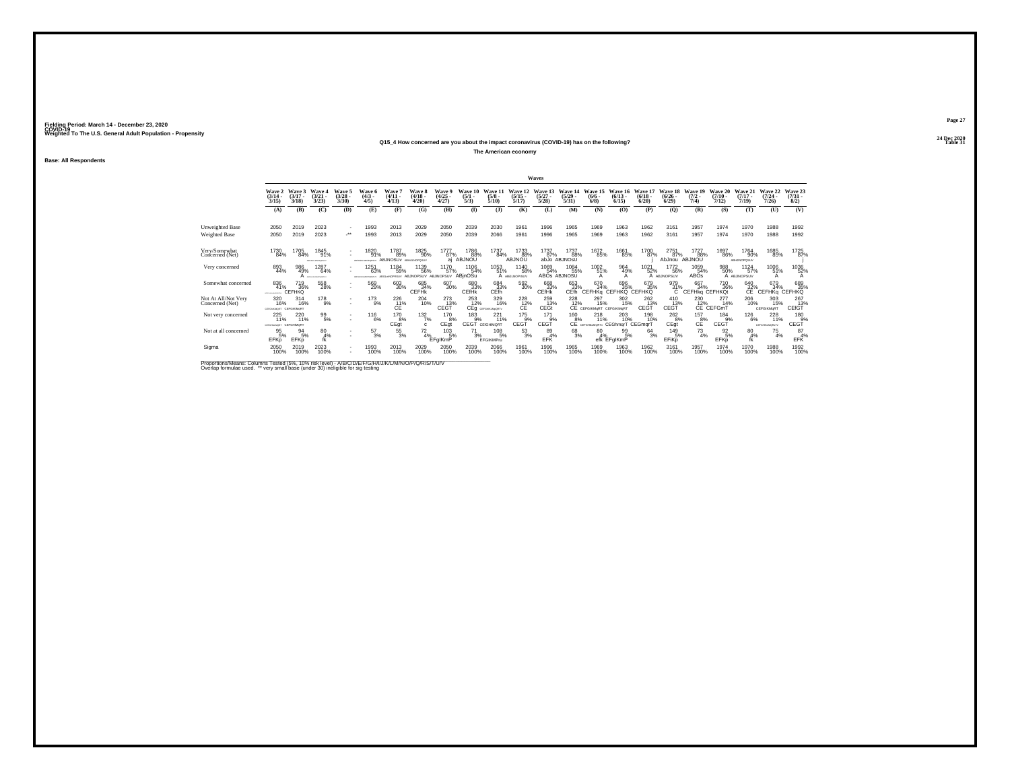### **24 Dec 2020Q15\_4 How concerned are you about the impact coronavirus (COVID-19) has on the following?Table 31 Table 31**

**The American economy**

**Base: All Respondents**

|                                        |                                              |                              |                                     |                                          |                                     |                                                    |                             |                                |                                |                                |                                      | Waves                            |                                      |                                                  |                              |                                 |                                    |                              |                                    |                                    |                                  |                                |
|----------------------------------------|----------------------------------------------|------------------------------|-------------------------------------|------------------------------------------|-------------------------------------|----------------------------------------------------|-----------------------------|--------------------------------|--------------------------------|--------------------------------|--------------------------------------|----------------------------------|--------------------------------------|--------------------------------------------------|------------------------------|---------------------------------|------------------------------------|------------------------------|------------------------------------|------------------------------------|----------------------------------|--------------------------------|
|                                        | Wave 2<br>$\frac{(3/14)}{3/15}$              | Wave 3<br>$(3/17 -$<br>3/18  | Wave 4<br>$(3/21 -$<br>3/23         | Wave 5<br>$(3/28 -$<br>3/30              | Wave 6<br>$\binom{4/3}{4/5}$        | Wave<br>$(4/11 -$<br>4/13                          | Wave 8<br>$(4/18 -$<br>4/20 | Wave 9<br>$\binom{4/25}{4/27}$ | Wave 10<br>$\frac{(5/1)}{5/3}$ | Wave 1<br>$\frac{(5/8)}{5/10}$ | Wave 12<br>$\frac{(5/15)}{5/17}$     | Wave 13<br>$\frac{(5/27)}{5/28}$ | Wave 14<br>$\frac{(5/29)}{5/31}$     | Wave 15<br>$\frac{(6/6 - 6)}{(6/8)}$             | Wave 16<br>$(6/13 -$<br>6/15 | Wave 17<br>$\binom{6/18}{6/20}$ | Wave 18<br>$\frac{(6/26)}{6/29}$   | Wave 19<br>$(7/2 -$<br>7/4   | Wave 20<br>$(7/10 -$<br>7/12       | Wave 21<br>$(7/17 -$<br>7/19       | Wave 22<br>$\frac{(7/24)}{7/26}$ | Wave 23<br>$\binom{7/31}{8/2}$ |
|                                        | (A)                                          | (B)                          | (C)                                 | (D)                                      | (E)                                 | (F)                                                | (G)                         | (H)                            | $($ I                          | (3)                            | (K)                                  | (L)                              | (M)                                  | (N)                                              | (0)                          | (P)                             | (Q)                                | (R)                          | (S)                                | (T)                                | (U)                              | (V)                            |
| Unweighted Base                        | 2050                                         | 2019                         | 2023                                | $\overline{\phantom{a}}$                 | 1993                                | 2013                                               | 2029                        | 2050                           | 2039                           | 2030                           | 1961                                 | 1996                             | 1965                                 | 1969                                             | 1963                         | 1962                            | 3161                               | 1957                         | 1974                               | 1970                               | 1988                             | 1992                           |
| Weighted Base                          | 2050                                         | 2019                         | 2023                                | $\mathcal{L}^{\bullet\bullet}$           | 1993                                | 2013                                               | 2029                        | 2050                           | 2039                           | 2066                           | 1961                                 | 1996                             | 1965                                 | 1969                                             | 1963                         | 1962                            | 3161                               | 1957                         | 1974                               | 1970                               | 1988                             | 1992                           |
| Very/Somewhat<br>Concerned (Net)       | 1730<br>84%                                  | 1705<br>84%                  | 1845<br>91%<br>ARPHAILMAGPORILLY    | $\overline{\phantom{a}}$                 | 1820<br>91%<br>ARPHAULMOPORIUM      | 1787<br>89%<br><b>ABJNOSUV ABHJLNOPOSUV</b>        | 1825<br>90%                 | 1777<br>87%<br>ai              | 1786<br>88%<br>ABJNOU          | 1737<br>84%                    | 1733<br>88%<br>ABJNOU                | 1737<br>87%                      | 1737<br>88%<br>abJo ABJNOSU          | 1672<br>85%                                      | 1661<br>85%                  | 1700<br>87%                     | 2751<br>87%<br>AbJnou              | 1727<br>88%<br>ABJNOU        | 1697<br>86%                        | 1764<br>90%<br><b>ABHJINOPOSUV</b> | 1685<br>85%                      | 1725<br>87%                    |
| Very concerned                         | 893<br>44%                                   | 986<br>49%                   | 1287<br>64%<br>A <i>arouncesses</i> |                                          | 1251<br>63%<br>ARE CHARLING PORTLAY | 1184<br>59%<br>ABLE-INDPRSUV ABJINOPSUV ABJINOPSUV | 1139<br>56%                 | 1170<br>57%                    | 1106<br>54%<br>ABjnOSu         | 1053<br>51%                    | <sup>1140</sup> 58%<br>A ABULNOPISUV | 1069<br>54%                      | 1084<br>55%<br>ABOS ABJNOSU          | 1002<br>51%                                      | 964<br>49%<br>A              | 1021<br>52%                     | <sup>1772</sup> 56%<br>A ABJNOPSUV | 1059<br>54%<br>ABOS          | 988<br>50%                         | 1124<br>57%<br>A ABJINOPSUV        | 1006<br>51%                      | 1036<br>52%                    |
| Somewhat concerned                     | 836<br>41%<br><b>CONTRACTOR</b>              | 719<br>36%<br>CEFHKQ         | 558<br>28%                          | $\overline{\phantom{a}}$                 | 569<br>29%                          | 603<br>30%                                         | 685<br>34%<br>CEFHK         | 607<br>30%                     | 680<br>33%<br>CEfHk            | $^{684}_{33\%}$ CEfh           | 592 30%                              | 668<br>33%<br><b>CEfHk</b>       | 653<br>33%<br>CEfh                   | 670<br>34%<br>CEFHKq CEFHKQ CEFHKQ               | 696<br>35%                   | 679<br>35%                      | 979<br>31%<br>TC.                  | 667<br>34%<br>CEFHKg CEFHKQt | <sup>710</sup> <sub>36%</sub>      | $^{640}_{32\%}$                    | 679<br>34%<br><b>CEFHKa</b>      | 689<br>35%<br><b>CEFHKQ</b>    |
| Not At All/Not Very<br>Concerned (Net) | 320<br>16%<br><b>CEFGHAOMORT CEFGIKIMsRT</b> | 314<br>16%                   | 178<br>9%                           | $\sim$                                   | 173<br>9%                           | 226<br>C <sup>11</sup> <sub>E</sub>                | 204<br>10%                  | 273<br>CEGT                    | 253<br>12%                     | 329<br>16%<br>CEg cEFGHALMORTY | 228<br>$c12$ %                       | 259<br>13%<br>CEGt               | 228<br>C <sub>E</sub> <sup>12%</sup> | 297<br>15%<br>CEFGIKMaRT CEFGIKIMART             | 302<br>15%                   | 262<br>13%<br>CEGT              | 410<br>CEGT                        | 230                          | 277<br>12% 14'<br>CE CEFGmT<br>14% | 206<br>10%                         | 303<br>15%<br>CEFGIKMoRT         | 267<br>CET                     |
| Not very concerned                     | $^{225}_{11\%}$<br>CEFGHALMORT CEFGHIMORT    | 220 11%                      | $^{99}_{5\%}$                       | $\overline{\phantom{a}}$<br>$\mathbf{r}$ | $^{116}_{6\%}$                      | <sup>170</sup> 8%<br>CEgt                          | 132/7%<br>$\mathbf{c}$      | 170 8%<br>CEgt                 | $^{183}_{9%}$<br>CEGT          | $^{221}_{11\%}$<br>CEfGHIMORT  | 175<br>9%<br>CEGT                    | 171<br>9%<br>CEGT                | $^{160}_{8\%}$<br><b>CE</b>          | $^{218}_{11\%}$<br>CEFGHILMORTy CEGhmqrT CEGmqrT | 203<br>10%                   | 198<br>10%                      | $^{262}_{8\%}$<br>CEqt             | $^{157}_{8\%}$<br>CE         | 184<br>9%<br>CEGT                  | <sup>126</sup> 6%                  | 228<br>11%<br>CEFGHIKLMORITY     | 180 9%<br>CEGT                 |
| Not at all concerned                   | $\frac{95}{5\%}$<br>EFKp                     | $^{94}_{5\%}$<br><b>EFKp</b> | 80<br>4%                            | $\mathbf{r}$                             | $^{57}_{3\%}$                       | $^{55}_{3\%}$                                      | $\frac{72}{4\%}$ EFgIKmP    | $^{103}_{-5\%}$                | $^{71}_{3\%}$                  | $^{108}_{-5\%}$<br>EFGIKMPru   | $\frac{53}{3%}$                      | 89 4%<br>EFK                     | $^{68}_{3%}$                         | $^{80}_{4\%}$                                    | $^{99}_{5\%}$<br>efk EFgIKmP | $^{64}_{3%}$                    | 149<br>5%<br>EFiKp                 | $^{73}_{4\%}$                | $\frac{92}{5\%}$<br>EFKp           | $^{80}_{4\%}$<br>fk                | $^{75}_{4\%}$                    | $^{87}_{4\%}$<br>EFK           |
| Sigma                                  | 2050<br>100%                                 | 2019<br>100%                 | 2023<br>100%                        |                                          | 1993<br>100%                        | 2013<br>100%                                       | 2029<br>100%                | 2050<br>100%                   | 2039<br>100%                   | 2066<br>100%                   | 1961<br>100%                         | 1996<br>100%                     | 1965<br>100%                         | 1969<br>100%                                     | 1963<br>100%                 | 1962<br>100%                    | 3161<br>100%                       | 1957<br>100%                 | 1974<br>100%                       | 1970<br>100%                       | 1988<br>100%                     | 1992<br>100%                   |

Proportions/Means: Columns Tested (5%, 10% risk level) - A/B/C/D/E/F/G/H/I/J/K/L/M/N/O/P/Q/R/S/T/U/V<br>Overlap formulae used. \*\* very small base (under 30) ineligible for sig testing

**Page 27**24 Dec 2020<br>Table 31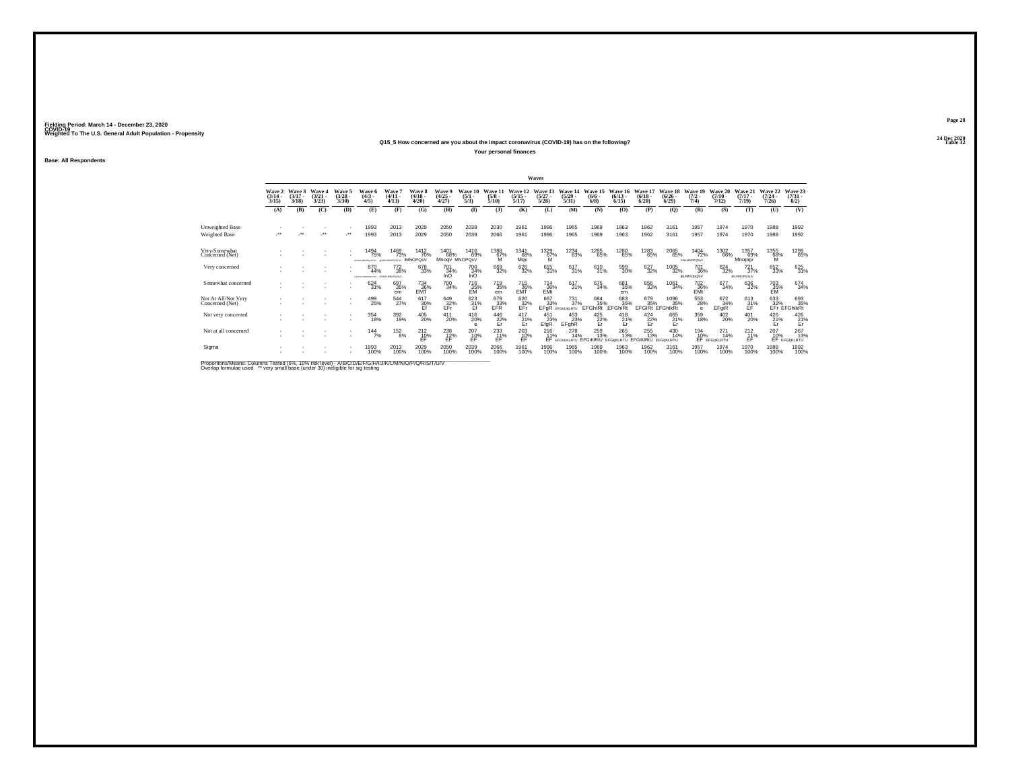### **24 Dec 2020Q15\_5 How concerned are you about the impact coronavirus (COVID-19) has on the following?Table 32 Table 32**

**Your personal finances**

**Base: All Respondents**

|                                                                                                                        |                                 |                             |                                |                                    |                                            |                                          |                                 |                                      |                                |                                     |                                      | Waves                            |                                  |                                                                      |                                                                                                                                                                                                                                                 |                                 |                                  |                                    |                                 |                                |                                         |                                    |
|------------------------------------------------------------------------------------------------------------------------|---------------------------------|-----------------------------|--------------------------------|------------------------------------|--------------------------------------------|------------------------------------------|---------------------------------|--------------------------------------|--------------------------------|-------------------------------------|--------------------------------------|----------------------------------|----------------------------------|----------------------------------------------------------------------|-------------------------------------------------------------------------------------------------------------------------------------------------------------------------------------------------------------------------------------------------|---------------------------------|----------------------------------|------------------------------------|---------------------------------|--------------------------------|-----------------------------------------|------------------------------------|
|                                                                                                                        | Wave 2<br>$\frac{(3/14)}{3/15}$ | Wave 3<br>$(3/17 -$<br>3/18 | Wave 4<br>$\binom{3/21}{3/23}$ | Wave 5<br>(3/28)<br>3/30           | Wave 6<br>$(4/3 -$<br>4/5                  | Wave 7<br>$(4/11 -$<br>4/13              | Wave 8<br>$\frac{(4/18)}{4/20}$ | Wave 9<br>$\frac{(4/25)}{4/27}$      | Wave 10<br>$\frac{(5/1)}{5/3}$ | Wave 11<br>$\frac{(5/8)}{5/10}$     | Wave 12<br>$\frac{(5/15)}{5/17}$     | Wave 13<br>$\frac{(5/27)}{5/28}$ | Wave 14<br>$\frac{(5/29)}{5/31}$ | Wave 15<br>$\frac{(6/6)}{6/8}$                                       | Wave 16<br>$\frac{(6/13)}{6/15}$                                                                                                                                                                                                                | Wave 17<br>$\binom{6/18}{6/20}$ | Wave 18<br>$\frac{(6/26)}{6/29}$ | Wave 19<br>$\frac{(7/2)}{7/4}$     | Wave 20<br>$(7/10 -$<br>7/12    | Wave 21<br>$(7/17 -$<br>7/19)  | Wave 22<br>$\frac{(7/24 - 7/26)}{7/26}$ | Wave 23<br>$\binom{7/31}{8/2}$     |
|                                                                                                                        | (A)                             | (B)                         | (C)                            | (D)                                | (E)                                        | (F)                                      | (G)                             | (H)                                  | $\bf{I}$                       | (1)                                 | (K)                                  | (L)                              | (M)                              | (N)                                                                  | (O)                                                                                                                                                                                                                                             | (P)                             | $\mathbf{Q}$                     | (R)                                | (S)                             | (T)                            | (U)                                     | (V)                                |
| <b>Unweighted Base</b>                                                                                                 |                                 |                             |                                |                                    | 1993                                       | 2013                                     | 2029                            | 2050                                 | 2039                           | 2030                                | 1961                                 | 1996                             | 1965                             | 1969                                                                 | 1963                                                                                                                                                                                                                                            | 1962                            | 3161                             | 1957                               | 1974                            | 1970                           | 1988                                    | 1992                               |
| Weighted Base                                                                                                          | $\bullet\bullet$                |                             |                                | $\cdot$                            | 1993                                       | 2013                                     | 2029                            | 2050                                 | 2039                           | 2066                                | 1961                                 | 1996                             | 1965                             | 1969                                                                 | 1963                                                                                                                                                                                                                                            | 1962                            | 3161                             | 1957                               | 1974                            | 1970                           | 1988                                    | 1992                               |
| Very/Somewhat<br>Concerned (Net)                                                                                       |                                 |                             |                                |                                    | 1494<br>75%<br>das en secretarismes        | 1469<br>73%<br><b>GENERATOR IMNOPOSV</b> | 1412<br>70%                     | 1401<br>68%                          | 1416<br>69%<br>Mnogy MNOPOsV   | 1388<br>$^{67%}_{M}$                | 1341<br>68%<br>May                   | 1329<br>67%<br>M                 | 1234<br>63%                      | 1285<br>65%                                                          | 1280<br>65%                                                                                                                                                                                                                                     | 1283<br>65%                     | 2065<br>65%                      | 1404<br>72%<br><b>INJUMIOROS/V</b> | 1302<br>66%                     | 1357<br>69%<br>Mnopqv          | 1355<br>68%                             | 1299<br>65%                        |
| Very concerned                                                                                                         |                                 |                             |                                |                                    | 870<br>44%<br>FOXUSAMOPORTER GHLALMADPOSUV | <sup>772</sup> <sub>38%</sub>            | 678<br>33%                      | <sup>701</sup> <sub>34%</sub><br>InO | 700<br>34%<br>InO              | 669<br>32%                          | 626<br>32%                           | 615<br>31%                       | 617<br>31%                       | 610<br>31%                                                           | 599<br>30%                                                                                                                                                                                                                                      | 627<br>32%                      | 1005<br>32%                      | 701<br>36%<br><b>IKLMNOpQSV</b>    | $624 \over 32\%$                | $^{721}_{37\%}$<br>JKLMNOPQSuV | 652<br>33%                              | 625 31%                            |
| Somewhat concerned                                                                                                     |                                 |                             |                                |                                    | 624<br>31%                                 | 697<br>35%<br>em                         | $^{734}_{36\%}$                 | <sup>700</sup> 34%                   | 716<br>35%<br>EM               | <sup>719</sup> <sub>35%</sub><br>em | 715<br>36%<br>EMT                    | $^{714}_{36\%}$ EMt              | $^{617}_{31\%}$                  | 675<br>34%                                                           | 681<br>35%<br>em                                                                                                                                                                                                                                | 656<br>33%                      | 1061<br>34%                      | 702<br>36%<br>EMt                  | 677<br>34%                      | 636<br>32%                     | 703<br>35%<br>EM                        | 674 34%                            |
| Not At All/Not Very<br>Concerned (Net)                                                                                 |                                 |                             |                                | $\overline{\phantom{a}}$           | 499<br>25%                                 | 544<br>27%                               | 617<br>30%                      | 649<br>EFr                           | 623<br>$\frac{31}{5}$          | 679<br>EFR                          | 620<br>EFr                           | 667<br>EFGR                      | 731<br>37%<br>EFGHLKLRTU         | 684<br>35%<br>EFGhIRt                                                | 683<br>35%<br><b>EFGhIRt</b>                                                                                                                                                                                                                    | 679<br>35%                      | 1096<br>35%<br>EFGIRI EFGhlkRt   | 553<br>28%<br>e                    | 672<br>34%<br>EFgiR             | 613<br>$\frac{31}{5}$          |                                         | 633 693<br>32% 35%<br>EFr EFGhlkRt |
| Not very concerned                                                                                                     |                                 |                             |                                | $\mathbf{r}$                       | 354<br>18%                                 | 392<br>19%                               | 405<br>20%                      | 411<br>20%                           | 416<br>20%                     | $^{446}_{22\%}$ Er                  | $^{417}_{\hbox{\small{21}}}$ %<br>Er | 451<br>23%<br>EfgR               | 453<br>23%<br>EFghR              | $\frac{425}{22\%}$                                                   | $^{418}_{\hphantom{1}21\%}_{\hphantom{1}\hphantom{1}\hphantom{1}\hphantom{1}}_{\hphantom{1}\hphantom{1}\hphantom{1}\hphantom{1}\hphantom{1}\hphantom{1}}_{\hphantom{1}\hphantom{1}\hphantom{1}\hphantom{1}\hphantom{1}\hphantom{1}\hphantom{1}$ | $\frac{424}{22\%}$              | 665<br>21%<br>Er                 | 359<br>18%                         | 402<br>20%                      | 401<br>20%                     | $^{426}_{\substack{21\% \\Er}}$         | $^{426}_{\substack{21\% \\Er}}$    |
| Not at all concerned                                                                                                   |                                 |                             |                                | $\overline{\phantom{a}}$<br>$\sim$ | $144$<br>$7%$                              | $^{152}_{8\%}$                           | $^{212}_{10\%}$                 | $^{238}_{12\%}$                      | $^{207}_{10\%}$                | 233<br>11%<br>ÉĖ                    | $^{203}_{10\%}$                      | $^{216}_{11\%}$                  | 278<br>14%                       | 259<br>13%<br>EF EFGINJKLRTU EFGIKIRtÜ EFGIKLRTU EFGIKIRtÜ EFGIKLRTU | 265<br>13%                                                                                                                                                                                                                                      | 255<br>13%                      | 430<br>14%                       | 194<br>10%                         | $^{271}_{14\%}$<br>EF EFGIKLRTU | $^{212}_{11\%}$<br>ÉĖ          | $^{207}_{10\%}$<br>EF                   | 267<br>13%<br>EFGIKLRTU            |
| Sigma                                                                                                                  |                                 |                             |                                | ٠                                  | 1993<br>100%                               | 2013<br>100%                             | 2029<br>100%                    | 2050<br>100%                         | 2039<br>100%                   | 2066<br>100%                        | 1961<br>100%                         | 1996<br>100%                     | 1965<br>100%                     | 1969<br>100%                                                         | 1963<br>100%                                                                                                                                                                                                                                    | 1962<br>100%                    | 3161<br>100%                     | 1957<br>100%                       | 1974<br>100%                    | 1970<br>100%                   | 1988<br>100%                            | 1992<br>100%                       |
| <b>Print and Print Print and the Contract Construction of the Construction of the Construction of the Construction</b> |                                 |                             |                                |                                    |                                            |                                          |                                 |                                      |                                |                                     |                                      |                                  |                                  |                                                                      |                                                                                                                                                                                                                                                 |                                 |                                  |                                    |                                 |                                |                                         |                                    |

Proportions/Means: Columns Tested (5%, 10% risk level) - A/B/C/D/E/F/G/H/I/J/K/L/M/N/O/P/Q/R/S/T/U/V<br>Overlap formulae used. \*\* very small base (under 30) ineligible for sig testing

**Page 28**24 Dec 2020<br>Table 32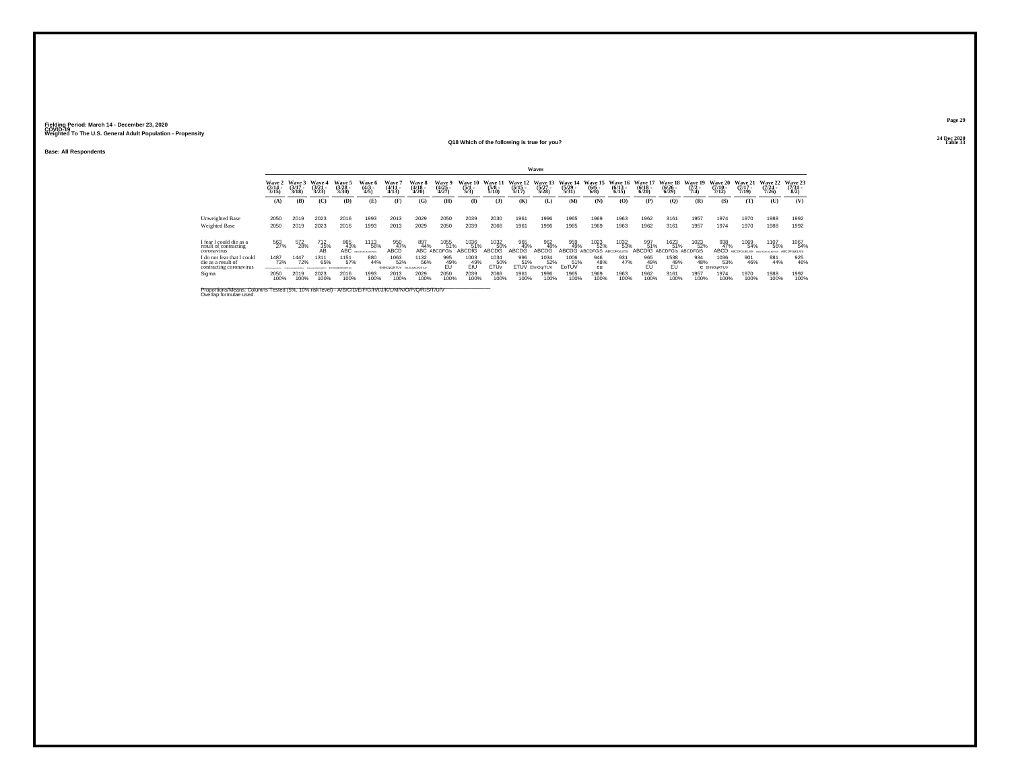**Base: All Respondents**

### **24 Dec 2020Q18 Which of the following is true for you?**

| -<br>$\overline{\phantom{a}}$ | ٠ |
|-------------------------------|---|
|                               |   |

|  | 24 Dec 2020<br>Table 33 |
|--|-------------------------|
|--|-------------------------|

|                                                                                                                                |                                 |                             |                             |                                |                                |                                         |                                 |                                        |                                |                                 |                              | Waves                            |                                  |                                   |                           |                                  |                              |                                |                              |                              |                                 |                                 |
|--------------------------------------------------------------------------------------------------------------------------------|---------------------------------|-----------------------------|-----------------------------|--------------------------------|--------------------------------|-----------------------------------------|---------------------------------|----------------------------------------|--------------------------------|---------------------------------|------------------------------|----------------------------------|----------------------------------|-----------------------------------|---------------------------|----------------------------------|------------------------------|--------------------------------|------------------------------|------------------------------|---------------------------------|---------------------------------|
|                                                                                                                                | Wave 2<br>$\frac{(3/14)}{3/15}$ | Wave 3<br>$(3/17 -$<br>3/18 | Wave 4<br>$(3/21 -$<br>3/23 | Wave 5<br>(3/28)<br>3/30       | Wave 6<br>$\frac{(4/3)}{4/5}$  | Wave $\frac{1}{4/11}$<br>4/13           | Wave 8<br>$\frac{(4/18)}{4/20}$ | <b>Wave 9</b><br>$\frac{(4/25)}{4/27}$ | Wave 10<br>$\frac{(5/1)}{5/3}$ | Wave 11<br>$\frac{(5/8)}{5/10}$ | Wave 12<br>$(5/15 -$<br>5/17 | Wave 13<br>$\frac{(5/27)}{5/28}$ | Wave 14<br>$\frac{(5/29)}{5/31}$ | Wave 15<br>$\frac{(6/6)}{6/8}$    | Wave 16<br>(6/13)<br>6/15 | Wave 17<br>$\frac{(6/18)}{6/20}$ | Wave 18<br>$(6/26 -$<br>6/29 | Wave 19<br>$(7/2 -$<br>7/4     | Wave 20<br>$(7/10 -$<br>7/12 | Wave 21<br>$(7/17 -$<br>7/19 | Wave 22<br>$(7/24 -$<br>(126)   | Wave 23<br>$\frac{(7/31)}{8/2}$ |
|                                                                                                                                | (A)                             | (B)                         | (C)                         | (D)                            | (E)                            | (F)                                     | (G)                             | (H)                                    | <b>(I)</b>                     | (3)                             | (K)                          | (L)                              | (M)                              | (N)                               | (0)                       | (P)                              | $\mathbf{Q}$                 | (R)                            | (S)                          | (T)                          | (U)                             | (V)                             |
| Unweighted Base<br><b>Weighted Base</b>                                                                                        | 2050<br>2050                    | 2019<br>2019                | 2023<br>2023                | 2016<br>2016                   | 1993<br>1993                   | 2013<br>2013                            | 2029<br>2029                    | 2050<br>2050                           | 2039<br>2039                   | 2030<br>2066                    | 1961<br>1961                 | 1996<br>1996                     | 1965<br>1965                     | 1969<br>1969                      | 1963<br>1963              | 1962<br>1962                     | 3161<br>3161                 | 1957<br>1957                   | 1974<br>1974                 | 1970<br>1970                 | 1988<br>1988                    | 1992<br>1992                    |
| I fear I could die as a<br>result of contracting<br>coronavirus                                                                | 563                             | 572<br>28%                  | 712<br>35%<br>ÄŘ            | 865<br>43%<br><b>ABC</b>       | 1113<br>56%<br>ARCOFOHLKLM-POS | 950<br>47%<br>ABCÉ                      | 897<br>44%<br>ABC.              | 1055<br>51%<br><b>ABCDFGIS</b>         | 1036<br>51%<br>ABCDIG          | 1032<br>50%<br>ABCDG            | 965<br>49%<br>ABCDG          | 962<br>48%<br>ABCDG              | 959<br>49%<br>ABCDG              | 1023<br>52%<br>ABCDFGIS ABCDFGLmS | 1032<br>53%               | 997<br>51%<br><b>ABCDfG</b>      | 1623<br>51%<br>ABCDEGIS      | 1023<br>52%<br><b>ABCDEGIS</b> | 938<br>47%<br>ABCD           | 1069<br>54%                  | 1107<br>56%<br>ARCOGOLIST MUSIC | 1067<br>54%<br>ABCDFGIKLMS      |
| I do not fear that I could<br>die as a result of<br>contracting coronavirus                                                    | 1487<br>73%<br>________         | 1447<br>72%                 | 1311<br>65%                 | 1151<br>57%<br>EFHUILMIGPORERA | 880<br>44%                     | 1063<br>53%<br>EHNOpQRTUV EHJKUNOPORTUV | 1132<br>56%                     | 995<br>49%                             | 1003<br>49%<br>EtÜ             | 1034<br>50%<br>ETŰv             | 996<br>51%                   | 1034<br>52%<br>ETUV EhnOgrTUV    | 1006<br>51%<br>EoTUV             | 946<br>48%<br>eu                  | 931<br>47%                | 965<br>49%                       | 1538<br>49%                  | 934<br>48%                     | 1036<br>53%<br>e EhNOgRTUV   | 901<br>46%                   | 881<br>44%                      | 925<br>46%                      |
| Sigma                                                                                                                          | 2050<br>100%                    | 2019<br>100%                | 2023<br>100%                | 2016<br>100%                   | 1993<br>100%                   | 2013<br>100%                            | 2029<br>100%                    | 2050<br>100%                           | 2039<br>100%                   | 2066<br>100%                    | 1961<br>100%                 | 1996<br>100%                     | 1965<br>100%                     | 1969<br>100%                      | 1963<br>100%              | 1962<br>100%                     | 3161<br>100%                 | 1957<br>100%                   | 1974<br>100%                 | 1970<br>100%                 | 1988<br>100%                    | 1992<br>100%                    |
| Proportions/Means: Columns Tested (5%, 10% risk level) - A/B/C/D/E/F/G/H/I/J/K/L/M/N/O/P/Q/R/S/T/U/V<br>Overlap formulae used. |                                 |                             |                             |                                |                                |                                         |                                 |                                        |                                |                                 |                              |                                  |                                  |                                   |                           |                                  |                              |                                |                              |                              |                                 |                                 |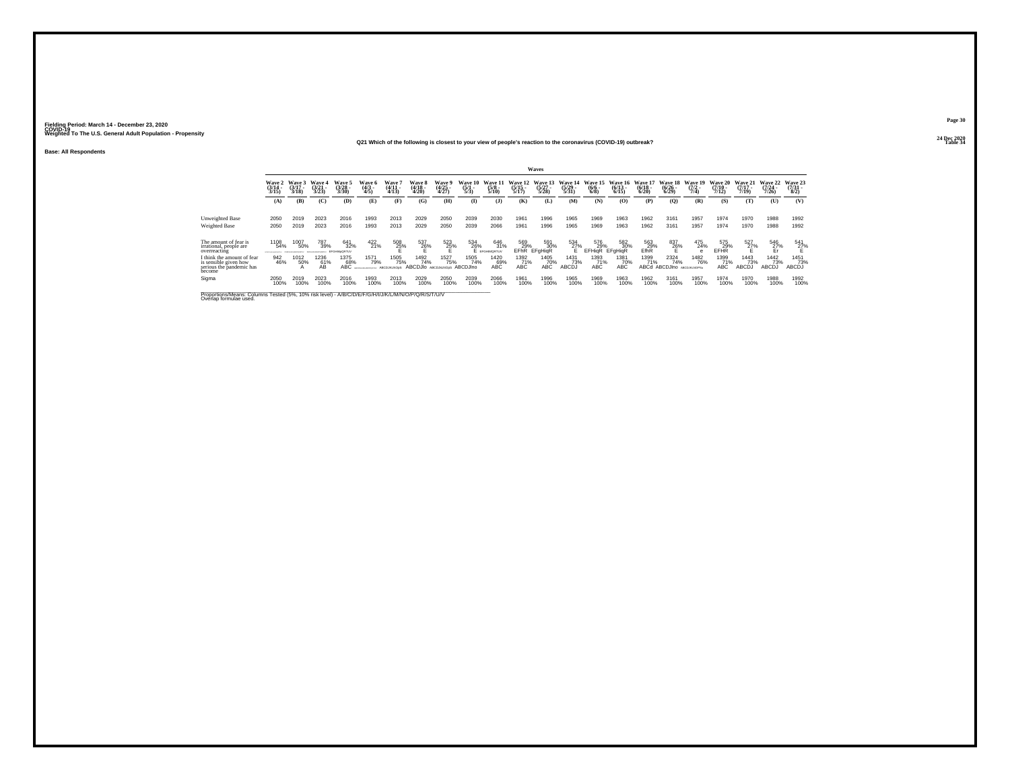### **24 Dec 2020Q21 Which of the following is closest to your view of people's reaction to the coronavirus (COVID-19) outbreak?Table 34 Table 34 Table 34**

**Base: All Respondents**

|                                                                                                                                |                                            |                             |                                 |                                  |                               |                            |                                     |                          |                                |                                 |                                  | Waves                           |                           |                             |                              |                                  |                                      |                                |                              |                                  |                            |                                     |
|--------------------------------------------------------------------------------------------------------------------------------|--------------------------------------------|-----------------------------|---------------------------------|----------------------------------|-------------------------------|----------------------------|-------------------------------------|--------------------------|--------------------------------|---------------------------------|----------------------------------|---------------------------------|---------------------------|-----------------------------|------------------------------|----------------------------------|--------------------------------------|--------------------------------|------------------------------|----------------------------------|----------------------------|-------------------------------------|
|                                                                                                                                | Wave:<br>$\frac{(3/14)}{3/15}$             | Wave 3<br>$(3/17 -$<br>3/18 | Wave 4<br>$\frac{(3/21)}{3/23}$ | Wave 5<br>$\frac{(3/28)}{3/30}$  | Wave 6<br>$\frac{(4/3)}{4/5}$ | Wave<br>(4/11)<br>4/13     | Wave 8<br>$\frac{(4/18)}{4/20}$     | Wave 5<br>(4/25<br>4/27) | Wave 10<br>$\frac{(5/1)}{5/3}$ | Wave 11<br>$\frac{(5/8)}{5/10}$ | Wave 12<br>$\frac{(5/15)}{5/17}$ | Wave 13<br>$\binom{5/27}{5/28}$ | Wave 14<br>(5/29)<br>5/31 | Wave 15<br>(6/6.<br>6/8     | Wave 16<br>$(6/13 -$<br>6/15 | Wave 17<br>$\frac{(6/18)}{6/20}$ | Wave 18<br>$\frac{(6/26)}{6/29}$     | Wave 19<br>$\frac{(7/2)}{7/4}$ | Wave 20<br>$(7/10 -$<br>7/12 | Wave 21<br>$\frac{(7/17)}{7/19}$ | Wave 22<br>(7/24)<br>(126) | Wave 23<br>$\frac{(7/31 - 1)}{8/2}$ |
|                                                                                                                                | (A)                                        | (B)                         | (C)                             | (D)                              | (E)                           | (F)                        | (G)                                 | (H)                      | <b>(I)</b>                     | $($ $)$                         | <b>(K)</b>                       | (L)                             | (M)                       | (N)                         | (0)                          | (P)                              | $\mathbf{Q}$                         | (R)                            | (S)                          | (T)                              | (U)                        | (V)                                 |
| Unweighted Base<br>Weighted Base                                                                                               | 2050<br>2050                               | 2019<br>2019                | 2023<br>2023                    | 2016<br>2016                     | 1993<br>1993                  | 2013<br>2013               | 2029<br>2029                        | 2050<br>2050             | 2039<br>2039                   | 2030<br>2066                    | 1961<br>1961                     | 1996<br>1996                    | 1965<br>1965              | 1969<br>1969                | 1963<br>1963                 | 1962<br>1962                     | 3161<br>3161                         | 1957<br>1957                   | 1974<br>1974                 | 1970<br>1970                     | 1988<br>1988               | 1992<br>1992                        |
| The amount of fear is<br>irrational, people are<br>overreacting                                                                | 1108<br>54%<br><b>CREATIVE AND CONTACT</b> | 50%                         | 787<br>39%                      | 641<br>32%<br><b>FEDHIM-ORTH</b> | $^{422}_{21\%}$               | 508<br>25%                 | 537<br>26%                          | 523<br>25%               | 534<br>26%                     | 646<br>31%<br>EFGHIMORTUV       | 569<br>29%<br>EFhR <sup>1</sup>  | 591<br>30%<br>EFgHigR           | 534<br>27%                | 576<br>29%<br><b>EFHigR</b> | 582<br>30%<br>EFgHigR        | 563<br>29%<br>EfhR               | 837<br>26%                           | 475<br>24%                     | 575<br>29%<br>EFHR           | $^{527}_{27\%}$                  | $^{546}_{27\%}$ Er         | $\frac{541}{27}\%$                  |
| I think the amount of fear<br>is sensible given how<br>serious the pandemic has<br>become                                      | 942<br>46%                                 | 1012<br>50%<br>A            | 1236<br>61%<br>ÄВ               | 1375<br>68%<br>ABC               | 1571<br>79%                   | 1505<br>75%<br>ABCDJKLNOoS | 1492<br>74%<br>ABCDJIO ABCDJILINO0S | 1527<br>75%              | 1505<br>74%<br>ABCDJIno        | 1420<br>69%<br>ABC              | 1392<br>71%<br>ABC               | 1405<br>70%<br>ABC              | 1431<br>73%<br>ABCDJ      | 1393<br>71%<br><b>ABC</b>   | 1381<br>70%<br>ABC           | 1399<br>71%<br>ABCd              | 2324<br>74%<br>ABCDJIno ABCDJKLNOPSu | 1482<br>76%                    | 1399<br>71%<br>ABC           | 1443<br>73%<br>ABCDJ             | 1442<br>73%<br>ABCDJ       | 1451<br>73%<br>ABCDJ                |
| Sigma                                                                                                                          | 2050<br>100%                               | 2019<br>100%                | 2023<br>100%                    | 2016<br>100%                     | 1993<br>100%                  | 2013<br>100%               | 2029<br>100%                        | 2050<br>100%             | 2039<br>100%                   | 2066<br>100%                    | 1961<br>100%                     | 1996<br>100%                    | 1965<br>100%              | 1969<br>100%                | 1963<br>100%                 | 1962<br>100%                     | 3161<br>100%                         | 1957<br>100%                   | 1974<br>100%                 | 1970<br>100%                     | 1988<br>100%               | 1992<br>100%                        |
| Proportions/Means: Columns Tested (5%, 10% risk level) - A/B/C/D/E/F/G/H/I/J/K/L/M/N/O/P/Q/R/S/T/U/V<br>Overlap formulae used. |                                            |                             |                                 |                                  |                               |                            |                                     |                          |                                |                                 |                                  |                                 |                           |                             |                              |                                  |                                      |                                |                              |                                  |                            |                                     |

**Page 3024 Dec 2020<br>Table 34**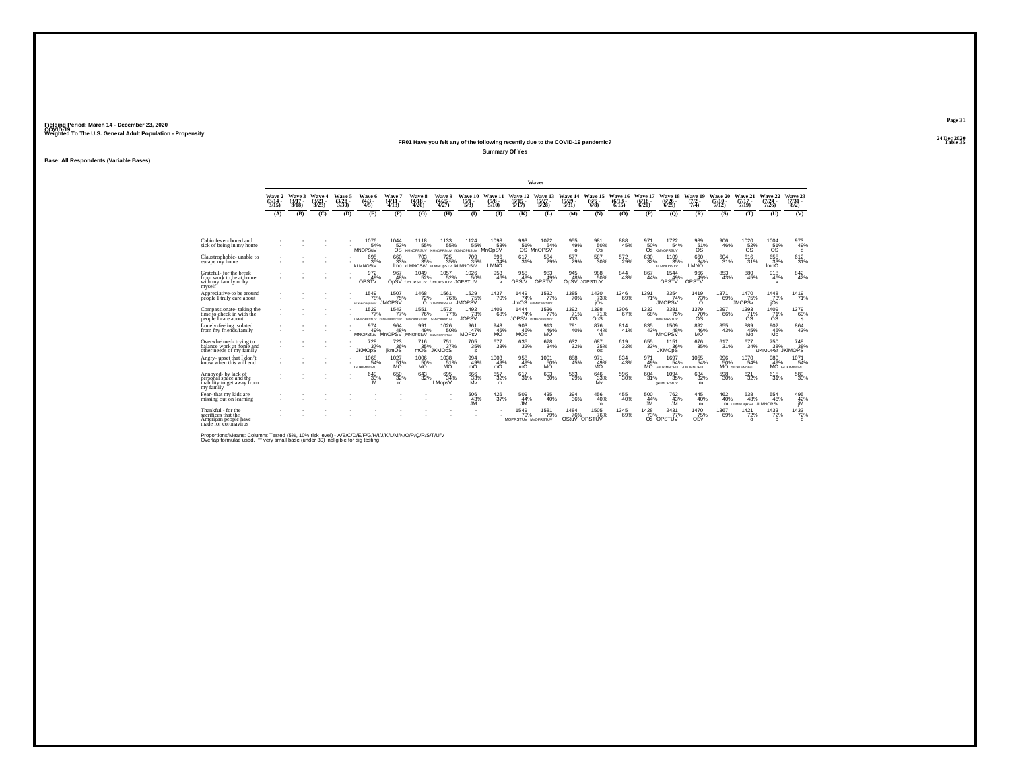### **24 Dec 2020FR01 Have you felt any of the following recently due to the COVID-19 pandemic?Table 35 Table 35 Table 35 Summary Of Yes**

**Base: All Respondents (Variable Bases)**

|                                                                                           |                             |                             |                             |                          |                                                       |                              |                             |                                                         |                                     |                                    |                                          | <b>Waves</b>                             |                             |                                             |                       |                          |                                            |                                 |                              |                                         |                                                |                                 |
|-------------------------------------------------------------------------------------------|-----------------------------|-----------------------------|-----------------------------|--------------------------|-------------------------------------------------------|------------------------------|-----------------------------|---------------------------------------------------------|-------------------------------------|------------------------------------|------------------------------------------|------------------------------------------|-----------------------------|---------------------------------------------|-----------------------|--------------------------|--------------------------------------------|---------------------------------|------------------------------|-----------------------------------------|------------------------------------------------|---------------------------------|
|                                                                                           | Wave 2<br>$(3/14 -$<br>3/15 | Wave 3<br>$(3/17 -$<br>3/18 | Wave 4<br>$(3/21 -$<br>3/23 | Wave 5<br>(3/28)<br>3/30 | Wave 6<br>$\binom{4/3}{4/5}$                          | Wave 7<br>$(4/11 -$<br>4/13  | Wave 8<br>$(4/18 -$<br>4/20 | Wave 9<br>$\frac{(4/25)}{4/27}$                         | Wave 10<br>(5/1)<br>5/3             | Wave 11<br>(5/8)<br>5/10           | Wave 12<br>(5/15 -<br>5/17               | Wave 13 Wave 14<br>$(5/27 -$<br>$5/28$ ) | $\frac{(5/29)}{5/31}$       | Wave 15 Wave 16 Wave 17<br>(6/6.<br>$6/8$ ) | $(6/13 -$<br>6/15     | $(6/18 -$<br>6/20        | Wave 18 Wave 19<br>(6/26)<br>6/29          | $(7/2 -$<br>7/4)                | Wave 20<br>$(7/10 -$<br>7/12 | Wave 21<br>$(7/17 -$<br>7/19            | Wave 22<br>$(7/24 -$<br>7/26                   | Wave 23<br>$(7/31 -$<br>8/2)    |
|                                                                                           | (A)                         | (B)                         | (C)                         | (D)                      | (E)                                                   | (F)                          | (G)                         | (H)                                                     | $\Phi$                              | (3)                                | (K)                                      | (L)                                      | (M)                         | (N)                                         | (0)                   | (P)                      | (O)                                        | (R)                             | (S)                          | (T)                                     | (U)                                            | (V)                             |
| Cabin fever-bored and<br>sick of being in my home                                         |                             |                             |                             |                          | 1076<br>54%<br><b>MNOPSuV</b>                         | 1044<br>52%                  | $\frac{1118}{55\%}$         | $^{1133}_{55\%}$<br>OS IKMNOPRSUV IKMNOPRSUV IKMNOPRSUV | $1124 \over 55\%$                   | 1098<br>53%<br>MnOpSV              | 993<br>51%<br><b>OS</b>                  | 1072<br>54%<br><b>MnOPSV</b>             | 955<br>49%<br>$\circ$       | 98150%<br>Os                                | 888<br>45%            | 50%                      | $^{1722}_{54\%}$<br>OS KMNOPRSUV           | 989<br>51%<br>os                | $\substack{906 \\ 46\%}$     | 1020<br>52%<br><b>OS</b>                | 1004<br>51%<br><b>OS</b>                       | $\frac{973}{49\%}$<br>$\circ$   |
| Claustrophobic-unable to<br>escape my home                                                |                             |                             |                             |                          | 695%<br><b>kLMNOStV</b>                               | 660<br>33%                   | 703<br>35%                  | $725_{35\%}$<br>IMO KLMNOStV KLMNODSTV KLMNOStV         | <sup>709</sup> <sub>35%</sub>       | 696<br>34%<br>LMNO                 | 617<br>31%                               | 584<br>29%                               | 577<br>29%                  | $^{587}_{\ 30\%}$                           | $^{572}_{29\%}$       | $\substack{630\\32\%}$   | 1109<br>35%<br><b>KLMNOpSTV</b>            | 66034%<br>LMNO                  | 604<br>31%                   | 616<br>31%                              | 655<br>33%<br>ImnO                             | 612/31%                         |
| Grateful-for the break<br>from work to be at home<br>with my family or by<br>mvself       |                             |                             |                             |                          | 972<br>49%<br>OPSTV                                   | 967<br>48%                   | 1049<br>52%                 | 1057<br>52%<br>ODSV IJmOPSTUV IJmOPSTUV JOPSTUV         | 1026<br>50%                         | $\frac{953}{46\%}$<br>$\mathsf{v}$ | 958<br>49%<br>OPStV                      | $\frac{983}{49\%}$<br>OPSTV              | 945<br>48%                  | 988<br>50%<br>OpSV JOPSTUV                  | $844 \over 43\%$      | 867<br>44%               | 1544<br>49%<br>OPSTV                       | 966<br>49%<br>OPSTV             | $\substack{853 \\ 43\%}$     | 880<br>45%                              | $\frac{918}{46\%}$<br>$\mathsf{v}$             | 842%                            |
| Appreciative-to be around<br>péóple I truly care about                                    |                             |                             |                             |                          | 1549<br>78%<br><b>AS MAINFORD SEAV</b>                | 1507<br>75%<br><b>IMOPSV</b> | $\frac{1468}{72\%}$         | <sup>1561</sup> 76%<br>O GJMNOPRSuV JMOPSV              | 1529<br>75%                         | <sup>1437</sup> 70%                | 1449<br>74%                              | 1532<br>77%<br><b>JMOS</b> GJMNOPRSUV    | 1385<br>70%                 | $\frac{1430}{73\%}$<br>jOs                  | $^{1346}_{69\%}$      | 1391<br>71%              | 2354<br>74%<br><b>JMOPSV</b>               | $\frac{1419}{73\%}$<br>$\Omega$ | 1371<br>69%                  | 1470<br>75%<br><b>JMOPS<sub>v</sub></b> | $\frac{1448}{73\%}$<br>jOs                     | 1419<br>71%                     |
| Compassionate-taking the<br>time to check in with the<br>people I care about              |                             |                             |                             |                          | 1529<br>77%<br>UMINOPRSTUV UMINOPRSTUV UMNOPRSTUV     | 1543<br>77%                  | 1551<br>76%                 | 1572%<br>LIMINOPRSTLIV                                  | $\frac{1492}{73}\%$<br><b>JOPSV</b> | $^{1409}_{68\%}$                   | 1444<br>74%<br><b>JOPSV LIMINOPRSTUV</b> | 1536<br>77%                              | $^{1392}_{71\%}$<br>ÓŚ      | $^{1398}_{71\%}$<br>OpS                     | 1306<br>67%           | 1333<br>68%              | 2381<br>75%<br><b>JMNOPRSTUV</b>           | 1379<br>70%<br>ÓŜ               | 1297<br>66%                  | $^{1393}_{71\%}$<br>ÓŚ                  | $^{1409}_{71\%}$                               | 1379<br>69%<br>s                |
| Lonely-feeling isolated<br>from my friends/family                                         |                             |                             |                             |                          | 974<br>49%<br>MNOPStuV MnOPSV IMNOPStuV JI2.MNOPRSTUV | 964<br>48%                   | 991<br>49%                  | 1026<br>50%                                             | 961<br>47%<br><b>MOPsy</b>          | 943<br>$\frac{46}{10}$             | 903<br>46%<br><b>MOD</b>                 | 913<br>46%<br>MÖ.                        | 791<br>40%                  | 876<br>44%<br>M                             | 814<br>41%            | 835<br>43%               | 1509<br>48%<br>MnOPSV                      | 892<br>46%<br>MÖ <sup>"</sup>   | 855<br>43%                   | 889<br>45%<br>Mo                        | 902<br>45%<br>Mo                               | 864<br>43%                      |
| Overwhelmed-trying to<br>balance work at home and<br>other needs of my family             |                             |                             |                             |                          | $^{728}_{37\%}$<br><b>JKMOpS</b>                      | 7236%<br><i>ikmOS</i>        | 716<br>35%<br>mOS           | $^{751}_{37\%}$<br><b>JKMOpS</b>                        | $\substack{705 \\ 35\%}$<br>s       | $677 \choose 33\%$                 | $\substack{635 \\ 32\%}$                 | $^{678}_{34\%}$                          | $\frac{632}{32\%}$          | $\substack{687\\35\%}$<br>os                | $619 \over 32\%$      | $\substack{655 \\ 33\%}$ | $^{1151}_{36\%}$<br><b>JKMOpS</b>          | $^{676}_{35\%}$                 | 617/31%                      | 677<br>34%                              | <sup>750</sup> 38%<br><b>IJKIMOPSt JKIMOPS</b> | 748<br>38%                      |
| Angry-upset that I don't<br>know when this will end                                       |                             |                             |                             |                          | 1068<br>54%<br><b>GLIKIMNOPLI</b>                     | 1027<br>51%<br>MÖ            | 1006<br>50%<br>MÕ           | 1038<br>MO <sup>'</sup>                                 | 994<br>49%<br>mÖ                    | $^{1003}_{49\%}$<br>mŎ             | 958<br>49%<br>mÖ                         | $^{1001}_{\substack{50\%\\ \text{MO}}}$  | 888<br>45%                  | 971<br>49%<br>MÖ.                           | $834 \over 43\%$      | 49%                      | 1697<br>54%<br>MO GNUKMNOPU GUKIMNOPU      | $^{1055}_{-54\%}$               | 996<br>50%                   | 1070<br>54%<br>MO GHJKLMNOPSU           | 980<br>49%                                     | $1071$<br>54%<br>MO GUKIMNOPU   |
| Annoved- by lack of<br>personal space and the<br>inability to get away from<br>my family  |                             |                             |                             |                          | 649<br>33%<br>M                                       | $\substack{650\\32\%}$<br>m  | $643 \over 32\%$            | 695<br>34%<br>LMopsV                                    | 666<br>33%<br>Mv                    | 657<br>32%<br>m                    | 617<br>31%                               | $^{603}_{30\%}$                          | 563<br>29%                  | 646<br>33%<br>Mv                            | 596<br>30%            | 604<br>31%               | 1094<br>35%<br>dkLMOPStUV                  | $^{634}_{32\%}$<br>m            | 598<br>30%                   | $\substack{621 \\ 32\%}$                | 615/31%                                        | 589<br>30%                      |
| Fear-that my kids are<br>missing out on learning                                          |                             |                             |                             |                          |                                                       |                              |                             |                                                         | 506<br>43%<br>JM                    | $\frac{426}{37\%}$                 | 509<br>44%<br><b>JM</b>                  | 435<br>40%                               | $^{394}_{36\%}$             | $^{456}_{\  \  \, 40\%}$<br>m               | $^{455}_{\  \, 40\%}$ | 500<br>44%<br><b>JM</b>  | <sup>762</sup> <sub>43%</sub><br><b>JM</b> | 445<br>40%<br>m                 | 462<br>40%                   | 538<br>48%<br>M JLMNOGRSV JLMNORSV      | 554<br>46%                                     | 495<br>42%<br>jM                |
| Thankful - for the<br>sacrifices that the<br>American people have<br>made for coronavirus |                             |                             |                             |                          |                                                       |                              |                             |                                                         |                                     |                                    | 1549<br>79%<br>MOPRSTUV MnOPRSTUV        | 1581<br>79%                              | 1484<br>76%<br>OStuV OPSTUV | 1505<br>76%                                 | $^{1345}_{69\%}$      | 1428<br>73%              | 2431<br>77%<br>OS OPSTUV                   | 1470<br>75%<br>OSy              | 1367<br>69%                  | $\frac{1421}{72\%}$<br>$\Omega$         | $\frac{1433}{72\%}$<br>$\Omega$                | $\substack{1433 \\ -72\% \\ 0}$ |

Proportions/Means: Columns Tested (5%, 10% risk level) - A/B/C/D/E/F/G/H/I/J/K/L/M/N/O/P/Q/R/S/T/U/V<br>Overlap formulae used. \*\* very small base (under 30) ineligible for sig testing

**Page 3124 Dec 2020<br>Table 35**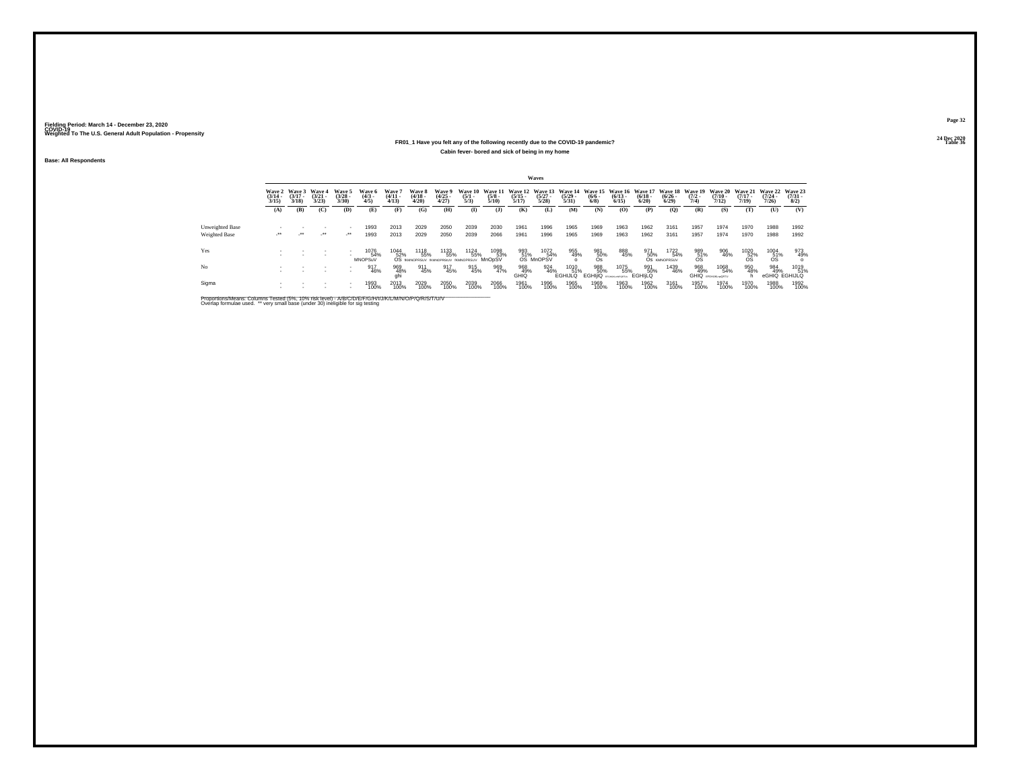### **24 Dec 2020FR01\_1 Have you felt any of the following recently due to the COVID-19 pandemic?Table 36 Table 36 Table 36 Table 36 Table 36 Table 36 Table 36 Table 36 Cabin fever- bored and sick of being in my home**

**Base: All Respondents**

|                        |                       |                                        |                                 |                                |                               |                                |                                    |                                |                                |                       |                                                  | Waves                           |                               |                                                        |                       |                       |                                             |                     |                                          |                                          |                                          |                                |
|------------------------|-----------------------|----------------------------------------|---------------------------------|--------------------------------|-------------------------------|--------------------------------|------------------------------------|--------------------------------|--------------------------------|-----------------------|--------------------------------------------------|---------------------------------|-------------------------------|--------------------------------------------------------|-----------------------|-----------------------|---------------------------------------------|---------------------|------------------------------------------|------------------------------------------|------------------------------------------|--------------------------------|
|                        | $\frac{(3/14)}{3/15}$ | Wave 2 Wave 3<br>$\frac{(3/17)}{3/18}$ | Wave 4<br>$\frac{(3/21)}{3/23}$ | Wave 5<br>$\binom{3/28}{3/30}$ | Wave 6<br>$\binom{4/3}{4/5}$  | Wave 7<br>$\binom{4/11}{4/13}$ | Wave 8<br>$\frac{(4/18)}{4/20}$    | Wave 9<br>$\binom{4/25}{4/27}$ | Wave 10<br>$\frac{(5/1)}{5/3}$ | $\frac{(5/8)}{5/10}$  | Wave 11 Wave 12 Wave 13<br>$\frac{(5/15)}{5/17}$ | $\frac{(5/27)}{5/28}$           | $\frac{(5/29)}{5/31}$         | Wave 14 Wave 15 Wave 16 Wave 17<br>$\frac{(6/6)}{6/8}$ | $\frac{(6/13)}{6/15}$ | $\frac{(6/18)}{6/20}$ | <b>Wave 18</b><br>$\frac{(6/26 - 6)}{6/29}$ | $\frac{(7/2)}{7/4}$ | Wave 19 Wave 20<br>$\frac{(7/10)}{7/12}$ | Wave 21 Wave 22<br>$\frac{(7/17)}{7/19}$ | $\frac{(7/24 - 7)}{7/26}$                | Wave 23<br>$\binom{7/31}{8/2}$ |
|                        | (A)                   | (B)                                    | (C)                             | (D)                            | (E)                           | (F)                            | (G)                                | (H)                            | $\mathbf{I}$                   | (1)                   | (K)                                              | (L)                             | (M)                           | (N)                                                    | (O)                   | (P)                   | (Q)                                         | (R)                 | (S)                                      | (T)                                      | (U)                                      | (V)                            |
| <b>Unweighted Base</b> |                       |                                        |                                 |                                | 1993                          | 2013                           | 2029                               | 2050                           | 2039                           | 2030                  | 1961                                             | 1996                            | 1965                          | 1969                                                   | 1963                  | 1962                  | 3161                                        | 1957                | 1974                                     | 1970                                     | 1988                                     | 1992                           |
| Weighted Base          | - - -                 | $\mathcal{L}^{\bullet\bullet}$         | $\cdot$                         | $\lambda$                      | 1993                          | 2013                           | 2029                               | 2050                           | 2039                           | 2066                  | 1961                                             | 1996                            | 1965                          | 1969                                                   | 1963                  | 1962                  | 3161                                        | 1957                | 1974                                     | 1970                                     | 1988                                     | 1992                           |
| Yes                    |                       |                                        |                                 |                                | 1076<br>54%<br><b>MNOPSuV</b> | 1044                           | 1118<br>55%<br>52% 55% 55% 55% 55% | 1133<br>55%                    | 1124<br>55%                    | 1098<br>53%<br>MnOpSV | 993                                              | 1072<br>51%<br>OS MnOPSV<br>54% | 955<br>49%                    | 981<br>50%<br>Os                                       | 888<br>45%            | 971<br>50%            | 1722<br>54%<br>OS KMNOPRSUV                 | $^{989}_{51\%}$     | 906<br>46%                               | $^{1020}_{\substack{52\%\\05}}$          | $^{1004}_{\substack{51\% \\ \text{OS}}}$ | 973<br>49%                     |
| N <sub>o</sub>         |                       |                                        |                                 | ٠                              | 917<br>46%                    | 969<br>48%<br>ghi              | 911<br>45%                         | 917<br>45%                     | 915<br>45%                     | 969<br>47%            | 968<br>49%<br>GHIQ                               | 924<br>46%                      | 1010<br>51%<br><b>EGHIJLQ</b> | 988<br>50%<br>EGHIIQ POR ANDREW                        | 1075<br>55%           | 991<br>50%<br>EGHILO  | 1439<br>46%                                 | 968<br>49%          | 1068<br>54%<br><b>GHIQ</b> EFGHUNLNORTU  | 950<br>48%                               | 984<br>49%                               | 1019<br>51%<br>eGHIQ EGHIJLQ   |
| Sigma                  |                       |                                        |                                 |                                | 1993<br>100%                  | 2013<br>100%                   | 2029<br>100%                       | 2050<br>100%                   | 2039<br>100%                   | 2066<br>100%          | 1961<br>100%                                     | 1996<br>100%                    | 1965<br>100%                  | 1969<br>100%                                           | 1963<br>100%          | 1962<br>100%          | 3161<br>100%                                | 1957<br>100%        | 1974<br>100%                             | 1970<br>100%                             | 1988<br>100%                             | 1992<br>100%                   |

Proportions/Means: Columns Tested (5%, 10% risk level) - A/B/C/D/E/F/G/H/I/J/K/L/M/N/O/P/Q/R/S/T/U/V<br>Overlap formulae used. \*\* very small base (under 30) ineligible for sig testing

**Page 32**24 Dec 2020<br>Table 36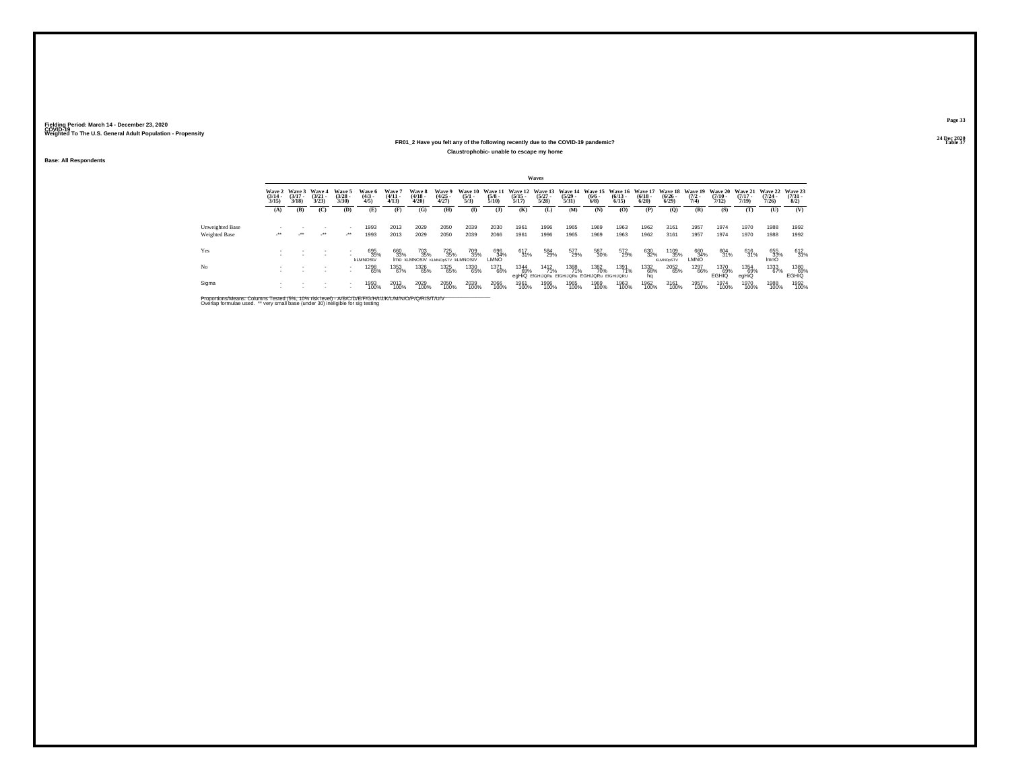### **24 Dec 2020FR01\_2 Have you felt any of the following recently due to the COVID-19 pandemic?Table 37 Table 37 Table 37 Claustrophobic- unable to escape my home**

**Base: All Respondents**

|                                         |                                 |                                 |                                 |                                                      |                                |                                 |                                                |                                |                                |                      |                       | Waves                |                                                                                          |                    |                      |                      |                                 |                                        |                       |                                         |                                  |                                |
|-----------------------------------------|---------------------------------|---------------------------------|---------------------------------|------------------------------------------------------|--------------------------------|---------------------------------|------------------------------------------------|--------------------------------|--------------------------------|----------------------|-----------------------|----------------------|------------------------------------------------------------------------------------------|--------------------|----------------------|----------------------|---------------------------------|----------------------------------------|-----------------------|-----------------------------------------|----------------------------------|--------------------------------|
|                                         | Wave 2<br>$\frac{(3/14)}{3/15}$ | Wave 3<br>$\frac{(3/17)}{3/18}$ | Wave 4<br>$\frac{(3/21)}{3/23}$ | Wave 5<br>$(3/28 -$<br>3/30                          | Wave 6<br>$\binom{4/3}{4/5}$   | Wave 7<br>$\frac{(4/11)}{4/13}$ | Wave 8<br>$\frac{(4/18)}{4/20}$                | Wave 9<br>$\binom{4/25}{4/27}$ | Wave 10<br>$\frac{(5/1)}{5/3}$ | $\frac{(5/8)}{5/10}$ | $\frac{(5/15)}{5/17}$ | $\binom{5/27}{5/28}$ | Wave 11 Wave 12 Wave 13 Wave 14 Wave 15 Wave 16 Wave 17 Wave 18<br>$\frac{(5/29)}{5/31}$ | $\binom{6/6}{6/8}$ | $\binom{6/13}{6/15}$ | $\binom{6/18}{6/20}$ | $\frac{(6/26)}{6/29}$           | Wave 19 Wave 20<br>$\frac{(7/2)}{7/4}$ | $\frac{(7/10)}{7/12}$ | <b>Wave 21</b><br>$\frac{(7/17)}{7/19}$ | Wave 22<br>$\frac{(7/24)}{7/26}$ | Wave 23<br>$\binom{7/31}{8/2}$ |
|                                         | (A)                             | (B)                             | (C)                             | (D)                                                  | (E)                            | (F)                             | (G)                                            | (H)                            | $\mathbf{I}$                   | (3)                  | (K)                   | (L)                  | (M)                                                                                      | (N)                | (0)                  | (P)                  | (0)                             | (R)                                    | (S)                   | (T)                                     | (U)                              | (V)                            |
| <b>Unweighted Base</b><br>Weighted Base | $\cdot$                         | $\cdot$                         | $\cdot$                         | $\mathcal{L}^{\bullet\bullet}$                       | 1993<br>1993                   | 2013<br>2013                    | 2029<br>2029                                   | 2050<br>2050                   | 2039<br>2039                   | 2030<br>2066         | 1961<br>1961          | 1996<br>1996         | 1965<br>1965                                                                             | 1969<br>1969       | 1963<br>1963         | 1962<br>1962         | 3161<br>3161                    | 1957<br>1957                           | 1974<br>1974          | 1970<br>1970                            | 1988<br>1988                     | 1992<br>1992                   |
| Yes                                     |                                 |                                 |                                 | $\overline{\phantom{a}}$                             | 695<br>35%                     | 660<br>33%                      | 703<br>35%                                     | 725<br>35%                     | 709<br>35%                     | 696<br>34%           | 617<br>31%            | 584<br>29%           | 577<br>29%                                                                               | 587<br>30%         | 572<br>29%           | 630<br>32%           | 1109<br>35%                     | 660<br>34%                             | 604<br>31%            | 616<br>31%                              | 655<br>33%<br>ImnO               | 612<br>31%                     |
| No                                      |                                 |                                 | $\sim$                          | $\overline{\phantom{a}}$<br>$\overline{\phantom{a}}$ | <b>kLMNOStV</b><br>1298<br>65% | 1353<br>67%                     | IMO KLMNOStV KLMNOpSTV KLMNOStV<br>1326<br>65% | 1325<br>65%                    | 1330<br>65%                    | LMNO<br>1371<br>66%  | 1344<br>69%           | 1412<br>71%          | 1388<br>71%                                                                              | 1382<br>70%        | 1391<br>71%          | 1332<br>68%          | <b>KLMNOpSTV</b><br>2052<br>65% | <b>LMNO</b><br>1297<br>66%             | 1370<br>69%           | 1354<br>69%                             | 1333<br>67%                      | 1380<br>69%                    |
| Sigma                                   |                                 |                                 |                                 | $\overline{\phantom{a}}$                             | 1993<br>100%                   | 2013<br>100%                    | 2029<br>100%                                   | 2050<br>100%                   | 2039<br>100%                   | 2066<br>100%         | 1961<br>100%          | 1996<br>100%         | egHiQ EfGHIJQRu EfGHIJQRu EGHIJQRu EfGHIJQRU<br>1965<br>100%                             | 1969<br>100%       | 1963<br>100%         | 1962<br>100%         | 3161<br>100%                    | 1957<br>100%                           | EGHIQ<br>1974<br>100% | egHiQ<br>1970<br>100%                   | 1988<br>100%                     | <b>EGHIQ</b><br>1992<br>100%   |

Proportions/Means: Columns Tested (5%, 10% risk level) - A/B/C/D/E/F/G/H/I/J/K/L/M/N/O/P/Q/R/S/T/U/V<br>Overlap formulae used. \*\* very small base (under 30) ineligible for sig testing

**Page 3324 Dec 2020<br>Table 37**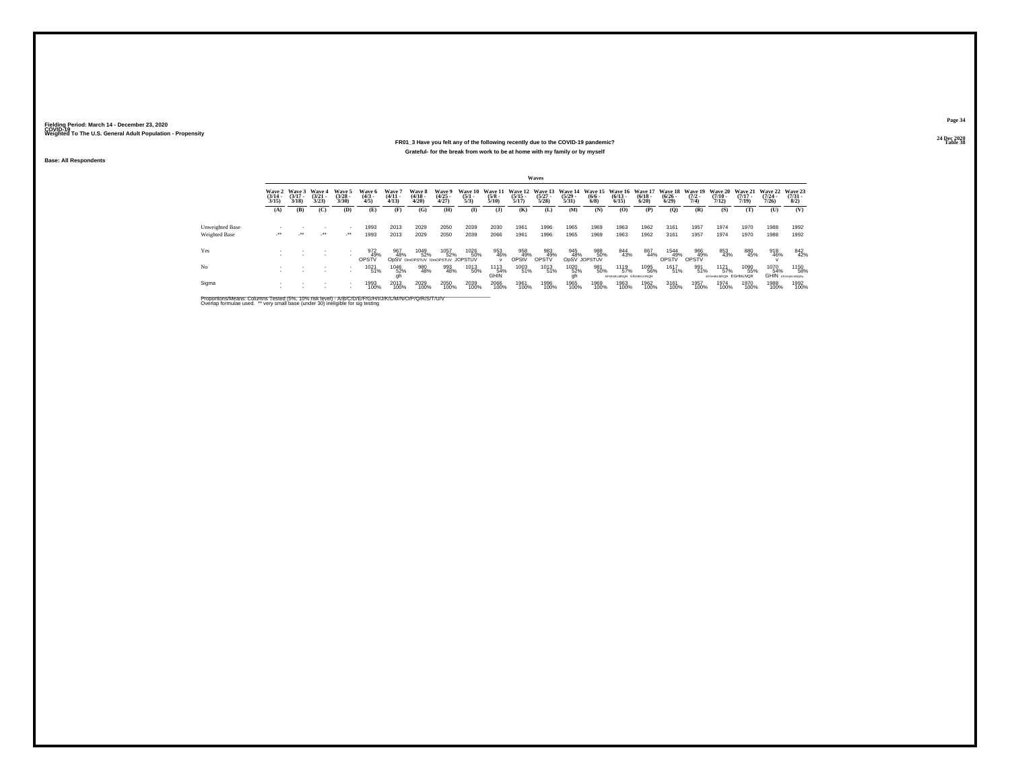### **24 Dec 2020FR01\_3 Have you felt any of the following recently due to the COVID-19 pandemic?Table 38 Table 38 Grateful- for the break from work to be at home with my family or by myself**

**Base: All Respondents**

|                        |                       |                                        |                                 |                                |                                             |                                |                                 |                                                 |                                |                                 |                       | Waves                                           |                       |                            |                                                                  |                      |                       |                     |                                           |                                                  |                              |                                     |
|------------------------|-----------------------|----------------------------------------|---------------------------------|--------------------------------|---------------------------------------------|--------------------------------|---------------------------------|-------------------------------------------------|--------------------------------|---------------------------------|-----------------------|-------------------------------------------------|-----------------------|----------------------------|------------------------------------------------------------------|----------------------|-----------------------|---------------------|-------------------------------------------|--------------------------------------------------|------------------------------|-------------------------------------|
|                        | $\frac{(3/14)}{3/15}$ | Wave 2 Wave 3<br>$\frac{(3/17)}{3/18}$ | Wave 4<br>$\frac{(3/21)}{3/23}$ | Wave 5<br>$\binom{3/28}{3/30}$ | Wave 6<br>$\binom{4/3}{4/5}$                | Wave 7<br>$\binom{4/11}{4/13}$ | Wave 8<br>$\frac{(4/18)}{4/20}$ | Wave 9<br>$\binom{4/25}{4/27}$                  | Wave 10<br>$\frac{(5/1)}{5/3}$ | Wave 11<br>$\frac{(5/8)}{5/10}$ | $\frac{(5/15)}{5/17}$ | Wave 12 Wave 13 Wave 14<br>$\binom{5/27}{5/28}$ | $\frac{(5/29)}{5/31}$ | $\frac{(6/6 - 6)}{(6/8)}$  | Wave 15 Wave 16 Wave 17 Wave 18 Wave 19<br>$\frac{(6/13)}{6/15}$ | $\binom{6/18}{6/20}$ | $\frac{(6/26)}{6/29}$ | $\frac{(7/2)}{7/4}$ | $\frac{(7/10)}{7/12}$                     | Wave 20 Wave 21 Wave 22<br>$\frac{(7/17)}{7/19}$ | $\frac{(7/24 - 7/26)}{7/26}$ | Wave 23<br>$\frac{(7/31 - 1)}{8/2}$ |
|                        | (A)                   | (B)                                    | (C)                             | (D)                            | (E)                                         | (F)                            | (G)                             | (H)                                             | $\mathbf{I}$                   | (1)                             | (K)                   | (L)                                             | (M)                   | (N)                        | (0)                                                              | (P)                  | $\mathbf{Q}$          | (R)                 | (S)                                       | (T)                                              | (U)                          | (V)                                 |
| <b>Unweighted Base</b> |                       |                                        |                                 |                                | 1993                                        | 2013                           | 2029                            | 2050                                            | 2039                           | 2030                            | 1961                  | 1996                                            | 1965                  | 1969                       | 1963                                                             | 1962                 | 3161                  | 1957                | 1974                                      | 1970                                             | 1988                         | 1992                                |
| Weighted Base          | $\cdot$               | $\mathcal{L}^{\bullet\bullet}$         | $\cdot$                         | ur.                            | 1993                                        | 2013                           | 2029                            | 2050                                            | 2039                           | 2066                            | 1961                  | 1996                                            | 1965                  | 1969                       | 1963                                                             | 1962                 | 3161                  | 1957                | 1974                                      | 1970                                             | 1988                         | 1992                                |
| Yes                    |                       |                                        |                                 | $\overline{\phantom{a}}$       | 972<br>49%<br>OPSTV                         | 967<br>48%                     | 1049<br>52%                     | 1057<br>52%<br>ODSV IJmOPSTUV IJmOPSTUV JOPSTUV | 1026<br>50%                    | 953<br>46%                      | 958<br>49%<br>OPStV   | 983<br>49%<br>OPSTV                             | 945<br>48%            | 988<br>50%<br>OpSV JOPSTUV | 844<br>43%                                                       | 867<br>44%           | 1544<br>49%<br>OPSTV  | 966<br>49%<br>OPSTV | 853<br>43%                                | 880<br>45%                                       | 918<br>46%                   | 842<br>42%                          |
| No                     |                       |                                        |                                 | $\overline{\phantom{a}}$       | $\begin{array}{r} 1021 \\ 51\% \end{array}$ | 1046<br>52%                    | 980<br>48%                      | 993<br>48%                                      | 1013<br>50%                    | 1113<br>54%<br>GHIN             | 1003<br>51%           | 1013<br>51%                                     | 1020<br>52%           | 981<br>50%                 | 1119<br>57%<br>EFGHIKLMNOR EIGHIKLMNOR                           | 1095<br>56%          | 1617<br>51%           | 991<br>51%          | $^{1121}_{57\%}$<br>EFGHIKLMNOR EGHIKLNOR | 1090<br>55%                                      | 1070<br>54%                  | 1150<br>58%<br>GHIN EFGHIKLMNORU    |
| Sigma                  |                       |                                        |                                 | $\overline{\phantom{a}}$       | 1993<br>100%                                | 2013<br>100%                   | 2029<br>100%                    | 2050<br>100%                                    | 2039<br>100%                   | 2066<br>100%                    | 1961<br>100%          | 1996<br>100%                                    | 1965<br>100%          | 1969<br>100%               | 1963<br>100%                                                     | 1962<br>100%         | 3161<br>100%          | 1957<br>100%        | 1974<br>100%                              | 1970<br>100%                                     | 1988<br>100%                 | 1992<br>100%                        |

Proportions/Means: Columns Tested (5%, 10% risk level) - A/B/C/D/E/F/G/H/I/J/K/L/M/N/O/P/Q/R/S/T/U/V<br>Overlap formulae used. \*\* very small base (under 30) ineligible for sig testing

**Page 34**24 Dec 2020<br>Table 38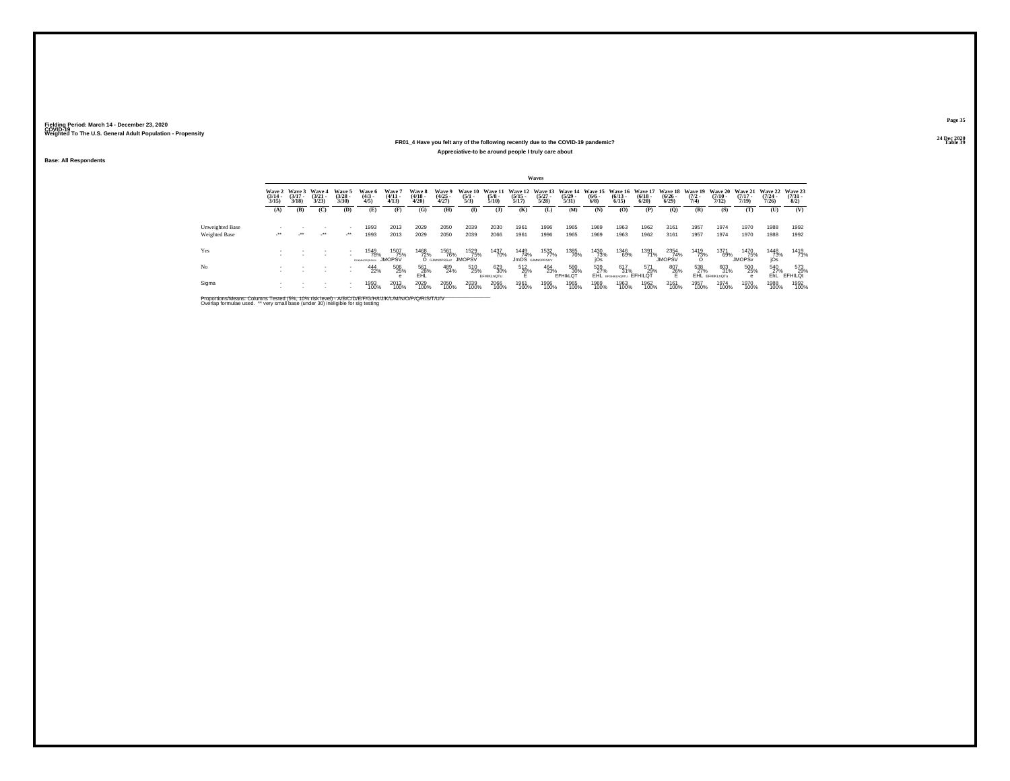### **24 Dec 2020FR01\_4 Have you felt any of the following recently due to the COVID-19 pandemic?Table 39 Table 39 Appreciative-to be around people I truly care about**

**Base: All Respondents**

|                        | Waves                           |                                        |                                 |                                    |                                |                                 |                                 |                                    |                                |                      |                       |                                       |                                                                                          |                    |                          |                      |                              |                     |                       |                                                          |                       |                                       |
|------------------------|---------------------------------|----------------------------------------|---------------------------------|------------------------------------|--------------------------------|---------------------------------|---------------------------------|------------------------------------|--------------------------------|----------------------|-----------------------|---------------------------------------|------------------------------------------------------------------------------------------|--------------------|--------------------------|----------------------|------------------------------|---------------------|-----------------------|----------------------------------------------------------|-----------------------|---------------------------------------|
|                        | Wave 2<br>$\frac{(3/14)}{3/15}$ | <b>Wave 3</b><br>$\frac{(3/17)}{3/18}$ | Wave 4<br>$\frac{(3/21)}{3/23}$ | Wave 5<br>$(3/28 -$<br>3/30        | Wave 6<br>$\binom{4/3}{4/5}$   | Wave 7<br>$\frac{(4/11)}{4/13}$ | Wave 8<br>$\frac{(4/18)}{4/20}$ | Wave 9<br>$\binom{4/25}{4/27}$     | Wave 10<br>$\frac{(5/1)}{5/3}$ | $\frac{(5/8)}{5/10}$ | $\frac{(5/15)}{5/17}$ | $\binom{5/27}{5/28}$                  | Wave 11 Wave 12 Wave 13 Wave 14 Wave 15 Wave 16 Wave 17 Wave 18<br>$\frac{(5/29)}{5/31}$ | $\binom{6/6}{6/8}$ | $\binom{6/13}{6/15}$     | $\binom{6/18}{6/20}$ | $\frac{(6/26)}{6/29}$        | $\frac{(7/2)}{7/4}$ | $\frac{(7/10)}{7/12}$ | Wave 19 Wave 20 Wave 21 Wave 22<br>$\frac{(7/17)}{7/19}$ | $\frac{(7/24)}{7/26}$ | <b>Wave 23</b><br>$\binom{7/31}{8/2}$ |
|                        | (A)                             | (B)                                    | (C)                             | (D)                                | (E)                            | (F)                             | (G)                             | (H)                                | $\mathbf{I}$                   | (3)                  | (K)                   | (L)                                   | (M)                                                                                      | (N)                | (0)                      | (P)                  | (0)                          | (R)                 | (S)                   | (T)                                                      | (U)                   | (V)                                   |
|                        |                                 |                                        |                                 |                                    |                                |                                 |                                 |                                    |                                |                      |                       |                                       |                                                                                          |                    |                          |                      |                              |                     |                       |                                                          |                       |                                       |
| <b>Unweighted Base</b> |                                 |                                        |                                 |                                    | 1993                           | 2013                            | 2029                            | 2050                               | 2039                           | 2030                 | 1961                  | 1996                                  | 1965                                                                                     | 1969               | 1963                     | 1962                 | 3161                         | 1957                | 1974                  | 1970                                                     | 1988                  | 1992                                  |
| Weighted Base          | $\cdot$                         | $\cdot$                                | $\cdot$                         | $\mathcal{L}^{\bullet\bullet}$     | 1993                           | 2013                            | 2029                            | 2050                               | 2039                           | 2066                 | 1961                  | 1996                                  | 1965                                                                                     | 1969               | 1963                     | 1962                 | 3161                         | 1957                | 1974                  | 1970                                                     | 1988                  | 1992                                  |
| Yes                    |                                 |                                        |                                 |                                    | 1549<br>78%<br>45 MINUTEDD SEN | 1507<br>75%<br><b>JMOPSV</b>    | 1468<br>72%                     | 1561<br>76%<br>O GJMNOPRSuV JMOPSV | 1529<br>75%                    | 1437<br>70%          | 1449<br>74%           | 1532<br>77%<br><b>JMOS</b> GJMNOPRSUV | 1385<br>70%                                                                              | 1430<br>73%<br>iOs | 1346<br>69%              | 1391<br>71%          | 2354<br>74%<br><b>JMOPSV</b> | 1419<br>73%         | 1371<br>69%           | 1470<br>75%<br><b>JMOPS<sub>v</sub></b>                  | 1448<br>73%<br>jÓs    | 1419<br>71%                           |
| No                     |                                 |                                        | $\sim$                          | $\overline{\phantom{a}}$<br>$\sim$ | 444<br>22%                     | 506<br>25%                      | 561<br>28%                      | 489<br>24%                         | 510<br>25%                     | 629<br>30%           | 512<br>26%            | 464<br>23%                            | 580<br>30%                                                                               | 539<br>27%         | 617<br>31%               | 571<br>29%           | 807<br>26%                   | 538<br>27%          | 603<br>31%            | 500<br>25%                                               | 540<br>27%            | 573<br>29%                            |
|                        |                                 |                                        |                                 |                                    |                                |                                 | <b>EHL</b>                      |                                    |                                | EFHIKLnOTu           | н.                    |                                       | EFHIKLOT                                                                                 |                    | EHL EFGHIKLNORTU EFHILQT |                      | Е                            |                     | EHL EFHIKLnOTu        |                                                          | EhL.                  | EFHILOt                               |
| Sigma                  |                                 |                                        |                                 | $\overline{\phantom{a}}$           | 1993<br>100%                   | 2013<br>100%                    | 2029<br>100%                    | 2050<br>100%                       | 2039<br>100%                   | 2066<br>100%         | 1961<br>100%          | 1996<br>100%                          | 1965<br>100%                                                                             | 1969<br>100%       | 1963<br>100%             | 1962<br>100%         | 3161<br>100%                 | 1957<br>100%        | 1974<br>100%          | 1970<br>100%                                             | 1988<br>100%          | 1992<br>100%                          |

Proportions/Means: Columns Tested (5%, 10% risk level) - A/B/C/D/E/F/G/H/I/J/K/L/M/N/O/P/Q/R/S/T/U/V<br>Overlap formulae used. \*\* very small base (under 30) ineligible for sig testing

**Page 3524 Dec 2020<br>Table 39**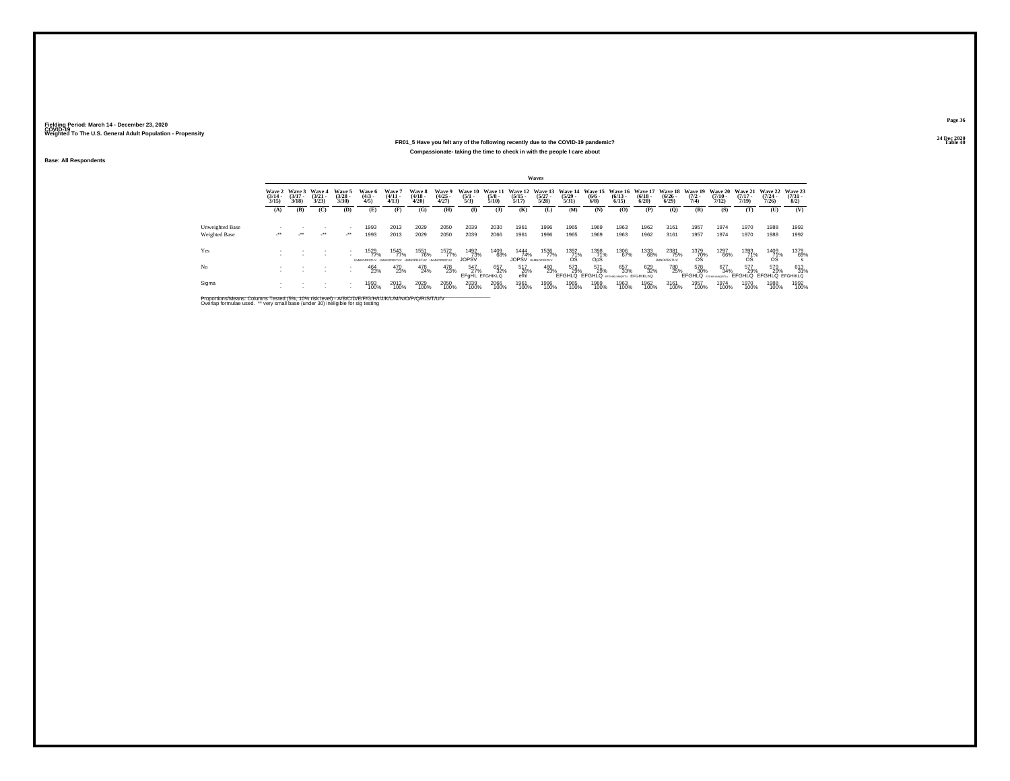## **24 Dec 2020FR01\_5 Have you felt any of the following recently due to the COVID-19 pandemic?Compassionate- taking the time to check in with the people I care about**

**Base: All Respondents**

|                 | Waves                           |                             |                             |                                |                               |                                                    |                                 |                                |                                     |                                 |                                          |                      |                                 |                    |                                                                                                                 |                      |                                   |                     |                       |                                   |                                                         |                                |
|-----------------|---------------------------------|-----------------------------|-----------------------------|--------------------------------|-------------------------------|----------------------------------------------------|---------------------------------|--------------------------------|-------------------------------------|---------------------------------|------------------------------------------|----------------------|---------------------------------|--------------------|-----------------------------------------------------------------------------------------------------------------|----------------------|-----------------------------------|---------------------|-----------------------|-----------------------------------|---------------------------------------------------------|--------------------------------|
|                 | Wave 2<br>$\frac{(3/14)}{3/15}$ | Wave 3<br>$(3/17 -$<br>3/18 | Wave 4<br>$(3/21 -$<br>3/23 | Wave 5<br>$\binom{3/28}{3/30}$ | Wave 6<br>$\frac{(4/3)}{4/5}$ | Wave 7<br>$\frac{(4/11)}{4/13}$                    | Wave 8<br>$\frac{(4/18)}{4/20}$ | Wave 9<br>$\binom{4/25}{4/27}$ | Wave 10<br>$\frac{(5/1)}{5/3}$      | Wave 11<br>$\frac{(5/8)}{5/10}$ | $\frac{(5/15)}{5/17}$                    | $\binom{5/27}{5/28}$ | $\frac{(5/29 - 5/31)}{5/31}$    | $\binom{6/6}{6/8}$ | Wave 12 Wave 13 Wave 14 Wave 15 Wave 16 Wave 17 Wave 18 Wave 19 Wave 20 Wave 21 Wave 22<br>$\binom{6/13}{6/15}$ | $\binom{6/18}{6/20}$ | $\frac{(6/26 - 6)}{6/29}$         | $\frac{(7/2)}{7/4}$ | $\frac{(7/10)}{7/12}$ | $(7/17 -$<br>7/19                 | $(7/24 -$<br>7/26                                       | Wave 23<br>$\binom{7/31}{8/2}$ |
|                 | (A)                             | (B)                         | (C)                         | (D)                            | (E)                           | (F)                                                | (G)                             | (H)                            | $\mathbf{I}$                        | $($ J $)$                       | (K)                                      | (L)                  | <b>(M)</b>                      | (N)                | (O)                                                                                                             | (P)                  | (O)                               | (R)                 | (S)                   | (T)                               | (U)                                                     | (V)                            |
| Unweighted Base |                                 |                             | $\sim$                      |                                | 1993                          | 2013                                               | 2029                            | 2050                           | 2039                                | 2030                            | 1961                                     | 1996                 | 1965                            | 1969               | 1963                                                                                                            | 1962                 | 3161                              | 1957                | 1974                  | 1970                              | 1988                                                    | 1992                           |
| Weighted Base   | $\sim$                          | $\cdot$                     | $\cdot$                     | $\mathcal{L}^{\bullet\bullet}$ | 1993                          | 2013                                               | 2029                            | 2050                           | 2039                                | 2066                            | 1961                                     | 1996                 | 1965                            | 1969               | 1963                                                                                                            | 1962                 | 3161                              | 1957                | 1974                  | 1970                              | 1988                                                    | 1992                           |
| Yes             |                                 |                             |                             |                                | 1529<br>77%                   | 1543<br>77%<br>UMMORRED UMMORRED UMMORRED UMMORRED | 1551<br>76%                     | 1572<br>77%                    | 1492<br>73%<br><b>JOPSV</b>         | 1409<br>68%                     | 1444<br>74%<br><b>JOPSV LIMINOPRSTUV</b> | 1536<br>77%          | $^{1392}_{\substack{71\% \ 0}}$ | 1398<br>71%<br>OpS | 1306<br>67%                                                                                                     | 1333<br>68%          | 2381<br>75%<br><b>IMMORRSTLIV</b> | $^{1379}_{-70\%}$   | 1297<br>66%           | $^{1393}_{\substack{71\% \\ 08}}$ | $^{1409}_{71\%}$                                        | 1379<br>69%                    |
| No              |                                 |                             |                             |                                | 464<br>23%                    | 470<br>23%                                         | 478<br>24%                      | 478<br>23%                     | 547<br>27%<br><b>EFGHL EFGHIKLO</b> | 657<br>32%                      | 517<br>26%<br>efhl                       | 460<br>23%           | 573<br>29%                      | 571<br>29%         | 657<br>33%<br>EFGHLQ EFGHLQ EFGHIKUNGETU EFGHIKLNQ                                                              | 629<br>32%           | 780<br>25%                        | 578<br>30%          | 677<br>34%            | 577<br>29%                        | 579<br>29%<br>EFGHLQ BROWNWORTUN EFGHLQ EFGHLQ EFGHIKLQ | 613<br>31%                     |
| Sigma           |                                 |                             |                             |                                | 1993<br>100%                  | 2013<br>100%                                       | 2029<br>100%                    | 2050<br>100%                   | 2039<br>100%                        | 2066<br>100%                    | 1961<br>100%                             | 1996<br>100%         | 1965<br>100%                    | 1969<br>100%       | 1963<br>100%                                                                                                    | 1962<br>100%         | 3161<br>100%                      | 1957<br>100%        | 1974<br>100%          | 1970<br>100%                      | 1988<br>100%                                            | 1992<br>100%                   |

Proportions/Means: Columns Tested (5%, 10% risk level) - A/B/C/D/E/F/G/H/I/J/K/L/M/N/O/P/Q/R/S/T/U/V<br>Overlap formulae used. \*\* very small base (under 30) ineligible for sig testing

**Page 36**24 Dec 2020<br>Table 40

**Table 40 Table 40 Table 40**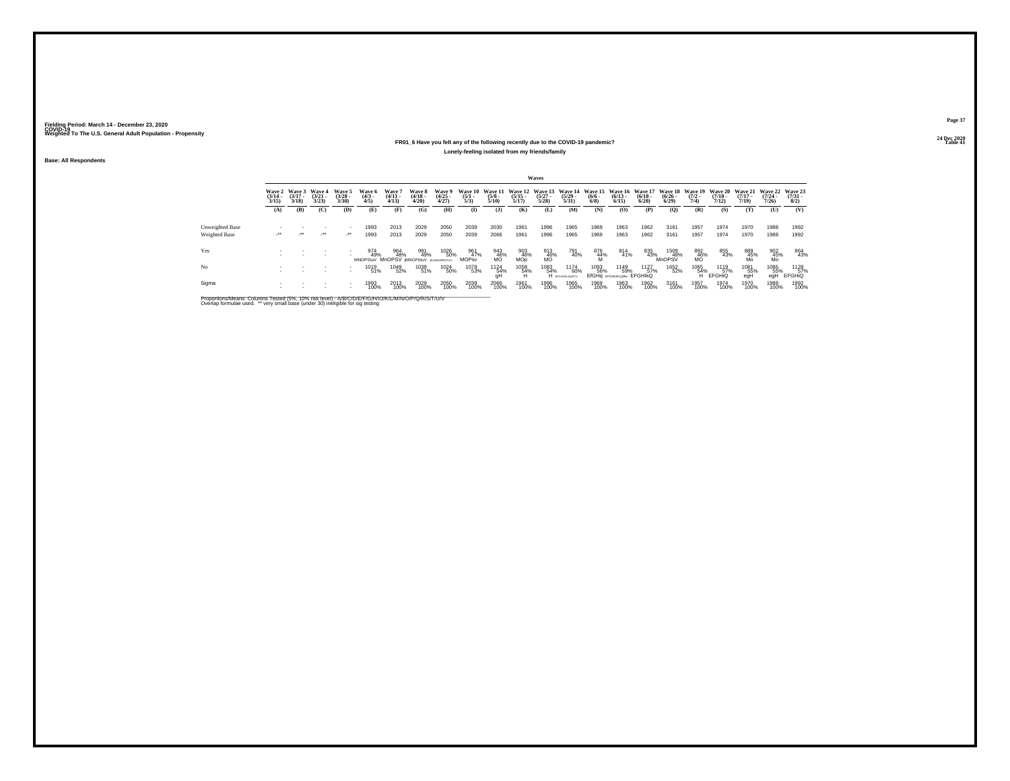#### **24 Dec 2020FR01\_6 Have you felt any of the following recently due to the COVID-19 pandemic?Table 41 Table 41 Table 41 Table 41 Table 41 Table 41 Table 41 Table 41 Lonely-feeling isolated from my friends/family**

**Base: All Respondents**

|                 |                                 |                                        |                                 |                                |                                                      |                                |                                 |                                |                                |                                 |                                     | Waves                           |                                  |                           |                                          |                                                  |                       |                                        |                                         |                                         |                                         |                                     |
|-----------------|---------------------------------|----------------------------------------|---------------------------------|--------------------------------|------------------------------------------------------|--------------------------------|---------------------------------|--------------------------------|--------------------------------|---------------------------------|-------------------------------------|---------------------------------|----------------------------------|---------------------------|------------------------------------------|--------------------------------------------------|-----------------------|----------------------------------------|-----------------------------------------|-----------------------------------------|-----------------------------------------|-------------------------------------|
|                 | Wave 2<br>$\frac{(3/14)}{3/15}$ | <b>Wave 3</b><br>$\frac{(3/17)}{3/18}$ | Wave 4<br>$\frac{(3/21)}{3/23}$ | Wave 5<br>$\binom{3/28}{3/30}$ | Wave 6<br>$\binom{4/3}{4/5}$                         | Wave 7<br>$\binom{4/11}{4/13}$ | Wave 8<br>$\frac{(4/18)}{4/20}$ | Wave 9<br>$\binom{4/25}{4/27}$ | Wave 10<br>$\frac{(5/1)}{5/3}$ | Wave 11<br>$\frac{(5/8)}{5/10}$ | Wave 12<br>$\frac{(5/15)}{5/17}$    | Wave 13<br>$\binom{5/27}{5/28}$ | Wave 14<br>$\frac{(5/29)}{5/31}$ | $\frac{(6/6 - 6)}{(6/8)}$ | $\binom{6/13}{6/15}$                     | Wave 15 Wave 16 Wave 17<br>$\frac{(6/18)}{6/20}$ | $\frac{(6/26)}{6/29}$ | Wave 18 Wave 19<br>$\frac{(7/2)}{7/4}$ | <b>Wave 20</b><br>$\frac{(7/10)}{7/12}$ | <b>Wave 21</b><br>$\frac{(7/17)}{7/19}$ | <b>Wave 22</b><br>$\frac{(7/24)}{7/26}$ | Wave 23<br>$\frac{(7/31 - 1)}{8/2}$ |
|                 | (A)                             | (B)                                    | (C)                             | (D)                            | (E)                                                  | (F)                            | (G)                             | (H)                            | $\bf{I}$                       | (1)                             | (K)                                 | (L)                             | (M)                              | (N)                       | (0)                                      | (P)                                              | (Q)                   | (R)                                    | (S)                                     | (T)                                     | (U)                                     | (V)                                 |
| Unweighted Base |                                 |                                        |                                 |                                | 1993                                                 | 2013                           | 2029                            | 2050                           | 2039                           | 2030                            | 1961                                | 1996                            | 1965                             | 1969                      | 1963                                     | 1962                                             | 3161                  | 1957                                   | 1974                                    | 1970                                    | 1988                                    | 1992                                |
| Weighted Base   | ur.                             | $\mathcal{L}^{\bullet\bullet}$         | $\cdot$                         | $\cdot$                        | 1993                                                 | 2013                           | 2029                            | 2050                           | 2039                           | 2066                            | 1961                                | 1996                            | 1965                             | 1969                      | 1963                                     | 1962                                             | 3161                  | 1957                                   | 1974                                    | 1970                                    | 1988                                    | 1992                                |
| Yes             |                                 |                                        |                                 | ٠                              | 974<br>49%<br>MNOPStuV MnOPSV IMNOPStuV JILMNOPRSTUV | 964<br>48%                     | 991<br>49%                      | 1026<br>50%                    | 961<br>47%<br><b>MOPsv</b>     | 943<br>46%<br>MO                | 903<br>46%<br><b>MO<sub>D</sub></b> | 913<br>46%<br>MO                | 791<br>40%                       | 876<br>44%                | 814<br>41%                               | 835<br>43%                                       | 1509<br>48%           | 892<br>46%<br>MO                       | 855<br>43%                              | 889<br>45%<br>Mo                        | $^{902}_{45\%}$<br>Mo                   | 864<br>43%                          |
| No              |                                 |                                        |                                 |                                | 1019<br>51%                                          | 1049<br>52%                    | 1038<br>51%                     | 1024<br>50%                    | 1078<br>53%                    | 1124<br>54%<br>qH               | 1058<br>54%<br>н                    | 1083<br>54%                     | 1174<br>60%<br>H EFGHUKLNORTU    | 1093<br>56%               | 1149<br>59%<br>EfGHq EFGHUKLORIU EFGHIKQ | 1127<br>57%                                      | 1652<br>52%           | 1065<br>54%<br>н                       | 1119<br>57%<br><b>EFGHIO</b>            | 1081<br>55%<br>egH                      | 1086<br>55%<br>eaH                      | 1128<br>57%<br><b>EFGHIQ</b>        |
| Sigma           |                                 |                                        |                                 |                                | 1993<br>100%                                         | 2013<br>100%                   | 2029<br>100%                    | 2050<br>100%                   | 2039<br>100%                   | 2066<br>100%                    | 1961<br>100%                        | 1996<br>100%                    | 1965<br>100%                     | 1969<br>100%              | 1963<br>100%                             | 1962<br>100%                                     | 3161<br>100%          | 1957<br>100%                           | 1974<br>100%                            | 1970<br>100%                            | 1988<br>100%                            | 1992<br>100%                        |

Proportions/Means: Columns Tested (5%, 10% risk level) - A/B/C/D/E/F/G/H/I/J/K/L/M/N/O/P/Q/R/S/T/U/V<br>Overlap formulae used. \*\* very small base (under 30) ineligible for sig testing

**Page 3724 Dec 2020<br>Table 41**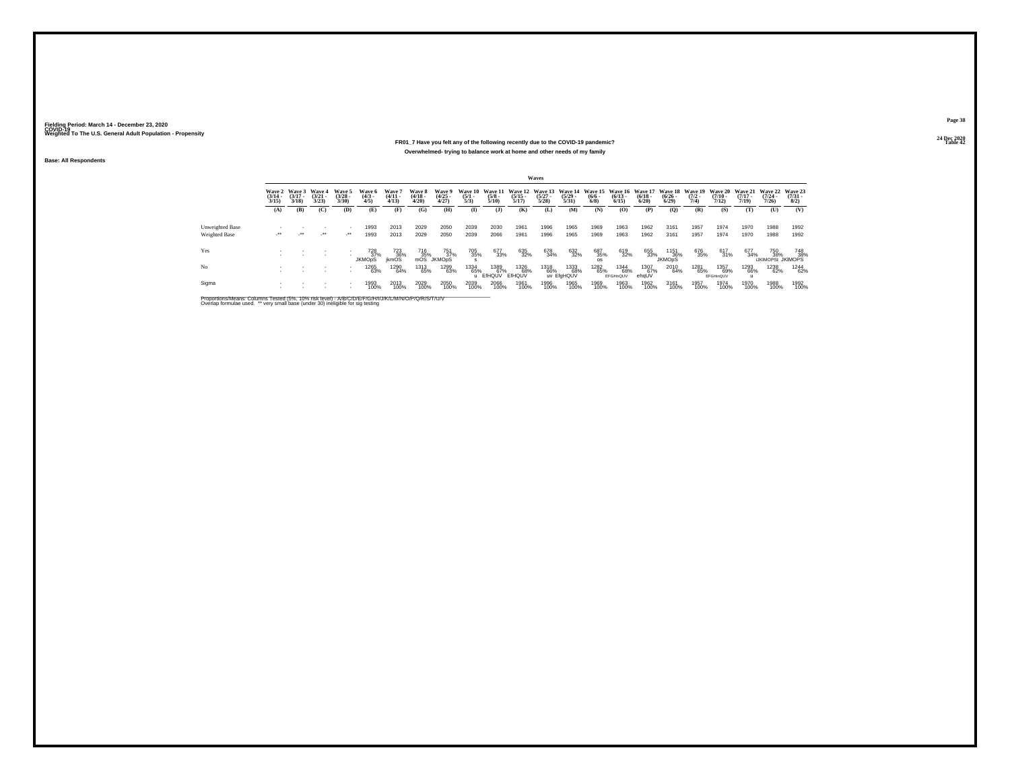#### **24 Dec 2020FR01\_7 Have you felt any of the following recently due to the COVID-19 pandemic?Table 42 Table 42 Table 42 Table 42 Table 42 Table 42 Table 42 Table 42 Overwhelmed- trying to balance work at home and other needs of my family**

**Base: All Respondents**

|                 |                       |                                        |                                    |                                          |                               |                                 |                                 |                                |                                |                       |                       | Waves                                                                            |                           |                    |                         |                      |                              |                     |                          |                                                          |                                  |                                          |
|-----------------|-----------------------|----------------------------------------|------------------------------------|------------------------------------------|-------------------------------|---------------------------------|---------------------------------|--------------------------------|--------------------------------|-----------------------|-----------------------|----------------------------------------------------------------------------------|---------------------------|--------------------|-------------------------|----------------------|------------------------------|---------------------|--------------------------|----------------------------------------------------------|----------------------------------|------------------------------------------|
|                 | $\frac{(3/14)}{3/15}$ | Wave 2 Wave 3<br>$\frac{(3/17)}{3/18}$ | <b>Wave 4</b><br>$(3/21 -$<br>3/23 | Wave 5<br>$\binom{3/28}{3/30}$           | Wave 6<br>$\frac{(4/3)}{4/5}$ | Wave 7<br>$\frac{(4/11)}{4/13}$ | Wave 8<br>$\frac{(4/18)}{4/20}$ | Wave 9<br>$\binom{4/25}{4/27}$ | Wave 10<br>$\frac{(5/1)}{5/3}$ | $\frac{(5/8)}{5/10}$  | $\frac{(5/15)}{5/17}$ | Wave 11 Wave 12 Wave 13 Wave 14 Wave 15 Wave 16 Wave 17<br>$\frac{(5/27)}{5/28}$ | $\frac{(5/29)}{5/31}$     | $\binom{6/6}{6/8}$ | $\binom{6/13}{6/15}$    | $\binom{6/18}{6/20}$ | $\frac{(6/26 - 6)}{6/29}$    | $\frac{(7/2)}{7/4}$ | $\frac{(7/10)}{7/12}$    | Wave 18 Wave 19 Wave 20 Wave 21<br>$\frac{(7/17)}{7/19}$ | Wave 22<br>$\frac{(7/24)}{7/26}$ | Wave 23<br>$\binom{7/31}{8/2}$           |
|                 | (A)                   | (B)                                    | (C)                                | (D)                                      | Œ)                            | (F)                             | (G)                             | (H)                            | $\bf{I}$                       | (1)                   | (K)                   | (L)                                                                              | (M)                       | (N)                | (O)                     | (P)                  | (Q)                          | (R)                 | (S)                      | (T)                                                      | (U)                              | (V)                                      |
| Unweighted Base |                       |                                        |                                    | $\overline{\phantom{a}}$                 | 1993                          | 2013                            | 2029                            | 2050                           | 2039                           | 2030                  | 1961                  | 1996                                                                             | 1965                      | 1969               | 1963                    | 1962                 | 3161                         | 1957                | 1974                     | 1970                                                     | 1988                             | 1992                                     |
| Weighted Base   | ur.                   | $\mathcal{L}^{\bullet\bullet}$         | $\cdot$                            | $\lambda$                                | 1993                          | 2013                            | 2029                            | 2050                           | 2039                           | 2066                  | 1961                  | 1996                                                                             | 1965                      | 1969               | 1963                    | 1962                 | 3161                         | 1957                | 1974                     | 1970                                                     | 1988                             | 1992                                     |
| Yes             |                       |                                        |                                    |                                          | 728<br>37%<br><b>JKMOpS</b>   | 723<br>36%<br>ikmOS             | 716<br>35%<br>mOS               | 751<br>37%<br><b>JKMODS</b>    | 705<br>35%                     | 677<br>33%            | 635<br>32%            | 678<br>34%                                                                       | 632<br>32%                | 687<br>35%         | 619<br>32%              | 655<br>33%           | 1151<br>36%<br><b>JKMOpS</b> | 676<br>35%          | 617<br>31%               | 677<br>34%                                               |                                  | 750 748<br>% 38% 38%<br>UKIMOPSt JKIMOPS |
| No              |                       |                                        |                                    | $\mathbf{r}$<br>$\overline{\phantom{a}}$ | 1265<br>63%                   | 1290<br>64%                     | 1313<br>65%                     | 1299<br>63%                    | 1334<br>65%                    | 1389<br>67%<br>EfHQUV | 1326<br>68%<br>EfHQUV | 1318<br>66%                                                                      | 1333<br>68%<br>uv EfaHQUV | 1282<br>65%        | 1344<br>68%<br>EFGHnQUV | 1307<br>67%<br>ehqUV | 2010<br>64%                  | 1281<br>65%         | 1357<br>69%<br>EFGHinQUV | 1293<br>66%                                              | 1238<br>62%                      | 1244<br>62%                              |
| Sigma           |                       |                                        |                                    | $\overline{\phantom{a}}$                 | 1993<br>100%                  | 2013<br>100%                    | 2029<br>100%                    | 2050<br>100%                   | 2039<br>100%                   | 2066<br>100%          | 1961<br>100%          | 1996<br>100%                                                                     | 1965<br>100%              | 1969<br>100%       | 1963<br>100%            | 1962<br>100%         | 3161<br>100%                 | 1957<br>100%        | 1974<br>100%             | 1970<br>100%                                             | 1988<br>100%                     | 1992<br>100%                             |

Proportions/Means: Columns Tested (5%, 10% risk level) - A/B/C/D/E/F/G/H/I/J/K/L/M/N/O/P/Q/R/S/T/U/V<br>Overlap formulae used. \*\* very small base (under 30) ineligible for sig testing

**Page 3824 Dec 2020<br>Table 42**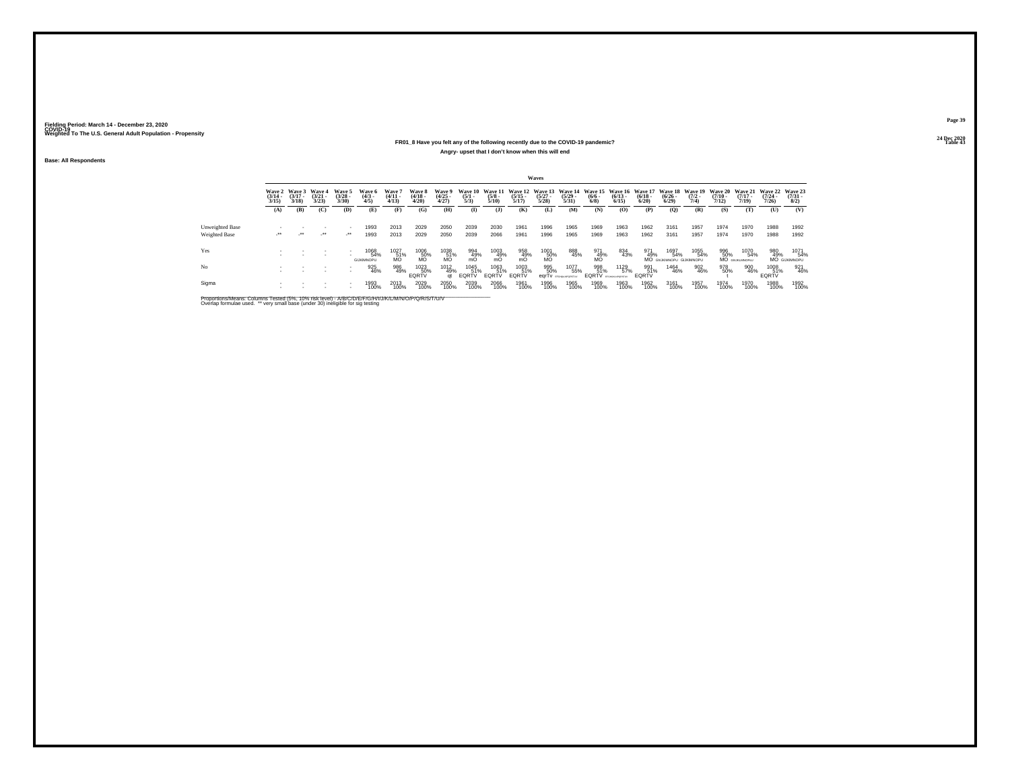#### **24 Dec 2020FR01\_8 Have you felt any of the following recently due to the COVID-19 pandemic?Table 43 Table 43 Angry- upset that I don't know when this will end**

**Base: All Respondents**

|                                         |                                 |                                 |                                 |                                    |                                  |                                |                                 |                                         |                                |                          |                       | Waves                |                                                                                  |                                                |                      |                            |                                        |                                        |                                         |                                         |                                  |                                    |
|-----------------------------------------|---------------------------------|---------------------------------|---------------------------------|------------------------------------|----------------------------------|--------------------------------|---------------------------------|-----------------------------------------|--------------------------------|--------------------------|-----------------------|----------------------|----------------------------------------------------------------------------------|------------------------------------------------|----------------------|----------------------------|----------------------------------------|----------------------------------------|-----------------------------------------|-----------------------------------------|----------------------------------|------------------------------------|
|                                         | Wave 2<br>$\frac{(3/14)}{3/15}$ | Wave 3<br>$\frac{(3/17)}{3/18}$ | Wave 4<br>$\frac{(3/21)}{3/23}$ | Wave 5<br>$\binom{3/28}{3/30}$     | Wave 6<br>$\frac{(4/3)}{4/5}$    | Wave 7<br>$\frac{(4/11}{4/13}$ | Wave 8<br>$\frac{(4/18)}{4/20}$ | Wave 9<br>$\binom{4/25}{4/27}$          | Wave 10<br>$\frac{(5/1)}{5/3}$ | $\frac{(5/8)}{5/10}$     | $\frac{(5/15)}{5/17}$ | $\binom{5/27}{5/28}$ | Wave 11 Wave 12 Wave 13 Wave 14 Wave 15 Wave 16 Wave 17<br>$\frac{(5/29)}{5/31}$ | $\binom{6/6}{6/8}$                             | $\binom{6/13}{6/15}$ | $\frac{(6/18)}{6/20}$      | $\frac{(6/26)}{6/29}$                  | Wave 18 Wave 19<br>$\frac{(7/2)}{7/4}$ | <b>Wave 20</b><br>$\frac{(7/10)}{7/12}$ | <b>Wave 21</b><br>$\frac{(7/17)}{7/19}$ | Wave 22<br>$\frac{(7/24)}{7/26}$ | Wave 23<br>$\binom{7/31}{8/2}$     |
|                                         | (A)                             | (B)                             | (C)                             | (D)                                | (E)                              | (F)                            | (G)                             | (H)                                     | $\mathbf{I}$                   | (1)                      | (K)                   | (L)                  | (M)                                                                              | (N)                                            | (0)                  | (P)                        | (Q)                                    | (R)                                    | (S)                                     | (T)                                     | (U)                              | (V)                                |
| <b>Unweighted Base</b><br>Weighted Base | $\cdot$                         | $\cdot$                         | $\cdot$                         | $\mathcal{L}^{\bullet\bullet}$     | 1993<br>1993                     | 2013<br>2013                   | 2029<br>2029                    | 2050<br>2050                            | 2039<br>2039                   | 2030<br>2066             | 1961<br>1961          | 1996<br>1996         | 1965<br>1965                                                                     | 1969<br>1969                                   | 1963<br>1963         | 1962<br>1962               | 3161<br>3161                           | 1957<br>1957                           | 1974<br>1974                            | 1970<br>1970                            | 1988<br>1988                     | 1992<br>1992                       |
| Yes                                     |                                 |                                 |                                 |                                    | 1068<br>54%<br><b>GIJKIMNOPU</b> | 1027<br>$\frac{51}{100}$       | 1006<br>50%                     | $^{1038}_{\substack{51\% \ \text{MO}}}$ | 994<br>49%<br>mO               | 1003<br>m <sup>49%</sup> | 958<br>49%<br>mO      | 1001<br>50%<br>MO    | 888<br>45%                                                                       | 971<br>49%<br>MÖ                               | 834<br>43%           | 971<br>49%                 | 1697<br>54%<br>MO GNJKMNOPU GIJKIMNOPU | 1055<br>54%                            | 996<br>50%                              | 1070<br>54%<br>MO GNJKLMNOPSU           | 980<br>49%                       | 1071<br>54%<br><b>MO</b> GUKIMNOPU |
| No                                      |                                 |                                 |                                 | $\sim$<br>$\overline{\phantom{a}}$ | 925<br>46%                       | 986<br>49%                     | 1023<br>50%<br>EQRTV            | 1012<br>49%<br>at                       | 1045<br>51%<br>EQRTV           | 1063<br>51%<br>EQRTV     | 1003<br>51%<br>EQRTV  | 995<br>50%           | 1077<br>55%<br>earTv FORMAPORSTV                                                 | 998<br>51%<br><b>EQRTV</b> <i>SPORANDORTIV</i> | $^{1129}_{57\%}$     | 991<br>51%<br><b>EQRTV</b> | 1464<br>46%                            | 902<br>46%                             | 978<br>50%                              | 900<br>46%                              | 1008<br>51%<br>EQRTV             | 921<br>46%                         |
| Sigma                                   |                                 |                                 |                                 | $\sim$                             | 1993<br>100%                     | 2013<br>100%                   | 2029<br>100%                    | 2050<br>100%                            | 2039<br>100%                   | 2066<br>100%             | 1961<br>100%          | 1996<br>100%         | 1965<br>100%                                                                     | 1969<br>100%                                   | 1963<br>100%         | 1962<br>100%               | 3161<br>100%                           | 1957<br>100%                           | 1974<br>100%                            | 1970<br>100%                            | 1988<br>100%                     | 1992<br>100%                       |

Proportions/Means: Columns Tested (5%, 10% risk level) - A/B/C/D/E/F/G/H/I/J/K/L/M/N/O/P/Q/R/S/T/U/V<br>Overlap formulae used. \*\* very small base (under 30) ineligible for sig testing

**Page 39**24 Dec 2020<br>Table 43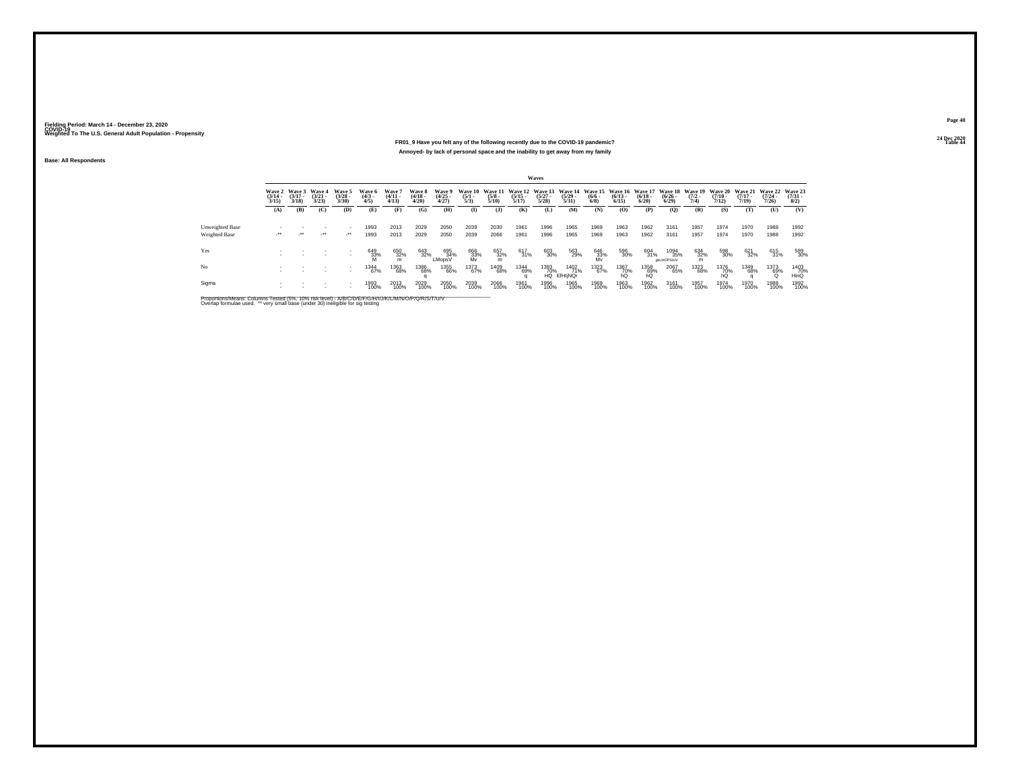#### **24 Dec 2020FR01\_9 Have you felt any of the following recently due to the COVID-19 pandemic?Table 44 Table 44 Table 44 Table 44 Table 44 Table 44 Table 44 Table 44 Table 44 Annoyed- by lack of personal space and the inability to get away from my family**

**Base: All Respondents**

|                 |                       |                                        |                                |                                |                              |                                |                                        |                                |                                |                                 |                       | Waves                                            |                            |                           |                                                  |                      |                                         |                     |                                         |                                         |                                          |                     |
|-----------------|-----------------------|----------------------------------------|--------------------------------|--------------------------------|------------------------------|--------------------------------|----------------------------------------|--------------------------------|--------------------------------|---------------------------------|-----------------------|--------------------------------------------------|----------------------------|---------------------------|--------------------------------------------------|----------------------|-----------------------------------------|---------------------|-----------------------------------------|-----------------------------------------|------------------------------------------|---------------------|
|                 | $\frac{(3/14)}{3/15}$ | Wave 2 Wave 3<br>$\frac{(3/17)}{3/18}$ | Wave 4<br>$\binom{3/21}{3/23}$ | Wave 5<br>$\binom{3/28}{3/30}$ | Wave 6<br>$\binom{4/3}{4/5}$ | Wave?<br>$\frac{(4/11)}{4/13}$ | Wave 8<br>$\frac{(4/18 - 4/28)}{4/20}$ | Wave 9<br>$\binom{4/25}{4/27}$ | Wave 10<br>$\frac{(5/1)}{5/3}$ | Wave 11<br>$\frac{(5/8)}{5/10}$ | $\frac{(5/15)}{5/17}$ | Wave 12 Wave 13 Wave 14<br>$\frac{(5/27)}{5/28}$ | $\frac{(5/29)}{5/31}$      | $\frac{(6/6 - 6)}{(6/8)}$ | Wave 15 Wave 16 Wave 17<br>$\frac{(6/13)}{6/15}$ | $\binom{6/18}{6/20}$ | Wave 18 Wave 19<br>$\binom{6/26}{6/29}$ | $\frac{(7/2)}{7/4}$ | <b>Wave 20</b><br>$\frac{(7/10)}{7/12}$ | <b>Wave 21</b><br>$\frac{(7/17)}{7/19}$ | Wave 22 Wave 23<br>$\frac{(7/24)}{7/26}$ | $\binom{7/31}{8/2}$ |
|                 | (A)                   | (B)                                    | (C)                            | (D)                            | (E)                          | (F)                            | (G)                                    | (H)                            | $\bf{I}$                       | (1)                             | (K)                   | (L)                                              | (M)                        | (N)                       | (O)                                              | (P)                  | (0)                                     | (R)                 | (S)                                     | (T)                                     | $\sigma$                                 | (V)                 |
| Unweighted Base |                       |                                        |                                | $\overline{\phantom{a}}$       | 1993                         | 2013                           | 2029                                   | 2050                           | 2039                           | 2030                            | 1961                  | 1996                                             | 1965                       | 1969                      | 1963                                             | 1962                 | 3161                                    | 1957                | 1974                                    | 1970                                    | 1988                                     | 1992                |
| Weighted Base   | $\cdot$               | $\rightarrow$                          | $\mathcal{L}^{\bullet\bullet}$ | $\mathcal{L}^{\bullet\bullet}$ | 1993                         | 2013                           | 2029                                   | 2050                           | 2039                           | 2066                            | 1961                  | 1996                                             | 1965                       | 1969                      | 1963                                             | 1962                 | 3161                                    | 1957                | 1974                                    | 1970                                    | 1988                                     | 1992                |
| Yes             |                       |                                        |                                |                                | 649<br>33%                   | 650<br>32%<br>m                | 643<br>32%                             | 695<br>34%<br>LMopsV           | 666<br>33%<br>Mv               | 657<br>32%<br>m                 | 617<br>31%            | 603<br>30%                                       | 563<br>29%                 | 646<br>33%<br>Mv          | 596<br>30%                                       | 604<br>31%           | 1094<br>35%<br>gkLMOPStUV               | 634<br>32%<br>m     | 598<br>30%                              | 621<br>32%                              | 615<br>31%                               | 589<br>30%          |
| No              |                       |                                        |                                | $\overline{\phantom{a}}$       | 1344<br>67%                  | 1363<br>68%                    | 1386<br>68%                            | 1355<br>66%                    | 1373<br>67%                    | 1409<br>68%                     | 1344<br>69%           | 1393<br>70%                                      | 1402<br>71%<br>HQ EfHIINQr | 1323<br>67%               | 1367<br>70%<br>hQ                                | 1358<br>69%<br>hŐ    | 2067<br>65%                             | 1323<br>68%         | 1376<br>70%<br>hQ                       | 1349<br>68%                             | 1373<br>69%<br>Ö                         | 1403<br>70%<br>HinQ |
| Sigma           |                       |                                        |                                |                                | 1993<br>100%                 | 2013<br>100%                   | 2029<br>100%                           | 2050<br>100%                   | 2039<br>100%                   | 2066<br>100%                    | 1961<br>100%          | 1996<br>100%                                     | 1965<br>100%               | 1969<br>100%              | 1963<br>100%                                     | 1962<br>100%         | 3161<br>100%                            | 1957<br>100%        | 1974<br>100%                            | 1970<br>100%                            | 1988<br>100%                             | 1992<br>100%        |

Proportions/Means: Columns Tested (5%, 10% risk level) - A/B/C/D/E/F/G/H/I/J/K/L/M/N/O/P/Q/R/S/T/U/V<br>Overlap formulae used. \*\* very small base (under 30) ineligible for sig testing

**Page 4024 Dec 2020<br>Table 44**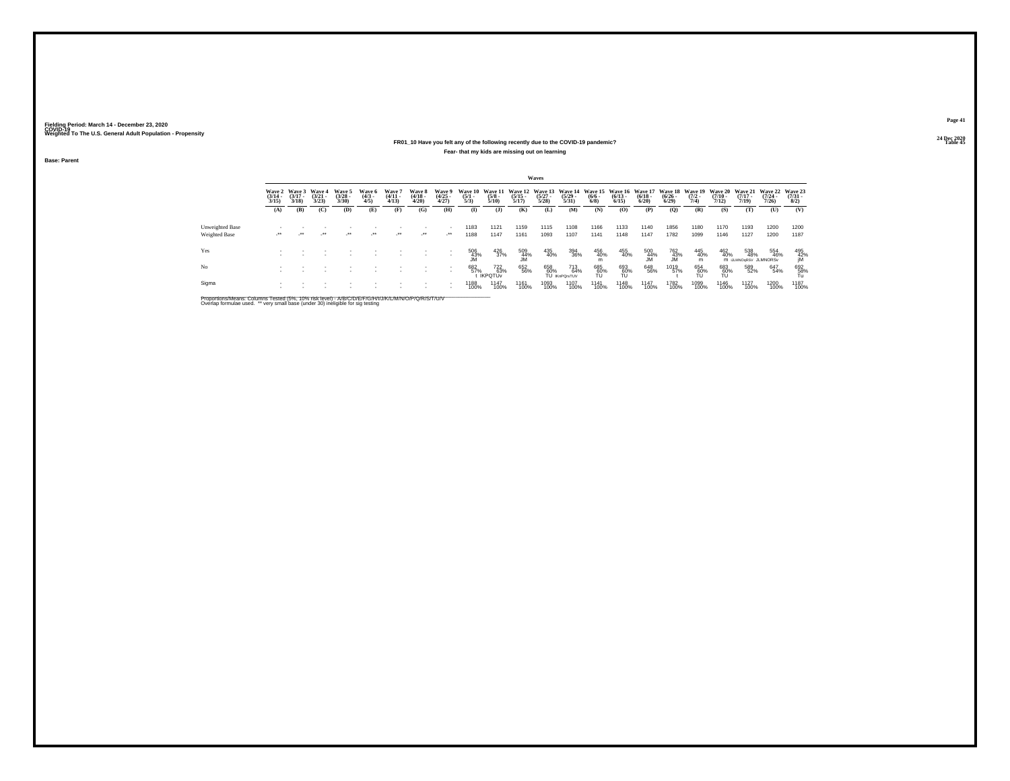#### **24 Dec 2020FR01\_10 Have you felt any of the following recently due to the COVID-19 pandemic?Table 45 Table 45 Table 45 Table 45 Table 45 Table 45 Fear- that my kids are missing out on learning**

**Base: Parent**

|                 |                                        |                                 |                                 |                                |                              |                                 |                                 |                                |                                |                                                 |                       | Waves                 |                                                                          |                           |                       |                       |                       |                                        |                                         |                                         |                                             |                                                                |
|-----------------|----------------------------------------|---------------------------------|---------------------------------|--------------------------------|------------------------------|---------------------------------|---------------------------------|--------------------------------|--------------------------------|-------------------------------------------------|-----------------------|-----------------------|--------------------------------------------------------------------------|---------------------------|-----------------------|-----------------------|-----------------------|----------------------------------------|-----------------------------------------|-----------------------------------------|---------------------------------------------|----------------------------------------------------------------|
|                 | <b>Wave 2</b><br>$\frac{(3/14)}{3/15}$ | Wave 3<br>$\frac{(3/17)}{3/18}$ | Wave 4<br>$\frac{(3/21)}{3/23}$ | Wave 5<br>$\binom{3/28}{3/30}$ | Wave 6<br>$\binom{4/3}{4/5}$ | Wave 7<br>$\frac{(4/11)}{4/13}$ | Wave 8<br>$\frac{(4/18)}{4/20}$ | Wave 9<br>$\binom{4/25}{4/27}$ | Wave 10<br>$\frac{(5/1)}{5/3}$ | <b>Wave 11</b><br>$\frac{(5/8)}{5/10}$          | $\frac{(5/15)}{5/17}$ | $\frac{(5/27)}{5/28}$ | Wave 12 Wave 13 Wave 14 Wave 15 Wave 16 Wave 17<br>$\frac{(5/29)}{5/31}$ | $\frac{(6/6 - 6)}{(6/8)}$ | $\frac{(6/13)}{6/15}$ | $\frac{(6/18)}{6/20}$ | $\frac{(6/26)}{6/29}$ | Wave 18 Wave 19<br>$\frac{(7/2)}{7/4}$ | <b>Wave 20</b><br>$\frac{(7/10)}{7/12}$ | <b>Wave 21</b><br>$\frac{(7/17)}{7/19}$ | <b>Wave 22</b><br>$\frac{(7/24 - 7)}{7/26}$ | Wave 23<br>$\frac{(7/31 - 1)}{8/2}$                            |
|                 | (A)                                    | (B)                             | (C)                             | (D)                            | (E)                          | (F)                             | (G)                             | (H)                            | $\mathbf{I}$                   | $($ J $)$                                       | (K)                   | (L)                   | (M)                                                                      | (N)                       | (O)                   | (P)                   | (Q)                   | (R)                                    | (S)                                     | (T)                                     | (U)                                         | (V)                                                            |
| Unweighted Base |                                        |                                 |                                 |                                |                              |                                 |                                 |                                | 1183                           | 1121                                            | 1159                  | 1115                  | 1108                                                                     | 1166                      | 1133                  | 1140                  | 1856                  | 1180                                   | 1170                                    | 1193                                    | 1200                                        | 1200                                                           |
| Weighted Base   | $\cdot$                                | $\cdot$                         | $\cdot$                         | $\cdot$                        | $\cdot$                      | $\lambda$                       | $\cdot$                         | $\cdot$                        | 1188                           | 1147                                            | 1161                  | 1093                  | 1107                                                                     | 1141                      | 1148                  | 1147                  | 1782                  | 1099                                   | 1146                                    | 1127                                    | 1200                                        | 1187                                                           |
| Yes             |                                        |                                 |                                 |                                |                              |                                 |                                 | $\sim$                         | $^{506}_{~43\%}$               | $^{426}_{37\%}$                                 | 509<br>44%<br>JM      | 435<br>40%            | 394<br>36%                                                               | 456<br>40%                | 455<br>40%            | $\frac{500}{44\%}$    | 762<br>43%<br>JM      | 445<br>40%<br>m                        | 462<br>40%                              | 538<br>48%<br>M IJLMNOGRSV JLMNORSV     | 554<br>46%                                  | $\begin{array}{c} 495 \\ 42\% \\ \hline \text{IM} \end{array}$ |
| No              |                                        |                                 |                                 |                                |                              |                                 |                                 |                                | 682<br>57%                     | <sup>722</sup> <sub>63%</sub><br><b>IKPOTUV</b> | 652<br>56%            | 658<br>60%            | 713<br>64%<br>TU IKnPOrsTUV                                              | 685<br>60%<br>TU          | 693<br>60%<br>TU      | 648<br>56%            | 1019<br>57%           | 654<br>60%<br>TU                       | 683<br>60%<br>TU                        | 589<br>52%                              | 647<br>54%                                  | $^{692}_{\substack{58\%\\ \text{Tu}}}$                         |
| Sigma           |                                        |                                 |                                 |                                |                              |                                 |                                 |                                | 1188<br>100%                   | <sup>1147</sup><br>100%                         | 1161<br>100%          | 1093<br>100%          | 1107<br>100%                                                             | <sup>1141</sup><br>100%   | 1148<br>100%          | 1147<br>100%          | 1782<br>100%          | 1099<br>100%                           | 1146<br>100%                            | <sup>1</sup> 127<br>100%                | 1200<br>100%                                | 1187<br>100%                                                   |

Proportions/Means: Columns Tested (5%, 10% risk level) - A/B/C/D/E/F/G/H/I/J/K/L/M/N/O/P/Q/R/S/T/U/V<br>Overlap formulae used. \*\* very small base (under 30) ineligible for sig testing

**Page 41**24 Dec 2020<br>Table 45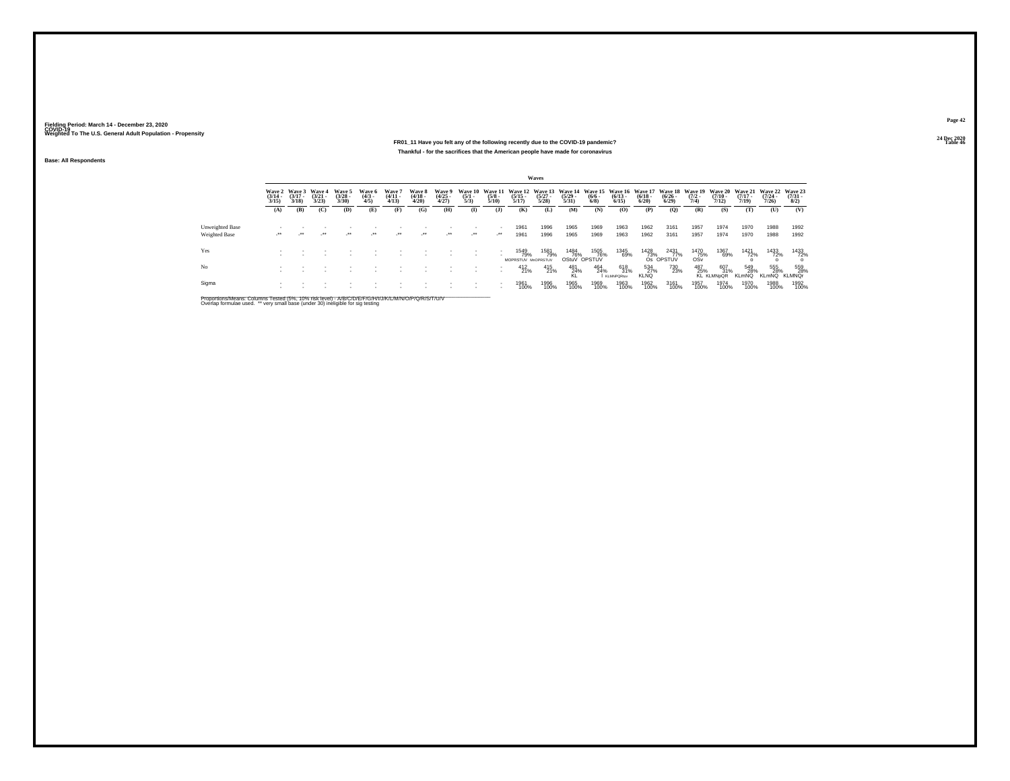#### **24 Dec 2020FR01\_11 Have you felt any of the following recently due to the COVID-19 pandemic?Table 46 Table 46 Table 46 Table 46 Table 46 Table 46 Table 46 Table 46 Thankful - for the sacrifices that the American people have made for coronavirus**

**Base: All Respondents**

|                      |                                 |                                 |                                 |                                |                              |                               |                                 |                                |                                |                                |                                                                                                                                  | <b>Waves</b>          |                       |                             |                                 |                           |                               |                     |                                 |                            |                            |                             |
|----------------------|---------------------------------|---------------------------------|---------------------------------|--------------------------------|------------------------------|-------------------------------|---------------------------------|--------------------------------|--------------------------------|--------------------------------|----------------------------------------------------------------------------------------------------------------------------------|-----------------------|-----------------------|-----------------------------|---------------------------------|---------------------------|-------------------------------|---------------------|---------------------------------|----------------------------|----------------------------|-----------------------------|
|                      | Wave 2<br>$\frac{(3/14)}{3/15}$ | Wave 3<br>$\frac{(3/17)}{3/18}$ | Wave 4<br>$\frac{(3/21)}{3/23}$ | Wave 5<br>$\binom{3/28}{3/30}$ | Wave 6<br>$\binom{4/3}{4/5}$ | Wave?<br>$\frac{(4/11}{4/13}$ | Wave 8<br>$\frac{(4/18)}{4/20}$ | Wave 9<br>$\binom{4/25}{4/27}$ | Wave 10<br>$\frac{(5/1)}{5/3}$ | $\frac{(5/8)}{5/10}$           | Wave 11 Wave 12 Wave 13 Wave 14 Wave 15 Wave 16 Wave 17 Wave 18 Wave 19 Wave 20 Wave 21 Wave 22 Wave 23<br>$\frac{(5/15)}{5/17}$ | $\frac{(5/27)}{5/28}$ | $\frac{(5/29)}{5/31}$ | $\frac{(6/6 - 6)}{(6/8)}$   | $\frac{(6/13)}{6/15}$           | $\frac{(6/18)}{6/20}$     | $\frac{(6/26 - 6)}{6/29}$     | $\frac{(7/2)}{7/4}$ | $\frac{(7/10)}{7/12}$           | $\frac{(7/17)}{7/19}$      | $\frac{(7/24)}{7/26}$      | $\binom{7/31}{8/2}$         |
|                      | (A)                             | (B)                             | (C)                             | (D)                            | (E)                          | (F)                           | (G)                             | (H)                            | (I)                            | $($ $)$                        | (K)                                                                                                                              | (L)                   | (M)                   | (N)                         | (O)                             | (P)                       | (Q)                           | (R)                 | (S)                             | (T)                        | (U)                        | (V)                         |
| Unweighted Base      |                                 |                                 |                                 |                                |                              |                               |                                 |                                |                                | $\sim$                         | 1961                                                                                                                             | 1996                  | 1965                  | 1969                        | 1963                            | 1962                      | 3161                          | 1957                | 1974                            | 1970                       | 1988                       | 1992                        |
| <b>Weighted Base</b> | $\cdot$                         | $\sim$                          | $\cdot$                         | $\star$                        | $\rightarrow$                | $\cdot$                       | $\cdot$                         | $\cdot$                        | $\cdot$                        | $\mathcal{L}^{\bullet\bullet}$ | 1961                                                                                                                             | 1996                  | 1965                  | 1969                        | 1963                            | 1962                      | 3161                          | 1957                | 1974                            | 1970                       | 1988                       | 1992                        |
| Yes                  |                                 |                                 |                                 |                                |                              |                               |                                 |                                |                                |                                | 1549<br>79%<br>MOPRSTUV MnOPRSTUV                                                                                                | 1581<br>79%           | 1484<br>76%           | 1505<br>76%<br>OStuV OPSTUV | 1345<br>69%                     | $\frac{1428}{73\%}$       | 2431<br>77%<br>Os OPSTUV      | 1470<br>75%<br>OSv  | 1367<br>69%                     | 1421<br>72%                | 1433<br>72%                | 1433<br>72%                 |
| No                   |                                 |                                 |                                 |                                |                              |                               |                                 |                                |                                | $\sim$                         | $^{412}_{21\%}$                                                                                                                  | 415<br>21%            | 481<br>24%            | 464<br>24%                  | 618<br>31%<br><b>KLMNPORtuv</b> | 534<br>27%<br><b>KLNQ</b> | <sup>730</sup> <sub>23%</sub> | 487<br>25%          | 607<br>31%<br><b>KL KLMNpQR</b> | 549<br>28%<br><b>KLmNQ</b> | 555<br>28%<br><b>KLmNQ</b> | 559<br>28%<br><b>KLMNOr</b> |
| Sigma                |                                 |                                 |                                 |                                |                              |                               |                                 |                                |                                |                                | 1961<br>100%                                                                                                                     | 1996<br>100%          | 1965<br>100%          | 1969<br>100%                | 1963<br>100%                    | 1962<br>100%              | 3161<br>100%                  | 1957<br>100%        | 1974<br>100%                    | 1970<br>100%               | 1988<br>100%               | 1992<br>100%                |

Proportions/Means: Columns Tested (5%, 10% risk level) - A/B/C/D/E/F/G/H/I/J/K/L/M/N/O/P/Q/R/S/T/U/V<br>Overlap formulae used. \*\* very small base (under 30) ineligible for sig testing

**Page 42**24 Dec 2020<br>Table 46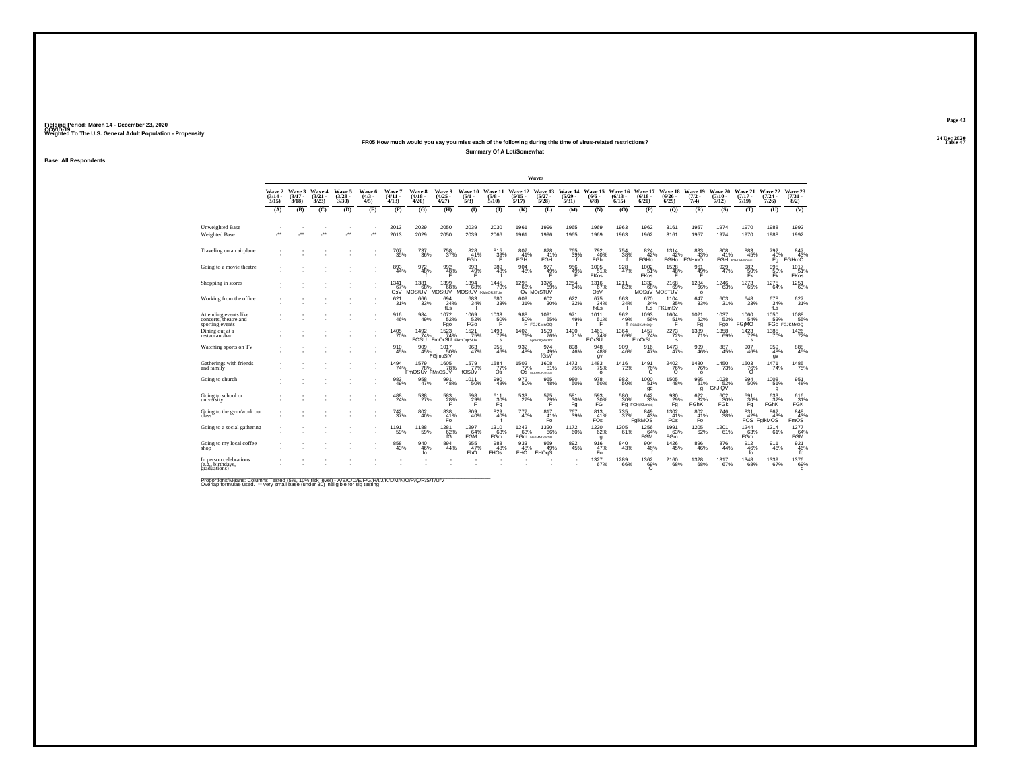#### **24 Dec 2020FR05 How much would you say you miss each of the following during this time of virus-related restrictions?Summary Of A Lot/Somewhat**

**Base: All Respondents**

|                                                                   |                                  |                           |                                 |                                |                               |                               |                                                    |                                         |                                       |                                 |                                  | Waves                               |                                  |                                     |                              |                              |                                  |                                   |                               |                                  |                                                                                        |                                                           |
|-------------------------------------------------------------------|----------------------------------|---------------------------|---------------------------------|--------------------------------|-------------------------------|-------------------------------|----------------------------------------------------|-----------------------------------------|---------------------------------------|---------------------------------|----------------------------------|-------------------------------------|----------------------------------|-------------------------------------|------------------------------|------------------------------|----------------------------------|-----------------------------------|-------------------------------|----------------------------------|----------------------------------------------------------------------------------------|-----------------------------------------------------------|
|                                                                   | <b>Wave 2</b><br>(3/14 -<br>3/15 | Wave 3<br>(3/17 -<br>3/18 | Wave 4<br>$\frac{(3/21)}{3/23}$ | Wave 5<br>$\binom{3/28}{3/30}$ | Wave 6<br>$\frac{(4/3)}{4/5}$ | Wave 7<br>$(4/11 -$<br>4/13   | <b>Wave 8</b><br>$\frac{(4/18)}{4/20}$             | <b>Wave 9</b><br>$\binom{4/25}{4/27}$   | Wave 10<br>$\frac{(5/1)}{5/3}$        | Wave 11<br>$\frac{(5/8)}{5/10}$ | Wave 12<br>$\frac{(5/15)}{5/17}$ | Wave 13<br>$\frac{(5/27)}{5/28}$    | Wave 14<br>$\frac{(5/29)}{5/31}$ | Wave 15<br>$(6/6 -$<br>$6/8$ )      | Wave 16<br>$(6/13 -$<br>6/15 | Wave 17<br>$(6/18 -$<br>6/20 | Wave 18<br>$\frac{(6/26)}{6/29}$ | Wave 19<br>$\frac{(7/2)}{7/4}$    | Wave 20<br>$(7/10 -$<br>7/12) | Wave 21<br>$\frac{(7/17)}{7/19}$ | Wave 22<br>$\frac{(7/24 - 7)}{7/26}$                                                   | Wave 23<br>$\binom{7/31}{8/2}$                            |
|                                                                   | (A)                              | (B)                       | (C)                             | (D)                            | (E)                           | (F)                           | (G)                                                | (H)                                     | $\Phi$                                | $\mathbf{I}$                    | (K)                              | (L)                                 | (M)                              | (N)                                 | (0)                          | (P)                          | (0)                              | (R)                               | (S)                           | (T)                              | (U)                                                                                    | (V)                                                       |
| Unweighted Base<br>Weighted Base                                  |                                  | $\cdot$                   | $\bullet\,\bullet$              | $\overline{\phantom{a}}$       | $\ddot{\phantom{1}}$          | 2013<br>2013                  | 2029<br>2029                                       | 2050<br>2050                            | 2039<br>2039                          | 2030<br>2066                    | 1961<br>1961                     | 1996<br>1996                        | 1965<br>1965                     | 1969<br>1969                        | 1963<br>1963                 | 1962<br>1962                 | 3161<br>3161                     | 1957<br>1957                      | 1974<br>1974                  | 1970<br>1970                     | 1988<br>1988                                                                           | 1992<br>1992                                              |
| Traveling on an airplane                                          |                                  |                           |                                 |                                |                               | 707<br>35%                    | 737<br>36%                                         | 758<br>37%                              | 828<br>41%<br>FĠĥ                     | 815<br>39%                      | 807<br>41%<br>FGH                | 828<br>41%<br>FGH                   | 765<br>39%                       | 792<br>40%<br>FGh                   | 754<br>38%                   | 824<br>42%<br>FGHO           | 1314<br>42%                      | 833<br>43%<br>FGHO FGHmO          | 808                           | 883<br>45%<br>41% 45             | 792<br>40%<br>Fq                                                                       | 847<br>43%<br>FGHmO                                       |
| Going to a movie theatre                                          |                                  |                           |                                 |                                |                               | 893<br>44%                    | 972<br>48%                                         | 992 <sub>48</sub> %                     | 993<br>49%<br>F                       | 989<br>48%                      | $\frac{904}{46\%}$               | 977<br>49%                          | $\frac{956}{49\%}$               | $1005$<br>$51\%$<br><b>FKos</b>     | 928<br>47%                   | 1002<br>51%<br><b>FKos</b>   | 1528<br>48%<br>Ŧ.                | 961<br>49%<br>F                   | 929 47%                       | 9826<br>FK <sup>1</sup>          | 995<br>50%<br><b>Fk</b>                                                                | 1017<br>51%<br>FKos                                       |
| Shopping in stores                                                |                                  |                           |                                 |                                |                               | 1341<br>67%<br>OsV            | $1381$ 68%<br>MOStUV                               | $^{1399}_{68\%}$<br>MOStUV              | $^{1394}_{68\%}$<br>MOStUV framorsTuv | $1445$<br>$70\%$                | 1298<br>66%                      | 1376<br>69%<br>Ov MOrSTUV           | $^{1254}_{64\%}$                 | 1316<br>67%<br>OsV                  | $1211$<br>62%                | 1332<br>68%<br>MOSuV MOSTUV  | 2168<br>69%                      | 1284<br>66%<br>$\Omega$           | $^{1246}_{63\%}$              | $\substack{1273 \\ 65\%}$        | $\substack{1275 \\ 64\%}$                                                              | 1251<br>63%                                               |
| Working from the office                                           |                                  |                           |                                 |                                |                               | 621<br>31%                    | 666<br>33%                                         | 694<br>34%<br>fLs                       | 683<br>34%                            | 680<br>33%                      | 609<br>31%                       | 602<br>30%                          | 622<br>32%                       | 675<br>$34%$<br>fkLs                | 663<br>34%                   | 670<br>34%<br>fLs            | 1104<br>b<br>FKLmSv              | 647<br>33%                        | 603<br>31%                    | $\substack{648 \\ 33\%}$         | 678<br>34%<br>fLs                                                                      | 627<br>31%                                                |
| Attending events like<br>concerts, theatre and<br>sporting events |                                  |                           |                                 |                                |                               | 916<br>46%                    | 984<br>49%                                         | $1072 \atop 52\%$<br>Fgo                | 1069<br>52%<br>FĞo                    | $^{1033}_{50\%}$<br>Ŧ           | 988<br>50%                       | $1091$ <sub>55%</sub><br>F FGJKMnOQ | 971<br>49%                       | $1011$ <sub>51%</sub><br>Е          | 962 %                        | 1093<br>56%<br>f FGNJKMNOGr  | $^{1604}_{51\%}$<br>Ē            | $1021$ <sub>52%</sub><br>Fq       | $1037$<br>$53\%$<br>Fgo       | 1060<br>54%<br>FGIMO             | 1050<br>53%                                                                            | 1088<br>FGo FGJKMnOQ                                      |
| Dining out at a<br>restaurant/bar                                 |                                  |                           |                                 |                                |                               | <sup>1405</sup> 70%           | 1492<br>74%<br><b>FOSU</b>                         | $\frac{1523}{74\%}$<br>FmOrSU FkmOgrSUv | $1521$<br>$75%$                       | $^{1493}_{72\%}$<br>s           | 1402<br>71%                      | 1509<br>76%<br><b>FIKMOGRStUV</b>   | 1400<br>71%                      | $1461$<br>$74%$<br>FOrSU            | $^{1364}_{69\%}$             | 1457<br>74%<br>FmOrŚU        | $^{2273}_{72\%}$<br>s            | $\frac{1389}{71\%}$               | $1358$<br>69%                 | $\frac{1423}{72\%}$<br>s         | 1385<br>70%                                                                            | 1426                                                      |
| Watching sports on TV                                             |                                  |                           |                                 |                                |                               | 910<br>45%                    | 909<br>45%                                         | $1017$<br>$50\%$<br>FGimoStV            | 963<br>47%                            | $\substack{955 \\ 46\%}$        | $\frac{932}{48\%}$               | 974<br>49%<br>fGsV                  | 898<br>46%                       | $\frac{948}{48\%}$<br>gv            | 909<br>46%                   | 916<br>47%                   | $\substack{1473 \\ 47\%}$        | $\frac{909}{46\%}$                | 887<br>45%                    | 907<br>46%                       | 959<br>48%<br>qv                                                                       | 888<br>45%                                                |
| Gatherings with friends<br>and family                             |                                  |                           |                                 |                                |                               |                               | 1494 15/3%<br>74% 78% 78% FmOSUv FMnOSUv<br>70% 99 | 78%                                     | 1579<br>77%<br>fOSÚv                  | $\frac{1584}{77\%}$<br>Òs       | $\frac{1502}{77\%}$              | 1608<br>81%<br>OS FALKIMOPORSTLV    | <sup>1473</sup> 75%              | $\frac{1483}{75\%}$<br>$\Omega$     | 1416<br>72%                  | $\frac{1491}{76\%}$          | $\frac{^{2402}}{76\%}$           | 1480<br>76%<br>$\Omega$           | 1450<br>73%                   | $\frac{1503}{76\%}$              | 1471<br>74%                                                                            | 1485<br>75%                                               |
| Going to church                                                   |                                  |                           |                                 |                                |                               | 983<br>49%                    | 958<br>47%                                         | 991<br>48%                              | 1011<br>50%                           | 990<br>48%                      | 972<br>50%                       | 965<br>48%                          | 980<br>50%                       | 978<br>50%                          | 982<br>50%                   | 1000<br>51%<br>gq            | 1505<br>48%                      | 995<br>51%<br>g                   | 1028<br>GhJIQV                | $\substack{994 \\ 50\%}$         | 1008<br>51%<br>g                                                                       | 951<br>48%                                                |
| Going to school or<br>university                                  |                                  |                           |                                 |                                |                               | 488<br>24%                    | 538<br>27%                                         | $^{583}_{28\%}$<br>Е                    | $^{598}_{29\%}$                       | 611/30%<br>Fg                   | 533                              | 575<br>29%                          | 581<br>30%<br>Fq                 | 593<br>30%<br>FĞ                    | 580<br>30%                   | 642/33%<br>Fg FGHijKLmog     | $^{930}_{29\%}$                  | 622%<br>FGhK                      | 602<br>30%<br>FĞK             | 591<br>30%<br>Fg                 | 633<br>32%<br><b>FGhK</b>                                                              | 616<br>31%<br><b>FGK</b>                                  |
| Going to the gym/work out<br>class                                |                                  |                           |                                 |                                |                               | <sup>742</sup> <sub>37%</sub> | 802<br>40%                                         | 838<br>$\frac{41}{5}$                   | 809<br>40%                            | 829 40%                         | 777<br>40%                       | 817<br>41%<br>Fó                    | <sup>767</sup> <sub>39%</sub>    | 813<br>$F_{\text{OS}}^{4\bar{1}\%}$ |                              | $\frac{735}{37\%}$ FgikMOS   | $^{1302}_{41\%}$<br>FOS          | $^{802}_{\substack{41\% \\ F_0}}$ | <sup>746</sup> 38%            | 831                              | 862<br>$F\ddot{\overline{\mathrm{OS}}}^{\%}FgikM\ddot{\overline{\mathrm{OS}}}^{\{3\}}$ | $\begin{array}{r} 848 \\ 43\% \\ \text{FmOS} \end{array}$ |
| Going to a social gathering                                       |                                  |                           |                                 |                                |                               | 1191<br>59%                   | 1188<br>59%                                        | $^{1281}_{62\%}$<br>fG                  | 1297<br>64%<br>FGM                    | $^{1310}_{63\%}$<br><b>FGm</b>  | $^{1242}_{63\%}$                 | $^{1320}_{66\%}$<br>FGm FGMMOORSU   | 1172<br>60%                      | $1220$<br>62%<br>g                  | 1205<br>61%                  | 1256<br>64%<br><b>FGM</b>    | 1991<br>63%<br>FGm               | $\substack{1205 \\ 62\%}$         | 1201 <sub>81%</sub>           | $1244 \over 63\%$<br>FGm         | 1214<br>61%                                                                            | 1277<br>64%<br><b>FGM</b>                                 |
| Going to my local coffee<br>shop'                                 |                                  |                           |                                 |                                |                               | 858<br>43%                    | 940<br>46%<br>fo                                   | 894<br>44%                              | 955<br>47%<br>FhO                     | 988<br>48%<br>FHO <sub>s</sub>  | 933<br>48%<br>FHO <sup>'</sup>   | 969<br>49%<br>FHOgS                 | 892<br>45%                       | 916<br>47%<br>Fo.                   | 840<br>43%                   | 904<br>46%                   | $\substack{1426 \\ 45\%}$        | $\substack{896 \\ 46\%}$          | 876<br>44%                    | $\frac{912}{46\%}$<br>fo         | 911<br>46%                                                                             | $\frac{921}{46\%}$                                        |
| In person celebrations<br>(e.g., birthdays,<br>graduations)       |                                  |                           |                                 |                                |                               |                               |                                                    |                                         |                                       |                                 |                                  |                                     |                                  | 1327<br>67%                         | 1289<br>66%                  | 1362<br>69%                  | 2160<br>68%                      | 1328<br>68%                       | 1317<br>67%                   | 1348<br>68%                      | 1339<br>67%                                                                            | 1376<br>69%<br>$\Omega$                                   |

Proportions/Means: Columns Tested (5%, 10% risk level) - A/B/C/D/E/F/G/H/I/J/K/L/M/N/O/P/Q/R/S/T/U/V<br>Overlap formulae used. \*\* very small base (under 30) ineligible for sig testing

**Page 4324 Dec 2020<br>Table 47** 

**Table 47 Table 47 Table 47 Table 47 Table 47 Table 47 Table 47 Table 47**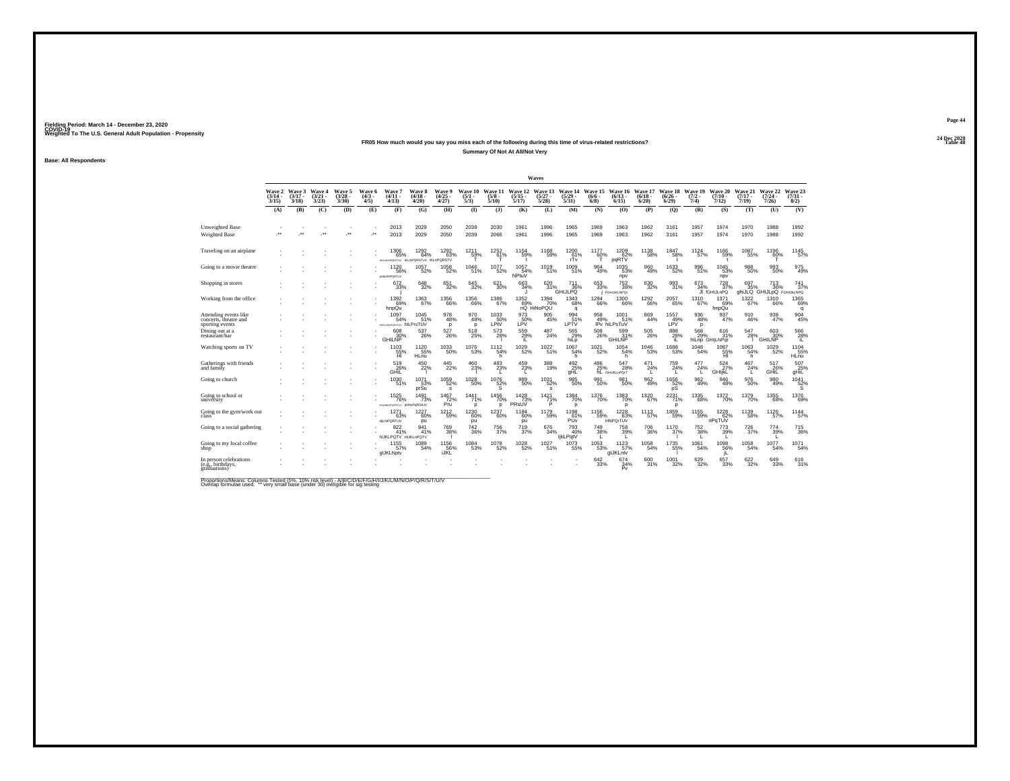## **24 Dec 2020FR05 How much would you say you miss each of the following during this time of virus-related restrictions?Summary Of Not At All/Not Very**

**Base: All Respondents**

|                                                                   |                                    |                             |                                 |                                |                              |                                                     |                                        |                                        |                                |                                 |                                  | <b>Waves</b>                         |                                                 |                                        |                                                         |                              |                                  |                                |                               |                              |                                              |                                         |
|-------------------------------------------------------------------|------------------------------------|-----------------------------|---------------------------------|--------------------------------|------------------------------|-----------------------------------------------------|----------------------------------------|----------------------------------------|--------------------------------|---------------------------------|----------------------------------|--------------------------------------|-------------------------------------------------|----------------------------------------|---------------------------------------------------------|------------------------------|----------------------------------|--------------------------------|-------------------------------|------------------------------|----------------------------------------------|-----------------------------------------|
|                                                                   | <b>Wave 2</b><br>$(3/14 -$<br>3/15 | Wave 3<br>$(3/17 -$<br>3/18 | Wave 4<br>$\frac{(3/21)}{3/23}$ | Wave 5<br>$\binom{3/28}{3/30}$ | Wave 6<br>$\binom{4/3}{4/5}$ | Wave 7<br>$(4/11 -$<br>4/13                         | <b>Wave 8</b><br>$\frac{(4/18)}{4/20}$ | <b>Wave 9</b><br>$\frac{(4/25)}{4/27}$ | Wave 10<br>$\frac{(5/1)}{5/3}$ | Wave 11<br>$\frac{(5/8)}{5/10}$ | Wave 12<br>$\frac{(5/15)}{5/17}$ | Wave 13<br>$\binom{5/27}{5/28}$      | $\frac{(5/29)}{5/31}$                           | Wave 14 Wave 15<br>$(6/6 -$<br>$6/8$ ) | Wave 16<br>$(6/13 -$<br>6/15                            | Wave 17<br>$(6/18 -$<br>6/20 | Wave 18<br>$\frac{(6/26)}{6/29}$ | Wave 19<br>$\frac{(7/2)}{7/4}$ | Wave 20<br>$(7/10 -$<br>7/12  | Wave 21<br>$(7/17 -$<br>7/19 | Wave 22<br>$\frac{(7/24 - 7)}{7/26}$         | Wave 23<br>$(7/31 -$<br>8/2)            |
|                                                                   | (A)                                | (B)                         | (C)                             | (D)                            | (E)                          | (F)                                                 | (G)                                    | (H)                                    | $\Phi$                         | $\mathbf{I}$                    | (K)                              | (L)                                  | (M)                                             | (N)                                    | (0)                                                     | (P)                          | (O)                              | (R)                            | (S)                           | (T)                          | (U)                                          | (V)                                     |
| Unweighted Base<br>Weighted Base                                  | $\ddot{\phantom{0}}$               | $\cdot$                     | $\cdot$                         | $\overline{\phantom{a}}$       | $\cdot$                      | 2013<br>2013                                        | 2029<br>2029                           | 2050<br>2050                           | 2039<br>2039                   | 2030<br>2066                    | 1961<br>1961                     | 1996<br>1996                         | 1965<br>1965                                    | 1969<br>1969                           | 1963<br>1963                                            | 1962<br>1962                 | 3161<br>3161                     | 1957<br>1957                   | 1974<br>1974                  | 1970<br>1970                 | 1988<br>1988                                 | 1992<br>1992                            |
| Traveling on an airplane                                          |                                    |                             |                                 |                                |                              | 1306<br>65%<br>UKLANGPORSTUV IKLNPORSTUV IKLnPORSTV | 1292<br>64%                            | 1292<br>63%                            | 1211<br>59%                    | 1252<br>61%                     | 1154<br>59%                      | 1168<br>59%                          | 1200<br>$\frac{61}{rTv}$                        | 1177<br>60%                            | 1209<br>62%<br>pqRTV                                    | 1138<br>58%                  | 1847<br>58%<br>$\mathbf{r}$      | 1124<br>57%                    | 1166<br>59%                   | 1087<br>55%                  | 1196<br>60%                                  | 1145<br>57%                             |
| Going to a movie theatre                                          |                                    |                             |                                 |                                |                              | 1120<br>56%<br><b>CHILMAPORTUV</b>                  | $^{1057}_{-52\%}$                      | $^{1058}_{-52\%}$                      | 1046<br>51%                    | $^{1077}_{-52\%}$               | $1057$<br>$54\%$<br>NPtuV        | 1019<br>51%                          | 1009<br>51%                                     | 964<br>49%                             | 1035<br>53%<br>npv                                      | 960<br>49%                   | 1633<br>52%                      | $^{996}_{51\%}$                | $1045$<br>53%<br>npv          | $^{988}_{50\%}$              | 993<br>50%                                   | 975<br>49%                              |
| Shopping in stores                                                |                                    |                             |                                 |                                |                              | $672 \atop 33\%$                                    | 648<br>32%                             | $\substack{651 \\ 32\%}$               | 645<br>32%                     | 621<br>30%                      | 663<br>34%                       | 620 31%                              | <sup>711</sup> <sub>36%</sub><br><b>GHIJLPQ</b> | 653<br>33%                             | $^{752}_{38\%}$<br><b>FGHIJKLNPOr</b>                   | 630<br>32%                   | 993<br>31%                       | $673 \atop 34\%$               | 728<br>JI fGHIJLnPQ           | 697<br>35%                   | $^{713}_{36\%}$<br>ahiJLQ GHIJLDQ FGHIJKLNPQ | 741<br>37%                              |
| Working from the office                                           |                                    |                             |                                 |                                |                              | 1392<br>69%<br>hnpQu                                | 1363<br>67%                            | 1356<br>66%                            | 1356<br>66%                    | 1386<br>67%                     | 1352                             | 1394<br>69% 70%<br>nQ HiNoPQU<br>70% | 1343<br>68%<br>q                                | <sup>1294</sup> 66%                    | 1300<br>66%                                             | 1292<br>66%                  | 2057<br>65%                      | 1310<br>67%                    | 1371<br>69%<br>hnpQu          | $\frac{1322}{67\%}$          | 1310<br>66%                                  | 1365<br>69%<br>q                        |
| Attending events like<br>concerts, theatre and<br>sporting events |                                    |                             |                                 |                                |                              | 1097<br>54%<br>HURANGPORSTUV hILPrsTUV              | 1045<br>51%                            | 978<br>48%<br>p                        | $\substack{970 \\ 48\%}$<br>p  | 1033<br>50%<br>LPtV             | 973<br>50%<br>LPV                | $\frac{905}{45\%}$                   | 994<br>51%<br>LPTV                              | 958<br>49%                             | $^{1001}_{51\%}$<br>IPv hiLPsTuV                        | 869<br>44%                   | $\frac{1557}{49\%}$<br>I PV      | $\frac{936}{48\%}$<br>P        | $\frac{937}{47\%}$            | 910<br>46%                   | $\frac{938}{47\%}$                           | 904<br>45%                              |
| Dining out at a<br>restaurant/bar                                 |                                    |                             |                                 |                                |                              | 608<br>30%<br>GHII NP                               | $^{537}_{26\%}$                        | $^{527}_{26\%}$                        | $^{518}_{25\%}$                | $^{573}_{28\%}$                 | 559<br>29%<br>iL                 | 487<br>24%                           | 565<br>29%<br>hiLp                              | 508<br>26%                             | 599<br>31%<br><b>GHILNP</b>                             | 505<br>26%                   | $\frac{888}{28\%}$               | 568                            | 616<br>31%<br>hiLnp GHIjLNPqt | 547<br>28%                   | 603<br>30%<br><b>GHILNP</b>                  | $^{566}_{\hphantom{528\%}}\phantom{00}$ |
| Watching sports on TV                                             |                                    |                             |                                 |                                |                              | 1103<br>55%<br>ΉĪ                                   | 1120<br>55%<br>HLnu                    | $^{1033}_{-50\%}$                      | 1076<br>53%                    | 1112<br>54%<br>h                | 1029<br>52%                      | $\frac{1022}{51\%}$                  | 1067<br>54%<br>h.                               | $1021$<br>$52\%$                       | $1054$<br>$54\%$<br>h                                   | 1046<br>53%                  | 1688<br>53%                      | $\frac{1048}{54\%}$            | 1087<br>55%<br>Ήì             | $^{1063}_{-54\%}$<br>h       | 1029<br>52%                                  | 1104<br>55%<br>HLnu                     |
| Gatherings with friends<br>and family                             |                                    |                             |                                 |                                |                              | $^{519}_{26\%}$                                     | $^{450}_{22\%}$                        | $^{445}_{22\%}$                        | 460<br>23%                     | $^{483}_{-23\%}$                | $^{459}_{23\%}$                  | $\frac{388}{19\%}$                   | $\underset{\text{gHL}}{^{492}}$                 |                                        | 486 547<br>25% 28% hL GHIJKLnPQrT<br>$\frac{547}{28\%}$ | $^{471}_{24\%}$              | $^{759}_{24\%}$                  | 477<br>24%                     | 524<br>GHIjkL <sup>27%</sup>  | $^{467}_{\phantom{4}24\%}$   | 517<br>26%<br>GHIL                           | $\frac{507}{9}$ HiL                     |
| Going to church                                                   |                                    |                             |                                 |                                |                              | 1030<br>51%                                         | 1071<br>53%<br>prSu                    | 1059<br>52%<br>s                       | 1028<br>50%                    | 1076<br>$\frac{52}{S}$          | 989<br>50%                       | 1031<br>52%<br>s                     | 985<br>50%                                      | 991<br>50%                             | 981<br>50%                                              | 962<br>49%                   | 1656<br>52%                      | 962<br>49%                     | 946<br>48%                    | 976<br>50%                   | 980<br>49%                                   | 1041<br>$\frac{52}{5}$ %                |
| Going to school or<br>university                                  |                                    |                             |                                 |                                |                              | <sup>1525</sup> 76%<br>HULMNOPORSTUV                | $\frac{1491}{73\%}$<br>imNoPoRStUV     | $\frac{1467}{72\%}$<br>Pru             | 1441%<br>p                     | 1456<br>$\mathbf{D}$            | $\frac{1428}{73\%}$<br>PRsUV     | $1421$<br>$71%$<br>P                 | 1384<br>70%<br>D                                | <sup>1376</sup> 70%                    | 1383<br>70%<br>p                                        | 1320<br>67%                  | 2231%<br>D                       | $^{1335}_{\  \  \, 68\%}$      | 1372<br>70%                   | 1379<br>70%                  | $^{1355}_{68\%}$                             | 1376<br>69%                             |
| Going to the gym/work out                                         |                                    |                             |                                 |                                |                              | 1271<br>63%<br><b>HILNPORTUV</b>                    | 1227<br>60%<br>pu                      | 1212<br>59%                            | 1230<br>60%<br>pu              | 1237<br>60%                     | 1184<br>60%<br>pu                | 1179<br>59%                          | 1198<br>61%<br>PU <sub>V</sub>                  | $^{1156}_{-59\%}$                      | $1228$<br>63%<br>hINPOrTUV                              | 1113<br>57%                  | 1859<br>59%                      | 1155<br>59%                    | $1228$<br>$-62%$<br>nPaTUV    | 1139<br>58%                  | 1126<br>57%                                  | 1144<br>57%                             |
| Going to a social gathering                                       |                                    |                             |                                 |                                |                              | 822 41%<br><b>NUKLPOTV HUKLAPOTV</b>                | 841<br>41%                             | <sup>769</sup> <sub>38%</sub>          | $\substack{742\\36\%}$         | 756<br>37%                      | 719<br>37%                       | 676<br>34%                           | 793<br>40%<br>ljkLPqtV                          | $\substack{749\\38\%}$                 | <sup>758</sup> <sub>39%</sub>                           | 706<br>36%                   | $^{1170}_{37\%}$                 | $^{752}_{38\%}$                | 773<br>39%                    | 726<br>37%                   | 774<br>39%                                   | 715<br>36%                              |
| Going to my local coffee<br>shop'                                 |                                    |                             |                                 |                                |                              | $1155$<br>57%<br>alJKLNptv                          | 1089<br>54%                            | 1156<br>56%<br>iJKL                    | $\substack{1084 \\ 53\%}$      | $^{1078}_{-52\%}$               | 1028<br>52%                      | $1027 \atop 51\%$                    | 1073<br>55%                                     | $\underset{53\%}{^{1053}}$             | 1123<br>57%<br>alJKLntv                                 | $^{1058}_{-54\%}$            | 1735<br>55%                      | $^{1061}_{-54\%}$              | 1098<br>56%                   | $^{1058}_{-54\%}$            | $1077 \atop 54\%$                            | 1071<br>54%                             |
| In person celebrations<br>(e.g., birthdays,<br>graduations)       |                                    |                             |                                 |                                |                              |                                                     |                                        |                                        |                                |                                 |                                  |                                      |                                                 | 642<br>33%                             | 674<br>34%<br>Ρv                                        | 600<br>31%                   | 1001<br>32%                      | 629<br>32%                     | 657<br>33%                    | 622<br>32%                   | 649<br>33%                                   | 616<br>31%                              |

Proportions/Means: Columns Tested (5%, 10% risk level) - A/B/C/D/E/F/G/H/I/J/K/L/M/N/O/P/Q/R/S/T/U/V<br>Overlap formulae used. \*\* very small base (under 30) ineligible for sig testing

**Page 4424 Dec 2020<br>Table 48** 

**Table 48 Table 48**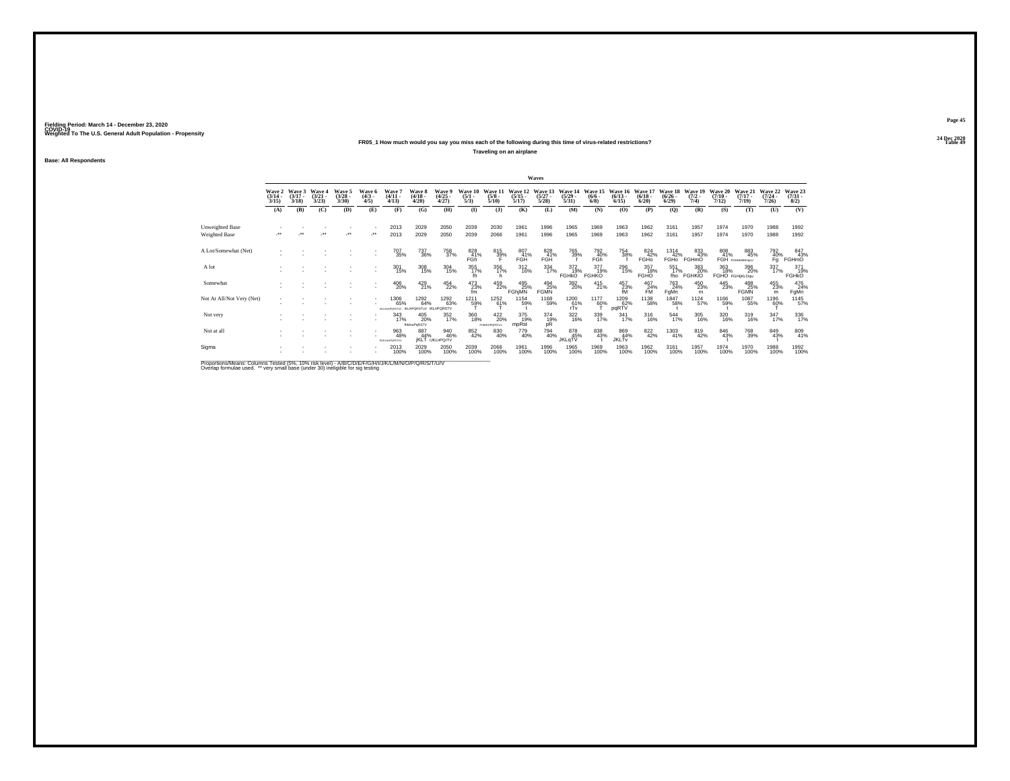### **24 Dec 2020FR05\_1 How much would you say you miss each of the following during this time of virus-related restrictions?**

**Traveling on an airplane**

**Base: All Respondents**

|                                                                                                        |                                 |                                 |                                 |                                 |                               |                                                |                                  |                                      |                                |                                 |                                  | Waves                            |                                  |                                |                                  |                                  |                                    |                                |                                  |                                  |                                  |                                |
|--------------------------------------------------------------------------------------------------------|---------------------------------|---------------------------------|---------------------------------|---------------------------------|-------------------------------|------------------------------------------------|----------------------------------|--------------------------------------|--------------------------------|---------------------------------|----------------------------------|----------------------------------|----------------------------------|--------------------------------|----------------------------------|----------------------------------|------------------------------------|--------------------------------|----------------------------------|----------------------------------|----------------------------------|--------------------------------|
|                                                                                                        | Wave 2<br>$\frac{(3/14)}{3/15}$ | Wave 3<br>$\frac{(3/17)}{3/18}$ | Wave 4<br>$\frac{(3/21)}{3/23}$ | Wave 5<br>$\frac{(3/28)}{3/30}$ | Wave 6<br>$\frac{(4/3)}{4/5}$ | Wave 7<br>$\frac{(4/11)}{4/13}$                | Wave 8<br>$\frac{(4/18)}{4/20}$  | Wave 9<br>$\binom{4/25}{4/27}$       | Wave 10<br>$\frac{(5/1)}{5/3}$ | Wave 1<br>$\frac{(5/8)}{5/10}$  | Wave 12<br>$\frac{(5/15)}{5/17}$ | Wave 13<br>$\frac{(5/27)}{5/28}$ | Wave 14<br>$\frac{(5/29)}{5/31}$ | Wave 15<br>$\frac{(6/6)}{6/8}$ | Wave 16<br>$\frac{(6/13)}{6/15}$ | Wave 17<br>$\frac{(6/18)}{6/20}$ | Wave 18<br>$\frac{(6/26)}{(6/29)}$ | Wave 19<br>$\frac{(7/2)}{7/4}$ | Wave 20<br>$\frac{(7/10)}{7/12}$ | Wave 21<br>$\frac{(7/17)}{7/19}$ | Wave 22<br>$\frac{(7/24)}{7/26}$ | Wave 23<br>$\binom{7/31}{8/2}$ |
|                                                                                                        | (A)                             | (B)                             | (C)                             | (D)                             | (E)                           | (F)                                            | (G)                              | (H)                                  | $\bf (I)$                      | $($ $)$                         | (K)                              | (L)                              | (M)                              | (N)                            | (O)                              | (P)                              | (Q)                                | (R)                            | (S)                              | (T)                              | (U)                              | (V)                            |
| Unweighted Base                                                                                        |                                 |                                 |                                 |                                 |                               | 2013                                           | 2029                             | 2050                                 | 2039                           | 2030                            | 1961                             | 1996                             | 1965                             | 1969                           | 1963                             | 1962                             | 3161                               | 1957                           | 1974                             | 1970                             | 1988                             | 1992                           |
| Weighted Base                                                                                          |                                 |                                 |                                 | ÷                               |                               | 2013                                           | 2029                             | 2050                                 | 2039                           | 2066                            | 1961                             | 1996                             | 1965                             | 1969                           | 1963                             | 1962                             | 3161                               | 1957                           | 1974                             | 1970                             | 1988                             | 1992                           |
| A Lot/Somewhat (Net)                                                                                   |                                 |                                 |                                 |                                 |                               | 707<br>35%                                     | 737<br>36%                       | 758<br>37%                           | 828<br>41%<br>FGh              | 815<br>39%                      | 807<br>41%<br>FGH                | 828<br>41%<br>FGH                | 765<br>39%                       | 792<br>40%<br>FGh <sup>1</sup> | 754<br>38%                       | 824<br>42%<br>FGHo               | 1314<br>42%<br>FGH <sub>0</sub>    | 833<br>43%<br>FGHmO            | 808<br>41%                       | 883<br>45%<br>FGH FGHUMNOSU      | 792<br>$\frac{40}{9}$            | 847<br>43%<br>FGHmO            |
| A lot                                                                                                  |                                 |                                 |                                 |                                 |                               | 301<br>15%                                     | 308<br>15%                       | $\frac{304}{15\%}$                   | 355<br>17%                     | 356<br>17%                      | $^{312}_{16\%}$                  | $\frac{334}{17\%}$               | 372 19%<br><b>FGHKO</b>          | 377<br>19%<br><b>FGHKO</b>     | 296<br>15%                       | 357<br>18%<br>FGHO               | 551<br>17%<br>fho                  | 383<br>20%<br><b>FGHKIO</b>    | 363<br>18%                       | 396<br>20%<br>FGHO FGHijKLOqu    | 337/17%                          | 371<br>19%<br><b>FGHKO</b>     |
| Somewhat                                                                                               |                                 |                                 |                                 |                                 |                               | 406<br>20%                                     | 429<br>21%                       | 454<br>22%                           | 473<br>23%<br>fm               | 459<br>22%                      | 495<br>25%<br><b>FGhjMN</b>      | 494<br>25%<br><b>FGMN</b>        | 392<br>20%                       | $^{415}_{21\%}$                | $^{457}_{23\%}$                  | $^{467}_{24\%}$ FM               | 763<br>24%<br>FgMn                 | 450<br>23%<br>m                | 445<br>23%                       | 488<br><b>FGMN</b>               | 455<br>23%<br>m                  | 476<br>24%<br>FgMn             |
| Not At All/Not Very (Net)                                                                              |                                 |                                 |                                 |                                 |                               | 1306<br>65%<br><b>IN ANONETH IKI NPORSTIAL</b> | 1292<br>64%                      | 1292<br>63%<br><b>IKLOPORSTV</b>     | 1211<br>59%                    | 1252<br>61%                     | 1154<br>59%                      | 1168<br>59%                      | 1200<br>$\frac{61}{rTv}$         | 1177<br>60%                    | 1209<br>62%<br>pqRTV             | 1138<br>58%                      | 1847<br>58%                        | 1124<br>57%                    | 1166<br>59%                      | 1087<br>55%                      | 1196<br>60%                      | 1145<br>57%                    |
| Not very                                                                                               |                                 |                                 |                                 |                                 |                               | 343<br>17%                                     | 405<br>20%<br><b>thMnoPoRSTV</b> | 352<br>17%                           | 360<br>18%                     | $^{422}_{20\%}$<br>PHMNOPORSTWV | 375<br>19%<br>mpRst              | 374<br>19%<br>pŘ                 | $\frac{322}{16\%}$               | 339<br>17%                     | $341$<br>17%                     | 316<br>16%                       | 544<br>17%                         | 305<br>16%                     | 320<br>16%                       | 319<br>16%                       | 347<br>17%                       | 336                            |
| Not at all                                                                                             |                                 |                                 |                                 |                                 |                               | 963<br>48%<br><b>GUILN</b> EPORSTU             | 887<br>44%                       | 940<br>46%<br><b>IKLT</b> IJKLnPOrTV | 852<br>42%                     | 830<br>40%                      | 779<br>40%                       | 794<br>40%                       | 878<br>45%<br>JKLqTV             | 838<br>43%                     | 869<br>44%<br><b>JKLTv</b>       | 822 42%                          | 1303<br>41%                        | 819<br>42%                     | 846<br>43%                       | <sup>768</sup> 39%               | 849<br>43%                       | 809<br>41%                     |
| Sigma                                                                                                  |                                 |                                 |                                 |                                 |                               | 2013<br>100%                                   | 2029<br>100%                     | 2050<br>100%                         | 2039<br>100%                   | 2066<br>100%                    | 1961<br>100%                     | 1996<br>100%                     | 1965<br>100%                     | 1969<br>100%                   | 1963<br>100%                     | 1962<br>100%                     | 3161<br>100%                       | 1957<br>100%                   | 1974<br>100%                     | 1970<br>100%                     | 1988<br>100%                     | 1992<br>100%                   |
| <b>Bronoriona Magne: Columna Tested (59/ 109/ riok love)) AIBIC/DIE/C/NJ/U/AI/MAJ/O/D/O/D/C/T/U/L/</b> |                                 |                                 |                                 |                                 |                               |                                                |                                  |                                      |                                |                                 |                                  |                                  |                                  |                                |                                  |                                  |                                    |                                |                                  |                                  |                                  |                                |

Proportions/Means: Columns Tested (5%, 10% risk level) - A/B/C/D/E/F/G/H/I/J/K/L/M/N/O/P/Q/R/S/T/U/V<br>Overlap formulae used. \*\* very small base (under 30) ineligible for sig testing

**Page 45**24 Dec 2020<br>Table 49

**Table 49 Table 49**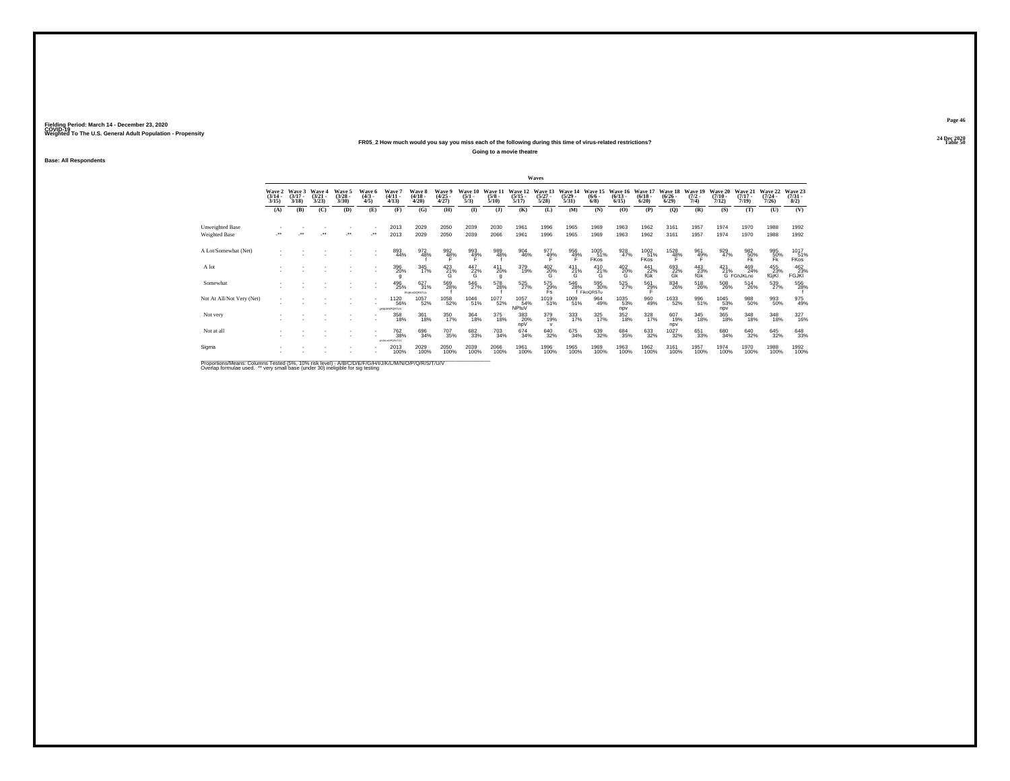### **24 Dec 2020FR05\_2 How much would you say you miss each of the following during this time of virus-related restrictions?**

**Going to a movie theatre**

**Base: All Respondents**

|                                                                                                       |                                 |                                 |                                 |                                |                              |                                                |                                        |                                |                                |                                 |                                  | Waves                           |                                  |                               |                                 |                                 |                                      |                             |                                  |                              |                                         |                                |
|-------------------------------------------------------------------------------------------------------|---------------------------------|---------------------------------|---------------------------------|--------------------------------|------------------------------|------------------------------------------------|----------------------------------------|--------------------------------|--------------------------------|---------------------------------|----------------------------------|---------------------------------|----------------------------------|-------------------------------|---------------------------------|---------------------------------|--------------------------------------|-----------------------------|----------------------------------|------------------------------|-----------------------------------------|--------------------------------|
|                                                                                                       | Wave 2<br>$\frac{(3/14)}{3/15}$ | Wave 3<br>$\frac{(3/17)}{3/18}$ | Wave 4<br>$\frac{(3/21)}{3/23}$ | Wave 5<br>$\binom{3/28}{3/30}$ | Wave 6<br>$\binom{4/3}{4/5}$ | Wave <sup>*</sup><br>$(4/11 -$<br>4/13         | Wave 8<br>$\frac{(4/18 - 4/28)}{4/20}$ | Wave 9<br>$\binom{4/25}{4/27}$ | Wave 10<br>$\frac{(5/1)}{5/3}$ | Wave 11<br>$\frac{(5/8)}{5/10}$ | Wave 12<br>$\frac{(5/15)}{5/17}$ | Wave 13<br>$\binom{5/27}{5/28}$ | Wave 14<br>$\frac{(5/29)}{5/31}$ | Wave 15<br>$\binom{6/6}{6/8}$ | Wave 16<br>$\binom{6/13}{6/15}$ | Wave 17<br>$\binom{6/18}{6/20}$ | Wave 18<br>$\frac{(6/26 - 6)}{6/29}$ | Wave 19<br>$(7/2 -$<br>7/4) | Wave 20<br>$\frac{(7/10)}{7/12}$ | Wave 21<br>$(7/17 -$<br>7/19 | Wave 22<br>$\frac{(7/24 - 7/26)}{7/26}$ | Wave 23<br>$\binom{7/31}{8/2}$ |
|                                                                                                       | (A)                             | (B)                             | (C)                             | (D)                            | (E)                          | (F)                                            | (G)                                    | (H)                            | $\bf{I}$                       | $\mathbf{I}$                    | (K)                              | (L)                             | (M)                              | (N)                           | (O)                             | (P)                             | (Q)                                  | (R)                         | (S)                              | (T)                          | (U)                                     | (V)                            |
| Unweighted Base                                                                                       |                                 |                                 |                                 |                                |                              | 2013                                           | 2029                                   | 2050                           | 2039                           | 2030                            | 1961                             | 1996                            | 1965                             | 1969                          | 1963                            | 1962                            | 3161                                 | 1957                        | 1974                             | 1970                         | 1988                                    | 1992                           |
| Weighted Base                                                                                         |                                 |                                 | $\bullet\bullet$                | $\bullet\,\bullet$             | ٠.                           | 2013                                           | 2029                                   | 2050                           | 2039                           | 2066                            | 1961                             | 1996                            | 1965                             | 1969                          | 1963                            | 1962                            | 3161                                 | 1957                        | 1974                             | 1970                         | 1988                                    | 1992                           |
| A Lot/Somewhat (Net)                                                                                  |                                 |                                 |                                 |                                |                              | 893<br>44%                                     | 972<br>48%                             | 992<br>48%                     | 993<br>49%                     | 989<br>48%                      | 904<br>46%                       | 977<br>49%                      | 956<br>49%                       | 1005<br>51%<br><b>FKos</b>    | 928<br>47%                      | 1002<br>51%<br>FKos             | 1528<br>48%                          | 961<br>49%                  | 929<br>47%                       | 982<br>$\frac{50}{5}$        | 995<br>50%                              | 1017<br>51%<br>FKos            |
| A lot                                                                                                 |                                 |                                 |                                 |                                |                              | 396<br>20%                                     | 345<br>17%                             | 423<br>G                       | 447<br>22%<br>G                | $^{411}_{20\%}$<br>q            | 379<br>19%                       | 402<br>20%<br>G                 | $^{411}_{21\%}$<br>G             | 410<br>21%<br>G               | 402<br>20%<br>G                 | 441<br>22%<br>fGk               | 693<br>22%<br>Gk                     | 443<br>23%<br>fGk           | $^{421}_{21\%}$                  | 469<br>24%<br>G FGhJKLno     | 455<br>23%<br>fGjKl                     | 462<br>23%<br><b>FGJKI</b>     |
| Somewhat                                                                                              |                                 |                                 |                                 |                                |                              | 496<br>25%                                     | 627<br>31%<br><b>FNIKHOORSTUV</b>      | 569<br>28%                     | 546<br>27%                     | 578<br>28%                      | 525<br>27%                       | 575<br>29%<br>Fs                | 546<br>28%                       | 595<br>30%<br>FikoQRSTu       | 525<br>27%                      | $^{561}_{29\%}$                 | 834<br>26%                           | 518<br>26%                  | 508<br>26%                       | $^{514}_{26\%}$              | 539<br>27%                              | 556                            |
| Not At All/Not Very (Net)                                                                             |                                 |                                 |                                 |                                |                              | 1120<br>56%<br>entamportuv                     | 1057<br>52%                            | 1058<br>52%                    | 1046<br>51%                    | 1077<br>52%                     | 1057<br>54%<br>NPtuV             | 1019<br>51%                     | 1009<br>51%                      | $\frac{964}{49\%}$            | 1035<br>53%<br>npv              | 960<br>49%                      | 1633<br>52%                          | 996<br>51%                  | 1045<br>53%<br>npv               | 988<br>50%                   | 993<br>50%                              | 975<br>49%                     |
| Not very                                                                                              |                                 |                                 |                                 |                                |                              | 358<br>18%                                     | 361<br>18%                             | 350<br>17%                     | 364<br>18%                     | 375<br>18%                      | 383<br>20%<br>npV                | 379<br>19%                      | 333<br>17%                       | 325 17%                       | 352<br>18%                      | $\frac{328}{17\%}$              | 607<br>19%<br>npv                    | 345<br>18%                  | 365<br>18%                       | 348<br>18%                   | 348<br>18%                              | 327<br>16%                     |
| Not at all                                                                                            |                                 |                                 |                                 |                                |                              | <sup>762</sup> <sub>38%</sub><br>AN MARCORITIS | 696<br>34%                             | <sup>707</sup> 35%             | 682<br>33%                     | $^{703}_{34\%}$                 | 674<br>34%                       | 640<br>32%                      | 675<br>34%                       | 639<br>32%                    | 684<br>35%                      | 633<br>32%                      | 1027<br>32%                          | 651<br>33%                  | 680<br>34%                       | 640<br>32%                   | 645<br>32%                              | 648<br>33%                     |
| Sigma                                                                                                 |                                 |                                 |                                 |                                |                              | 2013<br>100%                                   | 2029<br>100%                           | 2050<br>100%                   | 2039<br>100%                   | 2066<br>100%                    | 1961<br>100%                     | 1996<br>100%                    | 1965<br>100%                     | 1969<br>100%                  | 1963<br>100%                    | 1962<br>100%                    | 3161<br>100%                         | 1957<br>100%                | 1974<br>100%                     | 1970<br>100%                 | 1988<br>100%                            | 1992<br>100%                   |
| Proportions/Means: Columns Tested (5%, 10% risk level) - A/R/C/D/F/F/G/H/J/J/K/L/M/N/O/P/O/R/S/T/LI/V |                                 |                                 |                                 |                                |                              |                                                |                                        |                                |                                |                                 |                                  |                                 |                                  |                               |                                 |                                 |                                      |                             |                                  |                              |                                         |                                |

Proportions/Means: Columns Tested (5%, 10% risk level) - A/B/C/D/E/F/G/H/I/J/K/L/M/N/O/P/Q/R/S/T/U/V<br>Overlap formulae used. \*\* very small base (under 30) ineligible for sig testing

**Page 46**24 Dec 2020<br>Table 50

**Table 50 Table 50**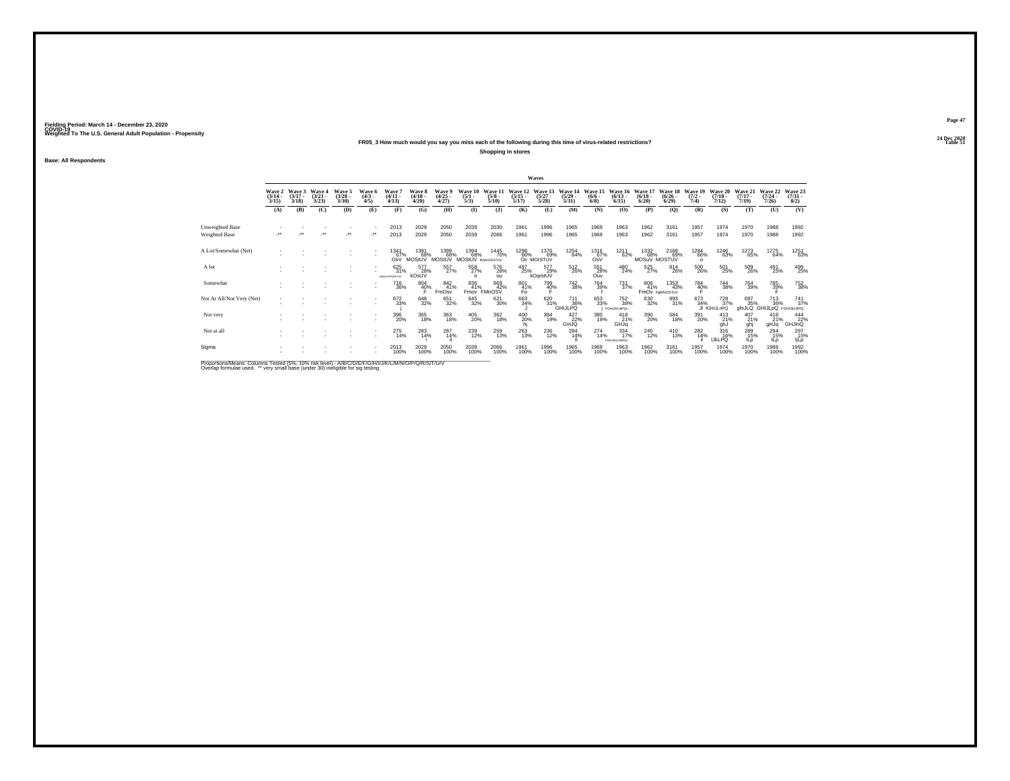### **24 Dec 2020FR05\_3 How much would you say you miss each of the following during this time of virus-related restrictions?**

**Shopping in stores**

**Base: All Respondents**

|                                                                                                              |                                 |                             |                                 |                                 |                              |                                   |                                 |                                     |                                  |                                 |                           | Waves                            |                                  |                                |                                  |                                  |                                      |                                |                                               |                                  |                                  |                                 |
|--------------------------------------------------------------------------------------------------------------|---------------------------------|-----------------------------|---------------------------------|---------------------------------|------------------------------|-----------------------------------|---------------------------------|-------------------------------------|----------------------------------|---------------------------------|---------------------------|----------------------------------|----------------------------------|--------------------------------|----------------------------------|----------------------------------|--------------------------------------|--------------------------------|-----------------------------------------------|----------------------------------|----------------------------------|---------------------------------|
|                                                                                                              | Wave 2<br>$\frac{(3/14)}{3/15}$ | Wave 3<br>$(3/17 -$<br>3/18 | Wave 4<br>$\frac{(3/21)}{3/23}$ | Wave 5<br>$\frac{(3/28)}{3/30}$ | Wave 6<br>$\binom{4/3}{4/5}$ | Wave 7<br>$\frac{(4/11)}{4/13}$   | Wave 8<br>$\frac{(4/18)}{4/20}$ | Wave 9<br>$\frac{(4/25 - 4)}{4/27}$ | Wave 10<br>$\frac{(5/1)}{5/3}$   | Wave 11<br>$\frac{(5/8)}{5/10}$ | Wave 12<br>$\frac{5}{17}$ | Wave 13<br>$\frac{(5/27)}{5/28}$ | Wave 14<br>$\frac{(5/29)}{5/31}$ | Wave 15<br>$\frac{(6/6)}{6/8}$ | Wave 16<br>$\binom{6/13}{6/15}$  | Wave 17<br>$\frac{(6/18)}{6/20}$ | Wave 18<br>$\binom{6/26}{6/29}$      | Wave 19<br>$\frac{(7/2)}{7/4}$ | Wave 20<br>$\frac{(7/10)}{7/12}$              | Wave 21<br>$\frac{(7/17)}{7/19}$ | Wave 22<br>$\frac{(7/24)}{7/26}$ | Wave 23<br>$\binom{7/31}{8/2}$  |
|                                                                                                              | (A)                             | (B)                         | (C)                             | (D)                             | (E)                          | (F)                               | (G)                             | (H)                                 | $\bf{I}$                         | (1)                             | (K)                       | (L)                              | (M)                              | (N)                            | (O)                              | (P)                              | $\mathbf{Q}$                         | (R)                            | (S)                                           | (T)                              | (U)                              | (V)                             |
| Unweighted Base                                                                                              |                                 |                             |                                 |                                 | ٠                            | 2013                              | 2029                            | 2050                                | 2039                             | 2030                            | 1961                      | 1996                             | 1965                             | 1969                           | 1963                             | 1962                             | 3161                                 | 1957                           | 1974                                          | 1970                             | 1988                             | 1992                            |
| Weighted Base                                                                                                |                                 |                             |                                 | $\ddot{\phantom{0}}$            | ٠.                           | 2013                              | 2029                            | 2050                                | 2039                             | 2066                            | 1961                      | 1996                             | 1965                             | 1969                           | 1963                             | 1962                             | 3161                                 | 1957                           | 1974                                          | 1970                             | 1988                             | 1992                            |
| A Lot/Somewhat (Net)                                                                                         |                                 |                             |                                 |                                 |                              | 1341<br>OsV                       | 1381<br>MOStUV                  | 1399<br>68%<br>MOStUV               | 1394<br>68%<br>MOStUV framorsTuv | 1445<br>70%                     | 1298<br>66%               | 1376<br>69%<br>Ov MOrSTUV        | 1254<br>64%                      | 1316<br>67%<br>OsV             | 1211<br>62%                      | 1332<br>68%<br>MOSuV MOSTUV      | 2168<br>69%                          | 1284<br>66%<br>$\Omega$        | 1246<br>63%                                   | 1273<br>65%                      | 1275<br>64%                      | 1251<br>63%                     |
| A lot                                                                                                        |                                 |                             |                                 |                                 |                              | 625<br>31%<br><b>HIKMOPORSTUV</b> | 577<br>28%<br>kOsUV             | 557%                                | 558<br>27%<br>$\Omega$           | 576<br>28%<br>ou                | 497<br>25%                | 577<br>29%<br>kOqrstUV           | $^{512}_{26\%}$                  | 551<br>28%<br>Ouv              | 480<br>24%                       | 525<br>27%                       | 814<br>26%                           | $^{500}_{\,26\%}$              | $^{501}_{25\%}$                               | 509<br>26%                       | 491<br>25%                       | 499<br>25%                      |
| Somewhat                                                                                                     |                                 |                             |                                 |                                 | ٠                            | <sup>716</sup> 36%                | 804<br>40%                      | $\frac{842}{41\%}$<br>FmOsv         | 836<br>41%<br>Fmov               | 869<br>42%<br>FMnOSV            | 801<br>41%<br>Fo          | 799<br>40%                       | <sup>742</sup> 38%               | 764<br>39%                     | <sup>731</sup> 37%               | 806<br>41%                       | 1353<br>43%<br><b>FMOV FOMNOSTUV</b> | 784<br>40%                     | <sup>744</sup> 38%                            | $\substack{764 \\ 39\%}$         | 785<br>39%                       | <sup>752</sup> <sub>38%</sub>   |
| Not At All/Not Very (Net)                                                                                    |                                 |                             |                                 |                                 | ٠                            | 672<br>33%                        | 648<br>32%                      | 651<br>32%                          | 645<br>32%                       | 621<br>30%                      | 663<br>34%                |                                  | 620<br>31%<br>GHIJLPQ            | 653<br>33%                     | 752<br>38%<br><b>FGHIJKLNPOr</b> | 630<br>32%                       | 993<br>31%                           | 673<br>34%                     | <sup>728</sup> <sub>37%</sub><br>JI fGHIJLnPQ | 697<br>35%<br>ghiJLQ GHIJLpQ     | 713<br>36%                       | 741<br>37%<br><b>FGHIJKLNPQ</b> |
| Not very                                                                                                     |                                 |                             |                                 |                                 | ٠                            | $^{396}_{\,20\%}$                 | 365<br>18%                      | 363<br>18%                          | 405<br>20%                       | 362<br>18%                      | 400<br>20%                | 384<br>19%                       | 427<br>22%<br>GHJQ               | 380<br>19%                     | $^{418}_{21\%}$<br>GHJq          | 390<br>20%                       | 584<br>18%                           | 391<br>20%                     | $^{413}_{21\%}$<br>ghJ                        | 407<br>21%<br>ghj                | $^{418}_{21\%}$<br>pLHp          | 444<br>22%<br><b>GHJInQ</b>     |
| Not at all                                                                                                   |                                 |                             |                                 |                                 | ٠                            | 275<br>14%                        | 283<br>14%                      | $^{287}_{14\%}$                     | 239<br>12%                       | 259<br>13%                      | 263<br>13%                | <sup>236</sup> <sub>12%</sub>    | $^{284}_{14\%}$                  | $^{274}_{14\%}$                | 334<br>17%<br>FGHLKLmNPQr        | 240<br>12%                       | $^{410}_{13\%}$                      | $^{282}_{14\%}$                | 316%<br><b>IJKLPQ</b>                         | 289<br>15%<br>ILp                | 294<br>15%<br>lLp                | 297<br>15%<br>ljLp              |
| Sigma                                                                                                        |                                 |                             |                                 |                                 | ٠                            | 2013<br>100%                      | 2029<br>100%                    | 2050<br>100%                        | 2039<br>100%                     | 2066<br>100%                    | 1961<br>100%              | 1996<br>100%                     | 1965<br>100%                     | 1969<br>100%                   | 1963<br>100%                     | 1962<br>100%                     | 3161<br>100%                         | 1957<br>100%                   | 1974<br>100%                                  | 1970<br>100%                     | 1988<br>100%                     | 1992<br>100%                    |
| Bronortiona Magna: Columna Toptad (59/ - 109/ -riok Joyal) A IBIC IDIC IDIC NJIJI IM INJIO IDIO IDIC (TJIJI) |                                 |                             |                                 |                                 |                              |                                   |                                 |                                     |                                  |                                 |                           |                                  |                                  |                                |                                  |                                  |                                      |                                |                                               |                                  |                                  |                                 |

Proportions/Means: Columns Tested (5%, 10% risk level) - A/B/C/D/E/F/G/H/I/J/K/L/M/N/O/P/Q/R/S/T/U/V<br>Overlap formulae used. \*\* very small base (under 30) ineligible for sig testing

**Page 47**24 Dec 2020<br>Table 51

**Table 51 Table 51**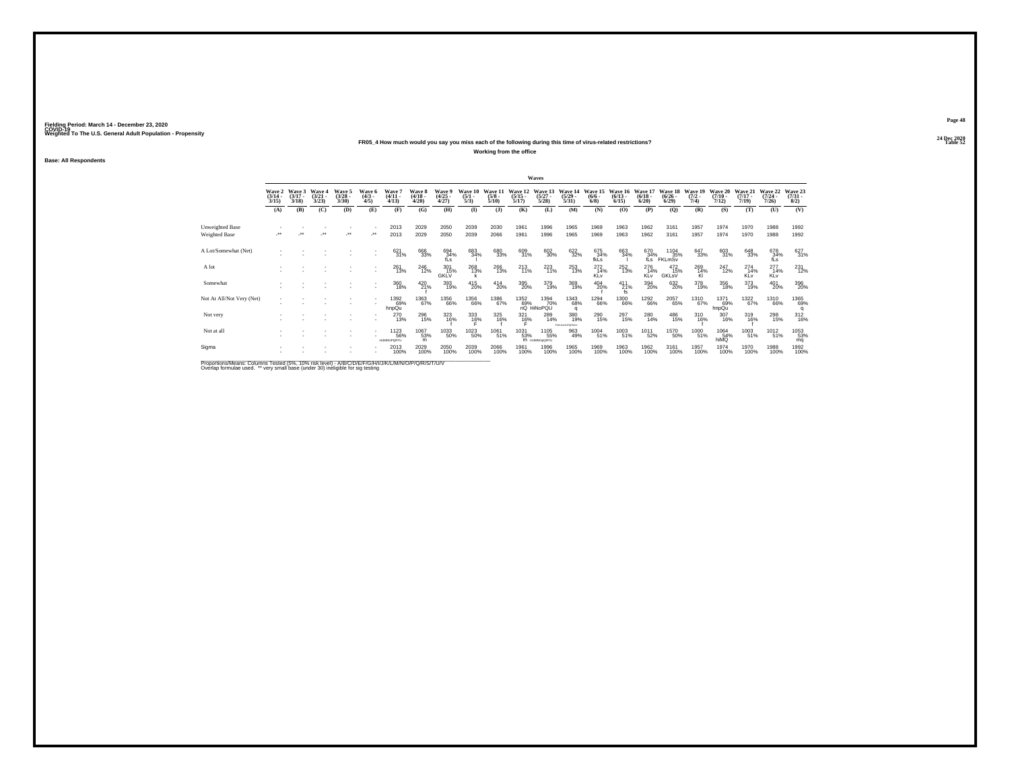### **24 Dec 2020FR05\_4 How much would you say you miss each of the following during this time of virus-related restrictions?**

**Working from the office**

**Base: All Respondents**

|                                                                                                             |                                 |                             |                                        |                                |                              |                                           |                                 |                                |                                |                                 |                                  | Waves                                            |                                  |                               |                                  |                                 |                                   |                                |                                  |                                  |                                  |                                |
|-------------------------------------------------------------------------------------------------------------|---------------------------------|-----------------------------|----------------------------------------|--------------------------------|------------------------------|-------------------------------------------|---------------------------------|--------------------------------|--------------------------------|---------------------------------|----------------------------------|--------------------------------------------------|----------------------------------|-------------------------------|----------------------------------|---------------------------------|-----------------------------------|--------------------------------|----------------------------------|----------------------------------|----------------------------------|--------------------------------|
|                                                                                                             | Wave 2<br>$\frac{(3/14)}{3/15}$ | Wave 3<br>$(3/17 -$<br>3/18 | <b>Wave 4</b><br>$\frac{(3/21)}{3/23}$ | Wave 5<br>$\binom{3/28}{3/30}$ | Wave 6<br>$\binom{4/3}{4/5}$ | Wave 7<br>$\frac{(4/11)}{4/13}$           | Wave 8<br>$\frac{(4/18)}{4/20}$ | Wave 9<br>$\binom{4/25}{4/27}$ | Wave 10<br>$\frac{(5/1)}{5/3}$ | Wave 11<br>$\frac{(5/8)}{5/10}$ | Wave 12<br>$\frac{(5/15)}{5/17}$ | Wave 13<br>$\frac{(5/27)}{5/28}$                 | Wave 14<br>$\frac{(5/29)}{5/31}$ | Wave 15<br>$\binom{6/6}{6/8}$ | Wave 16<br>$\frac{(6/13)}{6/15}$ | Wave 17<br>$\binom{6/18}{6/20}$ | Wave 18<br>$\frac{(6/26)}{6/29}$  | Wave 19<br>$\frac{(7/2)}{7/4}$ | Wave 20<br>$\frac{(7/10)}{7/12}$ | Wave 21<br>$\frac{(7/17)}{7/19}$ | Wave 22<br>$\frac{(7/24)}{7/26}$ | Wave 23<br>$\binom{7/31}{8/2}$ |
|                                                                                                             | (A)                             | (B)                         | (C)                                    | (D)                            | (E)                          | (F)                                       | (G)                             | (H)                            | $\bf(I)$                       | (1)                             | (K)                              | (L)                                              | (M)                              | (N)                           | (O)                              | (P)                             | $\mathbf{Q}$                      | (R)                            | (S)                              | (T)                              | (U)                              | (V)                            |
| Unweighted Base                                                                                             |                                 |                             |                                        |                                |                              | 2013                                      | 2029                            | 2050                           | 2039                           | 2030                            | 1961                             | 1996                                             | 1965                             | 1969                          | 1963                             | 1962                            | 3161                              | 1957                           | 1974                             | 1970                             | 1988                             | 1992                           |
| Weighted Base                                                                                               |                                 |                             |                                        | $\ddot{\phantom{0}}$           |                              | 2013                                      | 2029                            | 2050                           | 2039                           | 2066                            | 1961                             | 1996                                             | 1965                             | 1969                          | 1963                             | 1962                            | 3161                              | 1957                           | 1974                             | 1970                             | 1988                             | 1992                           |
| A Lot/Somewhat (Net)                                                                                        |                                 |                             |                                        |                                |                              | $\frac{621}{31\%}$                        | 666<br>33%                      | $^{694}_{34\%}$ fLs            | 683<br>34%                     | 680<br>33%                      | 609<br>31%                       | 602<br>30%                                       | 622<br>32%                       | 675<br>34%<br>fkLs            | 663<br>34%                       | 670                             | 670 1104<br>34% 35%<br>fLs FKLmSv | $\substack{647\\33\%}$         | 603<br>31%                       | $\underset{33\%}{^{648}}$        | 678<br>34%<br>fLs                | 627<br>31%                     |
| A lot                                                                                                       |                                 |                             |                                        |                                | $\sim$                       | 261<br>13%                                | 246<br>12%                      | 301<br>15%<br><b>GKLV</b>      | 268<br>13%                     | $^{266}_{13\%}$                 | $^{213}_{11\%}$                  | 223                                              | 253<br>13%                       | $^{272}_{14\%}$<br>KLv        | $^{252}_{13\%}$                  | 276<br>14%<br>KLv               | 472<br>15%<br>GKLsV               | 269<br>14%<br>KI               | 247<br>12%                       | $^{274}_{14\%}$<br>KLv           | $^{277}_{14\%}$<br>KLv           | 231<br>12%                     |
| Somewhat                                                                                                    |                                 |                             |                                        |                                | $\sim$                       | 360<br>18%                                | 420<br>21%                      | 393<br>19%                     | 415<br>20%                     | $^{414}_{20\%}$                 | 395<br>20%                       | 379<br>19%                                       | 369<br>19%                       | 404<br>20%                    | $^{411}_{21\%}$ fs               | 394<br>20%                      | 632<br>20%                        | 378<br>19%                     | 356<br>18%                       | 373<br>19%                       | 401<br>20%                       | 396<br>20%                     |
| Not At All/Not Very (Net)                                                                                   |                                 |                             |                                        |                                |                              | 1392<br>69%<br>hnpQu                      | 1363<br>67%                     | 1356<br>66%                    | 1356<br>66%                    | 1386<br>67%                     |                                  | 1352 1394<br>69% 70<br>nQ HiNoPQU<br>1394<br>70% | 1343<br>68%<br>$\alpha$          | 1294<br>66%                   | 1300<br>66%                      | 1292<br>66%                     | 2057<br>65%                       | <sup>1310</sup> 67%            | 1371<br>69%<br>hnpQu             | 1322<br>67%                      | 1310<br>66%                      | 1365<br>69%                    |
| Not very                                                                                                    |                                 |                             |                                        |                                | $\sim$                       | 270<br>13%                                | 296<br>15%                      | 323<br>16%                     | $333$<br>$16\%$                | 325<br>16%                      | $\frac{321}{16\%}$               | 289<br>14%                                       | 380<br>19%                       | <sup>290</sup> <sub>15%</sub> | 297<br>15%                       | 280<br>14%                      | 486<br>15%                        | 310<br>16%                     | 307<br>16%                       | 319<br>16%                       | 298<br>15%                       | 312<br>16%                     |
| Not at all                                                                                                  |                                 |                             |                                        |                                |                              | <sup>1123</sup> 56%<br><b>HUMMORORTLE</b> | 1067<br>53%<br>m                | 1033<br>50%                    | 1023<br>50%                    | 1061<br>51%                     | <sup>1031</sup> 53%              | 1105<br>55%<br>M HUMNOoQRTU                      | 963<br>49%                       | 1004<br>51%                   | 1003<br>51%                      | 1011<br>52%                     | 1570<br>50%                       | 1000<br>51%                    | 1064<br>54%<br>hiMQ              | 1003<br>51%                      | $^{1012}_{51\%}$                 | 1053<br>53%<br>mq              |
| Sigma                                                                                                       |                                 |                             |                                        |                                |                              | 2013<br>100%                              | 2029<br>100%                    | 2050<br>100%                   | 2039<br>100%                   | 2066<br>100%                    | 1961<br>100%                     | 1996<br>100%                                     | 1965<br>100%                     | 1969<br>100%                  | 1963<br>100%                     | 1962<br>100%                    | 3161<br>100%                      | 1957<br>100%                   | 1974<br>100%                     | 1970<br>100%                     | 1988<br>100%                     | 1992<br>100%                   |
| Bronortiona Magna: Columna Toptad (59/ - 109/ -riok Joyal) A IBIC IDIC IDIC AUTH IN A ANICO IDIO IDIO TALIN |                                 |                             |                                        |                                |                              |                                           |                                 |                                |                                |                                 |                                  |                                                  |                                  |                               |                                  |                                 |                                   |                                |                                  |                                  |                                  |                                |

Proportions/Means: Columns Tested (5%, 10% risk level) - A/B/C/D/E/F/G/H/I/J/K/L/M/N/O/P/Q/R/S/T/U/V<br>Overlap formulae used. \*\* very small base (under 30) ineligible for sig testing

**Page 4824 Dec 2020<br>Table 52** 

**Table 52 Table 52**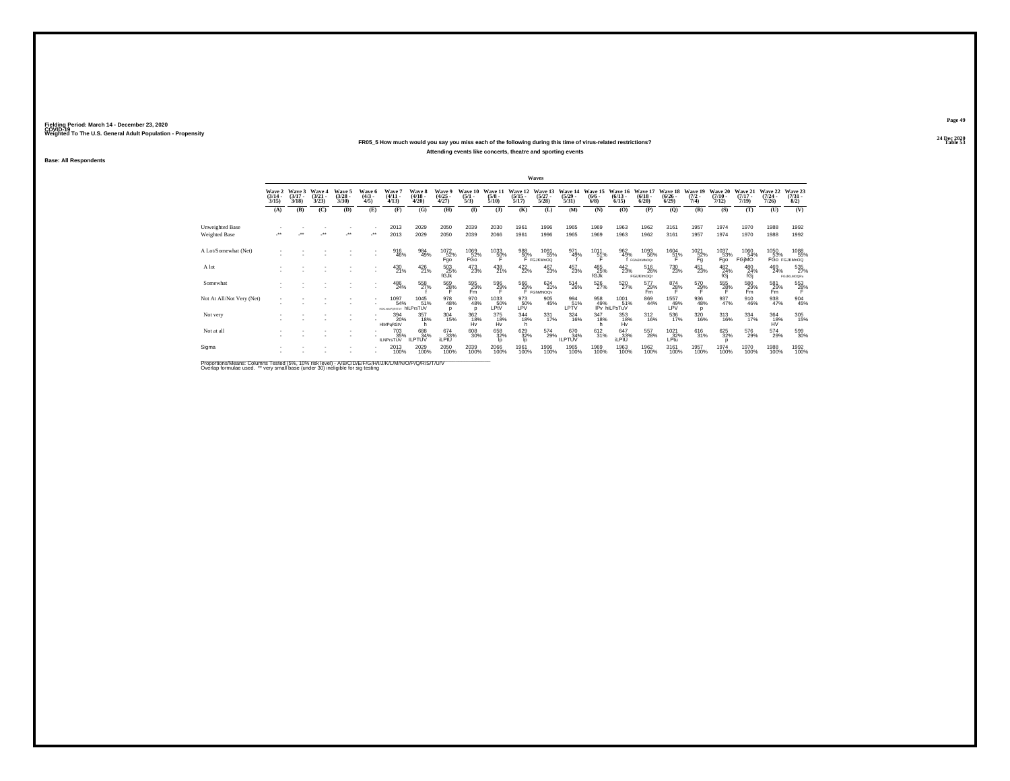## **24 Dec 2020FR05\_5 How much would you say you miss each of the following during this time of virus-related restrictions?Attending events like concerts, theatre and sporting events**

**Base: All Respondents**

|                                                                                                                                                                                                                                   |                                 |                             |                                                 |                                |                              |                                              |                                 |                                |                                |                                 |                                  | Waves                                    |                                  |                               |                                 |                                 |                                 |                                |                                  |                              |                                  |                                |
|-----------------------------------------------------------------------------------------------------------------------------------------------------------------------------------------------------------------------------------|---------------------------------|-----------------------------|-------------------------------------------------|--------------------------------|------------------------------|----------------------------------------------|---------------------------------|--------------------------------|--------------------------------|---------------------------------|----------------------------------|------------------------------------------|----------------------------------|-------------------------------|---------------------------------|---------------------------------|---------------------------------|--------------------------------|----------------------------------|------------------------------|----------------------------------|--------------------------------|
|                                                                                                                                                                                                                                   | Wave 2<br>$\frac{(3/14)}{3/15}$ | Wave 3<br>$(3/17 -$<br>3/18 | <b>Wave 4</b><br>$\frac{3}{2}$<br>$\frac{3}{2}$ | Wave 5<br>$\binom{3/28}{3/30}$ | Wave 6<br>$\binom{4/3}{4/5}$ | Wave 7<br>$\frac{(4/11)}{4/13}$              | Wave 8<br>$\frac{(4/18)}{4/20}$ | Wave 9<br>$\binom{4/25}{4/27}$ | Wave 10<br>$\frac{(5/1)}{5/3}$ | Wave 11<br>$\frac{(5/8)}{5/10}$ | Wave 12<br>$\frac{(5/15)}{5/17}$ | Wave 13<br>$\frac{(5/27)}{5/28}$         | Wave 14<br>$\frac{(5/29)}{5/31}$ | Wave 15<br>$\binom{6/6}{6/8}$ | Wave 16<br>$\binom{6/13}{6/15}$ | Wave 17<br>$\binom{6/18}{6/20}$ | Wave 18<br>$\binom{6/26}{6/29}$ | Wave 19<br>$\frac{(7/2)}{7/4}$ | Wave 20<br>$\frac{(7/10)}{7/12}$ | Wave 21<br>$(7/17 -$<br>7/19 | Wave 22<br>$\frac{(7/24)}{7/26}$ | Wave 23<br>$\binom{7/31}{8/2}$ |
|                                                                                                                                                                                                                                   | (A)                             | (B)                         | (C)                                             | (D)                            | (E)                          | (F)                                          | (G)                             | (H)                            | $\bf(I)$                       | (1)                             | (K)                              | (L)                                      | (M)                              | (N)                           | (O)                             | (P)                             | $\mathbf{Q}$                    | (R)                            | (S)                              | (T)                          | (U)                              | (V)                            |
| Unweighted Base                                                                                                                                                                                                                   |                                 |                             |                                                 |                                |                              | 2013                                         | 2029                            | 2050                           | 2039                           | 2030                            | 1961                             | 1996                                     | 1965                             | 1969                          | 1963                            | 1962                            | 3161                            | 1957                           | 1974                             | 1970                         | 1988                             | 1992                           |
| Weighted Base                                                                                                                                                                                                                     |                                 |                             |                                                 | $\ddot{\phantom{0}}$           |                              | 2013                                         | 2029                            | 2050                           | 2039                           | 2066                            | 1961                             | 1996                                     | 1965                             | 1969                          | 1963                            | 1962                            | 3161                            | 1957                           | 1974                             | 1970                         | 1988                             | 1992                           |
| A Lot/Somewhat (Net)                                                                                                                                                                                                              |                                 |                             |                                                 |                                |                              | 916<br>46%                                   | 984<br>49%                      | 1072<br>52%<br>Fgo             | 1069<br>F <sub>GO</sub>        | 1033<br>50%                     | 988<br>50%                       | 1091<br>55%<br>F FGJKMnOQ                | 971<br>49%                       | 1011<br>51%                   | 962<br>49%                      | 1093<br>56%<br>f FGNJKMNOG      | 1604<br>51%                     | 1021<br>$\frac{52}{9}$         | 1037<br>$F_{\text{go}}^{53\%}$   | 1060<br>54%<br>FGjMO         | 1050                             | 1088<br>55%<br>53% 55%         |
| A lot                                                                                                                                                                                                                             |                                 |                             |                                                 |                                | $\sim$<br>$\sim$             | 430<br>21%                                   | 426<br>21%                      | $^{503}_{25\%}$ fGJk           | 473<br>23%                     | 438<br>21%                      | $422/22$ %                       | 467<br>23%                               | 457<br>23%                       | 485<br>25%<br>fGJk            | $^{442}_{23\%}$                 | 516<br>26%<br>FGiJKImOQr        | <sup>730</sup> <sub>23%</sub>   | $^{451}_{23\%}$                | $^{482}_{\phantom{1}24\%}$ fGj   | 480<br>24%<br>fGi            | 469<br>24%                       | 535<br><b>FGUKLMOORu</b>       |
| Somewhat                                                                                                                                                                                                                          |                                 |                             |                                                 |                                | $\sim$                       | 486<br>24%                                   | 558<br>27%                      | 569<br>28%                     | 595<br>29%<br>Fm               | 596<br>29%                      |                                  | $\frac{566}{29\%}$ F FGhMNOQv<br>624 31% | 514<br>26%                       | 526<br>27%                    | 520<br>27%                      | 577<br>29%<br>Fm                | $^{874}_{28\%}$                 | $^{570}_{29\%}$                | 555<br>28%                       | 580<br>29%<br>Fm             | $^{581}_{29\%}$ Fm               | $\frac{553}{28}\%$             |
| Not At All/Not Very (Net)                                                                                                                                                                                                         |                                 |                             |                                                 |                                |                              | 1097<br>54%<br><b>HURANGORSTUV hILPrSTUV</b> | 1045<br>51%                     | 978<br>48%<br>n                | 970<br>48%                     | 1033<br>50%<br>LPtV             | 973<br>LPV%                      | 905<br>45%                               | 994<br>51%<br>LPTV               | 958<br>49%                    | 1001<br>51%<br>IPv hiLPsTuV     | 869<br>44%                      | 1557<br>49%<br>LPV              | $\frac{936}{48\%}$<br>n        | 937<br>47%                       | 910<br>46%                   | 938<br>47%                       | 904<br>45%                     |
| Not very                                                                                                                                                                                                                          |                                 |                             |                                                 |                                |                              | 394<br>20%<br>HIMPaRStV                      | 357<br>18%                      | $\frac{304}{15\%}$             | 362<br>18%<br>Hv               | 375<br>18%<br>Hv                | 344<br>18%                       | 331<br>17%                               | 324<br>16%                       | 347<br>18%                    | 353<br>18%<br>Hv                | $^{312}_{16\%}$                 | 536<br>17%                      | 320<br>16%                     | $^{313}_{16\%}$                  | 334<br>17%                   | 364<br>18%<br>HV                 | 305<br>15%                     |
| Not at all                                                                                                                                                                                                                        |                                 |                             |                                                 |                                |                              | 703<br>35%<br><b>ILNPrsTUV</b>               | 688<br>34%<br><b>ILPTUV</b>     | $674 \over 33\%$ iLPtU         | 608<br>30%                     | 658<br>32%                      | 629<br>32%<br><b>l</b>           | 574<br>29%                               | 670<br>34%<br><b>ILPTUV</b>      | 612<br>31%                    | $647 \over 33\%$ iLPtU          | 557<br>28%                      | $^{1021}_{32\%}$<br>LPtu        | 616<br>31%                     | 625<br>32%                       | 576<br>29%                   | 574<br>29%                       | 599<br>30%                     |
| Sigma                                                                                                                                                                                                                             |                                 |                             |                                                 |                                |                              | 2013<br>100%                                 | 2029<br>100%                    | 2050<br>100%                   | 2039<br>100%                   | 2066<br>100%                    | 1961<br>100%                     | 1996<br>100%                             | 1965<br>100%                     | 1969<br>100%                  | 1963<br>100%                    | 1962<br>100%                    | 3161<br>100%                    | 1957<br>100%                   | 1974<br>100%                     | 1970<br>100%                 | 1988<br>100%                     | 1992<br>100%                   |
| $\mathbb{R}$ . The state of the state of the state of the state of the state of the state of the state of the state of the state of the state of the state of the state of the state of the state of the state of the state of th |                                 |                             |                                                 |                                |                              |                                              |                                 |                                |                                |                                 |                                  |                                          |                                  |                               |                                 |                                 |                                 |                                |                                  |                              |                                  |                                |

Proportions/Means: Columns Tested (5%, 10% risk level) - A/B/C/D/E/F/G/H/I/J/K/L/M/N/O/P/Q/R/S/T/U/V<br>Overlap formulae used. \*\* very small base (under 30) ineligible for sig testing

**Page 49**24 Dec 2020<br>Table 53

**Table 53 Table 53**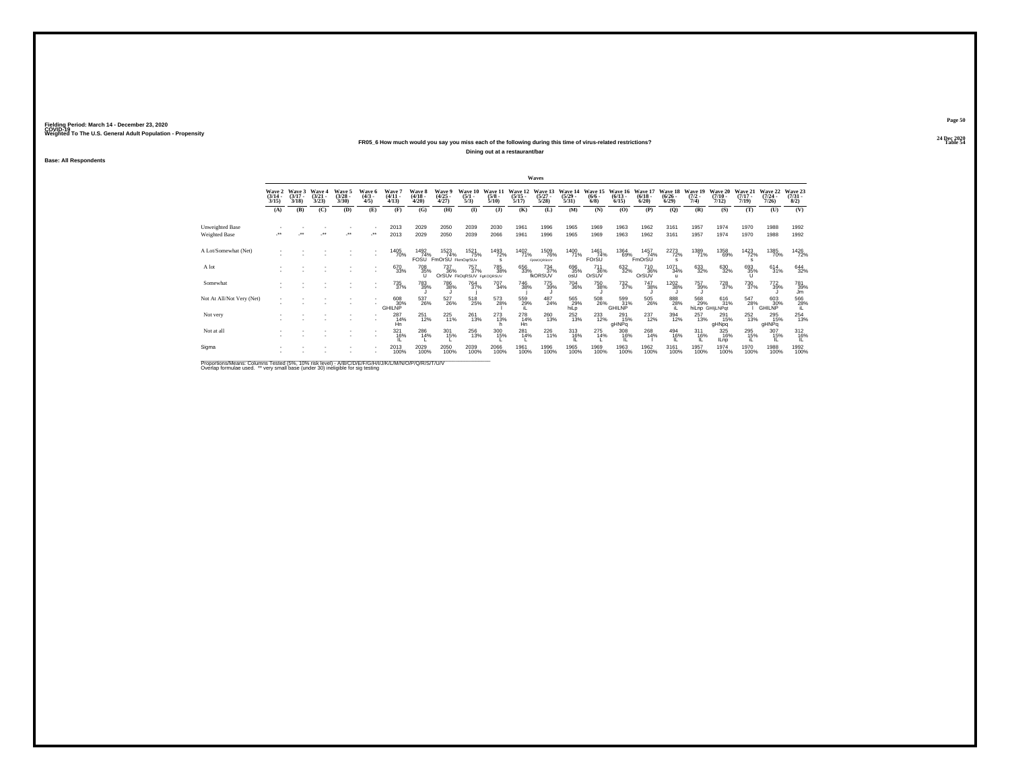### **24 Dec 2020FR05\_6 How much would you say you miss each of the following during this time of virus-related restrictions?**

**Dining out at a restaurant/bar**

**Base: All Respondents**

|                                                                                                     |                                 |                             |                                 |                                |                              |                                 |                                 |                                 |                                        |                                 |                                  | Waves                             |                                  |                                       |                                  |                                        |                                  |                                |                                  |                              |                                  |                                |
|-----------------------------------------------------------------------------------------------------|---------------------------------|-----------------------------|---------------------------------|--------------------------------|------------------------------|---------------------------------|---------------------------------|---------------------------------|----------------------------------------|---------------------------------|----------------------------------|-----------------------------------|----------------------------------|---------------------------------------|----------------------------------|----------------------------------------|----------------------------------|--------------------------------|----------------------------------|------------------------------|----------------------------------|--------------------------------|
|                                                                                                     | Wave 2<br>$\frac{(3/14)}{3/15}$ | Wave 3<br>$(3/17 -$<br>3/18 | Wave 4<br>$\frac{(3/21)}{3/23}$ | Wave 5<br>$\binom{3/28}{3/30}$ | Wave 6<br>$\binom{4/3}{4/5}$ | Wave 7<br>$\frac{(4/11)}{4/13}$ | Wave 8<br>$\frac{(4/18)}{4/20}$ | Wave 9<br>$\binom{4/25}{4/27}$  | Wave 10<br>$\frac{(5/1)}{5/3}$         | Wave 11<br>$\frac{(5/8)}{5/10}$ | Wave 12<br>$\frac{(5/15)}{5/17}$ | Wave 13<br>$\frac{(5/27)}{5/28}$  | Wave 14<br>$\frac{(5/29)}{5/31}$ | Wave 15<br>$\binom{6/6}{6/8}$         | Wave 16<br>$\frac{(6/13)}{6/15}$ | Wave 17<br>$\binom{6/18}{6/20}$        | Wave 18<br>$\frac{(6/26)}{6/29}$ | Wave 19<br>$\frac{(7/2)}{7/4}$ | Wave 20<br>$\frac{(7/10)}{7/12}$ | Wave 21<br>$(7/17 -$<br>7/19 | Wave 22<br>$\frac{(7/24)}{7/26}$ | Wave 23<br>$\binom{7/31}{8/2}$ |
|                                                                                                     | (A)                             | (B)                         | (C)                             | (D)                            | (E)                          | (F)                             | (G)                             | (H)                             | $\bf(I)$                               | (1)                             | (K)                              | (L)                               | (M)                              | (N)                                   | (O)                              | (P)                                    | $\mathbf{Q}$                     | (R)                            | (S)                              | (T)                          | (U)                              | (V)                            |
| Unweighted Base                                                                                     |                                 |                             |                                 |                                |                              | 2013                            | 2029                            | 2050                            | 2039                                   | 2030                            | 1961                             | 1996                              | 1965                             | 1969                                  | 1963                             | 1962                                   | 3161                             | 1957                           | 1974                             | 1970                         | 1988                             | 1992                           |
| Weighted Base                                                                                       |                                 |                             |                                 | $\ddot{\phantom{0}}$           |                              | 2013                            | 2029                            | 2050                            | 2039                                   | 2066                            | 1961                             | 1996                              | 1965                             | 1969                                  | 1963                             | 1962                                   | 3161                             | 1957                           | 1974                             | 1970                         | 1988                             | 1992                           |
| A Lot/Somewhat (Net)                                                                                |                                 |                             |                                 |                                |                              | 1405<br>70%                     | 1492<br><b>FOSU</b>             | 1523<br>74%<br>FmOrSU FkmOgrSUv | 1521<br>75%                            | 1493<br>72%<br>s                | 1402<br>71%                      | 1509<br>76%<br><b>FIKMOGRStUV</b> | 1400<br>71%                      | 1461<br>74%<br>FOrSU <sup>®</sup>     | 1364<br>69%                      | 1457<br>74%<br>FmOrSU                  | 2273<br>72%<br>s                 | 1389<br>71%                    | 1358<br>69%                      | 1423<br>72%                  | 1385<br>70%                      | 1426<br>72%                    |
| A lot                                                                                               |                                 |                             |                                 |                                | ٠<br>$\sim$                  | 670<br>33%                      | <sup>708</sup> 35%<br>u         | 737<br>36%                      | 757<br>37%<br>OrSUv FkOqRSUV FgKOQRSUV | 785<br>38%                      | 656<br>33%                       | 734<br>37%<br>fkORSUV             | 696<br>35%<br>osU                | 711<br>36%<br>OrSUV                   | 632%                             | <sup>710</sup> <sub>36%</sub><br>OrSUV | 1071<br>34%<br>$\mathbf{u}$      | $\substack{633 \\ 32\%}$       | 630<br>32%                       | 693<br>35%<br>$\mathbf{U}$   | $^{614}_{31\%}$                  | 644<br>32%                     |
| Somewhat                                                                                            |                                 |                             |                                 |                                | $\sim$                       | 735<br>37%                      | <sup>783</sup> <sub>39%</sub>   | <sup>786</sup> 38%              | 764<br>37%                             | $^{707}_{34\%}$                 | 746<br>38%                       | 775<br>39%                        | <sup>704</sup> 36%               | 750<br>38%                            | $^{732}_{37\%}$                  | <sup>747</sup> 38%                     | 1202<br>38%                      | 757<br>39%                     | $^{728}_{37\%}$                  | 730<br>37%                   | 772<br>39%                       | 781<br>39%<br>Jm               |
| Not At All/Not Very (Net)                                                                           |                                 |                             |                                 |                                |                              | 608<br>GHILNP <sup>30%</sup>    | 537<br>26%                      | $^{527}_{\phantom{2}26\%}$      | 518<br>25%                             | 573<br>28%                      | 559<br>29%                       | $^{487}_{24\%}$                   | 565<br>29%<br>hiLp               | $^{508}_{\phantom{1}\phantom{1}26\%}$ | 599<br>31%<br><b>GHILNP</b>      | $^{505}_{\phantom{5}26\%}$             | 888<br>28%                       | 568<br>29%                     | 616<br>31%<br>hiLnp GHIjLNPqt    | 547<br>28%                   | 603<br>30%<br>GHILNP             | $^{566}_{\hphantom{3}28\%}$    |
| Not very                                                                                            |                                 |                             |                                 |                                | ٠                            | $^{287}_{14\%}$<br>Hn           | 251<br>12%                      | $^{225}_{11\%}$                 | 261<br>13%                             | 273<br>13%                      | 278<br>14%<br>Hn                 | 260<br>13%                        | $^{252}_{13\%}$                  | 233                                   | 291<br>15%<br>gHNPq              | 237<br>12%                             | 394<br>12%                       | 257<br>13%                     | 291<br>15%<br>gHNpq              | $^{252}_{13\%}$              | 295<br>15%<br>gHNPq              | 254<br>13%                     |
| Not at all                                                                                          |                                 |                             |                                 |                                | ٠                            | $321$<br>$16\%$                 | 286<br>14%                      | $^{301}_{15\%}$                 | 256<br>13%                             | 300<br>15%                      | $^{281}_{14\%}$                  | 226                               | $^{313}_{16\%}$                  | 275<br>14%                            | $^{308}_{16\%}$                  | 268<br>14%                             | 494<br>16%                       | $^{311}_{16\%}$                | 325<br>16%<br><b>ILnp</b>        | 295<br>15%                   | 307<br>15%                       | 312/16%                        |
| Sigma                                                                                               |                                 |                             |                                 |                                |                              | 2013<br>100%                    | 2029<br>100%                    | 2050<br>100%                    | 2039<br>100%                           | 2066<br>100%                    | 1961<br>100%                     | 1996<br>100%                      | 1965<br>100%                     | 1969<br>100%                          | 1963<br>100%                     | 1962<br>100%                           | 3161<br>100%                     | 1957<br>100%                   | 1974<br>100%                     | 1970<br>100%                 | 1988<br>100%                     | 1992<br>100%                   |
| Bronortiona Magna: Columna Toptad (59/ 109/ riok love)) AIRICIDIEIEICA-HILIMI (MANIOIDIOIDIR (TAIN) |                                 |                             |                                 |                                |                              |                                 |                                 |                                 |                                        |                                 |                                  |                                   |                                  |                                       |                                  |                                        |                                  |                                |                                  |                              |                                  |                                |

Proportions/Means: Columns Tested (5%, 10% risk level) - A/B/C/D/E/F/G/H/I/J/K/L/M/N/O/P/Q/R/S/T/U/V<br>Overlap formulae used. \*\* very small base (under 30) ineligible for sig testing

**Page 50**24 Dec 2020<br>Table 54

**Table 54 Table 54 Table 54 Table 54 Table 54 Table 54 Table 54 Table 54**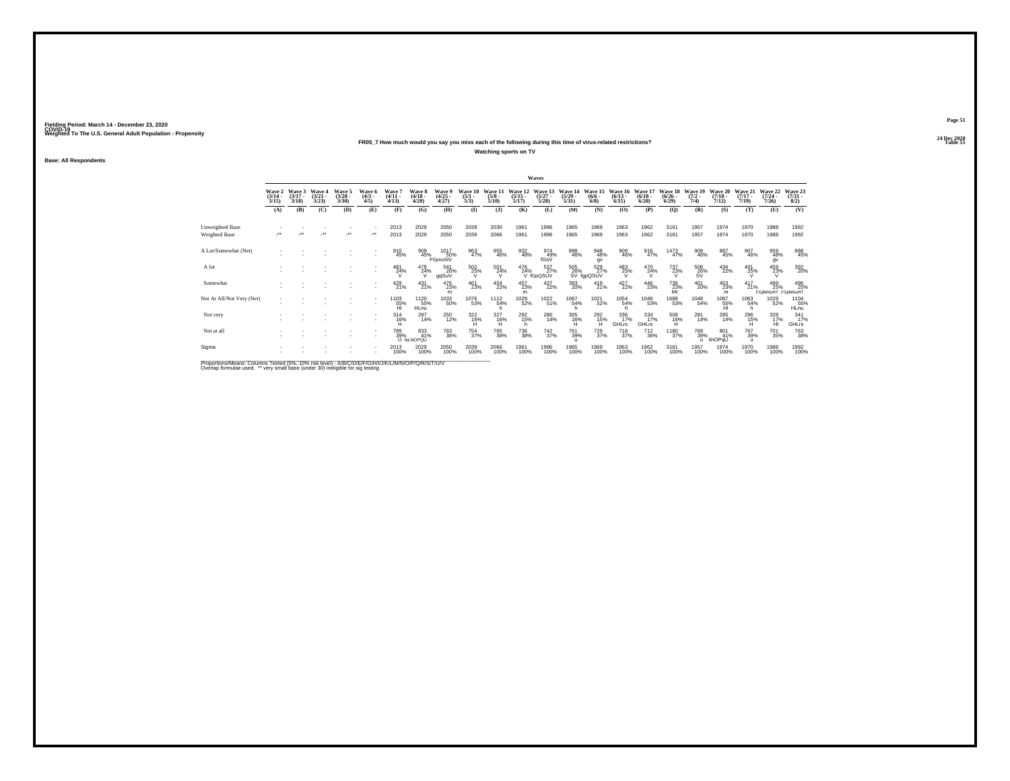### **24 Dec 2020FR05\_7 How much would you say you miss each of the following during this time of virus-related restrictions?**

**Watching sports on TV**

**Base: All Respondents**

| Wave 2<br>$\frac{(3/14)}{3/15}$<br>(A)<br>Unweighted Base<br>Weighted Base<br>A Lot/Somewhat (Net)<br>A lot | Wave 3<br>$(3/17 -$ | Wave 4                |                                |                              |                                  |                                        |                                |                                |                                 |                                  |                                 |                                  |                                |                                 |                                    |                                 |                                                     |                              |                                    |                                   |                                |
|-------------------------------------------------------------------------------------------------------------|---------------------|-----------------------|--------------------------------|------------------------------|----------------------------------|----------------------------------------|--------------------------------|--------------------------------|---------------------------------|----------------------------------|---------------------------------|----------------------------------|--------------------------------|---------------------------------|------------------------------------|---------------------------------|-----------------------------------------------------|------------------------------|------------------------------------|-----------------------------------|--------------------------------|
|                                                                                                             | 3/18                | $\frac{(3/21)}{3/23}$ | Wave 5<br>$\binom{3/28}{3/30}$ | Wave 6<br>$\binom{4/3}{4/5}$ | <b>Wave</b><br>$(4/11 -$<br>4/13 | <b>Wave 8</b><br>$\frac{(4/18)}{4/20}$ | Wave 9<br>$\binom{4/25}{4/27}$ | Wave 10<br>$\frac{(5/1)}{5/3}$ | Wave 11<br>$\frac{(5/8)}{5/10}$ | Wave 12<br>$\frac{(5/15)}{5/17}$ | Wave 13<br>$\binom{5/27}{5/28}$ | Wave 14<br>$\frac{(5/29)}{5/31}$ | Wave 15<br>$\frac{(6/6)}{6/8}$ | Wave 16<br>$\binom{6/13}{6/15}$ | Wave 17<br>$\frac{(6/18)}{(6/20)}$ | Wave 18<br>$\binom{6/26}{6/29}$ | Wave 19<br>$\frac{(7/2)}{7/4}$                      | Wave 20<br>$(7/10 -$<br>7/12 | Wave 21<br>$(7/17 -$<br>7/19       | Wave 22<br>(7/24)<br>7/26         | Wave 23<br>$\binom{7/31}{8/2}$ |
|                                                                                                             | (B)                 | (C)                   | (D)                            | (E)                          | (F)                              | (G)                                    | (H)                            | $\mathbf{I}$                   | $($ $)$                         | (K)                              | (L)                             | (M)                              | (N)                            | (O)                             | (P)                                | (Q)                             | (R)                                                 | (S)                          | (T)                                | (U)                               | (V)                            |
|                                                                                                             |                     |                       |                                |                              | 2013                             | 2029                                   | 2050                           | 2039                           | 2030                            | 1961                             | 1996                            | 1965                             | 1969                           | 1963                            | 1962                               | 3161                            | 1957                                                | 1974                         | 1970                               | 1988                              | 1992                           |
|                                                                                                             |                     |                       | $\ddot{\phantom{0}}$           | $\ddot{\phantom{1}}$         | 2013                             | 2029                                   | 2050                           | 2039                           | 2066                            | 1961                             | 1996                            | 1965                             | 1969                           | 1963                            | 1962                               | 3161                            | 1957                                                | 1974                         | 1970                               | 1988                              | 1992                           |
|                                                                                                             |                     |                       |                                |                              | 910<br>45%                       | 909<br>45%                             | 1017<br>50%<br>FGjmoStV        | 963<br>47%                     | 955<br>46%                      | 932<br>48%                       | 974<br>49%<br>fGsV              | 898<br>46%                       | 948<br>48%<br>gv               | 909<br>46%                      | 916<br>47%                         | 1473<br>47%                     | 909<br>46%                                          | 887<br>45%                   | 907<br>46%                         | 959<br>48%<br>qv                  | 888<br>45%                     |
|                                                                                                             |                     |                       |                                |                              | 481<br>24%                       | 478<br>24%                             | 541<br>26%<br>ggSuV            | 502<br>25%<br>v                | 501<br>24%                      | 476<br>24%                       | 537%<br>V fGpQSUV               | 505<br>26%                       | 529<br>27%<br>SV fgpQSUV       | 483<br>25%                      | $^{470}_{24\%}$                    | 737<br>23%<br>v                 | $^{508}_{\phantom{5}26\%}_{\phantom{5}8\mathrm{V}}$ | 434<br>22%                   | 491<br>25%                         | 459<br>23%                        | 392 <sub>0%</sub>              |
| Somewhat                                                                                                    |                     |                       |                                |                              | 429<br>21%                       | $^{431}_{21\%}$                        | 476<br>23%<br>m                | 461<br>23%                     | 454<br>22%                      | 457<br>23%<br>m                  | 437<br>22%                      | 393<br>20%                       | $^{419}_{21\%}$                | 427<br>22%                      | 446<br>23%                         | 736<br>23%<br>Mr                | 401<br>20%                                          | 453<br>23%<br>m              | $^{417}_{21\%}$                    | 499<br>25%<br>FGIIMNoRT FGIIMNoRT | 496<br>25%                     |
| Not At All/Not Very (Net)                                                                                   |                     |                       |                                |                              | 1103<br>$\frac{55}{H}$           | 1120<br>55%<br><b>HLnu</b>             | 1033<br>50%                    | 1076<br>53%                    | 1112<br>54%                     | 1029<br>52%                      | 1022<br>51%                     | 1067<br>54%                      | 1021<br>52%                    | 1054<br>54%                     | 1046<br>53%                        | 1688<br>53%                     | 1048<br>54%                                         | $^{1087}_{-55\%}$            | 1063<br>54%<br>h                   | 1029<br>52%                       | 1104<br>55%<br>HLnu            |
| Not very                                                                                                    |                     |                       |                                |                              | $314$<br>$16%$                   | 287<br>14%                             | <sup>250</sup> 12%             | $\frac{322}{16\%}$             | 327<br>16%                      | 292<br>15%<br>h                  | 280<br>14%                      | 305<br>16%<br>н                  | 2926<br>н                      | 336<br>17%<br>GHLrs             | $334 \over 17\%$<br><b>GHLrs</b>   | 508<br>16%<br>н                 | 281<br>14%                                          | 285<br>14%                   | 296<br>15%                         | 328<br>17%<br>н                   | 341<br>17%<br><b>GHLrs</b>     |
| Not at all                                                                                                  |                     |                       |                                |                              | 789%                             | 833<br>41%<br>U IKLNOPQU               | <sup>783</sup> 38%             | 754<br>37%                     | <sup>785</sup> 38%              | 736<br>38%                       | $^{742}_{37\%}$                 | <sup>761</sup> 39%               | $^{729}_{37\%}$                | <sup>718</sup> <sub>37%</sub>   | $^{712}_{36\%}$                    | 1180<br>37%                     | 768<br>39%<br>$\mathbf{u}$                          | 801<br>41%<br>ilnOPqU        | <sup>767</sup> 39%<br>$\mathbf{u}$ | <sup>701</sup> 35%                | <sup>763</sup> 38%             |
| Sigma                                                                                                       |                     |                       |                                |                              | 2013<br>100%                     | 2029<br>100%                           | 2050<br>100%                   | 2039<br>100%                   | 2066<br>100%                    | 1961<br>100%                     | 1996<br>100%                    | 1965<br>100%                     | 1969<br>100%                   | 1963<br>100%                    | 1962<br>100%                       | 3161<br>100%                    | 1957<br>100%                                        | 1974<br>100%                 | 1970<br>100%                       | 1988<br>100%                      | 1992<br>100%                   |

Proportions/Means: Columns Tested (5%, 10% risk level) - A/B/C/D/E/F/G/H/I/J/K/L/M/N/O/P/Q/R/S/T/U/V<br>Overlap formulae used. \*\* very small base (under 30) ineligible for sig testing

**Page 51**24 Dec 2020<br>Table 55

**Table 55 Table 55 Table 55 Table 55 Table 55 Table 55**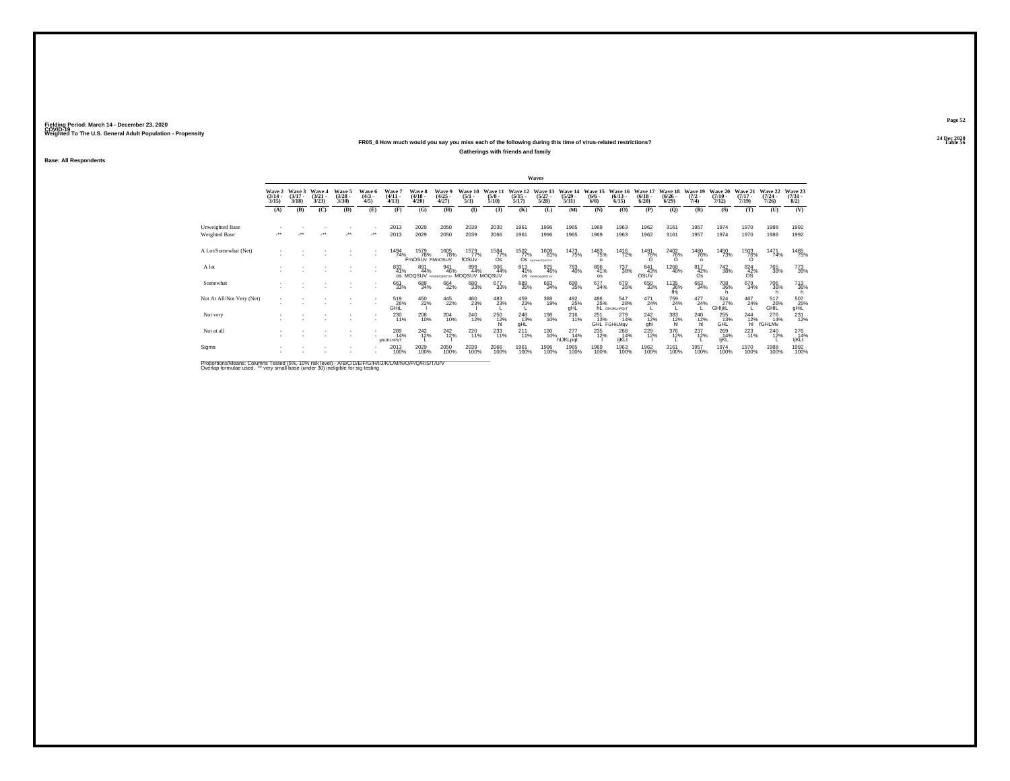## **24 Dec 2020FR05\_8 How much would you say you miss each of the following during this time of virus-related restrictions?**

**Gatherings with friends and family**

**Base: All Respondents**

|                                                                                                             |                                 |                             |                                 |                                 |                              |                                 |                                     |                                     |                                |                                 |                                      | Waves                               |                                              |                               |                                     |                                 |                                  |                                |                                  |                                                                                        |                                         |                                         |
|-------------------------------------------------------------------------------------------------------------|---------------------------------|-----------------------------|---------------------------------|---------------------------------|------------------------------|---------------------------------|-------------------------------------|-------------------------------------|--------------------------------|---------------------------------|--------------------------------------|-------------------------------------|----------------------------------------------|-------------------------------|-------------------------------------|---------------------------------|----------------------------------|--------------------------------|----------------------------------|----------------------------------------------------------------------------------------|-----------------------------------------|-----------------------------------------|
|                                                                                                             | Wave 2<br>$\frac{(3/14)}{3/15}$ | Wave 3<br>$(3/17 -$<br>3/18 | Wave 4<br>$\frac{(3/21)}{3/23}$ | Wave 5<br>$\frac{(3/28)}{3/30}$ | Wave 6<br>$\binom{4/3}{4/5}$ | Wave 7<br>$\frac{(4/11)}{4/13}$ | Wave 8<br>$\frac{(4/18)}{4/20}$     | Wave 9<br>$\frac{(4/25 - 4)}{4/27}$ | Wave 10<br>$\frac{(5/1)}{5/3}$ | Wave 11<br>$\frac{(5/8)}{5/10}$ | Wave 12<br>$\frac{(5/15)}{5/17}$     | Wave 13<br>$\frac{(5/27)}{5/28}$    | Wave 14<br>$\frac{(5/29)}{5/31}$             | Wave 15<br>$\binom{6/6}{6/8}$ | Wave 16<br>$\frac{(6/13)}{6/15}$    | Wave 17<br>$\binom{6/18}{6/20}$ | Wave 18<br>$\frac{(6/26)}{6/29}$ | Wave 19<br>$\frac{(7/2)}{7/4}$ | Wave 20<br>$\frac{(7/10)}{7/12}$ | Wave 21<br>$\frac{(7/17)}{7/19}$                                                       | Wave 22<br>$\frac{(7/24 - 7/26)}{7/26}$ | Wave 23<br>$\binom{7/31}{8/2}$          |
|                                                                                                             | (A)                             | (B)                         | (C)                             | (D)                             | (E)                          | (F)                             | (G)                                 | (H)                                 | (1)                            | $($ $)$                         | (K)                                  | (L)                                 | (M)                                          | (N)                           | (O)                                 | (P)                             | (Q)                              | (R)                            | (S)                              | (T)                                                                                    | (U)                                     | (V)                                     |
| Unweighted Base                                                                                             |                                 |                             |                                 |                                 | ٠                            | 2013                            | 2029                                | 2050                                | 2039                           | 2030                            | 1961                                 | 1996                                | 1965                                         | 1969                          | 1963                                | 1962                            | 3161                             | 1957                           | 1974                             | 1970                                                                                   | 1988                                    | 1992                                    |
| Weighted Base                                                                                               | $\ddot{\phantom{1}}$            |                             |                                 | $\bullet\bullet$                |                              | 2013                            | 2029                                | 2050                                | 2039                           | 2066                            | 1961                                 | 1996                                | 1965                                         | 1969                          | 1963                                | 1962                            | 3161                             | 1957                           | 1974                             | 1970                                                                                   | 1988                                    | 1992                                    |
| A Lot/Somewhat (Net)                                                                                        |                                 |                             |                                 |                                 |                              | 1494<br>74%                     | 1579<br>78%<br>FmOSUv FMnOSUV       | 1605<br>78%                         | 1579<br>77%<br>fOSUv           | 1584<br>77%<br>Os               | 1502<br>77%<br>Os                    | 1608<br>81%<br><b>FAUKMOPORSTLV</b> | 1473<br>75%                                  | 1483<br>75%<br>$\Omega$       | 1416<br>72%                         | 1491<br>76%                     | 2402<br>76%                      | 1480<br>76%<br>$\Omega$        | 1450<br>73%                      | 1503<br>76%                                                                            | 1471<br>74%                             | 1485<br>75%                             |
| A lot                                                                                                       |                                 |                             |                                 |                                 |                              | 833<br>41%                      | 891<br>44%<br>OS MOQSUV FROMOGRETUY | 941<br>46%                          | 899<br>44%<br>MOQSUV MOQSUV    | 906<br>44%                      | $^{813}_{41\%}$                      | 925<br>46%<br>OS nanosorstuv        | 783<br>40%                                   | 806<br>41%<br><b>OS</b>       | 737<br>38%                          | 841<br>43%<br>OSUV              | 1268<br>40%                      | $\frac{817}{42\%}$<br>Os       | <sup>742</sup> <sub>38%</sub>    | $\frac{824}{42\%}$<br><b>OS</b>                                                        | 765<br>38%                              | 773<br>39%                              |
| Somewhat                                                                                                    |                                 |                             |                                 |                                 | ٠                            | 661<br>33%                      | 688<br>34%                          | $\substack{664\\32\%}$              | 680<br>33%                     | 677<br>33%                      | 689<br>35%                           | 683<br>34%                          | 690<br>35%                                   | 677<br>34%                    | 679<br>35%                          | 650<br>33%                      | 1135<br>36%<br>fHj               | $\substack{663 \\ 34\%}$       | 708<br>36%                       | 679<br>34%                                                                             | <sup>706</sup> 36%                      | 713<br>36%                              |
| Not At All/Not Very (Net)                                                                                   |                                 |                             |                                 |                                 | ٠                            | 519<br>26%<br>GHIL              | 450<br>22%                          | $\frac{445}{22\%}$                  | 460<br>23%                     | 483<br>23%                      | 459<br>23%                           | 388<br>19%                          | $\overset{492}{\underset{\text{gHL}}{25\%}}$ | 486<br>25%                    | 547<br>28%<br><b>RL</b> GHIJKLnPOrT | 471<br>24%                      | 759<br>24%                       | $^{477}_{24\%}$                | 524<br>27%<br>GHIjkL             | 467<br>24%                                                                             | 517<br>26%<br>GHĪĽ                      | $^{507}_{\substack{25\%\\\text{gHil}}}$ |
| Not very                                                                                                    |                                 |                             |                                 |                                 | $\sim$                       | 230<br>11%                      | 208<br>10%                          | 204<br>10%                          | 240<br>12%                     | 250<br>12%                      | <sup>248</sup> <sub>13%</sub><br>qHL | 198<br>10%                          | $^{216}_{11\%}$                              | 251<br>13%                    | 279<br>14%<br>GHL FGHiLMgv          | 242%<br>ahl                     | 383<br>12%<br>hl                 | $^{240}_{\hbox{12\%}}$ h       | 255<br>13%<br>GHL                | $\begin{array}{c}\n 244 \\  \hline\n 12\% \\  \text{hl} \quad \text{ft}\n \end{array}$ | 276<br>14%<br>fGHLMv                    | 231<br>12%                              |
| Not at all                                                                                                  |                                 |                             |                                 |                                 | ٠                            | 289<br>14%<br>ahlJKLnPaT        | $^{242}_{12\%}$                     | $^{242}_{12\%}$                     | 220<br>11%                     | 233                             | $^{211}_{11\%}$                      | 190<br>10% <sub>,</sub>             | $^{277}_{14\%}$<br>hlJKLpqt                  | 235<br>12%                    | 268<br>14%<br>ljKLt                 | 229<br>12%                      | 376<br>12%                       | $^{237}_{12\%}$                | 269<br>14%<br>IjKL               | $^{223}_{11\%}$                                                                        | 240<br>12%                              | 276<br>14%<br>ljKLt                     |
| Sigma                                                                                                       |                                 |                             |                                 |                                 |                              | 2013<br>100%                    | 2029<br>100%                        | 2050<br>100%                        | 2039<br>100%                   | 2066<br>100%                    | 1961<br>100%                         | 1996<br>100%                        | 1965<br>100%                                 | 1969<br>100%                  | 1963<br>100%                        | 1962<br>100%                    | 3161<br>100%                     | 1957<br>100%                   | 1974<br>100%                     | 1970<br>100%                                                                           | 1988<br>100%                            | 1992<br>100%                            |
| Bronortiona Magna: Columna Toptad (59/ - 109/ -riok Joyal) A IBIC IDIC IDIC AUTH IN A ANICO IDIO IDIO TALIN |                                 |                             |                                 |                                 |                              |                                 |                                     |                                     |                                |                                 |                                      |                                     |                                              |                               |                                     |                                 |                                  |                                |                                  |                                                                                        |                                         |                                         |

Proportions/Means: Columns Tested (5%, 10% risk level) - A/B/C/D/E/F/G/H/I/J/K/L/M/N/O/P/Q/R/S/T/U/V<br>Overlap formulae used. \*\* very small base (under 30) ineligible for sig testing

**Page 52**24 Dec 2020<br>Table 56

**Table 56 Table 56 Table 56 Table 56 Table 56 Table 56**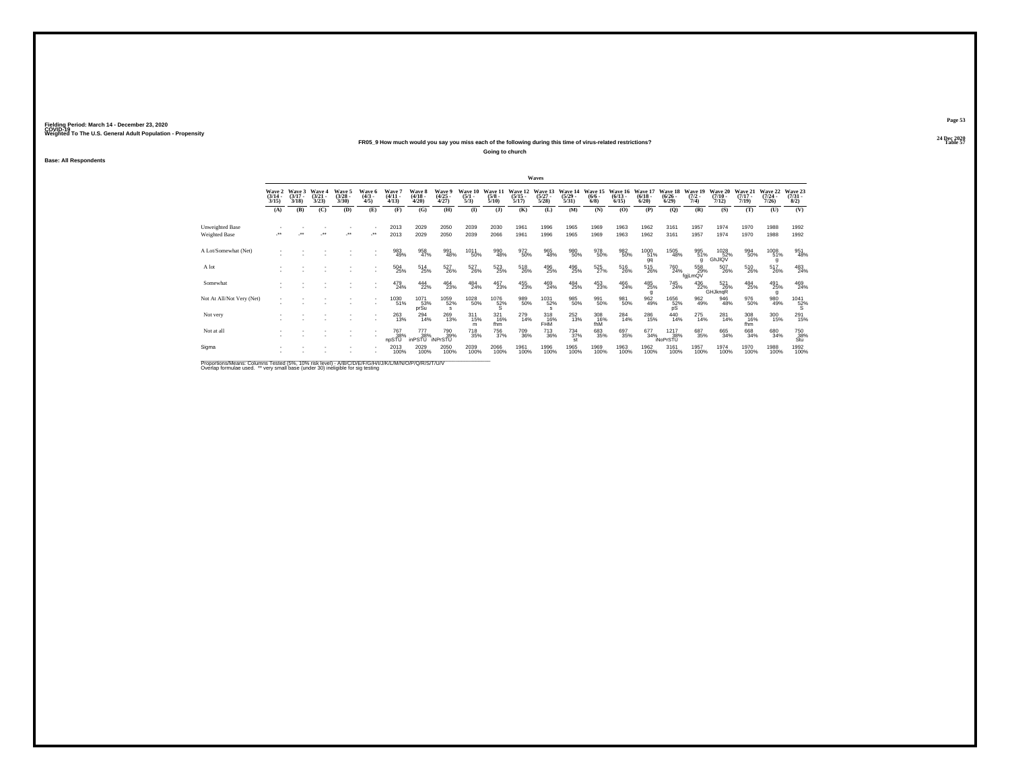### **24 Dec 2020FR05\_9 How much would you say you miss each of the following during this time of virus-related restrictions?**

**Going to church**

**Base: All Respondents**

|                           |                                 |                                 |                                 |                                 |                               |                                        |                                 |                                |                                |                                 |                                  | Waves                            |                                  |                                |                                  |                                  |                                        |                             |                                  |                                  |                                  |                                                            |
|---------------------------|---------------------------------|---------------------------------|---------------------------------|---------------------------------|-------------------------------|----------------------------------------|---------------------------------|--------------------------------|--------------------------------|---------------------------------|----------------------------------|----------------------------------|----------------------------------|--------------------------------|----------------------------------|----------------------------------|----------------------------------------|-----------------------------|----------------------------------|----------------------------------|----------------------------------|------------------------------------------------------------|
|                           | Wave 2<br>$\frac{(3/14)}{3/15}$ | Wave 3<br>$\frac{(3/17)}{3/18}$ | Wave 4<br>$\frac{(3/21)}{3/23}$ | Wave 5<br>$\frac{(3/28)}{3/30}$ | Wave 6<br>$\frac{(4/3)}{4/5}$ | Wave?<br>$\frac{(4/11)}{4/13}$         | Wave 8<br>$\frac{(4/18)}{4/20}$ | Wave 9<br>$\binom{4/25}{4/27}$ | Wave 10<br>$\frac{(5/1)}{5/3}$ | Wave 11<br>$\frac{(5/8)}{5/10}$ | Wave 12<br>$\frac{(5/15)}{5/17}$ | Wave 13<br>$\frac{(5/27)}{5/28}$ | Wave 14<br>$\frac{(5/29)}{5/31}$ | Wave 15<br>$\frac{(6/6)}{6/8}$ | Wave 16<br>$\frac{(6/13)}{6/15}$ | Wave 17<br>$\frac{(6/18)}{6/20}$ | Wave 18<br>$\frac{(6/26 - 6)}{(6/29)}$ | Wave 19<br>$(7/2 -$<br>7/4) | Wave 20<br>$\frac{(7/10)}{7/12}$ | Wave 21<br>$\frac{(7/17)}{7/19}$ | Wave 22<br>$\frac{(7/24)}{7/26}$ | Wave 23<br>$\binom{7/31}{8/2}$                             |
|                           | (A)                             | (B)                             | (C)                             | (D)                             | (E)                           | (F)                                    | (G)                             | (H)                            | $($ $\Gamma$                   | $($ $)$                         | (K)                              | (L)                              | (M)                              | (N)                            | (O)                              | (P)                              | (Q)                                    | (R)                         | (S)                              | (T)                              | (U)                              | (V)                                                        |
| Unweighted Base           |                                 |                                 |                                 |                                 |                               | 2013                                   | 2029                            | 2050                           | 2039                           | 2030                            | 1961                             | 1996                             | 1965                             | 1969                           | 1963                             | 1962                             | 3161                                   | 1957                        | 1974                             | 1970                             | 1988                             | 1992                                                       |
| Weighted Base             | $\cdot$                         | $\ddot{\phantom{1}}$            |                                 | $\cdot$                         |                               | 2013                                   | 2029                            | 2050                           | 2039                           | 2066                            | 1961                             | 1996                             | 1965                             | 1969                           | 1963                             | 1962                             | 3161                                   | 1957                        | 1974                             | 1970                             | 1988                             | 1992                                                       |
| A Lot/Somewhat (Net)      |                                 |                                 |                                 |                                 |                               | 983<br>49%                             | 958<br>47%                      | 991<br>48%                     | 1011<br>50%                    | 990<br>48%                      | 972<br>50%                       | $\underset{48\%}{^{965}}$        | 980<br>50%                       | 978<br>50%                     | 982<br>50%                       | 1000<br>51%<br>gq                | 1505<br>48%                            | 995<br>51%<br>q             | 1028<br>GhJIQV                   | 994<br>50%                       | 1008<br>51%<br>g                 | 951<br>48%                                                 |
| A lot                     |                                 |                                 |                                 |                                 |                               | 504<br>25%                             | 514<br>25%                      | 527<br>26%                     | 527<br>26%                     | 523<br>25%                      | 518<br>26%                       | 496<br>25%                       | 496<br>25%                       | $\frac{525}{27\%}$             | 516<br>26%                       | $^{515}_{26\%}$                  | <sup>760</sup> 24%                     | 558<br>29%<br>fgiLmQV       | 507<br>26%                       | 510<br>26%                       | 517<br>26%                       | 483<br>24%                                                 |
| Somewhat                  |                                 |                                 |                                 |                                 |                               | 479<br>24%                             | 444<br>22%                      | 464<br>23%                     | 484<br>24%                     | 467<br>23%                      | 455<br>23%                       | 469<br>24%                       | $^{484}_{25\%}$                  | $^{453}_{23\%}$                | 466<br>24%                       | 485<br>25%                       | 745<br>24%                             | $^{436}_{22\%}$             | 521<br>26%<br>GHJkngR            | 484<br>25%                       | 491<br>25%                       | 469<br>24%                                                 |
| Not At All/Not Very (Net) |                                 |                                 |                                 |                                 |                               | 1030<br>51%                            | 1071<br>53%<br>prSu             | 1059<br>52%<br>$\mathbf{s}$    | 1028<br>50%                    | $^{1076}_{~52\%}$               | 989<br>50%                       | 1031<br>52%                      | 985<br>50%                       | 991<br>50%                     | 981<br>50%                       | 962<br>49%                       | $^{1656}_{\substack{52\%\\pS}}$        | 962<br>49%                  | 946<br>48%                       | 976<br>50%                       | 980<br>49%                       | $^{1041}_{~~\,52\%}$                                       |
| Not very                  |                                 |                                 |                                 |                                 |                               | 263<br>13%                             | $^{294}_{14\%}$                 | 269<br>13%                     | $^{311}_{15\%}$<br>m           | 321<br>16%<br>fhm               | 279<br>14%                       | 318<br>16%<br><b>FHM</b>         | $^{252}_{13\%}$                  | 308<br>16%<br>fhM              | 284 <sub>14%</sub>               | 286<br>15%                       | $^{440}_{14\%}$                        | 275<br>14%                  | 281<br>14%                       | 308<br>16%<br>fhm                | 300<br>15%                       | 291<br>15%                                                 |
| Not at all                |                                 |                                 |                                 |                                 |                               | <sup>767</sup> <sub>38%</sub><br>npSTÜ | 777<br>38%<br>inPSTU            | 790<br>39%<br><b>INPrSTU</b>   | <sup>718</sup> 35%             | <sup>756</sup> <sub>37%</sub>   | 709<br>36%                       | <sup>713</sup> 36%               | $^{734}_{37\%}$<br>st            | 683<br>35%                     | 697<br>35%                       | 677<br>34%                       | 1217<br>38%<br><b>iNoPrSTU</b>         | 687<br>35%                  | 665<br>34%                       | 668<br>34%                       | 680<br>34%                       | $\begin{array}{c} 750 \\ 38\% \\ \mathrm{Stu} \end{array}$ |
| Sigma                     |                                 |                                 |                                 |                                 |                               | 2013<br>100%                           | 2029<br>100%                    | 2050<br>100%                   | 2039<br>100%                   | 2066<br>100%                    | 1961<br>100%                     | 1996<br>100%                     | 1965<br>100%                     | 1969<br>100%                   | 1963<br>100%                     | 1962<br>100%                     | 3161<br>100%                           | 1957<br>100%                | 1974<br>100%                     | 1970<br>100%                     | 1988<br>100%                     | 1992<br>100%                                               |
|                           |                                 |                                 |                                 |                                 |                               |                                        |                                 |                                |                                |                                 |                                  |                                  |                                  |                                |                                  |                                  |                                        |                             |                                  |                                  |                                  |                                                            |

Proportions/Means: Columns Tested (5%, 10% risk level) - A/B/C/D/E/F/G/H/I/J/K/L/M/N/O/P/Q/R/S/T/U/V<br>Overlap formulae used. \*\* very small base (under 30) ineligible for sig testing

**Page 53**24 Dec 2020<br>Table 57

**Table 57 Table 57**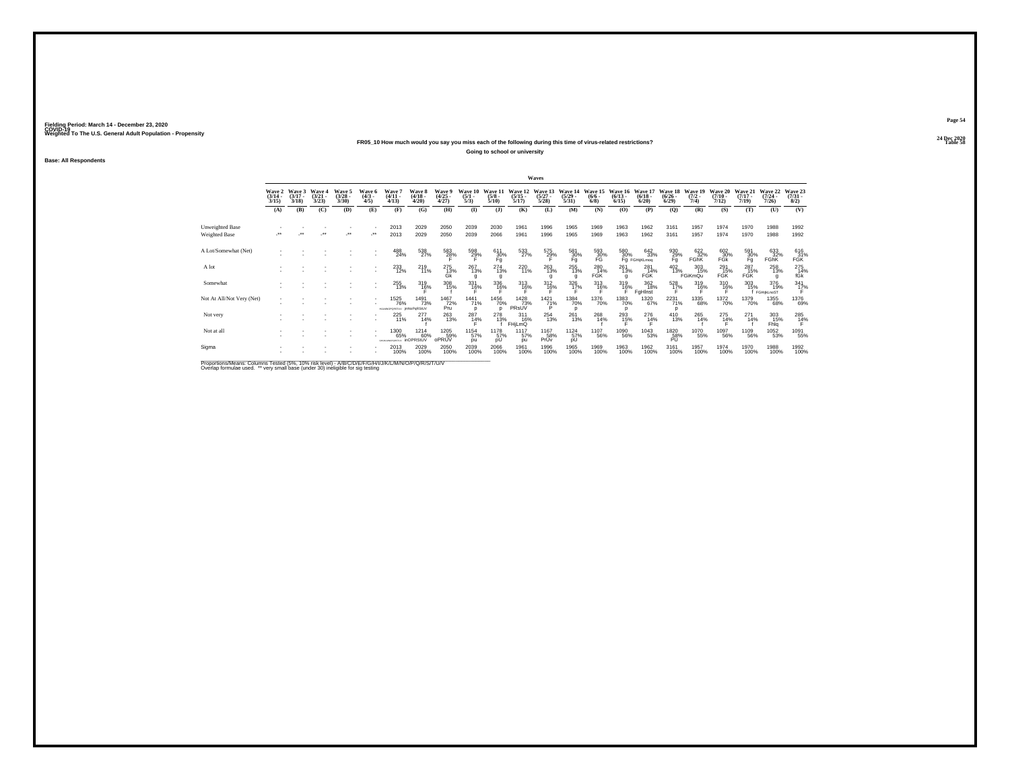### **24 Dec 2020FR05\_10 How much would you say you miss each of the following during this time of virus-related restrictions?**

**Going to school or university**

**Base: All Respondents**

|                                                                                                             |                                 |                             |                                        |                                |                              |                                                 |                                   |                                |                                |                                 |                                       | Waves                            |                                              |                               |                                 |                                                                                                                    |                                  |                                |                                  |                              |                                  |                                |
|-------------------------------------------------------------------------------------------------------------|---------------------------------|-----------------------------|----------------------------------------|--------------------------------|------------------------------|-------------------------------------------------|-----------------------------------|--------------------------------|--------------------------------|---------------------------------|---------------------------------------|----------------------------------|----------------------------------------------|-------------------------------|---------------------------------|--------------------------------------------------------------------------------------------------------------------|----------------------------------|--------------------------------|----------------------------------|------------------------------|----------------------------------|--------------------------------|
|                                                                                                             | Wave 2<br>$\frac{(3/14)}{3/15}$ | Wave 3<br>$(3/17 -$<br>3/18 | <b>Wave 4</b><br>$\frac{(3/21)}{3/23}$ | Wave 5<br>$\binom{3/28}{3/30}$ | Wave 6<br>$\binom{4/3}{4/5}$ | Wave 7<br>$\frac{(4/11)}{4/13}$                 | Wave 8<br>$\frac{(4/18)}{4/20}$   | Wave 9<br>$\binom{4/25}{4/27}$ | Wave 10<br>$\frac{(5/1)}{5/3}$ | Wave 11<br>$\frac{(5/8)}{5/10}$ | Wave 12<br>$\frac{(5/15)}{5/17}$      | Wave 13<br>$\frac{(5/27)}{5/28}$ | Wave 14<br>$\frac{(5/29)}{5/31}$             | Wave 15<br>$\binom{6/6}{6/8}$ | Wave 16<br>$\binom{6/13}{6/15}$ | Wave 17<br>$\binom{6/18}{6/20}$                                                                                    | Wave 18<br>$\frac{(6/26)}{6/29}$ | Wave 19<br>$\frac{(7/2)}{7/4}$ | Wave 20<br>$\frac{(7/10)}{7/12}$ | Wave 21<br>$(7/17 -$<br>7/19 | Wave 22<br>$\frac{(7/24)}{7/26}$ | Wave 23<br>$\binom{7/31}{8/2}$ |
|                                                                                                             | (A)                             | (B)                         | (C)                                    | (D)                            | (E)                          | (F)                                             | (G)                               | (H)                            | $($ I                          | (1)                             | (K)                                   | (L)                              | (M)                                          | (N)                           | (O)                             | (P)                                                                                                                | $\mathbf{Q}$                     | (R)                            | (S)                              | (T)                          | (U)                              | (V)                            |
| Unweighted Base                                                                                             |                                 |                             |                                        |                                |                              | 2013                                            | 2029                              | 2050                           | 2039                           | 2030                            | 1961                                  | 1996                             | 1965                                         | 1969                          | 1963                            | 1962                                                                                                               | 3161                             | 1957                           | 1974                             | 1970                         | 1988                             | 1992                           |
| Weighted Base                                                                                               |                                 |                             |                                        | $\ddot{\phantom{0}}$           |                              | 2013                                            | 2029                              | 2050                           | 2039                           | 2066                            | 1961                                  | 1996                             | 1965                                         | 1969                          | 1963                            | 1962                                                                                                               | 3161                             | 1957                           | 1974                             | 1970                         | 1988                             | 1992                           |
| A Lot/Somewhat (Net)                                                                                        |                                 |                             |                                        |                                |                              | $^{488}_{24\%}$                                 | 538<br>27%                        | $\frac{583}{28\%}$             | 598<br>29%                     | $^{611}_{30\%}$ Fg              | $\frac{533}{27\%}$                    | 575<br>29%                       | 581<br>30%<br>Fg                             | $^{593}_{30\%}$ FG            |                                 | $\begin{array}{r} 580 & 642 \\ 30\% & 33 \\ \hline \text{Fg } \text{FGHijkLmoq} \end{array}$<br>$\frac{642}{33\%}$ | 930<br>29%<br>Fg                 | 622<br>32%<br>FGhK             | $^{602}_{-30\%}$ FGk             | 591<br>30%                   | $^{633}_{32\%}$ FGhK             | $^{616}_{31\%}$ FGK            |
| A lot                                                                                                       |                                 |                             |                                        |                                | ٠<br>$\sim$                  | $^{233}_{12\%}$                                 | $^{219}_{11\%}$                   | $^{275}_{13\%}$<br>Gk          | 267<br>13%                     | $^{274}_{13\%}$                 | 220 11%                               | 263<br>13%                       | $^{255}_{\phantom{1}13\%}$<br>$\mathfrak{q}$ | 280<br>14%<br><b>FGK</b>      | 261<br>13%                      | 281<br>14%<br>FGK                                                                                                  | $^{402}_{13\%}$                  | 303<br>15%<br>FGiKmQu          | 291<br>15%<br>FGK                | $^{287}_{15\%}$<br>FGK       | 258<br>13%                       | 275<br>14%<br>fGk              |
| Somewhat                                                                                                    |                                 |                             |                                        |                                | $\sim$                       | 255<br>13%                                      | 319<br>16%                        | 308<br>15%                     | 331<br>16%                     | 336<br>16%                      | $^{313}_{16\%}$                       | $^{312}_{16\%}$                  | $\frac{326}{17}\%$                           | 313<br>16%                    | $^{319}_{16\%}$                 | $\frac{362}{18\%}$<br>FaHlnst                                                                                      | $^{528}_{17\%}$                  | $^{319}_{16\%}$                | $^{310}_{16\%}$                  | $\frac{303}{15\%}$           | 376<br>19%<br>FGHijkLnoST        | $^{341}_{17\%}$                |
| Not At All/Not Very (Net)                                                                                   |                                 |                             |                                        |                                |                              | <sup>1525</sup> 76%<br>HUMNOPORSTUV IMNOPORSIUV | 1491<br>73%                       | 1467<br>72%<br>Pru             | 1441<br>71%                    | 1456<br>70%                     | 1428<br>73%<br>PRsUV                  | 1421<br>71%                      | 1384<br>70%<br>$\Omega$                      | <sup>1376</sup> 70%           | 1383<br>70%                     | 1320<br>67%                                                                                                        | 2231<br>71%                      | 1335<br>68%                    | 1372<br>70%                      | 1379<br>70%                  | 1355<br>68%                      | 1376<br>69%                    |
| Not very                                                                                                    |                                 |                             |                                        |                                |                              | 225<br>11%                                      | $^{277}_{14\%}$                   | $^{263}_{13\%}$                | $^{287}_{14\%}$                | 278<br>13%                      | $^{311}_{16\%}$<br>FHjLmQ             | 254<br>13%                       | 261<br>13%                                   | 268<br>14%                    | $^{293}_{15\%}$                 | $^{276}_{14\%}$                                                                                                    | $^{410}_{13\%}$                  | $^{265}_{14\%}$                | $^{275}_{14\%}$                  | $^{271}_{14\%}$              | 303<br>15%<br>Fhla               | $^{285}_{14\%}$                |
| Not at all                                                                                                  |                                 |                             |                                        |                                |                              | <sup>1300</sup> 65%                             | <sup>1214</sup> 60%<br>inOPRStLIV | 1205<br>59%<br>oPRUV           | 1154<br>57%<br>pu              | 1178<br>57%<br>pU               | <sup>11</sup> 17 <sub>57%</sub><br>pu | 1167<br>58%<br>PrÜv              | 1124<br>57%<br>pÛ                            | 1107<br>56%                   | 1090<br>56%                     | 1043<br>53%                                                                                                        | 1820<br>58%<br>PU                | 1070<br>55%                    | 1097<br>56%                      | 1109<br>56%                  | 1052<br>53%                      | 1091<br>55%                    |
| Sigma                                                                                                       |                                 |                             |                                        |                                |                              | 2013<br>100%                                    | 2029<br>100%                      | 2050<br>100%                   | 2039<br>100%                   | 2066<br>100%                    | 1961<br>100%                          | 1996<br>100%                     | 1965<br>100%                                 | 1969<br>100%                  | 1963<br>100%                    | 1962<br>100%                                                                                                       | 3161<br>100%                     | 1957<br>100%                   | 1974<br>100%                     | 1970<br>100%                 | 1988<br>100%                     | 1992<br>100%                   |
| Bronortiona Magna: Columna Toptad (59/ - 109/ -riok Joyal) A IBIC IDIC IDIC AUTH IN A ANICO IDIO IDIO TALIN |                                 |                             |                                        |                                |                              |                                                 |                                   |                                |                                |                                 |                                       |                                  |                                              |                               |                                 |                                                                                                                    |                                  |                                |                                  |                              |                                  |                                |

Proportions/Means: Columns Tested (5%, 10% risk level) - A/B/C/D/E/F/G/H/I/J/K/L/M/N/O/P/Q/R/S/T/U/V<br>Overlap formulae used. \*\* very small base (under 30) ineligible for sig testing

**Page 54**24 Dec 2020<br>Table 58

**Table 58 Table 58**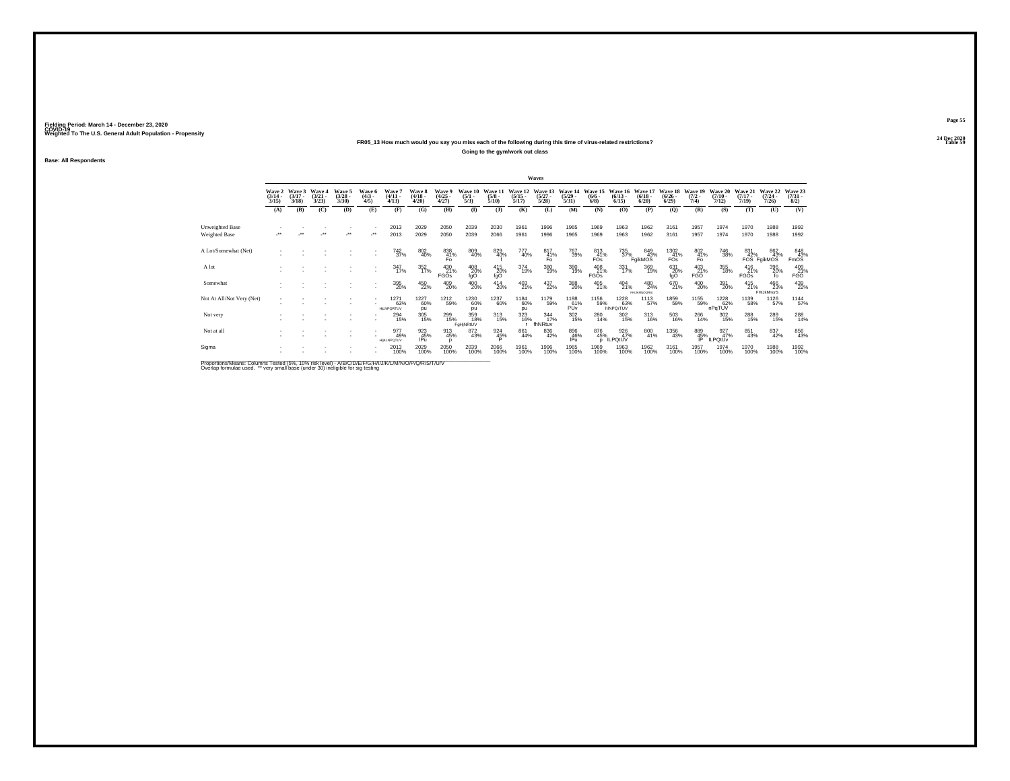## **24 Dec 2020FR05\_13 How much would you say you miss each of the following during this time of virus-related restrictions?**

**Going to the gym/work out class**

**Base: All Respondents**

|                                                                                                            |                                 |                                 |                                 |                                |                              |                                    |                                 |                                |                                |                                 |                                  | Waves                            |                                  |                                |                                 |                                   |                                      |                                         |                                  |                                  |                                         |                                                           |
|------------------------------------------------------------------------------------------------------------|---------------------------------|---------------------------------|---------------------------------|--------------------------------|------------------------------|------------------------------------|---------------------------------|--------------------------------|--------------------------------|---------------------------------|----------------------------------|----------------------------------|----------------------------------|--------------------------------|---------------------------------|-----------------------------------|--------------------------------------|-----------------------------------------|----------------------------------|----------------------------------|-----------------------------------------|-----------------------------------------------------------|
|                                                                                                            | Wave 2<br>$\frac{(3/14)}{3/15}$ | Wave 3<br>$\frac{(3/17)}{3/18}$ | Wave 4<br>$\frac{(3/21)}{3/23}$ | Wave 5<br>$\binom{3/28}{3/30}$ | Wave 6<br>$\binom{4/3}{4/5}$ | <b>Wave</b><br>$(4/11 -$<br>(4/13) | Wave 8<br>$\frac{(4/18)}{4/20}$ | Wave 9<br>$\binom{4/25}{4/27}$ | Wave 10<br>$\frac{(5/1)}{5/3}$ | Wave 11<br>$\frac{(5/8)}{5/10}$ | Wave 12<br>$\frac{(5/15)}{5/17}$ | Wave 13<br>$\frac{(5/27)}{5/28}$ | Wave 14<br>$\frac{(5/29)}{5/31}$ | Wave 15<br>$\frac{(6/6)}{6/8}$ | Wave 16<br>$\binom{6/13}{6/15}$ | Wave 17<br>$\binom{6/18}{6/20}$   | Wave 18<br>$\frac{(6/26 - 6)}{6/29}$ | Wave 19<br>$\frac{(7/2)}{7/4}$          | Wave 20<br>$\frac{(7/10)}{7/12}$ | Wave 21<br>$\frac{(7/17)}{7/19}$ | Wave 22<br>$\frac{(7/24 - 7/26)}{7/26}$ | Wave 23<br>$\binom{7/31}{8/2}$                            |
|                                                                                                            | (A)                             | (B)                             | (C)                             | (D)                            | (E)                          | (F)                                | (G)                             | (H)                            | $\bf{I}$                       | $\mathbf{I}$                    | (K)                              | (L)                              | (M)                              | (N)                            | (O)                             | (P)                               | (Q)                                  | (R)                                     | (S)                              | (T)                              | (U)                                     | (V)                                                       |
| Unweighted Base<br>Weighted Base                                                                           |                                 |                                 | $\bullet\bullet$                | $^{\tiny{**}}$                 |                              | 2013<br>2013                       | 2029<br>2029                    | 2050<br>2050                   | 2039<br>2039                   | 2030<br>2066                    | 1961<br>1961                     | 1996<br>1996                     | 1965<br>1965                     | 1969<br>1969                   | 1963<br>1963                    | 1962<br>1962                      | 3161<br>3161                         | 1957<br>1957                            | 1974<br>1974                     | 1970<br>1970                     | 1988<br>1988                            | 1992<br>1992                                              |
| A Lot/Somewhat (Net)                                                                                       |                                 |                                 |                                 |                                |                              | 742<br>37%                         | $\substack{802 \\ 40\%}$        | 838<br>41%<br>Fo               | 809<br>40%                     | 829<br>40%                      | 777<br>40%                       | 817<br>$\frac{41}{50}$           | 767<br>39%                       | 813<br>41%<br>FOs              |                                 | 735<br>37%<br>FgikMOS             | 1302<br>$F_{\text{OS}}^{41\%}$       | $^{802}_{\substack{41\% \\ \text{Fo}}}$ | 746<br>38%                       | 831                              | 862<br>43%<br>42%<br>FOS FgikMOS        | $\begin{array}{r} 848 \\ 43\% \\ \text{FmOS} \end{array}$ |
| A lot                                                                                                      |                                 |                                 |                                 |                                |                              | $\frac{347}{17\%}$                 | 352<br>17%                      | 430<br>21%<br><b>FGOs</b>      | 408<br>20%<br>fgO              | 415<br>20%<br>fqO               | 374<br>19%                       | 380<br>19%                       | 380<br>19%                       | 408<br>21%<br><b>FGOs</b>      | 331<br>17%                      | 369<br>19%                        | 631<br>20%<br>fgO                    | 403<br>21%<br><b>FGO</b>                | 355<br>18%                       | $^{416}_{21\%}$<br><b>FGOs</b>   | 396<br>20%<br>f٥                        | 409<br>21%<br><b>FGO</b>                                  |
| Somewhat                                                                                                   |                                 |                                 |                                 |                                |                              | 395<br>20%                         | 450<br>22%                      | 409<br>20%                     | 400<br>20%                     | $^{414}_{20\%}$                 | 403<br>21%                       | 437<br>22%                       | 388<br>20%                       | $^{405}_{21\%}$                | $^{404}_{21\%}$                 | 480<br>24%<br><b>FHIJKMNOGRS:</b> | 670<br>21%                           | $^{400}_{20\%}$                         | 391<br>20%                       | $^{415}_{21\%}$                  | 466<br>23%<br>FHIJkMnorS                | 439<br>22%                                                |
| Not At All/Not Very (Net)                                                                                  |                                 |                                 |                                 |                                |                              | 1271<br>63%<br>HILNPORTUV          | 1227<br>60%<br>pu               | 1212<br>59%                    | 1230<br>60%<br><b>DU</b>       | 1237<br>60%                     | 1184<br>60%<br>pu                | 1179<br>59%                      | 1198<br>61%<br>PŬv               | 1156<br>59%                    | 1228<br>63%<br>hINPOrTUV        | 1113<br>57%                       | 1859<br>59%                          | 1155<br>59%                             | 1228<br>62%<br>nPqTUV            | 1139<br>58%                      | 1126<br>57%                             | 1144<br>57%                                               |
| Not very                                                                                                   |                                 |                                 |                                 |                                |                              | $^{294}_{15\%}$                    | $\frac{305}{15\%}$              | 299<br>15%                     | 359<br>18%<br>FaHiNRtUV        | 313<br>15%                      | 323<br>16%                       | 344<br>17%<br>fhNRtuv            | 302<br>15%                       | 280<br>14%                     | 302<br>15%                      | $^{313}_{16\%}$                   | 503<br>16%                           | 266<br>14%                              | 302<br>15%                       | 288<br>15%                       | 289<br>15%                              | 288<br>14%                                                |
| Not at all                                                                                                 |                                 |                                 |                                 |                                |                              | 977<br>49%<br><b>HIKLNPOTUV</b>    | 923<br>45%<br>IPu               | 913<br>45%                     | 872<br>43%                     | 924<br>45%                      | 861<br>44%                       | 836<br>42%                       | 896<br>46%<br>IPu                | 876<br>45%<br>D                | 926<br>47%<br><b>ILPOIUV</b>    | 800<br>41%                        | <sup>1356</sup> 43%                  | 889<br>45%<br>IP                        | 927%<br>ILPQtUv                  | 851<br>43%                       | 837<br>42%                              | 856<br>43%                                                |
| Sigma                                                                                                      |                                 |                                 |                                 |                                |                              | 2013<br>100%                       | 2029<br>100%                    | 2050<br>100%                   | 2039<br>100%                   | 2066<br>100%                    | 1961<br>100%                     | 1996<br>100%                     | 1965<br>100%                     | 1969<br>100%                   | 1963<br>100%                    | 1962<br>100%                      | 3161<br>100%                         | 1957<br>100%                            | 1974<br>100%                     | 1970<br>100%                     | 1988<br>100%                            | 1992<br>100%                                              |
| <b>Dreportions Meane: Columna Tested (59/1409) via Lough AIRICIDIC EICONITINAL MANIO (DIO ID IC (TAIN)</b> |                                 |                                 |                                 |                                |                              |                                    |                                 |                                |                                |                                 |                                  |                                  |                                  |                                |                                 |                                   |                                      |                                         |                                  |                                  |                                         |                                                           |

Proportions/Means: Columns Tested (5%, 10% risk level) - A/B/C/D/E/F/G/H/I/J/K/L/M/N/O/P/Q/R/S/T/U/V<br>Overlap formulae used. \*\* very small base (under 30) ineligible for sig testing

**Page 55**24 Dec 2020<br>Table 59

**Table 59 Table 59**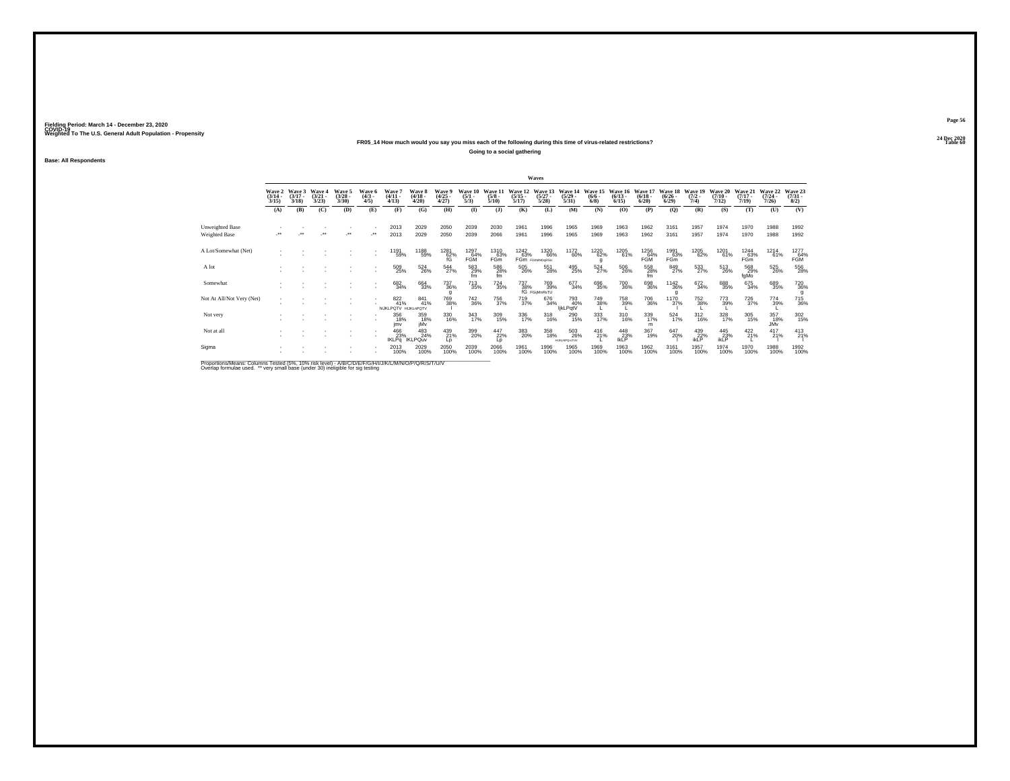### **24 Dec 2020FR05\_14 How much would you say you miss each of the following during this time of virus-related restrictions?**

**Going to a social gathering**

**Base: All Respondents**

|                           |                                 |                             |                                 |                                |                              |                                                                                                                     |                                 |                                 |                                |                                 |                                  | Waves                                             |                                   |                                      |                                  |                                 |                                 |                                |                                  |                                  |                                         |                                |
|---------------------------|---------------------------------|-----------------------------|---------------------------------|--------------------------------|------------------------------|---------------------------------------------------------------------------------------------------------------------|---------------------------------|---------------------------------|--------------------------------|---------------------------------|----------------------------------|---------------------------------------------------|-----------------------------------|--------------------------------------|----------------------------------|---------------------------------|---------------------------------|--------------------------------|----------------------------------|----------------------------------|-----------------------------------------|--------------------------------|
|                           | Wave 2<br>$\frac{(3/14)}{3/15}$ | Wave 3<br>$(3/17 -$<br>3/18 | Wave 4<br>$\frac{(3/21)}{3/23}$ | Wave 5<br>$\binom{3/28}{3/30}$ | Wave 6<br>$\binom{4/3}{4/5}$ | Wave 7<br>$\frac{(4/11)}{4/13}$                                                                                     | Wave 8<br>$\frac{(4/18)}{4/20}$ | Wave 9<br>$\frac{(4/25)}{4/27}$ | Wave 10<br>$\frac{(5/1)}{5/3}$ | Wave 11<br>$\frac{(5/8)}{5/10}$ | Wave 12<br>$\frac{(5/15)}{5/17}$ | Wave 13<br>$\frac{(5/27)}{5/28}$                  | Wave 14<br>$\frac{(5/29)}{5/31}$  | Wave 15<br>$\frac{(6/6 - 6)}{(6/8)}$ | Wave 16<br>$\frac{(6/13)}{6/15}$ | Wave 17<br>$\binom{6/18}{6/20}$ | Wave 18<br>$\binom{6/26}{6/29}$ | Wave 19<br>$\frac{(7/2)}{7/4}$ | Wave 20<br>$\frac{(7/10)}{7/12}$ | Wave 21<br>$\frac{(7/17)}{7/19}$ | Wave 22<br>$\frac{(7/24 - 7/26)}{7/26}$ | Wave 23<br>$\binom{7/31}{8/2}$ |
|                           | (A)                             | (B)                         | (C)                             | (D)                            | (E)                          | (F)                                                                                                                 | (G)                             | (H)                             | $($ $\Gamma$                   | (1)                             | (K)                              | (L)                                               | (M)                               | (N)                                  | (O)                              | (P)                             | (Q)                             | (R)                            | (S)                              | (T)                              | (U)                                     | (V)                            |
| Unweighted Base           |                                 |                             |                                 |                                |                              | 2013                                                                                                                | 2029                            | 2050                            | 2039                           | 2030                            | 1961                             | 1996                                              | 1965                              | 1969                                 | 1963                             | 1962                            | 3161                            | 1957                           | 1974                             | 1970                             | 1988                                    | 1992                           |
| Weighted Base             |                                 |                             |                                 | $\ddot{\phantom{0}}$           | $\cdot$                      | 2013                                                                                                                | 2029                            | 2050                            | 2039                           | 2066                            | 1961                             | 1996                                              | 1965                              | 1969                                 | 1963                             | 1962                            | 3161                            | 1957                           | 1974                             | 1970                             | 1988                                    | 1992                           |
| A Lot/Somewhat (Net)      |                                 |                             |                                 |                                |                              | 1191<br>59%                                                                                                         | 1188<br>59%                     | $^{1281}_{62\%}$ fG             | 1297<br>64%<br>FGM             | 1310<br>63%<br>FGm              | 1242<br>63%                      | 1320<br>66%<br>FGm FGMMOORSU                      | 1172<br>60%                       | 1220<br>62%<br>a                     | 1205<br>61%                      | 1256<br>FGM                     | 1991<br>_63%<br>FGm             | 1205<br>62%                    | 1201<br>61%                      | 1244<br>63%<br>FGm               | 1214<br>61%                             | 1277<br>FGM <sup>%</sup>       |
| A lot                     |                                 |                             |                                 |                                | ٠                            | 509<br>25%                                                                                                          | 524<br>26%                      | $^{544}_{27\%}$                 | 583<br>29%<br>fm               | $^{586}_{\  \, 28\%}$ fm        | 505<br>26%                       | 551<br>28%                                        | 495<br>25%                        | $^{524}_{27\%}$                      | 506<br>26%                       | $^{558}_{\phantom{5}28\%}$ fm   | 849<br>27%                      | 533<br>27%                     | 513<br>26%                       | 568<br>29%<br>fgMo               | 525<br>26%                              | 556<br>28%                     |
| Somewhat                  |                                 |                             |                                 |                                |                              | 682<br>34%                                                                                                          | 664<br>33%                      | 737<br>36%<br>g                 | <sup>713</sup> 35%             | $^{724}_{35\%}$                 |                                  | 737 769<br>38% 39%<br>fG FGijMnRsTU<br>769<br>39% | 677<br>34%                        | 696<br>35%                           | 700<br>36%                       | 698<br>36%                      | $^{1142}_{36\%}$                | 672<br>34%                     | 688<br>35%                       | 675<br>34%                       | 689<br>35%                              | 720<br>36%                     |
| Not At All/Not Very (Net) |                                 |                             |                                 |                                |                              | 822<br>41%<br>hijkLPQTV HijkLnPQTV                                                                                  | 841<br>41%                      | 769<br>38%                      | 742<br>36%                     | 756<br>37%                      | 719<br>37%                       | 676<br>34%                                        | 793<br>40%<br>likLPqtV            | 749<br>38%                           | 758<br>39%                       | <sup>706</sup> 36%              | 1170<br>37%                     | 752<br>38%                     | 773<br>39%                       | <sup>726</sup> 37%               | 774<br>39%                              | 715<br>36%                     |
| Not very                  |                                 |                             |                                 |                                |                              | 356<br>18%<br>imv                                                                                                   | 359<br>18%<br>iMv               | 330<br>16%                      | 343<br>17%                     | 309<br>15%                      | 336<br>17%                       | 318<br>16%                                        | 290<br>15%                        | 333<br>17%                           | 310<br>16%                       | 339<br>17%<br>m                 | $\frac{524}{17\%}$              | $^{312}_{16\%}$                | 328<br>17%                       | 305<br>15%                       | 357<br>18%<br>JMv                       | 302<br>15%                     |
| Not at all                |                                 |                             |                                 |                                |                              | 466<br>23%<br><b>IKLPq</b>                                                                                          | 483<br>24%<br><b>IKLPQuv</b>    | 439<br>21%<br>Lp                | 399<br>20%                     | $^{447}_{22\%}$                 | 383<br>20%                       | 358<br>18%                                        | 503<br>26%<br><b>HUKUNPOrsTUV</b> | $^{416}_{21\%}$                      | $^{448}_{23\%}$ lkLP             | 367<br>19%                      | 647<br>20%                      | $^{439}_{22\%}$ ikLP           | 445<br>23%<br>ikLP               | $422$<br>21%                     | $^{417}_{21\%}$                         | 413                            |
| Sigma                     |                                 |                             |                                 |                                |                              | 2013<br>100%                                                                                                        | 2029<br>100%                    | 2050<br>100%                    | 2039<br>100%                   | 2066<br>100%                    | 1961<br>100%                     | 1996<br>100%                                      | 1965<br>100%                      | 1969<br>100%                         | 1963<br>100%                     | 1962<br>100%                    | 3161<br>100%                    | 1957<br>100%                   | 1974<br>100%                     | 1970<br>100%                     | 1988<br>100%                            | 1992<br>100%                   |
|                           |                                 |                             |                                 |                                |                              | the contract of the contract of the contract of the contract of the contract of the contract of the contract of the |                                 |                                 |                                |                                 |                                  |                                                   |                                   |                                      |                                  |                                 |                                 |                                |                                  |                                  |                                         |                                |

Proportions/Means: Columns Tested (5%, 10% risk level) - A/B/C/D/E/F/G/H/I/J/K/L/M/N/O/P/Q/R/S/T/U/V<br>Overlap formulae used. \*\* very small base (under 30) ineligible for sig testing

**Page 56**24 Dec 2020<br>Table 60

**Table 60 Table 60 Table 60 Table 60**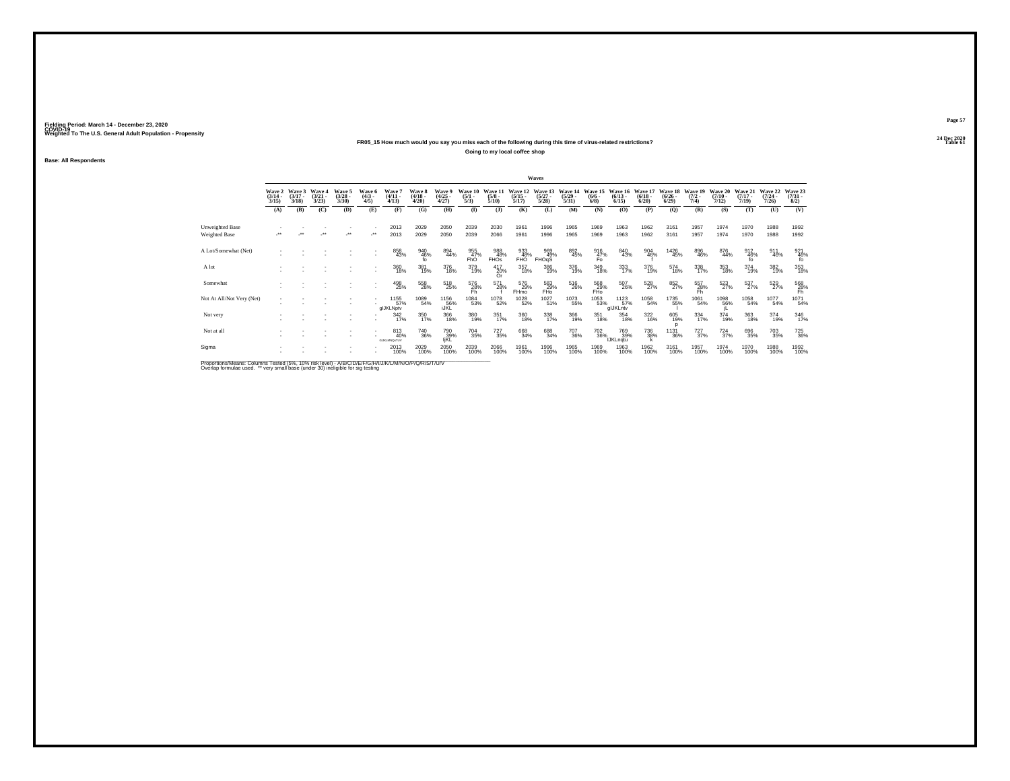### **24 Dec 2020FR05\_15 How much would you say you miss each of the following during this time of virus-related restrictions?**

**Going to my local coffee shop**

**Base: All Respondents**

|                                                                                                    |                                 |                                        |                                 |                                 |                              |                                  |                             |                                |                                |                                 |                                  | Waves                            |                                  |                                      |                                  |                                 |                                  |                                |                              |                              |                                  |                                |
|----------------------------------------------------------------------------------------------------|---------------------------------|----------------------------------------|---------------------------------|---------------------------------|------------------------------|----------------------------------|-----------------------------|--------------------------------|--------------------------------|---------------------------------|----------------------------------|----------------------------------|----------------------------------|--------------------------------------|----------------------------------|---------------------------------|----------------------------------|--------------------------------|------------------------------|------------------------------|----------------------------------|--------------------------------|
|                                                                                                    | Wave 2<br>$\frac{(3/14)}{3/15}$ | Wave 3<br>$(3/17 -$<br>3/18            | Wave 4<br>$\frac{(3/21)}{3/23}$ | Wave 5<br>$\frac{(3/28)}{3/30}$ | Wave 6<br>$\binom{4/3}{4/5}$ | Wave?<br>$(4/11 -$<br>4/13       | Wave 8<br>$(4/18 -$<br>4/20 | Wave 9<br>$\binom{4/25}{4/27}$ | Wave 10<br>$\frac{(5/1)}{5/3}$ | Wave 11<br>$\frac{(5/8)}{5/10}$ | Wave 12<br>$\frac{(5/15)}{5/17}$ | Wave 13<br>$\frac{(5/27)}{5/28}$ | Wave 14<br>$\frac{(5/29)}{5/31}$ | Wave 15<br>$\frac{(6/6 - 6)}{(6/8)}$ | Wave 16<br>$(6/13 -$<br>$6/15$ ) | Wave 17<br>$\binom{6/18}{6/20}$ | Wave 18<br>$\frac{(6/26)}{6/29}$ | Wave 19<br>$\frac{(7/2)}{7/4}$ | Wave 20<br>$(7/10 -$<br>7/12 | Wave 21<br>$(7/17 -$<br>7/19 | Wave 22<br>$\frac{(7/24)}{7/26}$ | Wave 23<br>$\binom{7/31}{8/2}$ |
|                                                                                                    | (A)                             | (B)                                    | (C)                             | (D)                             | (E)                          | (F)                              | (G)                         | (H)                            | $($ $\Gamma$                   | $\mathbf{J}$                    | (K)                              | (L)                              | (M)                              | (N)                                  | (O)                              | (P)                             | (Q)                              | (R)                            | (S)                          | (T)                          | (U)                              | (V)                            |
| Unweighted Base<br>Weighted Base                                                                   |                                 | $^{\tiny{\text{+}}\, \tiny{\text{+}}}$ |                                 | $\cdot$                         |                              | 2013<br>2013                     | 2029<br>2029                | 2050<br>2050                   | 2039<br>2039                   | 2030<br>2066                    | 1961<br>1961                     | 1996<br>1996                     | 1965<br>1965                     | 1969<br>1969                         | 1963<br>1963                     | 1962<br>1962                    | 3161<br>3161                     | 1957<br>1957                   | 1974<br>1974                 | 1970<br>1970                 | 1988<br>1988                     | 1992<br>1992                   |
| A Lot/Somewhat (Net)                                                                               |                                 |                                        |                                 |                                 |                              | 858<br>43%                       | 940<br>46%<br>fo            | 894<br>44%                     | 955<br>47%<br>FhO              | 988<br>48%<br><b>FHOS</b>       | 933<br>48%<br>FHO                | 969<br>49%<br>FHOgS              | 892<br>45%                       | $\frac{916}{47\%}$                   | 840<br>43%                       | 904<br>46%                      | 1426<br>45%                      | 896<br>46%                     | 876<br>44%                   | 912<br>46%<br>fo             | 911<br>46%                       | $\frac{921}{46\%}$             |
| A lot                                                                                              |                                 |                                        |                                 |                                 |                              | 360<br>18%                       | 381<br>19%                  | 376<br>18%                     | 379<br>19%                     | 417<br>20%<br>Or.               | 357<br>18%                       | 386<br>19%                       | 376<br>19%                       | 349<br>18%                           | 333<br>17%                       | 376<br>19%                      | 574<br>18%                       | 338<br>17%                     | 353<br>18%                   | 374<br>19%                   | 382<br>19%                       | 353<br>18%                     |
| Somewhat                                                                                           |                                 |                                        |                                 |                                 |                              | 498<br>25%                       | 558<br>28%                  | $^{518}_{25\%}$                | 576<br>28%<br>Fh               | 571<br>28%                      | 576<br>29%<br>FHmo               | $^{583}_{29\%}$ FHo              | 516<br>26%                       | 568<br>29%<br>FHo                    | 507<br>26%                       | 528<br>27%                      | 852%                             | 557<br>28%<br>Fh               | 523                          | $^{537}_{27\%}$              | 529<br>27%                       | $^{568}_{28\%}$                |
| Not At All/Not Very (Net)                                                                          |                                 |                                        |                                 |                                 |                              | 1155<br>57%<br>glJKLNptv         | 1089<br>54%                 | 1156<br>56%<br>IJKL            | 1084<br>53%                    | 1078<br>52%                     | 1028<br>52%                      | 1027<br>51%                      | 1073<br>55%                      | 1053<br>53%                          | 1123<br>57%<br>glJKLntv          | 1058<br>54%                     | 1735<br>55%                      | 1061<br>54%                    | 1098<br>56%                  | 1058<br>54%                  | 1077<br>54%                      | 1071<br>54%                    |
| Not very                                                                                           |                                 |                                        |                                 |                                 |                              | 342/17%                          | 350<br>17%                  | 366<br>18%                     | 380<br>19%                     | 351<br>17%                      | 360<br>18%                       | 338<br>17%                       | 366<br>19%                       | 351<br>18%                           | 354<br>18%                       | 322<br>16%                      | 605<br>19%                       | 334<br>17%                     | 374<br>19%                   | 363<br>18%                   | 374<br>19%                       | 346<br>17%                     |
| Not at all                                                                                         |                                 |                                        |                                 |                                 |                              | 813<br>40%<br><b>GUKLMNOsTUV</b> | <sup>740</sup> 36%          | 790<br>39%<br>IjKL             | 704<br>35%                     | <sup>727</sup> <sub>35%</sub>   | 668<br>34%                       | 688<br>34%                       | 707<br>36%                       | $^{702}_{36\%}$                      | 769<br>39%<br><b>IJKLngtu</b>    | 736<br>38%                      | <sup>1131</sup> 36%              | $^{727}_{37\%}$                | $^{724}_{37\%}$              | 696<br>35%                   | 703<br>35%                       | <sup>725</sup> <sub>36%</sub>  |
| Sigma                                                                                              |                                 |                                        |                                 |                                 |                              | 2013<br>100%                     | 2029<br>100%                | 2050<br>100%                   | 2039<br>100%                   | 2066<br>100%                    | 1961<br>100%                     | 1996<br>100%                     | 1965<br>100%                     | 1969<br>100%                         | 1963<br>100%                     | 1962<br>100%                    | 3161<br>100%                     | 1957<br>100%                   | 1974<br>100%                 | 1970<br>100%                 | 1988<br>100%                     | 1992<br>100%                   |
| Proportions Means: Columns Tested (5%, 10% risk level) - MBIC/D/E/E/C/H/U/K/L/M/N/O/D/O/P/S/T/LI/V |                                 |                                        |                                 |                                 |                              |                                  |                             |                                |                                |                                 |                                  |                                  |                                  |                                      |                                  |                                 |                                  |                                |                              |                              |                                  |                                |

Proportions/Means: Columns Tested (5%, 10% risk level) - A/B/C/D/E/F/G/H/I/J/K/L/M/N/O/P/Q/R/S/T/U/V<br>Overlap formulae used. \*\* very small base (under 30) ineligible for sig testing

**Page 57**24 Dec 2020<br>Table 61

**Table 61 Table 61 Table 61**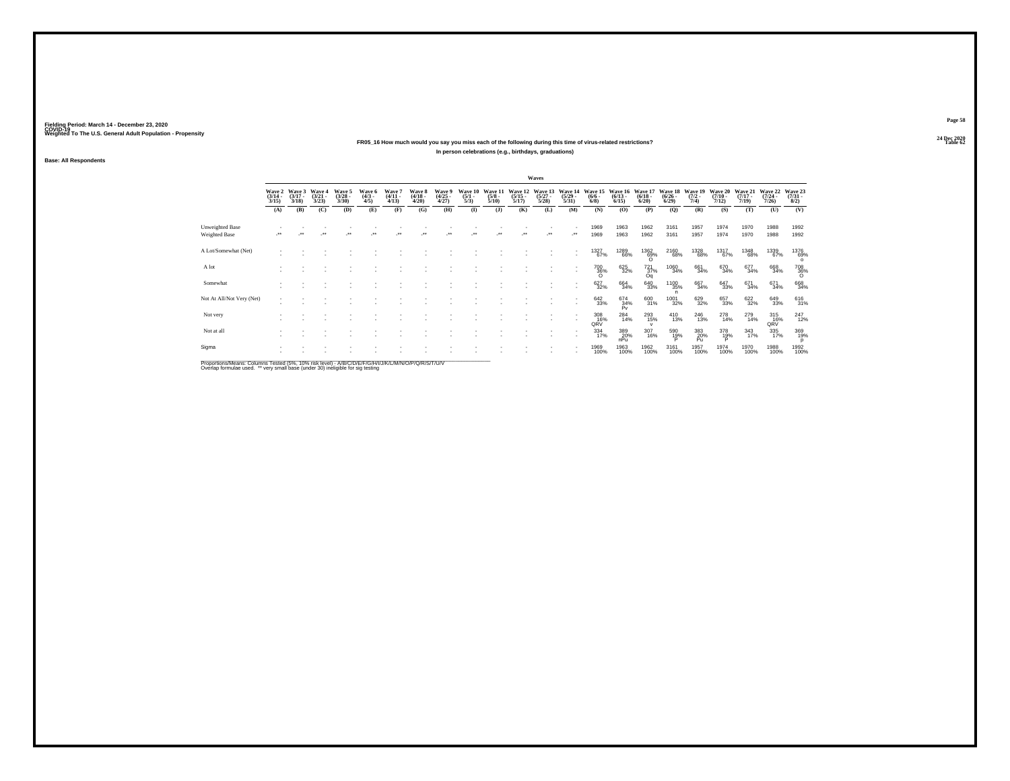**24 Dec 2020FR05\_16 How much would you say you miss each of the following during this time of virus-related restrictions?In person celebrations (e.g., birthdays, graduations)**

**Base: All Respondents**

|                                         |                       |                                        |                                 |                                |                               |                                 |                                        |                                |                                        |                                 |                                  | Waves                            |                                     |                                      |                                 |                                  |                                        |                                |                                  |                                  |                                  |                                |
|-----------------------------------------|-----------------------|----------------------------------------|---------------------------------|--------------------------------|-------------------------------|---------------------------------|----------------------------------------|--------------------------------|----------------------------------------|---------------------------------|----------------------------------|----------------------------------|-------------------------------------|--------------------------------------|---------------------------------|----------------------------------|----------------------------------------|--------------------------------|----------------------------------|----------------------------------|----------------------------------|--------------------------------|
|                                         | $\frac{(3/14)}{3/15}$ | Wave 2 Wave 3<br>$\frac{(3/17)}{3/18}$ | Wave 4<br>$\frac{(3/21)}{3/23}$ | Wave 5<br>$\binom{3/28}{3/30}$ | Wave 6<br>$\frac{(4/3)}{4/5}$ | Wave 7<br>$\frac{(4/11)}{4/13}$ | Wave 8<br>$\frac{(4/18 - 4/28)}{4/20}$ | Wave 9<br>$\binom{4/25}{4/27}$ | Wave 10<br>$\frac{(5/1)}{5/3}$         | Wave 11<br>$\frac{(5/8)}{5/10}$ | Wave 12<br>$\frac{(5/15)}{5/17}$ | Wave 13<br>$\frac{(5/27)}{5/28}$ | Wave 14<br>$\frac{(5/29)}{5/31}$    | Wave 15<br>$\frac{(6/6 - 6)}{(6/8)}$ | Wave 16<br>$\binom{6/13}{6/15}$ | Wave 17<br>$\frac{(6/18)}{6/20}$ | Wave 18<br>$\frac{(6/26 - 6)}{(6/29)}$ | Wave 19<br>$\frac{(7/2)}{7/4}$ | Wave 20<br>$\frac{(7/10)}{7/12}$ | Wave 21<br>$\frac{(7/17)}{7/19}$ | Wave 22<br>$\frac{(7/24)}{7/26}$ | Wave 23<br>$\binom{7/31}{8/2}$ |
|                                         | (A)                   | (B)                                    | (C)                             | (D)                            | (E)                           | (F)                             | (G)                                    | (H)                            | $($ $\Gamma$                           | (1)                             | (K)                              | (L)                              | (M)                                 | (N)                                  | (O)                             | (P)                              | (Q)                                    | (R)                            | (S)                              | (T)                              | (U)                              | (V)                            |
| Unweighted Base<br><b>Weighted Base</b> | $\ddot{\phantom{0}}$  |                                        | $\bullet\bullet$                | $\ddot{\phantom{0}}$           | $\ddot{\phantom{0}}$          | $^{\tiny{**}}$                  |                                        | $\bullet\bullet$               | $^{\tiny{\text{+}}\, \tiny{\text{+}}}$ |                                 | $\ddot{\phantom{0}}$             | $\bullet\bullet$                 | $\overline{\phantom{a}}$<br>$\cdot$ | 1969<br>1969                         | 1963<br>1963                    | 1962<br>1962                     | 3161<br>3161                           | 1957<br>1957                   | 1974<br>1974                     | 1970<br>1970                     | 1988<br>1988                     | 1992<br>1992                   |
| A Lot/Somewhat (Net)                    |                       |                                        |                                 |                                |                               |                                 |                                        |                                |                                        |                                 |                                  |                                  | ٠<br>$\overline{\phantom{a}}$       | 1327<br>67%                          | 1289<br>66%                     | $^{1362}_{69\%}$                 | 2160<br>68%                            | 1328<br>68%                    | 1317<br>67%                      | 1348<br>68%                      | 1339<br>67%                      | 1376<br>69%<br>$\circ$         |
| A lot                                   |                       |                                        |                                 |                                |                               |                                 |                                        |                                |                                        |                                 |                                  |                                  | $\sim$                              | <sup>700</sup> 36%                   | 625<br>32%                      | $^{721}_{37\%}$<br>Oq            | 1060<br>34%                            | 661<br>34%                     | 670<br>34%                       | 677<br>34%                       | 668<br>34%                       | $\frac{708}{36\%}$             |
| Somewhat                                |                       |                                        |                                 |                                |                               |                                 |                                        |                                |                                        |                                 |                                  |                                  | ٠<br>٠                              | 627<br>32%                           | 664<br>34%                      | 64033%                           | 1100<br>35%<br>$\mathsf{n}$            | 667<br>34%                     | 647<br>33%                       | 671<br>34%                       | 671<br>34%                       | 668<br>34%                     |
| Not At All/Not Very (Net)               |                       |                                        |                                 |                                |                               |                                 |                                        |                                |                                        |                                 |                                  |                                  |                                     | $\substack{642\\33\%}$               | 674<br>34%<br>Pv                | 600<br>31%                       | 1001<br>32%                            | 629<br>32%                     | 657<br>33%                       | 622<br>32%                       | 649<br>33%                       | 616<br>31%                     |
| Not very                                |                       |                                        |                                 |                                |                               |                                 |                                        |                                |                                        |                                 |                                  |                                  | $\overline{\phantom{a}}$            | 308<br>16%<br>QRV                    | 284<br>14%                      | 293<br>15%<br>$\mathbf{v}$       | $^{410}_{13\%}$                        | 246<br>13%                     | 278<br>14%                       | 279<br>14%                       | $^{315}_{16\%}$<br>QRV           | 247<br>12%                     |
| Not at all                              |                       |                                        |                                 |                                |                               |                                 |                                        |                                |                                        |                                 |                                  |                                  | ٠                                   | 334<br>17%                           | 389<br>20%<br>nPu               | 307<br>16%                       | 590<br>19%                             | 383<br>20%<br>Pu               | 378<br>19%                       | 343<br>17%                       | 335<br>17%                       | 369<br>19%<br>D                |
| Sigma                                   |                       |                                        |                                 |                                |                               |                                 |                                        |                                |                                        |                                 |                                  |                                  | ٠                                   | 1969<br>100%                         | 1963<br>100%                    | 1962<br>100%                     | 3161<br>100%                           | 1957<br>100%                   | 1974<br>100%                     | 1970<br>100%                     | 1988<br>100%                     | 1992<br>100%                   |

Proportions/Means: Columns Tested (5%, 10% risk level) - A/B/C/D/E/F/G/H/I/J/K/L/M/N/O/P/Q/R/S/T/U/V<br>Overlap formulae used. \*\* very small base (under 30) ineligible for sig testing

**Page 5824 Dec 2020<br>Table 62** 

**Table 62 Table 62**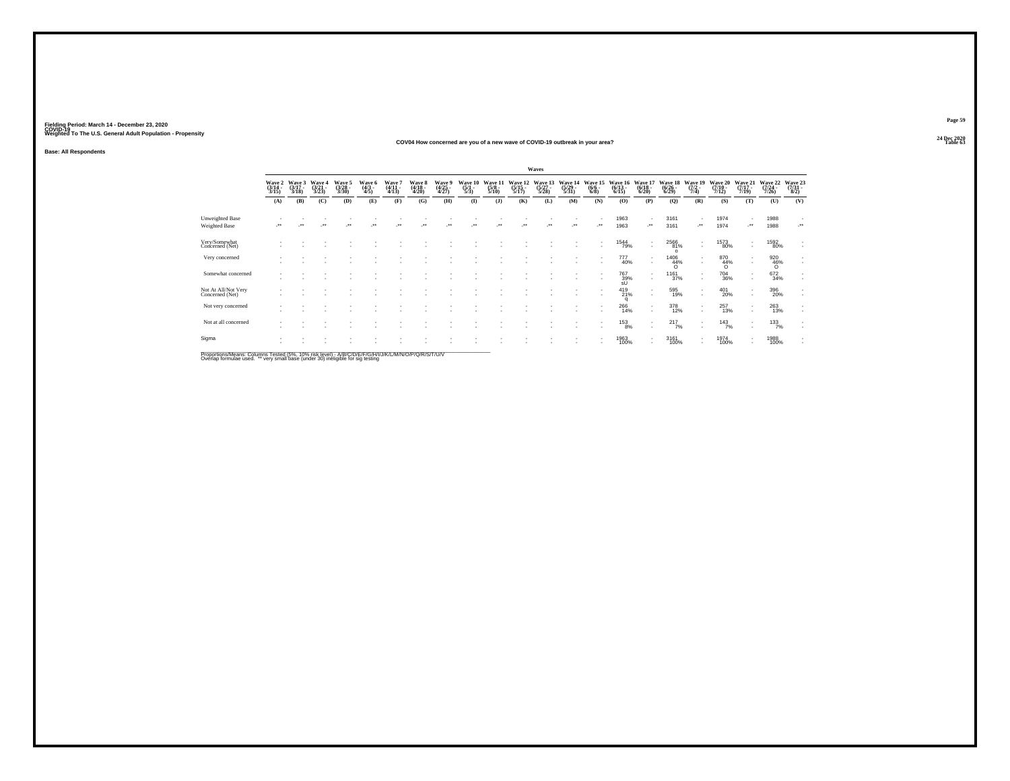#### **24 Dec 2020COV04 How concerned are you of a new wave of COVID-19 outbreak in your area?Table 63 Table 63**

**Base: All Respondents**

|                                        |                            |                             |                          |                           |                           |                           |                           |                          |                                |                                 |                             | Waves                     |                                  |                                |                              |                               |                            |                                                      |                              |                                    |                              |                                                      |
|----------------------------------------|----------------------------|-----------------------------|--------------------------|---------------------------|---------------------------|---------------------------|---------------------------|--------------------------|--------------------------------|---------------------------------|-----------------------------|---------------------------|----------------------------------|--------------------------------|------------------------------|-------------------------------|----------------------------|------------------------------------------------------|------------------------------|------------------------------------|------------------------------|------------------------------------------------------|
|                                        | Wave 2<br>(3/14 -<br>3/15) | Wave 3<br>$(3/17 -$<br>3/18 | Wave 4<br>(3/21)<br>3/23 | Wave 5<br>(3/28 -<br>3/30 | Wave 6<br>$(4/3 -$<br>4/5 | Wave 7<br>(4/11 -<br>4/13 | Wave 8<br>(4/18 -<br>4/20 | Wave 9<br>(4/25<br>4/27) | Wave 10<br>$\frac{(5/1)}{5/3}$ | Wave 11<br>$\frac{(5/8)}{5/10}$ | Wave 12<br>(5/15 -<br>5/17) | Wave 13<br>(5/27<br>5/28) | Wave 14<br>$\frac{(5/29)}{5/31}$ | <b>Wave</b><br>$(6/6 -$<br>6/8 | Wave 16<br>$(6/13 -$<br>6/15 | Wave:<br>$(6/18 -$<br>6/20    | Wave 18<br>(6/26 -<br>6/29 | Wave 19<br>$(7/2 -$<br>7/4                           | Wave 20<br>$(7/10 -$<br>7/12 | Wave 21<br>7/19                    | Wave 22<br>$(7/24 -$<br>7/26 | Wave 23<br>(7/31 -<br>8/2)                           |
|                                        | (A)                        | (B)                         | (C)                      | (D)                       | (E)                       | (F)                       | (G)                       | (H)                      | $($ $\Gamma$                   | $($ $)$                         | (K)                         | (L)                       | (M)                              | (N)                            | (O)                          | (P)                           | (Q)                        | (R)                                                  | (S)                          | (T)                                | (U)                          | (V)                                                  |
| Unweighted Base<br>Weighted Base       |                            |                             |                          |                           |                           |                           |                           |                          |                                |                                 |                             |                           |                                  | $\bullet\bullet$               | 1963<br>1963                 | ٠<br>                         | 3161<br>3161               | $\overline{\phantom{a}}$<br>                         | 1974<br>1974                 | -**                                | 1988<br>1988                 |                                                      |
| Very/Somewhat<br>Concerned (Net)       |                            |                             |                          |                           |                           |                           |                           |                          |                                |                                 |                             |                           |                                  |                                | <sup>1544</sup> 79%          | ٠<br>٠                        | 2566<br>81%<br>$\Omega$    | $\overline{\phantom{a}}$<br>$\overline{\phantom{a}}$ | <sup>1573</sup> 80%          | ٠                                  | <sup>1592</sup> 80%          | ٠                                                    |
| Very concerned                         |                            |                             |                          |                           |                           |                           |                           |                          |                                |                                 |                             |                           |                                  |                                | 777<br>40%                   | ٠<br>٠                        | 1406<br>$^{44\%}_{0}$      | $\overline{\phantom{a}}$                             | 870<br>44%<br>$\sigma$       | $\sim$                             | 920<br>46%<br>O              | $\mathbf{r}$<br>$\sim$                               |
| Somewhat concerned                     |                            |                             |                          |                           |                           |                           |                           |                          |                                |                                 |                             |                           |                                  | ٠                              | <sup>767</sup> 39%<br>sÜ     | $\overline{\phantom{a}}$<br>٠ | 1161<br>37%                | $\overline{\phantom{a}}$<br>$\overline{\phantom{a}}$ | <sup>704</sup> 36%           | $\overline{\phantom{a}}$<br>$\sim$ | 672<br>34%                   | $\overline{\phantom{a}}$<br>$\mathbf{r}$             |
| Not At All/Not Very<br>Concerned (Net) |                            |                             |                          |                           |                           |                           |                           |                          |                                |                                 |                             |                           |                                  |                                | $^{419}_{21\%}$<br>q         | ٠<br>٠                        | 595<br>19%                 | $\overline{\phantom{a}}$                             | 401<br>20%                   | ٠<br>$\sim$                        | 396<br>20%                   | $\sim$<br>$\sim$                                     |
| Not very concerned                     |                            |                             |                          |                           |                           |                           |                           |                          |                                |                                 |                             |                           |                                  |                                | 266<br>14%                   | $\mathbf{r}$<br>٠             | 378<br>12%                 | $\overline{\phantom{a}}$<br>$\overline{\phantom{a}}$ | 257<br>13%                   | ٠<br>$\overline{\phantom{a}}$      | 263<br>13%                   | $\overline{\phantom{a}}$<br>$\overline{\phantom{a}}$ |
| Not at all concerned                   |                            |                             |                          |                           |                           |                           |                           |                          |                                |                                 |                             |                           |                                  |                                | $^{153}_{8\%}$               | $\mathbf{r}$<br>٠             | $^{217}_{7\%}$             | $\overline{\phantom{a}}$<br>$\overline{\phantom{a}}$ | 143/7%                       | ٠<br>$\sim$                        | 133/7%                       | $\;$<br>$\mathbf{r}$                                 |
| Sigma                                  |                            |                             |                          |                           |                           |                           |                           |                          |                                |                                 |                             |                           |                                  |                                | 1963<br>100%                 | ٠<br>٠                        | 3161<br>100%               | $\overline{\phantom{a}}$<br>$\overline{\phantom{a}}$ | 1974<br>100%                 | $\sim$                             | 1988<br>100%                 | $\;$<br>$\mathbf{r}$                                 |

Proportions/Means: Columns Tested (5%, 10% risk level) - A/B/C/D/E/F/G/H/I/J/K/L/M/N/O/P/Q/R/S/T/U/V<br>Overlap formulae used. \*\* very small base (under 30) ineligible for sig testing

**Page 5924 Dec 2020<br>Table 63**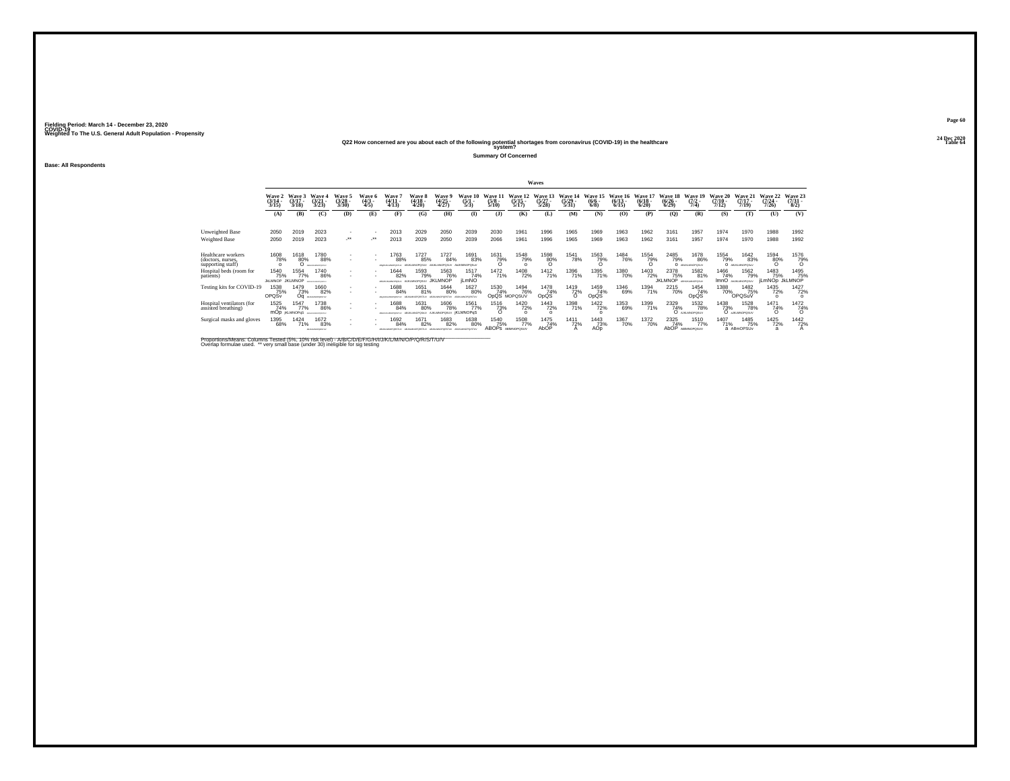## **24 Dec 2020Q22 How concerned are you about each of the following potential shortages from coronavirus (COVID-19) in the healthcare Table 64 system?**

**Summary Of Concerned**

**Base: All Respondents**

|                                                              |                                |                               |                                      |                                     |                           |                           |                                  |                                               |                             |                                     |                                 | <b>Waves</b>                    |                           |                               |                              |                                  |                                     |                                        |                               |                                      |                                 |                                |
|--------------------------------------------------------------|--------------------------------|-------------------------------|--------------------------------------|-------------------------------------|---------------------------|---------------------------|----------------------------------|-----------------------------------------------|-----------------------------|-------------------------------------|---------------------------------|---------------------------------|---------------------------|-------------------------------|------------------------------|----------------------------------|-------------------------------------|----------------------------------------|-------------------------------|--------------------------------------|---------------------------------|--------------------------------|
|                                                              | Wave<br>(3/14)<br>3/15         | Wave 3<br>$(3/17 -$<br>3/18   | Wave 4<br>(3/21)<br>3/23             | Wave 5<br>$(3/28 -$<br>3/30         | Wave 6<br>$(4/3 -$<br>4/5 | Wave<br>$(4/11 -$<br>4/13 | Wave 8<br>$(4/18 -$<br>4/20      | Wave<br>$(4/25 -$<br>4/27                     | Wave 10<br>$(5/1 -$<br>5/3  | Wave 11<br>$(5/8 -$<br>5/10         | Wave 12<br>$(5/15 -$<br>5/17    | Wave 13<br>$(5/27 -$<br>5/28    | Wave 14<br>(5/29)<br>5/31 | Wave 15<br>$\binom{6/6}{6/8}$ | Wave 16<br>$(6/13 -$<br>6/15 | Wave 17<br>$\frac{(6/18)}{6/20}$ | <b>Wave 18</b><br>$(6/26 -$<br>6/29 | Wave 19<br>$(7/2 -$<br>7/4)            | Wave 20<br>$(7/10 -$<br>7/12) | Wave 21<br>$(7/17 -$<br>7/19         | Wave 22<br>$(7/24 -$<br>7/26    | Wave 23<br>$(7/31 -$<br>8/2    |
|                                                              | (A)                            | (B)                           | (C)                                  | (D)                                 | (E)                       | (F)                       | (G)                              | (H)                                           | $\bf{I}$                    | (3)                                 | (K)                             | (L)                             | (M)                       | (N)                           | (0)                          | (P)                              | (Q)                                 | (R)                                    | (S)                           | (T)                                  | (U)                             | (V)                            |
| Unweighted Base                                              | 2050<br>2050                   | 2019<br>2019                  | 2023<br>2023                         | $\overline{\phantom{a}}$<br>$\cdot$ |                           | 2013<br>2013              | 2029<br>2029                     | 2050<br>2050                                  | 2039<br>2039                | 2030<br>2066                        | 1961<br>1961                    | 1996<br>1996                    | 1965<br>1965              | 1969<br>1969                  | 1963<br>1963                 | 1962<br>1962                     | 3161<br>3161                        | 1957<br>1957                           | 1974<br>1974                  | 1970<br>1970                         | 1988<br>1988                    | 1992<br>1992                   |
| Weighted Base                                                |                                |                               |                                      |                                     |                           |                           |                                  |                                               |                             |                                     |                                 |                                 |                           |                               |                              |                                  |                                     |                                        |                               |                                      |                                 |                                |
| Healthcare workers<br>(doctors, nurses,<br>supporting staff) | 1608<br>78%<br>$\Omega$        | 1618<br>80%                   | 1780<br>88%<br>BOILKLMONDETJI        |                                     | ٠                         | 1763<br>88%               | 1727<br>85%<br>ABJKLMNOPOSUV ABJ | 1727<br>84%<br><b>MNOPOSLIV</b>               | 1691<br>83%                 | 1631<br>79%                         | 1548<br>79%                     | 1598<br>80%                     | <sup>1541</sup> 78%       | 1563<br>79%                   | <sup>1484</sup> 76%          | 1554<br>79%                      | 2485<br>79%                         | <sup>1678</sup> 86%<br>O ABUILIMOPOSUV | 1554<br>79%                   | 1642<br>83%<br>O ABJILIMOPOSLY       | 1594<br>80%<br>$\Omega$         | 1576<br>79%                    |
| Hospital beds (room for<br>patients)                         | 1540<br>75%<br><b>JIKLMNOP</b> | 1554<br>77%<br><b>JKLMNOP</b> | 1740<br>86%<br><b>AFGHALMOPOMTUL</b> | $\overline{\phantom{a}}$            |                           | 1644<br>82%               | 1593<br>79%<br>AUKLMNOPGSUV      | 1563<br>76%<br><b>JKLMNOP</b>                 | 1517<br>74%<br><b>iLmNO</b> | 1472<br>71%                         | 1408<br>72%                     | 1412<br>71%                     | 1396<br>71%               | 1395<br>71%                   | 1380<br>70%                  | 1403<br>72%                      | 2378<br>75%<br><b>JKLMNOP</b>       | 1582<br>81%<br>ABHJALMNOPOSUV          | 1466<br>74%                   | 1562<br>79%<br>ImnO ANALINOPOSUV     | 1483<br>75%<br>jLmNOp JkLMNOP   | 1495<br>75%                    |
| Testing kits for COVID-19                                    | 1538<br>75%<br>OPQSv           | 1479<br>73%<br>Οa             | 1660<br>82%<br>ABJAIN/OPDRITING      |                                     | ٠                         | 688<br>84%                | 1651<br>81%                      | <sup>1644</sup> 80%                           | 1627<br>80%                 | <sup>1530</sup> 74%<br>OpQS MOPQSUV | <sup>1494</sup> 76%             | 1478<br>74%<br>OpQS             | <sup>1419</sup> 72%       | 1459<br>74%<br>OpQS           | 1346<br>69%                  | 1394<br>71%                      | <sup>2215</sup> 70%                 | 1454<br>74%<br>OpQS                    | 1388<br>70%                   | 1482<br>75%<br>OPQSuV                | <sup>1435</sup> 72%<br>$\Omega$ | <sup>1427</sup> 72%<br>$\circ$ |
| Hospital ventilators (for<br>assisted breathing)             | 1525<br>74%                    | 1547<br>77%<br>mOp KLMNOPqS   | 1738<br>86%<br>ABDILIANOPORETY       |                                     |                           | 1688<br>84%               | 1631<br>80%                      | <sup>1606</sup> 78%<br>AIKLMNOPOSUV İKLMNOPOS | 1561<br>77%                 | $\frac{73\%}{0}$                    | <sup>1420</sup> 72%<br>$\Omega$ | <sup>1443</sup> 72%<br>$\Omega$ | 1398<br>71%               | 1422 72%<br>$\Omega$          | 1353<br>69%                  | 1399<br>71%                      | 2329<br>74%                         | <sup>1532</sup> 78%<br>O ARLMOPOSUV    | 1438<br>73%                   | <sup>1528</sup> 78%<br>O aJILMOPOSUV | 1471<br>74%<br>ö                | $\frac{1472}{74\%}$            |
| Surgical masks and gloves                                    | 1395<br>68%                    | 1424<br>71%                   | 1672<br>83%<br>AS AGAIN OF GRETIAL   | $\overline{\phantom{a}}$            |                           | 1692<br>84%               | 1671<br>82%                      | 1683<br>82%                                   | 1638<br>80%                 | 1540<br>75%<br>ABOPS ABMNOPOSUV     | 1508<br>77%                     | 1475<br>74%<br>AbOP             | 1411<br>72%               | 1443<br>73%<br>AÓD            | 1367<br>70%                  | 1372<br>70%                      | 2325<br>74%<br>AbOP                 | 1510<br>77%<br>ABIMNOPOSUV             | 1407<br>71%                   | 1485<br>75%<br>a ABmOPSUv            | 1425<br>72%<br>a                | 1442<br>72%                    |

Proportions/Means: Columns Tested (5%, 10% risk level) - A/B/C/D/E/F/G/H/I/J/K/L/M/N/O/P/Q/R/S/T/U/V<br>Overlap formulae used. \*\* very small base (under 30) ineligible for sig testing

**Page 6024 Dec 2020<br>Table 64**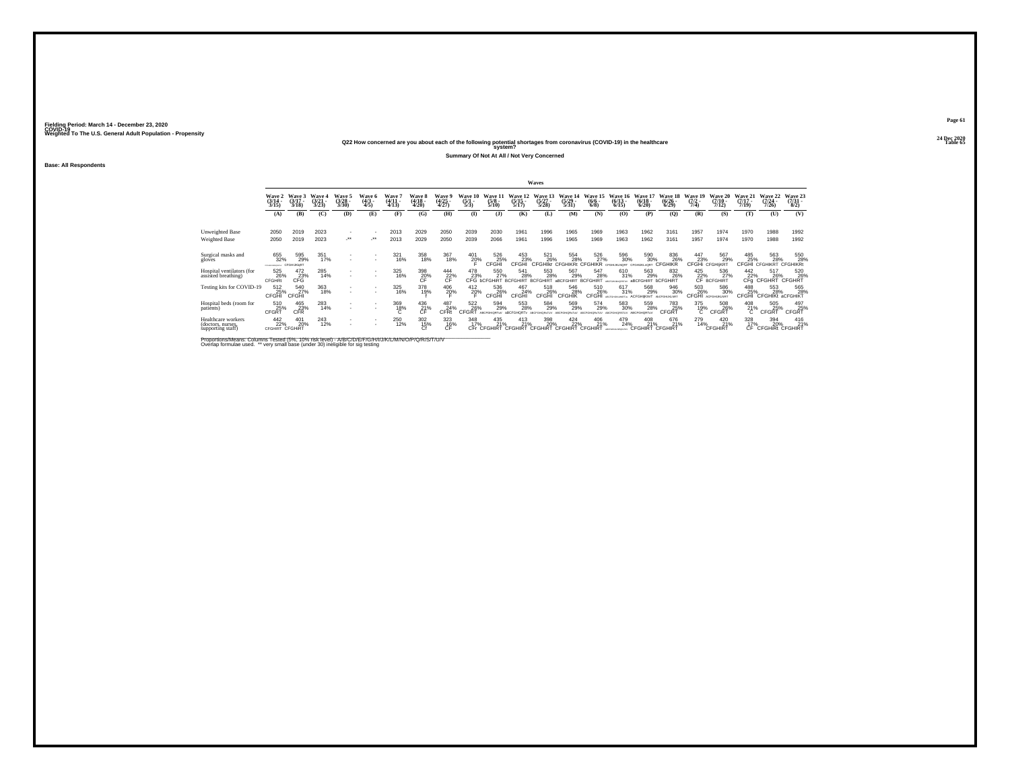**24 Dec 2020Q22 How concerned are you about each of the following potential shortages from coronavirus (COVID-19) in the healthcare Table 65 system?**

**Summary Of Not At All / Not Very Concerned**

**Base: All Respondents**

|                                                              |                                       |                             |                             |                                     |                                      |                             |                                    |                                 |                                |                                                                   |                                  | Waves                                                    |                                  |                                               |                                  |                                           |                                    |                                       |                                                            |                              |                                        |                                                  |
|--------------------------------------------------------------|---------------------------------------|-----------------------------|-----------------------------|-------------------------------------|--------------------------------------|-----------------------------|------------------------------------|---------------------------------|--------------------------------|-------------------------------------------------------------------|----------------------------------|----------------------------------------------------------|----------------------------------|-----------------------------------------------|----------------------------------|-------------------------------------------|------------------------------------|---------------------------------------|------------------------------------------------------------|------------------------------|----------------------------------------|--------------------------------------------------|
|                                                              | Wave 2<br>$\frac{(3/14)}{3/15}$       | Wave 3<br>$(3/17 -$<br>3/18 | Wave 4<br>$(3/21 -$<br>3/23 | Wave 5<br>$\binom{3/28}{3/30}$      | <b>Wave 6</b><br>$\frac{(4/3)}{4/5}$ | Wave 7<br>$(4/11 -$<br>4/13 | <b>Wave 8</b><br>$(4/18 -$<br>4/20 | Wave 9<br>$\frac{(4/25)}{4/27}$ | Wave 10<br>$\frac{(5/1)}{5/3}$ | Wave 11<br>$\frac{(5/8)}{5/10}$                                   | Wave 12<br>$\frac{(5/15)}{5/17}$ | Wave 13<br>$\frac{(5/27)}{5/28}$                         | Wave 14<br>$\frac{(5/29)}{5/31}$ | Wave 15<br>$\frac{(6/6)}{6/8}$                | Wave 16<br>$\frac{(6/13)}{6/15}$ | Wave 17<br>$\frac{(6/18)}{6/20}$          | Wave 18<br>$\frac{(6/26)}{(6/29)}$ | <b>Wave 19</b><br>$\frac{(7/2)}{7/4}$ | Wave 20<br>$(7/10 -$<br>7/12                               | Wave 21<br>$(7/17 -$<br>7/19 | Wave 22<br>$\frac{(7/24)}{7/26}$       | Wave 23<br>$\binom{7/31}{8/2}$                   |
|                                                              | (A)                                   | (B)                         | (C)                         | (D)                                 | (E)                                  | (F)                         | (G)                                | (H)                             | $\bf(I)$                       | (1)                                                               | (K)                              | (L)                                                      | (M)                              | (N)                                           | (O)                              | (P)                                       | (Q)                                | (R)                                   | (S)                                                        | (T)                          | (U)                                    | (V)                                              |
| Unweighted Base<br>Weighted Base                             | 2050<br>2050                          | 2019<br>2019                | 2023<br>2023                | $\overline{\phantom{a}}$<br>$\cdot$ | $\cdot$                              | 2013<br>2013                | 2029<br>2029                       | 2050<br>2050                    | 2039<br>2039                   | 2030<br>2066                                                      | 1961<br>1961                     | 1996<br>1996                                             | 1965<br>1965                     | 1969<br>1969                                  | 1963<br>1963                     | 1962<br>1962                              | 3161<br>3161                       | 1957<br>1957                          | 1974<br>1974                                               | 1970<br>1970                 | 1988<br>1988                           | 1992<br>1992                                     |
| Surgical masks and<br>gloves                                 | 655<br>32%<br>CFD 62636090 4741       | 595<br>29%<br>CFGHUKIgRT    | 351<br>17%                  | ٠<br>٠                              | ٠                                    | 321<br>16%                  | 358<br>18%                         | 367<br>18%                      | $^{401}_{20\%}$                | 526<br>25%<br>CFGHI                                               | $^{453}_{23\%}$ CFGHI            | 521<br>26%<br><b>CFGHIKI CFGHIKRt</b>                    | 554<br>28%                       | 526<br>27%<br>CFGHIKR CFGHUKLNORT CFGHUKLnORT | 596<br>30%                       | 590<br>30%                                | 836<br><sup>26%</sup><br>CFGHIKR   |                                       | <sup>447</sup> 567<br>29% 29% CFGHi CFGHIKRT<br>567<br>29% | 485<br>25%<br>CFGHI          | 563<br>28%<br><b>CFGHIKRT CFGHIKRt</b> | 550<br>28%                                       |
| Hospital ventilators (for<br>assisted breathing)             | 525<br>26%<br><b>CFGHRt</b>           | $^{472}_{CFG}$              | 285<br>14%                  | $\sim$<br>٠                         | $\sim$                               | 325<br>16%                  | $\underset{\mathsf{CF}}{398}$      | 444<br>$\frac{22}{\text{CF}}$ % |                                | 550<br>27%<br>478 550 541<br>23% 27% 28%<br>CFG bCFGHiRT BCFGHIRT | 541<br>28%                       | $^{553}_{\phantom{1}\phantom{1}28\%}$<br><b>BCFGHIRT</b> | 567<br>29%<br>aBCFGHIRT          | 547<br>28%<br><b>BCFGHIRT</b>                 | 610<br>31%<br>ARCOGUI MOORERS    | 563<br>29%<br>aBCFGHIRT                   | 832<br>26%<br><b>bCFGHiRT</b>      |                                       | 425 536<br>22% 27<br>CF BCFGHIRT<br>536<br>27%             |                              |                                        | 442 517 520<br>22% 26% 26%<br>CFg CFGHRT CFGHRT  |
| Testing kits for COVID-19                                    | 512<br>25%<br><b>CFGHI</b>            | 540<br>27%<br>CFGHI         | 363<br>18%                  | ٠                                   | $\sim$                               | 325<br>16%                  | 378<br>19%                         | $^{406}_{20\%}$                 | 412<br>20%                     | 536<br>26%<br>CFGHI                                               | 467<br>24%<br>CFGHI              | 518<br>26%<br>CFGHI                                      | 546<br>28%<br>CFGHIK             | 510<br>26%<br><b>CFGHI</b>                    | 617<br>31%<br>ABCFGHJALMARTev    | 568<br>29%<br>ACFGHIKInrT ANOYGHUKLNRT    | 946<br>30%                         | 503<br>26%<br><b>CFGHI</b>            | 586<br>30%<br><b>ACFGHLIKLNRT</b>                          | 488<br>25%<br>CFGHI          | 553<br>28%<br><b>CFGHIKt aCFGHIKT</b>  | 565<br>28%                                       |
| Hospital beds (room for<br>patients)                         | 510<br>25%<br>CFGRT                   | $^{465}_{23\%}$ CFR         | 283<br>14%                  | ٠<br>٠                              | $\sim$                               | 369<br>18%                  | $^{436}_{21\%}$                    | 487<br>24%<br>CFRt              | $522 \atop \times 26\%$ CFGRT  | 594<br>29%                                                        | 553<br>28%                       | 584<br>29%                                               | 569<br>29%                       | 574<br>29%                                    | 583<br>30%<br>ARCD               | 559<br>28%<br>ARCEGHORT-V                 | 783<br>25%<br>CFGRT                | $^{375}_{19\%}$                       | 508<br>26%<br>CFGRT                                        | $^{408}_{21\%}$              | 505<br>25%<br>CFGRT                    | 497<br>25%<br>CFGRT                              |
| Healthcare workers<br>(doctors, nurses,<br>supporting staff) | $\frac{442}{22\%}$<br>CFGHIRT CFGHIRT | 401<br>20%                  | 243<br>12%                  | ٠<br>$\overline{\phantom{a}}$       | ٠                                    | 250<br>12%                  | $\frac{302}{15\%}$                 | 323<br>CF                       | 348                            | 435<br>17% 21% 21% 20%                                            | 413                              | 398                                                      |                                  | 96 424 406<br>% 22% 21%<br>CFGHIRT CFGHIRT    | 479<br>24%                       | 408 676<br>11% 21% 21%<br>CFGHIRT CFGHIRT | 676<br>21%                         | 279<br>14%                            | 420<br>21%<br>CFGHIRT                                      | 328                          |                                        | 328 394 416<br>17% 20% 21%<br>CF CFGHiRt CFGHIRT |

Proportions/Means: Columns Tested (5%, 10% risk level) - A/B/C/D/E/F/G/H/I/J/K/L/M/N/O/P/Q/R/S/T/U/V<br>Overlap formulae used. \*\* very small base (under 30) ineligible for sig testing

**Page 6124 Dec 2020<br>Table 65**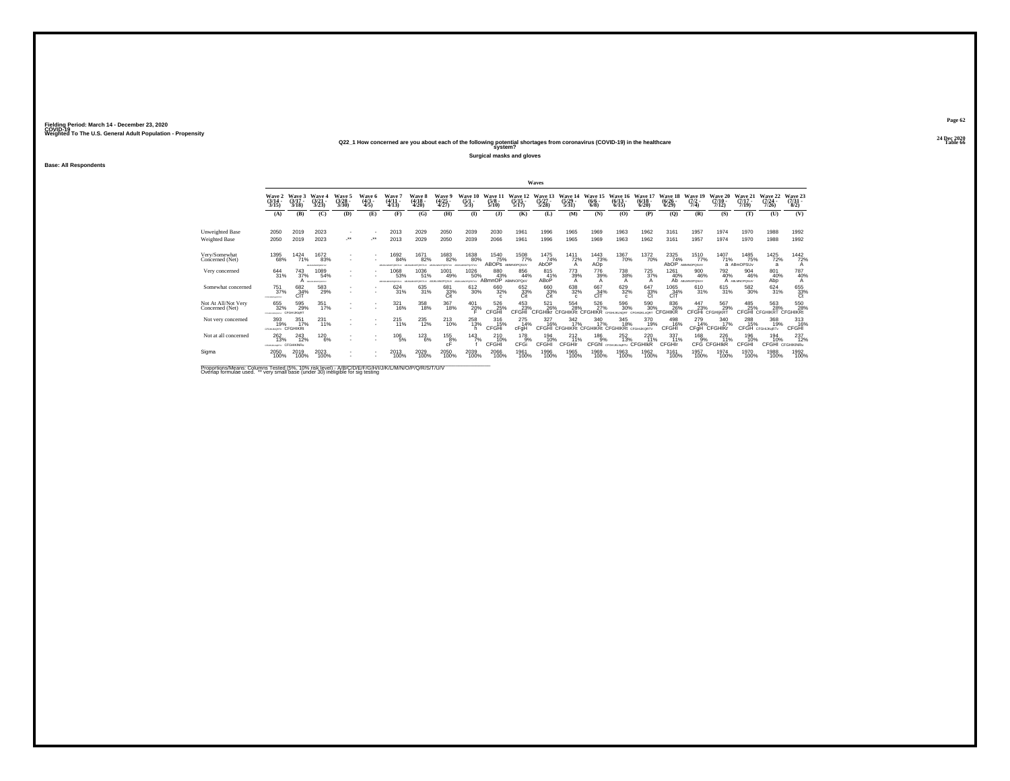**24 Dec 2020Q22\_1 How concerned are you about each of the following potential shortages from coronavirus (COVID-19) in the healthcare Table 66 system?**

**Surgical masks and gloves**

**Base: All Respondents**

|                                        |                                  |                               |                               |                                     |                           |                                |                                |                                  |                                |                                   |                              | Waves                          |                                  |                                                          |                              |                                        |                                  |                              |                                     |                              |                                        |                                        |
|----------------------------------------|----------------------------------|-------------------------------|-------------------------------|-------------------------------------|---------------------------|--------------------------------|--------------------------------|----------------------------------|--------------------------------|-----------------------------------|------------------------------|--------------------------------|----------------------------------|----------------------------------------------------------|------------------------------|----------------------------------------|----------------------------------|------------------------------|-------------------------------------|------------------------------|----------------------------------------|----------------------------------------|
|                                        | Wave 2<br>(3/14<br>3/15          | Wave 3<br>$(3/17 -$<br>3/18   | Wave 4<br>(3/21)<br>3/23      | Wave 5<br>$(3/28 -$<br>3/30         | Wave 6<br>$(4/3 -$<br>4/5 | Wave<br>$(4/11 -$<br>4/13      | Wave 8<br>$(4/18 -$<br>4/20    | Wave 9<br>$\frac{(4/25)}{4/27}$  | Wave 10<br>$\frac{(5/1)}{5/3}$ | Wave 1?<br>$(5/8 -$<br>5/10       | Wave 12<br>$(5/15 -$<br>5/17 | Wave 13<br>(5/27)<br>5/28      | Wave 14<br>$(5/29 -$<br>5/31     | Wave 1<br>$(6/6 -$<br>6/8                                | Wave 16<br>$(6/13 -$<br>6/15 | Wave 17<br>$(6/18 -$<br>6/20           | Wave 18<br>$(6/26 -$<br>6/29     | Wave 19<br>$(7/2 -$<br>7/4)  | Wave 20<br>$(7/10 -$<br>7/12)       | Wave 21<br>$(7/17 -$<br>7/19 | Wave 22<br>$(7/24 -$<br>7/26           | Wave 23<br>$(7/31 -$<br>8/2)           |
|                                        | (A)                              | (B)                           | (C)                           | (D)                                 | (E)                       | (F)                            | (G)                            | (H)                              | $\Phi$                         | (1)                               | (K)                          | (L)                            | (M)                              | (N)                                                      | (0)                          | (P)                                    | (Q)                              | (R)                          | (S)                                 | (T)                          | (U)                                    | (V)                                    |
| Unweighted Base<br>Weighted Base       | 2050<br>2050                     | 2019<br>2019                  | 2023<br>2023                  | $\overline{\phantom{a}}$<br>$\cdot$ | $\cdot$                   | 2013<br>2013                   | 2029<br>2029                   | 2050<br>2050                     | 2039<br>2039                   | 2030<br>2066                      | 1961<br>1961                 | 1996<br>1996                   | 1965<br>1965                     | 1969<br>1969                                             | 1963<br>1963                 | 1962<br>1962                           | 3161<br>3161                     | 1957<br>1957                 | 1974<br>1974                        | 1970<br>1970                 | 1988<br>1988                           | 1992<br>1992                           |
| Very/Somewhat<br>Concerned (Net)       | 1395<br>68%                      | 1424<br>71%                   | 1672<br>83%<br>ASANANOPORTER  | $\overline{\phantom{a}}$<br>$\sim$  |                           | 1692<br>84%<br>VUTSHOPORATIVE  | 1671<br>82%<br>ABJIGMNOPORSTUY | 1683<br>82%<br>DPORSTLV          | 1638<br>80%<br>ABJKLMNOPQ:STU  | 1540<br>75%<br>ABOPS ABINNOPOSLIV | <sup>1508</sup> 77%          | 1475<br>74%<br>AbOP            | $\frac{1411}{72\%}$<br>А         | 1443<br>73%<br>AOp                                       | 1367<br>70%                  | 1372<br>70%                            | $^{2325}_{74\%}$<br>AbOP         | 1510<br>77%<br>ABIMNOPOSUV   | 1407<br>71%                         | 1485<br>75%<br>a ABmOPSUv    | 1425<br>72%<br>$\overline{a}$          | $\frac{1442}{72\%}$<br>A               |
| Very concerned                         | 644<br>31%                       | 743<br>37%<br>А               | 1089<br>54%<br>ABAASANOPORTUN | $\sim$<br>$\overline{\phantom{a}}$  |                           | 1068<br>53%<br>VATEROPOREDUCER | 1036<br>51%<br>ABJEMINOPORTELY | 1001<br>49%<br><b>LMNOPOSLIV</b> | 1026<br>50%<br>ABJIEMMOPORETU  | 880<br>43%<br>ABmnOP              | 856<br>44%<br>ABMNOPOsV      | 815<br>41%<br>ABOP             | 773<br>39%<br>А                  | 776<br>39%                                               | 738<br>38%<br>A              | 725<br>37%<br>А                        | 1261<br>40%                      | 900<br>46%<br>Ab ABLMNOPOSUV | 792<br>40%                          | 904<br>46%<br>A ABLMNOPOSUV  | 801<br>40%<br>Abp                      | 787<br>40%<br>A                        |
| Somewhat concerned                     | 751<br>37%<br>CFD-LAMOunTETA     | 682<br>34%<br>CIT             | 583<br>29%                    | $\sim$<br>$\sim$                    |                           | 624<br>31%                     | 635<br>31%                     | 681<br>33%<br>Cit                | 612<br>30%                     | 660<br>32%<br>c.                  | $^{652}_{33\%}$ Cit          | 660<br>33%<br>Cit              | 638<br>32%<br>$\mathbf{c}$       | 667<br>34%<br>CIT                                        | 629<br>32%<br>$\mathbf{c}$   | $^{647}_{33\%}$ Ct                     | 1065<br>34%<br>CIT               | 610<br>31%                   | $615 \over 31\%$                    | 582<br>30%                   | $^{624}_{31\%}$                        | $^{655}_{\substack{33\%\\ \text{Ct}}}$ |
| Not At All/Not Very<br>Concerned (Net) | 655<br>32%<br>CFD/ENGINGHZ-4     | 595<br>29%<br>CFGHIJKIgRT     | 351<br>17%                    | $\overline{\phantom{a}}$            |                           | 321<br>16%                     | 358<br>18%                     | 367<br>18%                       | $^{401}_{20\%}$                | 526<br>25%<br>CFGH                | 453<br>23%<br>CFGHI          | 521<br>26%<br>CEGHIKE CEGHIKRE | 554<br>28%                       | 526<br>27%<br>CEGHIKR                                    | 596<br>30%<br>TROM<br>CEGH   | 590 30%<br><b>CEGHL</b><br><b>AORT</b> | 836<br>26%<br>CFGH<br><b>IKR</b> | 447<br>23%                   | 567<br>29%<br><b>CFGHi CFGHIKRT</b> | 485<br><b>CFGHI</b>          | 563<br>28%<br><b>CFGHIKRT CFGHIKRt</b> | 550<br>28%                             |
| Not very concerned                     | 393<br>19%<br><b>CFGHLHODRTV</b> | 351<br>17%<br><b>CFGHIKRI</b> | 231<br>11%                    | $\mathbf{r}$<br>$\sim$              |                           | 215<br>11%                     | 235<br>12%                     | 213<br>10%                       | 258<br>13%                     | 316<br>15%<br>CFGHi               | 275<br>14%<br>cFqH           | 327<br>16%                     | 342<br>17%                       | 340<br>17%<br>CFGHI CFGHIKRt CFGHIKRt CFGHIKRt CFGHIKRTY | 345<br>18%                   | 370<br>19%                             | 498<br>16%<br>CFGHI              | 279<br>14%                   | 340<br>17%<br>CFqH CFGHIKr          | 288<br>15%                   | 368<br>19%<br>CFGH CFGHIJKQRTV         | 313<br>16%<br>CFGHI                    |
| Not at all concerned                   | 262<br>13%<br>CREATIVE TO        | 243<br>12%<br>CFGHKINRu       | 120<br>6%                     | $\sim$                              |                           | $^{106}_{-5\%}$                | $^{123}_{6\%}$                 | $^{155}_{8\%}$<br>cF             | $^{143}_{7\%}$                 | $^{210}_{10\%}$<br>CFGHI          | $^{178}_{9\%}$<br>CFGi       | 194<br>10%<br><b>CFGHI</b>     | $^{212}_{11\%}$<br><b>CFGHIr</b> | 186 9%<br>CFGhl                                          | 252<br>13%<br>CFGHUKLNoRTU   | 220196<br><b>CFGHIKR</b>               | $337 \atop 11\%$<br>CFGHIr       | $^{168}_{-9\%}$              | 226<br>11%<br><b>CFG CFGHIKR</b>    | 196<br>10%<br>CFGHI          | <sup>194</sup><br>10%<br>CFGHI         | $^{237}_{12\%}$<br>CFGHIKINRu          |
| Sigma                                  | 2050<br>100%                     | 2019<br>100%                  | 2023<br>100%                  | ٠<br>$\sim$                         |                           | 2013<br>100%                   | 2029<br>100%                   | 2050<br>100%                     | 2039<br>100%                   | 2066<br>100%                      | 1961<br>100%                 | 1996<br>100%                   | 1965<br>100%                     | 1969<br>100%                                             | 1963<br>100%                 | 1962<br>100%                           | 3161<br>100%                     | 1957<br>100%                 | 1974<br>100%                        | 1970<br>100%                 | 1988<br>100%                           | 1992<br>100%                           |

Proportions/Means: Columns Tested (5%, 10% risk level) - A/B/C/D/E/F/G/H/I/J/K/L/M/N/O/P/Q/R/S/T/U/V<br>Overlap formulae used. \*\* very small base (under 30) ineligible for sig testing

**Page 6224 Dec 2020<br>Table 66**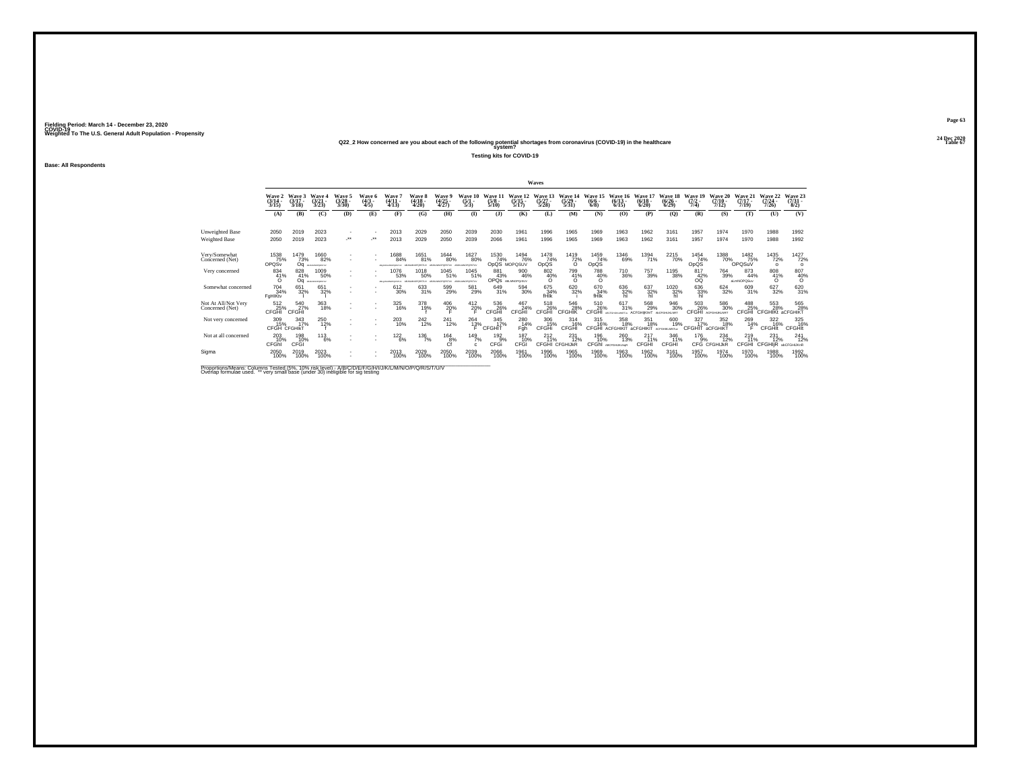## **24 Dec 2020Q22\_2 How concerned are you about each of the following potential shortages from coronavirus (COVID-19) in the healthcare Table 67 system?**

**Testing kits for COVID-19**

**Base: All Respondents**

|                                        |                                 |                             |                                         |                                 |                                      |                                         |                                     |                                      |                                        |                                 |                                  | Waves                            |                                  |                                |                                    |                                       |                                 |                                |                                  |                                  |                                       |                                |
|----------------------------------------|---------------------------------|-----------------------------|-----------------------------------------|---------------------------------|--------------------------------------|-----------------------------------------|-------------------------------------|--------------------------------------|----------------------------------------|---------------------------------|----------------------------------|----------------------------------|----------------------------------|--------------------------------|------------------------------------|---------------------------------------|---------------------------------|--------------------------------|----------------------------------|----------------------------------|---------------------------------------|--------------------------------|
|                                        | Wave 2<br>$\frac{(3/14)}{3/15}$ | Wave 3<br>$(3/17 -$<br>3/18 | Wave 4<br>$\frac{(3/21)}{3/23}$         | Wave 5<br>$\frac{(3/28)}{3/30}$ | <b>Wave 6</b><br>$\frac{(4/3)}{4/5}$ | Wave<br>$\frac{(4/11)}{4/13}$           | Wave 8<br>$\frac{(4/18)}{4/20}$     | Wave 9<br>$\frac{(4/25)}{4/27}$      | Wave 10<br>$\frac{(5/1)}{5/3}$         | Wave 11<br>$\frac{(5/8)}{5/10}$ | Wave 12<br>$\frac{(5/15)}{5/17}$ | Wave 13<br>$\frac{(5/27)}{5/28}$ | Wave 14<br>$\frac{(5/29)}{5/31}$ | Wave 15<br>$\frac{(6/6)}{6/8}$ | Wave 16<br>$\frac{(6/13)}{6/15}$   | Wave 17<br>$\frac{(6/18)}{6/20}$      | Wave 18<br>$\binom{6/26}{6/29}$ | Wave 19<br>$\frac{(7/2)}{7/4}$ | Wave 20<br>$\frac{(7/10)}{7/12}$ | Wave 21<br>$\frac{(7/17)}{7/19}$ | Wave 22<br>$\frac{(7/24 - 7)}{7/26}$  | Wave 23<br>$\binom{7/31}{8/2}$ |
|                                        | (A)                             | (B)                         | (C)                                     | (D)                             | (E)                                  | (F)                                     | (G)                                 | (H)                                  | $\mathbf{D}$                           | (3)                             | (K)                              | (L)                              | (M)                              | (N)                            | (O)                                | (P)                                   | (Q)                             | (R)                            | (S)                              | (T)                              | (U)                                   | (V)                            |
| Unweighted Base<br>Weighted Base       | 2050<br>2050                    | 2019<br>2019                | 2023<br>2023                            | $\mathcal{L}^{\bullet\bullet}$  |                                      | 2013<br>2013                            | 2029<br>2029                        | 2050<br>2050                         | 2039<br>2039                           | 2030<br>2066                    | 1961<br>1961                     | 1996<br>1996                     | 1965<br>1965                     | 1969<br>1969                   | 1963<br>1963                       | 1962<br>1962                          | 3161<br>3161                    | 1957<br>1957                   | 1974<br>1974                     | 1970<br>1970                     | 1988<br>1988                          | 1992<br>1992                   |
| Very/Somewhat<br>Concerned (Net)       | 1538<br>75%<br>OPQSv            | 1479<br>73%<br>Oa           | 1660<br>82%<br>ABJANCES/RITULE          |                                 |                                      | 688<br>84%<br><b>Musclas Management</b> | 1651<br>81%<br>A B AS MAY BY BY THE | <sup>1644</sup> 80%<br>MAINWHAPETER/ | <sup>1627</sup> 80%<br>ABJIEMMOPORSTUV | 1530<br>74%<br>OpQS MOPQSUV     | <sup>1494</sup> 76%              | $\frac{1478}{74\%}$<br>OpQS      | 1419<br>72%<br>$\Omega$          | 1459<br>74%<br>OpQS            | 1346<br>69%                        | <sup>1394</sup> 71%                   | 2215<br>70%                     | $\frac{1454}{74\%}$<br>OpQS    | 1388                             | 1482<br>75%<br>OPOSuV            | 1435<br>72%<br>$\circ$                | 1427<br>72%<br>$\circ$         |
| Very concerned                         | 834<br>41%<br>$\Omega$          | 828<br>41%<br>Oa            | 1009<br>50%<br><b>AN AL MACADONICAL</b> |                                 |                                      | 1076<br>53%<br>Allow MT MAPWITHSTEIN    | 1018<br>50%<br>AB MIMMOROSTUV       | 1045<br>51%<br>MAPPONESTIN           | 1045<br>51%<br>ABJKINNOPORSTUV         | 881<br>43%                      | 900<br>46%<br>OPOS ABLANOPOISUV  | 802<br>40%<br>ō                  | 799<br>41%<br>O                  | 788<br>40%<br>$\circ$          | 710<br>36%                         | 757<br>39%                            | 1195<br>38%                     | 817<br>$^{42\%}_{00}$          | 764<br>39%                       | 873<br>44%<br>aLmNOPQSuv         | 808<br>41%<br>$\Omega$                | $^{807}_{40\%}$                |
| Somewhat concerned                     | 704 34%<br>FaHIKty              | 651<br>32%                  | 651<br>32%                              |                                 |                                      | 612<br>30%                              | 633<br>31%                          | 599<br>29%                           | 581<br>29%                             | 649<br>31%                      | 594<br>30%                       | 675<br>34%<br>fHik               | 620<br>32%                       | 670<br>34%<br>fHIK             | 636<br>32%<br>hl                   | 637<br>32%                            | 1020<br>32%<br>hl               | 636<br>33%<br>hl               | $624 \over 32\%$                 | 609<br>31%                       | 627<br>32%                            | 620<br>31%                     |
| Not At All/Not Very<br>Concerned (Net) | $^{512}_{25\%}$ CFGHI           | 540<br>27%<br>CFGHI         | 363<br>18%                              |                                 |                                      | 325<br>16%                              | 378<br>19%                          | $^{406}_{20\%}$                      | $^{412}_{20\%}$                        | 536<br>26%<br>CFGHI             | 467<br>24%<br>CFGHI              | 518<br>CFGHI                     | 546<br>28%<br><b>CFGHIK</b>      | 510<br>26%<br>CEGHI            | 617<br>31%                         | 568<br>29%<br><b>ACEGHIKINT</b>       | 946<br>30%<br>ANCEIGHUIKI NIFT  | 503<br>26%<br>CEGHI            | 586<br>30%<br>ACEOHURO NRT       | 488<br>CFGHI                     | 553<br>28%<br><b>CFGHIKt aCFGHIKT</b> | 565<br>28%                     |
| Not very concerned                     | 309<br>15%<br>CFGH CFGHIKT      | 343<br>17%                  | 250<br>12%                              |                                 | $\sim$<br>$\sim$                     | 203<br>10%                              | 242<br>12%                          | 241<br>12%                           | 264<br>13%                             | 345<br>17%<br>CFGHIT            | 280<br>14%<br>Fgh                | 306<br>15%<br>CFGHi              | 314<br>16%<br>CFGHI              | 315<br>16%<br><b>CFGHI</b>     | 358<br>18%<br><b>ACFGHIKIT</b>     | 351<br>18%<br>aCFGHIKIT ACFGHIKLMNTuv | 600<br>19%                      | 327<br>17%<br>CFGHIT           | 352<br>18%<br>aCFGHIKT           | 269<br>14%                       | 322<br>16%<br>CFGHIt                  | 325<br>16%<br><b>CFGHIt</b>    |
| Not at all concerned                   | $^{203}_{10\%}$<br>CFGhl        | 198<br>10%<br>CFGI          | $^{113}_{6\%}$                          |                                 |                                      | $122_{6\%}$                             | $^{136}_{7\%}$                      | $^{164}_{8\%}$<br>Cf                 | 149 <sub>7%</sub><br>C.                | $^{192}_{9%}$<br>CFGi           | 187<br>10%<br>CFGI               | $^{212}_{11\%}$                  | 231<br>72%<br>CFGHI CFGHIJkR     | 196<br>10%<br><b>CFGhI</b>     | 260<br>13%<br><b>ABCFGHLIKLNoR</b> | 217<br>11%<br>CFGHI                   | 346<br>11%<br>CFGHI             | $^{176}_{-9\%}$                | $^{234}_{12\%}$<br>CFG CFGHIJkR  | $^{219}_{11\%}$<br><b>CFGHI</b>  | $^{231}_{12\%}$<br><b>CFGHIR</b>      | $^{241}_{12\%}$<br>abCFGHIJKnR |
| Sigma                                  | 2050<br>100%                    | 2019<br>100%                | 2023<br>100%                            |                                 |                                      | 2013<br>100%                            | 2029<br>100%                        | 2050<br>100%                         | 2039<br>100%                           | 2066<br>100%                    | 1961<br>100%                     | 1996<br>100%                     | 1965<br>100%                     | 1969<br>100%                   | 1963<br>100%                       | 1962<br>100%                          | 3161<br>100%                    | 1957<br>100%                   | 1974<br>100%                     | 1970<br>100%                     | 1988<br>100%                          | 1992<br>100%                   |

Proportions/Means: Columns Tested (5%, 10% risk level) - A/B/C/D/E/F/G/H/I/J/K/L/M/N/O/P/Q/R/S/T/U/V<br>Overlap formulae used. \*\* very small base (under 30) ineligible for sig testing

**Page 6324 Dec 2020<br>Table 67**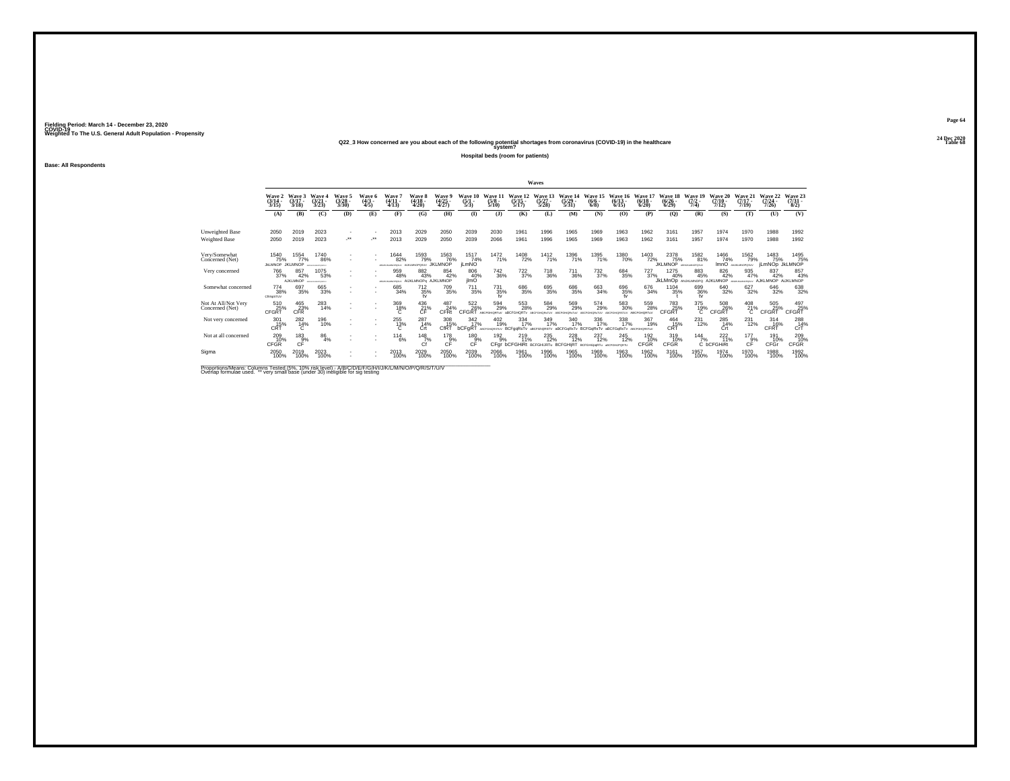## **24 Dec 2020Q22\_3 How concerned are you about each of the following potential shortages from coronavirus (COVID-19) in the healthcare Table 68 system?**

**Hospital beds (room for patients)**

**Base: All Respondents**

|                                         |                                        |                               |                                              |                               |                           |                                           |                                  |                                       |                              |                             |                                  | Waves                                              |                                  |                                                                        |                                  |                                  |                                             |                                           |                                      |                                          |                                      |                                |
|-----------------------------------------|----------------------------------------|-------------------------------|----------------------------------------------|-------------------------------|---------------------------|-------------------------------------------|----------------------------------|---------------------------------------|------------------------------|-----------------------------|----------------------------------|----------------------------------------------------|----------------------------------|------------------------------------------------------------------------|----------------------------------|----------------------------------|---------------------------------------------|-------------------------------------------|--------------------------------------|------------------------------------------|--------------------------------------|--------------------------------|
|                                         | Wave 2<br>(3/14)<br>3/15               | Wave 3<br>$(3/17 -$<br>3/18   | <b>Wave 4</b><br>(3/21)<br>3/23              | Wave 5<br>(3/28)<br>3/30      | Wave 6<br>$(4/3 -$<br>4/5 | <b>Wave</b><br>$(4/11 -$<br>4/13          | Wave 8<br>$(4/18 -$<br>4/20      | Wave 9<br>$\frac{(4/25)}{4/27}$       | Wave 10<br>$\frac{(5)}{5/3}$ | Wave 11<br>$(5/8 -$<br>5/10 | Wave 12<br>$\frac{(5/15)}{5/17}$ | Wave 13<br>$\frac{(5/27)}{5/28}$                   | Wave 14<br>$\frac{(5/29)}{5/31}$ | Wave 15<br>$\frac{(6/6)}{6/8}$                                         | Wave 16<br>$\frac{(6/13)}{6/15}$ | Wave 17<br>$\frac{(6/18)}{6/20}$ | Wave 18<br>$\frac{(6/26)}{6/29}$            | Wave 19<br>$(7/2 -$<br>7/4                | Wave 20<br>$(7/10 -$<br>7/12         | Wave 21<br>$(7/17 -$<br>7/19             | Wave 22<br>$\frac{(7/24)}{7/26}$     | Wave 23<br>$\binom{7/31}{8/2}$ |
|                                         | (A)                                    | (B)                           | (C)                                          | (D)                           | (E)                       | (F)                                       | (G)                              | (H)                                   | $\bf(I)$                     | (1)                         | (K)                              | (L)                                                | (M)                              | (N)                                                                    | (0)                              | (P)                              | (Q)                                         | (R)                                       | (S)                                  | (T)                                      | (U)                                  | (V)                            |
| <b>Unweighted Base</b><br>Weighted Base | 2050<br>2050                           | 2019<br>2019                  | 2023<br>2023                                 | ٠<br>$\cdot$                  | $\cdot$                   | 2013<br>2013                              | 2029<br>2029                     | 2050<br>2050                          | 2039<br>2039                 | 2030<br>2066                | 1961<br>1961                     | 1996<br>1996                                       | 1965<br>1965                     | 1969<br>1969                                                           | 1963<br>1963                     | 1962<br>1962                     | 3161<br>3161                                | 1957<br>1957                              | 1974<br>1974                         | 1970<br>1970                             | 1988<br>1988                         | 1992<br>1992                   |
| Very/Somewhat<br>Concerned (Net)        | 1540<br>75%<br><b>JILLMNOP JKLMNOP</b> | 1554<br>77%                   | 1740<br>86%<br><b>MATCHERS AND RESIDENCE</b> | ٠<br>٠                        | ٠                         | <sup>1644</sup> 82%<br>VARIO ROMANO RADIO | 1593<br>79%<br>AUKLMNOPOSUV      | <sup>1563</sup> 76%<br><b>JKLMNOP</b> | 1517<br>74%<br><b>iLmNO</b>  | 1472<br>71%                 | <sup>1408</sup> 72%              | 1412<br>71%                                        | 1396<br>71%                      | 1395<br>71%                                                            | <sup>1380</sup> 70%              | 1403<br>72%                      | 2378<br>75%<br><b>JKLMNOP</b> ABELIANOPOSLY | 1582<br>81%                               | 1466<br>74%                          | <sup>1562</sup> 79%<br>ImnO ANALINOPOSLY | 1483<br>75%<br><b>iLmNOp JkLMNOP</b> | 1495<br>75%                    |
| Very concerned                          | 766<br>37%                             | 857<br>42%<br><b>AJKLMNOP</b> | 1075<br>53%<br>ARTICHLAND GRETIN             | ٠<br>٠                        |                           | 959<br>48%<br>VARIO RESISTANCE            | 882<br>43%<br>AUKLMNOPa AJKLMNOP | 854<br>42%                            | 806<br>40%<br>ilmO           | $\substack{742\\36\%}$      | 722<br>37%                       | 718<br>36%                                         | 711<br>36%                       | 732<br>37%                                                             | 684<br>35%                       | 727<br>37%                       | 1275<br>40%                                 | 883<br>45%<br>JKLMnOD ANJKLMNOPO AJKLMNOP | 826<br>42%                           | 935<br>47%<br>ASSISTED BY ARRIVEMENTS IN | 837<br>42%<br>AJKLMNOP               | 857<br>43%<br>AUKLMNOP         |
| Somewhat concerned                      | 774<br>38%<br>CRNoSTUV                 | 697<br>35%                    | 665<br>33%                                   | ٠<br>٠                        |                           | 685<br>34%                                | $^{712}_{35\%}$                  | 709<br>35%                            | <sup>711</sup> 35%           | $^{731}_{35\%}$             | 686<br>35%                       | 695<br>35%                                         | 686<br>35%                       | 663<br>34%                                                             | 696<br>35%<br>tv                 | 676<br>34%                       | 1104<br>35%                                 | 699<br>36%<br>tv                          | 640<br>32%                           | 627<br>32%                               | 646<br>32%                           | 638<br>32%                     |
| Not At All/Not Very<br>Concerned (Net)  | 510<br>25%<br><b>CFGRT</b>             | 465<br>23%<br><b>CFR</b>      | 283<br>14%                                   | ٠<br>$\overline{\phantom{a}}$ | ٠<br>٠                    | $^{369}_{18\%}$                           | 436<br>21%<br>ĈĖ                 | 487<br>24%<br>CFRt                    | 522<br>26%<br>CFGRT          | 594                         | 553<br>28%<br><b>ARCEGHORT</b>   | 584<br>29%                                         | 569<br>29%                       | 574<br>29%                                                             | 583<br>30%                       | 559<br>28%<br><b>ARCEGHORT-M</b> | 783<br>25%<br><b>CFGRT</b>                  | 375<br>19%<br>с                           | 508<br>26%<br>CFGRT                  | 408<br>21%<br>С                          | 505<br>25%<br>CFGRT                  | 497<br>25%<br>CFGRT            |
| Not very concerned                      | 301<br>15%<br>CRŤ                      | 282<br>14%<br>Ć               | 196<br>10%                                   | ٠<br>٠                        | ٠                         | 255<br>$^{13\%}_{C}$                      | 287<br>14%<br>Crt                | 308<br>15%<br><b>CfRT</b>             | 342<br>17%<br>bCFgRT         | 402<br>19%<br>ABCFGHORSTUV  | 334<br>17%<br>BCFggRsTv          | 349<br>17%                                         | 340<br>17%                       | 336<br>17%<br>aBCFGNQRSTV aBCFGqRsTv BCFGqRsTv aBCFGqRsTv ABCrGHQRSTvV | 338<br>17%                       | 367<br>19%                       | 464<br>15%<br>CRT                           | 231<br>12%                                | 285<br>14%<br>Crt                    | 231<br>12%                               | 314<br>16%<br>CERT                   | 288<br>CrT                     |
| Not at all concerned                    | 209<br>10%<br><b>CFGR</b>              | $^{183}_{9\%}$<br>CF          | 86<br>4%                                     | ٠                             | $\sim$                    | 114<br>6%                                 | $^{148}_{7\%}$<br>Cf             | $^{178}_{9%}$<br>CF                   | 180<br>9%<br>CF              | 192%<br>CFar                | 219<br>11%                       | 235<br>12%<br><b>bCFGHiRt BCFGHIJRTu BCFGHIIRT</b> | 228                              | 237<br>12%<br><b>RCFGHLINNRTH</b>                                      | <sup>245</sup> 12%<br>ACCORDOSTI | 192<br>10%<br>CFGR               | 319<br>10%<br>CFGR                          | $\frac{144}{7\%}$                         | $^{222}_{11\%}$<br>C <b>bCFGHiRt</b> | $^{177}_{9\%}$<br>CF                     | 191<br>10%<br>CFGr                   | 209<br>10%<br><b>CFGR</b>      |
| Sigma                                   | 2050<br>100%                           | 2019<br>100%                  | 2023<br>100%                                 | $\mathbf{r}$<br>٠             | ٠                         | 2013<br>100%                              | 2029<br>100%                     | 2050<br>100%                          | 2039<br>100%                 | 2066<br>100%                | 1961<br>100%                     | 1996<br>100%                                       | 1965<br>100%                     | 1969<br>100%                                                           | 1963<br>100%                     | 1962<br>100%                     | 3161<br>100%                                | 1957<br>100%                              | 1974<br>100%                         | 1970<br>100%                             | 1988<br>100%                         | 1992<br>100%                   |

Proportions/Means: Columns Tested (5%, 10% risk level) - A/B/C/D/E/F/G/H/I/J/K/L/M/N/O/P/Q/R/S/T/U/V<br>Overlap formulae used. \*\* very small base (under 30) ineligible for sig testing

**Page 6424 Dec 2020<br>Table 68**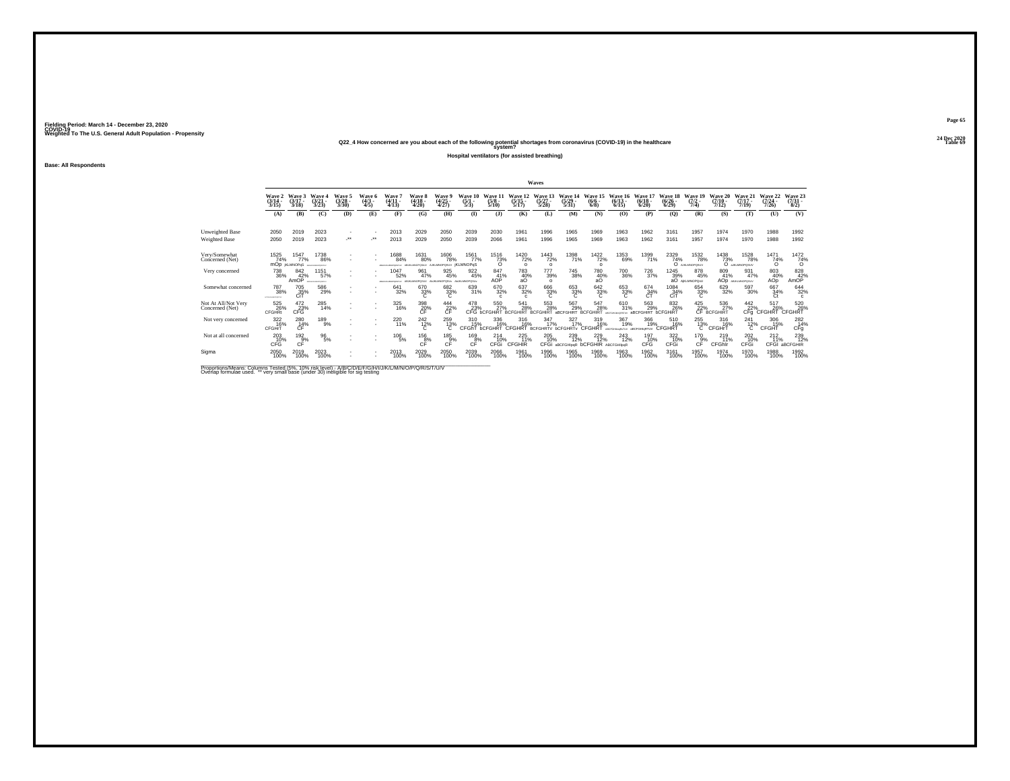**24 Dec 2020Q22\_4 How concerned are you about each of the following potential shortages from coronavirus (COVID-19) in the healthcare Table 69 system?**

**Hospital ventilators (for assisted breathing)**

**Base: All Respondents**

|                                        |                                   |                                    |                                  |                            |                           |                                             |                                             |                             |                                 |                                   |                                             | Waves                                  |                                |                                          |                                           |                                         |                              |                                       |                                  |                                      |                               |                                                |
|----------------------------------------|-----------------------------------|------------------------------------|----------------------------------|----------------------------|---------------------------|---------------------------------------------|---------------------------------------------|-----------------------------|---------------------------------|-----------------------------------|---------------------------------------------|----------------------------------------|--------------------------------|------------------------------------------|-------------------------------------------|-----------------------------------------|------------------------------|---------------------------------------|----------------------------------|--------------------------------------|-------------------------------|------------------------------------------------|
|                                        | Wave 2<br>$(3/14 -$<br>3/15       | Wave 3<br>$(3/17 -$<br>3/18        | Wave<br>(3/21)<br>3/23           | Wave:<br>$(3/28 -$<br>3/30 | Wave 6<br>$(4/3 -$<br>4/5 | Wave<br>$(4/11 -$<br>4/13                   | Wave 8<br>(4/18 -<br>4/20                   | Wave 9<br>$(4/25 -$<br>4/27 | Wave<br>(5/1)<br>5/3            | Wave 1<br>$(5/8 -$<br>5/10        | Wave 12<br>$(5/15 -$<br>5/17                | Vave 13<br>(5/27)<br>5/28              | Wave 14<br>(5/29)<br>5/31      | Wave!<br>$(6/6 -$<br>6/8                 | Wave<br>$(6/13 -$<br>6/15                 | $(6/18 -$<br>6/20                       | Wave 18<br>$(6/26 -$<br>6/29 | Wave 19<br>7/4)                       | Wave 20<br>$(7/10 -$<br>7/12     | Wave 21<br>$(7/17 -$<br>7/19         | Wave 22<br>$(7/24 -$<br>(126) | Wave 23<br>$\frac{(7/31)}{8/2}$                |
|                                        | (A)                               | (B)                                | (C)                              | (D)                        | (E)                       | (F)                                         | (G)                                         | (H)                         | $($ I                           | (3)                               | (K)                                         | (L)                                    | (M)                            | (N)                                      | (0)                                       | (P)                                     | (Q)                          | (R)                                   | (S)                              | (T)                                  | (U)                           | (V)                                            |
| Unweighted Base<br>Weighted Base       | 2050<br>2050                      | 2019<br>2019                       | 2023<br>2023                     | $\sim$<br>                 | ٠<br>                     | 2013<br>2013                                | 2029<br>2029                                | 2050<br>2050                | 2039<br>2039                    | 2030<br>2066                      | 1961<br>1961                                | 1996<br>1996                           | 1965<br>1965                   | 1969<br>1969                             | 1963<br>1963                              | 1962<br>1962                            | 3161<br>3161                 | 1957<br>1957                          | 1974<br>1974                     | 1970<br>1970                         | 1988<br>1988                  | 1992<br>1992                                   |
| Very/Somewhat<br>Concerned (Net)       | 1525<br>74%                       | 1547<br>77%<br><b>MOD KLMNOPGS</b> | 1738<br>86%<br>ABDIGALMONISTLY   |                            | $\sim$                    | 1688<br>84%<br>ABOVE BOARD WAS STRIKE       | 1631<br>80%<br>ABUILIANOPOSIUV AJKLMNOPOSUV | <sup>1606</sup> 78%         | 1561<br>77%<br><b>iKLMNOPaS</b> | $\frac{7516}{73\%}$               | 1420<br>72%<br>$\Omega$                     | <sup>1443</sup> 72%<br>$\Omega$        | 1398<br>71%                    | <sup>1422</sup> 72%<br>$\Omega$          | 1353<br>69%                               | 1399<br>71%                             | 2329<br>74%                  | <sup>1532</sup> 78%<br>O AISLINOPOSUV | 1438<br>73%                      | <sup>1528</sup> 78%<br>O ARLINOPOSUV | 1471<br>74%<br>$\Omega$       | $\frac{1472}{74\%}$                            |
| Very concerned                         | 738<br>36%                        | 842<br>42%<br>AmOP                 | 1151<br>57%<br>ARTICHLAND CASTLY |                            |                           | 047<br>52%<br>ARDHAMADYORETAV ABJKLMNOPOSUV | 961<br>47%                                  | 925<br>45%<br>ANJKLMNOPOSUv | 922<br>45%<br>ANJKLMNOPOSU      | 847<br>41%<br>AOP                 | 783<br>40%<br>aO                            | 777<br>39%<br>$\Omega$                 | 745<br>38%                     | 780<br>40%<br>aО                         | 700<br>36%                                | 726<br>37%                              | 1245<br>39%                  | 878<br>45%<br>aO AIKLMNOPOSU          | 809<br>41%                       | 931<br>47%<br>AOD ABJOURNMENSELV     | 803<br>40%<br>AOp             | 828<br>42%<br>AmOP                             |
| Somewhat concerned                     | <sup>787</sup> 38%<br>----------- | 705<br>35%<br>CiT                  | 586<br>29%                       |                            |                           | 641<br>32%                                  | 670<br>33%                                  | 682 33%<br>c                | 639<br>31%                      | 670<br>32%<br>$\epsilon$          | 637<br>32%<br>$\epsilon$                    | 666<br>33%<br>C                        | 653<br>33%<br>C                | 642<br>33%<br>C                          | 653<br>33%<br>C                           | 674<br>34%<br>CT                        | 1084<br>34%<br>CiT           | 654<br>33%                            | 629<br>32%                       | 597<br>30%                           | 667<br>34%<br>Ct              | 644<br>32%<br>$\mathbf{c}$                     |
| Not At All/Not Very<br>Concerned (Net) | 525<br>26%<br><b>CFGHRt</b>       | $^{472}_{\phantom{2}23\%}$ CFG     | 285<br>14%                       | $\mathbf{r}$               | ×                         | 325<br>16%                                  | $\underset{\mathsf{CF}}{^{398}}$            | $^{444}_{22\%}$             | 478<br>23%                      | 550<br>27%<br>CEG <b>hCEGHIRT</b> | 541<br>28%<br><b><i><u>PCCCHIPT</u></i></b> | 553<br>28%<br><b>RCEGHIRT</b>          | 567<br>29%<br><b>ARCEGHIRT</b> | 547<br>28%<br><b>RCEGHIRT</b>            | 610<br>31%                                | 563<br>29%<br><b>aBCFGHIRT bCFGHIRT</b> | 832<br>26%                   | 425<br>22%                            | 536<br>27%<br><b>CF BCFGHIRT</b> | $442$<br>$22%$                       | 517<br>22% 26%<br>CFg CFGHRT  | 520<br>26%<br><b>CFGHRT</b>                    |
| Not very concerned                     | 322<br>16%<br><b>CFGHrT</b>       | 280<br>$CF^{\frac{14}{14}}$        | 189<br>9%                        | $\sim$                     | ٠<br>٠                    | 220<br>11%                                  | 242<br>$\frac{12}{6}$                       | 259<br>$^{13\%}_{C}$        | 310<br>15%<br>CFGhT             | 336<br>16%<br><b>bCFGHRT</b>      | 316<br>16%<br><b>CFGHRT</b>                 | 347<br>17%<br><b>BCFGHRTV bCFGHRTv</b> | 327<br>17%                     | 319<br>16%<br>CFGHRT                     | 367<br>19%<br>ABCFGHlesksTUV aBCFGHlgRTUV | 366<br>19%                              | 510<br>16%<br><b>CFGHRT</b>  | 255<br>$^{13\%}$                      | 316<br>16%<br><b>CFGHrT</b>      | 241<br>$^{12\%}_{C}$                 | 306<br>15%<br>CFGHT           | 282<br>14%<br>CFq                              |
| Not at all concerned                   | 203<br>CFG                        | $^{192}_{9\%}$<br>CF               | $^{96}_{5\%}$                    |                            |                           | $^{106}_{-5\%}$                             | $^{156}_{8\%}$<br>CF                        | 185<br>9%<br>CF             | 169%<br>CF                      | $^{214}_{10\%}$<br><b>CFGi</b>    | 225<br>11%<br>CFGHIR                        | 205<br>10%<br>CFGi                     | 239<br>12%<br>aBCFGHlpgR       | 229<br>12%<br><b>bCFGHIR ABCFGHIIpqR</b> | <sup>243</sup> <sub>12%</sub>             | 197<br>10%<br>CFG                       | 322<br>10%<br>CFGi           | 170 9%<br>CF                          | $^{219}_{11\%}$<br>CFGhir        | 202<br>10%<br>CFGi                   | $^{212}_{11\%}$               | <sup>239</sup> <sub>12%</sub><br>CFGI aBCFGHIR |
| Sigma                                  | 2050<br>100%                      | 2019<br>100%                       | 2023<br>100%                     | $\sim$                     | $\sim$                    | 2013<br>100%                                | 2029<br>100%                                | 2050<br>100%                | 2039<br>100%                    | 2066<br>100%                      | 1961<br>100%                                | 1996<br>100%                           | 1965<br>100%                   | 1969<br>100%                             | 1963<br>100%                              | 1962<br>100%                            | 3161<br>100%                 | 1957<br>100%                          | 1974<br>100%                     | 1970<br>100%                         | 1988<br>100%                  | 1992<br>100%                                   |

Proportions/Means: Columns Tested (5%, 10% risk level) - A/B/C/D/E/F/G/H/I/J/K/L/M/N/O/P/Q/R/S/T/U/V<br>Overlap formulae used. \*\* very small base (under 30) ineligible for sig testing

**Page 6524 Dec 2020<br>Table 69**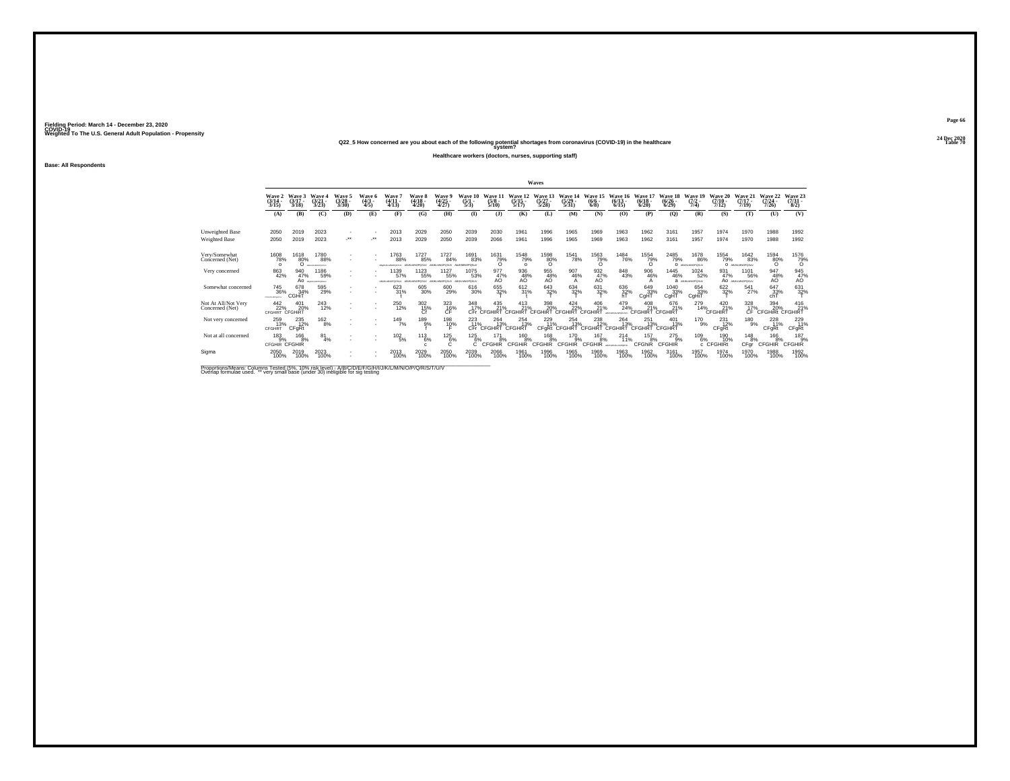**24 Dec 2020Q22\_5 How concerned are you about each of the following potential shortages from coronavirus (COVID-19) in the healthcare Table 70 system?**

**Healthcare workers (doctors, nurses, supporting staff)**

**Base: All Respondents**

|                                        |                                             |                             |                                             |                                                      |                         |                                               |                                  |                                |                                     |                            |                                 | Waves                           |                           |                                           |                                       |                             |                                 |                                 |                                   |                                        |                                      |                                |
|----------------------------------------|---------------------------------------------|-----------------------------|---------------------------------------------|------------------------------------------------------|-------------------------|-----------------------------------------------|----------------------------------|--------------------------------|-------------------------------------|----------------------------|---------------------------------|---------------------------------|---------------------------|-------------------------------------------|---------------------------------------|-----------------------------|---------------------------------|---------------------------------|-----------------------------------|----------------------------------------|--------------------------------------|--------------------------------|
|                                        | Wave 2<br>(3/14 -<br>3/15                   | Wave 3<br>$(3/17 -$<br>3/18 | Wave<br>$(3/21 -$<br>3/23                   | Waye 5<br>(3/28 -<br>3/30                            | Wave 6<br>(4/3 -<br>4/5 | Wave<br>$(4/11 -$<br>4/13                     | <b>Wave 8</b><br>(4/18 -<br>4/20 | Wave 9<br>(4/25<br>4/27        | Wave 10<br>$(5/1 -$<br>5/3)         | Wave 1<br>$(5/8 -$<br>5/10 | Wave 12<br>$(5/15 -$<br>5/17    | Wave 13<br>$(5/27 -$<br>5/28    | Wave 14<br>(5/29)<br>5/31 | Wave 15<br>$(6/6 -$<br>6/8                | Wave 16<br>$(6/13 -$<br>6/15          | Wave<br>$(6/18 -$<br>6/20   | Wave 18<br>$(6/26 -$<br>6/29    | Wave 19<br>$(7/2 -$<br>7/4)     | Wave 20<br>$(7/10 -$<br>7/12)     | Wave 21<br>$(7/17 -$<br>7/19           | Wave 22<br>$(7/24 -$<br>7/26         | Wave 23<br>$(7/31 -$<br>8/2)   |
|                                        | (A)                                         | (B)                         | (C)                                         | (D)                                                  | (E)                     | (F)                                           | (G)                              | <b>(H)</b>                     | $\mathbf{D}$                        | $($ $)$                    | (K)                             | (L)                             | (M)                       | (N)                                       | (0)                                   | (P)                         | (0)                             | (R)                             | (S)                               | (T)                                    | (U)                                  | (V)                            |
| Unweighted Base<br>Weighted Base       | 2050<br>2050                                | 2019<br>2019                | 2023<br>2023                                | $\overline{\phantom{a}}$<br>÷                        | ٠<br>                   | 2013<br>2013                                  | 2029<br>2029                     | 2050<br>2050                   | 2039<br>2039                        | 2030<br>2066               | 1961<br>1961                    | 1996<br>1996                    | 1965<br>1965              | 1969<br>1969                              | 1963<br>1963                          | 1962<br>1962                | 3161<br>3161                    | 1957<br>1957                    | 1974<br>1974                      | 1970<br>1970                           | 1988<br>1988                         | 1992<br>1992                   |
| Very/Somewhat<br>Concerned (Net)       | 1608<br>78%<br>$\Omega$                     | 1618<br>80%<br>O            | 1780<br>88%<br>BOILEADACHOTAY               | ٠                                                    | ٠                       | 1763<br>88%<br>ABANDEMADPOSTLY                | 1727<br>85%<br>ABJKLMNOPOSU/     | 1727<br>84%<br>ABJIG MNOPOSLIV | 1691<br>83%<br><b>ANJKMINOPOSUV</b> | 1631<br>79%<br>$\Omega$    | <sup>1548</sup> 79%<br>$\Omega$ | $^{1598}_{80\%}$                | <sup>1541</sup> 78%       | 1563<br>79%<br>ი                          | <sup>1484</sup> 76%                   | 1554<br>79%<br>$\Omega$     | 2485<br>79%                     | 1678<br>86%<br>O ABUILIANOPOSUV | 1554<br>79%                       | <sup>1642</sup> 83%<br>O ABJILIMOPOSAV | $^{1594}_{80\%}$                     | 1576<br>79%<br>0               |
| Very concerned                         | 863<br>42%                                  | 940<br>47%                  | 1186<br>59%<br>AO <i><i>Becomproven</i></i> |                                                      |                         | 1139<br>57%<br>ABUILIANCPORSUV ABJIOUMNOPOSUV | 1123<br>55%                      | 1127<br>55%<br>ABJIG MNOPOSLIV | 1075<br>53%<br>ABJKLMNOPOSUV        | 977<br>47%<br>AO           | 936<br>48%<br>AO                | 955<br>48%<br>AÖ                | 907<br>46%<br>A           | 932<br>47%<br>AO.                         | 848<br>43%                            | 906<br>46%                  | 1445<br>46%                     | 1024<br>52%<br>a ABJKLMNOPOSLIV | 931<br>47%                        | 1101<br>56%<br>AO ABJOURDEDUX          | 947<br>48%<br>AÖ                     | 945<br>$^{47\%}_{AO}$          |
| Somewhat concerned                     | <sup>745</sup> 36%<br><b>Chicagoviculty</b> | 678<br>34%<br>CGHIT         | 595<br>29%                                  |                                                      |                         | 623<br>31%                                    | 605<br>30%                       | 600<br>29%                     | 616<br>30%                          | 655<br>32%                 | $^{612}_{31\%}$                 | 643<br>32%                      | 634<br>32%                | 631<br>32%                                | 636<br>32%<br>hT                      | 649<br>33%<br>CgHT          | 1040<br>33%<br>CgHT             | 654<br>33%<br>CgHiT             | 622/32%                           | 541<br>27%                             | 647<br>33%<br>chT                    | 631<br>32%                     |
| Not At All/Not Very<br>Concerned (Net) | 442<br>22%<br><b>CFGHIRT CFGHIRT</b>        | 401<br>20%                  | <sup>243</sup> <sub>12%</sub>               | $\overline{\phantom{a}}$<br>$\overline{\phantom{a}}$ | ٠<br>$\sim$             | <sup>250</sup> 12%                            | $^{302}_{15\%}$                  | $^{323}_{-16\%}$               | 348<br>17%                          | 435<br>21%<br>CFr CFGHIRT  | 413<br>21%<br>CEGHIRT           | 398<br>20%<br>CEGHIRT           | $424$<br>$22%$<br>CEGHIRT | 406<br>21%<br>CFGHIR <sup>-</sup>         | 479<br>24%<br><b>JECTORALM WINTER</b> | 408<br>21%<br>CEGHIRT       | 676<br>21%<br>CFGHIRT           | 279<br>14%                      | $^{420}_{21\%}$<br><b>CFGHIRT</b> | $\frac{328}{17}\%$<br>CF.              | 394<br>20%<br><b>CFGHIRI CFGHIRT</b> | $^{416}_{21\%}$                |
| Not very concerned                     | 259<br>13%<br>CFGHRT                        | 235<br>12%<br>CFgRt         | 162<br>8%                                   | $\mathbf{r}$                                         | $\sim$                  | 149<br>7%                                     | 189<br>9%                        | 198<br>10%                     | 223<br>11%                          | 264<br>13%<br>CFr CFGHRT   | 254<br>13%<br>CFGHRT            | 229<br>11%                      | 254<br>13%                | 238<br>12%<br>CFgRt CFGHRT CFGHRT CFGHIRT | 264<br>13%                            | 251<br>13%<br><b>CFGHRT</b> | 401<br>13%<br>CFGHRT            | 170<br>9%                       | 231<br>12%<br>CFgRt               | 180<br>9%                              | 228<br>11%<br>CFqRt                  | 229<br>11%<br><b>CFgRt</b>     |
| Not at all concerned                   | $^{183}_{9%}$<br>CFGHIR CFGHIR              | 166<br>8%                   | 81<br>4%                                    |                                                      | $\sim$                  | $^{102}_{-5\%}$                               | $^{113}_{6\%}$                   | $^{125}_{6\%}$<br>с            | $^{125}_{6\%}$<br>C                 | 171<br>8%<br><b>CFGHIR</b> | 160<br>8%<br><b>CFGHIR</b>      | $^{168}_{8\%}$<br><b>CFGHIR</b> | 170<br>9%<br>CFGHI<br>ΙR  | 167<br>8%<br><b>CFGHIR</b>                | 214<br>11%<br>ARCFORD/LAMPORTU        | 157<br>8%<br>CFGhiR         | $^{275}_{9\%}$<br><b>CFGHIR</b> | 1096%                           | 190<br>10%<br>c CFGHIRt           | <sup>148</sup> 8%<br>CFgr              | $^{166}_{8\%}$<br><b>CFGHIR</b>      | $^{187}_{9%}$<br><b>CFGHIR</b> |
| Sigma                                  | 2050<br>100%                                | 2019<br>100%                | 2023<br>100%                                | $\overline{\phantom{a}}$<br>٠                        | $\sim$                  | 2013<br>100%                                  | 2029<br>100%                     | 2050<br>100%                   | 2039<br>100%                        | 2066<br>100%               | 1961<br>100%                    | 1996<br>100%                    | 1965<br>100%              | 1969<br>100%                              | 1963<br>100%                          | 1962<br>100%                | 3161<br>100%                    | 1957<br>100%                    | 1974<br>100%                      | 1970<br>100%                           | 1988<br>100%                         | 1992<br>100%                   |

Proportions/Means: Columns Tested (5%, 10% risk level) - A/B/C/D/E/F/G/H/I/J/K/L/M/N/O/P/Q/R/S/T/U/V<br>Overlap formulae used. \*\* very small base (under 30) ineligible for sig testing

**Page 6624 Dec 2020<br>Table 70**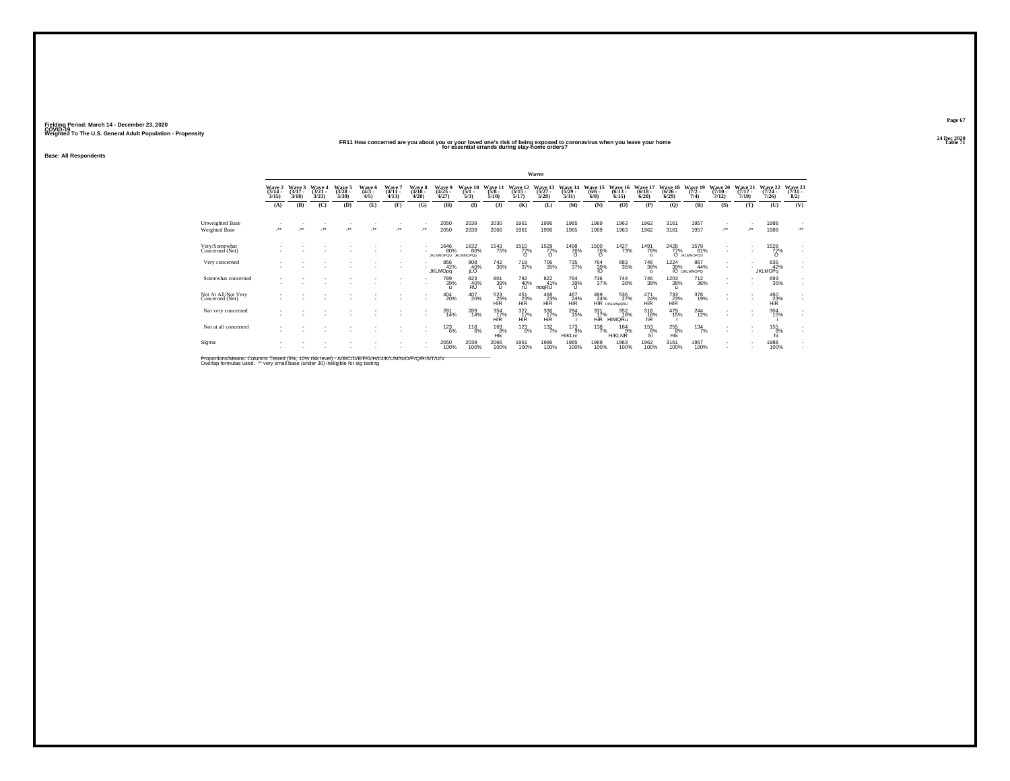## **24 Dec 2020FR11 How concerned are you about you or your loved one's risk of being exposed to coronavirus when you leave your home Table 71 for essential errands during stay-home orders?**

**Base: All Respondents**

|                                         |                           |                             |                             |                           |                       |                                  |                                |                                            |                                      |                                  |                                 | Waves                     |                                  |                                 |                                     |                                |                              |                                                                                                    |                              |                              |                              |                                 |
|-----------------------------------------|---------------------------|-----------------------------|-----------------------------|---------------------------|-----------------------|----------------------------------|--------------------------------|--------------------------------------------|--------------------------------------|----------------------------------|---------------------------------|---------------------------|----------------------------------|---------------------------------|-------------------------------------|--------------------------------|------------------------------|----------------------------------------------------------------------------------------------------|------------------------------|------------------------------|------------------------------|---------------------------------|
|                                         | Wave 2<br>(3/14 -<br>3/15 | Wave 3<br>$(3/17 -$<br>3/18 | Wave 4<br>$(3/21 -$<br>3/23 | Wave 5<br>(3/28 -<br>3/30 | Wave 6<br>(4/3<br>4/5 | <b>Wave</b><br>$(4/11 -$<br>4/13 | <b>Wave 8</b><br>(4/18<br>4/20 | Waye 5<br>(4/25<br>4/27                    | Wave 10<br>(5/1 -<br>5/3             | Wave 1<br>$(5/8 -$<br>5/10       | Wave 12<br>(5/15)<br>5/17       | Wave 13<br>(5/27)<br>5/28 | Wave 14<br>$(5/29 -$<br>5/31     | Wave 15<br>$(6/6 -$<br>6/8      | Wave 16<br>$(6/13 -$<br>6/15        | Wave 17<br>$(6/18 -$<br>6/20   | Wave 18<br>$(6/26 -$<br>6/29 | Wave 19<br>$(7/2 -$<br>7/4)                                                                        | Wave 20<br>$(7/10 -$<br>7/12 | Wave 21<br>$(7/17 -$<br>7/19 | Wave 22<br>(7/24 -<br>7/26   | Wave 23<br>$(7/31 -$<br>8/2)    |
|                                         | (A)                       | (B)                         | (C)                         | (D)                       | (E)                   | (F)                              | (G)                            | (H)                                        | $\mathbf{I}$                         | $\mathbf{I}$                     | (K)                             | (L)                       | (M)                              | (N)                             | (O)                                 | (P)                            | (Q)                          | (R)                                                                                                | (S)                          | (T)                          | (U)                          | (V)                             |
| Unweighted Base<br><b>Weighted Base</b> | $\bullet\bullet$          | $\bullet\bullet$            | $\bullet\,\bullet$          | $\star$                   | $\cdot$               | $\overline{\phantom{a}}$         | $\cdot$                        | 2050<br>2050                               | 2039<br>2039                         | 2030<br>2066                     | 1961<br>1961                    | 1996<br>1996              | 1965<br>1965                     | 1969<br>1969                    | 1963<br>1963                        | 1962<br>1962                   | 3161<br>3161                 | 1957<br>1957                                                                                       | $\cdot$                      | $\bullet\bullet$             | 1988<br>1988                 | $\overline{\phantom{a}}$<br>-** |
| Very/Somewhat<br>Concerned (Net)        |                           |                             |                             |                           |                       |                                  |                                | <sup>1646</sup> 80%<br>JKLMNOPQU JkLMNOPQu | 1632<br>80%                          | <sup>1543</sup> 75%              | <sup>1510</sup> 77%<br>$\Omega$ | 1528<br>77%<br>$\Omega$   | <sup>1498</sup> 76%<br>$\Omega$  | <sup>1500</sup> 76%<br>$\Omega$ | 1427<br>73%                         | 1491<br>76%<br>$\Omega$        | 2428<br>77%                  | 1579<br>81%<br>O JKLMNOPQU                                                                         |                              |                              | 1528<br>77%<br>$\Omega$      | ٠<br>٠                          |
| Very concerned                          |                           |                             |                             |                           |                       |                                  |                                | 856<br>42%<br><b>JKLMOpq</b>               | 808<br>40%<br>iLÖ                    | $\substack{742\\36\%}$           | <sup>719</sup> <sub>37%</sub>   | <sup>706</sup> 35%        | 735<br>37%                       | $\frac{764}{39\%}$              | 683<br>35%                          | <sup>746</sup> 38%<br>$\Omega$ |                              | $\begin{array}{r} 1224 & 867 \\ 39\% & 44 \\ \text{IO}\ \text{UKLMNOPQ} \end{array}$<br>867<br>44% |                              |                              | 835<br>42%<br><b>JKLMOPq</b> | ٠<br>$\epsilon$                 |
| Somewhat concerned                      |                           |                             |                             |                           |                       |                                  |                                | 789<br>39%                                 | 823<br>R <sub>0</sub> <sup>40%</sup> | 801<br>39%                       | 792<br>40%<br>rU                | 822<br>41%<br>noqRU       | 764<br>39%<br>u                  | 736<br>37%                      | 744<br>38%                          | <sup>746</sup> 38%             | 1203<br>38%<br>$\mathbf{u}$  | <sup>712</sup> <sub>36%</sub>                                                                      | ٠                            |                              | 693<br>35%                   | ٠<br>٠                          |
| Not At All/Not Very<br>Concerned (Net)  |                           |                             |                             |                           |                       |                                  |                                | $^{404}_{20\%}$                            | 407<br>20%                           | 523%<br><b>HIR</b>               | 451<br>23%<br><b>HiR</b>        | 468<br>23%<br><b>HIR</b>  | 467<br>24%<br><b>HIR</b>         | 469<br>24%                      | 536<br>27%<br><b>HIR HIKLMNpQRU</b> | $^{471}_{24\%}$<br><b>HIR</b>  | 733%<br><b>HIR</b>           | 378<br>19%                                                                                         |                              | $\sim$                       | 460<br>23%<br><b>HiR</b>     | ÷                               |
| Not very concerned                      |                           |                             |                             |                           |                       |                                  |                                | 281<br>14%                                 | 289<br>14%                           | $\frac{354}{17\%}$<br><b>HIR</b> | 327%<br><b>HIR</b>              | 336<br>17%<br>HiR         | $^{294}_{15\%}$                  | $\frac{331}{17\%}$              | 352<br>18%<br>HIR HIMQRu            | $^{318}_{16\%}$ hR             | 479<br>15%                   | $^{244}_{12\%}$                                                                                    |                              | $\sim$                       | 304<br>15%                   | ٠<br>٠                          |
| Not at all concerned                    |                           |                             |                             |                           |                       |                                  |                                | $^{123}_{6\%}$                             | $^{118}_{6\%}$                       | 169<br>8%<br>HIK                 | $^{123}_{6\%}$                  | $\frac{132}{7\%}$         | 173<br>9%<br>HIKLnr <sup>1</sup> | $^{138}_{7\%}$                  | 184<br>9%<br>HIKLNŘ                 | 153<br>8%<br>hl                | 255<br>8%<br>HIK             | $\frac{134}{7\%}$                                                                                  |                              |                              | 155<br>8%                    | ٠<br>×.                         |
| Sigma                                   |                           |                             |                             |                           |                       |                                  |                                | 2050<br>100%                               | 2039<br>100%                         | 2066<br>100%                     | 1961<br>100%                    | 1996<br>100%              | 1965<br>100%                     | 1969<br>100%                    | 1963<br>100%                        | 1962<br>100%                   | 3161<br>100%                 | 1957<br>100%                                                                                       |                              |                              | 1988<br>100%                 | $\sim$                          |

Proportions/Means: Columns Tested (5%, 10% risk level) - A/B/C/D/E/F/G/H/I/J/K/L/M/N/O/P/Q/R/S/T/U/V<br>Overlap formulae used. \*\* very small base (under 30) ineligible for sig testing

**Page 6724 Dec 2020<br>Table 71**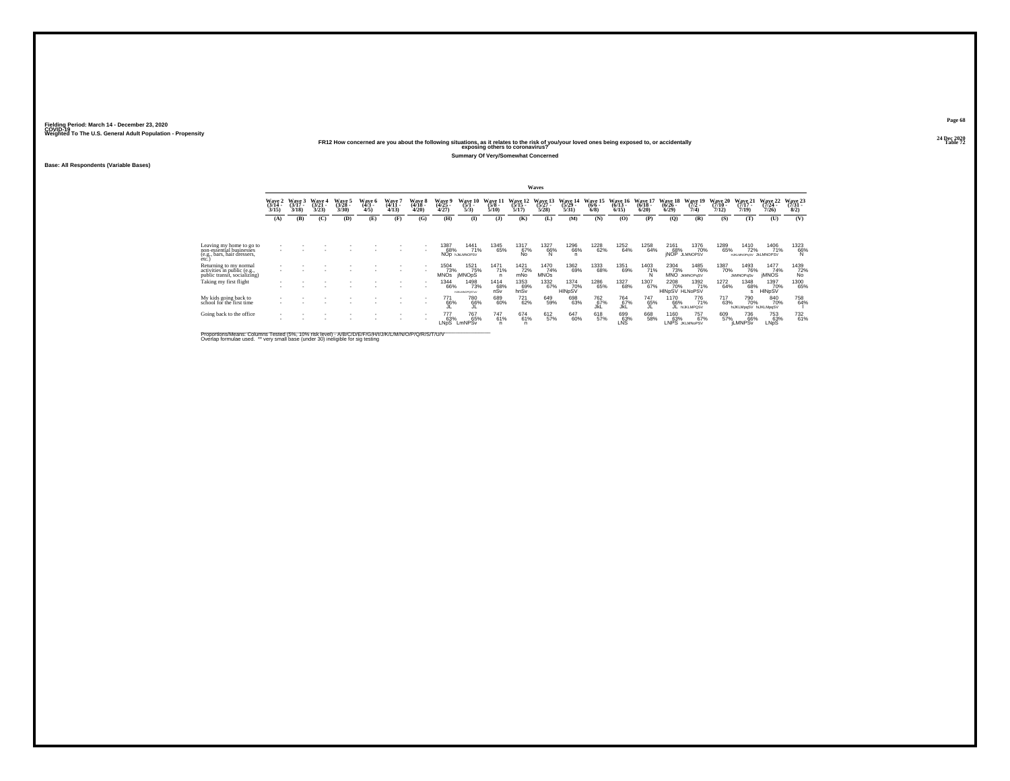**24 Dec 2020FR12 How concerned are you about the following situations, as it relates to the risk of you/your loved ones being exposed to, or accidentally Table 72 exposing others to coronavirus?**

**Summary Of Very/Somewhat Concerned**

**Base: All Respondents (Variable Bases)**

|                                                                                       |                                 |                             |                             |                             |                           |                                        |                         |                             |                                             |                             |                              | Waves                        |                              |                            |                                  |                              |                                       |                                 |                              |                                     |                              |                             |
|---------------------------------------------------------------------------------------|---------------------------------|-----------------------------|-----------------------------|-----------------------------|---------------------------|----------------------------------------|-------------------------|-----------------------------|---------------------------------------------|-----------------------------|------------------------------|------------------------------|------------------------------|----------------------------|----------------------------------|------------------------------|---------------------------------------|---------------------------------|------------------------------|-------------------------------------|------------------------------|-----------------------------|
|                                                                                       | Wave 2<br>$\frac{(3/14)}{3/15}$ | Wave 3<br>$(3/17 -$<br>3/18 | Wave 4<br>$(3/21 -$<br>3/23 | Wave 5<br>$(3/28 -$<br>3/30 | Wave 6<br>$(4/3 -$<br>4/5 | Wave <sup>*</sup><br>$(4/11 -$<br>4/13 | Wave 8<br>(4/18<br>4/20 | Wave 9<br>$(4/25 -$<br>4/27 | Wave 10<br>$(5/1 -$<br>5/3)                 | Wave 11<br>$(5/8 -$<br>5/10 | Wave 12<br>$(5/15 -$<br>5/17 | Wave 13<br>$(5/27 -$<br>5/28 | Wave 14<br>$(5/29 -$<br>5/31 | Wave 15<br>$(6/6 -$<br>6/8 | Wave<br>-16<br>$(6/13 -$<br>6/15 | Wave 17<br>$(6/18 -$<br>6/20 | <b>Wave 18</b><br>$(6/26 -$<br>6/29   | Wave 19<br>$(7/2 -$<br>7/4)     | Wave 20<br>$(7/10 -$<br>7/12 | Wave 21<br>$(7/17 -$<br>7/19        | Wave 22<br>$(7/24 -$<br>7/26 | Wave 23<br>$(7/31 -$<br>8/2 |
|                                                                                       | (A)                             | (B)                         | (C)                         | (D)                         | (E)                       | (F)                                    | (G)                     | (H)                         | $\bf{I}$                                    | (3)                         | (K)                          | (L)                          | (M)                          | (N)                        | (0)                              | (P)                          | (Q)                                   | (R)                             | (S)                          | (T)                                 | (U)                          | (V)                         |
| Leaving my home to go to                                                              |                                 |                             |                             |                             |                           |                                        |                         | 1387                        | 1441                                        | 1345                        | 1317                         | 1327                         | 1296                         |                            |                                  | 1258                         | 2161                                  | 1376                            | 1289                         | 1410                                | 1406                         |                             |
| non-essential businesses<br>(e.g., bars, hair dressers,<br>etc.                       |                                 |                             |                             |                             |                           |                                        |                         | 68%                         | 71%<br>NOD INJUANOPSV                       | 65%                         | 67%                          | 66%                          | 66%<br>$\mathsf{n}$          | 1228<br>62%                | 1252<br>64%                      | 64%                          |                                       | 68% 70%<br>jNOP JLMNOPSV<br>70% | 65%                          | 72%<br>HJKLMNOPqSV JkLMNOPSV        | 71%                          | $^{1323}_{66\%}_{N}$        |
| Returning to my normal<br>activities in public (e.g.,<br>public transit, socializing) |                                 |                             |                             |                             |                           |                                        |                         | 1504<br>73%<br><b>MNOs</b>  | 1521<br>75%<br><b>IMNOpS</b>                | 1471<br>71%                 | 1421<br>72%<br>mNo           | 1470<br>74%<br><b>MNOs</b>   | 1362<br>69%                  | 1333<br>68%                | 1351<br>69%                      | 1403<br>71%                  | 2304<br>73%                           | 1485<br>76%<br>MNO JKMNOPaSV    | 1387<br>70%                  | 1493<br>76%<br><b>JkMNOPqSv</b>     | 1477<br>74%<br><b>IMNOS</b>  | 1439<br>72%<br>No           |
| Taking my first flight                                                                | $\mathbf{r}$                    |                             |                             |                             |                           |                                        |                         | <sup>1344</sup> 66%         | <sup>1498</sup> 73%<br><b>HJKLMNOPOSTUV</b> | $^{1414}_{68\%}$ nSv        | 1353<br>69%<br>hnSv          | 1332<br>67%                  | 1374<br>70%<br>HINpSV        | 1286<br>65%                | 1327<br>68%                      | 1307<br>67%                  | <sup>2208</sup> 70%<br>HINpSV HLNoPSV | 1392<br>71%                     | 1272<br>64%                  | <sup>1348</sup> 68%                 | 1397<br>70%<br>HINpSV        | 1300<br>65%                 |
| My kids going back to<br>school for the first time                                    |                                 |                             |                             |                             |                           |                                        |                         | 771<br>66%                  | 780<br>66%                                  | 689<br>60%                  | 721<br>62%                   | 649<br>59%                   | 698<br>63%                   | 762<br>67%                 | 764<br>67%<br>JkL                | 747<br>65%                   | 1170<br>66%                           | 776<br>71%<br>JL HUKLMPOSV      | 717<br>63%                   | 790<br>70%<br>hiJKLMpgSV hiJKLMpgSV | 840<br>70%                   | 758<br>64%                  |
| Going back to the office                                                              | ٠                               |                             |                             |                             |                           |                                        |                         | 777<br>63%<br>LNpS          | <sup>767</sup> 65%<br>LmNPSv                | 747<br>61%                  | 674<br>61%<br>n              | 612<br>57%                   | 647<br>60%                   | 618<br>57%                 | 699<br>63%<br>LNS                | 668<br>58%                   | 1160<br>63%                           | 757<br>67%<br>LNPS JKLMNoPSV    | 609<br>57%                   | 736<br>66%<br><b>iLMNPSv</b>        | 753<br>63%<br>LNpS           | 732<br>61%                  |

Proportions/Means: Columns Tested (5%, 10% risk level) - A/B/C/D/E/F/G/H/I/J/K/L/M/N/O/P/Q/R/S/T/U/V<br>Overlap formulae used. \*\* very small base (under 30) ineligible for sig testing

**Page 6824 Dec 2020<br>Table 72**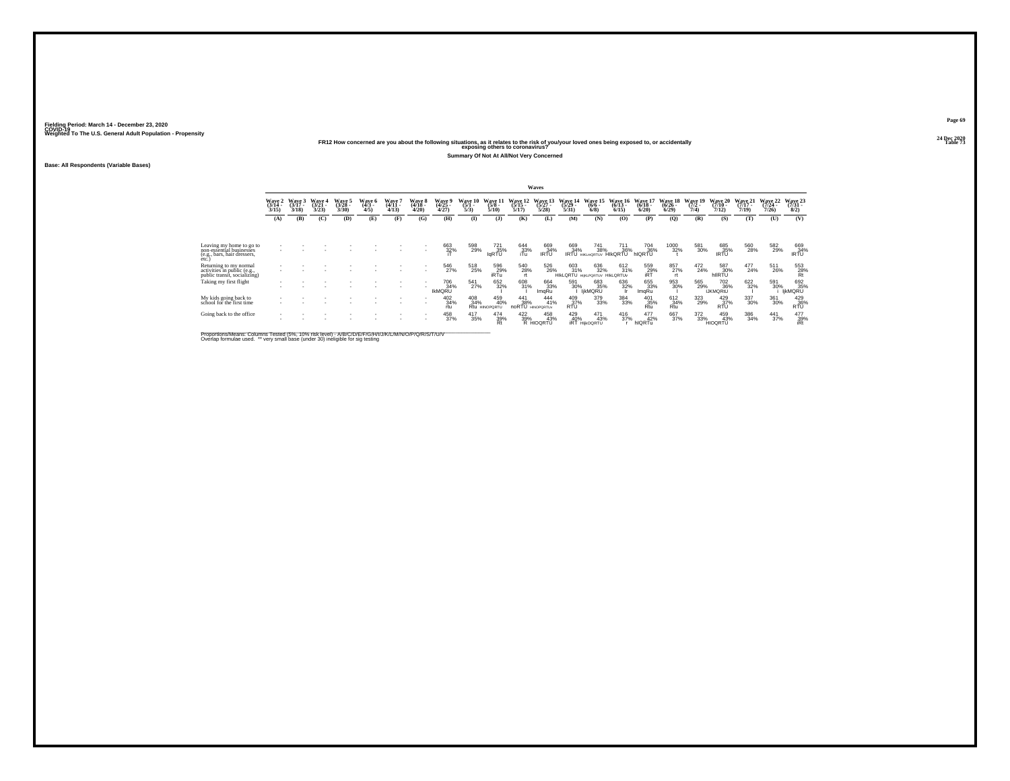**24 Dec 2020FR12 How concerned are you about the following situations, as it relates to the risk of you/your loved ones being exposed to, or accidentally Table 73 exposing others to coronavirus?**

**Summary Of Not At All/Not Very Concerned**

**Base: All Respondents (Variable Bases)**

|                                                                                       |                           |                             |                                    |                          |                           |                             |                           |                             |                             |                             |                              | Waves                                 |                               |                                    |                              |                              |                           |                            |                                         |                              |                              |                                                                                                                                   |
|---------------------------------------------------------------------------------------|---------------------------|-----------------------------|------------------------------------|--------------------------|---------------------------|-----------------------------|---------------------------|-----------------------------|-----------------------------|-----------------------------|------------------------------|---------------------------------------|-------------------------------|------------------------------------|------------------------------|------------------------------|---------------------------|----------------------------|-----------------------------------------|------------------------------|------------------------------|-----------------------------------------------------------------------------------------------------------------------------------|
|                                                                                       | Wave 2<br>(3/14 -<br>3/15 | Wave 3<br>$(3/17 -$<br>3/18 | <b>Wave 4</b><br>$(3/21 -$<br>3/23 | Wave 5<br>(3/28)<br>3/30 | Wave 6<br>$(4/3 -$<br>4/5 | Wave 7<br>$(4/11 -$<br>4/13 | Wave 8<br>(4/18 -<br>4/20 | Wave 9<br>(4/25)<br>4/27    | Wave 10<br>$(5/1 -$<br>5/3) | Wave 11<br>$(5/8 -$<br>5/10 | Wave 12<br>$(5/15 -$<br>5/17 | Wave 13<br>$(5/27 -$<br>5/28          | Wave 14<br>$(5/29 -$<br>5/31  | Wave 15<br>$(6/6 -$<br>6/8         | Wave 16<br>$(6/13 -$<br>6/15 | Wave 17<br>$(6/18 -$<br>6/20 | Wave 18<br>(6/26)<br>6/29 | Wave 19<br>$(7/2 -$<br>7/4 | Wave 20<br>$(7/10 -$<br>7/12            | Wave 21<br>$(7/17 -$<br>7/19 | Wave 22<br>$(7/24 -$<br>7/26 | Wave 23<br>$\frac{(7/31 - 8)}{8/2}$                                                                                               |
|                                                                                       | (A)                       | (B)                         | (C)                                | (D)                      | (E)                       | (F)                         | (G)                       | (H)                         | $\mathbf{I}$                | $\mathbf{J}$                | <b>(K)</b>                   | (L)                                   | (M)                           | (N)                                | (0)                          | (P)                          | (Q)                       | (R)                        | (S)                                     | (T)                          | (U)                          | (V)                                                                                                                               |
| Leaving my home to go to                                                              |                           |                             |                                    |                          |                           |                             |                           | 663<br>32%                  | 598<br>29%                  | 721                         | 644<br>33%<br>iTu            | 669                                   | 669<br>34%                    | 741<br>38%                         | 711                          | 704<br>36%                   | 1000<br>32%               | 581                        |                                         | 560<br>28%                   | 582<br>29%                   | 669<br>34%<br>IRTU                                                                                                                |
| non-essential businesses<br>(e.g., bars, hair dressers,<br>etc.)                      |                           |                             |                                    |                          |                           |                             |                           |                             |                             | IqRTU                       |                              | $\overline{34\%}$                     |                               | <b>IRTU HIKLMORTUV</b>             | 36%<br>HIKORTU <sup>®</sup>  | hIQRTU                       |                           | 30%                        | 685<br>35%<br>IRTU                      |                              |                              |                                                                                                                                   |
| Returning to my normal<br>activities in public (e.g.,<br>public transit, socializing) |                           |                             |                                    |                          |                           |                             |                           | 546<br>27%                  | 518<br>25%                  | 596<br>iRTu                 | 540<br>28%<br>rt             | 526<br>26%                            | 603<br>31%<br><b>HIKLORTU</b> | 636<br>32%<br>HIKLPORTUV HIKLORTUV | 612<br>31%                   | 559<br>$R^2$                 | 857<br>27%<br>n.          | $\frac{472}{24\%}$         | 587<br>30%<br>hllRTŰ                    | 477<br>24%                   | 511<br>26%                   | $^{553}_{\substack{28\%\\Rt}}$                                                                                                    |
| Taking my first flight                                                                | ٠                         |                             |                                    |                          |                           |                             |                           | 706<br>34%<br><b>IKMORU</b> | 541<br>27%                  | 652%                        | 608<br>31%                   | 664<br>33%<br>ImaRu                   | 591<br>30%                    | 683<br>35%<br><b>IKMORU</b>        | 636<br>32%                   | 655<br>33%<br><b>ImaRu</b>   | 953<br>30%                | 565<br>29%                 | <sup>702</sup> 36%<br><b>IJKMQRtU</b>   | 622 %                        | 591<br>30%                   | 692<br>35%<br>ljkMQRU                                                                                                             |
| My kids going back to<br>school for the first time                                    |                           |                             |                                    |                          |                           |                             |                           | 402<br>34%<br>rtu           | 408<br>34%                  | 459<br>40%<br>Rtu HINOPORTU | 441<br>38%                   | 444<br>41%<br><b>noRTU</b> HINOPORTUV | $^{409}_{37\%}$ RTU           | 379<br>33%                         | 384<br>33%                   | 401<br>35%<br>Rtu            | 612<br>34%<br>Rtu         | 323<br>29%                 | $\substack{429\\-37\%\\R\overline{10}}$ | $\substack{337 \\ 30\%}$     | 361<br>30%                   | $\overset{429}{_{\check{1}\check{3}\check{6}\check{}}\raisebox{.4ex}{$\check{}}\raisebox{.4ex}{$\check{}}\raisebox{.4ex}{$}}$ RTU |
| Going back to the office                                                              | $\mathbf{r}$              |                             |                                    |                          |                           |                             |                           | 458<br>37%                  | 417<br>35%                  | 474<br>39%<br>Rt            | 422/39%                      | 458<br>43%<br>R HIOQRTU               | 429<br>40%                    | 471<br>43%<br><b>IRT HIKOQRTU</b>  | 416<br>37%                   | 477<br>42%<br>hIQRTu         | 667<br>37%                | 372<br>33%                 | 459<br>43%<br><b>HIOQRTU</b>            | 386<br>34%                   | $\frac{441}{37\%}$           | $\frac{477}{39\%}$ iRt                                                                                                            |

Proportions/Means: Columns Tested (5%, 10% risk level) - A/B/C/D/E/F/G/H/I/J/K/L/M/N/O/P/Q/R/S/T/U/V<br>Overlap formulae used. \*\* very small base (under 30) ineligible for sig testing

**Page 6924 Dec 2020<br>Table 73**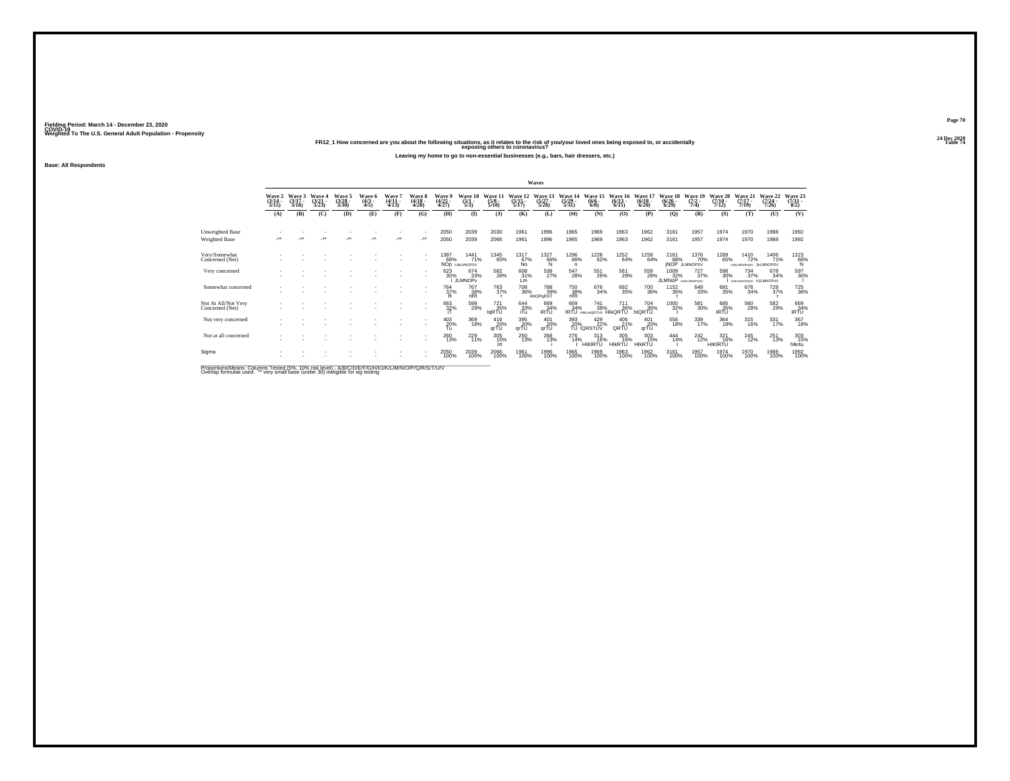**24 Dec 2020FR12\_1 How concerned are you about the following situations, as it relates to the risk of you/your loved ones being exposed to, or accidentally Table 74 exposing others to coronavirus?Leaving my home to go to non-essential businesses (e.g., bars, hair dressers, etc.)**

**Base: All Respondents**

|                                        |                           |                             |                          |                             |                               |                           |                                 |                                    |                                       |                                       |                                  | Waves                            |                                  |                                              |                              |                                  |                                 |                                             |                                  |                                                     |                             |                                                           |
|----------------------------------------|---------------------------|-----------------------------|--------------------------|-----------------------------|-------------------------------|---------------------------|---------------------------------|------------------------------------|---------------------------------------|---------------------------------------|----------------------------------|----------------------------------|----------------------------------|----------------------------------------------|------------------------------|----------------------------------|---------------------------------|---------------------------------------------|----------------------------------|-----------------------------------------------------|-----------------------------|-----------------------------------------------------------|
|                                        | Wave 2<br>(3/14 -<br>3/15 | Wave 3<br>$(3/17 -$<br>3/18 | Wave 4<br>(3/21)<br>3/23 | Wave 5<br>$(3/28 -$<br>3/30 | Wave 6<br>$\frac{(4/3)}{4/5}$ | Wave<br>$(4/11 -$<br>4/13 | Wave 8<br>$\frac{(4/18)}{4/20}$ | Wave<br>(4/25<br>4/27)             | Wave 10<br>$\frac{(5/1)}{5/3}$        | Wave 11<br>$\frac{(5/8)}{5/10}$       | Wave 12<br>$\frac{(5/15)}{5/17}$ | Wave 13<br>$\frac{(5/27)}{5/28}$ | Wave 14<br>$\frac{(5/29)}{5/31}$ | Wave 15<br>$\binom{6/6}{6/8}$                | Wave 16<br>$(6/13 -$<br>6/15 | Wave 17<br>$\frac{(6/18)}{6/20}$ | Wave 18<br>$\binom{6/26}{6/29}$ | Wave 19<br>$(7/2 -$<br>7/4)                 | Wave 20<br>$\frac{(7/10)}{7/12}$ | Wave 21<br>$(7/17 -$<br>7/19                        | Wave 22<br>(7/24 -<br>7/26) | Wave 23<br>$\frac{(7/31)}{8/2}$                           |
|                                        | (A)                       | (B)                         | (C)                      | (D)                         | (E)                           | (F)                       | (G)                             | (H)                                | $\mathbf{D}$                          | (3)                                   | (K)                              | (L)                              | (M)                              | (N)                                          | (0)                          | (P)                              | $\mathbf{Q}$                    | (R)                                         | (S)                              | (T)                                                 | (U)                         | (V)                                                       |
| Unweighted Base<br>Weighted Base       | $\overline{\phantom{a}}$  |                             | $\ddot{\phantom{0}}$     | $\ddot{\phantom{0}}$        | $\ddot{\phantom{1}}$          | $\ddot{\phantom{1}}$      | $\bullet\,\bullet$              | 2050<br>2050                       | 2039<br>2039                          | 2030<br>2066                          | 1961<br>1961                     | 1996<br>1996                     | 1965<br>1965                     | 1969<br>1969                                 | 1963<br>1963                 | 1962<br>1962                     | 3161<br>3161                    | 1957<br>1957                                | 1974<br>1974                     | 1970<br>1970                                        | 1988<br>1988                | 1992<br>1992                                              |
| Very/Somewhat<br>Concerned (Net)       |                           |                             |                          |                             |                               |                           |                                 | 1387<br>68%                        | 1441<br>71%<br>NOD <b>INJAINMOPSV</b> | <sup>1345</sup> 65%                   | 1317<br>67%<br>Ňο.               | 1327<br>66%<br>'N                | <sup>1296</sup> 66%<br>n.        | <sup>1228</sup> 62%                          | <sup>1252</sup> 64%          | 1258<br>64%                      | 2161<br>68%                     | <sup>1376</sup> 70%<br><b>INOP JLMNOPSV</b> | 1289<br>65%                      | <sup>1410</sup> 72%<br>HJKLMNOPuSV JkLMNOPSV        | 1406<br>71%                 | $^{1323}_{66\%}$                                          |
| Very concerned                         |                           |                             |                          |                             |                               |                           |                                 | 623<br>30%                         | 674<br>33%<br><b>JLMNOPv</b>          | $^{582}_{\phantom{1}\phantom{1}28\%}$ | 608<br>31%<br>Lm                 | $^{538}_{\phantom{2}27\%}$       | 547<br>28%                       | 551<br>28%                                   | 561<br>29%                   | 559<br>28%                       | 1009<br>32%<br>JLMNoP           | 727<br>37%<br><b>HUKLMNOPOSV</b>            | 598<br>30%                       | $\substack{734 \\ 37\%}$<br>HEIG MACROSY HJJ MNOPKV | 678<br>34%                  | 597<br>30%                                                |
| Somewhat concerned                     |                           |                             |                          |                             |                               |                           | $\overline{\phantom{a}}$        | <sup>764</sup> <sub>37%</sub><br>R | <sup>767</sup> 38%<br>nRt             | <sup>763</sup> 37%                    | 708<br>36%                       | 788<br>39%<br>kNOPaRST           | 750<br>38%<br>nRt                | 676<br>34%                                   | 692<br>35%                   | <sup>700</sup> 36%               | <sup>1152</sup> 36%             | $\substack{649 \\ 33\%}$                    | 691<br>35%                       | 676<br>34%                                          | 728<br>37%                  | <sup>725</sup> 36%                                        |
| Not At All/Not Very<br>Concerned (Net) |                           |                             |                          |                             |                               |                           | $\overline{\phantom{a}}$        | $\frac{663}{32\%}$                 | 598<br>29%                            | 721<br>35%<br><b>IGRTU</b>            | $^{644}_{33\%}$                  | 669<br>84%<br>IRTU               | 669<br>34%                       | <sup>741</sup> 38%<br><b>IRTU HIKLMORTUV</b> | 711<br>36%<br><b>HIKQRTU</b> | 704 36%<br>hIQRTU                | 1000<br>32%                     | $^{581}_{\ 30\%}$                           | 685<br>35%<br>IRTU               | $^{560}_{\ 28\%}$                                   | 582<br>29%                  | $\begin{array}{c} 669 \\ 34\% \\ \text{IRTU} \end{array}$ |
| Not very concerned                     |                           |                             |                          |                             |                               |                           |                                 | 403<br>20%<br>Τü                   | 369<br>18%                            | 416<br>20%<br>arTU                    | 395<br>20%<br>qrTU               | 401<br>20%<br>arTŪ               | 393<br>20%                       | 429<br>22%<br>TÜ IQRSTUV                     | 406<br>QRTU <sup>%</sup>     | 401<br>$qr\overline{10}$ %       | 556<br>18%                      | 339<br>17%                                  | 364<br>18%                       | 315<br>16%                                          | 331<br>17%                  | 367<br>18%                                                |
| Not at all concerned                   |                           |                             |                          |                             |                               |                           |                                 | 260<br>13%                         | 229<br>11%                            | $\frac{305}{15\%}$                    | 250<br>13%                       | 268<br>13%                       | 276<br>14%                       | $^{313}_{16\%}$<br><b>HIKIRTU</b>            | 305<br>16%<br><b>HIKRTU</b>  | 303<br>15%<br><b>HIKRTU</b>      | $^{444}_{14\%}$                 | $^{242}_{12\%}$                             | 321<br>16%<br><b>HIKIRTU</b>     | $^{245}_{12\%}$                                     | 251<br>13%                  | 303<br>15%<br>hlkrtu                                      |
| Sigma                                  |                           |                             |                          |                             |                               |                           |                                 | 2050<br>100%                       | 2039<br>100%                          | 2066<br>100%                          | 1961<br>100%                     | 1996<br>100%                     | 1965<br>100%                     | 1969<br>100%                                 | 1963<br>100%                 | 1962<br>100%                     | 3161<br>100%                    | 1957<br>100%                                | 1974<br>100%                     | 1970<br>100%                                        | 1988<br>100%                | 1992<br>100%                                              |

Proportions/Means: Columns Tested (5%, 10% risk level) - A/B/C/D/E/F/G/H/I/J/K/L/M/N/O/P/Q/R/S/T/U/V<br>Overlap formulae used. \*\* very small base (under 30) ineligible for sig testing

**Page 7024 Dec 2020<br>Table 74**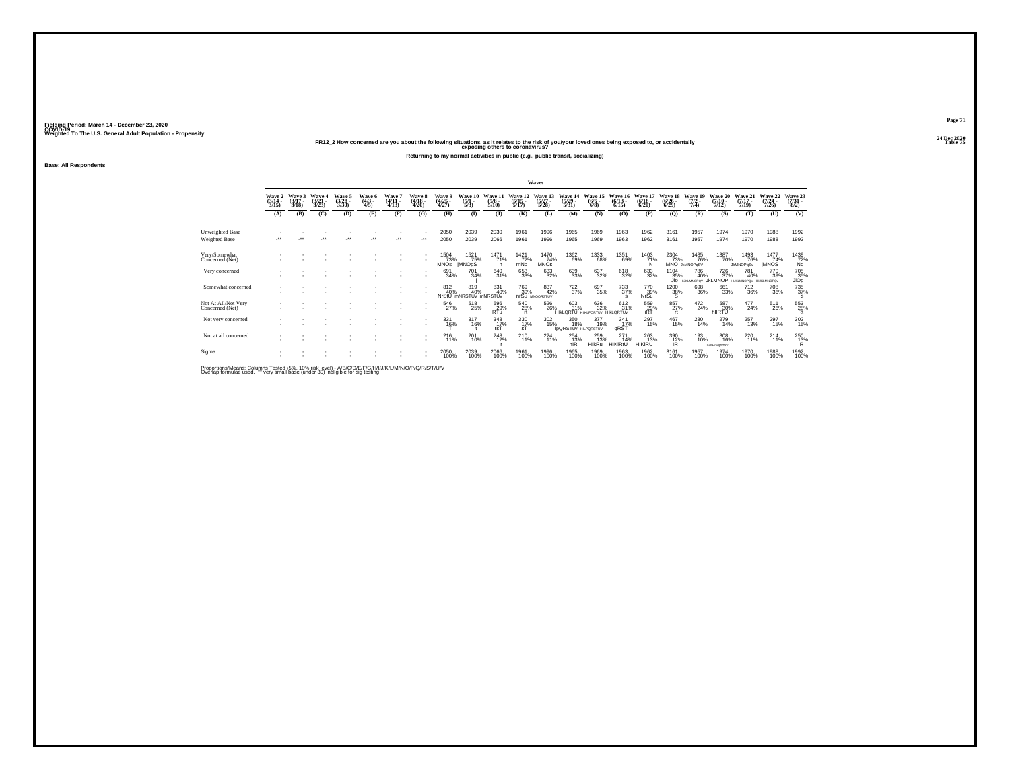**24 Dec 2020FR12\_2 How concerned are you about the following situations, as it relates to the risk of you/your loved ones being exposed to, or accidentally Table 75 exposing others to coronavirus?Returning to my normal activities in public (e.g., public transit, socializing)**

**Base: All Respondents**

|                                        |                          |                             |                               |                                |                               |                               |                                        |                                                  |                                |                                 |                           | Waves                            |                                          |                                                    |                                    |                                       |                                    |                                      |                                  |                                     |                                            |                                   |
|----------------------------------------|--------------------------|-----------------------------|-------------------------------|--------------------------------|-------------------------------|-------------------------------|----------------------------------------|--------------------------------------------------|--------------------------------|---------------------------------|---------------------------|----------------------------------|------------------------------------------|----------------------------------------------------|------------------------------------|---------------------------------------|------------------------------------|--------------------------------------|----------------------------------|-------------------------------------|--------------------------------------------|-----------------------------------|
|                                        | Wave 2<br>(3/14)<br>3/15 | Wave 3<br>$(3/17 -$<br>3/18 | Wave<br>$\frac{(3/21)}{3/23}$ | Wave 5<br>$\binom{3/28}{3/30}$ | Wave 6<br>$\frac{(4/3)}{4/5}$ | Wave 7<br>$(4/11 -$<br>(4/13) | <b>Wave 8</b><br>$\frac{(4/18)}{4/20}$ | Wave 9<br>$\frac{(4/25)}{4/27}$                  | Wave 10<br>$\frac{(5/1)}{5/3}$ | Wave 11<br>$\frac{(5/8)}{5/10}$ | Wave 12<br>$\frac{5}{12}$ | Wave 13<br>$\frac{(5/27)}{5/28}$ | Wave 14<br>$\frac{(5/29)}{5/31}$         | Wave 15<br>$\frac{(6/6)}{6/8}$                     | Wave 16<br>$(6/13 -$<br>6/15       | Wave 17<br>$\binom{6/18}{6/20}$       | Wave 18<br>$\frac{(6/26)}{(6/29)}$ | Wave 19<br>$\frac{(7/2)}{7/4}$       | Wave 20<br>$\frac{(7/10)}{7/12}$ | Wave 21<br>$\frac{(7/17)}{7/19}$    | Wave 22<br>$(7/24 -$<br>7/26               | Wave 23<br>$\frac{(7/31)}{(8/2)}$ |
|                                        | (A)                      | (B)                         | (C)                           | (D)                            | (E)                           | (F)                           | (G)                                    | (H)                                              | $($ $\Gamma$                   | (1)                             | (K)                       | (L)                              | (M)                                      | (N)                                                | (0)                                | (P)                                   | $\mathbf{Q}$                       | (R)                                  | (S)                              | (T)                                 | (U)                                        | (V)                               |
| Unweighted Base<br>Weighted Base       | $\overline{\phantom{a}}$ |                             | $\ddot{\phantom{0}}$          | $\bullet\bullet$               | $\ddot{\phantom{0}}$          | $\star\star$                  |                                        | 2050<br>2050                                     | 2039<br>2039                   | 2030<br>2066                    | 1961<br>1961              | 1996<br>1996                     | 1965<br>1965                             | 1969<br>1969                                       | 1963<br>1963                       | 1962<br>1962                          | 3161<br>3161                       | 1957<br>1957                         | 1974<br>1974                     | 1970<br>1970                        | 1988<br>1988                               | 1992<br>1992                      |
| Very/Somewhat<br>Concerned (Net)       |                          |                             |                               |                                |                               |                               | ٠                                      | $\frac{1504}{1}$ $\frac{73\%}{1}$<br><b>MNOS</b> | 1521<br>75%<br><b>IMNOpS</b>   | <sup>1471</sup> 71%<br>n        | 1421<br>72%<br>mNo        | $^{1470}_{74\%}$<br><b>MNOs</b>  | <sup>1362</sup> 69%                      | 1333<br>68%                                        | 1351<br>69%                        | 1403<br>71%                           | 2304<br>73%                        | <sup>1485</sup> 76%<br>MNO JKMNOPqSV | 1387<br>70%                      | 1493<br>76%<br><b>JkMNOPgSv</b>     | $\frac{1477}{74\%}$<br><b><i>IMNOS</i></b> | 1439<br>72%<br>No                 |
| Very concerned                         |                          |                             |                               |                                |                               |                               | ٠                                      | 691<br>34%                                       | 701<br>34%                     | 640<br>31%                      | 653<br>33%                | 633<br>32%                       | 639<br>33%                               | 637<br>32%                                         | 618<br>32%                         | 633<br>32%                            | 1104<br>35%                        | 786<br>40%<br>JIO HUKLMNOPOV JKLMNOP | 726<br>37%                       | 781<br>40%<br>HUKLMNOPOV HUKLMNOPOv | 770<br>39%                                 | 705<br>35%<br>JIOp                |
| Somewhat concerned                     |                          |                             |                               |                                |                               |                               |                                        | 812<br>40%<br>NrStU                              | 819<br>40%<br>mNRSTUy mNRSTU   | 831<br>40%                      | 769<br>39%                | 837<br>42%<br>nrSu MNOORSTUV     | $\frac{722}{37%}$                        | 697<br>35%                                         | <sup>733</sup> <sub>37%</sub><br>s | 770<br>39%<br><b>NrSu</b>             | <sup>1200</sup> 38%<br>s           | 698<br>36%                           | 661<br>33%                       | $\substack{712 \\ 36\%}$            | <sup>708</sup> 36%                         | 735<br>37%<br>s                   |
| Not At All/Not Very<br>Concerned (Net) |                          |                             |                               |                                |                               |                               | ٠<br>٠                                 | 546<br>27%                                       | 518<br>25%                     | $^{596}_{29\%}$ iRTu            | 540<br>28%                | 526<br>26%                       | 603<br>31%                               | 636<br>32%<br><b>HIKLORTU HIKLPORTUV HIKLORTUV</b> | 612/31%                            | $^{559}_{\substack{29\\ \text{iRT}}}$ | 857%<br>rt.                        | $^{472}_{24\%}$                      | 587<br>30%<br>hllRTU             | $^{477}_{24\%}$                     | 511<br>26%                                 | 553<br>28%<br>Rt                  |
| Not very concerned                     |                          |                             |                               |                                |                               |                               | ٠                                      | 331<br>16%                                       | 317<br>16%                     | 348<br>17%                      | 330<br>1 <u>7</u> %<br>sT | 302<br>15%                       | 350<br>18%<br><b>IDQRSTUV HILPORSTUV</b> | 377<br>19%                                         | 341<br>17%<br>qRST                 | 297<br>15%                            | 467<br>15%                         | 280<br>14%                           | 279<br>14%                       | 257<br>13%                          | 297<br>15%                                 | $\frac{302}{15\%}$                |
| Not at all concerned                   |                          |                             |                               |                                |                               |                               |                                        | $^{216}_{11\%}$                                  | 201<br>10%                     | 248<br>12%                      | $^{210}_{11\%}$           | 224<br>11%                       | 254<br>13%<br>hIR                        | 259<br>13%<br><b>HIkRu</b>                         | $^{271}_{14\%}$<br><b>HIKIRtU</b>  | 263<br>13%<br><b>HIKIRU</b>           | 390<br>12%<br>IR                   | 193<br>10%                           | 308<br>16%<br><b>HUKLmnQRTUV</b> | 220<br>11%                          | $^{214}_{11\%}$                            | 250<br>13%<br>IR.                 |
| Sigma                                  |                          |                             |                               |                                |                               |                               | ٠                                      | 2050<br>100%                                     | 2039<br>100%                   | 2066<br>100%                    | 1961<br>100%              | 1996<br>100%                     | 1965<br>100%                             | 1969<br>100%                                       | 1963<br>100%                       | 1962<br>100%                          | 3161<br>100%                       | 1957<br>100%                         | 1974<br>100%                     | 1970<br>100%                        | 1988<br>100%                               | 1992<br>100%                      |

Proportions/Means: Columns Tested (5%, 10% risk level) - A/B/C/D/E/F/G/H/I/J/K/L/M/N/O/P/Q/R/S/T/U/V<br>Overlap formulae used. \*\* very small base (under 30) ineligible for sig testing

**Page 7124 Dec 2020<br>Table 75**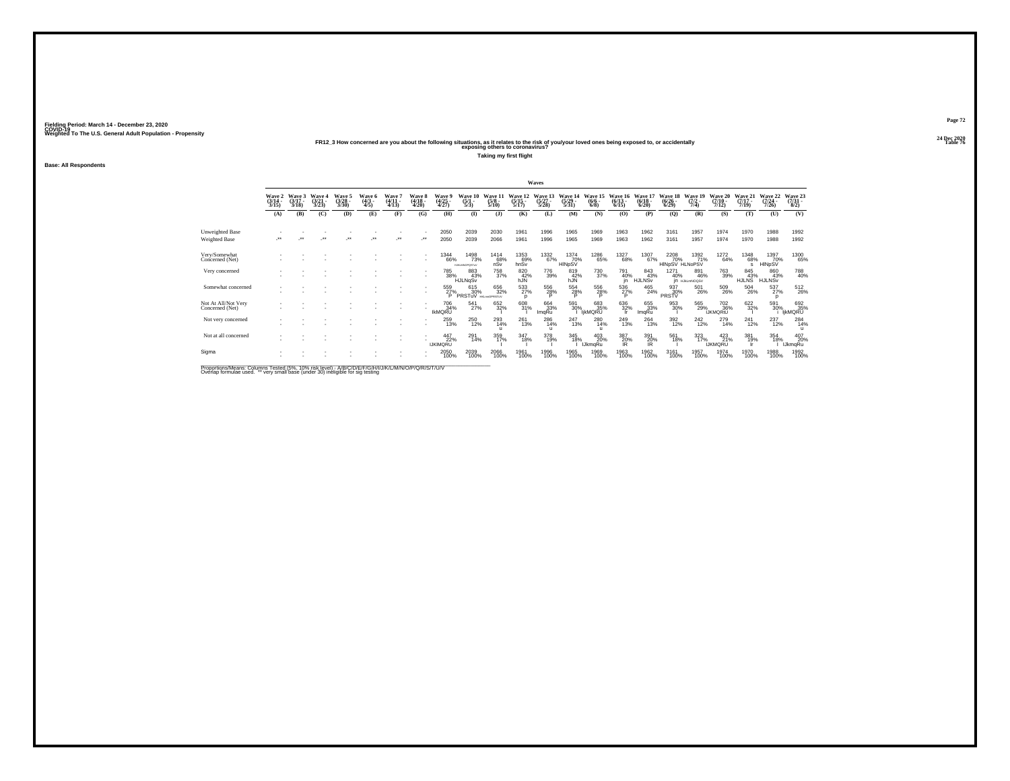**Base: All Respondents**

**24 Dec 2020FR12\_3 How concerned are you about the following situations, as it relates to the risk of you/your loved ones being exposed to, or accidentally Table 76 exposing others to coronavirus?**

**Taking my first flight**

|                                        |                           |                             |                                 |                                 |                               |                             |                             |                                       |                                             |                                 |                                  | Waves                            |                                  |                                   |                                  |                                  |                                  |                                |                                       |                              |                              |                                 |
|----------------------------------------|---------------------------|-----------------------------|---------------------------------|---------------------------------|-------------------------------|-----------------------------|-----------------------------|---------------------------------------|---------------------------------------------|---------------------------------|----------------------------------|----------------------------------|----------------------------------|-----------------------------------|----------------------------------|----------------------------------|----------------------------------|--------------------------------|---------------------------------------|------------------------------|------------------------------|---------------------------------|
|                                        | Wave 2<br>(3/14 -<br>3/15 | Wave 3<br>$(3/17 -$<br>3/18 | Wave 4<br>$\frac{(3/21)}{3/23}$ | Wave 5<br>$\frac{(3/28)}{3/30}$ | Wave 6<br>$\frac{(4/3)}{4/5}$ | Wave 7<br>$(4/11 -$<br>4/13 | Wave 8<br>$(4/18 -$<br>4/20 | Wave 9<br>$\frac{(4/25 - 4)}{(4/27)}$ | Wave 10<br>$\frac{(5/1)}{5/3}$              | Wave 11<br>$\frac{(5/8)}{5/10}$ | Wave 12<br>$\frac{(5/15)}{5/17}$ | Wave 13<br>$\frac{(5/27)}{5/28}$ | Wave 14<br>$\frac{(5/29)}{5/31}$ | Wave 15<br>$(6/6 -$<br>6/8        | Wave 16<br>$\frac{(6/13)}{6/15}$ | Wave 17<br>$\frac{(6/18)}{6/20}$ | Wave 18<br>$\frac{(6/26)}{6/29}$ | Wave 19<br>$\frac{(7/2)}{7/4}$ | Wave 20<br>$(7/10 -$<br>7/12          | Wave 21<br>$(7/17 -$<br>7/19 | Wave 22<br>$(7/24 -$<br>7/26 | Wave 23<br>$\binom{7/31}{8/2}$  |
|                                        | (A)                       | (B)                         | (C)                             | (D)                             | (E)                           | (F)                         | (G)                         | (H)                                   | $\mathbf{I}$                                | (1)                             | (K)                              | (L)                              | (M)                              | (N)                               | (O)                              | (P)                              | (Q)                              | (R)                            | (S)                                   | (T)                          | (U)                          | (V)                             |
| Unweighted Base<br>Weighted Base       | $\bullet\bullet$          | $\bullet\bullet$            | $\bullet\bullet$                | $\bullet\bullet$                | $\ddot{\phantom{1}}$          | ÷                           |                             | 2050<br>2050                          | 2039<br>2039                                | 2030<br>2066                    | 1961<br>1961                     | 1996<br>1996                     | 1965<br>1965                     | 1969<br>1969                      | 1963<br>1963                     | 1962<br>1962                     | 3161<br>3161                     | 1957<br>1957                   | 1974<br>1974                          | 1970<br>1970                 | 1988<br>1988                 | 1992<br>1992                    |
| Very/Somewhat<br>Concerned (Net)       |                           |                             |                                 |                                 |                               |                             |                             | <sup>1344</sup> 66%                   | <sup>1498</sup> 73%<br><b>HJKLMNOPOSTUV</b> | 1414<br>68%<br>nSv              | 1353<br>69%<br>hnSv              | 1332<br>67%                      | 1374<br>70%<br>HINpSV            | <sup>1286</sup> 65%               | 1327<br>68%                      | 1307<br>67%                      | 2208<br>70%<br>HINpSV HLNoPSV    | $\frac{1392}{71\%}$            | 1272<br>64%                           | 1348<br>68%<br>s             | 1397<br>70%<br>HINpSV        | 1300<br>65%                     |
| Very concerned                         |                           |                             |                                 |                                 |                               |                             |                             | 785<br>38%                            | 883<br>43%<br>HJLNqSv                       | 758<br>37%                      | 820<br>42%<br>hJÑ                | 776<br>39%                       | 819<br>42%<br>hJN                | 730<br>37%                        | 791<br>40%                       | 843<br>43%<br><b>HJLNSV</b>      | 1271<br>40%                      | 891<br>46%<br>IN HJKLMNOGSV    | 763<br>39%                            | 845<br>43%<br>HJLNS          | 860<br>43%<br>HJLNSV         | 788<br>40%                      |
| Somewhat concerned                     |                           |                             |                                 |                                 |                               |                             |                             | 559<br>27%<br>P                       | 615<br>30%<br>PRSTuV HIGHNOPRSTUV           | 656<br>32%                      | $\frac{533}{27\%}$<br>$\Omega$   | 556<br>28%<br>D                  | 554<br>28%<br>ъ                  | 556<br>28%<br>D                   | 536<br>27%<br>Þ                  | 465<br>24%                       | 937<br>30%<br>PRSTV              | 501<br>26%                     | 509<br>26%                            | $^{504}_{\ 26\%}$            | 537%<br>p                    | $^{512}_{26\%}$                 |
| Not At All/Not Very<br>Concerned (Net) |                           |                             |                                 |                                 |                               |                             |                             | 706<br>34%<br><b>IKMQRU</b>           | 541<br>27%                                  | 652 32%                         | 608<br>31%                       | 664<br>33%<br>ImqRu              | 591<br>30%                       | 683<br>35%<br><b>IjkMQRU</b>      | 636<br>32%<br>-lr                | 655<br>33%<br>ImqRu              | 953<br>30%                       | 565<br>29%                     | <sup>702</sup> 36%<br><b>IJKMQRtU</b> | 622%                         | 591<br>30%                   | 692<br>35%<br>ijkMQRU           |
| Not very concerned                     |                           |                             |                                 |                                 |                               |                             |                             | 259<br>13%                            | $^{250}_{\phantom{1}12\%}$                  | 293<br>14%<br>$\mathbf{u}$      | $^{261}_{13\%}$                  | 286<br>14%<br>п                  | $^{247}_{13\%}$                  | 280<br>14%<br>$\mathbf{u}$        | 249<br>13%                       | 264<br>13%                       | 392<br>12%                       | $^{242}_{12\%}$                | 279<br>14%                            | $^{241}_{12\%}$              | 237<br>12%                   | $^{284}_{14\%}$<br>$\mathbf{u}$ |
| Not at all concerned                   |                           |                             |                                 |                                 |                               |                             |                             | 447<br>22%<br><b>IJKIMORU</b>         | 291<br>14%                                  | 359<br>17%                      | 347<br>18%                       | 378<br>19%                       | 345<br>18%                       | $^{403}_{20\%}$<br><b>IJkmqRu</b> | 387<br>20%<br>IR.                | 391<br>20%<br><b>IR</b>          | 561<br>18%                       | 323<br>17%                     | $^{423}_{21\%}$<br><b>IJKMQRU</b>     | 381<br>19%                   | 354<br>18%                   | 407<br>20%<br><b>IJkmgRu</b>    |
| Sigma                                  |                           |                             |                                 |                                 |                               |                             |                             | 2050<br>100%                          | 2039<br>100%                                | 2066<br>100%                    | 1961<br>100%                     | 1996<br>100%                     | 1965<br>100%                     | 1969<br>100%                      | 1963<br>100%                     | 1962<br>100%                     | 3161<br>100%                     | 1957<br>100%                   | 1974<br>100%                          | 1970<br>100%                 | 1988<br>100%                 | 1992<br>100%                    |

Proportions/Means: Columns Tested (5%, 10% risk level) - A/B/C/D/E/F/G/H/I/J/K/L/M/N/O/P/Q/R/S/T/U/V<br>Overlap formulae used. \*\* very small base (under 30) ineligible for sig testing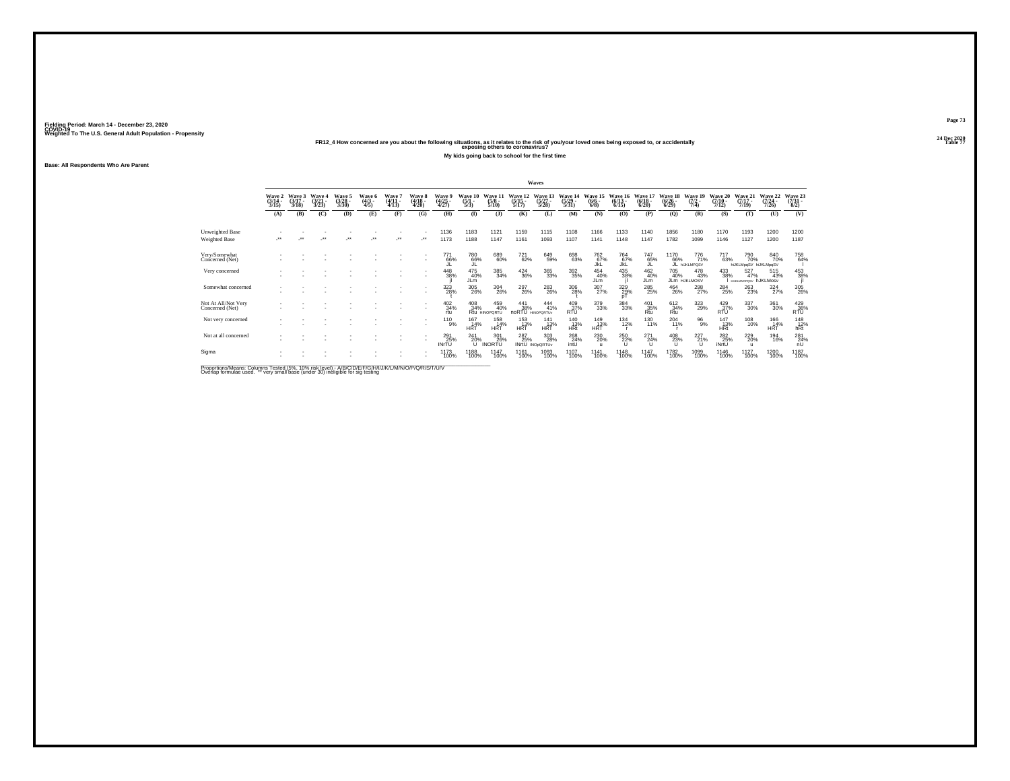**24 Dec 2020FR12\_4 How concerned are you about the following situations, as it relates to the risk of you/your loved ones being exposed to, or accidentally Table 77 exposing others to coronavirus?**

**My kids going back to school for the first time**

**Base: All Respondents Who Are Parent**

|                                        |                          |                             |                               |                                |                               |                           |                               |                          |                                |                                     |                                        | Waves                                |                                  |                                                  |                              |                                 |                                    |                                |                                       |                                           |                              |                                                   |
|----------------------------------------|--------------------------|-----------------------------|-------------------------------|--------------------------------|-------------------------------|---------------------------|-------------------------------|--------------------------|--------------------------------|-------------------------------------|----------------------------------------|--------------------------------------|----------------------------------|--------------------------------------------------|------------------------------|---------------------------------|------------------------------------|--------------------------------|---------------------------------------|-------------------------------------------|------------------------------|---------------------------------------------------|
|                                        | Wave 2<br>(3/14)<br>3/15 | Wave 3<br>$(3/17 -$<br>3/18 | Wave<br>$\frac{(3/21)}{3/23}$ | Wave 5<br>$\binom{3/28}{3/30}$ | Wave 6<br>$\frac{(4/3)}{4/5}$ | Wave 7<br>(4/11<br>(4/13) | Wave 8<br>(4/18 -<br>4/20)    | Wave 9<br>(4/25<br>4/27) | Wave 10<br>$\frac{(5/1)}{5/3}$ | <b>Wave</b><br>$\frac{(5/8)}{5/10}$ | Wave 12<br>$\frac{(5/15)}{5/17}$       | Wave 13<br>$\frac{(5/27)}{5/28}$     | Wave 14<br>$\frac{(5/29)}{5/31}$ | Wave 15<br>$\frac{(6/6)}{6/8}$                   | Wave 16<br>$(6/13 -$<br>6/15 | Wave 1<br>$\frac{(6/18)}{6/20}$ | Wave 18<br>$\frac{(6/26)}{(6/29)}$ | Wave 19<br>$\frac{(7/2)}{7/4}$ | Wave 20<br>$(7/10 -$<br>7/12          | Wave 21<br>$(7/17 -$<br>7/19              | Wave 22<br>$(7/24 -$<br>7/26 | Wave 23<br>(7/31 -<br>8/2)                        |
|                                        | (A)                      | (B)                         | (C)                           | (D)                            | (E)                           | (F)                       | (G)                           | (H)                      | $($ $\Gamma$                   | $($ $)$                             | (K)                                    | (L)                                  | (M)                              | (N)                                              | (O)                          | (P)                             | $\mathbf{Q}$                       | (R)                            | (S)                                   | (T)                                       | (U)                          | (V)                                               |
| Unweighted Base<br>Weighted Base       |                          | $\star\star$                | $\ddot{\phantom{0}}$          | $\bullet\,\bullet$             | $\cdot$                       | $\star$                   | $\mathcal{L}^{\star\star}$    | 1136<br>1173             | 1183<br>1188                   | 1121<br>1147                        | 1159<br>1161                           | 1115<br>1093                         | 1108<br>1107                     | 1166<br>1141                                     | 1133<br>1148                 | 1140<br>1147                    | 1856<br>1782                       | 1180<br>1099                   | 1170<br>1146                          | 1193<br>1127                              | 1200<br>1200                 | 1200<br>1187                                      |
| Very/Somewhat<br>Concerned (Net)       |                          |                             |                               |                                |                               |                           |                               | 771<br>66%               | 780<br>66%                     | 689<br>60%                          | <sup>721</sup> 62%                     | 649<br>59%                           | 698<br>63%                       | 762<br>67%<br>JkL                                | 764<br>67%<br>JKL            | 747<br>65%                      | 1170<br>66%                        | 776<br>71%<br><b>hukLMPOSV</b> | <sup>717</sup> 63%                    | 790<br>70%<br>hiJKLMpgSV hiJKLMpgSV       | 840<br>70%                   | 758<br>64%                                        |
| Very concerned                         |                          |                             |                               |                                |                               |                           |                               | 448<br>38%               | 475<br>40%<br>JLm              | 385<br>34%                          | $\frac{424}{36\%}$                     | $\frac{365}{33\%}$                   | 392<br>35%                       | 454<br>40%<br>JLm                                | 435<br>38%                   | 462<br>40%<br>JLm               | 705<br>40%                         | 478<br>43%<br>JLM HJKLMOSV     | 433<br>38%                            | 527<br>47%<br><b>HUKLMNOPOSY DJKLMOSV</b> | 515<br>43%                   | 453<br>38%                                        |
| Somewhat concerned                     |                          |                             |                               |                                |                               |                           | ٠<br>$\overline{\phantom{a}}$ | 323<br>28%               | 305<br>26%                     | 304<br>26%                          | <sup>297</sup> <sub>26%</sub>          | <sup>283</sup> <sub>26%</sub>        | 306<br>28%                       | 307%                                             | 329%<br>рŤ                   | 285<br>25%                      | 464<br>26%                         | 298<br>27%                     | $^{284}_{\phantom{1}\phantom{1}25\%}$ | 263<br>23%                                | $\frac{324}{27\%}$           | 305<br>26%                                        |
| Not At All/Not Very<br>Concerned (Net) |                          |                             |                               |                                |                               |                           | ٠                             | $^{402}_{34\%}$<br>rtu   | 408<br>34%                     | 459<br>40%<br>Rtu HINOPORTU         | $\frac{441}{38\%}$<br>noRTU HINOPORTUV | $^{444}_{41\%}$                      | $^{409}_{37\%}$ RTU              | 379<br>33%                                       | 384<br>33%                   | 401<br>35%<br>Rtu               | 612/34%<br>Rtu                     | 323<br>29%                     | $^{429}_{37\%}$ RTU                   | 337<br>30%                                | 361<br>30%                   | $^{429}_{36\%}$<br>RTU                            |
| Not very concerned                     |                          |                             |                               |                                |                               |                           | ٠                             | $^{110}_{9\%}$           | 167<br>14%<br>HRT              | 158<br>14%<br>HRT                   | 153<br>HRT                             | 141<br>HRT                           | 140<br>H <sup>13%</sup>          | $\overset{149}{_{\color{red}\text{HRT}^{13\%}}}$ | 134<br>12%                   | 130<br>11%                      | 204<br>11%                         | $\frac{96}{9\%}$               | $^{147}_{13\%}$ HRt                   | $^{108}_{10\%}$                           | $^{166}_{14\%}$ HRT          | $\begin{array}{c} 148 \\ 12\% \\ hRt \end{array}$ |
| Not at all concerned                   |                          |                             |                               |                                |                               |                           |                               | 291<br>25%<br>INrTÚ      | 241<br>20%<br>u                | 301<br>26%<br><b>INORTU</b>         | 287<br>25%                             | 303<br>28%<br><b>INrtU INOpORTUV</b> | 268<br>24%<br>intU               | 230 20%                                          | 250<br>22%<br>$\cup$         | 271<br>24%                      | 408<br>23%<br>$\cup$               | 227 <sub>21%</sub>             | 282<br>25%<br><b>iNrtU</b>            | 229<br>20%<br>$\mathbf{u}$                | <sup>194</sup><br>16%        | 281<br>24%<br>nU                                  |
| Sigma                                  |                          |                             |                               |                                |                               |                           |                               | 1173<br>100%             | 1188<br>100%                   | 1147<br>100%                        | 1161<br>100%                           | 1093<br>100%                         | 1107<br>100%                     | 1141<br>100%                                     | 1148<br>100%                 | 1147<br>100%                    | 1782<br>100%                       | 1099<br>100%                   | 1146<br>100%                          | 1127<br>100%                              | 1200<br>100%                 | 1187<br>100%                                      |

Proportions/Means: Columns Tested (5%, 10% risk level) - A/B/C/D/E/F/G/H/I/J/K/L/M/N/O/P/Q/R/S/T/U/V<br>Overlap formulae used. \*\* very small base (under 30) ineligible for sig testing

**Page 7324 Dec 2020<br>Table 77**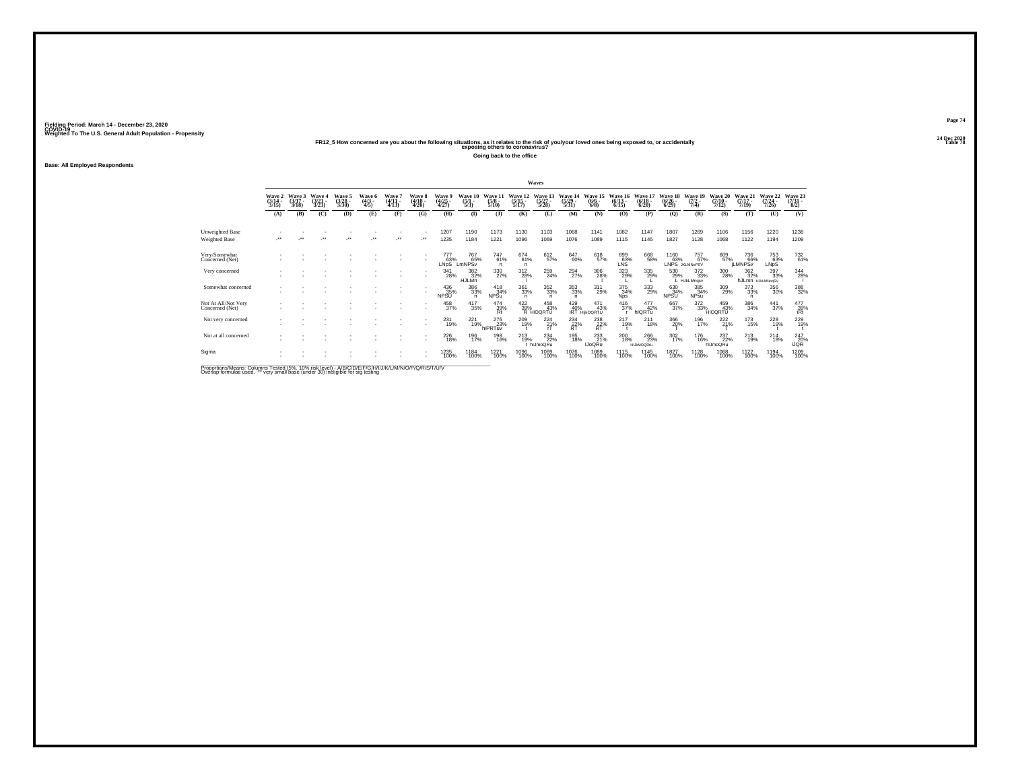**24 Dec 2020FR12\_5 How concerned are you about the following situations, as it relates to the risk of you/your loved ones being exposed to, or accidentally Table 78 exposing others to coronavirus?**

**Going back to the office**

**Base: All Employed Respondents**

|                                        |                            |                             |                                 |                                        |                               |                               |                        |                               |                                   |                                |                               | Waves                                                       |                                  |                                |                                  |                                 |                                        |                                       |                               |                                |                              |                                 |
|----------------------------------------|----------------------------|-----------------------------|---------------------------------|----------------------------------------|-------------------------------|-------------------------------|------------------------|-------------------------------|-----------------------------------|--------------------------------|-------------------------------|-------------------------------------------------------------|----------------------------------|--------------------------------|----------------------------------|---------------------------------|----------------------------------------|---------------------------------------|-------------------------------|--------------------------------|------------------------------|---------------------------------|
|                                        | Wave 2<br>(3/14 -<br>3/15) | Wave 3<br>$(3/17 -$<br>3/18 | Wave 4<br>$\frac{(3/21)}{3/23}$ | Wave 5<br>$\frac{(3/28)}{3/30}$        | Wave 6<br>$\frac{(4/3)}{4/5}$ | Wave<br>$\frac{(4/11)}{4/13}$ | Wave<br>(4/18<br>4/20) | Wave<br>$\frac{(4/25)}{4/27}$ | Wave<br>10<br>$\frac{(5/1)}{5/3}$ | Wave '<br>$\frac{(5/8)}{5/10}$ | Wave<br>$\frac{(5/15)}{5/17}$ | <b>Wave</b><br>$\frac{(5/27)}{5/28}$                        | Wave 14<br>$\frac{(5/29)}{5/31}$ | Wave 15<br>$\frac{(6/6)}{6/8}$ | Wave 16<br>$\frac{(6/13)}{6/15}$ | Wave<br>$\frac{(6/18)}{6/20}$   | <b>Wave</b><br>$\frac{(6/26)}{(6/29)}$ | Wave 19<br>$(7/2 -$<br>7/4)           | Wave<br>$\frac{(7/10)}{7/12}$ | Wave 21<br>$(7/17 -$<br>7/19   | Wave 22<br>$(7/24 -$<br>7/26 | Wave 23<br>$\frac{(7/31)}{8/2}$ |
|                                        | (A)                        | (B)                         | (C)                             | (D)                                    | (E)                           | (F)                           | (G)                    | (H)                           | $\mathbf{I}$                      | $($ $)$                        | (K)                           | (L)                                                         | (M)                              | (N)                            | (O)                              | (P)                             | (Q)                                    | (R)                                   | (S)                           | (T)                            | (U)                          | (V)                             |
| Unweighted Base                        |                            |                             |                                 |                                        |                               |                               |                        | 1207                          | 1190                              | 1173                           | 1130                          | 1103                                                        | 1068                             | 1141                           | 1082                             | 1147                            | 1807                                   | 1269                                  | 1106                          | 1156                           | 1220                         | 1238                            |
| Weighted Base                          | $\ddot{\phantom{1}}$       |                             | $\ddot{}$                       | $^{\tiny{\text{+}}\, \tiny{\text{+}}}$ | $\ddot{\phantom{0}}$          | مبر                           | ٠.                     | 1235                          | 1184                              | 1221                           | 1096                          | 1069                                                        | 1076                             | 1089                           | 1115                             | 1145                            | 1827                                   | 1128                                  | 1068                          | 1122                           | 1194                         | 1209                            |
| Very/Somewhat<br>Concerned (Net)       |                            |                             |                                 |                                        |                               |                               |                        | 777<br>63%<br>LNDS            | 767<br>65%<br>LmNPSv              | $^{747}_{61\%}$<br>n           | 674 61%<br>$\overline{p}$     | 612<br>57%                                                  | 647<br>60%                       | 618<br>57%                     | 699<br>63%<br>LNS                | 668<br>58%                      |                                        | 1160 757<br>63% 67% 67%<br>757<br>67% | 609<br>57%                    | 736<br>66%<br><b>ILMNPS</b> v  | 753<br>63%<br>LNpS           | 732<br>61%                      |
| Very concerned                         |                            |                             |                                 |                                        |                               |                               | ٠                      | 341<br>28%                    | 382<br>HJLMn <sup>32%</sup>       | 330<br>27%                     | 312<br>28%                    | 259<br>24%                                                  | 294<br>27%                       | 306<br>28%                     | 323<br>29%                       | 335<br>29%                      | 530<br>29%                             | 372<br>33%<br>L HJkLMngsv             | 300<br>28%                    | 362<br>32%<br>hJLmn HJkLMNogSV | 397<br>33%                   | 344<br>28%                      |
| Somewhat concerned                     |                            |                             |                                 |                                        |                               |                               |                        | 436<br>35%<br><b>NPSU</b>     | 386<br>33%<br>n.                  | $^{418}_{34\%}$<br><b>NPSu</b> | 361<br>33%<br>n               | $\substack{352\\33\%}$<br>n                                 | $^{353}_{33\%}$<br>$\mathsf{n}$  | 311<br>29%                     | 375<br>34%<br><b>Nps</b>         | $\frac{333}{29\%}$              | 630<br>34%<br><b>NPSU</b>              | 385<br>34%<br><b>NPsu</b>             | 309<br>29%                    | $^{373}_{\ 33\%}$<br>n         | 356<br>30%                   | 388<br>32%                      |
| Not At All/Not Very<br>Concerned (Net) |                            |                             |                                 |                                        |                               |                               | ٠<br>٠                 | 458<br>37%                    | $^{417}_{35\%}$                   | $^{474}_{39\%}$                |                               | $^{422}_{39\%}\substack{45\,43}$<br>R HIOQRTU<br>458<br>43% | $429$<br>$40%$<br>$RT +$         | 471<br>43%<br><b>HIIKOORTU</b> | $^{416}_{37\%}$                  | $\frac{477}{42\%}$<br>hIQRTu    | 667<br>37%                             | 372<br>33%                            | 459<br>43%<br><b>HIOGRTU</b>  | 386<br>34%                     | $\frac{441}{37\%}$           | $\frac{477}{39\%}$ iRt          |
| Not very concerned                     |                            |                             |                                 |                                        |                               |                               | ٠                      | 231<br>19%                    | 221<br>19%                        | 276<br>23%<br>hiPRTuv          | 209<br>19%                    | 224<br>$-21\%$                                              | 234<br>$R^2$                     | 238<br>$R^2$                   | 217<br>19%                       | 211<br>18%                      | 366<br>20%                             | 196<br>17%                            | 222<br>21%                    | 173<br>15%                     | 228<br>19%                   | 229<br>19%                      |
| Not at all concerned                   |                            |                             |                                 |                                        |                               |                               | ٠<br>٠                 | <sup>226</sup> 18%            | 196<br>17%                        | 198<br>16%                     | $^{213}_{19\%}$               | $^{234}_{22\%}$<br>r hlJmoQRu                               | 195<br>18%                       | 233<br><b>IJoQRu</b>           | 200<br>18%                       | 266<br>23%<br><b>HIJKMOQRtU</b> | 302 %                                  | <sup>176</sup><br>16%                 | 237<br>22%<br>hlJmoQRu        | 213<br>19%                     | $^{214}_{18\%}$              | 247<br>20%<br><b>iJQR</b>       |
| Sigma                                  |                            |                             |                                 |                                        |                               |                               |                        | 1235<br>100%                  | 1184<br>100%                      | 1221<br>100%                   | 1096<br>100%                  | 1069<br>100%                                                | 1076<br>100%                     | 1089<br>100%                   | 1115<br>100%                     | 1145<br>100%                    | 1827<br>100%                           | 1128<br>100%                          | 1068<br>100%                  | 1122<br>100%                   | 1194<br>100%                 | 1209<br>100%                    |
| .                                      |                            |                             |                                 |                                        |                               |                               |                        |                               |                                   |                                |                               |                                                             |                                  |                                |                                  |                                 |                                        |                                       |                               |                                |                              |                                 |

Proportions/Means: Columns Tested (5%, 10% risk level) - A/B/C/D/E/F/G/H/I/J/K/L/M/N/O/P/Q/R/S/T/U/V<br>Overlap formulae used. \*\* very small base (under 30) ineligible for sig testing

**Page 7424 Dec 2020<br>Table 78**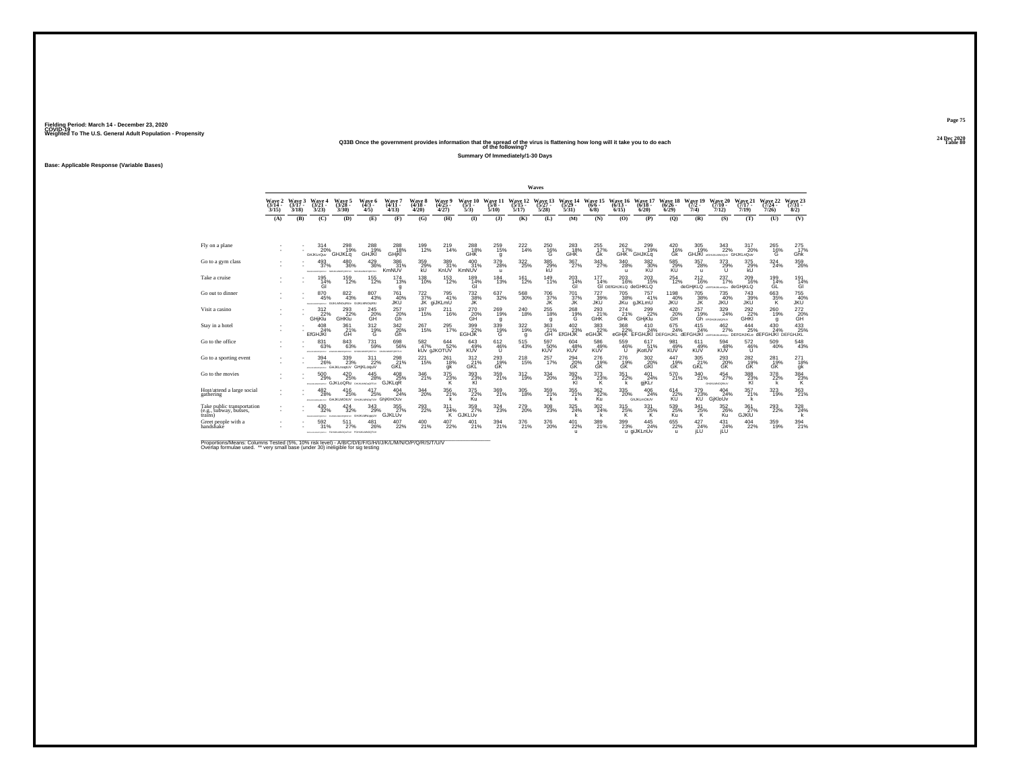# **24 Dec 2020Q33B Once the government provides information that the spread of the virus is flattening how long will it take you to do each Table 80 of the following?**

**Summary Of Immediately/1-30 Days**

**Base: Applicable Response (Variable Bases)**

|                                                                 |                                    |                             |                                              |                                                             |                                              |                                 |                                                  |                                 |                                     |                                |                              | Waves                        |                                 |                            |                                                  |                              |                                      |                             |                                                                                |                              |                              |                             |
|-----------------------------------------------------------------|------------------------------------|-----------------------------|----------------------------------------------|-------------------------------------------------------------|----------------------------------------------|---------------------------------|--------------------------------------------------|---------------------------------|-------------------------------------|--------------------------------|------------------------------|------------------------------|---------------------------------|----------------------------|--------------------------------------------------|------------------------------|--------------------------------------|-----------------------------|--------------------------------------------------------------------------------|------------------------------|------------------------------|-----------------------------|
|                                                                 | <b>Wave 2</b><br>$(3/14 -$<br>3/15 | Wave 3<br>$(3/17 -$<br>3/18 | Wave 4<br>$(3/21 -$<br>3/23                  | Wave 5<br>$(3/28 -$<br>3/30                                 | Wave 6<br>$(4/3 -$<br>4/5                    | Wave?<br>$(4/11 -$<br>4/13      | Wave 8<br>$(4/18 -$<br>4/20                      | Wave 9<br>$(4/25 -$<br>4/27     | Wave 10<br>$(5/1 -$<br>5/3          | Wave 11<br>$(5/8 -$<br>5/10    | Wave 12<br>$(5/15 -$<br>5/17 | Wave 13<br>$(5/27 -$<br>5/28 | Wave 14<br>$(5/29 -$<br>5/31    | Wave 15<br>$(6/6 -$<br>6/8 | Wave 16<br>$(6/13 -$<br>6/15                     | Wave 17<br>$(6/18 -$<br>6/20 | Wave 18<br>$(6/26 -$<br>6/29         | Wave 19<br>$(7/2 -$<br>7/4) | Wave 20<br>$(7/10 -$<br>7/12                                                   | Wave 21<br>$(7/17 -$<br>7/19 | Wave 22<br>$(7/24 -$<br>7/26 | Wave 23<br>$(7/31 -$<br>8/2 |
|                                                                 | (A)                                | (B)                         | (C)                                          | (D)                                                         | (E)                                          | (F)                             | (G)                                              | (H)                             | $\mathbf{D}$                        | (3)                            | (K)                          | (L)                          | (M)                             | (N)                        | (0)                                              | (P)                          | (Q)                                  | (R)                         | (S)                                                                            | (T)                          | (U)                          | (V)                         |
|                                                                 |                                    |                             |                                              |                                                             |                                              |                                 |                                                  |                                 |                                     |                                |                              |                              |                                 |                            |                                                  |                              |                                      |                             |                                                                                |                              |                              |                             |
| Fly on a plane                                                  |                                    |                             | 314<br>20%<br>GHJKLnQuv                      | 298<br>19%<br>GHJKLG                                        | 288<br>19%<br><b>GHJKI</b>                   | 288<br>18%<br>GHjKI             | 199<br>12%                                       | 219<br>14%                      | 288<br>18%<br>GHK                   | 259<br>15%<br>q                | $^{222}_{14\%}$              | 250<br>$^{16\%}$             | 283<br>18%<br>GHK               | 255<br>17%<br>Gk           | $^{262}_{17\%}$<br>GHK                           | 299<br>19%<br><b>GHJKLG</b>  | 420<br>16%<br>ĠŘ                     | 305<br>19%                  | 343<br>22%<br>GHJKI assussmoon GHJKLnQuv                                       | 317<br>20%                   | 265<br>$^{16\%}$             | 275<br>17%<br>Ghk           |
| Go to a gym class                                               |                                    |                             | 493<br>37%<br>OPORTAY                        | 480<br>36%<br><b>VUTERORD</b>                               | $^{429}_{36\%}$<br><b>LMNOPORSTLIV</b>       | 386<br>31%<br>KmNUV             | 359<br>29%<br><b>kU</b>                          | 389<br>31%<br>KnUV              | $^{400}_{31\%}$<br>KmNUV            | 379<br>28%<br>$\mathbf{u}$     | 322<br>25%                   | 385<br>29%<br>kU             | 367 <sub>27%</sub>              | $\frac{343}{27\%}$         | $^{340}_{28\%}$<br>$\mathbf{u}$                  | 382 30%<br>KU                | 585<br>29%<br>KÚ                     | 357<br>28%<br>$\mathbf{u}$  | 373<br>29%<br>U                                                                | 375<br>29%<br>kU             | 324<br>24%                   | 359<br>26%                  |
| Take a cruise                                                   |                                    |                             | 195<br>14%<br>ĠÌ                             | 159<br>12%                                                  | 155<br>12%                                   | 174<br>13%<br>g                 | 138<br>10%                                       | 153<br>12%                      | 189<br>$\frac{14}{9}$               | 184<br>13%                     | 161<br>12%                   | 149<br>11%                   | 203<br>$\frac{14}{9}$           | 177<br>14%                 | 203<br>16%<br>GI DEIGHJKLO deGHKLO               | 203<br>15%                   | 254<br>12%                           | 212<br>16%                  | 237<br>17%<br>deGHjKLQ contains and deGHjKLQ                                   | 209<br>16%                   | 199<br>14%<br>ĠĹ             | 191<br>$\frac{14}{9}$       |
| Go out to dinner                                                |                                    |                             | 870<br>45%<br><b>STALM MACADEMA</b>          | $\substack{822 \\ 43\%}$<br>GUICLMNOgRILly GUICLMNOgRIU     | 807<br>43%                                   | 761<br>40%<br>JKÜ               | $^{722}_{37\%}$                                  | 795<br>41%<br>JK giJKLmU        | <sup>732</sup> <sub>38%</sub><br>JK | $\substack{637\\32\%}$         | $^{568}_{30\%}$              | 706<br>37%<br><b>JK</b>      | 701 37%<br>JK                   | 727<br>39%<br><b>JKU</b>   | 705<br>38%<br>JKu                                | 757<br>41%<br>gJKLmU         | 1198<br>40%<br><b>JKU</b>            | 705<br>38%<br>JK            | 735<br>40%<br><b>JKU</b>                                                       | 743<br>39%<br>JKŪ            | 663<br>35%<br>K              | 755<br>40%<br><b>JKU</b>    |
| Visit a casino                                                  |                                    |                             | $\frac{312}{22}\%$<br><b>GHiKlu</b>          | $^{293}_{22\%}$<br>GHKIu                                    | $^{245}_{20\%}$                              | $^{257}_{20\%}$                 | 197<br>15%                                       | 211<br>16%                      | 270<br>20%<br>GH                    | $^{269}_{19\%}$<br>q           | $^{240}_{18\%}$              | 255<br>18%<br>q              | $^{268}_{19\%}$                 | 293<br>GHK                 | 274<br>21%<br>GFIK                               | 299<br><b>GHjKlu</b>         | $^{420}_{20\%}$                      | 257<br>19%                  | 329<br>24%<br><b>Gh</b> prosususeur                                            | $^{292}_{22\%}$<br>GHKI      | 260<br>19%<br>g              | $^{272}_{20\%}$             |
| Stay in a hotel                                                 |                                    |                             | 408<br>24%<br><b>EfGHJKI</b>                 | 361<br>$\overset{21}{\text{GH}}$                            | 312<br>$^{19%}_{G}$                          | 342<br>$\frac{20\%}{\text{Gh}}$ | 267<br>15%                                       | 295<br>17%                      | 399<br>22%<br>EGHJK                 | 339<br>$^{19\%}_{G}$           | 322<br>19%<br>g              | 363<br>$\frac{21}{9}$        | 402<br>$E$ <sup>23%</sup>       | 383<br>22%<br>eGHJK        | 368<br>$_{\rm eGHiK}^{22\%}$                     | 410<br>24%                   | 675<br>24%                           | 415<br>24%                  | 462<br>27%<br>EFGHJKI DEFGHJKL dEFGHJKI assaunumou DEFGHJKLo dEFGHJKI DEFGHJKL | 444<br>25%                   | 430<br>24%                   | 433<br>25%                  |
| Go to the office                                                |                                    |                             | 831<br>63%<br><b>ATMOSPHATOLIC</b>           | $\underset{63\%}{^{843}}$<br><b>AFTER BE SEATSFIELD FOR</b> | 731<br>59%<br>GRUSSMOPORETUV GNUKLINOPORETUV | 698<br>56%                      | $\frac{582}{47\%}$                               | $644 \over 52\%$<br>kUv gJKOTUV | 643<br>49%<br><b>KUV</b>            | $612\phantom{1}46\%$<br>$\cup$ | $^{515}_{43\%}$              | 597<br>50%<br><b>KUV</b>     | $604 \over 48\%$<br><b>KUV</b>  | 586<br>49%<br><b>KUV</b>   | 559<br>46%<br><b>U</b>                           | 617<br>51%<br>jKotUV         | 981<br>49%<br><b>KUV</b>             | 611<br>49%<br><b>KUV</b>    | 594<br>48%<br><b>KUV</b>                                                       | 572<br>46%<br>$\mathbf{U}$   | $^{509}_{40\%}$              | 548<br>43%                  |
| Go to a sporting event                                          |                                    |                             | 394<br>26%                                   | 339<br>23%<br>APPRAISE SHUKL DOCTLY GHIKLOOUV               | 311<br>22%                                   | 298<br>21%<br>GŘĹ               | $^{221}_{15\%}$                                  | 261<br>18%<br>gk                | $^{312}_{-21\%}$ GKL                | 293%<br>GŘ                     | $^{218}_{15\%}$              | 257<br>17%                   | $^{294}_{20\%}$                 | 276<br>19%<br>GŘ           | 276<br>19%<br>ĠŘ                                 | 302<br>20%<br>GÑ             | 447<br>G <sub>K</sub> <sup>19%</sup> | 305<br>21%<br>GKL           | $^{293}_{\substack{20\%\\\text{GK}}}$                                          | 282<br>19%<br>GK             | 281<br>19%<br>GK             | 271<br>18%<br>ġk            |
| Go to the movies                                                |                                    |                             | 500<br>29%                                   | $^{420}_{25\%}$<br><b>GJKLoQRu</b>                          | 445<br>28%<br>GHUALMNONGRTUV                 | 408 25%<br>GJKLqR               | 346<br>21%                                       | 375<br>23%<br>к                 | 393%<br>KI                          | 359/21%                        | $^{312}_{19\%}$              | 334<br>20%                   | 392/23%<br>KI                   | $\frac{373}{23\%}$<br>К    | $351 \over 22\%$<br>k                            | 401<br>24%<br>gjKLr          | 570<br>21%                           | $\frac{340}{21\%}$          | $^{454}_{27\%}$<br>GILBOAMOORIUV                                               | 388<br>KI                    | 378<br>22%<br>k              | $\frac{384}{23\%}$          |
| Host/attend a large social<br>gathering                         |                                    |                             | 482<br>28%<br><b>PRESENTATION CHUKLMOSLY</b> | $^{416}_{25\%}$                                             | 417<br>25%<br>GHUKLMOSTUV GhiKIMOUV          | $^{404}_{24\%}$                 | $^{344}_{\phantom{1}\phantom{1}\phantom{1}20\%}$ | 356                             | $\frac{375}{22\%}$<br>Ku            | $\frac{369}{21\%}$             | 305<br>18%                   | 359<br>21%                   | 355<br>21%<br>k                 | $\frac{362}{22\%}$<br>Ku   | $^{335}_{\phantom{1}\phantom{1}\phantom{1}20\%}$ | 406<br>24%<br>GhJKLmOtUV     | 614<br>22%<br>KU                     | $\frac{379}{23\%}$<br>ΚŨ΄   | $^{404}_{24\%}$<br>GiKloUv                                                     | 357 <sub>%</sub>             | 323/19%                      | 363/21%                     |
| Take public transportation<br>(e.g., subway, busses,<br>trains) |                                    |                             | 430<br>32%<br><b>FEHALMORPHETA:</b>          | 424<br>32%<br>rosssancrorany GHJKLMNopoLIV                  | 343<br>29%                                   | 355<br>27%<br>GJKLUv            | 293<br>22%                                       | 311<br>24%<br>īκ.               | 359<br>27%<br><b>GJKLŪv</b>         | 324<br>23%                     | 279<br>20%                   | 308<br>23%                   | $\frac{325}{24\%}$              | 302<br>24%                 | 315<br>$k$ <sup>25%</sup>                        | 331<br>$k$ <sup>25%</sup>    | 539<br>25%<br>Ku                     | 341<br>$^{25\%}_{K}$        | 352<br>26%                                                                     | 361<br>27%<br>GJKĪÙ          | 293<br>22%                   | $\frac{328}{24\%}$          |
| Greet people with a<br>handshaké                                |                                    |                             | 592<br>31%                                   | 511<br>27%<br>INTONIAMOVOMEW FORUMANOQUEEV FORUMLMNOQTUV    | 481<br>26%                                   | $^{407}_{22\%}$                 | $^{400}_{21\%}$                                  | 407<br>22%                      | $^{401}_{21\%}$                     | $394_{21\%}$                   | $^{376}_{21\%}$              | 376<br>20%                   | $^{401}_{22\%}$<br>$\mathbf{u}$ | 389<br>21%                 | $^{399}_{\phantom{1}\phantom{1}23\%}$            | 445<br>24%<br>u giJKLnUv     | 655<br>22%<br>$\mathbf{u}$           | $^{427}_{24\%}$<br>iLU      | $^{431}_{24\%}$<br><b>ILU</b>                                                  | $^{404}_{22\%}$              | 359<br>19%                   | 394<br>21%                  |

Proportions/Means: Columns Tested (5%, 10% risk level) - A/B/C/D/E/F/G/H/I/J/K/L/M/N/O/P/Q/R/S/T/U/V<br>Overlap formulae used. \*\* very small base (under 30) ineligible for sig testing

**Page 7524 Dec 2020<br>Table 80**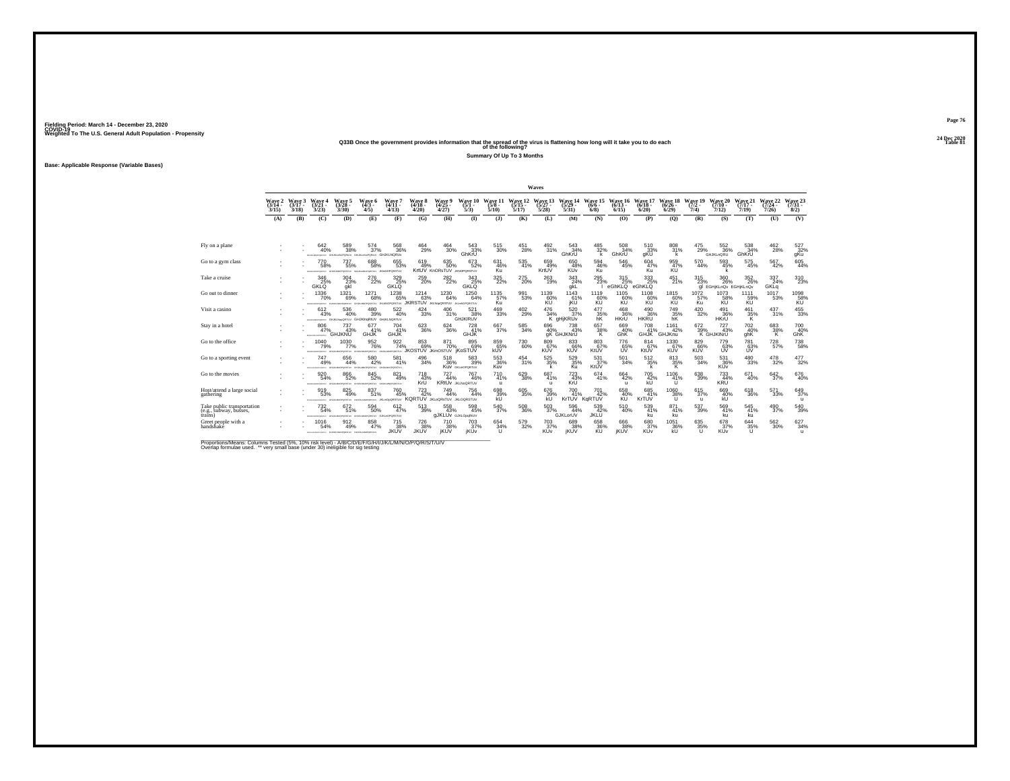# **24 Dec 2020Q33B Once the government provides information that the spread of the virus is flattening how long will it take you to do each Table 81 of the following?**

**Summary Of Up To 3 Months**

**Base: Applicable Response (Variable Bases)**

|                                                                 |                             |                             |                                                  |                                                                                        |                                            |                                                 |                                                                 |                                            |                                                         |                                                                 |                              | Waves                                    |                           |                                |                              |                                 |                                |                              |                                        |                              |                              |                                        |
|-----------------------------------------------------------------|-----------------------------|-----------------------------|--------------------------------------------------|----------------------------------------------------------------------------------------|--------------------------------------------|-------------------------------------------------|-----------------------------------------------------------------|--------------------------------------------|---------------------------------------------------------|-----------------------------------------------------------------|------------------------------|------------------------------------------|---------------------------|--------------------------------|------------------------------|---------------------------------|--------------------------------|------------------------------|----------------------------------------|------------------------------|------------------------------|----------------------------------------|
|                                                                 | Wave 2<br>$(3/14 -$<br>3/15 | Wave 3<br>$(3/17 -$<br>3/18 | Wave 4<br>$(3/21 -$<br>3/23                      | Wave 5<br>$(3/28 -$<br>3/30                                                            | Wave 6<br>$(4/3 -$<br>4/5                  | Wave 7<br>$(4/11 -$<br>4/13                     | Wave 8<br>$(4/18 -$<br>4/20                                     | Wave 9<br>$(4/25 -$<br>4/27                | Wave 10<br>$(5/1 -$<br>5/3                              | Wave 11<br>(5/8 -<br>5/10                                       | Wave 12<br>$(5/15 -$<br>5/17 | Wave 13<br>$(5/27 -$<br>5/28             | Wave 14<br>(5/29)<br>5/31 | Wave 15<br>$(6/6 -$<br>6/8     | Wave 16<br>$(6/13 -$<br>6/15 | Wave 17<br>$(6/18 -$<br>6/20    | Wave 18<br>$(6/26 -$<br>6/29   | Wave 19<br>$(7/2 -$<br>7/4   | Wave 20<br>$(7/10 -$<br>7/12           | Wave 21<br>$(7/17 -$<br>7/19 | Wave 22<br>$(7/24 -$<br>7/26 | Wave 23<br>$(7/31 -$<br>8/2)           |
|                                                                 | (A)                         | (B)                         | (C)                                              | (D)                                                                                    | (E)                                        | (F)                                             | (G)                                                             | (H)                                        | $\mathbf{D}$                                            | (J)                                                             | (K)                          | (L)                                      | (M)                       | (N)                            | (0)                          | (P)                             | (O)                            | (R)                          | (S)                                    | (T)                          | (U)                          | (V)                                    |
|                                                                 |                             |                             |                                                  |                                                                                        |                                            |                                                 |                                                                 |                                            |                                                         |                                                                 |                              |                                          |                           |                                |                              |                                 |                                |                              |                                        |                              |                              |                                        |
| Fly on a plane                                                  |                             |                             | 642<br>40%                                       | 589<br>38%<br>BARAMOPONIU GHUKLINGPORAJV GHUKLINGPORAJV GHUKLNORUV                     | 574<br>37%                                 | 568<br>36%                                      | 464<br>29%                                                      | 464<br>30%                                 | 543<br>33%<br>GhKrU                                     | 515<br>30%                                                      | 451<br>28%                   | 492<br>31%                               | 543<br>34%<br>GhKrU       | 485<br>32%<br>k                | 508<br>34%<br>GhKrU          | 510<br>33%<br>gKU               | 808<br>31%<br>k                | 475<br>29%                   | 552<br>36%<br><b>GHJKLnQRU</b>         | 538<br>34%<br>GhKrU          | 462<br>28%                   | 527<br>32%<br>gKu                      |
| Go to a gym class                                               |                             |                             | 770<br>58%<br>The Management of                  | $737\phantom{1}55\%$<br>PORSTLV                                                        | 688<br>58%<br><b>DPORSTLIV</b>             | $\substack{655 \\ 53\%}$<br><b>JOHNDPORSTUV</b> | 619<br>49%                                                      | $\substack{635 \\ 50\%}$<br>KrtUV KnORsTUV | 673<br>52%<br><b>JKNOPORSTUV</b>                        | 631<br>46%<br>Ku                                                | 535<br>41%                   | 659 49%<br>KrtUV                         | 650<br>48%<br>KUv         | $\substack{594 \\ 46\%}$<br>Ku | 546<br>45%                   | $^{604}_{\ 47\%}$<br>Ku         | 959<br>47%<br>KU               | $\substack{570 \\ 44\%}$     | 593<br>45%                             | $^{575}_{45\%}$              | 567<br>42%                   | $\substack{605 \\ 44\%}$               |
| Take a cruise                                                   |                             |                             | 346<br>25%<br><b>GKLO</b>                        | 304<br>23%<br>gkl                                                                      | 276<br>22%                                 | $\underset{\text{GKLQ}}{329}$                   | $^{259}_{\  \, 20\%}$                                           | 282<br>22%                                 | 343<br>25%<br><b>GKLO</b>                               | $\frac{325}{22\%}$                                              | 275<br>20%                   | 263<br>19%                               | 343<br>24%<br>qkL         | 295<br>23%                     | 315<br>6<br>eGhKLQ eGhKLQ    | 333<br>25%                      | 451<br>21%                     | 315<br>23%                   | 360<br>26%<br>gl EGH KLnQv EGH KLnQv   | 352<br>26%                   | 337<br>24%<br>GKLq           | $\underset{23\%}{^{310}}$              |
| Go out to dinner                                                |                             |                             | 1336<br>70%<br><b>ENGINEERINGSTON ETAINER</b>    | 1321<br>69%                                                                            | 1271<br>68%<br>WITZROPONIAL WISCONSING     | $^{1238}_{65\%}$                                | $1214 \over 63\%$<br><b>JKIRSTUV JKLNopQRSTUV JKLANDPORSTUV</b> | $^{1230}_{64\%}$                           | 1250<br>64%                                             | 1135<br>57%<br>Ku                                               | 991<br>53%                   | 1139<br>60%<br>KU                        | 1143<br>61%<br>jKU        | 1119<br>60%<br>KÜ              | $^{1105}_{60\%}$<br>KU       | 1108<br>60%<br>KU               | 1815<br>60%<br>KU              | $^{1072}_{57\%}$<br>Ku       | 1073<br>58%<br><b>KU</b>               | 1111<br>59%<br>KU            | 1017<br>53%                  | 1098<br><b>KU</b>                      |
| Visit a casino                                                  |                             |                             | 612<br>43%                                       | 536<br>40%<br>ensuroramy Gruszkegetuy GHJKIngRtUV                                      | $^{480}_{39\%}$                            | 522<br>40%<br>GHJKLNORTUV                       | $\frac{424}{33\%}$                                              | 406<br>31%                                 | 521<br>38%<br><b>GHJKIRUV</b>                           | $^{469}_{33\%}$                                                 | $^{402}_{29\%}$              | 476<br>34%                               | 520 37%<br>K gHjKRUv      | 477<br>35%<br>hK               | 468<br>36%<br>HKrU           | 490<br>36%<br><b>HKRU</b>       | $\underset{\text{hK}}{^{749}}$ | $\substack{420 \\ 32\%}$     | 491<br>36%<br>HKrU                     | 461<br>35%<br>K.             | 437%                         | $^{455}_{\phantom{1}33\%}$             |
| Stay in a hotel                                                 |                             |                             | 806<br>47%<br><b>INTERNATIONAL ARTS</b>          | 737<br>43%<br><b>GHJKNU</b>                                                            | 677<br>41%<br><b>GHJK</b>                  | 704<br>41%<br><b>GHJK</b>                       | 623<br>36%                                                      | 624<br>36%                                 | 728<br>41%<br>GHJK                                      | 667<br>37%                                                      | 585<br>34%                   | 696<br>40%                               | 738<br>43%<br>gK GHJKNrU  | 657<br>38%                     | 669<br>40%<br>GhK            | 708<br>41%<br><b>GHJK</b>       | 1161<br>42%<br><b>GHJKnu</b>   | 672                          | 727<br>$39\%$ $43\%$ K GHJKINrU<br>43% | 702<br>40%<br>ghK            | 683<br>38%                   | 700<br>40%<br>GhK <sup>'</sup>         |
| Go to the office                                                |                             |                             | 1040<br>79%<br><b>STALM MACADEMA</b>             | 1030<br>77%<br>das en seunamento su                                                    | $\frac{952}{76\%}$<br>www.mur              | $\frac{922}{74\%}$                              | 853<br>69%<br>JKOSTUV JKmOSTUV                                  | 871<br>70%                                 | 895<br>69%<br>iKoSTUV                                   | 859<br>65%<br>kUV                                               | 730<br>60%                   | 809 67%<br><b>KUV</b>                    | 833<br>66%<br><b>KUV</b>  | $^{803}_{67\%}$<br>KtUV        | <sup>776</sup> 65%<br>UV     | 814 67%<br>KtUV                 | 1330<br>67%<br>KUV             | 829<br>66%<br><b>KUV</b>     | 779<br>63%<br><b>UV</b>                | 781<br>63%<br>UV             | $^{728}_{57\%}$              | $^{738}_{\ 58\%}$                      |
| Go to a sporting event                                          |                             |                             | 747<br>49%                                       | 656<br>44%<br>GHJKLMKOPORETUV                                                          | $^{580}_{\ 42\%}$<br>nenestian             | 581<br>41%<br>PORSTLIV                          | $^{496}_{34\%}$                                                 | 518<br>36%                                 | 583<br>39%<br>KUV GKLHOPORTUV                           | 553<br>36%<br>Kuv                                               | $^{454}_{31\%}$              | 525%                                     | 529 35%<br>Ku             | $\frac{531}{37\%}$<br>KtUV     | $^{501}_{34\%}$              | $^{512}_{35\%}$                 | $\frac{813}{35\%}$             | $^{503}_{\scriptstyle 34\%}$ | 531<br>36%<br>KŬv                      | $^{480}_{\phantom{1}33\%}$   | 478<br>32%                   | $\frac{477}{32\%}$                     |
| Go to the movies                                                |                             |                             | 920<br>54%                                       | $\underset{52\%}{^{866}}$<br>RHAMMONSKTU: GHUKLMOPORETU: GHUKLMOPORETU: GHUKLMOPORETU/ | $845\atop52\%$                             | 821<br>49%                                      | 718<br>43%<br>KrÚ                                               | 727<br>44%<br><b>KRIUV JKLNOQRTUV</b>      | 767<br>46%                                              | $^{710}_{41\%}$<br>$\mathbf{u}$                                 | $\substack{629\\38\%}$       | 687<br>41%<br>$\mathbf{u}$               | $^{723}_{43\%}$<br>KrU    | 674<br>41%                     | $^{664}_{42\%}$<br>u         | 705<br>42%<br>kU                | 1106<br>41%<br>$\mathbf{U}$    | $\substack{638 \\ 39\%}$     | $733 \atop 44\%$<br><b>KRU</b>         | 671<br>40%                   | $^{642}_{37\%}$              | $^{676}_{40\%}$                        |
| Host/attend a large social<br>gathering                         |                             |                             | 919<br>53%                                       | 825<br>49%<br>CRITIN                                                                   | 837<br>51%<br>orgenter                     | 760<br>45%<br>JKLmOpQRSTUV                      | $^{723}_{42\%}$<br>KORTUV JKLOORSTUV JKLOORSTUV                 | 749<br>44%                                 | 756<br>44%                                              | $\underset{\mathsf{kU}}{\overset{\mathsf{698}}{\mathsf{39\%}}}$ | $^{605}_{35\%}$              | 676<br>39%<br>kU                         | 700<br>41%                | 701<br>42%<br>KrTUV KaRTUV     | 658<br>40%<br>KŨ             | 685<br>41%<br>KrTUV             | 1060<br>38%<br>υ               | 615<br>37%<br>$\mathbf{u}$   | 669<br>40%<br>kU                       | 618<br>36%                   | 571<br>33%                   | 649/37%<br>u                           |
| Take public transportation<br>(e.g., subway, busses,<br>trains) |                             |                             | 732<br>54%<br>FEHALWAYS STATE WITH THE RESIDENCE | 672<br>51%                                                                             | 594<br>50%<br>GAUKAROPORSTLY GJRLADPORSTLY | 612<br>47%                                      | 513<br>39%                                                      | 558<br>43%<br><b>GJKLUV GJKLOpgRIUV</b>    | 598<br>45%                                              | 540<br>37%                                                      | $^{508}_{\ 36\%}$            | 503<br>37%                               | 596<br>44%<br>GJKLorUV    | 539<br>42%<br>JKLÜ             | 510<br>40%                   | 539<br>41%<br>ku                | 871<br>41%<br>ku               | 537<br>39%                   | 569<br>41%<br>ku                       | 545<br>41%<br>ku             | 490<br>37%                   | 540<br>39%                             |
| Greet people with a<br>handshake                                |                             |                             | 1016<br>54%                                      | 912<br>49%<br>STONGAGEORGY FORDSJROPORTLY FORMUNIPORTLY                                | 858<br>47%                                 | $^{715}_{38\%}$<br><b>JKUV</b>                  | 726<br>38%<br><b>JKUV</b>                                       | 710<br>38%<br><b>IKUV</b>                  | <sup>703</sup> <sub>37%</sub><br><b>iKU<sub>V</sub></b> | 654<br>34%                                                      | $\substack{579 \\ 32\%}$     | $^{703}_{37\%}$<br><b>KU<sub>V</sub></b> | 689<br>38%<br><b>IKUV</b> | 658 36%<br>KU                  | 666<br>38%<br><b>IKUV</b>    | 68037%<br><b>KU<sub>V</sub></b> | 1051<br>36%<br>kU.             | 635%<br>$\mathbf{H}$         | 678<br>37%<br>KÚv                      | 644<br>35%<br>ш              | $^{562}_{30\%}$              | $\substack{627\\34\%}$<br>$\mathbf{u}$ |

Proportions/Means: Columns Tested (5%, 10% risk level) - A/B/C/D/E/F/G/H/I/J/K/L/M/N/O/P/Q/R/S/T/U/V<br>Overlap formulae used. \*\* very small base (under 30) ineligible for sig testing

**Page 7624 Dec 2020<br>Table 81**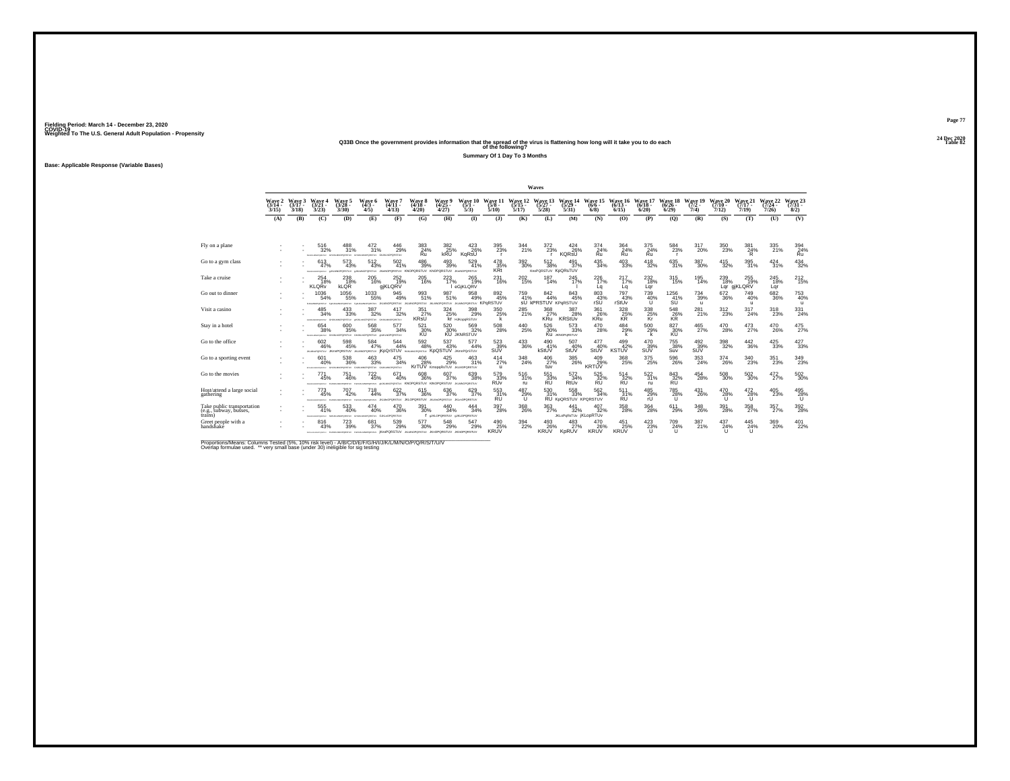# **24 Dec 2020Q33B Once the government provides information that the spread of the virus is flattening how long will it take you to do each Table 82 of the following?**

**Summary Of 1 Day To 3 Months**

**Base: Applicable Response (Variable Bases)**

|                                                                 |                             |                             |                                              |                                                                            |                                      |                                                                                                             |                                          |                                                  |                                              |                                     |                              | Waves                                    |                                                  |                                    |                                 |                                               |                              |                                 |                              |                                 |                              |                                  |
|-----------------------------------------------------------------|-----------------------------|-----------------------------|----------------------------------------------|----------------------------------------------------------------------------|--------------------------------------|-------------------------------------------------------------------------------------------------------------|------------------------------------------|--------------------------------------------------|----------------------------------------------|-------------------------------------|------------------------------|------------------------------------------|--------------------------------------------------|------------------------------------|---------------------------------|-----------------------------------------------|------------------------------|---------------------------------|------------------------------|---------------------------------|------------------------------|----------------------------------|
|                                                                 | Wave 2<br>$(3/14 -$<br>3/15 | Wave 3<br>$(3/17 -$<br>3/18 | Wave 4<br>$(3/21 -$<br>3/23                  | Wave 5<br>$(3/28 -$<br>3/30                                                | Wave 6<br>$(4/3 -$<br>4/5            | Wave 7<br>$(4/11 -$<br>4/13                                                                                 | Wave 8<br>$(4/18 -$<br>4/20              | Wave 9<br>$(4/25 -$<br>4/27                      | Wave 10<br>$(5/1 -$<br>5/3                   | Wave 11<br>$(5/8 -$<br>5/10         | Wave 12<br>$(5/15 -$<br>5/17 | Wave 13<br>$(5/27 -$<br>5/28             | $(5/29 -$<br>5/31                                | Wave 14 Wave 15<br>$(6/6 -$<br>6/8 | Wave 16<br>$(6/13 -$<br>6/15    | Wave 17<br>$(6/18 -$<br>6/20                  | Wave 18<br>$(6/26 -$<br>6/29 | Wave 19<br>$(7/2 -$<br>7/4      | Wave 20<br>$(7/10 -$<br>7/12 | Wave 21<br>$(7/17 -$<br>7/19    | Wave 22<br>$(7/24 -$<br>7/26 | Wave 23<br>$(7/31 -$<br>8/2)     |
|                                                                 | (A)                         | (B)                         | (C)                                          | (D)                                                                        | (E)                                  | (F)                                                                                                         | (G)                                      | (H)                                              | $\mathbf{I}$                                 | (3)                                 | (K)                          | (L)                                      | (M)                                              | (N)                                | (O)                             | (P)                                           | (O)                          | (R)                             | (S)                          | (T)                             | (U)                          | (V)                              |
|                                                                 |                             |                             |                                              |                                                                            |                                      |                                                                                                             |                                          |                                                  |                                              |                                     |                              |                                          |                                                  |                                    |                                 |                                               |                              |                                 |                              |                                 |                              |                                  |
| Fly on a plane                                                  |                             |                             | 516<br>32%<br><b>COLLEGE</b>                 | 488<br>31%<br>das en seunanersman                                          | 472<br>31%<br>doubled and management | 446<br>29%<br>GN BO NORDRATING                                                                              | 383<br>24%<br>Ŕü.                        | 382<br>25%                                       | 423<br>26%<br>KaRsŨ                          | 395<br>23%<br>$\mathbf{r}$          | 344<br>21%                   | 372<br>23%                               | 424<br>26%<br><b>KORSU</b>                       | 374<br>24%<br>κū                   | 364<br>$Ru$ <sup>24%</sup>      | 375<br>24%<br>Ru                              | 584<br>23%                   | 317<br>20%                      | 350<br>23%                   | 381<br>24%<br>Ŕ                 | 335<br>21%                   | $\underset{\mathsf{Ru}}{^{394}}$ |
| Go to a gym class                                               |                             |                             | 613<br>47%<br><b>FOUR RESIDENCES</b>         | $^{573}_{\ 43\%}$<br><b>VUTRSTON</b>                                       | $^{512}_{\ 43\%}$<br>PORSTUV         | $^{502}_{41\%}$<br>ORSTUV KN                                                                                | 486<br>39%<br><b>QRSTUV KN</b>           | $^{493}_{39\%}$<br>RSTUV                         | 529<br>41%<br><b>JKHNOPORSTUV</b>            | 478<br>35%<br><b>KRt</b>            | 392 <sub>30%</sub>           | 512<br>38%<br>KnoPQRSTUV KpQRsTUV        | 491<br>37%                                       | $\frac{435}{34\%}$                 | $^{403}_{\phantom{1}33\%}$      | $^{418}_{32\%}$                               | 635<br>31%                   | $^{387}_{\ 30\%}$               | $^{415}_{32\%}$              | 395<br>31%                      | $^{424}_{31\%}$              | $^{434}_{32\%}$                  |
| Take a cruise                                                   |                             |                             | 254<br>18%<br><b>KLORV</b>                   | 238<br>18%<br><b>KLOR</b>                                                  | 205<br>16%                           | 252<br>19%<br>giKLQRV                                                                                       | 205<br>16%                               | 223<br>17%                                       | 265<br>19%<br>eGiKLORV                       | 231<br>16%                          | 202<br>15%                   | 187<br>14%                               | 245<br>17%                                       | 226<br>17%<br>La                   | 217<br>17%<br>Lq                | 232<br>18%<br>Lar                             | 315<br>15%                   | 195<br>14%                      | 239<br>18%                   | 255<br>19%<br>Lqr gjKLQRV       | 245<br>18%<br>Lar            | $^{212}_{15\%}$                  |
| Go out to dinner                                                |                             |                             | 1036<br>54%<br><b>BLACANONYMENTS</b>         | 1056<br>55%<br>Fergal MacPORSTLIV                                          | 1033<br>55%                          | 945<br>49%<br>Feracuscross.nv JIGUNOPORSTUV JIGUNOPORSTUV                                                   | 993<br>51%                               | 987<br>51%<br><b>JIG MNOPORSTUV</b>              | 958<br>49%<br><b>JILMINOPORSTUV KPGRSTUV</b> | 892<br>45%                          | 759<br>41%                   | 842<br>44%<br><b>SU KPRSTUV KPORSTUV</b> | 843/45%                                          | 803 43%<br>rSU                     | 797<br>43%<br>rStUv             | <sup>739</sup> <sub>40%</sub><br>$\mathbf{U}$ | 1256<br>41%<br>SU            | $^{734}_{39\%}$<br>$\mathbf{u}$ | $^{672}_{36\%}$              | $^{749}_{40\%}$<br>$\mathbf{u}$ | $^{682}_{36\%}$              | $^{753}_{40\%}$<br>$\mathbf{u}$  |
| Visit a casino                                                  |                             |                             | 485<br>34%<br>CALIFORNIA PROVINCIA           | 433<br>33%<br>PORSTLIV                                                     | 387<br>32%<br><b>OPORSTUV</b>        | 417<br>32%<br>GAUGANOPORSTUV                                                                                | $\frac{351}{27\%}$<br><b>KRSU</b>        | 324/25%                                          | 398<br>29%<br>Kr HJKopgRSTUV                 | 350 25%<br>k                        | 285<br>21%                   | 368<br>27%<br><b>KRU</b>                 | 387<br>28%<br><b>KRStUv</b>                      | 361<br>26%<br>KRu                  | $\frac{328}{25\%}$              | 338<br>25%<br>Κř                              | 548<br>26%<br>KR             | $^{281}_{21\%}$                 | 312<br>23%                   | 317<br>24%                      | 318<br>23%                   | 331<br>24%                       |
| Stay in a hotel                                                 |                             |                             | 654<br>38%                                   | 600<br>35%<br>IDIANAMOVORTAV GHJALNOPORSTUV GHJALNOPORSTUV (INJALNOPORSTUV | 568<br>35%                           | 577<br>34%                                                                                                  | 521<br>30%<br>ΚŨ                         | 520<br>30%                                       | 569<br>32%<br><b>KU JKNRSTUV</b>             | 508<br>28%                          | 440<br>25%                   | 526<br>30%                               | 573<br>33%<br>Ku JONOPORSTUV                     | 470<br>28%                         | 484<br>29%<br>k                 | 500<br>29%                                    | 827<br>30%                   | 465<br>27%                      | 470<br>28%                   | 473<br>27%                      | 470<br>26%                   | 475<br>27%                       |
| Go to the office                                                |                             |                             | 602<br>46%<br>JAMINGPORSTUV JKWIPORSTUV      | $^{598}_{45\%}$                                                            | 584<br>47%                           | 544<br>44%<br>JOANCRORSTUV IKDOISTUV HJOANGRORSTUV KOOSTUV JKWIPOISTUV                                      | 592<br>48%                               | 537<br>43%                                       | 577<br>44%                                   | $\frac{523}{39\%}$<br>SUV           | $^{433}_{\phantom{1}36\%}$   | $^{490}_{41\%}$<br>kStUV                 | 507<br>40%<br>StUV                               | 477<br>40%<br>StUV                 | 499<br>42%<br><b>KSTUV</b>      | 470<br>39%<br>SUV                             | <sup>755</sup> 38%<br>Suv    | $^{492}_{39\%}$<br>SUV          | $^{398}_{\phantom{1}32\%}$   | $\substack{442\\36\%}$          | 425<br>33%                   | $^{427}_{33\%}$                  |
| Go to a sporting event                                          |                             |                             | 601<br>40%<br>EFDHAMMOPORTAY GHUKLMICPORETLY | 538<br>36%                                                                 | 463<br>33%<br>GIUGUNOPORETUV         | 475<br>34%<br>GIUKLMICPORSTUV                                                                               | 406<br>28%                               | $^{425}_{29\%}$<br>KrTUV KmopqRsTUV JILMOPORSTUV | 463<br>31%                                   | $^{414}_{27\%}$<br>u                | $\frac{348}{24\%}$           | $^{406}_{27\%}$<br>tuv                   | $^{385}_{\phantom{1}\phantom{1}\phantom{1}26\%}$ | 409<br>29%<br>KRTÚV                | 368<br>25%                      | $^{375}_{\phantom{1}25\%}$                    | $^{596}_{26\%}$              | $\substack{353 \\ 24\%}$        | $^{374}_{26\%}$              | $\substack{340 \\ 23\%}$        | $^{351}_{23\%}$              | 349<br>23%                       |
| Go to the movies                                                |                             |                             | 771<br>45%<br><b>STALM MACADEMAN</b>         | 751<br>46%<br><b>STAR OF SALTIMORPHIC</b>                                  | $^{722}_{45\%}$<br><b>CONTRACTOR</b> | 671<br>40%                                                                                                  | 608<br>36%<br>wyaneshiv KNOPORSTLIV KINO | 607<br>37%<br>ORSTLIV                            | 38%<br><b>JIGMNOPORSTUV</b>                  | 579<br>33%<br><b>RU<sub>v</sub></b> | 516<br>31%<br>ru             | $\frac{551}{33\%}$<br><b>RU</b>          | 572<br>34%<br>RtUv                               | 525 32%<br><b>RU</b>               | $\frac{514}{32\%}$<br><b>RU</b> | $\substack{522 \\ 31\%}$<br><b>FU</b>         | 843<br>32%<br><b>RU</b>      | $^{454}_{28\%}$                 | 508<br>30%                   | $^{502}_{\ 30\%}$               | 472%                         | $^{502}_{\ 30\%}$                |
| Host/attend a large social<br>gathering                         |                             |                             | $^{773}_{45\%}$<br><b>STALM MACADEMAN</b>    | 707<br>42%<br>provenzy                                                     | $^{718}_{44\%}$<br>protettur         | 622/37%<br>JKLMHOPORSTUV JKLOPORSTUV                                                                        | $\substack{615 \\ 36\%}$                 | $^{636}_{37\%}$<br><b>JKLMHOPORSTUV</b>          | 629<br>37%<br><b>JKLHOPORSTUV</b>            | 553<br>31%<br>RU                    | 487<br>29%<br>TΤ             | 530<br>31%                               | 558<br>33%<br>RU KpQRSTUV KPQRSTUV               | $\frac{562}{34\%}$                 | 511<br>RU                       | 485<br>29%<br>rÜ                              | 785<br>28%<br>Tī.            | $^{431}_{26\%}$                 | 470<br>28%<br>Tī.            | $^{472}_{28\%}$<br>u            | 405<br>23%                   | $^{495}_{28\%}$                  |
| Take public transportation<br>(e.g., subway, busses,<br>trains) |                             |                             | 555<br>41%                                   | 533<br>40%<br>ONEST SHARANOPORTY/ GHALMOPORTY/ GJRLIDPORSTLY               | 474<br>40%                           | 470<br>36%                                                                                                  | 391<br>30%                               | 440<br>34%<br>I SIKLOPORSTLY SJKLOPORSTLY        | 444<br>34%                                   | 397<br>28%                          | 368<br>26%                   | 363<br>27%                               | 441<br>32%<br><b>JKLoPoRsTUv IKLODRTUV</b>       | 407<br>32%                         | 358<br>28%                      | 364<br>28%                                    | 611<br>29%                   | 348<br>26%                      | 391<br>28%                   | 358<br>27%                      | 357<br>27%                   | $^{392}_{\  \, 28\%}$            |
| Greet people with a<br>handshaké                                |                             |                             | 816<br>43%                                   | 723<br>39%                                                                 | 681<br>37%                           | 539<br>29%<br>SITEHAMARKANIN PERMANARKANIN' FEHANARKANIN' KODPORSTUV JIKLANDRORSTUV JKODPORSTUV JKOOPORSTUV | 577<br>30%                               | 548<br>29%                                       | 547<br>29%                                   | 490<br>25%<br><b>KRUV</b>           | $\frac{394}{22\%}$           | $^{493}_{26\%}$<br><b>KRUV</b>           | $^{483}_{27\%}$<br>KpRUV                         | 470<br>26%<br><b>KRUV</b>          | $^{451}_{25\%}$<br><b>KRUV</b>  | 423/23%<br>u                                  | 709<br>24%<br>$\cup$         | 387<br>21%                      | 437<br>24%<br>u              | 445<br>24%<br>u                 | 369<br>20%                   | $^{401}_{22\%}$                  |

Proportions/Means: Columns Tested (5%, 10% risk level) - A/B/C/D/E/F/G/H/I/J/K/L/M/N/O/P/Q/R/S/T/U/V<br>Overlap formulae used. \*\* very small base (under 30) ineligible for sig testing

**Page 7724 Dec 2020<br>Table 82**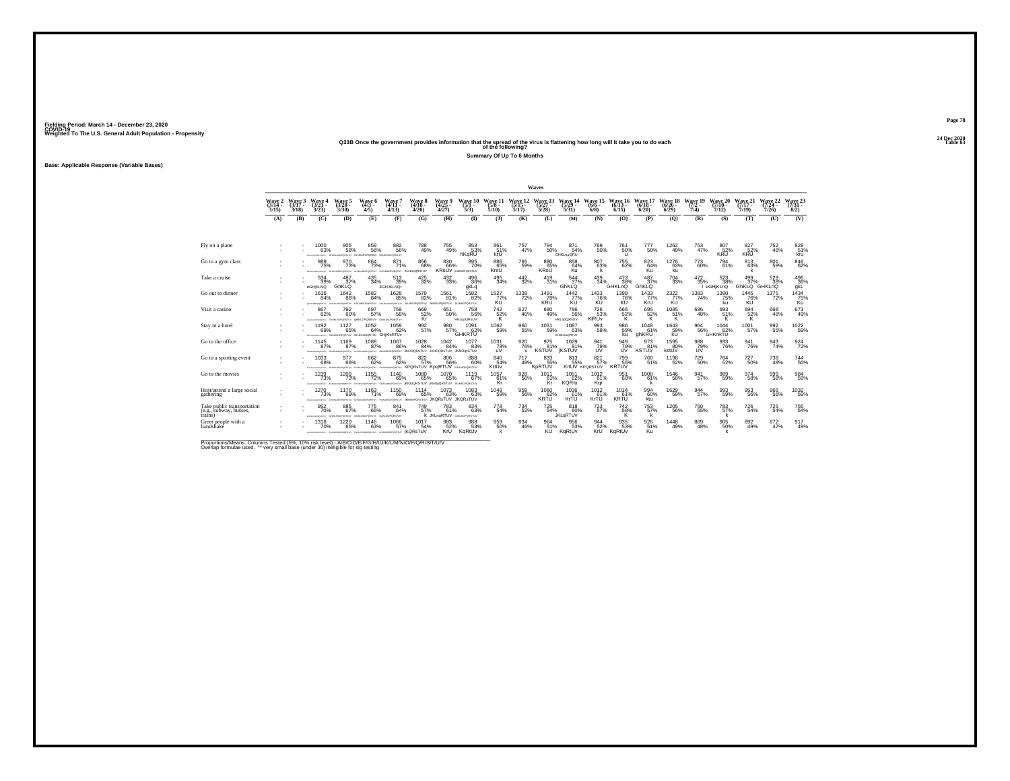# **24 Dec 2020Q33B Once the government provides information that the spread of the virus is flattening how long will it take you to do each Table 83 of the following?**

**Summary Of Up To 6 Months**

**Base: Applicable Response (Variable Bases)**

|                                                                 |                                    |                   |                                                   |                                                                     |                                  |                                                                                      |                                                      |                                                |                                                |                                     |                           | Waves                        |                                                      |                                            |                            |                            |                                              |                            |                              |                              |                               |                              |
|-----------------------------------------------------------------|------------------------------------|-------------------|---------------------------------------------------|---------------------------------------------------------------------|----------------------------------|--------------------------------------------------------------------------------------|------------------------------------------------------|------------------------------------------------|------------------------------------------------|-------------------------------------|---------------------------|------------------------------|------------------------------------------------------|--------------------------------------------|----------------------------|----------------------------|----------------------------------------------|----------------------------|------------------------------|------------------------------|-------------------------------|------------------------------|
|                                                                 | Wave 2 Wave 3<br>$(3/14 -$<br>3/15 | $(3/17 -$<br>3/18 | Wave 4<br>$(3/21 -$<br>3/23                       | Wave 5<br>$(3/28 -$<br>3/30                                         | Wave 6<br>$(4/3 -$<br>4/5        | Wave 7<br>$(4/11 -$<br>4/13                                                          | Wave 8<br>$(4/18 -$<br>4/20                          | Wave 9<br>$(4/25 -$<br>4/27                    | Wave 10<br>$(5/1 -$<br>5/3                     | Wave 11 Wave 12<br>$(5/8 -$<br>5/10 | $(5/15 -$<br>5/17         | Wave 13<br>$(5/27 -$<br>5/28 | Wave 14 Wave 15 Wave 16 Wave 17<br>$(5/29 -$<br>5/31 | $(6/6 -$<br>6/8                            | $(6/13 -$<br>6/15          | $(6/18 -$<br>6/20          | Wave 18<br>$(6/26 -$<br>6/29                 | Wave 19<br>$(7/2 -$<br>7/4 | Wave 20<br>$(7/10 -$<br>7/12 | Wave 21<br>$(7/17 -$<br>7/19 | Wave 22<br>$(7/24 -$<br>7/26  | Wave 23<br>$(7/31 -$<br>8/2) |
|                                                                 | (A)                                | (B)               | (C)                                               | (D)                                                                 | (E)                              | (F)                                                                                  | (G)                                                  | (H)                                            | $\mathbf{D}$                                   | $($ $)$                             | (K)                       | (L)                          | (M)                                                  | (N)                                        | (0)                        | (P)                        | (O)                                          | (R)                        | (S)                          | (T)                          | (U)                           | (V)                          |
|                                                                 |                                    |                   |                                                   |                                                                     |                                  |                                                                                      |                                                      |                                                |                                                |                                     |                           |                              |                                                      |                                            |                            |                            |                                              |                            |                              |                              |                               |                              |
| Fly on a plane                                                  |                                    |                   | 1000<br>63%                                       | 905<br>58%<br>GAUKLANDPORTRY GHUKLNOPORKAY GAUKLNOPOR/TUV           | 859<br>56%                       | 882<br>56%                                                                           | 788<br>49%                                           | 755<br>49%                                     | 853<br>53%<br>hKaRU                            | 861<br>51%<br>křÚ                   | 757<br>47%                | 794<br>50%                   | 871<br>54%<br>GHKLnpQRU                              | 769<br>50%                                 | 761<br>50%<br>$\mathbf{u}$ | 777<br>50%                 | 1262<br>49%                                  | 753<br>47%                 | 807<br>52%<br>KRU            | 827<br>52%<br><b>KRU</b>     | 752<br>46%                    | 828<br>51%<br>kru            |
| Go to a gym class                                               |                                    |                   | 989<br>75%<br>CHARGED AT A                        | 970<br>73%<br>PORSTUV                                               | 864<br>73%<br>PORTUV HJKL        | 871<br>71%<br>VUTDRAP                                                                | 856<br>68%<br>KmNOpQRSTUV                            | 830 66%                                        | 895<br>70%<br><b>KRSUV</b> <i>KRANDPORSTUV</i> | 886<br>65%<br>KrsU                  | 765<br>59%                | 880<br>65%<br><b>KRsU</b>    | 858<br>64%<br><b>Ku</b>                              | 80763%                                     | 755<br>62%                 | 823<br>64%<br>Ku           | 1276<br>63%<br>ku                            | 773<br>60%                 | 794<br>61%                   | 813<br>63%                   | 801<br>59%                    | $\underset{62\%}{^{846}}$    |
| Take a cruise                                                   |                                    |                   | 534<br>39%<br>eGHjKLNQ                            | 487<br>37%<br>GhKLQ                                                 | 435<br>34%                       | 513<br>39%<br><b>EGHJKLNQr</b>                                                       | 425<br>32%                                           | 432<br>33%                                     | 496<br>36%<br>gkLq                             | 495<br>34%                          | 442<br>32%                | 419<br>31%                   | 544<br>37%<br>GhKLQ                                  | 439<br>34%                                 | 473<br>38%<br>GHKLnQ       | 487<br>37%<br>GhKLQ        | 704<br>33%                                   | 472<br>35%                 | 523<br>38%<br>I eGHiKLnQ     | 499<br>37%<br>GhKLQ GHKLnQ   | 529<br>38%                    | 496<br>36%<br>gkL            |
| Go out to dinner                                                |                                    |                   | 1616<br>84%<br>ALCOHOL: AN MAIN WATERWAY          | 1642<br>86%                                                         | 1582<br>84%<br>HJKLMNOPORSTUV    | 1628<br>85%<br>CAR BELANDER WEEKLY                                                   | 1579<br>82%<br>JILMNOPORSTUV JKMNOPORSTUV            | 1561<br>81%                                    | 1582<br>82%<br><b>JIGMNOPORSTUV</b>            | 1527%<br>KU                         | 1339<br>72%               | 1491<br>78%<br><b>KRU</b>    | $\frac{1442}{77\%}$<br>KU                            | 1433<br>KÚ                                 | 1399<br>KÚ                 | $\frac{1433}{77\%}$<br>KrU | 2322<br>77%<br>KU                            | $\frac{1383}{74\%}$        | 1390<br>75%<br>ku            | 1445<br>76%<br>KU            | 1375<br>72%                   | 1434<br>75%<br>Ku            |
| Visit a casino                                                  |                                    |                   | 867<br>62%                                        | 792<br>60%<br>ANAHORATOV GAJANOPORSTUV @HIKLOPORSIUV GAJANOPORSTUV  | 697<br>57%                       | <sup>759</sup><br>58%                                                                | 669<br>52%<br>Kr                                     | 651<br>50%                                     | 758<br>56%<br><b>HKLooQRsUV</b>                | $\frac{742}{52\%}$                  | $^{627}_{46\%}$           | 680<br>49%                   | 786<br>56%<br><b>HKLopQRsUV</b>                      | 726<br>53%<br>KIRÜV                        | $^{666}_{52\%}$            | 695<br>52%                 | $^{1085}_{\hphantom{1}51\%}_{\hphantom{1}K}$ | 636<br>48%                 | 693<br>51%                   | $^{694}_{~52\%}$             | $^{668}_{48\%}$               | 673<br>49%                   |
| Stay in a hotel                                                 |                                    |                   | 1192<br>69%                                       | 1127<br>65%<br>APDICIOUS/SENIOR GRUNDER/TUV GHUKLNOGRTUV GHIKINRTUV | 1052<br>64%                      | 1059<br>62%                                                                          | 992<br>57%                                           | 980<br>57%                                     | 1091<br>62%<br><b>GHKRTU</b>                   | 1062<br>59%                         | 960<br>55%                | 1031<br>59%                  | 1087<br>63%<br>GHJKLNoQRTUV                          | 993<br>58%                                 | 986<br>59%<br>ku.          | 1048<br>61%<br>ghKRU       | 1643<br>59%<br>κũ                            | 964<br>56%                 | 1044<br>62%<br>GHKnRTU       | 1001<br>57%                  | 992<br>55%                    | 1022<br>59%                  |
| Go to the office                                                |                                    |                   | 1145<br>87%<br>THE RELEASE OF FILM PARTY.         | 1169<br>87%<br>WITGHOUSE GALLANTS                                   | 1088<br>87%                      | 1067<br>86%<br>GHALMOPORSTUV UKLMNOPORSTUV JKNOQRSTUV JKNOQRSTUV JKNOQrSTUV          | $^{1028}_{\,\,84\%}$                                 | $^{1042}_{84\%}$                               | 1077<br>83%                                    | $^{1031}_{78\%}$<br>uV              | 920<br>76%<br>$\mathbf v$ | 975<br>81%<br><b>KSTUV</b>   | $^{1029}_{81\%}$<br><b><i>IKSTUV</i></b>             | 941<br>79%<br><b>UV</b>                    | 949%<br>UV                 | 973<br>81%<br><b>KSTUV</b> | 1595<br>80%<br>kstUV                         | 988<br>79%<br>UV           | 933<br>76%                   | 941<br>76%                   | $\frac{943}{74\%}$            | $\frac{924}{72\%}$           |
| Go to a sporting event                                          |                                    |                   | 1033<br>68%<br>PERSONALIST GRUSS WITHOUT ATTORNEY | 977<br>66%                                                          | 862<br>62%                       | 875<br>62%<br>GIULINOPORITUV GIULINOPORITUV KPORSTUV KDORTUV NJELINOPORITUV          | 822%                                                 | 806<br>56%                                     | 888<br>60%                                     | 84054%<br>KrtUv                     | 717<br>49%                | 833<br>55%<br>KpRTUV         | 813<br>55%                                           | 821<br>$\overline{57}$ %<br>KrtUV KPORSTUV | 799<br>55%<br><b>KRTUV</b> | 760<br>51%                 | 1198<br>52%                                  | <sup>729</sup> 50%         | <sup>764</sup> 52%           | <sup>727</sup> 50%           | <sup>738</sup> <sub>49%</sub> | $^{744}_{50\%}$              |
| Go to the movies                                                |                                    |                   | 1239<br>73%<br><b>STALM MACADEMA</b>              | 1209<br>73%<br><b>STAR OF SALTIMORPHIC</b>                          | 1155<br>72%<br>an seurannaism nu | 1140<br>69%<br>GIUSLINDPORSTUV                                                       | 1080<br>65%<br>IKIOOQRSTUV KInOoQRSTUV JAJANOPORSTUV | 1070<br>65%                                    | 1119<br>67%                                    | 1057<br>61%<br>Kr                   | 928<br>56%                | 1011<br>61%<br>Kr            | 1051<br>62%<br><b>KQRtu</b>                          | 1012<br>61%<br>Kgr                         | 951<br>60%                 | 1008<br>61%                | 1546<br>58%                                  | 941<br>57%                 | 989<br>59%                   | 974<br>58%                   | 999<br>58%                    | $^{984}_{59\%}$              |
| Host/attend a large social<br>gathering                         |                                    |                   | 1270<br>73%                                       | 1170<br>69%<br>GAUKLMOPORETLY GAUKLMOPORETLY HUKUMOPORETLY          | 1163<br>71%                      | <sup>1150</sup> 69%                                                                  | 1114<br>65%<br>JKIMMAPORSTUV JKQRSTUV JKQRSTUV       | 1073<br>63%                                    | 1083%                                          | $^{1049}_{59\%}$                    | 959<br>56%                | $^{1060}_{67\%}$<br>KRTU     | 1036<br>61%<br>KrŤÚ                                  | $^{1012}_{61\%}$<br>KrŤÚ                   | 1014<br>61%<br>KRTU        | 99460%<br>ktu              | 1629<br>59%                                  | $\frac{944}{57\%}$         | 993<br>59%                   | 953<br>56%                   | 966<br>56%                    | $^{1032}_{-59\%}$            |
| Take public transportation<br>(e.g., subway, busses,<br>trains) |                                    |                   | 952<br>70%                                        | 885<br>67%<br>PORTH GARDINGPORTERY GUINALDPORTERY GUILINGPORTERY    | 775<br>65%                       | 841<br>64%                                                                           | 749<br>57%                                           | 783<br>61%<br><b>K JKLnaRTUV</b> GJALNOPORSTUV | 834<br>63%                                     | 778<br>54%                          | $^{734}_{52\%}$           | 725<br>54%                   | 818<br>60%<br><b>JKLaRTUV</b>                        | $^{723}_{\ 57\%}$                          | 742<br>58%<br>ΪŘ.          | 753<br>57%                 | 1205<br>56%                                  | 750<br>55%                 | 783<br>57%<br>ĸ              | 726<br>54%                   | 725<br>54%                    | 755<br>54%                   |
| Greet people with a<br>handshake                                |                                    |                   | 1318                                              | 1220<br>65%                                                         | 1146<br>63%                      | 1066<br>57%<br>SPONSMOTORIV PERSON/ROYSTERY PROGRAMSPORTERY (HUSLIMONSETERY JKQRSTUV | 1017<br>54%                                          | 983<br>52%<br>KrU                              | 988<br>53%<br>KgRtUv                           | 959 60%                             | 834<br>46%                | 964<br>51%<br><b>KU</b>      | 956<br>53%<br>KgRtUv                                 | 944<br>52%<br>KrU                          | 935<br>53%<br>KaRtUv       | 926<br>51%<br>Ku           | 1448<br>49%                                  | 869<br>48%                 | 905<br>50%                   | 892<br>49%                   | $\substack{872 \\ 47\%}$      | 917<br>49%                   |

Proportions/Means: Columns Tested (5%, 10% risk level) - A/B/C/D/E/F/G/H/I/J/K/L/M/N/O/P/Q/R/S/T/U/V<br>Overlap formulae used. \*\* very small base (under 30) ineligible for sig testing

**Page 7824 Dec 2020<br>Table 83**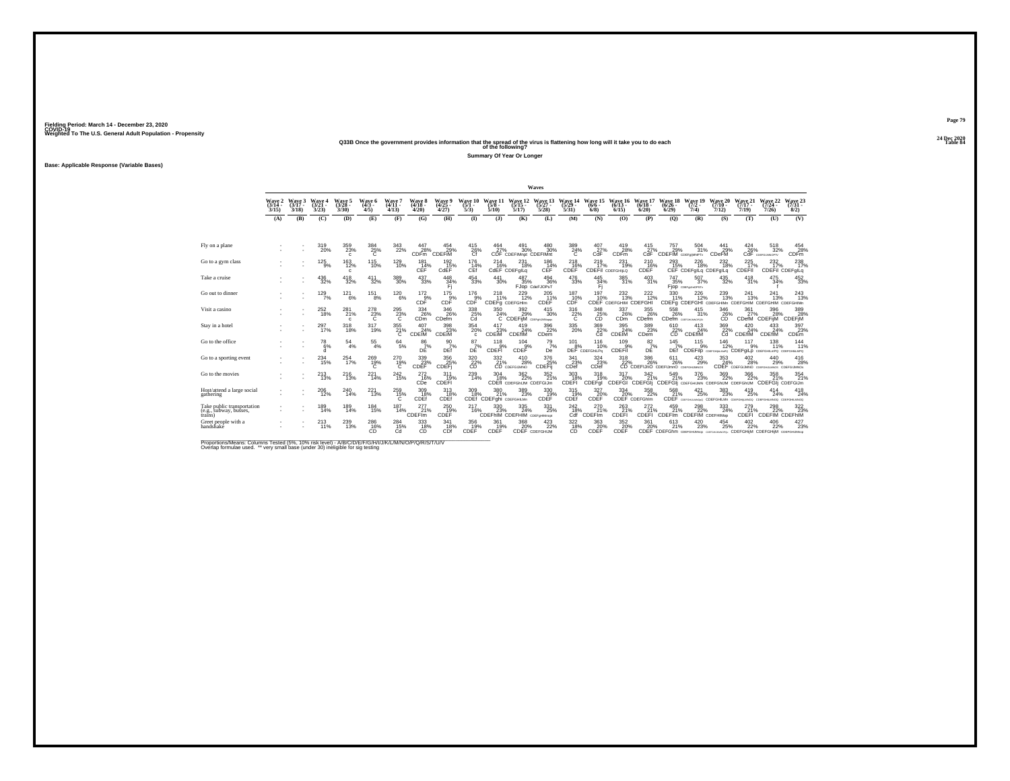# **24 Dec 2020Q33B Once the government provides information that the spread of the virus is flattening how long will it take you to do each Table 84 of the following?**

**Summary Of Year Or Longer**

**Base: Applicable Response (Variable Bases)**

|                                                                 |                             |                             |                             |                                 |                                                   |                               |                                  |                             |                                                                      |                                                    |                                                      | Waves                            |                                                      |                                  |                                            |                                  |                                                                |                                     |                                       |                              |                                                                                    |                                |
|-----------------------------------------------------------------|-----------------------------|-----------------------------|-----------------------------|---------------------------------|---------------------------------------------------|-------------------------------|----------------------------------|-----------------------------|----------------------------------------------------------------------|----------------------------------------------------|------------------------------------------------------|----------------------------------|------------------------------------------------------|----------------------------------|--------------------------------------------|----------------------------------|----------------------------------------------------------------|-------------------------------------|---------------------------------------|------------------------------|------------------------------------------------------------------------------------|--------------------------------|
|                                                                 | Wave 2<br>$(3/14 -$<br>3/15 | Wave 3<br>$(3/17 -$<br>3/18 | Wave 4<br>$(3/21 -$<br>3/23 | Wave 5<br>$(3/28 -$<br>3/30     | Wave 6<br>$(4/3 -$<br>4/5                         | Wave 7<br>$(4/11 -$<br>4/13   | Wave 8<br>$(4/18 -$<br>4/20      | Wave 9<br>$(4/25 -$<br>4/27 | Wave 10<br>$(5/1 -$<br>5/3                                           | Wave 11<br>$(5/8 -$<br>5/10                        | Wave 12<br>$(5/15 -$<br>5/17                         | Wave 13<br>$(5/27 -$<br>5/28     | Wave 14<br>(5/29<br>5/31                             | Wave 15<br>$(6/6 -$<br>6/8       | Wave 16<br>$(6/13 -$<br>6/15               | Wave 17<br>$(6/18 -$<br>6/20     | Wave 18<br>$(6/26 -$<br>6/29                                   | Wave 19<br>$(7/2 -$<br>7/4          | Wave 20<br>$(7/10 -$<br>7/12          | Wave 21<br>$(7/17 -$<br>7/19 | Wave 22<br>$(7/24 -$<br>7/26                                                       | Wave 23<br>$(7/31 -$<br>8/2)   |
|                                                                 | (A)                         | (B)                         | (C)                         | (D)                             | (E)                                               | (F)                           | (G)                              | (H)                         | $\mathbf{D}$                                                         | (3)                                                | (K)                                                  | (L)                              | (M)                                                  | (N)                              | (0)                                        | (P)                              | (O)                                                            | (R)                                 | (S)                                   | (T)                          | (U)                                                                                | (V)                            |
|                                                                 |                             |                             |                             |                                 |                                                   |                               |                                  |                             |                                                                      |                                                    |                                                      |                                  |                                                      |                                  |                                            |                                  |                                                                |                                     |                                       |                              |                                                                                    |                                |
| Fly on a plane                                                  |                             |                             | 319<br>20%                  | 359<br>23%<br>$\mathbf{c}$      | $\frac{384}{25\%}$                                | 343<br>22%                    | 447<br>28%<br>CDF <sub>m</sub>   | 454<br>29%<br>CDEFIM        | 415<br>26%                                                           | 464<br>27%                                         | 491<br>30%<br>CDF CDEFIMnot CDEFIMnt                 | 480<br>30%                       | $\frac{389}{24\%}$                                   | 407<br>27%<br>CdF                | 419<br>28%<br><b>CDFm</b>                  | 415<br>27%<br>CdF                | 757<br>29%<br>CDEFIM CDEFORMNPTY                               | 504<br>31%                          | 441<br>29%<br>CDeFM                   | 424<br>26%<br>CdF            | 518<br>32%<br>COEFGUMOPTY                                                          | 454<br>28%<br>CDF <sub>m</sub> |
| Go to a gym class                                               |                             |                             | $^{125}_{9\%}$              | $^{163}_{12\%}$<br>c            | <sup>115</sup> <sub>10%</sub>                     | <sup>129</sup> <sub>10%</sub> | $^{181}_{14\%}$<br>CEF           | $\frac{192}{15\%}$<br>CdEF  | $^{176}_{14\%}$<br>CEf                                               | 214<br>16%                                         | $^{231}_{18\%}$<br>CdEF CDEFgILg                     | 186<br>14%<br>CEF                | $^{218}_{16\%}$<br>CDEF                              | $^{219}_{17\%}$                  | $^{231}_{19\%}$<br><b>CDEFII</b> CDEFGHILQ | $^{210}_{16\%}$<br>CDEF          | 293%                                                           | 226<br>18%<br>CEF CDEFgILq CDEFgILq | $^{232}_{18\%}$                       | $^{225}_{17\%}$<br>CDEFII    | 232 <sub>%</sub><br>CDEFil CDEFglLq                                                | 238<br>17%                     |
| Take a cruise                                                   |                             |                             | $\substack{436 \\ 32\%}$    | 418<br>32%                      | 411<br>32%                                        | $^{389}_{\phantom{1}30\%}$    | 437<br>33%                       | 448<br>34%                  | 454<br>33%                                                           | 441<br>30%                                         | 487<br>35%                                           | 494<br>36%<br>FJOD CdeFJOPsT     | 476<br>33%                                           | 445<br>34%<br>Fi                 | 385<br>31%                                 | 403<br>31%                       | 747<br>35%                                                     | 507<br>37%<br>Fjop coergumorstv     | 435<br>32%                            | 418<br>31%                   | 475<br>34%                                                                         | $\frac{452}{33\%}$             |
| Go out to dinner                                                |                             |                             | 129/7%                      | $^{12}$ <sup>12</sup> $^{16}$ % | $^{151}_{8\%}$                                    | $^{120}_{6\%}$                | $\frac{172}{9\%}$<br>CDF         | $\frac{175}{9\%}$<br>CDF    | $^{176}_{9\%}$<br>CDF                                                | 218<br>11%<br>CDEFg CDEFGHIm                       | 229<br>12%                                           | 205<br>11%<br>CDEF               | 187<br>10%<br>CDF                                    | 197<br>10%                       | $^{232}_{13\%}$<br>CDEF CDEFGHIM CDEFGHI   | 222<br>12%                       | 330<br>11%                                                     | 226<br>12%                          | 239<br>13%                            | 241<br>13%                   | 241<br>13%<br>CDEFg CDEFGHI CDEFGHIMn CDEFGHIM CDEFGHIM CDEFGHIMn                  | 243<br>13%                     |
| Visit a casino                                                  |                             |                             | $^{252}_{18\%}$             | 281%<br>c                       | $^{278}_{23\%}$                                   | $^{295}_{23\%}$               | 334<br>26%<br>CDm                | 346<br>26%<br>CDefm         | $\overset{338}{\underset{\text{Cd}}{\text{25\%}}}$                   | 350<br>24%<br>C                                    | $\frac{392}{29}\%$<br><b>CDEFIM</b> COEF ON APPROPER | 415<br>30%                       | $\frac{316}{22\%}$                                   | $\underset{\text{CD}}{^{348}}$   | $\frac{337}{26\%}$<br>CDm                  | 355%<br>CDefm                    | 558<br>26%<br>CDefm COSFGHAMOPOSI                              | 415<br>31%                          | 346<br>26%<br>CĎ                      | 361<br><b>CDefM</b>          | 396<br>28%<br>CDEFijM                                                              | 389<br>28%<br>CDEFIM           |
| Stay in a hotel                                                 |                             |                             | 297<br>17%                  | 318<br>18%                      | 317<br>19%                                        | $^{355}_{21\%}$               | 407<br>24%<br><b>CDEIM</b>       | 398<br>23%<br>CDEIM         | 354<br>20%<br>$\mathbf{c}$                                           | 417<br>23%<br><b>CDEIM</b>                         | 419<br>24%<br><b>CDEfIM</b>                          | 396<br>22%<br>CDem               | $^{335}_{\phantom{1}\phantom{1}20\%}$                | 369<br>$\frac{22}{c}$            | 395<br>24%<br>CDEIM                        | 389<br>23%<br>CD <sub>em</sub>   | 610<br>$22\%$                                                  | 413<br>24%<br>CDEflM                | 369<br>$\frac{22}{c}$                 | 420<br>24%<br>CDEflM         | 433<br>24%<br>CDEfIM                                                               | 397<br>23%<br>CDEm             |
| Go to the office                                                |                             |                             | $^{78}_{6\%}$<br>d          | $^{54}_{\ 4\%}$                 | $^{55}_{4\%}$                                     | $^{64}_{5\%}$                 | 86/7%<br>DĖ                      | $\frac{90}{7\%}$<br>DEf     | $^{87}_{7\%}$<br>DE                                                  | 118<br>CDEFI                                       | 104<br>9%<br>CDEF                                    | $^{79}_{7\%}$<br>De              | $^{101}_{\underline{8}\%}$                           | 116<br>10%<br>DEF CDEFGhILPo     | $^{109}_{-9\%}$<br>CDEFil                  | $8^{2}_{7\%}$<br>DE              | $^{145}_{7\%}$<br>DEf                                          | 115                                 | 146<br>12%                            | 117<br>9%                    | 138<br>CDEFIIp совтаниемно CDEFgiLp совтание по совтаниемно                        | 144<br>11%                     |
| Go to a sporting event                                          |                             |                             | $^{234}_{15\%}$             | 254<br>17%                      | $^{269}_{19\%}$                                   | 270<br>$^{19\%}$              | 339<br>23%<br>CDEF               | 356<br>CDEF                 | $\overset{320}{\underset{\mathsf{CD}}{\mathsf{22}}} \hspace{-0.5mm}$ | 332<br>21%                                         | 410<br>28%<br>CD CDEFGIJMNO                          | 376<br>25%<br><b>CDEFij</b>      | $\overset{341}{\underset{\text{CDef}}{\text{23\%}}}$ | 324<br>23%<br>CDef               | 318                                        | 386                              | 611<br>22% 26% 26% 29%<br>CD CDEFIJnO CDEFIJmnO coercituations | 423<br>29%                          | 353<br>24%                            | 402<br>28%                   | 440<br>29%<br>CDEF CDEFGIJMNO COEFGIJIANOS CDEFGIJMNOS                             | 416<br>28%                     |
| Go to the movies                                                |                             |                             | $^{213}_{13\%}$             | <sup>216</sup> <sub>13%</sub>   | 221<br>14%                                        | $^{242}_{15\%}$               | $^{272}_{16\%}$<br>CDe           | 311<br>19%<br>CDEFI         | $^{239}_{14\%}$                                                      | 304<br>18%                                         | $\frac{362}{22\%}$<br>CDEfl CDEFGhIJM CDEFGIJm       | 352 <sub>%</sub>                 | $\frac{303}{18}\%$<br>CDEFI                          | 318<br>19%<br>CDEFgl             | 317<br>20%<br>CDEFGI CDEFGII               | 342<br>21%                       | 549<br>21%<br>CDEFGI CDEFGHUMN CDEFGHUM CDEFGHUM               | 376<br>23%                          | 369<br>22%                            | 366<br>22%                   | 358<br>21%<br>CDEFGIj CDEFGIJm                                                     | 354<br>21%                     |
| Host/attend a large social<br>gathering                         |                             |                             | $^{206}_{\ 12\%}$           | 240<br>14%                      | 221<br>13%                                        | $^{259}_{15\%}$               | 309 18%<br>CDEf                  | $313 \atop 18\%$<br>CDEf    | 309<br>18%                                                           | 380<br>21%<br>CDEf <sup>"</sup> CDEFghi CDEFGHILMn | 389<br>23%                                           | $^{330}_{19\%}$<br>CDEF          | $^{315}_{19\%}$<br>CDEf                              | $\frac{327}{20\%}$<br>CDEF       | 334<br>20%                                 | 358<br>22%<br>CDEF CDEFGhim      | 568<br>21%                                                     | $^{421}_{25\%}$                     | $^{383}_{\phantom{1}\phantom{1}23\%}$ | 419<br>25%                   | 414<br>24%<br>CDEF COSTGHULMOND CDEFGHILMn COEFGHILMNOG COEFGHILMNOG COEFGHILMNOG  | 418<br>24%                     |
| Take public transportation<br>(e.g., subway, busses,<br>trains) |                             |                             | 189<br>14%                  | 189<br>14%                      | 184<br>15%                                        | 187<br>14%                    | 277<br>21%<br>CDEF <sup>Im</sup> | 250<br>19%<br>CDEF          | 217<br>16%                                                           | 330<br>23%                                         | 335<br>24%<br>CDEFhIM CDEFHIM CDEFgHIMnopt           | 331<br>25%                       | 242<br>18%<br>Cdf                                    | 270<br>21%<br>CDEF <sup>Im</sup> | 263<br>21%<br>CDEFI                        | 272<br>21%<br>CDEFI <sup>®</sup> | 459<br>21%<br><b>CDEFIm</b>                                    | 298<br>22%<br>CDEFIM CDEFHIMOP      | 333<br>24%                            | 279<br>21%<br>CDEFI          | 298<br>CDEFIM CDEFHIM                                                              | 322<br>23%                     |
| Greet people with a<br>handshake                                |                             |                             | $^{213}_{11\%}$             | 239<br>13%                      | $^{286}_{\phantom{16}\phantom{16}\phantom{16}\%}$ | 284<br>15%<br>Cd              | 333<br>18%<br>CD                 | 341<br>18%<br>CDf           | 356<br>19%<br>CDEF                                                   | 361<br>19%<br>CDEF                                 | 368<br>20%                                           | 423/22%<br><b>CDEF</b> CDEFGHIJM | $\frac{322}{18}\%$<br>CD                             | 363<br>CDEF                      | 352 %<br>CDEF                              | 361<br>20%                       | 613<br>21%                                                     | 420<br>23%                          | 454<br>25%                            | 402<br>22%                   | 406<br>22%<br>CDEF CDEFGhm соегонымир собраниямого. CDEFGHijM CDEFGHijM соегонымир | 427<br>23%                     |

Proportions/Means: Columns Tested (5%, 10% risk level) - A/B/C/D/E/F/G/H/I/J/K/L/M/N/O/P/Q/R/S/T/U/V<br>Overlap formulae used. \*\* very small base (under 30) ineligible for sig testing

**Page 7924 Dec 2020<br>Table 84**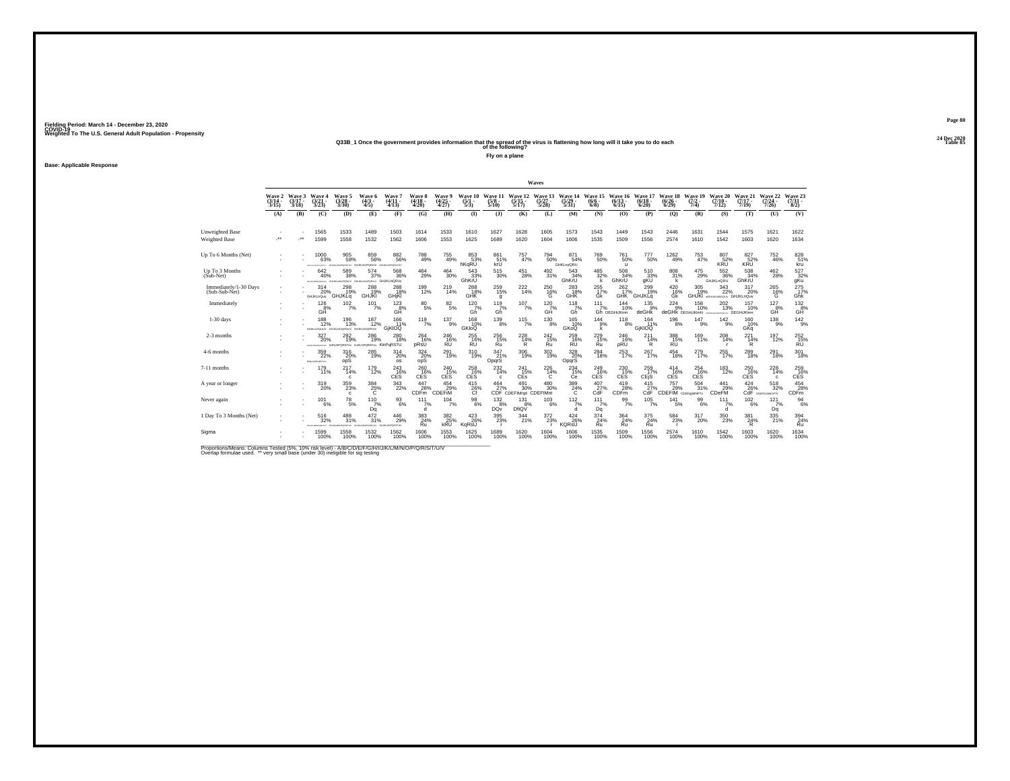# **24 Dec 2020Q33B\_1 Once the government provides information that the spread of the virus is flattening how long will it take you to do each Table 85 of the following?**

**Fly on a plane**

**Base: Applicable Response**

|                                         |                             |                             |                                           |                                                       |                                                    |                                                   |                             |                                        |                               |                                       |                                                      | Waves                        |                                  |                            |                               |                           |                                          |                               |                                                   |                                 |                                 |                                                     |
|-----------------------------------------|-----------------------------|-----------------------------|-------------------------------------------|-------------------------------------------------------|----------------------------------------------------|---------------------------------------------------|-----------------------------|----------------------------------------|-------------------------------|---------------------------------------|------------------------------------------------------|------------------------------|----------------------------------|----------------------------|-------------------------------|---------------------------|------------------------------------------|-------------------------------|---------------------------------------------------|---------------------------------|---------------------------------|-----------------------------------------------------|
|                                         | Wave 2<br>$(3/14 -$<br>3/15 | Wave 3<br>$(3/17 -$<br>3/18 | Wave 4<br>$\frac{(3/21)}{3/23}$           | <b>Wave 5</b><br>$\frac{(3/28)}{3/30}$                | Wave 6<br>$\frac{(4/3)}{4/5}$                      | Wave 7<br>$(4/11 -$<br>4/13                       | Wave 8<br>$(4/18 -$<br>4/20 | <b>Wave 9</b><br>$\frac{(4/25)}{4/27}$ | Wave 10<br>$\frac{(5)}{5/3}$  | Wave 11<br>15/8<br>5/10               | Wave 12<br>:5/15 -<br>5/17                           | Wave 13<br>(5/27 -<br>5/28   | Wave 14<br>$\frac{(5/29)}{5/31}$ | Wave 15<br>$(6/6 -$<br>6/8 | Wave 16<br>$(6/13 -$<br>6/15  | Wave 17<br>(6/18)<br>6/20 | <b>Wave 18</b><br>(6/26)<br>6/29         | Wave 19<br>(7/2)<br>7/4)      | Wave 20<br>$(7/10 -$<br>7/12                      | Wave 21<br>$(7/17 -$<br>7/19    | Wave 22<br>$(7/24 -$<br>7/26    | Wave 23<br>$\binom{7/31}{8/2}$                      |
|                                         | (A)                         | (B)                         | (C)                                       | (D)                                                   | (E)                                                | (F)                                               | (G)                         | (H)                                    | $($ $\Gamma$                  | (3)                                   | (K)                                                  | (L)                          | (M)                              | (N)                        | (O)                           | (P)                       | $\mathbf{Q}$                             | (R)                           | (S)                                               | (T)                             | (U)                             | (V)                                                 |
| Unweighted Base<br><b>Weighted Base</b> | $\ddot{\phantom{1}}$        | $\cdot$                     | 1565<br>1599                              | 1533<br>1558                                          | 1489<br>1532                                       | 1503<br>1562                                      | 1614<br>1606                | 1533<br>1553                           | 1610<br>1625                  | 1627<br>1689                          | 1628<br>1620                                         | 1605<br>1604                 | 1573<br>1606                     | 1543<br>1535               | 1449<br>1509                  | 1543<br>1556              | 2446<br>2574                             | 1631<br>1610                  | 1544<br>1542                                      | 1575<br>1603                    | 1621<br>1620                    | 1622<br>1634                                        |
| Up To 6 Months (Net)                    |                             |                             | 1000<br>63%                               | $\substack{905 \\ 58\%}$                              | 859<br>56%<br>CHERLAND CHARLES AND CHARLES CHARLES | $882\phantom{5}6\%$                               | 788<br>49%                  | $^{755}_{\ 49\%}$                      | 853<br>53%<br>hKqRU           | 861<br>$\frac{51}{k}$ %               | 757<br>47%                                           | $^{794}_{\ 50\%}$            | 871<br>54%<br>GHKLnpQRU          | 769<br>50%                 | <sup>761</sup> 50%<br>u       | 777<br>50%                | $^{1262}_{49\%}$                         | 753<br>47%                    | 807<br>52%<br>KRU                                 | 827<br>52%<br>KRU               | $^{752}_{46\%}$                 | 828<br>kru                                          |
| Up To 3 Months<br>(Sub-Net)             |                             |                             | 642<br>40%<br>GAINMONTATIV GAUKLINGPORER  | 589<br>38%                                            | 574<br>37%                                         | 568<br>36%<br><b>WPORITY GHJKLNORUV</b>           | 464<br>29%                  | 464<br>30%                             | 543<br>33%<br>GhKrU           | 515<br>30%                            | 451<br>28%                                           | 492<br>31%                   | 543<br>34%<br>GhKrU              | 485<br>32%<br>k            | 508<br>34%<br>GhKrU           | 510<br>33%<br>gKŬ         | 808<br>31%<br>k                          | 475<br>29%                    | 552<br>36%<br>GHJKLnQRU                           | 538<br>34%<br>GhKrU             | 462<br>28%                      | 527<br>$32\%$ gKu                                   |
| Immediately/1-30 Days<br>(Sub-Sub-Net)  |                             |                             | 314<br>20%<br><b>GHJKLnQuv</b>            | 298<br>19%<br>GHJKLq                                  | 288<br><b>GHJKI</b>                                | 288%<br>GHjKl                                     | 199<br>12%                  | $^{219}_{14\%}$                        | $^{288}_{18\%}$<br><b>GHK</b> | $^{259}_{15\%}$<br>a                  | $^{222}_{14\%}$                                      | $^{250}_{16\%}$<br>G         | 283<br>18%<br><b>GHK</b>         | $^{255}_{17\%}$<br>Gk      | $^{262}_{17\%}$<br><b>GHK</b> | 299%<br>GHJKLa            | $^{420}_{16\%}$<br>Gk                    | $305$<br>$19\%$               | $\frac{343}{22\%}$<br>GHJKI atauxunoouv GHJKLnQuv | 317<br>20%                      | 265<br>16%<br>G                 | 275<br>Ghk                                          |
| Immediately                             |                             |                             | 126<br>8%<br>GĤ                           | 102/7%                                                | $101$ <sub>7%</sub>                                | $^{123}_{\  \  \, \mathrm{GH}}$                   | $^{80}_{5\%}$               | $\substack{82\\5\%}$                   | $^{120}$ <sub>7%</sub><br>Gĥ  | $^{119}_{7\%}$<br>Gĥ                  | $107\atop 7\%$                                       | $^{120}$ <sub>7%</sub><br>GĤ | $^{118}_{7\%}$<br>Gĥ             | 111<br>7%                  | 144<br>10%<br>Gh DEGHIJKmn    | 135<br>deGHk              | $^{224}_{9\%}$<br>deGHK DEGHIJKImN       | 158<br>10%                    | 202<br>13%<br><b>MATER</b>                        | 157<br>10%<br><b>DEGHiJKImn</b> | $^{127}_{8\%}$<br>GH            | $\overset{132}{\underset{\text{GH}}{\mathsf{B}\%}}$ |
| $1-30$ days                             |                             |                             | 188<br>12%                                | 196<br>13%<br>GIUKLADOHUV GHJKLNDORSLIV GHJKLNDORSLIV | 187<br>12%                                         | 166<br>11%<br>GjKIOQ                              | 119<br>7%                   | 137<br>9%                              | 168<br>10%<br>GKIOO           | 139<br>8%                             | 115<br>7%                                            | 130<br>8%                    | 165<br>10%<br>GKoQ               | 144<br>9%<br>k             | 118<br>8%                     | 164<br>11%<br>GIKIOQ      | 196<br>8%                                | 147<br>9%                     | 142<br>9%                                         | 160<br>10%<br>GKq               | 138<br>-9%                      | $\frac{142}{9%}$                                    |
| 2-3 months                              |                             |                             | 327<br>20%<br>expansionality hUKLNPORSTLY | 292<br>19%                                            | $^{286}_{19\%}$                                    | 280<br>18%<br><b>PORSTU<sub>V</sub> KInPqRSTU</b> | 264<br>16%<br>pRsU          | 246<br>16%<br><b>RU</b>                | 255<br>16%<br>RÚ              | 256<br>Ru                             | $^{228}_{14\%}$<br>R                                 | 242 <sub>15%</sub><br>Ru     | 259 16%<br>RÜ                    | 229<br>15%<br>Ru           | <sup>246</sup> %<br>pRU       | 211<br>14%<br>R           | 388<br>15%<br>RÜ                         | 169<br>11%                    | 208<br>14%<br>$\mathbf{r}$                        | 221<br>14%<br>R                 | 197%                            | 252<br>15%<br><b>RU</b>                             |
| 4-6 months                              |                             |                             | 359<br>22%<br>EHALNOPORETUV               | 316<br>$\frac{20}{9}$ %                               | 285<br>19%                                         | 314<br>20%<br>os                                  | 324<br>20%<br>opS           | 291<br>19%                             | 310<br>19%                    | 347<br>21%<br>OpqrS                   | 306<br>19%                                           | 302<br>19%                   | 328<br>20%<br>OpqrS              | 284<br>18%                 | 253<br>17%                    | 267<br>17%                | 454<br>18%                               | 279<br>17%                    | 255<br>17%                                        | 289<br>18%                      | 291<br>18%                      | 301<br>18%                                          |
| 7-11 months                             |                             |                             | 179<br>11%                                | 2174%<br>c                                            | 179<br>12%                                         | $^{243}_{16\%}$<br><b>CES</b>                     | 260 16%<br><b>CES</b>       | 240<br>15%<br><b>CES</b>               | 258<br>16%<br>CES             | $^{232}_{14\%}$<br>c.                 | 241<br>15%<br><b>CEs</b>                             | $^{226}_{14\%}$<br>с         | $^{234}_{15\%}$<br>Сe            | 249 16%<br>CES             | 230 15%<br><b>CES</b>         | 259<br>17%<br>CEjS        | $^{414}_{16\%}$<br>CES                   | $^{254}_{16\%}$<br><b>CES</b> | 183<br>12%                                        | 250 16%<br><b>CES</b>           | 228<br>14%<br>$\mathbf{c}$      | 259 16%<br>CES <sup></sup>                          |
| A year or longer                        |                             |                             | $^{319}_{20\%}$                           | 359<br>23%<br>$\mathbf{c}$                            | $\frac{384}{25\%}$                                 | $\frac{343}{22\%}$                                | 447<br>28%<br><b>CDFm</b>   | 454<br>29%<br><b>CDEFIM</b>            | $^{415}_{26\%}$               |                                       | 464 491 480<br>27% 30% 30%<br>CDF CDEFIMnpt CDEFIMnt | 480 30%                      | $\frac{389}{24\%}$               | $^{407}_{27\%}$<br>CdF     | $^{419}_{28\%}$ CDFm          | 415<br>CdF                | 757<br>S 29% 31%<br>CDEFIM CDEFAINNPTv   | 504<br>31%                    | $\frac{441}{29\%}$<br><b>CDeFM</b>                | 424<br>$\tilde{26}$ %           | $^{518}_{32\%}$<br>COEFGLANDPTV | 454<br>28%<br>CDFm                                  |
| Never again                             |                             |                             | 101<br>6%                                 | 78<br>5%                                              | 110<br>7%<br>Da                                    | 93<br>6%                                          | 111<br>7%<br>d              | 104<br>7%                              | 98<br>6%                      | 132<br>8%<br>DQ <sub>V</sub>          | 131<br>8%<br>DfiQV                                   | 103<br>6%                    | 112<br>7%<br>à                   | 111<br>7%<br>Dq            | 99<br>7%                      | 105<br>7%                 | 141<br>5%                                | 99<br>6%                      | 111<br>7%<br>à                                    | 102<br>$-6%$                    | 121<br>7%<br>Dq                 | 94<br>6%                                            |
| 1 Day To 3 Months (Net)                 |                             |                             | 516<br>32%                                | 488<br>31%                                            | $\frac{472}{31\%}$                                 | $^{446}_{29\%}$<br>GIUSLINDPORSTUV                | $\frac{383}{24\%}$<br>Ru    | 382<br>25%<br>kRU                      | $^{423}_{26\%}$<br>KgRsU      | $^{395}_{\phantom{1}\phantom{1}23\%}$ | 344<br>21%                                           | $^{372}_{23\%}$              | $^{424}_{26\%}$<br>KQRsU         | $\frac{374}{24\%}$<br>Ru   | 364 <sub>24%</sub><br>Ru      | 375<br>24%<br>Ru          | $\substack{584 \\ 23\%}$<br>$\mathbf{r}$ | $^{317}_{20\%}$               | $^{350}_{\phantom{1}\phantom{1}23\%}$             | 381<br>24%<br>R                 | 335<br>21%                      | $\frac{394}{24\%}$<br>Ru                            |
| Sigma                                   |                             |                             | 1599<br>100%                              | 1558<br>100%                                          | 1532<br>100%                                       | 1562<br>100%                                      | 1606<br>100%                | 1553<br>100%                           | 1625<br>100%                  | 1689<br>100%                          | 1620<br>100%                                         | 1604<br>100%                 | 1606<br>100%                     | 1535<br>100%               | 1509<br>100%                  | 1556<br>100%              | 2574<br>100%                             | 1610<br>100%                  | 1542<br>100%                                      | 1603<br>100%                    | 1620<br>100%                    | 1634<br>100%                                        |

Proportions/Means: Columns Tested (5%, 10% risk level) - A/B/C/D/E/F/G/H/I/J/K/L/M/N/O/P/Q/R/S/T/U/V<br>Overlap formulae used. \*\* very small base (under 30) ineligible for sig testing

**Page 8024 Dec 2020<br>Table 85**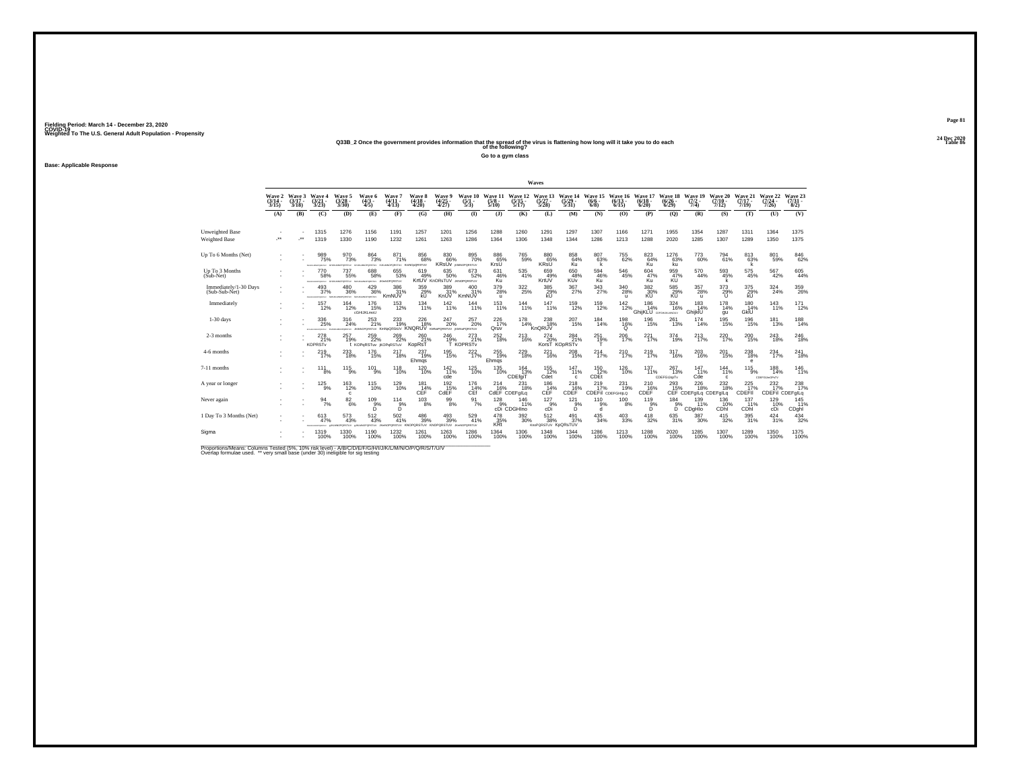# **24 Dec 2020Q33B\_2 Once the government provides information that the spread of the virus is flattening how long will it take you to do each Table 86 of the following?**

**Go to a gym class**

**Base: Applicable Response**

|                                        |                                    |                             |                                              |                                                             |                                           |                                                                      |                                        |                                          |                                           |                                 |                                     | Waves                                  |                                      |                                     |                                                       |                                           |                              |                                          |                              |                              |                                   |                              |
|----------------------------------------|------------------------------------|-----------------------------|----------------------------------------------|-------------------------------------------------------------|-------------------------------------------|----------------------------------------------------------------------|----------------------------------------|------------------------------------------|-------------------------------------------|---------------------------------|-------------------------------------|----------------------------------------|--------------------------------------|-------------------------------------|-------------------------------------------------------|-------------------------------------------|------------------------------|------------------------------------------|------------------------------|------------------------------|-----------------------------------|------------------------------|
|                                        | <b>Wave 2</b><br>$(3/14 -$<br>3/15 | Wave 3<br>$(3/17 -$<br>3/18 | Wave 4<br>$\frac{(3/21)}{3/23}$              | Wave 5<br>$\frac{(3/28)}{3/30}$                             | Wave 6<br>$(4/3 -$<br>4/5                 | Wave 7<br>$(4/11 -$<br>4/13                                          | <b>Wave 8</b><br>$\frac{(4/18)}{4/20}$ | Wave 9<br>$\frac{(4/25)}{4/27}$          | Wave 10<br>$\frac{(5/1)}{5/3}$            | Wave 11<br>$\frac{(5/8)}{5/10}$ | Wave 12<br>$\frac{(5/15)}{5/17}$    | Wave 13<br>$(5/27 -$<br>5/28           | Wave 14<br>$\frac{(5/29)}{5/31}$     | Wave 15<br>$(6/6 -$<br>$6/8$ )      | Wave 16<br>$(6/13 -$<br>6/15                          | Wave 17<br>$(6/18 -$<br>6/20              | Wave 18<br>$(6/26 -$<br>6/29 | Wave 19<br>$(7/2 -$<br>7/4)              | Wave 20<br>$(7/10 -$<br>7/12 | Wave 21<br>$(7/17 -$<br>7/19 | Wave 22<br>$(7/24 -$<br>7/26      | Wave 23<br>$(7/31 -$<br>8/2) |
|                                        | (A)                                | (B)                         | (C)                                          | (D)                                                         | (E)                                       | (F)                                                                  | (G)                                    | (H)                                      | $($ $\Gamma$                              | $($ $\bf{J}$                    | (K)                                 | (L)                                    | (M)                                  | (N)                                 | (O)                                                   | (P)                                       | (Q)                          | (R)                                      | (S)                          | (T)                          | (U)                               | (V)                          |
| Unweighted Base<br>Weighted Base       |                                    | -**                         | 1315<br>1319                                 | 1276<br>1330                                                | 1156<br>1190                              | 1191<br>1232                                                         | 1257<br>1261                           | 1201<br>1263                             | 1256<br>1286                              | 1288<br>1364                    | 1260<br>1306                        | 1291<br>1348                           | 1297<br>1344                         | 1307<br>1286                        | 1166<br>1213                                          | 1271<br>1288                              | 1955<br>2020                 | 1354<br>1285                             | 1287<br>1307                 | 1311<br>1289                 | 1364<br>1350                      | 1375<br>1375                 |
| Up To 6 Months (Net)                   |                                    |                             | 989<br>75%<br>CHAIN MODERN PRO               | 970<br>PORSTLIV                                             | $\frac{864}{73%}$<br>DPORSTUV HJK         | 871%                                                                 | 856<br>68%<br>OPORSTUV KmNOoQRSTUV     | 8306%<br><b>KRSUV KINNOPORSTUV</b>       | 895<br>70%                                | 886<br>65%<br>KrsU              | <sup>765</sup> %                    | 880 65%<br><b>KRSU</b>                 | 858<br>64%<br>Κü.                    | 80763%                              | <sup>755</sup> 62%                                    | 82364%<br>Ku                              | $1276$<br>63%<br>kü          | 773<br>60%                               | 794<br>61%                   | 813 63%                      | 801<br>59%                        | 846<br>62%                   |
| Up To 3 Months<br>(Sub-Net)            |                                    |                             | 770<br>58%<br><b>EDUCATION CONTRACT</b>      | 737<br>55%<br>PORSTLY                                       | 688<br>58%                                | 655<br>53%<br>FORSTLY JKINNOPORSTUV                                  | 619<br>49%                             | 635<br>50%<br>KrtUV KnORsTUV JKNOPORSTUV | 673<br>52%                                | 631<br>46%<br>Ku                | 535<br>41%                          | 659<br>49%<br>KrtUV                    | 650<br>48%<br><b>KUV</b>             | 594<br>46%<br>Kü                    | 546<br>45%                                            | 604<br>47%<br>Κü                          | 959<br>47%                   | 570<br>44%                               | 593<br>45%<br>k              | $\frac{575}{45\%}$           | 567<br>42%                        | $\substack{605 \\ 44\%}$     |
| Immediately/1-30 Days<br>(Sub-Sub-Net) |                                    |                             | 493<br>37%                                   | 480<br>36%<br>FORMANDPORTAY ISHUALMOPORTEXY ISHUALMOPORTEXY | $^{429}_{36\%}$                           | 386<br>31%<br>KmNUV                                                  | 359%<br>kU                             | 389<br>31%<br>KnUV                       | 400 31%<br>KmNUV                          | $^{379}_{28\%}$<br>$\mathbf{u}$ | $\frac{322}{25\%}$                  | 385<br>29%<br>kl I                     | $^{367}_{27\%}$                      | $\frac{343}{27\%}$                  | $^{340}_{\phantom{1}\phantom{1}28\%}$<br>$\mathbf{u}$ | $\frac{382}{30\%}$<br>KU                  | 585<br>29%<br>KÚ             | $^{357}_{28\%}$<br>$\mathbf{u}$          | $^{373}_{29\%}$<br>$\cup$    | 375<br>29%<br>kU             | $\frac{324}{24\%}$                | $^{359}_{26\%}$              |
| Immediately                            |                                    |                             | 157<br>12%                                   | $^{164}_{12\%}$                                             | 176<br>15%<br>cGHIJKLmoU                  | $^{153}_{12\%}$                                                      | 134<br>11%                             | $142_{11\%}$                             | 144<br>11%                                | $^{153}_{11\%}$                 | 144<br>11%                          | $^{147}_{11\%}$                        | 159<br>12%                           | 159<br>12%                          | $^{142}_{12\%}$                                       | 186<br>14%<br><b>GhijKLU</b> COFGHUALMOUV | 324<br>16%                   | 183<br>14%<br>GhijkIU                    | 178<br>14%<br>qu             | 180<br>14%<br>GkİÜ           | $^{143}_{11\%}$                   | $^{171}_{12\%}$              |
| $1-30$ days                            |                                    |                             | 336<br>25%<br>EFOILIALMOPORETAL              | 316<br>24%<br><b>CASH IV</b>                                | 253<br>21%                                | 233<br>19%<br>JAMNOPORSTUV KMNoQRSIUV KNQRUV KMNoPORSTUV KMNoPORSTUV | 226<br>18%                             | 247<br>20%                               | 257<br>20%                                | 226<br>17%<br>Qruv              | 178<br>14%                          | 238<br>18%<br>KnQRUV                   | 207<br>15%                           | 184<br>14%                          | 198<br>$^{16\%}_{0}$                                  | 196<br>15%                                | 261<br>13%                   | 174<br>14%                               | 195<br>15%                   | 196<br>15%                   | 181<br>13%                        | 188<br>14%                   |
| 2-3 months                             |                                    |                             | $^{278}_{21\%}$<br><b>KOPRST<sub>v</sub></b> | 257<br>19%                                                  | $^{259}_{22\%}$<br>t KOPGRSTuv iKOPGRSTuV | $^{269}_{22\%}$                                                      | 26021%<br>KopRsT                       | 246<br>19%                               | 273<br>21%<br>T KOPRSTv                   | $^{252}_{18\%}$                 | 213<br>16%                          | $^{274}_{20\%}$                        | 284 <sub>21%</sub><br>KorsT KOpRSTv  | $^{251}_{19\%}$                     | 206<br>17%                                            | 221<br>17%                                | $^{374}_{19\%}$              | $^{213}_{17\%}$                          | 220 <sub>17%</sub>           | 200<br>15%                   | 243<br>18%                        | $^{246}_{18\%}$              |
| 4-6 months                             |                                    |                             | 219<br>17%                                   | 233<br>18%                                                  | 176<br>15%                                | 217<br>18%                                                           | 237<br>19%<br>Ehmqs                    | 195<br>15%                               | 222<br>17%                                | 255<br>19%<br>Ehmqs             | 229<br>18%                          | 221<br>16%                             | 208<br>15%                           | 214<br>17%                          | 210<br>17%                                            | 219<br>17%                                | 317<br>16%                   | 203<br>16%                               | 201<br>15%                   | 238<br>18%<br>e              | 234<br>17%                        | 241<br>18%                   |
| 7-11 months                            |                                    |                             | 111<br>8%                                    | $^{115}_{9\%}$                                              | $^{101}_{9\%}$                            | $^{118}_{10\%}$                                                      | $^{120}_{10\%}$                        | $142 \atop 11\%$<br>cde                  | <sup>125</sup> <sub>10%</sub>             | $^{135}_{10\%}$                 | 164<br>13%<br>CDEfgiT               | 155<br>12%<br>Cdet                     | 147<br>11%<br>$\mathbf{c}$           | $^{150}_{12\%}$<br>CDEt             | $^{126}_{10\%}$                                       | 137<br>11%                                | 267<br>13%<br>CDEFGIJopTv    | 147 %<br>Cde                             | 144%<br>$\mathbf{c}$         | $^{115}_{9\%}$               | 188<br>14%<br><b>CDEFGUmOPsTV</b> | $\frac{146}{11\%}$           |
| A year or longer                       |                                    |                             | $^{125}_{9\%}$                               | $^{163}_{12\%}$<br>$\mathbf{c}$                             | $^{115}_{10\%}$                           | $^{129}_{10\%}$                                                      | $^{181}_{14\%}$<br>CÉF                 | $^{192}_{\phantom{1}15\%}$ CdEF          | 176<br>14%<br>CEf                         | $^{214}_{16\%}$                 | 231<br>18%<br>CdEF CDEFglLq         | $^{186}_{14\%}$<br>CEF                 | $\overset{218}{_{\text{16\%}}}$ CDEF | $^{219}_{17\%}$<br>CDEFII CDEFGHILQ | 231<br>19%                                            | $^{210}_{16\%}$<br>CDEF                   | $^{293}_{15\%}$              | $^{226}_{18\%}$<br>CEF CDEFglLq CDEFglLq | $^{232}_{18\%}$              | $^{225}_{17\%}$<br>CDEFII    | 232<br>17%<br>CDEFII CDEFglLq     | 238                          |
| Never again                            |                                    |                             | 94<br>7%                                     | $\frac{82}{6\%}$                                            | 109<br>5%                                 | 114<br>$B^{\%}$                                                      | 103<br>8%                              | $\substack{99 \\ 8\%}$                   | 91<br>7%                                  | 128                             | 146<br>9% 11%<br>cDi CDGHIno<br>11% | 127<br>$^{\,9\%}_{\rm cDi}$            | 121<br>$5\%$                         | 110<br>9%<br>d                      | 100<br>8%                                             | 119<br>$5\%$                              | 184<br>$B^{\%}$              | 139<br>11%<br>CDgHIo                     | 136<br>10%<br>CDhi           | 137<br>11%<br>CDhi           | 129<br>10%<br>cDi                 | 145<br>11%<br>CDghl          |
| 1 Day To 3 Months (Net)                |                                    |                             | 613<br>47%                                   | 573<br>43%<br><b>VUTERST</b>                                | 512<br>43%<br>VUTZADRO                    | $^{502}_{41\%}$<br>GRSTUV KNO                                        | $^{486}_{39\%}$<br><b>ORSTUV</b><br>VM | $^{493}_{39\%}$<br><b>ORSTUV</b>         | $\frac{529}{41\%}$<br><b>JKHNOPORSTUV</b> | 478<br>35%<br>KRt               | 392 <sub>30%</sub>                  | $^{512}_{38\%}$<br>KnoPQRSTUV KpQRsTUV | $^{491}_{37\%}$                      | $^{435}_{\ 34\%}$                   | $^{403}_{\phantom{1}33\%}$                            | 418<br>32%                                | 635<br>31%                   | $^{387}_{\ 30\%}$                        | $^{415}_{32\%}$              | $\substack{395 \\ 31\%}$     | $^{424}_{31\%}$                   | $\frac{434}{32\%}$           |
| Sigma                                  |                                    |                             | 1319<br>100%                                 | 1330<br>100%                                                | 1190<br>100%                              | 1232<br>100%                                                         | 1261<br>100%                           | 1263<br>100%                             | 1286<br>100%                              | 1364<br>100%                    | 1306<br>100%                        | 1348<br>100%                           | 1344<br>100%                         | 1286<br>100%                        | 1213<br>100%                                          | 1288<br>100%                              | 2020<br>100%                 | 1285<br>100%                             | 1307<br>100%                 | 1289<br>100%                 | 1350<br>100%                      | 1375<br>100%                 |

Proportions/Means: Columns Tested (5%, 10% risk level) - A/B/C/D/E/F/G/H/I/J/K/L/M/N/O/P/Q/R/S/T/U/V<br>Overlap formulae used. \*\* very small base (under 30) ineligible for sig testing

**Page 8124 Dec 2020<br>Table 86**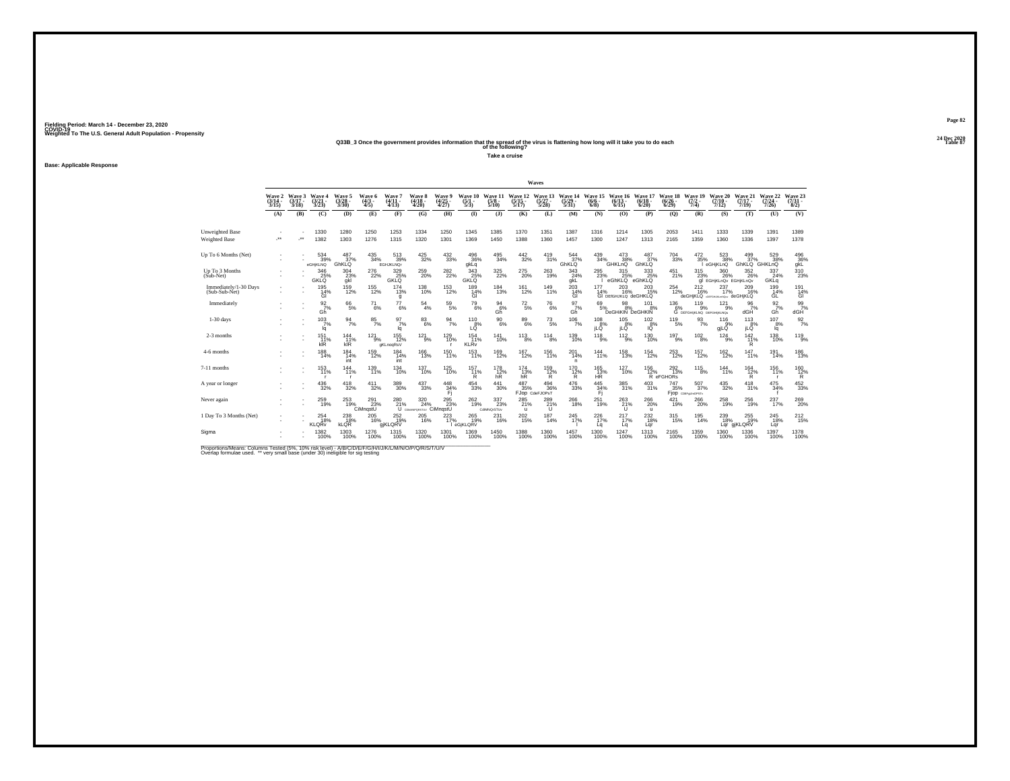# **24 Dec 2020Q33B\_3 Once the government provides information that the spread of the virus is flattening how long will it take you to do each Table 87 of the following?**

**Take a cruise**

**Base: Applicable Response**

|                                         |                                    |                             |                                |                                 |                           |                                        |                             |                                        |                                            |                                  |                                  | Waves                             |                             |                                     |                                         |                                            |                              |                                                                                                                                                                                                              |                                             |                              |                              |                                |
|-----------------------------------------|------------------------------------|-----------------------------|--------------------------------|---------------------------------|---------------------------|----------------------------------------|-----------------------------|----------------------------------------|--------------------------------------------|----------------------------------|----------------------------------|-----------------------------------|-----------------------------|-------------------------------------|-----------------------------------------|--------------------------------------------|------------------------------|--------------------------------------------------------------------------------------------------------------------------------------------------------------------------------------------------------------|---------------------------------------------|------------------------------|------------------------------|--------------------------------|
|                                         | <b>Wave 2</b><br>$(3/14 -$<br>3/15 | Wave 3<br>$(3/17 -$<br>3/18 | Wave 4<br>(3/21<br>3/23)       | Wave 5<br>$\frac{(3728)}{3/30}$ | Wave 6<br>$(4/3 -$<br>4/5 | Wave?<br>$(4/11 -$<br>(4/13)           | Wave 8<br>$(4/18 -$<br>4/20 | <b>Wave 9</b><br>$\frac{(4/25)}{4/27}$ | Wave 10<br>$\frac{(5/1 - 1)}{(5/3)}$       | Wave 1<br>$\frac{(5/8)}{5/10}$   | Wave 12<br>$\frac{(5/15)}{5/17}$ | Wave 13<br>$\frac{(5/27)}{5/28}$  | Wave 14<br>(5/29 -<br>5/31) | Wave 15<br>$(6/6 -$<br>6/8          | Wave 16<br>$(6/13 -$<br>6/15            | Wave 17<br>(6/18)<br>6/20                  | Wave 18<br>$(6/26 -$<br>6/29 | Wave 19<br>$(7/2 -$<br>7/4                                                                                                                                                                                   | Wave 20<br>$(7/10 -$<br>7/12                | Wave 21<br>$(7/17 -$<br>7/19 | Wave 22<br>$(7/24 -$<br>7/26 | Wave 23<br>$\binom{7/31}{8/2}$ |
|                                         | (A)                                | (B)                         | (C)                            | (D)                             | (E)                       | (F)                                    | (G)                         | (H)                                    | $\bf{I}$                                   | (3)                              | (K)                              | (L)                               | (M)                         | (N)                                 | (O)                                     | (P)                                        | $\mathbf{Q}$                 | (R)                                                                                                                                                                                                          | (S)                                         | (T)                          | (U)                          | (V)                            |
| Unweighted Base<br><b>Weighted Base</b> | J.                                 |                             | 1330<br>1382                   | 1280<br>1303                    | 1250<br>1276              | 1253<br>1315                           | 1334<br>1320                | 1250<br>1301                           | 1345<br>1369                               | 1385<br>1450                     | 1370<br>1388                     | 1351<br>1360                      | 1387<br>1457                | 1316<br>1300                        | 1214<br>1247                            | 1305<br>1313                               | 2053<br>2165                 | 1411<br>1359                                                                                                                                                                                                 | 1333<br>1360                                | 1339<br>1336                 | 1391<br>1397                 | 1389<br>1378                   |
| Up To 6 Months (Net)                    |                                    |                             | $\frac{534}{39\%}$<br>eGHiKLNQ | 487%<br>GhKLQ                   | $^{435}_{34\%}$           | $\frac{513}{39\%}$<br><b>EGHJKLNQr</b> | $\substack{425 \\ 32\%}$    | $^{432}_{33\%}$                        | 496<br>36%<br>gkLq                         | $^{495}_{34\%}$                  | $\frac{442}{32\%}$               | $^{419}_{31\%}$                   | $\frac{544}{37}\%$<br>GhKLQ | $439/34\%$                          | $^{473}_{38\%}$<br>GHKLnQ               | 487<br><b>GhKLQ</b>                        | $^{704}_{\ 33\%}$            | $\frac{472}{35\%}$                                                                                                                                                                                           | $\frac{523}{38\%}$<br>I eGHjKLnQ            | GhKLQ GHKLnQ                 | 529<br>38%                   | 496<br>36%<br>gkL              |
| Up To 3 Months<br>$(Sub-Net)$           |                                    |                             | 346<br>25%<br><b>GKLO</b>      | 304<br>$\frac{23}{9}$           | 276<br>22%                | 329<br>GKLQ <sup>25%</sup>             | 259<br>20%                  | $^{282}_{\,\,22\%}$                    | 343<br>GKLQ                                | 325<br>22%                       | 275<br>20%                       | 263<br>19%                        | 343<br>$24%$<br>gkL         | 295<br>23%                          | 315<br>eGhKLQ <sup>25%</sup>            | 333<br>25%<br>eGhKLQ                       | 451<br>21%                   | 315<br>23%                                                                                                                                                                                                   | 360<br>26%<br><b>QI EGHiKLnQv EGHiKLnQv</b> | 352<br>26%                   | 337<br>24%<br>GKLq           | 310<br>23%                     |
| Immediately/1-30 Days<br>(Sub-Sub-Net)  |                                    |                             | 195<br>14%<br>GI               | $^{159}_{12\%}$                 | $^{155}_{12\%}$           | $^{174}_{13\%}$<br>g                   | $^{138}_{10\%}$             | $^{153}_{12\%}$                        | 189<br>14%<br>GI                           | $^{184}_{13\%}$                  | $^{161}_{12\%}$                  | 149<br>11%                        | $^{203}_{14\%}$<br>GI       | $\frac{177}{14\%}$                  | $^{203}_{16\%}$<br>GI DEIGHJKLQ deGHKLQ | $^{203}_{15\%}$                            | $^{254}_{12\%}$              | $^{212}_{16\%}$<br>deGHiKLQ deraiun.mow deGHiKLQ                                                                                                                                                             | $^{237}_{17\%}$                             | $^{209}_{16\%}$              | 199<br>14%<br>GL             | 191<br>14%<br>GI               |
| Immediately                             |                                    |                             | $\frac{92}{7}\%$<br>Gh         | $^{66}_{5\%}$                   | $^{71}_{6\%}$             | $^{77}_{6\%}$                          | $^{54}_{\ 4\%}$             | $^{59}_{\ 5\%}$                        | $^{79}_{6\%}$                              | $^{94}_{6\%}$<br>Gh <sup>"</sup> | $^{72}_{\ 5\%}$                  | $^{76}_{\ 6\%}$                   | $\frac{97}{7}\%$<br>Gh      | $^{69}_{5\%}$                       | $\frac{98}{8\%}$<br>DeGHIKIN DeGHKIN    | $^{101}_{8\%}$                             |                              | $\underset{\text{G}\ \text{DEFGH} \text{KING}\ \text{DEFGH} }{\text{100}}\substack{121\\-6\%}\underset{\text{D}\ \text{DEFGH} \text{KING}\ \text{DEFGH} \text{KING}\ \text{DEFGH}}{\text{121}}$<br>119<br>9% | $^{12}1_{9\%}$                              | $\frac{96}{7\%}$<br>dGH      | $\frac{92}{7}\%$<br>Gh       | $\frac{99}{7\%}$<br>dGH        |
| $1-30$ days                             |                                    |                             | 103<br>7%<br>lq                | $\frac{94}{7\%}$                | $\frac{85}{7\%}$          | 97<br>7%<br>lq                         | 83<br>6%                    | $\frac{94}{7\%}$                       | 110<br>$L^{8%}_{Q}$                        | 90<br>6%                         | $^{89}_{6\%}$                    | $^{73}_{\ 5\%}$                   | $^{106}_{7\%}$              | 108<br>8%<br>iLÖ                    | 105<br>B%<br>jLQ                        | 102<br>8%<br>IŐ                            | 119<br>5%                    | 93<br>7%                                                                                                                                                                                                     | 116<br>9%<br>gjLQ                           | 113<br>8%<br>iLŐ             | 107<br>8%<br>lq              | $\frac{92}{7\%}$               |
| 2-3 months                              |                                    |                             | $^{151}_{11\%}$<br>kIR         | 144%<br>kIR                     | $^{121}_{-9\%}$           | $155$<br>$12\%$<br>gKLnogRsV           | $^{12}\!\!_{9\%}^1$         | $^{129}_{10\%}$                        | $^{154}_{11\%}$<br><b>KLR</b> <sub>v</sub> | $^{141}_{10\%}$                  | $^{113}_{8\%}$                   | $^{114}_{8\%}$                    | 139<br>10%                  | 118<br>9%                           | $^{112}_{9\%}$                          | $^{130}_{10\%}$                            | $^{197}_{9\%}$               | $^{102}_{8\%}$                                                                                                                                                                                               | $^{124}_{9\%}$                              | $^{142}_{11\%}$<br>R         | 138<br>10%                   | 119 <sub>9%</sub>              |
| 4-6 months                              |                                    |                             | 188<br>14%                     | 184<br>14%<br>int               | 159<br>12%                | 184<br>14%<br>int                      | 166<br>13%                  | 150<br>11%                             | 153<br>11%                                 | 169<br>12%                       | 167<br>12%                       | 156<br>11%                        | 201<br>14%<br>n.            | 144<br>11%                          | 158<br>13%                              | 154<br>12%                                 | 253<br>12%                   | 157<br>12%                                                                                                                                                                                                   | 162<br>12%                                  | 147<br>11%                   | 191<br>14%                   | 186<br>13%                     |
| 7-11 months                             |                                    |                             | 153<br>11%<br><b>r</b>         | $144$<br>11%<br>- r             | $^{139}_{11\%}$           | $^{134}_{10\%}$                        | $^{137}_{10\%}$             | 125<br>10%                             | $^{157}_{11\%}$<br>R                       | 178<br>12%<br>hR                 | 174<br>13%<br>hR                 | 159<br>12%<br>R                   | $^{170}_{12\%}$<br>R        | $^{165}_{13\%}$<br>HR <sup>1</sup>  | $^{127}_{10\%}$                         | $^{156}_{12\%}$                            | $^{292}_{13\%}$<br>R eFGHORs | $^{115}_{8\%}$                                                                                                                                                                                               | 144%                                        | $\frac{164}{12\%}$<br>R      | $^{156}_{11\%}$<br><b>r</b>  | 160<br>12%<br>R.               |
| A year or longer                        |                                    |                             | $^{436}_{\phantom{1}32\%}$     | $^{418}_{32\%}$                 | $^{411}_{32\%}$           | $^{389}_{\phantom{1}\phantom{1}30\%}$  | 437<br>33%                  | $^{448}_{34\%}$<br>Fi                  | $\substack{454 \\ 33\%}$                   | $\frac{441}{30\%}$               | 487<br>35%                       | $^{494}_{36\%}$<br>FJop CdeFJOPsT | $^{476}_{\phantom{1}33\%}$  | $\frac{445}{34\%}$<br>Fi            | 385<br>31%                              | $^{403}_{\phantom{1}31\%}$                 | $^{747}_{.35\%}$             | $^{507}_{37\%}$<br>Fjop coergumorsty                                                                                                                                                                         | $^{435}_{32\%}$                             | 418<br>31%                   | 475<br>34%                   | $^{452}_{33\%}$                |
| Never again                             |                                    |                             | 259<br>19%                     | 253<br>19%                      | 291<br>23%<br>CiMngstU    | 280                                    | 320<br>21% 24% 23%          | 295<br>23%                             | 262<br>19%                                 | 337<br>23%<br>CdMNQrSTUv         | $^{285}_{21\%}$<br>$\mathbf{u}$  | 289<br>$^{21\%}$                  | 266<br>18%                  | 251<br>19%                          | $^{263}_{\phantom{1}21\%}$              | 266<br>20%<br>$\mathbf{u}$                 | 421<br>19%                   | 266<br>20%                                                                                                                                                                                                   | 258<br>19%                                  | 256<br>19%                   | 237<br>17%                   | $^{269}_{\  \, 20\%}$          |
| 1 Day To 3 Months (Net)                 |                                    |                             | $^{254}_{18\%}$<br>KLQRv       | 238<br>18%<br><b>kLQR</b>       | $^{205}_{16\%}$           | $^{252}_{19\%}$<br>giKLQRV             | $^{205}_{16\%}$             | 223<br>17%                             | $^{265}_{19\%}$<br>eGjKLQRV                | $^{231}_{16\%}$                  | 202<br>15%                       | $^{187}_{14\%}$                   | 245<br>17%                  | <sup>226</sup> <sub>17%</sub><br>Lq | $^{217}_{17\%}$<br>Lq                   | $^{232}_{\color{red}\textbf{18\%}}$<br>Lar | 315 <sub>%</sub>             | $^{195}_{14\%}$                                                                                                                                                                                              | 239<br>18%                                  | 255<br>Lgr giKLQRV           | $^{245}_{18\%}$<br>Lar       | $^{212}_{15\%}$                |
| Sigma                                   |                                    |                             | 1382<br>100%                   | 1303<br>100%                    | 1276<br>100%              | 1315<br>100%                           | 1320<br>100%                | 1301<br>100%                           | 1369<br>100%                               | 1450<br>100%                     | 1388<br>100%                     | 1360<br>100%                      | 1457<br>100%                | 1300<br>100%                        | 1247<br>100%                            | 1313<br>100%                               | 2165<br>100%                 | 1359<br>100%                                                                                                                                                                                                 | 1360<br>100%                                | 1336<br>100%                 | 1397<br>100%                 | 1378<br>100%                   |

Proportions/Means: Columns Tested (5%, 10% risk level) - A/B/C/D/E/F/G/H/I/J/K/L/M/N/O/P/Q/R/S/T/U/V<br>Overlap formulae used. \*\* very small base (under 30) ineligible for sig testing

**Page 8224 Dec 2020<br>Table 87**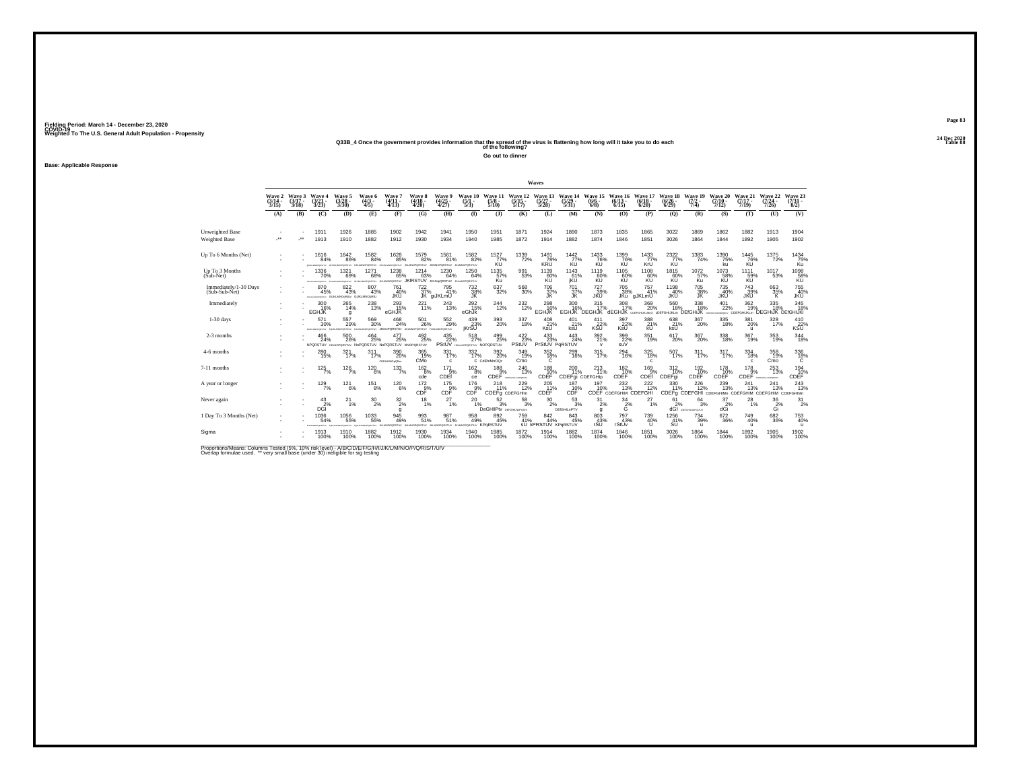# **24 Dec 2020Q33B\_4 Once the government provides information that the spread of the virus is flattening how long will it take you to do each Table 88 of the following?**

**Go out to dinner**

**Base: Applicable Response**

|                                        |                             |                             |                                             |                                                                      |                                                             |                                     |                                          |                                           |                                                 |                                            |                                  | Waves                                    |                                      |                                                    |                                          |                              |                              |                                                     |                               |                                       |                                         |                                             |
|----------------------------------------|-----------------------------|-----------------------------|---------------------------------------------|----------------------------------------------------------------------|-------------------------------------------------------------|-------------------------------------|------------------------------------------|-------------------------------------------|-------------------------------------------------|--------------------------------------------|----------------------------------|------------------------------------------|--------------------------------------|----------------------------------------------------|------------------------------------------|------------------------------|------------------------------|-----------------------------------------------------|-------------------------------|---------------------------------------|-----------------------------------------|---------------------------------------------|
|                                        | Wave 2<br>$(3/14 -$<br>3/15 | Wave 3<br>$(3/17 -$<br>3/18 | Wave 4<br>$\frac{(3/21)}{3/23}$             | Wave 5<br>$\frac{(3/28)}{3/30}$                                      | Wave 6<br>$(4/3 -$<br>4/5                                   | Wave 7<br>$(4/11 -$<br>4/13         | Wave 8<br>$\frac{(4/18)}{4/20}$          | <b>Wave 9</b><br>$\frac{(4/25)}{4/27}$    | Wave 10<br>$\frac{(5/1)}{5/3}$                  | Wave 11<br>$\frac{(5/8)}{5/10}$            | Wave 12<br>$\frac{(5/15)}{5/17}$ | Wave 13<br>$\frac{(5/27)}{5/28}$         | Wave 14<br>$\frac{(5/29)}{5/31}$     | Wave 15<br>(6/6 -<br>$6/8$ )                       | Wave 16<br>$(6/13 -$<br>6/15             | Wave 17<br>$(6/18 -$<br>6/20 | Wave 18<br>$(6/26 -$<br>6/29 | Wave 19<br>$(7/2 -$<br>7/4)                         | Wave 20<br>$(7/10 -$<br>7/12  | Wave 21<br>$(7/17 -$<br>7/19          | Wave 22<br>$(7/24 -$<br>7/26            | Wave 23<br>$(7/31 -$<br>8/2)                |
|                                        | (A)                         | (B)                         | (C)                                         | (D)                                                                  | (E)                                                         | (F)                                 | (G)                                      | (H)                                       | $\bf{I}$                                        | (3)                                        | (K)                              | (L)                                      | (M)                                  | (N)                                                | (O)                                      | (P)                          | (Q)                          | (R)                                                 | (S)                           | (T)                                   | (U)                                     | (V)                                         |
| Unweighted Base<br>Weighted Base       | J.                          |                             | 1911<br>1913                                | 1926<br>1910                                                         | 1885<br>1882                                                | 1902<br>1912                        | 1942<br>1930                             | 1941<br>1934                              | 1950<br>1940                                    | 1951<br>1985                               | 1871<br>1872                     | 1924<br>1914                             | 1890<br>1882                         | 1873<br>1874                                       | 1835<br>1846                             | 1865<br>1851                 | 3022<br>3026                 | 1869<br>1864                                        | 1862<br>1844                  | 1882<br>1892                          | 1913<br>1905                            | 1904<br>1902                                |
| Up To 6 Months (Net)                   |                             |                             | 1616<br>84%<br>eusancronzur GHJ/LM/OPORETUV | 1642<br>86%                                                          | $^{1582}_{\  \  \, 84\%}$<br>HJKLMNOPORSTLY GHJKLMNOPORSTLY | 1628<br>85%                         | 1579<br>82%<br>JILMADPORSTUV             | 1561<br>81%<br><b>IOPORSTUV</b>           | 1582 <sub>%</sub><br><b>JIGMNOPORSTUV</b>       | $\frac{1527}{77\%}$<br>KU                  | 1339<br>72%                      | $\frac{1491}{78\%}$<br>KRŬ               | $^{1442}_{77\%}$                     | 1433<br>76%<br>KÜ                                  | 1399<br>76%<br>KU                        | 1433<br>KrU                  | $\frac{2322}{77\%}$          | $\frac{1383}{74\%}$                                 | 1390<br>75%<br>ku             | 1445<br>76%<br>KU                     | $^{1375}_{\  \, 72\%}$                  | 1434<br>75%<br>Kü                           |
| Up To 3 Months<br>(Sub-Net)            |                             |                             | 1336<br>70%<br><b>FEHALMORPHTAL</b>         | 1321<br>69%<br>FEHAMLINGPORTER                                       | 1271<br>68%<br>ORGRETUV JALMA                               | 1238<br>65%                         | 1214<br>63%<br>PORSTUV JKIRSTUV          | 1230<br>64%<br>JKLNopQRSTUV JKLmNOPQRSTUV | 1250<br>64%                                     | 1135<br>57%<br>Ku                          | 991<br>53%                       | 1139<br>60%<br>KU                        | 1143<br>61%<br>jKU                   | 1119<br>60%<br>KU                                  | 1105<br>60%<br>KU                        | 1108<br>60%                  | 1815<br>60%<br>KU            | 1072<br>57%<br>Ku                                   | 1073<br>58%<br>KU             | 1111<br>59%<br>KU                     | 1017<br>53%                             | 1098<br>58%                                 |
| Immediately/1-30 Days<br>(Sub-Sub-Net) |                             |                             | 870<br>45%                                  | $822\over 43\%$<br>researcrowny GUIGLMNOgRIUv GUIGLMNOgRIU           | $\substack{807 \\ 43\%}$                                    | 761<br>40%<br><b>JKU</b>            | $^{722}_{37\%}$                          | 795<br>41%<br>JK giJKLmU                  | <sup>732</sup> <sub>38%</sub><br>JK             | $\substack{637\\32\%}$                     | 568<br>30%                       | 706<br>37%<br>JК                         | 701 37%<br><b>JK</b>                 | <sup>727</sup> 39%<br><b>JKU</b>                   | <sup>705</sup> 38%<br>JKu                | 757<br>41%<br>gJKLmU         | 1198<br>40%<br><b>JKU</b>    | 705 38%<br>JK                                       | 735<br>40%<br><b>JKU</b>      | 743<br>39%<br><b>JKU</b>              | 663<br>35%<br>К                         | <sup>755</sup> <sub>40%</sub><br><b>JKU</b> |
| Immediately                            |                             |                             | 300<br>16%<br><b>EGHJK</b>                  | 265<br>14%<br>g                                                      | 238<br>13%                                                  | 293%<br>eGHJK                       | 221<br>11%                               | 243<br>13%                                | $^{292}_{15\%}$<br>eGhJk                        | $^{244}_{12\%}$                            | $^{232}_{12\%}$                  | 298<br>EGHJK                             | 300 16%                              | 315<br>17%<br>EGHJK DEGHJK dEGHJK COEFGHURLMO CDEF | $^{308}_{17\%}$                          | 369<br>20%                   | 560<br>18%                   | 338/18%<br>IUKLIN DEfGHIJK                          | $^{401}_{22\%}$<br>www. CDEEG | 362<br>19%<br><b>HIJKLm</b>           | 335<br>18%<br><b>DEGHIJK DEIGHIJKI</b>  | 345<br>18%                                  |
| $1-30$ days                            |                             |                             | 571<br>30%<br>FOUNDROPORTER FAUNTUM         | 557<br>29%<br><b>VUTBRON</b>                                         | 569<br>30%                                                  | 468<br>24%<br>proximur JKImpPQRSTUv | 501<br>26%<br>UKUWOPORSTUV FUKUWOPORSTUV | 552<br>29%                                | 439<br>23%<br>iKrSU                             | 393<br>20%                                 | 337<br>18%                       | 408<br>$x$ <sup>21%</sup>                | 401<br>21%<br>ksÜ                    | 411<br>$\kappa$ 32%                                | 397<br>22%<br>KsU                        | 388<br>21%<br>kU             | 638<br>21%<br>ksÜ            | 367<br>20%                                          | 335<br>18%                    | 381<br>20%<br>$\mathbf{u}$            | 328<br>17%                              | 410<br>$\kappa$ <sub>SU</sub> $^{22\%}$     |
| 2-3 months                             |                             |                             | 466<br>24%                                  | 500<br>26%<br>NPORSTUV HIGAGRORISTUV NoPORSTUV NoPORSTUV HINOPORSTUV | $^{464}_{25\%}$                                             | 477<br>25%                          | $^{492}_{25\%}$                          | $435$<br>$22\%$<br>PStUV                  | 518<br>27%<br>HIGHNOPORSTUV NOPORSTUV           | $^{499}_{25\%}$                            | $\frac{422}{23\%}$<br>PStUV      | $^{433}_{23\%}$<br>PrStUV PqRSTUV        | 443<br>24%                           | 392/21%                                            | 399 22%<br>suV                           | $351$<br>19%                 | $617_{20\%}$                 | $^{367}_{20\%}$                                     | 338<br>18%                    | $\frac{367}{19\%}$                    | 353<br>19%                              | 344<br>18%                                  |
| 4-6 months                             |                             |                             | 280<br>15%                                  | 321<br>17%                                                           | 311<br>17%                                                  | 390<br>20%<br>CDEHMANOpQRsv         | 365<br>19%<br>CMo                        | 331<br>17%<br>c                           | 332<br>17%                                      | 392<br>20%<br>C CdEhiMnOQr                 | 349<br>19%<br>Cmo                | 352<br>18%<br>C                          | 299<br>16%                           | 315<br>17%                                         | 294<br>16%                               | 325<br>18%<br>c              | 507<br>17%                   | 311<br>17%                                          | 317<br>17%                    | 334<br>18%<br>c                       | 358<br>19%<br>Cmo                       | 336<br>$^{18\%}$                            |
| 7-11 months                            |                             |                             | $125$ <sub>7%</sub>                         | 126/7%                                                               | $^{120}_{6\%}$                                              | 133/7%                              | $^{162}_{8\%}$<br>cde                    | $^{171}_{.9\%}$<br>CDEf                   | $^{162}_{8\%}$<br>ce                            | 188<br>9%                                  | 246<br>13%<br>CDEF COMPOSITION   | $^{188}_{19\%}$<br>CDEF                  | 200<br>11%<br><b>CDEFai CDEFGHID</b> | $^{213}_{11\%}$                                    | $^{182}_{10\%}$<br>CDEF                  | $^{169}_{-9\%}$<br>CDEf      | 312<br>10%<br>CDEFai         | $^{192}_{10\%}$<br>CDEF                             | $^{178}_{10\%}$<br>CDEF       | $^{178}_{.9\%}$<br>CDEF GEFORLOPORETY | $^{253}_{13\%}$                         | 194<br>10%<br>CDEF                          |
| A year or longer                       |                             |                             | 129/7%                                      | $^{12}$ <sup>12</sup> <sub>6%</sub>                                  | $^{151}_{8\%}$                                              | $^{120}_{6\%}$                      | $\frac{172}{9\%}$<br>CDF                 | $^{175}_{9\%}$<br>CDF                     | $^{176}_{9\%}$<br>CDF                           | 218<br>11%<br>CDEFg CDEFGHIm               | $^{229}_{12\%}$                  | 205<br>11%<br>CDEF                       | 187<br>10%<br>CDF                    | 197<br>10%                                         | $^{232}_{13\%}$<br>CDEF CDEFGHIM CDEFGHI | $^{222}_{12\%}$              | 330<br>11%                   | $^{226}_{12\%}$<br>CDEFg CDEFGHI CDEFGHIMn CDEFGHIM | 239<br>13%                    | 241<br>13%                            | 241<br>13%<br><b>CDEFGHIM CDEFGHIMn</b> | 243                                         |
| Never again                            |                             |                             | 43<br>$D\ddot{S}^2$                         | 21<br>1%                                                             | $^{30}_{\phantom{1}2\%}$                                    | $\frac{32}{2\%}$<br>a               | 18<br>1%                                 | 27<br>1%                                  | 20<br>1%                                        | 52<br>3%<br><b>DeGHIPty</b> DEFGHIJNOPSTVY | 58<br>3%                         | 30<br>2%                                 | 53<br>3%<br><b>DEIGHILAPTV</b>       | 31<br>2%<br>a                                      | 34<br>$\frac{2}{6}$                      | 27<br>1%                     | 61                           | 64<br>3%<br>$\frac{2\%}{dGI}$ $\frac{3\%}{dGI}$     | 37<br>dGi                     | 28<br>1%                              | 36<br>$\frac{2\%}{\text{Gi}}$           | 31<br>2%                                    |
| 1 Day To 3 Months (Net)                |                             |                             | 1036<br>54%<br><b>B. M. MARTHERETH AV</b>   | $^{1056}_{-55\%}$<br><b>MILANOVANO</b> E                             | $^{1033}_{\phantom{1}55\%}$<br><b>ACADEMIC</b>              | 945<br>49%<br>PORSTUV               | $\frac{993}{51\%}$<br>PORSTUV            | 987<br>51%<br><b>VUTZRONC</b>             | $^{958}_{49\%}$<br><b>JILMOPORSTUY KPORSTUV</b> | $\underset{45\%}{^{892}}$                  | 759<br>41%                       | 842<br>44%<br><b>SU KPRSTUV KPGRSTUV</b> | 843<br>45%                           | 803<br>43%<br>rSU                                  | 797<br>43%<br>rStUv                      | 739<br>40%<br>$\mathbf{U}$   | 1256<br>41%<br><b>SU</b>     | $\substack{734 \\ 39\%}$<br>$\mathbf{u}$            | 672<br>36%                    | $^{749}_{40\%}$<br>$\mathbf{u}$       | 682<br>36%                              | $^{753}_{40\%}$<br>$\mathbf{u}$             |
| Sigma                                  |                             |                             | 1913<br>100%                                | 1910<br>100%                                                         | 1882<br>100%                                                | 1912<br>100%                        | 1930<br>100%                             | 1934<br>100%                              | 1940<br>100%                                    | 1985<br>100%                               | 1872<br>100%                     | 1914<br>100%                             | 1882<br>100%                         | 1874<br>100%                                       | 1846<br>100%                             | 1851<br>100%                 | 3026<br>100%                 | 1864<br>100%                                        | 1844<br>100%                  | 1892<br>100%                          | 1905<br>100%                            | 1902<br>100%                                |

Proportions/Means: Columns Tested (5%, 10% risk level) - A/B/C/D/E/F/G/H/I/J/K/L/M/N/O/P/Q/R/S/T/U/V<br>Overlap formulae used. \*\* very small base (under 30) ineligible for sig testing

**Page 8324 Dec 2020<br>Table 88**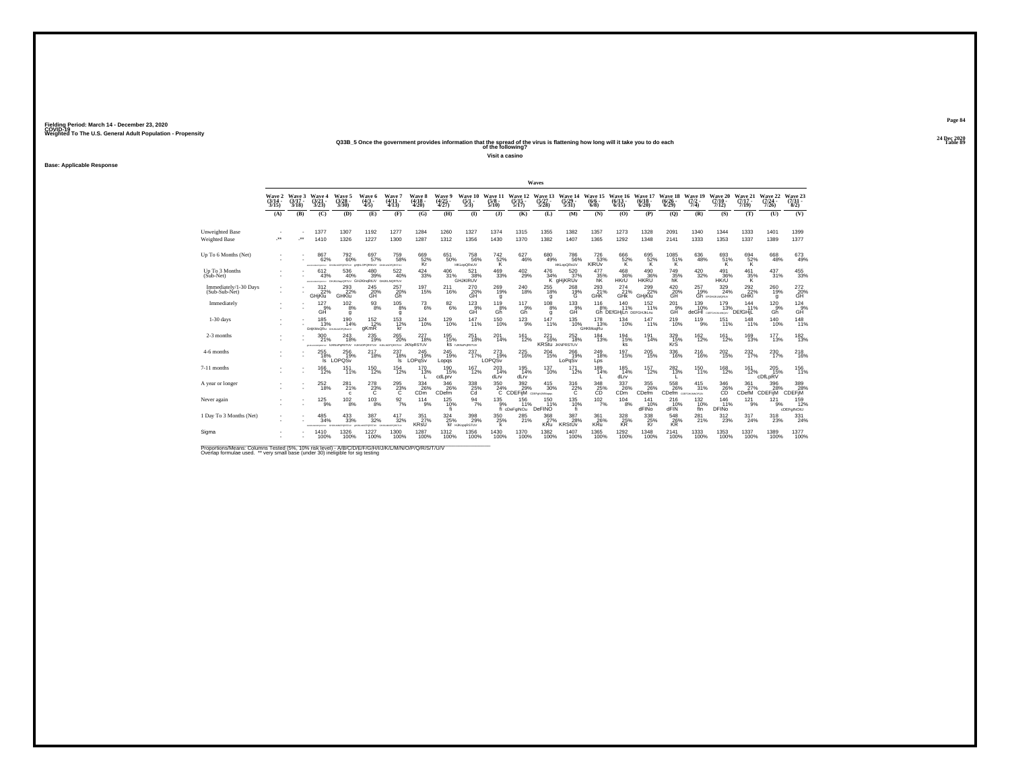# **24 Dec 2020Q33B\_5 Once the government provides information that the spread of the virus is flattening how long will it take you to do each Table 89 of the following?**

**Visit a casino**

**Base: Applicable Response**

|                                         |                             |                             |                                     |                                                                        |                                               |                                                                                      |                                   |                                        |                                                    |                                   |                                            | Waves                            |                                      |                                                  |                                           |                              |                                              |                            |                                                        |                                |                              |                                     |
|-----------------------------------------|-----------------------------|-----------------------------|-------------------------------------|------------------------------------------------------------------------|-----------------------------------------------|--------------------------------------------------------------------------------------|-----------------------------------|----------------------------------------|----------------------------------------------------|-----------------------------------|--------------------------------------------|----------------------------------|--------------------------------------|--------------------------------------------------|-------------------------------------------|------------------------------|----------------------------------------------|----------------------------|--------------------------------------------------------|--------------------------------|------------------------------|-------------------------------------|
|                                         | Wave 2<br>$(3/14 -$<br>3/15 | Wave 3<br>$(3/17 -$<br>3/18 | Wave 4<br>$\frac{(3/21)}{3/23}$     | Wave 5<br>$\frac{(3/28)}{3/30}$                                        | Wave 6<br>$(4/3 -$<br>4/5                     | Wave 7<br>$(4/11 -$<br>4/13                                                          | Wave 8<br>$\frac{(4/18)}{4/20}$   | <b>Wave 9</b><br>$\frac{(4/25)}{4/27}$ | Wave 10<br>$\frac{(5/1)}{5/3}$                     | Wave 11<br>$\frac{(5/8)}{5/10}$   | Wave 12<br>$\frac{(5/15)}{5/17}$           | Wave 13<br>$\frac{(5/27)}{5/28}$ | Wave 14<br>$\frac{(5/29)}{5/31}$     | Wave 15<br>$(6/6 -$<br>$6/8$ )                   | Wave 16<br>$(6/13 -$<br>6/15              | Wave 17<br>$(6/18 -$<br>6/20 | Wave 18<br>$(6/26 -$<br>6/29                 | Wave 19<br>$(7/2 -$<br>7/4 | Wave 20<br>$(7/10 -$<br>7/12)                          | Wave 21<br>$(7/17 -$<br>7/19   | Wave 22<br>$(7/24 -$<br>7/26 | Wave 23<br>$\frac{(7/31 - 1)}{8/2}$ |
|                                         | (A)                         | (B)                         | (C)                                 | (D)                                                                    | (E)                                           | (F)                                                                                  | (G)                               | (H)                                    | $\bf{I}$                                           | (3)                               | (K)                                        | (L)                              | (M)                                  | (N)                                              | (O)                                       | (P)                          | (Q)                                          | (R)                        | (S)                                                    | (T)                            | (U)                          | (V)                                 |
| Unweighted Base<br><b>Weighted Base</b> | $\ddot{\phantom{1}}$        |                             | 1377<br>1410                        | 1307<br>1326                                                           | 1192<br>1227                                  | 1277<br>1300                                                                         | 1284<br>1287                      | 1260<br>1312                           | 1327<br>1356                                       | 1374<br>1430                      | 1315<br>1370                               | 1355<br>1382                     | 1382<br>1407                         | 1357<br>1365                                     | 1273<br>1292                              | 1328<br>1348                 | 2091<br>2141                                 | 1340<br>1333               | 1344<br>1353                                           | 1333<br>1337                   | 1401<br>1389                 | 1399<br>1377                        |
| Up To 6 Months (Net)                    |                             |                             | 867<br>62%                          | 792<br>60%<br>ANALISONDRUTHY GHANAGROBSTUV OMIKLOPORSIUV GHANAGROBSTUV | 697<br>57%                                    | <sup>759</sup> 58%                                                                   | 669<br>52%<br>Kr                  | 651<br>50%                             | <sup>758</sup> 56%<br><b>HKLooQRsUV</b>            | $\frac{742}{52\%}$                | 627<br>46%                                 | 680<br>49%                       | 786<br>56%<br><b>HKLopQRsUV</b>      | 726<br>53%<br>KIRUV                              | 666<br>52%<br>K                           | $\frac{695}{52\%}$           | $^{1085}_{\hphantom{1}51\%}_{\hphantom{1}K}$ | 636<br>48%                 | 693<br>51%<br>ΪŔ.                                      | $^{694}_{~52\%}$               | 668<br>48%                   | $673 \atop 49\%$                    |
| Up To 3 Months<br>$(Sub-Net)$           |                             |                             | 612<br>43%                          | 536<br>40%<br>ANAUNOVALTIV GHUKLNAKORTUV GHJKINGATUV GHJKLNQRTUV       | 480<br>39%                                    | 522<br>40%                                                                           | 424<br>33%                        | 406<br>31%                             | 521<br>38%<br><b>GHJKIRUV</b>                      | 469<br>33%                        | 402<br>29%                                 | 476                              | 520<br>34% 37°<br>K gHjKRUv<br>37%   | 477<br>35%<br>hK                                 | 468<br>36%<br>HKrU                        | 490<br>36%<br>HKRU           | 749<br>35%<br>hK                             | 420<br>32%                 | 491<br>36%<br>HKrU                                     | 461<br>$\frac{35}{K}$          | 437<br>31%                   | $\substack{455 \\ 33\%}$            |
| Immediately/1-30 Days<br>(Sub-Sub-Net)  |                             |                             | $\frac{312}{22\%}$<br>GHjKlu        | 293<br>22%<br>GHKlu                                                    | 245<br>20%<br>GH                              | 257<br>20%<br>Gh                                                                     | 197<br>15%                        | 211<br>16%                             | 270<br>20%<br>GH                                   | $^{269}_{19\%}$<br>g              | 240<br>18%                                 | 255<br>18%<br>q                  | 268 19%<br>Ġ                         | $^{293}_{21\%}$<br>GHK                           | 274 <sub>%</sub><br>GHK                   | $^{299}_{22\%}$<br>GHiKlu    | $^{420}_{20\%}$<br>GH                        | $^{257}_{19\%}$            | 329<br>24%<br><b>Gh</b> ergHukukokuv                   | $^{292}_{2296}$<br><b>GHKI</b> | 260<br>19%<br>g              | 272<br>20%<br>GH <sup>1</sup>       |
| Immediately                             |                             |                             | $^{127}_{.9\%}$<br>GĤ               | $^{102}_{8\%}$<br>q                                                    | $\frac{93}{8%}$                               | $^{105}_{8\%}$<br>g                                                                  | $^{73}_{6\%}$                     | $\frac{82}{6\%}$                       | $^{123}_{.9\%}$<br>GĤ                              | $^{119}_{8\%}$<br>Gh <sup>"</sup> | $^{117}_{9\%}$<br>Gň                       | $^{108}_{8\%}$<br>q              | $^{133}_{.9\%}$<br>GĤ                | 116<br>8%                                        | $^{140}_{11\%}$<br>Gh DEfGHiLn DEFGHJKLnu | 152<br>11%                   | $^{201}_{.9\%}$<br>GĤ                        | $^{139}_{10\%}$            | <sup>179</sup><br><sup>13%</sup><br>deGHI COFFEHANDROW | 144<br>11%<br>DEfGHiL          | $^{120}_{9\%}$<br>Gĥ         | $^{124}_{9%}$<br>GĤ                 |
| $1-30$ days                             |                             |                             | 185<br>13%<br>GHKMoQRu GHJKMOPOReUV | 190<br>14%                                                             | 152<br>12%<br>gKmR                            | 153<br>12%<br>kr                                                                     | 124<br>10%                        | 129<br>10%                             | 147<br>11%                                         | 150<br>10%                        | $^{123}_{9\%}$                             | 147<br>11%                       | 135<br>10%                           | 178<br>13%<br>GHKMogRu                           | 134<br>10%                                | 147<br>11%                   | $^{219}_{10\%}$                              | 119<br>9%                  | 151<br>11%                                             | 148<br>11%                     | 140<br>10%                   | 148<br>11%                          |
| 2-3 months                              |                             |                             | 300<br>21%                          | 243<br>18%                                                             | 235<br>19%                                    | $^{265}_{\,20\%}$<br>POIL-MOPORTIV INKNOPORSTUV HUKNOPORSTUV HUKLNOPORSTUV JKNDRSTUV | $^{227}_{18\%}$                   | 195%                                   | $^{251}_{\ 18\%}$<br><b>KS NJKNOPGRSTUV</b>        | $^{201}_{14\%}$                   | $^{161}_{12\%}$                            | $^{221}_{16\%}$                  | 252<br>18%<br><b>KRStu JKNPRSTUV</b> | $^{184}_{13\%}$                                  | 194<br>15%<br>ks                          | 191<br>14%                   | 329<br>15%<br>KrS                            | $^{162}_{12\%}$            | $^{161}_{12\%}$                                        | <sup>169</sup><br>13%          | $^{177}_{13\%}$              | $\frac{182}{13\%}$                  |
| 4-6 months                              |                             |                             | 255<br>18%<br>ls.                   | 256<br>19%<br>LOPQS <sub>V</sub>                                       | 217<br>18%                                    | 237<br>18%<br>$\vert$ s                                                              | 245<br>19%<br>LOPqSv              | 245<br>19%<br>Lopgs                    | 237<br>17%                                         | 273<br>19%<br>LOPOSV              | $^{225}_{\phantom{2}16\%}$                 | 204<br>15%                       | 266<br>19%<br>LoPgSv                 | 249<br>18%<br>Lps                                | 197<br>15%                                | 205<br>15%                   | 336<br>16%                                   | 216<br>16%                 | 202<br>15%                                             | 232<br>17%                     | 230<br>17%                   | 218<br>16%                          |
| 7-11 months                             |                             |                             | 166<br>12%                          | $\frac{151}{11\%}$                                                     | $^{150}_{12\%}$                               | $^{154}_{12\%}$                                                                      | 170<br>13%                        | $^{190}_{15\%}$<br>cdLprv              | <sup>167</sup><br>12%                              | $^{203}_{14\%}$<br>dLrv           | 195<br>14%<br>dLrv                         | 137<br>10%                       | $^{171}_{12\%}$                      | 189<br>14%                                       | 185<br>14%<br>dLrv                        | <sup>157</sup><br>12%        | $^{282}_{13\%}$                              | 150<br>11%                 | 168<br>12%                                             | 161<br>12%                     | 205 15%<br>cDfLpRV           | $156$<br>$11%$                      |
| A year or longer                        |                             |                             | $^{252}_{\,18\%}$                   | 281 <sub>%</sub><br>$\mathbf{c}$                                       | $^{278}_{23\%}$                               | $^{295}_{23\%}$                                                                      | 334<br>26%<br>CD <sub>m</sub>     | 346<br>26%<br>CDefm                    | $\overset{338}{\underset{\text{Cd}}{\text{25\%}}}$ | $\frac{350}{24}\%$ C              | $\frac{392}{29}\%$<br>CDEFIM COEF PLANNING | $\substack{415 \\ 30\%}$         | $\frac{316}{22\%}$                   | $\overset{348}{\underset{\text{CD}}{\text{25}}}$ | 337<br>26%<br>C <sub>Dm</sub>             | 355<br>26%<br>CDefm          | 558<br>26%<br>CDefm corroumoros              | 415<br>31%                 | $^{346}_{\substack{26\\\text{CD}}}$                    | $\frac{361}{27\%}$<br>CDefM    | 396<br>CDEFIM                | 389%<br><b>CDEFIM</b>               |
| Never again                             |                             |                             | 125<br>9%                           | $^{102}_{\phantom{1}8\%}$                                              | 103<br>8%                                     | $\frac{92}{7\%}$                                                                     | 114<br>9%                         | 125<br>10%                             | $\frac{94}{7\%}$                                   | 135<br>9%                         | 156<br>11%<br>fi cDeFalNOu                 | 150<br>11%<br>DeFINO             | 135<br>10%                           | 102<br>7%                                        | 104<br>8%                                 | 141<br>10%<br>dFINO          | 216<br>10%<br>dFIN                           | 132<br>10%<br>fln          | 146<br>11%<br>DFIN <sub>o</sub>                        | 121<br>9%                      | 121<br>9%                    | 159<br>12%<br>cDEFgINOtU            |
| 1 Day To 3 Months (Net)                 |                             |                             | 485<br>34%                          | $^{433}_{\phantom{1}33\%}$<br>CHERO                                    | $\substack{387\\32\%}$<br><b>PORSTLY GHAN</b> | 417<br>32%<br>MNOPORSTLY                                                             | $\frac{351}{27\%}$<br><b>KRsU</b> | $324_{25\%}$                           | 398<br>29%<br><b>Kr</b> HJKopgRSTUV                | $^{350}_{\,\,25\%}$<br>k          | 285<br>21%                                 | $\frac{368}{27\%}$<br><b>KRu</b> | 387<br>28%<br><b>KRStUv</b>          | 361<br>26%<br><b>KRu</b>                         | 328 25%<br><b>KR</b>                      | 338/25%<br>Kr                | 548<br>26%<br><b>KR</b>                      | $^{281}_{21\%}$            | 312<br>23%                                             | 317<br>24%                     | 318<br>23%                   | $\frac{331}{24\%}$                  |
| Sigma                                   |                             |                             | 1410<br>100%                        | 1326<br>100%                                                           | 1227<br>100%                                  | 1300<br>100%                                                                         | 1287<br>100%                      | 1312<br>100%                           | 1356<br>100%                                       | 1430<br>100%                      | 1370<br>100%                               | 1382<br>100%                     | 1407<br>100%                         | 1365<br>100%                                     | 1292<br>100%                              | 1348<br>100%                 | 2141<br>100%                                 | 1333<br>100%               | 1353<br>100%                                           | 1337<br>100%                   | 1389<br>100%                 | 1377<br>100%                        |

Proportions/Means: Columns Tested (5%, 10% risk level) - A/B/C/D/E/F/G/H/I/J/K/L/M/N/O/P/Q/R/S/T/U/V<br>Overlap formulae used. \*\* very small base (under 30) ineligible for sig testing

**Page 8424 Dec 2020<br>Table 89**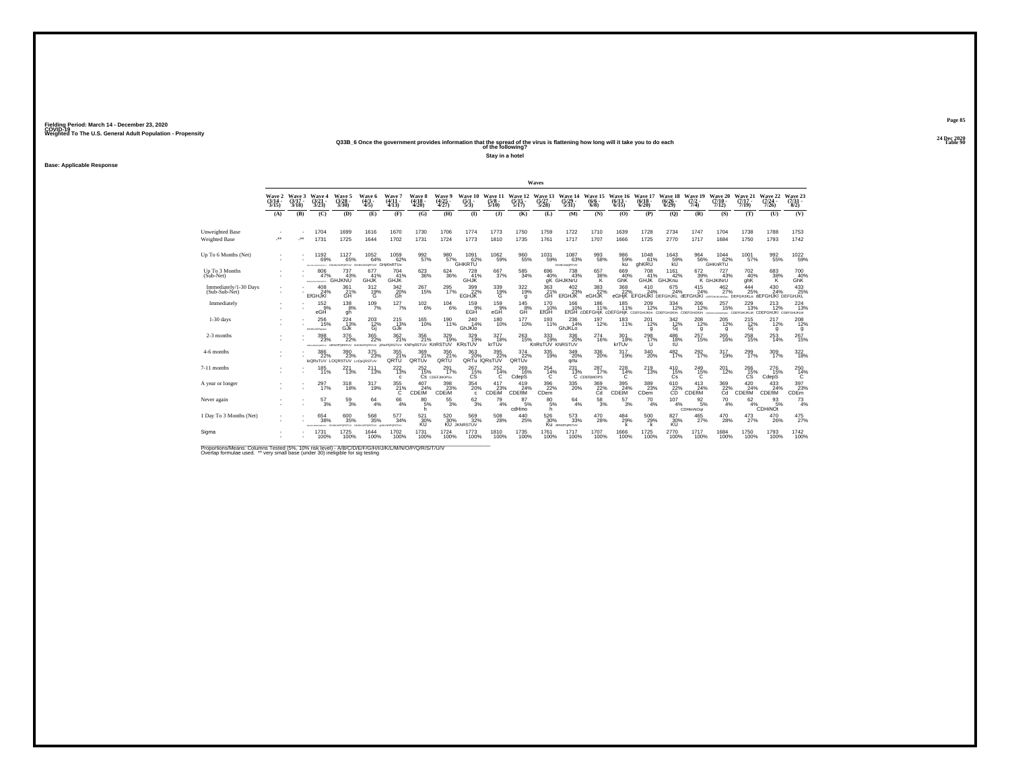# **24 Dec 2020Q33B\_6 Once the government provides information that the spread of the virus is flattening how long will it take you to do each Table 90 of the following?**

**Stay in a hotel**

**Base: Applicable Response**

|                                         |                                    |                             |                                                            |                                                     |                                                     |                                   |                                         |                                        |                                          |                                       |                                  | Waves                           |                                                  |                                                                        |                              |                                |                              |                                       |                              |                                                                                 |                                                |                                |
|-----------------------------------------|------------------------------------|-----------------------------|------------------------------------------------------------|-----------------------------------------------------|-----------------------------------------------------|-----------------------------------|-----------------------------------------|----------------------------------------|------------------------------------------|---------------------------------------|----------------------------------|---------------------------------|--------------------------------------------------|------------------------------------------------------------------------|------------------------------|--------------------------------|------------------------------|---------------------------------------|------------------------------|---------------------------------------------------------------------------------|------------------------------------------------|--------------------------------|
|                                         | <b>Wave 2</b><br>$(3/14 -$<br>3/15 | Wave 3<br>$(3/17 -$<br>3/18 | Waye 4<br>$\frac{(3/21)}{3/23}$                            | Wave 5<br>$\frac{(3/28)}{3/30}$                     | Wave 6<br>$\frac{(4/3)}{4/5}$                       | Wave 7<br>$(4/11 -$<br>4/13       | Wave 8<br>$\frac{(4/18)}{4/20}$         | <b>Wave 9</b><br>$\frac{(4/25)}{4/27}$ | Wave 10<br>$\frac{(5/1)}{5/3}$           | Wave 11<br>$\frac{(5/8)}{5/10}$       | Wave 12<br>$\frac{(5/15)}{5/17}$ | Wave 13<br>$\binom{5/27}{5/28}$ | Wave 14<br>$\frac{(5/29)}{5/31}$                 | Wave 15<br>$(6/6 -$<br>6/8                                             | Wave 16<br>$(6/13 -$<br>6/15 | Wave 17<br>(6/18)<br>6/20      | Wave 18<br>$(6/26 -$<br>6/29 | Wave 19<br>$(7/2 -$<br>7/4            | Wave 20<br>$(7/10 -$<br>7/12 | Wave 21<br>$(7/17 -$<br>7/19                                                    | Wave 22<br>$(7/24 -$<br>7/26                   | Wave 23<br>$(7/31 -$<br>8/2)   |
|                                         | (A)                                | (B)                         | (C)                                                        | (D)                                                 | (E)                                                 | (F)                               | (G)                                     | (H)                                    | $\mathbf{D}$                             | (3)                                   | (K)                              | (L)                             | (M)                                              | (N)                                                                    | (0)                          | (P)                            | (Q)                          | (R)                                   | (S)                          | (T)                                                                             | (U)                                            | (V)                            |
| Unweighted Base<br><b>Weighted Base</b> | J.                                 |                             | 1704<br>1731                                               | 1699<br>1725                                        | 1616<br>1644                                        | 1670<br>1702                      | 1730<br>1731                            | 1706<br>1724                           | 1774<br>1773                             | 1773<br>1810                          | 1750<br>1735                     | 1759<br>1761                    | 1722<br>1717                                     | 1710<br>1707                                                           | 1639<br>1666                 | 1728<br>1725                   | 2734<br>2770                 | 1747<br>1717                          | 1704<br>1684                 | 1738<br>1750                                                                    | 1788<br>1793                                   | 1753<br>1742                   |
| Up To 6 Months (Net)                    |                                    |                             | 1192<br>69%<br>CARL AND                                    | 1127<br>65%<br>GHJANDPORTUV GHJKLNOORTUV GHIKINRTUV | $^{1052}_{64\%}$                                    | 1059<br>62%                       | $\frac{992}{57\%}$                      |                                        | 980<br>57%<br>GHKRTU<br>$^{1091}_{62\%}$ | $^{1062}_{-59\%}$                     | 960<br>55%                       | 1031<br>59%                     | 1087<br>63%<br>GHJKLNoQRTUV                      | $\substack{993 \\ 58\%}$                                               | 986<br>59%<br>kü             | 1048<br>61%<br>ahKRU           | 1643<br>59%<br>kU            | $\frac{964}{56\%}$                    | 1044<br>62%<br>GHKnRTU       | 1001<br>57%                                                                     | 992<br>55%                                     | $^{1022}_{-59\%}$              |
| Up To 3 Months<br>(Sub-Net)             |                                    |                             | 806<br><b>IFOSILIACPOETA</b>                               | 737<br>43%<br>47%<br>GHJKNU                         | 677<br>41%<br>GHJK                                  | 704<br>41%<br>GHJK                | 623<br>36%                              | 624<br>36%                             | 728<br>41%<br><b>GHJK</b>                | 667<br>37%                            | 585<br>34%                       | 696<br>40%                      | 738<br>43%<br>gK GHJKNrU                         | 657<br>$\frac{38}{8}$                                                  | 669<br>40%<br>GhK            | 708<br>41%<br><b>GHJK</b>      | 1161<br>42%<br><b>GHJKnu</b> | 672<br>39%                            | 727<br>43%<br>K GHJKINrU     | 702<br>40%<br>ahK                                                               | 683<br>38%                                     | 700<br>40%                     |
| Immediately/1-30 Days<br>(Sub-Sub-Net)  |                                    |                             | $^{408}_{24\%}$<br><b>EfGHJKI</b>                          | 361 <sub>%</sub><br>GH                              | $^{312}_{19\%}$<br>Ġ                                | 342<br>20%<br>Gh                  | 267<br>15%                              | 295<br>17%                             | 399<br>22%<br><b>EGHJK</b>               | 339%<br>G                             | $322_{19\%}$<br>g                | 363<br>21%<br>GH                | $^{402}_{23\%}$<br><b>EfGHJK</b>                 | 383<br>22%<br>eGHJK                                                    | 368<br>22%<br>eGHiK          | 410<br>24%                     | 675<br>24%                   | $^{415}_{24\%}$                       | 462<br>27%                   | 444<br>25%<br>EFGHJKI DEFGHJKL dEFGHJKI @GFGHJKJMOW DEFGHJKLO dEFGHJKI DEFGHJKL | 430<br>24%                                     | $^{433}_{25\%}$                |
| Immediately                             |                                    |                             | $^{152}_{.9\%}$<br>eGH                                     | $^{138}_{8\%}$<br>gh                                | $^{109}_{7\%}$                                      | 127/7%                            | $^{102}_{6\%}$                          | $^{104}_{6\%}$                         | 159%<br>EGH                              | $^{159}_{.9\%}$<br>eGH                | $^{145}_{.8\%}$<br>GĤ            | 170 <sub>%</sub><br>EfGH        | 166<br>10%                                       | 186<br>11%<br>EfGH cDEFGHjK cDEFGHijK среганиким среганиким среганиким | $^{185}_{11\%}$              | $^{209}_{12\%}$                | $334 \atop 12\%$             | $^{206}_{\ 12\%}$                     | 257<br>15%<br>worow CDEF     | $^{229}_{13\%}$                                                                 | $^{213}_{12\%}$<br>HUKLM CDEFGHIJKI CDEFGHUKLM | $^{224}_{13%}$                 |
| $1-30$ days                             |                                    |                             | 256<br>15%<br>GHJKLNOPombay                                | 224<br>$\frac{13}{3}$                               | 203<br>$\frac{12}{9}$                               | 215<br>13%<br>GJK                 | 165<br>10%                              | 190<br>11%                             | 240<br>14%<br>GhJKlo                     | 180<br>10%                            | 177<br>10%                       | 193<br>11%                      | 236<br>14%<br>GhJKLo                             | 197<br>12%                                                             | 183<br>11%                   | 201<br>12%<br>q                | 342<br>$\frac{12}{9}$        | 208<br>12%<br>q                       | 205<br>12%<br>a              | 215<br>$\frac{12}{10}$                                                          | 217<br>12%<br>g                                | 208<br>12%<br>g                |
| 2-3 months                              |                                    |                             | $^{398}_{\phantom{1}\phantom{1}23\%}$<br>MAIL ARCHITECTURE | 376<br>22%<br>UKNOPORSTUV                           | $\frac{365}{22\%}$<br><b>NJKINOPORSTUV IKNOF</b>    | $\frac{362}{21\%}$                | 356<br>21%<br>PORSTUV KNPaRSTUV KnRSTUV | 329<br>19%                             | 329 19%<br><b>KRsTUV</b>                 | $327_{18\%}$<br>krTUv                 | $^{263}_{15\%}$                  | 333<br>19%<br>KnRsTUV KNRSTUV   | 336<br>20%                                       | 274<br>16%                                                             | 301<br>18%<br>krTUv          | 298<br>17%<br>u                | 486<br>18%<br>tU             | 257<br>15%                            | 265<br>16%                   | 258<br>15%                                                                      | 253<br>14%                                     | $^{267}_{15\%}$                |
| 4-6 months                              |                                    |                             | 386<br>22%                                                 | 390<br>23%<br>IoQRsTUV LOQRSTUV LnOpQRSTUV          | 375<br>23%                                          | 355<br>21%<br>QRTU                | 369<br>21%<br>QRTUv                     | 356<br>21%<br>QRTU                     | 363<br>20%                               | 395<br>22%<br>QRTu IQRsTUV            | 374<br>22%<br>QRTUv              | 335<br>19%                      | 349<br>20%<br>grtu                               | 336<br>20%                                                             | 317<br>19%                   | 340<br>20%                     | 482<br>17%                   | 292<br>17%                            | 317<br>19%                   | 299<br>17%                                                                      | 309<br>17%                                     | $\frac{322}{18\%}$             |
| 7-11 months                             |                                    |                             | 185<br>11%                                                 | 221<br>13%                                          | $^{211}_{13\%}$                                     | $^{222}_{13\%}$<br>$\mathfrak{c}$ | $^{252}_{15\%}$                         | 291<br>17%<br>CS CDEFJMOPSy            | 267 15%<br>CS <sup></sup>                | $^{252}_{14\%}$<br>C                  | 269%<br>CdepS                    | 254<br>14%<br>C                 | $^{231}_{13\%}$                                  | $^{287}_{17\%}$<br>C CDEFIMOPS                                         | 228<br>14%<br>C              | 219<br>13%                     | $^{410}_{15\%}$<br>Cs        | $^{249}_{15\%}$<br>Ċ                  | 201<br>12%                   | 266 15%<br><b>CS</b>                                                            | 276<br>15%<br>CdepS                            | 250<br>Ć                       |
| A year or longer                        |                                    |                             | 297 <sub>17%</sub>                                         | 318<br>18%                                          | 317<br>19%                                          | $^{355}_{21\%}$                   | 407<br>24%<br>CDEIM                     | 398<br>23%<br><b>CDEIM</b>             | $^{354}_{20\%}$<br>$\mathbf{c}$          | 417<br>23%<br>CDEIM                   | 419<br>24%<br>CDEfIM             | 396<br>22%<br>CDem              | $^{335}_{\phantom{1}\phantom{1}\phantom{1}20\%}$ | $\underset{\text{Cd}}{^{369}}$                                         | $\frac{395}{34\%}$<br>CDEIM  | 389<br>23%<br>CD <sub>em</sub> | $^{610}_{22\%}$              | 413<br>24%<br>CDEfIM                  | 369<br>22%<br>Cd             | $^{420}_{24\%}$<br>CDEfIM                                                       | $^{433}_{24\%}$<br>CDEfIM                      | 397<br>23%<br>CDE <sub>m</sub> |
| Never again                             |                                    |                             | 57<br>3%                                                   | $^{59}_{3\%}$                                       | 64<br>4%                                            | 66<br>4%                          | 80<br>5%<br>h                           | $^{55}_{\ 3\%}$                        | $\frac{62}{3\%}$                         | 79<br>4%                              | 87<br>5%<br>cdHino               | 80<br>5%<br>h                   | $^{64}_{4\%}$                                    | 58<br>3%                                                               | 57<br>3%                     | 70<br>4%                       | 107<br>4%                    | 92<br>5%<br>CDHImNOqt                 | 70<br>4%                     | 62                                                                              | 93<br>$4\%$ CDHINOT<br>5%                      | $^{73}_{4\%}$                  |
| 1 Day To 3 Months (Net)                 |                                    |                             | 654<br>38%                                                 | $^{600}_{35\%}$<br>COSSILV                          | $\substack{568\\35\%}$<br>MITZABRONDAN VITZROPORADU | 577<br>34%                        | 521<br>30%<br>KÜ                        | 520<br>30%                             | 569<br>32%<br><b>KU JKNRSTUV</b>         | $^{508}_{\phantom{1}\phantom{1}28\%}$ | $^{440}_{25\%}$                  | 526<br>30%                      | $^{573}_{33\%}$<br>Ku JKNOPQRSTUV                | $^{470}_{28\%}$                                                        | $^{484}_{29\%}$<br>k         | $^{500}_{29\%}$                | 827<br>30%<br><b>KU</b>      | $^{465}_{\phantom{1}\phantom{1}27\%}$ | 470<br>28%                   | $^{473}_{27\%}$                                                                 | 470<br>26%                                     | $^{475}_{27\%}$                |
| Sigma                                   |                                    |                             | 1731<br>100%                                               | 1725<br>100%                                        | 1644<br>100%                                        | 1702<br>100%                      | 1731<br>100%                            | 1724<br>100%                           | 1773<br>100%                             | 1810<br>100%                          | 1735<br>100%                     | 1761<br>100%                    | 1717<br>100%                                     | 1707<br>100%                                                           | 1666<br>100%                 | 1725<br>100%                   | 2770<br>100%                 | 1717<br>100%                          | 1684<br>100%                 | 1750<br>100%                                                                    | 1793<br>100%                                   | 1742<br>100%                   |

Proportions/Means: Columns Tested (5%, 10% risk level) - A/B/C/D/E/F/G/H/I/J/K/L/M/N/O/P/Q/R/S/T/U/V<br>Overlap formulae used. \*\* very small base (under 30) ineligible for sig testing

**Page 8524 Dec 2020<br>Table 90**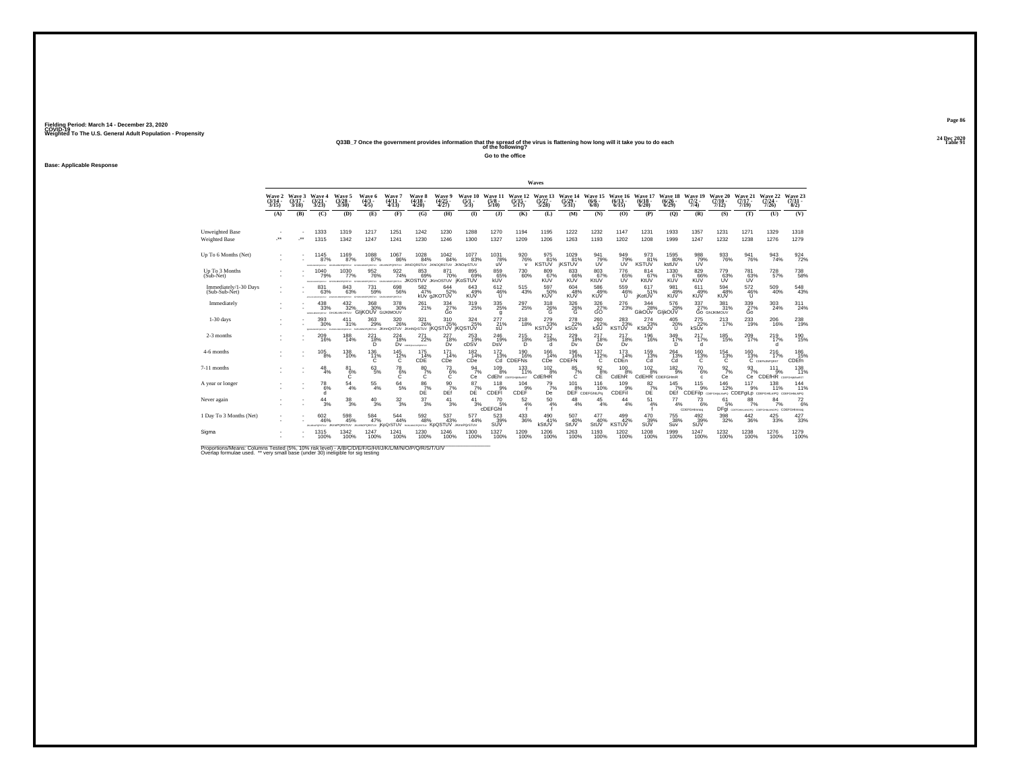# **24 Dec 2020Q33B\_7 Once the government provides information that the spread of the virus is flattening how long will it take you to do each Table 91 of the following?**

**Go to the office**

**Base: Applicable Response**

|                                         |                                    |                             |                                                         |                                         |                                                            |                                                           |                                        |                                      |                                    |                                                       |                                  | Waves                       |                                         |                                        |                                |                                  |                                  |                                |                                         |                                                                 |                                          |                              |
|-----------------------------------------|------------------------------------|-----------------------------|---------------------------------------------------------|-----------------------------------------|------------------------------------------------------------|-----------------------------------------------------------|----------------------------------------|--------------------------------------|------------------------------------|-------------------------------------------------------|----------------------------------|-----------------------------|-----------------------------------------|----------------------------------------|--------------------------------|----------------------------------|----------------------------------|--------------------------------|-----------------------------------------|-----------------------------------------------------------------|------------------------------------------|------------------------------|
|                                         | <b>Wave 2</b><br>$(3/14 -$<br>3/15 | Wave 3<br>$(3/17 -$<br>3/18 | Wave 4<br>$\frac{(3/21)}{3/23}$                         | Wave 5<br>$\binom{3/28}{3/30}$          | Wave 6<br>$\binom{4/3}{4/5}$                               | Wave 7<br>$(4/11 -$<br>4/13                               | Wave 8<br>$\frac{(4/18 - 4/20)}{4/20}$ | Wave 9<br>$\frac{(4/25)}{4/27}$      | Wave 10<br>$\frac{(5/1)}{5/3}$     | Wave 11<br>$\frac{5}{8}$                              | Wave 12<br>$\frac{(5/15)}{5/17}$ | Wave 13<br>(5/27 -<br>5/28) | Wave 14<br>$\frac{(5/29)}{5/31}$        | Wave 15<br>$(6/6 -$<br>6/8             | Wave 16<br>$(6/13 -$<br>6/15   | Wave 17<br>$\binom{6/18}{6/20}$  | Wave 18<br>$\frac{(6/26)}{6/29}$ | Wave 19<br>$\frac{(7/2)}{7/4}$ | Wave 20<br>$(7/10 -$<br>7/12            | Wave 21<br>$(7/17 -$<br>7/19                                    | Wave 22<br>$\frac{(7/24 - 7)}{7/26}$     | Wave 23<br>$(7/31 -$<br>8/2) |
|                                         | (A)                                | (B)                         | (C)                                                     | (D)                                     | (E)                                                        | (F)                                                       | (G)                                    | (H)                                  | $\mathbf{D}$                       | (3)                                                   | (K)                              | (L)                         | (M)                                     | (N)                                    | (0)                            | (P)                              | (Q)                              | (R)                            | (S)                                     | (T)                                                             | (U)                                      | (V)                          |
| Unweighted Base<br><b>Weighted Base</b> | J.                                 | $\cdot$                     | 1333<br>1315                                            | 1319<br>1342                            | 1217<br>1247                                               | 1251<br>1241                                              | 1242<br>1230                           | 1230<br>1246                         | 1288<br>1300                       | 1270<br>1327                                          | 1194<br>1209                     | 1195<br>1206                | 1222<br>1263                            | 1232<br>1193                           | 1147<br>1202                   | 1231<br>1208                     | 1933<br>1999                     | 1357<br>1247                   | 1231<br>1232                            | 1271<br>1238                                                    | 1329<br>1276                             | 1318<br>1279                 |
| Up To 6 Months (Net)                    |                                    |                             | 1145<br>87%<br>DIAMONDERV                               | 1169<br>87%<br>PORSTLY                  | 1088<br>87%<br>POMITY US                                   | 1067<br>86%                                               | 1028<br>84%<br>PORSTUV JKNOQRSTUV      | 1042<br>84%<br>JKNOGRSTUV JKNOgrSTUV | 1077<br>83%                        | $^{1031}_{78\%}$<br>uV                                | 920 76%<br>$\mathsf{v}$          | 975<br>81%<br><b>KSTUV</b>  | $^{1029}_{81\%}$<br><b><i>KSTUV</i></b> | 941<br>79%<br>UV                       | 949<br>79%<br>UV               | 973<br>81%<br><b>KSTUV</b>       | 1595<br>80%<br>kstUV             | 98879%<br>ÚV                   | 933<br>76%                              | 941<br>76%                                                      | 943<br>74%                               | $\frac{924}{72\%}$           |
| Up To 3 Months<br>(Sub-Net)             |                                    |                             | 1040<br>79%<br><b>STALM MACADEMAN</b>                   | 1030<br>77%<br>GHJAMOPORETUV            | 952<br>76%                                                 | 922<br>74%<br>GRASSMONSTERY GENERATORITY JKOSTUV JKMOSTUV | 853<br>69%                             | 871<br>70%                           | 895<br>69%<br><b>iKoSTUV</b>       | 859<br>kUV                                            | 730<br>60%                       | 809<br>67%<br>KUV           | 833<br>KUV                              | 803<br>67%<br>KtUV                     | 776<br>65%                     | 814<br>67%<br>KtUV               | 1330<br>67%<br>KUV               | 829<br>66%<br>KUV              | 779<br>63%<br>ŬŬ                        | 781<br>63%                                                      | 728<br>57%                               | 738<br>58%                   |
| Immediately/1-30 Days<br>(Sub-Sub-Net)  |                                    |                             | 831<br>63%<br><b>ATMOSF</b>                             | 843<br>63%<br><b>ATTN: MISSINGHAMES</b> | $\substack{731 \\ 59\%}$<br>GRUSSMOPORERLY GIUKLIAOPORERLY | 698<br>56%                                                | $^{582}_{\  \  \, 47\%}$               | $644 \over 52\%$<br>kUv aJKOTUV      | $643 \over 49\%$<br><b>KUV</b>     | $612\phantom{.}46\%$<br><b>U</b>                      | $^{515}_{\ 43\%}$                | 597<br>50%<br><b>KUV</b>    | 604<br>48%<br><b>KUV</b>                | 586<br>49%<br><b>KUV</b>               | 559<br>46%<br><b>U</b>         | 617<br>51%<br><b>iKotUV</b>      | 981<br>49%<br><b>KUV</b>         | 611<br>49%<br><b>KUV</b>       | 594<br>48%<br><b>KUV</b>                | $\frac{572}{46\%}$<br>u                                         | 509<br>40%                               | $^{548}_{43\%}$              |
| Immediately                             |                                    |                             | $^{438}_{\phantom{1}33\%}$<br>GARANDROITEK GHUKLMNORTUV | 432/32%                                 | 368<br>30%<br><b>GliKOUV GUKIMOUV</b>                      | 378<br>30%                                                | 261%                                   | 334<br>27%<br>Go                     | $^{319}_{25\%}$                    | $^{335}_{\phantom{1}\phantom{1}\phantom{1}25\%}$<br>g | 297 <sub>25%</sub>               | $\frac{318}{26}\%$          | $\frac{326}{26}\%$                      | $\frac{326}{27}\%$                     | 276<br>23%                     | 344<br>28%<br>GikOUv GlikOUV     | 576<br>29%                       | $\frac{337}{27\%}$             | 381 <sub>%</sub><br><b>GO GHUKIMOUV</b> | $\frac{339}{27\%}$<br>Ğо                                        | $^{303}_{\color{red}24\%}$               | $^{311}_{24\%}$              |
| $1-30$ days                             |                                    |                             | 393<br>30%<br>MINIMUM CREW                              | 411<br>31%<br>PORTEV                    | 363<br>29%                                                 | 320<br>26%<br>KUKLINGPORSTUV JKmnQrSTUV JKmNQrSTUV        | 321<br>26%                             | 310<br>25%<br><b>IKQSTUV IKQSTUV</b> | 324<br>25%                         | 277<br>21%                                            | 218<br>18%                       | 279<br>KSTUV                | 278<br>kSUV                             | 260<br>$\frac{22}{150}$ %              | 283<br>KSTUV <sup>23%</sup>    | 274<br>23%<br>KStUV              | 405<br>$^{20\%}_{U}$             | 275<br>kSUV                    | 213<br>17%                              | 233<br>19%                                                      | 206<br>16%                               | 238<br>19%                   |
| 2-3 months                              |                                    |                             | $^{209}_{16\%}$                                         | $^{188}_{14\%}$                         | $^{221}_{18\%}$<br>D.                                      | $^{224}_{18\%}$                                           | $^{271}_{22\%}$<br>DV CORPORATION      | $^{227}_{18\%}$<br>Dv                | $^{253}_{19\%}$<br>cDSV            | $^{246}_{19\%}$<br>DsV                                | $^{215}_{18\%}$<br>Ď             | $^{212}_{18\%}$<br>d        | $^{229}_{18\%}$<br>Dv                   | $^{217}_{18\%}$<br>Dv                  | $^{217}_{18\%}$<br>Dv          | <sup>196</sup><br>16%            | $^{349}_{17\%}$<br>D             | $^{217}_{17\%}$<br>d.          | 185<br>15%                              | 209<br>17%                                                      | 219%<br><sub>d</sub>                     | 190<br>15%                   |
| 4-6 months                              |                                    |                             | 105<br>8%                                               | 138<br>10%                              | 136<br>11%<br>ïĆ.                                          | 145<br>$^{12\%}_{C}$                                      | 175<br>14%<br>CDE <sup></sup>          | 171<br>14%<br>CDe                    | 182<br>14%<br>CDe                  | 172<br>13%<br>Ċď                                      | 190<br>16%<br>CDEFNS             | 166<br>14%<br>CDe           | 196<br>16%<br>CDEFN                     | 137<br>$^{12\%}_{C}$                   | 173<br>14%<br>CDE <sub>n</sub> | 159<br>13%<br>Ćã                 | 264<br>13%<br>Ćď                 | 160<br>$^{13\%}_{C}$           | 154<br>$^{13\%}_{C}$                    | 160                                                             | 216<br>$13\%$ $17\%$ C comparents<br>17% | 186<br>15%<br>CDEfn          |
| 7-11 months                             |                                    |                             | $^{48}_{4\%}$                                           | $^{81}_{6\%}$<br>Ċ                      | $^{63}_{5\%}$                                              | $^{78}_{6\%}$<br>C                                        | $^{80}_{7\%}$<br>C                     | $^{73}_{6\%}$<br>Ċ                   | $\frac{94}{7\%}$<br>Ce             | $^{109}_{8\%}$                                        | 133<br>11%<br>CdEhr CDEFGHANGEST | $\frac{102}{8%}$<br>CdEfHR  | $\frac{85}{7}\%$<br>C                   | $\frac{92}{8}\%$<br>CE                 | $^{100}_{8\%}$<br>CdEhR        | $^{102}_{8\%}$<br>CdEHR CDEFGHmR | $^{182}_{9\%}$                   | $^{70}_{6\%}$<br>c.            | $\frac{92}{7}\%$<br>Ce                  | $\frac{93}{7\%}$<br>Сe                                          | $^{111}_{9\%}$<br>CDEfHR COEFGHAMMORST   | 138<br>11%                   |
| A year or longer                        |                                    |                             | 78<br>6%                                                | $^{54}_{\ 4\%}$                         | $^{55}_{\ 4\%}$                                            | $^{64}_{5\%}$                                             | $^{86}_{\substack{7\% \\ \text{DE}}}$  | $\frac{90}{7}\%$<br>DEf              | 87<br>$D\overline{E}^{\gamma_{0}}$ | 118<br>CDEFI                                          | 104<br>9%<br>CDEF                | $^{79}_{7\%}$<br>De         | 101                                     | 116<br>8% 10%<br>DEF CDEFGhILPo<br>10% | 109<br>CDEFil <sup>®</sup>     | $\frac{82}{7}\%$<br>DĖ           | $^{145}_{7\%}$<br>DEf            | 115<br>9%                      | 146<br>12%                              | 117<br>9%<br>CDEFIID состоянные CDEFgiLp состанилPQ состаннымPQ | 138<br>11%                               | 144<br>11%                   |
| Never again                             |                                    |                             | 44<br>3%                                                | 38<br>3%                                | 40<br>3%                                                   | 32<br>3%                                                  | 37<br>3%                               | 41<br>3%                             | 41<br>3%                           | 70<br>5%<br>cDEFGhi                                   | 52<br>4%                         | 50<br>4%                    | 48<br>4%                                | 45<br>4%                               | 44<br>4%                       | 51<br>4%                         | 77<br>4%                         | 73<br>6%<br>CDEFGHImnog        | 61<br>5%                                | 88<br>7%<br>DFgi COFFGHALMOPO COFFGHALMOPO CDEFGHIMNOQ          | 84<br>7%                                 | 72<br>6%                     |
| 1 Day To 3 Months (Net)                 |                                    |                             | 602<br>46%<br>WIERPORSTUV                               | 598<br>45%<br><b>JKmnPQRSTUV</b>        | 584<br>47%                                                 | $^{544}_{\ 44\%}$<br>JOANSPORSTUV KDOISTUV NJOJANSPORSTUV | $^{592}_{48\%}$                        | 537<br>43%<br>KoQSTUV                | 577<br>44%<br><b>JKmnPQrSTUV</b>   | $\frac{523}{39\%}$<br>SUV                             | 433<br>36%                       | 490<br>41%<br>kStUV         | 507<br>40%<br>StUV                      | 477<br>40%<br>StUV                     | 499 42%<br><b>KSTUV</b>        | 470<br>39%<br>SUV                | 755<br>38%<br>Suv                | 492/39%<br>SUV                 | 398<br>32%                              | $^{442}_{\ 36\%}$                                               | $^{425}_{33\%}$                          | $\frac{427}{33\%}$           |
| Sigma                                   |                                    |                             | 1315<br>100%                                            | 1342<br>100%                            | 1247<br>100%                                               | 1241<br>100%                                              | 1230<br>100%                           | 1246<br>100%                         | 1300<br>100%                       | 1327<br>100%                                          | 1209<br>100%                     | 1206<br>100%                | 1263<br>100%                            | 1193<br>100%                           | 1202<br>100%                   | 1208<br>100%                     | 1999<br>100%                     | 1247<br>100%                   | 1232<br>100%                            | 1238<br>100%                                                    | 1276<br>100%                             | 1279<br>100%                 |

Proportions/Means: Columns Tested (5%, 10% risk level) - A/B/C/D/E/F/G/H/I/J/K/L/M/N/O/P/Q/R/S/T/U/V<br>Overlap formulae used. \*\* very small base (under 30) ineligible for sig testing

**Page 86**24 Dec 2020<br>Table 91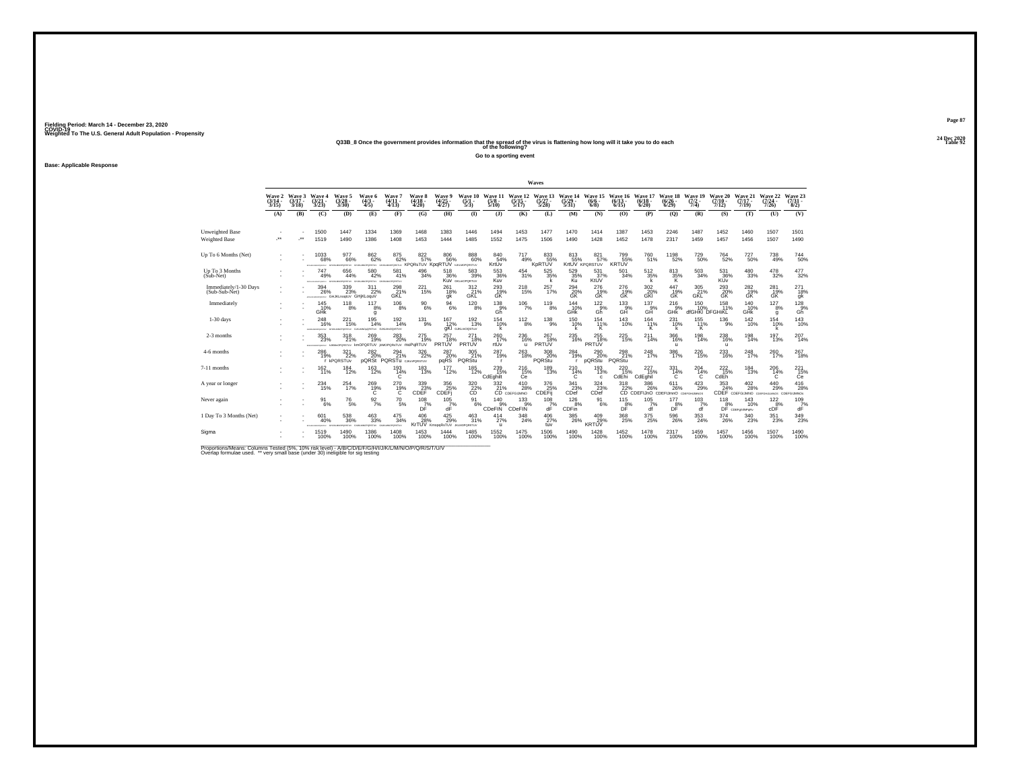# **24 Dec 2020Q33B\_8 Once the government provides information that the spread of the virus is flattening how long will it take you to do each Table 92 of the following?**

**Go to a sporting event**

**Base: Applicable Response**

|                                        |                             |                             |                                               |                                          |                                                                |                                                     |                                            |                                 |                                                  |                                 |                                                        | Waves                           |                                                                        |                                    |                                |                                                                                     |                                  |                                  |                                       |                                                    |                                      |                              |
|----------------------------------------|-----------------------------|-----------------------------|-----------------------------------------------|------------------------------------------|----------------------------------------------------------------|-----------------------------------------------------|--------------------------------------------|---------------------------------|--------------------------------------------------|---------------------------------|--------------------------------------------------------|---------------------------------|------------------------------------------------------------------------|------------------------------------|--------------------------------|-------------------------------------------------------------------------------------|----------------------------------|----------------------------------|---------------------------------------|----------------------------------------------------|--------------------------------------|------------------------------|
|                                        | Wave 2<br>$(3/14 -$<br>3/15 | Wave 3<br>$(3/17 -$<br>3/18 | Wave 4<br>$\frac{(3/21)}{3/23}$               | Wave 5<br>$(3/28 -$<br>3/30              | Wave 6<br>$(4/3 -$<br>4/5)                                     | Wave 7<br>$(4/11 -$<br>4/13                         | Wave 8<br>$\frac{(4/18)}{4/20}$            | Wave 9<br>$\frac{(4/25)}{4/27}$ | Wave 10<br>$\frac{(5/1)}{5/3}$                   | Wave 11<br>$\frac{(5/8)}{5/10}$ | Wave 12<br>$(5/15 -$<br>5/17                           | Wave 13<br>$(5/27 -$<br>5/28    | Wave 14<br>$\frac{(5/29)}{5/31}$                                       | Wave 15<br>$(6/6 -$<br>$6/8$ )     | Wave 16<br>$(6/13 -$<br>6/15   | Wave 17<br>$(6/18 -$<br>6/20                                                        | Wave 18<br>$\frac{(6/26)}{6/29}$ | Wave 19<br>$(7/2 -$<br>7/4       | Wave 20<br>$(7/10 -$<br>7/12          | Wave 21<br>$(7/17 -$<br>7/19                       | Wave 22<br>$(7/24 -$<br>7/26         | Wave 23<br>$(7/31 -$<br>8/2) |
|                                        | (A)                         | (B)                         | (C)                                           | (D)                                      | (E)                                                            | (F)                                                 | (G)                                        | (H)                             | $\bf{I}$                                         | (3)                             | (K)                                                    | (L)                             | (M)                                                                    | (N)                                | (O)                            | (P)                                                                                 | $\mathbf{Q}$                     | (R)                              | (S)                                   | (T)                                                | (U)                                  | (V)                          |
| Unweighted Base<br>Weighted Base       | J.                          |                             | 1500<br>1519                                  | 1447<br>1490                             | 1334<br>1386                                                   | 1369<br>1408                                        | 1468<br>1453                               | 1383<br>1444                    | 1446<br>1485                                     | 1494<br>1552                    | 1453<br>1475                                           | 1477<br>1506                    | 1470<br>1490                                                           | 1414<br>1428                       | 1387<br>1452                   | 1453<br>1478                                                                        | 2246<br>2317                     | 1487<br>1459                     | 1452<br>1457                          | 1460<br>1456                                       | 1507<br>1507                         | 1501<br>1490                 |
| Up To 6 Months (Net)                   |                             |                             | $^{1033}_{68\%}$                              | $\substack{977 \\ 66\%}$<br>PORSTLIV     | 862 <sub>%</sub><br><b>PORTLY GUILD</b>                        | $875 \over 62\%$                                    | 822%<br>erssmu KPQRsTUV KpqRTUV            | 806<br>56%                      | $888$<br>$60\%$<br>NAUMORORSTUV                  | 84054%<br>KrtUv                 | 717<br>49%                                             | 833<br>55%<br>KpRTUV            | $813\n55%$                                                             | 821 57%<br>KrtUV KPORSTUV          | 799<br>55%<br><b>KRTUV</b>     | 760<br>51%                                                                          | 1198<br>52%                      | <sup>729</sup> 50%               | <sup>764</sup> <sub>52%</sub>         | $^{727}_{50\%}$                                    | 738<br>49%                           | $^{744}_{50\%}$              |
| Up To 3 Months<br>$(Sub-Net)$          |                             |                             | 747<br>49%                                    | 656<br>44%<br>vutiseses                  | 580<br>42%<br>WITEROR                                          | 581<br>41%<br>OPORSTUV                              | 496<br>34%                                 | 518<br>36%                      | 583<br>39%<br>KUV GKLMOPORTUV                    | 553<br>36%<br>Kuv               | 454<br>31%                                             | 525<br>35%                      | 529<br>35%                                                             | 531<br>37%<br>KtŬV                 | 501<br>34%                     | 512<br>35%                                                                          | 813<br>$\frac{35}{K}$            | 503<br>34%                       | 531<br>36%<br>KŬv                     | 480<br>33%                                         | 478<br>32%                           | 477<br>32%                   |
| Immediately/1-30 Days<br>(Sub-Sub-Net) |                             |                             | $^{394}_{26\%}$<br><b>MERIDIAN CONTRACTOR</b> | 339<br>23%<br>GHJKLnootUV GHiKLoguV      | $^{311}_{22\%}$                                                | $^{298}_{21\%}$<br>GKL                              | $^{221}_{15\%}$                            | 261<br>18%<br>qk                | 312<br>21%<br>GKL                                | 293<br>GK                       | 218%                                                   | 257<br>17%                      | 294<br>20%<br>GK                                                       | 276<br>19%<br>GK                   | 276<br>19%<br>GK               | 302<br>20%<br>GKI                                                                   | 447<br>19%<br>GK                 | $\frac{305}{21\%}$<br><b>GKL</b> | 293<br>ĞŘ                             | 2826<br>GK                                         | 281<br>19%<br><b>GK</b>              | 2718%<br>gk                  |
| Immediately                            |                             |                             | 145<br>10%<br><b>GHK</b>                      | $^{118}_{8\%}$                           | $^{117}_{8\%}$<br>$\mathfrak{q}$                               | $^{106}_{8\%}$                                      | $^{90}_{6\%}$                              | $^{94}_{\ 6\%}$                 | $^{120}_{8\%}$                                   | $^{138}_{.9\%}$<br>Gh           | $106$<br>$7%$                                          | $^{119}_{8\%}$                  | $^{144}_{10\%}$<br>GHK                                                 | $^{122}_{.9\%}$<br>Gh <sup>"</sup> | $^{133}_{.9\%}$<br>GĤ          | $^{137}_{9\%}$<br>GĤ                                                                | $^{216}_{.9\%}$<br><b>GHK</b>    | 150<br>10%<br>dfGHKI DFGHIKL     | $^{158}_{.11\%}$                      | 140<br>10%<br>GHK                                  | $^{127}_{8\%}$<br><b>q</b>           | $^{128}_{.9%}$<br>Gň         |
| $1-30$ days                            |                             |                             | 248<br>16%<br>Chairman MacPatrick (PD)        | 221<br>15%<br>energina<br>CALL FAST RATE | 195<br>14%                                                     | 192<br>14%<br>VORTUV GROMADORTUM                    | 131<br>9%                                  | 167<br>12%                      | $^{192}_{13\%}$<br><b>gKI</b> GJKLmOQSTUV        | 154<br>10%                      | $^{112}_{8\%}$                                         | $^{138}_{-9\%}$                 | 150<br>10%<br>k                                                        | 154<br>$\frac{11}{6}$              | 143<br>10%                     | 164<br>11%                                                                          | $^{231}_{10\%}$                  | 155<br>11%<br>Κ                  | $^{136}_{9\%}$                        | 142<br>10%                                         | 154<br>10%                           | $\frac{143}{10\%}$           |
| 2-3 months                             |                             |                             | $^{353}_{\phantom{1}\phantom{1}23\%}$         | 318<br>21%<br>PONTA: NJKMADPORSTLIV      | 269<br>19%                                                     | $^{283}_{\,20\%}$<br>kmOPQRTUV jKMOPQRsTUV moPqRTUV | 275<br>19%                                 | 257<br>18%<br>PRTUV             | 271<br>18%<br>PRTUV                              | 260<br>17%<br>rtUv              | 236<br>16%<br>$\mathbf{u}$                             | $^{267}_{18\%}$<br><b>PRTUV</b> | $^{235}_{16\%}$                                                        | 255<br>18%<br><b>PRTUV</b>         | 225<br>15%                     | $^{211}_{14\%}$                                                                     | $^{366}_{16\%}$<br>$\mathbf{u}$  | $^{198}_{14\%}$                  | 238<br>16%<br>$\mathbf{u}$            | $^{198}_{14\%}$                                    | 197<br>13%                           | $^{207}_{14\%}$              |
| 4-6 months                             |                             |                             | 286<br>19%                                    | 321<br>22%<br>r kPQRSTUv                 | 282                                                            | 294<br>PORSt PORSTU CJK PORSTU                      | 326<br>22%                                 | 287<br>20%<br>pqRS              | 305<br>21%<br>PORStu                             | 287<br>19%                      | 263<br>18%                                             | 308<br>20%<br>PORStu            | 284<br>19%                                                             | 290<br>20%<br>pQRStu               | 298<br>21%<br>PQRStu           | 248<br>17%                                                                          | 386<br>17%                       | 226<br>15%                       | 233<br>16%                            | 248<br>17%                                         | 260<br>17%                           | 267<br>18%                   |
| 7-11 months                            |                             |                             | 162 <sub>%</sub>                              | $^{184}_{12\%}$                          | <sup>163</sup><br>12%                                          | $193 \atop 14\%$<br>C                               | 183<br>13%                                 | <sup>177</sup> <sub>12%</sub>   | 185<br>12%                                       | 239 15%<br>CdEghilt             | <sup>216</sup> <sub>15%</sub><br>Ce                    | 189<br>13%                      | $^{210}_{14\%}$<br>C                                                   | 193<br>13%<br>c                    | $^{220}_{15\%}$<br>CdEhi       | 227<br>15%<br>CdEghil                                                               | 331<br>14%<br>C                  | $^{204}_{14\%}$<br>C             | <sup>222</sup> <sub>15%</sub><br>CdEh | $^{184}_{13\%}$                                    | 206<br>14%<br>C                      | $^{221}_{15\%}$<br>Ce        |
| A year or longer                       |                             |                             | 234<br>15%                                    | 254<br>17%                               | $^{269}_{19\%}$                                                | $^{270}_{19\%}$                                     | $^{339}_{23\%}$ cDEF                       | 356<br><b>CDEFI</b>             | $\overset{320}{\underset{\text{CD}}{\text{22}}}$ |                                 | $^{410}_{28\%}$<br>332 410<br>21% 28%<br>CD CDEFGIJMNO | 376<br>25%<br>CDEFij            | $\overset{341}{\underset{\text{23%}}{\text{23}}}$                      | $\frac{324}{23\%}$ CDef            |                                | 318 386 611 423<br>22% 26% 26% 29%<br>CD CDEFIJnO CDEFIJmnO contratiunivos<br>386 % | $^{611}_{26\%}$                  | $\frac{423}{29\%}$               | $\frac{353}{24\%}$                    | $^{402}_{\phantom{1}28\%}$<br>CDEF CDEFGUMNO CDEFI | $^{440}_{29\%}$<br><b>ELMON CDFF</b> | 416<br>28%<br><b>COMMUD-</b> |
| Never again                            |                             |                             | 91<br>6%                                      | $^{76}_{\ 5\%}$                          | $\frac{92}{7\%}$                                               | 70<br>5%                                            | 108<br>$DT$ %                              | 105<br>$dF$ <sup>7%</sup>       | 91<br>6%                                         | 140<br>9%<br>CDeFIN             | 133<br>9%<br>CDeFIN                                    | 108<br>7%<br>dÈ                 | 126<br>8%<br>CDFin                                                     | 91<br>6%                           | 115<br>$D_F^{\underline{8}\%}$ | 105<br>7%<br>df                                                                     | 177<br>D <sup>B%</sup>           | 103<br>7%<br>df                  | 118                                   | 143<br>8% 10%<br>10%                               | 122<br>$\overline{6\%}$              | 109<br>$dF$ <sup>7%</sup>    |
| 1 Day To 3 Months (Net)                |                             |                             | 601<br>40%                                    | 538<br>36%<br>das en seunamentous        | $^{463}_{\phantom{1}33\%}$<br>GIUGUINOPORETUV GIUGUINIOPORETUV | $\substack{475 \\ 34\%}$                            | $^{406}_{28\%}$<br><b>KrTUV</b> KmopaRsTUV | $^{425}_{29\%}$                 | 463<br>31%<br><b>JKLMOPORSTUV</b>                | 414<br>27%<br>$\mathbf{u}$      | $^{348}_{\phantom{1}24\%}$                             | 406<br>27%<br>tuv               | $^{385}_{\phantom{1}\phantom{1}\phantom{1}\phantom{1}\phantom{1}26\%}$ | $^{409}_{29\%}$<br><b>KRTUV</b>    | 368<br>25%                     | 375<br>25%                                                                          | $^{596}_{26\%}$                  | $\substack{353 \\ 24\%}$         | $^{374}_{26\%}$                       | $\frac{340}{23\%}$                                 | 351<br>23%                           | $\substack{349 \\ 23\%}$     |
| Sigma                                  |                             |                             | 1519<br>100%                                  | 1490<br>100%                             | 1386<br>100%                                                   | 1408<br>100%                                        | 1453<br>100%                               | 1444<br>100%                    | 1485<br>100%                                     | 1552<br>100%                    | 1475<br>100%                                           | 1506<br>100%                    | 1490<br>100%                                                           | 1428<br>100%                       | 1452<br>100%                   | 1478<br>100%                                                                        | 2317<br>100%                     | 1459<br>100%                     | 1457<br>100%                          | 1456<br>100%                                       | 1507<br>100%                         | 1490<br>100%                 |

Proportions/Means: Columns Tested (5%, 10% risk level) - A/B/C/D/E/F/G/H/I/J/K/L/M/N/O/P/Q/R/S/T/U/V<br>Overlap formulae used. \*\* very small base (under 30) ineligible for sig testing

**Page 8724 Dec 2020<br>Table 92**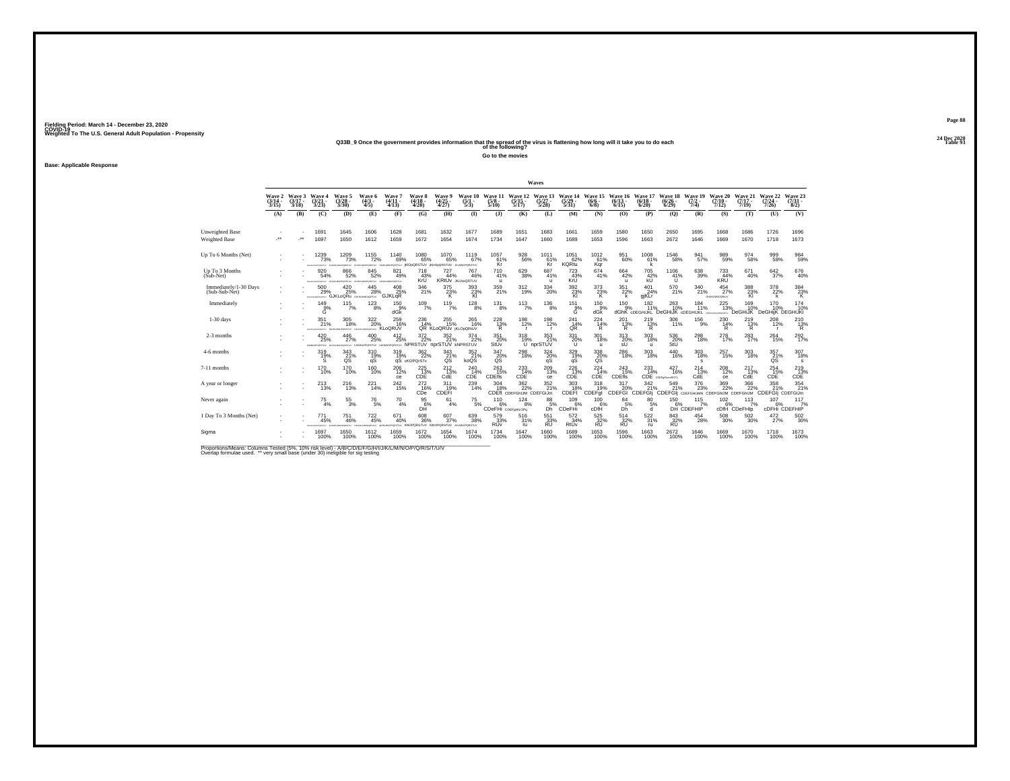# **24 Dec 2020Q33B\_9 Once the government provides information that the spread of the virus is flattening how long will it take you to do each Table 93 of the following?**

**Go to the movies**

**Base: Applicable Response**

|                                        |                                    |                             |                                      |                                                  |                                    |                                                                                  |                                      |                                     |                                       |                                 |                                            | Waves                                 |                                            |                                       |                                  |                                                                     |                                 |                                                                             |                                   |                              |                                |                                 |
|----------------------------------------|------------------------------------|-----------------------------|--------------------------------------|--------------------------------------------------|------------------------------------|----------------------------------------------------------------------------------|--------------------------------------|-------------------------------------|---------------------------------------|---------------------------------|--------------------------------------------|---------------------------------------|--------------------------------------------|---------------------------------------|----------------------------------|---------------------------------------------------------------------|---------------------------------|-----------------------------------------------------------------------------|-----------------------------------|------------------------------|--------------------------------|---------------------------------|
|                                        | <b>Wave 2</b><br>$(3/14 -$<br>3/15 | Wave 3<br>$(3/17 -$<br>3/18 | Wave 4<br>$\frac{(3/21)}{3/23}$      | Wave 5<br>$(3/28 -$<br>3/30                      | Wave 6<br>$(4/3 -$<br>4/5)         | Wave 7<br>$(4/11 -$<br>4/13                                                      | Wave 8<br>$(4/18 -$<br>4/20          | Wave 9<br>$\frac{(4/25)}{4/27}$     | Wave 10<br>$\frac{(5/1)}{5/3}$        | Wave 11<br>$\frac{(5/8)}{5/10}$ | Wave 12<br>$\frac{(5/15)}{5/17}$           | Wave 13<br>$\frac{(5/27)}{5/28}$      | Wave 14<br>$\frac{(5/29)}{5/31}$           | Wave 15<br>$(6/6 -$<br>6/8            | Wave 16<br>$(6/13 -$<br>6/15     | Wave 17<br>$(6/18 -$<br>6/20                                        | Wave 18<br>$(6/26 -$<br>6/29    | Wave 19<br>$(7/2 -$<br>7/4)                                                 | Wave 20<br>$(7/10 -$<br>7/12      | Wave 21<br>$(7/17 -$<br>7/19 | Wave 22<br>$(7/24 -$<br>7/26   | Wave 23<br>$\frac{(7/31)}{8/2}$ |
|                                        | (A)                                | (B)                         | (C)                                  | (D)                                              | (E)                                | (F)                                                                              | (G)                                  | (H)                                 | $($ $\Gamma$                          | (1)                             | (K)                                        | (L)                                   | (M)                                        | (N)                                   | (O)                              | (P)                                                                 | (Q)                             | (R)                                                                         | (S)                               | (T)                          | (U)                            | (V)                             |
| Unweighted Base<br>Weighted Base       | $\bullet\bullet$                   | $\cdot$                     | 1691<br>1697                         | 1645<br>1650                                     | 1606<br>1612                       | 1628<br>1659                                                                     | 1681<br>1672                         | 1632<br>1654                        | 1677<br>1674                          | 1689<br>1734                    | 1651<br>1647                               | 1683<br>1660                          | 1661<br>1689                               | 1659<br>1653                          | 1580<br>1596                     | 1650<br>1663                                                        | 2650<br>2672                    | 1695<br>1646                                                                | 1668<br>1669                      | 1686<br>1670                 | 1726<br>1718                   | 1696<br>1673                    |
| Up To 6 Months (Net)                   |                                    |                             | 1239<br>73%<br><b>ATM NOW</b>        | 1209<br>73%<br><b>STATISTICS</b>                 | $1155$<br>$72\%$                   | 1140<br>69%<br>OPDIANCE VUTBRANCE WITBRAND IN VISSONALISM WIRE WITHOUT A WINDOWS | 1080<br>65%                          | 1070<br>65%                         | $^{1119}_{67\%}$                      | $^{1057}_{61\%}$<br>Kr          | $^{928}_{56\%}$                            | 1011<br>61%<br>Кr                     | $1051$ 62%<br><b>KQRtu</b>                 | $^{1012}_{61\%}$<br>Kar               | 951<br>60%                       | $^{1008}_{61\%}$                                                    | $^{1546}_{-58\%}$               | 941<br>57%                                                                  | 989<br>59%                        | 974<br>58%                   | 999<br>58%                     | 984<br>59%                      |
| Up To 3 Months<br>$(Sub-Net)$          |                                    |                             | 920<br>54%<br><b>STALM MACHINERY</b> | 866<br>52%<br>vutrases                           | 845<br>52%<br>VUTBRONO             | 821<br>49%<br>GHJALMHOPORSTUV                                                    | 718<br>43%<br>KrÜ                    | 727<br>44%                          | 767<br>46%<br><b>KRIUV JKLNOGRTUV</b> | 710<br>41%<br>$\mathbf{u}$      | 629<br>38%                                 | 687<br>41%<br>$\mathbf{u}$            | 723<br>43%<br>KrU                          | 674<br>41%                            | $664 \over 42\%$<br>$\mathbf{u}$ | 705<br>42%<br>kU                                                    | $1106$<br>$41%$<br>U            | 638<br>39%                                                                  | 733<br>44%<br>KRU                 | 671<br>40%                   | 642<br>37%                     | $^{676}_{40\%}$                 |
| Immediately/1-30 Days<br>(Sub-Sub-Net) |                                    |                             | $^{500}_{29\%}$<br>DRIVEN MORETZY    | $^{420}_{25\%}$<br><b>GJKLoQRU</b> GHUNLMOUGRTUY | 445<br>28%                         | 408<br>25%<br>GJKLqR                                                             | $\frac{346}{21\%}$                   | 375<br>23%<br>к                     | 393%<br>KI                            | $^{359}_{21\%}$                 | 312%                                       | $^{334}_{\phantom{1}\phantom{1}20\%}$ | 392 %<br>KI                                | $\frac{373}{23\%}$<br>к               | $351_{22\%}$<br>k                | $^{401}_{24\%}$<br>gjKLr                                            | 570<br>21%                      | 340<br>21%                                                                  | $^{454}_{27\%}$<br>GILBOARNOORSUV | 388<br>23%<br>KI             | 378<br>22%                     | $\frac{384}{23\%}$ K            |
| Immediately                            |                                    |                             | $^{149}_{9\%}$                       | $115$ <sub>7%</sub>                              | $^{123}_{8\%}$                     | $^{150}_{-9\%}$<br>dGK                                                           | $^{109}_{7\%}$                       | 119/7%                              | $^{128}_{8\%}$                        | $^{131}_{8\%}$                  | $113 \atop 7\%$                            | $^{136}_{\phantom{1}8\%}$             | $\overset{151}{\overset{9}{\phantom{1}8}}$ | 150%<br>dGk                           | 150 9%                           | 150 182 263 184<br>9% 11% 10% 11%<br>dGhK соесныкь DeGHiJK соесныкь |                                 | 11%                                                                         | 225<br>13%<br><b>MODER</b>        | 169<br>10%<br><b>DeGHiJK</b> | 170<br>10%<br>DeGHijK DEGHIJKI | $^{174}_{10\%}$                 |
| $1-30$ days                            |                                    |                             | 351<br>21%<br>CPORTAY                | 305<br>18%<br>mission searching of their         | 322<br>20%<br>FOR MUNICIPALITY!    | 259<br>16%<br><b>KLOORUV</b>                                                     | 236<br>14%                           | 255<br>15%<br>QR KLoQRUV  KLOpQRtUV | 265<br>16%                            | 228<br>$R^{13\%}$               | 198<br>12%                                 | 198<br>12%                            | 241<br>$\frac{14}{}$                       | 224<br>14%<br>Ŕ.                      | 201<br>$^{13\%}$                 | 219<br>$^{13\%}_{R}$                                                | 306<br>11%                      | 156<br>9%                                                                   | 230<br>$^{14%}_{R}$               | 219<br>$^{13\%}_{R}$         | 208<br>12%                     | 210<br>$\frac{13}{R}$           |
| 2-3 months                             |                                    |                             | 420<br>25%<br><b>MANOFORSTW</b>      | 446<br>27%<br><b>PORTITAY</b>                    | $^{400}_{25\%}$<br>PORSTUY         | $^{412}_{25\%}$<br>ORSTUV                                                        | $\frac{372}{22\%}$<br><b>NPRSTUV</b> | 352<br>21%<br>nprSTUV kNPRSTUV      | $^{374}_{22\%}$                       | 351<br>20%<br>StUv              | $^{318}_{19\%}$                            | $353$<br>$21%$<br>U nprSTUV           | 331<br>20%<br>U                            | 301<br>18%<br>$\mathbf{u}$            | 313<br>20%<br>sU                 | $^{303}_{\phantom{1}18\%}$<br>u                                     | 536<br>20%<br>StU               | 298<br>18%                                                                  | $^{278}_{17\%}$                   | $^{283}_{17\%}$              | 264<br>15%                     | 292%                            |
| 4-6 months                             |                                    |                             | 319<br>$\frac{19}{s}$                | 343<br>$\frac{21}{9}$                            | 310<br>$\frac{19}{9}$              | 319<br>19%                                                                       | 362<br>22%<br>qS cKOPQrSTv           | 343<br>${}^{21}_{\text{QS}}$        | 352<br>21%<br>koQS                    | 347<br>$20\%$                   | 298<br>18%                                 | 324<br>$\frac{20\%}{9S}$              | 329<br>19%<br>qS                           | 338<br>$\frac{20}{9}$ %               | 286<br>18%                       | 303<br>18%                                                          | 440<br>16%                      | 303<br>18%<br>s                                                             | 257<br>15%                        | 303<br>18%                   | 357<br>$\frac{21}{8}$          | 307<br>18%<br>s                 |
| 7-11 months                            |                                    |                             | <sup>170</sup> 10%                   | 170 <sub>%</sub>                                 | <sup>160</sup> 10%                 | $^{206}_{\ 12\%}$<br>ce                                                          | $^{225}_{13\%}$<br>CDE               | $^{212}_{13\%}$<br>CdE              | $^{240}_{14\%}$<br>CDE <sup></sup>    | $^{263}_{15\%}$<br>CDEfis       | 233<br>14%<br>CDE                          | $^{209}_{13\%}$<br>ce                 | $^{226}_{13\%}$<br>CDE                     | 224<br>14%<br>CDE                     | $^{243}_{15\%}$<br>CDEfis        | 233<br>14%                                                          | 427<br>16%<br>CDE COEFININARITY | $^{214}_{13\%}$<br>CdE                                                      | $^{208}_{12\%}$<br>ce             | $^{217}_{12\%}$<br>CdE       | $^{254}_{15\%}$<br>CDE         | $^{219}_{13\%}$<br>CDE          |
| A year or longer                       |                                    |                             | $^{213}_{13\%}$                      | 216<br>13%                                       | $^{221}_{14\%}$                    | $^{242}_{15\%}$                                                                  | 2726%<br>CDe                         | 311<br>19%<br><b>CDEFI</b>          | $^{239}_{14\%}$                       | 304<br>18%                      | $^{362}_{22\%}$<br>CDEff CDEFGhuM CDEFGIJm | $\frac{352}{21\%}$                    | $^{303}_{18\%}$<br>CDEFI                   | 318<br>19%<br>CDEFgl                  | 317<br>CDEFGI CDEFGI             | 342                                                                 | 549                             | $^{376}_{23\%}$<br>% 21% 23% 22% 22%<br>CDEFGIj срегонимм срегоним срегоним | $\frac{369}{22\%}$                | $\frac{366}{22}\%$           | $^{358}_{21\%}$<br>CDEFGI      | 354<br>21%<br>CDEFGIJm          |
| Never again                            |                                    |                             | 75<br>4%                             | $^{55}_{3\%}$                                    | $^{76}_{5\%}$                      | 70<br>4%                                                                         | 95<br>6%<br>DH                       | 61<br>4%                            | 75<br>5%                              | 110<br>6%<br>CDeFHi CDEFGHILOPG | 124<br>8%                                  | 88<br>5%<br>Dh'                       | 109<br>6%<br>CDeFH                         | 100<br>cDfH                           | 84<br>5%<br>Dh                   | 80<br>5%<br>ď                                                       | 150                             | 115<br>DH CDEFHIP<br>7%                                                     | 102                               | 113<br>cDfH CDeFHIp          | 107<br>cDFHi CDEFHIP           | 117<br>7%                       |
| 1 Day To 3 Months (Net)                |                                    |                             | 771<br>45%                           | 751<br>46%                                       | $^{722}_{45\%}$<br><b>CONTRACT</b> | 671<br>40%                                                                       | 608<br>36%<br>OPORSTLY KNOPORSTUV    | $^{607}_{37\%}$<br>KINOPORSTUV      | 639<br>38%<br><b>JIGMNOPORSTUV</b>    | 579<br>33%<br>RUv               | $^{516}_{31\%}$<br>ru                      | 551<br>33%<br><b>RU</b>               | $\frac{572}{34\%}$<br>RtÚv                 | $\substack{525 \\ 32\%}$<br><b>RU</b> | $\frac{514}{32\%}$<br><b>RU</b>  | $522_{31\%}$<br>ru                                                  | $\frac{843}{32\%}$<br><b>RU</b> | $^{454}_{28\%}$                                                             | $^{508}_{\ 30\%}$                 | $\frac{502}{30\%}$           | 472 <sub>2%</sub>              | $\frac{502}{30\%}$              |
| Sigma                                  |                                    |                             | 1697<br>100%                         | 1650<br>100%                                     | 1612<br>100%                       | 1659<br>100%                                                                     | 1672<br>100%                         | 1654<br>100%                        | 1674<br>100%                          | 1734<br>100%                    | 1647<br>100%                               | 1660<br>100%                          | 1689<br>100%                               | 1653<br>100%                          | 1596<br>100%                     | 1663<br>100%                                                        | 2672<br>100%                    | 1646<br>100%                                                                | 1669<br>100%                      | 1670<br>100%                 | 1718<br>100%                   | 1673<br>100%                    |

Proportions/Means: Columns Tested (5%, 10% risk level) - A/B/C/D/E/F/G/H/I/J/K/L/M/N/O/P/Q/R/S/T/U/V<br>Overlap formulae used. \*\* very small base (under 30) ineligible for sig testing

**Page 88**24 Dec 2020<br>Table 93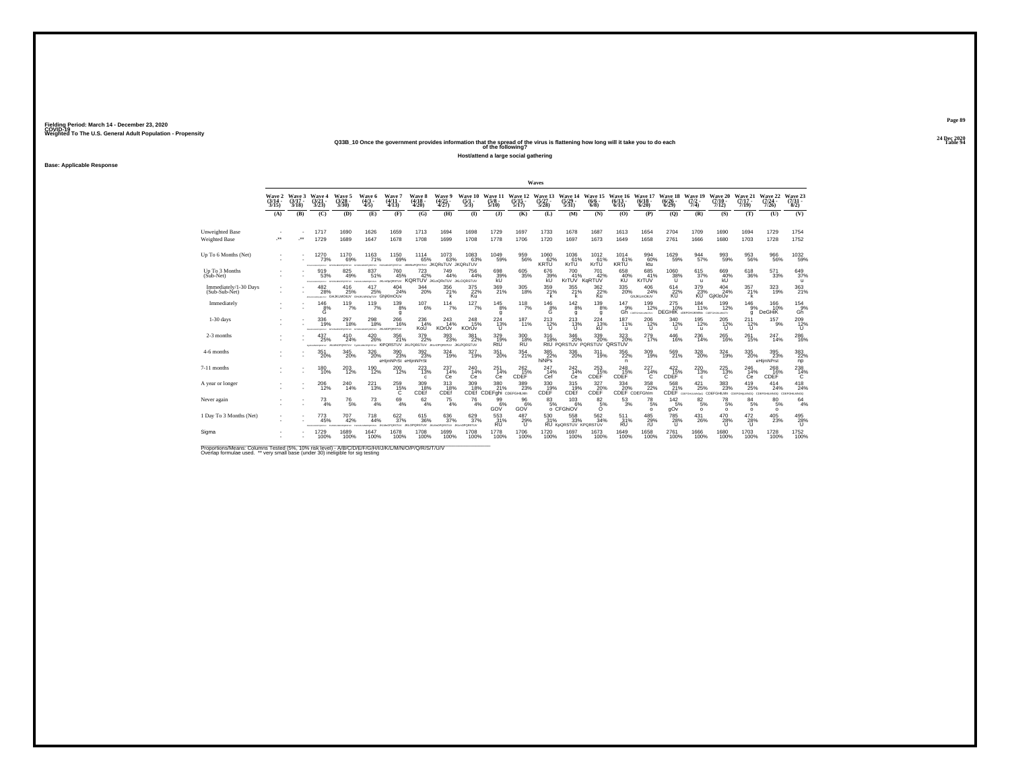**24 Dec 2020Q33B\_10 Once the government provides information that the spread of the virus is flattening how long will it take you to do each Table 94 of the following?**

**Host/attend a large social gathering**

**Base: Applicable Response**

|                                        |                                    |                             |                                                      |                                                                      |                                 |                                                                                                                                                                                                                                               |                                            |                                        |                                      |                                          |                                  | Waves                        |                                                |                                                                     |                                                  |                                 |                                     |                                             |                                          |                                       |                                 |                                   |
|----------------------------------------|------------------------------------|-----------------------------|------------------------------------------------------|----------------------------------------------------------------------|---------------------------------|-----------------------------------------------------------------------------------------------------------------------------------------------------------------------------------------------------------------------------------------------|--------------------------------------------|----------------------------------------|--------------------------------------|------------------------------------------|----------------------------------|------------------------------|------------------------------------------------|---------------------------------------------------------------------|--------------------------------------------------|---------------------------------|-------------------------------------|---------------------------------------------|------------------------------------------|---------------------------------------|---------------------------------|-----------------------------------|
|                                        | <b>Wave 2</b><br>$(3/14 -$<br>3/15 | Wave 3<br>$(3/17 -$<br>3/18 | Waye 4<br>(3/21 -<br>3/23                            | <b>Wave 5</b><br>$\frac{(3728)}{3/30}$                               | Waye 6<br>$(4/3 -$<br>4/5       | Wave?<br>$(4/11 -$<br>4/13                                                                                                                                                                                                                    | Wave 8<br>$(4/18 -$<br>4/20                | <b>Wave 9</b><br>$\frac{(4/25)}{4/27}$ | Wave 10<br>$\frac{(5/1 - 1)}{(5/3)}$ | Wave 1<br>(5/8 -<br>5/10                 | Wave 12<br>$\frac{(5/15)}{5/17}$ | Wave 13<br>$(5/27 -$<br>5/28 | Wave 14<br>$\frac{(5/29)}{5/31}$               | Wave 15<br>$(6/6 -$<br>6/8                                          | Wave 16<br>$(6/13 -$<br>6/15                     | Wave 17<br>(6/18)<br>6/20       | <b>Wave 18</b><br>$(6/26 -$<br>6/29 | Wave 19<br>$(7/2 -$<br>7/4)                 | Wave 20<br>$(7/10 -$<br>7/12             | Wave 21<br>$(7/17 -$<br>7/19          | Wave 22<br>$(7/24 -$<br>7/26    | Wave 23<br>$(7/31 -$<br>8/2)      |
|                                        | (A)                                | (B)                         | (C)                                                  | (D)                                                                  | (E)                             | (F)                                                                                                                                                                                                                                           | (G)                                        | (H)                                    | $\bf{I}$                             | (3)                                      | (K)                              | (L)                          | (M)                                            | (N)                                                                 | (0)                                              | (P)                             | (O)                                 | (R)                                         | (S)                                      | (T)                                   | (U)                             | (V)                               |
| Unweighted Base<br>Weighted Base       | J.                                 |                             | 1717<br>1729                                         | 1690<br>1689                                                         | 1626<br>1647                    | 1659<br>1678                                                                                                                                                                                                                                  | 1713<br>1708                               | 1694<br>1699                           | 1698<br>1708                         | 1729<br>1778                             | 1697<br>1706                     | 1733<br>1720                 | 1678<br>1697                                   | 1687<br>1673                                                        | 1613<br>1649                                     | 1654<br>1658                    | 2704<br>2761                        | 1709<br>1666                                | 1690<br>1680                             | 1694<br>1703                          | 1729<br>1728                    | 1754<br>1752                      |
| Up To 6 Months (Net)                   |                                    |                             | 1270<br>73%<br><b>CONTRACTOR</b>                     | 1170<br>69%<br>das en Manemarkettus                                  | 1163<br>71%                     | 1150<br>69%<br>currences and presented and property of the control of the control of the control of the control of the control of the control of the control of the control of the control of the control of the control of the control of th | 1114<br>65%                                | 1073<br>63%<br>JKQRsTUV JKQRsTUV       | 1083%                                | $^{1049}_{-59\%}$                        | 959<br>56%                       | $^{1060}_{KRTU}$             | 1036<br>61%<br>KrTU                            | 1012<br>KrTU                                                        | 1014<br>KRTU <sup>61%</sup>                      | 994 60%<br>ktu                  | 1629<br>59%                         | $\frac{944}{57\%}$                          | 993<br>59%                               | 953<br>56%                            | 966<br>56%                      | 1032<br>59%                       |
| Up To 3 Months<br>(Sub-Net)            |                                    |                             | 919<br>53%<br>ongezur                                | 825<br>49%<br>ceanw                                                  | 837<br>51%                      | 760<br>45%<br>WT2RDoDm.DL wraped                                                                                                                                                                                                              | 723<br>42%<br>KORTUV JKLOORSTUV JKLOORSTUV | 749<br>44%                             | 756<br>44%                           | 698<br>39%                               | 605<br>35%                       | 676<br>39%<br>kU             | 700<br>41%                                     | 701<br>42%<br>KrTUV KgRTUV                                          | 658<br>40%<br>KŬ                                 | 685<br>41%<br>KrTUV             | 1060<br>38%                         | 615<br>37%<br>$\mathbf{u}$                  | 669<br>40%                               | 618<br>36%                            | 571<br>33%                      | 649<br>37%<br>$\mathbf{u}$        |
| Immediately/1-30 Days<br>(Sub-Sub-Net) |                                    |                             | 482<br>28%                                           | 416<br>25%<br><b>POINTING ONLY CHUKLMOTLY GHUKLINGSTUY GhiKIMOUV</b> | 417<br>25%                      | $^{404}_{24\%}$                                                                                                                                                                                                                               | $^{344}_{\color{red}\,20\%}$               | 356<br>21%                             | $\frac{375}{22\%}$<br>Ku             | $\frac{369}{21\%}$                       | 305<br>18%                       | 359<br>21%                   | $355$<br>$21\%$<br>k                           | $\frac{362}{22\%}$<br>Ku                                            | $^{335}_{\phantom{1}\phantom{1}\phantom{1}20\%}$ | 406<br>24%<br><b>GhJKLmOtUV</b> | $^{614}_{22\%}$<br><b>KU</b>        | $\frac{379}{23\%}$<br>KU <sup></sup>        | 404<br>24%<br>GiKloUv                    | 357<br>21%<br>k                       | 323<br>19%                      | $\frac{363}{21\%}$                |
| Immediately                            |                                    |                             | $^{146}_{\substack{8\% \\ 6}}$                       | $^{119}_{7\%}$                                                       | 119/7%                          | $^{139}_{8\%}$<br>g                                                                                                                                                                                                                           | $^{107}_{6\%}$                             | $114$ <sub>7%</sub>                    | $127_{7\%}$                          | $145_{8\%}$<br>a                         | $^{118}_{7\%}$                   | $^{146}_{8\%}$<br>Ğ          | $142_{8\%}$<br>g                               | $^{139}_{8\%}$<br>q                                                 | $^{147}_{9\%}$                                   | 199<br>12%<br>Gh CONFIDENTIAL   | $^{275}_{10\%}$<br>DEGHIK con       | 184<br>11%<br><b>ГОНЦКММЫ</b> СОБРАНЦАЦИЮТУ | 199<br>12%                               | $^{146}_{9\%}$<br>$\alpha$            | 166 10%<br><b>DeGHiK</b>        | $\frac{154}{9\%}$<br>Gh           |
| $1-30$ days                            |                                    |                             | 336<br>19%<br><b>STANDARD REPORT</b>                 | 297<br>18%<br>VUTERONO                                               | 298<br>18%                      | 266<br>16%<br>NOPORATUV JKLMOPORSTUV                                                                                                                                                                                                          | 236<br>14%<br>KoU                          | 243<br>14%<br>KOrUv                    | 248<br>15%<br>KOrUv                  | 224<br>13%                               | 187<br>11%                       | $^{213}_{12\%}$              | 213<br>- 13%<br>U                              | 224<br>13%<br>kU                                                    | 187<br>11%<br>u                                  | 206<br>12%                      | 340<br>$\frac{12}{11}$              | 195<br>12%<br>$\mathbf{u}$                  | 205<br>12%<br>$\cup$                     | 211<br>$^{12\%}$                      | 157<br>9%                       | $^{209}_{\phantom{1}12\%}$        |
| 2-3 months                             |                                    |                             | 437<br>25%<br><b>CONTRACTOR</b><br><b>But MY MAX</b> | 410<br>24%<br>ORSTUV<br><b>AG MAIL</b>                               | $^{420}_{26\%}$                 | 356<br>21%<br><b>HORSTUV KIPORSTUV JKLPORSTUV</b>                                                                                                                                                                                             | $^{379}_{22\%}$                            | $^{393}_{\ 23\%}$                      | 381<br>22%<br>ORSTUV JKLPORSTUV      | 329/19%<br>RtU                           | 300<br>18%<br><b>RU</b>          | $^{316}_{18\%}$              | $^{346}_{20\%}$                                | $^{339}_{\phantom{1}\phantom{1}20\%}$<br>RtU PORSTUV PORSTUV ORSTUV | 323%                                             | 279 <sub>0</sub>                | $^{446}_{16\%}$                     | $^{236}_{\color{red}\textbf{14\%}}$         | $^{265}_{16\%}$                          | 261<br>15%                            | 247<br>14%                      | 286%                              |
| 4-6 months                             |                                    |                             | 351<br>20%                                           | 345<br>20%                                                           | 326<br>20%                      | 390<br>23%<br>eHlimNPrSt eHlimNPrSt                                                                                                                                                                                                           | 392<br>23%                                 | 324<br>19%                             | 327<br>19%                           | 351<br>20%                               | 354<br>21%                       | 385<br>22%<br>hiNPs          | 336<br>20%                                     | 311<br>19%                                                          | 356<br>22%<br>n.                                 | 309<br>19%                      | 569<br>21%                          | 328<br>20%                                  | 324<br>19%                               | 335<br>20%                            | 395<br>23%<br>eHljmNPrst        | $\frac{383}{22\%}$<br>np          |
| 7-11 months                            |                                    |                             | $^{180}_{10\%}$                                      | 203<br>12%                                                           | $^{190}_{12\%}$                 | $^{200}_{\ 12\%}$                                                                                                                                                                                                                             | $^{223}_{13\%}$                            | $^{237}_{14\%}$<br>Сe                  | $^{240}_{14\%}$<br>Ce                | $^{251}_{14\%}$<br>Ce                    | 262 <sub>15%</sub><br>CDEF       | 247<br>14%<br>Cef            | $^{242}_{14\%}$<br>Ce                          | $^{253}_{15\%}$<br>CDEF                                             | 248<br>15%<br>CDEF                               | 227<br>14%<br>C                 | $^{422}_{15\%}$<br>CDEF             | $^{220}_{\color{red}\textbf{13\%}}$<br>c.   | 225<br>13%<br>c                          | 246<br>14%<br>Ce                      | 268<br>16%<br>CDEF              | 238<br>C                          |
| A year or longer                       |                                    |                             | $^{206}_{\ 12\%}$                                    | 240<br>14%                                                           | $^{221}_{13\%}$                 | $^{259}_{15\%}$                                                                                                                                                                                                                               | 309<br>18%<br>CDEf                         | 313<br>18%<br>CDEf                     | 309 18%<br>CDEf                      | $\frac{380}{21\%}$<br>CDEFghi CDEFGHILMn | 389<br>23%                       | 330<br>19%<br>CDEF           | $^{315}_{19\%}$<br>CDEf                        | $\frac{327}{20\%}$<br>CDEF                                          | 334<br>20%                                       | 358<br>CDEF CDEFGhlm            | 568<br>21%                          | 421<br>25%<br>CDEF COSPGHAMMOO CDE          | $\substack{383 \\ 23\%}$<br><b>IILMn</b> | $^{419}_{25\%}$<br>LMNOG CDE<br>COEFO | 414<br>24%<br><b>ILMNOG CDE</b> | $^{418}_{24\%}$<br><b>DOWMJIH</b> |
| Never again                            |                                    |                             | 73<br>4%                                             | 76<br>5%                                                             | 73<br>4%                        | 69<br>4%                                                                                                                                                                                                                                      | 62<br>4%                                   | 75<br>4%                               | 76<br>4%                             | 99<br>6%<br>GOV                          | 96<br>6%<br>GOV                  | 83                           | 103<br>6%<br>o CFGhiOV                         | 82<br>5%                                                            | 53<br>3%                                         | 78<br>5%<br>$\circ$             | 142<br>5%<br>gOv                    | 82<br>5%<br>$\Omega$                        | 78<br>5%<br>$\Omega$                     | 84<br>5%<br>$\Omega$                  | 80<br>5%<br>$\Omega$            | 64<br>4%                          |
| 1 Day To 3 Months (Net)                |                                    |                             | 773<br>45%                                           | 707<br>42%<br><b>ATANTIC</b>                                         | 718<br>44%<br><b>CONTRACTOR</b> | $622/37\%$<br>PORSTUV                                                                                                                                                                                                                         | 615<br>36%<br>ORSTUV                       | 636<br>37%<br>OPORSTUV                 | 629/37%<br><b>JKLHOPORSTUV</b>       | $\frac{553}{31\%}$<br><b>RU</b>          | $^{487}_{29\%}$<br>Ü             | 530<br>31%                   | $^{558}_{33\%}$<br><b>RU KOORSTUV KPORSTUV</b> | 562<br>34%                                                          | 511<br>31%<br><b>RU</b>                          | 485<br>29%<br>rU                | <sup>785</sup> 28%<br>U             | 431<br>26%                                  | 470<br>28%<br>$\mathbf{U}$               | $^{472}_{28\%}$<br>u                  | 405<br>23%                      | 495<br>28%<br>īΪ                  |
| Sigma                                  |                                    |                             | 1729<br>100%                                         | 1689<br>100%                                                         | 1647<br>100%                    | 1678<br>100%                                                                                                                                                                                                                                  | 1708<br>100%                               | 1699<br>100%                           | 1708<br>100%                         | 1778<br>100%                             | 1706<br>100%                     | 1720<br>100%                 | 1697<br>100%                                   | 1673<br>100%                                                        | 1649<br>100%                                     | 1658<br>100%                    | 2761<br>100%                        | 1666<br>100%                                | 1680<br>100%                             | 1703<br>100%                          | 1728<br>100%                    | 1752<br>100%                      |

Proportions/Means: Columns Tested (5%, 10% risk level) - A/B/C/D/E/F/G/H/I/J/K/L/M/N/O/P/Q/R/S/T/U/V<br>Overlap formulae used. \*\* very small base (under 30) ineligible for sig testing

**Page 8924 Dec 2020<br>Table 94**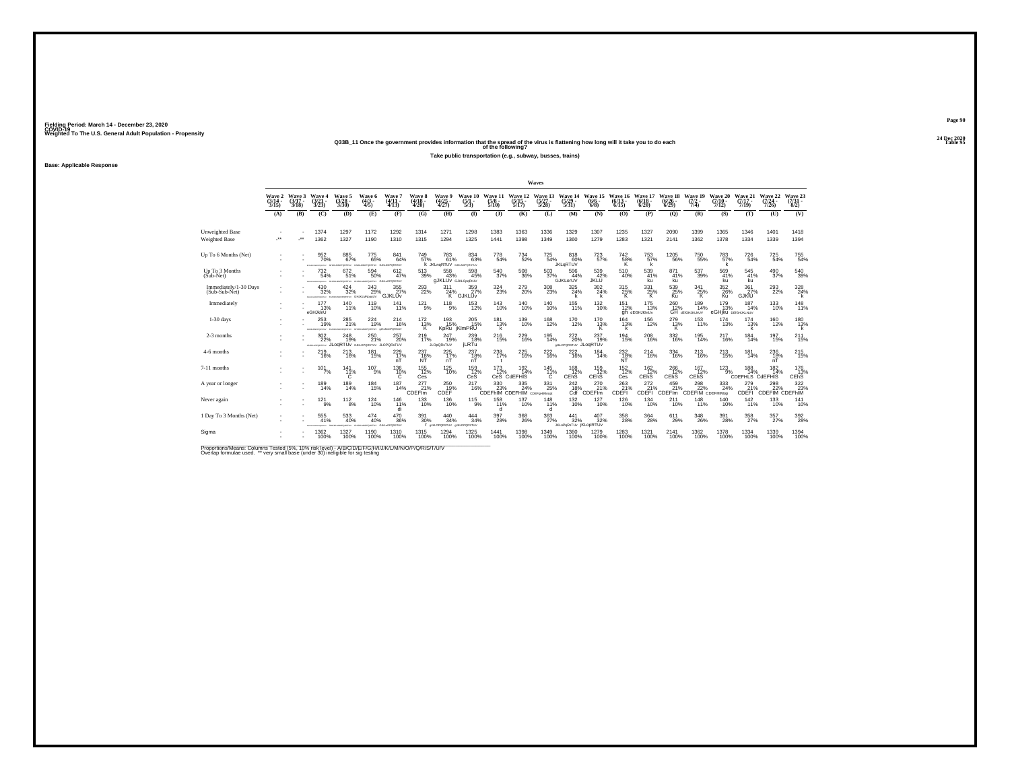**24 Dec 2020Q33B\_11 Once the government provides information that the spread of the virus is flattening how long will it take you to do each Table 95 of the following?**

**Take public transportation (e.g., subway, busses, trains)**

**Base: Applicable Response**

|                                         |                             |                             |                                                |                                                          |                                           |                                                        |                                    |                                         |                                 |                                                    |                                | Waves                            |                                                    |                                  |                                       |                                     |                                  |                                                     |                                       |                                      |                              |                                 |
|-----------------------------------------|-----------------------------|-----------------------------|------------------------------------------------|----------------------------------------------------------|-------------------------------------------|--------------------------------------------------------|------------------------------------|-----------------------------------------|---------------------------------|----------------------------------------------------|--------------------------------|----------------------------------|----------------------------------------------------|----------------------------------|---------------------------------------|-------------------------------------|----------------------------------|-----------------------------------------------------|---------------------------------------|--------------------------------------|------------------------------|---------------------------------|
|                                         | Wave 2<br>$(3/14 -$<br>3/15 | Wave 3<br>$(3/17 -$<br>3/18 | Wave 4<br>$\frac{(3/21)}{3/23}$                | Wave 5<br>$\frac{(3/28)}{3/30}$                          | Wave 6<br>$\frac{(4/3 - 4)}{(4/5)}$       | Wave 7<br>$(4/11 -$<br>4/13                            | <b>Wave 8</b><br>$(4/18 -$<br>4/20 | Wave 9<br>$\frac{(4/25)}{4/27}$         | Wave 10<br>$\frac{(5/1)}{5/3}$  | Wave 11 Wave 12<br>$\frac{(5/8)}{5/10}$            | $\frac{(5/15)}{5/17}$          | Wave 13<br>$\frac{(5/27)}{5/28}$ | Wave 14<br>$\frac{(5/29)}{5/31}$                   | Wave 15<br>$(6/6 -$<br>6/8       | Wave 16<br>$(6/13 -$<br>6/15          | Wave 17<br>$(6/18 -$<br>6/20        | Wave 18<br>$(6/26 -$<br>6/29     | Wave 19<br>$(7/2 -$<br>7/4                          | Wave 20<br>$(7/10 -$<br>7/12)         | Wave 21<br>$(7/17 -$<br>7/19         | Wave 22<br>$(7/24 -$<br>7/26 | Wave 23<br>$\frac{(7/3)}{8/2}$  |
|                                         | (A)                         | (B)                         | (C)                                            | (D)                                                      | (E)                                       | (F)                                                    | (G)                                | (H)                                     | $($ $\Gamma$                    | $($ $)$                                            | (K)                            | (L)                              | (M)                                                | (N)                              | (0)                                   | (P)                                 | (Q)                              | (R)                                                 | (S)                                   | (T)                                  | (U)                          | (V)                             |
| Unweighted Base<br><b>Weighted Base</b> | ÷.                          |                             | 1374<br>1362                                   | 1297<br>1327                                             | 1172<br>1190                              | 1292<br>1310                                           | 1314<br>1315                       | 1271<br>1294                            | 1298<br>1325                    | 1383<br>1441                                       | 1363<br>1398                   | 1336<br>1349                     | 1329<br>1360                                       | 1307<br>1279                     | 1235<br>1283                          | 1327<br>1321                        | 2090<br>2141                     | 1399<br>1362                                        | 1365<br>1378                          | 1346<br>1334                         | 1401<br>1339                 | 1418<br>1394                    |
| Up To 6 Months (Net)                    |                             |                             | 952%<br><b>GONES</b>                           | 885<br>67%<br><b>VORSITUV</b>                            | 775<br>65%                                | 841<br>64%<br>OPORSTLY GJKLNOPORSTLY                   | 749<br>57%                         | 783<br>61%<br>K JKLnaRTUV GJALNOPORSTUV | $\underset{63\%}{^{834}}$       | 778<br>54%                                         | 734<br>52%                     | $\substack{725 \\ 54\%}$         | $818$<br>$60\%$<br><b>JKLqRTUV</b>                 | 723<br>57%                       | 742<br>58%<br>ΪŘ.                     | 753<br>57%<br>k                     | $^{1205}_{-56\%}$                | $750_{55\%}$                                        | 783<br>57%                            | 726<br>54%                           | 725<br>54%                   | 755<br>54%                      |
| Up To 3 Months<br>$(Sub-Net)$           |                             |                             | 732<br>54%<br><b>ACRES</b><br><b>STATISTIC</b> | 672<br>51%<br>das es seunaneismos                        | 594<br>50%<br>GAIN MORGHERY GJILLOPORSTUV | 612<br>47%                                             | 513<br>39%                         | 558<br>43%<br><b>GJKLUV</b> GJKLOpgRIUV | 598<br>45%                      | 540<br>37%                                         | $^{508}_{\phantom{1}36\%}$     | 503<br>37%                       | 596<br>44%<br>GJKLorUV                             | 539<br>42%<br>JKLŪ               | 510<br>40%                            | 539<br>41%<br>ku                    | 871<br>41%<br>ku                 | 537<br>39%                                          | 569<br>41%<br>ku                      | 545<br>41%<br>ku                     | 490<br>37%                   | 540<br>39%                      |
| Immediately/1-30 Days<br>(Sub-Sub-Net)  |                             |                             | 430<br>32%                                     | 424<br>32%<br>rosacancrosty, rosacancrosty, GHJKLMNcodJV | 343<br>29%                                | $\frac{355}{27\%}$<br>GJKLUv                           | 293<br>22%                         | 311<br>24%<br>к                         | $\frac{359}{27\%}$<br>GJKLUv    | 324<br>23%                                         | 279<br>20%                     | $^{308}_{\phantom{1}23\%}$       | $^{325}_{24\%}$<br>k                               | 302<br>24%                       | $^{315}_{25\%}$<br>ĸ                  | $331_{25\%}$<br>K                   | 539 25%<br>Ku                    | 341<br>25%<br>K.                                    | 352<br>26%<br>Ku                      | $\frac{361}{27\%}$<br><b>GJKIU</b>   | $^{293}_{22\%}$              | $\frac{328}{24\%}$              |
| Immediately                             |                             |                             | 177<br>13%<br>eGHJklnU                         | $^{140}_{11\%}$                                          | $^{119}_{10\%}$                           | 141<br>11%                                             | $^{121}_{9\%}$                     | $^{118}_{9\%}$                          | <sup>153</sup> 12%              | $^{143}_{10\%}$                                    | $^{140}_{10\%}$                | <sup>140</sup> <sub>10%</sub>    | 155<br>11%                                         | $^{132}_{10\%}$                  | $^{151}_{12\%}$                       | <sup>175</sup> 13%<br>gh dEGHJKInUv |                                  | 260 189<br>12% 14%<br>GH <b>derghuklanuv</b><br>14% | $^{179}_{13\%}$<br>eGHiku DEIGHJKLNUV | 187<br>14%                           | $^{133}_{10\%}$              | 148<br>11%                      |
| $1-30$ days                             |                             |                             | 253<br>19%<br>CALIFORNIA PROVINCIAL            | 285<br>21%<br><b>CASTLE</b>                              | 224<br>19%                                | 214<br>16%<br><b>DRIGHTLY GJKLMODDRSSLV</b>            | 172<br>13%<br>к                    | 193<br>15%<br>KpRu                      | 205<br>15%<br>jKlmPRU           | 181<br>13%<br>k                                    | 139<br>10%                     | 168<br>12%                       | 170<br>12%                                         | 170<br>13%<br>ĸ                  | 164<br>13%<br>k                       | 156<br>12%                          | $^{279}_{13\%}$                  | 153<br>11%                                          | 174<br>13%                            | 174<br>13%                           | 160<br>12%                   | 180<br>13%                      |
| 2-3 months                              |                             |                             | $^{302}_{\phantom{1}22\%}$<br>43JAL/OPDRSTAY   | $^{248}_{19\%}$<br>JLogRTUv GJKLOPORSTUV JLOPORSTUV      | 250<br>21%                                | $^{257}_{20\%}$                                        | <sup>219</sup> <sub>17%</sub>      | $^{247}_{19\%}$<br><b>JLOpQRsTUV</b>    | $^{239}_{18\%}$<br><b>jLRTu</b> | <sup>216</sup> <sub>15%</sub>                      | 229<br>16%                     | $^{195}_{14\%}$                  | 272 <sub>20%</sub><br><b>SALOPORSTUV JLOQRTUV</b>  | $^{237}_{19\%}$                  | <sup>194</sup> 15%                    | $^{208}_{16\%}$                     | 332<br>16%                       | $^{195}_{14\%}$                                     | <sup>217</sup> <sub>16%</sub>         | $184 \over 14\%$                     | 197<br>15%                   | $^{211}_{15\%}$                 |
| 4-6 months                              |                             |                             | 219<br>16%                                     | 213<br>16%                                               | 181<br>15%                                | $^{229}_{\substack{17}{\scriptscriptstyle\mathrm{N}}}$ | 237<br>$\frac{18}{N}$              | 225<br>$\frac{17}{n}$                   | 237<br>$nT^{\frac{18}{6}}$      | 238<br>17%                                         | $^{225}_{\,16\%}$              | $^{222}_{16\%}$                  | $^{222}_{16\%}$                                    | 184<br>14%                       | $^{232}_{\substack{18\% \ NT}}$       | 214<br>16%                          | 334<br>16%                       | 213<br>16%                                          | 213<br>15%                            | 181<br>14%                           | 236<br>$^{18}_{nT}$          | $^{215}_{15\%}$                 |
| 7-11 months                             |                             | ٠                           | $101$ <sub>7%</sub>                            | $^{141}_{11\%}$                                          | $^{107}_{9\%}$                            | 136<br>10%<br>C                                        | $^{155}_{12\%}$<br>Ces             | $^{125}_{10\%}$                         | 159<br>12%<br>CeS               | $^{173}_{12\%}$                                    | $^{192}_{14\%}$<br>CeS CdEFHIS | $\frac{145}{11\%}$<br>C          | $^{168}_{12\%}$<br>CEhS                            | 159<br>12%<br>CEhS               | $^{152}_{12\%}$<br>Ces                | $\frac{162}{12}\%$<br>CEhS          | $^{266}_{12\%}$<br>CEhS          | $\frac{167}{12\%}$<br>CEhS                          | $^{123}_{9\%}$                        | 188<br>14%<br><b>CDEFHLS CdEFHIS</b> | $^{182}_{14\%}$              | 176<br>13%<br>CEhS <sup>1</sup> |
| A year or longer                        |                             |                             | 189<br>14%                                     | $^{189}_{14\%}$                                          | $^{184}_{15\%}$                           | 187<br>14%                                             | 277<br>21%<br>CDEF <sup>Im</sup>   | $\underset{\text{CDEF}}{^{250}}$        | 217<br>16%                      | $\frac{330}{23\%}$<br>CDEFhIM CDEFHIM CDEFgHIMnopt | $\frac{335}{24\%}$             | $^{331}_{\phantom{1}25\%}$       | 242<br>Cdf                                         | 270<br>21%<br>CDEF <sup>Im</sup> | $^{263}_{21\%}$<br>CDEFI              | 272<br>21%<br>CDEFI                 | 459<br>21%<br>CDEF <sup>Im</sup> | $^{298}_{22\%}$<br>CDEFIM CDEFHIMOP                 | 333<br>24%                            | 279<br>CDEFI                         | 298<br>CDEFIM CDEFHIM        | 322 %                           |
| Never again                             |                             |                             | 121<br>9%                                      | 112<br>8%                                                | 124<br>10%                                | 146<br>11%<br>di                                       | 133<br>10%                         | 136<br>10%                              | 115<br>9%                       | 158<br>11%                                         | 137<br>10%                     | 148<br>11%<br>d                  | 132<br>10%                                         | 127<br>10%                       | 126<br>10%                            | 134<br>10%                          | 211<br>10%                       | 148<br>11%                                          | 140<br>10%                            | 142<br>11%                           | 133<br>10%                   | 141<br>10%                      |
| 1 Day To 3 Months (Net)                 |                             |                             | 555<br>41%                                     | 533<br>40%                                               | $^{474}_{~40\%}$<br>PORSTUY               | $^{470}_{\phantom{1}36\%}$<br>GJIG-OPDRSTUV            | 391<br>30%                         | 440<br>34%<br>eJKLOPORSTUV eJKLOPORSTUV | $\frac{444}{34\%}$              | 397<br>28%                                         | 368<br>26%                     | 363<br>27%                       | $\frac{441}{32\%}$<br><b>JKLoPoRsTUv iKLODRTUV</b> | 407<br>32%                       | $^{358}_{\phantom{1}\phantom{1}28\%}$ | $\frac{364}{28\%}$                  | 611<br>29%                       | $^{348}_{\phantom{1}\phantom{1}\phantom{1}26\%}$    | 391<br>28%                            | $^{358}_{\ 27\%}$                    | 357<br>27%                   | $392\atop 28\%$                 |
| Sigma                                   |                             |                             | 1362<br>100%                                   | 1327<br>100%                                             | 1190<br>100%                              | 1310<br>100%                                           | 1315<br>100%                       | 1294<br>100%                            | 1325<br>100%                    | 1441<br>100%                                       | 1398<br>100%                   | 1349<br>100%                     | 1360<br>100%                                       | 1279<br>100%                     | 1283<br>100%                          | 1321<br>100%                        | 2141<br>100%                     | 1362<br>100%                                        | 1378<br>100%                          | 1334<br>100%                         | 1339<br>100%                 | 1394<br>100%                    |

Proportions/Means: Columns Tested (5%, 10% risk level) - A/B/C/D/E/F/G/H/I/J/K/L/M/N/O/P/Q/R/S/T/U/V<br>Overlap formulae used. \*\* very small base (under 30) ineligible for sig testing

**Page 9024 Dec 2020<br>Table 95**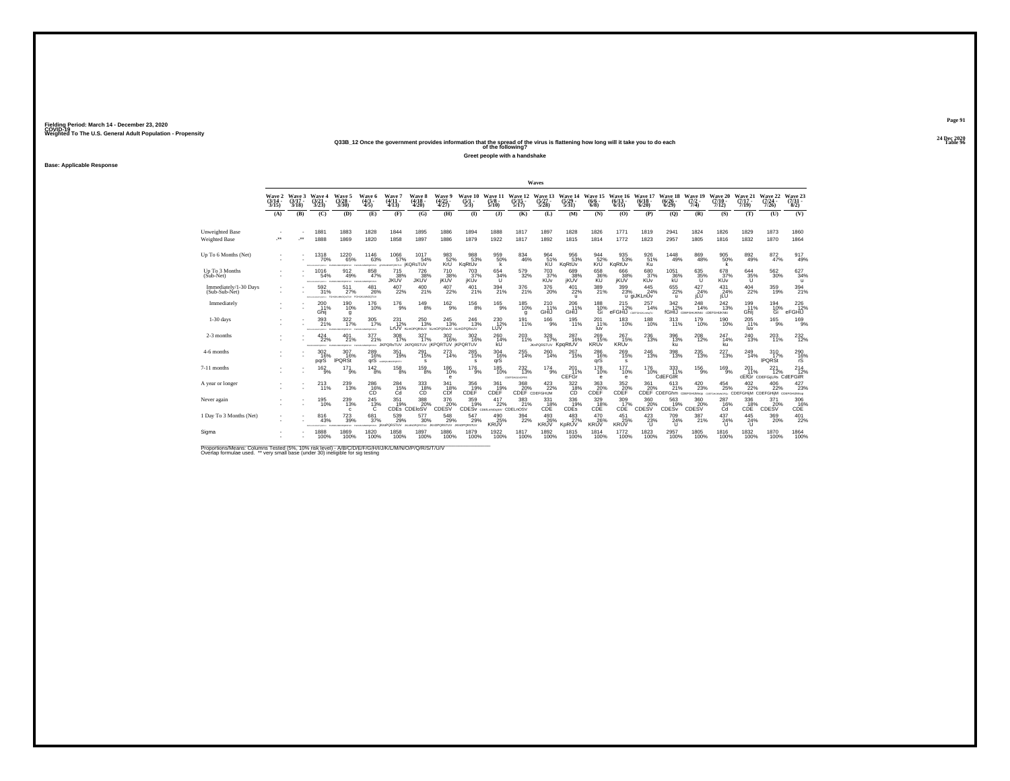# **24 Dec 2020Q33B\_12 Once the government provides information that the spread of the virus is flattening how long will it take you to do each Table 96 of the following?**

**Greet people with a handshake**

**Base: Applicable Response**

|                                         |                             |                             |                                     |                                           |                                 |                                                            |                                                     |                                             |                                   |                                          |                                            | Waves                                 |                                  |                                                      |                                                |                                 |                                         |                                                                        |                               |                                                          |                                                    |                                |
|-----------------------------------------|-----------------------------|-----------------------------|-------------------------------------|-------------------------------------------|---------------------------------|------------------------------------------------------------|-----------------------------------------------------|---------------------------------------------|-----------------------------------|------------------------------------------|--------------------------------------------|---------------------------------------|----------------------------------|------------------------------------------------------|------------------------------------------------|---------------------------------|-----------------------------------------|------------------------------------------------------------------------|-------------------------------|----------------------------------------------------------|----------------------------------------------------|--------------------------------|
|                                         | Wave 2<br>$(3/14 -$<br>3/15 | Wave 3<br>$(3/17 -$<br>3/18 | Wave 4<br>$\frac{(3/21)}{3/23}$     | Wave 5<br>$\binom{3/28}{3/30}$            | Wave 6<br>$(4/3 -$<br>4/5       | Wave 7<br>$(4/11 -$<br>(4/13)                              | Wave 8<br>$\frac{(4/18)}{4/20}$                     | <b>Wave 9</b><br>$\frac{(4/25)}{4/27}$      | Wave 10<br>$\frac{(5/1)}{5/3}$    | Wave 11<br>$\frac{(5/8)}{10}$            | Wave 12<br>$\frac{(5/15)}{5/17}$           | Wave 13<br>$\frac{(5/27)}{5/28}$      | Wave 14<br>$\frac{(5/29)}{5/31}$ | Wave 15<br>$(6/6 -$<br>6/8                           | Wave 16<br>$(6/13 -$<br>6/15                   | Wave 17<br>(6/18)<br>6/20       | <b>Wave 18</b><br>$\frac{(6/26)}{6/29}$ | Wave 19<br>$\frac{(7/2)}{7/4}$                                         | Wave 20<br>$(7/10 -$<br>7/12  | Wave 21<br>$(7/17 -$<br>7/19                             | Wave 22<br>$\frac{(7/24 - 7)}{7/26}$               | Wave 23<br>$\binom{7/31}{8/2}$ |
|                                         | (A)                         | (B)                         | (C)                                 | (D)                                       | (E)                             | (F)                                                        | (G)                                                 | (H)                                         | $($ $\Gamma$                      | $($ $)$                                  | (K)                                        | (L)                                   | (M)                              | (N)                                                  | (O)                                            | (P)                             | (Q)                                     | (R)                                                                    | (S)                           | (T)                                                      | (U)                                                | (V)                            |
| Unweighted Base<br><b>Weighted Base</b> | J.                          | $\cdot$                     | 1881<br>1888                        | 1883<br>1869                              | 1828<br>1820                    | 1844<br>1858                                               | 1895<br>1897                                        | 1886<br>1886                                | 1894<br>1879                      | 1888<br>1922                             | 1817<br>1817                               | 1897<br>1892                          | 1828<br>1815                     | 1826<br>1814                                         | 1771<br>1772                                   | 1819<br>1823                    | 2941<br>2957                            | 1824<br>1805                                                           | 1826<br>1816                  | 1829<br>1832                                             | 1873<br>1870                                       | 1860<br>1864                   |
| Up To 6 Months (Net)                    |                             |                             | 1318<br>70%                         | $^{1220}_{65\%}$<br>provenzy              | 1146<br>63%                     | $^{1066}_{-57\%}$<br><b>NAMES OF ALSEMBRISHING RANGERS</b> | 1017<br>54%                                         | 983<br>52%<br>KrU                           | 988<br>53%<br>KgRtUv              | 959%                                     | 834<br>46%                                 | 964<br>51%<br>KU                      | 956<br>53%<br>KqRtUv             | 944<br>52%<br>KrU <sup>1</sup>                       | 935<br>53%<br>KaRtUv                           | 926<br>51%<br>Ku                | 1448<br>49%                             | $\substack{869 \\ 48\%}$                                               | 905<br>50%<br>k               | 892<br>49%                                               | $\frac{872}{47\%}$                                 | $^{917}_{49\%}$                |
| Up To 3 Months<br>$(Sub-Net)$           |                             |                             | 1016<br>54%                         | 912<br>49%<br>FOIAIA MACPORATUV           | 858<br>47%<br>FORDILATIONS/TON  | 715<br>38%<br>JKŬŸ                                         | 726<br>JKUV                                         | 710<br>38%<br>KUV                           | 703<br>37%<br><b>iKUv</b>         | 654<br>34%                               | 579<br>32%                                 | 703<br>37%<br>KUv                     | 689<br>38%<br>jKUV               | 658<br>36%                                           | 666<br>38%                                     | 680<br>37%<br>KŨv               | 1051<br>36%                             | 635<br>35%<br>ū                                                        | 678<br>$x^{37}_{\text{KUV}}$  | 644<br>35%                                               | 562<br>30%                                         | 627<br>34%<br>$\mathbf{u}$     |
| Immediately/1-30 Days<br>(Sub-Sub-Net)  |                             |                             | 592<br>31%                          | 511<br>27%<br><b>VUTADOMMAN</b>           | 481<br>26%<br>FGHLIKLMHOGTLY    | $^{407}_{22\%}$                                            | $^{400}_{21\%}$                                     | $^{407}_{22\%}$                             | $^{401}_{21\%}$                   | 394<br>21%                               | 376<br>21%                                 | 376<br>20%                            | $^{401}_{22\%}$<br>$\mathbf{u}$  | 389<br>21%                                           | 399<br>23%                                     | 445<br>24%<br>u giJKLnUv        | 655<br>22%<br>$\mathbf{u}$              | $\frac{427}{24\%}$<br><b>ILU</b>                                       | 431<br>24%<br><b>ILU</b>      | $^{404}_{22\%}$                                          | 359<br>19%                                         | $394 \atop 21\%$               |
| Immediately                             |                             |                             | $^{200}_{.11\%}$<br>Ghii            | 190<br>10%<br>$\mathfrak{q}$              | <sup>176</sup><br>10%           | $^{176}_{9\%}$                                             | $^{149}_{8\%}$                                      | $^{162}_{9\%}$                              | $^{156}_{\phantom{1}8\%}$         | $^{165}_{-9\%}$                          | 185<br>10%<br>q                            | <sup>210</sup> <sub>11%</sub><br>GHIJ | $^{206}_{11\%}$<br>GHIJ          | $^{188}_{10\%}$<br>Ği.                               | $^{215}_{12\%}$<br><b>eFGHIJ</b> COSFGHURLMATU | $^{257}_{14\%}$                 | 342/12%                                 | $^{248}_{14\%}$<br>fGHIJ CDEFGHUKINU ODEFGHUKNU                        | <sup>242</sup> <sub>13%</sub> | 199<br>11%<br>Ghlj                                       | $^{194}_{10\%}$<br>Ğì                              | $^{226}_{12\%}$<br>eFGHIJ      |
| $1-30$ days                             |                             |                             | 393<br>21%                          | 322<br>17%<br><b>ATANYA</b>               | 305<br>17%<br>FORUSANOPORTER    | 231<br>12%                                                 | 250<br>13%<br>LIUV KLMOPORSUV KLMOPORSUV KLMOPORSUV | 245<br>13%                                  | 246<br>13%                        | $^{230}_{12\%}$<br>LU⊽                   | 191<br>11%                                 | 166<br>9%                             | 195<br>11%                       | 201<br>11%<br>luv                                    | 183<br>10%                                     | 188<br>10%                      | 313<br>11%                              | 179<br>10%                                                             | 190<br>10%                    | 205<br>11%<br>luv                                        | $^{165}_{9\%}$                                     | 169<br>9%                      |
| 2-3 months                              |                             |                             | 424<br>22%<br><b>STALM MACADEMA</b> | 401<br>21%<br><b>STAR OF SALTIMORPHIC</b> | 377<br>21%                      | $308$<br>17%<br>rossamorosmy JKPQRsTUV JKPQRSTUV           | 327<br>17%                                          | $^{302}_{16\%}$<br><b>IKPORTUV IKPORTUV</b> | $^{302}_{16\%}$                   | $^{260}_{14\%}$<br>kU                    | $^{203}_{11\%}$                            | 328<br><b>JKnPQRSTUV KpqRtUV</b>      | 287<br>16%                       | 269<br>15%<br><b>KRU<sub>v</sub></b>                 | 267<br>15%<br><b>KRUv</b>                      | $^{236}_{\phantom{1}13\%}$      | 396<br>13%<br>ku                        | $^{208}_{\ 12\%}$                                                      | 247<br>14%<br>ku              | 240<br>13%                                               | 203<br>11%                                         | 232%                           |
| 4-6 months                              |                             |                             | 302<br>16%<br>parS                  | 307<br>16%<br><b>IPQRSt</b>               | 289<br>16%<br>arS               | 351<br>19%<br>WOHLMOPORTY                                  | 291<br>15%<br>s                                     | 273<br>14%                                  | 285<br>15%<br>s                   | 304<br>16%<br>arš                        | 255<br>14%                                 | 260<br>14%                            | 267<br>15%                       | 286<br>16%<br>arS                                    | 269<br>15%<br>s                                | 246<br>13%                      | 398<br>13%                              | 235<br>13%                                                             | 227<br>13%                    | 249<br>14%                                               | 310<br>17%<br><b>IPQRSt</b>                        | 290<br>$\frac{16}{15}$         |
| 7-11 months                             |                             |                             | $^{162}_{9\%}$                      | $^{17}$ 1%                                | $^{142}_{8\%}$                  | $^{158}_{8\%}$                                             | $^{159}_{8\%}$                                      | 186<br>10%<br>e                             | $^{176}_{9\%}$                    | $^{185}_{10\%}$                          | 232 <sub>13%</sub><br><b>CDEFGHLLNOPRS</b> | $^{174}_{9\%}$                        | 201 <sub>%</sub><br>CEFGr        | <sup>178</sup><br>10%<br>e                           | $^{177}_{10\%}$<br>е                           | <sup>176</sup> 10%              | 333<br>11%<br>CdEFGIR                   | $^{156}_{-9\%}$                                                        | 169 <sub>9%</sub>             | 201 <sub>1%</sub>                                        | $^{221}_{12\%}$<br><b>CEfGr CDEFGILRs CdEFGIIR</b> | $^{214}_{12\%}$                |
| A year or longer                        |                             |                             | <sup>213</sup> <sub>11%</sub>       | 239<br>13%                                | $^{286}_{-16\%}$                | $^{284}_{\phantom{1}15\%}_{\phantom{1}0d}$                 | $^{333}_{\phantom{1}18\%}$                          | 341<br>18%<br>CDf                           | $\underset{\text{CDEF}}{^{356}}$  | $^{361}_{12\%}$<br>CDEF                  | 368<br>20%                                 | 423/22%<br><b>CDEF</b> CDEFGHIJM      | $^{322}_{-18\%}$                 | $\overset{363}{\underset{\text{CDEF}}{\text{20\%}}}$ | 352%<br>CDĒF                                   | 361                             | 613<br>21%                              | $^{420}_{\phantom{1}\phantom{1}23\%}$<br>CDEF CDEFGhm CDEFGHUMnop CDEF | $^{454}_{25\%}$               | $\frac{402}{22}\%$<br>MOPO CDEFGHIM CDEFGHIM CDEFGHIMnop | 406<br>22%                                         | $427_{23\%}$                   |
| Never again                             |                             |                             | 195<br>10%                          | 239<br>13%<br>$\mathbf{c}$                | 245<br>$^{13%}$                 | 351                                                        | 388<br>19% 20%<br>CDEs CDEIoSV                      | 376<br>CDESV <sup>20%</sup>                 | 359<br>19%                        | 417<br>22%<br>CDESV CDEILmNOsSV CDELnOSV | 383<br>21%                                 | 331<br>$\widetilde{\rm 18\%}$         | 336<br>19%<br><b>CDES</b>        | 329<br>$\overline{18}$ %                             | 309<br>$_{\text{CDE}}^{17\%}$                  | 360<br>CDESV <sup>%</sup>       | 563<br>19%<br>CDES <sub>v</sub>         | 360<br>CDESV <sup>%</sup>                                              | 287<br>$^{16\%}_{\text{Cd}}$  | 336<br>$\mathsf{c}\mathsf{D}\mathsf{E}^{18\%}$           | 371<br>CDESV <sup>%</sup>                          | 306<br>CDE                     |
| 1 Day To 3 Months (Net)                 |                             |                             | 816<br>43%                          | $^{723}_{39\%}$<br><b>CASTLE</b>          | 681<br>37%<br><b>CONTRACTOR</b> | 539 29%<br><b>KnoPQRSTUV</b>                               | 577<br>30%<br>JILMADPORSTUV                         | 548<br>29%<br><b>JKnOPORSTUV</b>            | 547<br>29%<br><b>JKInOPORSTUV</b> | 490<br>25%<br><b>KRUV</b>                | $\frac{394}{22\%}$                         | 493<br>26%<br><b>KRUV</b>             | $^{483}_{27\%}$<br>KpRUV         | 470<br>26%<br><b>KRUV</b>                            | $^{451}_{25\%}$<br><b>KRUV</b>                 | $^{423}_{23\%}$<br>$\mathbf{u}$ | 709<br>24%<br>$\mathbf{U}$              | $\frac{387}{21\%}$                                                     | 437<br>24%<br>$\cup$          | 445<br>24%<br>$\cup$                                     | 369<br>20%                                         | $^{401}_{22\%}$                |
| Sigma                                   |                             |                             | 1888<br>100%                        | 1869<br>100%                              | 1820<br>100%                    | 1858<br>100%                                               | 1897<br>100%                                        | 1886<br>100%                                | 1879<br>100%                      | 1922<br>100%                             | 1817<br>100%                               | 1892<br>100%                          | 1815<br>100%                     | 1814<br>100%                                         | 1772<br>100%                                   | 1823<br>100%                    | 2957<br>100%                            | 1805<br>100%                                                           | 1816<br>100%                  | 1832<br>100%                                             | 1870<br>100%                                       | 1864<br>100%                   |

Proportions/Means: Columns Tested (5%, 10% risk level) - A/B/C/D/E/F/G/H/I/J/K/L/M/N/O/P/Q/R/S/T/U/V<br>Overlap formulae used. \*\* very small base (under 30) ineligible for sig testing

**Page 9124 Dec 2020<br>Table 96**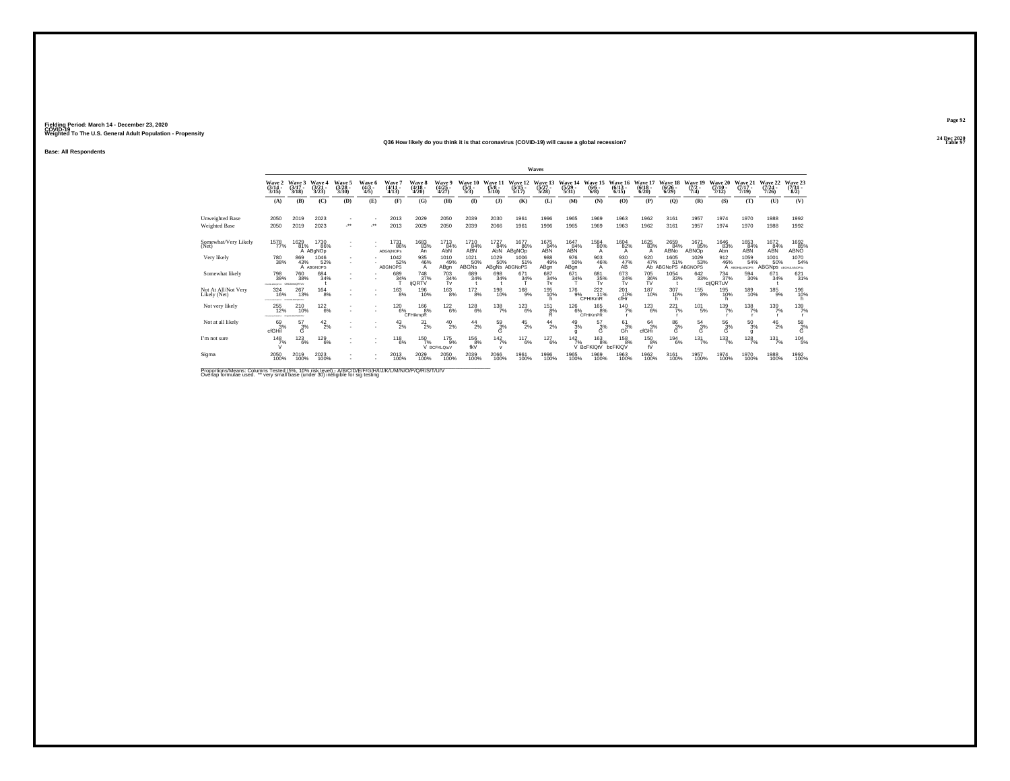#### **24 Dec 2020Q36 How likely do you think it is that coronavirus (COVID-19) will cause a global recession?Table 97 Table 97**

**Base: All Respondents**

|                                                                                                      |                                           |                                    |                          |                                 |                             |                               |                                                |                                              |                                    |                                                               |                               | Waves              |                               |                                                       |                             |                               |                                   |                                       |                                           |                              |                              |                                                                           |
|------------------------------------------------------------------------------------------------------|-------------------------------------------|------------------------------------|--------------------------|---------------------------------|-----------------------------|-------------------------------|------------------------------------------------|----------------------------------------------|------------------------------------|---------------------------------------------------------------|-------------------------------|--------------------|-------------------------------|-------------------------------------------------------|-----------------------------|-------------------------------|-----------------------------------|---------------------------------------|-------------------------------------------|------------------------------|------------------------------|---------------------------------------------------------------------------|
|                                                                                                      | Wave 2<br>$(3/14 -$<br>3/15               | Wave 3<br>$3/17 -$<br>3/18         | Wave<br>(3/21)<br>3/23   | Wave 5<br>$\frac{(3/28)}{3/30}$ | Wave<br>$\frac{(4/3)}{4/5}$ | Wave<br>$(4/11 -$<br>4/13     | <b>Wave 8</b><br>(4/18<br>4/20                 | <b>Wave 9</b><br>$\frac{(4/25)}{4/27}$       | <b>Wave</b><br>$\frac{(5/1)}{5/3}$ | Wave 1<br>$\frac{(5/8)}{5/10}$                                | Wave<br>$\frac{(5/15)}{5/17}$ | $(5/27 -$<br>5/28  | Wave<br>$\frac{(5/29)}{5/31}$ | Wave<br>$\binom{6/6}{6/8}$                            | $\frac{(6/13)}{6/15}$       | Wave<br>$\binom{6/18}{6/20}$  | Wave:<br>$\binom{6/26}{6/29}$     | <b>Wave</b><br>19<br>$(7/2 -$<br>7/4) | <b>Wave 20</b><br>$(7/10 -$<br>7/12       | Wave 21<br>$(7/17 -$<br>7/19 | Wave 22<br>$(7/24 -$<br>7/26 | Wave 23<br>(7/31 -<br>8/2)                                                |
|                                                                                                      | (A)                                       | (B)                                | (C)                      | (D)                             | (E)                         | (F)                           | (G)                                            | (H)                                          | $\mathbf{D}$                       | (3)                                                           | (K)                           | (L)                | (M)                           | (N)                                                   | (O)                         | (P)                           | $\mathbf{Q}$                      | (R)                                   | (S)                                       | (T)                          | (U)                          | (V)                                                                       |
| Unweighted Base<br>Weighted Base                                                                     | 2050<br>2050                              | 2019<br>2019                       | 2023<br>2023             | $^{\star\star}$                 | $\ddot{}$                   | 2013<br>2013                  | 2029<br>2029                                   | 2050<br>2050                                 | 2039<br>2039                       | 2030<br>2066                                                  | 1961<br>1961                  | 1996<br>1996       | 1965<br>1965                  | 1969<br>1969                                          | 1963<br>1963                | 1962<br>1962                  | 3161<br>3161                      | 1957<br>1957                          | 1974<br>1974                              | 1970<br>1970                 | 1988<br>1988                 | 1992<br>1992                                                              |
| Somewhat/Very Likely<br>(Net)                                                                        | 1578<br>77%                               | 1629<br>81%                        | 1730<br>86%<br>A ABGNOD  |                                 |                             | 173186%<br><b>ABGhiNOPs</b>   | 1683<br>83%<br>An                              | $^{17}$ <sup>13</sup> <sub>84</sub> %<br>AbN | 1710<br>84%<br>ABN                 | $\begin{array}{c}\n 1727 \\  84\% \\  \text{AbN} \end{array}$ | 1677<br>86%<br>ABgNOp         | 1675<br>84%<br>ABN | $\frac{1647}{84\%}$           | 1584<br>80%<br>А                                      | 1604 82%<br>А               | 1625<br>83%<br>A              | 2659<br>84%<br>ABNO               | 1671<br>85%<br><b>ABNOp</b>           | 1646<br>83%<br>Abn                        | 1653<br>84%<br><b>ABN</b>    | $\frac{1672}{84\%}$          | $\underset{\mathsf{ABNO}}{\overset{1692}{\underset{85\%}{\phantom{95}}}}$ |
| Very likely                                                                                          | 780<br>38%                                | 869<br>43%                         | 1046<br>52%<br>A ABGNOPS |                                 |                             | 1042<br>52%<br><b>ABGNOPS</b> | 935<br>46%<br>$\mathsf{A}$                     | 1010<br>49%<br>ABgn                          | 1021<br>50%<br>ABGNs               | 1029<br>50%<br>ABgNs ABGNoPS                                  | 1006<br>51%                   | 988<br>49%<br>ABgn | 976<br>50%<br>ABgn            | 903<br>46%<br>А                                       | $^{930}_{\hbox{A}\hbox{B}}$ | 920<br>47%                    | 1605<br>51%<br>Ab ABGNoPS ABGNOPS | 1029<br>53%                           | $\frac{912}{46\%}$                        | 1059<br>54%<br>A ABGHILMNOPS | 1001<br>50%<br><b>ABGNps</b> | 1070<br>54%<br>ABGHLLMNOPSu                                               |
| Somewhat likely                                                                                      | 798<br>39%<br>chrasseconta: Chi.JonoQRTuV | 760<br>38%                         | 684 34%                  |                                 |                             | $^{689}_{34\%}$               | <sup>748</sup> <sub>37%</sub><br><b>ijQRTV</b> | $^{703}_{34\%}$<br>Tv                        | 689<br>34%                         | 698<br>34%                                                    | $671 \over 34\%$              | 687<br>34%<br>Tv   | $\frac{671}{34\%}$            | 681<br>35%<br>Tv                                      | 673<br>34%<br>Tv            | <sup>705</sup> 36%<br>TV      | $\substack{1054\\33\%}$           | $\substack{642 \\ 33\%}$              | <sup>734</sup> <sub>37%</sub><br>cijQRTuV | $^{594}_{30\%}$              | 671<br>34%                   | $\frac{621}{31\%}$                                                        |
| Not At All/Not Very<br>Likely (Net)                                                                  | 324<br>16%                                | $^{267}_{13\%}$<br>CREW MINOR BEST | $^{164}_{8\%}$           |                                 |                             | $^{163}_{8\%}$                | 196<br>10%                                     | $^{163}_{8\%}$                               | $^{172}_{8\%}$                     | 198<br>10%                                                    | <sup>168</sup> 9%             | 195<br>10%<br>h    |                               | $\begin{array}{c}\n176 \\ 9\% \\ \end{array}$ CFHIKmR | $^{201}_{\rm cfHr}$         | <sup>187</sup> <sub>10%</sub> | 307<br>10%                        | $^{155}_{8\%}$                        | 195<br>10%                                | 189<br>10%                   | $^{185}_{9\%}$               | 196<br>10%                                                                |
| Not very likely                                                                                      | 255<br>12%<br><b>CONSUMERSING</b>         | 210<br>10%<br>CPORETIA             | 122<br>6%                |                                 |                             | 120<br>6%                     | 166<br>8%<br>CFHikmpR                          | $^{122}_{6\%}$                               | 128<br>6%                          | 138<br>7%                                                     | 123<br>6%                     | 151<br>8%<br>R.    | 126<br>6%                     | 165<br>8%<br><b>CFHIKmPR</b>                          | $^{140}_{7\%}$              | 123<br>6%                     | 221<br>7%                         | 101<br>5%                             | 139<br>7%                                 | 138<br>7%                    | 139<br>7%                    | 139/7%                                                                    |
| Not at all likely                                                                                    | 693%<br>cfGHil                            | $^{57}_{3\%}$<br>Ġ                 | $^{42}_{2\%}$            |                                 |                             | $^{43}_{2\%}$                 | $^{31}_{2\%}$                                  | $^{40}_{2\%}$                                | $^{44}_{2\%}$                      | $^{59}_{3\%}$<br>Ġ                                            | $^{45}_{2\%}$                 | $^{44}_{2\%}$      | $^{49}_{3\%}$                 | 57<br>3%<br>Ġ                                         | $^{61}_{3\%}$<br>Gh         | $^{64}_{3%}$<br>cfGHi         | $\frac{86}{3%}$<br>G              | $^{54}_{3\%}$<br>G                    | $^{56}_{\ 3\%}$<br>Ġ                      | $^{50}_{3\%}$                | $^{46}_{2\%}$                | $\frac{58}{3%}$<br>G                                                      |
| I'm not sure                                                                                         | 148<br>7%                                 | 123<br>6%                          | 129<br>6%                |                                 |                             | 118<br>6%                     | 150                                            | $^{175}_{9\%}$<br>BCFKLOtuV                  | 156<br>$f_{\rm KV}$ <sup>8%</sup>  | $142$ <sub>7%</sub><br>$\mathbf{v}$                           | 117<br>6%                     | 127<br>6%          | 142                           | 163<br>7%<br>V BcFKIQtV                               | 158<br>8%<br>bcFKIQV        | 150<br>8%<br>fŬ               | 194<br>6%                         | 131<br>7%                             | $^{133}_{7\%}$                            | $\frac{128}{7%}$             | 131<br>7%                    | $\frac{104}{5\%}$                                                         |
| Sigma                                                                                                | 2050<br>100%                              | 2019<br>100%                       | 2023<br>100%             |                                 |                             | $^{2013}_{100\%}$             | 2029<br>100%                                   | 2050<br>100%                                 | 2039<br>100%                       | 2066<br>100%                                                  | 1961<br>100%                  | 1996<br>100%       | 1965<br>100%                  | 1969<br>100%                                          | 1963<br>100%                | 1962<br>100%                  | 3161<br>100%                      | 1957<br>100%                          | 1974<br>100%                              | 1970<br>100%                 | 1988<br>100%                 | 1992<br>100%                                                              |
| Proportions/Means: Columns Tested (5%, 10% risk level) - A/B/C/D/F/E/G/H/I/J/K/L/M/N/O/P/O/R/S/T/U/V |                                           |                                    |                          |                                 |                             |                               |                                                |                                              |                                    |                                                               |                               |                    |                               |                                                       |                             |                               |                                   |                                       |                                           |                              |                              |                                                                           |

Proportions/Means: Columns Tested (5%, 10% risk level) - A/B/C/D/E/F/G/H/I/J/K/L/M/N/O/P/Q/R/S/T/U/V<br>Overlap formulae used. \*\* very small base (under 30) ineligible for sig testing

**Page 92**24 Dec 2020<br>Table 97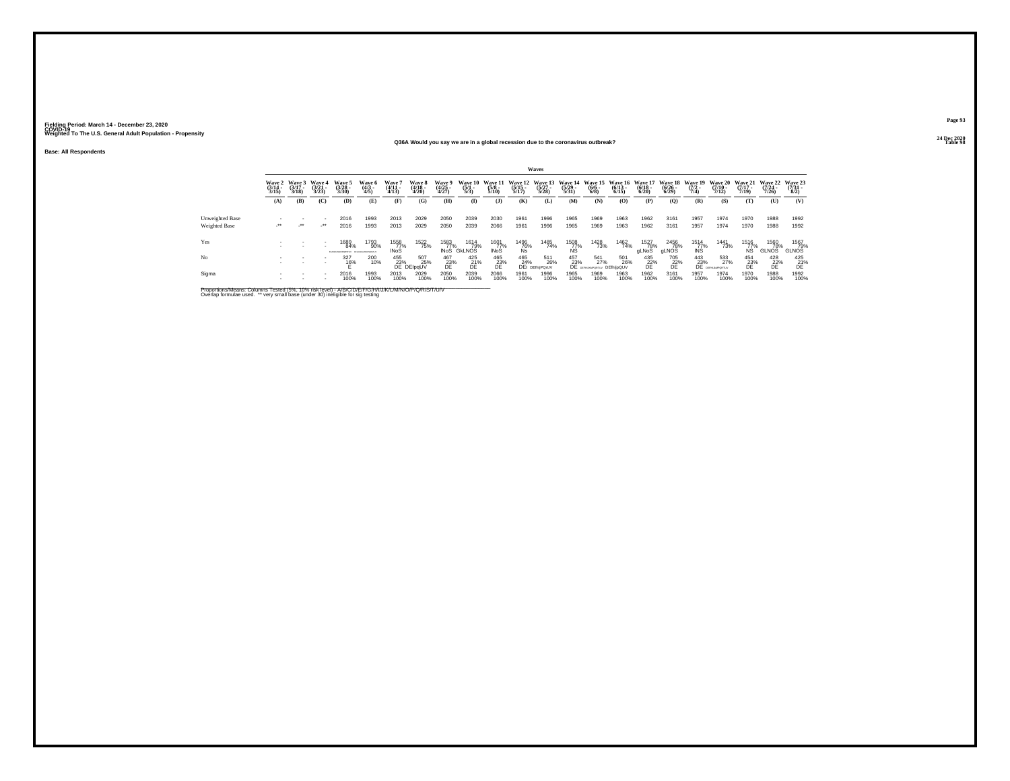Yes

No

### **Base: All Respondents**

#### **24 Dec 2020Q36A Would you say we are in a global recession due to the coronavirus outbreak?Table 98 Table 98**

|                 |                                 |                                 |                                 |                                            |                                         |                             |                                        |                                      |                                |                                      |                       | <b>Waves</b>                             |                       |                             |                                                          |                       |                                    |                                                                  |                                                                                                                                                                                                                                                                                                                                                                                                       |                                  |                                      |                                |
|-----------------|---------------------------------|---------------------------------|---------------------------------|--------------------------------------------|-----------------------------------------|-----------------------------|----------------------------------------|--------------------------------------|--------------------------------|--------------------------------------|-----------------------|------------------------------------------|-----------------------|-----------------------------|----------------------------------------------------------|-----------------------|------------------------------------|------------------------------------------------------------------|-------------------------------------------------------------------------------------------------------------------------------------------------------------------------------------------------------------------------------------------------------------------------------------------------------------------------------------------------------------------------------------------------------|----------------------------------|--------------------------------------|--------------------------------|
|                 | Wave 2<br>$\frac{(3/14)}{3/15}$ | Wave 3<br>$\frac{(3/17)}{3/18}$ | Wave 4<br>$\frac{(3/21)}{3/23}$ | Wave 5<br>$\binom{3/28}{3/30}$             | Wave 6<br>(4/3 -<br>4/5)                | Wave 7<br>(4/11 -<br>(4/13) | Wave 8<br>$\frac{(4/18)}{4/20}$        | Wave 9<br>(4/25<br>4/27)             | Wave 10<br>$\frac{(5/1)}{5/3}$ | Wave 11<br>$\frac{(5/8)}{5/10}$      | $\frac{(5/15)}{5/17}$ | Wave 12 Wave 13<br>$\frac{(5/27)}{5/28}$ | $\frac{(5/29)}{5/31}$ | $\frac{(6/6)}{(6/8)}$       | Wave 14 Wave 15 Wave 16 Wave 17<br>$\frac{(6/13)}{6/15}$ | $\frac{(6/18)}{6/20}$ | Wave 18<br>$\frac{(6/26)}{(6/29)}$ | Wave 19<br>$\frac{(7/2)}{7/4}$                                   | <b>Wave 20</b><br>$\frac{(7/10)}{7/12}$                                                                                                                                                                                                                                                                                                                                                               | Wave 21<br>$\frac{(7/17)}{7/19}$ | Wave 22<br>$\frac{(7/24)}{7/26}$     | Wave 23<br>$\frac{(7/3)}{8/2}$ |
|                 | (A)                             | (B)                             | (C)                             | (D)                                        | (E)                                     | (F)                         | (G)                                    | (H)                                  | $\mathbf{D}$                   | (3)                                  | (K)                   | (L)                                      | (M)                   | (N)                         | (0)                                                      | (P)                   | (0)                                | (R)                                                              | (S)                                                                                                                                                                                                                                                                                                                                                                                                   | (T)                              | (U)                                  | (V)                            |
| Unweighted Base |                                 |                                 |                                 | 2016                                       | 1993                                    | 2013                        | 2029                                   | 2050                                 | 2039                           | 2030                                 | 1961                  | 1996                                     | 1965                  | 1969                        | 1963                                                     | 1962                  | 3161                               | 1957                                                             | 1974                                                                                                                                                                                                                                                                                                                                                                                                  | 1970                             | 1988                                 | 1992                           |
| Weighted Base   | $\cdot$                         | $\mathcal{L}^{\bullet\bullet}$  | $\cdot$                         | 2016                                       | 1993                                    | 2013                        | 2029                                   | 2050                                 | 2039                           | 2066                                 | 1961                  | 1996                                     | 1965                  | 1969                        | 1963                                                     | 1962                  | 3161                               | 1957                                                             | 1974                                                                                                                                                                                                                                                                                                                                                                                                  | 1970                             | 1988                                 | 1992                           |
| Yes             |                                 | ٠                               |                                 | 1689<br>84%<br><b>STAR OF SALTWOWER AV</b> | 1793<br>90%<br><b>PACIA MI MUTATION</b> | 1558<br>77%<br><b>INoS</b>  | 1522<br>75%                            | 1583<br>77%<br><b>INoS</b>           | 1614<br>79%<br><b>GKLNOS</b>   | 1601<br>77%<br><b>INoS</b>           | 1496<br>76%<br>Ns     | 1485<br>74%                              | 1508<br>77%<br>ŃŚ     | <sup>1428</sup> 73%         | 1462<br>74%                                              | 1527<br>78%<br>gLNoS  | 2456<br>78%<br>aLNOS               | $\begin{array}{r} 1514 \\ 77\% \\ \hline \text{INS} \end{array}$ | <sup>1441</sup> 73%                                                                                                                                                                                                                                                                                                                                                                                   | 1516<br>77%<br>ŃŜ.               | <sup>1560</sup> 78%<br><b>GLNOS</b>  | 1567<br>79%<br><b>GLNOS</b>    |
| No              |                                 | $\sim$                          |                                 | 327<br>16%                                 | 200<br>10%                              |                             | 455 507<br>23% 25<br>DE DEIpqUV<br>25% | 467<br>B <sub>E</sub> <sup>23%</sup> | 425<br>$b^2$                   | $^{465}_{\substack{23 \\\text{DE}}}$ | 465<br>24%            | 511<br>26%<br>DEI DEIMPOrUV              | 457                   | 541<br>27%<br>$23\%$ $27\%$ | 501<br>26%<br>DEfhlipQUV                                 | $^{435}_{22\%}$       | 705<br>$22\%$                      |                                                                  | $\begin{array}{cc} 443 & 53 \\ 23\% & 27 \\ \text{DE} & \text{644} \\ \text{655} & \text{656} \\ \text{666} & \text{667} \\ \text{676} & \text{676} \\ \text{687} & \text{676} \\ \text{687} & \text{676} \\ \text{697} & \text{676} \\ \text{697} & \text{676} \\ \text{697} & \text{676} \\ \text{697} & \text{676} \\ \text{697} & \text{676} \\ \text{697} & \text{676} \\ \text{6$<br>533<br>27% | $^{454}_{23\%}$                  | 428<br>B <sub>E</sub> <sup>22%</sup> | $^{425}_{21\%}$                |
| Sigma           |                                 | ٠                               |                                 | 2016<br>100%                               | 1993<br>100%                            | 2013<br>100%                | 2029<br>100%                           | 2050<br>100%                         | 2039<br>100%                   | 2066<br>100%                         | 1961<br>100%          | 1996<br>100%                             | 1965<br>100%          | 1969<br>100%                | 1963<br>100%                                             | 1962<br>100%          | 3161<br>100%                       | 1957<br>100%                                                     | 1974<br>100%                                                                                                                                                                                                                                                                                                                                                                                          | 1970<br>100%                     | 1988<br>100%                         | 1992<br>100%                   |

Proportions/Means: Columns Tested (5%, 10% risk level) - A/B/C/D/E/F/G/H/I/J/K/L/M/N/O/P/Q/R/S/T/U/V<br>Overlap formulae used. \*\* very small base (under 30) ineligible for sig testing

**Page 9324 Dec 2020<br>Table 98**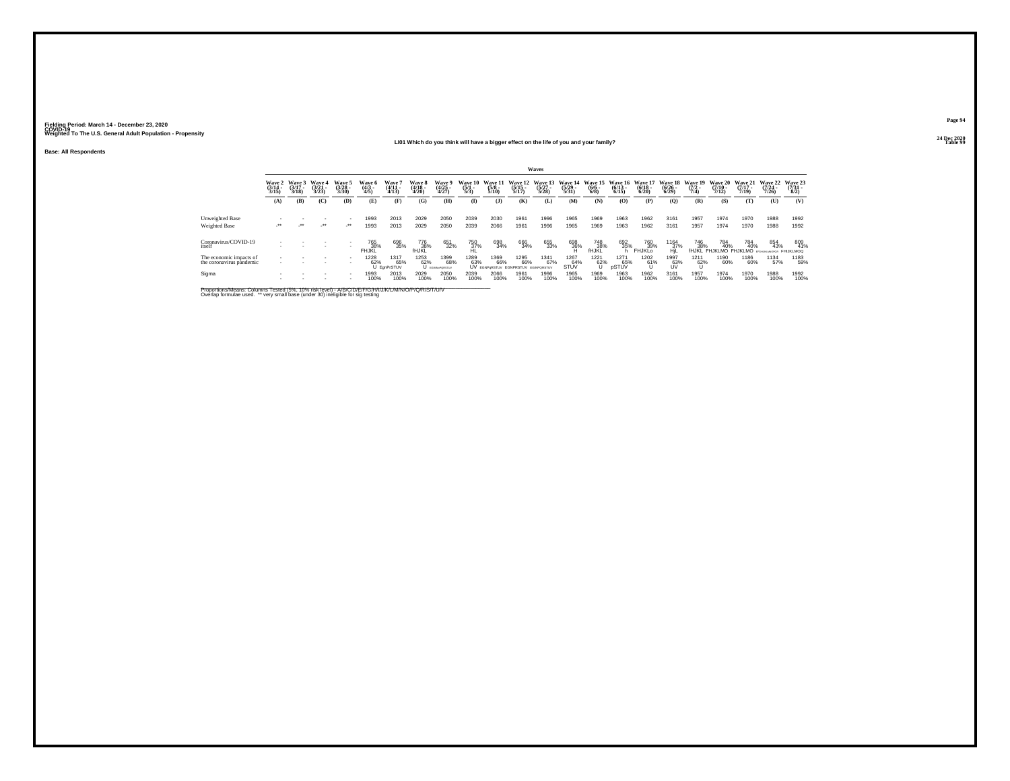**Base: All Respondents**

#### **24 Dec 2020LI01 Which do you think will have a bigger effect on the life of you and your family?Table 99**

| Page 94                 |  |
|-------------------------|--|
| 24 Dec 2020<br>Table 99 |  |

|                                                     |                                 |                            |                          |                            |                          |                                 |                            |                                |                                       |                                 |                                                    | Waves                       |                                  |                                  |                                 |                                                |                                          |                                    |                                  |                                  |                                  |                                |
|-----------------------------------------------------|---------------------------------|----------------------------|--------------------------|----------------------------|--------------------------|---------------------------------|----------------------------|--------------------------------|---------------------------------------|---------------------------------|----------------------------------------------------|-----------------------------|----------------------------------|----------------------------------|---------------------------------|------------------------------------------------|------------------------------------------|------------------------------------|----------------------------------|----------------------------------|----------------------------------|--------------------------------|
|                                                     | Wave 2<br>$\frac{(3/14)}{3/15}$ | Wave 3<br>(3/17 -<br>3/18) | Wave 4<br>(3/21<br>3/23) | Wave 5<br>(3/28 -<br>3/30) | Wave 6<br>(4/3 -<br>4/5) | Wave<br>$\frac{(4/11)}{(4/13)}$ | Wave 8<br>(4/18 -<br>4/20) | Wave 9<br>(4/25<br>4/27)       | <b>Wave 10</b><br>$\frac{(5/1)}{5/3}$ | Wave 11<br>$\frac{(5/8)}{5/10}$ | Wave 12<br>$\frac{(5/15)}{5/17}$                   | Wave 13<br>(5/27 -<br>5/28) | Wave 14<br>$\frac{(5/29)}{5/31}$ | Wave 15<br>$\frac{(6/6)}{(6/8)}$ | Wave 16<br>$\binom{6/13}{6/15}$ | Wave 17<br>$\frac{(6/18)}{6/20}$               | Wave 18<br>$\frac{(6/26)}{6/29}$         | Wave 19<br>$\frac{(7/2)}{7/4}$     | Wave 20<br>$\frac{(7/10)}{7/12}$ | Wave 21<br>$\frac{(7/17)}{7/19}$ | Wave 22<br>$\frac{(7/24)}{7/26}$ | Wave 23<br>(7/31<br>8/2)       |
|                                                     | (A)                             | (B)                        | (C)                      | (D)                        | (E)                      | (F)                             | (G)                        | (H)                            | $\mathbf{I}$                          | (3)                             | (K)                                                | (L)                         | (M)                              | (N)                              | (0)                             | (P)                                            | (Q)                                      | (R)                                | (S)                              | (T)                              | (U)                              | (V)                            |
| Unweighted Base<br>Weighted Base                    | $\cdot$                         | $\cdot$                    | $\cdot$                  | $\cdot$                    | 1993<br>1993             | 2013<br>2013                    | 2029<br>2029               | 2050<br>2050                   | 2039<br>2039                          | 2030<br>2066                    | 1961<br>1961                                       | 1996<br>1996                | 1965<br>1965                     | 1969<br>1969                     | 1963<br>1963                    | 1962<br>1962                                   | 3161<br>3161                             | 1957<br>1957                       | 1974<br>1974                     | 1970<br>1970                     | 1988<br>1988                     | 1992<br>1992                   |
| Coronavirus/COVID-19<br>itself                      |                                 |                            |                          |                            | 765<br>38%<br>FHJKĽ      | 696<br>35%                      | 776<br>38%<br><b>fHJKL</b> | 651<br>32%                     | 750<br>37%<br>HL                      | 698<br>34%                      | 666<br>34%                                         | 655<br>33%                  | 698<br>36%<br>H                  | 748<br>38%<br>fHJKĽ              | 692<br>35%                      | <sup>760</sup> <sub>39%</sub><br><b>FHJKLO</b> | $^{1164}_{\substack{37\%\\ \text{HjL}}}$ | <sup>746</sup> 38%<br><b>fHJKL</b> | 784<br>40%<br>FHJKLMO FHJKLMO    | 784<br>40%                       | 854<br>43%                       | 809<br>41%<br><b>FHIJKLMOQ</b> |
| The economic impacts of<br>the coronavirus pandemic | ٠                               |                            |                          |                            | 1228<br>62%              | 1317<br>65%<br>U EgnPrSTUV      | 1253<br>62%                | 1399<br>68%<br>U EGINNAPORSTUV | 1289<br>63%                           | 1369<br>66%                     | 1295<br>66%<br>UV EGNPORSTUV EGNPRSTUV EGINPORSTUV | 1341<br>67%                 | 1267<br>64%<br>STUV              | $^{1221}_{62\%}$                 | 1271<br>65%<br>pSTUV            | 1202<br>61%                                    | 1997<br>63%<br>UV                        | 1211<br>62%                        | 1190<br>60%                      | 1186<br>60%                      | 1134<br>57%                      | 1183<br>59%                    |
| Sigma                                               |                                 |                            |                          | $\sim$                     | 1993<br>100%             | 2013<br>100%                    | 2029<br>100%               | 2050<br>100%                   | 2039<br>100%                          | 2066<br>100%                    | 1961<br>100%                                       | 1996<br>100%                | 1965<br>100%                     | 1969<br>100%                     | 1963<br>100%                    | 1962<br>100%                                   | 3161<br>100%                             | 1957<br>100%                       | 1974<br>100%                     | 1970<br>100%                     | 1988<br>100%                     | 1992<br>100%                   |

Proportions/Means: Columns Tested (5%, 10% risk level) - A/B/C/D/E/F/G/H/I/J/K/L/M/N/O/P/Q/R/S/T/U/V<br>Overlap formulae used. \*\* very small base (under 30) ineligible for sig testing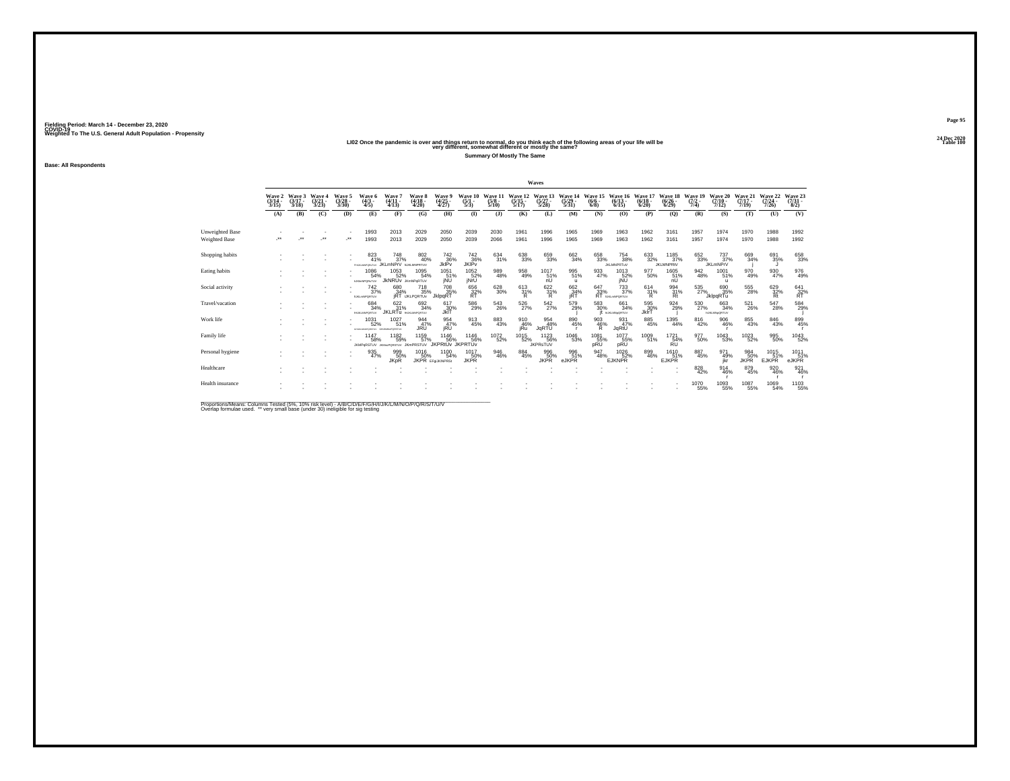|                  | Wave 2<br>$\frac{(3/14)}{3/15}$ | Wave 3<br>$\frac{(3/17)}{3/18}$ | Wave 4<br>$\frac{(3/21)}{3/23}$ | Wave 5<br>$\frac{(3/28)}{3/30}$ | Wave 6<br>$\frac{(4/3)}{4/5}$              | Wave<br>$\frac{(4/11)}{4/13}$              | <b>Wave 8</b><br>$\frac{(4/18)}{4/20}$  | Wave 9<br>$\frac{(4/25)}{4/27}$        | Wave 10<br>$\frac{(5/1)}{5/3}$ | Wave 11<br>$\frac{(5/8)}{5/10}$ | Wave 12<br>$\frac{(5/15)}{5/17}$ | Wave 13<br>$\frac{(5/27)}{5/28}$       | Wave 14<br>$\frac{(5/29)}{5/31}$ | Wave 15<br>$\frac{(6/6 - 6)}{(6/8)}$ | Wave 16<br>$\frac{(6/13)}{6/15}$         | Wave 17<br>$\frac{(6/18)}{6/20}$ | Wave 18<br>$\frac{(6/26)}{6/29}$ | Wave 19<br>$\frac{(7/2)}{7/4}$ | Wave 20<br>$\frac{(7/10)}{7/12}$  | Wave 21<br>$\frac{(7/17)}{7/19}$ | Wave 22<br>$\frac{(7/24 - 7)}{7/26}$ | Wave 23<br>$\frac{(7/3)}{8/2}$ |
|------------------|---------------------------------|---------------------------------|---------------------------------|---------------------------------|--------------------------------------------|--------------------------------------------|-----------------------------------------|----------------------------------------|--------------------------------|---------------------------------|----------------------------------|----------------------------------------|----------------------------------|--------------------------------------|------------------------------------------|----------------------------------|----------------------------------|--------------------------------|-----------------------------------|----------------------------------|--------------------------------------|--------------------------------|
|                  | (A)                             | (B)                             | (C)                             | (D)                             | (E)                                        | (F)                                        | (G)                                     | (H)                                    | $\mathbf{I}$                   | $($ $\bf{J}$                    | (K)                              | (L)                                    | (M)                              | (N)                                  | (O)                                      | (P)                              | (Q)                              | (R)                            | (S)                               | (T)                              | (U)                                  | (V)                            |
| Unweighted Base  |                                 |                                 |                                 |                                 | 1993                                       | 2013                                       | 2029                                    | 2050                                   | 2039                           | 2030                            | 1961                             | 1996                                   | 1965                             | 1969                                 | 1963                                     | 1962                             | 3161                             | 1957                           | 1974                              | 1970                             | 1988                                 | 1992                           |
| Weighted Base    | $\bullet\bullet$                |                                 |                                 | $\mathcal{F}^{\bullet}$         | 1993                                       | 2013                                       | 2029                                    | 2050                                   | 2039                           | 2066                            | 1961                             | 1996                                   | 1965                             | 1969                                 | 1963                                     | 1962                             | 3161                             | 1957                           | 1974                              | 1970                             | 1988                                 | 1992                           |
| Shopping habits  |                                 |                                 |                                 |                                 | 823<br>41%<br><b>FHUGJINFORETU)</b>        | <sup>748</sup> 37%<br><b>JKLmNPrV</b>      | 802<br>40%<br><b>hUKLMNPRTUV</b>        | 742<br>36%<br>JklPv                    | 742<br>36%<br>JKIPv            | 634 31%                         | 638<br>33%                       | 659<br>33%                             | 662<br>34%                       | 658<br>33%                           | 754<br>38%<br><b>JKLMNPRTuV</b>          | 633<br>32%                       | 1185<br>37%<br><b>JKLMNPRIV</b>  | $\substack{652\\33\%}$         | 737%<br><b>JKLmNPrV</b>           | 669<br>34%                       | 691<br>35%                           | 658<br>33%                     |
| Eating habits    |                                 |                                 |                                 |                                 | 1086<br>54%<br><b>NJKImNPORNTUV</b>        | 1053<br>52%<br><b>JKNRUV</b> JKmNPoRTUV    | 1095<br>54%                             | 1051<br>51%<br>jNU                     | 1052<br>52%<br>jNrU            | 989<br>48%                      | 958<br>49%                       | 1017<br>51%<br>nU                      | 995<br>51%<br>u                  | $\frac{933}{47\%}$                   | 1013<br>52%<br>jNU                       | 977<br>50%                       | 1605<br>$\frac{51}{n}$           | 942<br>48%                     | 1001<br>51%<br>-11                | 970<br>49%                       | $\frac{930}{47\%}$                   | 976<br>49%                     |
| Social activity  |                                 |                                 |                                 |                                 | $^{742}_{37\%}$<br><b>ILIQ.mNPQRTUV</b>    | 680<br>34%<br><b>iRT</b>                   | <sup>718</sup> 35%<br><b>IJKLPORTUV</b> | <sup>708</sup> 35%<br>JklpqRT          | 656<br>32%<br>ŔŦ               | 628<br>30%                      | 613/31%<br>R                     | 622/31%<br>R                           | 662<br>34%<br>iŘŤ                | 647<br>33%                           | $^{733}_{37\%}$<br><b>RT</b> ERLANPORTUV | $^{614}_{31\%}$<br>R.            | 994<br>31%<br>Rt                 | $\frac{535}{27\%}$             | 690<br>35%<br>JklpqRTu            | 555<br>28%                       | 629<br>32%<br>Rt                     | $^{641}_{32\%}$ RT             |
| Travel/vacation  |                                 |                                 |                                 |                                 | 684<br>34%<br><b><i>DEJIGANPORTUV</i></b>  | 622/31%<br><b>JKLRTu <i>MAANPORTUY</i></b> | 692<br>34%                              | 617<br>30%<br>JkIT                     | 586<br>29%                     | 543<br>26%                      | 526<br>27%                       | 542<br>27%                             | 579<br>29%                       | $^{583}_{\ 30\%}$                    | 661<br>34%<br><b>NJKLMN=ORTUV</b>        | 595<br>30%<br>JklrT              | 924<br>29%                       | 530<br>27%                     | 663<br>34%<br><b>NJKLMN=GRTUV</b> | 521<br>26%                       | 547<br>28%                           | 584<br>29%                     |
| Work life        |                                 |                                 |                                 |                                 | 1031<br>52%<br>Statistics and Constitution | 1027<br>51%<br>GALIMAGE OVERALL            | 944<br>47%<br>JRÜ                       | 954<br>47%<br>jRU                      | 913<br>45%                     | $\substack{883 \\ 43\%}$        | 910<br>46%<br>jRu                | 954<br>48%<br>JqRTÜ                    | 890<br>45%                       | $\frac{903}{46\%}$                   | 931<br>47%<br>JqRtU                      | 885<br>45%                       | 1395<br>44%                      | 816<br>42%                     | 906<br>46%                        | 855<br>43%                       | 846<br>43%                           | 899<br>45%                     |
| Family life      |                                 |                                 |                                 |                                 | 1147<br>58%<br><b>IKMPoRSTLIV</b>          | 1182<br>59%<br><b>JPORSTLIV</b>            | 1159<br>57%<br><b>IKmPRSTLIV</b>        | <sup>1146</sup> 56%<br>JKPRtUv JKPRTUv | <sup>1146</sup> 56%            | 1072<br>52%                     | <sup>1015</sup> 52%              | <sup>1123</sup> 56%<br><b>JKPRsTUV</b> | <sup>1046</sup> 53%              | 1081<br>55%<br>pRU                   | 1077<br>55%<br>pRU                       | 1009<br>51%                      | 1721<br>54%<br><b>RU</b>         | 977<br>50%                     | <sup>1043</sup> 53%               | 1023                             | 995<br>50%                           | 1043<br>52%                    |
| Personal hygiene |                                 |                                 |                                 |                                 | 935<br>47%                                 | 999<br>50%<br><b>JKpR</b>                  | 1016<br>50%                             | 1100<br>54%<br><b>JKPR</b> EFQUKINPRSt | 1017<br>JKPR <sup>50%</sup>    | 946<br>46%                      | 884<br>45%                       | 996<br>50%<br><b>JKPR</b>              | 996<br>51%<br>eJKPR              | 947<br>48%                           | 1026<br>52%<br>EJKNPR                    | 899<br>46%                       | 1610<br>EJKPR                    | 887<br>45%                     | 971<br>49%<br>ikr                 | 984<br>50%<br><b>JKPR</b>        | 1015<br>51%<br><b>EJKPR</b>          | 1011<br>6JKPR                  |
| Healthcare       |                                 |                                 |                                 |                                 |                                            |                                            |                                         |                                        |                                |                                 |                                  |                                        |                                  |                                      |                                          |                                  |                                  | 828<br>42%                     | 914<br>46%                        | 879<br>45%                       | 920<br>46%                           | 921<br>46%                     |
| Health insurance |                                 |                                 |                                 |                                 |                                            |                                            |                                         |                                        |                                |                                 |                                  |                                        |                                  |                                      |                                          |                                  |                                  | <sup>1070</sup> 55%            | 1093<br>55%                       | 1087<br>55%                      | 1069<br>54%                          | 1103<br>55%                    |

Proportions/Means: Columns Tested (5%, 10% risk level) - A/B/C/D/E/F/G/H/I/J/K/L/M/N/O/P/Q/R/S/T/U/V<br>Overlap formulae used. \*\* very small base (under 30) ineligible for sig testing

**Fielding Period: March 14 - December 23, 2020 COVID-19 Weighted To The U.S. General Adult Population - Propensity**

**Base: All Respondents**

### 2020 LIO2 Once the pandemic is over and things return to normal, do you think each of the following areas of your life will be<br>very different, somewhat different or mostly the same? **Summary Of Mostly The Same**

**Waves**

**Page 9524 Dec 2020<br>Table 100**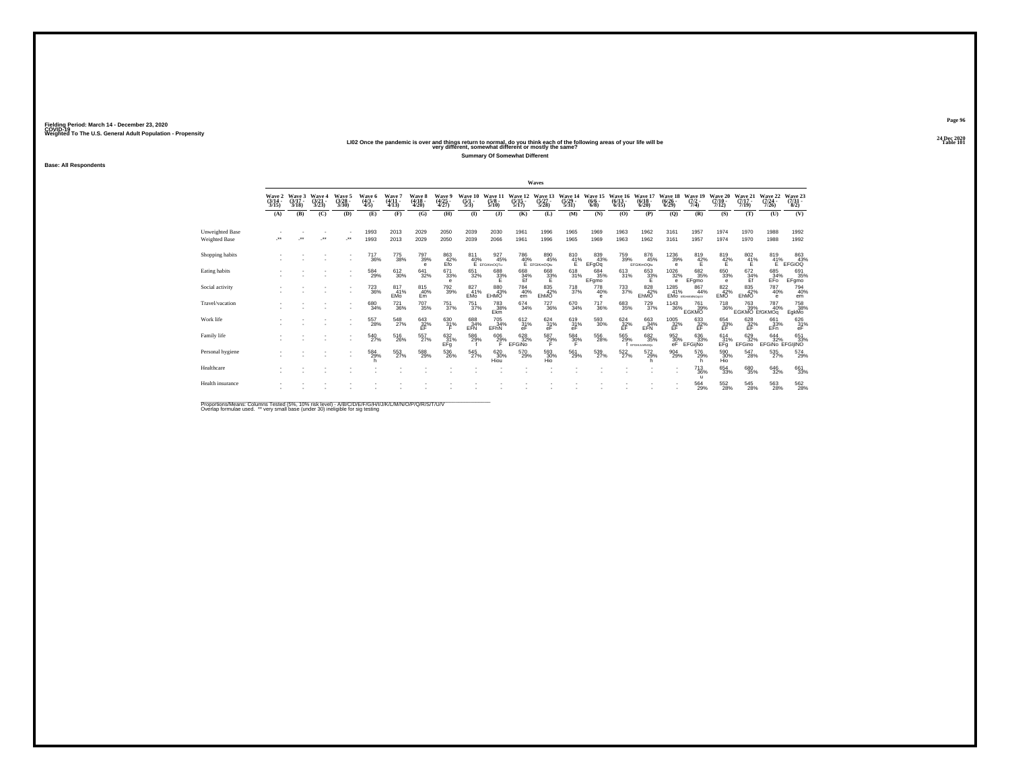|                                  | <b>Wave 2</b><br>$(3/14 -$<br>3/15 | Wave 3<br>$(3/17 -$<br>3/18 | Waye 4<br>$(3/21 -$<br>3/23 | Wave 5<br>$(3/28 -$<br>3/30 | Wave 6<br>$(4/3 -$<br>4/5     | Wave<br>$(4/11 -$<br>4/13 | <b>Wave 8</b><br>$(4/18 -$<br>4/20     | Wave<br>$\frac{(4/25)}{4/27}$ | $\frac{(5/1)}{5/3}$          | Wave<br>$\frac{(5/8)}{5/10}$ | $\frac{(5/15)}{5/17}$ | Wave<br>$\frac{(5/27)}{5/28}$           | Wave<br>$\frac{(5/29)}{5/31}$ | Wave 15<br>$(6/6 -$<br>6/8 | Wave 16<br>$\frac{(6/13)}{6/15}$ | Wave 17<br>$\frac{(6/18)}{6/20}$ | Wave '<br>$\frac{(6/26)}{(6/29)}$       | Wave 19<br>$(7/2 -$<br>7/4)                 | Wave 20<br>$(7/10 -$<br>7/12 | Wave 21<br>$(7/17 -$<br>7/19   | Wave 22<br>$\frac{(7/24 - 7)}{7/26}$ | Wave 23<br>$\frac{(7/31)}{8/2}$                             |
|----------------------------------|------------------------------------|-----------------------------|-----------------------------|-----------------------------|-------------------------------|---------------------------|----------------------------------------|-------------------------------|------------------------------|------------------------------|-----------------------|-----------------------------------------|-------------------------------|----------------------------|----------------------------------|----------------------------------|-----------------------------------------|---------------------------------------------|------------------------------|--------------------------------|--------------------------------------|-------------------------------------------------------------|
|                                  | (A)                                | (B)                         | (C)                         | (D)                         | (E)                           | (F)                       | (G)                                    | (H)                           | $\mathbf{I}$                 | (1)                          | (K)                   | (L)                                     | (M)                           | (N)                        | (O)                              | (P)                              | (Q)                                     | (R)                                         | (S)                          | (T)                            | (U)                                  | (V)                                                         |
| Unweighted Base<br>Weighted Base | $\ddot{\phantom{1}}$               | $\ddot{\phantom{0}}$        | $\bullet\bullet$            | $\cdot$                     | 1993<br>1993                  | 2013<br>2013              | 2029<br>2029                           | 2050<br>2050                  | 2039<br>2039                 | 2030<br>2066                 | 1961<br>1961          | 1996<br>1996                            | 1965<br>1965                  | 1969<br>1969               | 1963<br>1963                     | 1962<br>1962                     | 3161<br>3161                            | 1957<br>1957                                | 1974<br>1974                 | 1970<br>1970                   | 1988<br>1988                         | 1992<br>1992                                                |
| Shopping habits                  |                                    |                             |                             |                             | <sup>717</sup> <sub>36%</sub> | 775<br>38%                | 797<br>39%<br>e                        | 863<br>42%<br>Efo             | . 811<br>40%<br>Е егсікторты | 927<br>45%                   |                       | 786 89<br>40% 45<br>E EFGIKmOQtu<br>45% | $^{810}_{41\%}$               | 839<br>43%<br>EFgOq        | 759<br>39%                       | 876<br>45%<br>EFGIKmOQtu         | <sup>1236</sup> 39%<br>$\theta$         | $\frac{819}{42\%}$                          | $^{819}_{42\%}$              | $\frac{802}{41}\%$             | 819<br>$\frac{41}{5}$                | $\begin{array}{c} 863 \\ 43\% \\ \text{EFGiOQ} \end{array}$ |
| Eating habits                    |                                    |                             |                             |                             | 584<br>29%                    | 612<br>30%                | 641<br>32%                             | 671<br>33%<br>e               | 651<br>32%                   | 688<br>33%                   | 668<br>34%<br>Ef      | 668<br>33%                              | 618<br>31%                    | 684<br>35%<br>EFgmo        | 613<br>31%                       | 653<br>32%                       | 1026<br>32%<br>$\theta$                 | 682<br>35%<br>EFgmo                         | 650<br>33%<br>е              | $^{672}_{\substack{34\%\\Ef}}$ | 685<br>34%<br>EFO                    | 691<br>35%<br>EFgmo                                         |
| Social activity                  |                                    |                             |                             |                             | <sup>723</sup> <sub>36%</sub> | 817<br>41%<br>EMo         | 815<br>40%<br>Em                       | <sup>792</sup> 39%            | 827<br>41%<br><b>EMo</b>     | 880<br>43%<br>EHMO           | 784<br>40%<br>em      | 835<br>42%<br>EhMO                      | <sup>718</sup> <sub>37%</sub> | 778<br>40%<br>e            | $^{733}_{37\%}$                  | 828<br>42%<br>EhMO               | 1285<br>41%                             | 867<br>44%<br><b>EMO</b> <i>EIGHKWNOOUV</i> | 822 42%<br><b>EMO</b>        | 835<br>42%<br>EhMO             | 787<br>40%<br>e                      | 794<br>40%<br>em                                            |
| Travel/vacation                  |                                    |                             |                             |                             | 680<br>34%                    | <sup>721</sup> 36%        | <sup>707</sup> 35%                     | $^{751}_{37\%}$               | 751<br>37%                   | <sup>783</sup> 38%<br>Ekm    | $^{674}_{34\%}$       | $^{727}_{36\%}$                         | 670<br>34%                    | $\substack{717\\36\%}$     | 683<br>35%                       | $^{729}_{37\%}$                  | <sup>1143</sup> 36%                     | 761<br>39%<br><b>EGKMO</b>                  | <sup>718</sup> 36%           | 763<br>39%<br>EGKMO EIGKMOg    | 787<br>40%                           | 758 38%<br>EgkMo                                            |
| Work life                        |                                    |                             |                             |                             | 557<br>28%                    | 548<br>27%                | $^{643}_{\substack{32\%\\ \text{EF}}}$ | $\frac{630}{31\%}$            | 688<br>EFN                   | 705<br>34%<br>EFhN           | $\frac{612}{31}\%$    | $^{624}_{31\%}$<br>еF                   | $^{619}_{31\%}$ eF            | $^{593}_{\ 30\%}$          | $^{624}_{32\%}$                  | 663<br>EFN<br>EFN                | $^{1005}_{\substack{32\%\\ \text{EF}}}$ | 633<br>$_{\rm FF}^{32%}$                    | 654<br>33%<br>EF             | $\frac{628}{25}$ %             | 661<br>$E_{\text{F}}^{33\%}$         | $^{626}_{31\%}$ eF                                          |
| Family life                      |                                    |                             |                             |                             | 540<br>27%                    | 516<br>26%                | 557%                                   | $\frac{632}{31\%}$<br>EFg     | 586<br>29%                   | $^{606}_{29\%}$              | 628<br>32%<br>EFGINO  | 587<br>29%                              | $^{584}_{30\%}$               | 556<br>28%                 | 565<br>29%                       | $^{682}_{35\%}$<br>EFGHLLMNOQs   | 952%<br>еF                              | 636<br>33%<br>EFGijNo                       | $^{614}_{31\%}$<br>EFg       | 629<br>32%<br>EFGino           | 644<br>32%<br>EFGINo                 | 651<br>33%<br>EFGIJINO                                      |
| Personal hygiene                 |                                    |                             |                             |                             | 584<br>29%                    | 553<br>27%                | 588<br>29%                             | 536<br>26%                    | 545<br>27%                   | 620<br>30%<br>Hiou           | 570<br>29%            | 593<br>30%<br>Hio                       | 561<br>29%                    | 539<br>27%                 | 522<br>27%                       | 572<br>29%                       | 904<br>29%                              | 576<br>29%                                  | 590<br>30%                   | 547<br>28%                     | 535<br>27%                           | 574<br>29%                                                  |
| Healthcare                       |                                    |                             |                             |                             |                               |                           |                                        |                               |                              |                              |                       |                                         |                               |                            |                                  |                                  |                                         | <sup>713</sup> <sub>36%</sub><br>л          | 654<br>33%                   | 680<br>35%                     | 646<br>32%                           | 661<br>33%                                                  |
| Health insurance                 |                                    |                             |                             |                             |                               |                           |                                        |                               |                              |                              |                       |                                         |                               |                            |                                  |                                  |                                         | 564<br>29%                                  | 552<br>28%                   | 545<br>28%                     | 563<br>28%                           | 562<br>28%                                                  |

Proportions/Means: Columns Tested (5%, 10% risk level) - A/B/C/D/E/F/G/H/I/J/K/L/M/N/O/P/Q/R/S/T/U/V<br>Overlap formulae used. \*\* very small base (under 30) ineligible for sig testing

**Base: All Respondents**

**Fielding Period: March 14 - December 23, 2020 COVID-19 Weighted To The U.S. General Adult Population - Propensity**

2020 LIO2 Once the pandemic is over and things return to normal, do you think each of the following areas of your life will be<br>Very different, somewhat different or mostly the same? **Summary Of Somewhat Different**

**Waves**

**Page 9624 Dec 2020<br>Table 101**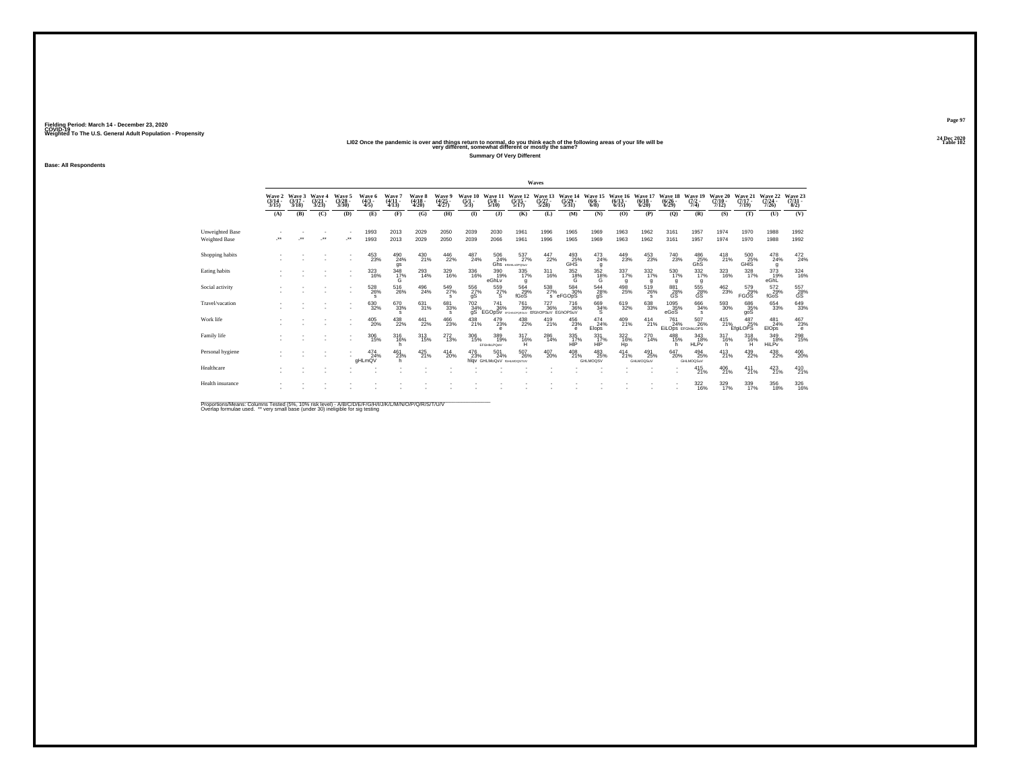24 Dec 2020<br>LIO2 Once the pandemic is over and things return to normal, do you think each of the following areas of your life will be<br>very different, somewhat different or mostly the same?

**Summary Of Very Different**

**Fielding Period: March 14 - December 23, 2020 COVID-19 Weighted To The U.S. General Adult Population - Propensity**

**Base: All Respondents**

|                                         |                                 |                          |                                 |                                |                               |                             |                                 |                              |                                |                                         |                                                               | Waves                            |                                  |                                 |                                 |                                 |                                 |                                            |                              |                                                       |                                  |                                       |
|-----------------------------------------|---------------------------------|--------------------------|---------------------------------|--------------------------------|-------------------------------|-----------------------------|---------------------------------|------------------------------|--------------------------------|-----------------------------------------|---------------------------------------------------------------|----------------------------------|----------------------------------|---------------------------------|---------------------------------|---------------------------------|---------------------------------|--------------------------------------------|------------------------------|-------------------------------------------------------|----------------------------------|---------------------------------------|
|                                         | Wave 2<br>$\frac{(3/14)}{3/15}$ | Wave 3<br>(3/17)<br>3/18 | Wave 4<br>$\frac{(3/21)}{3/23}$ | Wave 5<br>$\binom{3/28}{3/30}$ | Wave 6<br>$\frac{(4/3)}{4/5}$ | Wave 7<br>$(4/11 -$<br>4/13 | Wave 8<br>$\frac{(4/18)}{4/20}$ | Wave<br>$\binom{4/25}{4/27}$ | Wave 10<br>$\frac{(5/1)}{5/3}$ | Wave 11<br>$\frac{(5/8)}{5/10}$         | Wave 12<br>$\frac{(5/15)}{5/17}$                              | Wave 13<br>$\frac{(5/27)}{5/28}$ | Wave 14<br>$\frac{(5/29)}{5/31}$ | Wave 15<br>(6/6)<br>6/8         | Wave<br>16<br>$(6/13 -$<br>6/15 | Wave 17<br>$\binom{6/18}{6/20}$ | Wave 18<br>(6/26)<br>6/29       | Wave 19<br>$(7/2 -$<br>7/4                 | Wave 20<br>$(7/10 -$<br>7/12 | Wave 21<br>$(7/17 -$<br>7/19                          | Wave 22<br>$\frac{(7/24)}{7/26}$ | Wave 23<br>$\binom{7/31}{8/2}$        |
|                                         | (A)                             | (B)                      | (C)                             | (D)                            | (E)                           | (F)                         | (G)                             | (H)                          | $\mathbf{I}$                   | (3)                                     | (K)                                                           | (L)                              | (M)                              | (N)                             | (0)                             | (P)                             | (Q)                             | (R)                                        | (S)                          | (T)                                                   | (U)                              | (V)                                   |
| Unweighted Base<br><b>Weighted Base</b> | J.                              |                          | $\bullet\bullet$                | $\star$                        | 1993<br>1993                  | 2013<br>2013                | 2029<br>2029                    | 2050<br>2050                 | 2039<br>2039                   | 2030<br>2066                            | 1961<br>1961                                                  | 1996<br>1996                     | 1965<br>1965                     | 1969<br>1969                    | 1963<br>1963                    | 1962<br>1962                    | 3161<br>3161                    | 1957<br>1957                               | 1974<br>1974                 | 1970<br>1970                                          | 1988<br>1988                     | 1992<br>1992                          |
| Shopping habits                         |                                 |                          |                                 | $\sim$                         | 453                           | $^{490}_{24\%}$<br>gs       | 430<br>21%                      | 446<br>22%                   | $^{487}_{24\%}$                | $^{506}_{.24\%}$                        | 537%<br>Ghs EIGHLnOPOSuv                                      | $\frac{447}{22\%}$               | $^{493}_{25\%}$ GHS              | $^{473}_{24\%}$<br>$\mathbf{q}$ | 449<br>23%                      | $^{453}_{23\%}$                 | <sup>740</sup> <sub>23%</sub>   | $^{486}_{25\%}$<br>GhS                     | $^{418}_{21\%}$              | $^{500}_{\phantom{5}25\%}_{\phantom{5}6\mathrm{HIS}}$ | $^{478}_{24\%}$<br>g             | $^{472}_{24\%}$                       |
| Eating habits                           |                                 |                          |                                 |                                | $\frac{323}{16\%}$            | $\frac{348}{17\%}$          | 293<br>14%                      | 329<br>16%                   | $\underset{16\%}{336}$         | 390<br>19%<br>eGhLy                     | $\frac{335}{17\%}$<br>g                                       | $\frac{311}{16\%}$               | $^{352}_{~18\%}$                 | $\frac{352}{18\%}$              | 337<br>17%<br>g                 | $\frac{332}{17\%}$<br>a         | 530<br>17%<br>g                 | $\frac{332}{17\%}$<br>q                    | 323<br>16%                   | $\frac{328}{17\%}$                                    | 373<br>19%<br>eGhL               | $\frac{324}{16\%}$                    |
| Social activity                         |                                 |                          |                                 |                                | 528<br>26%<br>s               | $^{516}_{26\%}$             | 496<br>24%                      | 549<br>27%<br>s              | 556<br>27%<br>gS               | 559<br>27%<br><b>s</b>                  | 564<br>29%<br>fGoS                                            | $^{538}_{27\%}$                  | 584<br>30%<br>s eFGOpS           | 544<br>28%<br>qS                | 498<br>25%                      | 519<br>26%                      | 881<br>28%<br>GS                | $^{555}_{\phantom{5}28\%}_{\phantom{5}6S}$ | 462<br>23%                   | 579<br>29%<br><b>FGOS</b>                             | 572<br>29%<br>fGoS               | $^{557}_{\phantom{5}28\%}$ GS         |
| Travel/vacation                         |                                 |                          |                                 | $\overline{\phantom{a}}$       | 630<br>32%                    | 670 33%<br>s                | 631/31%                         | 681<br>33%                   | 702<br>34%<br>qŚ               | <sup>741</sup> 36%                      | <sup>761</sup> 39%<br>EGOpSV EFGHNOPORSHUV EIGHOPSUV EGHOPSUV | 727<br>36%                       | <sup>716</sup> 36%               | 669<br>34%                      | 619<br>32%                      | $\substack{638 \\ 33\%}$        | 1095<br>35%<br>eGoS             | $\substack{666 \\ 34\%}$<br>s              | 593<br>30%                   | 686<br>35%<br>goS                                     | 654<br>33%                       | $649 \over 33\%$                      |
| Work life                               |                                 |                          |                                 |                                | 405<br>20%                    | $^{438}_{22\%}$             | $\frac{441}{22\%}$              | 466<br>23%                   | 438<br>21%                     | 479<br>23%<br>e                         | 438<br>22%                                                    | 419<br>21%                       | 456<br>23%<br>e                  | 474<br>24%<br>Elops             | $^{409}_{21\%}$                 | $^{414}_{21\%}$                 | 761<br>24%<br>EILOPS EFGHIKLOPS | 507<br>26%                                 | 415                          | 487<br>$21\%$ EfgiLOPS                                | 481<br>24%<br>EIOps              | $^{467}_{23\%}$<br>$\mathbf e$        |
| Family life                             |                                 |                          |                                 |                                | 306<br>15%                    | $316/16$ %<br>h.            | $313 \atop 15\%$                | $^{272}_{13\%}$              | 306<br>15%                     | 389<br>19%<br><b>EFGHIKLPOstV</b>       | $^{317}_{16\%}$<br>н                                          | 286<br>14%                       | 335<br>17%<br>HIP                | $\frac{331}{17\%}$<br>HIP       | $\frac{322}{16\%}$<br>Hp        | $^{270}_{14\%}$                 | 488<br>15%<br>h                 | $\frac{343}{18\%}$<br><b>HLPv</b>          | $^{317}_{16\%}$<br>h.        | $318 \atop 16\%$<br>н                                 | 349/18%<br>HiLPy                 | $^{298}_{15\%}$                       |
| Personal hygiene                        |                                 |                          |                                 |                                | 474<br>aHLmQV                 | 461<br>23%                  | $^{425}_{21\%}$                 | 414<br>20%                   | 476<br>23%                     | 501<br>24%<br>hlav GHLMoQsV rGHLMOQSTUV | 507<br>26%                                                    | 407<br>20%                       | 408<br>21%                       | 483<br>25%<br>GHLMOQSV          | 414<br>21%                      | 491<br>25%<br>GHLMOQSuV         | 647<br>20%                      | 494<br>25%<br>GHLMOQSuV                    | 413<br>21%                   | 439<br>22%                                            | 438<br>22%                       | $^{406}_{\phantom{1}\phantom{1}20\%}$ |
| Healthcare                              |                                 |                          |                                 |                                |                               |                             |                                 |                              |                                |                                         |                                                               |                                  |                                  |                                 |                                 |                                 | ٠                               | $^{415}_{21\%}$                            | 406<br>21%                   | $^{411}_{21\%}$                                       | 423                              | $^{410}_{21\%}$                       |
| Health insurance                        |                                 |                          |                                 |                                |                               |                             |                                 |                              |                                |                                         |                                                               |                                  |                                  |                                 |                                 |                                 |                                 | $\frac{322}{16\%}$                         | 329/17%                      | 339/17%                                               | 356<br>18%                       | $\frac{326}{16\%}$                    |

Proportions/Means: Columns Tested (5%, 10% risk level) - A/B/C/D/E/F/G/H/I/J/K/L/M/N/O/P/Q/R/S/T/U/V<br>Overlap formulae used. \*\* very small base (under 30) ineligible for sig testing

**Page 9724 Dec 2020<br>Table 102**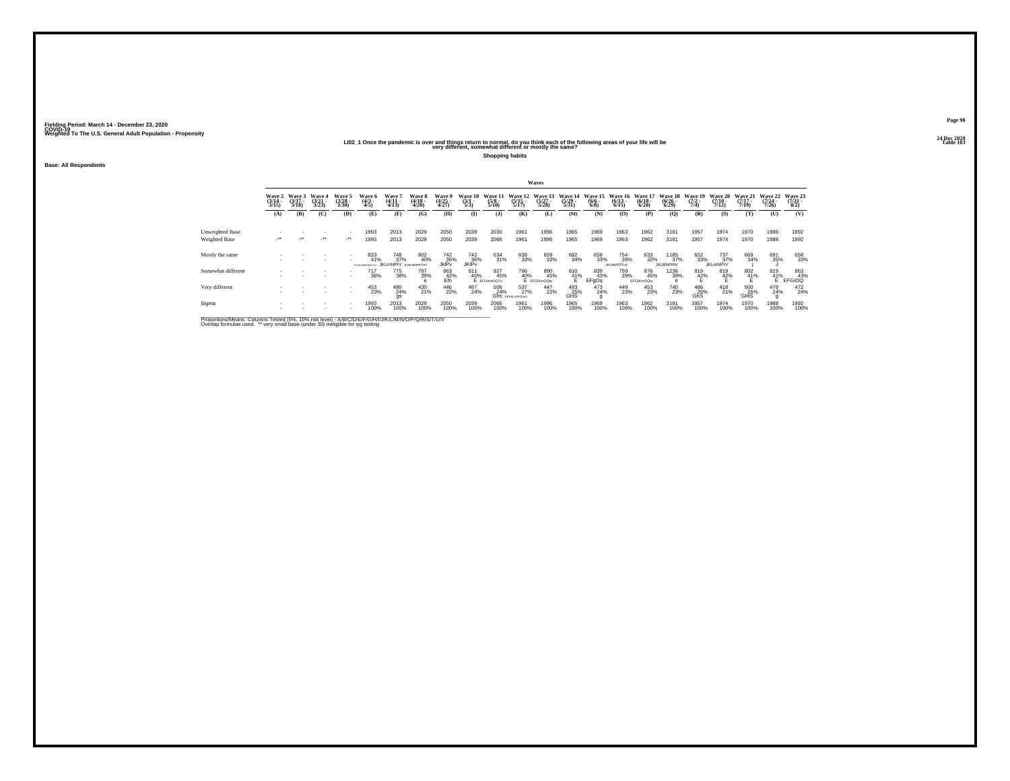# 2021 2 - 2020<br>LIO2\_1 Once the pandemic is over and things return to normal, do you think each of the following areas of your life will be<br>very different, somewhat different or mostly the same?

**Shopping habits**

**Base: All Respondents**

|                                  |                           |                             |                         |                             |                                     |                                                                 |                           |                                        |                           |                                                |                               | Waves                                          |                          |                                |                                 |                                  |                                  |                                |                                      |                                  |                                      |                                |
|----------------------------------|---------------------------|-----------------------------|-------------------------|-----------------------------|-------------------------------------|-----------------------------------------------------------------|---------------------------|----------------------------------------|---------------------------|------------------------------------------------|-------------------------------|------------------------------------------------|--------------------------|--------------------------------|---------------------------------|----------------------------------|----------------------------------|--------------------------------|--------------------------------------|----------------------------------|--------------------------------------|--------------------------------|
|                                  | Wave 2<br>(3/14 -<br>3/15 | Wave 3<br>$(3/17 -$<br>3/18 | Wave 4<br>(3/2)<br>3/23 | Wave 5<br>$(3/28 -$<br>3/30 | Wave 6<br>$\frac{(4/3)}{4/5}$       | Wave '<br>$(4/11 -$<br>4/13                                     | Wave 8<br>(4/18 -<br>4/20 | Wave 9<br>(4/25<br>4/27)               | Wave 10<br>(5/1 -<br>5/3) | Wave 1<br>$\frac{(5/8)}{5/10}$                 | Wave 12<br>$(5/15 -$<br>5/17  | Wave 13<br>$\binom{5/27}{5/28}$                | Wave 14<br>(5/29<br>5/31 | Wave 15<br>$\frac{(6/6)}{6/8}$ | Wave 16<br>$(6/13 -$<br>6/15    | Wave 17<br>$\frac{(6/18)}{6/20}$ | Wave 18<br>$\frac{(6/26)}{6/29}$ | Wave 19<br>$\frac{(7/2)}{7/4}$ | Wave 20<br>$\frac{(7/10)}{7/12}$     | Wave 21<br>$\frac{(7/17)}{7/19}$ | Wave 22<br>$\frac{(7/24 - 7)}{7/26}$ | Wave 23<br>(7/31 -<br>8/2)     |
|                                  | (A)                       | (B)                         | (C)                     | (D)                         | (E)                                 | (F)                                                             | (G)                       | (H)                                    | $\bf(I)$                  | (3)                                            | (K)                           | (L)                                            | (M)                      | (N)                            | (0)                             | (P)                              | (0)                              | (R)                            | (S)                                  | (T)                              | (U)                                  | (V)                            |
| Unweighted Base<br>Weighted Base | $\ddot{\phantom{1}}$      | $\cdot$                     | $\cdot$                 | $\cdot$                     | 1993<br>1993                        | 2013<br>2013                                                    | 2029<br>2029              | 2050<br>2050                           | 2039<br>2039              | 2030<br>2066                                   | 1961<br>1961                  | 1996<br>1996                                   | 1965<br>1965             | 1969<br>1969                   | 1963<br>1963                    | 1962<br>1962                     | 3161<br>3161                     | 1957<br>1957                   | 1974<br>1974                         | 1970<br>1970                     | 1988<br>1988                         | 1992<br>1992                   |
| Mostly the same                  |                           |                             | ٠                       | $\sim$                      | 823<br>41%<br><b>FHUILMNPORITUY</b> | <sup>748</sup> <sub>37%</sub><br><b>IKI mNPrV</b> NJKI MNPRTLIV | 802<br>40%                | 742<br>36%<br><b>JkIP</b> <sub>v</sub> | 742<br>36%<br>JKIPv       | 634<br>31%                                     | 638<br>33%                    | 659<br>33%                                     | 662<br>34%               | 658<br>33%                     | 754<br>38%<br><b>JKLMNPRTuV</b> | 633<br>32%                       | 1185<br>37%<br><b>JKLMNPRtV</b>  | 652<br>33%                     | 737 <sub>9%</sub><br><b>JKLmNPrV</b> | 669<br>34%                       | 691<br>35%                           | 658<br>33%                     |
| Somewhat different               |                           |                             |                         |                             | 717<br>36%                          | 775<br>38%                                                      | 797<br>39%                | $_{\rm E}^{863}$ $_{\rm Efo}^{42\%}$   |                           | 927<br>45%<br>811 92<br>40% 42<br>E EFGIKmOQTu |                               | 786 85<br>40% 45<br>E EFGIKmOQtu<br>890<br>45% | $^{810}_{41\%}$          | 839<br>43%<br>EFgOq            | 759<br>39%                      | 876<br>45%<br>EFGIKmOQtu         | 1236<br>39%                      | 819<br>42%                     | 819<br>42%                           | $\frac{802}{41\%}$               |                                      | 819 863<br>41% 43%<br>E FFGiOQ |
| Very different                   |                           |                             |                         |                             | 453                                 | 490<br>24%<br>gs                                                | 430<br>21%                | 446<br>22%                             | 487<br>24%                | 506<br>24%                                     | 537<br>27%<br>GhS EIGHLOPOSUV | 447<br>22%                                     | 493<br>25%<br>GHS        | 473<br>24%                     | 449<br>23%                      | 453<br>23%                       | <sup>740</sup> <sub>23%</sub>    | 486<br>25%<br>GhS              | $^{418}_{21\%}$                      | 500<br>25%<br>GHIS               | 478<br>24%                           | 472<br>24%                     |
| Sigma                            |                           |                             |                         |                             | 1993<br>100%                        | 2013<br>100%                                                    | 2029<br>100%              | 2050<br>100%                           | 2039<br>100%              | 2066<br>100%                                   | 1961<br>100%                  | 1996<br>100%                                   | 1965<br>100%             | 1969<br>100%                   | 1963<br>100%                    | 1962<br>100%                     | 3161<br>100%                     | 1957<br>100%                   | 1974<br>100%                         | 1970<br>100%                     | 1988<br>100%                         | 1992<br>100%                   |

Proportions/Means: Columns Tested (5%, 10% risk level) - A/B/C/D/E/F/G/H/I/J/K/L/M/N/O/P/Q/R/S/T/U/V<br>Overlap formulae used. \*\* very small base (under 30) ineligible for sig testing

**Page 9824 Dec 2020<br>Table 103**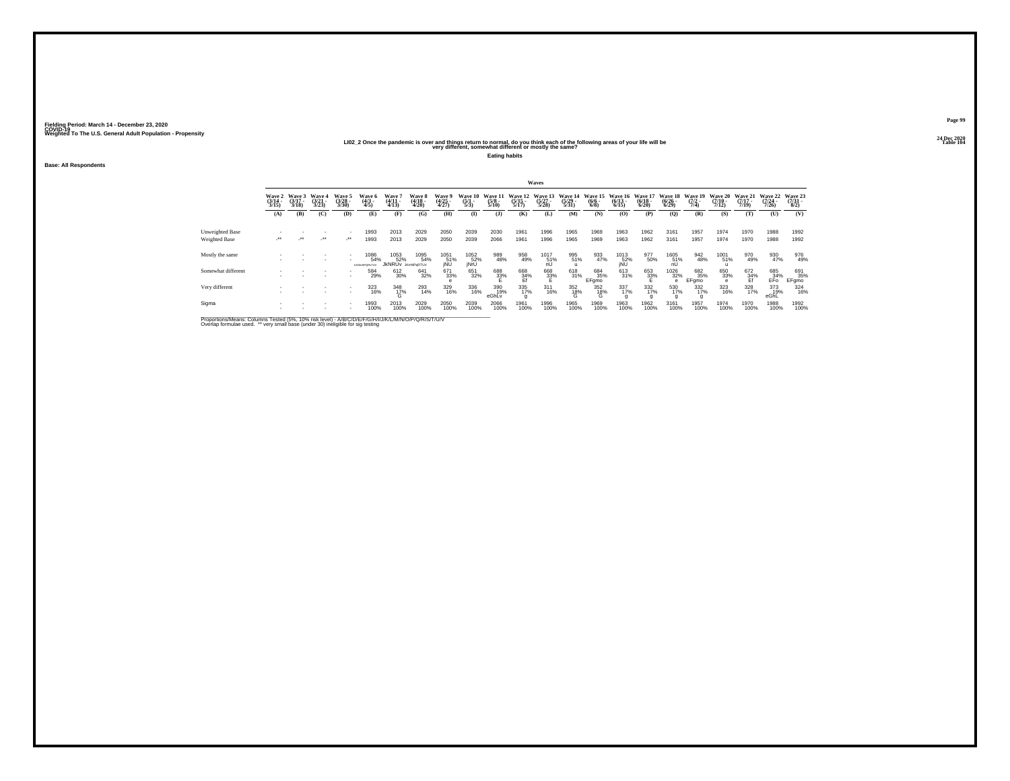# 202\_2 2 Once the pandemic is over and things return to normal, do you think each of the following areas of your life will be "Sallowing" return to normal, do you think each of the following areas of your life will be "Tab

**Eating habits**

**Base: All Respondents**

|                                  |                           |                             |                          |                             |                               |                                         |                            |                          |                              |                         |                              | Waves                           |                                  |                                |                                  |                                 |                                         |                                |                                  |                                  |                                  |                            |
|----------------------------------|---------------------------|-----------------------------|--------------------------|-----------------------------|-------------------------------|-----------------------------------------|----------------------------|--------------------------|------------------------------|-------------------------|------------------------------|---------------------------------|----------------------------------|--------------------------------|----------------------------------|---------------------------------|-----------------------------------------|--------------------------------|----------------------------------|----------------------------------|----------------------------------|----------------------------|
|                                  | Wave 2<br>(3/14 -<br>3/15 | Wave 3<br>$(3/17 -$<br>3/18 | Wave 4<br>(3/21)<br>3/23 | Wave 5<br>$(3/28 -$<br>3/30 | Wave 6<br>$\frac{(4/3)}{4/5}$ | Wave '<br>$(4/11 -$<br>4/13             | Wave 8<br>(4/18 -<br>4/20) | Wave 5<br>(4/25<br>4/27) | Wave 10<br>$\frac{(5)}{5/3}$ | Wave 1<br>$\frac{5}{8}$ | Wave 12<br>$(5/15 -$<br>5/17 | Wave 13<br>$\binom{5/27}{5/28}$ | Wave 14<br>$\frac{(5/29)}{5/31}$ | Wave 15<br>$\frac{(6/6)}{6/8}$ | Wave 16<br>$\frac{(6/13)}{6/15}$ | Wave 1<br>$\frac{(6/18)}{6/20}$ | Wave 18<br>$\frac{(6/26)}{6/29}$        | Wave 19<br>$\frac{(7/2)}{7/4}$ | Wave 20<br>$\frac{(7/10)}{7/12}$ | Wave 21<br>$\frac{(7/17)}{7/19}$ | Wave 22<br>$\frac{(7/24)}{7/26}$ | Wave 23<br>(7/31 -<br>8/2) |
|                                  | (A)                       | (B)                         | (C)                      | (D)                         | (E)                           | (F)                                     | (G)                        | (H)                      | $\bf(I)$                     | (3)                     | (K)                          | (L)                             | (M)                              | (N)                            | (0)                              | (P)                             | $\mathbf{Q}$                            | (R)                            | (S)                              | (T)                              | (U)                              | (V)                        |
| Unweighted Base<br>Weighted Base | $\cdot$                   | $\cdot$                     | $\cdot$                  | $\cdot$                     | 1993<br>1993                  | 2013<br>2013                            | 2029<br>2029               | 2050<br>2050             | 2039<br>2039                 | 2030<br>2066            | 1961<br>1961                 | 1996<br>1996                    | 1965<br>1965                     | 1969<br>1969                   | 1963<br>1963                     | 1962<br>1962                    | 3161<br>3161                            | 1957<br>1957                   | 1974<br>1974                     | 1970<br>1970                     | 1988<br>1988                     | 1992<br>1992               |
| Mostly the same                  |                           |                             |                          |                             | 1086<br>54%<br>N BOWNPORTEN   | 1053<br>52%<br><b>JKNRUV JKMNPQRTUV</b> | 1095<br>54%                | 1051<br>51%<br>jNU       | 1052<br>52%<br>jNrU          | 989<br>48%              | 958<br>49%                   | 1017<br>51%<br>ñÙ               | 995<br>51%                       | 933<br>47%                     | 1013<br>52%<br>jNU               | 977<br>50%                      | $^{1605}_{\substack{51\%\\ \text{nU}}}$ | 942<br>48%                     | 1001<br>51%                      | 970<br>49%                       | 930<br>47%                       | 976<br>49%                 |
| Somewhat different               |                           |                             |                          |                             | 584<br>29%                    | 612<br>30%                              | 641<br>32%                 | $671 \atop 33\%$         | 651<br>32%                   | 688<br>33%              | 668<br>34%<br>Ef             | 668<br>33%                      | 618<br>31%                       | 684<br>35%<br>EFgmo            | 613<br>31%                       | 653<br>33%                      | 1026<br>32%                             | 682<br>35%<br>EFgmo            | 650<br>33%<br><b>A</b>           | $^{672}_{34\%}$                  | 685<br>_34%<br>EFo               | 691<br>35%<br>EFgmo        |
| Very different                   |                           |                             |                          | $\overline{\phantom{a}}$    | 323<br>16%                    | 348<br>17%<br>G                         | 293<br>14%                 | 329<br>16%               | 336<br>16%                   | 390<br>19%<br>eGhLv     | 335<br>17%                   | $311$<br>$16\%$                 | $^{352}_{18\%}$                  | 352<br>18%<br>G                | 337<br>17%                       | $\frac{332}{17\%}$              | 530<br>17%                              | 332<br>17%                     | 323<br>16%                       | 328<br>17%                       | 373<br>19%<br>eGhL               | 324<br>16%                 |
| Sigma                            |                           |                             |                          |                             | 1993<br>100%                  | 2013<br>100%                            | 2029<br>100%               | 2050<br>100%             | 2039<br>100%                 | 2066<br>100%            | 1961<br>100%                 | 1996<br>100%                    | 1965<br>100%                     | 1969<br>100%                   | 1963<br>100%                     | 1962<br>100%                    | 3161<br>100%                            | 1957<br>100%                   | 1974<br>100%                     | 1970<br>100%                     | 1988<br>100%                     | 1992<br>100%               |

Proportions/Means: Columns Tested (5%, 10% risk level) - A/B/C/D/E/F/G/H/I/J/K/L/M/N/O/P/Q/R/S/T/U/V<br>Overlap formulae used. \*\* very small base (under 30) ineligible for sig testing

**Page 9924 Dec 2020<br>Table 104**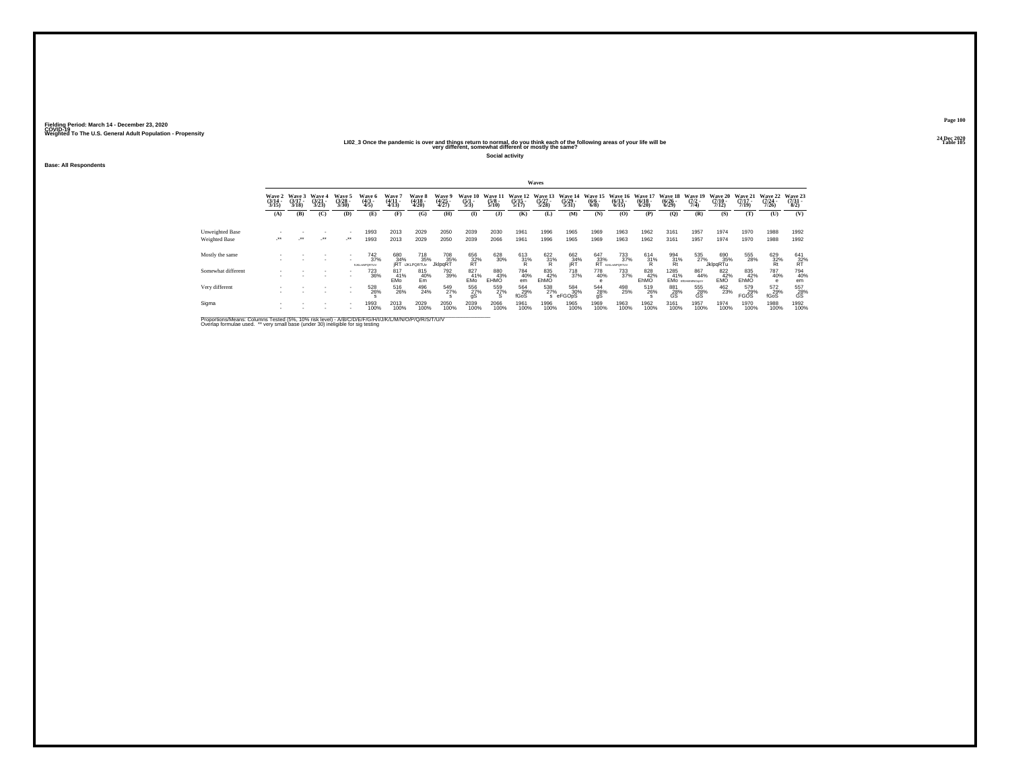# 202\_2 20 All Dec 2020<br>LIO2\_3 Once the pandemic is over and things return to normal, do you think each of the following areas of your life will be<br>very different, somewhat different or mostly the same?

**Social activity**

**Base: All Respondents**

|                                  |                            |                             |                          |                                     |                                 |                          |                                                            |                          |                                |                             |                                  | Waves                        |                              |                                 |                                   |                                 |                                 |                                                  |                               |                             |                                      |                          |
|----------------------------------|----------------------------|-----------------------------|--------------------------|-------------------------------------|---------------------------------|--------------------------|------------------------------------------------------------|--------------------------|--------------------------------|-----------------------------|----------------------------------|------------------------------|------------------------------|---------------------------------|-----------------------------------|---------------------------------|---------------------------------|--------------------------------------------------|-------------------------------|-----------------------------|--------------------------------------|--------------------------|
|                                  | Wave 2<br>(3/14 -<br>3/15) | Wave 3<br>$(3/17 -$<br>3/18 | Wave 4<br>(3/21)<br>3/23 | Wave 5<br>$(3/28 -$<br>3/30         | Wave 6<br>$\frac{(4/3)}{4/5}$   | Wave 7<br>(4/11<br>4/13) | Wave 8<br>(4/18 -<br>4/20)                                 | Wave 9<br>(4/25<br>4/27) | Wave 10<br>$\frac{(5/1)}{5/3}$ | Wave 11<br>$(5/8 -$<br>5/10 | Wave 12<br>$\frac{(5/15)}{5/17}$ | Wave 13<br>$(5/27 -$<br>5/28 | Wave 14<br>$(5/29 -$<br>5/31 | Wave 15<br>$\binom{6/6}{6/8}$   | Wave 16<br>$(6/13 -$<br>6/15      | Wave 1<br>$\frac{(6/18)}{6/20}$ | Wave 18<br>$\binom{6/26}{6/29}$ | Wave 19<br>$\frac{(7/2)}{7/4}$                   | Wave 20<br>$(7/10 -$<br>7/12  | Wave 21<br>(7/17 -<br>7/19) | Wave 22<br>$\frac{(7/24 - 7)}{7/26}$ | Wave 23<br>(7/31<br>8/2) |
|                                  | (A)                        | (B)                         | (C)                      | (D)                                 | (E)                             | (F)                      | (G)                                                        | (H)                      | $\bf{I}$                       | $($ $)$                     | (K)                              | (L)                          | (M)                          | (N)                             | (0)                               | (P)                             | (Q)                             | (R)                                              | (S)                           | (T)                         | (U)                                  | (V)                      |
| Unweighted Base<br>Weighted Base | $\cdot$                    | $\cdot$                     | ٠<br>$\cdot$             | $\overline{\phantom{a}}$<br>$\cdot$ | 1993<br>1993                    | 2013<br>2013             | 2029<br>2029                                               | 2050<br>2050             | 2039<br>2039                   | 2030<br>2066                | 1961<br>1961                     | 1996<br>1996                 | 1965<br>1965                 | 1969<br>1969                    | 1963<br>1963                      | 1962<br>1962                    | 3161<br>3161                    | 1957<br>1957                                     | 1974<br>1974                  | 1970<br>1970                | 1988<br>1988                         | 1992<br>1992             |
| Mostly the same                  |                            |                             |                          | ٠                                   | $^{742}_{37\%}$<br>furlime@RTUV |                          | <sup>718</sup> 35%<br>680 718<br>34% 35%<br>jRT iJKLPQRTUv | 708<br>35%<br>JklpqRT    | 656<br>32%<br>RT               | 628<br>30%                  | $^{613}_{31\%}$                  | $\frac{622}{31}\%$           | 662<br>34%<br>iRT            | $^{647}_{33\%}$ RT $^{18}_{13}$ | 733<br>37%<br><b>BJKLmNPQRTUV</b> | $^{614}_{31\%}$                 | $^{994}_{\substack{31\%\\Rt}}$  | 535<br>27%                                       | 690<br>35%<br><b>JklpgRTu</b> | 555<br>28%                  | 629<br>32%<br>Rt                     | $^{641}_{32\%}$          |
| Somewhat different               |                            |                             | $\sim$                   | ٠                                   | 723<br>36%                      | 817<br>41%<br>EMO        | 815<br>40%<br>Em                                           | 792<br>39%               | 827<br>41%<br>EMO              | 880<br>EHMO                 | 784<br>40%<br>em                 | 835<br>42%<br>EhMO           | <sup>718</sup> 37%           | 778<br>40%                      | 733<br>37%                        | 828<br>42%<br>EhMO              | 1285<br>41%                     | 867<br>44%<br>EMO EIGHKWNOOLV                    | 822<br>42%<br>EMO             | 835<br>42%<br>EhMO          | 787<br>40%                           | 794<br>40%<br>em         |
| Very different                   |                            |                             |                          | $\mathbf{r}$<br>٠                   | 528<br>26%                      | 516<br>26%               | 496<br>24%                                                 | 549<br>27%               | 556<br>27%                     | 559<br>27%<br>S             | 564<br>29%<br>fGoS               | 538<br>27%<br>s              | 584<br>30%<br>eFGOpS         | 544<br>28%<br>gŚ                | 498<br>25%                        | 519<br>26%                      | 881<br>28%<br>GS                | $^{555}_{\phantom{5}28\%}_{\phantom{5} \rm{GS}}$ | 462<br>23%                    | 579<br>29%<br><b>FGOS</b>   | 572<br>29%<br>fGoS                   | $^{557}_{28\%}$ GS       |
| Sigma                            |                            |                             | ٠                        | ٠<br>٠                              | 1993<br>100%                    | 2013<br>100%             | 2029<br>100%                                               | 2050<br>100%             | 2039<br>100%                   | 2066<br>100%                | 1961<br>100%                     | 1996<br>100%                 | 1965<br>100%                 | 1969<br>100%                    | 1963<br>100%                      | 1962<br>100%                    | 3161<br>100%                    | 1957<br>100%                                     | 1974<br>100%                  | 1970<br>100%                | 1988<br>100%                         | 1992<br>100%             |

Proportions/Means: Columns Tested (5%, 10% risk level) - A/B/C/D/E/F/G/H/I/J/K/L/M/N/O/P/Q/R/S/T/U/V<br>Overlap formulae used. \*\* very small base (under 30) ineligible for sig testing

**Page 10024 Dec 2020<br>Table 105**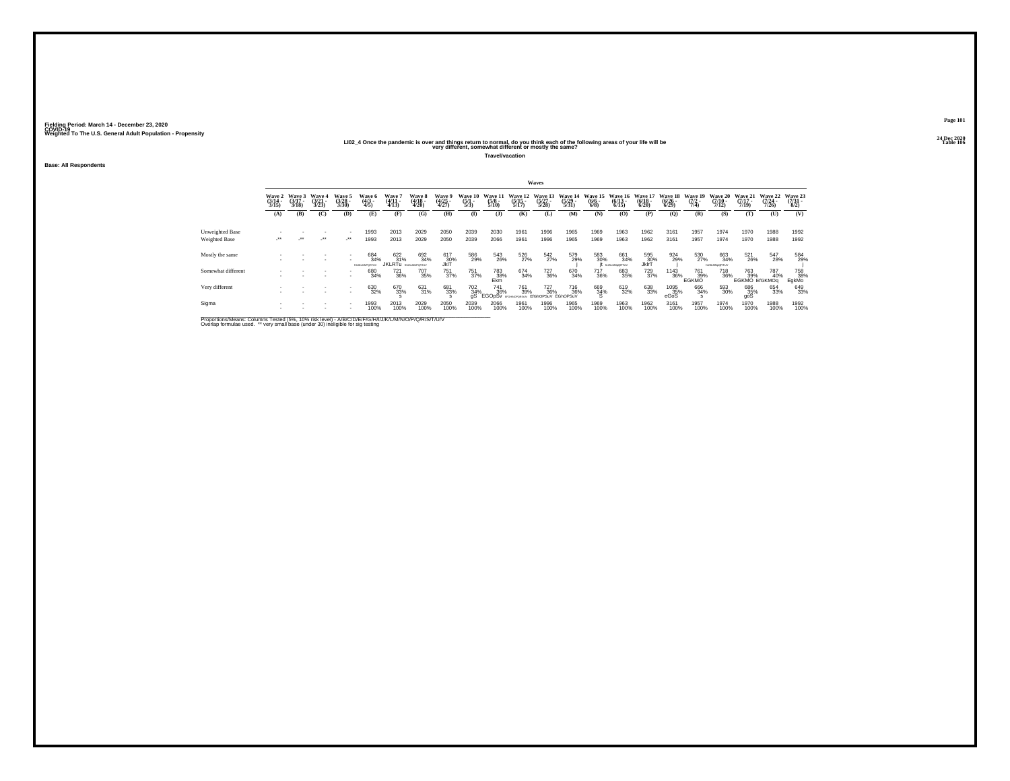# 2024<br>LIO2\_4 Once the pandemic is over and things return to normal, do you think each of the following areas of your life will be<br>very different, somewhat different or mostly the same?

**Travel/vacation**

**Base: All Respondents**

|                                  |                            |                |                         |                            |                                         |                                       |                            |                          |                                |                                 |                                  | Waves                                      |                                           |                               |                                   |                                  |                                  |                                |                                      |                                          |                                  |                                 |
|----------------------------------|----------------------------|----------------|-------------------------|----------------------------|-----------------------------------------|---------------------------------------|----------------------------|--------------------------|--------------------------------|---------------------------------|----------------------------------|--------------------------------------------|-------------------------------------------|-------------------------------|-----------------------------------|----------------------------------|----------------------------------|--------------------------------|--------------------------------------|------------------------------------------|----------------------------------|---------------------------------|
|                                  | Wave 2<br>(3/14 -<br>3/15) | Wave 3<br>3/18 | Waye 4<br>(3/21<br>3/23 | Wave 5<br>(3/28 -<br>3/30) | Wave 6<br>(4/3 -<br>4/5)                | Wave 7<br>(4/11<br>4/13)              | Wave 8<br>(4/18 -<br>4/20) | Wave 9<br>(4/25<br>4/27) | Wave 10<br>$\frac{(5/1)}{5/3}$ | Wave 11<br>$\frac{(5/8)}{5/10}$ | Wave 12<br>$\frac{(5/15)}{5/17}$ | Wave 13<br>(5/27 -<br>5/28)                | Wave 14<br>$\frac{(5/29)}{5/31}$          | Wave 15<br>$\binom{6/6}{6/8}$ | Wave 16<br>$\binom{6/13}{6/15}$   | Wave 17<br>$\frac{(6/18)}{6/20}$ | Wave 18<br>$\frac{(6/26)}{6/29}$ | Wave 19<br>$\frac{(7/2)}{7/4}$ | Wave 20<br>$\frac{(7/10)}{7/12}$     | Wave 21<br>$\frac{(7/17)}{7/19}$         | Wave 22<br>$\frac{(7/24)}{7/26}$ | Wave 23<br>$\frac{(7/31)}{8/2}$ |
|                                  | (A)                        | (B)            | (C)                     | (D)                        | (E)                                     | (F)                                   | (G)                        | (H)                      | (1)                            | (1)                             | (K)                              | (L)                                        | (M)                                       | (N)                           | (0)                               | (P)                              | (0)                              | (R)                            | (S)                                  | (T)                                      | (U)                              | (V)                             |
| Unweighted Base<br>Weighted Base | $\cdot$                    |                | $\cdot$                 | $\cdot$                    | 1993<br>1993                            | 2013<br>2013                          | 2029<br>2029               | 2050<br>2050             | 2039<br>2039                   | 2030<br>2066                    | 1961<br>1961                     | 1996<br>1996                               | 1965<br>1965                              | 1969<br>1969                  | 1963<br>1963                      | 1962<br>1962                     | 3161<br>3161                     | 1957<br>1957                   | 1974<br>1974                         | 1970<br>1970                             | 1988<br>1988                     | 1992<br>1992                    |
| Mostly the same                  |                            |                |                         |                            | 684<br>34%<br><b>BE ICI MADORETI IV</b> | 622/31%<br><b>JKLRTU</b> DEJALMPORTUV | 692<br>34%                 | 617<br>30%<br>JkIT       | 586<br>29%                     | 543<br>26%                      | 526<br>27%                       | 542<br>27%                                 | 579<br>29%                                | 583<br>30%                    | 661<br>34%<br><b>NJKLMN=ORTUV</b> | 595<br>30%<br>JklrT              | 924<br>29%                       | 530<br>27%                     | 663<br>34%<br><b>NJKLMN&gt;ORTUV</b> | 521<br>26%                               | 547<br>28%                       | 584<br>29%                      |
| Somewhat different               |                            |                |                         | . .                        | 680<br>34%                              | $\substack{721 \\ 36\%}$              | 707<br>35%                 | 751<br>37%               | 751<br>37%                     | 783<br>38%<br>Ekm               | 674<br>34%                       | 727<br>36%                                 | 670<br>34%                                | 717<br>36%                    | 683<br>35%                        | 729<br>37%                       | $\frac{1143}{36\%}$              | 761<br>39%<br>EGKMO            | 718<br>36%                           | 763 787<br>109 139% 409<br>EGKMO EIGKMOq | 40%                              | 758<br>38%<br>EgkMo             |
| Very different                   |                            |                |                         |                            | 630<br>32%                              | 670<br>33%                            | 631<br>31%                 | 681<br>33%               | 702<br>34%<br>άŚ               | 741<br>36%<br><b>EGOpSy</b>     | 761<br>39%<br>EDGAM/SOD SEN      | <sup>727</sup> <sub>36%</sub><br>EIGhOPSuV | <sup>716</sup> <sub>36%</sub><br>EGhOPSuV | 669<br>34%<br>s               | 619<br>32%                        | 638<br>33%                       | 1095<br>35%<br>eGoS              | 666<br>34%                     | 593<br>30%                           | 686<br>35%<br>goS                        | 654<br>33%                       | 649<br>33%                      |
| Sigma                            |                            |                |                         |                            | 1993<br>100%                            | 2013<br>100%                          | 2029<br>100%               | 2050<br>100%             | 2039<br>100%                   | 2066<br>100%                    | 1961<br>100%                     | 1996<br>100%                               | 1965<br>100%                              | 1969<br>100%                  | 1963<br>100%                      | 1962<br>100%                     | 3161<br>100%                     | 1957<br>100%                   | 1974<br>100%                         | 1970<br>100%                             | 1988<br>100%                     | 1992<br>100%                    |

Proportions/Means: Columns Tested (5%, 10% risk level) - A/B/C/D/E/F/G/H/I/J/K/L/M/N/O/P/Q/R/S/T/U/V<br>Overlap formulae used. \*\* very small base (under 30) ineligible for sig testing

**Page 10124 Dec 2020<br>Table 106**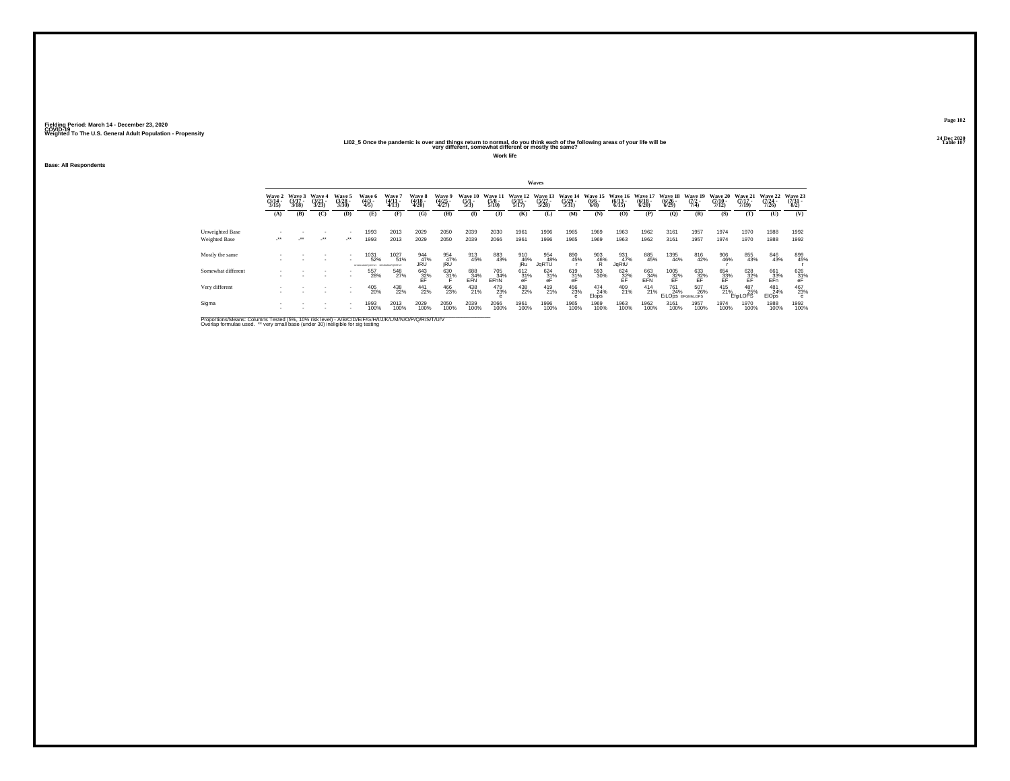# 2021 – 2022<br>LIO2\_5 Once the pandemic is over and things return to normal, do you think each of the following areas of your life will be<br>very different, somewhat different or mostly the same?

**Work life**

**Base: All Respondents**

|                                  |                            |                             |                                 |                                |                                           |                        |                            |                          |                              |                             |                                  | Waves                            |                                  |                            |                                        |                                  |                                                           |                                |                           |                                  |                                  |                            |
|----------------------------------|----------------------------|-----------------------------|---------------------------------|--------------------------------|-------------------------------------------|------------------------|----------------------------|--------------------------|------------------------------|-----------------------------|----------------------------------|----------------------------------|----------------------------------|----------------------------|----------------------------------------|----------------------------------|-----------------------------------------------------------|--------------------------------|---------------------------|----------------------------------|----------------------------------|----------------------------|
|                                  | Wave 2<br>(3/14 -<br>3/15) | Wave 3<br>$(3/17 -$<br>3/18 | Wave 4<br>$\frac{(3/21)}{3/23}$ | Wave 5<br>$\binom{3/28}{3/30}$ | Wave 6<br>(4/3 -<br>4/5)                  | Wave<br>(4/11<br>4/13) | Wave 8<br>(4/18 -<br>4/20) | Wave 9<br>(4/25<br>4/27) | Wave 10<br>$\frac{(5)}{5/3}$ | Wave 11<br>$(5/8 -$<br>5/10 | Wave 12<br>$\frac{(5/15)}{5/17}$ | Wave 13<br>$\frac{(5/27)}{5/28}$ | Wave 14<br>$\frac{(5/29)}{5/31}$ | Wave 15<br>$(6/6 -$<br>6/8 | Wave 16<br>$\frac{(6/13)}{6/15}$       | Wave 17<br>$\frac{(6/18)}{6/20}$ | Wave 18<br>$\frac{(6/26)}{6/29}$                          | Wave 19<br>$\frac{(7/2)}{7/4}$ | Wave 20<br>$\frac{7}{12}$ | Wave 21<br>$\frac{(7/17)}{7/19}$ | Wave 22<br>$\frac{(7/24)}{7/26}$ | Wave 23<br>(7/31 -<br>8/2) |
|                                  | (A)                        | (B)                         | (C)                             | (D)                            | (E)                                       | (F)                    | (G)                        | (H)                      | (1)                          | (3)                         | (K)                              | (L)                              | (M)                              | (N)                        | (0)                                    | (P)                              | (O)                                                       | (R)                            | (S)                       | (T)                              | (U)                              | (V)                        |
| Unweighted Base<br>Weighted Base | $\cdot$                    | $\cdot$                     | ٠<br>$\cdot$                    | $\cdot$                        | 1993<br>1993                              | 2013<br>2013           | 2029<br>2029               | 2050<br>2050             | 2039<br>2039                 | 2030<br>2066                | 1961<br>1961                     | 1996<br>1996                     | 1965<br>1965                     | 1969<br>1969               | 1963<br>1963                           | 1962<br>1962                     | 3161<br>3161                                              | 1957<br>1957                   | 1974<br>1974              | 1970<br>1970                     | 1988<br>1988                     | 1992<br>1992               |
| Mostly the same                  |                            |                             |                                 | $\sim$                         | 1031<br>52%<br>GARLINOPORTLY GAUGNAPORTLY | 1027<br>51%            | 944<br>47%<br>JRÜ          | 954<br>47%<br>jRU        | 913<br>45%                   | 883<br>43%                  | 910<br>46%<br>jRu                | 954<br>48%<br>JqRTU              | 890<br>45%                       | $\frac{903}{46\%}$         | 931<br>47%<br>JqRtU                    | 885<br>45%                       | 1395<br>44%                                               | 816<br>42%                     | 906<br>46%                | 855<br>43%                       | 846<br>43%                       | 899<br>45%                 |
| Somewhat different               |                            |                             |                                 |                                | 557<br>28%                                | 548<br>27%             | $^{643}_{32\%}$            | $\substack{630 \\ 31\%}$ | 688<br>34%<br>EFN            | 705<br>34%<br>EFhN          | $612 \atop 31\%$                 | $\frac{624}{31\%}$               | $^{619}_{31\%}$                  | 593<br>30%                 | $^{624}_{\substack{32\%\\ \text{EF}}}$ | $\frac{663}{24\%}$ EFN           | 1005<br>$\frac{32}{5}$                                    | $^{633}_{32\%}$                | 654<br>33%<br>EF          | $\frac{628}{25}$ %               | 661<br>33%<br>EFn                | $^{626}_{31\%}$ eF         |
| Very different                   |                            |                             |                                 | $\sim$                         | 405<br>20%                                | 438<br>22%             | $^{441}_{22\%}$            | 466<br>23%               | 438<br>21%                   | 479<br>23%                  | 438<br>22%                       | 419<br>21%                       | 456<br>23%                       | $^{474}_{24\%}$<br>Elops   | 409<br>21%                             | $^{414}_{21\%}$                  | <sup>761</sup> <sub>24%</sub><br><b>EILODS EFGHIKLOPS</b> | 507<br>26%                     | $^{415}_{21\%}$           | 487<br>25%<br><b>EfaiLOPS</b>    | 481<br>24%<br><b>EIOps</b>       | 467<br>23%                 |
| Sigma                            |                            |                             | ٠                               |                                | 1993<br>100%                              | 2013<br>100%           | 2029<br>100%               | 2050<br>100%             | 2039<br>100%                 | 2066<br>100%                | 1961<br>100%                     | 1996<br>100%                     | 1965<br>100%                     | 1969<br>100%               | 1963<br>100%                           | 1962<br>100%                     | 3161<br>100%                                              | 1957<br>100%                   | 1974<br>100%              | 1970<br>100%                     | 1988<br>100%                     | 1992<br>100%               |

Proportions/Means: Columns Tested (5%, 10% risk level) - A/B/C/D/E/F/G/H/I/J/K/L/M/N/O/P/Q/R/S/T/U/V<br>Overlap formulae used. \*\* very small base (under 30) ineligible for sig testing

**Page 10224 Dec 2020<br>Table 107**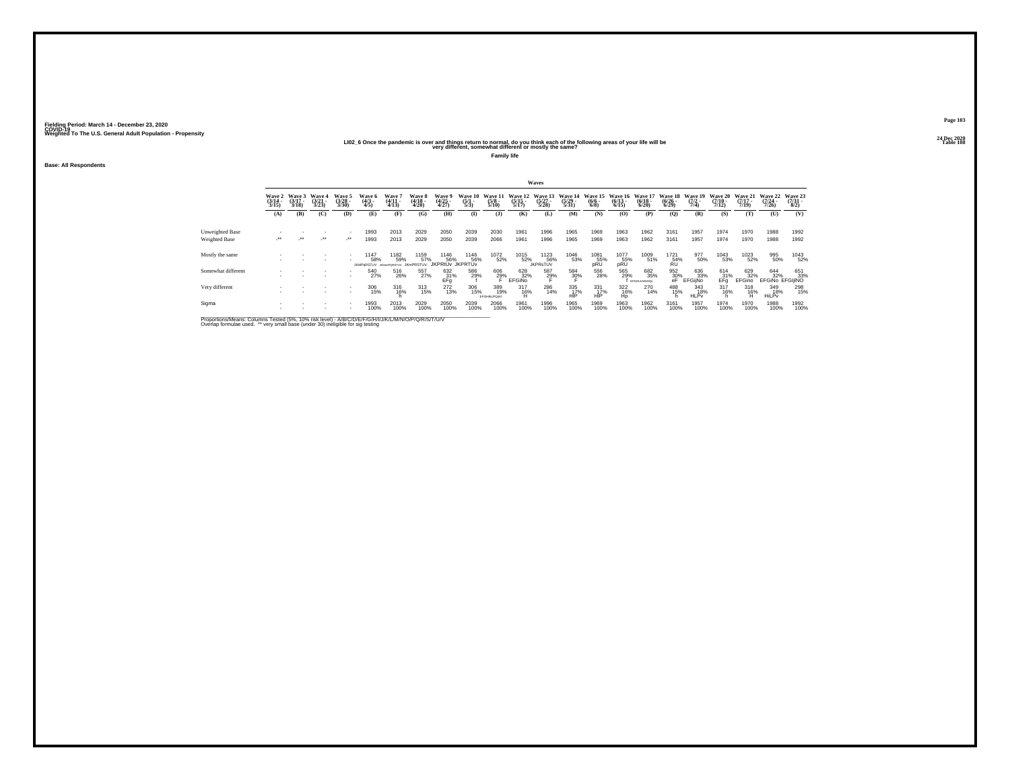# 2020 – 2020<br>LIO2\_6 Once the pandemic is over and things return to normal, do you think each of the following areas of your life will be<br>very different, somewhat different or mostly the same?

**Family life**

**Base: All Respondents**

|                                  |                          |                             |                                 |                                 |                            |                                 |                                 |                                       |                                      |                             |                                  | Waves                            |                                  |                                      |                                 |                             |                                                                         |                                |                                  |                                  |                                  |                          |
|----------------------------------|--------------------------|-----------------------------|---------------------------------|---------------------------------|----------------------------|---------------------------------|---------------------------------|---------------------------------------|--------------------------------------|-----------------------------|----------------------------------|----------------------------------|----------------------------------|--------------------------------------|---------------------------------|-----------------------------|-------------------------------------------------------------------------|--------------------------------|----------------------------------|----------------------------------|----------------------------------|--------------------------|
|                                  | Wave 2<br>(3/14<br>3/15) | Wave 3<br>$(3/17 -$<br>3/18 | Wave 4<br>$\frac{(3/21)}{3/23}$ | Wave 5<br>$\frac{(3728)}{3/30}$ | Wave 6<br>(4/3 -<br>4/5)   | Wave<br>$\frac{(4/11)}{(4/13)}$ | Wave 8<br>(4/18 -<br>4/20)      | Wave 9<br>(4/25<br>4/27)              | Wave 10<br>$\frac{(5/1 - 1)}{(5/3)}$ | Wave 11<br>$(5/8 -$<br>5/10 | Wave 12<br>$\frac{(5/15)}{5/17}$ | Wave 13<br>$\frac{(5/27)}{5/28}$ | Wave 14<br>$\frac{(5/29)}{5/31}$ | Wave 15<br>$\frac{(6/6 - 6)}{(6/8)}$ | Wave 16<br>$\binom{6/13}{6/15}$ | Wave 17<br>(6/18 -<br>6/20) | Wave 18<br>$\frac{(6/26)}{6/29}$                                        | Wave 19<br>$\frac{(7/2)}{7/4}$ | Wave 20<br>$\frac{(7/10)}{7/12}$ | Wave 21<br>$\frac{(7/17)}{7/19}$ | Wave 22<br>$\frac{(7/24)}{7/26}$ | Wave 23<br>(7/31<br>8/2) |
|                                  | (A)                      | (B)                         | (C)                             | (D)                             | (E)                        | (F)                             | (G)                             | (H)                                   | $\bf(I)$                             | $($ J $)$                   | (K)                              | (L)                              | (M)                              | (N)                                  | (0)                             | (P)                         | $\mathbf{Q}$                                                            | (R)                            | (S)                              | (T)                              | (U)                              | (V)                      |
| Unweighted Base<br>Weighted Base | $\cdot$                  | $\cdot$                     | $\cdot$                         | $\cdot$                         | 1993<br>1993               | 2013<br>2013                    | 2029<br>2029                    | 2050<br>2050                          | 2039<br>2039                         | 2030<br>2066                | 1961<br>1961                     | 1996<br>1996                     | 1965<br>1965                     | 1969<br>1969                         | 1963<br>1963                    | 1962<br>1962                | 3161<br>3161                                                            | 1957<br>1957                   | 1974<br>1974                     | 1970<br>1970                     | 1988<br>1988                     | 1992<br>1992             |
| Mostly the same                  |                          |                             | ٠                               |                                 | 1147<br>58%<br>JKMPoRSTLIV | 1182<br>59%<br>JOAN-PORSTLIV    | 1159<br>57%<br><b>JKmPRSTUV</b> | 1146<br>56%<br><b>IKPRtŮv</b> JKPRTŮv | 1146<br>56%                          | 1072<br>52%                 | 1015<br>52%                      | 1123<br>56%<br><b>JKPRsTUV</b>   | 1046<br>53%                      | 1081<br>55%<br>pRU                   | 1077<br>55%<br>pRU              | 1009<br>51%                 | $^{1721}_{\substack{54\%\\RU}}$                                         | 977<br>50%                     | 1043<br>53%                      | 1023<br>52%                      | 995<br>50%                       | 1043<br>52%              |
| Somewhat different               |                          |                             |                                 |                                 | 540<br>27%                 | 516<br>26%                      | 557<br>27%                      | $^{632}_{67}$ $^{31\%}_{\rm{Efg}}$    | 586<br>29%                           | 606<br>29%                  | 628<br>32%<br><b>EFGINO</b>      | 587<br>29%                       | 584<br>3 <u>0</u> %              | 556<br>28%                           | 565<br>29%                      | 682<br>35%<br>EFGHULMNOQs   | $\begin{array}{r} 952 \\ 30\% \\ \hline \text{eF} \end{array} \text{E}$ | 636<br>33%<br><b>EFGijNo</b>   | 614<br>31%<br>EFa                | 629<br>32%<br>EFGino             | 644<br>32%<br>EFGINO EFGIJINO    | 651<br>33%               |
| Very different                   |                          |                             |                                 | $\sim$                          | 306<br>15%                 | $^{316}_{16\%}$                 | $\frac{313}{15\%}$              | 272<br>13%                            | 306<br>15%                           | 389<br>19%<br>EFGHIKLPOstV  | $\frac{317}{16\%}$<br>Н          | 286<br>14%                       | 335<br>HIP                       | 331<br>17%<br>HIP                    | 322<br>16%<br>Ho                | 270<br>14%                  | 488<br>15%                                                              | 343<br>18%<br><b>HLPv</b>      | $^{317}_{16\%}$                  | $^{318}_{16\%}$                  | 349<br>18%<br>HiLPv              | 298<br>15%               |
| Sigma                            |                          |                             | ٠                               |                                 | 1993<br>100%               | 2013<br>100%                    | 2029<br>100%                    | 2050<br>100%                          | 2039<br>100%                         | 2066<br>100%                | 1961<br>100%                     | 1996<br>100%                     | 1965<br>100%                     | 1969<br>100%                         | 1963<br>100%                    | 1962<br>100%                | 3161<br>100%                                                            | 1957<br>100%                   | 1974<br>100%                     | 1970<br>100%                     | 1988<br>100%                     | 1992<br>100%             |

Proportions/Means: Columns Tested (5%, 10% risk level) - A/B/C/D/E/F/G/H/I/J/K/L/M/N/O/P/Q/R/S/T/U/V<br>Overlap formulae used. \*\* very small base (under 30) ineligible for sig testing

**Page 10324 Dec 2020<br>Table 108**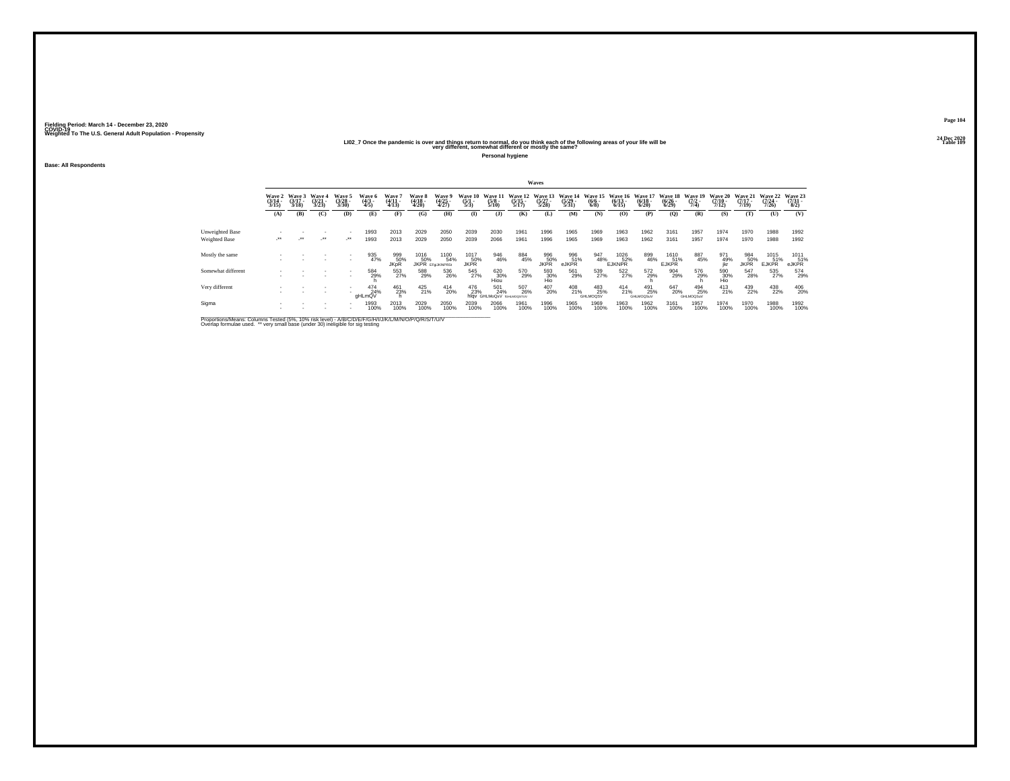# 2021 – 2021<br>LIO2\_7 Once the pandemic is over and things return to normal, do you think each of the following areas of your life will be<br>very different, somewhat different or mostly the same?

**Personal hygiene**

**Base: All Respondents**

|                                  |                           |                             |                          |                                 |                               |                           |                            |                                        |                                |                                                             |                                  | Waves                            |                                  |                                |                                  |                                  |                                  |                                |                                  |                                  |                                  |                                 |
|----------------------------------|---------------------------|-----------------------------|--------------------------|---------------------------------|-------------------------------|---------------------------|----------------------------|----------------------------------------|--------------------------------|-------------------------------------------------------------|----------------------------------|----------------------------------|----------------------------------|--------------------------------|----------------------------------|----------------------------------|----------------------------------|--------------------------------|----------------------------------|----------------------------------|----------------------------------|---------------------------------|
|                                  | Wave 2<br>(3/14 -<br>3/15 | Wave 3<br>$(3/17 -$<br>3/18 | Wave 4<br>(3/21)<br>3/23 | Wave 5<br>$\frac{(3/28)}{3/30}$ | Wave 6<br>$\frac{(4/3)}{4/5}$ | Wave '<br>(4/11)<br>4/13  | Wave 8<br>(4/18 -<br>4/20) | Wave 9<br>(4/25<br>4/27)               | Wave 10<br>$\frac{(5/1)}{5/3}$ | Wave 1<br>$\frac{(5/8)}{5/10}$                              | Wave 12<br>$\frac{(5/15)}{5/17}$ | Wave 13<br>$\frac{(5/27)}{5/28}$ | Wave 14<br>$\frac{(5/29)}{5/31}$ | Wave 15<br>$\frac{(6/6)}{6/8}$ | Wave 16<br>$\frac{(6/13)}{6/15}$ | Wave 17<br>$\frac{(6/18)}{6/20}$ | Wave 18<br>$\frac{(6/26)}{6/29}$ | Wave 19<br>$\frac{(7/2)}{7/4}$ | Wave 20<br>$\frac{(7/10)}{7/12}$ | Wave 21<br>$\frac{(7/17)}{7/19}$ | Wave 22<br>$\frac{(7/24)}{7/26}$ | Wave 23<br>$\frac{(7/31)}{8/2}$ |
|                                  | (A)                       | (B)                         | (C)                      | (D)                             | (E)                           | (F)                       | (G)                        | (H)                                    | $\bf(I)$                       | (3)                                                         | (K)                              | (L)                              | (M)                              | (N)                            | (0)                              | (P)                              | $\mathbf{Q}$                     | (R)                            | (S)                              | (T)                              | (U)                              | (V)                             |
| Unweighted Base<br>Weighted Base | $\overline{\phantom{a}}$  | $\cdot$                     | $\cdot$                  | $\sim$<br>$\cdot$               | 1993<br>1993                  | 2013<br>2013              | 2029<br>2029               | 2050<br>2050                           | 2039<br>2039                   | 2030<br>2066                                                | 1961<br>1961                     | 1996<br>1996                     | 1965<br>1965                     | 1969<br>1969                   | 1963<br>1963                     | 1962<br>1962                     | 3161<br>3161                     | 1957<br>1957                   | 1974<br>1974                     | 1970<br>1970                     | 1988<br>1988                     | 1992<br>1992                    |
| Mostly the same                  |                           |                             |                          | $\overline{\phantom{a}}$        | 935<br>47%                    | 999<br>50%<br><b>JKpR</b> | 1016<br>50%                | 1100<br>54%<br><b>JKPR</b> EFGUKINPRS: | 1017<br>50%<br><b>JKPR</b>     | 946<br>46%                                                  | 884<br>45%                       | 996<br>50%<br><b>JKPR</b>        | 996<br>51%<br>eJKPR              | 947<br>48%                     | 1026<br>52%<br><b>EJKNPR</b>     | 899<br>46%                       | 1610<br>51%<br><b>EJKPR</b>      | 887<br>45%                     | 971<br>49%<br>ikr                | 984<br>50%<br>JKPR               | 1015<br>51%<br><b>EJKPR</b>      | 1011<br>51%<br>eJKPR            |
| Somewhat different               |                           |                             |                          | $\sim$                          | 584<br>29%                    | 553<br>27%                | 588<br>29%                 | 536<br>26%                             | 545<br>27%                     | $\begin{array}{c} 620 \\ 30\% \\ \mathrm{Hiou} \end{array}$ | 570<br>29%                       | 593<br>30%<br>Hio                | 561<br>29%                       | 539<br>27%                     | 522<br>27%                       | 572<br>29%                       | 904<br>29%                       | 576<br>29%                     | 590<br>30%<br>Hio                | 547<br>28%                       | 535<br>27%                       | 574<br>29%                      |
| Very different                   |                           |                             |                          | $\sim$                          | 474%<br>aHLmQV                | 461<br>23%                | $^{425}_{21\%}$            | $^{414}_{20\%}$                        | 476<br>23%                     | 501<br>24%<br>hlqv GHLMoQsV rGHLMOQSTUV                     | 507<br>26%                       | 407<br>20%                       | 408<br>21%                       | 483<br>25%<br>GHLMOQSV         | $^{414}_{21\%}$                  | 491<br>25%<br>GHLMOQSuV          | 647<br>20%                       | 494<br>25%<br>GHLMOQSuV        | $^{413}_{21\%}$                  | 439<br>22%                       | 438<br>22%                       | 406<br>20%                      |
| Sigma                            |                           |                             |                          |                                 | 1993<br>100%                  | 2013<br>100%              | 2029<br>100%               | 2050<br>100%                           | 2039<br>100%                   | 2066<br>100%                                                | 1961<br>100%                     | 1996<br>100%                     | 1965<br>100%                     | 1969<br>100%                   | 1963<br>100%                     | 1962<br>100%                     | 3161<br>100%                     | 1957<br>100%                   | 1974<br>100%                     | 1970<br>100%                     | 1988<br>100%                     | 1992<br>100%                    |

Proportions/Means: Columns Tested (5%, 10% risk level) - A/B/C/D/E/F/G/H/I/J/K/L/M/N/O/P/Q/R/S/T/U/V<br>Overlap formulae used. \*\* very small base (under 30) ineligible for sig testing

**Page 10424 Dec 2020<br>Table 109**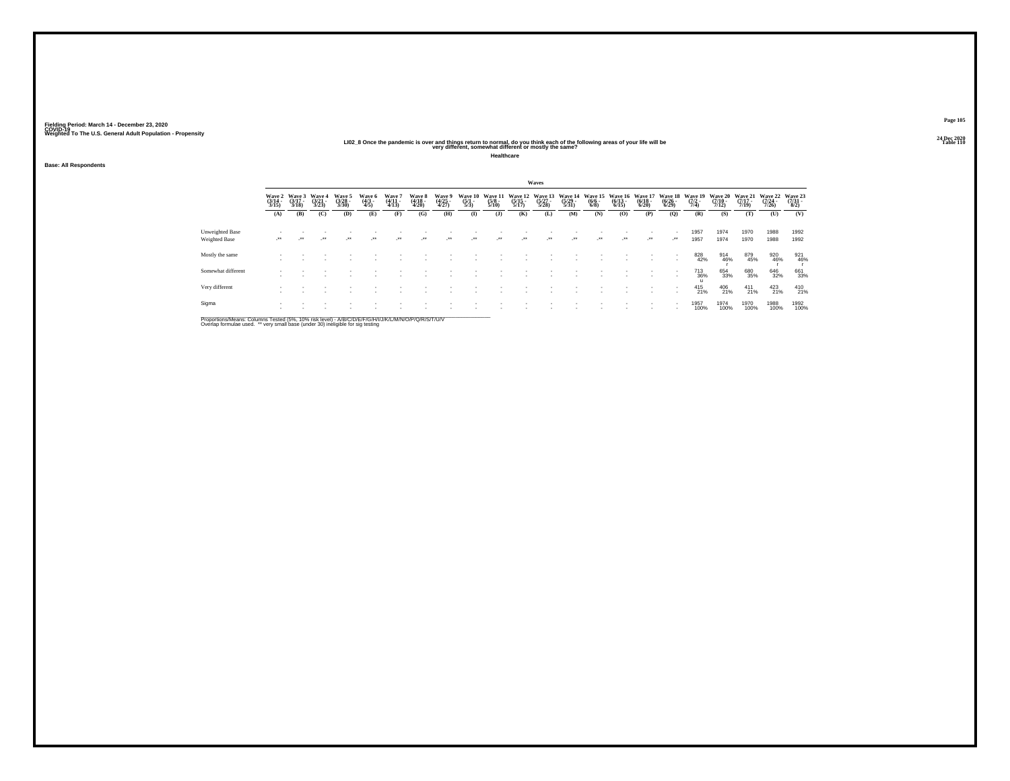# 202\_2 20 All Dec 2020<br>LIO2\_8 Once the pandemic is over and things return to normal, do you think each of the following areas of your<br>very different, somewhat different or mostly the same?

**Healthcare**

**Base: All Respondents**

|                                  |                                 |                             |                                 |                                |                          |                          |                            |                          |                                |                                        |                                  | Waves                            |                                  |                                      |                                  |                                  |                                  |                           |                           |                                  |                                  |                            |
|----------------------------------|---------------------------------|-----------------------------|---------------------------------|--------------------------------|--------------------------|--------------------------|----------------------------|--------------------------|--------------------------------|----------------------------------------|----------------------------------|----------------------------------|----------------------------------|--------------------------------------|----------------------------------|----------------------------------|----------------------------------|---------------------------|---------------------------|----------------------------------|----------------------------------|----------------------------|
|                                  | Wave 2<br>$\frac{(3/14)}{3/15}$ | Wave 3<br>$(3/17 -$<br>3/18 | Wave 4<br>$\frac{(3/21)}{3/23}$ | Wave 5<br>$\binom{3/28}{3/30}$ | Wave 6<br>(4/3 -<br>4/5) | Wave 7<br>(4/11<br>4/13) | Wave 8<br>(4/18 -<br>4/20) | Wave 9<br>(4/25<br>4/27) | Wave 10<br>$\frac{(5/1)}{5/3}$ | <b>Wave 11</b><br>$\frac{(5/8)}{5/10}$ | Wave 12<br>$\frac{(5/15)}{5/17}$ | Wave 13<br>$\frac{(5/27)}{5/28}$ | Wave 14<br>$\frac{(5/29)}{5/31}$ | Wave 15<br>$\frac{(6/6 - 6)}{(6/8)}$ | Wave 16<br>$\frac{(6/13)}{6/15}$ | Wave 17<br>$\frac{(6/18)}{6/20}$ | Wave 18<br>$\frac{(6/26)}{6/29}$ | Wave 15<br>(7/2 -<br>7/4) | Wave 20<br>$\frac{7}{12}$ | Wave 21<br>$\frac{(7/17)}{7/19}$ | Wave 22<br>$\frac{(7/24)}{7/26}$ | Wave 23<br>(7/31 -<br>8/2) |
|                                  | (A)                             | (B)                         | (C)                             | (D)                            | (E)                      | (F)                      | (G)                        | (H)                      | $($ $\Gamma$                   | $($ J $)$                              | (K)                              | (L)                              | (M)                              | (N)                                  | (0)                              | (P)                              | (Q)                              | (R)                       | (S)                       | (T)                              | (U)                              | (V)                        |
| Unweighted Base<br>Weighted Base | $\cdot$                         |                             | -**                             | $\cdot$                        | $\overline{\phantom{a}}$ | ÷.                       | $\cdot$                    | -**                      | $\cdot$                        | $\cdot$                                | $\cdot$                          |                                  | $\cdot$                          | $\cdot$                              | $\cdot$                          | $\cdot$                          | $\cdot$                          | 1957<br>1957              | 1974<br>1974              | 1970<br>1970                     | 1988<br>1988                     | 1992<br>1992               |
| Mostly the same                  |                                 |                             |                                 |                                |                          |                          |                            |                          |                                |                                        |                                  |                                  |                                  |                                      |                                  |                                  |                                  | 828<br>42%                | 914<br>46%                | 879<br>45%                       | 920<br>46%                       | 921<br>46%                 |
| Somewhat different               |                                 |                             |                                 |                                |                          |                          |                            |                          |                                |                                        |                                  |                                  |                                  |                                      |                                  |                                  |                                  | 713<br>36%                | 654<br>33%                | 680<br>35%                       | 646<br>32%                       | 661<br>33%                 |
| Very different                   |                                 |                             |                                 |                                |                          |                          |                            |                          |                                |                                        |                                  |                                  |                                  |                                      |                                  |                                  |                                  | 415<br>21%                | 406<br>21%                | $^{411}_{21\%}$                  | $^{423}_{21\%}$                  | 410<br>21%                 |
| Sigma                            |                                 |                             |                                 |                                |                          |                          |                            |                          |                                |                                        |                                  |                                  |                                  |                                      |                                  |                                  |                                  | 1957<br>100%              | 1974<br>100%              | 1970<br>100%                     | 1988<br>100%                     | 1992<br>100%               |

Proportions/Means: Columns Tested (5%, 10% risk level) - A/B/C/D/E/F/G/H/I/J/K/L/M/N/O/P/Q/R/S/T/U/V<br>Overlap formulae used. \*\* very small base (under 30) ineligible for sig testing

**Page 10524 Dec 2020<br>Table 110**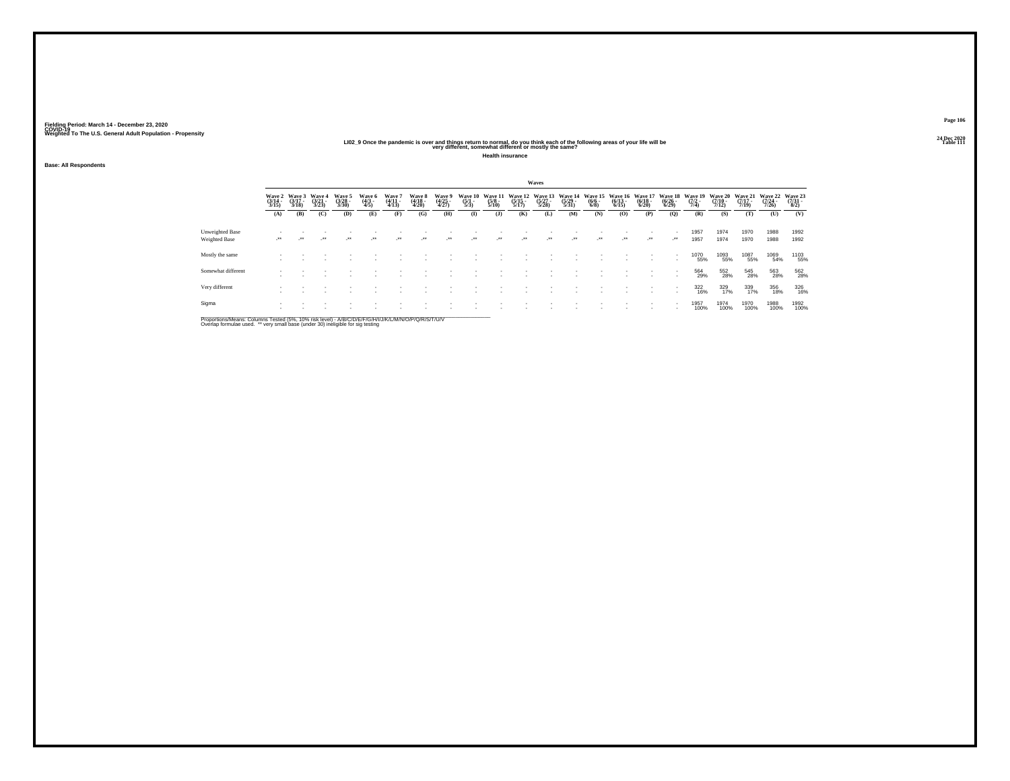# 202\_<br>LIO2\_9 Once the pandemic is over and things return to normal, do you think each of the following areas of your life will be<br>very different, somewhat different or mostly the same?

**Health insurance**

**Base: All Respondents**

|                                  |                            |                             |                                 |                            |                          |                                       |                            |                          |                                |                                 |                                  | Waves                       |                                  |                                      |                                  |                                  |                                  |                           |                                  |                                  |                                      |                          |
|----------------------------------|----------------------------|-----------------------------|---------------------------------|----------------------------|--------------------------|---------------------------------------|----------------------------|--------------------------|--------------------------------|---------------------------------|----------------------------------|-----------------------------|----------------------------------|--------------------------------------|----------------------------------|----------------------------------|----------------------------------|---------------------------|----------------------------------|----------------------------------|--------------------------------------|--------------------------|
|                                  | Wave 2<br>(3/14 -<br>3/15) | Wave 3<br>$(3/17 -$<br>3/18 | Wave 4<br>$\frac{(3/21)}{3/23}$ | Wave 5<br>(3/28 -<br>3/30) | Wave 6<br>(4/3 -<br>4/5) | Wave $\frac{4}{11}$<br>$\frac{4}{13}$ | Wave 8<br>(4/18 -<br>4/20) | Wave 9<br>(4/25<br>4/27) | Wave 10<br>$\frac{(5/1)}{5/3}$ | Wave 11<br>$\frac{(5/8)}{5/10}$ | Wave 12<br>$\frac{(5/15)}{5/17}$ | Wave 13<br>(5/27 -<br>5/28) | Wave 14<br>$\frac{(5/29)}{5/31}$ | Wave 15<br>$\frac{(6/6 - 6)}{(6/8)}$ | Wave 16<br>$\frac{(6/13)}{6/15}$ | Wave 17<br>$\frac{(6/18)}{6/20}$ | Wave 18<br>$\frac{(6/26)}{6/29}$ | Wave 19<br>(7/2 -<br>7/4) | Wave 20<br>$\frac{(7/10)}{7/12}$ | Wave 21<br>$\frac{(7/17)}{7/19}$ | Wave 22<br>$\frac{(7/24 - 7)}{7/26}$ | Wave 23<br>(7/31<br>8/2) |
|                                  | (A)                        | (B)                         | (C)                             | (D)                        | (E)                      | (F)                                   | (G)                        | (H)                      | $\bf{I}$                       | (1)                             | (K)                              | (L)                         | (M)                              | (N)                                  | (O)                              | (P)                              | (Q)                              | (R)                       | (S)                              | (T)                              | (U)                                  | (V)                      |
| Unweighted Base<br>Weighted Base | $\cdot$                    | $\cdot$                     | $\ddot{\phantom{0}}$            | $\overline{\phantom{a}}$   | $\cdot$                  | $\cdot$                               | $\cdot$                    | $\cdot$                  | $\cdot$                        |                                 | $\cdot$                          | $\cdot$                     | $\cdot$                          | $\rightarrow$                        | $\cdot$                          |                                  | ٠<br>$\cdot$                     | 1957<br>1957              | 1974<br>1974                     | 1970<br>1970                     | 1988<br>1988                         | 1992<br>1992             |
| Mostly the same                  |                            |                             |                                 |                            |                          |                                       |                            |                          |                                |                                 |                                  |                             |                                  |                                      |                                  |                                  | ٠                                | 1070<br>55%               | 1093<br>55%                      | 1087<br>55%                      | 1069<br>54%                          | 1103<br>55%              |
| Somewhat different               |                            |                             |                                 |                            |                          |                                       |                            |                          |                                |                                 |                                  |                             |                                  |                                      |                                  | ٠                                | ٠                                | 564<br>29%                | 552<br>28%                       | 545<br>28%                       | 563<br>28%                           | 562<br>28%               |
| Very different                   |                            |                             |                                 |                            |                          |                                       |                            |                          |                                |                                 |                                  |                             |                                  |                                      |                                  |                                  | ٠<br>٠                           | 322<br>16%                | 329<br>17%                       | 339<br>17%                       | 356<br>18%                           | 326<br>16%               |
| Sigma                            |                            |                             |                                 |                            |                          |                                       |                            |                          |                                |                                 |                                  |                             |                                  |                                      |                                  |                                  | ٠                                | 1957<br>100%              | 1974<br>100%                     | 1970<br>100%                     | 1988<br>100%                         | 1992<br>100%             |

Proportions/Means: Columns Tested (5%, 10% risk level) - A/B/C/D/E/F/G/H/I/J/K/L/M/N/O/P/Q/R/S/T/U/V<br>Overlap formulae used. \*\* very small base (under 30) ineligible for sig testing

**Page 10624 Dec 2020<br>Table 111**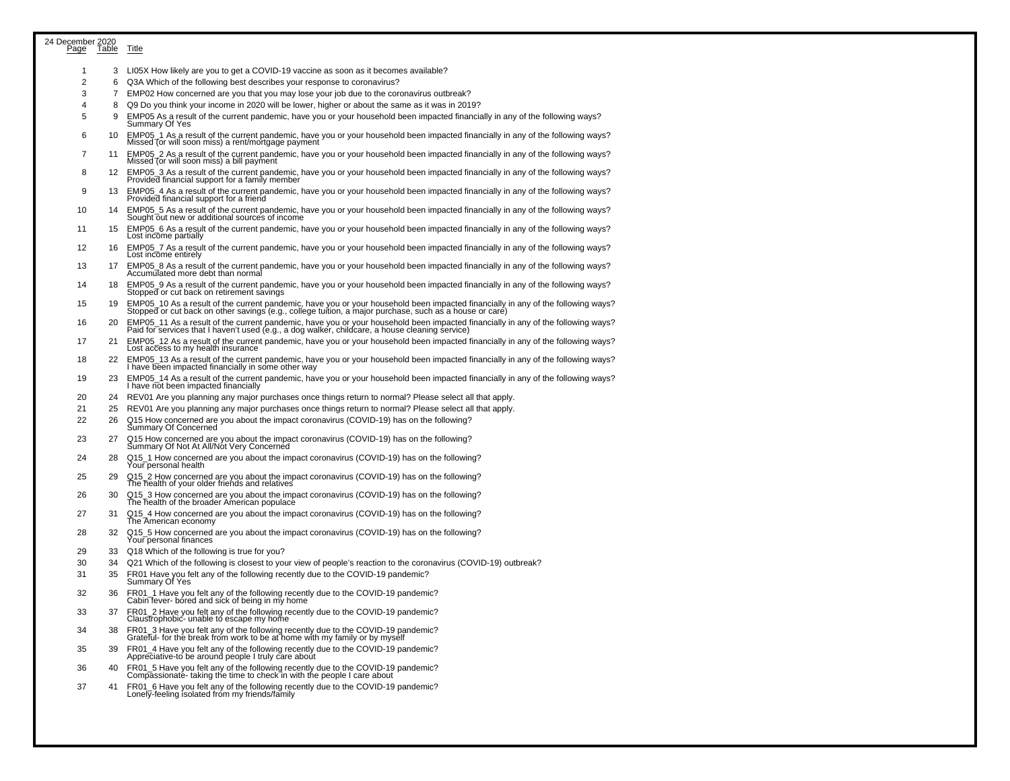| 24 December 2020<br><u>Page</u> Table<br>Page |          | <u>Title</u>                                                                                                                                                                                                                                                                       |
|-----------------------------------------------|----------|------------------------------------------------------------------------------------------------------------------------------------------------------------------------------------------------------------------------------------------------------------------------------------|
| -1                                            |          | 3 LI05X How likely are you to get a COVID-19 vaccine as soon as it becomes available?                                                                                                                                                                                              |
| 2                                             | 6        | Q3A Which of the following best describes your response to coronavirus?                                                                                                                                                                                                            |
| 3                                             | 7        | EMP02 How concerned are you that you may lose your job due to the coronavirus outbreak?                                                                                                                                                                                            |
| 4                                             | 8        | Q9 Do you think your income in 2020 will be lower, higher or about the same as it was in 2019?                                                                                                                                                                                     |
| 5                                             | 9        | EMP05 As a result of the current pandemic, have you or your household been impacted financially in any of the following ways?<br>Summary Of Yes                                                                                                                                    |
| 6                                             | 10       | EMP05_1 As a result of the current pandemic, have you or your household been impacted financially in any of the following ways?<br>Missed (or will soon miss) a rent/mortgage payment                                                                                              |
| 7                                             | 11       | EMP05_2 As a result of the current pandemic, have you or your household been impacted financially in any of the following ways?<br>Missed (or will soon miss) a bill payment                                                                                                       |
| 8                                             | 12       | EMP05_3 As a result of the current pandemic, have you or your household been impacted financially in any of the following ways?<br>Provided financial support for a family member                                                                                                  |
| 9                                             | 13       | EMP05_4 As a result of the current pandemic, have you or your household been impacted financially in any of the following ways?<br>Provided financial support for a friend                                                                                                         |
| 10                                            | 14       | EMP05_5 As a result of the current pandemic, have you or your household been impacted financially in any of the following ways?<br>Sought out new or additional sources of income                                                                                                  |
| 11                                            | 15       | EMP05_6 As a result of the current pandemic, have you or your household been impacted financially in any of the following ways?<br>Lost income partially                                                                                                                           |
| 12                                            | 16       | EMP05_7 As a result of the current pandemic, have you or your household been impacted financially in any of the following ways?<br>Lost income entirely                                                                                                                            |
| 13                                            | 17       | EMP05_8 As a result of the current pandemic, have you or your household been impacted financially in any of the following ways?<br>Accumulated more debt than normal                                                                                                               |
| 14                                            | 18       | EMP05_9 As a result of the current pandemic, have you or your household been impacted financially in any of the following ways?<br>Stopped or cut back on retirement savings                                                                                                       |
| 15                                            | 19       | EMP05_10 As a result of the current pandemic, have you or your household been impacted financially in any of the following ways?<br>Stopped or cut back on other savings (e.g., college tuition, a major purchase, such as a hous                                                  |
| 16                                            | 20       | EMP05_11 As a result of the current pandemic, have you or your household been impacted financially in any of the following ways?<br>Paid for services that I haven't used (e.g., a dog walker, childcare, a house cleaning servic                                                  |
| 17                                            | 21       | EMP05_12 As a result of the current pandemic, have you or your household been impacted financially in any of the following ways?<br>Lost access to my health insurance                                                                                                             |
| 18                                            | 22       | EMP05_13 As a result of the current pandemic, have you or your household been impacted financially in any of the following ways?<br>I have been impacted financially in some other way                                                                                             |
| 19<br>20                                      | 23       | EMP05_14 As a result of the current pandemic, have you or your household been impacted financially in any of the following ways?<br>I have not been impacted financially<br>REV01 Are you planning any major purchases once things return to normal? Please select all that apply. |
| 21                                            | 24<br>25 | REV01 Are you planning any major purchases once things return to normal? Please select all that apply.                                                                                                                                                                             |
| 22                                            | 26       | Q15 How concerned are you about the impact coronavirus (COVID-19) has on the following?<br>Summary Of Concerned                                                                                                                                                                    |
| 23                                            | 27       | Q15 How concerned are you about the impact coronavirus (COVID-19) has on the following?<br>Summary Of Not At All/Not Very Concerned                                                                                                                                                |
| 24                                            | 28       | Q15_1 How concerned are you about the impact coronavirus (COVID-19) has on the following?<br>Your personal health                                                                                                                                                                  |
| 25                                            | 29       | Q15_2 How concerned are you about the impact coronavirus (COVID-19) has on the following?<br>The health of your older friends and relatives                                                                                                                                        |
| 26                                            | 30       | Q15_3 How concerned are you about the impact coronavirus (COVID-19) has on the following?<br>The health of the broader American populace                                                                                                                                           |
| 27                                            | 31       | Q15_4 How concerned are you about the impact coronavirus (COVID-19) has on the following?<br>The American economy                                                                                                                                                                  |
| 28                                            | 32       | Q15_5 How concerned are you about the impact coronavirus (COVID-19) has on the following?<br>Your personal finances                                                                                                                                                                |
| 29                                            | 33       | Q18 Which of the following is true for you?                                                                                                                                                                                                                                        |
| 30<br>31                                      | 34<br>35 | Q21 Which of the following is closest to your view of people's reaction to the coronavirus (COVID-19) outbreak?<br>FR01 Have you felt any of the following recently due to the COVID-19 pandemic?                                                                                  |
| 32                                            | 36       | Summary Of Yes<br>FR01_1 Have you felt any of the following recently due to the COVID-19 pandemic?<br>Cabin fever- bored and sick of being in my home                                                                                                                              |
| 33                                            | 37       | FR01_2 Have you felt any of the following recently due to the COVID-19 pandemic?<br>Claustrophobic- unable to escape my home                                                                                                                                                       |
| 34                                            | 38       | FR01_3 Have you felt any of the following recently due to the COVID-19 pandemic?<br>Grateful- for the break from work to be at home with my family or by myself                                                                                                                    |
| 35                                            | 39       | FR01_4 Have you felt any of the following recently due to the COVID-19 pandemic?<br>Appreciative-to be around people I truly care about                                                                                                                                            |
| 36                                            | 40       | FR01_5 Have you felt any of the following recently due to the COVID-19 pandemic?<br>Compassionate- taking the time to check in with the people I care about                                                                                                                        |
| 37                                            | 41       | FR01_6 Have you felt any of the following recently due to the COVID-19 pandemic?<br>Lonely-feeling isolated from my friends/family                                                                                                                                                 |
|                                               |          |                                                                                                                                                                                                                                                                                    |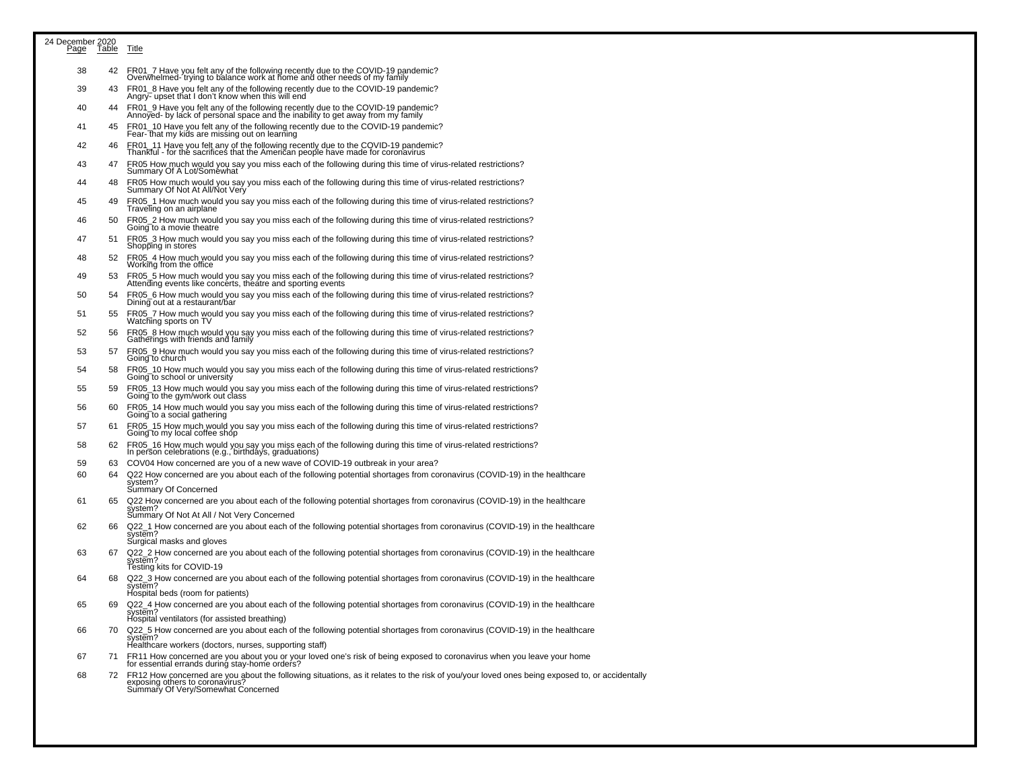| 24 December 2020<br>Page | <b>Table</b> | <b>Title</b>                                                                                                                                                                                                                                                      |
|--------------------------|--------------|-------------------------------------------------------------------------------------------------------------------------------------------------------------------------------------------------------------------------------------------------------------------|
| 38                       | 42           | FR01_7 Have you felt any of the following recently due to the COVID-19 pandemic?<br>Overwhelmed-'trying to balance work at home and other needs of my family                                                                                                      |
| 39                       | 43           | FR01_8 Have you felt any of the following recently due to the COVID-19 pandemic?<br>Angry- upset that I don't know when this will end                                                                                                                             |
| 40                       | 44           | FR01_9 Have you felt any of the following recently due to the COVID-19 pandemic?<br>Annoyed- by lack of personal space and the inability to get away from my family                                                                                               |
| 41                       | 45           | FR01_10 Have you felt any of the following recently due to the COVID-19 pandemic?<br>Fear-That my kids are missing out on learning                                                                                                                                |
| 42                       | 46           | FR01_11 Have you felt any of the following recently due to the COVID-19 pandemic?<br>Thankful - for the sacrifices that the American people have made for coronavirus                                                                                             |
| 43<br>44                 | 47<br>48     | FR05 How much would you say you miss each of the following during this time of virus-related restrictions?<br>Summary Of A Lot/Soméwhat                                                                                                                           |
| 45                       | 49           | FR05 How much would you say you miss each of the following during this time of virus-related restrictions?<br>Summary Of Not At All/Not Very<br>FR05_1 How much would you say you miss each of the following during this time of virus-related restrictions?      |
| 46                       | 50           | Traveling on an airplane<br>FR05_2 How much would you say you miss each of the following during this time of virus-related restrictions?                                                                                                                          |
| 47                       | 51           | Going to a movie theatre<br>FR05_3 How much would you say you miss each of the following during this time of virus-related restrictions?                                                                                                                          |
| 48                       | 52           | Shopping in stores<br>FR05_4 How much would you say you miss each of the following during this time of virus-related restrictions?                                                                                                                                |
| 49                       | 53           | Working from the office<br>FR05 5 How much would you say you miss each of the following during this time of virus-related restrictions?<br>Attending events like concerts, theatre and sporting events                                                            |
| 50                       | 54           | FR05_6 How much would you say you miss each of the following during this time of virus-related restrictions?<br>Dining out at a restaurant/bar                                                                                                                    |
| 51                       | 55           | FR05_7 How much would you say you miss each of the following during this time of virus-related restrictions?<br>Watching sports on TV                                                                                                                             |
| 52                       | 56           | FR05_8 How much would you say you miss each of the following during this time of virus-related restrictions?<br>Gatherings with friends and family                                                                                                                |
| 53                       | 57           | FR05_9 How much would you say you miss each of the following during this time of virus-related restrictions?<br>Going to church                                                                                                                                   |
| 54<br>55                 | 58<br>59     | FR05_10 How much would you say you miss each of the following during this time of virus-related restrictions?<br>Going to school or university                                                                                                                    |
| 56                       | 60           | FR05_13 How much would you say you miss each of the following during this time of virus-related restrictions?<br>Going to the gym/work out class<br>FR05_14 How much would you say you miss each of the following during this time of virus-related restrictions? |
| 57                       | 61           | Going to a social gathering<br>FR05_15 How much would you say you miss each of the following during this time of virus-related restrictions?                                                                                                                      |
| 58                       | 62           | Going to my local coffee shop<br>FR05_16 How much would you say you miss each of the following during this time of virus-related restrictions?                                                                                                                    |
| 59                       | 63           | In person celebrations (e.g., birthdays, graduations)<br>COV04 How concerned are you of a new wave of COVID-19 outbreak in your area?                                                                                                                             |
| 60                       | 64           | Q22 How concerned are you about each of the following potential shortages from coronavirus (COVID-19) in the healthcare                                                                                                                                           |
|                          |              | system?<br>Summary Of Concerned                                                                                                                                                                                                                                   |
| 61                       | 65           | Q22 How concerned are you about each of the following potential shortages from coronavirus (COVID-19) in the healthcare<br>system?<br>Summary Of Not At All / Not Very Concerned                                                                                  |
| 62                       | 66           | Q22_1 How concerned are you about each of the following potential shortages from coronavirus (COVID-19) in the healthcare<br>system?<br>Surgical masks and gloves                                                                                                 |
| 63                       | 67           | Q22_2 How concerned are you about each of the following potential shortages from coronavirus (COVID-19) in the healthcare<br>system?                                                                                                                              |
| 64                       | 68           | Testing kits for COVID-19<br>Q22_3 How concerned are you about each of the following potential shortages from coronavirus (COVID-19) in the healthcare<br>system?                                                                                                 |
| 65                       | 69           | Hospital beds (room for patients)<br>Q22_4 How concerned are you about each of the following potential shortages from coronavirus (COVID-19) in the healthcare<br>system?                                                                                         |
|                          |              | Hospital ventilators (for assisted breathing)                                                                                                                                                                                                                     |
| 66                       | 70           | Q22_5 How concerned are you about each of the following potential shortages from coronavirus (COVID-19) in the healthcare<br>system?<br>Healthcare workers (doctors, nurses, supporting staff)                                                                    |
| 67                       | 71           | FR11 How concerned are you about you or your loved one's risk of being exposed to coronavirus when you leave your home<br>for essential errands during stay-home orders?                                                                                          |
| 68                       | 72           | FR12 How concerned are you about the following situations, as it relates to the risk of you/your loved ones being exposed to, or accidentally<br>exposing others to coronavirus?<br>Summary Of Very/Somewhat Concerned                                            |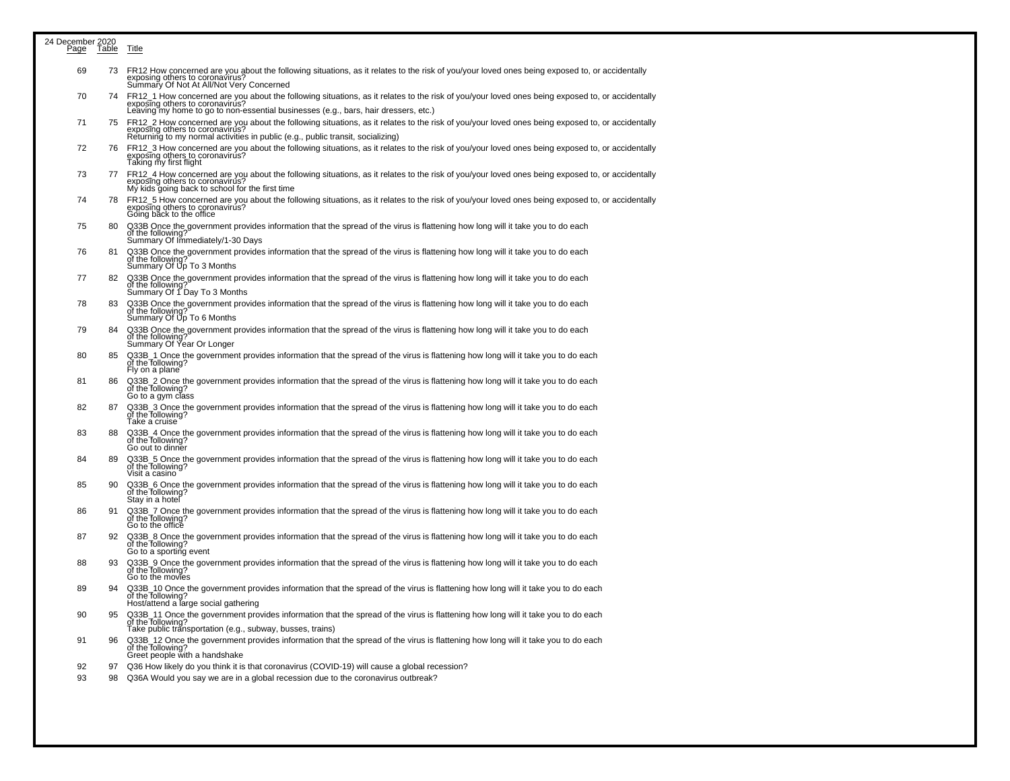| 24 December 2020<br>Page | <u>Table</u> | <b>Title</b>                                                                                                                                                                                                                                                              |
|--------------------------|--------------|---------------------------------------------------------------------------------------------------------------------------------------------------------------------------------------------------------------------------------------------------------------------------|
|                          |              |                                                                                                                                                                                                                                                                           |
| 69                       | 73           | FR12 How concerned are you about the following situations, as it relates to the risk of you/your loved ones being exposed to, or accidentally<br>exposing others to coronavirus?<br>Summary Of Not At All/Not Very Concerned                                              |
| 70                       | 74           | FR12_1 How concerned are you about the following situations, as it relates to the risk of you/your loved ones being exposed to, or accidentally<br>exposing others to coronavirus?<br>Leaving my home to go to non-essential businesses (e.g., bars, hair dressers, etc.) |
| 71                       | 75           | FR12_2 How concerned are you about the following situations, as it relates to the risk of you/your loved ones being exposed to, or accidentally<br>exposing others to coronavirus?<br>Returning to my normal activities in public (e.g., public transit, socializing)     |
| 72                       | 76.          | FR12_3 How concerned are you about the following situations, as it relates to the risk of you/your loved ones being exposed to, or accidentally<br>exposing others to coronavirus?<br>Taking my first flight                                                              |
| 73                       |              | 77 FR12_4 How concerned are you about the following situations, as it relates to the risk of you/your loved ones being exposed to, or accidentally<br>exposing others to coronavirus?<br>My kids going back to school for the first time                                  |
| 74                       | 78           | FR12_5 How concerned are you about the following situations, as it relates to the risk of you/your loved ones being exposed to, or accidentally<br>exposing others to coronavirus?<br>Going back to the office                                                            |
| 75                       | 80           | Q33B Once the government provides information that the spread of the virus is flattening how long will it take you to do each<br>of the following?<br>Summary Of Immediately/1-30 Days                                                                                    |
| 76                       | 81           | Q33B Once the government provides information that the spread of the virus is flattening how long will it take you to do each<br>of the following<br>Summary Of Up To 3 Months                                                                                            |
| 77                       | 82           | Q33B Once the government provides information that the spread of the virus is flattening how long will it take you to do each<br>of the following?<br>Summary Of 1 Day To 3 Months                                                                                        |
| 78                       | 83           | Q33B Once the government provides information that the spread of the virus is flattening how long will it take you to do each<br>of the following?<br>Summary Of Up To 6 Months                                                                                           |
| 79                       | 84           | Q33B Once the government provides information that the spread of the virus is flattening how long will it take you to do each<br>of the following?<br>Summary Of Year Or Longer                                                                                           |
| 80                       | 85           | Q33B_1 Once the government provides information that the spread of the virus is flattening how long will it take you to do each<br>of the Tollowing?<br>Fly on a plane                                                                                                    |
| 81                       | 86           | Q33B_2 Once the government provides information that the spread of the virus is flattening how long will it take you to do each<br>of the following?<br>Go to a gym class                                                                                                 |
| 82                       | 87           | Q33B 3 Once the government provides information that the spread of the virus is flattening how long will it take you to do each<br>of the following?<br>Take a cruise                                                                                                     |
| 83                       | 88           | Q33B_4 Once the government provides information that the spread of the virus is flattening how long will it take you to do each<br>of the following?<br>Go out to dinner                                                                                                  |
| 84                       | 89           | Q33B_5 Once the government provides information that the spread of the virus is flattening how long will it take you to do each<br>of the following?<br>Visit a casino                                                                                                    |
| 85                       | 90           | Q33B_6 Once the government provides information that the spread of the virus is flattening how long will it take you to do each<br>of the following?<br>Stay in a hotel                                                                                                   |
| 86                       | 91           | Q33B 7 Once the government provides information that the spread of the virus is flattening how long will it take you to do each<br>of the following?<br>Go to the office                                                                                                  |
| 87                       | 92           | Q33B_8 Once the government provides information that the spread of the virus is flattening how long will it take you to do each<br>of the following?<br>Go to a sporting event                                                                                            |
| 88                       | 93           | Q33B_9 Once the government provides information that the spread of the virus is flattening how long will it take you to do each<br>of the following?<br>Go to the movies                                                                                                  |
| 89                       | 94           | Q33B_10 Once the government provides information that the spread of the virus is flattening how long will it take you to do each<br>of the following?<br>Host/attend a large social gathering                                                                             |
| 90                       | 95           | Q33B_11 Once the government provides information that the spread of the virus is flattening how long will it take you to do each<br>of the following?<br>Take public transportation (e.g., subway, busses, trains)                                                        |
| 91                       | 96           | Q33B_12 Once the government provides information that the spread of the virus is flattening how long will it take you to do each<br>of the following?<br>Greet people with a handshake                                                                                    |
| 92                       |              | 97 Q36 How likely do you think it is that coronavirus (COVID-19) will cause a global recession?                                                                                                                                                                           |
| 93                       |              | 98 Q36A Would you say we are in a global recession due to the coronavirus outbreak?                                                                                                                                                                                       |
|                          |              |                                                                                                                                                                                                                                                                           |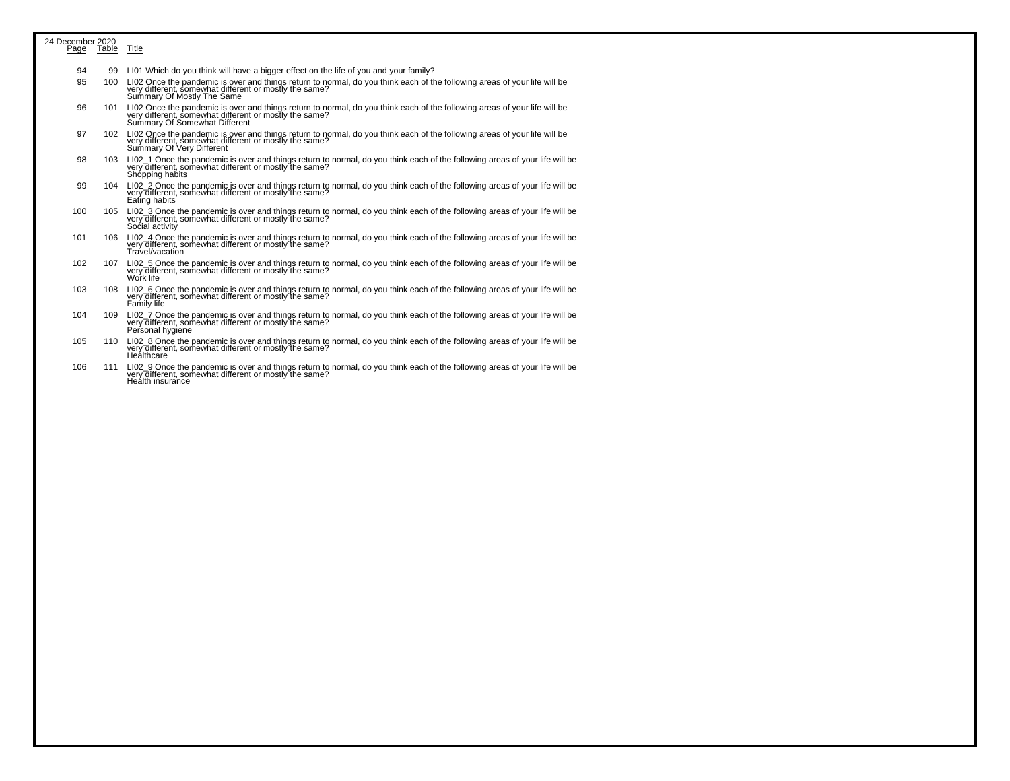| 24 December 2020 |                  |                                                                                                                                                                                                                   |
|------------------|------------------|-------------------------------------------------------------------------------------------------------------------------------------------------------------------------------------------------------------------|
|                  | Page Table Title |                                                                                                                                                                                                                   |
| 94               | 99               | LI01 Which do you think will have a bigger effect on the life of you and your family?                                                                                                                             |
| 95               | 100              | LI02 Once the pandemic is over and things return to normal, do you think each of the following areas of your life will be very different, somewhat different or mostly the same?<br>Summary Of Mostly The Same    |
| 96               | 101              | LI02 Once the pandemic is over and things return to normal, do you think each of the following areas of your life will be very different, somewhat different or mostly the same?<br>Summary Of Somewhat Different |
| 97               |                  | 102 LI02 Once the pandemic is over and things return to normal, do you think each of the following areas of your life will be very different, somewhat different or mostly the same?<br>Summary Of Very Different |
| 98               |                  | 103 LI02_1 Once the pandemic is over and things return to normal, do you think each of the following areas of your life will be very different, somewhat different or mostly the same?<br>Shópping habits         |
| 99               |                  | 104 LI02_2 Once the pandemic is over and things return to normal, do you think each of the following areas of your life will be very different, somewhat different or mostly the same?<br>Eating habits           |
| 100              | 105              | LI02_3 Once the pandemic is over and things return to normal, do you think each of the following areas of your life will be very different, somewhat different or mostly the same?<br>Social activity             |
| 101              | 106              | LI02_4 Once the pandemic is over and things return to normal, do you think each of the following areas of your life will be<br>very different, somewhat different or mostly the same?<br>Travel/vacation          |
| 102              | 107              | LI02_5 Once the pandemic is over and things return to normal, do you think each of the following areas of your life will be<br>very different, somewhat different or mostly the same?<br>Work life                |
| 103              | 108              | LI02_6 Once the pandemic is over and things return to normal, do you think each of the following areas of your life will be very different, somewhat different or mostly the same?<br>Family life                 |
| 104              | 109              | LI02_7 Once the pandemic is over and things return to normal, do you think each of the following areas of your life will be very different, somewhat different or mostly the same?<br>Personal hygiene            |
| 105              | 110              | LI02_8 Once the pandemic is over and things return to normal, do you think each of the following areas of your life will be very different, somewhat different or mostly the same?<br>Healthcare                  |

106 111 LI02\_9 Once the pandemic is over and things return to normal, do you think each of the following areas of your life will be<br>very different, somewhat different or mostly the same?<br>Health insurance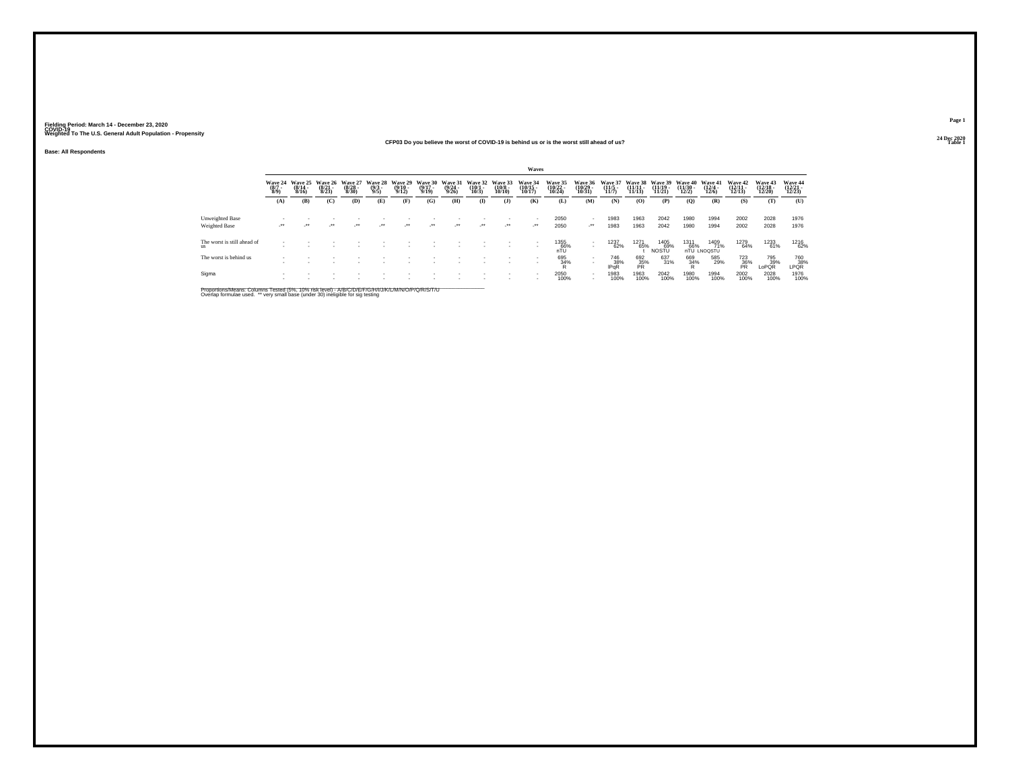## **Base: All Respondents**

#### **24 Dec 2020CFP03 Do you believe the worst of COVID-19 is behind us or is the worst still ahead of us?Table 1**

|                                          |                    |                                                 |                                 |                                  |                                |                                         |                                  |                                         |                                 |                                   | Waves                         |                               |                                                      |                           |                                |                                    |                                               |                                                 |                                    |                                    |                               |
|------------------------------------------|--------------------|-------------------------------------------------|---------------------------------|----------------------------------|--------------------------------|-----------------------------------------|----------------------------------|-----------------------------------------|---------------------------------|-----------------------------------|-------------------------------|-------------------------------|------------------------------------------------------|---------------------------|--------------------------------|------------------------------------|-----------------------------------------------|-------------------------------------------------|------------------------------------|------------------------------------|-------------------------------|
|                                          | $\binom{8/7}{8/9}$ | Wave 24 Wave 25<br>$\frac{(8/14 - 8/16)}{8/16}$ | Wave 26<br>$\binom{8/21}{8/23}$ | Wave 27<br>$\frac{(8/28)}{8/30}$ | Wave 28<br>$\frac{(9/3)}{9/5}$ | Wave 29<br>$\frac{(9/10 - 9/12)}{9/12}$ | Wave 30<br>$\frac{(9/17)}{9/19}$ | Wave 31<br>$\frac{(9/24 - 9/26)}{9/26}$ | Wave 32<br>$\binom{10/1}{10/3}$ | Wave 33<br>$\frac{(10/8)}{10/10}$ | Wave 34<br>(10/15 -<br>10/17) | Wave 35<br>(10/22 -<br>10/24) | Wave 36<br>$\frac{(10/29 - 10/31)}{10/31}$           | Wave 3<br>$\frac{11}{5}$  | Wave 38<br>$(11/11 -$<br>11/13 | Wave 39<br>$\frac{(11/19)}{11/21}$ | <b>Wave 40</b><br>$\frac{(11/30 - 12)}{12/2}$ | Wave 41<br>$\frac{(12/4)}{12/6}$                | Wave 42<br>$\frac{(12/11)}{12/13}$ | Wave 43<br>$\frac{(12/18)}{12/20}$ | Wave 44<br>(12/21 -<br>12/23) |
|                                          | (A)                | (B)                                             | (C)                             | (D)                              | (E)                            | (F)                                     | (G)                              | (H)                                     | $\mathbf{I}$                    | $($ $)$                           | (K)                           | (L)                           | (M)                                                  | (N)                       | (O)                            | (P)                                | (Q)                                           | (R)                                             | (S)                                | (T)                                | (U)                           |
| Unweighted Base                          |                    |                                                 |                                 |                                  |                                |                                         |                                  |                                         |                                 |                                   |                               | 2050                          |                                                      | 1983                      | 1963                           | 2042                               | 1980                                          | 1994                                            | 2002                               | 2028                               | 1976                          |
| Weighted Base                            | $\cdot$            | $\bullet\bullet$                                | $\cdot$                         | $\cdot$                          | $\lambda$                      | $\cdot$                                 | $\cdot$                          | $\overline{\phantom{a}}$                | $\cdot$                         | $\cdot$                           | $\cdot$                       | 2050                          | $\cdot$                                              | 1983                      | 1963                           | 2042                               | 1980                                          | 1994                                            | 2002                               | 2028                               | 1976                          |
| The worst is still ahead of<br><b>us</b> |                    |                                                 |                                 |                                  |                                |                                         |                                  |                                         |                                 |                                   |                               | 1355<br>66%<br>nTU            | $\sim$                                               | 1237<br>62%               | 1271<br>65%                    | 1405<br>69%<br>NOSŤŬ               |                                               | 1409<br>71%<br>1311 1409<br>66% 71% nTU LNOQSTU | 1279<br>64%                        | 1233<br>61%                        | 1216<br>62%                   |
| The worst is behind us                   |                    |                                                 |                                 |                                  |                                |                                         |                                  |                                         |                                 |                                   | $\overline{\phantom{a}}$      | 695<br>34%                    | $\sim$                                               | 746<br>38%<br><b>IPGR</b> | 692<br>35%                     | 637<br>31%                         | 669<br>34%<br>R                               | 585<br>29%                                      | $\frac{723}{86}\%$                 | 795<br>39%<br>LoPQR                | 760<br>38%<br>LPQR            |
| Sigma                                    | -                  |                                                 |                                 |                                  |                                |                                         |                                  |                                         |                                 |                                   |                               | 2050<br>100%                  | $\overline{\phantom{a}}$<br>$\overline{\phantom{a}}$ | 1983<br>100%              | 1963<br>100%                   | 2042<br>100%                       | 1980<br>100%                                  | 1994<br>100%                                    | 2002<br>100%                       | 2028<br>100%                       | 1976<br>100%                  |

Proportions/Means: Columns Tested (5%, 10% risk level) - A/B/C/D/E/F/G/H/I/J/K/L/M/N/O/P/Q/R/S/T/U<br>Overlap formulae used. \*\* very small base (under 30) ineligible for sig testing

**Page 124 Dec 2020**<br>Table 1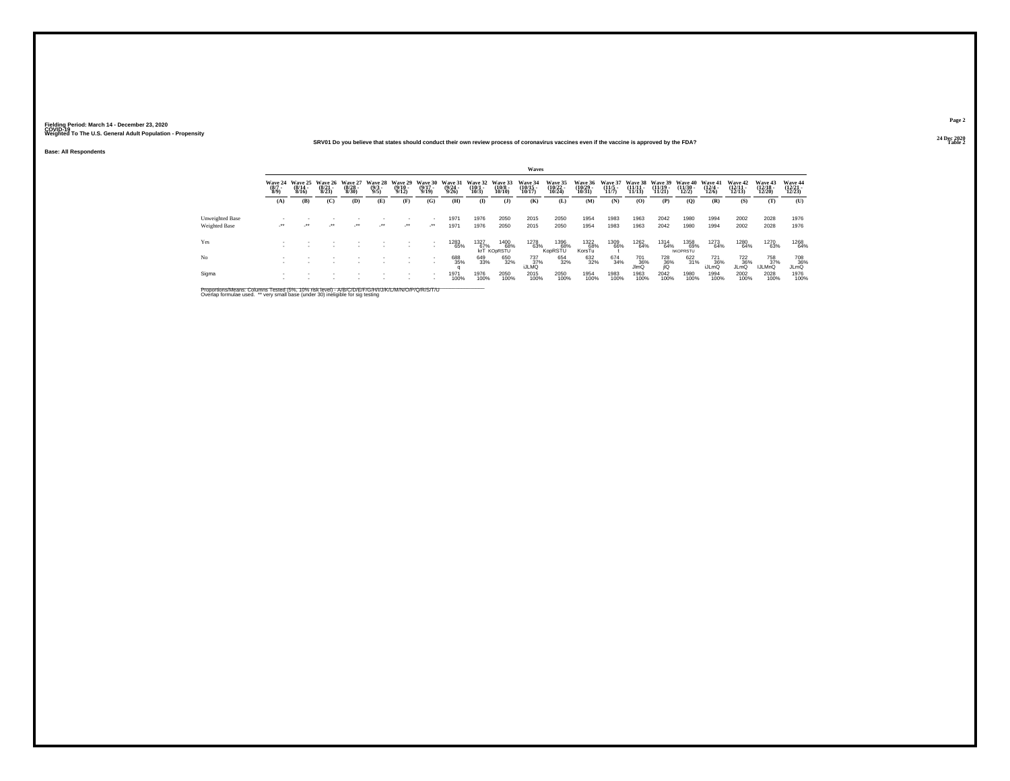## **24 Dec 2020SRV01 Do you believe that states should conduct their own review process of coronavirus vaccines even if the vaccine is approved by the FDA?**

**Base: All Respondents**

|                                  |                           |                                      |                                  |                                  |                               |                                  |                                  |                                  |                                 |                                        | Waves                         |                             |                               |                           |                                         |                                           |                                        |                                  |                             |                                       |                               |
|----------------------------------|---------------------------|--------------------------------------|----------------------------------|----------------------------------|-------------------------------|----------------------------------|----------------------------------|----------------------------------|---------------------------------|----------------------------------------|-------------------------------|-----------------------------|-------------------------------|---------------------------|-----------------------------------------|-------------------------------------------|----------------------------------------|----------------------------------|-----------------------------|---------------------------------------|-------------------------------|
|                                  | Wave 24<br>(8/7 -<br>8/9) | Wave 25<br>$\frac{(8/14 - 8)}{8/16}$ | Wave 26<br>$\frac{(8/21)}{8/23}$ | Wave 27<br>$\frac{(8/28)}{8/30}$ | Wave 28<br>$\binom{9/3}{9/5}$ | Wave 29<br>$\frac{(9/10)}{9/12}$ | Wave 30<br>$\frac{(9/17)}{9/19}$ | Wave 31<br>$\frac{(9/24)}{9/26}$ | Wave 32<br>$\binom{10/1}{10/3}$ | Wave 33<br>$\frac{(10/8)}{10/10}$      | Wave 34<br>(10/15 -<br>10/17) | Wave 35<br>(10/22<br>10/24) | Wave 36<br>(10/29 -<br>10/31) | Wave 37<br>(11/5<br>11/7) | Wave 38<br>$\frac{11}{11}\frac{11}{13}$ | <b>Wave 39</b><br>$\frac{(11/19)}{11/21}$ | Wave 40<br>$\frac{(11/30 - 12)}{12/2}$ | Wave 41<br>$\frac{(12/4)}{12/6}$ | Wave 42<br>(12/11<br>12/13) | <b>Wave 43<br/>(12/18 -</b><br>12/20) | Wave 44<br>(12/21 -<br>12/23) |
|                                  | (A)                       | (B)                                  | (C)                              | (D)                              | (E)                           | (F)                              | (G)                              | (H)                              | $\bf(I)$                        | $($ $)$                                | (K)                           | (L)                         | (M)                           | (N)                       | $\bf(O)$                                | (P)                                       | $\mathbf{Q}$                           | (R)                              | (S)                         | (T)                                   | (U)                           |
| Unweighted Base<br>Weighted Base | $\rightarrow$             | $\cdot$                              | $\cdot$                          | $\cdot$                          | $\cdot$                       | $\cdot$                          | $\cdot$                          | 1971<br>1971                     | 1976<br>1976                    | 2050<br>2050                           | 2015<br>2015                  | 2050<br>2050                | 1954<br>1954                  | 1983<br>1983              | 1963<br>1963                            | 2042<br>2042                              | 1980<br>1980                           | 1994<br>1994                     | 2002<br>2002                | 2028<br>2028                          | 1976<br>1976                  |
| Yes                              |                           |                                      |                                  |                                  |                               |                                  |                                  | 1283<br>65%                      | 1327<br>67%                     | 1400<br>68%<br>krT KO <sub>DRSTU</sub> | 1278<br>63%                   | 1396<br>68%<br>KopRSTU      | 1322<br>68%<br>KorsTu         | 1309<br>66%               | 1262<br>64%                             | 1314<br>64%                               | 1358<br>69%<br><b>hKOPRSTU</b>         | 1273<br>64%                      | 1280<br>64%                 | 1270<br>63%                           | 1268<br>64%                   |
| No                               |                           |                                      |                                  |                                  |                               |                                  |                                  | 688<br>35%                       | 649<br>33%                      | 650<br>32%                             | 737<br>$37\%$                 | 654<br>32%                  | 632<br>32%                    | 674<br>34%                | 701<br>36%<br>JImQ                      | 728<br>36%                                | 622<br>31%                             | 721<br>36%<br>iJLmQ              | 722<br>36%<br><b>JLmQ</b>   | 758<br>37%<br><b>IJLMnQ</b>           | 708<br>36%<br>JLmQ            |
| Sigma                            |                           |                                      |                                  |                                  |                               |                                  |                                  | 1971<br>100%                     | 1976<br>100%                    | 2050<br>100%                           | 2015<br>100%                  | 2050<br>100%                | 1954<br>100%                  | 1983<br>100%              | 1963<br>100%                            | 2042<br>100%                              | 1980<br>100%                           | 1994<br>100%                     | 2002<br>100%                | 2028<br>100%                          | 1976<br>100%                  |

Proportions/Means: Columns Tested (5%, 10% risk level) - A/B/C/D/E/F/G/H/I/J/K/L/M/N/O/P/Q/R/S/T/U<br>Overlap formulae used. \*\* very small base (under 30) ineligible for sig testing

**Page 224 Dec 2020<br>Table 2** 

**Properties and the contract of the contract of the contract of the contract of the contract of the contract of the contract of the contract of the contract of the contract of the contract of the contract of the contract o**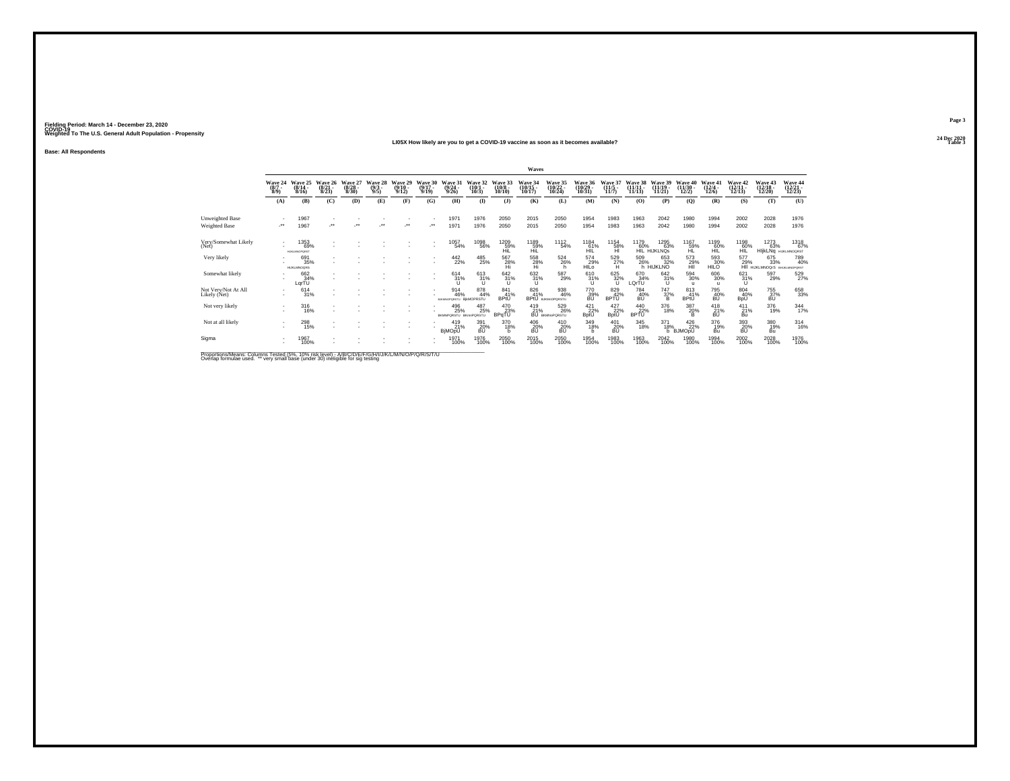#### **24 Dec 2020LI05X How likely are you to get a COVID-19 vaccine as soon as it becomes available?Table 3**

**Base: All Respondents**

|                                     |                               |                                         |                                 |                              |                               |                                  |                              |                                     |                                 |                                   | Waves                              |                                       |                                            |                           |                             |                                |                                       |                                  |                                |                                                           |                               |
|-------------------------------------|-------------------------------|-----------------------------------------|---------------------------------|------------------------------|-------------------------------|----------------------------------|------------------------------|-------------------------------------|---------------------------------|-----------------------------------|------------------------------------|---------------------------------------|--------------------------------------------|---------------------------|-----------------------------|--------------------------------|---------------------------------------|----------------------------------|--------------------------------|-----------------------------------------------------------|-------------------------------|
|                                     | Wave 24<br>$\binom{8/7}{8/9}$ | Wave 25<br>$\frac{(8/14 - 8/16)}{8/16}$ | Wave 26<br>$\binom{8/21}{8/23}$ | Wave<br>$\binom{8/28}{8/30}$ | Wave 28<br>$\binom{9/3}{9/5}$ | Wave 29<br>$\frac{(9/10)}{9/12}$ | Wave 30<br>$(9/17 -$<br>9/19 | Wave 31<br>$(9/24 -$<br>9/26        | Wave 32<br>$(10/1 -$<br>10/3    | Wave 33<br>$\frac{(10/8)}{10/10}$ | Wave 34<br>$\frac{(10/15)}{10/17}$ | Wave 35<br>(10/22 -<br>10/24)         | Wave 36<br>$\frac{(10/29 - 10/31)}{10/31}$ | Wave 3<br>$\frac{11}{5}$  | Wave<br>$(11/11 -$<br>11/13 | Wave 39<br>$(11/19 -$<br>11/21 | <b>Wave 40</b><br>$(11/30 -$<br>12/2) | Wave 41<br>$\frac{(12/4)}{12/6}$ | Wave 42<br>(12/11 -<br>(12/13) | <b>Wave 43</b><br>$(12/18 -$<br>12/20                     | Wave 44<br>(12/21 -<br>12/23) |
|                                     | (A)                           | (B)                                     | (C)                             | (D)                          | (E)                           | (F)                              | (G)                          | (H)                                 | $($ $\Gamma$                    | $($ $)$                           | (K)                                | (L)                                   | (M)                                        | (N)                       | (O)                         | (P)                            | (Q)                                   | (R)                              | (S)                            | (T)                                                       | (U)                           |
| Unweighted Base                     |                               | 1967                                    |                                 |                              |                               |                                  |                              | 1971                                | 1976                            | 2050                              | 2015                               | 2050                                  | 1954                                       | 1983                      | 1963                        | 2042                           | 1980                                  | 1994                             | 2002                           | 2028                                                      | 1976                          |
| Weighted Base                       | -**                           | 1967                                    | $\bullet\bullet$                | $^{+}$                       | $^{\tiny{+}}$                 | $\bullet\,\bullet$               | $\cdot$                      | 1971                                | 1976                            | 2050                              | 2015                               | 2050                                  | 1954                                       | 1983                      | 1963                        | 2042                           | 1980                                  | 1994                             | 2002                           | 2028                                                      | 1976                          |
| Very/Somewhat Likely<br>(Net)       |                               | 1353<br>69%<br><b>HUKLMNOPORST</b>      |                                 |                              |                               |                                  |                              | 1057<br>54%                         | 1098<br>56%                     | $^{1209}_{-59\%}$                 | 1189<br>59%<br>Hil                 | <sup>1112</sup> <sub>54</sub> %       | 1184<br>61%<br>HIL                         | 1154<br>58%<br>HI         | 1179<br>60%                 | 1295<br>63%<br>HIL HIJKLNOS    | 1167<br>59%<br>HL                     | 1199<br>60%<br>HĬĽ               | 1198<br>60%<br>HIL             | 1273<br>63%<br>HIjkLNq HUKLMNOQRST                        | 1318<br>67%                   |
| Very likely                         |                               | 691<br>35%<br><b>HUKLMNOGRS</b>         |                                 |                              |                               |                                  |                              | 442<br>22%                          | 485<br>25%                      | 567<br>$\frac{28}{H}$             | 558<br>28%                         | 524<br>26%                            | 574<br>29%<br>HILO                         | 529<br>$^{27\%}$          | 509                         | 653<br>32%<br>26% 32%          | 573<br>29%<br>HII                     | 593<br>30%<br>HILO               | 577                            | 675<br>33%<br>29% 33% 40%<br>HII HUKLMNOQrS BRUKLMNOPORST | 789<br>40%                    |
| Somewhat likely                     |                               | 662<br>34%<br>LgrTU                     | $\overline{\phantom{a}}$        |                              |                               |                                  | $\sim$                       | $^{614}_{31\%}$                     | 613<br>31%<br><b>U</b>          | 642 31%<br>$\cup$                 | 632 31%<br>$\mathbf{U}$            | 587<br>29%                            | 610<br>31%<br>υ                            | 625<br>32%<br>u           | 670<br>34%<br>LQrTU         | 642/31%                        | 594<br>30%<br>ш                       | $^{606}_{30\%}$                  | 621/31%<br>u                   | 597<br>29%                                                | 529<br>27%                    |
| Not Very/Not At All<br>Likely (Net) | ٠                             | 614<br>31%                              |                                 |                              |                               |                                  |                              | 914<br>46%<br><b>BJKWOPORSTU</b>    | 878<br>44%<br><b>BIKMOPRSTU</b> | $^{841}_{41\%}$<br>BPtU           | 826<br>41%                         | 938<br>46%<br><b>BPIU</b> BJRMOPORSTU | $^{770}_{39\%}$                            | 829<br>42%<br><b>BPTU</b> | 784<br>40%<br>BU            | $^{747}_{37\%}$                | 813<br>41%<br>BPtU                    | 795<br>40%<br>BŨ                 | 804<br>40%<br><b>BpU</b>       | 755<br>37%<br>BU                                          | 658<br>33%                    |
| Not very likely                     |                               | 316<br>16%                              |                                 |                              |                               |                                  |                              | 496<br>25%<br>BKMNPQRSTU BKmnPQRSTU | 487<br>25%                      | 470<br>23%<br>BPqTU               | 419<br>21%                         | 529<br>26%<br><b>BU BKMNoPORSTU</b>   | 421<br>22%<br>BptU                         | 427<br>22%<br><b>BptU</b> | $\frac{440}{22\%}$          | 376<br>18%                     | 387<br>20%<br>в                       | 418<br>$\frac{21}{10}$ %         | 411<br>21%<br>Bu               | 376<br>19%                                                | $\frac{344}{17\%}$            |
| Not at all likely                   | ٠<br>×.                       | 298<br>15%                              |                                 |                              |                               |                                  |                              | 419<br>21%<br><b>BjMOpU</b>         | 391<br>20%<br>BU                | 370<br>18%                        | 406<br>20%<br>BÚ                   | 410<br>20%<br>BÚ                      | 349<br>18%<br>h                            | 401<br>20%<br>BÚ          | 345<br>18%                  | 371<br>18%<br>b                | 426<br>22%<br><b>BJMOpU</b>           | 376<br>19%<br>Bu                 | 393<br>20%<br>BÚ               | 380<br>19%<br>Bu                                          | 314/16%                       |
| Sigma                               |                               | 1967<br>100%                            |                                 |                              |                               |                                  |                              | 1971<br>100%                        | 1976<br>100%                    | 2050<br>100%                      | 2015<br>100%                       | 2050<br>100%                          | 1954<br>100%                               | 1983<br>100%              | 1963<br>100%                | 2042<br>100%                   | 1980<br>100%                          | 1994<br>100%                     | 2002<br>100%                   | 2028<br>100%                                              | 1976<br>100%                  |
| .                                   |                               |                                         |                                 |                              |                               |                                  |                              |                                     |                                 |                                   |                                    |                                       |                                            |                           |                             |                                |                                       |                                  |                                |                                                           |                               |

Proportions/Means: Columns Tested (5%, 10% risk level) - A/B/C/D/E/F/G/H/I/J/K/L/M/N/O/P/Q/R/S/T/U<br>Overlap formulae used. \*\* very small base (under 30) ineligible for sig testing

**Page 3**24 Dec 2020<br>Table 3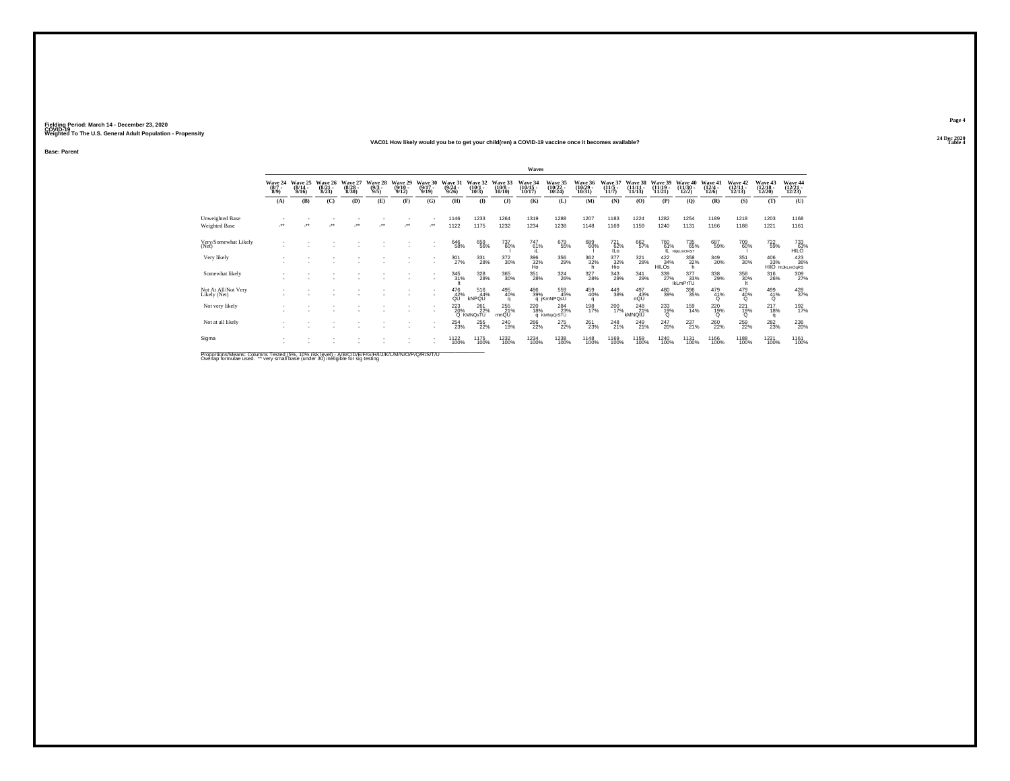#### **24 Dec 2020VAC01 How likely would you be to get your child(ren) a COVID-19 vaccine once it becomes available?Table 4 Table 4 Table 4 Table 4 Table 4 Table 4 Table 4 Table 4 Table 4 Table 4 Table 4**

**Base: Parent**

|                                                                                                    |                                |                              |                              |                                  |                               |                                         |                                  |                                  |                              |                               | Waves                         |                                  |                                                   |                        |                     |                                |                                       |                                       |                               |                              |                                       |
|----------------------------------------------------------------------------------------------------|--------------------------------|------------------------------|------------------------------|----------------------------------|-------------------------------|-----------------------------------------|----------------------------------|----------------------------------|------------------------------|-------------------------------|-------------------------------|----------------------------------|---------------------------------------------------|------------------------|---------------------|--------------------------------|---------------------------------------|---------------------------------------|-------------------------------|------------------------------|---------------------------------------|
|                                                                                                    | Wave 24<br>$\frac{(8/7)}{8/9}$ | Wave 25<br>$(8/14 -$<br>8/16 | Wave 26<br>$(8/21 -$<br>8/23 | Wave 27<br>$\frac{(8/28)}{8/30}$ | Wave 28<br>$\binom{9/3}{9/5}$ | Wave 29<br>$\frac{(9/10 - 9/12)}{9/12}$ | Wave 30<br>$\frac{(9/17)}{9/19}$ | Wave 31<br>$\frac{(9/24)}{9/26}$ | Wave 32<br>$(10/1 -$<br>10/3 | Wave 33<br>$(10/8 -$<br>10/10 | Wave 34<br>(10/15 -<br>10/17) | Wave 35<br>(10/22 -<br>10/24)    | <b>Wave 36</b><br>$\frac{(10/29 - 10/31)}{10/31}$ | $\frac{11}{5}$         | $(11/11 -$<br>11/13 | Wave 39<br>$(11/19 -$<br>11/21 | <b>Wave 40</b><br>$(11/30 -$<br>12/2) | Wave 41<br>$(12/4 -$<br>12/6          | Wave 42<br>(12/11 -<br>12/13) | Wave 43<br>(12/18 -<br>12/20 | Wave 44<br>(12/21 -<br>12/23)         |
|                                                                                                    | (A)                            | (B)                          | $\mathbf C$                  | (D)                              | (E)                           | (F)                                     | (G)                              | (H)                              | $\bf{I}$                     | $($ $)$                       | (K)                           | (L)                              | (M)                                               | (N)                    | (O)                 | (P)                            | (Q)                                   | (R)                                   | (S)                           | (T)                          | (U)                                   |
| Unweighted Base<br>Weighted Base                                                                   | $^{\tiny{++}}$                 |                              |                              |                                  | $\ddot{\phantom{0}}$          | $\ddot{\phantom{0}}$                    | $\ddot{\phantom{1}}$             | 1146<br>1122                     | 1233<br>1175                 | 1264<br>1232                  | 1319<br>1234                  | 1288<br>1238                     | 1207<br>1148                                      | 1183<br>1169           | 1224<br>1159        | 1282<br>1240                   | 1254<br>1131                          | 1189<br>1166                          | 1218<br>1188                  | 1203<br>1221                 | 1168<br>1161                          |
| Very/Somewhat Likely<br>(Net)                                                                      |                                |                              |                              |                                  |                               |                                         |                                  | 646<br>58%                       | 659<br>56%                   | 737<br>60%                    | 747 <sub>61%</sub>            | 679<br>55%                       | 689<br>60%                                        | 72162%<br>ILo:         | 662<br>57%          | 760<br>61%                     | 735<br>65%<br>IL HIKLMORST            | 687<br>59%                            | 709<br>60%                    | <sup>722</sup> 59%           | $733 \atop +1100$                     |
| Very likely                                                                                        |                                |                              |                              |                                  |                               |                                         |                                  | 301<br>27%                       | 331<br>28%                   | $^{372}_{\ 30\%}$             | $\frac{396}{32\%}$ Ho         | 356<br>29%                       | 362%<br>h                                         | $\frac{377}{32\%}$ Hio | 321<br>28%          | $\frac{422}{34\%}$<br>HILOS    | 358<br>32%<br>'n.                     | $\substack{349\\30\%}$                | 351<br>30%                    |                              | 406 423<br>33% 36%<br>HIIO HIJkLmOqRS |
| Somewhat likely                                                                                    |                                |                              |                              |                                  |                               |                                         | $\sim$                           | $345$<br>$31%$                   | $^{328}_{28\%}$              | $^{365}_{30\%}$               | $^{351}_{28\%}$               | $^{324}_{26\%}$                  | $\frac{327}{28\%}$                                | $\frac{343}{29\%}$     | $\frac{341}{29\%}$  | 339<br>27%                     | 377<br>33%<br><b>IkLmPrTU</b>         | $^{338}_{\phantom{1}\phantom{1}29\%}$ | 358<br>30%                    | 316<br>26%                   | 309<br>27%                            |
| Not At All/Not Very<br>Likely (Net)                                                                |                                |                              |                              |                                  |                               |                                         |                                  | 476<br>42%<br>QŪ                 | 516<br>44%<br>kNPQU          | $^{495}_{40\%}$<br>$\alpha$   | 486<br>39%                    | 559<br>45%<br>q jKmNPQsU         | 459<br>40%<br>q                                   | 449<br>38%             | $^{497}_{43\%}$ nQU | $^{480}_{39\%}$                | 396<br>35%                            | $^{479}_{41\%}$                       | 479<br>40%                    | $^{499}_{41\%}$              | $\frac{428}{37\%}$                    |
| Not very likely                                                                                    |                                |                              |                              |                                  |                               |                                         |                                  | 223                              | 261<br>20% 22%               | 255<br>21%<br>mnQU            | 220<br>18%                    | 284<br>23%<br><b>Q KMNpQrSTU</b> | 198<br>17%                                        | $^{200}_{17\%}$        | 248<br>kMNQtU       | $^{233}_{19\%}$                | 159<br>14%                            | 220<br>19%                            | 221<br>19%<br>Q               | $^{217}_{18\%}$<br>q         | 192<br>17%                            |
| Not at all likely                                                                                  |                                |                              |                              |                                  |                               |                                         |                                  | <sup>254</sup> <sub>23%</sub>    | $^{255}_{22\%}$              | $^{240}_{19\%}$               | <sup>266</sup> <sub>22%</sub> | <sup>275</sup> <sub>22%</sub>    | 261<br>23%                                        | 248<br>21%             | 249<br>21%          | $^{247}_{20\%}$                | $^{237}_{21\%}$                       | <sup>260</sup> <sub>22%</sub>         | 259<br>22%                    | 282<br>23%                   | 236<br>20%                            |
| Sigma                                                                                              |                                |                              |                              |                                  |                               |                                         |                                  | 1122<br>100%                     | 1175<br>100%                 | 1232<br>100%                  | 1234<br>100%                  | 1238<br>100%                     | 1148<br>100%                                      | 1169<br>100%           | 1159<br>100%        | 1240<br>100%                   | 1131<br>100%                          | 1166<br>100%                          | 1188<br>100%                  | 1221<br>100%                 | 1161<br>100%                          |
| Proportions/Means: Columns Tested (5%, 10% risk level) - A/B/C/D/F/F/G/H/I/J/K/L/M/N/O/P/Q/R/S/T/U |                                |                              |                              |                                  |                               |                                         |                                  |                                  |                              |                               |                               |                                  |                                                   |                        |                     |                                |                                       |                                       |                               |                              |                                       |

Proportions/Means: Columns Tested (5%, 10% risk level) - A/B/C/D/E/F/G/H/I/J/K/L/M/N/O/P/Q/R/S/T/U<br>Overlap formulae used. \*\* very small base (under 30) ineligible for sig testing

**Page 4**24 Dec 2020<br>Table 4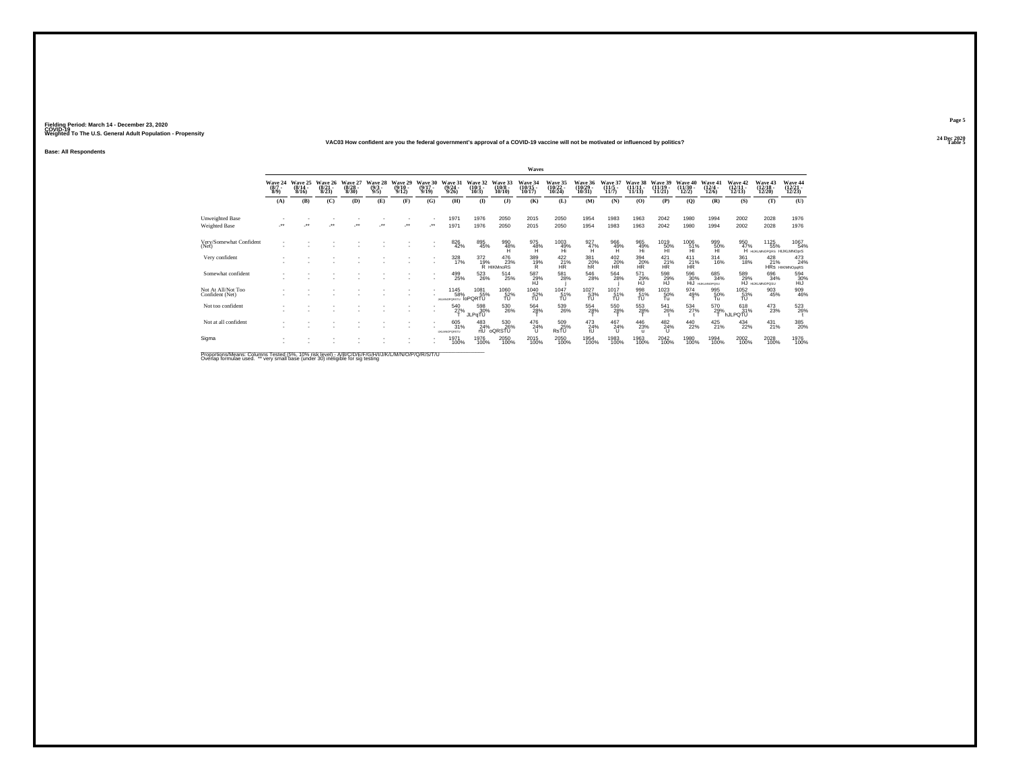**24 Dec 2020VAC03 How confident are you the federal government's approval of a COVID-19 vaccine will not be motivated or influenced by politics?**

**Base: All Respondents**

|                                                                |                                |                                  |                                 |                                 |                               |                                  |                                 |                                    |                               |                                     | <b>Waves</b>                  |                                                  |                                 |                                  |                                    |                                          |                                         |                                       |                                 |                                          |                                               |
|----------------------------------------------------------------|--------------------------------|----------------------------------|---------------------------------|---------------------------------|-------------------------------|----------------------------------|---------------------------------|------------------------------------|-------------------------------|-------------------------------------|-------------------------------|--------------------------------------------------|---------------------------------|----------------------------------|------------------------------------|------------------------------------------|-----------------------------------------|---------------------------------------|---------------------------------|------------------------------------------|-----------------------------------------------|
|                                                                | Wave 24<br>$\frac{(8/7)}{8/9}$ | Wave 25<br>$\frac{(8/14)}{8/16}$ | Wave 26<br>$\binom{8/21}{8/23}$ | Wave 27<br>$\binom{8/28}{8/30}$ | Wave 28<br>$\binom{9/3}{9/5}$ | Wave 29<br>$\frac{(9/10)}{9/12}$ | Wave 30<br>$\binom{9/17}{9/19}$ | Wave 31<br>$\frac{(9/24)}{9/26}$   | Wave 32<br>$(10/1 -$<br>10/3  | Wave 33<br>$(10/8 -$<br>10/10       | Wave 34<br>(10/15 -<br>10/17) | Wave 35<br>(10/22 -<br>10/24)                    | Wave 36<br>(10/29 -<br>10/31)   | Wave 37<br>$\frac{(11/5)}{11/7}$ | <b>Wave 38</b><br>$\frac{11}{113}$ | Wave 39<br>$\binom{11/19}{11/21}$        | Wave 40<br>$\frac{(11/30 - 12)}{12/2}$  | Wave 41<br>$\frac{(12/4 - 12)}{12/6}$ | Wave 42<br>(12/11-<br>12/13)    | <b>Wave 43</b><br>$\binom{12/18}{12/20}$ | Wave 44<br>(12/21<br>12/23)                   |
|                                                                | (A)                            | (B)                              | (C)                             | (D)                             | (E)                           | (F)                              | (G)                             | (H)                                | $($ I                         | $($ $)$                             | (K)                           | (L)                                              | (M)                             | (N)                              | (O)                                | (P)                                      | $\mathbf{Q}$                            | (R)                                   | (S)                             | (T)                                      | (U)                                           |
| Unweighted Base<br>Weighted Base                               | $^{\tiny{**}}$                 |                                  |                                 |                                 | $\ddot{\phantom{0}}$          |                                  | 59                              | 1971<br>1971                       | 1976<br>1976                  | 2050<br>2050                        | 2015<br>2015                  | 2050<br>2050                                     | 1954<br>1954                    | 1983<br>1983                     | 1963<br>1963                       | 2042<br>2042                             | 1980<br>1980                            | 1994<br>1994                          | 2002<br>2002                    | 2028<br>2028                             | 1976<br>1976                                  |
| Very/Somewhat Confident<br>(Net)                               |                                |                                  |                                 |                                 |                               |                                  |                                 | 826<br>42%                         | 895<br>45%                    | $^{990}_{48\%}$                     | 975<br>48%<br>H               | $^{1003}_{\substack{49\%\\ \text{Hi}}}$          | $^{927}_{47\%}$                 | $\frac{966}{49\%}$               | 965<br>49%<br>Hi                   | $^{1019}_{-50\%}$                        | $^{1006}_{\substack{51\%\\ \text{HI}}}$ | 999<br>50%<br>н                       | 950<br>47%                      | 1125<br>55%<br>HUKLMNOPORS HIJKLMNOprS   | 1067<br>54%                                   |
| Very confident                                                 |                                |                                  |                                 |                                 |                               |                                  |                                 | 328<br>17%                         | 372                           | 476<br>19% 239<br>R HIKMnoRS<br>23% | 389<br>19%<br>R               | 422<br>$\frac{21}{HR}$ %                         | 381<br>$^{20}_{hR}$             | 402<br>H <sup>20%</sup>          | 394<br>$\frac{20}{\text{HR}}$      | 421<br>$\overline{HR}^{21\%}$            | 411<br>$\frac{21}{HR}$                  | 314<br>16%                            | 361<br>18%                      | 428                                      | $^{473}_{24\%}$<br>21% 24%<br>HRs HIKIMNOpgRS |
| Somewhat confident                                             |                                |                                  |                                 |                                 |                               |                                  |                                 | 499<br>25%                         | 523<br>26%                    | 514<br>25%                          | 587<br>29%<br>HŪ              | 581<br>28%                                       | 546<br>28%                      | 564<br>28%                       | 571<br>29%<br>HJ                   | $^{598}_{\  \  \, 29\%}_{\  \  \, HJ}$   | 596<br>30%<br>HiJ                       | 685<br>34%<br><b>HUIGLMNOPOSU</b>     | 589<br>29%                      | 696<br>34%<br>HJ HUKLMNOPOSU             | $^{594}_{30\%}$ HiJ                           |
| Not At All/Not Too<br>Confident (Net)                          |                                |                                  |                                 |                                 |                               |                                  |                                 | 1145<br>58%<br><b>JKLMNOPORSTU</b> | 1081<br>55%<br><b>IoPORTU</b> | 1060<br>52%<br>TU                   | 1040<br>52%<br>TU             | $^{1047}_{-51\%}$                                | $^{1027}_{\substack{53\%\\70}}$ | 1017<br>$\frac{51}{10}$          | 998<br>51%<br>TU                   | $^{1023}_{\substack{50\% \\ \text{Tu}}}$ | 974<br>49%                              | 995<br>50%<br>Tu                      | $^{1052}_{\substack{53\%\\70}}$ | 903<br>45%                               | 909<br>46%                                    |
| Not too confident                                              |                                |                                  |                                 |                                 |                               |                                  |                                 | 540<br>27%                         | 598<br>30%<br>JLPqTU          | 530<br>26%                          | 564<br>28%                    | $^{539}_{\phantom{1}\phantom{1}\phantom{1}26\%}$ | 554<br>28%                      | 550<br>28%                       | 553<br>28%                         | 541<br>26%                               | 534<br>27%                              | 570<br>29%                            | 618<br>31%<br><b>hJLPQTU</b>    | 473<br>23%                               | 523<br>26%                                    |
| Not at all confident                                           |                                |                                  |                                 |                                 |                               |                                  |                                 | 605<br>31%<br><b>UKLMNOPORSTU</b>  | $^{483}_{24\%}$<br>rtU        | 530<br>26%<br>oQRSTU                | 476<br>24%                    | 509<br>25%<br>RsTU                               | 473<br>24%                      | 467<br>24%<br>$\cup$             | 446<br>23%<br>u                    | 482<br>24%<br>u                          | 440<br>22%                              | $^{425}_{21\%}$                       | 434<br>22%                      | $^{431}_{21\%}$                          | 385<br>20%                                    |
| Sigma                                                          |                                |                                  |                                 |                                 |                               |                                  |                                 | 1971<br>100%                       | 1976<br>100%                  | 2050<br>100%                        | 2015<br>100%                  | 2050<br>100%                                     | 1954<br>100%                    | 1983<br>100%                     | 1963<br>100%                       | 2042<br>100%                             | 1980<br>100%                            | 1994<br>100%                          | 2002<br>100%                    | 2028<br>100%                             | 1976<br>100%                                  |
| Descriptions & Linear Ordinary Trade of CEAC, AAAC Sale Linear |                                |                                  |                                 |                                 |                               | <b><i>BABUO DO DO COT</i></b>    |                                 |                                    |                               |                                     |                               |                                                  |                                 |                                  |                                    |                                          |                                         |                                       |                                 |                                          |                                               |

Proportions/Means: Columns Tested (5%, 10% risk level) - A/B/C/D/E/F/G/H/I/J/K/L/M/N/O/P/Q/R/S/T/U<br>Overlap formulae used. \*\* very small base (under 30) ineligible for sig testing

**Page 5**24 Dec 2020<br>Table 5

**Table 5 Table 5 Table 5 Table 5 Table 5 Table 5 Table 5 Table 5 Table 5**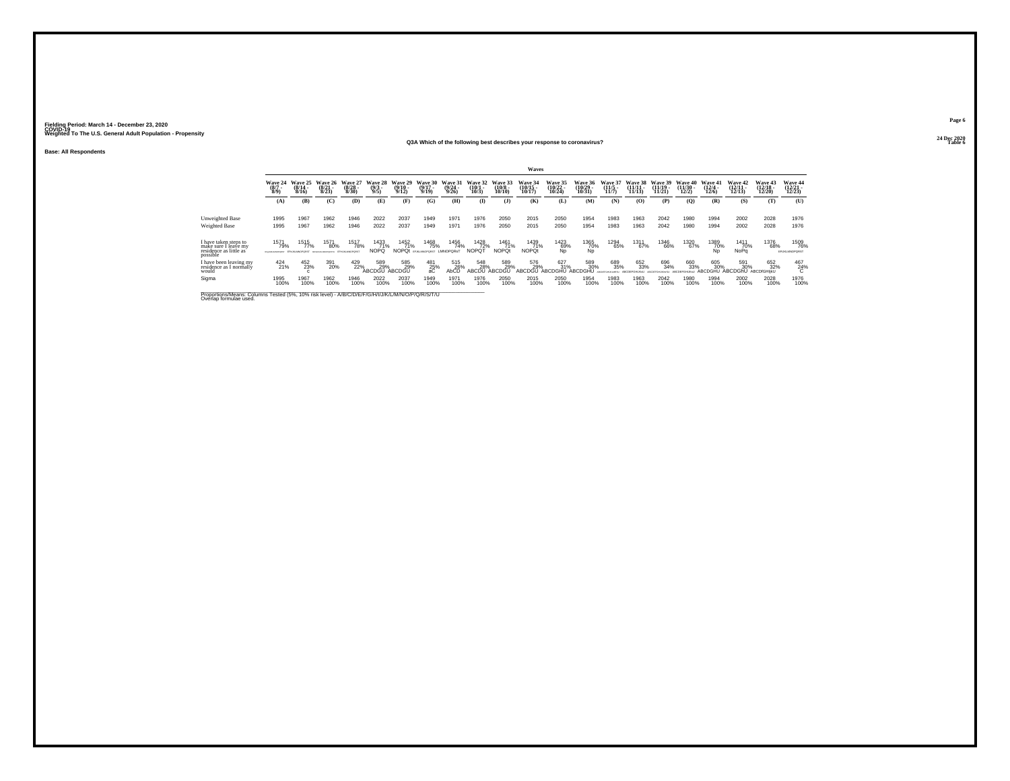## **Base: All Respondents**

## **24 Dec 2020Q3A Which of the following best describes your response to coronavirus?**

|                                                                                                                              |                         |                              |                              |                              |                                |                                  |                                              |                           |                              |                               | Waves                       |                                           |                                    |                              |                                |                                |                                |                              |                               |                                |                              |
|------------------------------------------------------------------------------------------------------------------------------|-------------------------|------------------------------|------------------------------|------------------------------|--------------------------------|----------------------------------|----------------------------------------------|---------------------------|------------------------------|-------------------------------|-----------------------------|-------------------------------------------|------------------------------------|------------------------------|--------------------------------|--------------------------------|--------------------------------|------------------------------|-------------------------------|--------------------------------|------------------------------|
|                                                                                                                              | Wave 24<br>(8/7)<br>8/9 | Wave 25<br>$(8/14 -$<br>8/16 | Wave 26<br>$(8/21 -$<br>8/23 | Wave 27<br>$(8/28 -$<br>8/30 | Wave 28<br>$\frac{(9/3)}{9/5}$ | Wave 29<br>$\frac{(9/10)}{9/12}$ | Wave 30<br>$(9/17 -$<br>9/19                 | Wave 31<br>(9/24)<br>9/26 | Wave 32<br>$(10/1 -$<br>10/3 | Wave 33<br>$(10/8 -$<br>10/10 | Wave 34<br>10/17            | <b>Wave 35</b><br>$\frac{(10/22)}{10/24}$ | <b>Wave 36</b><br>(10/29)<br>10/31 | Wave 37<br>$(11/5 -$<br>11/7 | Wave 38<br>$(11/11 -$<br>11/13 | Wave 39<br>$(11/19 -$<br>11/21 | Wave 40<br>$(11/30 -$<br>12/2) | Wave 41<br>$(12/4 -$<br>12/6 | Wave 42<br>$12/11 -$<br>12/13 | Wave 43<br>$(12/18 -$<br>12/20 | Wave 44<br>12/23             |
|                                                                                                                              | (A)                     | (B)                          | (C)                          | (D)                          | (E)                            | (F)                              | (G)                                          | (H)                       | $($ I                        | $($ $)$                       | (K)                         | (L)                                       | (M)                                | (N)                          | (0)                            | (P)                            | $\mathbf{Q}$                   | (R)                          | (S)                           | (T)                            | (U)                          |
| Unweighted Base                                                                                                              | 1995                    | 1967                         | 1962                         | 1946                         | 2022                           | 2037                             | 1949                                         | 1971                      | 1976                         | 2050                          | 2015                        | 2050                                      | 1954                               | 1983                         | 1963                           | 2042                           | 1980                           | 1994                         | 2002                          | 2028                           | 1976                         |
| <b>Weighted Base</b>                                                                                                         | 1995                    | 1967                         | 1962                         | 1946                         | 2022                           | 2037                             | 1949                                         | 1971                      | 1976                         | 2050                          | 2015                        | 2050                                      | 1954                               | 1983                         | 1963                           | 2042                           | 1980                           | 1994                         | 2002                          | 2028                           | 1976                         |
| have taken steps to<br>make sure I leave my<br>residence as little as<br>possible                                            | 1571<br>79%             | 1515<br>77%                  | 1571<br>80%                  | 1517<br>78%                  | 1433<br>71%<br><b>NOPQ</b>     | <sup>1452</sup> 71%              | 1468<br>75%<br>NOPOt EFJKLMNOPORST LMNOPORST | 1456<br>74%               | 1428<br>72%<br><b>NOPQT</b>  | 1461<br>71%<br><b>NOPQt</b>   | 1439<br>71%<br><b>NOPOt</b> | $^{1423}_{69\%}$ Np                       | 1365<br>70%<br>Np                  | 1294<br>65%                  | 1311<br>67%                    | 1346<br>66%                    | 1320<br>67%                    | 1389<br>70%<br>Np            | 1411<br>70%<br>NoPa           | 1376<br>68%                    | 1509<br>76%<br>EFUKLMNOPORST |
| I have been leaving my<br>residence as I normally<br>would                                                                   | $^{424}_{21\%}$         | 452<br>23%                   | 391<br>20%                   | 429                          | 589<br>29%<br>ABCDGU           | 585<br>29%<br>ABCDGU             | $^{481}_{25\%}$<br>aC                        | 515<br>26%<br>AbCD        | 548<br>28%<br>ABCDU          | 589<br>29%<br>ABCDGU          | 576<br>29%<br>ABCDGÜ        | 627 31%<br>ABCDGHU                        | 589<br>30%<br><b>ABCDGHI</b>       | 689<br>35%                   | 652<br>33%                     | 696<br>34%                     | 660<br>33%                     | 605<br>30%<br><b>ABCDGHU</b> | 591<br>30%<br>ABCDGhU         | 652<br>32%<br>ABCDIGHIKU       | $^{467}_{24\%}$              |
| Sigma                                                                                                                        | 1995<br>100%            | 1967<br>100%                 | 1962<br>100%                 | 1946<br>100%                 | 2022<br>100%                   | 2037<br>100%                     | 1949<br>100%                                 | 1971<br>100%              | 1976<br>100%                 | 2050<br>100%                  | 2015<br>100%                | 2050<br>100%                              | 1954<br>100%                       | 1983<br>100%                 | 1963<br>100%                   | 2042<br>100%                   | 1980<br>100%                   | 1994<br>100%                 | 2002<br>100%                  | 2028<br>100%                   | 1976<br>100%                 |
| Proportions/Means: Columns Tested (5%, 10% risk level) - A/B/C/D/E/F/G/H/I/J/K/L/M/N/O/P/Q/R/S/T/U<br>Overlap formulae used. |                         |                              |                              |                              |                                |                                  |                                              |                           |                              |                               |                             |                                           |                                    |                              |                                |                                |                                |                              |                               |                                |                              |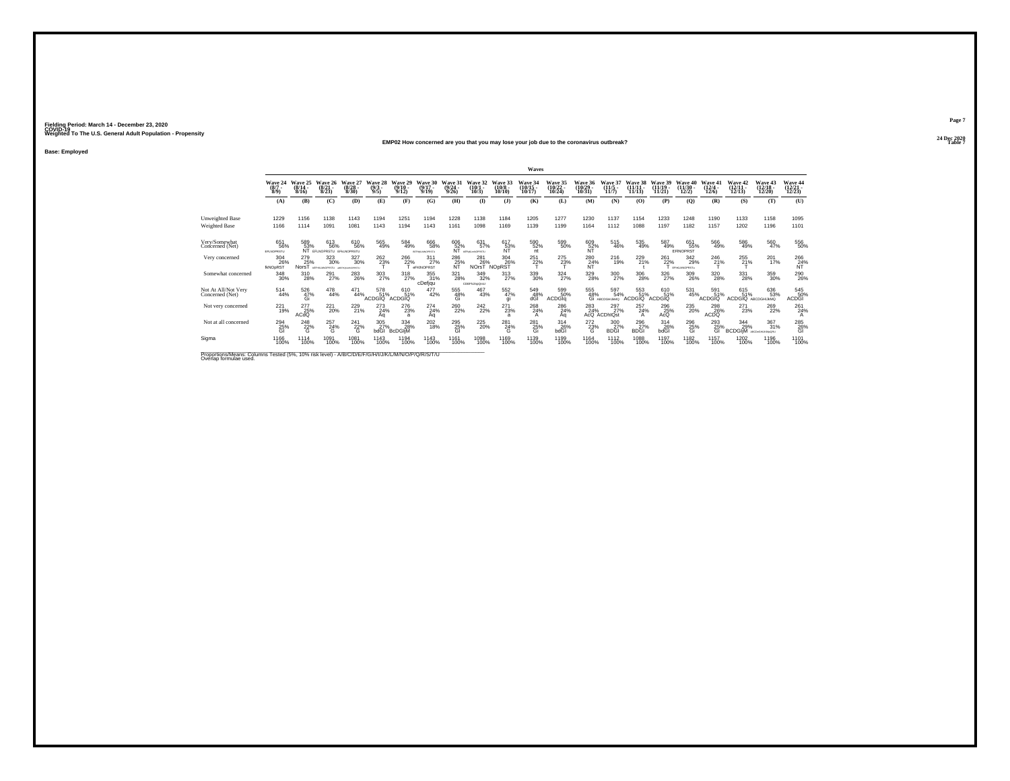**Base: Employed**

#### **24 Dec 2020EMP02 How concerned are you that you may lose your job due to the coronavirus outbreak?Table 7**

|                                                                                                                              |                               |                              |                                                       |                               |                                  |                              |                              |                              |                                     |                                  | Waves                          |                                |                                      |                                 |                             |                             |                                  |                           |                                  |                                        |                               |
|------------------------------------------------------------------------------------------------------------------------------|-------------------------------|------------------------------|-------------------------------------------------------|-------------------------------|----------------------------------|------------------------------|------------------------------|------------------------------|-------------------------------------|----------------------------------|--------------------------------|--------------------------------|--------------------------------------|---------------------------------|-----------------------------|-----------------------------|----------------------------------|---------------------------|----------------------------------|----------------------------------------|-------------------------------|
|                                                                                                                              | Wave 24<br>(8/7)<br>8/9       | Wave 25<br>$(8/14 -$<br>8/16 | Wave 26<br>(8/2)<br>8/23                              | Wave 27<br>(8/28)<br>8/30     | Wave 28<br>$(9/3 -$<br>9/5       | Wave 29<br>$(9/10 -$<br>9/12 | Wave 30<br>$(9/17 -$<br>9/19 | Wave 31<br>$(9/24 -$<br>9/26 | Wave 32<br>$(10/1 -$<br>10/3        | Wave 33<br>$(10/8 -$<br>10/10    | Wave 34<br>$(10/15 -$<br>10/17 | Wave 35<br>$(10/22 -$<br>10/24 | Wave 36<br>(10/29)<br>10/31          | Wave 37<br>(11/5 -<br>11/7      | $(11/11 -$<br>11/13         | Wave 39<br>(11/19)<br>11/21 | 40<br>Wave<br>$(11/30 -$<br>12/2 | Wave 41<br>(12/4)<br>12/6 | Wave 42<br>$(12/11 -$<br>12/13   | Wave 43<br>$(12/18 -$<br>12/20         | Wave 44<br>12/23              |
|                                                                                                                              | (A)                           | (B)                          | (C)                                                   | (D)                           | (E)                              | (F)                          | (G)                          | (H)                          | $\bf(I)$                            | $($ $)$                          | (K)                            | (L)                            | (M)                                  | (N)                             | (0)                         | (P)                         | (0)                              | (R)                       | (S)                              | (T)                                    | (U)                           |
| Unweighted Base<br>Weighted Base                                                                                             | 1229<br>1166                  | 1156<br>1114                 | 1138<br>1091                                          | 1143<br>1081                  | 1194<br>1143                     | 1251<br>1194                 | 1194<br>1143                 | 1228<br>1161                 | 1138<br>1098                        | 1184<br>1169                     | 1205<br>1139                   | 1277<br>1199                   | 1230<br>1164                         | 1137<br>1112                    | 1154<br>1088                | 1233<br>1197                | 1248<br>1182                     | 1190<br>1157              | 1133<br>1202                     | 1158<br>1196                           | 1095<br>1101                  |
| Very/Somewhat<br>Concerned (Net)                                                                                             | 651<br>56%<br>EFLNOPRSTU      | 589<br>53%                   | 613<br>56%<br>EFLNOPRSTU EFKLNOPRSTU                  | 610<br>56%                    | $^{565}_{49\%}$                  | 584<br>49%                   | 666<br>58%<br>BEFHRUMHOPRETU | 606<br>52%<br>ÑŤ             | 631<br>57%<br><b>NEPAKLANOPRSTU</b> | 617<br>53%<br>ÑĨ                 | 590<br>52%<br>nt               | 599<br>50%                     | 609<br>52%<br>NT                     | $\frac{515}{46\%}$              | 535<br>49%                  | 587<br>49%                  | 651<br>55%<br>EFINOPRST          | 566<br>49%                | 586<br>49%                       | 560<br>47%                             | 556<br>50%                    |
| Very concerned                                                                                                               | 304<br>26%<br><b>IKNOpRST</b> | 279<br>25%<br>NorsT          | 323<br>30%<br><b>SEFIRIARIOFRSTU ANFHIRIARIOFRSTU</b> | 327<br>30%                    | 262<br>23%                       | 266<br>22%                   | 311<br>27%<br>eFKINOPRST     | 286<br>$R^2$                 | 281<br>26%<br>NOrsT                 | 304<br>26%<br>NO <sub>DRST</sub> | 251<br>22%                     | 275<br>23%                     | 280<br>R <sub>1</sub> <sup>24%</sup> | 216<br>19%                      | 229<br>21%                  | 261<br>22%                  | 342<br>29%<br>EPHOMAGPRSTu       | 246<br>21%                | 255<br>21%                       | 201<br>17%                             | 266<br>$R^2$ <sup>4%</sup>    |
| Somewhat concerned                                                                                                           | 348<br>30%                    | 310<br>28%                   | 291<br>27%                                            | <sup>283</sup> <sub>26%</sub> | 303<br>27%                       | $\frac{318}{27\%}$           | 355<br>31%<br>cDefjqu        | $^{321}_{28\%}$              | 349<br>32%<br>CDEFhJinpQrsU         | $\frac{313}{27\%}$               | 339<br>30%                     | $\frac{324}{27\%}$             | 329 %                                | 300<br>27%                      | 306<br>28%                  | 326<br>27%                  | 309<br>26%                       | 320<br>28%                | 331<br>28%                       | 359<br>30%                             | <sup>290</sup> <sub>26%</sub> |
| Not At All/Not Very<br>Concerned (Net)                                                                                       | 514<br>44%                    | 526<br>47%<br>Gi             | 478<br>44%                                            | 471<br>44%                    | 578<br>51%<br>ACDGIO <sup></sup> | 610<br>51%<br>ACDGIO         | 477<br>42%                   | 555<br>48%<br>Gi             | $^{467}_{43\%}$                     | 552<br>47%<br>gi                 | 549<br>48%<br>dĜĪ              | 599 50%<br><b>ACDGIa</b>       | 555<br>48%<br>Gi                     | 597<br>54%<br><b>ARCOGHLIMO</b> | 553<br>51%<br><b>ACDGIO</b> | 610<br>51%<br>ACDGIO        | 531<br>45%                       | 591<br>51%<br>ACDGIO      | 615<br>51%<br>ACDGIQ ABCDGHIJKMQ | 636<br>53%                             | 545<br>50%<br><b>ACDGI</b>    |
| Not very concerned                                                                                                           | 221<br>19%                    | 277<br>25%<br>ACdQ           | 221<br>20%                                            | 229<br>21%                    | 273<br>24%<br>Aa                 | 276<br>23%<br>a              | 274<br>$^{24\%}_{\text{Aq}}$ | 260<br>22%                   | 242<br>22%                          | 271<br>23%<br>a                  | 268<br>24%                     | 286<br>24%<br>Aq               | 283<br>$AGQ^2$                       | 297<br>27%<br><b>ACDHIOst</b>   | 257<br>24%<br>A             | 296<br>25%<br>AcQ           | 235<br>20%                       | 298<br>26%<br><b>ACDQ</b> | 271<br>23%                       | 269<br>22%                             | 261<br>24%<br>А               |
| Not at all concerned                                                                                                         | 294<br>25%<br>GI              | 248<br>22%<br>G              | 257<br>24%<br>G                                       | $^{241}_{22\%}$<br>G          | 305<br>27%<br>bdGl               | 334<br>28%<br><b>BcDGliM</b> | 202<br>18%                   | 295<br>25%<br>GI             | $^{225}_{20\%}$                     | 281<br>24%<br>G                  | 281<br>25%<br>Gi               | 314<br>26%<br>bdGl             | 272<br>23%<br>G                      | 300<br>27%<br><b>BDGI</b>       | 296<br>27%<br><b>BDGI</b>   | 314<br>26%<br>bdGl          | 296<br>25%<br>Gi                 | 293<br>25%<br>GI          | 344<br>29%<br><b>BCDGIIM</b>     | $\frac{367}{31\%}$<br>ABCDeGHLIKIMoQRU | 285<br>26%<br>ĞĪ              |
| Sigma                                                                                                                        | 1166<br>100%                  | 1114<br>100%                 | 1091<br>100%                                          | 1081<br>100%                  | 1143<br>100%                     | 1194<br>100%                 | 1143<br>100%                 | 1161<br>100%                 | 1098<br>100%                        | 1169<br>100%                     | 1139<br>100%                   | 1199<br>100%                   | 1164<br>100%                         | 1112<br>100%                    | 1088<br>100%                | 1197<br>100%                | 1182<br>100%                     | 1157<br>100%              | 1202<br>100%                     | 1196<br>100%                           | 1101<br>100%                  |
| Proportions/Means: Columns Tested (5%, 10% risk level) - A/B/C/D/E/F/G/H/I/J/K/L/M/N/O/P/Q/R/S/T/U<br>Overlap formulae used. |                               |                              |                                                       |                               |                                  |                              |                              |                              |                                     |                                  |                                |                                |                                      |                                 |                             |                             |                                  |                           |                                  |                                        |                               |

**Page 7**24 Dec 2020<br>Table 7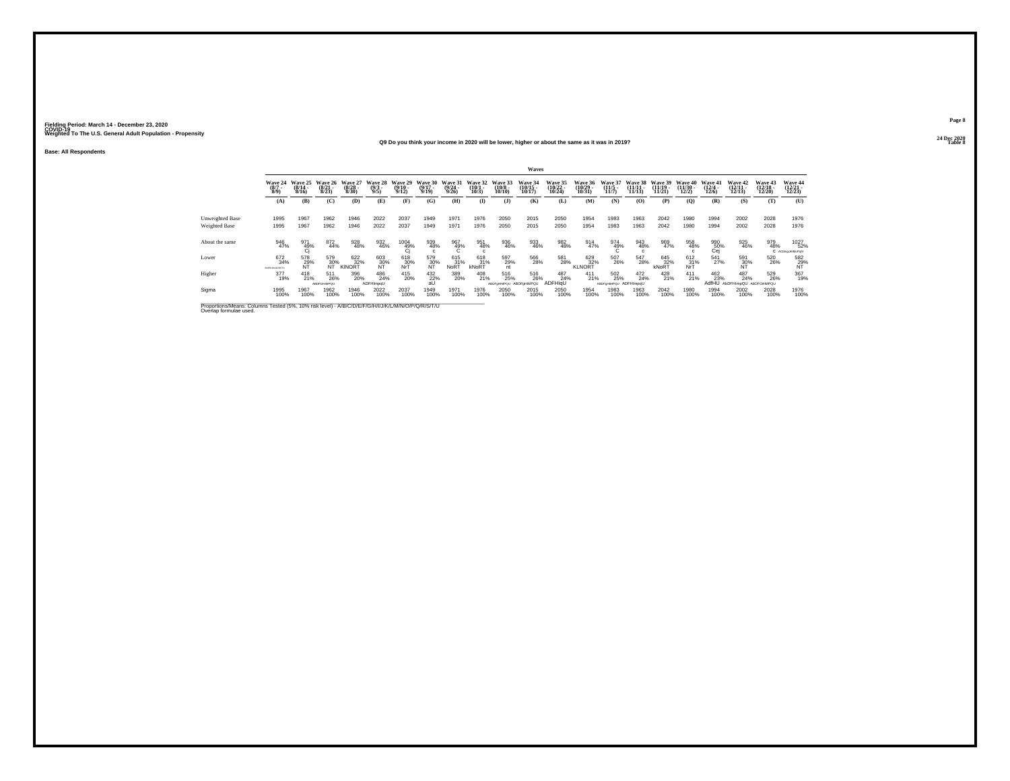**24 Dec 2020Q9 Do you think your income in 2020 will be lower, higher or about the same as it was in 2019?**

**Base: All Respondents**

|                 |                                    |                                  |                                  |                                  |                                |                               |                                  |                                  |                              |                              | Waves                         |                            |                               |                                 |                                |                            |                                |                             |                            |                                       |                                 |
|-----------------|------------------------------------|----------------------------------|----------------------------------|----------------------------------|--------------------------------|-------------------------------|----------------------------------|----------------------------------|------------------------------|------------------------------|-------------------------------|----------------------------|-------------------------------|---------------------------------|--------------------------------|----------------------------|--------------------------------|-----------------------------|----------------------------|---------------------------------------|---------------------------------|
|                 | Wave 24<br>$\binom{8/7}{8/9}$      | Wave 25<br>$\frac{(8/14)}{8/16}$ | Wave 26<br>$\frac{(8/21)}{8/23}$ | Wave 27<br>$\frac{(8/28)}{8/30}$ | Wave 28<br>$\frac{(9/3)}{9/5}$ | Wave 29<br>(9/10 -<br>9/12)   | Wave 30<br>$\frac{(9/17)}{9/19}$ | Wave 31<br>$\frac{(9/24)}{9/26}$ | Wave 32<br>(10/1 -<br>10/3)  | Wave 33<br>(10/8 -<br>10/10) | Wave 34<br>(10/15 -<br>10/17) | Wave 35<br>(10/22<br>10/24 | Wave 36<br>(10/29 -<br>10/31) | Wave 3<br>$\frac{(11/5)}{11/7}$ | Wave 38<br>$(11/11 -$<br>11/13 | Wave 39<br>(11/19<br>11/21 | Wave 40<br>$(11/30 -$<br>12/2) | Wave 41<br>(12/4 -<br>12/6) | Wave 42<br>(12/11<br>12/13 | <b>Wave 43<br/>(12/18 -</b><br>12/20) | Wave 44<br>12/23                |
|                 | (A)                                | (B)                              | (C)                              | (D)                              | (E)                            | (F)                           | (G)                              | (H)                              | (1)                          | $($ $\bf{J}$ )               | (K)                           | (L)                        | (M)                           | (N)                             | (O)                            | (P)                        | (Q)                            | (R)                         | (S)                        | (T)                                   | (U)                             |
| Unweighted Base | 1995                               | 1967                             | 1962                             | 1946                             | 2022                           | 2037                          | 1949                             | 1971                             | 1976                         | 2050                         | 2015                          | 2050                       | 1954                          | 1983                            | 1963                           | 2042                       | 1980                           | 1994                        | 2002                       | 2028                                  | 1976                            |
| Weighted Base   | 1995                               | 1967                             | 1962                             | 1946                             | 2022                           | 2037                          | 1949                             | 1971                             | 1976                         | 2050                         | 2015                          | 2050                       | 1954                          | 1983                            | 1963                           | 2042                       | 1980                           | 1994                        | 2002                       | 2028                                  | 1976                            |
| About the same  | 946<br>47%                         | 971<br>49%                       | 872<br>44%                       | 928<br>48%                       | 932<br>46%                     | $^{1004}_{\substack{49\\0j}}$ | 939<br>48%                       | 967<br>49%                       | 951<br>48%<br>$\mathfrak{c}$ | 936<br>46%                   | 933<br>46%                    | 982<br>48%                 | 914<br>47%                    | $\frac{974}{49\%}$              | 943<br>48%                     | 969<br>47%                 | 958<br>48%                     | 990<br>50%<br>Cej           | 925<br>46%                 | 979<br>48%                            | 1027<br>52%<br>C ACDEgUKIMoPqSt |
| Lower           | 672<br>34%<br><b>BORGUALNORSTU</b> | 578<br>29%<br>NT                 | 579<br>30%                       | 622<br>32%<br>KINORT             | 603<br>30%<br>NT               | 618<br>30%<br>NrT             | 579<br>30%<br>NT                 | 615<br>31%<br>NoRT               | 618<br>kNoRT                 | 597<br>29%                   | 566<br>28%                    | 581<br>28%                 | 629<br>82%<br>KLNORT          | 507<br>26%                      | 547<br>28%                     | 645<br>$\overline{32\%}$   | 612<br>31%<br>NrT              | 541<br>27%                  | 591<br>30%<br>NT           | 520<br>26%                            | 582<br>29%<br>NT                |
| Higher          | 377<br>19%                         | $^{418}_{21\%}$                  | 511<br>26%<br>ARDEGHMPOLI        | 396<br>20%                       | 486<br>24%<br>ADFHImpgU        | 415<br>20%                    | $^{432}_{22\%}$<br>aU            | 389<br>20%                       | 408<br>21%                   | 516<br>25%<br>ABDFoHMPOU     | 516<br>26%<br>ABDFoHIMPQU     | 487<br>24%<br>ADFHigU      | $^{411}_{21\%}$               | 502<br>25%<br>ABDFoHIMPOU       | 472<br>24%<br>ADFHImpqU        | 428<br>21%                 | $^{411}_{21\%}$                | 462<br>23%<br>AdfHU         | 487<br>24%<br>AbDFHImpQU   | 529<br>26%<br>ABDFGHIMPOU             | 367<br>19%                      |
| Sigma           | 1995<br>100%                       | 1967<br>100%                     | 1962<br>100%                     | 1946<br>100%                     | 2022<br>100%                   | 2037<br>100%                  | 1949<br>100%                     | 1971<br>100%                     | 1976<br>100%                 | 2050<br>100%                 | 2015<br>100%                  | 2050<br>100%               | 1954<br>100%                  | 1983<br>100%                    | 1963<br>100%                   | 2042<br>100%               | 1980<br>100%                   | 1994<br>100%                | 2002<br>100%               | 2028<br>100%                          | 1976<br>100%                    |

Proportions/Means: Columns Tested (5%, 10% risk level) - *N'B/C/D/E/F/G/H/I/J/K/L/M/N/O/P/Q/R/S/T/U* Overlap formulae used.<br>Overlap formulae used.

**Page 824 Dec 2020**<br>Table 8

**Table 8**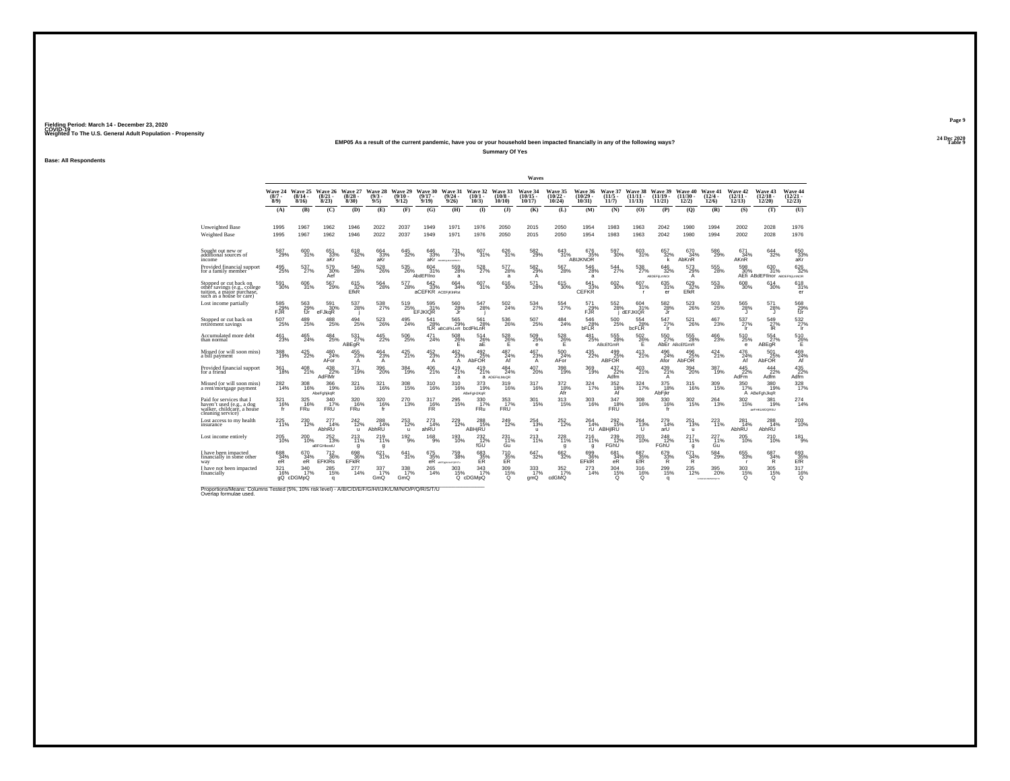## **24 Dec 2020EMP05 As a result of the current pandemic, have you or your household been impacted financially in any of the following ways?**

**Summary Of Yes**

**Base: All Respondents**

|                                                                                                                  |                                 |                              |                              |                              |                             |                              |                                  |                                  |                              |                                   | Waves                                   |                                |                              |                            |                                       |                                                |                                                 |                                        |                               |                                            |                                |
|------------------------------------------------------------------------------------------------------------------|---------------------------------|------------------------------|------------------------------|------------------------------|-----------------------------|------------------------------|----------------------------------|----------------------------------|------------------------------|-----------------------------------|-----------------------------------------|--------------------------------|------------------------------|----------------------------|---------------------------------------|------------------------------------------------|-------------------------------------------------|----------------------------------------|-------------------------------|--------------------------------------------|--------------------------------|
|                                                                                                                  | Wave 24<br>$(8/7 -$<br>$8/9$ )  | Wave 25<br>$(8/14 -$<br>8/16 | Wave 26<br>$(8/21 -$<br>8/23 | Wave 27<br>$(8/28 -$<br>8/30 | Wave 28<br>$(9/3 -$<br>9/5) | Wave 29<br>$(9/10 -$<br>9/12 | Wave 30<br>$(9/17 -$<br>9/19     | Wave 31<br>$(9/24 -$<br>9/26     | Wave 32<br>(10/1.<br>10/3)   | Wave 33<br>(10/8)<br>10/10        | Wave 34<br>$(10/15 -$<br>10/17          | Wave 35<br>$(10/22 -$<br>10/24 | Wave 36<br>(10/29)<br>10/31  | Wave 37<br>(11/5)<br>11/7  | <b>Wave 38</b><br>$(11/11 -$<br>11/13 | Wave 39<br>$(11/19 -$<br>11/21                 | Wave 40<br>$(11/30 -$<br>12/2)                  | Wave 41<br>$(12/4 -$<br>12/6           | Wave 42<br>$12/11 -$<br>12/13 | Wave 43<br>$(12/18 -$<br>12/20             | Wave 44<br>$(12/21 -$<br>12/23 |
|                                                                                                                  | (A)                             | (B)                          | (C)                          | (D)                          | (E)                         | (F)                          | (G)                              | (H)                              | $($ I                        | $($ $)$                           | (K)                                     | (L)                            | (M)                          | (N)                        | (0)                                   | (P)                                            | (Q)                                             | (R)                                    | (S)                           | (T)                                        | (U)                            |
| Unweighted Base<br><b>Weighted Base</b>                                                                          | 1995<br>1995                    | 1967<br>1967                 | 1962<br>1962                 | 1946<br>1946                 | 2022<br>2022                | 2037<br>2037                 | 1949<br>1949                     | 1971<br>1971                     | 1976<br>1976                 | 2050<br>2050                      | 2015<br>2015                            | 2050<br>2050                   | 1954<br>1954                 | 1983<br>1983               | 1963<br>1963                          | 2042<br>2042                                   | 1980<br>1980                                    | 1994<br>1994                           | 2002<br>2002                  | 2028<br>2028                               | 1976<br>1976                   |
| Sought out new or<br>additional sources of<br>income                                                             | 587<br>29%                      | 600<br>31%                   | 651<br>33%<br>aKr            | 618<br>32%                   | 664<br>33% <sub>akr</sub>   | 645<br>32%                   | 646<br>33%<br>aKr                | 731<br>37%<br>ABICEFADEACPRATA   | 607<br>31%                   | 626<br>31%                        | 582<br>29%                              | 643<br>31%                     | 676<br>35%<br>ABIJKNOR       | 597<br>30%                 | 603<br>31%                            | 657<br>32%<br>k                                | 670<br>34%<br>AbKnR                             | 586<br>29%                             | 671<br>34%<br>AKnR            | $\overset{644}{_{32\%}}$                   | 650<br>$33%$<br>aKr            |
| Provided financial support<br>for a family member                                                                | $^{495}_{25\%}$                 | 537<br>27%                   | 579<br>30%<br>Aef            | 540<br>28%                   | $^{528}_{26\%}$             | 535<br>26%                   | 604<br>31%<br>AbdEFIIno          | 559<br>28%<br>a                  | 528<br>27%                   | 577<br>28%<br>a                   | 582%<br>A                               | 567<br>28%                     | 546<br>28%<br>a              | $^{544}_{\ 27\%}$          | 538<br>27%                            | $\substack{646 \\ 32\%}$<br><b>ABDEFILMNOr</b> | 573<br>29%<br>A                                 | 555<br>28%                             | 598<br>30%                    | 630<br>31%<br>AEfi ABdEFIInor ABDEFNILMNOR | 626<br>32%                     |
| Stopped or cut back on<br>othèr savings (e.g., college<br>tuition, a major purchase,<br>such as a house or care) | $^{591}_{30\%}$                 | 606<br>31%                   | 567<br>29%                   | 615<br>32%<br>EfkR           | $^{564}_{28\%}$             | 577<br>28%                   | 642<br>33%<br>aCEFKR ACEFIKInRst | 664<br>34%                       | 607<br>31%                   | 616<br>30%                        | $^{571}_{28\%}$                         | 615<br>30%                     | 641<br>33%<br><b>CEFKR</b>   | 602<br>30%                 | $\frac{607}{31\%}$                    | 635<br>31%<br>er                               | $\overset{629}{\underset{\mathsf{EfkR}}{32\%}}$ | 553<br>28%                             | 608<br>30%                    | $^{614}_{30\%}$                            | 618<br>31%<br>er               |
| Lost income partially                                                                                            | $^{585}_{29\%}$ FJR             | 563<br>29%<br>fJr            | 591<br>30%<br>eFJkqR         | $^{537}_{28\%}$              | $^{538}_{27\%}$             | 519<br>25%                   | 595<br>31%<br>EFJKIQR            | 560<br>28%<br>.ir                | 547<br>28%                   | 502<br>24%                        | 534<br>27%                              | 554<br>27%                     | 571<br>$^{7/1}_{F\text{JR}}$ | 552<br>28%                 | 604<br>31%<br><b>dEFJKIQR</b>         | $\frac{582}{28\%}$<br>Jr                       | 523<br>26%                                      | 503<br>25%                             | $^{565}_{28\%}$               | $^{571}_{28\%}$<br>л                       | $^{568}_{29\%}$ fJr            |
| Stopped or cut back on<br>retirement savings                                                                     | 507<br>25%                      | 489<br>25%                   | 488<br>25%                   | 494<br>25%                   | 523<br>26%                  | 495<br>24%                   | 541<br>$^{28\%}_{\text{fLR}a}$   | 565<br>29%<br>aBCdFkLnR bcdFkLnR | 561<br>28%                   | 536<br>26%                        | 507<br>25%                              | 484<br>24%                     | 546<br>28%<br>bFLR           | 500<br>25%                 | 554<br>28%<br>bcFLR                   | 547<br>27%<br>Ïr                               | 521<br>26%                                      | 467<br>23%                             | 537<br>27%<br>-lr             | 549<br>$^{27\%}_{IR}$                      | $\frac{532}{27\%}$             |
| Accumulated more debt<br>than normal                                                                             | $^{461}_{23\%}$                 | 465<br>24%                   | 484<br>25%                   | $^{531}_{27\%}$<br>ABEqR     | $^{445}_{22\%}$             | $^{506}_{25\%}$              | 471<br>24%                       | $^{508}_{26\%}$<br>Ε             | $^{514}_{26\%}$<br>аĖ        | $^{528}_{26\%}$<br>Ε              | $^{509}_{25\%}$<br>е                    | $^{528}_{26\%}$<br>Е           | 481<br>25%                   | 555<br>28%<br>ABcEfGmR     | $^{502}_{26\%}$<br>E                  | 550<br>27%                                     | 555<br>28%<br>AbEr ABcEfGmR                     | $^{466}_{23\%}$                        | 510<br>25%<br>$\epsilon$      | 554 27%<br>ABEqR                           | 510<br>26%<br>Е                |
| Missed (or will soon miss)<br>a bill payment                                                                     | 388<br>19%                      | 425<br>22%                   | 480<br>24%<br>AFor           | 455<br>23%<br>$\mathsf{A}$   | 464<br>$\frac{23\%}{A}$     | 425<br>21%                   | 452<br>23%<br>$\mathsf{A}$       | 462<br>23%<br>$\mathsf{A}$       | 492<br>25%<br>AbFOR          | 487<br>24%<br>Af                  | 467<br>23%<br>$\mathsf{A}^{\mathsf{T}}$ | 500<br>24%<br>AFor             | 435<br>22%                   | 499<br>ABFOR               | 413<br>21%                            | 496<br>24%<br>Afor                             | 496<br>AbFOR                                    | 424<br>21%                             | 476<br>A <sup>24%</sup>       | 501<br>AbFOR                               | 469<br>$\frac{24}{\text{A}f}$  |
| Provided financial support<br>for a friend                                                                       | 361<br>18%                      | $^{408}_{21\%}$              | 438<br>22%<br>AdFIMr         | 371<br>19%                   | $^{396}_{20\%}$             | 384<br>19%                   | 406<br>21%                       | $^{419}_{21\%}$<br>a             | $^{419}_{21\%}$              | 484<br>24%<br><b>a</b> ADEFKLMoQR | 407<br>20%                              | 398<br>19%                     | 369<br>19%                   | $\frac{437}{22\%}$<br>Adfm | 403<br>21%                            | 439<br>21%<br>A                                | 394<br>20%                                      | 387<br>19%                             | $^{445}_{22\%}$<br>AdFm       | $\frac{444}{22\%}$<br>Adfm                 | 435<br>22%<br>Adfm             |
| Missed (or will soon miss)<br>a rent/mortgage payment                                                            | $^{282}_{14\%}$                 | 308<br>16%                   | 366<br>19%<br>AbeFghjkgR     | 321<br>16%                   | 321/16%                     | $\frac{308}{15\%}$           | 310<br>16%                       | 310<br>16%                       | $373$<br>$19%$<br>ABeFgHJKqR | 319<br>16%                        | 317<br>16%                              | $\frac{372}{18\%}$<br>Afr      | 324 7%                       | $352$<br>$18\%$<br>Äf      | 324 7%                                | $375$<br>$18\%$<br>AbFikr                      | 315<br>16%                                      | 309<br>15%                             | 350<br>17%                    | 380<br>19%<br>A ABeFghJkqR                 | 328                            |
| Paid for services that I<br>haven't used (e.g., a dog<br>walker, childcare, a house<br>cleaning service)         | 321<br>$\frac{16\%}{\text{fr}}$ | 325<br>16%<br><b>FRu</b>     | 340<br>17%<br>FRU            | 320<br>16%<br>FRu            | 320<br>16%<br>fr            | 270<br>13%                   | 317<br>$T_{FR}$ <sup>16%</sup>   | 295<br>15%                       | 330<br>17%<br>FRu            | 353<br>$F_{\text{RU}}^{37\%}$     | 301<br>15%                              | 313<br>15%                     | 303<br>16%                   | 347<br>18%<br>FRÜ          | 308<br>16%                            | 330<br>16%<br>fr                               | 302<br>15%                                      | 264<br>13%                             | 302<br>15%                    | 381<br>19%<br>aeFHKLMOQRSU                 | 274<br>14%                     |
| Lost access to my health<br>insurance                                                                            | 225<br>11%                      | 230<br>12%                   | 277<br>14%<br>AbhRU          | 242<br>12%<br>u              | 288<br>14%<br>AbhRU         | 253<br>12%<br>$\mathbf{u}$   | 273<br>14%<br>ahRU               | 229<br>12%                       | 288<br>15%<br><b>ABHIRU</b>  | 249<br>12%                        | 254<br>13%<br>u                         | 252<br>12%                     | 264<br>14%<br>ŕÚ             | 292<br>15%<br>ABHjIRU      | 264<br>$\frac{13}{10}$                | 279<br>14%<br>arÙ                              | 251<br>13%<br>ü                                 | 223<br>11%                             | 281<br>14%<br>AbhRU           | 288<br>14%<br>AbhRU                        | 203<br>10%                     |
| Lost income entirely                                                                                             | 205<br>10%                      | 200<br>10%                   | 252<br>13%<br>aBFGHkostU     | 213<br>11%<br>g              | 219<br>11%<br>q             | $192\atop 9\%$               | $^{168}_{9\%}$                   | 193<br>10%                       | $^{232}_{12\%}$<br>fGŪ       | 231<br>11%<br>Gu                  | 213<br>11%                              | 228<br>11%<br>g                | 216<br>11%<br>q              | 239<br>12%<br>FGhU         | 203<br>10%                            | $^{248}_{12\%}$<br>FGhU                        | 217<br>11%<br>g                                 | 227<br>11%<br>Gu                       | 205<br>10%                    | 210%                                       | $181_{9\%}$                    |
| I have been impacted<br>financially in some other<br>way                                                         | 688<br>34%<br>eR                | 670<br>34%<br>eR             | 712<br>36%<br><b>EFKIRs</b>  | 698<br>36%<br><b>EFKIR</b>   | 621<br>31%                  | 641<br>31%                   | 675<br>35%<br>eŔ                 | 759<br>38%<br>AREAM MAYBOTA      | 683<br>E <sup>35%</sup>      | 710<br>35%<br>ER                  | 647<br>32%                              | 662<br>32%                     | 699<br>36%<br>EFKIR          | 681<br>34%<br>eR           | 687<br>$^{35\%}_{\rm{EfR}}$           | 679<br>33%<br>Ř                                | 671<br>34%<br>Ŕ.                                | 584<br>29%                             | 655<br>33%                    | 687<br>34%<br>Ŕ.                           | 693<br>35%<br>EfR              |
| I have not been impacted<br>financially                                                                          | 321<br>16%                      | 340<br>17%<br>gQ cDGMpQ      | $^{285}_{15\%}$<br>$\alpha$  | 277<br>14%                   | 337/17%<br>GmQ              | 338<br>17%<br>GmQ            | 265<br>14%                       | 303<br>15%<br>$^{\circ}$         | $\frac{343}{17\%}$<br>cDGMpQ | 309<br>15%<br>$\Omega$            | 333<br>17%<br>gmQ                       | 352<br>17%<br>cdGMQ            | 273<br>14%                   | 304<br>15%<br>$\circ$      | 316<br>16%<br>Q                       | 299 15%<br>q                                   | $^{235}_{12\%}$                                 | $^{395}_{\,20\%}$<br>ACD-PD KANNOPORTU | 303<br>15%<br>Ω               | $\frac{305}{15\%}$<br>$^{\circ}$           | 317<br>16%<br>$^{\circ}$       |

Proportions/Means: Columns Tested (5%, 10% risk level) - *N'B/C/D/E/F/G/H/I/J/K/L/M/N/O/P/Q/R/S/T/U* Overlap formulae used.<br>Overlap formulae used.

**Page 9**24 Dec 2020<br>Table 9

**Particularly 2 Table 9 Table 9 Table 9 Table 9 Table 9 Table 9 Table 9 Table 9 Table 9 Table 9 Table 9 Table 9 Table 9 Table 9 Table 9 Table 9 Table 9 Table 9 Table 9 Table 9 Tabl**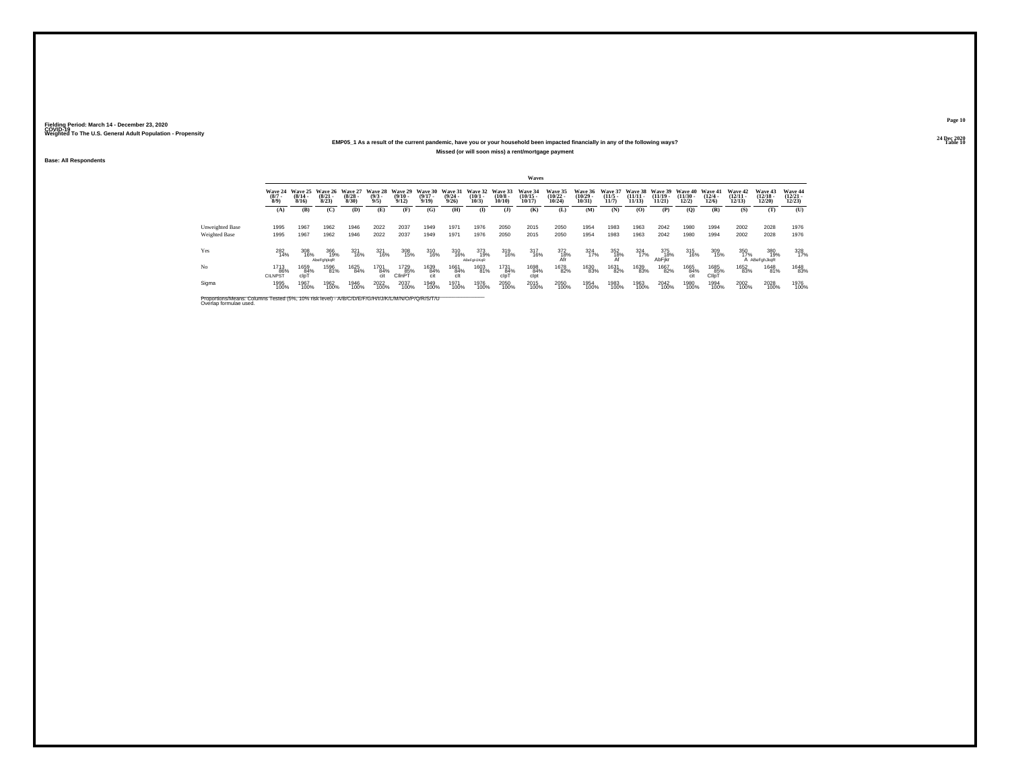## **24 Dec 2020EMP05\_1 As a result of the current pandemic, have you or your household been impacted financially in any of the following ways?Missed (or will soon miss) a rent/mortgage payment**

**Base: All Respondents**

|                                                                                                                              |                               |                           |                              |                           |                               |                              |                              |                              |                              |                               | Waves                          |                                |                                            |                                  |                                |                             |                                  |                                  |                                |                                |                                   |
|------------------------------------------------------------------------------------------------------------------------------|-------------------------------|---------------------------|------------------------------|---------------------------|-------------------------------|------------------------------|------------------------------|------------------------------|------------------------------|-------------------------------|--------------------------------|--------------------------------|--------------------------------------------|----------------------------------|--------------------------------|-----------------------------|----------------------------------|----------------------------------|--------------------------------|--------------------------------|-----------------------------------|
|                                                                                                                              | Wave 24<br>$\binom{8/7}{8/9}$ | Wave 25<br>(8/14.<br>8/16 | Wave 26<br>$(8/21 -$<br>8/23 | Wave 27<br>(8/28)<br>8/30 | Wave 28<br>$\binom{9/3}{9/5}$ | Wave 29<br>$(9/10 -$<br>9/12 | Wave 30<br>$(9/17 -$<br>9/19 | Wave 31<br>$(9/24 -$<br>9/26 | Wave 32<br>$(10/1 -$<br>10/3 | Wave 33<br>$(10/8 -$<br>10/10 | Wave 34<br>$(10/15 -$<br>10/17 | Wave 35<br>$(10/22 -$<br>10/24 | Wave 36<br>$\frac{(10/29 - 10/31)}{10/31}$ | Wave 37<br>$\frac{(11/5)}{11/7}$ | Wave 38<br>$(11/11 -$<br>11/13 | Wave 39<br>(11/19.<br>11/21 | Wave 40<br>$\binom{11/30}{12/2}$ | Wave 41<br>$\binom{12/4}{12/6}$  | Wave 42<br>$(12/11 -$<br>12/13 | Wave 43<br>$(12/18 -$<br>12/20 | Wave 44<br>$\binom{12/21}{12/23}$ |
|                                                                                                                              | (A)                           | (B)                       | (C)                          | (D)                       | (E)                           | (F)                          | (G)                          | (H)                          | $\bf(I)$                     | $($ $\bf{J}$ )                | (K)                            | (L)                            | (M)                                        | (N)                              | (0)                            | (P)                         | $\overline{Q}$                   | (R)                              | (S)                            | (T)                            | (U)                               |
| Unweighted Base<br>Weighted Base                                                                                             | 1995<br>1995                  | 1967<br>1967              | 1962<br>1962                 | 1946<br>1946              | 2022<br>2022                  | 2037<br>2037                 | 1949<br>1949                 | 1971<br>1971                 | 1976<br>1976                 | 2050<br>2050                  | 2015<br>2015                   | 2050<br>2050                   | 1954<br>1954                               | 1983<br>1983                     | 1963<br>1963                   | 2042<br>2042                | 1980<br>1980                     | 1994<br>1994                     | 2002<br>2002                   | 2028<br>2028                   | 1976<br>1976                      |
| Yes                                                                                                                          | 282<br>14%                    | 308<br>16%                | 366<br>19%<br>AbeFahikaR     | 321<br>16%                | 321<br>16%                    | 308<br>15%                   | 310<br>16%                   | 310<br>16%                   | 373<br>19%<br>ABeFaHJKaR     | 319<br>16%                    | 317<br>16%                     | 372<br>18%<br>Afr              | 324<br>17%                                 | 352<br>18%                       | 324<br>17%                     | 375<br>18%<br>AbFikr        | 315<br>16%                       | 309<br>15%                       | 350<br>17%                     | 380<br>19%<br>A ABeFghJkqR     | 328<br>17%                        |
| No                                                                                                                           | 1713<br>86%<br><b>CILNPST</b> | 1659<br>84%<br>clpT       | 1596<br>81%                  | 1625<br>84%               | 1701<br>84%<br>cit            | 1729<br>85%<br>ClinPT        | 1639<br>84%<br>cit           | 1661<br>84%<br>clt           | 1603<br>81%                  | 1731<br>84%<br>clpT           | 1698<br>84%<br>clot            | 1678<br>82%                    | 1630<br>83%                                | 1631<br>82%                      | 1639<br>83%                    | 1667<br>82%                 | 1665<br>84%                      | 1685<br>85%<br>Cllp <sub>1</sub> | 1652<br>83%                    | 1648<br>81%                    | 1648<br>83%                       |
| Sigma                                                                                                                        | 1995<br>100%                  | 1967<br>100%              | 1962<br>100%                 | 1946<br>100%              | 2022<br>100%                  | 2037<br>100%                 | 1949<br>100%                 | 1971<br>100%                 | 1976<br>100%                 | 2050<br>100%                  | 2015<br>100%                   | 2050<br>100%                   | 1954<br>100%                               | 1983<br>100%                     | 1963<br>100%                   | 2042<br>100%                | 1980<br>100%                     | 1994<br>100%                     | 2002<br>100%                   | 2028<br>100%                   | 1976<br>100%                      |
| Proportions/Means: Columns Tested (5%, 10% risk level) - A/B/C/D/E/F/G/H/I/J/K/L/M/N/O/P/Q/R/S/T/U<br>Overlap formulae used. |                               |                           |                              |                           |                               |                              |                              |                              |                              |                               |                                |                                |                                            |                                  |                                |                             |                                  |                                  |                                |                                |                                   |

**Page 1024 Dec 2020<br>Table 10** 

**Table 10 Table 10 Table 10 Table 10 Table 10 Table 10 Table 10 Table 10**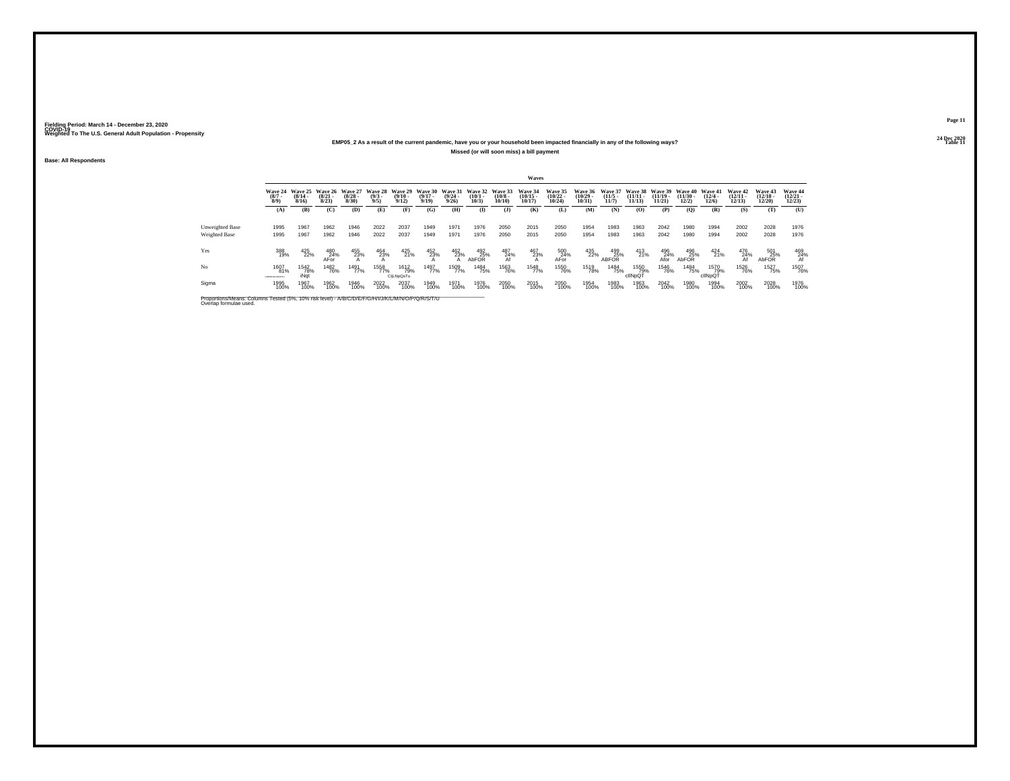## **24 Dec 2020EMP05\_2 As a result of the current pandemic, have you or your household been impacted financially in any of the following ways?Missed (or will soon miss) a bill payment**

**Base: All Respondents**

|                                                                                                                              |                                |                              |                              |                              |                               |                              |                              |                                  |                                 |                                  | Waves                                 |                                |                                    |                                                                                |                                |                                |                            |                              |                                |                                |                                        |
|------------------------------------------------------------------------------------------------------------------------------|--------------------------------|------------------------------|------------------------------|------------------------------|-------------------------------|------------------------------|------------------------------|----------------------------------|---------------------------------|----------------------------------|---------------------------------------|--------------------------------|------------------------------------|--------------------------------------------------------------------------------|--------------------------------|--------------------------------|----------------------------|------------------------------|--------------------------------|--------------------------------|----------------------------------------|
|                                                                                                                              | Wave 24<br>$(8/7 -$<br>$8/9$ ) | Wave 25<br>$(8/14 -$<br>8/16 | Wave 26<br>$(8/21 -$<br>8/23 | Wave 27<br>$(8/28 -$<br>8/30 | Wave 28<br>$\binom{9/3}{9/5}$ | Wave 29<br>$(9/10 -$<br>9/12 | Wave 30<br>$(9/17 -$<br>9/19 | Wave 31<br>$\frac{(9/24)}{9/26}$ | Wave 32<br>$\binom{10/1}{10/3}$ | Wave 33<br>$\binom{10/8}{10/10}$ | <b>Wave 34</b><br>$(10/15 -$<br>10/17 | Wave 35<br>$(10/22 -$<br>10/24 | <b>Wave 36</b><br>(10/29)<br>10/31 | Wave 37<br>$(11/5 -$<br>11/7                                                   | Wave 38<br>$(11/11 -$<br>11/13 | Wave 39<br>$(11/19 -$<br>11/21 | Wave 40<br>(11/30)<br>12/2 | Wave 41<br>$(12/4 -$<br>12/6 | Wave 42<br>$(12/11 -$<br>12/13 | Wave 43<br>$(12/18 -$<br>12/20 | Wave 44<br>$(12/21 -$<br>12/23         |
|                                                                                                                              | (A)                            | (B)                          | (C)                          | (D)                          | (E)                           | (F)                          | (G)                          | (H)                              | Œ                               | $($ $\Gamma$                     | (K)                                   | (L)                            | (M)                                | (N)                                                                            | (O)                            | (P)                            | (O)                        | (R)                          | (S)                            | (T)                            | (U)                                    |
| Unweighted Base<br>Weighted Base                                                                                             | 1995<br>1995                   | 1967<br>1967                 | 1962<br>1962                 | 1946<br>1946                 | 2022<br>2022                  | 2037<br>2037                 | 1949<br>1949                 | 1971<br>1971                     | 1976<br>1976                    | 2050<br>2050                     | 2015<br>2015                          | 2050<br>2050                   | 1954<br>1954                       | 1983<br>1983                                                                   | 1963<br>1963                   | 2042<br>2042                   | 1980<br>1980               | 1994<br>1994                 | 2002<br>2002                   | 2028<br>2028                   | 1976<br>1976                           |
| Yes                                                                                                                          | 388<br>19%                     | 425<br>22%                   | 480<br>$A$ For               | 455<br>23%                   | 464<br>23%                    | $^{425}_{21\%}$              | 452<br>23%                   | 462<br>23%                       | 492<br>25%<br>AbFOR             | 487<br>$\frac{24}{\text{A}f}$    | 467<br>23%                            | 500<br>$A$ For                 | 435<br>22%                         | $\begin{array}{r} \textbf{499} \\ \textbf{25\%} \\ \textbf{ABFOR} \end{array}$ | 413<br>21%                     | 496<br>$A$ for                 | 496<br>AbFOR               | 424<br>21%                   | 476<br>A <sup>24%</sup>        | 501<br>25%<br>AbFOR            | $^{469}_{\substack{24\% \ \text{Af}}}$ |
| No                                                                                                                           | 1607<br>81%<br>COEDHAGAPOSTI   | <sup>1542</sup> 78%<br>iNat  | <sup>1482</sup> 76%          | 1491<br>77%                  | 1558<br>77%                   | 1612<br>79%<br>CljLNpQsTu    | 1497<br>77%                  | 1509<br>77%                      | 1484<br>75%                     | 1563<br>76%                      | 1548<br>77%                           | <sup>1550</sup> 76%            | 1519<br>78%                        | 1484<br>75%                                                                    | 1550<br>79%<br>clINpQT         | 1546<br>76%                    | 1484<br>75%                | 1570<br>79%<br>cllNpQT       | <sup>1526</sup> 76%            | <sup>1527</sup> 75%            | 1507<br>76%                            |
| Sigma                                                                                                                        | 1995<br>100%                   | 1967<br>100%                 | 1962<br>100%                 | 1946<br>100%                 | 2022<br>100%                  | 2037<br>100%                 | 1949<br>100%                 | 1971<br>100%                     | 1976<br>100%                    | 2050<br>100%                     | 2015<br>100%                          | 2050<br>100%                   | 1954<br>100%                       | 1983<br>100%                                                                   | 1963<br>100%                   | 2042<br>100%                   | 1980<br>100%               | 1994<br>100%                 | 2002<br>100%                   | 2028<br>100%                   | 1976<br>100%                           |
| Proportions/Means: Columns Tested (5%, 10% risk level) - A/B/C/D/E/F/G/H/I/J/K/L/M/N/O/P/Q/R/S/T/U<br>Overlap formulae used. |                                |                              |                              |                              |                               |                              |                              |                                  |                                 |                                  |                                       |                                |                                    |                                                                                |                                |                                |                            |                              |                                |                                |                                        |

**Page 1124 Dec 2020<br>Table 11** 

**Table 11 Table 11 Table 11 Table 11 Table 11 Table 11**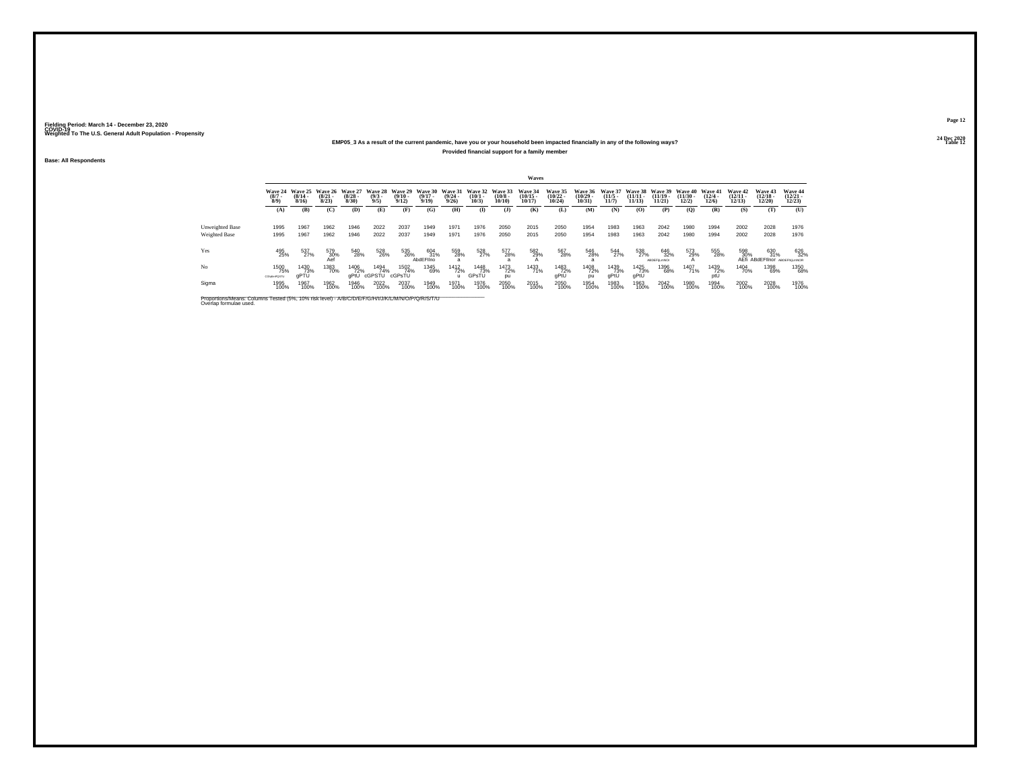## **24 Dec 2020EMP05\_3 As a result of the current pandemic, have you or your household been impacted financially in any of the following ways?Provided financial support for a family member**

**Base: All Respondents**

|                                                                                                                              |                                  |                              |                              |                           |                               |                              |                              |                                  |                              |                               | Waves                          |                                       |                                |                                  |                                |                                  |                                |                           |                                |                                            |                                   |
|------------------------------------------------------------------------------------------------------------------------------|----------------------------------|------------------------------|------------------------------|---------------------------|-------------------------------|------------------------------|------------------------------|----------------------------------|------------------------------|-------------------------------|--------------------------------|---------------------------------------|--------------------------------|----------------------------------|--------------------------------|----------------------------------|--------------------------------|---------------------------|--------------------------------|--------------------------------------------|-----------------------------------|
|                                                                                                                              | Wave 24<br>(8/7.<br>8/9          | Wave 25<br>$(8/14 -$<br>8/16 | Wave 26<br>$(8/21 -$<br>8/23 | Wave 27<br>(8/28.<br>8/30 | Wave 28<br>$\binom{9/3}{9/5}$ | Wave 29<br>$(9/10 -$<br>9/12 | Wave 30<br>$(9/17 -$<br>9/19 | Wave 31<br>$\frac{(9/24)}{9/26}$ | Wave 32<br>$(10/1 -$<br>10/3 | Wave 33<br>$(10/8 -$<br>10/10 | Wave 34<br>$(10/15 -$<br>10/17 | <b>Wave 35</b><br>$(10/22 -$<br>10/24 | Wave 36<br>$(10/29 -$<br>10/31 | Wave 37<br>$\frac{(11/5)}{11/7}$ | Wave 38<br>$(11/11 -$<br>11/13 | Wave 39<br>$(11/19 -$<br>11/21   | Wave 40<br>$(11/30 -$<br>12/2) | Wave 41<br>(12/4)<br>12/6 | Wave 42<br>$(12/11 -$<br>12/13 | Wave 43<br>$(12/18 -$<br>12/20             | Wave 44<br>$\binom{12/21}{12/23}$ |
|                                                                                                                              | (A)                              | (B)                          | (C)                          | (D)                       | (E)                           | (F)                          | (G)                          | (H)                              | $($ I                        | $($ $\bf{J}$ )                | (K)                            | (L)                                   | (M)                            | (N)                              | (0)                            | (P)                              | (Q)                            | (R)                       | (S)                            | (T)                                        | (U)                               |
| Unweighted Base<br><b>Weighted Base</b>                                                                                      | 1995<br>1995                     | 1967<br>1967                 | 1962<br>1962                 | 1946<br>1946              | 2022<br>2022                  | 2037<br>2037                 | 1949<br>1949                 | 1971<br>1971                     | 1976<br>1976                 | 2050<br>2050                  | 2015<br>2015                   | 2050<br>2050                          | 1954<br>1954                   | 1983<br>1983                     | 1963<br>1963                   | 2042<br>2042                     | 1980<br>1980                   | 1994<br>1994              | 2002<br>2002                   | 2028<br>2028                               | 1976<br>1976                      |
| Yes                                                                                                                          | 495<br>25%                       | 537<br>27%                   | 579<br>30%<br>Aef            | 540<br>28%                | 528<br>26%                    | 535<br>26%                   | 604<br>31%<br>AbdEFlino      | 559<br>28%<br>a                  | 528<br>27%                   | 577<br>28%                    | 582<br>29%                     | 567<br>28%                            | 546<br>28%                     | 544<br>27%                       | 538<br>27%                     | 646<br>32%<br><b>ABDEFILMNOr</b> | 573<br>29%                     | 555<br>28%                | 598<br>30%                     | 630<br>31%<br>AEfi ABdEFIInor ABDEFNILMNOR | 626<br>32%                        |
| No                                                                                                                           | 1500<br>75%<br><b>CGNKmPOSTL</b> | 1430<br>73%<br><b>GPTU</b>   | 1383<br>70%                  | 1406<br>72%<br>aPtU       | 1494<br>74%<br>cGPSTU         | 1502<br>74%<br>cGPsTU        | 1345<br>69%                  | <sup>1412</sup> 72%              | <sup>1448</sup> 73%<br>GPsTU | 1473<br>72%<br>pu             | 1433<br>71%                    | <sup>1483</sup> 72%<br>gPtU           | 1408<br>72%<br>DU              | 1439<br>73%<br>aPtU              | <sup>1425</sup> 73%<br>aPtU    | 1396<br>68%                      | 1407<br>71%                    | 1439<br>72%<br>otU        | 1404<br>70%                    | 1398<br>69%                                | 1350<br>68%                       |
| Sigma                                                                                                                        | 1995<br>100%                     | 1967<br>100%                 | 1962<br>100%                 | 1946<br>100%              | 2022<br>100%                  | 2037<br>100%                 | 1949<br>100%                 | 1971<br>100%                     | 1976<br>100%                 | 2050<br>100%                  | 2015<br>100%                   | 2050<br>100%                          | 1954<br>100%                   | 1983<br>100%                     | 1963<br>100%                   | 2042<br>100%                     | 1980<br>100%                   | 1994<br>100%              | 2002<br>100%                   | 2028<br>100%                               | 1976<br>100%                      |
| Proportions/Means: Columns Tested (5%, 10% risk level) - A/B/C/D/E/F/G/H/I/J/K/L/M/N/O/P/Q/R/S/T/U<br>Overlap formulae used. |                                  |                              |                              |                           |                               |                              |                              |                                  |                              |                               |                                |                                       |                                |                                  |                                |                                  |                                |                           |                                |                                            |                                   |

**Page 1224 Dec 2020<br>Table 12** 

**Table 12 Table 12 Table 12 Table 12 Table 12**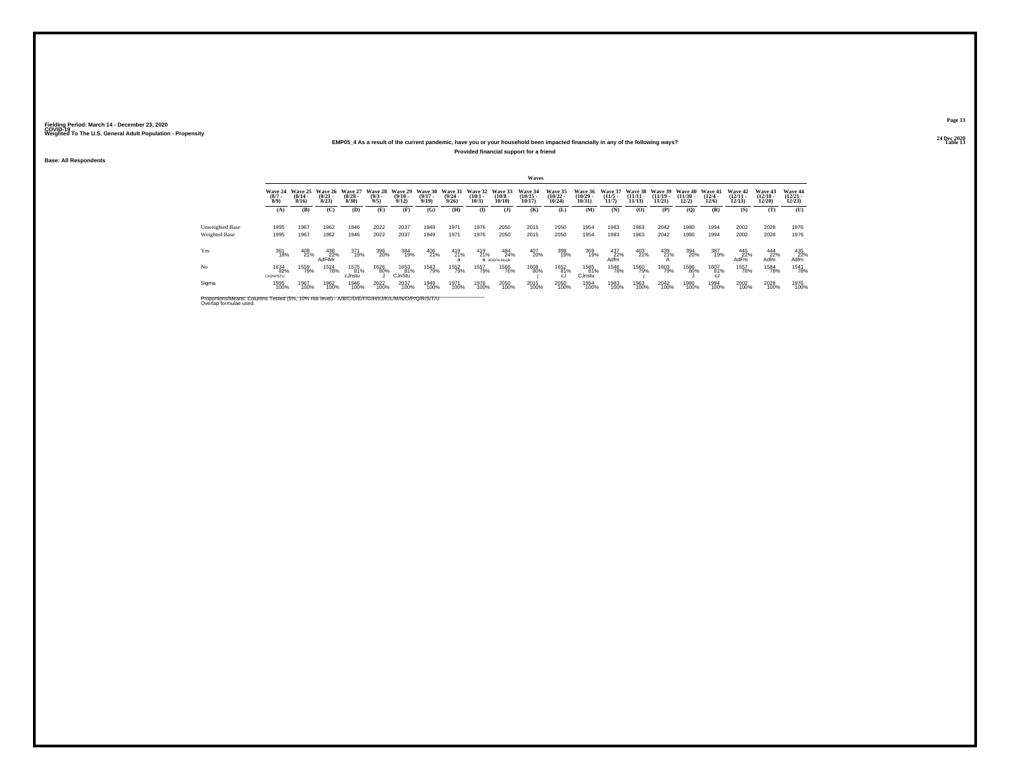## **24 Dec 2020EMP05\_4 As a result of the current pandemic, have you or your household been impacted financially in any of the following ways?Provided financial support for a friend**

**Base: All Respondents**

|                                                                                                                              |                                      |                              |                              |                              |                               |                                         |                              |                                         |                              |                                   | Waves                                 |                                |                                    |                              |                                |                                |                                |                           |                                |                                       |                                                                        |
|------------------------------------------------------------------------------------------------------------------------------|--------------------------------------|------------------------------|------------------------------|------------------------------|-------------------------------|-----------------------------------------|------------------------------|-----------------------------------------|------------------------------|-----------------------------------|---------------------------------------|--------------------------------|------------------------------------|------------------------------|--------------------------------|--------------------------------|--------------------------------|---------------------------|--------------------------------|---------------------------------------|------------------------------------------------------------------------|
|                                                                                                                              | <b>Wave 24</b><br>$\binom{8/7}{8/9}$ | Wave 25<br>$(8/14 -$<br>8/16 | Wave 26<br>$(8/21 -$<br>8/23 | Wave 27<br>$(8/28 -$<br>8/30 | Wave 28<br>$\binom{9/3}{9/5}$ | Wave 29<br>$\frac{(9/10 - 9/12)}{9/12}$ | Wave 30<br>$(9/17 -$<br>9/19 | Wave 31<br>$\frac{(9/24 - 9/26)}{9/26}$ | Wave 32<br>$(10/1 -$<br>10/3 | Wave 33<br>$\binom{10/8}{10/10}$  | <b>Wave 34</b><br>$(10/15 -$<br>10/17 | Wave 35<br>$(10/22 -$<br>10/24 | <b>Wave 36</b><br>(10/29.<br>10/31 | Wave 37<br>$(11/5 -$<br>11/7 | Wave 38<br>$(11/11 -$<br>11/13 | Wave 39<br>$(11/19 -$<br>11/21 | Wave 40<br>$(11/30 -$<br>12/2) | Wave 41<br>(12/4.<br>12/6 | Wave 42<br>$(12/11 -$<br>12/13 | <b>Wave 43</b><br>$(12/18 -$<br>12/20 | Wave 44<br>$\binom{12/21}{12/23}$                                      |
|                                                                                                                              | (A)                                  | (B)                          | (C)                          | (D)                          | (E)                           | (F)                                     | (G)                          | (H)                                     | $($ I                        | (J)                               | (K)                                   | (L)                            | (M)                                | (N)                          | (O)                            | (P)                            | (0)                            | (R)                       | (S)                            | (T)                                   | (U)                                                                    |
| Unweighted Base<br>Weighted Base                                                                                             | 1995<br>1995                         | 1967<br>1967                 | 1962<br>1962                 | 1946<br>1946                 | 2022<br>2022                  | 2037<br>2037                            | 1949<br>1949                 | 1971<br>1971                            | 1976<br>1976                 | 2050<br>2050                      | 2015<br>2015                          | 2050<br>2050                   | 1954<br>1954                       | 1983<br>1983                 | 1963<br>1963                   | 2042<br>2042                   | 1980<br>1980                   | 1994<br>1994              | 2002<br>2002                   | 2028<br>2028                          | 1976<br>1976                                                           |
| Yes                                                                                                                          | 361<br>18%                           | 408<br>21%                   | $438$<br>$22\%$<br>AdFIMr    | 371<br>19%                   | 396<br>20%                    | 384<br>19%                              | 406<br>21%                   | 419<br>21%                              | 419<br>21%                   | 484<br>24%<br><b>a</b> ADEFKLMoOR | 407<br>20%                            | 398<br>19%                     | 369<br>19%                         | 437<br>22%<br>Adfm           | 403<br>21%                     | 439<br>21%                     | 394<br>20%                     | 387<br>19%                | 445<br>22%<br>AdFm             | 444<br>Adfm                           | $\begin{array}{c}\n 435 \\  \times 22\% \\  \text{Adfm}\n \end{array}$ |
| No                                                                                                                           | 1634<br>82%<br>ChiJNPSTU             | 1559<br>79%                  | 1524<br>78%                  | 1575<br>81%<br>cJnstu        | 1626<br>80%                   | 1653<br>81%<br>CJnStu                   | 1543<br>79%                  | 1552<br>79%                             | 1557<br>79%                  | 1566<br>76%                       | 1608<br>80%                           | 1652<br>81%<br>cJ.             | 1585<br>81%<br>CJnstu              | 1546<br>78%                  | 1560<br>79%                    | 1603<br>79%                    | 1586<br>80%                    | 1607<br>81%<br>cJ         | 1557<br>78%                    | <sup>1584</sup> 78%                   | 1541<br>78%                                                            |
| Sigma                                                                                                                        | 1995<br>100%                         | 1967<br>100%                 | 1962<br>100%                 | 1946<br>100%                 | 2022<br>100%                  | 2037<br>100%                            | 1949<br>100%                 | 1971<br>100%                            | 1976<br>100%                 | 2050<br>100%                      | 2015<br>100%                          | 2050<br>100%                   | 1954<br>100%                       | 1983<br>100%                 | 1963<br>100%                   | 2042<br>100%                   | 1980<br>100%                   | 1994<br>100%              | 2002<br>100%                   | 2028<br>100%                          | 1976<br>100%                                                           |
| Proportions/Means: Columns Tested (5%, 10% risk level) - A/B/C/D/E/F/G/H/I/J/K/L/M/N/O/P/Q/R/S/T/U<br>Overlap formulae used. |                                      |                              |                              |                              |                               |                                         |                              |                                         |                              |                                   |                                       |                                |                                    |                              |                                |                                |                                |                           |                                |                                       |                                                                        |

**Page 1324 Dec 2020<br>Table 13** 

**Table 13 Table 13**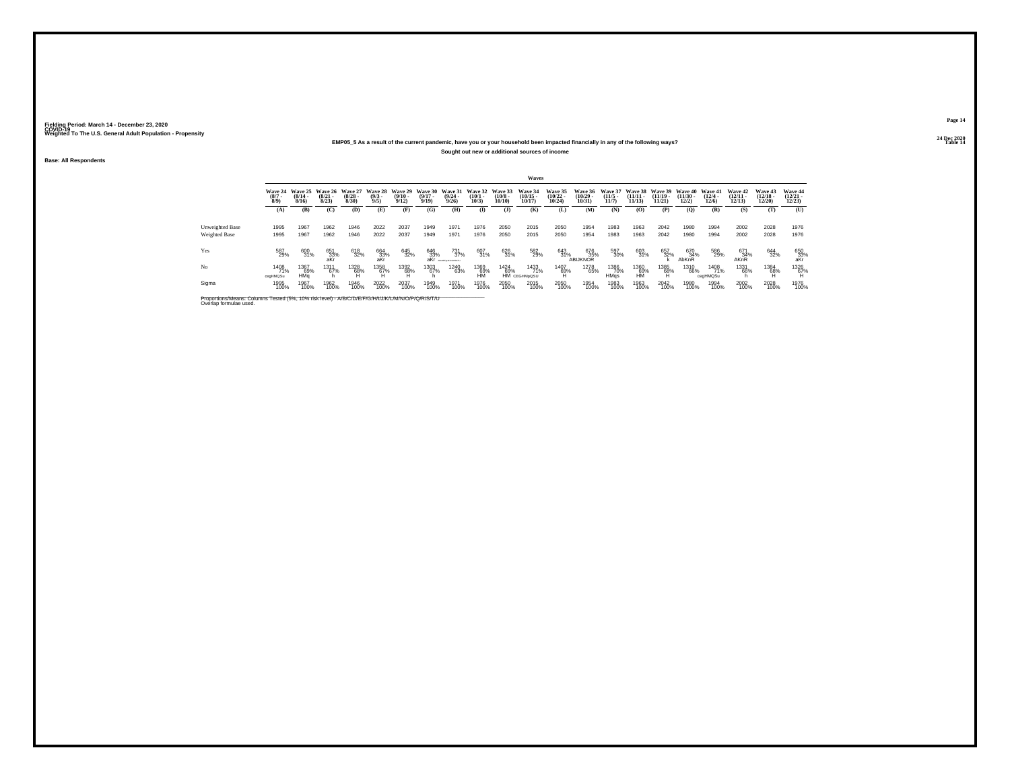## **24 Dec 2020EMP05\_5 As a result of the current pandemic, have you or your household been impacted financially in any of the following ways?Sought out new or additional sources of income**

**Base: All Respondents**

|                                                                                                                              |                               |                              |                              |                              |                               |                              |                              |                                  |                              |                                       | Waves                                 |                                |                                    |                              |                                |                                |                                |                           |                                |                                       |                                |
|------------------------------------------------------------------------------------------------------------------------------|-------------------------------|------------------------------|------------------------------|------------------------------|-------------------------------|------------------------------|------------------------------|----------------------------------|------------------------------|---------------------------------------|---------------------------------------|--------------------------------|------------------------------------|------------------------------|--------------------------------|--------------------------------|--------------------------------|---------------------------|--------------------------------|---------------------------------------|--------------------------------|
|                                                                                                                              | Wave 24<br>$\binom{8/7}{8/9}$ | Wave 25<br>$(8/14 -$<br>8/16 | Wave 26<br>$(8/21 -$<br>8/23 | Wave 27<br>$(8/28 -$<br>8/30 | Wave 28<br>$\binom{9/3}{9/5}$ | Wave 29<br>$(9/10 -$<br>9/12 | Wave 30<br>$(9/17 -$<br>9/19 | Wave 31<br>$\frac{(9/24)}{9/26}$ | Wave 32<br>$(10/1 -$<br>10/3 | Wave 33<br>$\binom{10/8 - 10}{10/10}$ | <b>Wave 34</b><br>$(10/15 -$<br>10/17 | Wave 35<br>$(10/22 -$<br>10/24 | <b>Wave 36</b><br>(10/29.<br>10/31 | Wave 37<br>$(11/5 -$<br>11/7 | Wave 38<br>$(11/11 -$<br>11/13 | Wave 39<br>$(11/19 -$<br>11/21 | Wave 40<br>$(11/30 -$<br>12/2) | Wave 41<br>(12/4.<br>12/6 | Wave 42<br>$(12/11 -$<br>12/13 | <b>Wave 43</b><br>$(12/18 -$<br>12/20 | Wave 44<br>$(12/21 -$<br>12/23 |
|                                                                                                                              | (A)                           | (B)                          | (C)                          | (D)                          | (E)                           | (F)                          | (G)                          | (H)                              | $($ I                        | (J)                                   | (K)                                   | (L)                            | (M)                                | (N)                          | (O)                            | (P)                            | (0)                            | (R)                       | (S)                            | (T)                                   | (U)                            |
| Unweighted Base<br>Weighted Base                                                                                             | 1995<br>1995                  | 1967<br>1967                 | 1962<br>1962                 | 1946<br>1946                 | 2022<br>2022                  | 2037<br>2037                 | 1949<br>1949                 | 1971<br>1971                     | 1976<br>1976                 | 2050<br>2050                          | 2015<br>2015                          | 2050<br>2050                   | 1954<br>1954                       | 1983<br>1983                 | 1963<br>1963                   | 2042<br>2042                   | 1980<br>1980                   | 1994<br>1994              | 2002<br>2002                   | 2028<br>2028                          | 1976<br>1976                   |
| Yes                                                                                                                          | 587<br>29%                    | 600<br>31%                   | 651<br>33%<br>aKr            | 618<br>32%                   | 664<br>33% <sub>akr</sub>     | 645<br>32%                   | 646<br>33% <sub>aKr</sub>    | 731<br>37%<br>ABICEFADEACPRATA   | 607<br>31%                   | 626<br>31%                            | 582<br>29%                            | 643<br>31%                     | 676<br>35%<br><b>ABIJKNOR</b>      | 597<br>30%                   | 603<br>31%                     | 657<br>32%                     | 670<br>34%<br>AbKnR            | 586<br>29%                | 671<br>34%<br><b>AKnR</b>      | 644<br>32%                            | 650<br>33%<br>aKr              |
| No                                                                                                                           | 1408<br>71%<br>cegHMQSu       | 1367<br>69%<br>HMa           | 1311<br>67%                  | 1328<br>68%                  | 1358<br>67%<br>Ή              | 1392<br>68%<br>н             | 1303<br>67%                  | 1240<br>63%                      | 1369<br>69%<br><b>HM</b>     | 1424<br>69%                           | 1433<br>71%<br>HM CEGHMpQSU           | 1407<br>69%                    | 1278<br>65%                        | 1386<br>70%<br>HMas          | 1360<br>69%<br><b>HM</b>       | 1385<br>68%<br>н               | 1310<br>66%                    | 1408<br>71%<br>ceaHMQSu   | 1331<br>66%                    | 1384<br>68%<br>Ή                      | 1326<br>67%                    |
| Sigma                                                                                                                        | 1995<br>100%                  | 1967<br>100%                 | 1962<br>100%                 | 1946<br>100%                 | 2022<br>100%                  | 2037<br>100%                 | 1949<br>100%                 | 1971<br>100%                     | 1976<br>100%                 | 2050<br>100%                          | 2015<br>100%                          | 2050<br>100%                   | 1954<br>100%                       | 1983<br>100%                 | 1963<br>100%                   | 2042<br>100%                   | 1980<br>100%                   | 1994<br>100%              | 2002<br>100%                   | 2028<br>100%                          | 1976<br>100%                   |
| Proportions/Means: Columns Tested (5%, 10% risk level) - A/B/C/D/E/F/G/H/I/J/K/L/M/N/O/P/Q/R/S/T/U<br>Overlap formulae used. |                               |                              |                              |                              |                               |                              |                              |                                  |                              |                                       |                                       |                                |                                    |                              |                                |                                |                                |                           |                                |                                       |                                |

**Page 1424 Dec 2020<br>Table 14** 

**Table 14 Table 14 Table 14 Table 14 Table 14 Table 14 Table 14 Table 14 Table 14**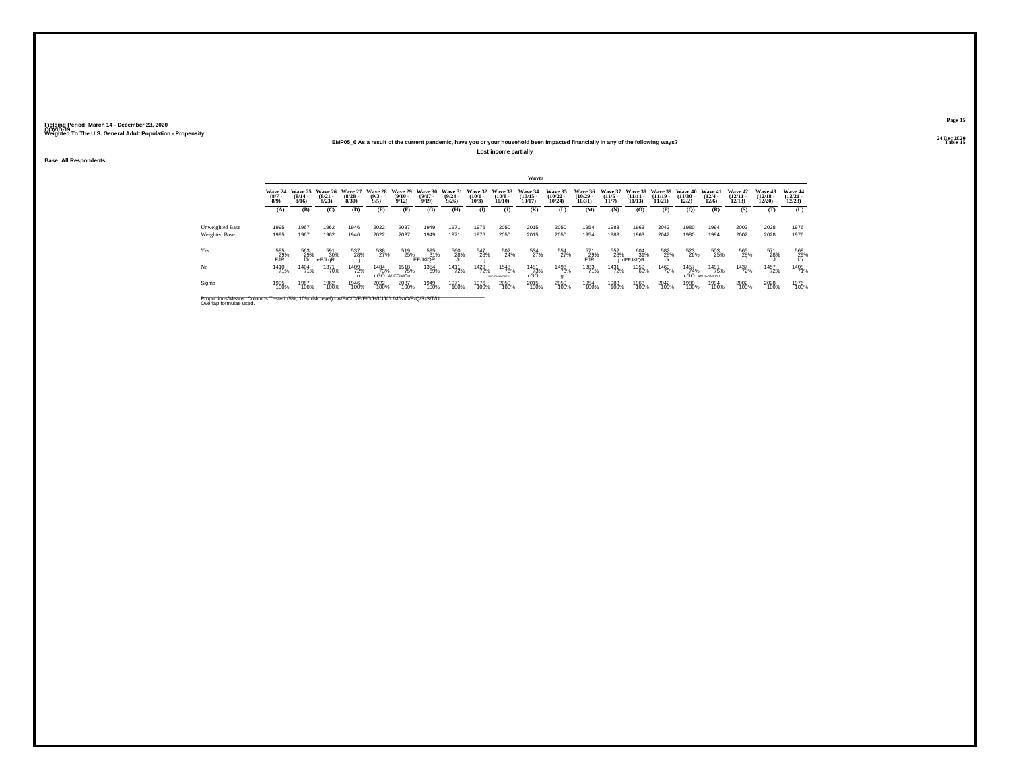### **24 Dec 2020EMP05\_6 As a result of the current pandemic, have you or your household been impacted financially in any of the following ways?Lost income partially**

**Base: All Respondents**

|                                                                                                                              |                    |                                                 |                                 |                                 |                               |                                    |                              |                                         |                                 |                                      | Waves                                     |                                       |                                   |                              |                                |                                |                                |                              |                                |                                |                                |
|------------------------------------------------------------------------------------------------------------------------------|--------------------|-------------------------------------------------|---------------------------------|---------------------------------|-------------------------------|------------------------------------|------------------------------|-----------------------------------------|---------------------------------|--------------------------------------|-------------------------------------------|---------------------------------------|-----------------------------------|------------------------------|--------------------------------|--------------------------------|--------------------------------|------------------------------|--------------------------------|--------------------------------|--------------------------------|
|                                                                                                                              | $\binom{8/7}{8/9}$ | Wave 24 Wave 25<br>$\frac{(8/14 - 8/16)}{8/16}$ | Wave 26<br>$\binom{8/21}{8/23}$ | Wave 27<br>$\binom{8/28}{8/30}$ | Wave 28<br>$\binom{9/3}{9/5}$ | Wave 29<br>$\frac{(9/10)}{9/12}$   | Wave 30<br>$(9/17 -$<br>9/19 | Wave 31<br>$\frac{(9/24 - 9/26)}{9/26}$ | Wave 32<br>$\binom{10/1}{10/3}$ | Wave 33<br>$\frac{(10/8)}{10/10}$    | <b>Wave 34</b><br>$\frac{(10/15)}{10/17}$ | <b>Wave 35</b><br>$(10/22 -$<br>10/24 | Wave 36<br>$\binom{10/29}{10/31}$ | Wave 37<br>$(11/5 -$<br>11/7 | Wave 38<br>$(11/11 -$<br>11/13 | Wave 39<br>$(11/19 -$<br>11/21 | Wave 40<br>$(11/30 -$<br>12/2) | Wave 41<br>$(12/4 -$<br>12/6 | Wave 42<br>$\binom{12}{12/13}$ | Wave 43<br>$(12/18 -$<br>12/20 | Wave 44<br>$(12/21 -$<br>12/23 |
|                                                                                                                              | (A)                | (B)                                             | (C)                             | (D)                             | (E)                           | (F)                                | (G)                          | (H)                                     | $($ I                           | (J)                                  | (K)                                       | (L)                                   | (M)                               | (N)                          | (0)                            | (P)                            | (O)                            | (R)                          | (S)                            | (T)                            | (U)                            |
| Unweighted Base<br>Weighted Base                                                                                             | 1995<br>1995       | 1967<br>1967                                    | 1962<br>1962                    | 1946<br>1946                    | 2022<br>2022                  | 2037<br>2037                       | 1949<br>1949                 | 1971<br>1971                            | 1976<br>1976                    | 2050<br>2050                         | 2015<br>2015                              | 2050<br>2050                          | 1954<br>1954                      | 1983<br>1983                 | 1963<br>1963                   | 2042<br>2042                   | 1980<br>1980                   | 1994<br>1994                 | 2002<br>2002                   | 2028<br>2028                   | 1976<br>1976                   |
| Yes                                                                                                                          | 585<br>FJR%        | 563<br>29%<br>fJr                               | 591<br>30%<br>eFJkqR            | 537<br>28%                      | 538<br>27%                    | 519<br>25%<br>EFJKIQR              |                              | 560<br>28%                              | 547<br>28%                      | $\frac{502}{24\%}$                   | 534<br>27%                                | 554<br>27%                            | 571<br>FJR%                       | 552<br>28%                   | 604<br>31%<br><b>dEFJKIOR</b>  | 582<br>28%                     | 523<br>26%                     | 503<br>25%                   | 565<br>28%                     | 571<br>28%                     | 568<br>29%<br>fJr              |
| No                                                                                                                           | 1410<br>71%        | 1404<br>71%                                     | 1371<br>70%                     | 1409<br>72%                     | <sup>1484</sup> 73%           | <sup>1518</sup> 75%<br>cGO AbCGMOu | 1354<br>69%                  | <sup>1411</sup> 72%                     | <sup>1429</sup> 72%             | <sup>1548</sup> 76%<br>ABCdGHMyOPSTU | 1481<br>73%<br>cGO                        | 1496<br>73%<br>go                     | 1383<br>71%                       | 1431<br>72%                  | 1359<br>69%                    | 1460<br>72%                    | 1457<br>74%<br>cGO             | 1491<br>75%<br>AbCGhMOpu     | 1437<br>72%                    | 1457<br>72%                    | 1408<br>71%                    |
| Sigma                                                                                                                        | 1995<br>100%       | 1967<br>100%                                    | 1962<br>100%                    | 1946<br>100%                    | 2022<br>100%                  | 2037<br>100%                       | 1949<br>100%                 | 1971<br>100%                            | 1976<br>100%                    | 2050<br>100%                         | 2015<br>100%                              | 2050<br>100%                          | 1954<br>100%                      | 1983<br>100%                 | 1963<br>100%                   | 2042<br>100%                   | 1980<br>100%                   | 1994<br>100%                 | 2002<br>100%                   | 2028<br>100%                   | 1976<br>100%                   |
| Proportions/Means: Columns Tested (5%, 10% risk level) - A/B/C/D/E/F/G/H/I/J/K/L/M/N/O/P/Q/R/S/T/U<br>Overlap formulae used. |                    |                                                 |                                 |                                 |                               |                                    |                              |                                         |                                 |                                      |                                           |                                       |                                   |                              |                                |                                |                                |                              |                                |                                |                                |

**Page 1524 Dec 2020<br>Table 15** 

**Table 15 Table 15 Table 15 Table 15 Table 15 Table 15**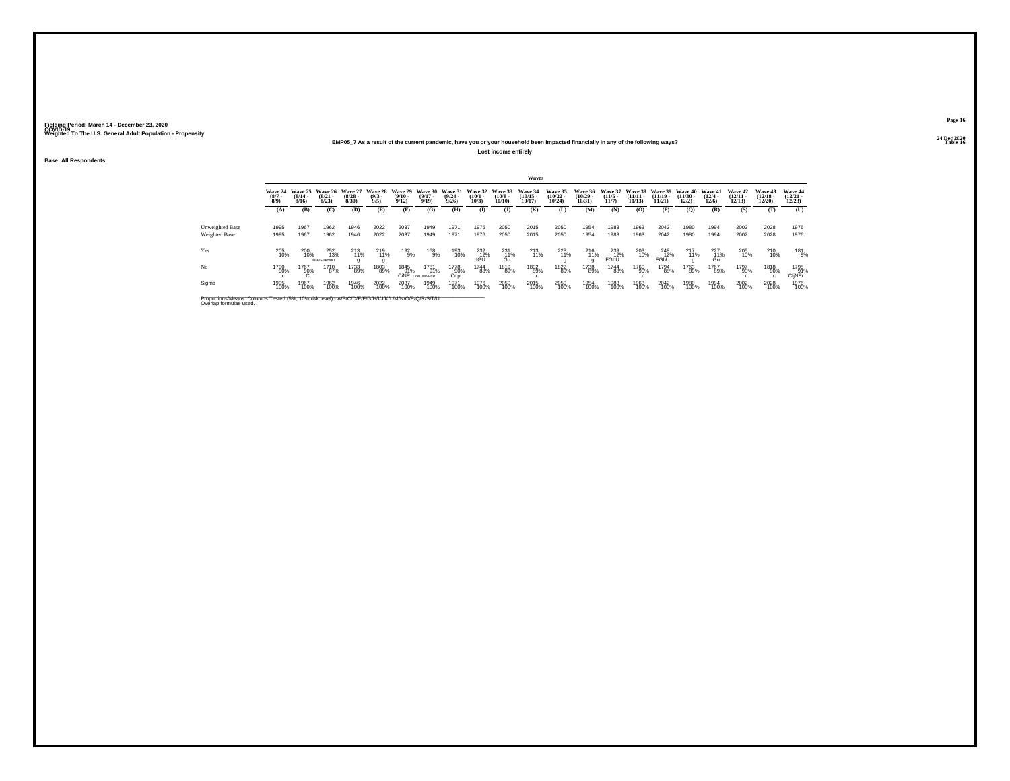### **24 Dec 2020EMP05\_7 As a result of the current pandemic, have you or your household been impacted financially in any of the following ways?Lost income entirely**

**Base: All Respondents**

|                                                                                                                              |                                      |                              |                              |                              |                               |                              |                              |                                         |                              |                                       | Waves                                 |                                |                                    |                                 |                                |                                |                                |                           |                                |                                       |                                   |
|------------------------------------------------------------------------------------------------------------------------------|--------------------------------------|------------------------------|------------------------------|------------------------------|-------------------------------|------------------------------|------------------------------|-----------------------------------------|------------------------------|---------------------------------------|---------------------------------------|--------------------------------|------------------------------------|---------------------------------|--------------------------------|--------------------------------|--------------------------------|---------------------------|--------------------------------|---------------------------------------|-----------------------------------|
|                                                                                                                              | <b>Wave 24</b><br>$\binom{8/7}{8/9}$ | Wave 25<br>$(8/14 -$<br>8/16 | Wave 26<br>$(8/21 -$<br>8/23 | Wave 27<br>$(8/28 -$<br>8/30 | Wave 28<br>$\binom{9/3}{9/5}$ | Wave 29<br>$(9/10 -$<br>9/12 | Wave 30<br>$(9/17 -$<br>9/19 | Wave 31<br>$\frac{(9/24 - 9/26)}{9/26}$ | Wave 32<br>$(10/1 -$<br>10/3 | Wave 33<br>$\binom{10/8 - 10}{10/10}$ | <b>Wave 34</b><br>$(10/15 -$<br>10/17 | Wave 35<br>$(10/22 -$<br>10/24 | <b>Wave 36</b><br>(10/29.<br>10/31 | Wave 37<br>$(11/5 -$<br>11/7    | Wave 38<br>$(11/11 -$<br>11/13 | Wave 39<br>$(11/19 -$<br>11/21 | Wave 40<br>$(11/30 -$<br>12/2) | Wave 41<br>(12/4.<br>12/6 | Wave 42<br>$(12/11 -$<br>12/13 | <b>Wave 43</b><br>$(12/18 -$<br>12/20 | Wave 44<br>$\binom{12/21}{12/23}$ |
|                                                                                                                              | (A)                                  | (B)                          | (C)                          | (D)                          | (E)                           | (F)                          | (G)                          | (H)                                     | $($ I                        | (J)                                   | (K)                                   | (L)                            | (M)                                | (N)                             | (O)                            | (P)                            | (0)                            | (R)                       | (S)                            | (T)                                   | (U)                               |
| Unweighted Base<br>Weighted Base                                                                                             | 1995<br>1995                         | 1967<br>1967                 | 1962<br>1962                 | 1946<br>1946                 | 2022<br>2022                  | 2037<br>2037                 | 1949<br>1949                 | 1971<br>1971                            | 1976<br>1976                 | 2050<br>2050                          | 2015<br>2015                          | 2050<br>2050                   | 1954<br>1954                       | 1983<br>1983                    | 1963<br>1963                   | 2042<br>2042                   | 1980<br>1980                   | 1994<br>1994              | 2002<br>2002                   | 2028<br>2028                          | 1976<br>1976                      |
| Yes                                                                                                                          | 205<br>10%                           | 200<br>10%                   | 252<br>13%<br>aBFGHkostU     | 213<br>11%                   | 219<br>11%                    | 192<br>9%                    | 168<br>9%                    | 193<br>10%                              | 232<br>$\frac{12}{10}$       | 231<br>$_{\text{Gu}}^{11\%}$          | 213<br>11%                            | 228<br>11%                     | 216<br>11%                         | 239<br>12%<br>FGhU <sup>"</sup> | 203<br>10%                     | 248<br>12%<br>FGhŪ             | 217<br>11%                     | 227<br>11%<br>Gu          | 205<br>10%                     | 210<br>10%                            | 181<br>9%                         |
| No                                                                                                                           | 1790<br>90%                          | 1767<br>90%                  | 1710<br>87%                  | 1733<br>89%                  | 1803<br>89%                   | 1845<br>91%<br><b>CiNP</b>   | 1781<br>91%<br>CdelJImNPoR   | 1778<br>90%<br>Cnp                      | <sup>1744</sup> 88%          | 1819<br>89%                           | 1802<br>89%                           | 1822<br>89%                    | 1738<br>89%                        | 1744<br>88%                     | 1760<br>90%                    | 1794<br>88%                    | 1763<br>89%                    | 1767<br>89%               | 1797<br>90%                    | 1818<br>90%<br>$\mathbf{c}$           | 1795<br>91%<br>CljNPr             |
| Sigma                                                                                                                        | 1995<br>100%                         | 1967<br>100%                 | 1962<br>100%                 | 1946<br>100%                 | 2022<br>100%                  | 2037<br>100%                 | 1949<br>100%                 | 1971<br>100%                            | 1976<br>100%                 | 2050<br>100%                          | 2015<br>100%                          | 2050<br>100%                   | 1954<br>100%                       | 1983<br>100%                    | 1963<br>100%                   | 2042<br>100%                   | 1980<br>100%                   | 1994<br>100%              | 2002<br>100%                   | 2028<br>100%                          | 1976<br>100%                      |
| Proportions/Means: Columns Tested (5%, 10% risk level) - A/B/C/D/E/F/G/H/I/J/K/L/M/N/O/P/Q/R/S/T/U<br>Overlap formulae used. |                                      |                              |                              |                              |                               |                              |                              |                                         |                              |                                       |                                       |                                |                                    |                                 |                                |                                |                                |                           |                                |                                       |                                   |

**Page 1624 Dec 2020<br>Table 16** 

**Table 16 Table 16 Table 16 Table 16 Table 16 Table 16 Table 16 Table 16**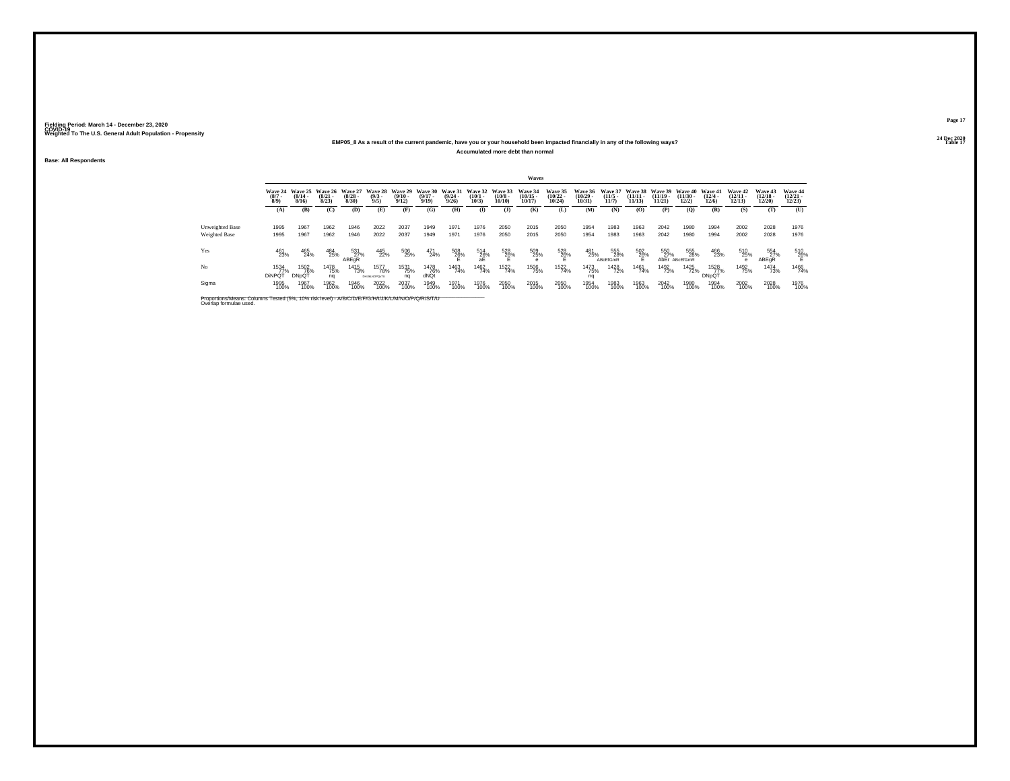### **24 Dec 2020EMP05\_8 As a result of the current pandemic, have you or your household been impacted financially in any of the following ways?Accumulated more debt than normal**

**Base: All Respondents**

|                 | Waves                                |                                         |                                     |                                         |                                        |                       |                                              |                              |                                              |                            |                                    |                                   |                                   |                                  |                  |                                                |                               |                                  |                                   |                                |                                   |
|-----------------|--------------------------------------|-----------------------------------------|-------------------------------------|-----------------------------------------|----------------------------------------|-----------------------|----------------------------------------------|------------------------------|----------------------------------------------|----------------------------|------------------------------------|-----------------------------------|-----------------------------------|----------------------------------|------------------|------------------------------------------------|-------------------------------|----------------------------------|-----------------------------------|--------------------------------|-----------------------------------|
|                 | <b>Wave 24</b><br>$\binom{8/7}{8/9}$ | Wave 25<br>$\frac{(8/14 - 8/16)}{8/16}$ | <b>Wave 26</b><br>$(8/21 -$<br>8/23 | <b>Wave 27</b><br>$\frac{(8/28)}{8/30}$ | Wave 28 Wave 29<br>$\frac{(9/3)}{9/5}$ | $\frac{(9/10)}{9/12}$ | Wave 30 Wave 31<br>$\frac{(9/17 - 9)}{9/19}$ | $\frac{(9/24 - 9/26)}{9/26}$ | Wave 32 Wave 33<br>$\binom{10/1 - 10}{10/3}$ | $\binom{10/8 - 10}{10/10}$ | Wave 34<br>$\frac{(10/15)}{10/17}$ | Wave 35<br>$\binom{10/22}{10/24}$ | Wave 36<br>$\binom{10/29}{10/31}$ | Wave 37<br>$\frac{(11/5)}{11/7}$ | $\frac{11}{113}$ | Wave 38 Wave 39 Wave 40<br>$(11/19 -$<br>11/21 | $\frac{(11/30 - 12/2)}{12/2}$ | Wave 41<br>$\frac{(12/4)}{12/6}$ | Wave 42<br>$\binom{12/11}{12/13}$ | Wave 43<br>$(12/18 -$<br>12/20 | Wave 44<br>$\binom{12/21}{12/23}$ |
|                 | (A)                                  | (B)                                     | (C)                                 | (D)                                     | (E)                                    | (F)                   | (G)                                          | <b>(H)</b>                   | $($ I                                        | (J)                        | (K)                                | (L)                               | (M)                               | (N)                              | (O)              | (P)                                            | (0)                           | (R)                              | (S)                               | (T)                            | (U)                               |
| Unweighted Base | 1995                                 | 1967                                    | 1962                                | 1946                                    | 2022                                   | 2037                  | 1949                                         | 1971                         | 1976                                         | 2050                       | 2015                               | 2050                              | 1954                              | 1983                             | 1963             | 2042                                           | 1980                          | 1994                             | 2002                              | 2028                           | 1976                              |
| Weighted Base   | 1995                                 | 1967                                    | 1962                                | 1946                                    | 2022                                   | 2037                  | 1949                                         | 1971                         | 1976                                         | 2050                       | 2015                               | 2050                              | 1954                              | 1983                             | 1963             | 2042                                           | 1980                          | 1994                             | 2002                              | 2028                           | 1976                              |
| Yes             | 461<br>23%                           | 465<br>24%                              | 484<br>25%                          | 531<br>27%<br>ABEgR                     | 445<br>22%                             | 506<br>25%            | 471<br>24%                                   | 508<br>26%                   | 514<br>$_{aE}^{26\%}$                        | 528<br>26%                 | 509<br>25%                         | 528<br>26%                        | 481<br>25%                        | 555<br>28%<br>ABcEfGmR           | $^{502}_{26\%}$  | 550<br>27%                                     | 555<br>28%<br>AbEr ABcEfGmR   | 466<br>23%                       | 510<br>25%<br>$\theta$            | 554<br>27%<br>ABEqR            | 510<br>26%                        |
| N <sub>o</sub>  | 1534<br>77%<br><b>DINPOT</b>         | <sup>1502</sup> 76%<br><b>DNpQT</b>     | 1478<br>75%<br>nq                   | 1415<br>73%                             | 1577<br>78%<br>DHIJALNOPOsTU           | 1531<br>75%<br>na     | <sup>1478</sup> 76%<br>dNQt                  | 1463<br>74%                  | 1462<br>74%                                  | 1522<br>74%                | <sup>1506</sup> 75%                | 1522<br>74%                       | 1473<br>75%<br>na                 | 1428<br>72%                      | 1461<br>74%      | 1492<br>73%                                    | 1425<br>72%                   | 1528<br>77%<br><b>DNpQT</b>      | 1492<br>75%                       | <sup>1474</sup> 73%            | 1466<br>74%                       |
| Sigma           | 1995<br>100%                         | 1967<br>100%                            | 1962<br>100%                        | 1946<br>100%                            | 2022<br>100%                           | 2037<br>100%          | 1949<br>100%                                 | 1971<br>100%                 | 1976<br>100%                                 | 2050<br>100%               | 2015<br>100%                       | 2050<br>100%                      | 1954<br>100%                      | 1983<br>100%                     | 1963<br>100%     | 2042<br>100%                                   | 1980<br>100%                  | 1994<br>100%                     | 2002<br>100%                      | 2028<br>100%                   | 1976<br>100%                      |

Proportions/Means: Columns Tested (5%, 10% risk level) - *N'B/C/D/E/F/G/H/I/J/K/L/M/N/O/P/Q/R/S/T/U* Overlap formulae used.<br>Overlap formulae used.

**Page 1724 Dec 2020<br>Table 17** 

**Table 17 Table 17 Table 17 Table 17 Table 17 Table 17 Table 17**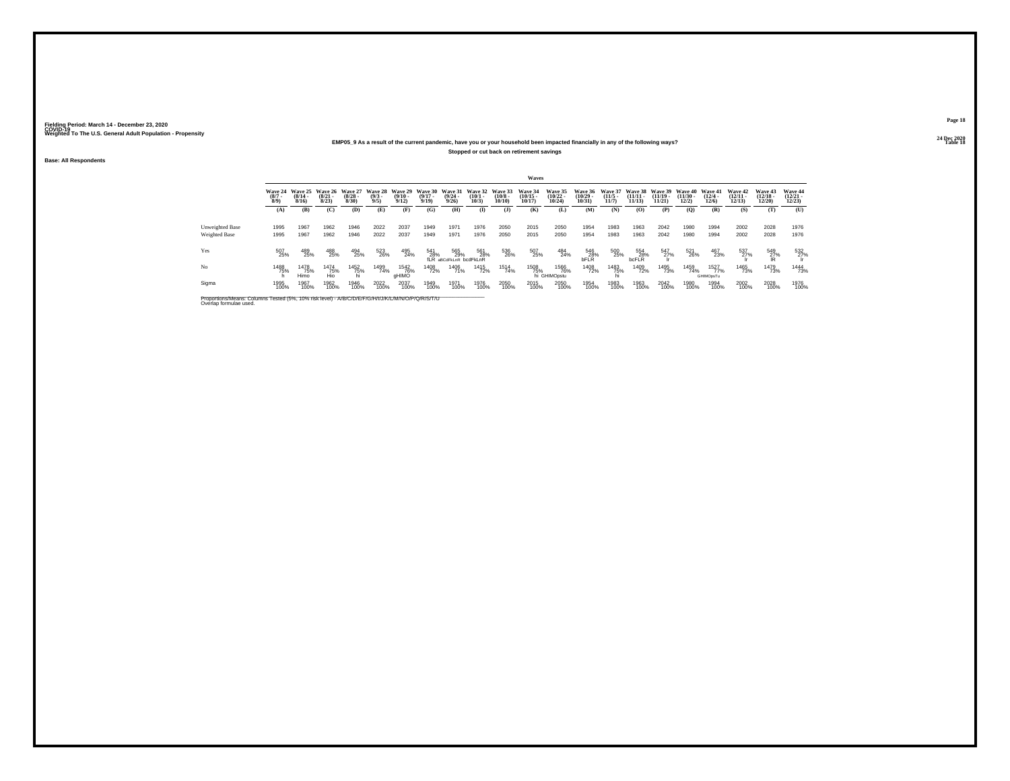## **24 Dec 2020EMP05\_9 As a result of the current pandemic, have you or your household been impacted financially in any of the following ways?**

**Stopped or cut back on retirement savings**

**Base: All Respondents**

|                 |                    |                                          |                                         |                                  |                                       |                                  |                                                                 |                                      |                           |                            | Waves                              |                                   |                                   |                                  |                       |                     |                                                  |                                 |                                   |                                |                                   |
|-----------------|--------------------|------------------------------------------|-----------------------------------------|----------------------------------|---------------------------------------|----------------------------------|-----------------------------------------------------------------|--------------------------------------|---------------------------|----------------------------|------------------------------------|-----------------------------------|-----------------------------------|----------------------------------|-----------------------|---------------------|--------------------------------------------------|---------------------------------|-----------------------------------|--------------------------------|-----------------------------------|
|                 | $\binom{8/7}{8/9}$ | Wave 24 Wave 25<br>$\frac{(8/14)}{8/16}$ | <b>Wave 26</b><br>$\frac{(8/21)}{8/23}$ | Wave 27<br>$\frac{(8/28)}{8/30}$ | <b>Wave 28</b><br>$\frac{(9/3)}{9/5}$ | Wave 29<br>$\frac{(9/10)}{9/12}$ | Wave 30 Wave 31 Wave 32 Wave 33<br>$\frac{(9/17 - 9/19)}{9/19}$ | $\frac{(9/24 - 9/26)}{9/26}$         | $\binom{10/1 - 10}{10/3}$ | $\binom{10/8 - 10}{10/10}$ | Wave 34<br>$\frac{(10/15)}{10/17}$ | Wave 35<br>$\binom{10/22}{10/24}$ | Wave 36<br>$\binom{10/29}{10/31}$ | Wave 37<br>$\frac{(11/5)}{11/7}$ | $\frac{11/11}{11/13}$ | $(11/19 -$<br>11/21 | Wave 38 Wave 39 Wave 40<br>$\binom{11/30}{12/2}$ | Wave 41<br>$\binom{12/4}{12/6}$ | Wave 42<br>$\binom{12/11}{12/13}$ | Wave 43<br>$(12/18 -$<br>12/20 | Wave 44<br>$\binom{12/21}{12/23}$ |
|                 | (A)                | (B)                                      | (C)                                     | (D)                              | (E)                                   | (F)                              | (G)                                                             | <b>(H)</b>                           | $($ I                     | (J)                        | <b>(K)</b>                         | (L)                               | (M)                               | (N)                              | (0)                   | (P)                 | (0)                                              | (R)                             | (S)                               | (T)                            | (U)                               |
| Unweighted Base | 1995               | 1967                                     | 1962                                    | 1946                             | 2022                                  | 2037                             | 1949                                                            | 1971                                 | 1976                      | 2050                       | 2015                               | 2050                              | 1954                              | 1983                             | 1963                  | 2042                | 1980                                             | 1994                            | 2002                              | 2028                           | 1976                              |
| Weighted Base   | 1995               | 1967                                     | 1962                                    | 1946                             | 2022                                  | 2037                             | 1949                                                            | 1971                                 | 1976                      | 2050                       | 2015                               | 2050                              | 1954                              | 1983                             | 1963                  | 2042                | 1980                                             | 1994                            | 2002                              | 2028                           | 1976                              |
| Yes             | 507<br>25%         | 489<br>25%                               | 488<br>25%                              | 494<br>25%                       | 523<br>26%                            | 495<br>24%                       | 541<br>28%                                                      | 565<br>29%<br>fLR aBCdFkLnR bcdFkLnR | 561<br>28%                | 536<br>26%                 | 507<br>25%                         | 484<br>24%                        | 546<br>28%<br><b>bFLR</b>         | 500<br>25%                       | 554<br>28%<br>bcFLR   | 547<br>27%          | 521<br>26%                                       | 467<br>23%                      | 537<br>27%                        | 549<br>2 <u>7</u> %            | 532<br>27%                        |
| No              | 1488<br>75%        | 1478<br>75%<br>Himo                      | 1474<br>75%<br>Hio                      | 1452<br>75%                      | 1499<br>74%                           | 1542<br>76%<br>aHIMO             | 1408<br>72%                                                     | 1406<br>71%                          | 1415<br>72%               | 1514<br>74%                | 1508<br>75%                        | 1566<br>76%<br>hi GHIMOpstu       | 1408<br>72%                       | 1483<br>75%                      | 1409<br>72%           | 1495<br>73%         | 1459<br>74%                                      | 1527<br>77%<br>GHIMOpsTu        | 1465<br>73%                       | 1479<br>73%                    | 1444<br>73%                       |
| Sigma           | 1995<br>100%       | 1967<br>100%                             | 1962<br>100%                            | 1946<br>100%                     | 2022<br>100%                          | 2037<br>100%                     | 1949<br>100%                                                    | 1971<br>100%                         | 1976<br>100%              | 2050<br>100%               | 2015<br>100%                       | 2050<br>100%                      | 1954<br>100%                      | 1983<br>100%                     | 1963<br>100%          | 2042<br>100%        | 1980<br>100%                                     | 1994<br>100%                    | 2002<br>100%                      | 2028<br>100%                   | 1976<br>100%                      |

Proportions/Means: Columns Tested (5%, 10% risk level) - *N'B/C/D/E/F/G/H/I/J/K/L/M/N/O/P/Q/R/S/T/U* Overlap formulae used.<br>Overlap formulae used.

**Page 1824 Dec 2020<br>Table 18** 

**Table 18 Table 18 Table 18 Table 18 Table 18 Table 18 Table 18 Table 18**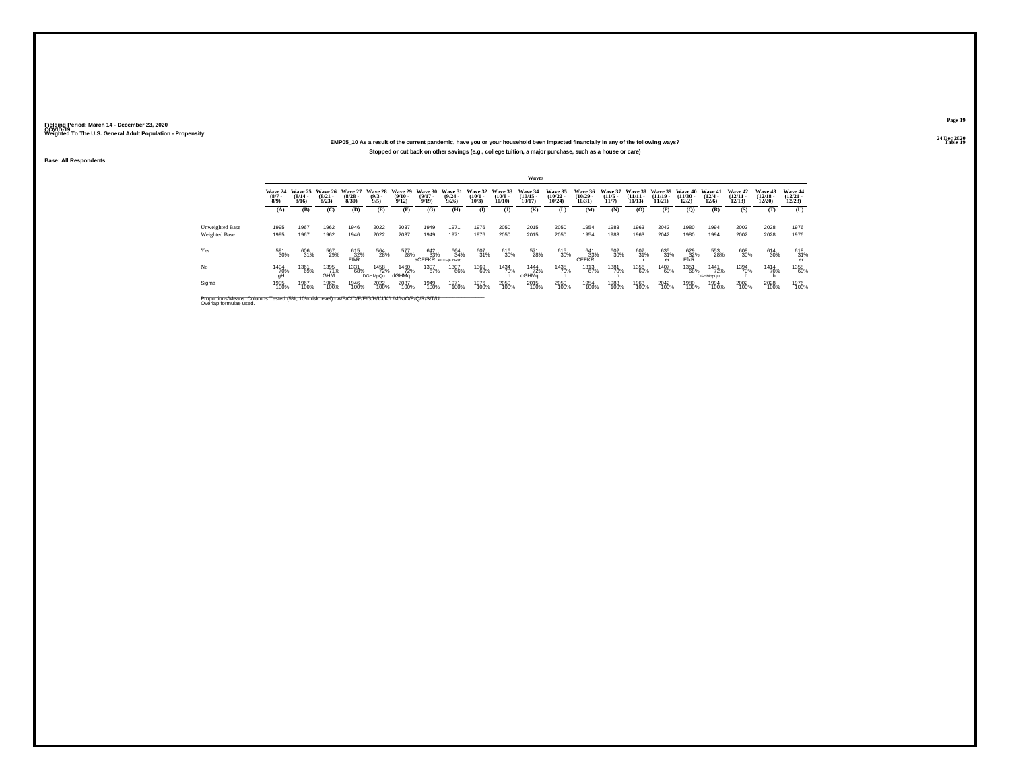## **24 Dec 2020EMP05\_10 As a result of the current pandemic, have you or your household been impacted financially in any of the following ways?Stopped or cut back on other savings (e.g., college tuition, a major purchase, such as a house or care)**

**Base: All Respondents**

|                                                                                                                              |                               |                              |                              |                           |                               |                              |                                  |                              |                              |                               | Waves                          |                                            |                                            |                                  |                                |                             |                                  |                                 |                                |                                |                                   |
|------------------------------------------------------------------------------------------------------------------------------|-------------------------------|------------------------------|------------------------------|---------------------------|-------------------------------|------------------------------|----------------------------------|------------------------------|------------------------------|-------------------------------|--------------------------------|--------------------------------------------|--------------------------------------------|----------------------------------|--------------------------------|-----------------------------|----------------------------------|---------------------------------|--------------------------------|--------------------------------|-----------------------------------|
|                                                                                                                              | Wave 24<br>$\binom{8/7}{8/9}$ | Wave 25<br>$(8/14 -$<br>8/16 | Wave 26<br>$(8/21 -$<br>8/23 | Wave 27<br>(8/28)<br>8/30 | Wave 28<br>$\binom{9/3}{9/5}$ | Wave 29<br>$(9/10 -$<br>9/12 | Wave 30<br>$(9/17 -$<br>9/19     | Wave 31<br>$(9/24 -$<br>9/26 | Wave 32<br>$(10/1 -$<br>10/3 | Wave 33<br>$(10/8 -$<br>10/10 | Wave 34<br>$(10/15 -$<br>10/17 | Wave 35<br>$\frac{(10/22 - 10/24)}{10/24}$ | Wave 36<br>$\frac{(10/29 - 10/31)}{10/31}$ | Wave 37<br>$\frac{(11/5)}{11/7}$ | Wave 38<br>$(11/11 -$<br>11/13 | Wave 39<br>(11/19.<br>11/21 | Wave 40<br>$\binom{11/30}{12/2}$ | Wave 41<br>$\binom{12/4}{12/6}$ | Wave 42<br>$(12/11 -$<br>12/13 | Wave 43<br>$(12/18 -$<br>12/20 | Wave 44<br>$\binom{12/21}{12/23}$ |
|                                                                                                                              | (A)                           | (B)                          | (C)                          | (D)                       | (E)                           | (F)                          | (G)                              | (H)                          | $\bf(I)$                     | $($ $\bf{J}$ )                | (K)                            | (L)                                        | (M)                                        | (N)                              | (0)                            | (P)                         | $\overline{Q}$                   | (R)                             | (S)                            | (T)                            | (U)                               |
| Unweighted Base<br>Weighted Base                                                                                             | 1995<br>1995                  | 1967<br>1967                 | 1962<br>1962                 | 1946<br>1946              | 2022<br>2022                  | 2037<br>2037                 | 1949<br>1949                     | 1971<br>1971                 | 1976<br>1976                 | 2050<br>2050                  | 2015<br>2015                   | 2050<br>2050                               | 1954<br>1954                               | 1983<br>1983                     | 1963<br>1963                   | 2042<br>2042                | 1980<br>1980                     | 1994<br>1994                    | 2002<br>2002                   | 2028<br>2028                   | 1976<br>1976                      |
| Yes                                                                                                                          | 591<br>30%                    | 606<br>31%                   | 567<br>29%                   | 615<br>$E$ <sup>32%</sup> | 564<br>28%                    | 577<br>28%                   | 642<br>33%<br>aCEFKR ACEFIKInRst | 664<br>34%                   | 607<br>31%                   | 616<br>30%                    | 571<br>28%                     | 615<br>30%                                 | 641<br>33%<br>CEFKR                        | 602<br>30%                       | 607<br>31%                     | 635<br>31%                  | 629<br>$E$ <sup>32%</sup>        | 553<br>28%                      | 608<br>30%                     | 614<br>30%                     | 618<br>31%<br>er                  |
| No                                                                                                                           | <sup>1404</sup> 70%<br>qH     | 1361<br>69%                  | 1395<br>71%<br>GHM           | 1331<br>68%               | 1458<br>72%<br><b>DGHMpQu</b> | 1460<br>72%<br>dGHMa         | 1307<br>67%                      | 1307<br>66%                  | 1369<br>69%                  | 1434<br>70%                   | 1444<br>72%<br>dGHMa           | 1435<br>70%                                | 1313<br>67%                                | 1381<br>70%                      | 1356<br>69%                    | 1407<br>69%                 | 1351<br>68%                      | 1441<br>72%<br><b>DGHMooQu</b>  | 1394<br>70%                    | 1414<br>70%                    | 1358<br>69%                       |
| Sigma                                                                                                                        | 1995<br>100%                  | 1967<br>100%                 | 1962<br>100%                 | 1946<br>100%              | 2022<br>100%                  | 2037<br>100%                 | 1949<br>100%                     | 1971<br>100%                 | 1976<br>100%                 | 2050<br>100%                  | 2015<br>100%                   | 2050<br>100%                               | 1954<br>100%                               | 1983<br>100%                     | 1963<br>100%                   | 2042<br>100%                | 1980<br>100%                     | 1994<br>100%                    | 2002<br>100%                   | 2028<br>100%                   | 1976<br>100%                      |
| Proportions/Means: Columns Tested (5%, 10% risk level) - A/B/C/D/E/F/G/H/I/J/K/L/M/N/O/P/Q/R/S/T/U<br>Overlap formulae used. |                               |                              |                              |                           |                               |                              |                                  |                              |                              |                               |                                |                                            |                                            |                                  |                                |                             |                                  |                                 |                                |                                |                                   |

**Page 1924 Dec 2020<br>Table 19** 

**Table 19 Table 19 Table 19 Table 19 Table 19 Table 19 Table 19 Table 19**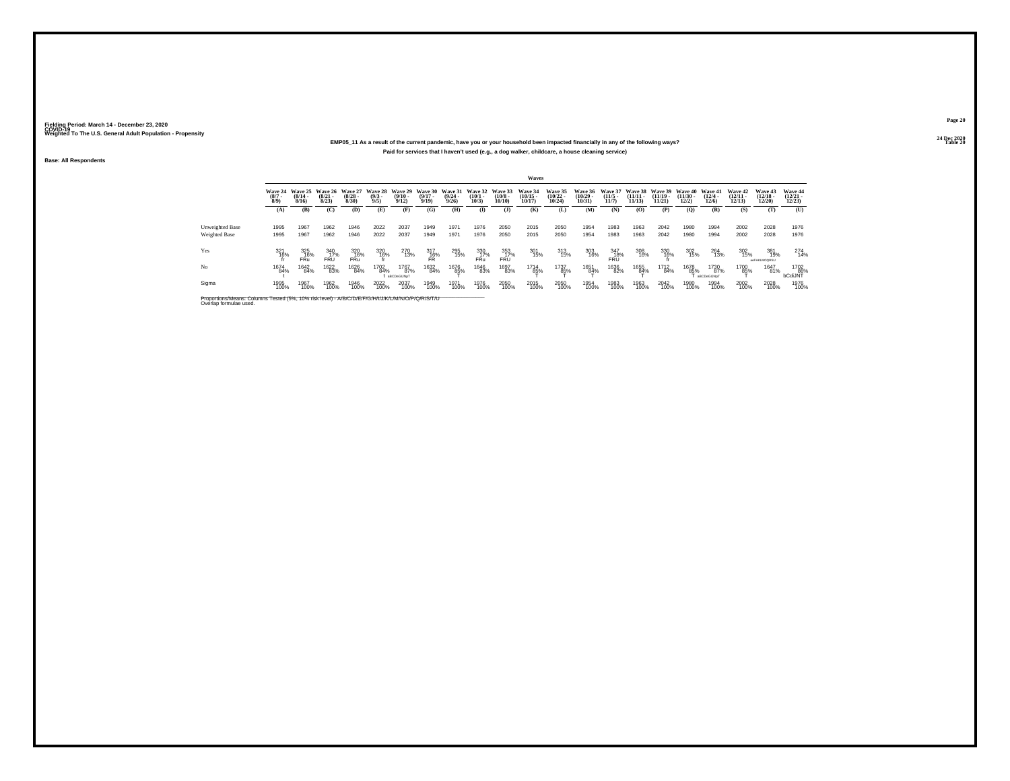## **24 Dec 2020EMP05\_11 As a result of the current pandemic, have you or your household been impacted financially in any of the following ways?Paid for services that I haven't used (e.g., a dog walker, childcare, a house cleaning service)**

**Base: All Respondents**

|                                                                                                                              |                               |                              |                              |                              |                               |                              |                              |                              |                              |                               | <b>Waves</b>                   |                                       |                                          |                              |                                |                             |                            |                            |                                |                                   |                                   |
|------------------------------------------------------------------------------------------------------------------------------|-------------------------------|------------------------------|------------------------------|------------------------------|-------------------------------|------------------------------|------------------------------|------------------------------|------------------------------|-------------------------------|--------------------------------|---------------------------------------|------------------------------------------|------------------------------|--------------------------------|-----------------------------|----------------------------|----------------------------|--------------------------------|-----------------------------------|-----------------------------------|
|                                                                                                                              | Wave 24<br>$\binom{8/7}{8/9}$ | Wave 25<br>$(8/14 -$<br>8/16 | Wave 26<br>$(8/21 -$<br>8/23 | Wave 27<br>$(8/28 -$<br>8/30 | Wave 28<br>$\binom{9/3}{9/5}$ | Wave 29<br>$(9/10 -$<br>9/12 | Wave 30<br>$(9/17 -$<br>9/19 | Wave 31<br>$(9/24 -$<br>9/26 | Wave 32<br>$(10/1 -$<br>10/3 | Wave 33<br>$(10/8 -$<br>10/10 | Wave 34<br>$(10/15 -$<br>10/17 | <b>Wave 35</b><br>$(10/22 -$<br>10/24 | <b>Wave 36</b><br>$\binom{10/29}{10/31}$ | Wave 37<br>$(11/5 -$<br>11/7 | Wave 38<br>$(11/11 -$<br>11/13 | Wave 39<br>(11/19)<br>11/21 | Wave 40<br>(11/30)<br>12/2 | Wave 41<br>(12/4)<br>12/6  | Wave 42<br>$(12/11 -$<br>12/13 | Wave 43<br>$(12/18 -$<br>12/20    | Wave 44<br>$\binom{12/21}{12/23}$ |
|                                                                                                                              | (A)                           | (B)                          | (C)                          | (D)                          | (E)                           | (F)                          | (G)                          | (H)                          | (I)                          | $($ $\bf{J}$ )                | (K)                            | (L)                                   | (M)                                      | (N)                          | (O)                            | (P)                         | (Q)                        | (R)                        | (S)                            | (T)                               | (U)                               |
| Unweighted Base<br><b>Weighted Base</b>                                                                                      | 1995<br>1995                  | 1967<br>1967                 | 1962<br>1962                 | 1946<br>1946                 | 2022<br>2022                  | 2037<br>2037                 | 1949<br>1949                 | 1971<br>1971                 | 1976<br>1976                 | 2050<br>2050                  | 2015<br>2015                   | 2050<br>2050                          | 1954<br>1954                             | 1983<br>1983                 | 1963<br>1963                   | 2042<br>2042                | 1980<br>1980               | 1994<br>1994               | 2002<br>2002                   | 2028<br>2028                      | 1976<br>1976                      |
| Yes                                                                                                                          | 321<br>16%                    | 325<br>16%<br>FRu            | 340<br>17%<br><b>FRU</b>     | 320<br>16%<br>FRü            | 320<br>16%                    | 270<br>13%                   | $^{317}_{16\%}$ FR           | 295<br>15%                   | 330<br>17%<br>FRu            | 353<br>17%<br>FRÜ             | 301<br>15%                     | 313<br>15%                            | 303<br>16%                               | 347<br>18%<br>FRÜ            | 308<br>16%                     | 330<br>16%                  | 302<br>15%                 | 264<br>13%                 | 302<br>15%                     | 381<br>19%<br><b>ANFHKLMOQRSU</b> | 274<br>14%                        |
| No                                                                                                                           | 1674<br>84%                   | 1642<br>84%                  | 1622<br>83%                  | 1626<br>84%                  | 1702<br>84%                   | 1767<br>87%<br>aBCDeGIJNoT   | 1632<br>84%                  | 1676<br>8 <u>5</u> %         | 1646<br>83%                  | 1697<br>83%                   | 1714<br>85%                    | 1737<br>85%                           | 1651<br>84%                              | 1636<br>82%                  | 1655<br>84%                    | 1712<br>84%                 | 1678<br>85%                | 1730<br>87%<br>aBCDeGIJNoT | 1700<br>85%                    | 1647<br>81%                       | 1702<br>86%<br>bCdiJNT            |
| Sigma                                                                                                                        | 1995<br>100%                  | 1967<br>100%                 | 1962<br>100%                 | 1946<br>100%                 | 2022<br>100%                  | 2037<br>100%                 | 1949<br>100%                 | 1971<br>100%                 | 1976<br>100%                 | 2050<br>100%                  | 2015<br>100%                   | 2050<br>100%                          | 1954<br>100%                             | 1983<br>100%                 | 1963<br>100%                   | 2042<br>100%                | 1980<br>100%               | 1994<br>100%               | 2002<br>100%                   | 2028<br>100%                      | 1976<br>100%                      |
| Proportions/Means: Columns Tested (5%, 10% risk level) - A/B/C/D/E/F/G/H/I/J/K/L/M/N/O/P/Q/R/S/T/U<br>Overlap formulae used. |                               |                              |                              |                              |                               |                              |                              |                              |                              |                               |                                |                                       |                                          |                              |                                |                             |                            |                            |                                |                                   |                                   |

**Page 2024 Dec 2020<br>Table 20** 

**Table 20 Table 20 Table 20 Table 20 Table 20**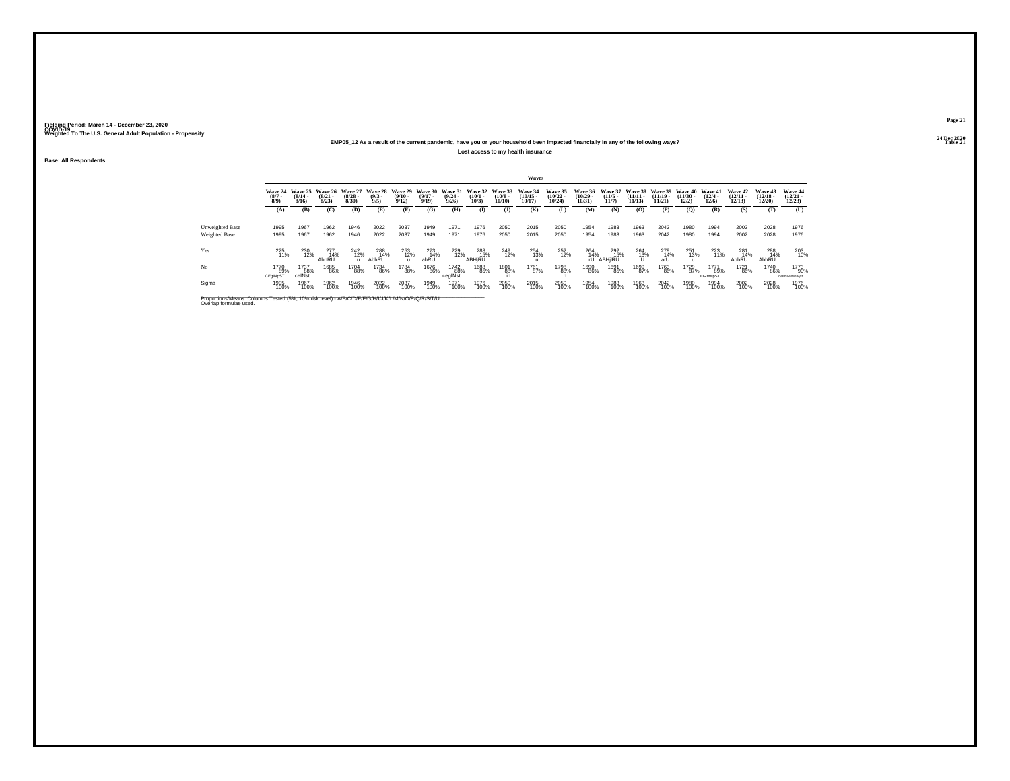## **24 Dec 2020EMP05\_12 As a result of the current pandemic, have you or your household been impacted financially in any of the following ways?Lost access to my health insurance**

**Base: All Respondents**

|                 |                               |                                  |                                         |                                  |                               |                                  |                                      |                                  |                                              |                       | Waves                                      |                                   |                                            |                                 |                             |                     |                                        |                                  |                                   |                                |                                   |
|-----------------|-------------------------------|----------------------------------|-----------------------------------------|----------------------------------|-------------------------------|----------------------------------|--------------------------------------|----------------------------------|----------------------------------------------|-----------------------|--------------------------------------------|-----------------------------------|--------------------------------------------|---------------------------------|-----------------------------|---------------------|----------------------------------------|----------------------------------|-----------------------------------|--------------------------------|-----------------------------------|
|                 | Wave 24<br>$\binom{8/7}{8/9}$ | Wave 25<br>$\frac{(8/14)}{8/16}$ | <b>Wave 26</b><br>$\frac{(8/21)}{8/23}$ | Wave 27<br>$\frac{(8/28)}{8/30}$ | Wave 28<br>$\binom{9/3}{9/5}$ | Wave 29<br>$\frac{(9/10)}{9/12}$ | Wave 30<br>$\frac{(9/17 - 9)}{9/19}$ | Wave 31<br>$\frac{(9/24)}{9/26}$ | Wave 32 Wave 33<br>$\binom{10/1 - 10}{10/3}$ | $\binom{10/8}{10/10}$ | Wave 34<br>$\frac{(10/15 - 10/17)}{10/17}$ | Wave 35<br>$\binom{10/22}{10/24}$ | Wave 36<br>$\frac{(10/29 - 10/31)}{10/31}$ | Wave 37<br>$\binom{11/5}{11/7}$ | Wave 38<br>$\frac{11}{113}$ | $(11/19 -$<br>11/21 | Wave 39 Wave 40<br>$(11/30 -$<br>12/2) | Wave 41<br>$\frac{(12/4)}{12/6}$ | Wave 42<br>$\binom{12/11}{12/13}$ | Wave 43<br>$(12/18 -$<br>12/20 | Wave 44<br>$\binom{12/21}{12/23}$ |
|                 | (A)                           | (B)                              | (C)                                     | (D)                              | (E)                           | (F)                              | (G)                                  | (H)                              | $($ I                                        | (J)                   | (K)                                        | (L)                               | (M)                                        | (N)                             | (0)                         | (P)                 | (Q)                                    | (R)                              | (S)                               | (T)                            | (U)                               |
| Unweighted Base | 1995                          | 1967                             | 1962                                    | 1946                             | 2022                          | 2037                             | 1949                                 | 1971                             | 1976                                         | 2050                  | 2015                                       | 2050                              | 1954                                       | 1983                            | 1963                        | 2042                | 1980                                   | 1994                             | 2002                              | 2028                           | 1976                              |
| Weighted Base   | 1995                          | 1967                             | 1962                                    | 1946                             | 2022                          | 2037                             | 1949                                 | 1971                             | 1976                                         | 2050                  | 2015                                       | 2050                              | 1954                                       | 1983                            | 1963                        | 2042                | 1980                                   | 1994                             | 2002                              | 2028                           | 1976                              |
| Yes             | 225<br>11%                    | 230<br>12%                       | 277<br>14%<br>AbhRU                     | 242<br>12%<br>$\mathbf{u}$       | 288<br>14%<br>AbhRU           | 253<br>12%                       | 273<br>14%<br>ahRU                   | $^{229}_{12\%}$                  | 288<br>15%<br>ABHIRU                         | 249<br>12%            | 254<br>13%                                 | 252<br>12%                        | $^{264}_{14\%}$                            | 292<br>15%<br>rU ABHIIRU        | $^{264}_{13\%}$             | 279<br>14%<br>arU   | 251<br>13%                             | 223<br>11%                       | 281<br>14%<br>AbhRU               | 288<br>14%<br>AbhRU            | 203<br>10%                        |
| No              | 1770<br>89%<br>CEgINpST       | 1737<br>88%<br>celNst            | 1685<br>86%                             | 1704<br>88%                      | 1734<br>86%                   | 1784<br>88%                      | 1676<br>86%                          | 1742<br>88%<br>cegINst           | 1688<br>85%                                  | 1801<br>88%           | 1761<br>87%                                | 1798<br>88%                       | 1690<br>86%                                | 1691<br>85%                     | 1699<br>87%                 | 1763<br>86%         | 1729<br>87%                            | 1771<br>89%<br>CEGImNoST         | 1721<br>86%                       | 1740<br>86%                    | 1773<br>90%<br>CdEtGIM/INOPuST    |
| Sigma           | 1995<br>100%                  | 1967<br>100%                     | 1962<br>100%                            | 1946<br>100%                     | 2022<br>100%                  | 2037<br>100%                     | 1949<br>100%                         | 1971<br>100%                     | 1976<br>100%                                 | 2050<br>100%          | 2015<br>100%                               | 2050<br>100%                      | 1954<br>100%                               | 1983<br>100%                    | 1963<br>100%                | 2042<br>100%        | 1980<br>100%                           | 1994<br>100%                     | 2002<br>100%                      | 2028<br>100%                   | 1976<br>100%                      |

Proportions/Means: Columns Tested (5%, 10% risk level) - *N'B/C/D/E/F/G/H/I/J/K/L/M/N/O/P/Q/R/S/T/U* Overlap formulae used.<br>Overlap formulae used.

**Page 2124 Dec 2020<br>Table 21** 

**Table 21 Table 21 Table 21**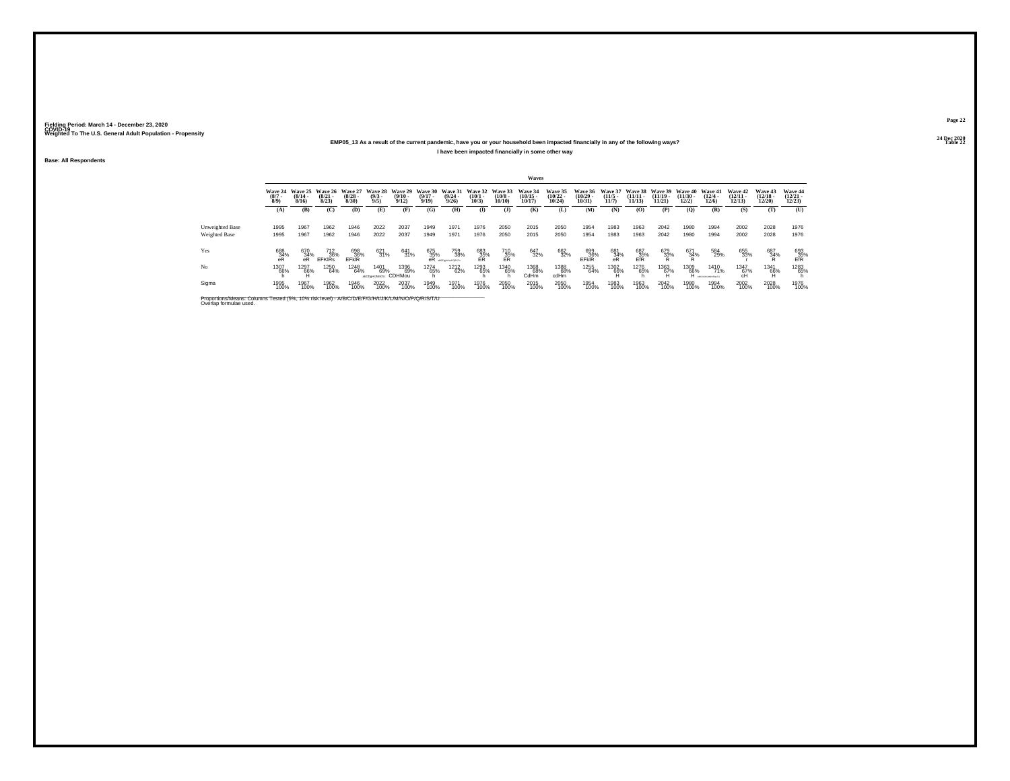## **24 Dec 2020EMP05\_13 As a result of the current pandemic, have you or your household been impacted financially in any of the following ways?I have been impacted financially in some other way**

**Base: All Respondents**

|                                                                                                                              |                            |                              |                              |                              |                               |                              |                              |                                  |                              |                                  | Waves                          |                                |                           |                                     |                                |                                |                            |                                |                                |                                       |                                |
|------------------------------------------------------------------------------------------------------------------------------|----------------------------|------------------------------|------------------------------|------------------------------|-------------------------------|------------------------------|------------------------------|----------------------------------|------------------------------|----------------------------------|--------------------------------|--------------------------------|---------------------------|-------------------------------------|--------------------------------|--------------------------------|----------------------------|--------------------------------|--------------------------------|---------------------------------------|--------------------------------|
|                                                                                                                              | Wave 24<br>$(8/7 -$<br>8/9 | Wave 25<br>$(8/14 -$<br>8/16 | Wave 26<br>$(8/21 -$<br>8/23 | Wave 27<br>$(8/28 -$<br>8/30 | Wave 28<br>$\binom{9/3}{9/5}$ | Wave 29<br>$(9/10 -$<br>9/12 | Wave 30<br>$(9/17 -$<br>9/19 | Wave 31<br>$\frac{(9/24)}{9/26}$ | Wave 32<br>$(10/1 -$<br>10/3 | Wave 33<br>$\binom{10/8}{10/10}$ | Wave 34<br>$(10/15 -$<br>10/17 | Wave 35<br>$(10/22 -$<br>10/24 | Wave 36<br>10/29<br>10/31 | <b>Wave 37</b><br>$(11/5 -$<br>11/7 | Wave 38<br>$(11/11 -$<br>11/13 | Wave 39<br>$(11/19 -$<br>11/21 | Wave 40<br>(11/30)<br>12/2 | Wave 41<br>$(12/4 -$<br>12/6   | Wave 42<br>$(12/11 -$<br>12/13 | <b>Wave 43</b><br>$(12/18 -$<br>12/20 | Wave 44<br>$(12/21 -$<br>12/23 |
|                                                                                                                              | (A)                        | (B)                          | (C)                          | (D)                          | (E)                           | (F)                          | (G)                          | (H)                              | $\mathbf{I}$                 | $($ $\Gamma$                     | (K)                            | (L)                            | (M)                       | (N)                                 | (O)                            | (P)                            | (0)                        | (R)                            | (S)                            | (T)                                   | (U)                            |
| <b>Unweighted Base</b><br>Weighted Base                                                                                      | 1995<br>1995               | 1967<br>1967                 | 1962<br>1962                 | 1946<br>1946                 | 2022<br>2022                  | 2037<br>2037                 | 1949<br>1949                 | 1971<br>1971                     | 1976<br>1976                 | 2050<br>2050                     | 2015<br>2015                   | 2050<br>2050                   | 1954<br>1954              | 1983<br>1983                        | 1963<br>1963                   | 2042<br>2042                   | 1980<br>1980               | 1994<br>1994                   | 2002<br>2002                   | 2028<br>2028                          | 1976<br>1976                   |
| Yes                                                                                                                          | 688<br>34%<br>eR           | 670<br>34%<br>eR             | 712<br>36%<br><b>EFKIRS</b>  | 698<br>36%<br>EFKIR          | 621<br>31%                    | 641<br>31%                   | 675<br>$rac{35}{6}$          | 759<br>38%<br>AREFAIRLINE ORST   | 683<br>$_{ER}^{35%}$         | 710<br>$\frac{35}{5}$            | 647<br>32%                     | 662<br>32%                     | 699<br>EFKIR              | 681<br>34%                          | 687<br>EFR                     | 679<br>$\frac{33}{R}$          | 671<br>$\frac{34}{R}$      | 584<br>29%                     | 655<br>33%                     | 687<br>34%<br>R                       | 693<br>35%<br>EfR              |
| N <sub>o</sub>                                                                                                               | 1307<br>66%                | 1297<br>66%                  | 1250<br>64%                  | 1248<br>64%                  | 1401<br>69%<br>abCDoHLMnOU    | 1396<br>69%<br>CDHMou        | 1274<br>65%                  | <sup>1212</sup> 62%              | 1293<br>65%                  | 1340<br>65%                      | 1368<br>68%<br>CdHm            | 1388<br>68%<br>cdHm            | 1255<br>64%               | 1302<br>66%                         | 1276<br>65%                    | 1363<br>67%<br>Ή               | 1309<br>66%<br>н           | 1410<br>71%<br>ABCDSHUMMOPOLTI | 1347<br>67%                    | 1341<br>66%<br>Ή                      | 1283<br>65%                    |
| Sigma                                                                                                                        | 1995<br>100%               | 1967<br>100%                 | 1962<br>100%                 | 1946<br>100%                 | 2022<br>100%                  | 2037<br>100%                 | 1949<br>100%                 | 1971<br>100%                     | 1976<br>100%                 | 2050<br>100%                     | 2015<br>100%                   | 2050<br>100%                   | 1954<br>100%              | 1983<br>100%                        | 1963<br>100%                   | 2042<br>100%                   | 1980<br>100%               | 1994<br>100%                   | 2002<br>100%                   | 2028<br>100%                          | 1976<br>100%                   |
| Proportions/Means: Columns Tested (5%, 10% risk level) - A/B/C/D/E/F/G/H/I/J/K/L/M/N/O/P/Q/R/S/T/U<br>Overlap formulae used. |                            |                              |                              |                              |                               |                              |                              |                                  |                              |                                  |                                |                                |                           |                                     |                                |                                |                            |                                |                                |                                       |                                |

**Page 2224 Dec 2020<br>Table 22** 

**Table 22 Table 22**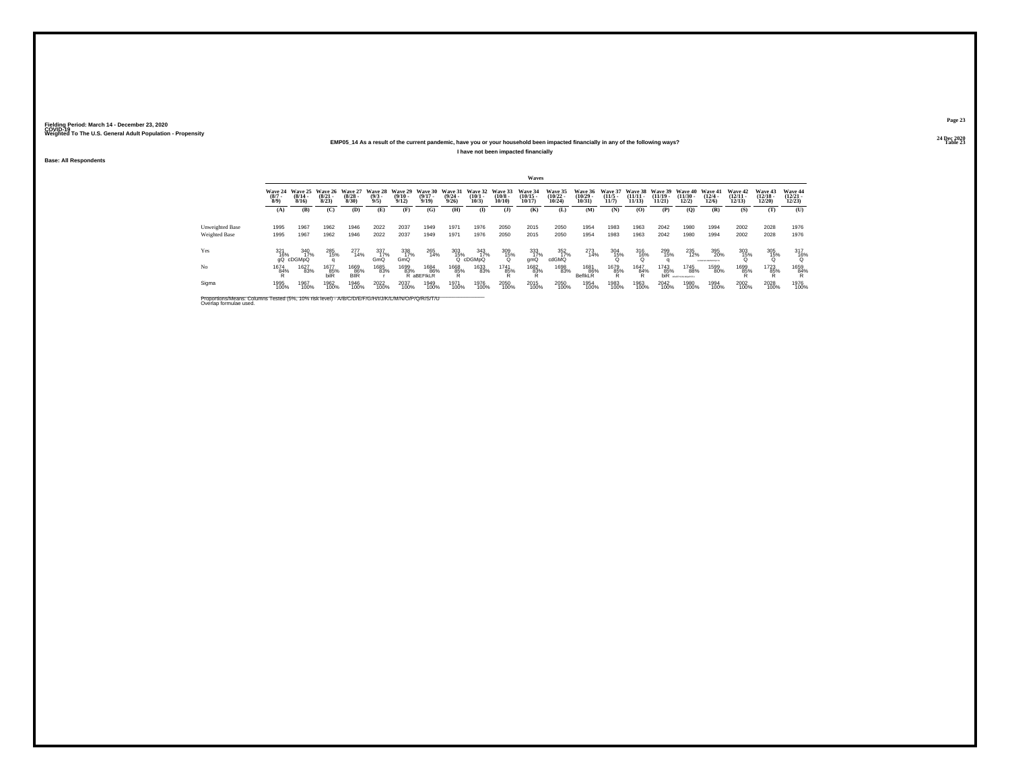## **24 Dec 2020EMP05\_14 As a result of the current pandemic, have you or your household been impacted financially in any of the following ways?I have not been impacted financially**

**Base: All Respondents**

|                                                                                                                              |                            |                              |                              |                              |                               |                              |                              |                                  |                              |                                         | Waves                          |                                |                               |                              |                                |                                |                                      |                                 |                                |                                       |                                |
|------------------------------------------------------------------------------------------------------------------------------|----------------------------|------------------------------|------------------------------|------------------------------|-------------------------------|------------------------------|------------------------------|----------------------------------|------------------------------|-----------------------------------------|--------------------------------|--------------------------------|-------------------------------|------------------------------|--------------------------------|--------------------------------|--------------------------------------|---------------------------------|--------------------------------|---------------------------------------|--------------------------------|
|                                                                                                                              | Wave 24<br>$(8/7 -$<br>8/9 | Wave 25<br>$(8/14 -$<br>8/16 | Wave 26<br>$(8/21 -$<br>8/23 | Wave 27<br>$(8/28 -$<br>8/30 | Wave 28<br>$\binom{9/3}{9/5}$ | Wave 29<br>$(9/10 -$<br>9/12 | Wave 30<br>$(9/17 -$<br>9/19 | Wave 31<br>$\frac{(9/24)}{9/26}$ | Wave 32<br>$(10/1 -$<br>10/3 | Wave 33<br>$\binom{10/8}{10/10}$        | Wave 34<br>$(10/15 -$<br>10/17 | Wave 35<br>$(10/22 -$<br>10/24 | Wave 36<br>10/29<br>10/31     | Wave 37<br>$(11/5 -$<br>11/7 | Wave 38<br>$(11/11 -$<br>11/13 | Wave 39<br>$(11/19 -$<br>11/21 | Wave 40<br>(11/30)<br>12/2           | Wave 41<br>$(12/4 -$<br>12/6    | Wave 42<br>$(12/11 -$<br>12/13 | <b>Wave 43</b><br>$(12/18 -$<br>12/20 | Wave 44<br>$(12/21 -$<br>12/23 |
|                                                                                                                              | (A)                        | (B)                          | (C)                          | (D)                          | (E)                           | (F)                          | (G)                          | (H)                              | $\mathbf{I}$                 | $($ $\Gamma$                            | (K)                            | (L)                            | (M)                           | (N)                          | (O)                            | (P)                            | (0)                                  | (R)                             | (S)                            | (T)                                   | (U)                            |
| <b>Unweighted Base</b><br>Weighted Base                                                                                      | 1995<br>1995               | 1967<br>1967                 | 1962<br>1962                 | 1946<br>1946                 | 2022<br>2022                  | 2037<br>2037                 | 1949<br>1949                 | 1971<br>1971                     | 1976<br>1976                 | 2050<br>2050                            | 2015<br>2015                   | 2050<br>2050                   | 1954<br>1954                  | 1983<br>1983                 | 1963<br>1963                   | 2042<br>2042                   | 1980<br>1980                         | 1994<br>1994                    | 2002<br>2002                   | 2028<br>2028                          | 1976<br>1976                   |
| Yes                                                                                                                          | 321<br>16%<br>αQ           | 340<br>17%<br>cDGMpQ         | 285<br>15%                   | 277<br>14%                   | 337<br>17%<br>GmQ             | 338<br>17%<br>GmQ            | 265<br>14%                   | 303<br>15%                       | 343<br>17%<br>cDGMpQ         | 309<br>$^{15\%}_{0}$                    | 333<br>17%<br>gmQ              | 352<br>17%<br>cdGMQ            | 273<br>14%                    | 304<br>15%                   | 316<br>16%                     | 299<br>15%                     | 235<br>12%                           | 395<br>20%<br>ACD-PD KANNOPORTU | 303<br>15%                     | 305<br>15%                            | 317<br>16%<br>Ω                |
| N <sub>o</sub>                                                                                                               | 1674<br>84%                | 1627<br>83%                  | 1677<br>85%<br>hilR          | 1669<br>86%<br><b>BIIR</b>   | 1685<br>83%                   | 1699<br>83%                  | 1684<br>86%<br>R aBEFIKLR    | 1668<br>85%<br>R                 | 1633<br>83%                  | 1741<br>85%<br><b>D</b><br>$\mathbf{r}$ | 1682<br>83%                    | 1698<br>83%                    | 1681<br>86%<br><b>BefIkLR</b> | 1679<br>85%<br>R             | 1647<br>84%<br>R               | 1743<br>85%<br>biR             | 1745<br>88%<br><b>LEEM NT NOWERS</b> | 1599<br>80%                     | 1699<br>85%                    | 1723<br>85%<br>R                      | 1659<br>84%<br>ĸ               |
| Sigma                                                                                                                        | 1995<br>100%               | 1967<br>100%                 | 1962<br>100%                 | 1946<br>100%                 | 2022<br>100%                  | 2037<br>100%                 | 1949<br>100%                 | 1971<br>100%                     | 1976<br>100%                 | 2050<br>100%                            | 2015<br>100%                   | 2050<br>100%                   | 1954<br>100%                  | 1983<br>100%                 | 1963<br>100%                   | 2042<br>100%                   | 1980<br>100%                         | 1994<br>100%                    | 2002<br>100%                   | 2028<br>100%                          | 1976<br>100%                   |
| Proportions/Means: Columns Tested (5%, 10% risk level) - A/B/C/D/E/F/G/H/I/J/K/L/M/N/O/P/Q/R/S/T/U<br>Overlap formulae used. |                            |                              |                              |                              |                               |                              |                              |                                  |                              |                                         |                                |                                |                               |                              |                                |                                |                                      |                                 |                                |                                       |                                |

**Page 2324 Dec 2020<br>Table 23** 

**Table 23 Table 23**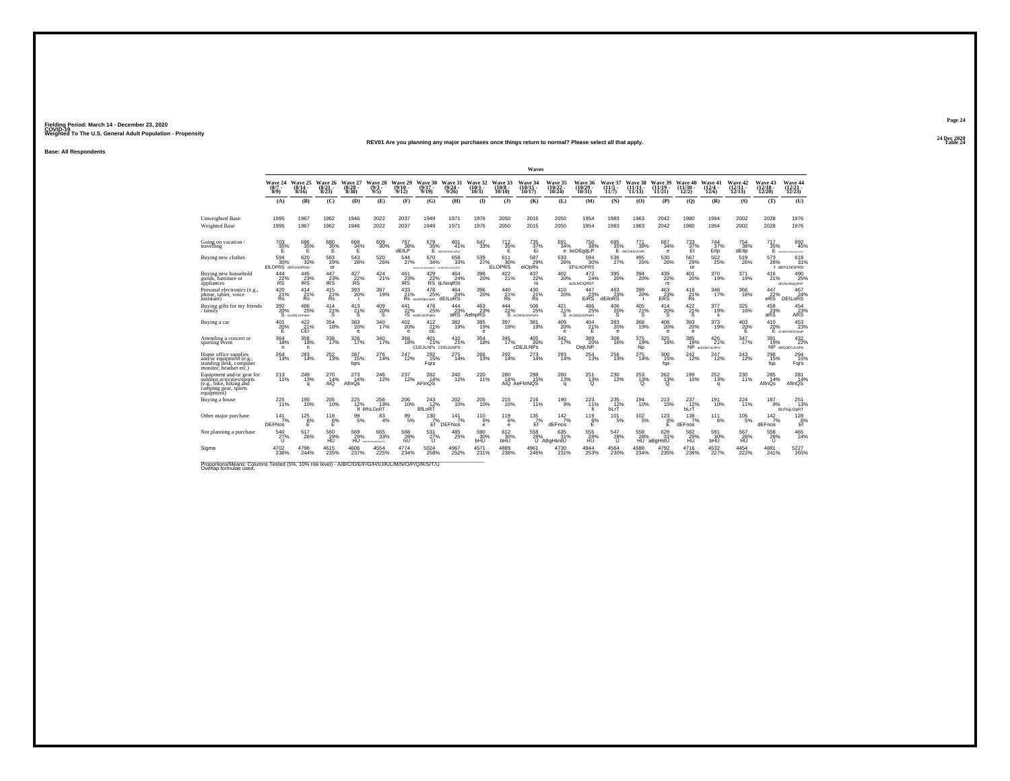#### **24 Dec 2020REV01 Are you planning any major purchases once things return to normal? Please select all that apply.Table 24 Table 24**

**Base: All Respondents**

|                                                                                                                         |                                   |                                          |                                 |                                   |                                       |                              |                                            |                                  |                            |                                         | Waves                                 |                                |                                         |                                 |                                   |                                            |                                       |                                         |                                    |                               |                                                   |
|-------------------------------------------------------------------------------------------------------------------------|-----------------------------------|------------------------------------------|---------------------------------|-----------------------------------|---------------------------------------|------------------------------|--------------------------------------------|----------------------------------|----------------------------|-----------------------------------------|---------------------------------------|--------------------------------|-----------------------------------------|---------------------------------|-----------------------------------|--------------------------------------------|---------------------------------------|-----------------------------------------|------------------------------------|-------------------------------|---------------------------------------------------|
|                                                                                                                         | Wave 24<br>$(8/7 -$<br>$8/9$ )    | Wave 25<br>8/16                          | Wave 26<br>$\binom{8/21}{8/23}$ | Wave 27<br>$\binom{8/28}{8/30}$   | Wave 28<br>(9/3 -<br>9/5)             | Wave 29<br>$(9/10 -$<br>9/12 | Wave 30<br>(9/17)<br>9/19                  | Wave 31<br>(9/24)<br>9/26        | Wave 32<br>(10/1)<br>10/3) | Wave 33<br>$10/8 -$<br>10/10            | Wave 34<br>(10/15<br>10/17            | Wave 35<br>$(10/22 -$<br>10/24 | Wave 36<br>(10/29)<br>10/31             | Wave 37<br>$(11/5 -$<br>11/7    | 38<br>Wave<br>$(11/11 -$<br>11/13 | Wave 39<br>$(11/19 -$<br>11/21             | Wave 40<br>$(11/30 -$<br>12/2)        | Wave 41<br>$\frac{(12/4 - 12)}{(12/6)}$ | Wave 42<br>$\frac{(12/11)}{12/13}$ | Wave 43<br>(12/18 -<br>12/20) | Wave 44<br>(12/21 -<br>12/23)                     |
|                                                                                                                         | (A)                               | (B)                                      | (C)                             | (D)                               | (E)                                   | (F)                          | (G)                                        | (H)                              | $\mathbf{I}$               | $($ $\Gamma$                            | (K)                                   | (L)                            | (M)                                     | (N)                             | (0)                               | (P)                                        | (Q)                                   | (R)                                     | (S)                                | (T)                           | (U)                                               |
| Unweighted Base<br><b>Weighted Base</b>                                                                                 | 1995<br>1995                      | 1967<br>1967                             | 1962<br>1962                    | 1946<br>1946                      | 2022<br>2022                          | 2037<br>2037                 | 1949<br>1949                               | 1971<br>1971                     | 1976<br>1976               | 2050<br>2050                            | 2015<br>2015                          | 2050<br>2050                   | 1954<br>1954                            | 1983<br>1983                    | 1963<br>1963                      | 2042<br>2042                               | 1980<br>1980                          | 1994<br>1994                            | 2002<br>2002                       | 2028<br>2028                  | 1976<br>1976                                      |
| Going on vacation/<br>travelling                                                                                        | $^{703}_{32\%}$<br>Ε              | $^{686}_{35\%}$                          | $^{680}_{35\%}$                 | $\frac{668}{34}\%$                | $^{609}_{30\%}$                       | 767<br>38%<br>dEll P         | $^{679}_{35\%}$                            | 801%<br>E ABCDEGUKLNPST          | 647<br>33%                 | $\frac{712}{35}\%$                      | $^{735}_{37\%}$<br>Ei                 | 691/34%                        | 750<br>38%<br>e bcDEgliLP               | 695<br>35%                      | 771<br>39%<br>E ABCDEGIJLNPL      | 687<br>34%<br>e                            | 733 %<br>EI                           | 744<br>37%<br>Ello                      | 754<br>38%<br>dEllo                | 717<br>35%<br>Ε               | 892<br>45%<br><b><i>ANTISEDIA M MADESCATE</i></b> |
| Buying new clothes                                                                                                      | 594<br>30%<br>EfLOPRS dEFILNOPRSt | 620<br>32%                               | 563<br>29%<br>or                | 543<br>28%                        | 520<br>26%                            | 544<br>27%                   | 670<br>34%<br>ACREAGANCESST ACDEFIANOPORST | 658<br>33%                       | 539<br>27%                 | 611<br>LOPRS <sup>30%</sup>             | 587<br>29%<br>elOpRs                  | 533<br>26%                     | 594<br>30%<br><b>EFILnOPRS</b>          | 536<br>27%                      | 495<br>25%                        | 530<br>26%                                 | 567<br>29%<br>or                      | 502<br>25%                              | 519<br>26%                         | 573<br>28%                    | 618<br>31%<br>dEFILNOPRS                          |
| Buying new household<br>goods, furniture or<br>appliances                                                               | 444<br>22%<br>RS <sup>'</sup>     | $\frac{445}{23\%}$<br>IRS <sup>1</sup>   | $^{447}_{23\%}$<br><b>IRS</b>   | $427_{22\%}$<br>RS.               | $^{424}_{21\%}$                       | 461<br>23%<br><b>IRS</b>     | $^{429}_{22\%}$                            | $^{464}_{24\%}$<br>RS IjLNoqRSt  | 398<br>20%                 | 422/21%                                 | $^{437}_{22\%}$<br>rs                 | 402<br>20%                     | $^{472}_{\  \, 24\%}$<br>eIJLNOQRST     | $^{395}_{\,20\%}$               | 394<br>20%                        | 439<br>22%<br>rs                           | $^{401}_{20\%}$                       | 370<br>19%                              | $^{371}_{19\%}$                    | 416<br>21%                    | 490<br>25%<br>dEIJkLNOpQRST                       |
| Personal electronics (e.g.,<br>phone, tablet, voice<br>assistant)                                                       | 420<br>$\frac{21}{8}$             | 414<br>$\frac{21}{8}$                    | 415<br>$\frac{21}{8}$           | $\frac{393}{20\%}$<br><b>r</b>    | $387 \atop 19\%$                      | 433                          | 478<br>21% 25%<br>Rs abcDEllalOgRS<br>25%  | 464<br>24%<br>dEILoRS            | $^{396}_{\,20\%}$          | $^{440}_{\substack{21\% \\ \text{Rs}}}$ | $^{430}_{\substack{21\%\\\text{Rs}}}$ | 410<br>20%                     | 447<br>EIRS                             | 463<br>dEiloRS                  | 399<br>20%<br>$\mathbf{r}$        | $^{463}_{23\%}$ ERS                        | $^{418}_{\substack{21\%\\\text{Rs}}}$ | $348$<br>17%                            | 366<br>18%                         | $^{447}_{22\%}$ e $^{22\%}$   | 467<br>24%<br><b>DEILORS</b>                      |
| Buying gifts for my friends<br>/ family                                                                                 | 392                               | 486<br>$20\%$ 25%<br>S $ACDE$ $D$<br>25% | 414<br>21%                      | 413<br>$\frac{21}{S}$             | 409<br>$^{20\%}_{\$}$                 | 441<br>$22\%$                | 478<br>25%<br>AcdELNOPoRS                  | 444<br>$R^2$ arcs <sup>23%</sup> | 463<br>%23%<br>AelnpRS     | 444                                     | 506<br>22% 25%<br>25%                 | 421                            | 486<br>21% 25°<br>S ACDENLNOPORS<br>25% | 406<br>${}^{20\%}_{\$}$         | 405<br>$\frac{21}{5}$ %           | 414<br>$^{20\%}$                           | 422<br>$\frac{21}{5}$ %               | 377<br>19%<br>s                         | 325<br>16%                         | 458<br>$23%$<br>aRS           | 454<br>ARS                                        |
| Buying a car                                                                                                            | 401<br>20%<br>Е                   | $\frac{422}{21\%}$<br>CEr                | 354<br>18%                      | $^{383}_{\,20\%}$<br>$\mathbf{e}$ | 340<br>17%                            | 402<br>20%<br>$\mathbf{e}$   | 412<br>21%<br>cE                           | 382<br>19%                       | 385<br>19%<br>е            | 397<br>19%                              | 381<br>19%                            | $^{409}_{20\%}$<br>е           | $^{404}_{21\%}$<br>Ε                    | $^{393}_{\color{red}20\%}$<br>е | 368<br>19%                        | $^{408}_{\color{red}20\%}$<br>$\mathbf{e}$ | 393<br>20%<br>e                       | $^{373}_{19\%}$                         | $^{403}_{20\%}$<br>Е               | 410<br>20%                    | 453<br>23%<br>E scalinukinoser                    |
| Attending a concert or<br>sporting event                                                                                | 364<br>18%<br>$\mathsf{n}$        | 358<br>18%<br>n.                         | 338<br>17%                      | 326<br>17%                        | 340<br>17%                            | 368<br>18%                   | 401<br>21%<br><b>CDEJLNPs CDEJLNPS</b>     | 410<br>21%                       | 354<br>18%                 | 345                                     | 405<br>20%<br>17% 20%<br>cDEJLNPs     | 342<br>17%                     | 389<br>DejLNP <sup>20%</sup>            | 308<br>16%                      | 375<br>19%<br><b>Np</b>           | 325<br>16%                                 | 385<br>$N_P^{19\%}$                   | 426<br>21%<br><b>AbCDEFULNPS</b>        | 347<br>17%                         | 391<br>$NP^{\prime\prime}$    | 432<br>22%<br>ABCDEFULNPS                         |
| Home office supplies<br>and/or equipment (e.g.,<br>standing desk, computer<br>monitor, headset etc.)                    | 264<br>13%                        | 283<br>14%                               | 252<br>13%                      | 287<br>15%<br>fars                | $^{276}_{14\%}$                       | 247<br>12%                   | 292<br>15%<br>Fars                         | $^{275}_{14\%}$                  | 266<br>13%                 | 292<br>14%                              | $^{273}_{14\%}$                       | $^{293}_{14\%}$                | $^{254}_{13\%}$                         | $^{256}_{13\%}$                 | $^{275}_{14\%}$                   | 300<br>15%<br>fqs                          | 242%                                  | 247<br>12%                              | $^{243}_{12\%}$                    | 298<br>15%<br>fqs             | 294<br>15%<br>Fqrs                                |
| Equipment and/or gear for<br>outdoor activities/sports<br>(e.g., bike, hiking and<br>camping gear, sports<br>equipment) | $^{213}_{11\%}$                   | 249<br>13%<br>a                          | 270<br>14%<br>AiQ               | 273<br>14%<br>AfInQs              | $^{246}_{12\%}$                       | 237<br>12%                   | 282<br>14%<br>AFInQS                       | $^{240}_{12\%}$                  | 220<br>11%                 | $^{280}_{14\%}$                         | 298<br>15%<br>AiQ AeFhINQS            | $^{260}_{13\%}$<br>a           | $^{251}_{13\%}$<br>Q                    | $^{230}_{\ 12\%}$               | 253<br>13%<br>O                   | $^{262}_{13\%}$<br>$\Omega$                | 199<br>10%                            | $^{252}_{13\%}$<br>a                    | 230<br>11%                         | 285<br>14%<br>AflnQs          | 281<br>14%<br>AfInQS                              |
| Buving a house                                                                                                          | 225<br>11%                        | 190<br>10%                               | 205<br>10%                      | 225<br>12%<br>h                   | 256<br>13%<br>BfhiLOpRT               | 206<br>10%                   | 243<br>$\overrightarrow{12}\%$ BfLoRT      | 202<br>10%                       | 205<br>10%                 | 215<br>10%                              | 216<br>11%                            | 190<br>9%                      | 223<br>11%<br>lt.                       | 235<br>$\frac{35}{12\%}$        | 194<br>10%                        | 213<br>10%                                 | 237<br>bLrT                           | 191<br>10%                              | 224<br>11%                         | 187<br>9%                     | 251<br>13%<br>BcFhijLOpRT                         |
| Other major purchase                                                                                                    | 141<br>7%<br><b>DEFNos</b>        | $^{125}_{6\%}$<br>F                      | $^{118}_{6\%}$<br>Ε             | 99<br>5%                          | 83<br>4%                              | $\frac{99}{5%}$              | $^{130}_{7\%}$<br>Ef                       | 141<br>7%<br><b>DEFNos</b>       | $^{110}_{6\%}$<br>е        | $^{119}_{6\%}$<br>$\mathbf e$           | $^{135}_{7\%}$<br>Ef                  | 142/7%<br>dEFnos               | $^{119}_{6\%}$<br>E                     | 101<br>5%                       | $^{102}_{-5\%}$                   | $^{123}_{6\%}$<br>Е                        | 138/7%<br>dEFnos                      | 111<br>6%                               | $^{105}_{-5\%}$                    | 142/7%<br>dEFnos              | $^{128}_{-6\%}$<br>Ef                             |
| Not planning a purchase                                                                                                 | 540<br>27%<br>$\mathbf{U}$        | 517<br>26%                               | 560<br>29%                      | 569<br>29%                        | 665<br>33%<br><b>HU</b> ACJESHAMOJSTU | 568<br>28%                   | 531<br>27%                                 | 485<br>25%                       | 590<br>$30\%$              | 612<br>30%<br>bHU                       | 558<br>28%                            | 635<br>31%<br>U ABaHkntU       | 555<br>$\frac{28}{10}$ %                | 547<br>28%<br>u                 | 558                               | 629<br>28% 31%<br>HU aBgHntU<br>31%        | 582<br>29%                            | 591<br>30%<br>bHU                       | 567<br>28%                         | 558<br>28%<br>u               | 465<br>24%                                        |
| Sigma                                                                                                                   | 4702<br>236%                      | 4796<br>244%                             | 4615<br>235%                    | 4606<br>237%                      | 4554<br>225%                          | 4774<br>234%                 | $^{5024}_{\,258\%}$                        | 4967<br>252%                     | 4571<br>231%               | 4889<br>238%                            | 4961<br>246%                          | 4730<br>231%                   | 4944<br>253%                            | 4564<br>230%                    | $^{4588}_{234\%}$                 | 4792<br>235%                               | 4716<br>238%                          | 4532<br>227%                            | $\substack{4454 \\ 222\%}$         | 4881<br>241%                  | 5227<br>265%                                      |

Proportions/Means: Columns Tested (5%, 10% risk level) - *N'B/C/D/E/F/G/H/I/J/K/L/M/N/O/P/Q/R/S/*T/U<br>Overlap formulae used.

**Page 2424 Dec 2020<br>Table 24**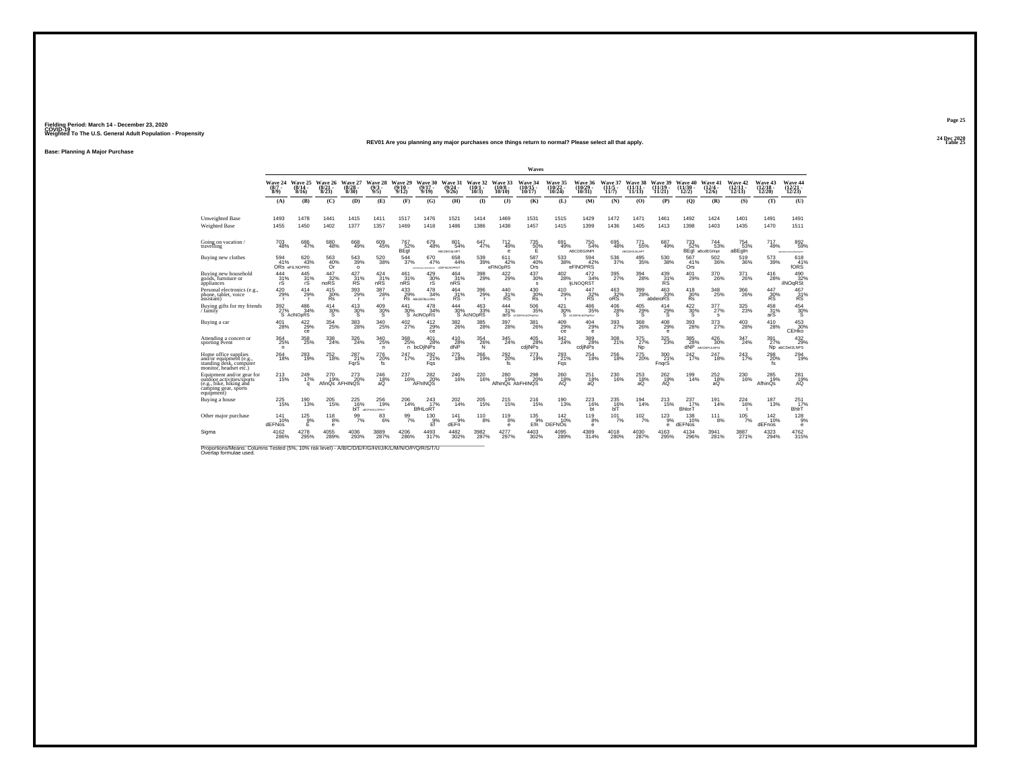## **24 Dec 2020REV01 Are you planning any major purchases once things return to normal? Please select all that apply.**

**Base: Planning A Major Purchase**

|                                                                                                                             |                                |                             |                          |                              |                             |                            |                               |                                   |                                     |                               | Waves                           |                                       |                                       |                            |                                                  |                                |                                |                             |                                |                                |                                      |
|-----------------------------------------------------------------------------------------------------------------------------|--------------------------------|-----------------------------|--------------------------|------------------------------|-----------------------------|----------------------------|-------------------------------|-----------------------------------|-------------------------------------|-------------------------------|---------------------------------|---------------------------------------|---------------------------------------|----------------------------|--------------------------------------------------|--------------------------------|--------------------------------|-----------------------------|--------------------------------|--------------------------------|--------------------------------------|
|                                                                                                                             | Wave 24<br>$(8/7 -$<br>$8/9$ ) | Wave 25<br>(8/14 -<br>8/16  | Wave 26<br>8/23          | Wave 27<br>(8/28<br>8/30     | Wave 28<br>9/5)             | Wave 29<br>(9/10 -<br>9/12 | Wave 30<br>$(9/17 -$<br>9/19  | Wave 31<br>(9/24<br>9/26          | Wave 32<br>10/1<br>10/3)            | Wave 33<br>$(10/8 -$<br>10/10 | Wave 34<br>$(10/15 -$<br>10/17  | Wave 35<br>$(10/22 -$<br>10/24        | Wave 36<br>(10/29)<br>10/31           | Wave 37<br>(11/5<br>11/7   | Wave 38<br>$(11/11 -$<br>11/13                   | Wave 39<br>$(11/19 -$<br>11/21 | Wave 40<br>$(11/30 -$<br>12/2) | Wave 41<br>12/4 -<br>12/6   | Wave 42<br>$(12/11 -$<br>12/13 | Wave 43<br>$(12/18 -$<br>12/20 | Wave 44<br>$\frac{(12/21)}{(12/23)}$ |
|                                                                                                                             | (A)                            | (B)                         | (C)                      | (D)                          | (E)                         | (F)                        | (G)                           | (H)                               | $($ I                               | $($ $)$                       | (K)                             | (L)                                   | (M)                                   | (N)                        | (0)                                              | (P)                            | (Q)                            | (R)                         | (S)                            | (T)                            | (U)                                  |
| <b>Unweighted Base</b>                                                                                                      | 1493                           | 1478                        | 1441                     | 1415                         | 1411                        | 1517                       | 1476                          | 1521                              | 1414                                | 1469                          | 1531                            | 1515                                  | 1429                                  | 1472                       | 1471                                             | 1461                           | 1492                           | 1424                        | 1401                           | 1491                           | 1491                                 |
| <b>Weighted Base</b>                                                                                                        | 1455                           | 1450                        | 1402                     | 1377                         | 1357                        | 1469                       | 1418                          | 1486                              | 1386                                | 1438                          | 1457                            | 1415                                  | 1399                                  | 1436                       | 1405                                             | 1413                           | 1398                           | 1403                        | 1435                           | 1470                           | 1511                                 |
| Going on vacation<br>travelling                                                                                             | 703<br>48%                     | 686<br>47%                  | 680<br>48%               | 668<br>49%                   | $^{609}_{45\%}$             | 767<br>52%<br>BEql         | 679<br>48%                    | 801<br>54%<br>ABCDEGILNPT         | $647}_{47\%$                        | $^{712}_{49\%}$<br><b>e</b>   | $^{735}_{~50\%}$                | 691<br>49%                            | $^{750}_{54\%}$<br><b>ABCDEGIINPt</b> | 695<br>48%                 | 771<br>55%<br>ABCDEGUM NPT                       | 687<br>49%                     | 733<br>52%<br>BEql             | 744<br>53%<br>aBcdEGlinpt   | 754<br>53%<br>aBEgin           | 717<br>49%                     | 8926<br><b>KLMWPOKET</b>             |
| Buying new clothes                                                                                                          | 594<br>41%                     | 620<br>43%<br>ORS eFILNOPRS | 563<br>$\frac{40\%}{0r}$ | 543<br>39%<br>$\circ$        | 520<br>38%                  | 544<br>37%                 | 670<br>47%                    | 658<br>44%<br>DRAWN COEFINANOPRST | 539<br>39%                          | 611<br>42%<br>eFINOpRS        | 587<br>40%<br>Ors <sup>1</sup>  | 533<br>38%                            | 594<br>42%<br>eFINOPRS                | 536<br>37%                 | 495<br>35%                                       | 530<br>38%                     | 567<br>41%<br>Ors              | 502<br>36%                  | 519<br>36%                     | 573<br>39%                     | 618<br>10RS                          |
| Buving new household<br>goods, furniture or<br>appliances                                                                   | 444<br>31%<br>rS               | 445<br>31%<br>rS            | 447<br>32%<br>noRS       | 427<br>31%<br>RS             | $\frac{424}{31\%}$<br>nRS   | $^{461}_{31\%}$<br>nRS     | 429<br>30%<br>rS              | $\frac{464}{31\%}$<br>nRS         | $^{398}_{29\%}$                     | $^{422}_{29\%}$               | $^{437}_{\ 30\%}$<br>s          | $^{402}_{\phantom{1}\phantom{1}28\%}$ | 472<br>34%<br><b>IiLNOQRST</b>        | 395<br>27%                 | $^{394}_{\phantom{1}\phantom{1}\phantom{1}28\%}$ | 439 %<br><b>RS</b>             | 401<br>29%                     | 370<br>26%                  | 371<br>26%                     | 416<br>28%                     | 490<br>32%<br><b>ilNOqRSt</b>        |
| Personal electronics (e.g.<br>phone, tablet, voice<br>assistant)                                                            | 420<br>29%<br><b>r</b>         | 414<br>29%<br><b>r</b>      | 415<br>30%<br>Řs.        | 393<br>29%<br>- r            | 387<br>28%<br>$\mathbf{r}$  | $^{433}_{29\%}$            | 478<br>34%<br>RS ABCDETIALORS | $^{464}_{31\%}$<br>RS             | $^{396}_{29\%}$                     | 440<br>$R^3$                  | $^{430}_{30\%}$<br><b>Rs</b>    | 410<br>29%<br>- r                     | 447<br>$R^3$                          | $^{463}_{32\%}$ oRS        | 399<br>28%                                       | $^{463}_{33\%}$<br>abdeioRS    | 418<br>30%<br>Řs.              | 348<br>25%                  | $^{366}_{26\%}$                | $\frac{447}{30\%}$             | $^{467}_{31\%}$ RS                   |
| Buving gifts for my friends<br>/ family                                                                                     | 392<br>27%                     | 486<br>34%<br>S AcINOpRS    | 414<br>30%               | 413<br>$\frac{30\%}{S}$      | 409<br>$\frac{30\%}{S}$     | 441<br>30%                 | 478<br>34%<br>S AcINOpRS      | 444<br>30%                        | 463<br>33%<br>S AcNO <sub>pRS</sub> | 444<br>31%                    | 506<br>35%<br>arS Accentuanateu | 421<br>30%<br>`S                      | 486<br>35%<br>ACDEMIANOPORSU          | 406<br>28%<br>s            | 405<br>$^{29}_{\rm s}$ %                         | 414<br>29%<br>Ŝ.               | 422<br>$\frac{30}{5}$ %        | 377<br>27%<br>s             | 325<br>23%                     | 458<br>31%<br>arS              | 454<br>$\frac{30}{5}$                |
| Buying a car                                                                                                                | $^{401}_{28\%}$                | $422 \over 29\%$<br>ce      | 354<br>25%               | 383<br>28%                   | 340<br>25%                  | $^{402}_{27\%}$            | $^{412}_{29\%}$<br>ce         | $^{382}_{26\%}$                   | $^{385}_{28\%}$                     | $\frac{397}{28\%}$            | 381<br>26%                      | $^{409}_{29\%}$<br>ce                 | $^{404}_{29\%}$<br>$\mathbf e$        | 393<br>27%                 | 368<br>26%                                       | $^{408}_{29\%}$<br>е           | $393 \atop 28\%$               | 373<br>27%                  | $^{403}_{28\%}$                | $^{410}_{28\%}$                | 453<br>30%<br>CEHko                  |
| Attending a concert or<br>sporting event                                                                                    | 364<br>25%<br>n                | 358<br>25%                  | 338<br>24%               | 326<br>24%                   | 340<br>25%<br>$\mathsf{n}$  | 368<br>25%                 | 401<br>28%<br>n bcDilNPs      | 410<br>28%<br>dNP                 | 354<br>26%<br>N.                    | 345<br>24%                    | 405<br>28%<br>cdilNPs           | 342<br>24%                            | 389<br>28%<br>cdilNPs                 | 308<br>21%                 | 375<br>27%<br>Ñp.                                | 325<br>23%                     | 385<br>28%<br>dNP              | 426<br>30%<br>ABCDEFIJLNPS: | 347<br>24%                     | 391<br>27%                     | 432<br>29%<br>ND abCDefJLNPS         |
| Home office supplies<br>and/or equipment (e.g.<br>standing desk, computer<br>monitor, headset etc.)                         | $^{264}_{18\%}$                | $^{283}_{19\%}$             | 252<br>18%               | 287 <sub>21%</sub><br>FarS   | 276<br>20%<br>fs            | 247<br>17%                 | 292%<br>Fas                   | $^{275}_{18\%}$                   | $^{266}_{19\%}$                     | 292%<br>fs                    | 273<br>19%                      | 293<br>21%<br>Fqs                     | $^{254}_{18\%}$                       | $^{256}_{\phantom{1}18\%}$ | 275<br>20%                                       | $^{300}_{21\%}$<br>FngrS       | 242%                           | 247<br>18%                  | 243<br>17%                     | 298<br>20%<br>fs               | 294<br>19%                           |
| Equipment and/or gear for<br>outdoor activities/sports<br>(e.g., bike, hiking and<br>camping gear, sports<br>equipment)     | <sup>213</sup> <sub>15%</sub>  | $^{249}_{17\%}$<br>a        | $^{270}_{19\%}$          | 273<br>20%<br>AfinQs AFHINQS | $^{246}_{18\%}$<br>аQ       | 237<br>16%                 | 282<br>20%<br>AFhINOS         | $^{240}_{16\%}$                   | 220<br>16%                          | 280<br>19%                    | 298<br>20%<br>AfhinQs AbFHINQS  | 260<br>18%<br>AQ                      | 251<br>18%<br>aQ                      | 230<br>16%                 | $^{253}_{18\%}$<br>аQ                            | $^{262}_{19\%}$<br>AQ          | 199<br>14%                     | 252<br>18%<br>aQ            | $^{230}_{16\%}$                | 285<br>19%<br>AfhinQs          | 281<br>19%<br>AŐ                     |
| Buying a house                                                                                                              | 225<br>15%                     | 190<br>13%                  | 205<br>15%               | 225<br>16%<br>hIT            | 256<br>19%<br>ABCFHUKLOPRAT | 206<br>14%                 | 243<br>17%<br>BIHLORT         | 202<br>14%                        | 205<br>15%                          | 215<br>15%                    | 216<br>15%                      | 190<br>13%                            | 223<br>16%<br>bt                      | 235<br>16%<br>bIT          | 194<br>14%                                       | 213<br>15%                     | 237<br>17%<br>BhlorT           | 191<br>14%                  | 224<br>16%<br>$\mathbf{r}$     | 187<br>13%                     | $^{251}_{17\%}$<br>Bhirt             |
| Other major purchase                                                                                                        | 141<br>10%<br>dEFNos           | $^{125}_{9%}$<br>E          | $^{118}_{8\%}$<br>e      | $\frac{99}{7\%}$             | 83<br>6%                    | $\frac{99}{7\%}$           | 130<br>9%<br>Ef               | 141<br>9%<br>dEFn                 | 110<br>8%                           | 119<br>8%<br>e                | 135<br>9%<br>Efn                | 142<br>10%<br><b>DEFNOs</b>           | 119<br>8%<br>$\epsilon$               | 101<br>7%                  | 102/7%                                           | 123<br>9%<br>е                 | 138<br>10%<br>dEFNos           | 111<br>8%                   | $105/7\%$                      | 142<br>10%<br>dEFnos           | 128<br>9%<br>$\bullet$               |
| Sigma                                                                                                                       | 4162<br>286%                   | 4278<br>295%                | 4055<br>289%             | 4036<br>293%                 | 3889<br>287%                | 4206<br>286%               | 4493<br>317%                  | 4482<br>302%                      | 3982<br>287%                        | 4277<br>297%                  | 4403<br>302%                    | 4095<br>289%                          | 4389<br>314%                          | 4018<br>280%               | 4030<br>287%                                     | 4163<br>295%                   | 4134<br>296%                   | 3941<br>281%                | 3887<br>271%                   | 4323<br>294%                   | 4762<br>315%                         |
| Proportions/Means: Columns Tested (5%, 10% risk level) - A/B/C/D/E/F/G/H/I/J/K/L/M/N/O/P/Q/R/S/T/U<br>Overlap formulae used |                                |                             |                          |                              |                             |                            |                               |                                   |                                     |                               |                                 |                                       |                                       |                            |                                                  |                                |                                |                             |                                |                                |                                      |

**Page 2524 Dec 2020<br>Table 25** 

**Table 25 Table 25**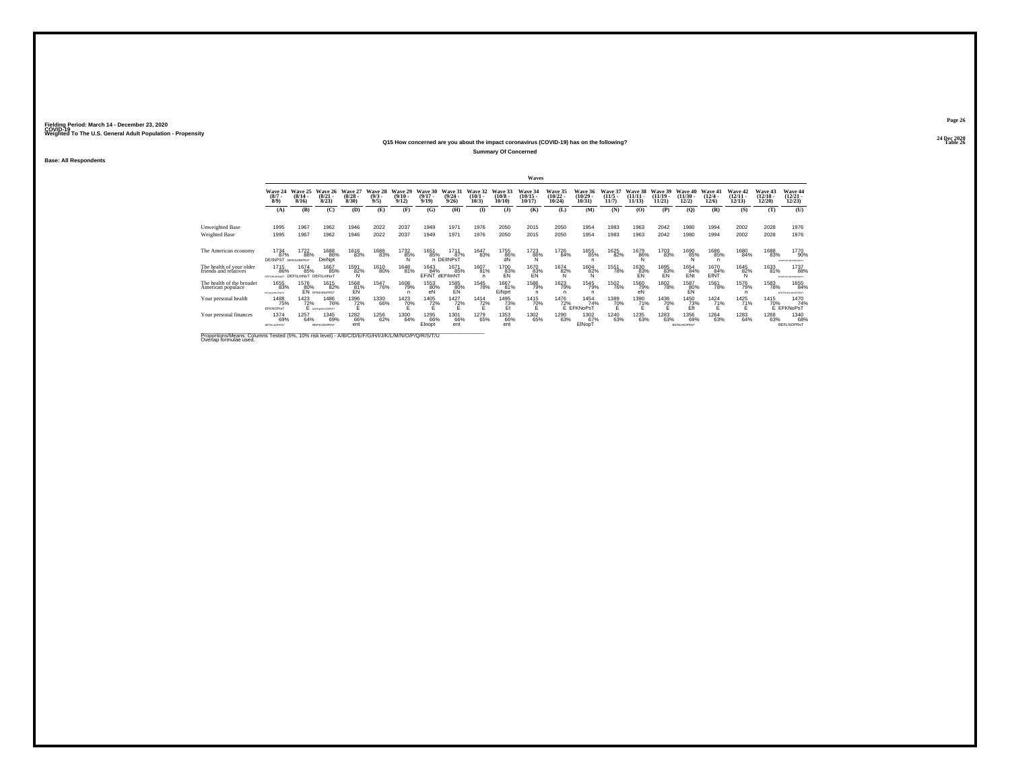#### **24 Dec 2020Q15 How concerned are you about the impact coronavirus (COVID-19) has on the following?Table 26 Table 26 Table 26 Table 26 Table 26 Table 26 Table 26 Table 26**

**Summary Of Concerned**

**Base: All Respondents**

|                                                   |                                                         |                              |                                       |                                 |                               |                                         |                              |                                         |                              |                               | Waves                                 |                                            |                                     |                                  |                                   |                                |                                        |                                       |                                   |                                   |                                         |
|---------------------------------------------------|---------------------------------------------------------|------------------------------|---------------------------------------|---------------------------------|-------------------------------|-----------------------------------------|------------------------------|-----------------------------------------|------------------------------|-------------------------------|---------------------------------------|--------------------------------------------|-------------------------------------|----------------------------------|-----------------------------------|--------------------------------|----------------------------------------|---------------------------------------|-----------------------------------|-----------------------------------|-----------------------------------------|
|                                                   | Wave 24<br>$\binom{8/7}{8/9}$                           | Wave 25<br>$(8/14 -$<br>8/16 | Wave 26<br>$\binom{8/21}{8/23}$       | Wave 27<br>$\binom{8/28}{8/30}$ | Wave 28<br>$\binom{9/3}{9/5}$ | Wave 29<br>$\frac{(9/10 - 9/12)}{9/12}$ | Wave 30<br>$(9/17 -$<br>9/19 | Wave 31<br>$\frac{(9/24 - 9/26)}{9/26}$ | Wave 32<br>$(10/1 -$<br>10/3 | Wave 33<br>$(10/8 -$<br>10/10 | <b>Wave 34</b><br>$(10/15 -$<br>10/17 | Wave 35<br>$\frac{(10/22 - 10/24)}{10/24}$ | Wave 36<br>$(10/29 -$<br>10/31      | Wave 37<br>$\frac{(11/5)}{11/7}$ | Wave 38<br>$\binom{11/11}{11/13}$ | Wave 39<br>$(11/19 -$<br>11/21 | Wave 40<br>$\frac{(11/30 - 12)}{12/2}$ | Wave 41<br>$\frac{(12/4 - 12)}{12/6}$ | Wave 42<br>$\binom{12/11}{12/13}$ | Wave 43<br>$\binom{12/18}{12/20}$ | Wave 44<br>$\binom{12/21}{12/23}$       |
|                                                   | (A)                                                     | (B)                          | (C)                                   | (D)                             | (E)                           | (F)                                     | (G)                          | (H)                                     | $($ I                        | (J)                           | (K)                                   | (L)                                        | (M)                                 | (N)                              | (0)                               | (P)                            | (O)                                    | (R)                                   | (S)                               | (T)                               | (U)                                     |
| Unweighted Base                                   | 1995                                                    | 1967                         | 1962                                  | 1946                            | 2022                          | 2037                                    | 1949                         | 1971                                    | 1976                         | 2050                          | 2015                                  | 2050                                       | 1954                                | 1983                             | 1963                              | 2042                           | 1980                                   | 1994                                  | 2002                              | 2028                              | 1976                                    |
| Weighted Base                                     | 1995                                                    | 1967                         | 1962                                  | 1946                            | 2022                          | 2037                                    | 1949                         | 1971                                    | 1976                         | 2050                          | 2015                                  | 2050                                       | 1954                                | 1983                             | 1963                              | 2042                           | 1980                                   | 1994                                  | 2002                              | 2028                              | 1976                                    |
| The American economy                              | 1734<br>87%<br><b>DEIINPST</b> DEIGILMNPRST             | 1722<br>88%                  | 1688<br>86%<br>DeiNot                 | 1616<br>83%                     | 1686<br>83%                   | 1732<br>85%                             | 1651<br>85%                  | 1711<br>87%<br>n DEIINPST               | 1647<br>83%                  | 1755<br>86%                   | 1723<br>86%                           | 1726<br>84%                                | 1655<br>85%                         | 1625<br>82%                      | 1679<br>$^{86\%}_{N}$             | 1703<br>83%                    | 1690<br>85%                            | 1686<br>85%<br>n                      | 1680<br>84%                       | 1688<br>83%                       | 1770<br>90%<br>ACOEPOARLMACPORET        |
| The health of your older<br>friends and relatives | <sup>1715</sup> 86%<br>DEFUILMNIGST DEFILMNST DEFILMNST | 1674<br>85%                  | 1667<br>85%                           | 1591<br>82%<br><b>N</b>         | 1610<br>80%                   | 1648<br>81%                             | 1643<br>84%<br>EFINT         | 1671<br>85%<br>dEFIlmNT                 | 1607<br>81%                  | 1700<br>83%<br>FN             | <sup>1670</sup> 83%<br><b>FN</b>      | $\frac{1674}{82\%}$                        | $\frac{1604}{82\%}$                 | 1551<br>78%                      | 1630<br>83%<br>FN                 | 1695<br>83%<br><b>FN</b>       | 1654<br>84%<br>ENt                     | 1670<br>84%<br>EfNT                   | 1645<br>82%<br>N                  | 1633<br>81%                       | 1737<br>88%<br><b>BCOEFGHALMACFORET</b> |
| The health of the broader<br>American populace    | 1655<br>83%<br>MF4KLMNOPvR3T                            | 1576<br>80%                  | 1615<br>82%<br><b>EN EFIKIMNOPRST</b> | 1568<br>81%<br>EŃ               | <sup>1547</sup> 76%           | 1608<br>79%                             | 1553<br>80%<br>eN            | 1585<br>80%<br>EÑ                       | 1545<br>78%                  | 1667<br>81%<br>EiNprt         | <sup>1586</sup> 79%                   | <sup>1623</sup> 79%                        | <sup>1545</sup> 79%<br>n            | <sup>1502</sup> 76%              | 1560<br>79%<br>eÑ                 | <sup>1602</sup> 78%            | 1587<br>80%<br>EÑ                      | <sup>1561</sup> 78%                   | <sup>1576</sup> 79%               | 1583<br>78%                       | 1655<br>84%<br>ROSFGHALMADPORST         |
| Your personal health                              | 1488<br>75%<br>EFKNOPrs1                                | 1423<br>72%                  | 1486<br>76%<br><b>10EF@MUNOPRST</b>   | 1396<br>72%                     | 1330<br>66%                   | 1423<br>70%                             | 1405<br>72%                  | 1427<br>72%                             | 1414<br>72%                  | 1495<br>73%<br>Et             | 1415<br>70%                           | 1476                                       | 1454<br>72% 74<br>E EFKNoPsT<br>74% | 1389<br>70%                      | 1390<br>71%                       | 1436<br>70%                    | 1450<br>$\frac{73}{5}$                 | 1424<br>71%                           | 1425<br>71%                       | 1415                              | 1470<br>70% 74<br>74%                   |
| Your personal finances                            | 1374<br>69%<br><b>BEFIKLNOPRS</b>                       | 1257<br>64%                  | 1345<br>69%<br><b>BEFIKLNOPRST</b>    | <sup>1282</sup> 66%<br>ent      | 1256<br>62%                   | 1300<br>64%                             | 1295<br>66%<br>Elnopt        | 1301<br>66%<br>ent                      | 1279<br>65%                  | 1353<br>66%<br>ent            | 1302<br>65%                           | 1290<br>63%                                | 1302<br>67%<br>EINopT               | <sup>1240</sup> 63%              | 1235<br>63%                       | 1283<br>63%                    | 1356<br>69%<br><b>BEFILMOPRST</b>      | 1264<br>63%                           | 1283<br>64%                       | 1268<br>63%                       | 1340<br>68%<br><b>BEFLNOPRsT</b>        |

Proportions/Means: Columns Tested (5%, 10% risk level) - *N'B/C/D/E/F/G/H/I/J/K/L/M/N/O/P/Q/R/S/T/U* Overlap formulae used.<br>Overlap formulae used.

**Page 2624 Dec 2020<br>Table 26**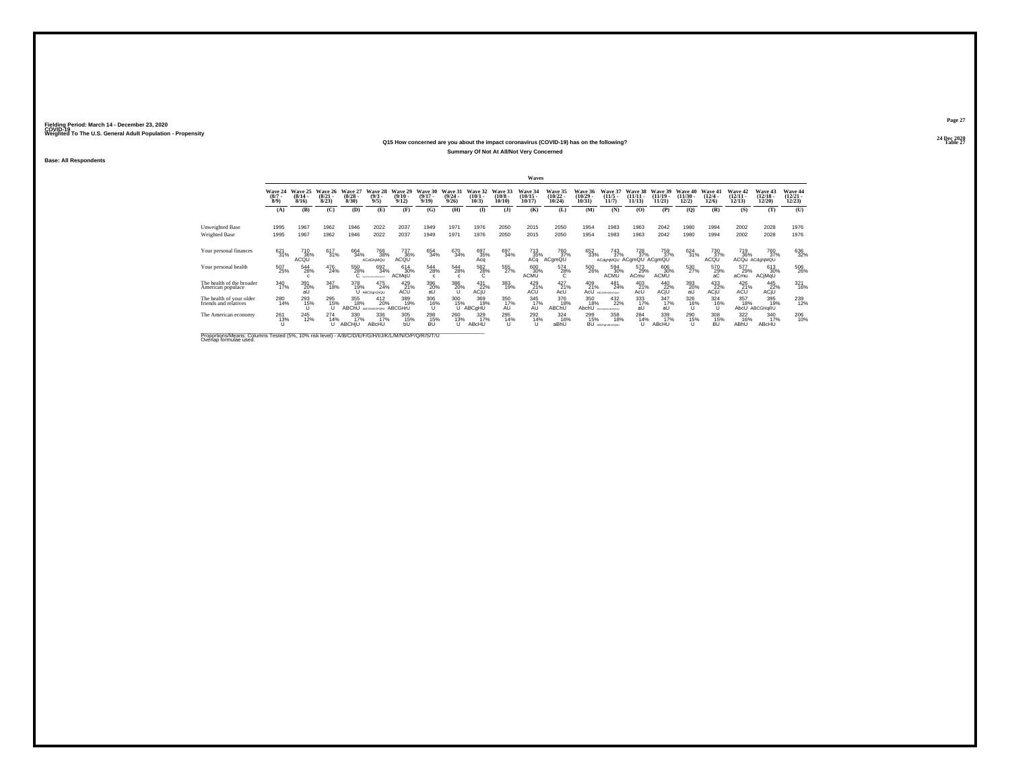#### **24 Dec 2020Q15 How concerned are you about the impact coronavirus (COVID-19) has on the following?Table 27 Table 27 Summary Of Not At All/Not Very Concerned**

**Base: All Respondents**

|                                                   |                               |                              |                                 |                                  |                                   |                                  |                                  |                                  |                              |                                          | Waves                                      |                                |                                   |                                       |                                |                                |                                |                              |                                    |                                   |                                   |
|---------------------------------------------------|-------------------------------|------------------------------|---------------------------------|----------------------------------|-----------------------------------|----------------------------------|----------------------------------|----------------------------------|------------------------------|------------------------------------------|--------------------------------------------|--------------------------------|-----------------------------------|---------------------------------------|--------------------------------|--------------------------------|--------------------------------|------------------------------|------------------------------------|-----------------------------------|-----------------------------------|
|                                                   | Wave 24<br>$\binom{8/7}{8/9}$ | Wave 25<br>$(8/14 -$<br>8/16 | Wave 26<br>$\binom{8/21}{8/23}$ | Wave 27<br>$\frac{(8/28)}{8/30}$ | Wave 28<br>$\binom{9/3}{9/5}$     | Wave 29<br>$\frac{(9/10)}{9/12}$ | Wave 30<br>$\frac{(9/17)}{9/19}$ | Wave 31<br>$\frac{(9/24)}{9/26}$ | Wave 32<br>$(10/1 -$<br>10/3 | Wave 33<br>$\binom{10/8}{10/10}$         | Wave 34<br>$\frac{(10/15 - 10/17)}{10/17}$ | Wave 35<br>$(10/22 -$<br>10/24 | Wave 36<br>$\binom{10/29}{10/31}$ | Wave 37<br>$\frac{(11/5)}{11/7}$      | Wave 38<br>$(11/11 -$<br>11/13 | Wave 39<br>$(11/19 -$<br>11/21 | Wave 40<br>$(11/30 -$<br>12/2) | Wave 41<br>$(12/4 -$<br>12/6 | Wave 42<br>$\frac{(12/11)}{12/13}$ | Wave 43<br>$\binom{12/18}{12/20}$ | Wave 44<br>$\binom{12/21}{12/23}$ |
|                                                   | (A)                           | (B)                          | (C)                             | (D)                              | (E)                               | (F)                              | (G)                              | (H)                              | $\mathbf{I}$                 | (J)                                      | (K)                                        | (L)                            | (M)                               | (N)                                   | (0)                            | (P)                            | (Q)                            | (R)                          | (S)                                | (T)                               | (U)                               |
| Unweighted Base<br>Weighted Base                  | 1995<br>1995                  | 1967<br>1967                 | 1962<br>1962                    | 1946<br>1946                     | 2022<br>2022                      | 2037<br>2037                     | 1949<br>1949                     | 1971<br>1971                     | 1976<br>1976                 | 2050<br>2050                             | 2015<br>2015                               | 2050<br>2050                   | 1954<br>1954                      | 1983<br>1983                          | 1963<br>1963                   | 2042<br>2042                   | 1980<br>1980                   | 1994<br>1994                 | 2002<br>2002                       | 2028<br>2028                      | 1976<br>1976                      |
| Your personal finances                            | 621<br>31%                    | 710<br>36%<br>ACQU           | 617<br>31%                      | 664<br>34%                       | <sup>766</sup> 38%<br>ACdGhiMQU   | 737<br>36%<br>ACQU               | 654<br>34%                       | 670<br>34%                       | 697<br>35%<br>Acq            | 697<br>34%                               | 713<br>35%<br>ACa                          | 760<br>37%<br>ACgmQU           | 652<br>33%                        | 743<br>37%<br>ACdghiMQU ACgmQU ACgmQU | 728<br>37%                     | 759<br>37%                     | 624<br>31%                     | 730<br>37%<br>ACQU           | 719<br>36%                         | 760<br>37%<br>ACQu ACdghiMQU      | 636<br>32%                        |
| Your personal health                              | 507<br>25%                    | 544<br>28%<br>c.             | 476<br>24%                      | 550<br>28%                       | 692<br>34%<br>ARCOFOHLALMAGPORET, | 614<br>30%<br>ACMqU              | $^{544}_{28\%}$                  | 544<br>28%                       | 562<br>28%<br>υ.             | 555<br>27%                               | 600 30%<br><b>ACMU</b>                     | 574<br>28%<br>Ċ                | 500<br>26%                        | 594<br>30%<br><b>ACMU</b>             | 573<br>29%<br>ACmu             | 606<br>30%<br><b>ACMU</b>      | 530<br>27%                     | 570<br>29%<br>аC             | 577<br>29%<br>aCmu                 | 613<br>30%<br>ACjMqU              | 506<br>26%                        |
| The health of the broader<br>American populace    | 340<br>17%                    | 391<br>20%<br>aŪ             | 347<br>18%                      | 378<br>19%                       | 475<br>24%<br>U ABCDgHJoQU        | $^{429}_{21\%}$<br>ACU           | $^{396}_{\,\,\,20\%}$            | 386<br>20%                       | 431<br>22%<br>ACjU           | 383<br>19%                               | 429<br>21%<br>ACU                          | $^{427}_{21\%}$<br>AcU         | 409<br>21%<br>AcU                 | 481<br>24%<br>ADODICAL MACCOLIC       | $^{403}_{21\%}$<br>AcU         | 440<br>22%<br>ACjU             | 393<br>20%<br>aŰ               | 433<br>ACjU                  | 426<br>ACU                         | $^{445}_{22\%}$ ACjU              | 321<br>16%                        |
| The health of your older<br>friends and relatives | 280<br>14%                    | 293<br>15%                   | 295<br>15%<br>Ū                 | 355<br>18%<br>ABChU              | 412<br>20%<br>ARCOHODORU          | 389<br>19%<br>ABCGHrU            | 306<br>16%                       | 300<br>15%                       | 369<br>19%<br>ABCqHU         | 350<br>$\overline{AD}^{\overline{17}\%}$ | 345<br>17%<br>AU                           | 376<br>18%<br>ABChU            | 350<br>18%<br>AbchU               | 432<br>22%<br>ARCTICAL BY MODERN III  | 333<br>$\frac{17}{4}$          | 347<br>17%<br>aU               | 326<br>$^{16\%}$               | 324<br>16%                   | 357<br>18%<br>AbcU                 | 395<br>19%<br>ABCGHaRU            | 239<br>12%                        |
| The American economy                              | $^{261}_{13\%}$               | 245<br>12%                   | 274 14%                         | 330<br>17%<br><b>ABCHIU</b>      | 336<br>17%<br>ABcHU               | 305<br>15%<br>bÚ                 | 298<br>15%<br>BÚ                 | 260<br>13%                       | 329 17%<br>ABcHU             | 295<br>14%<br>u                          | 292<br>14%                                 | 324<br>16%<br>aBhU             | 299<br>15%                        | 358<br>18%<br>BU Ascraussoor          | 284 14%                        | 339<br>17%<br>ABcHU            | 290<br>15%                     | 308<br>15%<br>BÚ             | 322<br>16%<br>ABhU                 | 340<br>17%<br>ABcHU               | 206<br>10%                        |

Proportions/Means: Columns Tested (5%, 10% risk level) - *N'B/C/D/E/F/G/H/I/J/K/L/M/N/O/P/Q/R/S/T/U* Overlap formulae used.<br>Overlap formulae used.

**Page 2724 Dec 2020<br>Table 27**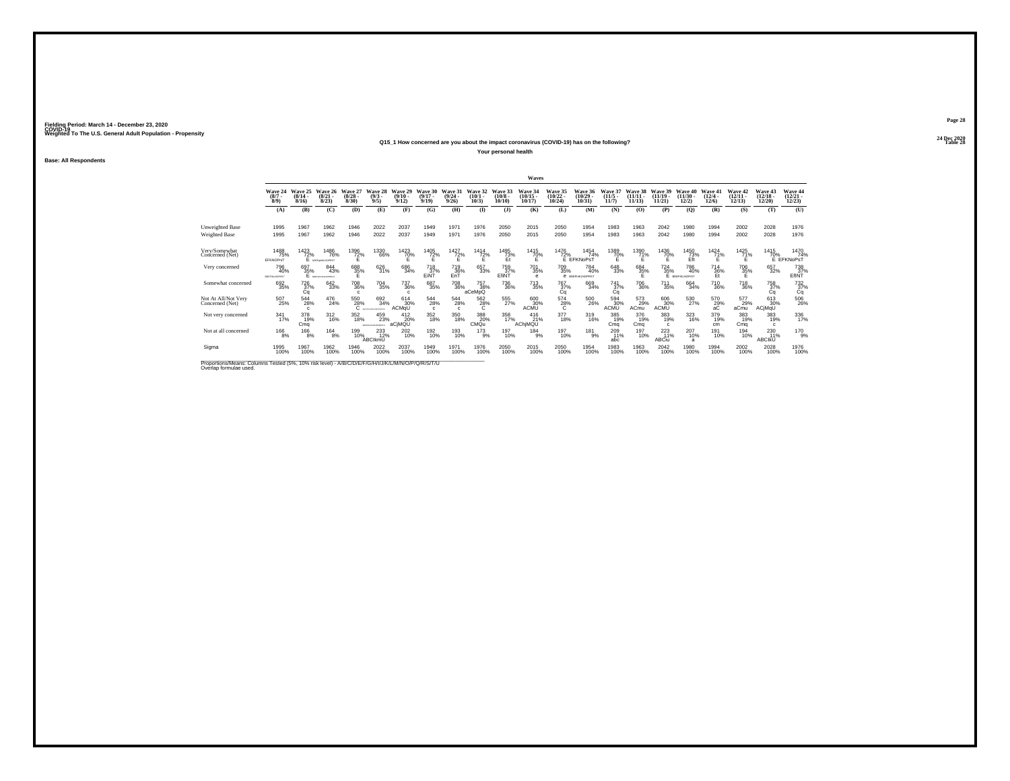#### **24 Dec 2020Q15\_1 How concerned are you about the impact coronavirus (COVID-19) has on the following?Table 28 Table 28**

**Your personal health**

**Base: All Respondents**

|                                                                                                                             |                               |                                  |                                    |                                 |                                  |                              |                                                              |                                      |                              |                            | Waves                          |                                    |                                      |                           |                                |                                |                                |                                       |                                |                                    |                                   |
|-----------------------------------------------------------------------------------------------------------------------------|-------------------------------|----------------------------------|------------------------------------|---------------------------------|----------------------------------|------------------------------|--------------------------------------------------------------|--------------------------------------|------------------------------|----------------------------|--------------------------------|------------------------------------|--------------------------------------|---------------------------|--------------------------------|--------------------------------|--------------------------------|---------------------------------------|--------------------------------|------------------------------------|-----------------------------------|
|                                                                                                                             | Wave 24<br>$\binom{8/7}{8/9}$ | Wave 25<br>$\frac{(8/14)}{8/16}$ | Wave 26<br>$\binom{8/21}{8/23}$    | Wave 27<br>$\binom{8/28}{8/30}$ | Wave 28<br>$\binom{9/3}{9/5}$    | Wave 29<br>$(9/10 -$<br>9/12 | Wave 30<br>$(9/17 -$<br>9/19                                 | Wave 31<br>(9/24.<br>9/26            | Wave 32<br>$(10/1 -$<br>10/3 | Wave 33<br>(10/8)<br>10/10 | Wave 34<br>$(10/15 -$<br>10/17 | Wave 35<br>$\frac{(10/22)}{10/24}$ | Wave 36<br>(10/29)<br>10/31          | Wave 37<br>(11/5.<br>11/7 | Wave 38<br>$(11/11 -$<br>11/13 | Wave 39<br>$(11/19 -$<br>11/21 | Wave 40<br>$(11/30 -$<br>12/2) | Wave 41<br>$\frac{(12/4 - 12)}{12/6}$ | Wave 42<br>$\binom{12}{12/13}$ | Wave 43<br>$\frac{(12/18)}{12/20}$ | Wave 44<br>$\binom{12/21}{12/23}$ |
|                                                                                                                             | (A)                           | (B)                              | (C)                                | (D)                             | (E)                              | (F)                          | (G)                                                          | (H)                                  | $($ I                        | $($ $)$                    | (K)                            | (L)                                | (M)                                  | (N)                       | (0)                            | (P)                            | (O)                            | (R)                                   | (S)                            | (T)                                | (U)                               |
| Unweighted Base                                                                                                             | 1995                          | 1967                             | 1962                               | 1946                            | 2022                             | 2037                         | 1949                                                         | 1971                                 | 1976                         | 2050                       | 2015                           | 2050                               | 1954                                 | 1983                      | 1963                           | 2042                           | 1980                           | 1994                                  | 2002                           | 2028                               | 1976                              |
| Weighted Base                                                                                                               | 1995                          | 1967                             | 1962                               | 1946                            | 2022                             | 2037                         | 1949                                                         | 1971                                 | 1976                         | 2050                       | 2015                           | 2050                               | 1954                                 | 1983                      | 1963                           | 2042                           | 1980                           | 1994                                  | 2002                           | 2028                               | 1976                              |
| Very/Somewhat<br>Concerned (Net)                                                                                            | 1488<br>75%<br>EFKNOPrsT      | 1423<br>72%                      | 1486<br>76%<br>LOSFonBUNOPRST      | 1396<br>72%                     | 1330<br>66%                      | 1423<br>70%                  | 1405<br>$^{72\%}$                                            | 1427<br>72%                          | 1414<br>$^{72\%}$            | 1495<br>73%<br>Et          | 1415<br>70%<br>Ε               | 1476                               | 1454<br>72% 74'<br>E EFKNoPsT<br>74% | 1389<br>70%               | 1390<br>71%                    | 1436<br>70%                    | 1450<br>$\frac{73}{2}$         | 1424<br>71%                           | 1425<br>71%<br>F               | 1415                               | 1470<br>70% 74%<br>E EFKNoPsT     |
| Very concerned                                                                                                              | 796<br>40%<br>BOGFINLNOPRST   | 697<br>35%                       | 844<br>43%<br><b>REPORTAGEMENT</b> | 688<br>35%                      | 626<br>31%                       | 686<br>34%                   | <sup>718</sup> <sub>37%</sub><br>EINT                        | <sup>719</sup> <sub>36%</sub><br>EnT | 657<br>33%                   | 759<br>37%<br>EfiNT        | <sup>701</sup> 35%<br>e        | $^{709}_{35\%}$                    | 784<br>40%<br><b>е</b> врегнизморяет | $^{648}_{33\%}$           | 684<br>35%                     | $^{724}_{35\%}$                | 786<br>40%<br>E BOEFIKLNOPIST  | $^{714}_{36\%}$<br>Ft                 | 706<br>35%                     | 657<br>32%                         | 738<br>37%<br>EfINT               |
| Somewhat concerned                                                                                                          | 692<br>35%                    | 726<br>37%<br>Cq                 | 642<br>33%                         | <sup>708</sup> 36%              | $^{704}_{35\%}$                  | 737<br>36%                   | 687<br>35%                                                   | 708<br>36%                           | 757<br>38%<br>aCeMpQ         | 736<br>36%                 | <sup>713</sup> <sub>35%</sub>  | 767%<br>Cq                         | 669<br>34%                           | 741<br>37%<br>Ca          | 706<br>36%                     | <sup>711</sup> <sub>35%</sub>  | 664<br>34%                     | <sup>710</sup> <sub>36%</sub>         | <sup>718</sup> 36%             | 758<br>37%<br>Cq                   | $\frac{732}{37\%}$                |
| Not At All/Not Very<br>Concerned (Net)                                                                                      | 507<br>25%                    | 544<br>28%                       | 476<br>24%                         | 550<br>28%                      | 692<br>34%<br>ARCOFONIALMONDAETU | 614<br>30%<br>ACMaŬ          | $^{544}_{\phantom{1}\phantom{1}\phantom{1}28\%}$<br>$\Omega$ | $\frac{544}{28\%}$<br>$\Omega$       | $^{562}_{-28\%}$             | 555<br>27%                 | 600<br>30%<br><b>ACMU</b>      | $^{574}_{28\%}$                    | 500<br>26%                           | 594<br>30%<br><b>ACMU</b> | 573<br>29%<br>ACmu             | 606<br>30%<br><b>ACMU</b>      | 530<br>27%                     | 570<br>29%                            | 577<br>29%<br>aCmu             | 613<br>30%<br>ACjMqU               | 506<br>26%                        |
| Not very concerned                                                                                                          | $\frac{341}{17\%}$            | 378<br>19%<br>Cma                | $^{312}_{16\%}$                    | 352<br>18%                      | 459<br>23%<br>ARCDONAM-OPDRETU   | 412<br>20%<br>aCiMQU         | 352<br>18%                                                   | 350<br>18%                           | 388<br>20%<br>CMQu           | 358<br>17%                 | 416<br>21%<br>AChiMQU          | 377<br>18%                         | 319<br>16%                           | 385<br>19%<br>Cma         | 376<br>19%<br>Cma              | 383<br>19%<br>c.               | 323<br>16%                     | 379<br>19%<br>cm                      | 383<br>19%<br>Cma              | 383<br>19%<br>$\mathfrak{c}$       | 336<br>17%                        |
| Not at all concerned                                                                                                        | $^{166}_{8\%}$                | $^{166}_{8\%}$                   | $^{164}_{8\%}$                     | 199<br>10%                      | 233<br>ABCIkmU                   | 202<br>10%                   | 192<br>10%                                                   | 193<br>10%                           | $^{173}_{9\%}$               | 197<br>10%                 | 184<br>9%                      | 197<br>10%                         | $^{181}_{-9\%}$                      | 209<br>11%<br>abc         | 197<br>10%                     | $^{223}_{11\%}$<br>ABCiu       | 207<br>10%<br>$\overline{a}$   | 191<br>10%                            | 194<br>10%                     | 230<br>11%<br><b>ABCIKU</b>        | 170 9%                            |
| Sigma                                                                                                                       | 1995<br>100%                  | 1967<br>100%                     | 1962<br>100%                       | 1946<br>100%                    | 2022<br>100%                     | 2037<br>100%                 | 1949<br>100%                                                 | 1971<br>100%                         | 1976<br>100%                 | 2050<br>100%               | 2015<br>100%                   | 2050<br>100%                       | 1954<br>100%                         | 1983<br>100%              | 1963<br>100%                   | 2042<br>100%                   | 1980<br>100%                   | 1994<br>100%                          | 2002<br>100%                   | 2028<br>100%                       | 1976<br>100%                      |
| Proportions/Means: Columns Tested (5%, 10% risk level) - A/B/C/D/E/F/G/H/I/J/K/L/M/N/O/P/Q/R/S/T/U<br>Overlap formulae used |                               |                                  |                                    |                                 |                                  |                              |                                                              |                                      |                              |                            |                                |                                    |                                      |                           |                                |                                |                                |                                       |                                |                                    |                                   |

**Page 28**24 Dec 2020<br>Table 28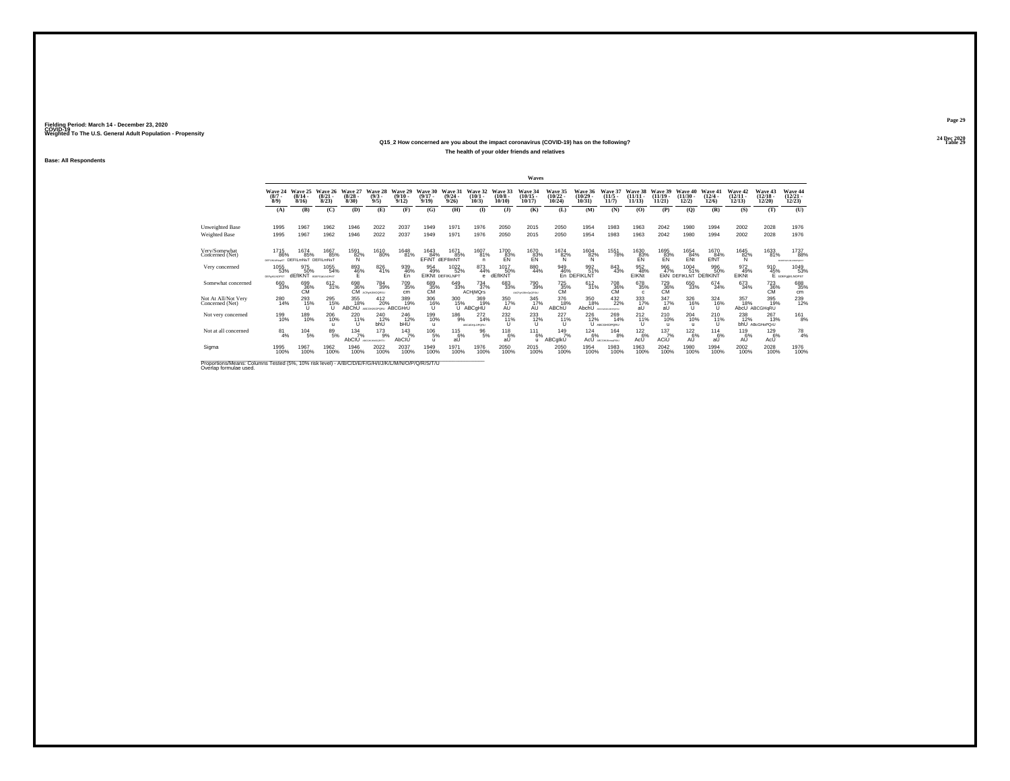#### **24 Dec 2020Q15\_2 How concerned are you about the impact coronavirus (COVID-19) has on the following?Table 29 Table 29 The health of your older friends and relatives**

**Base: All Respondents**

|                                                                                                    |                                                 |                                  |                                      |                                        |                                     |                                      |                                 |                                               |                                    |                            | Waves                              |                                   |                                            |                                        |                             |                                          |                                    |                                       |                                   |                                        |                                       |
|----------------------------------------------------------------------------------------------------|-------------------------------------------------|----------------------------------|--------------------------------------|----------------------------------------|-------------------------------------|--------------------------------------|---------------------------------|-----------------------------------------------|------------------------------------|----------------------------|------------------------------------|-----------------------------------|--------------------------------------------|----------------------------------------|-----------------------------|------------------------------------------|------------------------------------|---------------------------------------|-----------------------------------|----------------------------------------|---------------------------------------|
|                                                                                                    | Wave 24<br>$\binom{8/7}{8/9}$                   | Wave 25<br>$\frac{(8/14)}{8/16}$ | Wave 26<br>$\binom{8/21}{8/23}$      | Wave 27<br>$\binom{8/28}{8/30}$        | Wave 28<br>$\binom{9/3}{9/5}$       | Wave 29<br>$\frac{(9/10)}{9/12}$     | Wave 30<br>$(9/17 -$<br>9/19    | Wave 31<br>$\frac{(9/24)}{9/26}$              | Wave 32<br>$\binom{10/1}{10/3}$    | Wave 33<br>(10/8)<br>10/10 | Wave 34<br>$\frac{(10/15)}{10/17}$ | Wave 35<br>$\binom{10/22}{10/24}$ | Wave 36<br>$\frac{(10/29 - 10/31)}{10/31}$ | Wave 37<br>$\binom{11/5}{11/7}$        | Wave 38<br>(11/11)<br>11/13 | Wave 39<br>(11/19)<br>11/21              | Wove 40<br>$(11/30 -$<br>12/2)     | Wave 41<br>$\frac{(12/4 - 12)}{12/6}$ | Wave 42<br>$\binom{12/11}{12/13}$ | Wave 43<br>$\binom{12/18 - 12}{12/20}$ | Wave 44<br>$\binom{12/21}{12/23}$     |
|                                                                                                    | (A)                                             | (B)                              | (C)                                  | (D)                                    | (E)                                 | (F)                                  | (G)                             | (H)                                           | $($ I                              | $($ $\bf{J}$ )             | (K)                                | (L)                               | (M)                                        | (N)                                    | (O)                         | (P)                                      | (Q)                                | (R)                                   | (S)                               | (T)                                    | (U)                                   |
| Unweighted Base                                                                                    | 1995                                            | 1967                             | 1962                                 | 1946                                   | 2022                                | 2037                                 | 1949                            | 1971                                          | 1976                               | 2050                       | 2015                               | 2050                              | 1954                                       | 1983                                   | 1963                        | 2042                                     | 1980                               | 1994                                  | 2002                              | 2028                                   | 1976                                  |
| Weighted Base                                                                                      | 1995                                            | 1967                             | 1962                                 | 1946                                   | 2022                                | 2037                                 | 1949                            | 1971                                          | 1976                               | 2050                       | 2015                               | 2050                              | 1954                                       | 1983                                   | 1963                        | 2042                                     | 1980                               | 1994                                  | 2002                              | 2028                                   | 1976                                  |
| Very/Somewhat<br>Concerned (Net)                                                                   | 1715<br>86%<br>DEFUILMNIGST DEFILMNST DEFILMNST | 1674<br>85%                      | 1667<br>85%                          | 1591<br>82%<br>N                       | 1610<br>80%                         | 1648<br>81%                          | 1643<br>84%<br>FFINT            | 1671<br>85%<br>dEFIlmNT                       | 1607<br>81%<br>n                   | 1700<br>83%                | 1670<br>83%<br>EN                  | 1674<br>$^{82\%}$                 | 1604<br>$^{82\%}_{N}$                      | 1551<br>78%                            | 1630<br>$E_N^{\text{B3%}}$  | 1695<br>$R^{\overline{3}\%}_{\text{FN}}$ | 1654<br>$E_N^{\overline{84\%}}$    | 1670<br>84%<br>EfÑT                   | 1645<br>82%<br>N                  | 1633<br>81%                            | 1737<br>88%<br>BCDEFOHALMACFORET      |
| Very concerned                                                                                     | 1055<br>53%<br>DEFORMADPST                      | 975<br>50%<br>dFflKNT            | 1055<br>54%<br><b>BDEFGIKLNOPIST</b> | 893<br>46%<br>F                        | 826<br>41%                          | 939<br>46%<br>En                     | 954<br>49%                      | <sup>1022</sup> 52%<br><b>EIKNt DEFIKLNPT</b> | 873<br>44%<br>$\theta$             | 1017<br>50%<br>dEfIKNT     | 880<br>44%                         | 949<br>46%                        | 992<br>51%<br>En DEFIKLNT                  | 843<br>43%                             | 952<br>48%<br>EIKNt         | 966<br>47%                               | 1004<br>51%<br><b>EKN DEFIKLNT</b> | 996<br>50%<br><b>DEfIKINT</b>         | 972<br>49%<br>EIKNt               | 910<br>45%                             | 1049<br>53%<br>E <b>LOEFGEKLNOPST</b> |
| Somewhat concerned                                                                                 | 660<br>33%                                      | 699<br>36%<br>CM                 | 612/31%                              | 698<br>36%                             | <sup>784</sup> 39%<br>CM ACPUMODRSU | <sup>709</sup> <sub>35%</sub><br>cm  | 689<br>35%<br>CM                | 649<br>33%                                    | $^{734}_{37\%}$<br><b>ACHiMQrs</b> | 683<br>33%                 | 790<br>39%<br>AtCFgHJMnOpORStU     | $^{725}_{35\%}$ CM                | $^{612}_{31\%}$                            | 708<br>36%<br>CM                       | 678<br>35%<br>$\mathbf{c}$  | 729<br>36%<br>CM                         | 650<br>33%                         | 674 34%                               | 673<br>34%                        | 723<br>36%<br>CM                       | 688<br>35%<br>cm                      |
| Not At All/Not Very<br>Concerned (Net)                                                             | 280<br>14%                                      | 293<br>15%                       | 295<br>15%<br>u                      | 355<br>18%                             | $^{412}_{20\%}$<br>ABChU ABCGHIU    | 389<br>19%                           | 306<br>16%<br>U                 | 300<br>15%<br>u                               | 369<br>19%<br>ABCgHU               | 350<br>17%<br>AÙ           | 345<br>17%<br>ΑÛ                   | 376<br>18%<br>ABChU               | 350<br>18%<br>AbchU                        | $\frac{432}{22\%}$<br>ARCDOHUKLMOPORTS | 333<br>17%<br>aU            | 347<br>17%<br>aU                         | 326<br>16%<br>u                    | 324<br>16%<br>u                       | 357<br>18%                        | 395<br>19%<br>AbcU ABCGHqRU            | 239<br>12%                            |
| Not very concerned                                                                                 | 199<br>10%                                      | 189<br>10%                       | 206<br>10%<br>$\mathbf{u}$           | 220<br>11%<br>$\cup$                   | 240<br>12%<br>bhU                   | <sup>246</sup> <sub>12%</sub><br>bHU | 199<br>10%<br>$\mathbf{u}$      | $^{186}_{9%}$                                 | 272<br>14%<br>ABC:GRILOPORL        | $^{232}_{11\%}$<br>$\cup$  | <sup>233</sup> <sub>12%</sub>      | $^{227}_{11\%}$<br>$\cup$         | 226<br>12%                                 | 269<br>14%<br>U ABCGHIOPORU            | $^{212}_{11\%}$<br>U        | 210%                                     | $^{204}_{10\%}$<br>$\mathbf{u}$    | 210 <sub>%</sub><br>u                 | 238<br>12%                        | 267<br>13%<br>bhU ABcGHoPQrU           | $^{161}_{8\%}$                        |
| Not at all concerned                                                                               | $^{81}_{4\%}$                                   | $^{104}_{-5\%}$                  | $8^{9}_{5\%}$                        | $^{134}_{7\%}$<br>AbCIU ARCOHURANOSETU | $^{173}_{9\%}$                      | $^{143}_{7\%}$<br>AbCIÙ              | $^{106}_{-5\%}$<br>$\mathbf{u}$ | $^{115}_{6\%}$<br>aŪ                          | $\frac{96}{5%}$                    | $^{118}_{6\%}$<br>aŰ       | 111<br>6%<br>$\mathbf{u}$          | $^{149}_{7\%}$<br>ABCglkU         | $^{124}_{6\%}$<br>AcU                      | $^{164}_{8\%}$<br>ABCGH JAnsoRSIU      | $^{122}_{6\%}$<br>AcU       | 137<br>ACiÙ                              | $^{122}_{6\%}$<br>AŰ               | $^{114}_{6%}$<br>aŰ                   | $^{119}_{6\%}$<br>AÙ              | 1296%<br>AcU                           | $^{78}_{4\%}$                         |
| Sigma                                                                                              | 1995<br>100%                                    | 1967<br>100%                     | 1962<br>100%                         | 1946<br>100%                           | 2022<br>100%                        | 2037<br>100%                         | 1949<br>100%                    | 1971<br>100%                                  | 1976<br>100%                       | 2050<br>100%               | 2015<br>100%                       | 2050<br>100%                      | 1954<br>100%                               | 1983<br>100%                           | 1963<br>100%                | $^{2042}_{100\%}$                        | 1980<br>100%                       | 1994<br>100%                          | 2002<br>100%                      | 2028<br>100%                           | 1976<br>100%                          |
| Proportions/Means: Columns Tested (5%, 10% risk level) - A/B/C/D/E/F/G/H/I/J/K/L/M/N/O/P/Q/R/S/T/U |                                                 |                                  |                                      |                                        |                                     |                                      |                                 |                                               |                                    |                            |                                    |                                   |                                            |                                        |                             |                                          |                                    |                                       |                                   |                                        |                                       |

Proportions/Means: Columns Tested (5%, 10% risk level) - A/B/C/D/E/F/G/H/I/J/K/L/M/N/O/P/Q/R/S/T/U<br>Overlap formulae used.

**Page 29**24 Dec 2020<br>Table 29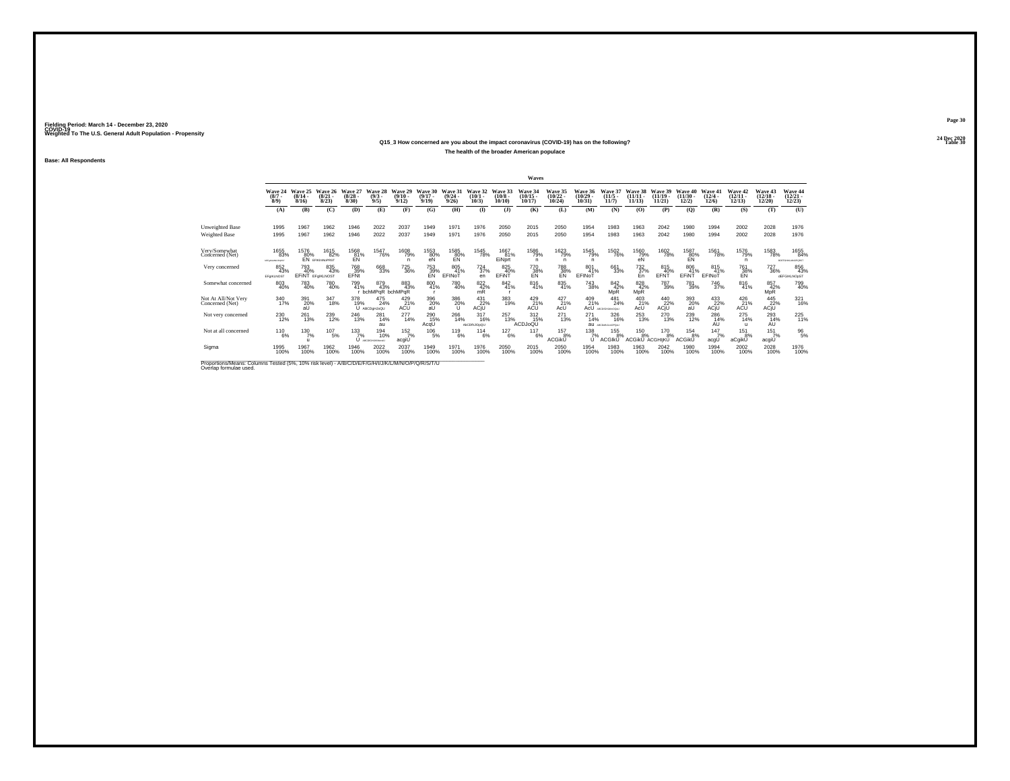#### **24 Dec 2020Q15\_3 How concerned are you about the impact coronavirus (COVID-19) has on the following?Table 30 Table 30**

**The health of the broader American populace**

**Base: All Respondents**

|                                                                                                                             |                                    |                           |                                       |                                 |                               |                                              |                                     |                                  |                                                                           |                            | Waves                              |                                    |                             |                                  |                                |                                                                                                                  |                                |                                  |                                              |                                   |                                   |
|-----------------------------------------------------------------------------------------------------------------------------|------------------------------------|---------------------------|---------------------------------------|---------------------------------|-------------------------------|----------------------------------------------|-------------------------------------|----------------------------------|---------------------------------------------------------------------------|----------------------------|------------------------------------|------------------------------------|-----------------------------|----------------------------------|--------------------------------|------------------------------------------------------------------------------------------------------------------|--------------------------------|----------------------------------|----------------------------------------------|-----------------------------------|-----------------------------------|
|                                                                                                                             | Wave 24<br>$\binom{8/7}{8/9}$      | Wave 25<br>(8/14.<br>8/16 | Wave 26<br>$\binom{8/21}{8/23}$       | Wave 27<br>$\binom{8/28}{8/30}$ | Wave 28<br>$\binom{9/3}{9/5}$ | Wave 29<br>$(9/10 -$<br>9/12                 | Wave 30<br>$(9/17 -$<br>9/19        | Wave 31<br>$\frac{(9/24)}{9/26}$ | Wave 32<br>$(10/1 -$<br>10/3                                              | Wave 33<br>(10/8)<br>10/10 | Wave 34<br>$\frac{(10/15)}{10/17}$ | Wave 35<br>$\frac{(10/22)}{10/24}$ | Wave 36<br>(10/29)<br>10/31 | Wave 37<br>$(11/5 -$<br>11/7     | Wave 38<br>$(11/11 -$<br>11/13 | Wave 39<br>$(11/19 -$<br>11/21                                                                                   | Wave 40<br>$(11/30 -$<br>12/2) | Wave 41<br>$\frac{(12/4)}{12/6}$ | Wave 42<br>$\binom{12/11}{12/13}$            | Wave 43<br>$\binom{12/18}{12/20}$ | Wave 44<br>$\binom{12/21}{12/23}$ |
|                                                                                                                             | (A)                                | (B)                       | (C)                                   | (D)                             | (E)                           | (F)                                          | (G)                                 | (H)                              | $($ I                                                                     | $($ $\bf{J}$ )             | (K)                                | (L)                                | (M)                         | (N)                              | (0)                            | (P)                                                                                                              | (Q)                            | (R)                              | (S)                                          | (T)                               | (U)                               |
| Unweighted Base<br>Weighted Base                                                                                            | 1995<br>1995                       | 1967<br>1967              | 1962<br>1962                          | 1946<br>1946                    | 2022<br>2022                  | 2037<br>2037                                 | 1949<br>1949                        | 1971<br>1971                     | 1976<br>1976                                                              | 2050<br>2050               | 2015<br>2015                       | 2050<br>2050                       | 1954<br>1954                | 1983<br>1983                     | 1963<br>1963                   | 2042<br>2042                                                                                                     | 1980<br>1980                   | 1994<br>1994                     | 2002<br>2002                                 | 2028<br>2028                      | 1976<br>1976                      |
| Very/Somewhat<br>Concerned (Net)                                                                                            | 1655<br>83%<br><b>MFANLMNOPART</b> | 1576<br>80%               | 1615<br>82%<br><b>EN</b> EFIKIMNOPRST | 1568<br>81%<br>EN               | 1547<br>76%                   | 1608<br>79%                                  | 1553<br>80%<br>eN                   | 1585<br>80%<br>EN                | 1545<br>78%                                                               | 1667<br>81%<br>EiNprt      | 1586<br>79%<br>n                   | 1623<br>79%<br>n                   | 1545<br>79%<br>n            | 1502<br>76%                      | 1560<br>79%<br>eN              | 1602<br>78%                                                                                                      | 1587<br>80%                    | 1561<br>78%                      | 1576<br>79%<br>n                             | 1583<br>78%                       | 1655<br>84%<br>ROEFGHALMNOPORST   |
| Very concerned                                                                                                              | 852<br>43%<br>EFGIKLNOST           | 793<br>40%                | 835<br>43%<br><b>EFINT EFGIKLNOST</b> | 768<br>39%<br>EFNt              | 668<br>33%                    | <sup>725</sup> 36%                           | <sup>753</sup> <sub>39%</sub><br>EN | 805<br>41%<br>EFINOT             | $^{724}_{37\%}$<br>en                                                     | 825<br>40%<br>EFINT        | 770<br>38%<br>EN                   | <sup>788</sup> 38%<br>EN           | 801<br>41%<br>EFINOT        | 661<br>33%                       | $^{732}_{37\%}$<br>En          | 815<br>40%<br>EFNT                                                                                               | 806<br>41%<br>EFINT            | 815<br>41%<br>EFINOT             | <sup>761</sup> 38%<br>EN                     | <sup>727</sup> 36%                | 856<br>43%<br>dEFGIKLNOpST        |
| Somewhat concerned                                                                                                          | 803<br>40%                         | 783<br>40%                | 780<br>40%                            | 799<br>41%                      | 879<br>43%<br>bchMPqR bchMPqR | 883<br>43%                                   | 800<br>41%                          | 780<br>40%                       | $\underset{\text{mR}}{^{822}}$                                            | 842<br>41%                 | 816<br>41%                         | 835<br>41%                         | <sup>743</sup> 38%          | $\frac{842}{42}\%$<br><b>MpR</b> | 828<br>42%<br>MpR              | <sup>787</sup> 39%                                                                                               | <sup>781</sup> 39%             | <sup>746</sup> 37%               | 816<br>41%                                   | 857<br>42%<br>MpR                 | 799<br>40%                        |
| Not At All/Not Very<br>Concerned (Net)                                                                                      | 340<br>17%                         | 391<br>20%<br>aŪ          | 347<br>18%                            | 378<br>19%                      | 475<br>24%<br>U ABCDgHJoQU    | $^{429}_{\phantom{2}21\%}_{\Lambda{\rm CU}}$ | 396<br>20%<br>aŪ                    | $\frac{386}{20\%}$               | $\overset{431}{\underset{\mathsf{ACjU}}{\sum\mathcal{V}}}\hspace{-0.5cm}$ | 383<br>19%                 | $^{429}_{\Lambda \text{CU}}$ ACU   | $^{427}_{21\%}$<br>AcU             | $^{409}_{21\%}$<br>AcU      | $^{481}_{24\%}$<br>ABCD/GHAMODAU | $^{403}_{21\%}$<br>AcU         | $\overset{440}{_{\check{22}\raisebox{0.9ex}{\tiny\{2\}}}}\overset{+}{\underset{\check{4C_1U}}{\longrightarrow}}$ | 393<br>20%<br>aÙ               | 433<br>22%<br>ACjU               | $^{426}_{\phantom{2}21\%}_{\Lambda{\rm C}U}$ | 445<br>22%<br>ACJU                | 321<br>16%                        |
| Not very concerned                                                                                                          | 230<br>12%                         | $^{261}_{13\%}$           | 239<br>12%                            | 246<br>13%                      | $^{281}_{14\%}$<br>au         | $^{277}_{14\%}$                              | 290<br>15%<br>AcqU                  | 266<br>14%                       | $317_{16\%}$<br>AbCDfhJIOpQU                                              | 257<br>13%                 | $^{312}_{15\%}$<br>ACDJoQU         | $^{271}_{13\%}$                    | $^{271}_{14\%}$<br>au       | 326<br>16%<br>ABCDeff/LinOPOst   | $^{253}_{13\%}$                | 270<br>13%                                                                                                       | 239<br>12%                     | 286<br>14%<br>AU                 | 275<br>14%                                   | $^{293}_{14\%}$<br>AU             | 225<br>11%                        |
| Not at all concerned                                                                                                        | $^{110}_{6\%}$                     | 130/7%<br>$\mathbf{u}$    | $^{107}_{-5\%}$                       | $^{133}_{7\%}$                  | 194<br>10%<br>U ARCOGHAMMON   | $\frac{152}{7\%}$<br>acgiU                   | $^{106}_{-5\%}$                     | 119<br>6%                        | 114<br>6%                                                                 | $^{127}_{6\%}$             | 117<br>6%                          | $^{157}_{-8\%}$<br><b>ACGIKU</b>   | $^{138}_{7\%}$<br>U         | $^{155}_{8\%}$<br><b>ACGIKU</b>  | $^{150}_{8\%}$<br>ACGIKU       | 170 8%<br>ACGHIKU                                                                                                | $^{154}_{8\%}$<br>ACGikŬ       | $\frac{147}{7\%}$<br>acgU        | $^{151}_{8\%}$<br>aCgikŬ                     | $^{151}_{7\%}$<br>acgiU           | $^{96}_{5\%}$                     |
| Sigma                                                                                                                       | 1995<br>100%                       | 1967<br>100%              | 1962<br>100%                          | 1946<br>100%                    | 2022<br>100%                  | 2037<br>100%                                 | 1949<br>100%                        | 1971<br>100%                     | 1976<br>100%                                                              | 2050<br>100%               | 2015<br>100%                       | 2050<br>100%                       | 1954<br>100%                | 1983<br>100%                     | 1963<br>100%                   | 2042<br>100%                                                                                                     | 1980<br>100%                   | 1994<br>100%                     | 2002<br>100%                                 | 2028<br>100%                      | 1976<br>100%                      |
| Proportions/Means: Columns Tested (5%, 10% risk level) - A/B/C/D/E/F/G/H/I/J/K/L/M/N/O/P/Q/R/S/T/U<br>Overlap formulae used |                                    |                           |                                       |                                 |                               |                                              |                                     |                                  |                                                                           |                            |                                    |                                    |                             |                                  |                                |                                                                                                                  |                                |                                  |                                              |                                   |                                   |

**Page 30**24 Dec 2020<br>Table 30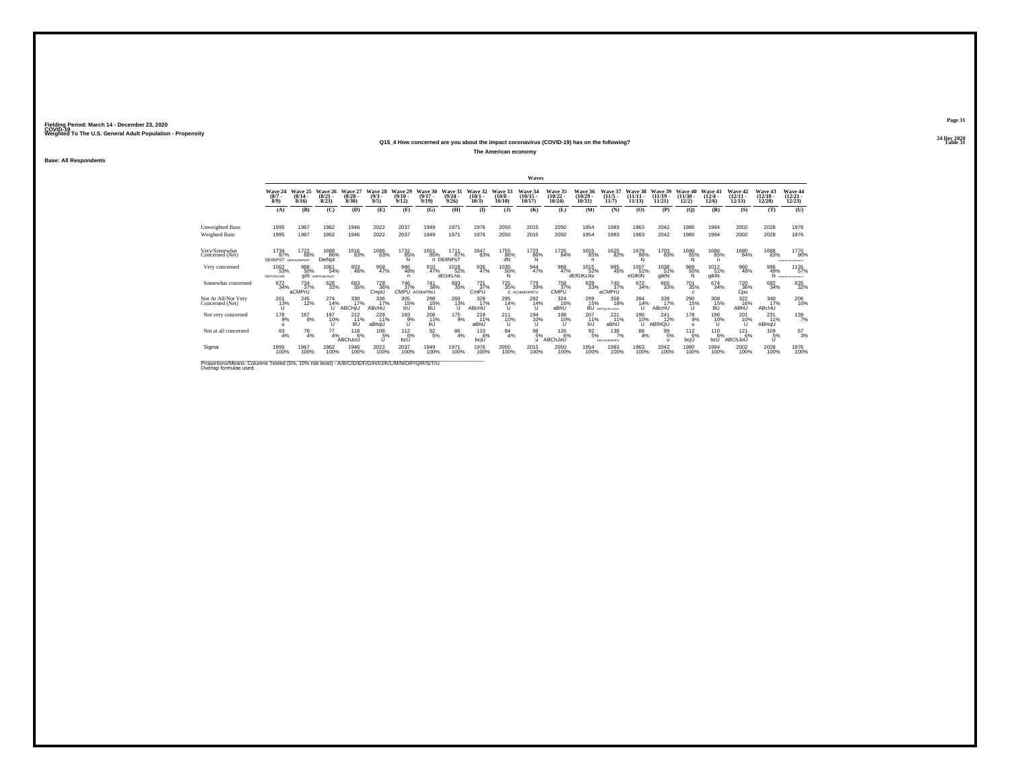#### **24 Dec 2020Q15\_4 How concerned are you about the impact coronavirus (COVID-19) has on the following?Table 31 Table 31**

**The American economy**

**Base: All Respondents**

|                                                                                                                             |                                             |                              |                                        |                                  |                                       |                                     |                              |                                 |                                       |                            | Waves                          |                             |                                 |                                |                                |                                |                                      |                             |                                      |                                |                                  |
|-----------------------------------------------------------------------------------------------------------------------------|---------------------------------------------|------------------------------|----------------------------------------|----------------------------------|---------------------------------------|-------------------------------------|------------------------------|---------------------------------|---------------------------------------|----------------------------|--------------------------------|-----------------------------|---------------------------------|--------------------------------|--------------------------------|--------------------------------|--------------------------------------|-----------------------------|--------------------------------------|--------------------------------|----------------------------------|
|                                                                                                                             | Wave 24<br>$(8/7 -$<br>$8/9$ )              | Wave 25<br>$(8/14 -$<br>8/16 | Wave 26<br>(8/21)<br>8/23              | Wave 27<br>(8/28)<br>8/30        | Wave 28<br>$\binom{9/3}{9/5}$         | Wave 29<br>$(9/10 -$<br>9/12        | Wave 30<br>$(9/17 -$<br>9/19 | Wave 31<br>(9/24)<br>9/26       | Wave 32<br>$(10/1 -$<br>10/3)         | Wave 33<br>(10/8)<br>10/10 | Wave 34<br>$(10/15 -$<br>10/17 | Wave 35<br>(10/22)<br>10/24 | Wave 36<br>(10/29)<br>10/31     | Wave 37<br>(11/5)<br>11/7      | Wave 38<br>$(11/11 -$<br>11/13 | Wave 39<br>$(11/19 -$<br>11/21 | Wave 40<br>$(11/30 -$<br>12/2)       | Wave 41<br>(12/4.<br>12/6   | Wave 42<br>$(12/11 -$<br>12/13       | Wave 43<br>$(12/18 -$<br>12/20 | Wave 44<br>$(12/21 -$<br>12/23   |
|                                                                                                                             | (A)                                         | (B)                          | (C)                                    | (D)                              | (E)                                   | (F)                                 | (G)                          | (H)                             | $\mathbf{I}$                          | $($ $\Gamma$               | (K)                            | (L)                         | (M)                             | (N)                            | (0)                            | (P)                            | (0)                                  | (R)                         | (S)                                  | (T)                            | (U)                              |
| Unweighted Base<br>Weighted Base                                                                                            | 1995<br>1995                                | 1967<br>1967                 | 1962<br>1962                           | 1946<br>1946                     | 2022<br>2022                          | 2037<br>2037                        | 1949<br>1949                 | 1971<br>1971                    | 1976<br>1976                          | 2050<br>2050               | 2015<br>2015                   | 2050<br>2050                | 1954<br>1954                    | 1983<br>1983                   | 1963<br>1963                   | 2042<br>2042                   | 1980<br>1980                         | 1994<br>1994                | 2002<br>2002                         | 2028<br>2028                   | 1976<br>1976                     |
| Very/Somewhat<br>Concerned (Net)                                                                                            | 1734<br>87%<br><b>DEIINPST</b> DEIGILMNPRST | 1722<br>88%                  | 1688<br>86%<br>DeiNpt                  | 1616<br>83%                      | 1686<br>83%                           | 1732<br>85%                         | 1651<br>85%                  | 1711<br>87%<br>n DEIINPST       | 1647<br>83%                           | 1755<br>86%<br>dN          | 1723<br>86%<br>Ñ               | 1726<br>84%                 | 1655<br>85%<br>n.               | 1625<br>82%                    | 1679<br>86%<br>Ñ               | 1703<br>83%                    | 1690<br>85%                          | 1686<br>85%<br>$\mathsf{n}$ | 1680<br>84%                          | 1688<br>83%                    | 1770<br>90%<br>ACOEPOARLMACPORET |
| Very concerned                                                                                                              | 1062<br>53%<br><b>DEFGIKLNS:</b>            | 988<br>50%                   | 1061<br>54%<br><b>GİN EDEFGIKLNGST</b> | 933<br>48%                       | 958<br>47%                            | 986<br>48%<br>n                     | 910<br>47%                   | <sup>1018</sup> 52%<br>dEGIKLNs | 926<br>47%                            | 1030<br>50%<br>N           | 944<br>47%                     | 968<br>47%                  | 1015<br>52%<br><b>dEfGIKLNs</b> | 885<br>45%                     | 1007<br>51%<br>eGIKIN          | 1038<br>51%<br>giklN           | 989<br>50%<br>N                      | $1012$<br>$51%$<br>giklN    | 960<br>48%                           | 996<br>49%                     | 1135<br>57%<br>N ARREVANDADESET  |
| Somewhat concerned                                                                                                          | $672 \atop 34\%$                            | 734<br>37%<br>aCMPrU         | 628<br>32%                             | 683<br>35%                       | <sup>728</sup> <sub>36%</sub><br>CmpU | <sup>746</sup> 37%<br>CMPU ACMoPRIU | 741<br>38%                   | 693<br>35%                      | <sup>721</sup> <sub>37%</sub><br>CmPU | $^{725}_{35\%}$            | 779<br>39%<br>C ACdhMOPRTU     | 758<br>37%<br>CMPÜ          | 639<br>33%                      | 740<br>37%<br>aCMPrU           | $\substack{672 \\ 34\%}$       | 665<br>33%                     | <sup>701</sup> 35%<br>$\mathfrak{c}$ | 674<br>34%                  | <sup>720</sup> <sub>36%</sub><br>Cpu | 692<br>34%                     | 635<br>32%                       |
| Not At All/Not Very<br>Concerned (Net)                                                                                      | 261<br>13%<br>u                             | 245<br>12%                   | 274<br>14%<br>u                        | 330<br>17%<br><b>ABCHIU</b>      | 336<br>17%<br>ABcHU                   | 305<br>15%<br>ЫI.                   | 298<br>15%                   | 260<br>13%                      | 329<br>17%<br>ABcHÜ                   | 295<br>14%<br>u            | 292<br>14%                     | 324<br>16%<br>aBhU          | 299<br>15%<br>BU AN             | 358<br>18%<br>ABCFol Like DOAL | 284<br>14%<br>$\cup$           | 339<br>17%<br>ABcHU            | 290<br>15%<br>u                      | 308<br>15%                  | 322<br>16%<br>ABhU                   | 340<br>17%<br>ABcHU            | 206<br>10%                       |
| Not very concerned                                                                                                          | $^{178}_{9%}$                               | <sup>167</sup> 8%            | 197<br>10%<br>u                        | $^{212}_{11\%}$<br><b>BU</b>     | 228<br>11%<br>aBhqU                   | $^{193}_{9\%}$                      | 206<br>11%<br>bU             | $^{175}_{9\%}$                  | 219<br>11%<br>aBhU                    | 211<br>10%<br>u            | 194<br>10%                     | 198<br>10%<br>u             | 2071%<br>bU                     | $^{221}_{11\%}$<br>aBhU        | 196<br>10%<br>Ü                | 241<br>12%<br>ABfHQU           | 178<br>9%<br>$\mathbf{u}$            | 198<br>10%<br>u             | 201<br>10%                           | $^{231}_{11\%}$<br>ABHqU       | $^{139}_{7\%}$                   |
| Not at all concerned                                                                                                        | $^{83}_{4\%}$                               | $^{78}_{4\%}$                | $^{77}_{4\%}$                          | $^{118}_{6\%}$<br><b>ABChJoU</b> | 108<br>5%<br>u                        | $^{112}_{6\%}$<br>bcU               | $\frac{92}{5\%}$             | $^{86}_{4\%}$                   | 110<br>6%<br>bcjŪ                     | $^{84}_{4\%}$              | $^{98}_{5\%}$<br>u             | $^{126}_{6\%}$<br>ABChJoU   | $\frac{92}{5\%}$                | $^{138}_{7\%}$<br>ABCGHJKMOPU  | $^{88}_{4\%}$                  | $^{99}_{5\%}$                  | $^{112}_{-6\%}$<br>bcjU              | $^{110}_{6\%}$<br>bcU       | 121<br>6%<br>ABChJoU                 | 109 5%                         | $^{67}_{3\%}$                    |
| Sigma                                                                                                                       | 1995<br>100%                                | 1967<br>100%                 | 1962<br>100%                           | 1946<br>100%                     | 2022<br>100%                          | 2037<br>100%                        | 1949<br>100%                 | 1971<br>100%                    | 1976<br>100%                          | 2050<br>100%               | 2015<br>100%                   | 2050<br>100%                | 1954<br>100%                    | 1983<br>100%                   | 1963<br>100%                   | 2042<br>100%                   | 1980<br>100%                         | 1994<br>100%                | 2002<br>100%                         | 2028<br>100%                   | 1976<br>100%                     |
| Proportions/Means: Columns Tested (5%, 10% risk level) - A/B/C/D/E/F/G/H/I/J/K/L/M/N/O/P/Q/R/S/T/U<br>Overlap formulae used |                                             |                              |                                        |                                  |                                       |                                     |                              |                                 |                                       |                            |                                |                             |                                 |                                |                                |                                |                                      |                             |                                      |                                |                                  |

**Page 31**24 Dec 2020<br>Table 31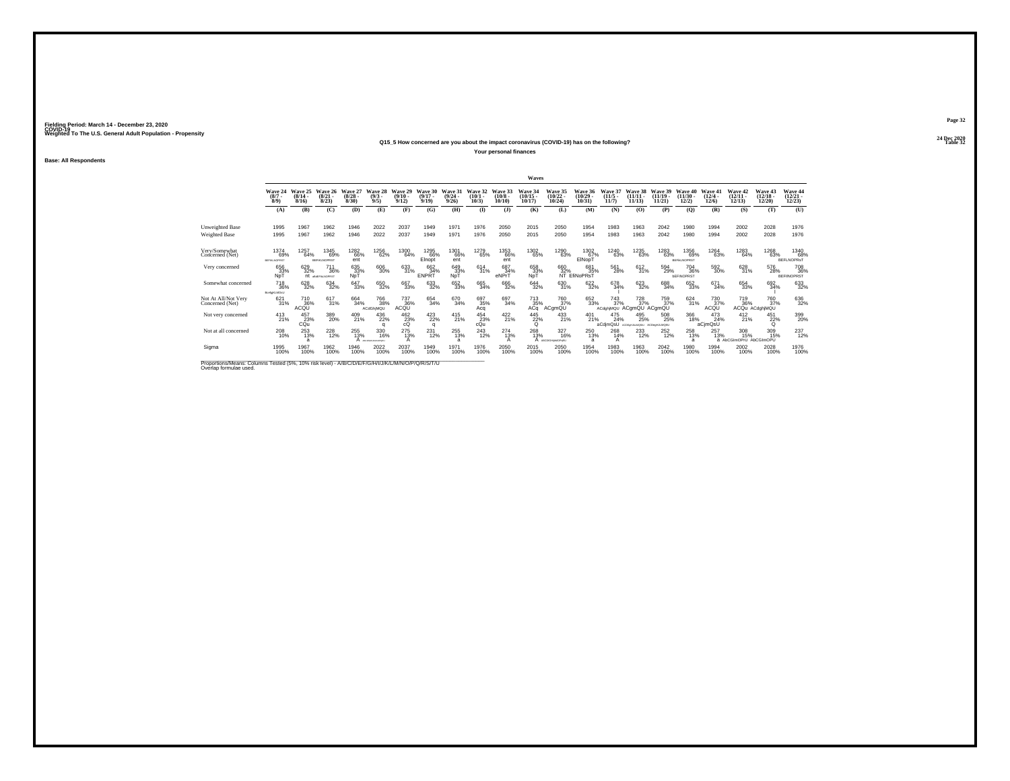#### **24 Dec 2020Q15\_5 How concerned are you about the impact coronavirus (COVID-19) has on the following?Table 32 Table 32**

**Your personal finances**

**Base: All Respondents**

|                                                                                                                             |                                                |                                  |                                    |                                  |                                     |                              |                              |                           |                                 |                            | Waves                             |                                   |                              |                                                |                             |                                |                                                       |                                       |                                      |                                         |                                   |
|-----------------------------------------------------------------------------------------------------------------------------|------------------------------------------------|----------------------------------|------------------------------------|----------------------------------|-------------------------------------|------------------------------|------------------------------|---------------------------|---------------------------------|----------------------------|-----------------------------------|-----------------------------------|------------------------------|------------------------------------------------|-----------------------------|--------------------------------|-------------------------------------------------------|---------------------------------------|--------------------------------------|-----------------------------------------|-----------------------------------|
|                                                                                                                             | Wave 24<br>$\binom{8/7}{8/9}$                  | Wave 25<br>$\frac{(8/14)}{8/16}$ | Wave 26<br>$\binom{8/21}{8/23}$    | Wave 27<br>$\frac{(8/28)}{8/30}$ | Wave 28<br>$\frac{(9/3)}{9/5}$      | Wave 29<br>$(9/10 -$<br>9/12 | Wave 30<br>$(9/17 -$<br>9/19 | Wave 31<br>(9/24)<br>9/26 | Wave 32<br>$\binom{10/1}{10/3}$ | Wave 33<br>(10/8)<br>10/10 | Wave 34<br>$\binom{10/15}{10/17}$ | Wave 35<br>$\binom{10/22}{10/24}$ | Wave 36<br>(10/29)<br>10/31  | Wave 37<br>$\frac{(11/5)}{11/7}$               | Wave 38<br>(11/11)<br>11/13 | Wave 39<br>$(11/19 -$<br>11/21 | Wave 40<br>$(11/30 -$<br>12/2)                        | Wave 41<br>$\frac{(12/4 - 12)}{12/6}$ | Wave 42<br>$\binom{12/11}{12/13}$    | Wave 43<br>$\binom{12/18}{12/20}$       | Wave 44<br>$\binom{12/21}{12/23}$ |
|                                                                                                                             | (A)                                            | (B)                              | (C)                                | (D)                              | (E)                                 | (F)                          | (G)                          | (H)                       | $($ I                           | $($ $)$                    | (K)                               | (L)                               | (M)                          | (N)                                            | (0)                         | (P)                            | (Q)                                                   | (R)                                   | (S)                                  | (T)                                     | (U)                               |
| Unweighted Base<br>Weighted Base                                                                                            | 1995<br>1995                                   | 1967<br>1967                     | 1962<br>1962                       | 1946<br>1946                     | 2022<br>2022                        | 2037<br>2037                 | 1949<br>1949                 | 1971<br>1971              | 1976<br>1976                    | 2050<br>2050               | 2015<br>2015                      | 2050<br>2050                      | 1954<br>1954                 | 1983<br>1983                                   | 1963<br>1963                | 2042<br>2042                   | 1980<br>1980                                          | 1994<br>1994                          | 2002<br>2002                         | 2028<br>2028                            | 1976<br>1976                      |
| Very/Somewhat<br>Concerned (Net)                                                                                            | 1374<br>69%<br><b>BEFIKLNOPRST</b>             | 1257<br>64%                      | 1345<br>69%<br><b>BEFIKLNOPRST</b> | 1282<br>66%<br>ent               | 1256<br>62%                         | 1300<br>64%                  | 1295<br>66%<br>Elnopt        | 1301<br>66%<br>ent        | 1279<br>65%                     | 1353<br>66%<br>ent         | 1302<br>65%                       | 1290<br>63%                       | 1302<br>67%<br>EINopT        | 1240<br>63%                                    | 1235<br>63%                 | 1283<br>63%                    | 1356<br>69%<br><b>BEFILMOPRST</b>                     | 1264<br>63%                           | 1283<br>64%                          | 1268<br>63%                             | 1340<br>68%<br><b>BEFLNOPRsT</b>  |
| Very concerned                                                                                                              | 656<br>33%<br>NpT                              | 629<br>32%                       | 711<br>36%<br>nt assessments       | 635<br>33%<br>NpT                | $^{606}_{30\%}$                     | 633<br>31%                   | 662<br>34%<br><b>ENPRT</b>   | 649<br>33%<br>NpT         | 614<br>31%                      | 687<br>34%<br>eNPrT        | 658<br>33%<br>NpT                 | 660<br>32%                        | 681<br>35%<br>NT EfiNoPRsT   | 561<br>28%                                     | $^{612}_{31\%}$             | 594<br>29%                     | <sup>704</sup> 36%<br><b><i><u>DEFINOPRST</u></i></b> | 592 30%                               | 628<br>31%                           | 576<br>28%                              | 708<br>36%<br><b>BEFINOPRST</b>   |
| Somewhat concerned                                                                                                          | <sup>718</sup> <sub>36%</sub><br>Boafg(KLMOsU) | 628<br>32%                       | $^{634}_{32\%}$                    | 647<br>33%                       | 650<br>32%                          | 667<br>33%                   | $\substack{633 \\ 32\%}$     | 652<br>33%                | 665<br>34%                      | 666<br>32%                 | 644<br>32%                        | 630<br>31%                        | 622%                         | 678<br>34%                                     | 623<br>32%                  | 688<br>34%                     | 652<br>33%                                            | 671<br>34%                            | 654<br>33%                           | 692<br>34%                              | 633<br>32%                        |
| Not At All/Not Very<br>Concerned (Net)                                                                                      | 621<br>31%                                     | 710<br>36%<br>ACQU               | 617<br>31%                         | 664<br>34%                       | <sup>766</sup> 38%<br>ACdGhjMQU     | 737<br>$\frac{36}{36}$       | 654<br>34%                   | 670<br>34%                | 697<br>35%<br>Acq               | 697<br>34%                 | 713<br>A <sup>35%</sup>           | 760<br>37%<br>ACgmQU              | 652<br>33%                   | 743<br>37%<br>ACdghiMQU ACgmQU ACgmQU          | 728<br>37%                  | 759<br>37%                     | 624<br>31%                                            | 730<br>37%<br>ACQU                    | 719                                  | 760<br>37%<br>36% 37°<br>ACQu ACdghiMQU | 636<br>32%                        |
| Not very concerned                                                                                                          | 413<br>21%                                     | 457<br>23%<br>CQu                | 389<br>20%                         | 409<br>21%                       | $^{436}_{22\%}$                     | 462<br>23%<br>cÓ             | $^{423}_{22\%}$<br>q         | 415<br>21%                | 454<br>23%<br>cQu               | 422 %                      | 445<br>22%<br>$\Omega$            | $^{433}_{21\%}$                   | $^{401}_{21\%}$              | 475<br>24%<br>aCdimQsU ACDEMUNICEN ACDEMUNICEU | 495<br>25%                  | 508<br>25%                     | 366<br>18%                                            | $^{473}_{24\%}$<br>aCjmQsU            | $^{412}_{21\%}$                      | 451<br>22%<br>$\circ$                   | 399<br>20%                        |
| Not at all concerned                                                                                                        | 208<br>10%                                     | $^{253}_{13\%}$<br>a             | 228                                | 255<br>13%                       | 330<br>16%<br><b>CALL MALCASTAL</b> | 275<br>13%                   | 231<br>12%                   | 255<br>13%<br>a           | 243<br>12%                      | $^{274}_{13\%}$            | 268<br>13%                        | 327<br>16%<br>ABCDIGHAMOPSRU      | 250<br>13%<br>$\overline{a}$ | 268<br>14%                                     | 233                         | 252%                           | 258<br>13%<br>a                                       | 257<br>13%                            | 308<br>15%<br>a AbCGImOPrU AbCGImOPU | 309<br>15%                              | 237<br>12%                        |
| Sigma                                                                                                                       | 1995<br>100%                                   | 1967<br>100%                     | 1962<br>100%                       | 1946<br>100%                     | 2022<br>100%                        | 2037<br>100%                 | 1949<br>100%                 | 1971<br>100%              | 1976<br>100%                    | 2050<br>100%               | 2015<br>100%                      | 2050<br>100%                      | 1954<br>100%                 | 1983<br>100%                                   | 1963<br>100%                | 2042<br>100%                   | 1980<br>100%                                          | 1994<br>100%                          | 2002<br>100%                         | 2028<br>100%                            | 1976<br>100%                      |
| Proportions/Means: Columns Tested (5%, 10% risk level) - A/B/C/D/E/F/G/H/I/J/K/L/M/N/O/P/Q/R/S/T/U<br>Overlap formulae used |                                                |                                  |                                    |                                  |                                     |                              |                              |                           |                                 |                            |                                   |                                   |                              |                                                |                             |                                |                                                       |                                       |                                      |                                         |                                   |

**Page 32**24 Dec 2020<br>Table 32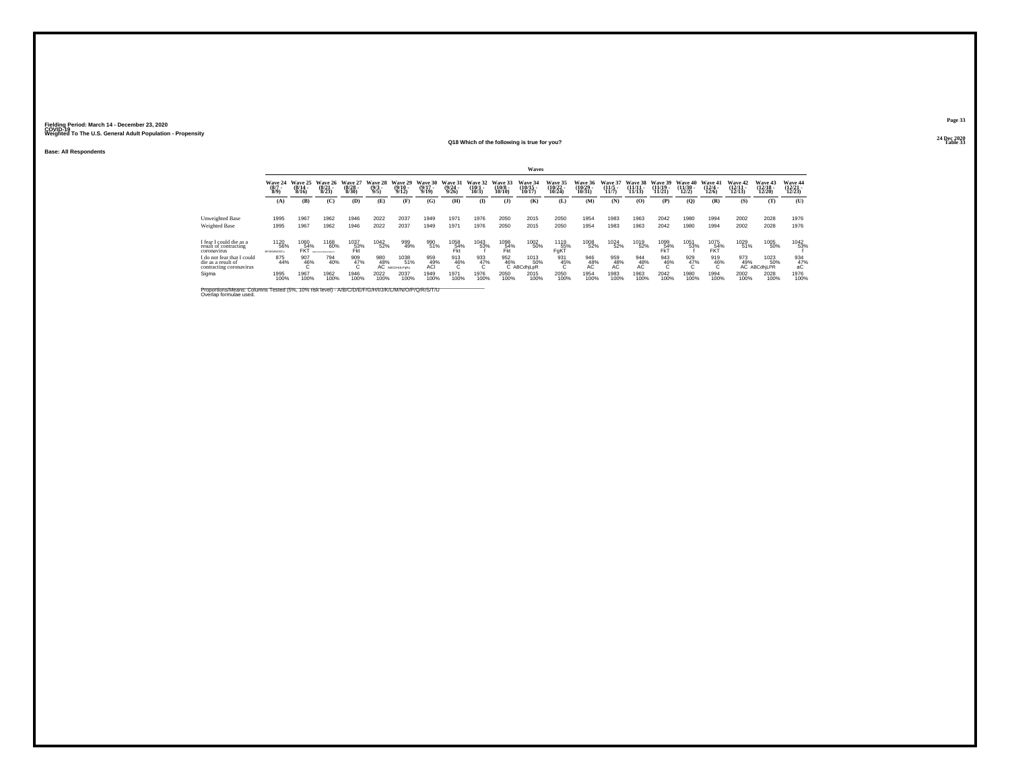**Base: All Respondents**

#### **24 Dec 2020Q18 Which of the following is true for you?Table 33**

| . .<br>. .<br>۰.<br>$\overline{\phantom{a}}$ |  |
|----------------------------------------------|--|
|                                              |  |

24 Dec 2020<br>Table 33

|                                                                           | Waves                          |                              |                                                   |                                  |                                             |                                   |                                  |                                  |                              |                               |                               |                                           |                                    |                                |                                |                                |                                |                                  |                               |                                        |                               |
|---------------------------------------------------------------------------|--------------------------------|------------------------------|---------------------------------------------------|----------------------------------|---------------------------------------------|-----------------------------------|----------------------------------|----------------------------------|------------------------------|-------------------------------|-------------------------------|-------------------------------------------|------------------------------------|--------------------------------|--------------------------------|--------------------------------|--------------------------------|----------------------------------|-------------------------------|----------------------------------------|-------------------------------|
|                                                                           | Wave 24<br>$\frac{(8/7)}{8/9}$ | Wave 25<br>$(8/14 -$<br>8/16 | Wave 26<br>$(8/21 -$<br>8/23                      | Wave 27<br>$\frac{(8/28)}{8/30}$ | Wave 28<br>$\binom{9/3}{9/5}$               | Wave 29<br>$\frac{(9/10)}{9/12}$  | Wave 30<br>$\frac{(9/17)}{9/19}$ | Wave 31<br>$\frac{(9/24)}{9/26}$ | Wave 32<br>$(10/1 -$<br>10/3 | Wave 33<br>$(10/8 -$<br>10/10 | Wave 34<br>(10/15 -<br>10/17) | <b>Wave 35</b><br>$\frac{(10/22)}{10/24}$ | <b>Wave 36</b><br>(10/29)<br>10/31 | Wave 37<br>$(11/5 -$<br>11/7   | Wave 38<br>$(11/11 -$<br>11/13 | Wave 39<br>$(11/19 -$<br>11/21 | Wave 40<br>$(11/30 -$<br>12/2) | Wave 41<br>$\frac{(12/4)}{12/6}$ | Wave 42<br>$12/11 -$<br>12/13 | Wave 43<br>$(12/18 -$<br>12/20         | Wave 44<br>(12/21 -<br>12/23) |
|                                                                           | (A)                            | (B)                          | (C)                                               | (D)                              | (E)                                         | (F)                               | (G)                              | (H)                              | $($ I                        | $($ $\bf{J}$                  | (K)                           | (L)                                       | (M)                                | (N)                            | $\bf(O)$                       | (P)                            | $\mathbf{Q}$                   | (R)                              | (S)                           | (T)                                    | (U)                           |
| Unweighted Base                                                           | 1995                           | 1967                         | 1962                                              | 1946                             | 2022                                        | 2037                              | 1949                             | 1971                             | 1976                         | 2050                          | 2015                          | 2050                                      | 1954                               | 1983                           | 1963                           | 2042                           | 1980                           | 1994                             | 2002                          | 2028                                   | 1976                          |
| <b>Weighted Base</b>                                                      | 1995                           | 1967                         | 1962                                              | 1946                             | 2022                                        | 2037                              | 1949                             | 1971                             | 1976                         | 2050                          | 2015                          | 2050                                      | 1954                               | 1983                           | 1963                           | 2042                           | 1980                           | 1994                             | 2002                          | 2028                                   | 1976                          |
| I fear I could die as a<br>result of contracting<br>coronavirus           | 1120<br>56%<br>EFGKMNOSTu      | 1060<br>54%<br><b>FKT</b>    | 1168<br>60%<br><b><i>ROSEFAE NI MACACAITE</i></b> | 1037<br>53%<br>Fkt               | $\begin{array}{c} 1042 \\ 52\% \end{array}$ | 999<br>49%                        | 990<br>51%                       | 1058<br>54%<br>Fkt               | 1043<br>53%                  | 1098<br>54%<br>Fkt            | 1002<br>50%                   | 1119<br>55%<br>FgKT                       | 1008<br>52%                        | <sup>1024</sup> <sub>52%</sub> | 1019<br>52%                    | 1099<br>54%<br>FŘ              | 1051<br>53%                    | 1075<br>54%<br>FŘŤ               | 1029<br>51%                   | 1005<br>50%                            | 1042<br>53%                   |
| do not fear that I could<br>die as a result of<br>contracting coronavirus | 875<br>44%                     | 907<br>46%                   | 794<br>40%                                        | 909<br>47%                       | 980<br>48%<br>AC                            | 1038<br>51%<br><b>ABCDHULPgRu</b> | 959<br>ACI                       | 913<br>46%                       | 933<br>47%<br>U              | 952<br>46%                    | 1013<br>50%<br>ABCdhiLpR      | 931<br>45%<br>U                           | 946<br>$AC^{48}$                   | 959<br>48%                     | 944<br>48%                     | 943<br>46%                     | 929<br>47%                     | 919<br>46%                       | 973                           | 1023<br>49% 50°<br>AC ABCdhjLPR<br>50% | 934<br>47%<br>аC              |
| Sigma                                                                     | 1995<br>100%                   | 1967<br>100%                 | 1962<br>100%                                      | 1946<br>100%                     | 2022<br>100%                                | 2037<br>100%                      | 1949<br>100%                     | 1971<br>100%                     | 1976<br>100%                 | 2050<br>100%                  | 2015<br>100%                  | 2050<br>100%                              | 1954<br>100%                       | 1983<br>100%                   | 1963<br>100%                   | 2042<br>100%                   | 1980<br>100%                   | 1994<br>100%                     | 2002<br>100%                  | 2028<br>100%                           | 1976<br>100%                  |
|                                                                           |                                |                              |                                                   |                                  |                                             |                                   |                                  |                                  |                              |                               |                               |                                           |                                    |                                |                                |                                |                                |                                  |                               |                                        |                               |

Proportions/Means: Columns Tested (5%, 10% risk level) - *N'B/C/D/E/F/G/H/I/J/K/L/M/N/O/P/Q/R/S/*T/U<br>Overlap formulae used.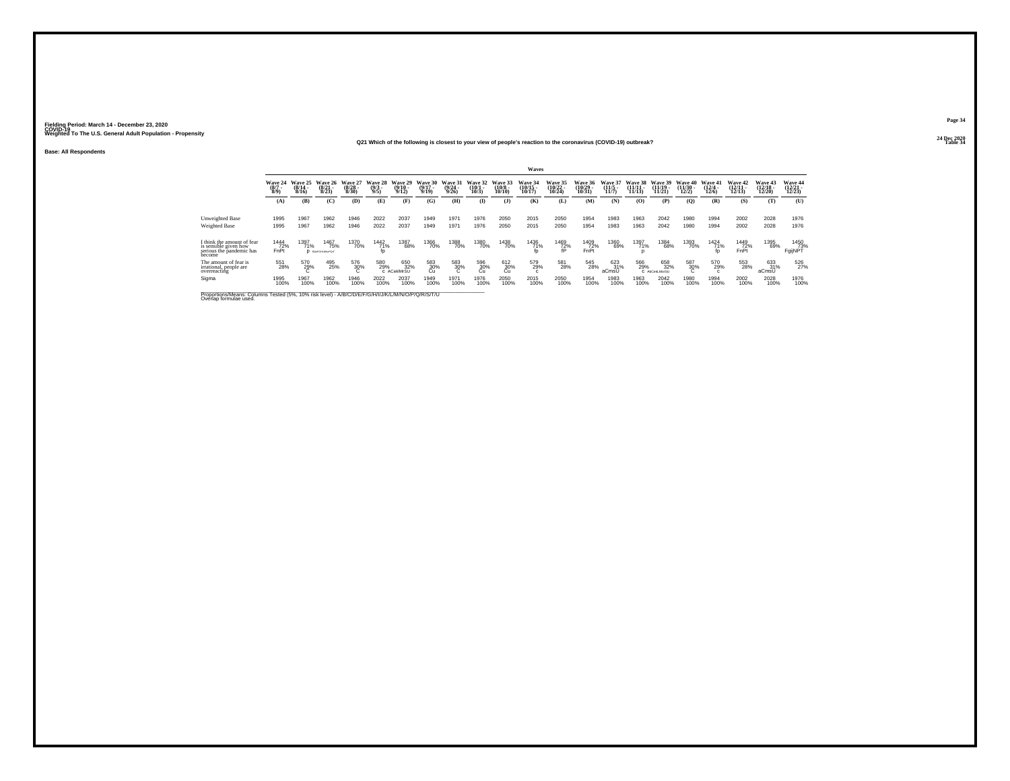**24 Dec 2020Q21 Which of the following is closest to your view of people's reaction to the coronavirus (COVID-19) outbreak?**

**Base: All Respondents**

|                                                                                                                              | Waves                         |                              |                                       |                                  |                                |                                  |                                         |                                         |                                 |                                        |                                    |                             |                             |                                  |                                 |                                    |                            |                              |                                       |                                 |                            |
|------------------------------------------------------------------------------------------------------------------------------|-------------------------------|------------------------------|---------------------------------------|----------------------------------|--------------------------------|----------------------------------|-----------------------------------------|-----------------------------------------|---------------------------------|----------------------------------------|------------------------------------|-----------------------------|-----------------------------|----------------------------------|---------------------------------|------------------------------------|----------------------------|------------------------------|---------------------------------------|---------------------------------|----------------------------|
|                                                                                                                              | Wave 24<br>$\binom{8/7}{8/9}$ | Wave 25<br>$(8/14 -$<br>8/16 | Wave 26<br>$\binom{8/21}{8/23}$       | Wave 27<br>$\frac{(8/28)}{8/30}$ | Wave 28<br>$\frac{(9/3)}{9/5}$ | Wave 29<br>$\frac{(9/10)}{9/12}$ | <b>Wave 30</b><br>$\frac{(9/17)}{9/19}$ | <b>Wave 31</b><br>$\frac{(9/24)}{9/26}$ | Wave 32<br>$\binom{10/1}{10/3}$ | Wave 33<br>$\substack{(10/8 \ 10/10)}$ | Wave 34<br>$\frac{(10/15)}{10/17}$ | Wave 35<br>(10/22<br>10/24) | Wave 36<br>(10/29)<br>10/31 | Wave 37<br>$\frac{(11/5)}{11/7}$ | Wave 38<br>$(11/11 -$<br>11/13) | Wave 39<br>$\frac{(11/19)}{11/21}$ | Wave 40<br>(11/30)<br>12/2 | Wave 41<br>(12/4)<br>12/6    | <b>Wave 42</b><br>$(12/11 -$<br>12/13 | Wave 43<br>$(12/18 -$<br>12/201 | Wave 44<br>(12/21<br>12/23 |
|                                                                                                                              | (A)                           | (B)                          | (C)                                   | (D)                              | (E)                            | Œ                                | (G)                                     | (H)                                     | $\bf{I}$                        | $($ $)$                                | (K)                                | (L)                         | (M)                         | (N)                              | (0)                             | (P)                                | (Q)                        | (R)                          | (S)                                   | (T)                             | (U)                        |
| Unweighted Base<br><b>Weighted Base</b>                                                                                      | 1995<br>1995                  | 1967<br>1967                 | 1962<br>1962                          | 1946<br>1946                     | 2022<br>2022                   | 2037<br>2037                     | 1949<br>1949                            | 1971<br>1971                            | 1976<br>1976                    | 2050<br>2050                           | 2015<br>2015                       | 2050<br>2050                | 1954<br>1954                | 1983<br>1983                     | 1963<br>1963                    | 2042<br>2042                       | 1980<br>1980               | 1994<br>1994                 | 2002<br>2002                          | 2028<br>2028                    | 1976<br>1976               |
| I think the amount of fear<br>is sensible given how<br>serious the pandemic has<br>become                                    | 1444<br>72%<br>FnPt           | 1397<br>71%                  | 1467<br>75%<br><b>D</b> врегонцикерот | 1370<br>70%                      | $\frac{1442}{71\%}$            | 1387<br>68%                      | <sup>1366</sup> 70%                     | 1388<br>70%                             | 1380<br>70%                     | 1438<br>70%                            | 1436<br>71%                        | $\frac{1469}{72\%}$         | 1409<br>72%<br>FnPt         | 1360<br>69%                      | 1397<br>71%                     | 1384<br>68%                        | 1393<br>70%                | $\frac{1424}{71\%}$          | 1449<br>72%<br>FnPt                   | 1395<br>69%                     | 1450<br>73%<br>FgijNPT     |
| The amount of fear is<br>irrational, people are<br>overreacting                                                              | 551<br>28%                    | 570<br>29%                   | 495<br>25%                            | 576<br>30%                       | 580<br>29%                     | 650<br>32%<br>C ACekIMrSU        | 583<br>30%<br>Cu                        | 583<br>30%                              | 596<br>30%<br>Cu                | 612<br>30%<br>Cü                       | 579<br>29%<br>$\sim$               | 581<br>28%                  | 545<br>28%                  | 623<br>31%<br>aCmsU              | 566<br>29%                      | 658<br>32%<br>C AbCekLMorSU        | 587<br>30%                 | 570<br>29%<br>$\mathfrak{c}$ | 553<br>28%                            | 633<br>31%<br>aCmsU             | 526<br>27%                 |
| Sigma                                                                                                                        | 1995<br>100%                  | 1967<br>100%                 | 1962<br>100%                          | 1946<br>100%                     | 2022<br>100%                   | 2037<br>100%                     | 1949<br>100%                            | 1971<br>100%                            | 1976<br>100%                    | 2050<br>100%                           | 2015<br>100%                       | 2050<br>100%                | 1954<br>100%                | 1983<br>100%                     | 1963<br>100%                    | 2042<br>100%                       | 1980<br>100%               | 1994<br>100%                 | 2002<br>100%                          | 2028<br>100%                    | 1976<br>100%               |
| Proportions/Means: Columns Tested (5%, 10% risk level) - A/B/C/D/E/F/G/H/I/J/K/L/M/N/O/P/Q/R/S/T/U<br>Overlap formulae used. |                               |                              |                                       |                                  |                                |                                  |                                         |                                         |                                 |                                        |                                    |                             |                             |                                  |                                 |                                    |                            |                              |                                       |                                 |                            |

**Page 3424 Dec 2020<br>Table 34** 

**Table 34 Table 34 Table 34**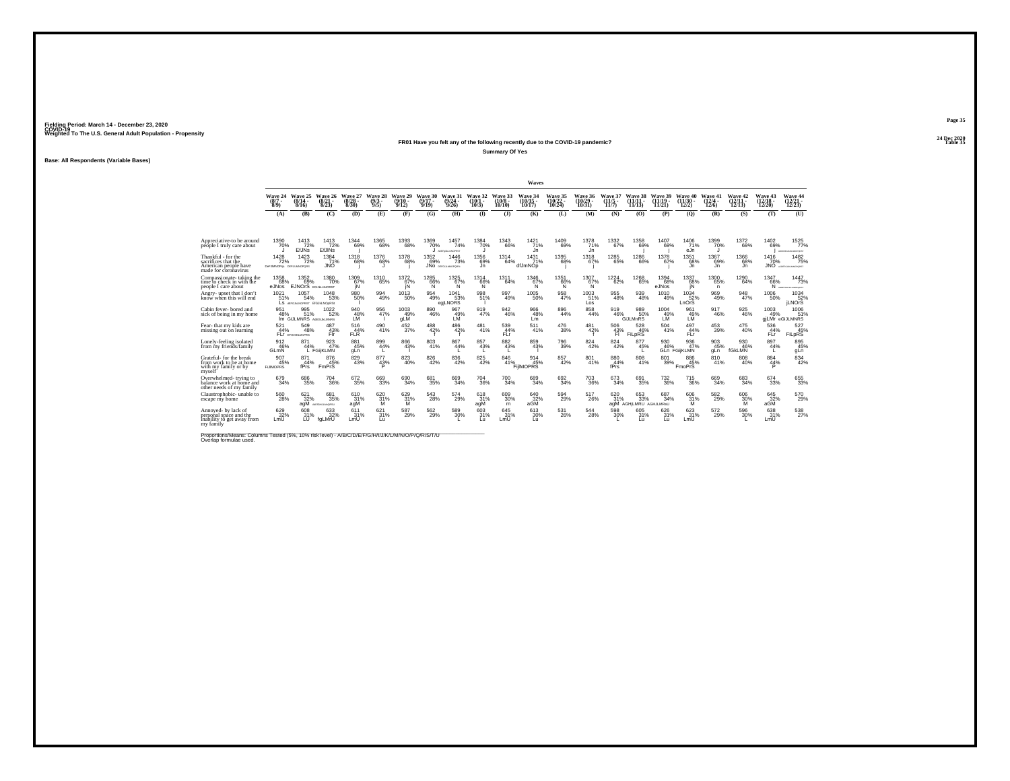#### **24 Dec 2020FR01 Have you felt any of the following recently due to the COVID-19 pandemic?Table 35 Table 35 Table 35 Summary Of Yes**

**Base: All Respondents (Variable Bases)**

|                                                                                                                             |                                              |                                              |                                      |                                 |                            |                              |                           |                                        |                                                               |                              | Waves                                 |                                |                                |                                  |                                                    |                             |                                   |                           |                                |                                    |                                                |
|-----------------------------------------------------------------------------------------------------------------------------|----------------------------------------------|----------------------------------------------|--------------------------------------|---------------------------------|----------------------------|------------------------------|---------------------------|----------------------------------------|---------------------------------------------------------------|------------------------------|---------------------------------------|--------------------------------|--------------------------------|----------------------------------|----------------------------------------------------|-----------------------------|-----------------------------------|---------------------------|--------------------------------|------------------------------------|------------------------------------------------|
|                                                                                                                             | Wave 24<br>$(8/7 -$<br>$8/9$ )               | Wave 25<br>$(8/14 -$<br>8/16                 | Wave 26<br>$\frac{(8/21)}{8/23}$     | Wave 27<br>$\binom{8/28}{8/30}$ | Wave 28<br>$(9/3 -$<br>9/5 | Wave 29<br>$(9/10 -$<br>9/12 | Wave 30<br>(9/17)<br>9/19 | Wave 31<br>(9/24)<br>9/26              | Wave 32<br>(10/1)<br>10/3                                     | Wave 33<br>$10/8 -$<br>10/10 | Wave 34<br>$(10/15 -$<br>10/17        | Wave 35<br>$(10/22 -$<br>10/24 | Wave 36<br>$(10/29 -$<br>10/31 | Wave 37<br>$(11/5 -$<br>11/7     | Wave 38<br>$(11/11 -$<br>11/13                     | Wave 39<br>(11/19)<br>11/21 | Wave 40<br>$(11/30 -$<br>12/2     | Wave 41<br>(12/4)<br>12/6 | Wave 42<br>$(12/11 -$<br>12/13 | Wave 43<br>$\frac{(12/18)}{12/20}$ | Wave 44<br>$\frac{(12/21)}{12/23}$             |
|                                                                                                                             | (A)                                          | (B)                                          | (C)                                  | (D)                             | (E)                        | (F)                          | (G)                       | (H)                                    | $\bf{D}$                                                      | $($ $)$                      | (K)                                   | (L)                            | (M)                            | (N)                              | (0)                                                | (P)                         | (O)                               | (R)                       | (S)                            | (T)                                | (U)                                            |
| Appreciative-to be around<br>péóple I truly care about                                                                      | 1390 70%                                     | $\frac{1413}{72\%}$<br><b>EfJNs</b>          | $\frac{1413}{72\%}$<br><b>EfJINs</b> | $^{1344}_{69\%}$                | $^{1365}_{\  \  \, 68\%}$  | $^{1393}_{68\%}$             | 1369<br>70%               | $1457 \atop 74\%$<br>ADEFAULANCERST    | 1384<br>70%<br>IJ                                             | $^{1343}_{66\%}$             | $1421$ <sub>71%</sub><br>Jn           | $\substack{1409 \\ 69\%}$      | $^{1378}_{71\%}$<br>Jn         | $\substack{1332 \\ 67\%}$        | 1358<br>69%                                        | 1407<br>69%                 | 1406<br>71%<br>eJn                | 1399 70%                  | 1372<br>69%                    | $^{1402}_{69\%}$                   | 1525<br>77%<br>ARCENTRAJAMOPORET               |
| Thankful - for the<br>sacrifices that the<br>American people have<br>made for coronavirus                                   | $1428 \atop 72\%$<br>DeFJMNOPes DEFLEANOPORS | 1423<br>72%                                  | $^{1384}_{71\%}$<br>JNO              | $^{1318}_{68\%}$                | <sup>1376</sup> 68%        | 1378<br>68%                  | 1352<br>69%               | 1446<br>73%<br><b>JNO</b> DEFOULMOPORS | 1356<br>69%<br>Jn                                             | $^{1314}_{64\%}$             | 1431<br>71%<br>dfJmNOp                | $^{1395}_{68\%}$               | $^{1318}_{67\%}$               | $^{1285}_{65\%}$                 | <sup>1286</sup> 66%                                | 1378<br>67%                 | $1351$<br>68%<br>.in              | 1367<br>69%<br>.ln        | 1366<br>68%<br>.in             | 1416<br>70%                        | $1482 \over 75\%$<br><b>JNO</b> ACCESSIVATIONS |
| Compassionate-taking the<br>time to check in with the<br>people I care about                                                | 1358<br>68%<br>eJNos                         | 1352<br>69%<br><b>EJNOrS</b> EQUILIMORST     | 1380<br>70%                          | 1309<br>67%<br>jΝ               | 1310<br>65%                | 1372<br>67%<br>iN            | 1285<br>66%<br>'N         | 1325<br>67%<br>N                       | 1314<br>66%<br>'N.                                            | 1311<br>64%                  | 1346<br>67%<br>'N.                    | 1351<br>66%<br>N               | 1307<br>67%<br>N               | 1224<br>62%                      | 1268<br>65%                                        | 1394<br>68%<br>eJNos        | 1337<br>68%<br>ΪÑ                 | 1300<br>65%<br>n          | 1290<br>64%                    | 1347<br>66%                        | 1447<br>73%<br>N AREPORATIONS                  |
| Angry-upset that I don'<br>know when this will end                                                                          | 1021<br>51%                                  | 1057<br>54%<br>LS GEFGJALNOPRST EIGJALNOORSI | 1048<br>53%                          | 980<br>50%                      | $\frac{994}{49\%}$         | 1013<br>50%                  | 954<br>49%                | 1041<br>53%<br>egiLNORS                | 998<br>51%                                                    | 997<br>49%                   | 1005<br>50%                           | $\underset{47\%}{^{958}}$      | 1003<br>51%<br>Los             | $\underset{48\%}{^{955}}$        | $\substack{939 \\ 48\%}$                           | 1010<br>49%                 | 1034<br>52%<br>LnOrS              | 969<br>49%                | 948<br>47%                     | 1006<br>50%                        | $^{1034}_{52\%}$<br><b>LNOrS</b>               |
| Cabin fever-bored and<br>sick of being in my home                                                                           | 951<br>48%                                   | 995<br>51%<br>IM GIJLMNRS ABGUILMNRS         | $^{1022}_{-52\%}$                    | $^{940}_{48\%}$                 | 956<br>47%                 | $^{1003}_{49\%}$<br>qLM      | 890<br>46%                | 967<br>49%<br>LÑ                       | 919<br>47%                                                    | 942<br>46%                   | 966<br>48%<br>Lm                      | $\underset{44\%}{^{896}}$      | 858<br>44%                     | 919<br>46%                       | 989<br>50%<br>GiJLMnRS                             | 1004<br>49%                 | 961<br>49%<br>LM                  | 917<br>46%                | 925<br>46%                     | 1003<br>49%                        | 1006<br>51%<br>giLMr eGIJLMNRS                 |
| Fear- that my kids are<br>missing out on learning                                                                           | 521<br>44%                                   | 549<br>48%<br>FLI EFGHIKLMORS                | 487<br>43%<br>Fir                    | 516<br>44%<br>FLR               | 490<br>41%                 | 452<br>37%                   | 488<br>42%                | 486<br>42%                             | 481<br>41%                                                    | 539<br>44%<br>FLi            | 511<br>41%                            | 476<br>38%                     | 481<br>42%                     | 506<br>43%<br>Ħ.                 | 528<br>46%<br>FiLDRS                               | 504<br>41%                  | 497<br>44%<br>FLr                 | 453<br>39%                | 475<br>40%                     | 536<br>44%<br>FLr                  | 527<br><sup>45%</sup><br>FiLpRS                |
| onely-feeling isolated<br>from my friends/family                                                                            | 912<br>46%<br>GLmN                           | 44%                                          | 923<br>L FGiiKLMN                    | 881<br>45%<br>gLn               | 899/44%<br><b>L</b>        | 866<br>43%                   | $\substack{803 \\ 41\%}$  | 867<br>44%                             | 857<br>43%                                                    | 882<br>43%                   | 859<br>43%                            | $^{796}_{39\%}$                | 824<br>42%                     | $\substack{824 \\ 42\%}$         | 877<br>45%                                         | 930<br>46%                  | 936<br>47%<br><b>GLn FGiiKLMN</b> | 903<br>45%<br>aLn         | 930<br>46%<br>fGkLMN           | 897<br>44%<br>L.                   | 895 45%<br>gLn                                 |
| Grateful-for the break<br>from work to be at home<br>with my family or by<br>mvself                                         | 907<br>45%<br><b>FLIMOPRS</b>                | 871<br>44%<br>fPrs                           | 876<br>45%<br>FmPrS                  | $\substack{829 \\ 43\%}$        | $\frac{877}{43\%}$         | ${}^{823}_{40\%}$            | 826<br>42%                | $\underset{42\%}{^{836}}$              | $825\!\!\!\!\!\!\!\!{}^{+29\%}\!\!\!\!\!{}^{+19\%}\!\!\!\!\!$ | 846<br>41%                   | $\frac{914}{45\%}$<br><b>FilMOPRS</b> | $\substack{857\\42\%}$         | 801 <sub>%</sub>               | $\substack{880 \\ 44\%}$<br>fPrs | $\substack{808 \\ 41\%}$                           | $\underset{39\%}{^{801}}$   | 886<br>45%<br><b>EmoPrS</b>       | 810<br>41%                | $\substack{808 \\ 40\%}$       | $\underset{\mathsf{P}}{^{884}}$    | $834 \over 42\%$                               |
| Overwhelmed-trying to<br>balance work at home and<br>other needs of my family                                               | 679<br>34%                                   | 686<br>35%                                   | 704<br>36%                           | 672<br>35%                      | 669<br>33%                 | 690<br>34%                   | 681<br>35%                | 669<br>34%                             | 704<br>36%                                                    | 700<br>34%                   | 689<br>34%                            | 692<br>34%                     | 703<br>36%                     | 673<br>34%                       | 691<br>35%                                         | 732<br>36%                  | 715<br>36%                        | 669<br>34%                | 683<br>34%                     | 674<br>33%                         | $\substack{655 \\ 33\%}$                       |
| Claustrophobic- unable to<br>escape mv home                                                                                 | $^{560}_{28\%}$                              | 621<br>32%<br>agM                            | 681<br>35%<br>ASIGHAM-DRSU           | 610<br>31%<br>agM               | 620 31%<br>м               | 629 31%<br>м                 | $\substack{543 \\ 28\%}$  | 574<br>29%                             | 618<br>31%<br>agM                                             | 609<br>30%<br>m              | 640<br>32%<br>aGM                     | $^{594}_{\ 29\%}$              | 517<br>26%                     | 620<br>31%                       | $\substack{653 \\ 33\%}$<br>agM AGHILMRU AGHJLMRsU | 687<br>34%                  | 606<br>31%<br>M                   | $\frac{582}{29\%}$        | 606<br>30%<br>м                | 645<br>32%<br>aGM                  | $^{570}_{29\%}$                                |
| Annoved- by lack of<br>personal space and the<br>inability to get away from<br>my family                                    | 629 32%<br>LmU                               | 608<br>31%<br>Űθ                             | 633<br>32%<br>faLMrU                 | 611<br>31%<br>LmU               | $^{621}_{31\%}$<br>fui     | $^{587}_{29\%}$              | $^{562}_{29\%}$           | 589<br>30%                             | 603<br>31%<br>fш                                              | 645<br>31%<br>LmU            | 613<br>30%<br>fū.                     | $^{531}_{26\%}$                | $^{544}_{28\%}$                | $^{598}_{30\%}$                  | 605<br>31%<br>Lп                                   | 626<br>31%<br>fш            | 623<br>LmU                        | 572<br>29%                | 596<br>30%                     | 638<br>31%<br>LmU <sup>'</sup>     | 538<br>27%                                     |
| Proportions/Means: Columns Tested (5%, 10% risk level) - A/B/C/D/E/F/G/H/I/J/K/L/M/N/O/P/Q/R/S/T/U<br>Overlap formulae used |                                              |                                              |                                      |                                 |                            |                              |                           |                                        |                                                               |                              |                                       |                                |                                |                                  |                                                    |                             |                                   |                           |                                |                                    |                                                |

**Page 35**24 Dec 2020<br>Table 35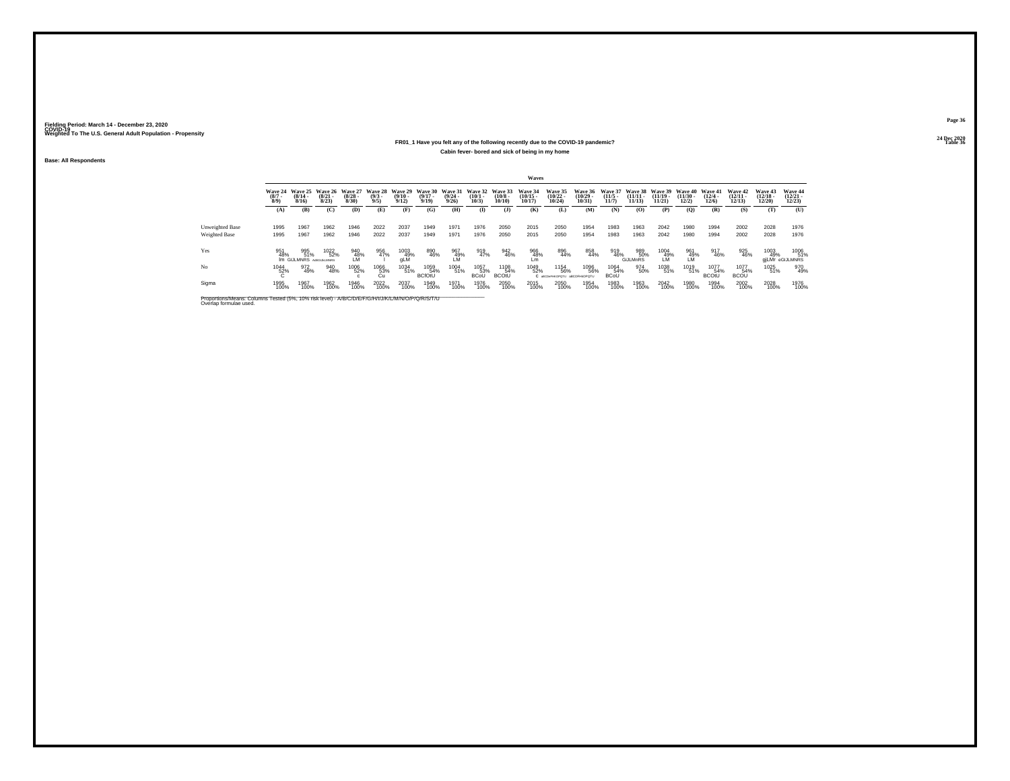#### **24 Dec 2020FR01\_1 Have you felt any of the following recently due to the COVID-19 pandemic?Table 36 Table 36 Table 36 Table 36 Table 36 Table 36 Table 36 Table 36 Cabin fever- bored and sick of being in my home**

**Base: All Respondents**

|                                                                                                                              |                               |                                      |                              |                              |                               |                              |                              |                                  |                              |                                       | Waves                          |                                           |                                    |                            |                                |                                |                                |                              |                                |                                |                                |
|------------------------------------------------------------------------------------------------------------------------------|-------------------------------|--------------------------------------|------------------------------|------------------------------|-------------------------------|------------------------------|------------------------------|----------------------------------|------------------------------|---------------------------------------|--------------------------------|-------------------------------------------|------------------------------------|----------------------------|--------------------------------|--------------------------------|--------------------------------|------------------------------|--------------------------------|--------------------------------|--------------------------------|
|                                                                                                                              | Wave 24<br>$\binom{8/7}{8/9}$ | Wave 25<br>$(8/14 -$<br>8/16         | Wave 26<br>$(8/21 -$<br>8/23 | Wave 27<br>$(8/28 -$<br>8/30 | Wave 28<br>$\binom{9/3}{9/5}$ | Wave 29<br>$(9/10 -$<br>9/12 | Wave 30<br>$(9/17 -$<br>9/19 | Wave 31<br>$\frac{(9/24)}{9/26}$ | Wave 32<br>$(10/1 -$<br>10/3 | Wave 33<br>$\binom{10/8 - 10}{10/10}$ | Wave 34<br>$(10/15 -$<br>10/17 | <b>Wave 35</b><br>$(10/22 -$<br>$10/24$ ) | Wave 36<br>(10/29.<br>10/31        | Wave 37<br>(11/5.<br>11/7  | Wave 38<br>$(11/11 -$<br>11/13 | Wave 39<br>$(11/19 -$<br>11/21 | Wave 40<br>$(11/30 -$<br>12/2) | Wave 41<br>$(12/4 -$<br>12/6 | Wave 42<br>$(12/11 -$<br>12/13 | Wave 43<br>$(12/18 -$<br>12/20 | Wave 44<br>$(12/21 -$<br>12/23 |
|                                                                                                                              | (A)                           | (B)                                  | (C)                          | (D)                          | (E)                           | (F)                          | (G)                          | (H)                              | $\bf(I)$                     | $($ $)$                               | (K)                            | (L)                                       | (M)                                | (N)                        | (O)                            | (P)                            | (Q)                            | (R)                          | (S)                            | (T)                            | (U)                            |
| Unweighted Base                                                                                                              | 1995                          | 1967                                 | 1962                         | 1946                         | 2022                          | 2037                         | 1949                         | 1971                             | 1976                         | 2050                                  | 2015                           | 2050                                      | 1954                               | 1983                       | 1963                           | 2042                           | 1980                           | 1994                         | 2002                           | 2028                           | 1976                           |
| <b>Weighted Base</b>                                                                                                         | 1995                          | 1967                                 | 1962                         | 1946                         | 2022                          | 2037                         | 1949                         | 1971                             | 1976                         | 2050                                  | 2015                           | 2050                                      | 1954                               | 1983                       | 1963                           | 2042                           | 1980                           | 1994                         | 2002                           | 2028                           | 1976                           |
| Yes                                                                                                                          | 951<br>48%                    | 995<br>51%<br>IM GIJLMNRS ABGUILMNRS | 1022<br>52%                  | 940<br>48%                   | 956<br>47%                    | 1003<br>49%<br>qLM           | 890<br>46%                   | 967<br>49%                       | 919<br>47%                   | 942<br>46%                            | 966<br>48%<br>Lm               | 896<br>44%                                | 858<br>44%                         | 919<br>46%                 | 989<br>50%<br>GiJLMnRS         | 1004<br>49%                    | 961<br>49%<br>LM               | 917<br>46%                   | 925<br>46%                     | 1003<br>49%                    | 1006<br>51%<br>giLMr eGIJLMNRS |
| No                                                                                                                           | 1044<br>52%                   | 972<br>49%                           | 940<br>48%                   | 1006<br>52%                  | 1066<br>53%<br>Cu             | 1034<br>51%                  | 1059<br>54%<br><b>BCfOtU</b> | 1004<br>51%                      | 1057<br>53%<br><b>BCoL</b>   | 1108<br>54%<br><b>BCOtU</b>           | 1049<br>52%                    | 1154<br>56%<br>С авсонянковоти            | 1096<br>56%<br><b>ABCDFHkOPOTL</b> | 1064<br>54%<br><b>BCoU</b> | 974<br>50%                     | 1038<br>51%                    | 1019<br>51%                    | 1077<br>54%<br><b>BCOtU</b>  | 1077<br>54%<br><b>BCOU</b>     | 1025<br>51%                    | 970<br>49%                     |
| Sigma                                                                                                                        | 1995<br>100%                  | 1967<br>100%                         | 1962<br>100%                 | 1946<br>100%                 | 2022<br>100%                  | 2037<br>100%                 | 1949<br>100%                 | 1971<br>100%                     | 1976<br>100%                 | 2050<br>100%                          | 2015<br>100%                   | 2050<br>100%                              | 1954<br>100%                       | 1983<br>100%               | 1963<br>100%                   | 2042<br>100%                   | 1980<br>100%                   | 1994<br>100%                 | 2002<br>100%                   | 2028<br>100%                   | 1976<br>100%                   |
| Proportions/Means: Columns Tested (5%, 10% risk level) - A/B/C/D/E/F/G/H/I/J/K/L/M/N/O/P/Q/R/S/T/U<br>Overlap formulae used. |                               |                                      |                              |                              |                               |                              |                              |                                  |                              |                                       |                                |                                           |                                    |                            |                                |                                |                                |                              |                                |                                |                                |

**Page 3624 Dec 2020<br>Table 36**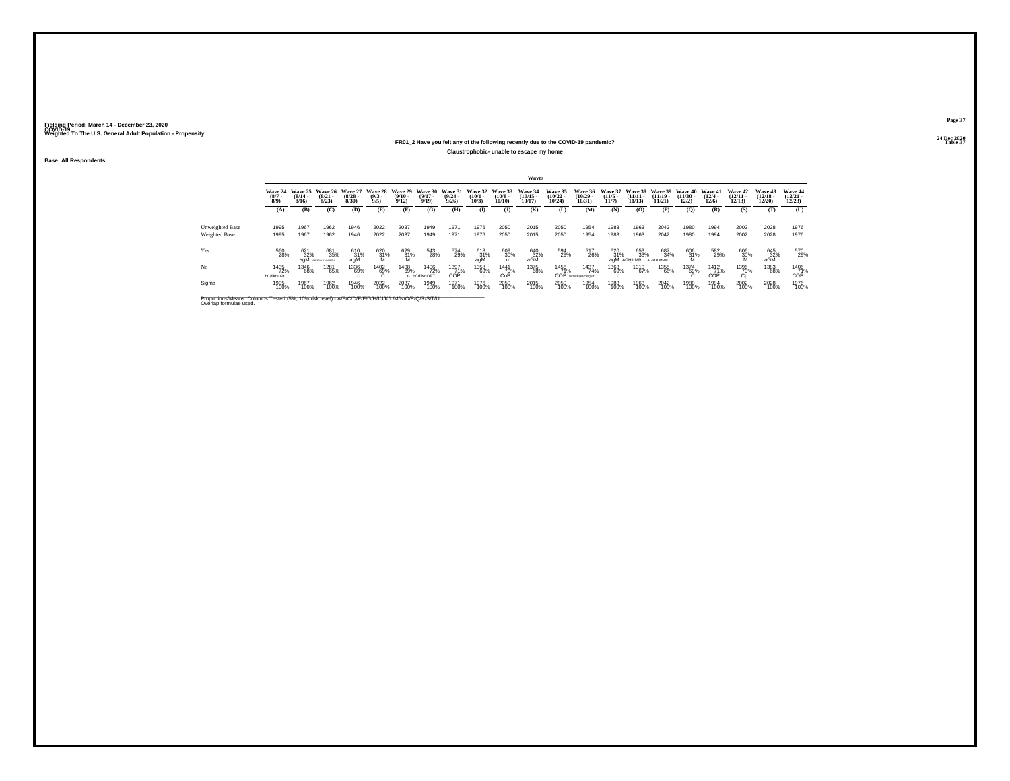#### **24 Dec 2020FR01\_2 Have you felt any of the following recently due to the COVID-19 pandemic?Table 37 Table 37 Table 37 Claustrophobic- unable to escape my home**

**Base: All Respondents**

|                                                                                                                              |                                 |                              |                              |                                 |                                         |                              |                              |                                  |                                 |                               | Waves                             |                                           |                                       |                              |                                      |                                |                                |                              |                                |                                |                                   |
|------------------------------------------------------------------------------------------------------------------------------|---------------------------------|------------------------------|------------------------------|---------------------------------|-----------------------------------------|------------------------------|------------------------------|----------------------------------|---------------------------------|-------------------------------|-----------------------------------|-------------------------------------------|---------------------------------------|------------------------------|--------------------------------------|--------------------------------|--------------------------------|------------------------------|--------------------------------|--------------------------------|-----------------------------------|
|                                                                                                                              | Wave 24<br>$\binom{8/7}{8/9}$   | Wave 25<br>$(8/14 -$<br>8/16 | Wave 26<br>$(8/21 -$<br>8/23 | Wave 27<br>$\binom{8/28}{8/30}$ | Wave 28<br>$\binom{9/3}{9/5}$           | Wave 29<br>$(9/10 -$<br>9/12 | Wave 30<br>$(9/17 -$<br>9/19 | Wave 31<br>$\frac{(9/24)}{9/26}$ | Wave 32<br>$\binom{10/1}{10/3}$ | Wave 33<br>$(10/8 -$<br>10/10 | Wave 34<br>$\binom{10/15}{10/17}$ | <b>Wave 35</b><br>$\frac{(10/22)}{10/24}$ | <b>Wave 36</b><br>$(10/29 -$<br>10/31 | Wave 37<br>$(11/5 -$<br>11/7 | Wave 38<br>$(11/11 -$<br>11/13       | Wave 39<br>$(11/19 -$<br>11/21 | Wave 40<br>$(11/30 -$<br>12/2) | Wave 41<br>$(12/4 -$<br>12/6 | Wave 42<br>$(12/11 -$<br>12/13 | Wave 43<br>$(12/18 -$<br>12/20 | Wave 44<br>$\binom{12/21}{12/23}$ |
|                                                                                                                              | (A)                             | (B)                          | (C)                          | (D)                             | (E)                                     | (F)                          | (G)                          | (H)                              | $($ I                           | (J)                           | (K)                               | (L)                                       | (M)                                   | (N)                          | (O)                                  | (P)                            | (Q)                            | (R)                          | (S)                            | (T)                            | (U)                               |
| Unweighted Base<br><b>Weighted Base</b>                                                                                      | 1995<br>1995                    | 1967<br>1967                 | 1962<br>1962                 | 1946<br>1946                    | 2022<br>2022                            | 2037<br>2037                 | 1949<br>1949                 | 1971<br>1971                     | 1976<br>1976                    | 2050<br>2050                  | 2015<br>2015                      | 2050<br>2050                              | 1954<br>1954                          | 1983<br>1983                 | 1963<br>1963                         | 2042<br>2042                   | 1980<br>1980                   | 1994<br>1994                 | 2002<br>2002                   | 2028<br>2028                   | 1976<br>1976                      |
| Yes                                                                                                                          | 560<br>28%                      | 621<br>32%<br>agM            | 681<br>35%<br>ASIGHAM-DRSU   | 610<br>31%<br>agM               | $^{620}_{\substack{31\%\\ \textrm{M}}}$ | 629<br>31%                   | 543<br>28%                   | 574<br>29%                       | 618<br>31%<br>agM               | 609<br>30%<br>m               | 640<br>32%<br>aGM                 | 594<br>29%                                | 517<br>26%                            | 620<br>31%                   | 653<br>33%<br>agM AGHILMRU AGHJLMRsU | 687<br>34%                     | $^{606}_{31\%}$ $^{106}_{M}$   | 582<br>29%                   | 606<br>30%                     | 645<br>32%<br>aGM              | 570<br>29%                        |
| No                                                                                                                           | 1435<br>72%<br><b>bCdiknOPt</b> | 1346<br>68%                  | 1281<br>65%                  | 1336<br>69%                     | 1402<br>69%                             | 1408<br>69%                  | 1406<br>72%<br>C bCdiKnOPT   | 1397<br>71%<br>COP               | 1358<br>69%                     | <sup>1441</sup> 70%<br>CoP    | 1375<br>68%                       | 1456<br>71%<br>COP                        | 1437<br>74%<br><b>BCDEFIKNOPOST</b>   | 1363<br>69%                  | 1310<br>67%                          | 1355<br>66%                    | 1374<br>69%                    | <sup>1412</sup> 71%<br>COP   | 1396<br>70%<br>Сp              | 1383<br>68%                    | 1406<br>71%<br>COP                |
| Sigma                                                                                                                        | 1995<br>100%                    | 1967<br>100%                 | 1962<br>100%                 | 1946<br>100%                    | 2022<br>100%                            | 2037<br>100%                 | 1949<br>100%                 | 1971<br>100%                     | 1976<br>100%                    | 2050<br>100%                  | 2015<br>100%                      | 2050<br>100%                              | 1954<br>100%                          | 1983<br>100%                 | 1963<br>100%                         | 2042<br>100%                   | 1980<br>100%                   | 1994<br>100%                 | 2002<br>100%                   | 2028<br>100%                   | 1976<br>100%                      |
| Proportions/Means: Columns Tested (5%, 10% risk level) - A/B/C/D/E/F/G/H/I/J/K/L/M/N/O/P/Q/R/S/T/U<br>Overlap formulae used. |                                 |                              |                              |                                 |                                         |                              |                              |                                  |                                 |                               |                                   |                                           |                                       |                              |                                      |                                |                                |                              |                                |                                |                                   |

**Page 3724 Dec 2020<br>Table 37**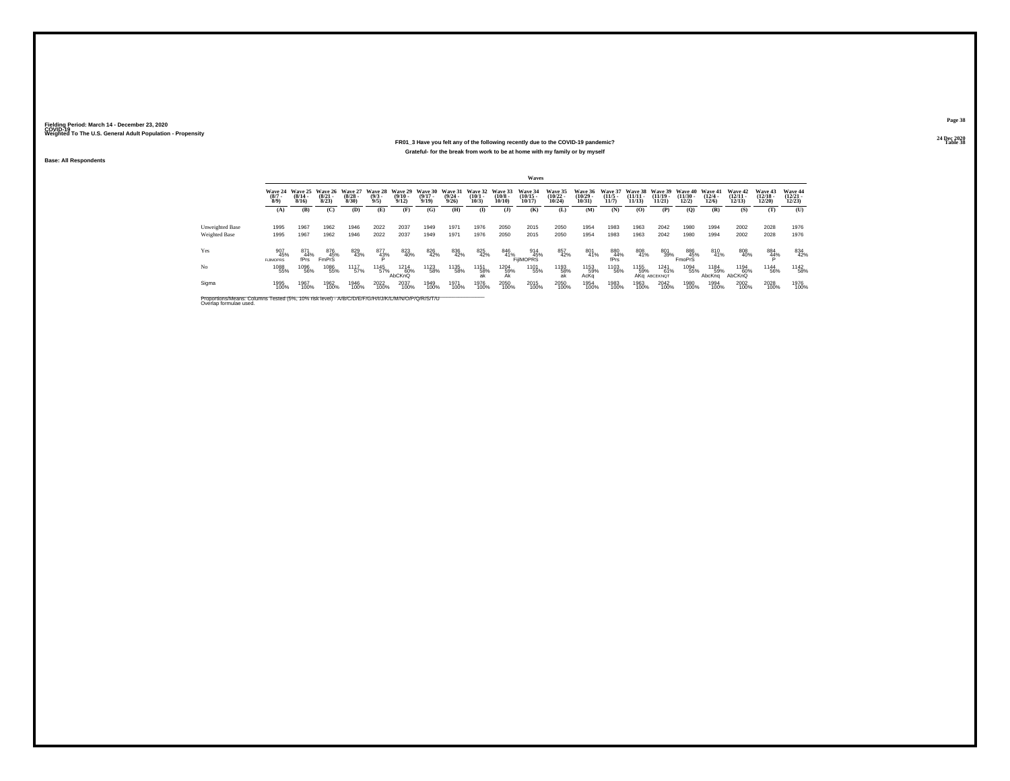#### **24 Dec 2020FR01\_3 Have you felt any of the following recently due to the COVID-19 pandemic?Table 38 Table 38 Grateful- for the break from work to be at home with my family or by myself**

**Base: All Respondents**

|                                                                                                                              |                                |                                  |                                 |                                 |                               |                                         |                                  |                              |                              |                                        | Waves                              |                                   |                                |                                  |                                |                                     |                                |                              |                                |                                   |                                   |
|------------------------------------------------------------------------------------------------------------------------------|--------------------------------|----------------------------------|---------------------------------|---------------------------------|-------------------------------|-----------------------------------------|----------------------------------|------------------------------|------------------------------|----------------------------------------|------------------------------------|-----------------------------------|--------------------------------|----------------------------------|--------------------------------|-------------------------------------|--------------------------------|------------------------------|--------------------------------|-----------------------------------|-----------------------------------|
|                                                                                                                              | Wave 24<br>$\binom{8/7}{8/9}$  | Wave 25<br>$\frac{(8/14)}{8/16}$ | Wave 26<br>$\binom{8/21}{8/23}$ | Wave 27<br>$\binom{8/28}{8/30}$ | Wave 28<br>$\binom{9/3}{9/5}$ | Wave 29<br>$\frac{(9/10 - 9/12)}{9/12}$ | Wave 30<br>$\frac{(9/17)}{9/19}$ | Wave 31<br>$(9/24 -$<br>9/26 | Wave 32<br>$(10/1 -$<br>10/3 | Wave 33<br>$\frac{(10/8 - 10)}{10/10}$ | <b>Wave 34</b><br>(10/15.<br>10/17 | Wave 35<br>$\binom{10/22}{10/24}$ | Wave 36<br>$(10/29 -$<br>10/31 | Wave 37<br>$\frac{(11/5)}{11/7}$ | Wave 38<br>$(11/11 -$<br>11/13 | Wave 39<br>$(11/19 -$<br>11/21      | Wave 40<br>$(11/30 -$<br>12/2) | Wave 41<br>$(12/4 -$<br>12/6 | Wave 42<br>$\binom{12}{12/13}$ | Wave 43<br>$\binom{12/18}{12/20}$ | Wave 44<br>$\binom{12/21}{12/23}$ |
|                                                                                                                              | (A)                            | (B)                              | (C)                             | (D)                             | (E)                           | (F)                                     | (G)                              | (H)                          | $\bf{I}$                     | $($ $\bf{J}$ )                         | (K)                                | (L)                               | (M)                            | (N)                              | (O)                            | (P)                                 | (Q)                            | (R)                          | (S)                            | (T)                               | (U)                               |
| Unweighted Base                                                                                                              | 1995                           | 1967                             | 1962                            | 1946                            | 2022                          | 2037                                    | 1949                             | 1971                         | 1976                         | 2050                                   | 2015                               | 2050                              | 1954                           | 1983                             | 1963                           | 2042                                | 1980                           | 1994                         | 2002                           | 2028                              | 1976                              |
| <b>Weighted Base</b>                                                                                                         | 1995                           | 1967                             | 1962                            | 1946                            | 2022                          | 2037                                    | 1949                             | 1971                         | 1976                         | 2050                                   | 2015                               | 2050                              | 1954                           | 1983                             | 1963                           | 2042                                | 1980                           | 1994                         | 2002                           | 2028                              | 1976                              |
| Yes                                                                                                                          | 907<br>45%<br><b>FIJIMOPRS</b> | 871<br>44%<br>fPrs               | 876<br>45%<br><b>FmPrS</b>      | 829<br>43%                      | $^{877}_{43\%}$               | 823<br>40%                              | 826<br>42%                       | 836<br>42%                   | 825<br>42%                   |                                        | 846<br>41%<br>FijlMOPRS            | 857<br>42%                        | 801<br>41%                     | 880<br>44%<br>fPrs               | 808<br>41%                     | 801<br>39%                          | 886<br>45%<br>FmoPrS           | 810<br>41%                   | 808<br>40%                     | 884<br>44%                        | 834<br>42%                        |
| No                                                                                                                           | 1088<br>55%                    | 1096<br>56%                      | 1086<br>55%                     | 1117<br>57%                     | 1145<br>57%                   | <sup>1214</sup> 60%<br>AbCKnQ           | 1123<br>58%                      | 1135<br>58%                  | 1151<br>58%<br>ak            | 1204<br>59%<br>Ak                      | 1101<br>55%                        | 1193<br>58%<br>ak                 | 1153<br>59%<br>AcKa            | <sup>1103</sup> 56%              | <sup>1155</sup> 59%            | <sup>1241</sup> 61%<br>AKG ABCEKNOT | 1094<br>55%                    | 1184<br>59%<br>AbcKng        | 1194<br>60%<br>AbCKnQ          | 1144<br>56%                       | <sup>1142</sup> 58%               |
| Sigma                                                                                                                        | 1995<br>100%                   | 1967<br>100%                     | 1962<br>100%                    | 1946<br>100%                    | 2022<br>100%                  | 2037<br>100%                            | 1949<br>100%                     | 1971<br>100%                 | 1976<br>100%                 | 2050<br>100%                           | 2015<br>100%                       | 2050<br>100%                      | 1954<br>100%                   | 1983<br>100%                     | 1963<br>100%                   | 2042<br>100%                        | 1980<br>100%                   | 1994<br>100%                 | 2002<br>100%                   | 2028<br>100%                      | 1976<br>100%                      |
| Proportions/Means: Columns Tested (5%, 10% risk level) - A/B/C/D/E/F/G/H/I/J/K/L/M/N/O/P/Q/R/S/T/U<br>Overlap formulae used. |                                |                                  |                                 |                                 |                               |                                         |                                  |                              |                              |                                        |                                    |                                   |                                |                                  |                                |                                     |                                |                              |                                |                                   |                                   |

**Page 3824 Dec 2020<br>Table 38**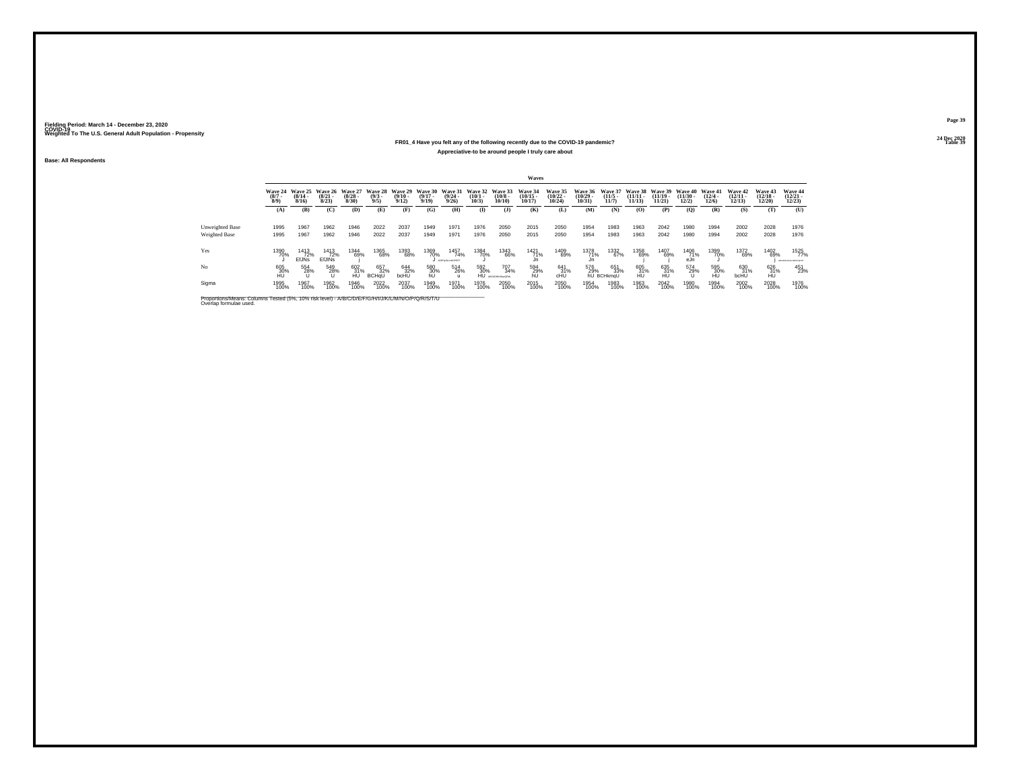#### **24 Dec 2020FR01\_4 Have you felt any of the following recently due to the COVID-19 pandemic?Table 39 Table 39 Appreciative-to be around people I truly care about**

**Base: All Respondents**

|                                                                                                                              |                            |                                         |                              |                                 |                                |                              |                              |                                  |                              |                               | Waves                          |                                           |                                       |                                     |                                |                                |                                |                              |                                |                                |                                   |
|------------------------------------------------------------------------------------------------------------------------------|----------------------------|-----------------------------------------|------------------------------|---------------------------------|--------------------------------|------------------------------|------------------------------|----------------------------------|------------------------------|-------------------------------|--------------------------------|-------------------------------------------|---------------------------------------|-------------------------------------|--------------------------------|--------------------------------|--------------------------------|------------------------------|--------------------------------|--------------------------------|-----------------------------------|
|                                                                                                                              | Wave 24<br>$(8/7 -$<br>8/9 | Wave 25<br>$\frac{(8/14 - 8/16)}{8/16}$ | Wave 26<br>$(8/21 -$<br>8/23 | Wave 27<br>$\binom{8/28}{8/30}$ | Wave 28<br>$\frac{(9/3)}{9/5}$ | Wave 29<br>$(9/10 -$<br>9/12 | Wave 30<br>$(9/17 -$<br>9/19 | Wave 31<br>$\frac{(9/24)}{9/26}$ | Wave 32<br>$(10/1 -$<br>10/3 | Wave 33<br>$(10/8 -$<br>10/10 | Wave 34<br>$(10/15 -$<br>10/17 | <b>Wave 35</b><br>$\frac{(10/22)}{10/24}$ | <b>Wave 36</b><br>$(10/29 -$<br>10/31 | <b>Wave 37</b><br>$(11/5 -$<br>11/7 | Wave 38<br>$(11/11 -$<br>11/13 | Wave 39<br>$(11/19 -$<br>11/21 | Wave 40<br>$(11/30 -$<br>12/2) | Wave 41<br>$(12/4 -$<br>12/6 | Wave 42<br>$(12/11 -$<br>12/13 | Wave 43<br>$(12/18 -$<br>12/20 | Wave 44<br>$\binom{12/21}{12/23}$ |
|                                                                                                                              | (A)                        | (B)                                     | (C)                          | (D)                             | (E)                            | (F)                          | (G)                          | (H)                              | $($ I                        | $($ $)$                       | (K)                            | (L)                                       | (M)                                   | (N)                                 | (O)                            | (P)                            | (Q)                            | (R)                          | (S)                            | (T)                            | (U)                               |
| Unweighted Base                                                                                                              | 1995                       | 1967                                    | 1962                         | 1946                            | 2022                           | 2037                         | 1949                         | 1971                             | 1976                         | 2050                          | 2015                           | 2050                                      | 1954                                  | 1983                                | 1963                           | 2042                           | 1980                           | 1994                         | 2002                           | 2028                           | 1976                              |
| Weighted Base                                                                                                                | 1995                       | 1967                                    | 1962                         | 1946                            | 2022                           | 2037                         | 1949                         | 1971                             | 1976                         | 2050                          | 2015                           | 2050                                      | 1954                                  | 1983                                | 1963                           | 2042                           | 1980                           | 1994                         | 2002                           | 2028                           | 1976                              |
| Yes                                                                                                                          | 1390<br>70%                | 1413<br>72%<br><b>EfJNs</b>             | 1413<br>72%<br><b>EfJINS</b> | 1344<br>69%                     | 1365<br>68%                    | 1393<br>68%                  | 1369<br>70%                  | 1457<br>74%<br>ADEFAULTNOPRS!    | 1384<br>70%                  | 1343<br>66%                   | 1421<br>71%<br>Jn              | 1409<br>69%                               | 1378<br>71%<br>Jn                     | 1332<br>67%                         | 1358<br>69%                    | 1407<br>69%                    | 1406<br>71%<br>eJn             | 1399<br>70%                  | 1372<br>69%                    | 1402<br>69%                    | 1525<br>77%<br>ABCDEFOALKLMNOFORD |
| No                                                                                                                           | 605<br>30%<br>HU           | 554<br>28%                              | 549<br>28%                   | 602<br>31%<br>HU                | 657<br>32%<br><b>BCHaU</b>     | 644<br>32%<br>bcHU           | 580<br>30%<br>hU             | 514<br>26%                       | 592<br>30%<br>HÚ             | 707<br>34%<br>ABC/GRIKMpgGRsL | 594<br>29%<br>hU               | $^{641}_{31\%}$<br>cHU                    | 576<br>29%                            | 651<br>33%<br>hU BCHkmaU            | 605<br>31%<br>HU               | 635<br>31%<br>HU               | 574<br>29%                     | 595<br>30%<br>HU             | 630<br>31%<br>bcHU             | 626<br>31%<br><b>HU</b>        | 451<br>23%                        |
| Sigma                                                                                                                        | 1995<br>100%               | 1967<br>100%                            | 1962<br>100%                 | 1946<br>100%                    | 2022<br>100%                   | 2037<br>100%                 | 1949<br>100%                 | 1971<br>100%                     | 1976<br>100%                 | 2050<br>100%                  | 2015<br>100%                   | 2050<br>100%                              | 1954<br>100%                          | 1983<br>100%                        | 1963<br>100%                   | 2042<br>100%                   | 1980<br>100%                   | 1994<br>100%                 | 2002<br>100%                   | 2028<br>100%                   | 1976<br>100%                      |
| Proportions/Means: Columns Tested (5%, 10% risk level) - A/B/C/D/E/F/G/H/I/J/K/L/M/N/O/P/Q/R/S/T/U<br>Overlap formulae used. |                            |                                         |                              |                                 |                                |                              |                              |                                  |                              |                               |                                |                                           |                                       |                                     |                                |                                |                                |                              |                                |                                |                                   |

**Page 3924 Dec 2020<br>Table 39**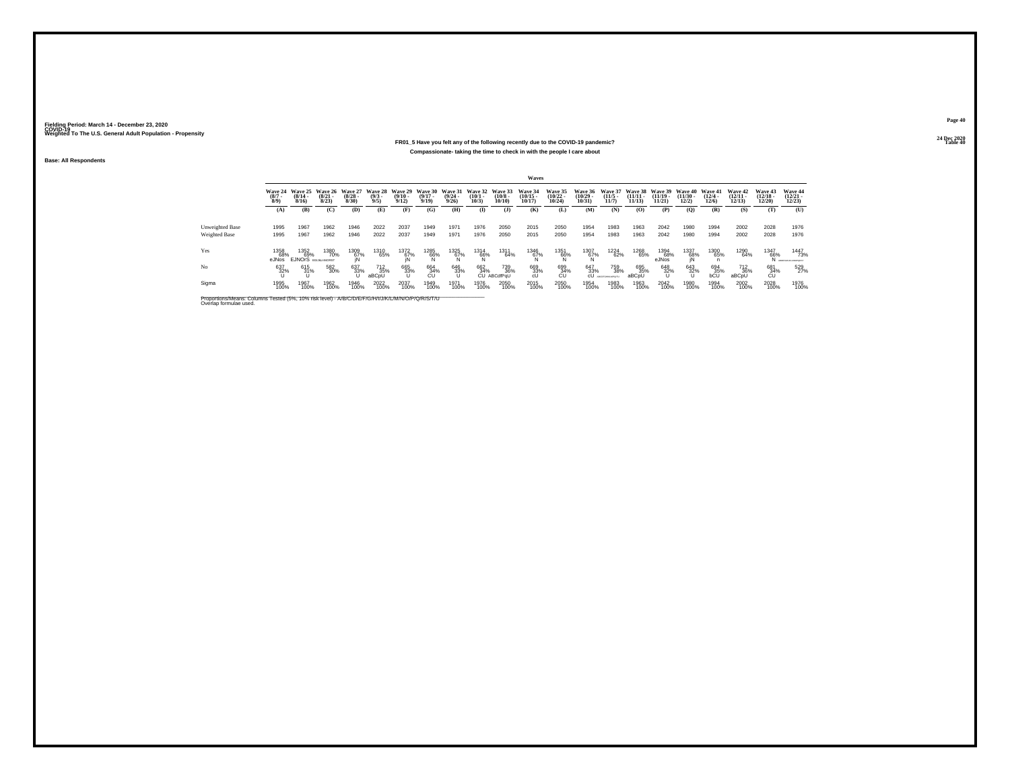#### **24 Dec 2020FR01\_5 Have you felt any of the following recently due to the COVID-19 pandemic?Table 40 Table 40 Table 40 Compassionate- taking the time to check in with the people I care about**

**Base: All Respondents**

|                                                                                                                              |                            |                                         |                              |                                 |                               |                                  |                              |                                  |                              |                                  | Waves                             |                                           |                                       |                              |                              |                                |                                |                              |                                        |                                   |                                    |
|------------------------------------------------------------------------------------------------------------------------------|----------------------------|-----------------------------------------|------------------------------|---------------------------------|-------------------------------|----------------------------------|------------------------------|----------------------------------|------------------------------|----------------------------------|-----------------------------------|-------------------------------------------|---------------------------------------|------------------------------|------------------------------|--------------------------------|--------------------------------|------------------------------|----------------------------------------|-----------------------------------|------------------------------------|
|                                                                                                                              | Wave 24<br>$(8/7 -$<br>8/9 | Wave 25<br>$\frac{(8/14 - 8/16)}{8/16}$ | Wave 26<br>$(8/21 -$<br>8/23 | Wave 27<br>$\binom{8/28}{8/30}$ | Wave 28<br>$\binom{9/3}{9/5}$ | Wave 29<br>$\frac{(9/10)}{9/12}$ | Wave 30<br>$(9/17 -$<br>9/19 | Wave 31<br>$\frac{(9/24)}{9/26}$ | Wave 32<br>$(10/1 -$<br>10/3 | Wave 33<br>$\binom{10/8}{10/10}$ | Wave 34<br>$\binom{10/15}{10/17}$ | <b>Wave 35</b><br>$\frac{(10/22)}{10/24}$ | <b>Wave 36</b><br>$(10/29 -$<br>10/31 | Wave 37<br>$(11/5 -$<br>11/7 | Wave 38<br>(11/11 -<br>11/13 | Wave 39<br>$(11/19 -$<br>11/21 | Wave 40<br>$(11/30 -$<br>12/2) | Wave 41<br>$(12/4 -$<br>12/6 | Wave 42<br>$(12/11 -$<br>12/13         | Wave 43<br>$\binom{12/18}{12/20}$ | Wave 44<br>$\binom{12/21}{12/23}$  |
|                                                                                                                              | (A)                        | (B)                                     | (C)                          | (D)                             | (E)                           | (F)                              | (G)                          | (H)                              | $($ I                        | $($ $)$                          | (K)                               | (L)                                       | (M)                                   | (N)                          | (0)                          | (P)                            | (Q)                            | (R)                          | (S)                                    | (T)                               | (U)                                |
| Unweighted Base                                                                                                              | 1995                       | 1967                                    | 1962                         | 1946                            | 2022                          | 2037                             | 1949                         | 1971                             | 1976                         | 2050                             | 2015                              | 2050                                      | 1954                                  | 1983                         | 1963                         | 2042                           | 1980                           | 1994                         | 2002                                   | 2028                              | 1976                               |
| Weighted Base                                                                                                                | 1995                       | 1967                                    | 1962                         | 1946                            | 2022                          | 2037                             | 1949                         | 1971                             | 1976                         | 2050                             | 2015                              | 2050                                      | 1954                                  | 1983                         | 1963                         | 2042                           | 1980                           | 1994                         | 2002                                   | 2028                              | 1976                               |
| Yes                                                                                                                          | 1358<br>68%<br>eJNos       | 1352<br>69%<br><b>EJNOrS</b> EQUALMORST | 1380<br>70%                  | 1309<br>67%                     | 1310<br>65%                   | 1372<br>67%<br>IN                | 1285<br>66%                  | 1325<br>67%                      | 1314<br>66%                  | 1311<br>64%                      | 1346<br>67%                       | 1351<br>66%                               | 1307<br>67%                           | 1224<br>62%                  | 1268<br>65%                  | 1394<br>68%<br>eJNos           | 1337<br>68%                    | 1300<br>65%                  | 1290<br>64%                            | 1347<br>66%<br>N                  | 1447<br>73%<br>ARCEPCHLIKLMACPORES |
| No                                                                                                                           | 637<br>32%                 | 615<br>31%                              | 582<br>30%                   | 637<br>33%                      | 712<br>35%<br>aBCpU           | 665<br>33%                       | 664<br>34%<br>CU             | 646<br>33%                       | 662<br>34%<br>ĆU             | 739<br>36%<br>ABCdfPaU           | 669<br>33%<br>cU                  | 699<br>34%<br>CU                          | 647<br>33%<br>сU                      | 759<br>38%<br>ARCOR          | 695<br>35%<br>aBCpU          | 648<br>32%                     | 643<br>32%                     | 694<br>35%<br>bCU            | <sup>712</sup> <sub>36%</sub><br>aBCpU | 681<br>34%<br>CU                  | 529<br>27%                         |
| Sigma                                                                                                                        | 1995<br>100%               | 1967<br>100%                            | 1962<br>100%                 | 1946<br>100%                    | 2022<br>100%                  | 2037<br>100%                     | 1949<br>100%                 | 1971<br>100%                     | 1976<br>100%                 | 2050<br>100%                     | 2015<br>100%                      | 2050<br>100%                              | 1954<br>100%                          | 1983<br>100%                 | 1963<br>100%                 | 2042<br>100%                   | 1980<br>100%                   | 1994<br>100%                 | 2002<br>100%                           | 2028<br>100%                      | 1976<br>100%                       |
| Proportions/Means: Columns Tested (5%, 10% risk level) - A/B/C/D/E/F/G/H/I/J/K/L/M/N/O/P/Q/R/S/T/U<br>Overlap formulae used. |                            |                                         |                              |                                 |                               |                                  |                              |                                  |                              |                                  |                                   |                                           |                                       |                              |                              |                                |                                |                              |                                        |                                   |                                    |

**Page 4024 Dec 2020<br>Table 40**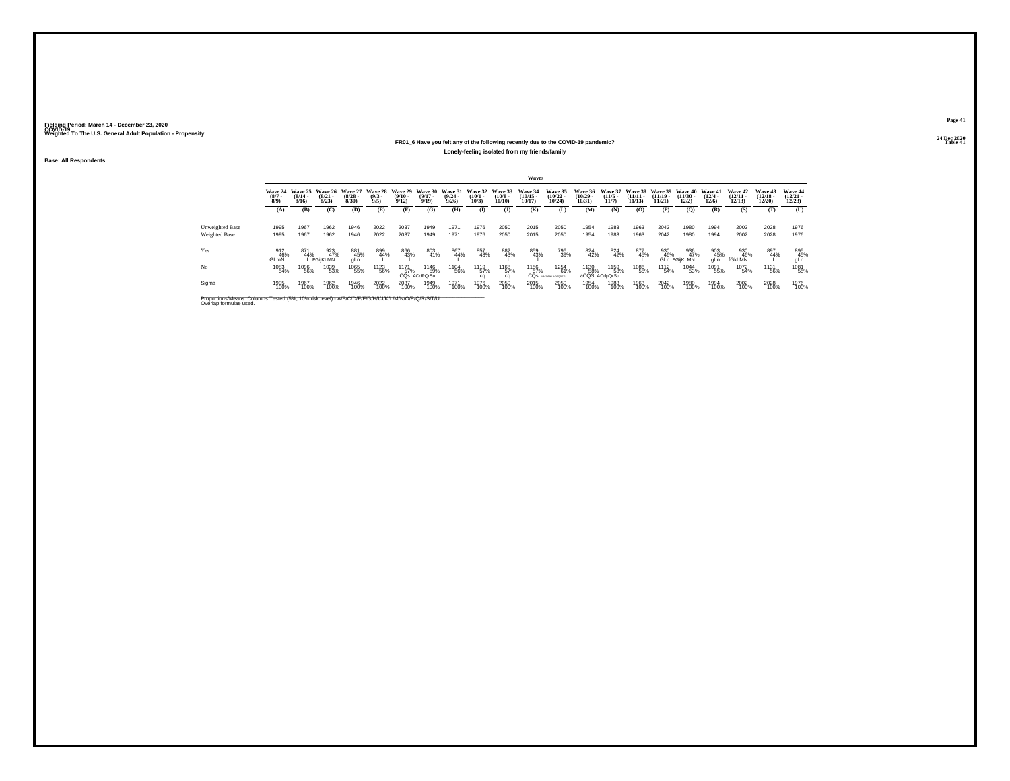#### **24 Dec 2020FR01\_6 Have you felt any of the following recently due to the COVID-19 pandemic?Table 41 Table 41 Table 41 Table 41 Table 41 Table 41 Table 41 Table 41 Lonely-feeling isolated from my friends/family**

**Base: All Respondents**

|                                                                                                                              |                               |                              |                                 |                           |                               |                                         |                                 |                                         |                              |                                  | Waves                          |                                                   |                                   |                                         |                                |                                |                                   |                              |                                |                                          |                                          |
|------------------------------------------------------------------------------------------------------------------------------|-------------------------------|------------------------------|---------------------------------|---------------------------|-------------------------------|-----------------------------------------|---------------------------------|-----------------------------------------|------------------------------|----------------------------------|--------------------------------|---------------------------------------------------|-----------------------------------|-----------------------------------------|--------------------------------|--------------------------------|-----------------------------------|------------------------------|--------------------------------|------------------------------------------|------------------------------------------|
|                                                                                                                              | Wave 24<br>$\binom{8/7}{8/9}$ | Wave 25<br>$(8/14 -$<br>8/16 | Wave 26<br>$\binom{8/21}{8/23}$ | Wave 27<br>(8/28)<br>8/30 | Wave 28<br>$\binom{9/3}{9/5}$ | Wave 29<br>$\frac{(9/10 - 9/12)}{9/12}$ | Wave 30<br>$\binom{9/17}{9/19}$ | Wave 31<br>$\frac{(9/24 - 9/26)}{9/26}$ | Wave 32<br>$(10/1 -$<br>10/3 | Wave 33<br>$\binom{10/8}{10/10}$ | Wave 34<br>$(10/15 -$<br>10/17 | Wave 35<br>$\frac{(10/22)}{10/24}$                | Wave 36<br>$\binom{10/29}{10/31}$ | Wave 37<br>$\frac{(11/5)}{11/7}$        | Wave 38<br>$(11/11 -$<br>11/13 | Wave 39<br>$(11/19 -$<br>11/21 | Wave 40<br>$(11/30 -$<br>12/2)    | Wave 41<br>$(12/4 -$<br>12/6 | Wave 42<br>$(12/11 -$<br>12/13 | <b>Wave 43</b><br>$\binom{12/18}{12/20}$ | <b>Wave 44</b><br>$\binom{12/21}{12/23}$ |
|                                                                                                                              | (A)                           | (B)                          | (C)                             | (D)                       | (E)                           | (F)                                     | (G)                             | (H)                                     | $\bf{I}$                     | $($ $\bf{J}$ )                   | (K)                            | (L)                                               | (M)                               | (N)                                     | (0)                            | (P)                            | (Q)                               | (R)                          | (S)                            | (T)                                      | (U)                                      |
| Unweighted Base                                                                                                              | 1995                          | 1967                         | 1962                            | 1946                      | 2022                          | 2037                                    | 1949                            | 1971                                    | 1976                         | 2050                             | 2015                           | 2050                                              | 1954                              | 1983                                    | 1963                           | 2042                           | 1980                              | 1994                         | 2002                           | 2028                                     | 1976                                     |
| Weighted Base                                                                                                                | 1995                          | 1967                         | 1962                            | 1946                      | 2022                          | 2037                                    | 1949                            | 1971                                    | 1976                         | 2050                             | 2015                           | 2050                                              | 1954                              | 1983                                    | 1963                           | 2042                           | 1980                              | 1994                         | 2002                           | 2028                                     | 1976                                     |
| Yes                                                                                                                          | 912<br>46%<br>GLmN            | 871<br>44%                   | 923<br>47%<br>FGiiKLMN          | 881<br>45%<br>aLn         | 899<br>44%                    | 866<br>43%                              | 803<br>41%                      | 867<br>44%                              | 857<br>43%                   | 882<br>43%                       | 859<br>43%                     | 796<br>39%                                        | 824<br>42%                        | 824<br>42%                              | 877<br>45%                     | 930<br>46%                     | 936<br>47%<br><b>GLn FGilKLMN</b> | 903<br>45%<br>gLn            | 930<br>46%<br>fGkLMN           | 897<br>44%                               | 895<br>45%<br>gLn                        |
| No                                                                                                                           | 1083<br>54%                   | 1096<br>56%                  | 1039<br>53%                     | <sup>1065</sup> 55%       | <sup>1123</sup> 56%           | 1171<br>57%                             | 1146<br>59%<br>CQs ACdPQrSu     | 1104<br>56%                             | 1119<br>57%<br>cq            | <sup>1168</sup> 57%<br>cq        | 1156<br>57%<br>CQs             | <sup>1254</sup><br>61%<br><b>ABCDENILKOPORSTI</b> | 1130<br>58%                       | <sup>1159</sup><br>58%<br>aCQS ACdoQrSu | 1086<br>55%                    | 1112<br>54%                    | 1044<br>53%                       | 1091<br>55%                  | 1072<br>54%                    | <sup>1131</sup> 56%                      | 1081<br>55%                              |
| Sigma                                                                                                                        | 1995<br>100%                  | 1967<br>100%                 | 1962<br>100%                    | 1946<br>100%              | 2022<br>100%                  | 2037<br>100%                            | 1949<br>100%                    | 1971<br>100%                            | 1976<br>100%                 | 2050<br>100%                     | 2015<br>100%                   | 2050<br>100%                                      | 1954<br>100%                      | 1983<br>100%                            | 1963<br>100%                   | 2042<br>100%                   | 1980<br>100%                      | 1994<br>100%                 | 2002<br>100%                   | 2028<br>100%                             | 1976<br>100%                             |
| Proportions/Means: Columns Tested (5%, 10% risk level) - A/B/C/D/E/F/G/H/I/J/K/L/M/N/O/P/Q/R/S/T/U<br>Overlap formulae used. |                               |                              |                                 |                           |                               |                                         |                                 |                                         |                              |                                  |                                |                                                   |                                   |                                         |                                |                                |                                   |                              |                                |                                          |                                          |

**Page 4124 Dec 2020<br>Table 41**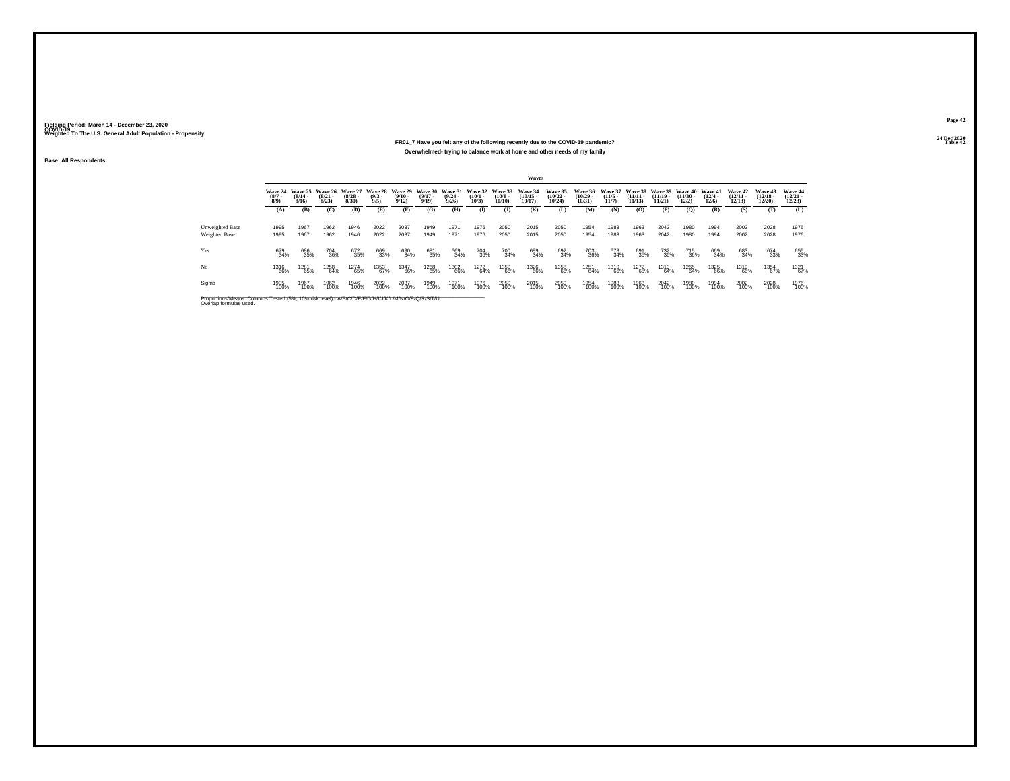#### **24 Dec 2020FR01\_7 Have you felt any of the following recently due to the COVID-19 pandemic?Table 42 Table 42 Table 42 Table 42 Table 42 Table 42 Table 42 Table 42 Overwhelmed- trying to balance work at home and other needs of my family**

**Base: All Respondents**

|                                  |                               |                                  |                                 |                                  |                                       |                                         |                                              |                       |                                         |                       | Waves                             |                                    |                                            |                                 |                             |                                 |                                        |                                       |                                   |                                |                                   |
|----------------------------------|-------------------------------|----------------------------------|---------------------------------|----------------------------------|---------------------------------------|-----------------------------------------|----------------------------------------------|-----------------------|-----------------------------------------|-----------------------|-----------------------------------|------------------------------------|--------------------------------------------|---------------------------------|-----------------------------|---------------------------------|----------------------------------------|---------------------------------------|-----------------------------------|--------------------------------|-----------------------------------|
|                                  | Wave 24<br>$\binom{8/7}{8/9}$ | Wave 25<br>$\frac{(8/14)}{8/16}$ | Wave 26<br>$\binom{8/21}{8/23}$ | Wave 27<br>$\frac{(8/28)}{8/30}$ | <b>Wave 28</b><br>$\frac{(9/3)}{9/5}$ | Wave 29<br>$\frac{(9/10 - 9/12)}{9/12}$ | Wave 30 Wave 31<br>$\frac{(9/17 - 9)}{9/19}$ | $\frac{(9/24)}{9/26}$ | Wave 32 Wave 33<br>$\binom{10/1}{10/3}$ | $\binom{10/8}{10/10}$ | Wave 34<br>$\binom{10/15}{10/17}$ | Wave 35<br>$\frac{(10/22)}{10/24}$ | Wave 36<br>$\frac{(10/29 - 10/31)}{10/31}$ | Wave 37<br>$\binom{11/5}{11/7}$ | Wave 38<br>$\frac{11}{113}$ | $\frac{(11/19 - 11/21)}{11/21}$ | Wave 39 Wave 40<br>$(11/30 -$<br>12/2) | Wave 41<br>$\frac{(12/4 - 12)}{12/6}$ | Wave 42<br>$\binom{12/11}{12/13}$ | Wave 43<br>$(12/18 -$<br>12/20 | Wave 44<br>$\binom{12/21}{12/23}$ |
|                                  | (A)                           | (B)                              | (C)                             | (D)                              | (E)                                   | (F)                                     | (G)                                          | (H)                   | $\bf{D}$                                | $($ $\Gamma$          | (K)                               | (L)                                | (M)                                        | (N)                             | (0)                         | (P)                             | (O)                                    | (R)                                   | (S)                               | (T)                            | (U)                               |
| Unweighted Base<br>Weighted Base | 1995<br>1995                  | 1967<br>1967                     | 1962<br>1962                    | 1946<br>1946                     | 2022<br>2022                          | 2037<br>2037                            | 1949<br>1949                                 | 1971<br>1971          | 1976<br>1976                            | 2050<br>2050          | 2015<br>2015                      | 2050<br>2050                       | 1954<br>1954                               | 1983<br>1983                    | 1963<br>1963                | 2042<br>2042                    | 1980<br>1980                           | 1994<br>1994                          | 2002<br>2002                      | 2028<br>2028                   | 1976<br>1976                      |
|                                  |                               |                                  |                                 |                                  |                                       |                                         |                                              |                       |                                         |                       |                                   |                                    |                                            |                                 |                             |                                 |                                        |                                       |                                   |                                |                                   |
| Yes                              | 679<br>34%                    | 686<br>35%                       | 704<br>36%                      | 672<br>35%                       | 669<br>33%                            | 690<br>34%                              | 681<br>35%                                   | 669<br>34%            | 704<br>36%                              | 700<br>34%            | 689<br>34%                        | 692<br>34%                         | 703<br>36%                                 | 673<br>34%                      | 691<br>35%                  | 732<br>36%                      | 715<br>36%                             | 669<br>34%                            | 683<br>34%                        | 674<br>33%                     | 655<br>33%                        |
| No                               | 1316<br>66%                   | 1281<br>65%                      | 1258<br>64%                     | 1274<br>65%                      | 1353<br>67%                           | 1347<br>66%                             | 1268<br>65%                                  | 1302<br>66%           | 1272<br>64%                             | 1350<br>66%           | 1326<br>66%                       | 1358<br>66%                        | 1251<br>64%                                | 1310<br>66%                     | 1272<br>65%                 | 1310<br>64%                     | 1265<br>64%                            | 1325<br>66%                           | 1319<br>66%                       | 1354<br>67%                    | 1321<br>67%                       |
| Sigma                            | 1995<br>100%                  | 1967<br>100%                     | 1962<br>100%                    | 1946<br>100%                     | 2022<br>100%                          | 2037<br>100%                            | 1949<br>100%                                 | 1971<br>100%          | 1976<br>100%                            | 2050<br>100%          | 2015<br>100%                      | 2050<br>100%                       | 1954<br>100%                               | 1983<br>100%                    | 1963<br>100%                | 2042<br>100%                    | 1980<br>100%                           | 1994<br>100%                          | 2002<br>100%                      | 2028<br>100%                   | 1976<br>100%                      |
|                                  |                               |                                  |                                 |                                  |                                       |                                         |                                              |                       |                                         |                       |                                   |                                    |                                            |                                 |                             |                                 |                                        |                                       |                                   |                                |                                   |

Proportions/Means: Columns Tested (5%, 10% risk level) - *N'B/C/D/E/F/G/H/I/J/K/L/M/N/O/P/Q/R/S/T/U* Overlap formulae used.<br>Overlap formulae used.

**Page 4224 Dec 2020<br>Table 42**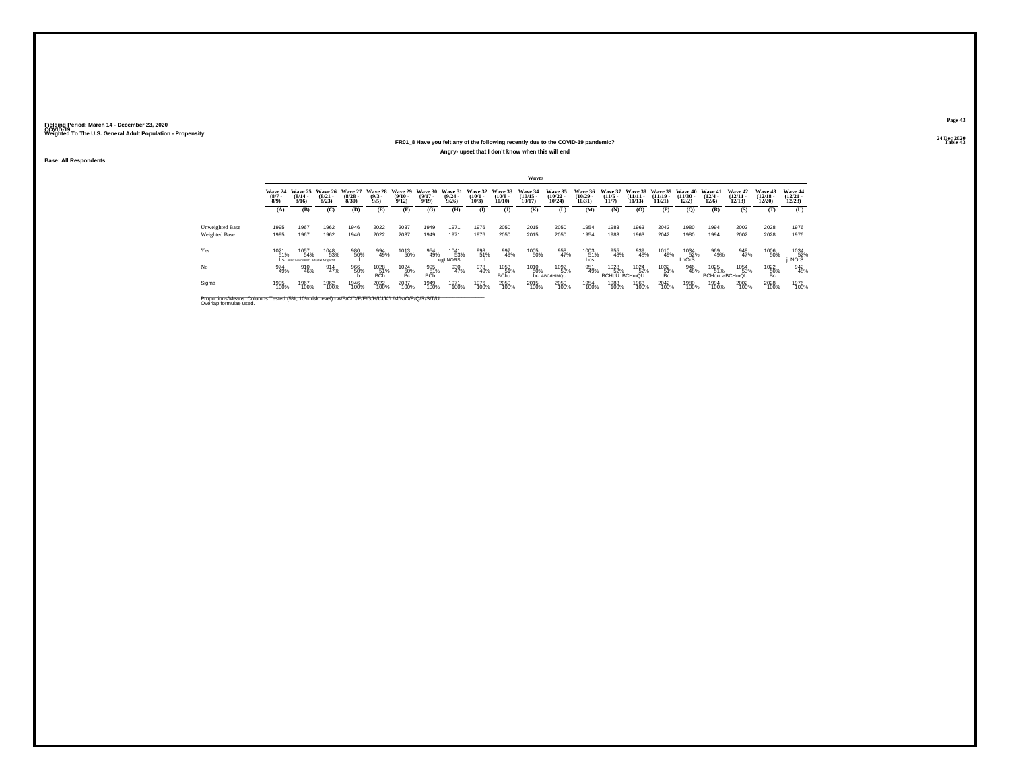#### **24 Dec 2020FR01\_8 Have you felt any of the following recently due to the COVID-19 pandemic?Table 43 Table 43 Angry- upset that I don't know when this will end**

**Base: All Respondents**

|                                                                                                                              |                            |                                              |                                  |                                 |                                |                                  |                              |                                  |                              |                                  | Waves                             |                                           |                                       |                                     |                                |                                |                                |                              |                                   |                                   |                                                              |
|------------------------------------------------------------------------------------------------------------------------------|----------------------------|----------------------------------------------|----------------------------------|---------------------------------|--------------------------------|----------------------------------|------------------------------|----------------------------------|------------------------------|----------------------------------|-----------------------------------|-------------------------------------------|---------------------------------------|-------------------------------------|--------------------------------|--------------------------------|--------------------------------|------------------------------|-----------------------------------|-----------------------------------|--------------------------------------------------------------|
|                                                                                                                              | Wave 24<br>$(8/7 -$<br>8/9 | Wave 25<br>$\frac{(8/14)}{8/16}$             | Wave 26<br>$\frac{(8/21)}{8/23}$ | Wave 27<br>$\binom{8/28}{8/30}$ | Wave 28<br>$\frac{(9/3)}{9/5}$ | Wave 29<br>$\frac{(9/10)}{9/12}$ | Wave 30<br>$(9/17 -$<br>9/19 | Wave 31<br>$\frac{(9/24)}{9/26}$ | Wave 32<br>$(10/1 -$<br>10/3 | Wave 33<br>$\binom{10/8}{10/10}$ | Wave 34<br>$\binom{10/15}{10/17}$ | <b>Wave 35</b><br>$\frac{(10/22)}{10/24}$ | <b>Wave 36</b><br>$(10/29 -$<br>10/31 | <b>Wave 37</b><br>$(11/5 -$<br>11/7 | Wave 38<br>$(11/11 -$<br>11/13 | Wave 39<br>$(11/19 -$<br>11/21 | Wave 40<br>$(11/30 -$<br>12/2) | Wave 41<br>$(12/4 -$<br>12/6 | Wave 42<br>$\binom{12/11}{12/13}$ | Wave 43<br>$\binom{12/18}{12/20}$ | Wave 44<br>$\binom{12/21}{12/23}$                            |
|                                                                                                                              | (A)                        | (B)                                          | (C)                              | (D)                             | (E)                            | (F)                              | (G)                          | (H)                              | $($ I                        | $($ $)$                          | (K)                               | (L)                                       | (M)                                   | (N)                                 | (O)                            | (P)                            | (Q)                            | (R)                          | (S)                               | (T)                               | (U)                                                          |
| Unweighted Base<br>Weighted Base                                                                                             | 1995<br>1995               | 1967<br>1967                                 | 1962<br>1962                     | 1946<br>1946                    | 2022<br>2022                   | 2037<br>2037                     | 1949<br>1949                 | 1971<br>1971                     | 1976<br>1976                 | 2050<br>2050                     | 2015<br>2015                      | 2050<br>2050                              | 1954<br>1954                          | 1983<br>1983                        | 1963<br>1963                   | 2042<br>2042                   | 1980<br>1980                   | 1994<br>1994                 | 2002<br>2002                      | 2028<br>2028                      | 1976<br>1976                                                 |
|                                                                                                                              |                            |                                              |                                  |                                 |                                |                                  |                              |                                  |                              |                                  |                                   |                                           |                                       |                                     |                                |                                |                                |                              |                                   |                                   |                                                              |
| Yes                                                                                                                          | 1021<br>51%                | 1057<br>54%<br>LS GEFGJALNOPRST EIGJALNOORSI | 1048<br>53%                      | 980<br>50%                      | 994<br>49%                     | 1013<br>50%                      | 954<br>49%                   | 1041<br>53%<br>egjLNORS          | 998<br>51%                   | 997<br>49%                       | 1005<br>50%                       | 958<br>47%                                | 1003<br>51%<br>Los                    | 955<br>48%                          | 939<br>48%                     | 1010<br>49%                    | 1034<br>$\overline{52\%}$      | 969<br>49%                   | 948<br>47%                        | 1006<br>50%                       | $\begin{array}{r} 1034 \\ 52\% \\ \text{jLNOTS} \end{array}$ |
| No                                                                                                                           | 974<br>49%                 | 910<br>46%                                   | 914<br>47%                       | 966<br>50%                      | 1028<br>51%<br><b>BCh</b>      | 1024<br>50%<br>Bc                | 995<br>51%<br><b>BCh</b>     | 930<br>47%                       | 978<br>49%                   | 1053<br>51%<br><b>BChu</b>       | 1010<br>50%                       | 1092<br>53%<br><b>bc</b> ABCdHiMQU        | 951<br>49%                            | 1028<br>52%<br><b>BCHaU BCHmQU</b>  | 1024<br>52%                    | 1032<br>51%<br>Bc              | 946<br>48%                     | 1025<br>51%                  | 1054<br>53%<br>BCHqu aBCHmQU      | 1022<br>50%<br>Bc                 | 942<br>48%                                                   |
| Sigma                                                                                                                        | 1995<br>100%               | 1967<br>100%                                 | 1962<br>100%                     | 1946<br>100%                    | 2022<br>100%                   | 2037<br>100%                     | 1949<br>100%                 | 1971<br>100%                     | 1976<br>100%                 | 2050<br>100%                     | 2015<br>100%                      | 2050<br>100%                              | 1954<br>100%                          | 1983<br>100%                        | 1963<br>100%                   | 2042<br>100%                   | 1980<br>100%                   | 1994<br>100%                 | 2002<br>100%                      | 2028<br>100%                      | 1976<br>100%                                                 |
| Proportions/Means: Columns Tested (5%, 10% risk level) - A/B/C/D/E/F/G/H/I/J/K/L/M/N/O/P/Q/R/S/T/U<br>Overlap formulae used. |                            |                                              |                                  |                                 |                                |                                  |                              |                                  |                              |                                  |                                   |                                           |                                       |                                     |                                |                                |                                |                              |                                   |                                   |                                                              |

**Page 4324 Dec 2020<br>Table 43**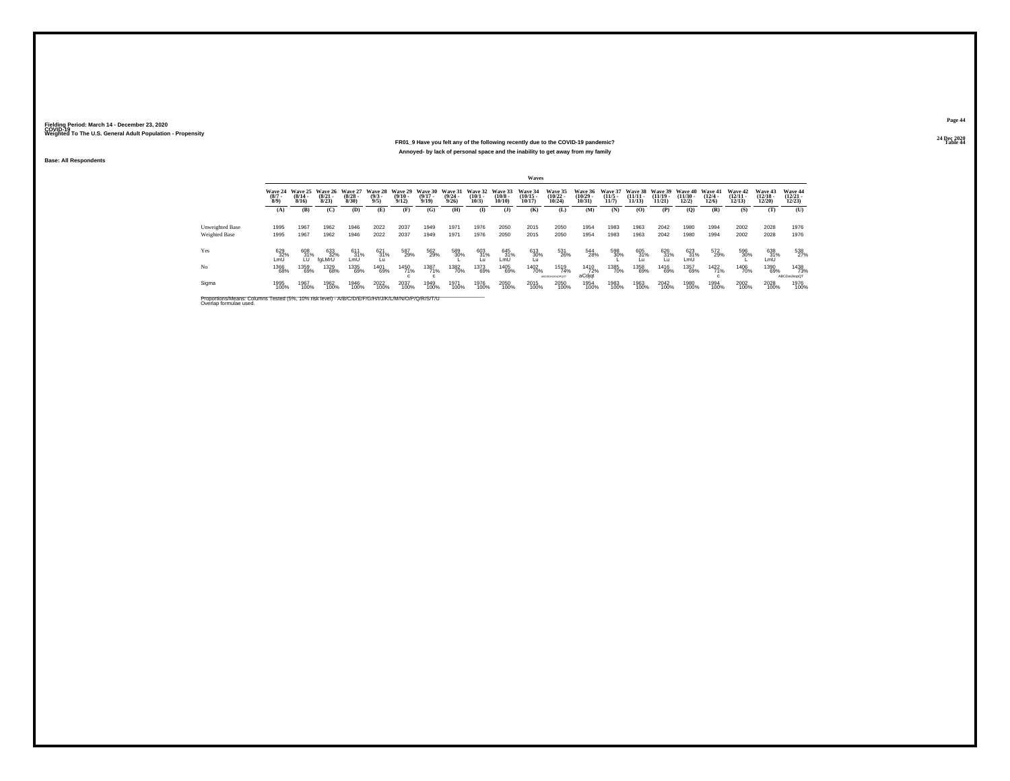#### **24 Dec 2020FR01\_9 Have you felt any of the following recently due to the COVID-19 pandemic?Table 44 Table 44 Table 44 Table 44 Table 44 Table 44 Table 44 Table 44 Table 44 Annoyed- by lack of personal space and the inability to get away from my family**

**Base: All Respondents**

|                 |                               |                                          |                                 |                                  |                                           |                                         |                           |                                                 |                                              |                       | Waves                             |                                    |                                   |                                  |                                            |                         |                             |                                  |                                   |                                   |                                   |
|-----------------|-------------------------------|------------------------------------------|---------------------------------|----------------------------------|-------------------------------------------|-----------------------------------------|---------------------------|-------------------------------------------------|----------------------------------------------|-----------------------|-----------------------------------|------------------------------------|-----------------------------------|----------------------------------|--------------------------------------------|-------------------------|-----------------------------|----------------------------------|-----------------------------------|-----------------------------------|-----------------------------------|
|                 | Wave 24<br>$\binom{8/7}{8/9}$ | Wave 25<br>$\frac{(8/14 \cdot 8)}{8/16}$ | Wave 26<br>$\binom{8/21}{8/23}$ | Wave 27<br>$\frac{(8/28)}{8/30}$ | Wave 28<br>$\binom{9/3}{9/5}$             | Wave 29<br>$\frac{(9/10 - 9/12)}{9/12}$ | $\frac{(9/17 - 9)}{9/19}$ | Wave 30 Wave 31<br>$\frac{(9/24 - 9/26)}{9/26}$ | Wave 32 Wave 33<br>$\binom{10/1 - 10}{10/3}$ | $\binom{10/8}{10/10}$ | Wave 34<br>$\binom{10/15}{10/17}$ | Wave 35<br>$\frac{(10/22)}{10/24}$ | Wave 36<br>$\binom{10/29}{10/31}$ | Wave 37<br>$\frac{(11/5)}{11/7}$ | Wave 38 Wave 39 Wave 40<br>$\frac{11}{11}$ | $\frac{(11/19)}{11/21}$ | $\frac{(11/30 - 12)}{12/2}$ | Wave 41<br>$\frac{(12/4)}{12/6}$ | Wave 42<br>$\binom{12/11}{12/13}$ | Wave 43<br>$\binom{12/18}{12/20}$ | Wave 44<br>$\binom{12/21}{12/23}$ |
|                 | (A)                           | (B)                                      | (C)                             | (D)                              | (E)                                       | (F)                                     | (G)                       | (H)                                             | $\mathbf{I}$                                 | $($ $\Gamma$          | (K)                               | (L)                                | (M)                               | (N)                              | (0)                                        | (P)                     | (Q)                         | (R)                              | (S)                               | (T)                               | (U)                               |
| Unweighted Base | 1995                          | 1967                                     | 1962                            | 1946                             | 2022                                      | 2037                                    | 1949                      | 1971                                            | 1976                                         | 2050                  | 2015                              | 2050                               | 1954                              | 1983                             | 1963                                       | 2042                    | 1980                        | 1994                             | 2002                              | 2028                              | 1976                              |
| Weighted Base   | 1995                          | 1967                                     | 1962                            | 1946                             | 2022                                      | 2037                                    | 1949                      | 1971                                            | 1976                                         | 2050                  | 2015                              | 2050                               | 1954                              | 1983                             | 1963                                       | 2042                    | 1980                        | 1994                             | 2002                              | 2028                              | 1976                              |
| Yes             | 629<br>32%<br>LmU             | 608<br>31%                               | 633<br>32%<br>faLMrU            | 611<br>31%<br>LmU                | $\underset{\mathsf{L}\mathsf{u}}{^{621}}$ | 587<br>29%                              | 562<br>29%                | 589<br>30%                                      | 603<br>31%                                   | 645<br>31%<br>LmU     | 613<br>30%                        | 531<br>26%                         | 544<br>28%                        | 598<br>30%                       | 605<br>31%<br>Lu                           | 626<br>31%<br>Ĺυ        | 623<br>31%<br>LmÜ           | 572<br>29%                       | 596<br>30%                        | 638<br>31%<br>LmU                 | 538<br>27%                        |
| Nο              | <sup>1366</sup> 68%           | 1359<br>69%                              | 1329<br>68%                     | 1335<br>69%                      | 1401<br>69%                               | 1450<br>71%                             | 1387<br>71%               | 1382<br>70%                                     | 1373<br>69%                                  | 1405<br>69%           | 1402<br>70%                       | 1519<br>74%<br>ARCORNENADOS"       | <sup>1410</sup> 72%<br>aCdjqt     | 1385<br>70%                      | 1358<br>69%                                | 1416<br>69%             | 1357<br>69%                 | 1422<br>71%                      | 1406<br>70%                       | 1390<br>69%                       | 1438<br>73%<br>ABCDeiJkopQT       |
| Sigma           | 1995<br>100%                  | 1967<br>100%                             | 1962<br>100%                    | 1946<br>100%                     | 2022<br>100%                              | 2037<br>100%                            | 1949<br>100%              | 1971<br>100%                                    | 1976<br>100%                                 | 2050<br>100%          | 2015<br>100%                      | 2050<br>100%                       | 1954<br>100%                      | 1983<br>100%                     | 1963<br>100%                               | 2042<br>100%            | 1980<br>100%                | 1994<br>100%                     | 2002<br>100%                      | 2028<br>100%                      | 1976<br>100%                      |

Proportions/Means: Columns Tested (5%, 10% risk level) - *N'B/C/D/E/F/G/H/I/J/K/L/M/N/O/P/Q/R/S/T/U* Overlap formulae used.<br>Overlap formulae used.

**Page 4424 Dec 2020<br>Table 44**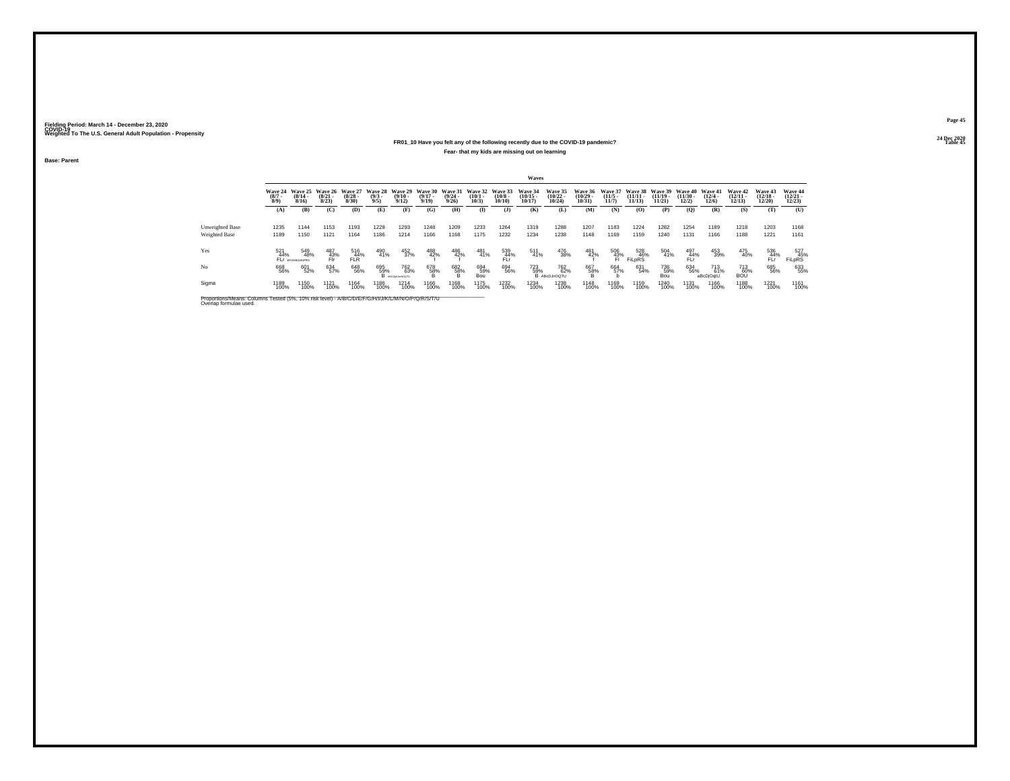#### **24 Dec 2020FR01\_10 Have you felt any of the following recently due to the COVID-19 pandemic?Table 45 Table 45 Table 45 Table 45 Table 45 Table 45 Fear- that my kids are missing out on learning**

**Base: Parent**

|                                                                                                                              |                               |                                     |                                 |                                 |                               |                                                |                                  |                              |                              |                               | Waves                             |                                            |                                |                                         |                                |                                |                                                          |                              |                                |                                          |                                          |
|------------------------------------------------------------------------------------------------------------------------------|-------------------------------|-------------------------------------|---------------------------------|---------------------------------|-------------------------------|------------------------------------------------|----------------------------------|------------------------------|------------------------------|-------------------------------|-----------------------------------|--------------------------------------------|--------------------------------|-----------------------------------------|--------------------------------|--------------------------------|----------------------------------------------------------|------------------------------|--------------------------------|------------------------------------------|------------------------------------------|
|                                                                                                                              | Wave 24<br>$\binom{8/7}{8/9}$ | Wave 25<br>$\frac{(8/14)}{8/16}$    | Wave 26<br>$\binom{8/21}{8/23}$ | Wave 27<br>$\binom{8/28}{8/30}$ | Wave 28<br>$\binom{9/3}{9/5}$ | Wave 29<br>$\frac{(9/10 - 9/12)}{9/12}$        | Wave 30<br>$\frac{(9/17)}{9/19}$ | Wave 31<br>$(9/24 -$<br>9/26 | Wave 32<br>$(10/1 -$<br>10/3 | Wave 33<br>$(10/8 -$<br>10/10 | Wave 34<br>$\binom{10/15}{10/17}$ | Wave 35<br>$\frac{(10/22 - 10/24)}{10/24}$ | Wave 36<br>$(10/29 -$<br>10/31 | Wave 37<br>$\frac{(11/5)}{11/7}$        | Wave 38<br>$(11/11 -$<br>11/13 | Wave 39<br>$(11/19 -$<br>11/21 | Wave 40<br>$(11/30 -$<br>12/2)                           | Wave 41<br>$(12/4 -$<br>12/6 | Wave 42<br>$(12/11 -$<br>12/13 | <b>Wave 43</b><br>$\binom{12/18}{12/20}$ | <b>Wave 44</b><br>$\binom{12/21}{12/23}$ |
|                                                                                                                              | (A)                           | (B)                                 | (C)                             | (D)                             | (E)                           | (F)                                            | (G)                              | (H)                          | $\mathbf{I}$                 | $($ $)$                       | (K)                               | (L)                                        | (M)                            | (N)                                     | (O)                            | (P)                            | (Q)                                                      | (R)                          | (S)                            | (T)                                      | (U)                                      |
| Unweighted Base<br>Weighted Base                                                                                             | 1235<br>1189                  | 1144<br>1150                        | 1153<br>1121                    | 1193<br>1164                    | 1228<br>1186                  | 1293<br>1214                                   | 1248<br>1166                     | 1209<br>1168                 | 1233<br>1175                 | 1264<br>1232                  | 1319<br>1234                      | 1288<br>1238                               | 1207<br>1148                   | 1183<br>1169                            | 1224<br>1159                   | 1282<br>1240                   | 1254<br>1131                                             | 1189<br>1166                 | 1218<br>1188                   | 1203<br>1221                             | 1168<br>1161                             |
| Yes                                                                                                                          | 521                           | 549                                 | 487                             | 516                             |                               |                                                |                                  |                              |                              |                               | 511                               |                                            |                                |                                         |                                |                                |                                                          |                              |                                |                                          | 527                                      |
|                                                                                                                              | 44%                           | 48%<br>FLI <sup>F</sup> EFGHIKLMORS | 43%<br>Fir"                     | 44%<br><b>FLR</b>               | 490<br>41%                    | 452<br>37%                                     | 488<br>42%                       | 486<br>42%                   | 481<br>41%                   | 539<br>44%<br>FLr             | 41%                               | 476<br>38%                                 | 481<br>42%                     | $^{506}_{\substack{43\% \\ \text{FI}}}$ | 528<br>46%<br><b>FiLpRS</b>    | 504<br>41%                     | $\begin{array}{c} 497 \\ 44\% \\ \text{FLr} \end{array}$ | 453<br>39%                   | 475<br>40%                     | 536<br>44%<br>FĹŕ                        | FILpRS                                   |
| No                                                                                                                           | 668<br>56%                    | 601<br>52%                          | 634<br>57%                      | 648<br>56%                      | 695<br>59%<br>в               | <sup>762</sup> <sub>63%</sub><br>ABCDshJmNOQTL | 678<br>58%<br>B                  | 682<br>58%<br>B              | 694<br>59%<br>Bou            | 694<br>56%                    | 723<br>59%                        | <sup>762</sup> %<br>B ABcDJnOQTU           | 667<br>58%                     | 664<br>57%                              | 631<br>54%                     | 736<br>59%<br>Bou              | 634<br>56%                                               | 713<br>61%<br>aBcDjOqtU      | 713<br>60%<br><b>BOU</b>       | 685<br>56%                               | 633<br>55%                               |
| Sigma                                                                                                                        | 1189<br>100%                  | 1150<br>100%                        | 1121<br>100%                    | 1164<br>100%                    | 1186<br>100%                  | 1214<br>100%                                   | 1166<br>100%                     | 1168<br>100%                 | <sup>1175</sup><br>100%      | 1232<br>100%                  | 1234<br>100%                      | 1238<br>100%                               | 1148<br>100%                   | 1169<br>100%                            | 1159<br>100%                   | 1240<br>100%                   | 1131<br>100%                                             | 1166<br>100%                 | 1188<br>100%                   | 1221<br>100%                             | 1161<br>100%                             |
| Proportions/Means: Columns Tested (5%, 10% risk level) - A/B/C/D/E/F/G/H/I/J/K/L/M/N/O/P/Q/R/S/T/U<br>Overlap formulae used. |                               |                                     |                                 |                                 |                               |                                                |                                  |                              |                              |                               |                                   |                                            |                                |                                         |                                |                                |                                                          |                              |                                |                                          |                                          |

**Page 4524 Dec 2020<br>Table 45**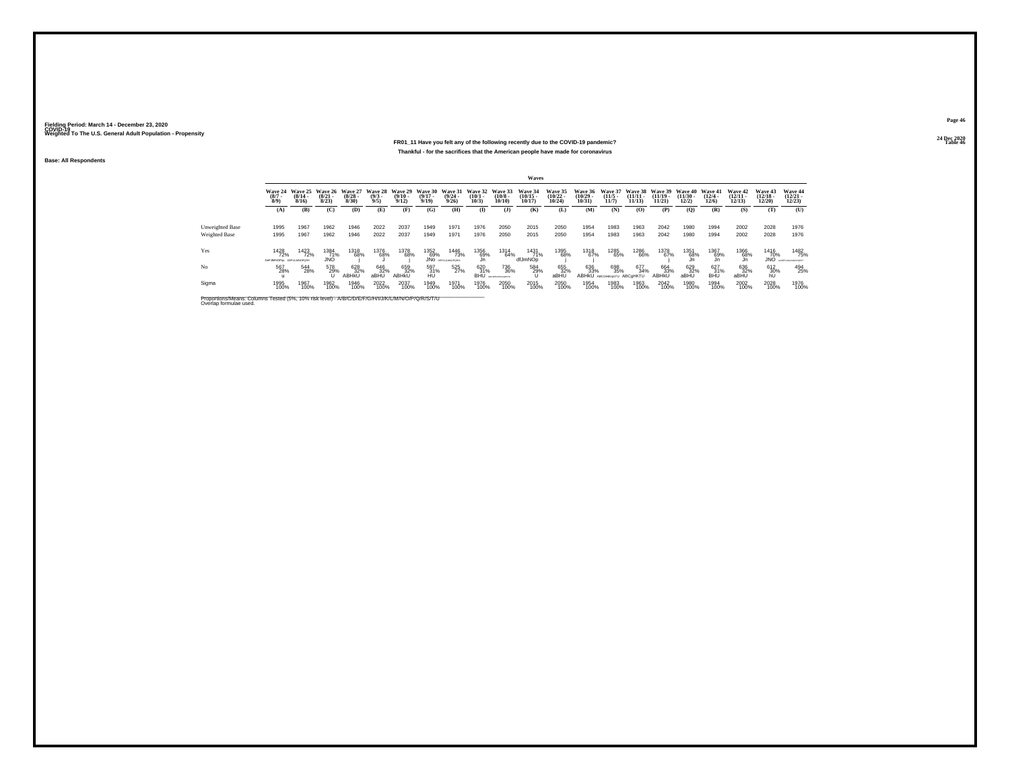#### **24 Dec 2020FR01\_11 Have you felt any of the following recently due to the COVID-19 pandemic?Table 46 Table 46 Table 46 Table 46 Table 46 Table 46 Table 46 Table 46 Thankful - for the sacrifices that the American people have made for coronavirus**

**Base: All Respondents**

|                                                                                                                              |                                        |                                  |                              |                                 |                               |                                  |                              |                                  |                              |                                  | Waves                             |                                    |                                |                              |                              |                                |                                |                              |                                |                                |                                     |
|------------------------------------------------------------------------------------------------------------------------------|----------------------------------------|----------------------------------|------------------------------|---------------------------------|-------------------------------|----------------------------------|------------------------------|----------------------------------|------------------------------|----------------------------------|-----------------------------------|------------------------------------|--------------------------------|------------------------------|------------------------------|--------------------------------|--------------------------------|------------------------------|--------------------------------|--------------------------------|-------------------------------------|
|                                                                                                                              | Wave 24<br>$(8/7 -$<br>8/9             | Wave 25<br>$\frac{(8/14)}{8/16}$ | Wave 26<br>$(8/21 -$<br>8/23 | Wave 27<br>$\binom{8/28}{8/30}$ | Wave 28<br>$\binom{9/3}{9/5}$ | Wave 29<br>$\frac{(9/10)}{9/12}$ | Wave 30<br>$(9/17 -$<br>9/19 | Wave 31<br>$\frac{(9/24)}{9/26}$ | Wave 32<br>$(10/1 -$<br>10/3 | Wave 33<br>$\binom{10/8}{10/10}$ | Wave 34<br>$\binom{10/15}{10/17}$ | Wave 35<br>$\frac{(10/22)}{10/24}$ | Wave 36<br>$(10/29 -$<br>10/31 | Wave 37<br>$(11/5 -$<br>11/7 | Wave 38<br>(11/11 -<br>11/13 | Wave 39<br>$(11/19 -$<br>11/21 | Wave 40<br>$(11/30 -$<br>12/2) | Wave 41<br>$(12/4 -$<br>12/6 | Wave 42<br>$(12/11 -$<br>12/13 | Wave 43<br>$(12/18 -$<br>12/20 | Wave 44<br>$\binom{12/21}{12/23}$   |
|                                                                                                                              | (A)                                    | (B)                              | (C)                          | (D)                             | (E)                           | (F)                              | (G)                          | (H)                              | $($ I                        | $($ $)$                          | (K)                               | (L)                                | (M)                            | (N)                          | (0)                          | (P)                            | (Q)                            | (R)                          | (S)                            | (T)                            | (U)                                 |
| Unweighted Base                                                                                                              | 1995                                   | 1967                             | 1962                         | 1946                            | 2022                          | 2037                             | 1949                         | 1971                             | 1976                         | 2050                             | 2015                              | 2050                               | 1954                           | 1983                         | 1963                         | 2042                           | 1980                           | 1994                         | 2002                           | 2028                           | 1976                                |
| Weighted Base                                                                                                                | 1995                                   | 1967                             | 1962                         | 1946                            | 2022                          | 2037                             | 1949                         | 1971                             | 1976                         | 2050                             | 2015                              | 2050                               | 1954                           | 1983                         | 1963                         | 2042                           | 1980                           | 1994                         | 2002                           | 2028                           | 1976                                |
| Yes                                                                                                                          | 1428<br>72%<br>DeFJMNOPos DEFLUMNOPORS | 1423<br>72%                      | 1384<br>71%<br>JNO           | 1318<br>68%                     | 1376<br>68%                   | 1378<br>68%                      | 1352                         | 1446<br>69% 73<br>73%            | 1356<br>69%<br>J'n           | 1314<br>64%                      | 1431<br>71%<br>dfJmNOp            | 1395<br>68%                        | 1318<br>67%                    | 1285<br>65%                  | 1286<br>66%                  | 1378<br>67%                    | 1351<br>68%                    | 1367<br>69%                  | 1366<br>68%<br>Jn              | 1416<br>70%<br>JNŐ             | 1482<br>75%<br>LIN'S BANK MOTORS TO |
| No                                                                                                                           | 567<br>28%<br>$\mathbf{u}$             | 544<br>28%                       | 578<br>29%                   | 628<br>32%<br>ABHkU             | 646<br>32%<br>aBHU            | 659<br>32%<br>ABHKU              | 597<br>31%<br><b>HU</b>      | 525<br>27%                       | 620<br>31%<br>BHU            | 736<br>36%<br>ABC/ESHRON/ORST/   | 584<br>29%                        | 655<br>32%<br>aBHU                 | 636<br>33%<br>ABHKU            | 698<br>35%<br>ABCGHKgrsTU    | 677<br>34%<br>ABCqHKTU       | 664<br>33%<br>ABHkU            | 629<br>32%<br>aBHU             | 627<br>31%<br><b>BHL</b>     | 636<br>32%<br>aBHU             | 612<br>30%<br>hU               | 494<br>25%                          |
| Sigma                                                                                                                        | 1995<br>100%                           | 1967<br>100%                     | 1962<br>100%                 | 1946<br>100%                    | 2022<br>100%                  | 2037<br>100%                     | 1949<br>100%                 | 1971<br>100%                     | 1976<br>100%                 | 2050<br>100%                     | 2015<br>100%                      | 2050<br>100%                       | 1954<br>100%                   | 1983<br>100%                 | 1963<br>100%                 | 2042<br>100%                   | 1980<br>100%                   | 1994<br>100%                 | 2002<br>100%                   | 2028<br>100%                   | 1976<br>100%                        |
| Proportions/Means: Columns Tested (5%, 10% risk level) - A/B/C/D/E/F/G/H/I/J/K/L/M/N/O/P/Q/R/S/T/U<br>Overlap formulae used. |                                        |                                  |                              |                                 |                               |                                  |                              |                                  |                              |                                  |                                   |                                    |                                |                              |                              |                                |                                |                              |                                |                                |                                     |

**Page 4624 Dec 2020<br>Table 46**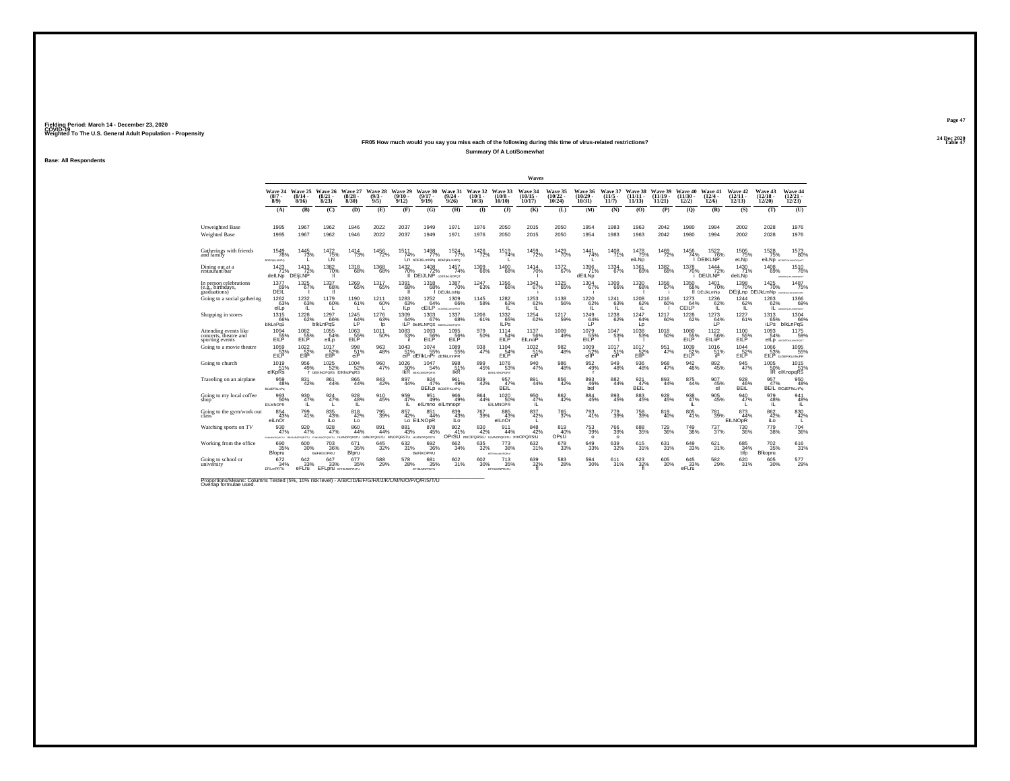#### **24 Dec 2020FR05 How much would you say you miss each of the following during this time of virus-related restrictions?Table 47 Table 47 Table 47 Table 47 Table 47 Table 47 Table 47 Table 47 Summary Of A Lot/Somewhat**

**Base: All Respondents**

|                                                                                                                             |                                    |                                   |                                           |                                  |                            |                                |                                          |                                        |                               |                                                  | Waves                          |                                |                                 |                               |                                |                                |                                |                                         |                                  |                                          |                                             |
|-----------------------------------------------------------------------------------------------------------------------------|------------------------------------|-----------------------------------|-------------------------------------------|----------------------------------|----------------------------|--------------------------------|------------------------------------------|----------------------------------------|-------------------------------|--------------------------------------------------|--------------------------------|--------------------------------|---------------------------------|-------------------------------|--------------------------------|--------------------------------|--------------------------------|-----------------------------------------|----------------------------------|------------------------------------------|---------------------------------------------|
|                                                                                                                             | Wave 24<br>$(8/7 -$<br>$8/9$ )     | Wave 25<br>$(8/14 -$<br>8/16      | Wave 26<br>$(8/21 -$<br>8/23              | Wave 27<br>$\binom{8/28}{8/30}$  | Wave 28<br>$(9/3 -$<br>9/5 | Wave 29<br>$(9/10 -$<br>9/12   | Wave 30<br>$(9/17 -$<br>9/19             | Wave 31<br>$(9/24 -$<br>9/26           | Wave 32<br>$(10/1 -$<br>10/3) | Wave 33<br>$(10/8 -$<br>10/10                    | Wave 34<br>$(10/15 -$<br>10/17 | Wave 35<br>$(10/22 -$<br>10/24 | Wave 36<br>(10/29)<br>$10/31$ ) | Wave 37<br>$(11/5 -$<br>11/7  | Wave 38<br>$(11/11 -$<br>11/13 | Wave 39<br>$(11/19 -$<br>11/21 | Wave 40<br>$(11/30 -$<br>12/2) | Wave 41<br>$\frac{(12/4 - 12)}{(12/6)}$ | Wave 42<br>$(12/11 -$<br>12/13   | Wave 43<br>$\binom{12/18}{12/20}$        | Wave 44<br>$\binom{12/21}{12/23}$           |
|                                                                                                                             | (A)                                | (B)                               | (C)                                       | (D)                              | (E)                        | (F)                            | (G)                                      | (H)                                    | $\mathbf{D}$                  | $\bf{d}$                                         | (K)                            | (L)                            | (M)                             | (N)                           | (0)                            | (P)                            | (Q)                            | (R)                                     | (S)                              | (T)                                      | (U)                                         |
| <b>Unweighted Base</b><br>Weighted Base                                                                                     | 1995<br>1995                       | 1967<br>1967                      | 1962<br>1962                              | 1946<br>1946                     | 2022<br>2022               | 2037<br>2037                   | 1949<br>1949                             | 1971<br>1971                           | 1976<br>1976                  | 2050<br>2050                                     | 2015<br>2015                   | 2050<br>2050                   | 1954<br>1954                    | 1983<br>1983                  | 1963<br>1963                   | 2042<br>2042                   | 1980<br>1980                   | 1994<br>1994                            | 2002<br>2002                     | 2028<br>2028                             | 1976<br>1976                                |
| Gatherings with friends<br>and family                                                                                       | 1549<br>78%<br>OGRALINITION        | 1445<br>73%                       | 1472<br>75%                               | 1414<br>73%                      | 1456<br>72%                | 1511<br>74%                    | 1498<br>77%<br>Ln PDEIKLWNbd BDEIfKTWNbd | 1524<br>77%                            | 1426<br>72%                   | 1519<br>74%                                      | 1459<br>72%                    | 1429<br>70%                    | 1441<br>74%                     | 1408<br>71%                   | 1478<br>75%<br>eiLNp           | 1469<br>72%                    | 1456<br>74%                    | 1522<br>76%<br>DEIKLNP                  | 1505<br>75%<br>eLNp              | 1528<br>75%                              | 1573<br>80%<br>eiLNp accessive involves     |
| Dining out at a<br>restaurant/bar                                                                                           | $1423$<br>$71%$<br>delLNp          | $^{1413}_{72\%}$<br><b>DEILNP</b> | 1382<br>70%<br>$\mathbf{I}$               | $^{1318}_{68\%}$                 | $^{1368}_{\  \  \, 68\%}$  | 1432<br>70%<br>ш               | $^{1408}_{72\%}$<br><b>DEIJLNP</b>       | $1457$<br>$74%$<br>CDEILMLNOPOT        | 1309<br>66%                   | $^{1400}_{68\%}$                                 | 1414<br>70%                    | 1372<br>67%                    | $1396$<br>$71%$<br>dEILNp       | $^{1334}_{67\%}$              | 1361<br>69%                    | $^{1382}_{\  \  \, 68\%}$      | 1378<br>70%                    | $\frac{1444}{72\%}$<br><b>DEIJLNP</b>   | 1430<br>71%<br>delLNp            | 1408<br>69%                              | <sup>1510</sup> 76%<br>ABCORPOLASMONDHOMET  |
| In person celebrations<br>(e.g., birthdays.<br>graduations)                                                                 | 1377<br>69%<br>DEÏĹ                | $^{1325}_{67\%}$                  | 1337<br>68%<br>T                          | 1269<br>65%                      | 1317<br>65%                | 1391<br>68%<br>л               | 1318<br>68%                              | 1387<br>70%<br>I DEIJkLmNp             | <sup>1247</sup> 63%           | $^{1356}_{66\%}$                                 | 1343<br>67%                    | $^{1325}_{65\%}$               | 1304<br>67%                     | $^{1309}_{66\%}$              | 1330<br>68%                    | 1358<br>67%                    | $^{1350}_{68\%}$               | 1401<br>70%<br>II DEIJkLmNp             | 1398<br>70%<br>DEIjLnp DEIJkLmNp | 1425<br>70%                              | 1487<br>75%<br><b>SERVICE DE LIGITATION</b> |
| Going to a social gathering                                                                                                 | 1262<br>63%<br>elLp                | 1232<br>63%<br>IL.                | 1179<br>60%<br>L                          | 1190<br>61%<br>L                 | 1211<br>60%<br>L.          | 1283<br>63%<br>ILp             | 1252<br>64%<br>CEILP                     | 1309<br>66%<br><b>NODERALmeOPRST</b>   | 1145<br>58%                   | 1282<br>63%<br>IL.                               | 1253<br>62%<br>IL.             | 1138<br>56%                    | 1220<br>62%<br>1L.              | 1241<br>63%<br>1L             | 1208<br>62%<br>iL              | 1216<br>60%                    | 1273<br>CEILP <sup>64%</sup>   | 1236<br>62%<br>TL.                      | 1244<br>62%<br>1L.               | 1263<br>62%<br>1L.                       | 1366<br>69%<br><b>MCDEPSUKLMOPORER</b>      |
| Shopping in stores                                                                                                          | 1315<br>66%<br>blkLnPqS            | $\substack{1228 \\ 62\%}$         | $^{1297}_{66\%}$<br>blkLnPqS              | $1245$<br>64%<br><b>LP</b>       | $^{1276}_{63\%}$<br>Ip     | 1309<br>64%<br>iLP             | $^{1303}_{67\%}$<br>BelKLNPQS            | 1337<br>68%<br><b>BISTIKLHNOPORS</b>   | $^{1206}_{61\%}$              | $^{1332}_{65\%}$<br><b>ILPs</b>                  | $^{1254}_{62\%}$               | 1217<br>59%                    | 1249<br>64%<br>LP               | $^{1238}_{62\%}$              | 1247<br>64%<br>Lp              | 1217<br>60%                    | <sup>1228</sup> 62%            | $^{1273}_{64\%}$<br><b>IP</b>           | $1227 \atop 61\%$                | 1313<br>65%<br><b>iLPs</b>               | 1304<br>66%<br>blkLnPqS                     |
| Attending events like<br>concerts, theatre and<br>sporting events                                                           | 1094<br>EILP                       | 1082<br>55%<br>EILP               | 1055<br>54%<br>elLp                       | 1063<br>55%<br>EILP              | 1011<br>50%                | 1083<br>53%                    | 1093<br>EILP                             | 1095<br>56%<br>EILP                    | 979<br>50%                    | 1114<br>EILP                                     | 1137<br>56%<br>EILnoP          | 1009<br>49%                    | 1079<br>55%<br>EILP             | 1047<br>53%                   | $1038$<br>53%                  | 1018<br>50%                    | 1080<br>55%<br>EILP            | 1122<br>56%<br>EILnP                    | 1100<br>EILP                     | 1093<br>54%                              | 1175<br>59%<br>eILD ARCOGENAMINOPOST        |
| Going to a movie theatre                                                                                                    | 1059<br>53%<br>EILP                | $^{1022}_{-52\%}$<br>EliP         | 1017<br>52%<br>EIIP                       | 998<br>51%<br>eiP                | $\frac{963}{48\%}$         | 1043<br>51%                    | 1074<br>55%<br>eiP dEfikLnPr dEfikLmnPR  | 1089<br>55%                            | 938<br>47%                    | 1104<br>54%<br>FII P                             | 1032<br>51%<br>eiP             | 982<br>48%                     | 1009<br>52%<br>ellP             | 1017<br>51%<br>eiP            | 1017<br>EIP                    | 951<br>47%                     | 1039<br>52%<br>EILP            | 1016<br>51%<br>iP                       | 1044<br>52%<br>EILP              | 1066<br>53%                              | 1095<br>55%<br>EILP <b>bCDEFIKL</b> mNoPR   |
| Going to church                                                                                                             | 1019<br>51%<br>elKpRs              | 956<br>49%                        | $1025$<br>52%<br>I BEIKINOPORS EIKInoPqRS | $^{1004}_{52\%}$                 | 960<br>47%                 | 1026<br>50%                    | 1047<br>54%<br><b>IKR</b> BEISLANDPORS:  | 998<br>51%<br><b>IKR</b>               | 899<br>45%                    | 1076<br>53%<br><b><i><u>BEIKLMNOPORS</u></i></b> | 940<br>47%                     | 986<br>48%                     | 952<br>49%<br><b>r</b>          | 949<br>48%                    | 936<br>48%                     | $\frac{968}{47\%}$             | 942<br>48%                     | 892<br>45%                              | 945<br>47%                       | 1005                                     | 1015<br>50% 51%<br>IR elKnopqRS<br>51%      |
| Traveling on an airplane                                                                                                    | 959<br>48%<br><b>BCdEFIkLnPq</b>   | 831<br>42%                        | 861<br>44%                                | 865<br>44%                       | 843<br>42%                 | 897<br>44%                     | 924<br>47%                               | 961<br>49%<br><b>BEILD BCDEFIKLNPQ</b> | 839<br>42%                    | 957<br>47%<br>BEÎL                               | 891<br>44%                     | 856<br>42%                     | 893<br>46%<br>bel               | 882<br>44%                    | 921<br>47%<br><b>BEIL</b>      | 893<br>44%                     | 875<br>44%                     | 907<br>45%<br>el                        | 928<br>46%<br>BEIL               | 957<br>47%<br>BEÎL                       | 950<br>48%<br>BCdEFIkLnPg                   |
| Going to my local coffee<br>shop.                                                                                           | 993<br>50%<br><b>EILMNOPR</b>      | 930<br>47%<br>iL                  | 924<br>47%<br><b>L</b>                    | 928<br>48%<br>IL                 | $\frac{910}{45\%}$         | 959<br>47%<br>iL               | 951<br>49%<br>elLmno elLmnopr            | 966<br>49%                             | 864<br>44%                    | $^{1020}_{50\%}$<br><b>EILMNOPR</b>              | 950<br>47%<br>iL.              | $\frac{862}{42\%}$             | 884<br>45%                      | 893<br>45%                    | 883<br>45%                     | 928<br>45%                     | 938<br>47%<br>iL               | $\substack{905 \\ 45\%}$                | 940<br>47%                       | 979<br>48%<br>IL.                        | 941<br>48%<br>iL.                           |
| Going to the gym/work out                                                                                                   | 854<br>43%<br>eiLnOr               | 799<br>41%                        | 835<br>43%<br>iLo                         | $818 \over 42\%$<br>Lo           | <sup>795</sup> 39%         | 857<br>42%                     | 851<br>44%<br>Lo EILNO <sub>DR</sub>     | 839<br>43%<br>iLo                      | 767<br>39%                    | 885<br>43%<br>elLnOr                             | 837<br>42%                     | 765<br>37%                     | 793<br>41%                      | 779<br>39%                    | 758<br>39%                     | 819<br>40%                     | $\substack{805 \\ 41\%}$       | 781<br>39%                              | 873<br>44%<br><b>EILNOpR</b>     | $862$<br>$42%$<br>iLo                    | 830<br>42%                                  |
| Watching sports on TV                                                                                                       | 930<br>47%<br>HINAMORORSTU SEKLARI | 920<br>47%<br>PORSTU FHIKLA       | 928<br>47%<br>OPORSTU                     | 860<br>44%<br><b>HLMNOPORSTU</b> | 891<br>44%                 | 881<br>43%<br>PORSTU MNOPORSTU | 878<br>45%<br><b>HLMNOPGRSTU</b>         | 802<br>41%                             | 830<br>42%<br>OPrSU mnOPQRStU | 911<br>44%<br><b>HUMNOPORSTU MINOPORSIU</b>      | 848<br>42%                     | 819<br>40%<br>OPsU             | $^{753}_{39\%}$<br>$\circ$      | <sup>766</sup> 39%<br>$\circ$ | 688<br>35%                     | 729<br>36%                     | 749<br>38%                     | 737 <sub>9%</sub>                       | $\substack{730 \\ 36\%}$         | 779<br>38%                               | $^{704}_{36\%}$                             |
| Working from the office                                                                                                     | 690<br>35%<br>Bfopru               | 600<br>30%                        | 703<br>36%<br><b>BeFiKnOPRU</b>           | 671<br>35%<br>Bfpru              | 645<br>32%                 | 632%                           | 692<br>36%<br>BeFiKOPRU                  | 662<br>34%                             | $\substack{635 \\ 32\%}$      | 773<br>38%<br>ECONOMICROSU                       | 632 %                          | 678<br>33%                     | 649<br>33%                      | 639<br>32%                    | 615<br>31%                     | 631%                           | 649<br>33%                     | 621%                                    | $685 \atop 34\%$<br>bfp          | <sup>702</sup> <sub>35%</sub><br>Bfkopru | $\frac{616}{31\%}$                          |
| Going to school or<br>university                                                                                            | 672<br>34%<br>EFILMPRTU            | 642<br>33%<br>eFLru               | 647<br>33%<br><b>EFLDIU</b> EFHLMNPRATU   | 677<br>35%                       | 588<br>29%                 | 578<br>28%                     | 681<br>35%<br>EFHILMNPRsTU               | 602<br>31%                             | 602<br>30%                    | 713<br>35%<br><b>EFHLMNPRITU</b>                 | 639<br>$32\%$                  | 583<br>28%                     | 594<br>30%                      | 611<br>31%                    | 623<br>32%                     | 605<br>30%                     | 645<br>33%<br>eFLru            | 582<br>29%                              | 620<br>31%                       | 605<br>30%                               | 577<br>29%                                  |
| Proportions/Means: Columns Tested (5%, 10% risk level) - A/B/C/D/E/F/G/H/I/J/K/L/M/N/O/P/Q/R/S/T/U<br>Overlap formulae used |                                    |                                   |                                           |                                  |                            |                                |                                          |                                        |                               |                                                  |                                |                                |                                 |                               |                                |                                |                                |                                         |                                  |                                          |                                             |

**Page 4724 Dec 2020<br>Table 47**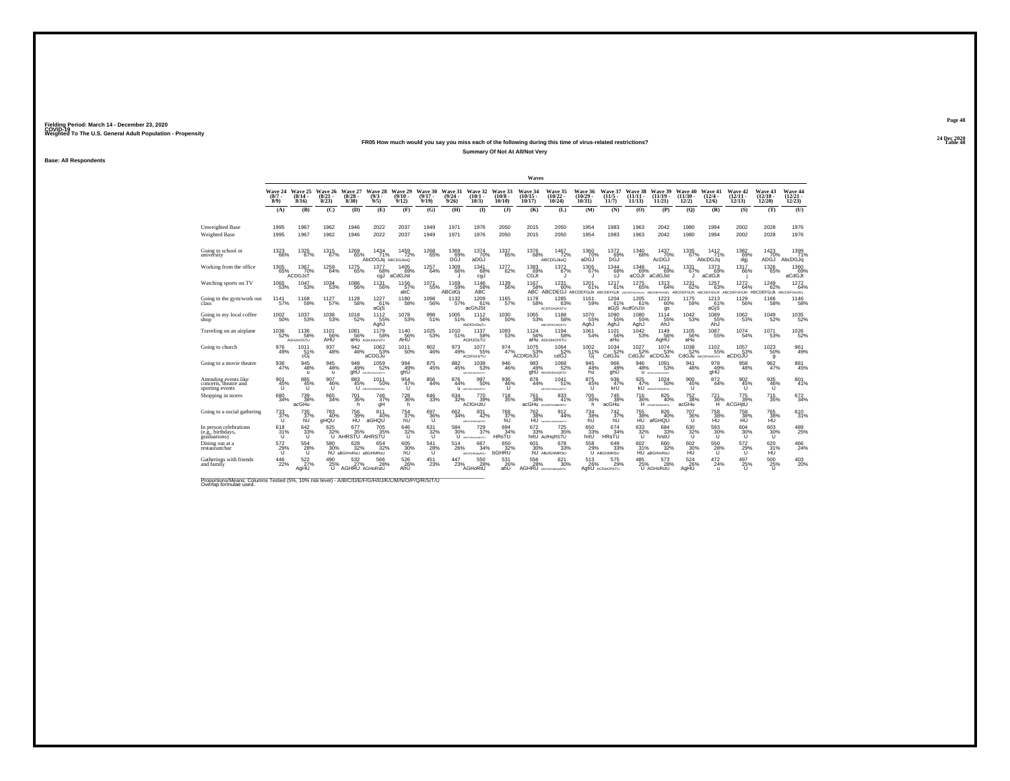## **24 Dec 2020FR05 How much would you say you miss each of the following during this time of virus-related restrictions?Summary Of Not At All/Not Very**

**Base: All Respondents**

|                                                                   |                             |                                        |                                 |                                            |                                          |                                       |                                                      |                                  |                                         |                                  | Waves                              |                                                            |                                |                                  |                                          |                                             |                                 |                                    |                                                             |                                   |                                   |
|-------------------------------------------------------------------|-----------------------------|----------------------------------------|---------------------------------|--------------------------------------------|------------------------------------------|---------------------------------------|------------------------------------------------------|----------------------------------|-----------------------------------------|----------------------------------|------------------------------------|------------------------------------------------------------|--------------------------------|----------------------------------|------------------------------------------|---------------------------------------------|---------------------------------|------------------------------------|-------------------------------------------------------------|-----------------------------------|-----------------------------------|
|                                                                   | Wave 24<br>$(8/7 -$<br>8/9) | Wave 25<br>(8/14.<br>8/16              | Wave 26<br>$\binom{8/21}{8/23}$ | Wave 27<br>$\binom{8/28}{8/30}$            | Wave 28<br>$\binom{9/3}{9/5}$            | Wave 29<br>$(9/10 -$<br>9/12          | Wave 30<br>$(9/17 -$<br>9/19                         | Wave 31<br>$\frac{(9/24)}{9/26}$ | Wave 32<br>$(10/1 -$<br>10/3)           | Wave 33<br>(10/8)<br>10/10       | Wave 34<br>$(10/15 \cdot$<br>10/17 | Wave 35<br>$\binom{10/22}{10/24}$                          | Wave 36<br>$(10/29 -$<br>10/31 | Wave 37<br>$(11/5 \cdot$<br>11/7 | Wave 38<br>$(11/11 -$<br>11/13           | Wave 39<br>(11/19 -<br>11/21                | Wave 40<br>(11/30)<br>12/2)     | Wave 41<br>$\binom{12/4}{12/6}$    | Wave 42<br>$\frac{(12/11)}{12/13}$                          | Wave 43<br>$\binom{12/18}{12/20}$ | Wave 44<br>$\binom{12/21}{12/23}$ |
|                                                                   | (A)                         | (B)                                    | (C)                             | (D)                                        | (E)                                      | (F)                                   | (G)                                                  | (H)                              | $($ $\Gamma$                            | $($ $)$                          | (K)                                | (L)                                                        | (M)                            | (N)                              | (0)                                      | (P)                                         | (0)                             | (R)                                | (S)                                                         | (T)                               | (U)                               |
| Unweighted Base<br><b>Weighted Base</b>                           | 1995<br>1995                | 1967<br>1967                           | 1962<br>1962                    | 1946<br>1946                               | 2022<br>2022                             | 2037<br>2037                          | 1949<br>1949                                         | 1971<br>1971                     | 1976<br>1976                            | 2050<br>2050                     | 2015<br>2015                       | 2050<br>2050                                               | 1954<br>1954                   | 1983<br>1983                     | 1963<br>1963                             | 2042<br>2042                                | 1980<br>1980                    | 1994<br>1994                       | 2002<br>2002                                                | 2028<br>2028                      | 1976<br>1976                      |
| Going to school or<br>university                                  | 1323<br>66%                 | 1325<br>67%                            | 1315<br>67%                     | 1269<br>65%                                | 1434<br>71%<br>AbCDGJg ABCDGJkoQ         | 1459<br>72%                           | 1268<br>65%                                          | 1369<br>69%                      | 1374<br>70%<br>aDĠŬ                     | 1337<br>65%                      | 1376<br>68%                        | 1467<br>72%<br>ABCDGJkoQ                                   | 1360<br>70%<br>aDĠŬ            | 1372<br>69%<br>DGJ               | 1340<br>68%                              | 1437<br>70%<br>AcDĠĴ                        | 1335<br>67%                     | 1412<br>71%<br>AbcDGJq             | $\underset{\substack{69\\ \text{dgi}}}{^{1382}}$            | 1423<br>70%<br>ADGJ <sup>'</sup>  | 1399<br>71%<br>AbcDGJq            |
| Working from the office                                           | $^{1305}_{65\%}$            | $^{1367}_{70\%}$<br>ACDGJsT            | $^{1259}_{64\%}$                | $^{1275}_{65\%}$                           | 1377<br>68%<br>cgJ                       | 1405<br>69%<br>aCdGJst                | 1257<br>64%                                          | 1309<br>66%                      | 1341<br>68%<br>cgJ                      | $\substack{1277 \\ 62\%}$        | $^{1383}_{69\%}$<br>CGJt           | $^{1372}_{67\%}$                                           | $^{1305}_{67\%}$<br>$\cdot$    | 1344<br>68%<br>cJ.               | $^{1348}_{69\%}$<br>aCGJt                | 1411<br>69%<br>aCdGJst                      | $^{1331}_{67\%}$<br>u           | 1373<br>69%<br>aCdGJt              | 1317<br>66%                                                 | <sup>1326</sup> 65%               | 1360<br>aCdGJt                    |
| Watching sports on TV                                             | 1065<br>53%                 | 1047<br>53%                            | $\substack{1034 \\ 53\%}$       | $^{1086}_{-56\%}$                          | 1131<br>56%                              | $1156$<br>$57\%$<br>abC               | 1071<br>55%                                          | 1169<br>59%<br>ABCdGj            | 1146<br>58%<br>ABC                      | 1139<br>56%                      | 1167                               | 1231<br>58% 60% 61% 61%<br>ABC ABCDEGJ ABCDEFGUK ABCDEFGUK | 1201                           | 1217<br>61%                      | 1275<br>65%<br>ABCDEFGHUKLmn ABCDEFGHUKL | 1313<br>64%                                 | $1231$<br>62%<br>ABCDEFGIJK     | 1257<br>63%                        | 1272<br>64%<br>ABCDEFGNUK ABCDEFGHUKI ABCDEFGUK ABCDEFGHUKL | $^{1249}_{62\%}$                  | 1272<br>64%                       |
| Going to the gym/work out<br>class                                | 1141<br>57%                 | 1168<br>59%                            | 1127<br>57%                     | 1128<br>58%                                | 1227<br>61%<br>aGjS                      | 1180<br>58%                           | 1098<br>56%                                          | 1132<br>57%                      | 1209<br>61%<br>acGhJSt                  | 1165<br>57%                      | 1178<br>58%                        | 1285<br>63%<br><b>ACDFGHJKSTU</b>                          | 1161<br>59%                    | 1204<br>61%                      | 1205<br>61%<br>aGiS AcdfGhJSt            | 1223<br>60%<br>gs                           | 1175<br>59%                     | 1213<br>61%<br>aGiS                | 1129<br>56%                                                 | 1166<br>58%                       | 1146<br>58%                       |
| Going to my local coffee<br>shop                                  | 1002<br>50%                 | $^{1037}_{53\%}$                       | $^{1038}_{\qquad53\%}$          | $^{1018}_{-52\%}$                          | 1112<br>55%<br>AghJ                      | $^{1078}_{-53\%}$                     | 998<br>51%                                           | $^{1005}_{51\%}$                 | 1112<br>56%<br>AbDfGHJkgTu              | $^{1030}_{-50\%}$                | $^{1065}_{\phantom{1}53\%}$        | 1188<br>58%<br>ABCDFGHJKQSTU                               | 1070<br>55%<br>AghJ            | 1090<br>55%<br>AghJ              | 1080<br>55%<br>AghJ                      | 1114<br>55%<br>AhJ                          | $^{1042}_{53\%}$                | 1089<br>55%<br>AhJ                 | $^{1062}_{-53\%}$                                           | 1049<br>52%                       | 1035<br>52%                       |
| Traveling on an airplane                                          | 1036<br>52%                 | 1136<br>58%<br>AGHJmOSTU               | 1101<br>56%<br>AHU              | $^{1081}_{-56\%}$                          | 1179<br>58%<br>aHu AGHJmOrSTU            | $^{1140}_{-56\%}$<br>AHU <sup>®</sup> | 1025<br>53%                                          | 1010<br>51%                      | 1137<br>58%<br><b>AGHJOsTU</b>          | $\underset{53\%}{^{1093}}$       | 1124<br>56%                        | 1194<br>58%<br>aHu AGHJmOrSTU                              | 1061<br>54%                    | $1101$ <sub>56%</sub><br>aHu     | $\frac{1042}{53\%}$                      | $^{1149}_{-56\%}$<br>AgHU                   | $^{1105}_{-56\%}$<br>aHu        | $\frac{1087}{55\%}$                | $\frac{1074}{54\%}$                                         | $^{1071}_{-53\%}$                 | 1026<br>52%                       |
| Going to church                                                   | 976<br>49%                  | 1011<br>51%<br>cGi                     | 937<br>48%                      | 942<br>48%                                 | 1062<br>53%<br>aCDGJu                    | 1011<br>50%                           | 902<br>46%                                           | 973<br>49%                       | 1077<br>55%<br><b>ACDFGHJTU</b>         | $\frac{974}{47\%}$               | 1075<br>53%<br>ACDIGhJU            | 1064<br>52%<br>cdGJ                                        | $^{1002}_{51\%}$<br>Gj         | $^{1034}_{-52\%}$<br>CdGJu       | 1027<br>52%<br>CdGJu                     | 1074<br>53%<br>aCDGJu                       | 1038<br>52%                     | $1102$<br>55%<br>CdGJu AbCDFGHJmTU | $1057$<br>$53\%$<br>aCDGJU                                  | $^{1023}_{-50\%}$<br>q            | 961<br>49%                        |
| Going to a movie theatre                                          | 936<br>47%                  | 945<br>48%<br>$\mathbf{u}$             | 945<br>48%<br>$\mathbf{u}$      | 948<br>49%<br>ghU                          | $1059 \over 52\%$<br>ABC/INSAN/ANY/ODSTU | 994<br>49%<br>ahU                     | 875<br>45%                                           | 882<br>45%                       | 1038<br>53%<br><b>ABC-WOLLARS/WORKS</b> | 946<br>46%                       | 983<br>49%                         | 1068<br>52%<br>ahU AboGHJmoQSTU                            | $\frac{945}{48\%}$<br>hū       | 966<br>49%<br>ghU                | 946<br>48%                               | $1091$<br>$53\%$<br>U accessorescent        | 941<br>48%                      | 978<br>49%<br>aHŨ                  | 958<br>48%                                                  | 962<br>47%                        | 881<br>45%                        |
| Attending events like<br>concerts, theatre and<br>sporting events | 901<br>45%                  | 885<br>$^{45\%}_{U}$                   | 907<br>46%                      | 883<br>45%                                 | 1011<br>50%<br>U ABCOGLIANCESCI          | 954<br>47%<br>u                       | 856<br>44%                                           | 876<br>44%                       | 997<br>50%<br>U ARCOGANDASTU            | 936<br>$^{46\%}_{11}$            | 878<br>44%                         | 1041<br>51%<br>ABCONSHJKMHODRSTLI                          | 875<br>$^{45%}_{11}$           | 936<br>47%<br>krU                | 925<br>47%                               | 1024<br>50%<br><b>KU</b> ABCOGLIANCRESU     | 900<br>$^{45%}_{11}$            | 872<br>44%                         | 902<br>$^{45%}_{11}$                                        | 935<br>$^{46\%}_{11}$             | 801<br>41%                        |
| Shopping in stores                                                | 680<br>34%                  | <sup>739</sup> <sub>38%</sub><br>acGHu | 665<br>34%                      | 701<br>36%<br>h                            | 746<br>37%<br>qH                         | <sup>728</sup> 36%<br>h.              | 646<br>33%                                           | 634<br>32%                       | 770<br>39%<br><b>ACfGHJtU</b>           | <sup>718</sup> <sub>35%</sub>    | 761<br>38%                         | 833<br>41%<br><b>acGHU</b> ACDeFGHJMORTU                   | $^{705}_{36\%}$<br>h           | $^{745}_{38\%}$<br>acGHu         | 716<br>36%                               | 825<br>40%<br>H ACDeFGRUMARTU               | 752<br>38%<br>acGHu             | $^{721}_{36\%}$<br>H.              | 775<br>39%<br>ACGHitU                                       | 715<br>35%                        | 672<br>34%                        |
| Going to a social gathering                                       | 733<br>37%                  | 735<br>37%<br>ĥÙ                       | 783<br>40%<br>aHQU              | 756<br>39%<br>ΗŨ                           | 811<br>40%<br>aGHQU                      | $^{754}_{37\%}$<br>ĥÙ                 | $^{697}_{~36\%}$                                     | 662<br>34%                       | $831 \over 42\%$<br>ABFGHJKMAGRSTU      | 768<br>37%<br>hU                 | 762<br>38%                         | $\frac{912}{44\%}$<br>HU acerouseports                     | $^{734}_{38\%}$<br>ĥŨ          | $^{742}_{37\%}$ hU               | 755<br>38%<br>HU                         | 826<br>40%<br>afGHQU                        | $^{707}_{\substack{36\% \\ U}}$ | 758<br>38%<br>HU                   | 758<br>38%<br>HU                                            | 765<br>38%<br>HU                  | 610<br>31%                        |
| In person celebrations<br>(e.g., birthdays,<br>eraduations)       | 618<br>31%<br>u             | 642/33%<br>Ü                           | 625 %                           | 677<br>35%<br>U AHRSTU AHRSTU              | $^{705}_{35\%}$                          | 646<br>32%<br>u                       | $631 \over 32\%$<br>U                                | 584<br>30%                       | $^{729}_{37\%}$<br>U ACFGHAOJORSTU      | 694 <sub>%</sub><br><b>HRsTU</b> | 672 33%                            | $^{725}_{35\%}$<br>hrtU AcfHaRSTU                          | 650<br>33%<br>hrtU             | 674<br>34%<br><b>HRsTU</b>       | 633<br>32%<br>υ                          | 684<br>33%<br>hrstU                         | 630<br>32%<br>u                 | 593<br>30%<br>u                    | 604<br>30%<br>ū                                             | 603<br>30%<br>u                   | 489<br>25%                        |
| Dining out at a<br>restaurant/bar                                 | $\frac{572}{29\%}$          | 554<br>28%<br>ΰ                        | 580 30%                         | $\frac{628}{32\%}$<br>hU aBGHmRsU aBGHMRsU | $\substack{654 \\ 32\%}$                 | 605<br>30%<br>ĥŨ                      | $^{541}_{\, \substack{28\% \\ \scriptstyle\bigcup}}$ | $^{514}_{26\%}$                  | $^{667}_{34\%}$<br>ABCFGHKMaRSU         | 650<br>32%<br>bGHRU              | 601<br>30%                         | $678 \atop 33\%$<br>hU ABcfGHMRSU                          | 558<br>29%                     | 649<br>33%<br>U ABGHMRSU         |                                          | 602 660<br>31% 32%<br>HU aBGHmRsU<br>66032% | 602<br>30%<br>HU                | 550<br>28%<br>ū                    | $^{572}_{29\%}$                                             | 620<br>31%<br>HU                  | 466<br>24%                        |
| Gatherings with friends<br>and family                             | 446<br>22%                  | 522<br>27%<br>AgHU                     | 490<br>25%                      | 532<br>27%<br>AGHRU AGHoRstU               | 566<br>28%                               | 526<br>26%<br>AhŪ                     | 451<br>23%                                           | 447<br>23%                       | 550<br>28%<br>AGHoRtU                   | 531<br>26%<br>ahU                | 556<br>28%<br>AGHRU ABCFGHANOSRSTU | 621<br>30%                                                 | 513<br>26%                     | 575<br>29%<br>AghU AC/GHORSTU    | 485<br>25%                               | 573<br>28%<br>U AGHoRstU                    | 524<br>26%<br>AgHU              | 472<br>24%                         | 497<br>$^{25%}_{11}$                                        | 500<br>$^{25%}_{11}$              | $^{403}_{20\%}$                   |

Proportions/Means: Columns Tested (5%, 10% risk level) - *N'B/C/D/E/F/G/H/I/J/K/L/M/N/O/P/Q/R/S/T/U* Overlap formulae used.<br>Overlap formulae used.

**Page 4824 Dec 2020<br>Table 48** 

**Table 48 Table 48**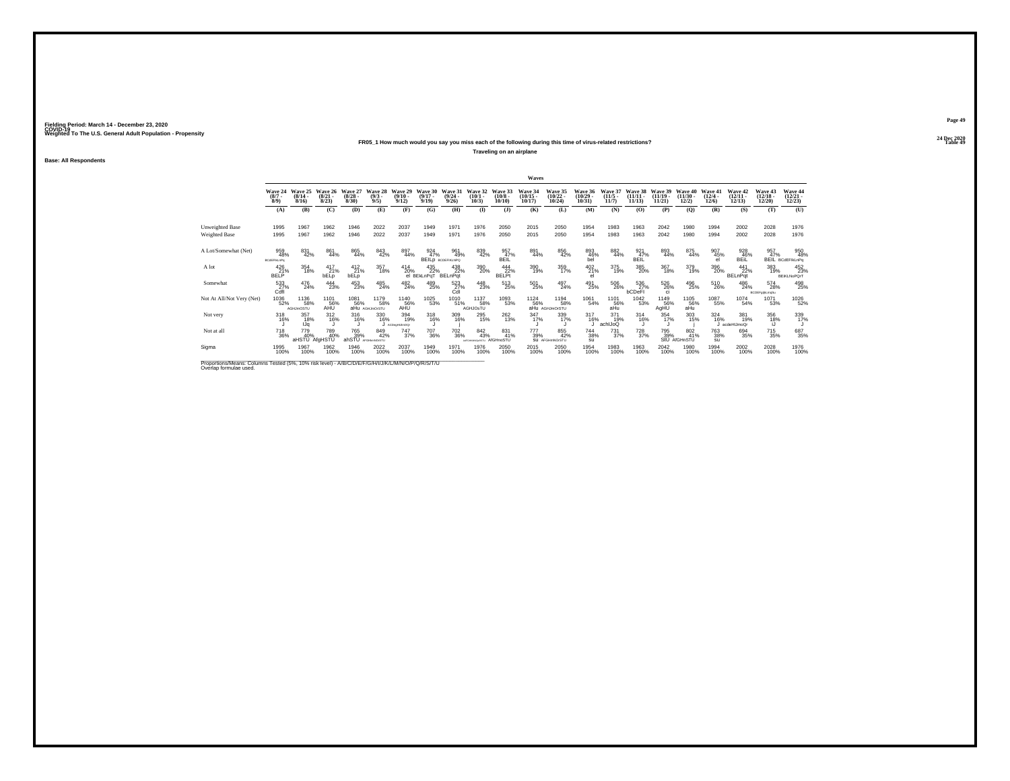## **24 Dec 2020FR05\_1 How much would you say you miss each of the following during this time of virus-related restrictions?**

**Traveling on an airplane**

**Base: All Respondents**

|                                                                                                                             |                                       |                          |                                 |                                 |                               |                              |                                |                                      |                                                    |                               | Waves                                      |                                |                                    |                              |                                |                                |                                |                                 |                                |                                    |                                   |
|-----------------------------------------------------------------------------------------------------------------------------|---------------------------------------|--------------------------|---------------------------------|---------------------------------|-------------------------------|------------------------------|--------------------------------|--------------------------------------|----------------------------------------------------|-------------------------------|--------------------------------------------|--------------------------------|------------------------------------|------------------------------|--------------------------------|--------------------------------|--------------------------------|---------------------------------|--------------------------------|------------------------------------|-----------------------------------|
|                                                                                                                             | Wave 24 Wave 25<br>$\binom{8/7}{8/9}$ | $(8/14 -$<br>8/16        | Wave 26<br>$\binom{8/21}{8/23}$ | Wave 27<br>$\binom{8/28}{8/30}$ | Wave 28<br>$\binom{9/3}{9/5}$ | Wave 29<br>$(9/10 -$<br>9/12 | Wave 30<br>$(9/17 -$<br>9/19   | Wave 31<br>$\frac{(9/24)}{9/26}$     | Wave 32<br>$\binom{10/1}{10/3}$                    | Wave 33<br>$(10/8 -$<br>10/10 | Wave 34<br>$\frac{(10/15 - 10/17)}{10/17}$ | Wave 35<br>$(10/22 -$<br>10/24 | Wave 36<br>$\frac{(10/29)}{10/31}$ | Wave 37<br>$(11/5 -$<br>11/7 | Wave 38<br>$(11/11 -$<br>11/13 | Wave 39<br>$(11/19 -$<br>11/21 | Wave 40<br>$(11/30 -$<br>12/2) | Wave 41<br>$\binom{12/4}{12/6}$ | Wave 42<br>$\binom{12}{12/13}$ | Wave 43<br>$\frac{(12/18)}{12/20}$ | Wave 44<br>$\binom{12/21}{12/23}$ |
|                                                                                                                             | (A)                                   | (B)                      | (C)                             | (D)                             | (E)                           | (F)                          | (G)                            | (H)                                  | $($ I                                              | $($ $\bf{J}$ )                | (K)                                        | (L)                            | (M)                                | (N)                          | (0)                            | (P)                            | (Q)                            | (R)                             | (S)                            | (T)                                | (U)                               |
| Unweighted Base<br>Weighted Base                                                                                            | 1995<br>1995                          | 1967<br>1967             | 1962<br>1962                    | 1946<br>1946                    | 2022<br>2022                  | 2037<br>2037                 | 1949<br>1949                   | 1971<br>1971                         | 1976<br>1976                                       | 2050<br>2050                  | 2015<br>2015                               | 2050<br>2050                   | 1954<br>1954                       | 1983<br>1983                 | 1963<br>1963                   | 2042<br>2042                   | 1980<br>1980                   | 1994<br>1994                    | 2002<br>2002                   | 2028<br>2028                       | 1976<br>1976                      |
| A Lot/Somewhat (Net)                                                                                                        | 959<br>48%<br><b>BCdEFIkLnPo</b>      | 831<br>42%               | 861<br>44%                      | 865<br>44%                      | 843<br>42%                    | 897<br>44%                   | 924<br>47%                     | 961<br>49%<br><b>BEILD</b> всрегиллю | 839<br>42%                                         | 957<br>47%<br>BEIL            | 891<br>44%                                 | 856<br>42%                     | 893<br>46%<br>bel                  | 882<br>44%                   | 921<br>47%<br>BEIL             | 893<br>44%                     | 875<br>44%                     | 907<br>45%<br>el                | 928<br>46%<br>BEIL             | 957<br>47%                         | 950<br>48%<br>BEIL BCdEFIKLnPg    |
| A lot                                                                                                                       | 426<br>21%<br><b>BELP</b>             | 354<br>18%               | 417<br>21%<br>bELp              | $^{412}_{21\%}$<br><b>bELp</b>  | 357<br>18%                    | $^{414}_{20\%}$              | 435<br>22%<br>el BEkLnPaT      | 438<br>22%<br>BELnPqt                | 390<br>20%                                         | 444<br>22%<br><b>BELPt</b>    | 390<br>19%                                 | 359<br>17%                     | 402 21%<br>el                      | 375<br>19%                   | 385<br>20%                     | 367<br>18%                     | 379<br>19%                     | 396<br>20%                      | 441<br>22%<br><b>BELnPqt</b>   | 383<br>19%                         | 452<br>23%<br><b>BEIKLNoPOrT</b>  |
| Somewhat                                                                                                                    | $^{533}_{27\%}$ Cdfl                  | 476<br>24%               | 444<br>23%                      | 453<br>23%                      | 485<br>24%                    | 482<br>24%                   | 489<br>25%                     | 523<br>27%<br>Cdl                    | 448<br>23%                                         | 513<br>25%                    | $^{501}_{\ 25\%}$                          | 497<br>24%                     | 491<br>25%                         | $^{506}_{\ 26\%}$            | 536<br>27%<br>bCDeFI           | 526<br>26%<br><b>ci</b>        | 496<br>25%                     | 510<br>26%                      | 486<br>24%                     | 574<br>28%<br>BCDEFg(jkLmqSu       | 498<br>25%                        |
| Not At All/Not Very (Net)                                                                                                   | 1036<br>52%                           | 1136<br>58%<br>AGHJmOSTU | 1101<br>56%<br>AHŪ              | 1081<br>56%                     | 1179<br>58%<br>aHu AGHJmOrSTU | 1140<br>56%<br>AHU           | $^\mathrm{1025}_\mathrm{53\%}$ | 1010<br>51%                          | 1137<br>58%<br>AGHJOsTU                            | 1093<br>53%                   | 1124<br>56%                                | 1194<br>58%<br>aHu AGHJmOrSTU  | 1061<br>54%                        | 1101<br>56%<br>aHu           | 1042<br>53%                    | 1149<br>56%<br>AgHU            | 1105<br>56%<br>aHu             | 1087<br>55%                     | 1074<br>54%                    | 1071<br>53%                        | 1026<br>52%                       |
| Not very                                                                                                                    | 318<br>16%                            | 357<br>18%<br>IJa        | $^{312}_{16\%}$                 | 316<br>16%                      | 330<br>16%                    | 394<br>19%<br>ACDeptiUmOQr   | 318/16%                        | 309<br>16%                           | 295<br>15%                                         | $^{262}_{13\%}$               | 347%                                       | 339<br>17%                     | 317<br>16%                         | 371<br>19%<br>achiJoQ        | $^{314}_{16\%}$                | 354<br>17%                     | 303<br>15%                     | $\frac{324}{16\%}$              | 381<br>19%<br>acdeHIJmoQr      | 356<br>18%<br>ìЛ                   | 339<br>17%                        |
| Not at all                                                                                                                  | $\substack{718\\36\%}$                | 779<br>aHSTU AfgHSTU     | 789<br>40%                      | 765<br>39%<br>ahSTU             | 849<br>42%<br>AFGHkmNOrSTU    | 747<br>37%                   | <sup>707</sup> 36%             | <sup>702</sup> 36%                   | $\substack{842 \\ 43\%}$<br>ARGHANOLRSTU AIGHNOSTU | 831<br>41%                    | 777<br>39%                                 | 855<br>42%<br>SU AFGHmNOrSTU   | 744<br>38%<br>su                   | $^{731}_{37\%}$              | $^{728}_{37\%}$                | 795<br>39%                     | 802<br>41%<br>StU AfGHnSTU     | <sup>763</sup> 38%<br>su        | 694<br>35%                     | 715<br>35%                         | 687<br>35%                        |
| Sigma                                                                                                                       | 1995<br>100%                          | 1967<br>100%             | 1962<br>100%                    | 1946<br>100%                    | 2022<br>100%                  | 2037<br>100%                 | 1949<br>100%                   | 1971<br>100%                         | 1976<br>100%                                       | 2050<br>100%                  | 2015<br>100%                               | 2050<br>100%                   | 1954<br>100%                       | 1983<br>100%                 | 1963<br>100%                   | 2042<br>100%                   | 1980<br>100%                   | 1994<br>100%                    | 2002<br>100%                   | 2028<br>100%                       | 1976<br>100%                      |
| Proportions/Means: Columns Tested (5%, 10% risk level) - A/B/C/D/E/F/G/H/I/J/K/L/M/N/O/P/Q/R/S/T/U<br>Overlap formulae used |                                       |                          |                                 |                                 |                               |                              |                                |                                      |                                                    |                               |                                            |                                |                                    |                              |                                |                                |                                |                                 |                                |                                    |                                   |

**Page 49**24 Dec 2020<br>Table 49

**Table 49 Table 49**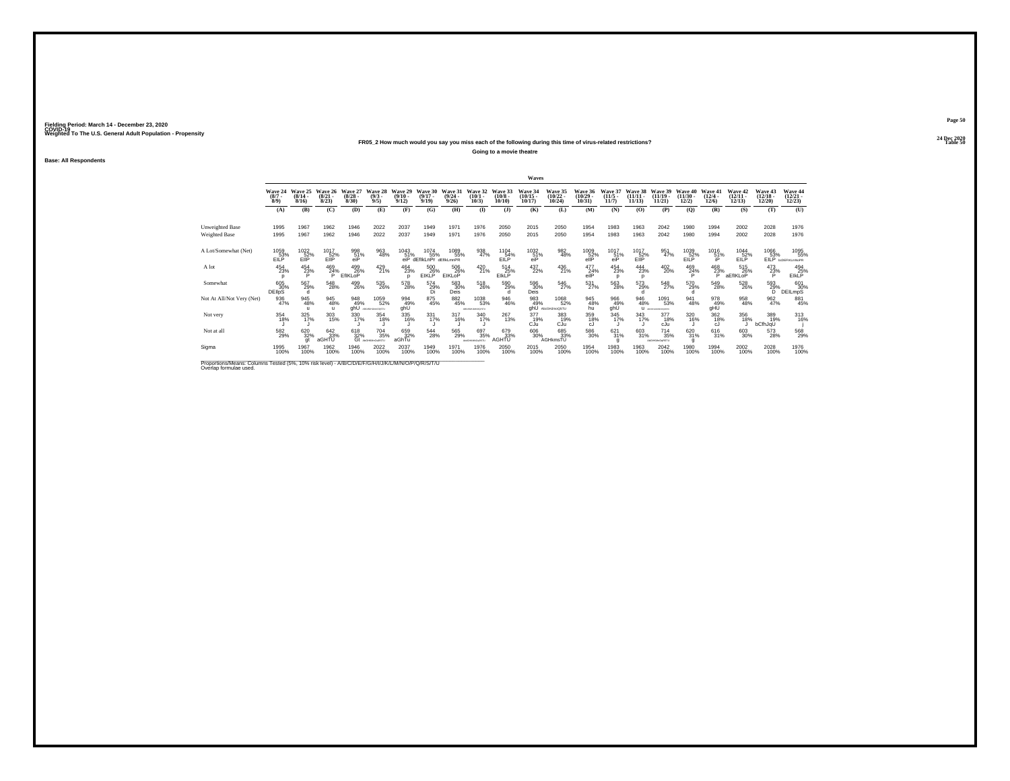## **24 Dec 2020FR05\_2 How much would you say you miss each of the following during this time of virus-related restrictions?**

**Going to a movie theatre**

**Base: All Respondents**

|                                                                                                                              |                               |                                  |                                  |                                 |                                     |                                         |                                                        |                                  |                                 |                            | Waves                             |                                            |                                            |                                  |                                   |                                   |                                |                                 |                                   |                                   |                                                              |
|------------------------------------------------------------------------------------------------------------------------------|-------------------------------|----------------------------------|----------------------------------|---------------------------------|-------------------------------------|-----------------------------------------|--------------------------------------------------------|----------------------------------|---------------------------------|----------------------------|-----------------------------------|--------------------------------------------|--------------------------------------------|----------------------------------|-----------------------------------|-----------------------------------|--------------------------------|---------------------------------|-----------------------------------|-----------------------------------|--------------------------------------------------------------|
|                                                                                                                              | Wave 24<br>$\binom{8/7}{8/9}$ | Wave 25<br>$\frac{(8/14)}{8/16}$ | Wave 26<br>$\frac{(8/21)}{8/23}$ | Wave 27<br>$\binom{8/28}{8/30}$ | Wave 28<br>$\binom{9/3}{9/5}$       | Wave 29<br>$\frac{(9/10 - 9/12)}{9/12}$ | Wave 30<br>$\binom{9/17}{9/19}$                        | Wave 31<br>$\frac{(9/24)}{9/26}$ | Wave 32<br>$\binom{10/1}{10/3}$ | Wave 33<br>(10/8)<br>10/10 | Wave 34<br>$\binom{10/15}{10/17}$ | Wave 35<br>$\frac{(10/22 - 10/24)}{10/24}$ | Wave 36<br>$\frac{(10/29 - 10/31)}{10/31}$ | Wave 37<br>$\frac{(11/5)}{11/7}$ | Wave 38<br>$\binom{11/11}{11/13}$ | Wave 39<br>$(11/19 -$<br>11/21    | Wave 40<br>$(11/30 -$<br>12/2) | Wave 41<br>$\binom{12/4}{12/6}$ | Wave 42<br>$\binom{12/11}{12/13}$ | Wave 43<br>$\binom{12/18}{12/20}$ | Wave 44<br>$\binom{12/21}{12/23}$                            |
|                                                                                                                              | (A)                           | (B)                              | (C)                              | <b>(D)</b>                      | (E)                                 | (F)                                     | (G)                                                    | (H)                              | $\bf{I}$                        | $($ $)$                    | (K)                               | (L)                                        | (M)                                        | (N)                              | (0)                               | (P)                               | (Q)                            | (R)                             | (S)                               | (T)                               | (U)                                                          |
| Unweighted Base<br>Weighted Base                                                                                             | 1995<br>1995                  | 1967<br>1967                     | 1962<br>1962                     | 1946<br>1946                    | 2022<br>2022                        | 2037<br>2037                            | 1949<br>1949                                           | 1971<br>1971                     | 1976<br>1976                    | 2050<br>2050               | 2015<br>2015                      | 2050<br>2050                               | 1954<br>1954                               | 1983<br>1983                     | 1963<br>1963                      | 2042<br>2042                      | 1980<br>1980                   | 1994<br>1994                    | 2002<br>2002                      | 2028<br>2028                      | 1976<br>1976                                                 |
| A Lot/Somewhat (Net)                                                                                                         | 1059<br>EILP                  | 1022<br>EIP                      | 1017<br>EIP                      | 998<br>$\frac{51}{9}$           | 963<br>48%                          | 1043                                    | 1074<br>55%<br>51% 55% 55%<br>eiP dEflkLnPr deflkLmnPR | 1089<br>55%                      | 938<br>47%                      | 1104<br>54%<br>EILP        | 1032<br>51%<br>eiP                | 982<br>48%                                 | 1009<br>$rac{52}{\text{ellP}}$             | 1017<br>$^{51}_{\text{eiP}}$     | 1017<br>EIP                       | 951<br>47%                        | 1039<br>EILP                   | 1016<br>51%                     | 1044<br>EILP                      | 1066                              | 1095<br>55%<br>53% 55°                                       |
| A lot                                                                                                                        | 454<br>23%                    | 454<br>23%                       | 469<br>24%<br>P                  | 499<br>26%<br>EfIKLoP           | $^{429}_{21\%}$                     | 464<br>23%                              | 500<br>26%<br><b>EIKLP</b>                             | 506<br>26%<br>EIKLoP             | $^{420}_{21\%}$                 | 514<br>25%<br>EIKLP        | 437<br>22%                        | $^{436}_{21\%}$                            | 477<br>24%<br>eilP                         | 454<br>23%<br>$\Omega$           | 444<br>23%<br>D                   | $^{402}_{20\%}$                   | $^{469}_{24\%}$<br>P           | $\frac{468}{23\%}$ a            | 515<br>26%<br>aEfIKLoP            | 473<br>23%                        | 494<br>25%<br><b>EIKLP</b>                                   |
| Somewhat                                                                                                                     | 605<br>30%<br><b>DEIIDS</b>   | 567<br>29%<br>d                  | 548<br>28%                       | 499<br>26%                      | $^{535}_{\ 26\%}$                   | 578<br>28%                              | $^{574}_{\substack{29\%\\D i}}$                        | 583<br>30%<br>Deis               | 518<br>26%                      | 590<br>29%                 | 596<br>30%<br><b>Deis</b>         | 546<br>27%                                 | $^{531}_{27\%}$                            | 563<br>28%                       | 573<br>29%                        | 548<br>27%                        | 570<br>29%                     | 549<br>28%                      | 528<br>26%                        | 593<br>29%<br>D.                  | $\begin{array}{c} 601 \\ 30\% \\ \text{DEILmpS} \end{array}$ |
| Not At All/Not Very (Net)                                                                                                    | 936<br>47%                    | 945<br>48%                       | 945<br>48%<br>$\mathbf{u}$       | 948<br>49%<br>ahÜ               | 1059<br>52%<br>ABC/BSHJkm/ODSTU     | 994<br>49%<br>ghŨ                       | 875<br>45%                                             | 882<br>45%                       | 1038<br>53%<br>ABC/RENAMIODISTU | 946<br>46%                 | 983<br>49%<br>ahÚ                 | 1068<br>52%<br>AbcGHJmoQSTU                | 945<br>48%<br>hu                           | 966<br>49%<br>ahÜ                | 946<br>48%<br>ш                   | 1091<br>53%<br>ARCOFOHLAM/CORPTLE | 941<br>48%                     | 978<br>49%<br>gHÜ               | 958<br>48%                        | $\frac{962}{47\%}$                | 881<br>45%                                                   |
| Not very                                                                                                                     | 354<br>18%                    | $325$<br>$17\%$                  | 303<br>15%                       | 330<br>17%                      | 354<br>18%                          | 335<br>16%                              | $331$<br>$17\%$                                        | 317<br>16%                       | 340<br>17%                      | 267<br>13%                 | 377<br>19%<br>CJu                 | 383<br>19%<br>CJu                          | 359<br>18%<br>cJ                           | 345<br>17%                       | 343<br>17%                        | 377<br>18%<br>cJu                 | 320<br>16%                     | 362<br>18%<br>cJ                | 356<br>18%                        | 389<br>19%<br>bCfhJqU             | 313<br>16%                                                   |
| Not at all                                                                                                                   | 582<br>29%                    | 620<br>32%                       | 642<br>33%<br>aGHTU              | 618<br>32%<br>Gt                | <sup>704</sup> 35%<br>AbGHKMnOpRSTU | 659<br>32%<br>aGhTu                     | 544<br>28%                                             | 565<br>29%                       | 697<br>35%<br>ANGHAMAGESTL      | 679<br>33%<br><b>AGHTU</b> | 606<br>30%                        | 685<br>33%<br>AGHkmsTU                     | 586<br>30%                                 | 621/31%                          | $\substack{603 \\ 31\%}$          | $^{714}_{35\%}$<br>AbGHKMnOcRSTU  | 620 31%                        | 616<br>31%                      | 603<br>30%                        | 573<br>28%                        | 568<br>29%                                                   |
| Sigma                                                                                                                        | 1995<br>100%                  | 1967<br>100%                     | 1962<br>100%                     | 1946<br>100%                    | 2022<br>100%                        | 2037<br>100%                            | 1949<br>100%                                           | 1971<br>100%                     | 1976<br>100%                    | 2050<br>100%               | 2015<br>100%                      | 2050<br>100%                               | 1954<br>100%                               | 1983<br>100%                     | 1963<br>100%                      | 2042<br>100%                      | 1980<br>100%                   | 1994<br>100%                    | 2002<br>100%                      | 2028<br>100%                      | 1976<br>100%                                                 |
| Proportions/Means: Columns Tested (5%, 10% risk level) - A/B/C/D/E/F/G/H/I/J/K/L/M/N/O/P/Q/R/S/T/U<br>Overlap formulae used. |                               |                                  |                                  |                                 |                                     |                                         |                                                        |                                  |                                 |                            |                                   |                                            |                                            |                                  |                                   |                                   |                                |                                 |                                   |                                   |                                                              |

**Page 50**24 Dec 2020<br>Table 50

**Table 50 Table 50**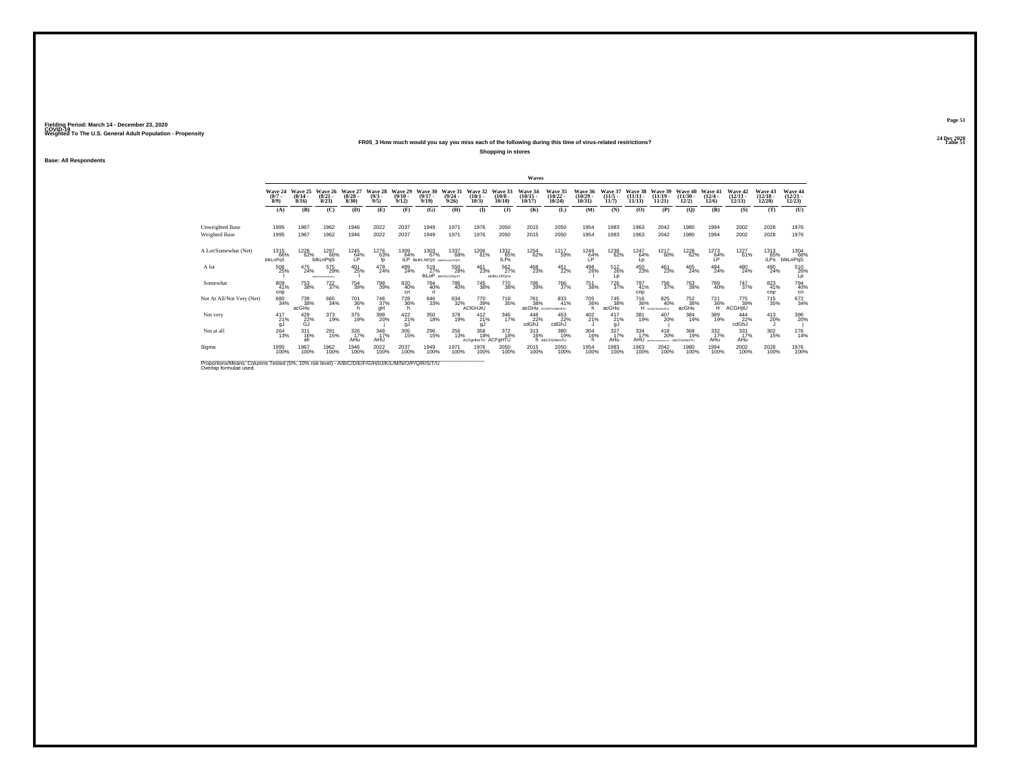## **24 Dec 2020FR05\_3 How much would you say you miss each of the following during this time of virus-related restrictions?**

**Shopping in stores**

**Base: All Respondents**

|                                                                                                                             |                               |                           |                                  |                              |                               |                            |                                 |                                      |                                 |                                  | Waves                          |                                   |                                   |                              |                                |                                                                                                                                                             |                             |                                       |                                   |                                   |                                   |
|-----------------------------------------------------------------------------------------------------------------------------|-------------------------------|---------------------------|----------------------------------|------------------------------|-------------------------------|----------------------------|---------------------------------|--------------------------------------|---------------------------------|----------------------------------|--------------------------------|-----------------------------------|-----------------------------------|------------------------------|--------------------------------|-------------------------------------------------------------------------------------------------------------------------------------------------------------|-----------------------------|---------------------------------------|-----------------------------------|-----------------------------------|-----------------------------------|
|                                                                                                                             | Wave 24<br>$\binom{8/7}{8/9}$ | Wave 25<br>(8/14.<br>8/16 | Wave 26<br>$\frac{(8/21)}{8/23}$ | Wave 27<br>$(8/28 -$<br>8/30 | Wave 28<br>$\binom{9/3}{9/5}$ | Wave 29<br>(9/10.<br>9/12  | Wave 30<br>$(9/17 -$<br>9/19    | Wave 31<br>$\frac{(9/24)}{9/26}$     | Wave 32<br>$(10/1 -$<br>10/3    | Wave 33<br>$\binom{10/8}{10/10}$ | Wave 34<br>$(10/15 -$<br>10/17 | Wave 35<br>$\binom{10/22}{10/24}$ | Wave 36<br>$\binom{10/29}{10/31}$ | Wave 37<br>$(11/5 -$<br>11/7 | Wave 38<br>$(11/11 -$<br>11/13 | Wave 39<br>(11/19.<br>11/21                                                                                                                                 | Wave 40<br>(11/30)<br>12/2) | Wave 41<br>$\frac{(12/4 - 12)}{12/6}$ | Wave 42<br>$\binom{12/11}{12/13}$ | Wave 43<br>$\binom{12/18}{12/20}$ | Wave 44<br>$\binom{12/21}{12/23}$ |
|                                                                                                                             | (A)                           | (B)                       | (C)                              | (D)                          | (E)                           | (F)                        | (G)                             | (H)                                  | $\bf{I}$                        | $($ $\Gamma$                     | (K)                            | (L)                               | (M)                               | (N)                          | (O)                            | (P)                                                                                                                                                         | (Q)                         | (R)                                   | (S)                               | (T)                               | (U)                               |
| Unweighted Base<br>Weighted Base                                                                                            | 1995<br>1995                  | 1967<br>1967              | 1962<br>1962                     | 1946<br>1946                 | 2022<br>2022                  | 2037<br>2037               | 1949<br>1949                    | 1971<br>1971                         | 1976<br>1976                    | 2050<br>2050                     | 2015<br>2015                   | 2050<br>2050                      | 1954<br>1954                      | 1983<br>1983                 | 1963<br>1963                   | 2042<br>2042                                                                                                                                                | 1980<br>1980                | 1994<br>1994                          | 2002<br>2002                      | 2028<br>2028                      | 1976<br>1976                      |
| A Lot/Somewhat (Net)                                                                                                        | 1315<br>66%<br>blkLnPqS       | 1228<br>62%               | 1297<br>66%<br><b>blkLnPqS</b>   | 1245<br>64%                  | 1276<br>63%<br>Ip             | 1309<br>64%<br>iLP         | 1303<br>67%<br><b>BelKLNPOS</b> | 1337<br>68%<br><b>BISTIKLHNOPORS</b> | 1206<br>61%                     | 1332<br>65%<br><b>ILPS</b>       | 1254<br>62%                    | 1217<br>59%                       | 1249<br>64%<br>ĽP                 | 1238<br>62%                  | 1247<br>64%<br>Lp              | 1217<br>60%                                                                                                                                                 | 1228<br>62%                 | 1273<br>64%<br>ΙP.                    | 1227<br>61%                       | 1313<br>65%<br>iLPs <sup>"</sup>  | 1304<br>66%<br>blkLnPqS           |
| A lot                                                                                                                       | 506<br>25%                    | 475<br>24%                | 575<br>29%<br>ABDEFORM-OPDRETA   | 491<br>25%                   | 478<br>24%                    | 489<br>24%                 | 519<br>27%<br>ikLoP             | 550<br>28%<br><b>BEFIKLOPO/ST</b>    | $^{461}_{23\%}$                 | 562%<br><b>bEfIKLOPOrst</b>      | 468<br>23%                     | 451<br>22%                        | 498<br>26%                        | 512<br>26%<br>Lo             | 450<br>23%                     | 461<br>23%                                                                                                                                                  | 465<br>24%                  | $^{484}_{24\%}$                       | 480<br>24%                        | 490<br>24%                        | 510<br>26%<br>Lp                  |
| Somewhat                                                                                                                    | 809<br>41%<br>cnp             | 753<br>38%                | 722/37%                          | 754<br>39%                   | 798<br>39%                    | 820<br>40%<br>cn           | 784<br>40%<br>n                 | 786<br>40%                           | <sup>745</sup> 38%              | 770<br>38%                       | 786<br>39%                     | <sup>766</sup> 37%                | <sup>751</sup> 38%                | 726<br>37%                   | 797<br>41%<br>cnp              | 756<br>37%                                                                                                                                                  | <sup>763</sup> 39%          | 789<br>40%                            | <sup>747</sup> <sub>37%</sub>     | 823<br>cnp                        | 794<br>40%<br>cn                  |
| Not At All/Not Very (Net)                                                                                                   | 680<br>34%                    | 739<br>38%<br>acGHu       | 665<br>34%                       | 701<br>36%                   | 746<br>37%<br>gH              | 728<br>36%                 | $\substack{646 \\ 33\%}$        | 634<br>32%                           | 770<br>39%<br><b>ACfGHJtU</b>   | 718<br>35%                       | 761<br>38%                     | 833<br>41%<br>acGHu ACDeFGHJMORTU | 705<br>36%<br>h                   | 745<br>38%<br>acGHu          |                                | $\underset{\begin{array}{c}{\text{716}}\\{\text{82:}}\\{\text{96\%}}\\{\text{H}}\end{array}}{\text{array}}\underset{\text{Kronenamann}}{\text{82:}}$<br>40% | 752<br>38%<br>acGHu         | 721<br>36%                            | 775<br>39%<br><b>ACGHjtU</b>      | 715<br>35%                        | 672<br>34%                        |
| Not very                                                                                                                    | $^{417}_{21\%}$<br>gJ         | 429 22%<br>G.I            | 373<br>19%                       | 375<br>19%                   | 398<br>20%                    | $422$ <sub>21%</sub><br>gJ | 350<br>18%                      | 378<br>19%                           | 412<br>21%<br>gJ                | 346<br>17%                       | 448<br>22%<br>cdGhJ            | 453<br>22%<br>cdGhJ               | $^{402}_{21\%}$                   | $^{417}_{21\%}$<br>gJ        | 381<br>19%                     | 407<br>20%                                                                                                                                                  | 384<br>19%                  | 389<br>19%                            | 444<br>22%<br>cdGhJ               | 413<br>20%                        | 396<br>20%                        |
| Not at all                                                                                                                  | $^{264}_{13\%}$               | 311<br>16%<br>ah          | 291<br>15%                       | 326<br>17%<br>AHu            | 348<br>17%<br>AHÜ             | $\frac{305}{15\%}$         | $^{296}_{15\%}$                 | 256<br>13%                           | 358<br>18%<br>ACFgHkmTU ACFgHTU | 372<br>18%                       | 313<br>16%                     | 380<br>19%<br>h AbCFGHkmTU        | 304<br>16%                        | $\frac{327}{17\%}$<br>AHu    | $334$ $17\%$<br>AHU            | 418<br>20%<br>ABCORPOINDATES!                                                                                                                               | 368<br>19%<br>AbCFGHkmTU    | 332<br>17%<br>AHu                     | 331<br>17%<br>AHu                 | $^{302}_{15\%}$                   | 276                               |
| Sigma                                                                                                                       | 1995<br>100%                  | 1967<br>100%              | 1962<br>100%                     | 1946<br>100%                 | 2022<br>100%                  | 2037<br>100%               | 1949<br>100%                    | 1971<br>100%                         | 1976<br>100%                    | 2050<br>100%                     | 2015<br>100%                   | 2050<br>100%                      | 1954<br>100%                      | 1983<br>100%                 | 1963<br>100%                   | 2042<br>100%                                                                                                                                                | 1980<br>100%                | 1994<br>100%                          | 2002<br>100%                      | 2028<br>100%                      | 1976<br>100%                      |
| Proportions/Means: Columns Tested (5%, 10% risk level) - A/B/C/D/E/F/G/H/I/J/K/L/M/N/O/P/Q/R/S/T/U<br>Overlap formulae used |                               |                           |                                  |                              |                               |                            |                                 |                                      |                                 |                                  |                                |                                   |                                   |                              |                                |                                                                                                                                                             |                             |                                       |                                   |                                   |                                   |

**Page 51**24 Dec 2020<br>Table 51

**Table 51 Table 51**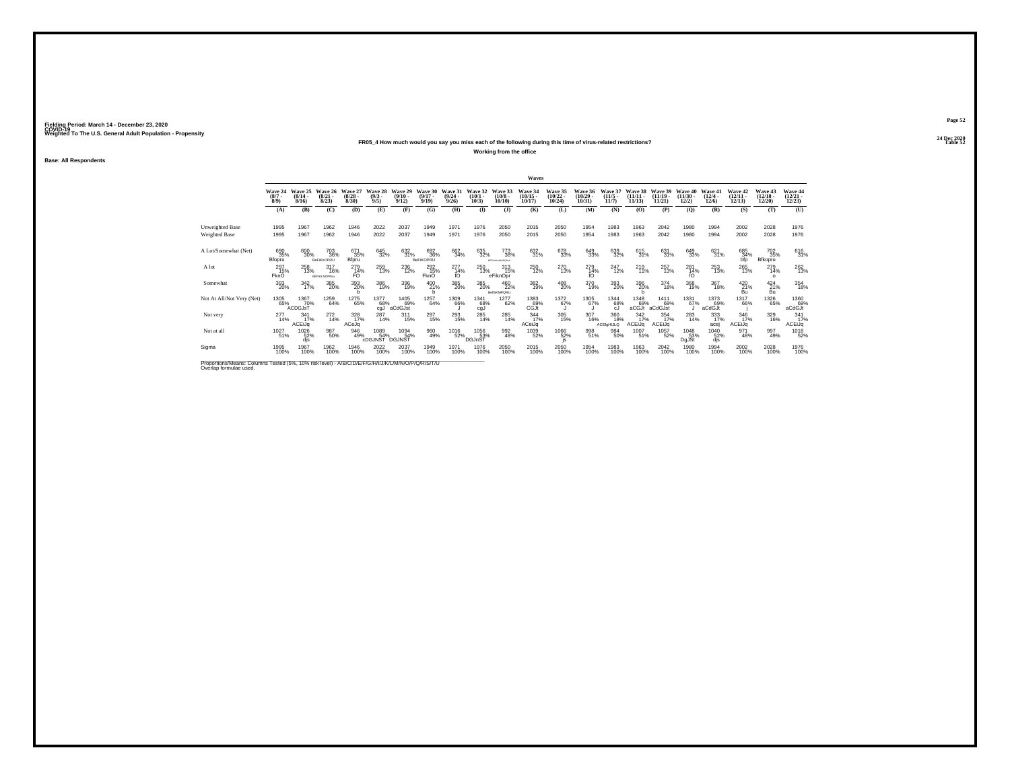## **24 Dec 2020FR05\_4 How much would you say you miss each of the following during this time of virus-related restrictions?**

**Working from the office**

**Base: All Respondents**

|                                                                                                                             |                                        |                        |                                   |                                 |                               |                                  |                              |                                  |                              |                               | Waves                          |                                |                                   |                                 |                                |                                |                                |                                 |                                |                                   |                                   |
|-----------------------------------------------------------------------------------------------------------------------------|----------------------------------------|------------------------|-----------------------------------|---------------------------------|-------------------------------|----------------------------------|------------------------------|----------------------------------|------------------------------|-------------------------------|--------------------------------|--------------------------------|-----------------------------------|---------------------------------|--------------------------------|--------------------------------|--------------------------------|---------------------------------|--------------------------------|-----------------------------------|-----------------------------------|
|                                                                                                                             | Wave 24 Wave 25<br>$(8/7 -$<br>$8/9$ ) | $(8/14 -$<br>8/16      | Wave 26<br>$\binom{8/21}{8/23}$   | Wave 27<br>$\binom{8/28}{8/30}$ | Wave 28<br>$\binom{9/3}{9/5}$ | Wave 29<br>$\frac{(9/10)}{9/12}$ | Wave 30<br>$(9/17 -$<br>9/19 | Wave 31<br>$\frac{(9/24)}{9/26}$ | Wave 32<br>$(10/1 -$<br>10/3 | Wave 33<br>$(10/8 -$<br>10/10 | Wave 34<br>$(10/15 -$<br>10/17 | Wave 35<br>$(10/22 -$<br>10/24 | Wave 36<br>$\binom{10/29}{10/31}$ | Wave 37<br>$(11/5 -$<br>11/7    | Wave 38<br>$(11/11 -$<br>11/13 | Wave 39<br>$(11/19 -$<br>11/21 | Wave 40<br>$(11/30 -$<br>12/2) | Wave 41<br>$\binom{12/4}{12/6}$ | Wave 42<br>$\binom{12}{12/13}$ | Wave 43<br>$\binom{12/18}{12/20}$ | Wave 44<br>$\binom{12/21}{12/23}$ |
|                                                                                                                             | (A)                                    | (B)                    | (C)                               | (D)                             | (E)                           | (F)                              | (G)                          | <b>(H)</b>                       | $\mathbf{D}$                 | $($ $)$                       | (K)                            | (L)                            | (M)                               | (N)                             | (O)                            | (P)                            | $\mathbf{Q}$                   | (R)                             | (S)                            | (T)                               | (U)                               |
| Unweighted Base<br>Weighted Base                                                                                            | 1995<br>1995                           | 1967<br>1967           | 1962<br>1962                      | 1946<br>1946                    | 2022<br>2022                  | 2037<br>2037                     | 1949<br>1949                 | 1971<br>1971                     | 1976<br>1976                 | 2050<br>2050                  | 2015<br>2015                   | 2050<br>2050                   | 1954<br>1954                      | 1983<br>1983                    | 1963<br>1963                   | 2042<br>2042                   | 1980<br>1980                   | 1994<br>1994                    | 2002<br>2002                   | 2028<br>2028                      | 1976<br>1976                      |
| A Lot/Somewhat (Net)                                                                                                        | 690<br>35%<br>Bfopru                   | 600<br>30%             | 703<br>36%<br><b>BeFiKnOPRU</b>   | 671<br>35%<br>Bfpru             | 645<br>32%                    | 632<br>31%                       | 692<br>36%<br>BeFiKOPRU      | 662<br>34%                       | 635<br>32%                   | 773<br>38%<br>ECHALMICRORIL   | 632<br>31%                     | 678<br>33%                     | 649<br>33%                        | 639<br>32%                      | 615<br>31%                     | 631<br>31%                     | 649<br>33%                     | 621<br>31%                      | 685<br>34%<br>bfp              | 702<br>35%<br>Bfkopru             | 616<br>31%                        |
| A lot                                                                                                                       | 297<br>15%<br><b>FknO</b>              | 258<br>13%             | 317<br>16%<br><b>BEFIKLNOPRSU</b> | 279<br>14%<br>FO.               | 259<br>13%                    | 236<br>12%                       | 292<br>15%<br><b>FknO</b>    | $^{277}_{14\%}$<br>fO            | 250<br>13%                   | $^{313}_{15\%}$<br>eFiknOpr   | 250<br>12%                     | 270<br>13%                     | 279<br>14%<br>fO                  | 247<br>12%                      | $^{219}_{11\%}$                | 257<br>13%                     | 281<br>14%<br>fO               | 253<br>13%                      | 265<br>13%                     | 279<br>14%<br>$\circ$             | 262<br>13%                        |
| Somewhat                                                                                                                    | 393<br>20%                             | $\frac{342}{17\%}$     | 385<br>20%                        | 393<br>20%                      | 386<br>19%                    | 396<br>19%                       | 400<br>21%                   | 385<br>20%                       | 385<br>20%                   | 460<br>22%<br>BefhiKMPQRU     | 382<br>19%                     | 408<br>20%                     | 370<br>19%                        | $^{393}_{\ 20\%}$               | 396<br>20%                     | 374<br>18%                     | 368<br>19%                     | 367<br>18%                      | 420<br>21%<br>Bu               | $^{424}_{21\%}$<br>Bu             | 354<br>18%                        |
| Not At All/Not Very (Net)                                                                                                   | 1305<br>65%                            | 1367<br>70%<br>ACDGJsT | 1259<br>64%                       | 1275<br>65%                     | 1377<br>68%<br>cqJ            | 1405<br>69%<br>aCdGJst           | 1257<br>64%                  | 1309<br>66%                      | 1341<br>68%<br>caJ           | 1277<br>62%                   | 1383<br>69%<br>CGJt            | 1372<br>67%                    | 1305<br>67%                       | 1344<br>68%<br>cJ.              | 1348<br>69%<br>aCGJt           | 1411<br>69%<br>aCdGJst         | 1331<br>67%                    | 1373<br>69%<br>aCdGJt           | 1317<br>66%                    | $^{1326}_{65\%}$                  | 1360<br>69%<br>aCdGJt             |
| Not very                                                                                                                    | 277<br>14%                             | 341<br>17%<br>ACEiJq   | 272<br>14%                        | 328<br>17%<br>ACeJa             | 287<br>14%                    | $^{311}_{15\%}$                  | $^{297}_{15\%}$              | $^{293}_{15\%}$                  | $^{285}_{14\%}$              | 285<br>14%                    | $\frac{344}{17\%}$<br>ACeiJa   | 305<br>15%                     | 307<br>16%                        | 360<br>18%<br><b>ACEfaHIJLQ</b> | $\frac{342}{17\%}$<br>ACEiJa   | 354<br>17%<br>ACEiJa           | $^{283}_{14\%}$                | 333<br>17%<br>acei              | 346<br>17%<br>ACEiJa           | 329<br>16%                        | $341$<br>$17%$<br><b>ACEiJq</b>   |
| Not at all                                                                                                                  | 1027<br>51%                            | 1026<br>52%<br>dis     | 987<br>50%                        | 946<br>49%                      | 1089<br>54%<br>cDGJNST        | 1094<br>54%<br><b>DGJNST</b>     | 960<br>49%                   | 1016<br>52%                      | 1056<br>53%<br>DGJnŠŤ        | 992<br>48%                    | 1039<br>52%                    | 1066<br>52%<br>is              | 998<br>51%                        | 984<br>50%                      | 1007<br>51%                    | 1057<br>52%                    | 1048<br>53%<br>DgJSt           | 1040<br>52%<br>dis              | 971<br>48%                     | 997<br>49%                        | 1018<br>52%                       |
| Sigma                                                                                                                       | 1995<br>100%                           | 1967<br>100%           | 1962<br>100%                      | 1946<br>100%                    | 2022<br>100%                  | 2037<br>100%                     | 1949<br>100%                 | 1971<br>100%                     | 1976<br>100%                 | 2050<br>100%                  | 2015<br>100%                   | 2050<br>100%                   | 1954<br>100%                      | 1983<br>100%                    | 1963<br>100%                   | 2042<br>100%                   | 1980<br>100%                   | 1994<br>100%                    | 2002<br>100%                   | 2028<br>100%                      | 1976<br>100%                      |
| Proportions/Means: Columns Tested (5%, 10% risk level) - A/B/C/D/E/F/G/H/I/J/K/L/M/N/O/P/Q/R/S/T/U<br>Overlap formulae used |                                        |                        |                                   |                                 |                               |                                  |                              |                                  |                              |                               |                                |                                |                                   |                                 |                                |                                |                                |                                 |                                |                                   |                                   |

**Page 52**24 Dec 2020<br>Table 52

**Table 52 Table 52**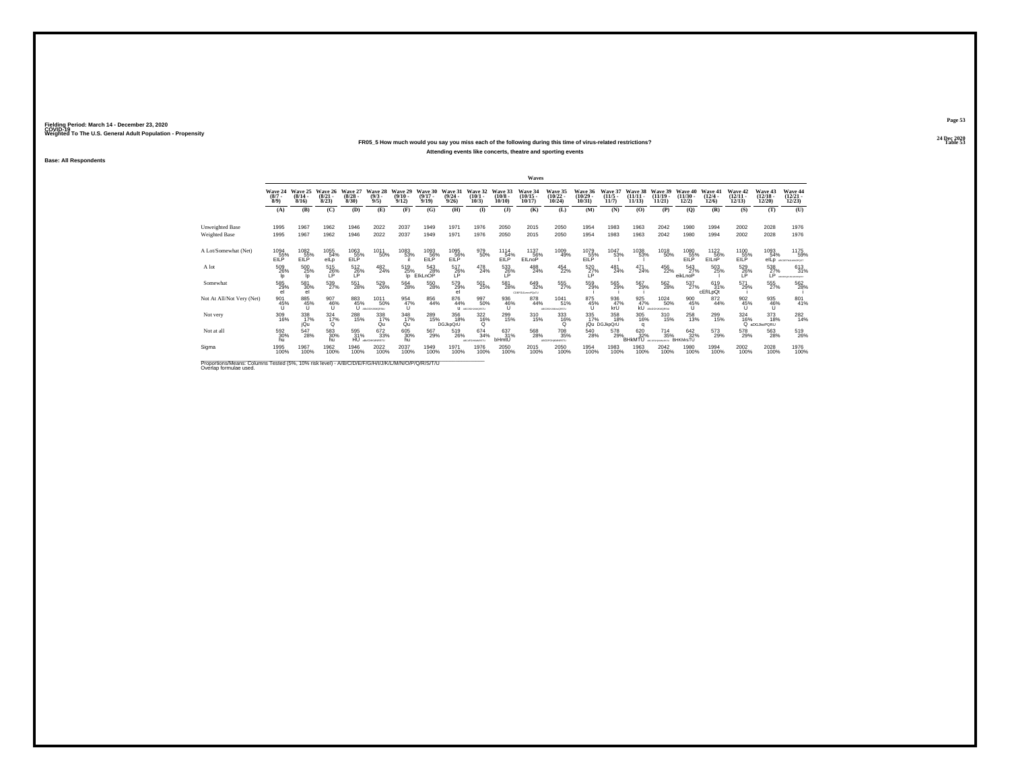## **24 Dec 2020FR05\_5 How much would you say you miss each of the following during this time of virus-related restrictions?Attending events like concerts, theatre and sporting events**

**Base: All Respondents**

|                                                                                                                             |                                |                                         |                                  |                                 |                                     |                                  |                              |                                         |                                  |                               | Waves                              |                                      |                                   |                                  |                                |                                               |                                          |                                 |                                   |                                   |                                   |
|-----------------------------------------------------------------------------------------------------------------------------|--------------------------------|-----------------------------------------|----------------------------------|---------------------------------|-------------------------------------|----------------------------------|------------------------------|-----------------------------------------|----------------------------------|-------------------------------|------------------------------------|--------------------------------------|-----------------------------------|----------------------------------|--------------------------------|-----------------------------------------------|------------------------------------------|---------------------------------|-----------------------------------|-----------------------------------|-----------------------------------|
|                                                                                                                             | Wave 24<br>$(8/7 -$<br>$8/9$ ) | Wave 25<br>$\frac{(8/14 - 8/16)}{8/16}$ | Wave 26<br>$\binom{8/21}{8/23}$  | Wave 27<br>$\binom{8/28}{8/30}$ | Wave 28<br>$\binom{9/3}{9/5}$       | Wave 29<br>$\frac{(9/10)}{9/12}$ | Wave 30<br>$(9/17 -$<br>9/19 | Wave 31<br>$\frac{(9/24 - 9/26)}{9/26}$ | Wave 32<br>$(10/1 -$<br>$10/3$ ) | Wave 33<br>$(10/8 -$<br>10/10 | <b>Wave 34</b><br>(10/15)<br>10/17 | Wave 35<br>$\binom{10/22}{10/24}$    | Wave 36<br>$\binom{10/29}{10/31}$ | Wave 37<br>$\frac{(11/5)}{11/7}$ | Wave 38<br>$(11/11 -$<br>11/13 | Wave 39<br>$(11/19 -$<br>11/21                | Wave 40<br>$\frac{(11/30 - 12/2)}{12/2}$ | Wave 41<br>$\binom{12/4}{12/6}$ | Wave 42<br>$\binom{12/11}{12/13}$ | Wave 43<br>$\binom{12/18}{12/20}$ | Wave 44<br>$\binom{12/21}{12/23}$ |
|                                                                                                                             | (A)                            | (B)                                     | (C)                              | (D)                             | (E)                                 | (F)                              | (G)                          | (H)                                     | $($ I                            | $($ $)$                       | (K)                                | (L)                                  | (M)                               | (N)                              | (0)                            | (P)                                           | (Q)                                      | (R)                             | (S)                               | (T)                               | (U)                               |
| Unweighted Base<br>Weighted Base                                                                                            | 1995<br>1995                   | 1967<br>1967                            | 1962<br>1962                     | 1946<br>1946                    | 2022<br>2022                        | 2037<br>2037                     | 1949<br>1949                 | 1971<br>1971                            | 1976<br>1976                     | 2050<br>2050                  | 2015<br>2015                       | 2050<br>2050                         | 1954<br>1954                      | 1983<br>1983                     | 1963<br>1963                   | 2042<br>2042                                  | 1980<br>1980                             | 1994<br>1994                    | 2002<br>2002                      | 2028<br>2028                      | 1976<br>1976                      |
| A Lot/Somewhat (Net)                                                                                                        | 1094<br>EILP <sup>35%</sup>    | 1082<br>EILP                            | 1055<br>54%<br>elLp              | 1063<br>EILP                    | 1011<br>50%                         | 1083<br>53%                      | 1093<br>EILP                 | 1095<br>$EILP^{\sim}$                   | 979<br>50%                       | 1114<br>54%<br>EILP           | 1137<br>56%<br><b>EILnoP</b>       | 1009<br>49%                          | 1079<br>EILP                      | 1047<br>53%                      | 1038<br>53%                    | 1018<br>50%                                   | 1080<br>$EILP^{\sim}$                    | 1122<br>56%<br>EILnP            | 1100<br>$EILP^{\overline{55}\%}$  | 1093<br>54%<br>elLp               | 1175<br>59%<br>ARCOGENALMNOPOST   |
| A lot                                                                                                                       | 509<br>26%<br>lo               | 500<br>25%                              | $^{515}_{26\%}$                  | 512<br>26%<br>I P               | $^{482}_{24\%}$                     | 519<br>25%<br>lo.                | 543<br>28%<br>ElkLnOP        | $^{517}_{26\%}$                         | 478<br>24%                       | 533<br>26%<br>LP              | 488<br>24%                         | $^{454}_{22\%}$                      | 520<br>27%<br>LP                  | 481<br>24%                       | $^{471}_{24\%}$                | 456<br>22%                                    | 543<br>27%<br>eikLnoP                    | 503<br>25%                      | 529<br>26%<br>I P                 | 538<br>27%<br>IP.                 | 613<br>31%<br>ARCEFANDAMENAST     |
| Somewhat                                                                                                                    | 585<br>29%                     | 581<br>30%<br>el                        | 539<br>27%                       | 551<br>28%                      | 529<br>26%                          | 564<br>28%                       | 550<br>28%                   | 579<br>29%<br>el                        | 501<br>25%                       | 581<br>28%                    | 649<br>32%<br>COEFGUL mePQsTU      | 555<br>27%                           | 559<br>29%                        | 565<br>29%                       | 567<br>29%                     | 562<br>28%                                    | 537%                                     | 619<br>31%<br>cEfILpQt          | 571<br>29%                        | 555<br>27%                        | 562%                              |
| Not At All/Not Very (Net)                                                                                                   | 901<br>45%                     | 885<br>45%                              | 907<br>46%                       | 883<br>45%                      | 1011<br>50%<br>U ABCOGLIANCRONI     | 954<br>47%<br>u                  | 856<br>44%                   | 876<br>44%                              | 997<br>50%<br>U ARCHIMAGESTU     | 936<br>$^{46\%}_{11}$         | 878<br>44%                         | 1041<br>51%<br>ABCONSHJKMHODRSTLI    | 875<br>45%<br>U                   | 936<br>47%<br>krÜ                | 925                            | 1024<br>$-47\%$ 50°<br>KU ABOGHANORSKI<br>50% | 900<br>45%<br>ũ                          | 872<br>44%                      | 902<br>45%                        | 935<br>46%<br>u                   | 801<br>41%                        |
| Not very                                                                                                                    | 309<br>16%                     | 338<br>17%<br>jQu                       | $\frac{324}{17\%}$<br>$^{\circ}$ | 288<br>15%                      | 338/17%<br>Qu                       | $\frac{348}{17\%}$<br>Qu         | 289<br>15%                   | 356<br>18%<br><b>DGJkpQrU</b>           | 322<br>16%<br>$\Omega$           | 299<br>15%                    | 310<br>15%                         | 333<br>16%<br>$\Omega$               | 335<br>17%                        | 358<br>18%<br>iQu DGJkpQrU       | 305<br>16%<br>o                | 310<br>15%                                    | 258<br>13%                               | 299<br>15%                      | 324<br>16%                        | 373<br>18%<br>Q aDGJkoPQRU        | 282<br>14%                        |
| Not at all                                                                                                                  | 592<br>30%<br>hu               | 547<br>28%                              | 583<br>30%<br>hu                 | 595<br>31%                      | 672<br>33%<br><b>HU</b> approvances | 605<br>30%<br>hu                 | 567<br>29%                   | 519<br>26%                              | 674 34%<br>ABC: FGHAMRSTL        | 637<br>31%<br>bHmtU           | 568<br>28%                         | <sup>708</sup> 35%<br>ABCOFGHIOMRSTU | 540<br>28%                        | 578<br>29%_                      | 620<br>32%<br><b>BHKMTU</b>    | $^{714}_{35\%}$                               | 642<br>32%<br><b>BHKMrsTU</b>            | 573<br>29%                      | 578<br>29%                        | 563<br>28%                        | 519<br>26%                        |
| Sigma                                                                                                                       | 1995<br>100%                   | 1967<br>100%                            | 1962<br>100%                     | 1946<br>100%                    | 2022<br>100%                        | 2037<br>100%                     | 1949<br>100%                 | 1971<br>100%                            | 1976<br>100%                     | 2050<br>100%                  | 2015<br>100%                       | 2050<br>100%                         | 1954<br>100%                      | 1983<br>100%                     | 1963<br>100%                   | 2042<br>100%                                  | 1980<br>100%                             | 1994<br>100%                    | 2002<br>100%                      | 2028<br>100%                      | 1976<br>100%                      |
| Proportions/Means: Columns Tested (5%, 10% risk level) - A/B/C/D/E/F/G/H/I/J/K/L/M/N/O/P/Q/R/S/T/U<br>Overlap formulae used |                                |                                         |                                  |                                 |                                     |                                  |                              |                                         |                                  |                               |                                    |                                      |                                   |                                  |                                |                                               |                                          |                                 |                                   |                                   |                                   |

**Page 53**24 Dec 2020<br>Table 53

**Table 53 Table 53**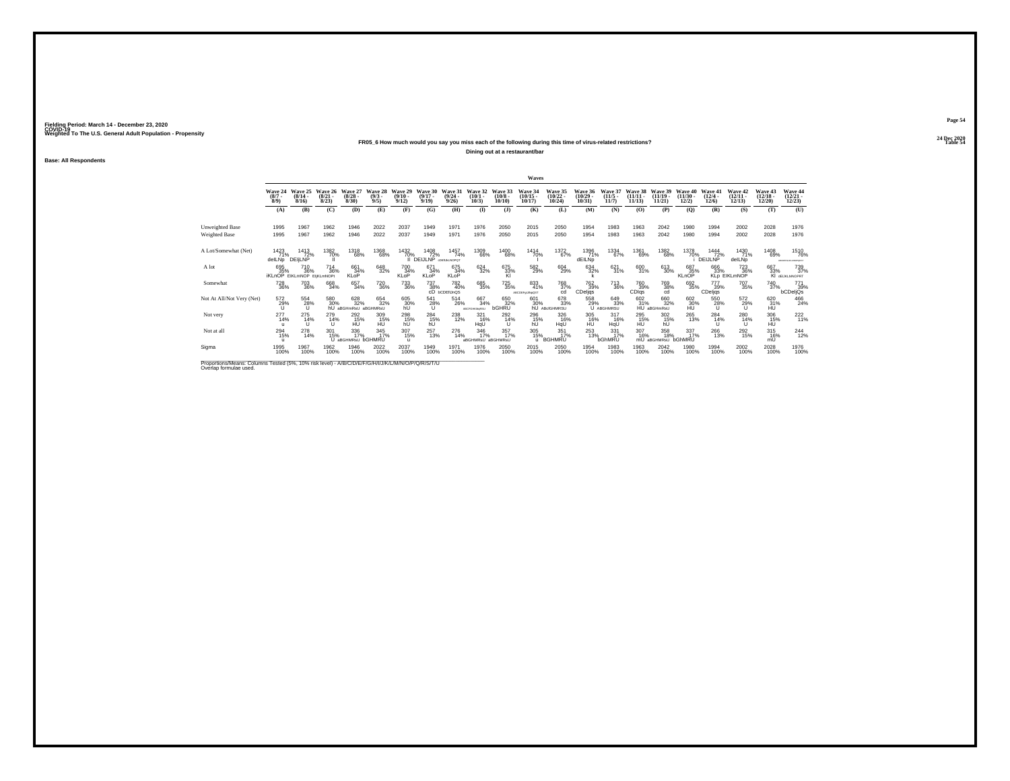## **24 Dec 2020FR05\_6 How much would you say you miss each of the following during this time of virus-related restrictions?**

**Dining out at a restaurant/bar**

**Base: All Respondents**

|                                                                                                                              |                                                 |                                  |                                 |                                                   |                               |                                         |                              |                                                       |                                 |                                 | Waves                             |                                    |                                            |                                              |                                 |                                                 |                                |                                       |                                   |                                   |                                                                 |
|------------------------------------------------------------------------------------------------------------------------------|-------------------------------------------------|----------------------------------|---------------------------------|---------------------------------------------------|-------------------------------|-----------------------------------------|------------------------------|-------------------------------------------------------|---------------------------------|---------------------------------|-----------------------------------|------------------------------------|--------------------------------------------|----------------------------------------------|---------------------------------|-------------------------------------------------|--------------------------------|---------------------------------------|-----------------------------------|-----------------------------------|-----------------------------------------------------------------|
|                                                                                                                              | Wave 24<br>$\binom{8/7}{8/9}$                   | Wave 25<br>$\frac{(8/14)}{8/16}$ | Wave 26<br>$\binom{8/21}{8/23}$ | Wave 27<br>$\binom{8/28}{8/30}$                   | Wave 28<br>$\binom{9/3}{9/5}$ | Wave 29<br>$\frac{(9/10 - 9/12)}{9/12}$ | Wave 30<br>$(9/17 -$<br>9/19 | Wave 31<br>$\frac{(9/24 - 9/26)}{9/26}$               | Wave 32<br>$\binom{10/1}{10/3}$ | Wave 33<br>(10/8)<br>10/10      | Wave 34<br>$\binom{10/15}{10/17}$ | Wave 35<br>$\frac{(10/22)}{10/24}$ | Wave 36<br>$\frac{(10/29 - 10/31)}{10/31}$ | Wave 37<br>$\frac{(11/5)}{11/7}$             | Wave 38<br>$(11/11 -$<br>11/13  | Wave 39<br>$(11/19 -$<br>11/21                  | Wave 40<br>$(11/30 -$<br>12/2) | Wave 41<br>$\frac{(12/4 - 12)}{12/6}$ | Wave 42<br>$\binom{12/11}{12/13}$ | Wave 43<br>$\binom{12/18}{12/20}$ | Wave 44<br>$\binom{12/21}{12/23}$                               |
|                                                                                                                              | (A)                                             | (B)                              | (C)                             | (D)                                               | (E)                           | (F)                                     | (G)                          | (H)                                                   | $\bf(I)$                        | $($ $)$                         | (K)                               | (L)                                | (M)                                        | (N)                                          | (O)                             | (P)                                             | (Q)                            | (R)                                   | (S)                               | (T)                               | (U)                                                             |
| Unweighted Base<br>Weighted Base                                                                                             | 1995<br>1995                                    | 1967<br>1967                     | 1962<br>1962                    | 1946<br>1946                                      | 2022<br>2022                  | 2037<br>2037                            | 1949<br>1949                 | 1971<br>1971                                          | 1976<br>1976                    | 2050<br>2050                    | 2015<br>2015                      | 2050<br>2050                       | 1954<br>1954                               | 1983<br>1983                                 | 1963<br>1963                    | 2042<br>2042                                    | 1980<br>1980                   | 1994<br>1994                          | 2002<br>2002                      | 2028<br>2028                      | 1976<br>1976                                                    |
| A Lot/Somewhat (Net)                                                                                                         | 1423<br>71%<br>delLNp DEILNP                    | 1413<br>72%                      | 1382<br>70%                     | 1318<br>68%                                       | 1368<br>68%                   | 1432<br>70%                             | 1408<br>EIJLNP COEILINATO    | 1457<br>74%                                           | 1309<br>66%                     | 1400<br>68%                     | 1414<br>70%                       | 1372<br>67%                        | 1396<br>71%<br>dEILNp                      | 1334<br>67%                                  | 1361<br>69%                     | 1382<br>68%                                     | 1378                           | 1444<br>70% 72%                       | 1430<br>71%<br>delLNp             | 1408<br>69%                       | 1510<br>76%<br>ABCORPOLIALMINOPORTS                             |
| A lot                                                                                                                        | 695<br>35%<br><b>İKLnOP EIKLmNOP EIjKLmNOPt</b> | <sup>710</sup> <sub>36%</sub>    | $^{714}_{36\%}$                 | 661<br>34%<br><b>KLOP</b>                         | 648<br>32%                    | 700<br>34%<br><b>KLoP</b>               | 671<br>34%<br>KLoP           | 675<br>34%<br><b>KLOP</b>                             | $\substack{624 \\ 32\%}$        | 675<br>33%<br>KI                | 582<br>29%                        | 604<br>29%                         | 634<br>32%                                 | $\frac{621}{31\%}$                           | 600<br>31%                      | 613<br>30%                                      | 687<br>35%<br><b>KLnOP</b>     | 666<br>33%                            | 723<br>36%<br><b>KLD EIKLMNOP</b> | 667<br>33%                        | 739<br>37%<br>KI JEIJKLMNOPRT                                   |
| Somewhat                                                                                                                     | <sup>728</sup> 36%                              | <sup>703</sup> 36%               | 668<br>34%                      | 657<br>34%                                        | <sup>720</sup> <sub>36%</sub> | 733<br>36%                              | 737<br>38%                   | <sup>782</sup> <sub>40%</sub><br>CD <b>bCDEflJnQS</b> | 685<br>35%                      | <sup>725</sup> 35%              | 833<br>41%<br>ABCDEFgLINpQST      | <sup>768</sup> 37%<br>cd           | 762 39%<br>CDeljqs                         | <sup>713</sup> 36%                           | 760<br>39%<br>CD <sub>lqs</sub> | 769<br>38%<br>cd                                | 692<br>35%                     | 777<br>39%<br>CDeljqs                 | 707<br>35%                        | <sup>740</sup> <sub>37%</sub>     | $\begin{array}{c} 771 \\ 39\% \\ \mathrm{bCDeljQs} \end{array}$ |
| Not At All/Not Very (Net)                                                                                                    | 572<br>29%                                      | 554<br>28%                       | 580                             | 628<br>32%<br>30% 32% 32%<br>hU aBGHmRsU aBGHMRsU | 654<br>32%                    | 605<br>30%<br>hU                        | 541<br>$^{28\%}_{U}$         | $^{514}_{\phantom{1}\phantom{1}\phantom{1}26\%}$      | 667<br>34%<br>ABCFGHKMsRSU      | 650<br>32%<br><b>bGHRU</b>      | 601                               | 678<br>33%<br>30% 33               |                                            | 558 64<br>29% 33<br>U ABGHMRSU<br>649<br>33% |                                 | 660<br>32%<br>602 660<br>31% 325<br>HU aBGHmRsU | 602<br>30%<br>HU               | $^{550}_{28\%}$                       | 572<br>29%<br>u                   | 620<br>31%<br>HU                  | 466<br>24%                                                      |
| Not very                                                                                                                     | 277<br>14%                                      | $^{275}_{14\%}$                  | 279<br>14%<br>u                 | <sup>292</sup> <sub>15%</sub><br>HU               | 309<br>15%<br>HÚ              | 298<br>15%<br>hÚ                        | 284<br>15%<br>hÚ             | 238<br>12%                                            | 321<br>16%<br>HqU               | $^{292}_{14\%}$<br>$\mathbf{H}$ | 296<br>15%<br>hU                  | 326<br>16%<br>HqU                  | 305<br>16%<br>HU                           | $^{317}_{16\%}$<br>HqU                       | 295<br>15%<br>HÚ                | 302<br>15%<br>hÚ                                | 265<br>13%                     | 284<br>14%<br>п                       | 280<br>14%<br>п                   | 306<br>15%<br>HÚ.                 | $^{222}_{11\%}$                                                 |
| Not at all                                                                                                                   | <sup>294</sup> 15%                              | 278<br>14%                       | 301<br>15%                      | 336<br>17%<br>U aBGHMRsU bGHMRU                   | 345<br>17%                    | 307<br>15%<br>u                         | $^{257}_{13\%}$              | 276<br>14%                                            | 346<br>17%<br>aBGHMRsU aBGHMRsU | 357<br>17%                      | 305<br>15%<br>u                   | $\frac{351}{17\%}$<br>BGHMRU       | 253<br>13%                                 | 331<br>17%<br>bGhMRU                         | 307<br>16%                      | 358<br>18%<br>mU aBGHMRsU                       | 337%<br><b>bGhMRU</b>          | 266<br>13%                            | 292<br>15%                        | $^{315}_{16\%}$<br>mÜ             | $^{244}_{12\%}$                                                 |
| Sigma                                                                                                                        | 1995<br>100%                                    | 1967<br>100%                     | 1962<br>100%                    | 1946<br>100%                                      | 2022<br>100%                  | 2037<br>100%                            | 1949<br>100%                 | 1971<br>100%                                          | 1976<br>100%                    | 2050<br>100%                    | 2015<br>100%                      | 2050<br>100%                       | 1954<br>100%                               | 1983<br>100%                                 | 1963<br>100%                    | 2042<br>100%                                    | 1980<br>100%                   | 1994<br>100%                          | 2002<br>100%                      | 2028<br>100%                      | 1976<br>100%                                                    |
| Proportions/Means: Columns Tested (5%, 10% risk level) - A/B/C/D/E/F/G/H/I/J/K/L/M/N/O/P/Q/R/S/T/U<br>Overlap formulae used. |                                                 |                                  |                                 |                                                   |                               |                                         |                              |                                                       |                                 |                                 |                                   |                                    |                                            |                                              |                                 |                                                 |                                |                                       |                                   |                                   |                                                                 |

**Page 54**24 Dec 2020<br>Table 54

**Table 54 Table 54 Table 54 Table 54 Table 54 Table 54 Table 54 Table 54**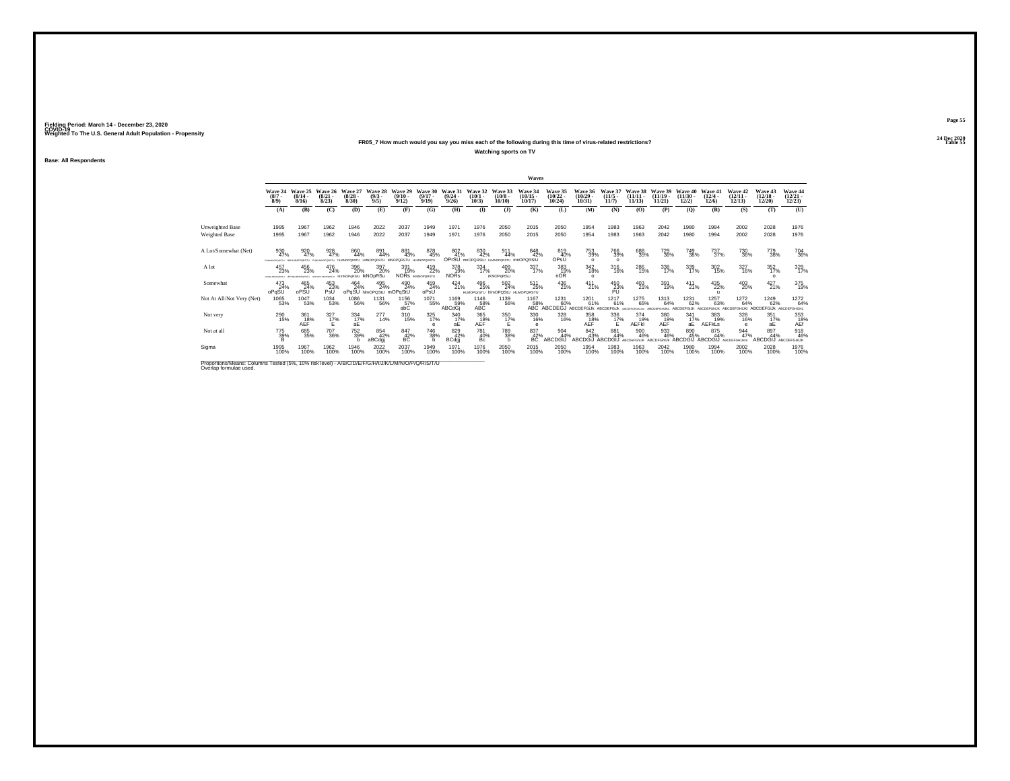## **24 Dec 2020FR05\_7 How much would you say you miss each of the following during this time of virus-related restrictions?**

**Watching sports on TV**

**Base: All Respondents**

|                                                                                                    |                                      |                                  |                                 |                                            |                                       |                                                |                                           |                                          |                                  |                                               | <b>Waves</b>                      |                                                              |                                   |                              |                                    |                                |                                |                              |                                       |                                          |                                   |
|----------------------------------------------------------------------------------------------------|--------------------------------------|----------------------------------|---------------------------------|--------------------------------------------|---------------------------------------|------------------------------------------------|-------------------------------------------|------------------------------------------|----------------------------------|-----------------------------------------------|-----------------------------------|--------------------------------------------------------------|-----------------------------------|------------------------------|------------------------------------|--------------------------------|--------------------------------|------------------------------|---------------------------------------|------------------------------------------|-----------------------------------|
|                                                                                                    | Wave 24<br>$\binom{8/7}{8/9}$        | Wave 25<br>$\frac{(8/14)}{8/16}$ | Wave 26<br>$\binom{8/21}{8/23}$ | Wave 27<br>$\frac{(8/28)}{8/30}$           | Wave 28<br>$\binom{9/3}{9/5}$         | Wave 29<br>$\frac{(9/10)}{9/12}$               | Wave 30<br>$(9/17 -$<br>9/19              | Wave 31<br>$(9/24 -$<br>9/26             | Wave 32<br>$(10/1 -$<br>$10/3$ ) | Wave 33<br>$\binom{10/8}{10/10}$              | Wave 34<br>$\binom{10/15}{10/17}$ | Wave 35<br>$\binom{10/22}{10/24}$                            | Wave 36<br>$\binom{10/29}{10/31}$ | Wave 37<br>$(11/5 -$<br>11/7 | Wave 38<br>$(11/11 -$<br>11/13     | Wave 39<br>$(11/19 -$<br>11/21 | Wave 40<br>$(11/30 -$<br>12/2) | Wave 41<br>$(12/4 -$<br>12/6 | Wave 42<br>$\binom{12/11}{12/13}$     | Wave 43<br>$\binom{12/18}{12/20}$        | Wave 44<br>$\binom{12/21}{12/23}$ |
|                                                                                                    | (A)                                  | (B)                              | (C)                             | (D)                                        | (E)                                   | (F)                                            | (G)                                       | <b>(H)</b>                               | $($ $\Gamma$                     | $($ $\bf{J}$ )                                | (K)                               | (L)                                                          | (M)                               | (N)                          | (0)                                | (P)                            | (Q)                            | (R)                          | (S)                                   | (T)                                      | (U)                               |
| Unweighted Base                                                                                    | 1995                                 | 1967                             | 1962                            | 1946                                       | 2022                                  | 2037                                           | 1949                                      | 1971                                     | 1976                             | 2050                                          | 2015                              | 2050                                                         | 1954                              | 1983                         | 1963                               | 2042                           | 1980                           | 1994                         | 2002                                  | 2028                                     | 1976                              |
| Weighted Base                                                                                      | 1995                                 | 1967                             | 1962                            | 1946                                       | 2022                                  | 2037                                           | 1949                                      | 1971                                     | 1976                             | 2050                                          | 2015                              | 2050                                                         | 1954                              | 1983                         | 1963                               | 2042                           | 1980                           | 1994                         | 2002                                  | 2028                                     | 1976                              |
| A Lot/Somewhat (Net)                                                                               | 930<br>47%                           | 920<br>47%                       | 928<br>47%                      | 860<br>44%                                 | 891<br>44%                            | 881<br>43%<br>OPORSTLL MNOPORSTLL HLM/OPORSTLL | 878<br>45%                                | 802<br>41%<br>OPrSU <sub>mnOPORStU</sub> | 830<br>42%                       | 911<br>44%<br>NUMBER STL                      | 848<br>42%<br>mnOPQRStU           | 819<br>40%<br>OPsÜ                                           | 753<br>39%<br>$\Omega$            | 766<br>39%<br>$\Omega$       | 688<br>35%                         | <sup>729</sup> <sub>36%</sub>  | 749<br>38%                     | 737<br>37%                   | 730<br>36%                            | 779<br>38%                               | 704<br>36%                        |
| A lot                                                                                              | 457<br>23%<br><b>UTERCARDFORD IN</b> | 456<br>23%                       | 476<br>24%                      | 396<br>20%<br>GPORETU IKMNOPORStU IKNODRSU | 397<br>20%                            | 391<br>19%                                     | $^{419}_{22\%}$<br><b>NORS KMNOPORSTU</b> | 378<br>19%<br><b>NORs</b>                | 334<br>17%                       | 409<br>20%<br><b>iKNOPaRSU</b>                | 337<br>17%                        | 383<br>19%<br>nOR                                            | 342 18%<br>$\circ$                | 316<br>16%                   | 286<br>15%                         | 338<br>17%                     | 339<br>17%                     | $\frac{302}{15\%}$           | 327<br>16%                            | $\frac{352}{17\%}$<br>$\Omega$           | 329 17%                           |
| Somewhat                                                                                           | 473<br>oPqSU                         | 465<br>24%<br>oPSU               | 453<br>23%<br>PsŰ               | 464<br>24%                                 | 495<br>24%<br>oPqSU himoposiu mOPqStU | 490<br>24%                                     | 459<br>24%<br>oPsU                        | $^{424}_{21\%}$                          | 496<br>25%                       | 502<br>24%<br>HLMOPGrSTU hIMOPGSIU HLMOPGRSTU | $^{511}_{25\%}$                   | 436<br>21%                                                   | $^{411}_{21\%}$                   | $^{450}_{23\%}$              | $^{403}_{21\%}$                    | 391<br>19%                     | $^{411}_{21\%}$                | 435<br>22%                   | 403<br>20%                            | $^{427}_{21\%}$                          | 375<br>19%                        |
| Not At All/Not Very (Net)                                                                          | 1065<br>53%                          | 1047<br>53%                      | 1034<br>53%                     | 1086<br>56%                                | 1131<br>56%                           | $^{1156}_{\,\,\,57\%}$ abC                     | 1071<br>55%                               | 1169<br>59%<br>ABCdGj                    | 1146<br>58%<br>ABC               | 1139<br>56%                                   | 1167                              | 1231<br>58% 60% 61% 61%<br>ABC ABCDEGJ ABCDEFGIJK ABCDEFGIJK | 1201<br>61%                       | 1217<br>61%                  | 1275<br>65%                        | 1313<br>64%<br><b>CHEIKT</b>   | 1231<br>62%<br>ARCDEEGLIK      | 1257<br>63%<br>ARCDEFGNUK    | 1272<br>64%<br>ARCOFFGHUIG ARCOFFGUIK | 1249<br>62%                              | 1272<br>64%<br>ARCOFFGHUIC        |
| Not very                                                                                           | 290<br>15%                           | 361<br>18%<br>AEF                | $\frac{327}{17}\%$<br>F         | $\frac{334}{17\%}$<br>аE                   | $^{277}_{14\%}$                       | 310<br>15%                                     | 325<br>17%                                | $\frac{340}{17\%}$<br>aЕ                 | 365<br>18%<br>AEF                | 350<br>17%                                    | 330<br>16%<br>е                   | 328<br>16%                                                   | 358<br>18%<br>AEF                 | $\frac{336}{17\%}$           | 374<br>19%<br><b>AEFKI</b>         | 380<br>19%<br><b>AEF</b>       | $^{341}_{17\%}$<br>aЕ          | 383<br>19%<br><b>AEFKLS</b>  | 328<br>16%<br>$\epsilon$              | 351<br>17%<br>аE                         | 353<br>AEf                        |
| Not at all                                                                                         | 775<br>39%                           | 685<br>35%                       | 707<br>36%                      | <sup>752</sup> <sub>39%</sub>              | 854<br>42%<br>aBCdgj                  | 847<br>42%<br>BC                               | 746<br>38%                                | 829<br>42%<br><b>BCdgj</b>               | 781<br>40%<br>Bc                 | 789<br>38%<br>h                               | 837<br>42%<br>вč                  | 904<br>44%<br>ABCDGIJ                                        | 842<br>43%<br>ABCDGLI ABCDGLI     | 881<br>44%                   | 900<br>46%<br>ARCDeFGNUK ARCDEGNUK | 933<br>46%                     | 890<br>45%<br>ABCDGIJ ABCDGIJ  | 875<br>44%                   | 944<br>47%<br>ABCDEFGHUKn             | 897<br>44%<br><b>ABCDGIJ ABCDEFGHIJK</b> | 918<br>46%                        |
| Sigma                                                                                              | 1995<br>100%                         | 1967<br>100%                     | 1962<br>100%                    | 1946<br>100%                               | 2022<br>100%                          | 2037<br>100%                                   | 1949<br>100%                              | 1971<br>100%                             | 1976<br>100%                     | 2050<br>100%                                  | 2015<br>100%                      | 2050<br>100%                                                 | 1954<br>100%                      | 1983<br>100%                 | 1963<br>100%                       | 2042<br>100%                   | 1980<br>100%                   | 1994<br>100%                 | 2002<br>100%                          | 2028<br>100%                             | 1976<br>100%                      |
| Bronortiona Magna: Columna Tested (59/ 109/ riok love)) A/B/C/D/E/E/C/N/J/J/W/L/M/N/Q/D/Q/B/C/T/LL |                                      |                                  |                                 |                                            |                                       |                                                |                                           |                                          |                                  |                                               |                                   |                                                              |                                   |                              |                                    |                                |                                |                              |                                       |                                          |                                   |

Proportions/Means: Columns Tested (5%, 10% risk level) - *N'B/C/D/E/F/G/H/I/J/K/L/M/N/O/P/Q/R/S/*T/U<br>Overlap formulae used.

**Page 55**24 Dec 2020<br>Table 55

**Table 55 Table 55 Table 55 Table 55 Table 55 Table 55**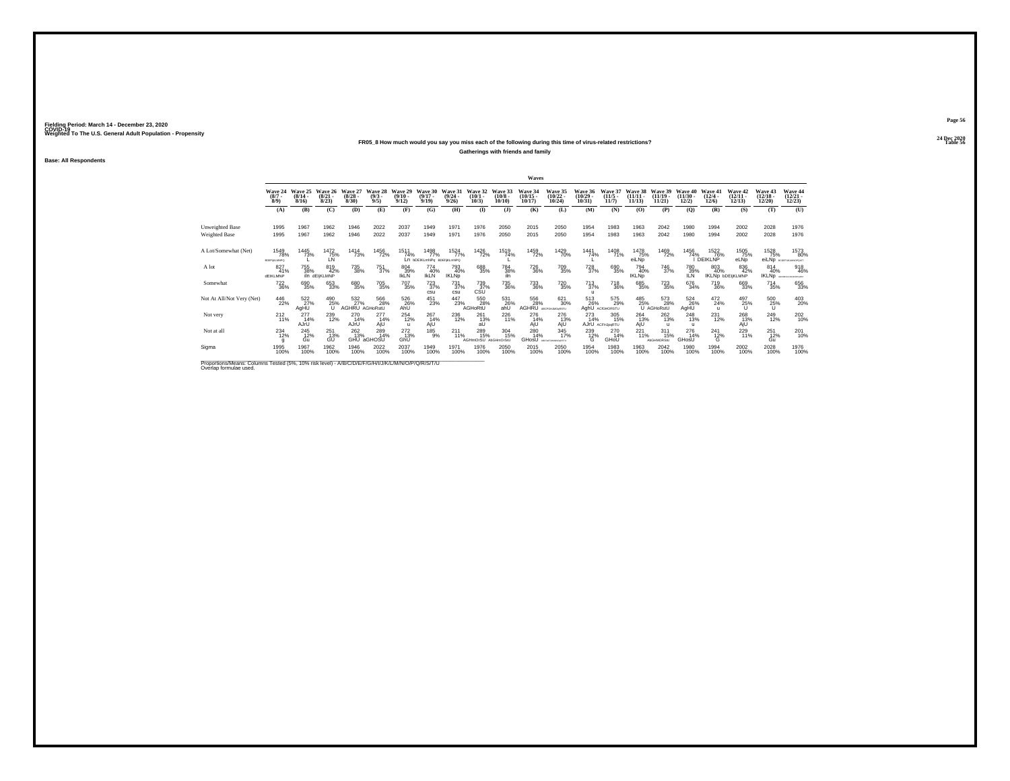## **24 Dec 2020FR05\_8 How much would you say you miss each of the following during this time of virus-related restrictions?**

**Gatherings with friends and family**

**Base: All Respondents**

|                                                                                                                             |                                   |                                         |                                 |                                  |                               |                                  |                                          |                                         |                                   |                               | Waves                       |                                   |                                   |                                  |                                |                                     |                                        |                                         |                                      |                                   |                                   |
|-----------------------------------------------------------------------------------------------------------------------------|-----------------------------------|-----------------------------------------|---------------------------------|----------------------------------|-------------------------------|----------------------------------|------------------------------------------|-----------------------------------------|-----------------------------------|-------------------------------|-----------------------------|-----------------------------------|-----------------------------------|----------------------------------|--------------------------------|-------------------------------------|----------------------------------------|-----------------------------------------|--------------------------------------|-----------------------------------|-----------------------------------|
|                                                                                                                             | Wave 24<br>$(8/7 -$<br>$8/9$ )    | Wave 25<br>$\frac{(8/14 - 8/16)}{8/16}$ | Wave 26<br>$\binom{8/21}{8/23}$ | Wave 27<br>$\frac{(8/28)}{8/30}$ | Wave 28<br>$\binom{9/3}{9/5}$ | Wave 29<br>$\frac{(9/10)}{9/12}$ | Wave 30<br>$(9/17 -$<br>9/19             | Wave 31<br>$\frac{(9/24 - 9/26)}{9/26}$ | Wave 32<br>$(10/1 -$<br>$10/3$ )  | Wave 33<br>$(10/8 -$<br>10/10 | Wave 34<br>(10/15)<br>10/17 | Wave 35<br>$\binom{10/22}{10/24}$ | Wave 36<br>$\binom{10/29}{10/31}$ | Wave 37<br>$\frac{(11/5)}{11/7}$ | Wave 38<br>$(11/11 -$<br>11/13 | Wave 39<br>$(11/19 -$<br>11/21      | Wave 40<br>$\frac{(11/30 - 12)}{12/2}$ | Wave 41<br>$\frac{(12/4 - 12)}{(12/6)}$ | Wave 42<br>$\binom{12/11}{12/13}$    | Wave 43<br>$\binom{12/18}{12/20}$ | Wave 44<br>$\binom{12/21}{12/23}$ |
|                                                                                                                             | (A)                               | (B)                                     | (C)                             | (D)                              | (E)                           | (F)                              | (G)                                      | (H)                                     | $($ I                             | $($ $)$                       | (K)                         | (L)                               | (M)                               | (N)                              | (0)                            | (P)                                 | (Q)                                    | (R)                                     | (S)                                  | (T)                               | (U)                               |
| Unweighted Base<br>Weighted Base                                                                                            | 1995<br>1995                      | 1967<br>1967                            | 1962<br>1962                    | 1946<br>1946                     | 2022<br>2022                  | 2037<br>2037                     | 1949<br>1949                             | 1971<br>1971                            | 1976<br>1976                      | 2050<br>2050                  | 2015<br>2015                | 2050<br>2050                      | 1954<br>1954                      | 1983<br>1983                     | 1963<br>1963                   | 2042<br>2042                        | 1980<br>1980                           | 1994<br>1994                            | 2002<br>2002                         | 2028<br>2028                      | 1976<br>1976                      |
| A Lot/Somewhat (Net)                                                                                                        | 1549<br>78%<br><b>BDEFIKLMNPD</b> | 1445<br>73%                             | 1472<br>75%<br>LN               | 1414<br>73%                      | 1456<br>72%                   | 1511<br>74%                      | 1498<br>77%<br>Ln bDEIKLmNPa BDEfiKLmNPQ | 1524<br>77%                             | 1426<br>72%                       | 1519<br>74%                   | 1459<br>72%                 | 1429<br>70%                       | 1441<br>74%                       | 1408<br>71%                      | 1478<br>75%<br>eiLNp           | 1469<br>72%                         | 1456<br>74%                            | 1522<br>76%<br>DEIKLNP                  | 1505<br>75%<br>eLND                  | 1528<br>75%                       | 1573<br>80%<br>eiLNp accessionals |
| A lot                                                                                                                       | 827<br>41%<br>dEIKLMNP            | 755<br>38%                              | 819<br>42%<br>iln dEliKLMNP     | 735<br>38%                       | $\substack{751 \\ 37\%}$      | 804<br>39%<br><b>IKLN</b>        | 774<br>40%<br><b>IKLN</b>                | 793<br>40%<br><b>IKLNp</b>              | 688<br>35%                        | <sup>784</sup> 38%<br>iln     | <sup>726</sup> 36%          | 709<br>35%                        | <sup>728</sup> <sub>37%</sub>     | 690<br>35%                       | 794<br>40%<br><b>IKLNp</b>     | <sup>746</sup> 37%                  | <sup>780</sup> 39%<br><b>ILN</b>       | 803<br>40%                              | 836<br>42%<br><b>IKLND DDEIKLMNP</b> | 814<br>40%<br><b>IKLND</b>        | 918<br>46%<br>ABCDEFOILALMORONIT  |
| Somewhat                                                                                                                    | <sup>722</sup> <sub>36%</sub>     | 690<br>35%                              | 653<br>33%                      | 680<br>35%                       | 705<br>35%                    | <sup>707</sup> 35%               | $^{723}_{37\%}$<br><b>CSU</b>            | $^{731}_{37\%}$<br>csu                  | $^{739}_{37\%}$ csu               | 735<br>36%                    | 733<br>36%                  | <sup>720</sup> <sub>35%</sub>     | $^{713}_{37\%}$<br>u              | <sup>718</sup> 36%               | 685<br>35%                     | $^{723}_{35\%}$                     | 676<br>34%                             | <sup>719</sup> <sub>36%</sub>           | 669<br>33%                           | $^{714}_{35\%}$                   | 656<br>33%                        |
| Not At All/Not Very (Net)                                                                                                   | 446<br>22%                        | 522<br>27%<br>AgHU                      | 490<br>$^{25\%}_{U}$            | 532<br>27%<br>AGHRU AGHoRstU     | 566<br>28%                    | 526<br>26%<br>AhU                | $^{451}_{23\%}$                          | 447<br>23%                              | 550<br>28%<br>AGHoRtU             | 531<br>26%<br>ahU             | 556<br>30°, AGHRU           | 621<br>30%                        | 513<br>26%                        | 575<br>29%<br>AghU AC/GHORSTU    | 485                            | 573<br>25% 28%<br>U AGHoRstU<br>28% | 524<br>26%<br>AgHU                     | 472<br>24%<br>$\mathbf{u}$              | 497<br>25%<br>u                      | 500<br>$^{25\%}$                  | 403<br>20%                        |
| Not very                                                                                                                    | $^{212}_{11\%}$                   | 277<br>14%<br>AJrU                      | 239<br>12%                      | 270<br>14%<br>AJrU               | $^{277}_{14\%}$<br>AjU        | 254<br>12%<br>$\mathbf{u}$       | $^{267}_{14\%}$<br>AjU                   | 236<br>12%                              | 261<br>13%<br>aU                  | 226<br>11%                    | 276<br>14%<br>AjU           | 276<br>13%<br>AjU                 | 273<br>14%                        | 305<br>15%<br>AJrU ACFHJpgRTU    | 264<br>13%<br>AjÚ              | $^{262}_{13\%}$<br>$\mathbf{u}$     | $^{248}_{13\%}$<br>-99                 | 231<br>12%                              | 268<br>13%<br>AjU                    | <sup>249</sup> <sub>12%</sub>     | 202 <sub>10%</sub>                |
| Not at all                                                                                                                  | $^{234}_{12\%}$                   | $^{245}_{12\%}$<br>Gu                   | 251<br>13%<br>GŰ                | $^{262}_{13\%}$                  | 289<br>14%<br>GHU aGHOSU      | $^{272}_{13\%}$<br>GhU           | $^{185}_{9\%}$                           | $^{211}_{11\%}$                         | 289<br>15%<br>AGHmOrSU AbGHmOrStL | 304<br>15%                    | 280<br>14%<br>GHosU         | 345<br>17%<br>MNO SKITL           | $^{239}_{12\%}$                   | 270<br>14%<br>GHOU               | $^{221}_{11\%}$                | 311<br>15%<br><b>AbGHMORSIU</b>     | 276<br>14%<br>GHosU                    | $^{241}_{12\%}$                         | 229<br>11%                           | $^{251}_{12\%}$<br>Gu             | 201<br>10%                        |
| Sigma                                                                                                                       | 1995<br>100%                      | 1967<br>100%                            | 1962<br>100%                    | 1946<br>100%                     | 2022<br>100%                  | 2037<br>100%                     | 1949<br>100%                             | 1971<br>100%                            | 1976<br>100%                      | 2050<br>100%                  | 2015<br>100%                | 2050<br>100%                      | 1954<br>100%                      | 1983<br>100%                     | 1963<br>100%                   | 2042<br>100%                        | 1980<br>100%                           | 1994<br>100%                            | 2002<br>100%                         | 2028<br>100%                      | 1976<br>100%                      |
| Proportions/Means: Columns Tested (5%, 10% risk level) - A/B/C/D/E/F/G/H/I/J/K/L/M/N/O/P/Q/R/S/T/U<br>Overlap formulae used |                                   |                                         |                                 |                                  |                               |                                  |                                          |                                         |                                   |                               |                             |                                   |                                   |                                  |                                |                                     |                                        |                                         |                                      |                                   |                                   |

**Page 56**24 Dec 2020<br>Table 56

**Table 56 Table 56 Table 56 Table 56 Table 56 Table 56**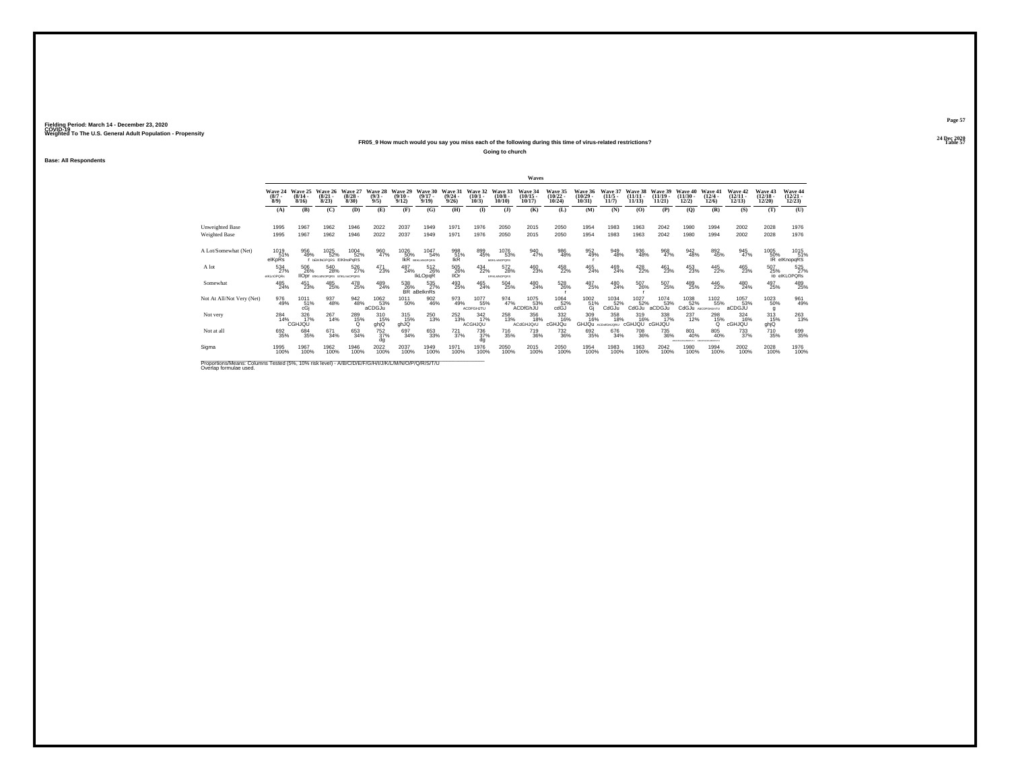## **24 Dec 2020FR05\_9 How much would you say you miss each of the following during this time of virus-related restrictions?**

**Going to church**

**Base: All Respondents**

|                                                                                                                             |                               |                              |                                                   |                              |                               |                                  |                              |                                  |                                 |                                           | Waves                          |                                   |                                   |                              |                                |                                |                                                 |                                           |                                |                                    |                                            |
|-----------------------------------------------------------------------------------------------------------------------------|-------------------------------|------------------------------|---------------------------------------------------|------------------------------|-------------------------------|----------------------------------|------------------------------|----------------------------------|---------------------------------|-------------------------------------------|--------------------------------|-----------------------------------|-----------------------------------|------------------------------|--------------------------------|--------------------------------|-------------------------------------------------|-------------------------------------------|--------------------------------|------------------------------------|--------------------------------------------|
|                                                                                                                             | Wave 24<br>$\binom{8/7}{8/9}$ | Wave 25<br>$(8/14 -$<br>8/16 | Wave 26<br>$\frac{(8/21)}{8/23}$                  | Wave 27<br>$(8/28 -$<br>8/30 | Wave 28<br>$\binom{9/3}{9/5}$ | Wave 29<br>$\frac{(9/10)}{9/12}$ | Wave 30<br>$(9/17 -$<br>9/19 | Wave 31<br>$\frac{(9/24)}{9/26}$ | Wave 32<br>$\binom{10/1}{10/3}$ | Wave 33<br>$\substack{(10/8 \ 10/10)}$    | Wave 34<br>$(10/15 -$<br>10/17 | Wave 35<br>$\binom{10/22}{10/24}$ | Wave 36<br>$\binom{10/29}{10/31}$ | Wave 37<br>$(11/5 -$<br>11/7 | Wave 38<br>$(11/11 -$<br>11/13 | Wave 39<br>$(11/19 -$<br>11/21 | Wave 40<br>$(11/30 -$<br>12/2)                  | Wave 41<br>$\frac{(12/4 - 12)}{12/6}$     | Wave 42<br>$\binom{12}{12/13}$ | Wave 43<br>$\frac{(12/18)}{12/20}$ | Wave 44<br>$\binom{12/21}{12/23}$          |
|                                                                                                                             | (A)                           | (B)                          | (C)                                               | (D)                          | (E)                           | (F)                              | (G)                          | (H)                              | (I)                             | $($ $\bf{J}$ )                            | (K)                            | (L)                               | (M)                               | (N)                          | (O)                            | (P)                            | $\mathbf{Q}$                                    | (R)                                       | (S)                            | (T)                                | (U)                                        |
| Unweighted Base<br>Weighted Base                                                                                            | 1995<br>1995                  | 1967<br>1967                 | 1962<br>1962                                      | 1946<br>1946                 | 2022<br>2022                  | 2037<br>2037                     | 1949<br>1949                 | 1971<br>1971                     | 1976<br>1976                    | 2050<br>2050                              | 2015<br>2015                   | 2050<br>2050                      | 1954<br>1954                      | 1983<br>1983                 | 1963<br>1963                   | 2042<br>2042                   | 1980<br>1980                                    | 1994<br>1994                              | 2002<br>2002                   | 2028<br>2028                       | 1976<br>1976                               |
| A Lot/Somewhat (Net)                                                                                                        | 1019<br>51%<br>elKpRs         | 956<br>49%                   | 1025<br>52%<br>I DEIKINOPORS EIKInoPoRS           | 1004<br>52%                  | 960<br>47%                    | 1026<br>50%<br><b>IKR</b>        | 1047<br>54%<br>BEIKLANDPORS: | 998<br>51%<br><b>IKR</b>         | 899<br>45%                      | 1076<br>53%<br><b><i>LEIKLmNOPORS</i></b> | 940<br>47%                     | 986<br>48%                        | 952<br>49%                        | 949<br>48%                   | 936<br>48%                     | 968<br>47%                     | 942<br>48%                                      | 892<br>45%                                | 945<br>47%                     | 1005                               | 1015<br>51%<br>50%<br>19, 51% IR elKnopqRS |
| A lot                                                                                                                       | 534<br>27%<br>elKLnOPQRs      | 506<br>26%                   | 540<br>28%<br><b>IODI</b> EIKLANOPORS EIKLMIOPORS | 526<br>27%                   | $^{471}_{23\%}$               | 487<br>24%                       | 512<br>26%<br><b>IkLOpgR</b> | $^{505}_{26\%}$<br><b>IIOr</b>   | $^{434}_{22\%}$                 | 572<br>28%<br><b>EFIGUANOPORS</b>         | 460<br>23%                     | 458<br>22%                        | 465<br>24%                        | 469<br>24%                   | 428<br>22%                     | 461<br>23%                     | 453<br>23%                                      | 445<br>22%                                | 465<br>23%                     | 507<br>25%                         | 525<br>io elKLOPORs                        |
| Somewhat                                                                                                                    | 485<br>24%                    | 451<br>23%                   | 485%                                              | 478<br>25%                   | 489<br>24%                    | $^{538}_{26\%}$ BR al            | 535<br>27%<br>aBelknRs       | 493<br>25%                       | $^{465}_{24\%}$                 | $^{504}_{\phantom{1}\phantom{1}25\%}$     | 480<br>24%                     | $^{528}_{26\%}$                   | 487<br>25%                        | $^{480}_{24\%}$              | 507<br>26%                     | $^{507}_{25\%}$                | 489<br>25%                                      | 446<br>22%                                | 480<br>24%                     | 497<br>25%                         | 489<br>25%                                 |
| Not At All/Not Very (Net)                                                                                                   | 976<br>49%                    | 1011<br>51%<br>cGi           | 937<br>48%                                        | 942<br>48%                   | 1062<br>53%<br>aCDGJu         | 1011<br>50%                      | $\frac{902}{46\%}$           | 973<br>49%                       | 1077<br>55%<br><b>ACDFGHJTU</b> | 974<br>47%                                | 1075<br>53%<br>ACDfGhJU        | 1064<br>$\frac{52}{3}$            | $^{1002}_{\substack{51\%\\6j}}$   | 1034<br>52%<br>CdGJu         | 1027<br>52%<br>CdGJu           | 1074<br>53%<br>aCDGJu          | 1038<br>52%<br>CdGJu AbCDFGHJmTU                | 1102<br>55%                               | 1057<br>53%<br>aCDGJU          | 1023<br>50%<br>q                   | 961<br>49%                                 |
| Not very                                                                                                                    | 284<br>14%                    | 326<br>17%<br>CGHJQU         | $^{267}_{14\%}$                                   | 289<br>15%<br>$\Omega$       | 310<br>15%<br>ghjQ            | 315<br>15%<br>ghJQ               | 250<br>13%                   | $^{252}_{13\%}$                  | $\frac{342}{17\%}$<br>ACGHJQU   | 258<br>13%                                | 356<br>18%<br>ACdGHJQrU        | 332<br>16%<br>cGHJQu              | 309<br>16%<br>GHJQU ACDMGHJQRU    | 358<br>18%                   | 319<br>16%<br>cGHJQU           | 338<br>17%<br>cGHJQU           | $^{237}_{12\%}$                                 | <sup>298</sup> <sub>15%</sub><br>$\Omega$ | 324<br>16%<br><b>CGHJQU</b>    | 313<br>15%<br>ghjQ                 | 263                                        |
| Not at all                                                                                                                  | 692<br>35%                    | 684<br>35%                   | 671<br>34%                                        | 653<br>34%                   | $^{752}_{37\%}$<br>dg         | 697<br>34%                       | 653<br>33%                   | $^{721}_{37\%}$                  | 736<br>37%<br>dq                | <sup>716</sup> 35%                        | 719<br>36%                     | $^{732}_{36\%}$                   | 692<br>35%                        | 676<br>34%                   | <sup>708</sup> 36%             | $^{735}_{\ 36\%}$              | 801<br>40%<br>ABCOFOLIOLMOPITU ABCOFOLIOLMOPITU | 805<br>40%                                | <sup>733</sup> <sub>37%</sub>  | 710<br>35%                         | 699<br>35%                                 |
| Sigma                                                                                                                       | 1995<br>100%                  | 1967<br>100%                 | 1962<br>100%                                      | 1946<br>100%                 | 2022<br>100%                  | 2037<br>100%                     | 1949<br>100%                 | 1971<br>100%                     | 1976<br>100%                    | 2050<br>100%                              | 2015<br>100%                   | 2050<br>100%                      | 1954<br>100%                      | 1983<br>100%                 | 1963<br>100%                   | 2042<br>100%                   | 1980<br>100%                                    | 1994<br>100%                              | 2002<br>100%                   | 2028<br>100%                       | 1976<br>100%                               |
| Proportions/Means: Columns Tested (5%, 10% risk level) - A/B/C/D/E/F/G/H/I/J/K/L/M/N/O/P/Q/R/S/T/U<br>Overlap formulae used |                               |                              |                                                   |                              |                               |                                  |                              |                                  |                                 |                                           |                                |                                   |                                   |                              |                                |                                |                                                 |                                           |                                |                                    |                                            |

**Page 57**24 Dec 2020<br>Table 57

**Table 57 Table 57**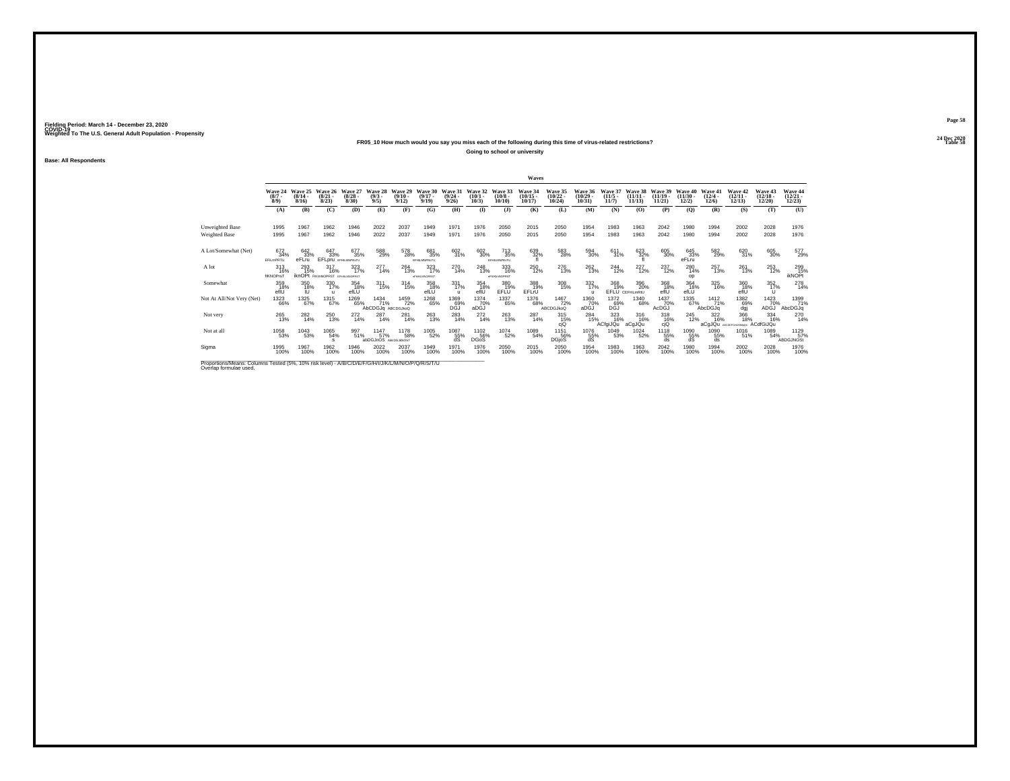## **24 Dec 2020FR05\_10 How much would you say you miss each of the following during this time of virus-related restrictions?**

**Going to school or university**

**Base: All Respondents**

|                                                                                                                              |                                |                                         |                                                     |                                 |                                     |                                         |                                   |                                                 |                                 |                                   | Waves                             |                                            |                                         |                                  |                                  |                                |                                |                                             |                                   |                                   |                                   |
|------------------------------------------------------------------------------------------------------------------------------|--------------------------------|-----------------------------------------|-----------------------------------------------------|---------------------------------|-------------------------------------|-----------------------------------------|-----------------------------------|-------------------------------------------------|---------------------------------|-----------------------------------|-----------------------------------|--------------------------------------------|-----------------------------------------|----------------------------------|----------------------------------|--------------------------------|--------------------------------|---------------------------------------------|-----------------------------------|-----------------------------------|-----------------------------------|
|                                                                                                                              | Wave 24<br>$\binom{8/7}{8/9}$  | Wave 25<br>$\frac{(8/14 - 8/16)}{8/16}$ | Wave 26<br>$\frac{(8/21)}{8/23}$                    | Wave 27<br>$\binom{8/28}{8/30}$ | Wave 28<br>$\binom{9/3}{9/5}$       | Wave 29<br>$\frac{(9/10 - 9/12)}{9/12}$ | Wave 30<br>$\binom{9/17}{9/19}$   | Wave 31<br>$\frac{(9/24 - 9/26)}{9/26}$         | Wave 32<br>$\binom{10/1}{10/3}$ | Wave 33<br>$\frac{(10/8)}{10/10}$ | Wave 34<br>$\binom{10/15}{10/17}$ | Wave 35<br>$\frac{(10/22 - 10/24)}{10/24}$ | Wave 36<br>$\binom{10/29}{10/31}$       | Wave 37<br>$\frac{(11/5)}{11/7}$ | Wave 38<br>$\binom{11/11}{1/13}$ | Wave 39<br>$(11/19 -$<br>11/21 | Wave 40<br>$(11/30 -$<br>12/2) | Wave 41<br>$\frac{(12/4 - 12)}{(12/6)}$     | Wave 42<br>$\binom{12/11}{12/13}$ | Wave 43<br>$\binom{12/18}{12/20}$ | Wave 44<br>$\binom{12/21}{12/23}$ |
|                                                                                                                              | (A)                            | (B)                                     | (C)                                                 | <b>(D)</b>                      | (E)                                 | (F)                                     | (G)                               | (H)                                             | $\bf{I}$                        | $($ $)$                           | (K)                               | (L)                                        | (M)                                     | (N)                              | (0)                              | (P)                            | (Q)                            | (R)                                         | (S)                               | (T)                               | (U)                               |
| Unweighted Base<br>Weighted Base                                                                                             | 1995<br>1995                   | 1967<br>1967                            | 1962<br>1962                                        | 1946<br>1946                    | 2022<br>2022                        | 2037<br>2037                            | 1949<br>1949                      | 1971<br>1971                                    | 1976<br>1976                    | 2050<br>2050                      | 2015<br>2015                      | 2050<br>2050                               | 1954<br>1954                            | 1983<br>1983                     | 1963<br>1963                     | 2042<br>2042                   | 1980<br>1980                   | 1994<br>1994                                | 2002<br>2002                      | 2028<br>2028                      | 1976<br>1976                      |
| A Lot/Somewhat (Net)                                                                                                         | 672<br>34%<br>EFILMPRTU        | 642<br>33%<br>eFLru                     | 647<br>33%<br>EFLpru EFHLMNPRsTU                    | 677<br>35%                      | 588<br>29%                          | 578<br>28%                              | 681<br>35%<br><b>EFHILMNPRsTU</b> | 602<br>31%                                      | 602<br>30%                      | 713<br>35%<br>EFHLMNPRsTU         | 639<br>32%                        | 583<br>28%                                 | 594<br>30%                              | 611<br>31%                       | 623<br>32%                       | 605<br>30%                     | 645<br>33%<br>eFLru            | 582<br>29%                                  | 620<br>31%                        | 605<br>30%                        | 577<br>29%                        |
| A lot                                                                                                                        | 313<br>16%<br><b>fIKNOPrsT</b> | 293<br>15%                              | 317<br>16%<br><b>iknOPt</b> FIKIMNOPRST EPHRAMOPRST | 323<br>17%                      | 277<br>14%                          | 264<br>13%                              | 323<br>17%<br>eFNIKLMNOPRST       | 270<br>14%                                      | 248<br>13%                      | 333<br>16%<br>eFHKImNOPRST        | <sup>250</sup><br>12%             | 276<br>13%                                 | 262 13%                                 | $^{244}_{12\%}$                  | $^{227}_{12\%}$                  | 237<br>12%                     | 280<br>14%<br>op               | 257<br>13%                                  | 261<br>13%                        | 253<br>12%                        | 299<br>15%<br><b>ikNOPt</b>       |
| Somewhat                                                                                                                     | 359<br>18%<br>efİÜ             | 350<br>18%<br>Ю                         | 330<br>17%<br>$\mathbf{u}$                          | 354<br>18%<br>efLU              | $^{311}_{15\%}$                     | $^{314}_{15\%}$                         | 358<br>18%<br>efLU                | 331/17%<br>$\mathbf{u}$                         | 354<br>18%<br>efİÜ              | 380<br>19%<br>EFLÜ                | 388<br>19%<br>EFL(U)              | 308<br>15%                                 | 332 17%<br>$\mathbf{u}$                 | 368<br>19%                       | 396<br>20%<br>EFLU CEFHLmRtU     | 368<br>18%<br>efIU             | 364<br>18%<br>efLU             | 325<br>16%                                  | 360<br>18%<br>efiŬ                | 352/17%<br>$\cup$                 | 278                               |
| Not At All/Not Very (Net)                                                                                                    | 1323<br>66%                    | 1325<br>67%                             | $\underset{67\%}{^{1315}}$                          | 1269<br>65%                     | 1434<br>71%<br>AbCDGJq ABCDGJkoQ    | 1459<br>72%                             | 1268<br>65%                       | 1369<br>DGJ <sup>%</sup>                        | 1374<br>70%<br>aDGJ             | 1337<br>65%                       | 1376<br>68%                       | 1467<br>72%<br><b>ABCDGJkoQ</b>            | 1360<br>70%<br>aDĠĴ                     | 1372<br>D <sup>69%</sup>         | 1340<br>68%                      | 1437<br>70%<br>AcDĠĴ           | 1335<br>67%,                   | 1412<br>71%<br>AbcDGJq                      | 1382<br>69%<br>daj                | 1423<br>70%<br>ADĠĴ               | 1399<br>71%<br>AbcDGJq            |
| Not very                                                                                                                     | 265<br>13%                     | 282<br>14%                              | 250<br>13%                                          | $^{272}_{14\%}$                 | 287<br>14%                          | 281<br>14%                              | $^{263}_{13\%}$                   | 283<br>14%                                      | $^{272}_{14\%}$                 | $^{263}_{13\%}$                   | 287<br>14%                        | $^{315}_{15\%}$<br>cjQ                     | 284<br>15%                              | 323<br>16%<br>ACfgiJQu           | 316<br>16%<br>aCgJQu             | $318 \atop 16\%$<br>cjQ        | 245<br>12%                     | $\frac{322}{16\%}$<br>aCqJQu ABCDEFGHLKMpGU | 366<br>18%                        | 334<br>16%<br>ACdfGiJQu           | 270<br>14%                        |
| Not at all                                                                                                                   | 1058<br>53%                    | 1043<br>53%                             | 1065<br>54%<br>s.                                   | 997<br>51%                      | 1147<br>57%<br>abDGJnOS ABdDGJkNOST | <sup>1178</sup> 58%                     | 1005<br>52%                       | $\underset{\substack{55\%\\ \text{dS}}}^{1087}$ | 1102<br>56%<br><b>DGoS</b>      | 1074<br>52%                       | 1089<br>54%                       | 1151<br>56%<br>DGjoS                       | $^{1076}_{\substack{55\% \ \text{dS}}}$ | 1049<br>53%                      | <sup>1024</sup> 52%              | 1118<br>55%<br>ds              | 1090<br>55%<br>dS              | 1090<br>55%<br>ds                           | 1016<br>51%                       | 1089<br>54%                       | 1129 57%<br><b>ABDGJNOSt</b>      |
| Sigma                                                                                                                        | 1995<br>100%                   | 1967<br>100%                            | 1962<br>100%                                        | 1946<br>100%                    | 2022<br>100%                        | 2037<br>100%                            | 1949<br>100%                      | 1971<br>100%                                    | 1976<br>100%                    | 2050<br>100%                      | 2015<br>100%                      | 2050<br>100%                               | 1954<br>100%                            | 1983<br>100%                     | 1963<br>100%                     | 2042<br>100%                   | 1980<br>100%                   | 1994<br>100%                                | 2002<br>100%                      | 2028<br>100%                      | 1976<br>100%                      |
| Proportions/Means: Columns Tested (5%, 10% risk level) - A/B/C/D/E/F/G/H/I/J/K/L/M/N/O/P/Q/R/S/T/U<br>Overlap formulae used. |                                |                                         |                                                     |                                 |                                     |                                         |                                   |                                                 |                                 |                                   |                                   |                                            |                                         |                                  |                                  |                                |                                |                                             |                                   |                                   |                                   |

**Page 58**24 Dec 2020<br>Table 58

**Table 58 Table 58**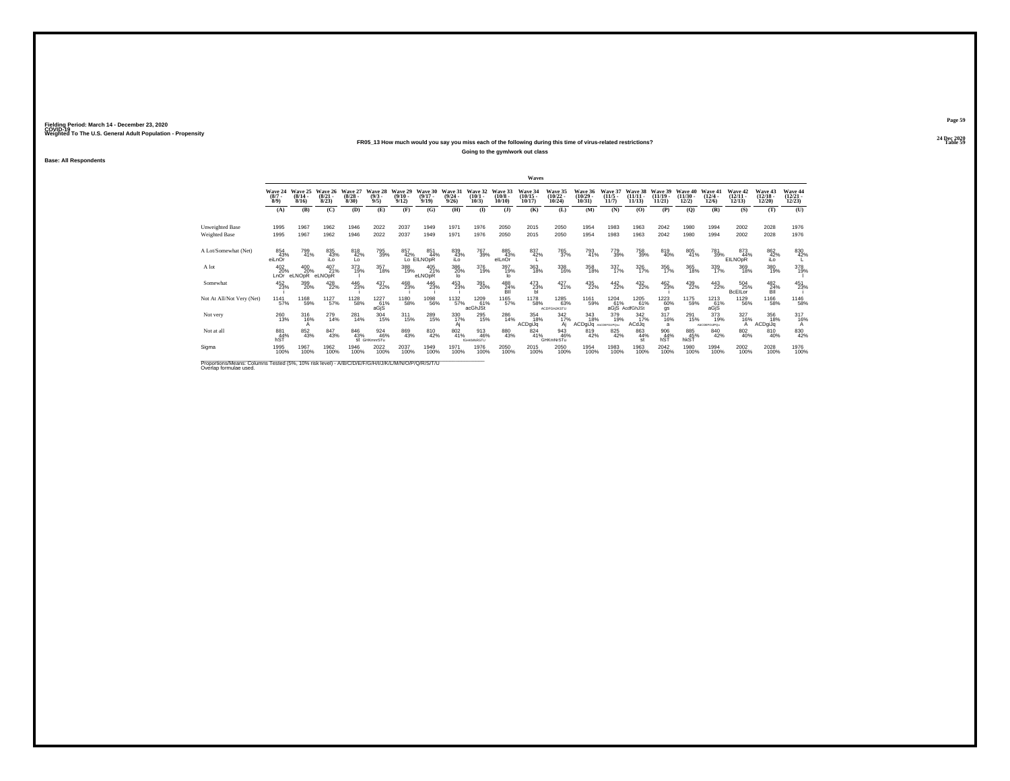## **24 Dec 2020FR05\_13 How much would you say you miss each of the following during this time of virus-related restrictions?**

**Going to the gym/work out class**

**Base: All Respondents**

|                                                                                                                              |                                |                              |                                 |                                  |                               |                                  |                              |                                         |                                 |                                   | Waves                             |                                   |                                   |                                  |                                |                                 |                                |                                 |                                           |                                   |                                   |
|------------------------------------------------------------------------------------------------------------------------------|--------------------------------|------------------------------|---------------------------------|----------------------------------|-------------------------------|----------------------------------|------------------------------|-----------------------------------------|---------------------------------|-----------------------------------|-----------------------------------|-----------------------------------|-----------------------------------|----------------------------------|--------------------------------|---------------------------------|--------------------------------|---------------------------------|-------------------------------------------|-----------------------------------|-----------------------------------|
|                                                                                                                              | Wave 24<br>$(8/7 -$<br>$8/9$ ) | Wave 25<br>$(8/14 -$<br>8/16 | Wave 26<br>$\binom{8/21}{8/23}$ | Wave 27<br>$\frac{(8/28)}{8/30}$ | Wave 28<br>$\binom{9/3}{9/5}$ | Wave 29<br>$\frac{(9/10)}{9/12}$ | Wave 30<br>$(9/17 -$<br>9/19 | Wave 31<br>$\frac{(9/24 - 9/26)}{9/26}$ | Wave 32<br>$\binom{10/1}{10/3}$ | Wave 33<br>$\frac{(10/8)}{10/10}$ | Wave 34<br>$\binom{10/15}{10/17}$ | Wave 35<br>$\binom{10/22}{10/24}$ | Wave 36<br>$\binom{10/29}{10/31}$ | Wave 37<br>$\frac{(11/5)}{11/7}$ | Wave 38<br>$(11/11 -$<br>11/13 | Wave 39<br>$(11/19 -$<br>11/21  | Wave 40<br>$(11/30 -$<br>12/2) | Wave 41<br>$\binom{12/4}{12/6}$ | Wave 42<br>$\binom{12}{12}\binom{11}{13}$ | Wave 43<br>$\binom{12/18}{12/20}$ | Wave 44<br>$\binom{12/21}{12/23}$ |
|                                                                                                                              | (A)                            | (B)                          | (C)                             | (D)                              | (E)                           | (F)                              | (G)                          | (H)                                     | $($ I                           | $($ $)$                           | (K)                               | (L)                               | (M)                               | (N)                              | (O)                            | (P)                             | (Q)                            | (R)                             | (S)                                       | (T)                               | (U)                               |
| <b>Unweighted Base</b><br>Weighted Base                                                                                      | 1995<br>1995                   | 1967<br>1967                 | 1962<br>1962                    | 1946<br>1946                     | 2022<br>2022                  | 2037<br>2037                     | 1949<br>1949                 | 1971<br>1971                            | 1976<br>1976                    | 2050<br>2050                      | 2015<br>2015                      | 2050<br>2050                      | 1954<br>1954                      | 1983<br>1983                     | 1963<br>1963                   | 2042<br>2042                    | 1980<br>1980                   | 1994<br>1994                    | 2002<br>2002                              | 2028<br>2028                      | 1976<br>1976                      |
| A Lot/Somewhat (Net)                                                                                                         | 854<br>43%<br>eiLnOr           | 799<br>41%                   | 835<br>43%<br>iLo               | 818<br>42%<br>Lo                 | 795<br>39%                    | 857                              | 851<br>42% 449<br>44%        | 839<br>43%<br>iLo                       | 767<br>39%                      | 885<br>43%<br>elLnOr              | 837<br>42%                        | 765<br>37%                        | 793<br>41%                        | 779<br>39%                       | 758<br>39%                     | 819<br>40%                      | 805<br>41%                     | 781<br>39%                      | 873<br>44%<br>EILNOpR                     | 862<br>42%<br>iLo                 | 830<br>42%                        |
| A lot                                                                                                                        | 402<br>20%<br>LnOr             | 400<br>20%<br>eLNOpR         | 407<br>21%<br>eLNOpR            | 373<br>19%                       | 357<br>18%                    | 388<br>19%                       | 405<br>21%<br>eLNOpR         | 386<br>20%<br>lo.                       | 376<br>19%                      | 397<br>19%<br>lo                  | 363<br>18%                        | 338<br>16%                        | 358<br>18%                        | 337<br>17%                       | 326<br>17%                     | $\frac{356}{17\%}$              | 365<br>18%                     | $\frac{339}{17\%}$              | 369<br>18%                                | 380<br>19%                        | 378<br>19%                        |
| Somewhat                                                                                                                     | 452<br>23%                     | 399<br>20%                   | 428<br>22%                      | 446<br>23%                       | 437<br>22%                    | 468<br>23%                       | 446<br>23%                   | 453<br>23%                              | 391<br>20%                      | $^{488}_{\phantom{1}24\%}$        | $^{473}_{23\%}$                   | $^{427}_{21\%}$                   | 435<br>22%                        | $^{442}_{22\%}$                  | 432 %                          | 462<br>23%                      | 439<br>22%                     | $^{443}_{22\%}$                 | 504<br>25%<br><b>BcElLor</b>              | $^{482}_{\substack{24 \%}}$       | 451<br>23%                        |
| Not At All/Not Very (Net)                                                                                                    | 1141<br>57%                    | 1168<br>59%                  | $^{1127}_{57\%}$                | 1128<br>58%                      | 1227<br>61%<br>aGjS           | 1180<br>58%                      | 1098<br>56%                  | 1132<br>57%                             | 1209<br>61%<br>acGhJSt          | 1165<br>57%                       | 1178<br>58%                       | 1285<br>63%<br><b>ACDFGHJKSTU</b> | 1161<br>59%                       | 1204<br>61%                      | 1205<br>61%<br>aGiS AcdfGhJSt  | 1223<br>60%<br>gs               | 1175<br>59%                    | 1213<br>61%<br>aGiS             | 1129<br>56%                               | <sup>1166</sup> 58%               | 1146<br>58%                       |
| Not very                                                                                                                     | $^{260}_{13\%}$                | 316<br>16%                   | 279<br>14%                      | 281<br>14%                       | 304<br>15%                    | $^{311}_{15\%}$                  | 289<br>15%                   | 330<br>17%<br>Aj                        | 295<br>15%                      | 286<br>14%                        | 354<br>18%<br>ACDgiJq             | $\frac{342}{17\%}$<br>Ai          | 343<br>18%<br>ACDgiJq             | 379<br>19%<br>AbCDEFGUPOsu       | $\frac{342}{17\%}$<br>ACdJq    | $^{317}_{16\%}$<br>$\mathbf{a}$ | 291<br>15%                     | 373<br>19%<br>AbCDEFGIJPQu      | 327<br>16%                                | 356<br>18%<br>ACDgiJq             | 3176%<br>А                        |
| Not at all                                                                                                                   | $\frac{881}{44\%}$<br>hST      | 852<br>43%                   | 847<br>43%                      | 846<br>43%                       | 924<br>46%<br>St GHKmnrSTu    | 869<br>43%                       | 810<br>42%                   | $\substack{802 \\ 41\%}$                | 913<br>46%<br><b>IGHKMNRSTU</b> | 880<br>43%                        | 824<br>41%                        | 943<br>46%<br>GHKmNrSTu           | 819<br>42%                        | 825<br>42%                       | 863<br>44%<br>st               | $\frac{906}{44\%}$<br>hST       | 885<br>45%<br>hkST             | 840<br>42%                      | 802<br>40%                                | 810<br>40%                        | 830<br>42%                        |
| Sigma                                                                                                                        | 1995<br>100%                   | 1967<br>100%                 | 1962<br>100%                    | 1946<br>100%                     | 2022<br>100%                  | 2037<br>100%                     | 1949<br>100%                 | 1971<br>100%                            | 1976<br>100%                    | 2050<br>100%                      | 2015<br>100%                      | 2050<br>100%                      | 1954<br>100%                      | 1983<br>100%                     | 1963<br>100%                   | $^{2042}_{100\%}$               | 1980<br>100%                   | 1994<br>100%                    | 2002<br>100%                              | 2028<br>100%                      | 1976<br>100%                      |
| Proportions/Means: Columns Tested (5%, 10% risk level) - A/B/C/D/E/F/G/H/I/J/K/L/M/N/O/P/Q/R/S/T/U<br>Overlap formulae used. |                                |                              |                                 |                                  |                               |                                  |                              |                                         |                                 |                                   |                                   |                                   |                                   |                                  |                                |                                 |                                |                                 |                                           |                                   |                                   |

**Page 59**24 Dec 2020<br>Table 59

**Table 59 Table 59**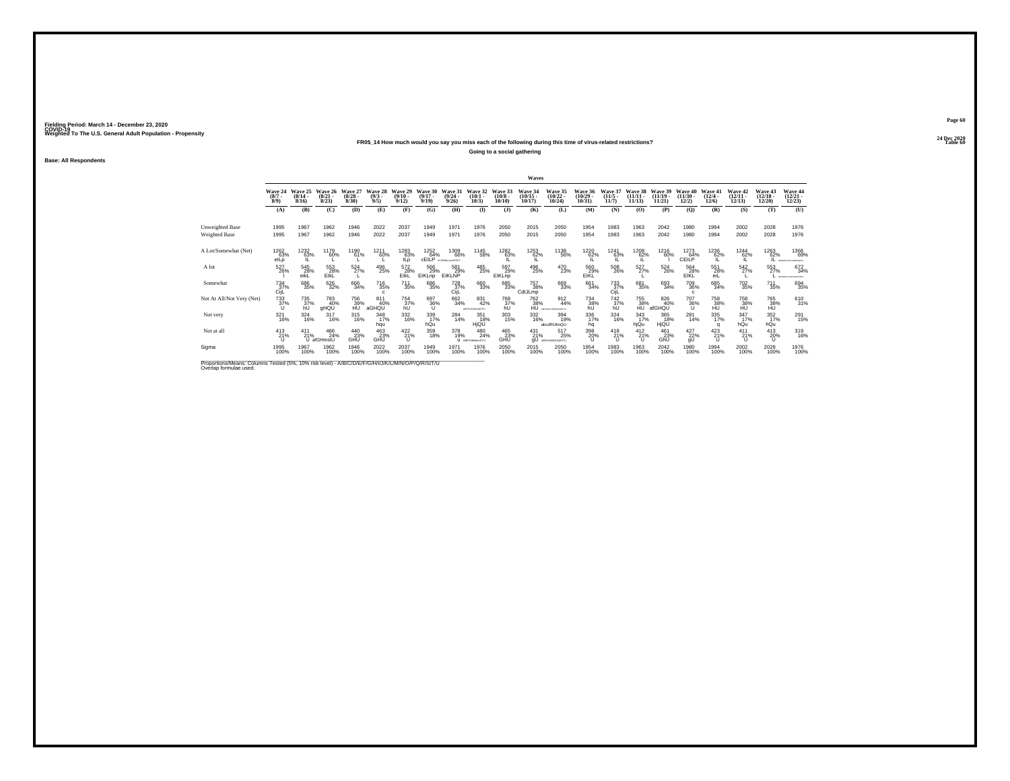## **24 Dec 2020FR05\_14 How much would you say you miss each of the following during this time of virus-related restrictions?**

**Going to a social gathering**

**Base: All Respondents**

|                                                                                                                              |                               |                                         |                                 |                                 |                               |                                         |                                  |                                         |                                  |                               | Waves                             |                                   |                                   |                                       |                                |                                |                                  |                                       |                                   |                                   |                                   |
|------------------------------------------------------------------------------------------------------------------------------|-------------------------------|-----------------------------------------|---------------------------------|---------------------------------|-------------------------------|-----------------------------------------|----------------------------------|-----------------------------------------|----------------------------------|-------------------------------|-----------------------------------|-----------------------------------|-----------------------------------|---------------------------------------|--------------------------------|--------------------------------|----------------------------------|---------------------------------------|-----------------------------------|-----------------------------------|-----------------------------------|
|                                                                                                                              | Wave 24<br>$\binom{8/7}{8/9}$ | Wave 25<br>$\frac{(8/14 - 8/16)}{8/16}$ | Wave 26<br>$\binom{8/21}{8/23}$ | Wave 27<br>$\binom{8/28}{8/30}$ | Wave 28<br>$\binom{9/3}{9/5}$ | Wave 29<br>$\frac{(9/10 - 9/12)}{9/12}$ | Wave 30<br>$(9/17 -$<br>9/19     | Wave 31<br>$\frac{(9/24 - 9/26)}{9/26}$ | Wave 32<br>$(10/1 -$<br>$10/3$ ) | Wave 33<br>$(10/8 -$<br>10/10 | Wave 34<br>$\binom{10/15}{10/17}$ | Wave 35<br>$\binom{10/22}{10/24}$ | Wave 36<br>$\binom{10/29}{10/31}$ | Wave 37<br>$\binom{11/5}{11/7}$       | Wave 38<br>$(11/11 -$<br>11/13 | Wave 39<br>$(11/19 -$<br>11/21 | Wave 40<br>$\binom{11/30}{12/2}$ | Wave 41<br>$\frac{(12/4 - 12)}{12/6}$ | Wave 42<br>$\binom{12/11}{12/13}$ | Wave 43<br>$\binom{12/18}{12/20}$ | Wave 44<br>$\binom{12/21}{12/23}$ |
|                                                                                                                              | (A)                           | (B)                                     | (C)                             | (D)                             | (E)                           | (F)                                     | (G)                              | (H)                                     | $\bf{I}$                         | $($ $)$                       | (K)                               | (L)                               | (M)                               | (N)                                   | (O)                            | (P)                            | (Q)                              | (R)                                   | (S)                               | (T)                               | (U)                               |
| <b>Unweighted Base</b><br>Weighted Base                                                                                      | 1995<br>1995                  | 1967<br>1967                            | 1962<br>1962                    | 1946<br>1946                    | 2022<br>2022                  | 2037<br>2037                            | 1949<br>1949                     | 1971<br>1971                            | 1976<br>1976                     | 2050<br>2050                  | 2015<br>2015                      | 2050<br>2050                      | 1954<br>1954                      | 1983<br>1983                          | 1963<br>1963                   | 2042<br>2042                   | 1980<br>1980                     | 1994<br>1994                          | 2002<br>2002                      | 2028<br>2028                      | 1976<br>1976                      |
| A Lot/Somewhat (Net)                                                                                                         | 1262<br>63%<br>elLp           | 1232<br>63%                             | 1179<br>60%                     | 1190<br>61%                     | 1211<br>60%                   | 1283<br>63%<br>ILo                      | 1252<br>64%<br><b>CEILP</b>      | 1309<br>66%<br><b>NODERROUNDERST</b>    | 1145<br>58%                      | 1282<br>63%                   | 1253<br>62%                       | 1138<br>56%                       | 1220<br>62%                       | 1241<br>63%                           | $^{1208}_{62\%}$               | 1216<br>60%                    | 1273<br>64%<br><b>CEILP</b>      | 1236<br>62%                           | 1244<br>62%                       | 1263<br>62%<br>IL                 | 1366<br>69%<br>ABCDEPOLISAMOPORES |
| A lot                                                                                                                        | 527<br>26%                    | 545<br>28%<br>eikL                      | 553<br>28%<br>EIKL              | 524<br>27%                      | 496<br>25%                    | 572<br>28%<br>EIKL                      | $^{566}_{29\%}$<br><b>EIKLnp</b> | 581<br>29%<br>EIKLNP                    | 485<br>25%                       | 597<br>29%<br>EIKLnp          | 496<br>25%                        | 470<br>23%                        | 560<br>29%<br>EIKL                | $^{508}_{\phantom{1}\phantom{1}26\%}$ | 527<br>27%                     | $^{524}_{26\%}$                | 564<br>28%<br>EIKL               | 551<br>28%<br>eiL                     | 542<br>27%                        | 553<br>27%                        | 672<br>34%<br>ABCDEFOILAGEMOPORET |
| Somewhat                                                                                                                     | $^{734}_{37\%}$<br>CijL       | 686<br>35%                              | 626<br>32%                      | 666<br>34%                      | <sup>716</sup> 35%<br>c       | <sup>711</sup> <sub>35%</sub>           | 686<br>35%                       | 728<br>37%<br>CijL                      | 660<br>33%                       | 685<br>33%                    | 757<br>38%<br>CdIJLmp             | 669<br>33%                        | 661<br>34%                        | 733<br>37%<br>CijL                    | 681<br>35%                     | 693<br>34%                     | 709<br>36%<br>$\mathbf{c}$       | 685<br>34%                            | <sup>702</sup> <sub>35%</sub>     | $^{711}_{35\%}$                   | 694<br>35%                        |
| Not At All/Not Very (Net)                                                                                                    | 733<br>37%                    | 735<br>37%                              | 783<br>40%<br>gHQU              | 756<br>39%                      | 811<br>40%<br>aGHQU           | 754<br>37%                              | 697<br>36%                       | 662<br>34%                              | 831<br>42%<br>ABFGHJRMAQRSTU     | 768<br>37%                    | 762<br>38%                        | 912<br>44%<br>ABCORPONAMENOMETA   | 734<br>38%                        | 742<br>37%                            | 755<br>38%                     | 826<br>40%<br>afGHQU           | 707<br>36%                       | 758<br>38%                            | 758<br>38%                        | 765<br>38%                        | 610<br>31%                        |
| Not very                                                                                                                     | 321<br>16%                    | $\frac{324}{16\%}$                      | 317<br>16%                      | 315<br>16%                      | $348$<br>17%<br>hqu           | 332<br>16%                              | 339<br>17%<br>hQu                | 284<br>14%                              | 351<br>18%<br>HjQL               | $^{303}_{15\%}$               | 332<br>16%                        | 394<br>19%<br>abcdfHJknQU         | 336<br>17%<br>hq                  | 324<br>16%                            | $\frac{343}{17\%}$<br>hjQu     | 365<br>18%<br>HjQU             | $^{281}_{14\%}$                  | 335<br>17%                            | 347%<br>hQu                       | $\frac{352}{17\%}$<br>hQu         | 291<br>15%                        |
| Not at all                                                                                                                   | $^{413}_{21\%}$               | 411<br>21%                              | 466<br>24%<br>U afGHmstU        | $^{440}_{23\%}$                 | $^{463}_{23\%}$               | $^{422}_{21\%}$                         | 359<br>18%                       | 378<br>19%                              | 480<br>24%<br>U ABFGHAIncrSTU    | 465<br>23%<br>GHŨ             | $^{431}_{21\%}$<br>qU             | 517<br>25%<br>ABFGHAMNOORSTU      | 398<br>20%<br>u                   | $^{418}_{21\%}$                       | $^{412}_{21\%}$                | $^{461}_{23\%}$ GhU            | $^{427}_{22\%}$                  | $^{423}_{21\%}$<br>$\mathbf{U}$       | 411<br>21%                        | 413<br>20%<br>-U                  | 319<br>16%                        |
| Sigma                                                                                                                        | 1995<br>100%                  | 1967<br>100%                            | 1962<br>100%                    | 1946<br>100%                    | 2022<br>100%                  | 2037<br>100%                            | 1949<br>100%                     | 1971<br>100%                            | 1976<br>100%                     | 2050<br>100%                  | 2015<br>100%                      | 2050<br>100%                      | 1954<br>100%                      | 1983<br>100%                          | 1963<br>100%                   | 2042<br>100%                   | 1980<br>100%                     | 1994<br>100%                          | 2002<br>100%                      | 2028<br>100%                      | 1976<br>100%                      |
| Proportions/Means: Columns Tested (5%, 10% risk level) - A/B/C/D/E/F/G/H/I/J/K/L/M/N/O/P/Q/R/S/T/U<br>Overlap formulae used. |                               |                                         |                                 |                                 |                               |                                         |                                  |                                         |                                  |                               |                                   |                                   |                                   |                                       |                                |                                |                                  |                                       |                                   |                                   |                                   |

**Page 60**24 Dec 2020<br>Table 60

**Table 60 Table 60 Table 60 Table 60**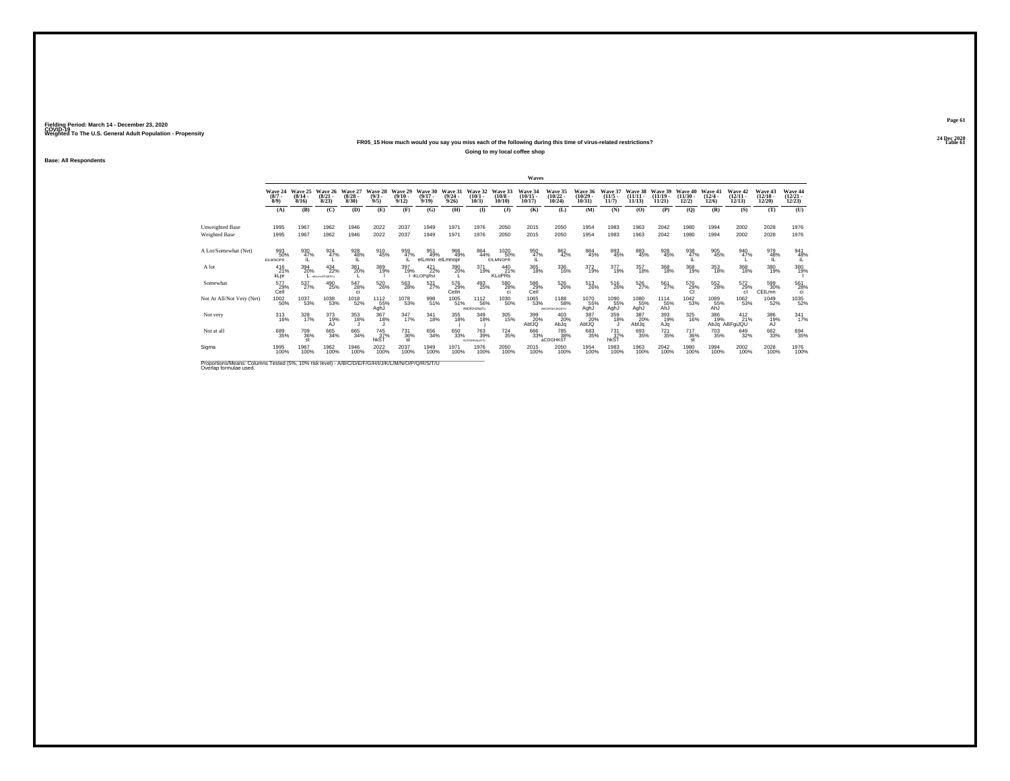## **24 Dec 2020FR05\_15 How much would you say you miss each of the following during this time of virus-related restrictions?**

**Going to my local coffee shop**

**Base: All Respondents**

|                                                                                                                              |                               |                           |                                 |                                  |                               |                                  |                               |                                         |                                               |                                | Waves                                      |                                       |                                   |                                  |                                |                                |                                |                                       |                                   |                                   |                                   |
|------------------------------------------------------------------------------------------------------------------------------|-------------------------------|---------------------------|---------------------------------|----------------------------------|-------------------------------|----------------------------------|-------------------------------|-----------------------------------------|-----------------------------------------------|--------------------------------|--------------------------------------------|---------------------------------------|-----------------------------------|----------------------------------|--------------------------------|--------------------------------|--------------------------------|---------------------------------------|-----------------------------------|-----------------------------------|-----------------------------------|
|                                                                                                                              | Wave 24<br>$\binom{8/7}{8/9}$ | Wave 25<br>(8/14.<br>8/16 | Wave 26<br>$\binom{8/21}{8/23}$ | Wave 27<br>$\frac{(8/28)}{8/30}$ | Wave 28<br>$\binom{9/3}{9/5}$ | Wave 29<br>$\frac{(9/10)}{9/12}$ | Wave 30<br>$(9/17 -$<br>9/19  | Wave 31<br>$\frac{(9/24 - 9/26)}{9/26}$ | Wave 32<br>$\binom{10/1}{10/3}$               | Wave 33<br>$(10/8 -$<br>10/10  | Wave 34<br>$\frac{(10/15 - 10/17)}{10/17}$ | Wave 35<br>$\binom{10/22}{10/24}$     | Wave 36<br>$\binom{10/29}{10/31}$ | Wave 37<br>$\frac{(11/5)}{11/7}$ | Wave 38<br>$(11/11 -$<br>11/13 | Wave 39<br>$(11/19 -$<br>11/21 | Wave 40<br>$(11/30 -$<br>12/2) | Wave 41<br>$\frac{(12/4 - 12)}{12/6}$ | Wave 42<br>$\binom{12/11}{12/13}$ | Wave 43<br>$\binom{12/18}{12/20}$ | Wave 44<br>$\binom{12/21}{12/23}$ |
|                                                                                                                              | (A)                           | (B)                       | (C)                             | (D)                              | (E)                           | (F)                              | (G)                           | (H)                                     | $\bf(I)$                                      | $($ $)$                        | (K)                                        | (L)                                   | (M)                               | (N)                              | (O)                            | (P)                            | $\mathbf{Q}$                   | (R)                                   | (S)                               | (T)                               | (U)                               |
| Unweighted Base<br>Weighted Base                                                                                             | 1995<br>1995                  | 1967<br>1967              | 1962<br>1962                    | 1946<br>1946                     | 2022<br>2022                  | 2037<br>2037                     | 1949<br>1949                  | 1971<br>1971                            | 1976<br>1976                                  | 2050<br>2050                   | 2015<br>2015                               | 2050<br>2050                          | 1954<br>1954                      | 1983<br>1983                     | 1963<br>1963                   | 2042<br>2042                   | 1980<br>1980                   | 1994<br>1994                          | 2002<br>2002                      | 2028<br>2028                      | 1976<br>1976                      |
| A Lot/Somewhat (Net)                                                                                                         | 993<br>50%<br><b>EILMNOPR</b> | 930<br>47%                | 924<br>47%                      | 928<br>48%                       | 910<br>45%                    | 959<br>47%                       | 951<br>49%<br>elLmno elLmnopr | 966<br>49%                              | 864<br>44%                                    | 1020<br>50%<br><b>EILMNOPR</b> | 950<br>47%                                 | 862<br>42%                            | 884<br>45%                        | 893<br>45%                       | 883<br>45%                     | 928<br>45%                     | 938<br>47%<br>۱L               | 905<br>45%                            | 940<br>47%                        | 979<br>48%<br>ш                   | 941<br>48%                        |
| A lot                                                                                                                        | 416<br>21%<br>kLpr            | 394<br>20%                | $^{434}_{22\%}$<br>eKLmnOPQRSTu | 381<br>20%                       | 389<br>19%                    | 397<br>19%                       | $^{421}_{22\%}$<br>iKLOPqRst  | 390<br>20%                              | 371<br>19%                                    | 440<br>21%<br><b>KLoPRs</b>    | 365<br>18%                                 | $\frac{336}{16\%}$                    | $^{372}_{19\%}$                   | 377<br>19%                       | 357<br>18%                     | 368<br>18%                     | 368<br>19%                     | $\frac{353}{18\%}$                    | 368<br>18%                        | 380<br>19%                        | 380<br>19%                        |
| Somewhat                                                                                                                     | 577<br>29%<br>Cell            | 537%                      | 490<br>25%                      | 547<br>28%<br>o                  | 520<br>26%                    | 563<br>28%                       | 531<br>27%                    | 576<br>29%<br>Celln                     | $^{493}_{25\%}$                               | 580<br>28%<br>ci.              | 586<br>29%<br>Cell                         | 526<br>26%                            | $^{513}_{\phantom{1}26\%}$        | 516<br>26%                       | 526<br>27%                     | $^{561}_{27\%}$                | 570<br>29%<br>Cl               | 552<br>28%                            | 572<br>29%<br>cl.                 | 599<br>30%<br>CEILmn              | 561<br>28%<br>ci.                 |
| Not At All/Not Very (Net)                                                                                                    | $^{1002}_{-50\%}$             | 1037<br>53%               | $^\mathrm{1038}_\mathrm{53\%}$  | 1018<br>52%                      | 1112<br>55%<br>AghJ           | 1078<br>53%                      | 998<br>51%                    | 1005<br>51%                             | 1112<br>56%<br>AbDfGHJkgTu                    | 1030<br>50%                    | 1065<br>53%                                | 1188<br>58%<br>ABCDFGHJKQSTU          | 1070<br>55%<br>AghJ               | 1090<br>55%<br>AghJ              | 1080<br>55%<br>AghJ            | 1114<br>55%<br>AhJ             | 1042<br>53%                    | 1089<br>55%<br>AhJ                    | 1062<br>53%                       | 1049<br>52%                       | 1035<br>52%                       |
| Not very                                                                                                                     | $^{313}_{16\%}$               | $\frac{328}{17\%}$        | 373<br>19%<br>AJ                | 353<br>18%                       | 367<br>18%                    | $\frac{347}{17\%}$               | $\frac{341}{18\%}$            | 355<br>18%                              | 349<br>18%                                    | 305<br>15%                     | 399<br>20%<br>AbfJQ                        | 403<br>20%<br>AbJa                    | 387<br>20%<br>AbfJQ               | 359<br>18%                       | 387<br>20%<br>AbfJq            | 393<br>19%<br>AJq              | 325<br>16%                     | 386<br>19%                            | $^{412}_{21\%}$<br>AbJq ABFqiJQU  | 386<br>19%<br>AJ                  | $341$<br>$17%$                    |
| Not at all                                                                                                                   | 689<br>35%                    | 709<br>36%<br>st          | 665<br>34%                      | 665<br>34%                       | 745<br>37%<br>hkST            | 731<br>36%<br>st                 | 656<br>34%                    | 650<br>33%                              | <sup>763</sup> <sub>39%</sub><br>ACDGHKmprSTu | $^{724}_{35\%}$                | 666<br>33%                                 | <sup>785</sup> 38%<br><b>aCDGHKST</b> | 683<br>35%                        | $\frac{731}{37\%}$<br>hkŠT       | 693<br>35%                     | $^{721}_{35\%}$                | <sup>717</sup> 36%<br>st       | <sup>703</sup> 35%                    | 649<br>32%                        | 662<br>33%                        | 694<br>35%                        |
| Sigma                                                                                                                        | 1995<br>100%                  | 1967<br>100%              | 1962<br>100%                    | 1946<br>100%                     | 2022<br>100%                  | 2037<br>100%                     | 1949<br>100%                  | 1971<br>100%                            | 1976<br>100%                                  | 2050<br>100%                   | 2015<br>100%                               | 2050<br>100%                          | 1954<br>100%                      | 1983<br>100%                     | 1963<br>100%                   | $^{2042}_{100\%}$              | 1980<br>100%                   | 1994<br>100%                          | 2002<br>100%                      | 2028<br>100%                      | 1976<br>100%                      |
| Proportions/Means: Columns Tested (5%, 10% risk level) - A/B/C/D/E/F/G/H/I/J/K/L/M/N/O/P/Q/R/S/T/U<br>Overlap formulae used. |                               |                           |                                 |                                  |                               |                                  |                               |                                         |                                               |                                |                                            |                                       |                                   |                                  |                                |                                |                                |                                       |                                   |                                   |                                   |

**Page 61**24 Dec 2020<br>Table 61

**Table 61 Table 61 Table 61**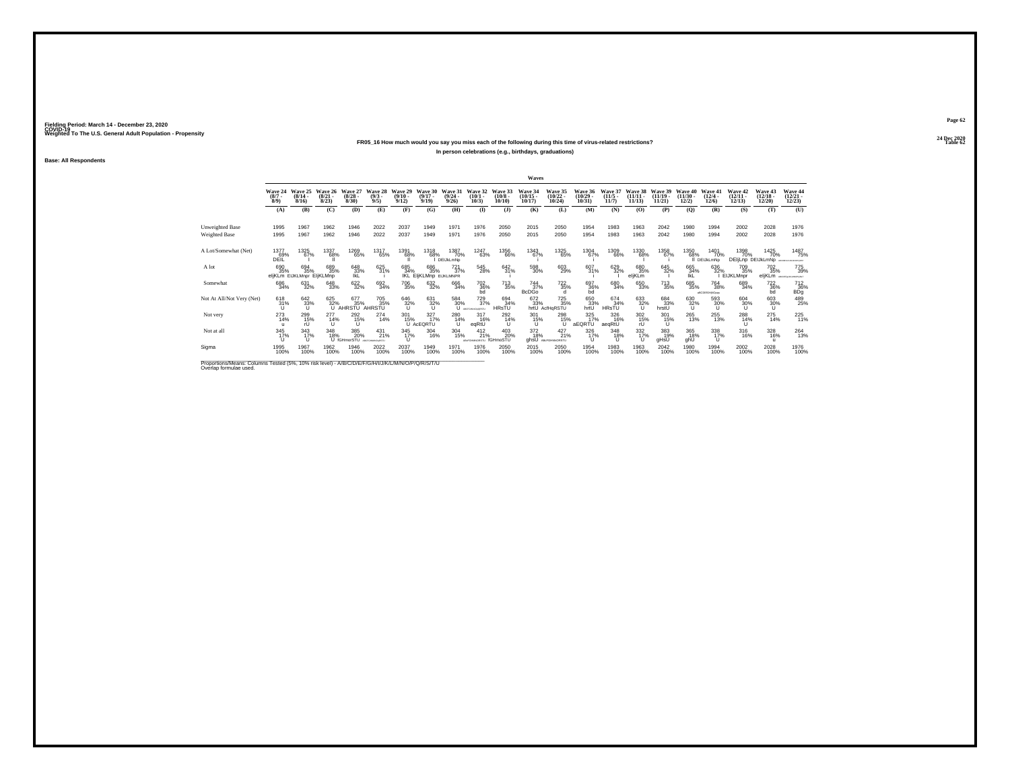## **24 Dec 2020FR05\_16 How much would you say you miss each of the following during this time of virus-related restrictions?In person celebrations (e.g., birthdays, graduations)**

**Base: All Respondents**

|                                                                                                                              |                               |                                         |                                  |                                 |                                               |                                         |                                      |                                         |                                        |                                   | Waves                             |                                            |                                   |                                  |                                  |                                |                                |                                        |                                   |                                         |                                   |
|------------------------------------------------------------------------------------------------------------------------------|-------------------------------|-----------------------------------------|----------------------------------|---------------------------------|-----------------------------------------------|-----------------------------------------|--------------------------------------|-----------------------------------------|----------------------------------------|-----------------------------------|-----------------------------------|--------------------------------------------|-----------------------------------|----------------------------------|----------------------------------|--------------------------------|--------------------------------|----------------------------------------|-----------------------------------|-----------------------------------------|-----------------------------------|
|                                                                                                                              | Wave 24<br>$\binom{8/7}{8/9}$ | Wave 25<br>$\frac{(8/14 - 8/16)}{8/16}$ | Wave 26<br>$\frac{(8/21)}{8/23}$ | Wave 27<br>$\binom{8/28}{8/30}$ | Wave 28<br>$\binom{9/3}{9/5}$                 | Wave 29<br>$\frac{(9/10 - 9/12)}{9/12}$ | Wave 30<br>$\binom{9/17}{9/19}$      | Wave 31<br>$\frac{(9/24 - 9/26)}{9/26}$ | Wave 32<br>$\binom{10/1}{10/3}$        | Wave 33<br>$\frac{(10/8)}{10/10}$ | Wave 34<br>$\binom{10/15}{10/17}$ | Wave 35<br>$\frac{(10/22 - 10/24)}{10/24}$ | Wave 36<br>$\binom{10/29}{10/31}$ | Wave 37<br>$\frac{(11/5)}{11/7}$ | Wave 38<br>$\binom{11/11}{1/13}$ | Wave 39<br>$(11/19 -$<br>11/21 | Wave 40<br>$(11/30 -$<br>12/2) | Wave 41<br>$\binom{12/4}{12/6}$        | Wave 42<br>$\binom{12/11}{12/13}$ | Wave 43<br>$\binom{12/18}{12/20}$       | Wave 44<br>$\binom{12/21}{12/23}$ |
|                                                                                                                              | (A)                           | (B)                                     | (C)                              | <b>(D)</b>                      | (E)                                           | (F)                                     | (G)                                  | (H)                                     | $\bf{I}$                               | $($ $)$                           | (K)                               | (L)                                        | (M)                               | (N)                              | (0)                              | (P)                            | (Q)                            | (R)                                    | (S)                               | (T)                                     | (U)                               |
| Unweighted Base<br>Weighted Base                                                                                             | 1995<br>1995                  | 1967<br>1967                            | 1962<br>1962                     | 1946<br>1946                    | 2022<br>2022                                  | 2037<br>2037                            | 1949<br>1949                         | 1971<br>1971                            | 1976<br>1976                           | 2050<br>2050                      | 2015<br>2015                      | 2050<br>2050                               | 1954<br>1954                      | 1983<br>1983                     | 1963<br>1963                     | 2042<br>2042                   | 1980<br>1980                   | 1994<br>1994                           | 2002<br>2002                      | 2028<br>2028                            | 1976<br>1976                      |
| A Lot/Somewhat (Net)                                                                                                         | 1377<br>69%<br>DEIL           | 1325<br>67%                             | 1337<br>68%                      | 1269<br>65%                     | 1317<br>65%                                   | 1391<br>68%                             | 1318<br>68%                          | 1387<br>70%<br>DEIJkLmNp                | 1247<br>63%                            | 1356<br>66%                       | 1343<br>67%                       | 1325<br>65%                                | 1304<br>67%                       | 1309<br>66%                      | 1330<br>68%                      | 1358<br>67%                    | 1350<br>68%                    | 1401<br>70%<br>II DEIJkLmNp            | 1398<br>70%<br>DEIjLnp DEIJkLmNp  | 1425<br>70%                             | 1487<br>75%<br>ABCDEFOILALMORONIT |
| A lot                                                                                                                        | 690<br>35%                    | 694<br>35%<br>eljKLm EIJKLMnpr EljKLMnp | 689<br>35%                       | 648<br>33%<br>IkL               | 625<br>31%                                    | 685<br>34%                              | 686<br>35%<br>IKL EIjKLMnp EIJKLMNPR | $^{721}_{37\%}$                         | 545<br>28%                             | $\frac{642}{31\%}$                | 598<br>30%                        | 603<br>29%                                 | 607<br>31%                        | 629<br>32%                       | 680<br>35%<br>eljKLm             | 645<br>32%                     | 665<br>34%<br>IkL              | 636<br>32%                             | 709<br>35%<br>EIJKLMnpr           | <sup>702</sup> <sub>35%</sub><br>eljKLm | 775<br>39%<br>ABCORFWALMMOPORY    |
| Somewhat                                                                                                                     | 686<br>34%                    | 631<br>32%                              | 648<br>33%                       | 622%                            | 692<br>34%                                    | 706<br>35%                              | $\substack{632 \\ 32\%}$             | 666<br>34%                              | $^{702}_{\substack{36\%\\ \text{bd}}}$ | $^{713}_{35\%}$                   | $\frac{744}{37\%}$<br>BcDGo       | 722 %<br>d.                                | 697<br>36%<br>bd                  | 680<br>34%                       | 650<br>33%                       | $^{713}_{35\%}$                | 685<br>35%                     | <sup>764</sup> 38%<br>atiCDENSH(NOpqs) | 689<br>34%                        | $\substack{722\\36\%\\6d}$              | $^{712}_{36\%}$                   |
| Not At All/Not Very (Net)                                                                                                    | 618<br>31%                    | 642<br>33%<br>Ū                         |                                  |                                 | 625 677 705<br>32% 35% 35%<br>U AHRSTU AHRSTU | 646<br>32%<br>U                         | 631<br>32%<br>u                      | $^{584}_{^{30\%}}$                      | 729<br>37%<br>ABCFGHANOUGHSTU          | 694<br>34%<br><b>HRSTU</b>        | 672<br>33%                        | 725<br>35%<br>hrtU AcfHaRSTU               | 650<br>33%<br>hrtU                | 674<br>34%<br>HRsTU              | 633<br>32%<br>U                  | 684<br>33%<br>hrstU            | 630<br>32%<br>U                | $^{593}_{\  \  \, 30\%}$               | 604<br>30%                        | 603<br>30%<br>υ                         | 489<br>25%                        |
| Not very                                                                                                                     | 273<br>14%                    | 299<br>15%<br>rl J                      | $^{277}_{14\%}$<br>$\cup$        | 292<br>15%<br>$\cup$            | $^{274}_{14\%}$                               | 301<br>15%                              | 327/17%<br>U AcEQRTU                 | 280<br>14%<br>$\cup$                    | $^{317}_{16\%}$<br>eqRtU               | $^{292}_{14\%}$<br>u              | $^{301}_{15\%}$<br>$\mathbf{U}$   | 298<br>$\mathbf{U}$                        | $\frac{325}{17\%}$<br>aEQRTU      | 326<br>16%<br>aegRtU             | $\frac{302}{15\%}$<br>rU         | $^{301}_{15\%}$<br>u           | $^{265}_{13\%}$                | 255<br>13%                             | 288<br>14%                        | 275<br>14%                              | 225                               |
| Not at all                                                                                                                   | 345<br>17%                    | $343$<br>$17%$                          | 348<br>18%                       | 385<br>20%<br>U (GHmorSTU)      | $^{431}_{21\%}$<br>ARCOMMODIATO               | $345$<br>$17\%$                         | $\frac{304}{16\%}$                   | 304<br>15%                              | $^{412}_{21\%}$<br>AB-FGHANORSTU       | 403<br>20%<br>fGHmoSTU            | 372<br>18%<br>ghsU                | $^{427}_{21\%}$<br>ABcFGHMnORSTU           | 326<br>17%<br>$\cup$              | 348<br>18%                       | 332/17%<br>$\cup$                | 383<br>19%<br>gHsU             | 365<br>18%<br>ghŨ              | 338<br>17%<br>u                        | 316<br>16%                        | 328<br>16%<br><b>U</b>                  | 264<br>13%                        |
| Sigma                                                                                                                        | 1995<br>100%                  | 1967<br>100%                            | 1962<br>100%                     | 1946<br>100%                    | 2022<br>100%                                  | 2037<br>100%                            | 1949<br>100%                         | 1971<br>100%                            | 1976<br>100%                           | 2050<br>100%                      | 2015<br>100%                      | 2050<br>100%                               | 1954<br>100%                      | 1983<br>100%                     | 1963<br>100%                     | 2042<br>100%                   | 1980<br>100%                   | 1994<br>100%                           | 2002<br>100%                      | 2028<br>100%                            | 1976<br>100%                      |
| Proportions/Means: Columns Tested (5%, 10% risk level) - A/B/C/D/E/F/G/H/I/J/K/L/M/N/O/P/Q/R/S/T/U<br>Overlap formulae used. |                               |                                         |                                  |                                 |                                               |                                         |                                      |                                         |                                        |                                   |                                   |                                            |                                   |                                  |                                  |                                |                                |                                        |                                   |                                         |                                   |

**Page 6224 Dec 2020<br>Table 62** 

**Table 62 Table 62**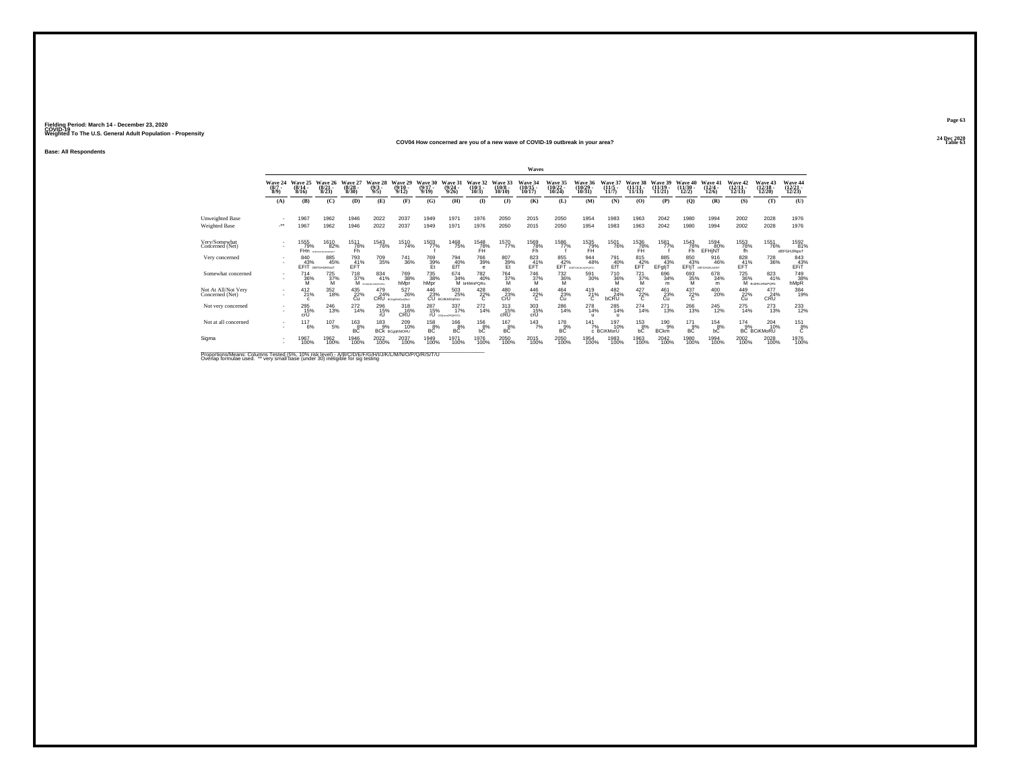## **24 Dec 2020COV04 How concerned are you of a new wave of COVID-19 outbreak in your area?**

**Base: All Respondents**

| (8/7)<br>8/91<br><b>Unweighted Base</b>                           | Wave 24<br>(A)<br>- 11 | Wave 25<br>$(8/14 -$<br>8/16<br>(B)<br>1967<br>1967 | 26<br>Wave<br>(8/21.<br>8/23<br>$\mathbf C$<br>1962 | Wave 27<br>(8/28)<br>8/30<br>(D) | Wave<br>$\binom{9/3}{9/5}$<br>(E) | 29<br>Wave<br>$(9/10 -$<br>9/12<br>(F)                                                                                              | Wave 30<br>$(9/17 -$<br>9/19<br>(G)   | Wave 3<br>$\frac{(9/24 - 9/26)}{9/26}$             | Wave<br>$(10/1 -$<br>10/3         | Wave 33<br>(10/8)<br>10/10         | <b>Wave 34</b><br>$(10/15 -$<br>10/17 | Wave 35<br>$\frac{(10/22)}{10/24}$ | Wave 36<br>$(10/29 -$          | $(11/5 -$                     | $(11/11 -$           | <b>Wave</b><br>$(11/19 -$   | Wave 40<br>$(11/30 -$ | Wave 41                           | Wave 42                 | <b>Wave 43</b>                   | Wave 44                    |
|-------------------------------------------------------------------|------------------------|-----------------------------------------------------|-----------------------------------------------------|----------------------------------|-----------------------------------|-------------------------------------------------------------------------------------------------------------------------------------|---------------------------------------|----------------------------------------------------|-----------------------------------|------------------------------------|---------------------------------------|------------------------------------|--------------------------------|-------------------------------|----------------------|-----------------------------|-----------------------|-----------------------------------|-------------------------|----------------------------------|----------------------------|
|                                                                   |                        |                                                     |                                                     |                                  |                                   |                                                                                                                                     |                                       |                                                    |                                   |                                    |                                       |                                    | 10/31                          | 11/7                          | 11/13                | 11/21                       | 12/2)                 | $(12/4 -$<br>12/6                 | $\frac{(12/11)}{12/13}$ | $(12/18 -$<br>12/20              | 12/23                      |
|                                                                   |                        |                                                     |                                                     |                                  |                                   |                                                                                                                                     |                                       | (H)                                                | $\mathbf{I}$                      | $($ $\bf{J}$ )                     | (K)                                   | (L)                                | (M)                            | (N)                           | (O)                  | (P)                         | (Q)                   | (R)                               | (S)                     | (T)                              | (U)                        |
|                                                                   |                        |                                                     |                                                     | 1946                             | 2022                              | 2037                                                                                                                                | 1949                                  | 1971                                               | 1976                              | 2050                               | 2015                                  | 2050                               | 1954                           | 1983                          | 1963                 | 2042                        | 1980                  | 1994                              | 2002                    | 2028                             | 1976                       |
| Weighted Base                                                     |                        |                                                     | 1962                                                | 1946                             | 2022                              | 2037                                                                                                                                | 1949                                  | 1971                                               | 1976                              | 2050                               | 2015                                  | 2050                               | 1954                           | 1983                          | 1963                 | 2042                        | 1980                  | 1994                              | 2002                    | 2028                             | 1976                       |
| Very/Somewhat<br>Concerned (Net)                                  |                        | 1555<br>79%<br>FHn                                  | 1610<br>82%<br><b>MERCHANG MACHINEE</b>             | 1511<br>78%<br>Fh                | <sup>1543</sup> 76%               | <sup>1510</sup> 74%                                                                                                                 | 1503<br>77%                           | <sup>1468</sup> 75%                                | $\underset{\mathsf{FH}}{^{1548}}$ | 1570<br>77%                        | 1569<br>78%<br>Fh                     | 1586<br>77%                        | 1535<br>79%<br>FH              | <sup>1501</sup> 76%           | 1536<br>78%<br>FH    | 1581<br>77%                 | $\frac{1543}{78\%}$   | 1594<br>80%<br>EFHINT             | 1553<br>78%<br>th.      | <sup>1551</sup> 76%              | 1592<br>81%<br>dEFGHJINpsT |
| Very concerned                                                    |                        | 840<br>FFIT                                         | 885<br>45%<br>DEFGHLIKNosT                          | 793<br>41%<br>EFT                | 709<br>35%                        | 741<br>36%                                                                                                                          | 769<br>39%                            | 794<br>$Eff$ <sup>40%</sup>                        | 766<br>39%                        | 807<br>39%                         | 823<br>41%<br>EFT                     | 855<br>$EFT^4$                     | 944<br>48%<br>ROEFGHUKUNOPOSTU | 791<br>40%<br>EfT             | 815<br>42%<br>EFT    | 885<br>43%<br>EFgljT        | 850<br>43%<br>EFIT    | 916<br>46%<br><b>DEFGHUKLNOST</b> | 828<br>41%<br>FFT       | <sup>728</sup> 36%               | 843<br>EFT                 |
| Somewhat concerned                                                | ٠                      | 714<br>36%<br>м                                     | $^{725}_{37\%}$<br>M                                | $^{718}_{37\%}$                  | 834<br>41%<br>М конунализман      | <sup>769</sup> 38%<br>hMpr                                                                                                          | <sup>735</sup> <sub>38%</sub><br>hMpr | 674 34%                                            | 782<br>40%<br>M bHIMnPQRs         | <sup>764</sup> <sub>37%</sub><br>M | <sup>746</sup> 37%<br>M               | $\substack{732 \\ 36\%}$<br>M      | 591<br>30%                     | <sup>710</sup> <sub>36%</sub> | $^{721}_{37\%}$<br>M | 696<br>34%                  | 693<br>35%<br>м       | 678<br>34%<br>m                   | <sup>725</sup> 36%      | 823<br>M BodHLMNoPORS            | 749<br>38%<br>hMpR         |
| Not At All/Not Very<br>Concerned (Net)                            | $\sim$                 | $^{412}_{21\%}$<br>$\epsilon$                       | 352<br>18%                                          | 435<br>22%<br>Cu                 |                                   | 527<br>26%<br>$\begin{array}{r} 479 & 527 \\ 24\% & 26^{\circ} \\ \mathrm{CRU}_{\mathrm{\,\,BCO} \, \mathrm{MMDpGPEU}} \end{array}$ |                                       | 446 503<br>23% 25%<br>CU BCdikMOqRsU<br>503<br>25% | $^{428}_{22\%}$                   | $^{480}_{23\%}$ CrU                | $^{446}_{22\%}$                       | $^{464}_{23\%}$                    | $^{419}_{21\%}$                | 482<br>24%<br>bCRU            | $^{427}_{22\%}$      | 461<br>23%<br>Cü            | $^{437}_{22\%}$       | 400<br>20%                        | 449<br>22%<br>Cu        | 477<br>$24%$ CRU                 | 384<br>19%                 |
| Not very concerned                                                |                        | 295<br>15%<br>crÜ                                   | 246<br>13%                                          | 272<br>14%                       | 296<br>$^{15\%}_{rU}$             | 318<br>16%<br>CRU                                                                                                                   | 287<br>15%                            | 337<br>17%<br><b>rU</b> CDLmnDPORSTU               | 272<br>14%                        | 313<br>15%<br>cRU                  | 303<br>15%<br>crÜ                     | 286<br>14%                         | 278<br>14%<br>п                | 285<br>14%                    | 274<br>14%           | 271<br>13%                  | 266<br>13%            | 245<br>12%                        | 275<br>14%              | 273<br>13%                       | 233<br>12%                 |
| Not at all concerned                                              |                        | 117<br>6%                                           | 107<br>5%                                           | $^{163}_{8\%}$<br>ВĊ             | $^{183}_{9\%}$                    | 209<br>10%<br><b>BCk BCgIjKMORU</b>                                                                                                 | $^{158}_{8\%}$<br>BC                  | 166<br>8%<br><b>BC</b>                             | $^{156}_{8\%}$<br>bС              | 167<br>8%<br><b>BC</b>             | $143$ <sub>7%</sub>                   | 178<br>$-9%$<br>ВC                 | $141$ <sub>7%</sub>            | 197<br>10%<br>c BCiKMorU      | $^{153}_{8\%}$<br>bĊ | 190<br>$-9%$<br><b>BCkm</b> | 171<br>9%<br>BC       | 154<br>8%<br>bC                   | 174<br>9%               | 204<br>10%<br><b>BC BCiKMoRU</b> | $^{151}_{8\%}$<br>Ċ        |
| Sigma<br>Departison Missour, Onlymps, Texted (FM, 400) sightforms |                        | 1967<br>100%                                        | 1962<br>100%                                        | 1946<br>100%                     | 2022<br>100%                      | 2037<br>100%                                                                                                                        | 1949<br>100%                          | 1971<br>100%                                       | 1976<br>100%                      | 2050<br>100%                       | 2015<br>100%                          | 2050<br>100%                       | 1954<br>100%                   | 1983<br>100%                  | 1963<br>100%         | 2042<br>100%                | 1980<br>100%          | 1994<br>100%                      | 2002<br>100%            | 2028<br>100%                     | 1976<br>100%               |

Proportions/Means: Columns Tested (5%, 10% risk level) - A/B/C/D/E/F/G/H/I/J/K/L/M/N/O/P/Q/R/S/T/U<br>Overlap formulae used. \*\* very small base (under 30) ineligible for sig testing

**Page 63**24 Dec 2020<br>Table 63

**Table 63 Table 63**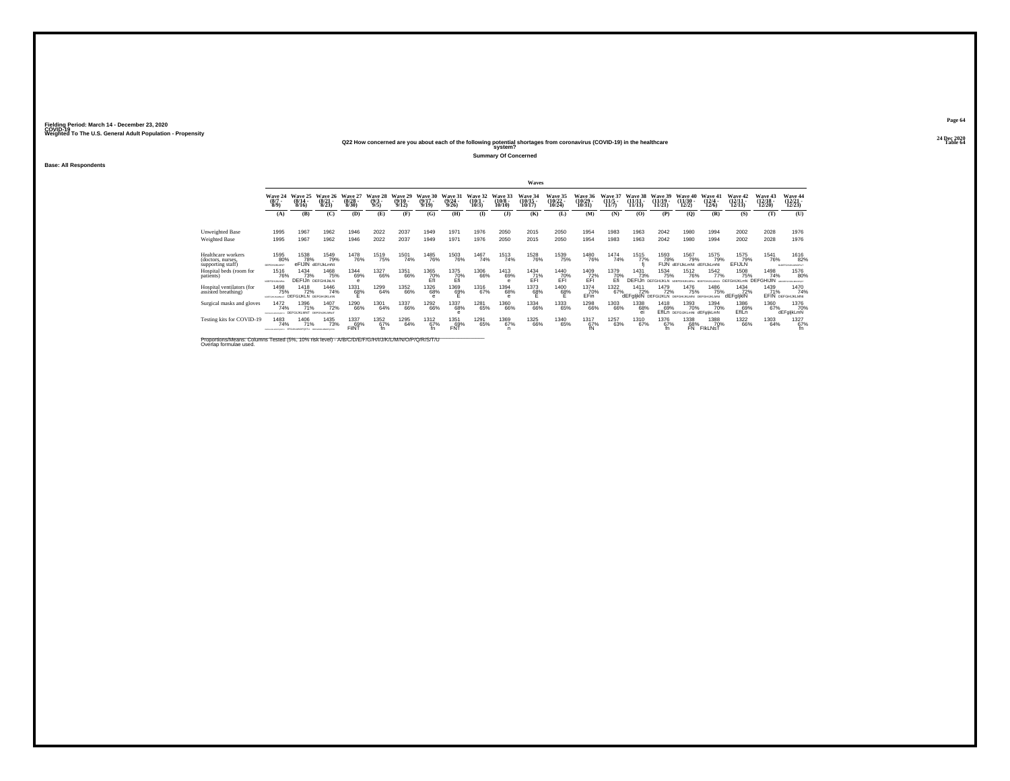# **24 Dec 2020Q22 How concerned are you about each of the following potential shortages from coronavirus (COVID-19) in the healthcare Table 64 system?**

**Summary Of Concerned**

**Base: All Respondents**

|                                                              |                                                             |                                        |                                  |                                  |                               |                                  |                                     |                                  |                              |                               | Waves                          |                                    |                              |                   |                                                                   |                                    |                                               |                                  |                                  |                                 |                                        |
|--------------------------------------------------------------|-------------------------------------------------------------|----------------------------------------|----------------------------------|----------------------------------|-------------------------------|----------------------------------|-------------------------------------|----------------------------------|------------------------------|-------------------------------|--------------------------------|------------------------------------|------------------------------|-------------------|-------------------------------------------------------------------|------------------------------------|-----------------------------------------------|----------------------------------|----------------------------------|---------------------------------|----------------------------------------|
|                                                              | Wave 24<br>(8/7)<br>8/9                                     | Wave 25<br>$(8/14 -$<br>8/16           | Wave 26<br>$(8/21 -$<br>8/23     | Wave 27<br>$\frac{(8/28)}{8/30}$ | Wave 28<br>$\binom{9/3}{9/5}$ | Wave 29<br>$\frac{(9/10)}{9/12}$ | <b>Wave 30</b><br>$(9/17 -$<br>9/19 | Wave 31<br>$\frac{(9/24)}{9/26}$ | Wave 32<br>$(10/1 -$<br>10/3 | Wave 33<br>$(10/8 -$<br>10/10 | Wave 34<br>$(10/15 -$<br>10/17 | Wave 35<br>$\frac{(10/22)}{10/24}$ | Wave 36<br>(10/29 -<br>10/31 | $(11/5 -$<br>11/7 | $(11/11 -$<br>11/13                                               | Wave 39<br>$\frac{(11/19)}{11/21}$ | <b>Wave 40</b><br>$\frac{(11/30 - 12)}{12/2}$ | Wave 41<br>$\frac{(12/4)}{12/6}$ | Wave 42<br>$(12/11 -$<br>12/13   | Wave 43<br>$(12/18 -$<br>12/20  | <b>Wave 44</b><br>$(12/21 -$<br>12/23  |
|                                                              | (A)                                                         | (B)                                    | (C)                              | (D)                              | (E)                           | (F)                              | (G)                                 | (H)                              | $\bf{I}$                     | $($ $)$                       | (K)                            | (L)                                | (M)                          | (N)               | (O)                                                               | (P)                                | $\mathbf{Q}$                                  | (R)                              | (S)                              | (T)                             | (U)                                    |
| Unweighted Base<br>Weighted Base                             | 1995<br>1995                                                | 1967<br>1967                           | 1962<br>1962                     | 1946<br>1946                     | 2022<br>2022                  | 2037<br>2037                     | 1949<br>1949                        | 1971<br>1971                     | 1976<br>1976                 | 2050<br>2050                  | 2015<br>2015                   | 2050<br>2050                       | 1954<br>1954                 | 1983<br>1983      | 1963<br>1963                                                      | 2042<br>2042                       | 1980<br>1980                                  | 1994<br>1994                     | 2002<br>2002                     | 2028<br>2028                    | 1976<br>1976                           |
| Healthcare workers<br>(doctors, nurses,<br>supporting staff) | 1595<br>80%<br>DEFGHLIKLMNT                                 | 1538<br>78%                            | 1549<br>79%<br>eFIJIN dEFIJkLmNt | <sup>1478</sup> 76%              | 1519<br>75%                   | 1501<br>74%                      | 1485<br>76%                         | <sup>1503</sup> 76%              | 1467<br>74%                  | <sup>1513</sup> 74%           | <sup>1528</sup> 76%            | 1539<br>75%                        | <sup>1480</sup> 76%          | 1474<br>74%       | 1515<br>77%                                                       | 1593<br>78%                        | 1567<br>79%<br>FIJN dEFIJkLmNt dEFIJkLmNt     | 1575<br>79%                      | 1575<br>79%<br><b>EFIJLN</b>     | <sup>1541</sup> 76%             | <sup>1616</sup> 82%<br>BOSFGHJKJANOPHT |
| Hospital beds (room for<br>patients)                         | 1516<br>76%<br>LOSEGHLHGANG                                 | 1434<br>73%<br><b>DEFIJN DEFGHUKLN</b> | 1468<br>75%                      | 1344<br>69%<br>$\theta$          | 1327<br>66%                   | 1351<br>66%                      | 1365<br>70%<br>Efl                  | 1375<br>70%<br>Efi               | 1306<br>66%                  | 1413<br>69%<br>e              | 1434<br>$EFT^{\frac{71}{6}}$   | 1440<br>$E_{\text{F}}^{70\%}$      | 1409<br>$E$ FI $\%$          | 1379<br>70%       | 1431<br>73%<br><b>DEFIJn DEFGHIJKLN</b>                           | 1534<br>75%                        | 1512<br>76%<br>EDEPGHUKLMNS BOEFGHUKLMNO!     | 1542<br>77%                      | 1508<br>75%<br><b>DEFGHUKLmN</b> | 1498<br>74%<br><b>DEFGHIJIN</b> | 1576<br>80%<br>ABCORPORAGANOPUS?       |
| Hospital ventilators (for<br>assisted breathing)             | 1498<br>75%<br>CEFOHUGANINT                                 | 1418<br>72%<br>DEEGLIKI N DEEGHLIKLON  | 1446<br>74%                      | 1331<br>68%                      | 1299<br>64%                   | 1352<br>66%                      | <sup>1326</sup> 68%                 | 1369<br>69%                      | 1316<br>67%                  | 1394<br>68%                   | 1373<br>68%                    | <sup>1400</sup> 68%                | <sup>1374</sup> 70%<br>EFin  | 1322<br>67%       | <sup>1411</sup> 72%<br>dEFglikIN DEFGIJKLN DEFGHUKLMN DEFGHUKLMNI | 1479<br>72%                        | <sup>1476</sup> 75%                           | 1486<br>75%                      | 1434<br>72%<br>dEFgljkIN         | 1439<br>71%                     | 1470<br>74%<br>EFIN DEFGHIJKLMN:       |
| Surgical masks and gloves                                    | 1472<br>74%<br>DEFONJALANCHASTU                             | 1396<br>71%<br>DEFGUKLMNT DEFGNJKLMNsT | 1407<br>72%                      | <sup>1290</sup> 66%              | 1301<br>64%                   | 1337<br>66%                      | <sup>1292</sup> 66%                 | 1337<br>68%<br>е                 | 1281<br>65%                  | 1360<br>66%                   | 1334<br>66%                    | 1333<br>65%                        | 1298<br>66%                  | 1303<br>66%       | 1338<br>68%                                                       | 1418<br>69%                        | 1393<br>70%<br>EfILD DEFGUKLMNt dEFgljkLmN    | 1394<br>70%                      | 1386<br>69%<br>EflLn             | 1360<br>67%                     | 1376<br>70%<br>dEFgljkLmN              |
| Testing kits for COVID-19                                    | 1483<br>74%<br>регонационала ЕРОЦИЈАНОРОЗТИ овтонациологоду | 1406<br>71%                            | 1435<br>73%                      | 1337<br>69%<br>FilNT             | $^{1352}_{67\%}$              | 1295<br>64%                      | 1312<br>67%                         | 1351<br>FNT                      | 1291<br>65%                  | 1369<br>67%<br>n              | 1325<br>66%                    | 1340<br>65%                        | 1317<br>$\frac{67}{6}$       | 1257<br>63%       | 1310<br>67%                                                       | 1376<br>67%                        | 1338<br>68%<br>FN                             | 1388<br>70%<br>FIKLNST           | 1322<br>66%                      | 1303<br>64%                     | 1327<br>67%                            |

Proportions/Means: Columns Tested (5%, 10% risk level) - *N'B/C/D/E/F/G/H/I/J/K/L/M/N/O/P/Q/R/S/T/U* Overlap formulae used.<br>Overlap formulae used.

**Page 6424 Dec 2020<br>Table 64**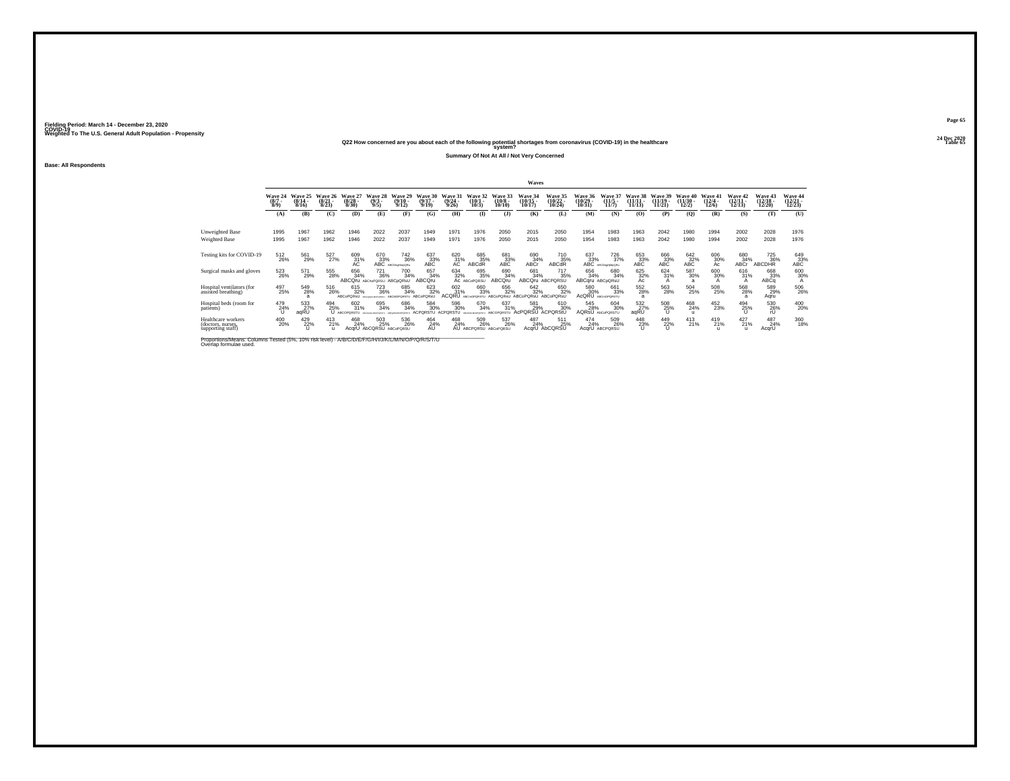# **24 Dec 2020Q22 How concerned are you about each of the following potential shortages from coronavirus (COVID-19) in the healthcare Table 65 system?**

**Summary Of Not At All / Not Very Concerned**

**Base: All Respondents**

|                                                              |                                |                                      |                               |                                |                                                           |                                                                                                        |                                        |                                 |                                     |                                        | Waves                                     |                                        |                                    |                                                                |                            |                                |                                |                                  |                                |                                    |                                           |
|--------------------------------------------------------------|--------------------------------|--------------------------------------|-------------------------------|--------------------------------|-----------------------------------------------------------|--------------------------------------------------------------------------------------------------------|----------------------------------------|---------------------------------|-------------------------------------|----------------------------------------|-------------------------------------------|----------------------------------------|------------------------------------|----------------------------------------------------------------|----------------------------|--------------------------------|--------------------------------|----------------------------------|--------------------------------|------------------------------------|-------------------------------------------|
|                                                              | Wave 24<br>$\frac{(8/7)}{8/9}$ | Wave 25<br>$\frac{(8/14 - 8)}{8/16}$ | Wave<br>$\frac{(8/21)}{8/23}$ | Wave 2<br>$\binom{8/28}{8/30}$ | Wave<br>$\binom{9/3}{9/5}$                                | Wave<br>$\frac{(9/10)}{9/12}$                                                                          | Wave<br>$\binom{9/17}{9/19}$           | Wave 3<br>$\frac{(9/24)}{9/26}$ | Wave 32<br>$\binom{10/1}{10/3}$     | Wave 33<br>$\substack{(10/8 \ 10/10)}$ | <b>Wave 3-</b><br>$\frac{(10/15)}{10/17}$ | Wave 35<br>$\frac{(10/22)}{10/24}$     | Wave 36<br>$\frac{(10/29)}{10/31}$ | Wave<br>$\frac{(11/5)}{11/7}$                                  | Wav<br>$(11/11 -$<br>11/13 | Wave 39<br>$(11/19 -$<br>11/21 | Wave 40<br>$(11/30 -$<br>12/2) | Wave 41<br>$\frac{(12/4)}{12/6}$ | Wave 42<br>$\binom{12}{12/13}$ | Wave 43<br>$\frac{(12/18)}{12/20}$ | <b>Wave 44</b><br>$\frac{(12/21)}{12/23}$ |
|                                                              | (A)                            | (B)                                  | $\mathbf C$                   | (D)                            | (E)                                                       | $(\mathbf{F})$                                                                                         | (G)                                    | <b>(H)</b>                      | $($ I                               | $($ $\Gamma$                           | (K)                                       | (L)                                    | (M)                                | (N)                                                            | (O)                        | (P)                            | $\mathbf{Q}$                   | (R)                              | (S)                            | (T)                                | (U)                                       |
| Unweighted Base<br>Weighted Base                             | 1995<br>1995                   | 1967<br>1967                         | 1962<br>1962                  | 1946<br>1946                   | 2022<br>2022                                              | 2037<br>2037                                                                                           | 1949<br>1949                           | 1971<br>1971                    | 1976<br>1976                        | 2050<br>2050                           | 2015<br>2015                              | 2050<br>2050                           | 1954<br>1954                       | 1983<br>1983                                                   | 1963<br>1963               | 2042<br>2042                   | 1980<br>1980                   | 1994<br>1994                     | 2002<br>2002                   | 2028<br>2028                       | 1976<br>1976                              |
| Testing kits for COVID-19                                    | 512<br>26%                     | 561<br>29%                           | 527%                          | 609<br>31%<br>АC               |                                                           | $\underset{\text{ABC}\\ \text{ABC}}{670} \underset{\text{ABCD}}{742}$<br><sup>742</sup> <sub>36%</sub> | $^{637}_{33\%}$ ABC                    | $^{620}_{31\%}$                 | 685<br>35%<br>ABCdR                 | 681<br>33%<br>ABC                      | 690<br>34%<br>ABCr                        | <sup>710</sup> <sub>35%</sub><br>ABCdR |                                    | <sup>726</sup> <sub>37%</sub><br>$637 \n33\% \nABC$ $726 \n37$ | 653<br>33%<br>ABC          | $^{666}_{33\%}$ ABC            | $^{642}_{32\%}$ ABC            | $^{606}_{30\%}$                  | 680<br>34%<br>ABCr             | 725<br>36%<br>ABCDHR               | $^{649}_{33\%}$ ABC                       |
| Surgical masks and gloves                                    | 523<br>26%                     | 571<br>29%                           | 555<br>28%                    | 656<br>34%<br><b>ABCOru</b>    | 721<br>36%<br>ABChoPORSU ABCDORSU                         | 700<br>34%                                                                                             | 657<br>34%<br><b>ABCQru</b>            | 634                             | 695<br>35%<br>32% 35                | 690<br>34%<br><b>ABCOru</b>            | 681<br>34%<br><b>ABCOru</b>               | 717<br>35%<br>ABCPORSU                 | 656<br>34%<br>ABCaru ABCoQRsU      | 680<br>34%                                                     | $\frac{625}{32\%}$         | 624<br>31%                     | 587<br>30%<br>a                | 600<br>30%                       | 616<br>$\frac{31}{A}$          | 668<br>33%<br>ABCa                 | 600<br>30%                                |
| Hospital ventilators (for<br>assisted breathing)             | 497<br>25%                     | 549<br>28%                           | 516<br>26%                    | 615<br>32%<br>ABCoPORsU        | <sup>723</sup> <sub>36%</sub><br>APPARENTMENT ARCMORDERTH | 685<br>34%                                                                                             | 623<br>32%<br>ARCoPORsU                | 602<br>31%<br>ACQRU             | 660<br>33%                          | 656<br>32%<br><b>ARCoPORsU</b>         | 642<br>32%<br><b>ARCoPORsU</b>            | 650<br>32%<br>ABCoPORsU                | 580<br>30%<br>AcQRU                | 661<br>33%<br>ARCHORORSTI                                      | 552<br>28%                 | 563<br>28%                     | 504<br>25%                     | 508<br>25%                       | $^{568}_{28\%}$                | 589<br>29%<br>Agru                 | 506<br>26%                                |
| Hospital beds (room for<br>patients)                         | 479<br>24%                     | 533<br>27%<br>aqRU                   | 494<br>25%                    | 602<br>31%<br>ABCOPORSTI       | 695<br>34%                                                | 686<br>34%                                                                                             | 584<br>30%<br><b>ACPORSTU ACPORSTU</b> | 596<br>30%                      | 670<br>34%                          | 637<br>31%<br>ABCOPORSTU               | 581<br>29%<br>AcPORSU                     | 610<br>30%<br>ACPORSIU                 | 545<br>28%                         | 604<br>30%<br>AQRSU AbCoPORSTU                                 | 532<br>agRU                | $^{508}_{25\%}$                | 468<br>24%                     | 452<br>23%                       | $^{494}_{25\%}$                | 530<br>26%<br>rU                   | 400<br>20%                                |
| Healthcare workers<br>(doctors, nurses,<br>supporting staff) | 400<br>20%                     | 429<br>22%                           | 413<br>21%                    | 468<br>24%<br>AcqrU            | 503<br>25%<br>AbCQRSU ABCoPQRSL                           | 536<br>26%                                                                                             | 464<br>24%<br>AU                       | 468<br>24%                      | 509<br>26%<br>AU ABCPORSU ABCoPORSU | 537<br>26%                             | 487<br>24%<br>AcarU                       | 511<br>25%<br>AbCORSL                  | 474<br>24%                         | 509<br>26%<br>AcarU ABCPORSU                                   | $^{448}_{23\%}$            | 449<br>$^{22\%}$               | 413<br>21%                     | 419<br>21%                       | 427<br>21%<br>$\mathbf{u}$     | 487<br>24%<br>AcqrU                | 360<br>18%                                |

Proportions/Means: Columns Tested (5%, 10% risk level) - *N'B/C/D/E/F/G/H/I/J/K/L/M/N/O/P/Q/R/S/T/U* Overlap formulae used.<br>Overlap formulae used.

**Page 6524 Dec 2020<br>Table 65**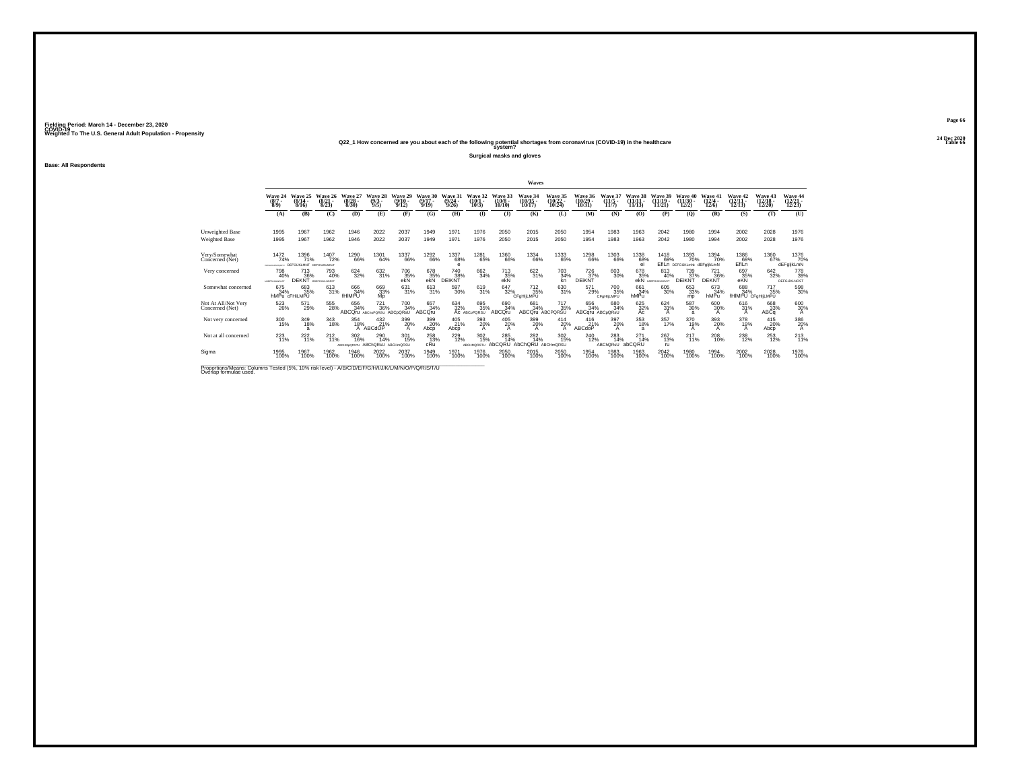# **24 Dec 2020Q22\_1 How concerned are you about each of the following potential shortages from coronavirus (COVID-19) in the healthcare Table 66 system?**

**Surgical masks and gloves**

**Base: All Respondents**

| Wave 24<br>Wave 25<br>$(8/14 -$<br>8/16<br>1967<br>1995<br>1967<br>1995<br>1472<br>74%<br>DEEGLIKI MNT<br><b>SETOHALMADINETJ</b> | Wave 26<br>$\binom{8/21}{8/23}$<br>(B)<br>(C)<br>1962<br>1962<br>1396<br><sup>1407</sup> 72%<br>71% | Wave 27<br>$\binom{8/28}{8/30}$<br>(D)<br>1946<br>1946<br>1290<br>66% | Wave 28<br>$\binom{9/3}{9/5}$<br>(E)<br>2022<br>2022 | Wave 29<br>$\frac{(9/10)}{9/12}$<br>(F)<br>2037<br>2037 | Wave 30<br>$(9/17 -$<br>9/19<br>(G)<br>1949                                | Wave 31<br>(9/24)<br>9/26<br>(H)<br>1971 | Wave 32<br>$(10/1 -$<br>10/3<br>$($ I                                                                                          | Wave 33<br>$(10/8 -$<br>10/10<br>$($ $)$                                          | Wave 34<br>$\frac{(10/15)}{10/17}$<br>(K)                  | Wave 35<br>$\binom{10/22}{10/24}$<br>(L) | Wave 36<br>$\binom{10/29}{10/31}$<br>(M)                         | Wave 37<br>$(11/5 -$<br>11/7<br>(N) | Wave 38<br>$(11/11 -$<br>11/13<br>(0)                    | Wave 39<br>$(11/19 -$<br>11/21<br>(P) | Wave 40<br>$(11/30 -$<br>12/2<br>(0)       | Wave 41<br>$\frac{(12/4 - 12)}{12/6}$<br>(R) | Wave 42<br>$\binom{12/11}{12/13}$<br>(S) | Wave 43<br>$(12/18 -$<br>12/20<br>(T) | <b>Wave 44</b><br>$\binom{12}{2}\binom{21}{23}$<br>(U)                            |
|----------------------------------------------------------------------------------------------------------------------------------|-----------------------------------------------------------------------------------------------------|-----------------------------------------------------------------------|------------------------------------------------------|---------------------------------------------------------|----------------------------------------------------------------------------|------------------------------------------|--------------------------------------------------------------------------------------------------------------------------------|-----------------------------------------------------------------------------------|------------------------------------------------------------|------------------------------------------|------------------------------------------------------------------|-------------------------------------|----------------------------------------------------------|---------------------------------------|--------------------------------------------|----------------------------------------------|------------------------------------------|---------------------------------------|-----------------------------------------------------------------------------------|
|                                                                                                                                  |                                                                                                     |                                                                       |                                                      |                                                         |                                                                            |                                          |                                                                                                                                |                                                                                   |                                                            |                                          |                                                                  |                                     |                                                          |                                       |                                            |                                              |                                          |                                       |                                                                                   |
|                                                                                                                                  |                                                                                                     |                                                                       |                                                      |                                                         |                                                                            |                                          |                                                                                                                                |                                                                                   |                                                            |                                          |                                                                  |                                     |                                                          |                                       |                                            |                                              |                                          |                                       |                                                                                   |
|                                                                                                                                  |                                                                                                     |                                                                       |                                                      |                                                         |                                                                            |                                          | 1976                                                                                                                           | 2050                                                                              | 2015                                                       | 2050                                     | 1954                                                             | 1983                                | 1963                                                     | 2042                                  | 1980                                       | 1994                                         | 2002                                     | 2028                                  | 1976                                                                              |
|                                                                                                                                  |                                                                                                     |                                                                       |                                                      |                                                         | 1949                                                                       | 1971                                     | 1976                                                                                                                           | 2050                                                                              | 2015                                                       | 2050                                     | 1954                                                             | 1983                                | 1963                                                     | 2042                                  | 1980                                       | 1994                                         | 2002                                     | 2028                                  | 1976                                                                              |
|                                                                                                                                  | DEFGHJKLMNoT                                                                                        |                                                                       | 1301<br>64%                                          | 1337<br>66%                                             | <sup>1292</sup> 66%                                                        | 1337<br>68%<br>e                         | <sup>1281</sup> 65%                                                                                                            | 1360<br>66%                                                                       | 1334<br>66%                                                | 1333<br>65%                              | <sup>1298</sup> 66%                                              | 1303<br>66%                         | 1338<br>68%<br>e                                         | 1418<br>69%                           | 1393<br>70%<br>EfILn DEFGUKLmNt dEFglikLmN | <sup>1394</sup> 70%                          | 1386<br>.69%<br>EflLn                    | 1360<br>67%                           | 1376<br>70%<br>dEFgljkLmN                                                         |
| 798<br>40%<br><b>DEKNT</b>                                                                                                       | 793<br>713<br>36%<br>40%<br><b>SOEFGUILNORST</b>                                                    | 624<br>32%                                                            | 632<br>31%                                           | 706<br>35%<br>ekÑ                                       | 678<br>$35%$ ekN                                                           | 740<br>38%<br><b>DEIKNT</b>              | 662<br>34%                                                                                                                     | 713<br>35%<br>ekÑ                                                                 | $\frac{622}{31\%}$                                         | 703<br>34%<br>kn                         | 726<br>37%<br>DEIKÑT                                             | 603<br>30%                          | 678<br>$35\%$ ekN                                        | 813<br>40%<br><b>NOEFGLIKLNO/ST</b>   | 739<br>37%<br>DEIKNT                       | 721<br>36%<br>DEKNT                          | 697<br>$35%$ eKN                         | 642<br>32%                            | 778<br>39%<br><b>DEFGUKLNOST</b>                                                  |
| 675<br>34%<br>hMPu cFHiLMPU                                                                                                      | 683<br>613<br>31%<br>35%                                                                            | 666<br>34%<br><b>fHIMPU</b>                                           | 669<br>33%<br>Mp                                     | 631%                                                    | 613<br>31%                                                                 | 597<br>30%                               | 619<br>31%                                                                                                                     | 647<br>32%                                                                        | $^{712}_{35\%}$<br>CFaHILMPU                               | 630 31%                                  | 571<br>29%                                                       | <sup>700</sup> 35%<br>CFgHIjLMPU    | 661<br>34%<br>hMPu                                       | 605<br>30%                            | 653 33%<br>mp                              | 673<br>34%<br>hMPu                           | 688<br>34%<br>fHIMPU CFgHIJLMPU          | <sup>717</sup> 35%                    | 598<br>30%                                                                        |
| 523<br>26%                                                                                                                       |                                                                                                     | <b>ABCOru</b>                                                         |                                                      |                                                         | <b>ABCQru</b>                                                              |                                          |                                                                                                                                |                                                                                   |                                                            | 717<br>35%                               |                                                                  | 680<br>34%                          | 625<br>32%<br>Ac                                         | A                                     | a                                          | A                                            | А                                        | ABCq                                  | 600 30%                                                                           |
| 300<br>15%                                                                                                                       | а                                                                                                   | 354                                                                   | 432<br>21%                                           | 399<br>20%<br>A                                         | 399<br>Abcp                                                                | 405<br>21%<br>Abco                       | 393<br>A                                                                                                                       | 405<br>20%                                                                        | 399<br>20%<br>Α                                            | 414<br>20%<br>$\mathsf{A}$               | 416<br>21%<br>ABCdoP                                             | 397<br>20%<br>A                     | 353<br>18%<br>a                                          | 357                                   | 370<br>А                                   | 393<br>20%<br>A                              | 378<br>19%<br>А                          | 415<br>20%<br>Abcp                    | 386<br>20%                                                                        |
| 223<br>11%                                                                                                                       |                                                                                                     | <b>ABCHMcQRSTU</b>                                                    |                                                      | 301<br>15%                                              | cRu                                                                        |                                          |                                                                                                                                | 285<br>14%                                                                        |                                                            |                                          | 240                                                              | 283                                 | 271<br>14%                                               | 267<br>ru                             | 217                                        |                                              |                                          |                                       | 213                                                                               |
| 1995<br>100%                                                                                                                     | 1962                                                                                                | 1946<br>100%                                                          | 2022<br>100%                                         | 2037<br>100%                                            | 1949<br>100%                                                               | 1971<br>100%                             | 1976                                                                                                                           | 2050<br>100%                                                                      | 2015<br>100%                                               | 2050<br>100%                             | 1954                                                             | 1983<br>100%                        | 1963<br>100%                                             | 2042                                  | 1980                                       | 1994<br>100%                                 | 2002<br>100%                             | 2028                                  | 1976<br>100%                                                                      |
|                                                                                                                                  |                                                                                                     | 571<br>29%<br>343<br>349<br>18%<br>$^{222}_{11\%}$<br>1967<br>100%    | 555<br>28%<br>18%<br>$^{212}_{11\%}$<br>100%         | 656<br>34%<br>18%<br>ABCdOP<br>302<br>16%               | $^{721}_{36\%}$<br>ABChoPQRSU ABCpQRsU<br>290<br>14%<br>ABChQRsU ABCHmQRSU | 700<br>34%                               | 657<br>34%<br>20%<br>258<br>Proportions/Means: Columns Tested (5%, 10% risk level) - A/B/C/D/E/F/G/H/I/J/K/L/M/N/O/P/Q/R/S/T/U | 634<br>32%<br>AC ABCoPORSU<br><sup>229</sup> <sub>12%</sub><br>ABCHMORSTU<br>100% | 695<br>35%<br><b>ABCOru</b><br>20%<br>302<br>15%<br>AbCQRU | 690<br>34%                               | 681<br>34%<br>ABCQru ABCPQRSU<br>282<br>14%<br>AbChQRU ABCHmQRSU | $\frac{302}{15\%}$                  | 656<br>34%<br>ABCqru ABCpQRsU<br>12%<br>ABChQRsU<br>100% | 14%<br>abCQRU                         |                                            | $\frac{624}{31\%}$<br>17%<br>13%<br>100%     | 587<br>30%<br>19%<br>11%<br>100%         | 600 30%<br>208<br>10%                 | $^{616}_{31\%}$<br>668<br>33%<br>$^{253}_{12\%}$<br><sup>238</sup><br>12%<br>100% |

**Page 66**24 Dec 2020<br>Table 66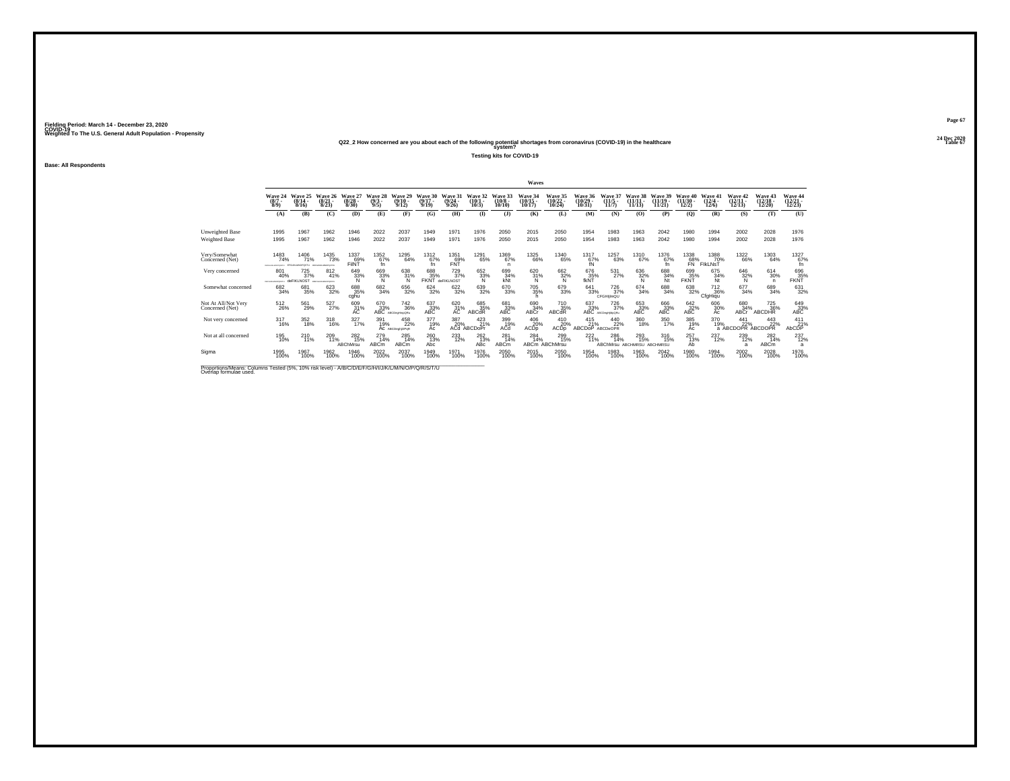# **24 Dec 2020Q22\_2 How concerned are you about each of the following potential shortages from coronavirus (COVID-19) in the healthcare Table 67 system?**

**Testing kits for COVID-19**

**Base: All Respondents**

|                                                                                                                              |                                  |                                    |                                                  |                                  |                                |                                                                                                                    |                               |                              |                                     |                               | Waves                       |                                       |                                       |                                             |                          |                                              |                                               |                                          |                                    |                                         |                                    |
|------------------------------------------------------------------------------------------------------------------------------|----------------------------------|------------------------------------|--------------------------------------------------|----------------------------------|--------------------------------|--------------------------------------------------------------------------------------------------------------------|-------------------------------|------------------------------|-------------------------------------|-------------------------------|-----------------------------|---------------------------------------|---------------------------------------|---------------------------------------------|--------------------------|----------------------------------------------|-----------------------------------------------|------------------------------------------|------------------------------------|-----------------------------------------|------------------------------------|
|                                                                                                                              | Wave 24<br>$(8/7 -$<br>$8/9$ )   | Wave 25<br>$(8/14 -$<br>8/16       | Wave 26<br>$\binom{8/21}{8/23}$                  | Wave 27<br>$\frac{(8/28)}{8/30}$ | Wave 28<br>$\frac{(9/3)}{9/5}$ | Wave 29<br>$\frac{(9/10)}{9/12}$                                                                                   | Wave 30<br>$(9/17 -$<br>9/19  | Wave 31<br>$(9/24 -$<br>9/26 | Wave 32<br>$(10/1 -$<br>10/3        | Wave 33<br>$(10/8 -$<br>10/10 | Wave 34<br>(10/15<br>10/17) | <b>Wave 35</b><br>$(10/22 -$<br>10/24 | <b>Wave 36</b><br>$(10/29 -$<br>10/31 | Wave 37<br>$\frac{(11/5)}{11/7}$            | $(11/11 -$<br>11/13      | $(11/19 -$<br>11/21                          | $(11/30 -$<br>12/2)                           | Wave 41<br>$\frac{(12/4)}{12/6}$         | Wave 42<br>$\frac{(12/11)}{12/13}$ | Wave 43<br>$\frac{(12/18)}{12/20}$      | Wave 44<br>$\frac{(12/21)}{12/23}$ |
|                                                                                                                              | (A)                              | (B)                                | (C)                                              | (D)                              | (E)                            | (F)                                                                                                                | (G)                           | (H)                          | $\bf{I}$                            | $($ $\bf{J}$ $)$              | (K)                         | (L)                                   | (M)                                   | (N)                                         | (O)                      | (P)                                          | (Q)                                           | (R)                                      | (S)                                | (T)                                     | (U)                                |
| Unweighted Base                                                                                                              | 1995                             | 1967                               | 1962                                             | 1946                             | 2022                           | 2037                                                                                                               | 1949                          | 1971                         | 1976                                | 2050                          | 2015                        | 2050                                  | 1954                                  | 1983                                        | 1963                     | 2042                                         | 1980                                          | 1994                                     | 2002                               | 2028                                    | 1976                               |
| <b>Weighted Base</b>                                                                                                         | 1995                             | 1967                               | 1962                                             | 1946                             | 2022                           | 2037                                                                                                               | 1949                          | 1971                         | 1976                                | 2050                          | 2015                        | 2050                                  | 1954                                  | 1983                                        | 1963                     | 2042                                         | 1980                                          | 1994                                     | 2002                               | 2028                                    | 1976                               |
| Very/Somewhat<br>Concerned (Net)                                                                                             | 1483<br>74%<br>DEFONALMADPORTS   | 1406<br>71%<br><b>COLIMBATOOTH</b> | <sup>1435</sup> 73%<br>DEPOILABLEMOPO/2TU        | 1337<br>69%<br>FIINT             | 1352<br>67%<br>fn              | 1295<br>64%                                                                                                        | 1312<br>67%<br>Ť'n            | 1351<br>69%<br>FÑŤ           | <sup>1291</sup> 65%                 | 1369<br>67%<br>n.             | 1325<br>66%                 | <sup>1340</sup> 65%                   | $^{1317}_{67\%}$                      | 1257<br>63%                                 | <sup>1310</sup> 67%      | 1376<br>67%<br>fn.                           | $\overset{1338}{\substack{68\% \ \text{FN}}}$ | 1388<br>70%<br><b>FIKLNST</b>            | 1322<br>66%                        | 1303<br>64%                             | $^{1327}_{67\%}$<br>fn.            |
| Very concerned                                                                                                               | 801<br>40%<br>DEPOLAS/MONOPORETU | 725<br>37%<br>deFIKLNOST           | 812<br>41%<br><b>STERFAL AT MATERIALTS &amp;</b> | 649<br>33%<br>Ñ                  | $\frac{669}{33\%}$             | 638<br>$\frac{31\%}{N}$                                                                                            | 688<br>35%<br>FKNT deFIKLNOST | 729<br>37%                   | 652<br>33%<br>Ñ                     | 699<br>34%<br>kÑt             | 620<br>31%<br>N             | $\frac{662}{32\%}$                    | $^{676}_{35\%}$ fkNT                  | 531<br>27%                                  | 636<br>32%<br>Ñ          | 688<br>34%<br>Nt                             | 699<br>35%<br>FKÑŤ                            | 675<br>34%<br>Nt                         | $\frac{646}{32\%}$                 | $^{614}_{30\%}$<br>n                    | $\frac{696}{35\%}$ FKNT            |
| Somewhat concerned                                                                                                           | 682<br>34%                       | 681<br>35%                         | 623<br>32%                                       | 688<br>35%<br>cghu               | 682<br>34%                     | 656<br>32%                                                                                                         | $624 \over 32\%$              | 622/32%                      | 639<br>32%                          | 670<br>33%                    | 705<br>35%                  | 679<br>33%                            | 641<br>33%                            | <sup>726</sup> <sub>37%</sub><br>CFGHIilmQU | 674<br>34%               | 688<br>34%                                   | 638<br>32%                                    | <sup>712</sup> <sub>36%</sub><br>CfgHigu | 677<br>34%                         | 689<br>34%                              | $\substack{631 \\ 32\%}$           |
| Not At All/Not Very<br>Concerned (Net)                                                                                       | $^{512}_{26\%}$                  | 561<br>29%                         | 527%                                             | 609<br>31%<br>AC                 |                                | $\underset{\text{ABC}\\ \text{ABC}}{670} \underset{\text{ALC}\\ \text{ABC}}{742}$<br><sup>742</sup> <sub>36%</sub> | $^{637}_{33\%}$ ABC           | 620<br>31%<br>AC             | 685<br>35%<br>ABCdR                 | 681<br>33%<br>ABC             | 690<br>34%<br>ABCr          | 710<br>35%<br>ABCdR                   | 637<br>33%<br>ABC                     | 726<br>37%<br>ABCDechtMcGR)                 | 653<br>33%<br><b>ABC</b> | $\overset{666}{\underset{\text{ABC}}{33\%}}$ | $^{642}_{32\%}$ ABC                           | 606<br>30%<br>Ac                         | 680<br>34%<br>ABCr                 | 725<br>36%<br><b>ABCDHR</b>             | $^{649}_{33\%}$ ABC                |
| Not very concerned                                                                                                           | 317<br>16%                       | 352<br>18%                         | 318<br>16%                                       | 327<br>17%                       | 391<br>19%                     | 458<br>22%<br>AC ABCDegliOPoR                                                                                      | 377<br>19%<br>Ac              | 387                          | 423<br>21%<br>20% 21<br>ACd ABCDoPr | 399<br>19%<br>ACd             | 406<br>20%<br>ACDp          | 410<br>20%<br>ACD <sub>p</sub>        | 415<br>21%<br><b>ABCDOP</b>           | 440<br>22%<br>ABCDeOPR                      | 360<br>18%               | 350<br>17%                                   | 385<br>19%<br>Ac                              | 370<br>19%                               | 441                                | 443<br>19% 22% 22%<br>a ABCDOPR ABCDOPR | 411<br>AbCDP                       |
| Not at all concerned                                                                                                         | 195<br>10%                       | 210<br>11%                         | 209<br>11%                                       | 282<br>15%<br>ABChMrsu           | 279<br>14%<br>ABCm             | 285<br>14%<br>ABCm                                                                                                 | 260 13%<br>Abc                | $^{233}_{12\%}$              | $^{262}_{13\%}$<br>ABc              | 281<br>14%<br><b>ABCm</b>     | 284<br>14%                  | $^{299}_{15\%}$<br>ABCm ABChMrsu      | $^{222}_{11\%}$                       | 286<br>14%<br>ABChMrsu                      | 293<br>15%<br>ABCHMRSU   | 316<br>15%<br>ABCHMRSU                       | 257<br>13%<br>Ab                              | 237<br>12%                               | 239<br>12%<br>$\overline{a}$       | $^{282}_{14\%}$<br>ABC <sub>m</sub>     | $^{237}_{12\%}$<br>a               |
| Sigma                                                                                                                        | 1995<br>100%                     | 1967<br>100%                       | 1962<br>100%                                     | 1946<br>100%                     | 2022<br>100%                   | 2037<br>100%                                                                                                       | 1949<br>100%                  | 1971<br>100%                 | 1976<br>100%                        | 2050<br>100%                  | 2015<br>100%                | 2050<br>100%                          | 1954<br>100%                          | 1983<br>100%                                | 1963<br>100%             | 2042<br>100%                                 | 1980<br>100%                                  | 1994<br>100%                             | 2002<br>100%                       | 2028<br>100%                            | 1976<br>100%                       |
| Proportions/Means: Columns Tested (5%, 10% risk level) - A/B/C/D/E/F/G/H/I/J/K/L/M/N/O/P/Q/R/S/T/U<br>Overlap formulae used. |                                  |                                    |                                                  |                                  |                                |                                                                                                                    |                               |                              |                                     |                               |                             |                                       |                                       |                                             |                          |                                              |                                               |                                          |                                    |                                         |                                    |

**Page 67**24 Dec 2020<br>Table 67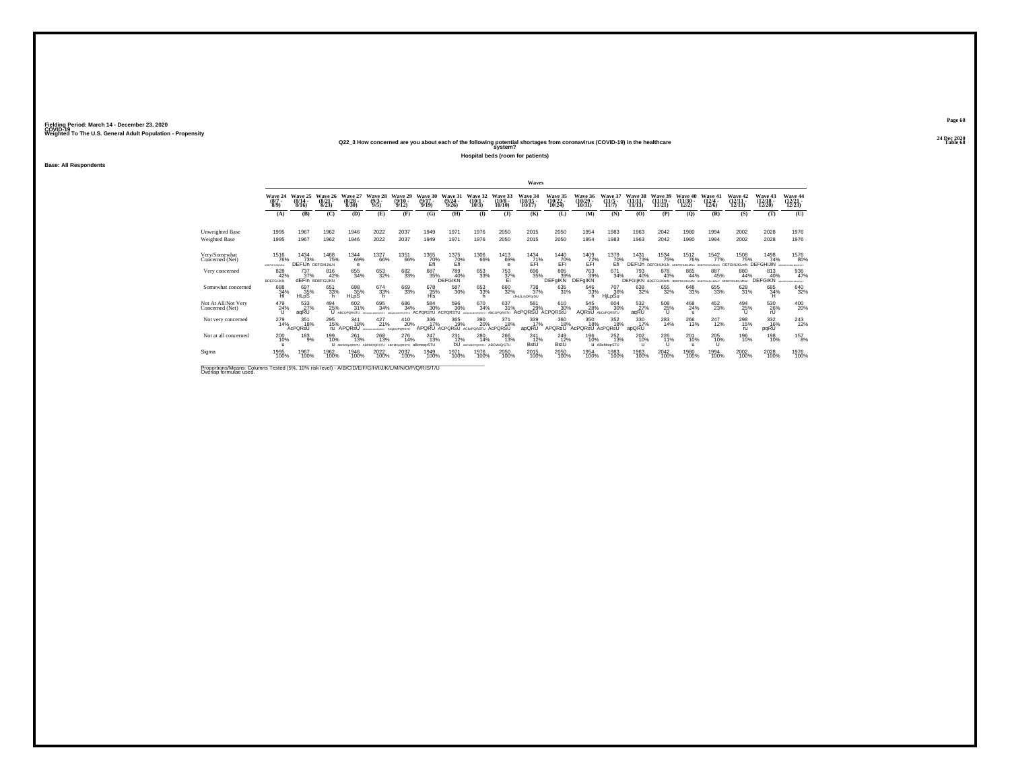# **24 Dec 2020Q22\_3 How concerned are you about each of the following potential shortages from coronavirus (COVID-19) in the healthcare Table 68 system?**

**Hospital beds (room for patients)**

**Base: All Respondents**

|                                                                                                                              |                                |                                        |                                      |                                  |                                      |                                  |                                      |                                        |                                                 |                               | Waves                                         |                              |                               |                                         |                      |                                                      |                                       |                                                  |                                |                                                  |                                           |
|------------------------------------------------------------------------------------------------------------------------------|--------------------------------|----------------------------------------|--------------------------------------|----------------------------------|--------------------------------------|----------------------------------|--------------------------------------|----------------------------------------|-------------------------------------------------|-------------------------------|-----------------------------------------------|------------------------------|-------------------------------|-----------------------------------------|----------------------|------------------------------------------------------|---------------------------------------|--------------------------------------------------|--------------------------------|--------------------------------------------------|-------------------------------------------|
|                                                                                                                              | Wave 24<br>$(8/7 -$<br>$8/9$ ) | Wave 25<br>$(8/14 -$<br>8/16           | Wave 26<br>$\frac{(8/21)}{8/23}$     | Wave 27<br>$\frac{(8/28)}{8/30}$ | Wave 28<br>$\binom{9/3}{9/5}$        | Wave 29<br>$(9/10 -$<br>9/12     | Wave 30<br>$(9/17 -$<br>9/19         | Wave 31<br>$(9/24 -$<br>9/26           | Wave 32<br>$(10/1 -$<br>10/3                    | Wave 33<br>$(10/8 -$<br>10/10 | Wave 34<br>10/17                              | Wave 35<br>(10/22 -<br>10/24 | Wave 36<br>(10/29 -<br>10/31  | Wave 37<br>$(11/5 -$<br>11/7            | $(11/11 -$<br>11/13  | Wave 39<br>$(11/19 -$<br>11/21                       | <b>Wave 40</b><br>$(11/30 -$<br>12/2) | Wave 41<br>$(12/4 -$<br>12/6                     | Wave 42<br>$(12/11 -$<br>12/13 | Wave 43<br>12/20                                 | Wave 44<br>(12/21 -<br>12/23)             |
|                                                                                                                              | (A)                            | (B)                                    | (C)                                  | (D)                              | (E)                                  | (F)                              | (G)                                  | (H)                                    | $($ $\Gamma$                                    | $($ $\Gamma$                  | (K)                                           | (L)                          | (M)                           | (N)                                     | (O)                  | (P)                                                  | $\mathbf{Q}$                          | (R)                                              | (S)                            | (T)                                              | (U)                                       |
| Unweighted Base                                                                                                              | 1995                           | 1967                                   | 1962                                 | 1946                             | 2022                                 | 2037                             | 1949                                 | 1971                                   | 1976                                            | 2050                          | 2015                                          | 2050                         | 1954                          | 1983                                    | 1963                 | 2042                                                 | 1980                                  | 1994                                             | 2002                           | 2028                                             | 1976                                      |
| Weighted Base                                                                                                                | 1995                           | 1967                                   | 1962                                 | 1946                             | 2022                                 | 2037                             | 1949                                 | 1971                                   | 1976                                            | 2050                          | 2015                                          | 2050                         | 1954                          | 1983                                    | 1963                 | 2042                                                 | 1980                                  | 1994                                             | 2002                           | 2028                                             | 1976                                      |
| Very/Somewhat<br>Concerned (Net)                                                                                             | 1516<br>76%<br>COFFOHLIKLMNo   | 1434<br>73%<br><b>DEFIJN DEFGHUKLN</b> | <sup>1468</sup> 75%                  | 1344<br>69%<br>$\theta$          | <sup>1327</sup> 66%                  | 1351<br>66%                      | 1365<br>70%<br>Efi                   | 1375<br>70%<br>Efi                     | <sup>1306</sup> 66%                             | 1413<br>69%<br>$\theta$       | $^{1434}_{71\%}$                              | 1440<br>70%<br>EFI           | $^{1409}_{72\%}$              | 1379<br>70%<br>Efi                      | 1431<br>73%          | <sup>1534</sup> 75%<br><b>DEFIJN DEFGHIJKLN 1017</b> | <sup>1512</sup> 76%                   | 1542<br>77%<br>GHUKLMNo BOEFGHUKLMNO: DEFGHUKLmN | 1508<br>75%                    | 1498<br>74%<br><b>DEFGHIJIN</b>                  | <sup>1576</sup> 80%<br>ABCORPORAGIANOPUST |
| Very concerned                                                                                                               | 828<br>42%<br><b>BDEFGIJKN</b> | 737<br>37%                             | 816<br>42%<br><b>dEFIn BDEFGIJKN</b> | 655<br>34%                       | 653<br>32%                           | 682<br>33%                       | 687<br>35%                           | 789<br>40%<br><b>DEFGIKN</b>           | 653<br>33%                                      | 753<br>37%<br>Ei              | 696<br>35%                                    | 805<br>39%<br>DEFgIKN        | 763<br>39%<br>DEFgIKN         | 671<br>34%                              | 793<br>40%           | 878<br>43%<br>DEFGIIKN BDEFGUKIMN BDEFGNJKLMN BDE    | 865<br>44%                            | 887<br>45%<br><b>GHUILMNOT BDEFGHI</b>           | 880<br>44%<br>LIKI MNH         | 813<br>40%<br><b>DEFGIKN <i>accreasement</i></b> | 936<br>47%                                |
| Somewhat concerned                                                                                                           | 688<br>34%<br>HI               | 697<br>35%<br><b>HLpS</b>              | 651<br>33%                           | 688<br>35%<br><b>HLpS</b>        | 674<br>33%<br>h                      | 669<br>33%                       | 678<br>35%<br>HIs                    | 587<br>30%                             | 653 33%<br>h                                    | 660<br>32%                    | <sup>738</sup> <sub>37%</sub><br>cfHJLmOParSU | 635<br>31%                   | 646<br>33%                    | <sup>707</sup> <sub>36%</sub><br>HjLpSu | 638<br>32%           | 655<br>32%                                           | 648<br>33%                            | $\substack{655 \\ 33\%}$                         | 628<br>31%                     | 685<br>34%<br>Ή                                  | 640<br>32%                                |
| Not At All/Not Very<br>Concerned (Net)                                                                                       | 479<br>24%                     | 533<br>aqRU                            | 494<br>25%                           | 602<br>31%<br>ABCOPORSTU         | 695<br>34%                           | 686<br>34%                       | $^{584}_{\ 30\%}$<br><b>ACPORSTU</b> | 596<br>30%<br><b>ACPORSTU</b>          | 670<br>34%<br>OPDRETU                           | 637<br>31%<br>ABCOPORSTU      | 581<br>29%<br><b>cPORSU ACPORStU</b>          | 610<br>30%                   | 545<br>28%                    | 604 30%<br>AQRSU AbCoPORSTU             | 532%<br>aqRU         | 508<br>25%<br>u                                      | 468<br>24%<br>$\mathbf{u}$            | $^{452}_{23\%}$                                  | 494<br>25%<br>u                | $^{530}_{26\%}$                                  | $^{400}_{20\%}$                           |
| Not very concerned                                                                                                           | 279<br>14%                     | 351<br>18%<br>AcPORsU                  | 295<br>15%                           | 341<br>18%<br>ru APQRSU          | 427<br>21%                           | 410<br>20%<br><b>ACeKOPORSTU</b> | 336<br>17%                           | 365<br>19%<br>APQRU ACPQRSU ACKOPQRSTU | 390<br>20%                                      | 371<br>18%<br>AcPORSU         | 339<br>17%<br>apQRU                           | 360<br>18%<br>APQRSU         | 350<br>18%<br>AcPORsU AcPORsU | 352<br>18%                              | 330<br>17%<br>apQRU  | 283<br>14%                                           | 266<br>13%                            | 247<br>12%                                       | 298<br>15%<br>ru               | 332<br>16%<br>pqRU                               | $^{243}_{12\%}$                           |
| Not at all concerned                                                                                                         | 200<br>10%                     | 183<br>9%                              | 199<br>10%                           | 261<br>13%<br>U ABCMOoQRSTU      | 268<br>13%<br>ABCMOORSTU ABCMOoORSTU | 276<br>14%                       | 247<br>13%<br>aBcmoorSTU             | 231<br>12%                             | 280<br>14%<br><b>bU</b> ABCHADPORSTU ABCMoQrSTU | 266<br>13%                    | 241<br>12%<br><b>BstU</b>                     | 249 12%<br><b>BstU</b>       | 196<br>10%                    | 252<br>13%<br>U ABcMogrSTU              | $^{202}_{10\%}$<br>п | $^{226}_{11\%}$<br>$\cup$                            | 201<br>10%<br>$\mathbf{u}$            | 205<br>10%                                       | 196<br>10%                     | 198<br>10%                                       | $^{157}_{8\%}$                            |
| Sigma                                                                                                                        | 1995<br>100%                   | 1967<br>100%                           | 1962<br>100%                         | 1946<br>100%                     | 2022<br>100%                         | 2037<br>100%                     | 1949<br>100%                         | 1971<br>100%                           | 1976<br>100%                                    | 2050<br>100%                  | 2015<br>100%                                  | 2050<br>100%                 | 1954<br>100%                  | 1983<br>100%                            | 1963<br>100%         | 2042<br>100%                                         | 1980<br>100%                          | 1994<br>100%                                     | 2002<br>100%                   | 2028<br>100%                                     | 1976<br>100%                              |
| Proportions/Means: Columns Tested (5%, 10% risk level) - A/B/C/D/E/F/G/H/I/J/K/L/M/N/O/P/Q/R/S/T/U<br>Overlap formulae used. |                                |                                        |                                      |                                  |                                      |                                  |                                      |                                        |                                                 |                               |                                               |                              |                               |                                         |                      |                                                      |                                       |                                                  |                                |                                                  |                                           |

**Page 6824 Dec 2020<br>Table 68**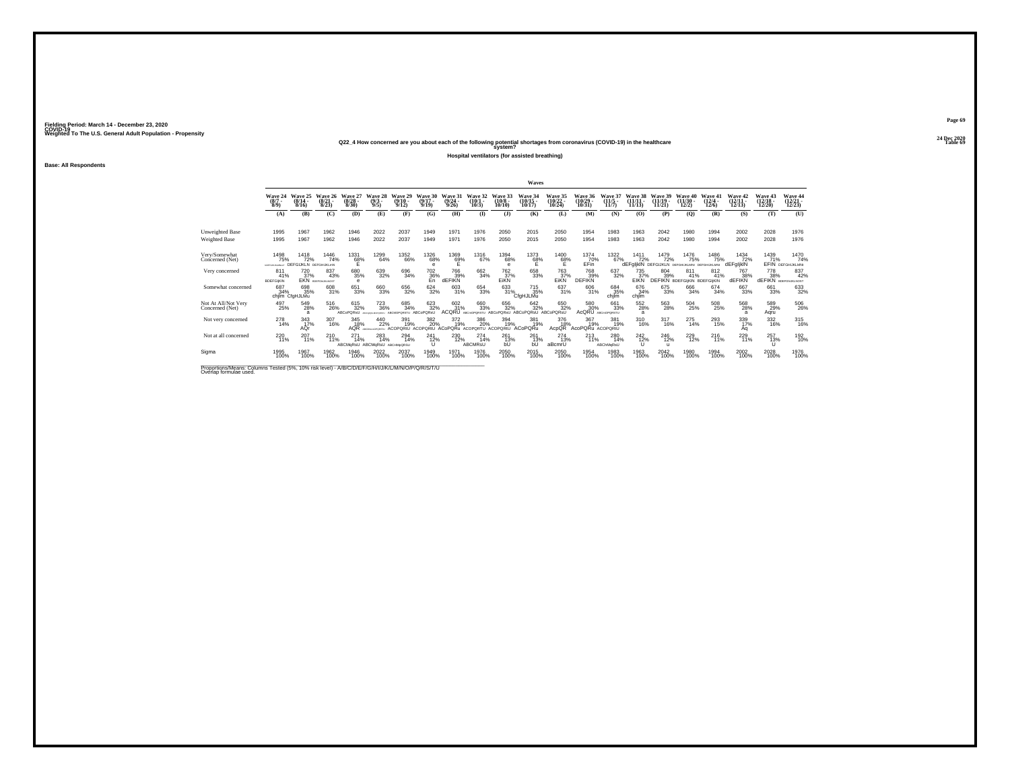# **24 Dec 2020Q22\_4 How concerned are you about each of the following potential shortages from coronavirus (COVID-19) in the healthcare Table 69 system?**

**Hospital ventilators (for assisted breathing)**

**Base: All Respondents**

|                                                                                                                             |                                      |                                             |                                  |                                            |                               |                                  |                              |                                                  |                                  |                               | Waves                                     |                                    |                                   |                              |                                |                                                           |                                       |                                       |                                |                                           |                                        |
|-----------------------------------------------------------------------------------------------------------------------------|--------------------------------------|---------------------------------------------|----------------------------------|--------------------------------------------|-------------------------------|----------------------------------|------------------------------|--------------------------------------------------|----------------------------------|-------------------------------|-------------------------------------------|------------------------------------|-----------------------------------|------------------------------|--------------------------------|-----------------------------------------------------------|---------------------------------------|---------------------------------------|--------------------------------|-------------------------------------------|----------------------------------------|
|                                                                                                                             | Wave 24<br>$(8/7 -$<br>$8/9$ )       | Wave 25<br>$\frac{(8/14)}{8/16}$            | Wave 26<br>$\frac{(8/21)}{8/23}$ | Wave 27<br>$\binom{8/28}{8/30}$            | Wave 28<br>$\binom{9/3}{9/5}$ | Wave 29<br>$\frac{(9/10)}{9/12}$ | Wave 30<br>$(9/17 -$<br>9/19 | Wave 31<br>$\frac{(9/24 - 9/26)}{9/26}$          | Wave 32<br>$(10/1 -$<br>$10/3$ ) | Wave 33<br>$(10/8 -$<br>10/10 | Wave 34<br>$\frac{(10/15)}{10/17}$        | Wave 35<br>$\frac{(10/22)}{10/24}$ | Wave 36<br>$\binom{10/29}{10/31}$ | Wave 37<br>$(11/5 -$<br>11/7 | Wave 38<br>$(11/11 -$<br>11/13 | Wave 39<br>$(11/19 -$<br>11/21                            | Wave 40<br>$(11/30 -$<br>12/2)        | Wave 41<br>$\frac{(12/4 - 12)}{12/6}$ | Wave 42<br>$(12/11 -$<br>12/13 | <b>Wave 43</b><br>$(12/18 -$<br>12/20     | Wave 44<br>$\frac{(12/21)}{12/23}$     |
|                                                                                                                             | (A)                                  | (B)                                         | (C)                              | (D)                                        | (E)                           | (F)                              | (G)                          | <b>(H)</b>                                       | $($ I                            | $($ $)$                       | (K)                                       | (L)                                | (M)                               | (N)                          | (0)                            | (P)                                                       | (Q)                                   | (R)                                   | (S)                            | (T)                                       | (U)                                    |
| Unweighted Base                                                                                                             | 1995                                 | 1967                                        | 1962                             | 1946                                       | 2022                          | 2037                             | 1949                         | 1971                                             | 1976                             | 2050                          | 2015                                      | 2050                               | 1954                              | 1983                         | 1963                           | 2042                                                      | 1980                                  | 1994                                  | 2002                           | 2028                                      | 1976                                   |
| Weighted Base                                                                                                               | 1995                                 | 1967                                        | 1962                             | 1946                                       | 2022                          | 2037                             | 1949                         | 1971                                             | 1976                             | 2050                          | 2015                                      | 2050                               | 1954                              | 1983                         | 1963                           | 2042                                                      | 1980                                  | 1994                                  | 2002                           | 2028                                      | 1976                                   |
| Very/Somewhat<br>Concerned (Net)                                                                                            | 1498<br>75%<br><b>LOSFOHUKLMIGHT</b> | 1418<br>72%<br><b>DEFGIJKLN DEFGHIJKLmN</b> | <sup>1446</sup> 74%              | 1331<br>68%                                | 1299<br>64%                   | 1352<br>66%                      | <sup>1326</sup> 68%<br>e     | $^{1369}_{62\%}$                                 | <sup>1316</sup> 67%              | 1394<br>68%<br>e              | 1373<br>68%                               | $^{1400}_{68\%}$                   | 1374<br>70%<br>EFin               | 1322<br>67%                  | $\frac{1411}{72\%}$            | 1479<br>72%<br>dEFglikIN DEFGIJKLN DEFGHUKLMN DEFGHUKLMNI | 1476<br>75%                           | 1486<br>75%                           | 1434<br>72%<br>dEFgljklN       | 1439<br>71%                               | 1470<br>74%<br><b>EFIN</b> DEFGHIJKLMN |
| Very concerned                                                                                                              | 811<br>41%<br><b>BDEFGIKIN</b>       | 720<br>37%                                  | 837<br>43%<br>EKN BOEFGHUKLNOST  | 680<br>35%<br>e                            | 639<br>32%                    | 696<br>34%                       | 702<br>$\frac{36}{50}$       | 766<br>39%<br>dEFIKN                             | 662<br>34%                       | 762<br>37%<br>EIKN            | 658<br>33%                                | 763<br>37%<br>EIKN                 | 768<br>39%<br><b>DEFIKN</b>       | 637<br>32%                   | 735<br>37%<br>EIKN             | 804<br>39%<br><b>DEFIKN BDEFGIJKIN BDEFGIJKIN</b>         | 811<br>41%                            | 812<br>41%                            | 767<br>38%<br><b>dEFIKN</b>    | 778<br>38%<br><b>dEFIKN</b> BDEFGNJKLNOST | 837<br>42%                             |
| Somewhat concerned                                                                                                          | 687<br>34%                           | 698<br>35%<br>chilm CfaHJLMu                | 608<br>31%                       | 651<br>33%                                 | 660<br>33%                    | 656<br>32%                       | $624 \over 32\%$             | 603<br>31%                                       | 654<br>33%                       | 633<br>31%                    | <sup>715</sup> <sub>35%</sub><br>CfaHJLMu | $\frac{637}{31\%}$                 | 606<br>31%                        | 684<br>35%<br>chilm          | 676<br>34%<br>chjim            | 675<br>33%                                                | 666<br>34%                            | 674<br>34%                            | 667<br>33%                     | 661<br>33%                                | 633<br>32%                             |
| Not At All/Not Very<br>Concerned (Net)                                                                                      | 497<br>25%                           | 549<br>28%<br>a                             | 516<br>26%                       | 615<br>32%<br>ABCoPORsU                    | $^{723}_{\ 36\%}$             | 685<br>34%<br>ARCMORORSTL        | 623<br>32%<br>ARCoPORsU      | 602<br>31%<br><b>ACQRU</b>                       | 660<br>33%<br>ARCHORORSTLL       | 656<br>32%<br>ABCoPORsU       | 642 32%<br>ABCoPQRsU ABCoPQRsU            | 650<br>32%                         | 580<br>30%<br>AcQRU               | 661<br>33%<br>ABCmOPORSTU    | 552<br>28%<br>a                | 563<br>28%                                                | $^{504}_{\phantom{1}\phantom{1}25\%}$ | 508<br>25%                            | 568<br>28%                     | 589<br>29%<br>Aqru                        | 506<br>26%                             |
| Not very concerned                                                                                                          | 278<br>14%                           | 343<br>17%<br>AQr                           | 307<br>16%                       | 345<br>18%<br>AQR                          | 440<br>22%                    | 391<br>19%<br><b>ACOPORtU</b>    | 382<br>20%                   | 372<br>19%<br>ACOPORtU ACoPORu ACOPORTU ACOPORtU | 386<br>20%                       | 394<br>19%                    | 381<br>19%<br>ACoPORu                     | 376<br>18%<br><b>AcpOR</b>         | 367<br>19%<br>AcoPQRu ACOPORtU    | 381<br>19%                   | 310<br>16%                     | 317<br>16%                                                | 275<br>14%                            | 293<br>15%                            | 339<br>17%<br>Αq               | 332<br>16%                                | 315<br>16%                             |
| Not at all concerned                                                                                                        | $^{220}_{11\%}$                      | 207<br>11%                                  | $^{210}_{11\%}$                  | 271<br>14%<br>ABCMgRsU ABCMgRsU ABCHMoQRSU | 283<br>14%                    | 294<br>14%                       | 241<br>12%<br>U              | 230<br>12%                                       | 274<br>14%<br>ABCMRsU            | 261<br>13%<br>bU              | 261<br>13%<br>bU                          | $^{274}_{13\%}$<br>aBcmrU          | 213<br>11%                        | 280<br>14%<br>ABChMqRsU      | $^{242}_{12\%}$<br>U           | 246<br>12%<br>$\mathbf{u}$                                | $^{229}_{12\%}$                       | 216                                   | 229<br>11%                     | 257<br>13%<br>U                           | 192<br>10%                             |
| Sigma                                                                                                                       | 1995<br>100%                         | 1967<br>100%                                | 1962<br>100%                     | 1946<br>100%                               | 2022<br>100%                  | 2037<br>100%                     | 1949<br>100%                 | 1971<br>100%                                     | 1976<br>100%                     | 2050<br>100%                  | 2015<br>100%                              | 2050<br>100%                       | 1954<br>100%                      | 1983<br>100%                 | 1963<br>100%                   | 2042<br>100%                                              | 1980<br>100%                          | 1994<br>100%                          | 2002<br>100%                   | 2028<br>100%                              | 1976<br>100%                           |
| Proportions/Means: Columns Tested (5%, 10% risk level) - A/B/C/D/E/F/G/H/I/J/K/L/M/N/O/P/Q/R/S/T/U<br>Overlap formulae used |                                      |                                             |                                  |                                            |                               |                                  |                              |                                                  |                                  |                               |                                           |                                    |                                   |                              |                                |                                                           |                                       |                                       |                                |                                           |                                        |

**Page 69**24 Dec 2020<br>Table 69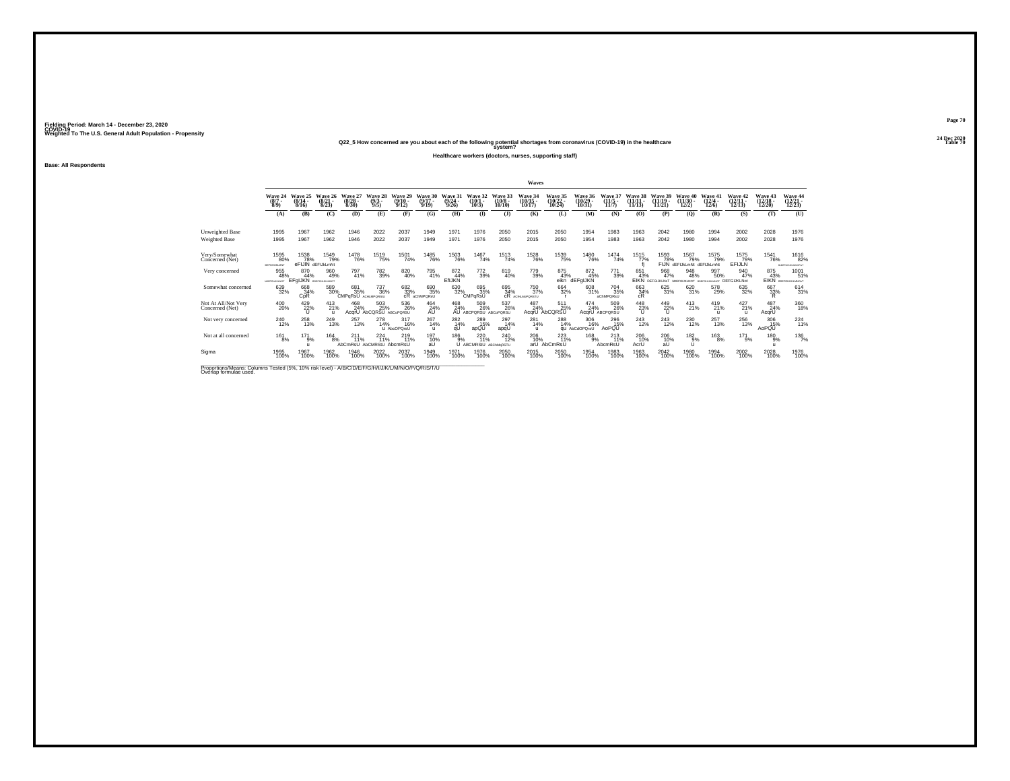**24 Dec 2020Q22\_5 How concerned are you about each of the following potential shortages from coronavirus (COVID-19) in the healthcare Table 70 system?**

**Healthcare workers (doctors, nurses, supporting staff)**

**Base: All Respondents**

|                                                                                                                              |                                |                                           |                                  |                                 |                                       |                                      |                              |                              |                                     |                               | Waves                              |                                    |                                    |                                 |                                |                                |                                           |                                                                      |                                |                                       |                                                 |
|------------------------------------------------------------------------------------------------------------------------------|--------------------------------|-------------------------------------------|----------------------------------|---------------------------------|---------------------------------------|--------------------------------------|------------------------------|------------------------------|-------------------------------------|-------------------------------|------------------------------------|------------------------------------|------------------------------------|---------------------------------|--------------------------------|--------------------------------|-------------------------------------------|----------------------------------------------------------------------|--------------------------------|---------------------------------------|-------------------------------------------------|
|                                                                                                                              | Wave 24<br>$(8/7 -$<br>$8/9$ ) | Wave 25<br>$(8/14 -$<br>8/16              | Wave 26<br>$\frac{(8/21)}{8/23}$ | Wave 27<br>$\binom{8/28}{8/30}$ | Wave 28<br>$\binom{9/3}{9/5}$         | Wave 29<br>$\frac{(9/10 - 9)}{9/12}$ | Wave 30<br>$(9/17 -$<br>9/19 | Wave 31<br>$(9/24 -$<br>9/26 | Wave 32<br>$(10/1 -$<br>10/3        | Wave 33<br>$(10/8 -$<br>10/10 | Wave 34<br>$\frac{(10/15)}{10/17}$ | Wave 35<br>$\frac{(10/22)}{10/24}$ | Wave 36<br>$\binom{10/29}{10/31}$  | Wave 37<br>$(11/5 -$<br>11/7    | Wave 38<br>$(11/11 -$<br>11/13 | Wave 39<br>$(11/19 -$<br>11/21 | Wave 40<br>$(11/30 -$<br>12/2)            | Wave 41<br>$\frac{(12/4 - 12)}{12/6}$                                | Wave 42<br>$(12/11 -$<br>12/13 | <b>Wave 43</b><br>$(12/18 -$<br>12/20 | Wave 44<br>$\frac{(12/21)}{12/23}$              |
|                                                                                                                              | (A)                            | (B)                                       | (C)                              | (D)                             | (E)                                   | (F)                                  | (G)                          | <b>(H)</b>                   | $($ I                               | $($ $)$                       | (K)                                | (L)                                | (M)                                | (N)                             | (0)                            | (P)                            | (Q)                                       | (R)                                                                  | (S)                            | (T)                                   | (U)                                             |
| Unweighted Base                                                                                                              | 1995                           | 1967                                      | 1962                             | 1946                            | 2022                                  | 2037                                 | 1949                         | 1971                         | 1976                                | 2050                          | 2015                               | 2050                               | 1954                               | 1983                            | 1963                           | 2042                           | 1980                                      | 1994                                                                 | 2002                           | 2028                                  | 1976                                            |
| Weighted Base                                                                                                                | 1995                           | 1967                                      | 1962                             | 1946                            | 2022                                  | 2037                                 | 1949                         | 1971                         | 1976                                | 2050                          | 2015                               | 2050                               | 1954                               | 1983                            | 1963                           | 2042                           | 1980                                      | 1994                                                                 | 2002                           | 2028                                  | 1976                                            |
| Very/Somewhat<br>Concerned (Net)                                                                                             | 1595<br>$-80%$<br>DEFGHLIKLMNT | 1538<br>78%                               | 1549<br>79%<br>eFIJIN dEFIJkLmNt | 1478<br>76%                     | <sup>1519</sup> 75%                   | 1501<br>74%                          | <sup>1485</sup> 76%          | <sup>1503</sup> 76%          | 1467<br>74%                         | <sup>1513</sup> 74%           | <sup>1528</sup> 76%                | 1539<br>75%                        | <sup>1480</sup> 76%                | 1474<br>74%                     | 1515<br>77%                    | 1593<br>78%                    | 1567<br>79%<br>FIJN dEFIJkLmNt dEFIJkLmNt | 1575<br>79%                                                          | 1575<br>79%<br><b>EFIJLN</b>   | 1541<br>76%                           | <sup>1616</sup> 82%<br><b>BLOGFGHLHLMNCP/NT</b> |
| Very concerned                                                                                                               | 955<br>48%<br>TOKFGNJADAOT     | 870<br>44%<br><b>EFGIJKN</b> BDEFGHUKLMOT | 960<br>49%                       | 797<br>41%                      | 782<br>39%                            | 820<br>40%                           | 795<br>41%                   | 872<br>44%<br><b>EfIJKN</b>  | 772<br>39%                          | 819<br>40%                    | 779<br>39%                         | 875<br>43%<br>eikn                 | 872<br>45%<br>dEFgIJKN             | 771<br>39%                      | 851<br>43%                     | 968<br>47%                     | 948<br>48%                                | 997<br>50%<br>EIKN DEFGIJKLNOT BDEFGIJKLNOT BDEFGHJALMOT DEFGIJKLNOT | 940<br>47%                     | 875<br>43%                            | 1001<br>51%<br>EIKN BOSTGHUKUNDUT               |
| Somewhat concerned                                                                                                           | 639<br>32%                     | 668<br>34%<br>CpR                         | 589<br>30%                       | 681<br>35%<br>CMPaRsU           | <sup>737</sup> 36%<br>ACHLMPORSIU     | 682<br>33%                           | 690<br>35%<br>cR aChMPQRsU   | 630<br>32%                   | 695<br>35%<br>CMPqRsU               | 695<br>34%<br>cR              | 750<br>37%<br>ACIHLMoPORSTU        | 664<br>32%                         | 608<br>31%                         | <sup>704</sup> 35%<br>aChMPQRsU | 663<br>34%<br>cR               | 625<br>31%                     | 620<br>31%                                | 578<br>29%                                                           | 635<br>32%                     | 667<br>33%<br>R.                      | $^{614}_{31\%}$                                 |
| Not At All/Not Very<br>Concerned (Net)                                                                                       | 400<br>20%                     | 429 22%                                   | 413<br>21%<br>$\mathbf{u}$       | 468<br>24%                      | 503<br>25%<br>AcarU AbCQRSU ABCoPORSU | 536<br>26%                           | $^{464}_{24\%}$              | 468<br>24%                   | 509<br>26%<br>AU ABCPORSU ABCoPORSU | 537<br>26%                    | 487<br>24%                         | 511<br>25%<br>AcqrU AbCQRSU        | $^{474}_{24\%}$<br>AcarU           | 509<br>26%<br>ABCPORSU          | $^{448}_{23\%}$                | 449<br>22%<br>$\cup$           | $^{413}_{21\%}$                           | 419<br>21%<br>$^{\prime}$                                            | 427<br>21%                     | 487<br>24%<br>AcqrU                   | 360<br>18%                                      |
| Not very concerned                                                                                                           | 240<br>12%                     | 258<br>13%                                | 249<br>13%                       | 257<br>13%                      | 278<br>14%                            | 317<br>16%<br><b>U</b> AbcOPOrsU     | 267<br>14%<br>$\mathbf{u}$   | 282<br>14%<br>qU             | 289<br>15%<br>apQU                  | 297<br>14%<br>apqU            | 281<br>14%<br><b>U</b>             | 288<br>14%                         | 306<br>16%<br><b>QU</b> AbCdOPOrsU | 296<br>15%<br>AoPQU             | 243<br>12%                     | 243<br>12%                     | 230<br>12%                                | 257<br>13%                                                           | 256<br>13%                     | 306<br>15%<br>AoPQU                   | $^{224}_{11\%}$                                 |
| Not at all concerned                                                                                                         | 161<br>8%                      | 171<br>9%                                 | 164<br>8%                        | 211<br>11%<br>AbCmRsU           | 224<br>11%<br>AbCMRStU AbcmRsU        | $^{219}_{11\%}$                      | 197<br>10%<br>aU             | 186<br>9%                    | 220<br>71%<br>U ABCMRStU            | 240<br>12%<br>ABChMgRSTU      | $^{206}_{10\%}$                    | $^{223}_{11\%}$<br>arU AbCmRsU     | 168<br>9%                          | $^{213}_{11\%}$<br>AbcmRsU      | 206 10%<br>AcrU                | 206<br>10%<br>aU               | 182%<br>U                                 | $^{163}_{8\%}$                                                       | $^{171}_{9\%}$                 | 180<br>9%<br>u                        | $^{136}_{7\%}$                                  |
| Sigma                                                                                                                        | 1995<br>100%                   | 1967<br>100%                              | 1962<br>100%                     | 1946<br>100%                    | 2022<br>100%                          | 2037<br>100%                         | 1949<br>100%                 | 1971<br>100%                 | 1976<br>100%                        | 2050<br>100%                  | 2015<br>100%                       | 2050<br>100%                       | 1954<br>100%                       | 1983<br>100%                    | 1963<br>100%                   | 2042<br>100%                   | 1980<br>100%                              | 1994<br>100%                                                         | 2002<br>100%                   | 2028<br>100%                          | 1976<br>100%                                    |
| Proportions/Means: Columns Tested (5%, 10% risk level) - A/B/C/D/E/F/G/H/I/J/K/L/M/N/O/P/Q/R/S/T/U<br>Overlap formulae used. |                                |                                           |                                  |                                 |                                       |                                      |                              |                              |                                     |                               |                                    |                                    |                                    |                                 |                                |                                |                                           |                                                                      |                                |                                       |                                                 |

**Page 70**24 Dec 2020<br>Table 70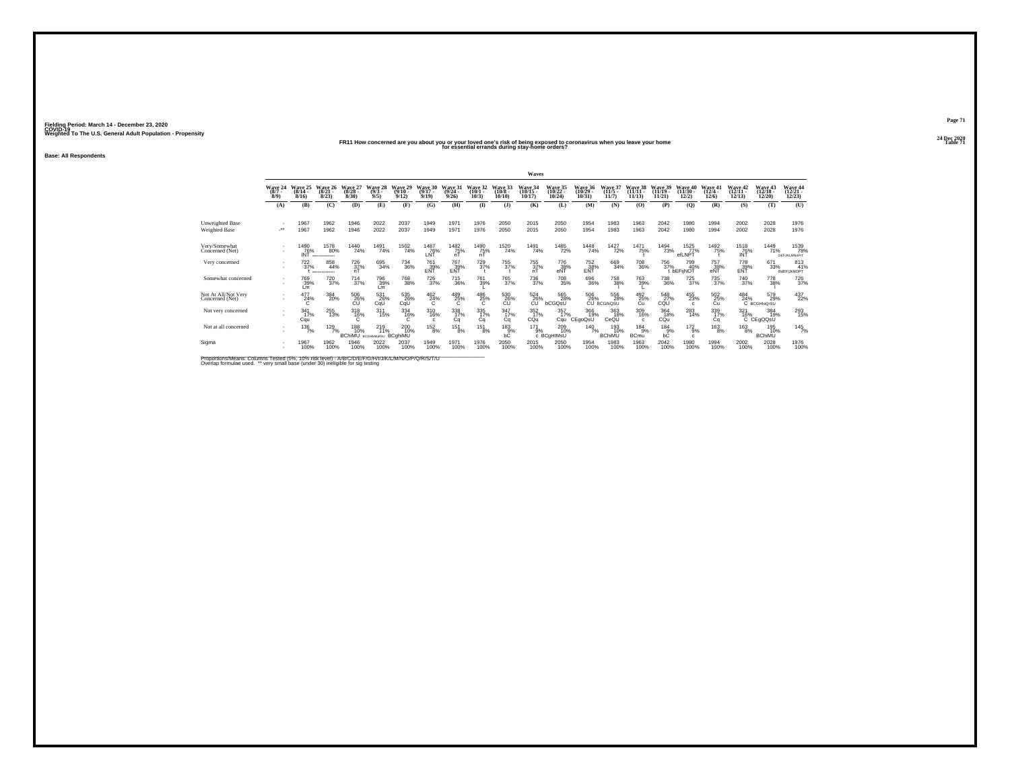#### **24 Dec 2020FR11 How concerned are you about you or your loved one's risk of being exposed to coronavirus when you leave your home Table 71 for essential errands during stay-home orders?**

**Base: All Respondents**

|                                        |                             |                              |                                                 |                                             |                            |                              |                              |                              |                              |                            | Waves                      |                                      |                                       |                             |                             |                             |                               |                              |                            |                                            |                                    |
|----------------------------------------|-----------------------------|------------------------------|-------------------------------------------------|---------------------------------------------|----------------------------|------------------------------|------------------------------|------------------------------|------------------------------|----------------------------|----------------------------|--------------------------------------|---------------------------------------|-----------------------------|-----------------------------|-----------------------------|-------------------------------|------------------------------|----------------------------|--------------------------------------------|------------------------------------|
|                                        | Wave 24<br>(8/7)<br>$8/9$ ) | Wave 25<br>$(8/14 -$<br>8/16 | <b>Wave 26</b><br>$(8/21 -$<br>8/23             | Wave 2.<br>$(8/28 -$<br>8/30                | Wave 28<br>$(9/3 -$<br>9/5 | Wave 29<br>$(9/10 -$<br>9/12 | Wave 30<br>$(9/17 -$<br>9/19 | Wave 31<br>$(9/24 -$<br>9/26 | Wave 32<br>$(10/1 -$<br>10/3 | Wave 33<br>(10/8)<br>10/10 | Wave 34<br>(10/15<br>10/17 | <b>Wave 35<br/>(10/22 -</b><br>10/24 | <b>Wave 36</b><br>$(10/29 -$<br>10/31 | Wave<br>$(11/5 -$<br>11/7   | Wave 38<br>(11/11)<br>11/13 | Wave 39<br>(11/19)<br>11/21 | Wave 40<br>$(11/30 -$<br>12/2 | Wave 41<br>$(12/4 -$<br>12/6 | Wave 42<br>12/13           | Wave 43<br>12/20                           | Wave 44<br>12/23                   |
|                                        | (A)                         | (B)                          | (C)                                             | (D)                                         | (E)                        | (F)                          | (G)                          | (H)                          | $($ I                        | $($ $\bf{J}$ )             | (K)                        | (L)                                  | (M)                                   | (N)                         | (0)                         | (P)                         | (Q)                           | (R)                          | (S)                        | (T)                                        | (U)                                |
| Unweighted Base<br>Weighted Base       | $\cdot$                     | 1967<br>1967                 | 1962<br>1962                                    | 1946<br>1946                                | 2022<br>2022               | 2037<br>2037                 | 1949<br>1949                 | 1971<br>1971                 | 1976<br>1976                 | 2050<br>2050               | 2015<br>2015               | 2050<br>2050                         | 1954<br>1954                          | 1983<br>1983                | 1963<br>1963                | 2042<br>2042                | 1980<br>1980                  | 1994<br>1994                 | 2002<br>2002               | 2028<br>2028                               | 1976<br>1976                       |
| Very/Somewhat<br>Concerned (Net)       |                             | 1490<br>76%<br>INT           | <sup>1578</sup> 80%<br><b>SCEND LIGARIZINES</b> | <sup>1440</sup> 74%                         | 1491<br>74%                | 1502<br>74%                  | <sup>1487</sup> 76%<br>LNT   | 1482<br>75%<br>nT            | <sup>1490</sup> 75%<br>nT    | 1520<br>74%                | 1491<br>74%                | <sup>1485</sup> 72%                  | 1448<br>74%                           | 1427<br>72%                 | <sup>1471</sup> 75%         | 1494<br>73%                 | 1525<br>77%<br>efLNPT         | 1492<br>75%                  | <sup>1518</sup> 76%<br>INT | 1449<br>71%                                | 1539<br>78%<br><b>DEFJKLMNoPrT</b> |
| Very concerned                         |                             | $^{722}_{37\%}$              | 858<br>44%<br><b>SCEPTHLIGHTOFREE</b>           | 726<br>37%                                  | 695<br>34%                 | 734<br>36%                   | 761<br>39%<br>EÑĨ            | <sup>767</sup> 39%<br>EÑŤ    | 729 37%                      | 755<br>37%                 | 755<br>37%<br>nT           | 776<br>38%<br>eNT                    | 752<br>38%<br>ENT                     | 669<br>34%                  | 708<br>36%                  | 756<br>37%                  | 799<br>40%<br><b>DEFINOT</b>  | 757<br>38%<br>eÑŤ            | 778<br>39%<br>EÑŤ          | 671<br>33%                                 | 813<br>41%<br>BdEFIJkNOPT          |
| Somewhat concerned                     |                             | 769<br>39%<br>Lm             | 720<br>37%                                      | $\frac{714}{37\%}$                          | 796<br>39%<br>Lm           | 768<br>38%                   | <sup>726</sup> 37%           | 715<br>36%                   | 761<br>39%                   | 765<br>37%                 | 736<br>37%                 | 708<br>35%                           | 696<br>36%                            | 758<br>38%                  | 763<br>39%                  | $^{738}_{\phantom{1}36\%}$  | 725<br>37%                    | 735<br>37%                   | 740<br>37%                 | 778<br>38%                                 | 726<br>37%                         |
| Not At All/Not Very<br>Concerned (Net) |                             | 477<br>24%                   | $\frac{384}{20\%}$                              | 506<br>26%<br>СÚ                            | 531<br>26%<br>CqU          | 535<br>26%<br>CqU            | $^{462}_{24\%}$              | $^{489}_{25\%}$              | $^{486}_{25\%}$              | 530<br>26%<br>CU           | 524<br>26%<br>CÚ           | 565<br>28%<br>bCGQsU                 | 506<br>26%                            | 556<br>28%<br>CU BCGhiQSU   | 492 %<br>Cu                 | 548<br>27%<br>CQU           | 455<br>23%<br>c.              | 502<br>25%<br>Cu             | $^{484}_{24\%}$            | 579<br>29%<br>C BCGHIOOrSU                 | 437<br>22%                         |
| Not very concerned                     |                             | 341<br>17%<br>Cqu            | 255<br>13%                                      | $^{318}_{16\%}$                             | $311$<br>$15%$             | $334$<br>16%                 | 310<br>16%                   | 338<br>17%<br>Ca             | $\frac{335}{17\%}$<br>Ca     | 347/17%<br>Cq              | $\frac{352}{17}\%$<br>CQu  | $\frac{357}{17\%}$<br>Cau            | 366<br>19%<br>CEgoQsU                 | 363<br>18%<br>CeQU          | 309<br>16%<br>c.            | 364<br>18%<br>CQu           | 283<br>14%                    | 339<br>17%<br>Сq             | 321                        | 384<br>19%<br>19 <sup>%</sup><br>C CEgOQsU | 293<br>15%                         |
| Not at all concerned                   |                             | 136<br>7%                    | $^{129}_{7\%}$                                  | 188<br>10% 11% 10%<br>BChiMU всении BCghiMU | 219                        | 200<br>10%                   | $^{152}_{8\%}$               | 151<br>8%                    | 151<br>8%                    | 183<br>9%<br>bĈ            | 171                        | 209<br>9% 10<br>C BCgHIMsU<br>10%    | 140<br>7%                             | 193<br>10%<br><b>BChiMU</b> | 184<br>9%<br><b>BCmu</b>    | 184<br>b <sup>9%</sup>      | $^{172}_{9\%}$                | $^{163}_{8\%}$               | $^{163}_{8\%}$             | 195<br>10%<br><b>BChiMU</b>                | $145$ <sub>7%</sub>                |
| Sigma                                  |                             | 1967<br>100%                 | 1962<br>100%                                    | 1946<br>100%                                | 2022<br>100%               | 2037<br>100%                 | 1949<br>100%                 | 1971<br>100%                 | 1976<br>100%                 | 2050<br>100%               | 2015<br>100%               | 2050<br>100%                         | 1954<br>100%                          | 1983<br>100%                | 1963<br>100%                | 2042<br>100%                | 1980<br>100%                  | 1994<br>100%                 | 2002<br>100%               | 2028<br>100%                               | 1976<br>100%                       |

Proportions/Means: Columns Tested (5%, 10% risk level) - A/B/C/D/E/F/G/H/I/J/K/L/M/N/O/P/Q/R/S/T/U<br>Overlap formulae used. \*\* very small base (under 30) ineligible for sig testing

**Page 7124 Dec 2020<br>Table 71**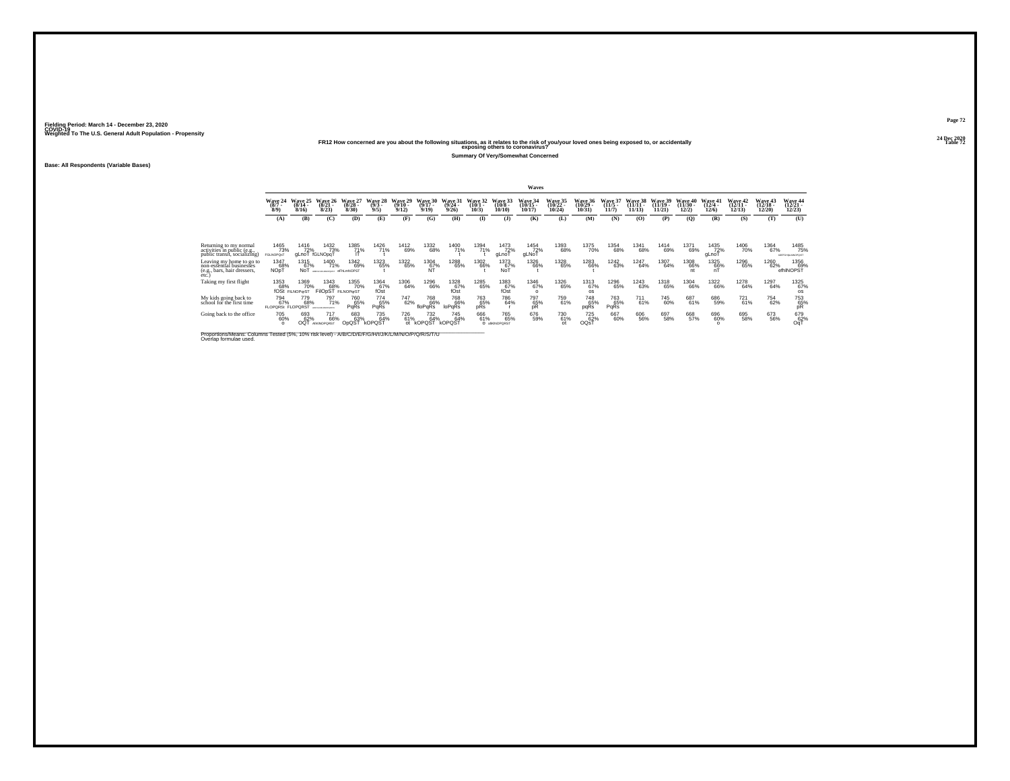#### **24 Dec 2020FR12 How concerned are you about the following situations, as it relates to the risk of you/your loved ones being exposed to, or accidentally Table 72 exposing others to coronavirus?**

**Summary Of Very/Somewhat Concerned**

**Base: All Respondents (Variable Bases)**

|                                                                                                                                                                                      |                                                         |                                              |                                                                   |                              |                             |                              |                                  |                              |                                    |                                            | Waves                               |                                    |                                |                                    |                                |                                |                                    |                                           |                                |                                |                                                             |
|--------------------------------------------------------------------------------------------------------------------------------------------------------------------------------------|---------------------------------------------------------|----------------------------------------------|-------------------------------------------------------------------|------------------------------|-----------------------------|------------------------------|----------------------------------|------------------------------|------------------------------------|--------------------------------------------|-------------------------------------|------------------------------------|--------------------------------|------------------------------------|--------------------------------|--------------------------------|------------------------------------|-------------------------------------------|--------------------------------|--------------------------------|-------------------------------------------------------------|
|                                                                                                                                                                                      | Wave 24<br>$(8/7 -$<br>8/9                              | Wave 25<br>$(8/14 -$<br>8/16                 | Wave 26<br>$(8/21 -$<br>8/23                                      | Wave 27<br>$(8/28 -$<br>8/30 | Wave 28<br>$(9/3 -$<br>9/5  | Wave 29<br>$(9/10 -$<br>9/12 | Wave 30<br>$(9/17 -$<br>9/19     | Wave 31<br>$(9/24 -$<br>9/26 | Wave 32<br>$(10/1 -$<br>10/3       | Wave 33<br>$(10/8 -$<br>10/10              | Wave 34<br>$(10/15 -$<br>10/17      | Wave 35<br>$(10/22 -$<br>$10/24$ ) | Wave 36<br>$(10/29 -$<br>10/31 | Wave 37<br>$(11/5 -$<br>11/7       | Wave 38<br>$(11/11 -$<br>11/13 | Wave 39<br>$(11/19 -$<br>11/21 | Wave 40<br>$(11/30 -$<br>12/2      | Wave 41<br>$(12/4 -$<br>12/6              | Wave 42<br>$(12/11 -$<br>12/13 | Wave 43<br>$(12/18 -$<br>12/20 | <b>Wave 44</b><br>$(12/21 -$<br>12/23                       |
|                                                                                                                                                                                      | (A)                                                     | (B)                                          | (C)                                                               | (D)                          | (E)                         | (F)                          | (G)                              | (H)                          | $\bf{D}$                           | (J)                                        | (K)                                 | (L)                                | (M)                            | (N)                                | (0)                            | (P)                            | $\mathbf{Q}$                       | (R)                                       | (S)                            | (T)                            | (U)                                                         |
| Returning to my normal<br>activities in public (e.g.,<br>public transit, socializing)<br>Leaving my home to go to<br>non-essential businesses<br>(e.g., bars, hair dressers,<br>etc. | 1465<br>73%<br>FGLNOPOsT<br><sup>1347</sup> 68%<br>NOpT | 1416<br>72%<br>gLnoT fGLNOpqT<br>1315<br>67% | 1432<br>73%<br>1400<br>71%<br>NOT ARESISSANCESED OF MAINTENANCEST | 1385<br>71%<br>1342<br>69%   | 1426<br>71%<br>1323<br>65%  | 1412<br>69%<br>1322<br>65%   | 1332<br>68%<br>1304<br>67%<br>ÑΤ | 1400<br>71%<br>1288<br>65%   | 1394<br>71%<br><sup>1302</sup> 66% | 1473<br>72%<br>gLnoT<br>1373<br>67%<br>NoT | 1454<br>72%<br>gLNoT<br>1326<br>66% | 1393<br>68%<br>1328<br>65%         | 1375<br>70%<br>1283<br>66%     | 1354<br>68%<br><sup>1242</sup> 63% | 1341<br>68%<br>1247<br>64%     | 1414<br>69%<br>1307<br>64%     | 1371<br>69%<br><sup>1308</sup> 66% | 1435<br>72%<br>gLnoT<br>1325<br>66%<br>nT | 1406<br>70%<br>1296<br>65%     | 1364<br>67%<br>1260<br>62%     | 1485<br>75%<br>SOFFGHINLMNOPQST<br>1356<br>69%<br>efhINOPST |
| Taking my first flight                                                                                                                                                               | 1353<br>68%                                             | 1369<br>70%<br>fOSt FILNOParST               | 1343<br>68%<br>FIIOpST FILNOPgrST                                 | 1355<br>70%                  | 1364<br>67%<br>fOst         | 1306<br>64%                  | 1296<br>66%                      | $^{1328}_{67\%}$<br>fOst     | <sup>1285</sup> 65%                | 1383<br>67%<br>fOst                        | 1346<br>67%<br>$\Omega$             | 1326<br>65%                        | 1313<br>67%<br><b>OS</b>       | 1296<br>65%                        | <sup>1243</sup> 63%            | 1318<br>65%                    | 1304<br>66%                        | 1322<br>66%                               | 1278<br>64%                    | 1297<br>64%                    | 1325<br>67%<br><b>OS</b>                                    |
| My kids going back to<br>school for the first time                                                                                                                                   | 794<br>67%<br><b>FLOPORSt FLOPORST</b>                  | 779<br>68%                                   | 797<br>71%<br>CEFENALMOFORES                                      | 760<br>65%<br>PaRs           | 774<br>65%<br>PqRs          | 747<br>62%                   | 768<br>66%<br>floPqRs            | 768<br>66%<br>loPqRs         | 763<br>65%<br>pRs                  | 786<br>64%                                 | 797<br>65%<br>pR                    | 759<br>61%                         | 748<br>65%<br>pqRs             | 763<br>65%<br><b>PaRs</b>          | 711<br>61%                     | 745<br>60%                     | 687<br>61%                         | 686<br>59%                                | 721<br>61%                     | 754<br>62%                     | 753<br>65%<br>pR                                            |
| Going back to the office                                                                                                                                                             | 705<br>60%<br>$\Omega$                                  | 693<br>62%<br>OQT                            | 717<br>66%<br>AIKINOPORST                                         | 683<br>63%<br>OpQST          | 735<br>64%<br><b>kOPQST</b> | 726<br>61%                   | 732<br>64%<br>ot kOPQST          | 745<br>64%<br>kOPQST         | 666<br>61%                         | 765%<br>O atkINOPORST                      | 676<br>59%                          | 730<br>61%<br>$\Omega$             | <sup>725</sup> 62%<br>OQsT     | 667<br>60%                         | 606<br>56%                     | 697<br>58%                     | 668<br>57%                         | 696<br>60%                                | 695<br>58%                     | 673<br>56%                     | 679<br>62%<br>OaT                                           |

Proportions/Means: Columns Tested (5%, 10% risk level) - *N'B/C/D/E/F/G/H/I/J/K/L/M/N/O/P/Q/R/S/T/U* Overlap formulae used.<br>Overlap formulae used.

**Page 7224 Dec 2020<br>Table 72**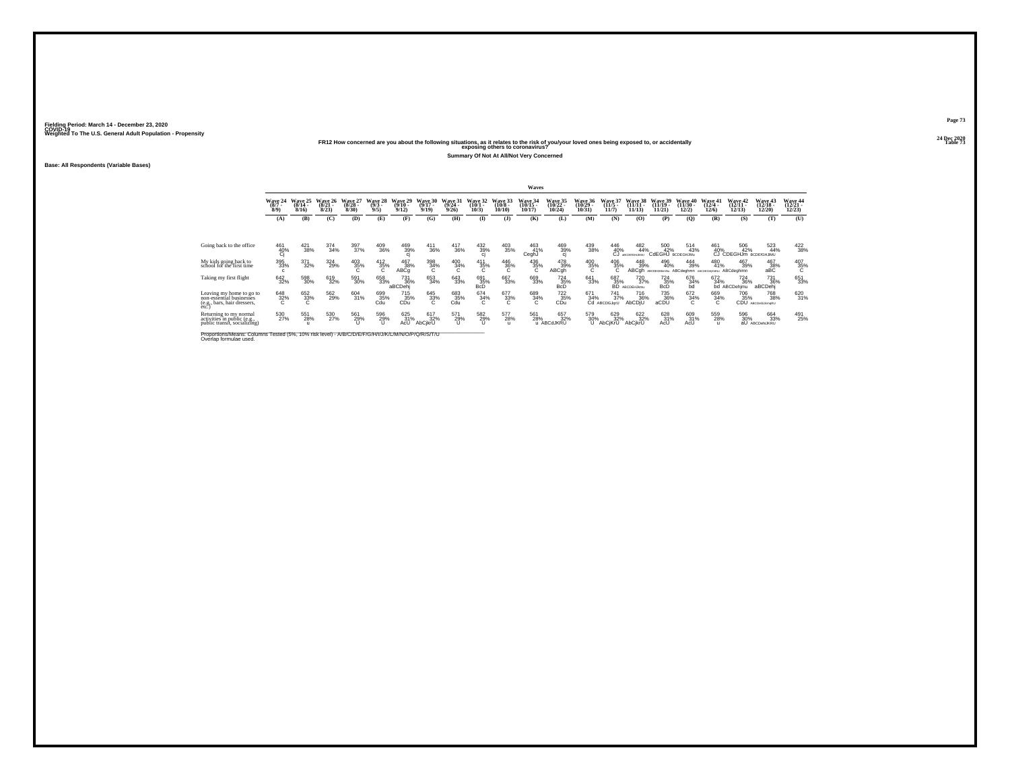# **24 Dec 2020FR12 How concerned are you about the following situations, as it relates to the risk of you/your loved ones being exposed to, or accidentally Table 73 exposing others to coronavirus?**

**Summary Of Not At All/Not Very Concerned**

**Base: All Respondents (Variable Bases)**

|                                                                                              |                              |                              |                              |                              |                                      |                                      |                              |                              |                              |                               | Waves                          |                                       |                                       |                                               |                                         |                                     |                                |                                        |                                      |                                        |                                |
|----------------------------------------------------------------------------------------------|------------------------------|------------------------------|------------------------------|------------------------------|--------------------------------------|--------------------------------------|------------------------------|------------------------------|------------------------------|-------------------------------|--------------------------------|---------------------------------------|---------------------------------------|-----------------------------------------------|-----------------------------------------|-------------------------------------|--------------------------------|----------------------------------------|--------------------------------------|----------------------------------------|--------------------------------|
|                                                                                              | Wave 24<br>$(8/7 -$<br>8/9   | Wave 25<br>$(8/14 -$<br>8/16 | Wave 26<br>$(8/21 -$<br>8/23 | Wave 27<br>$(8/28 -$<br>8/30 | <b>Wave</b><br>28<br>$(9/3 -$<br>9/5 | Wave 29<br>$(9/10 -$<br>9/12         | Wave 30<br>$(9/17 -$<br>9/19 | Wave 31<br>$(9/24 -$<br>9/26 | Wave 32<br>$(10/1 -$<br>10/3 | Wave 33<br>$(10/8 -$<br>10/10 | Wave 34<br>$(10/15 -$<br>10/17 | <b>Wave 35</b><br>$(10/22 -$<br>10/24 | <b>Wave 36</b><br>$(10/29 -$<br>10/31 | Wave 3<br>$(11/5 -$<br>11/7                   | Wave 38<br>$(11/11 -$<br>11/13          | Wave 39<br>$(11/19 -$<br>11/21      | Wave 40<br>$(11/30 -$<br>12/2) | Wave 41<br>$(12/4 -$<br>12/6           | Wave 42<br>$(12/11 -$<br>12/13       | <b>Wave 43</b><br>$(12/18 -$<br>12/20) | Wave 44<br>$(12/21 -$<br>12/23 |
|                                                                                              | (A)                          | (B)                          | (C)                          | (D)                          | (E)                                  | (F)                                  | (G)                          | <b>(H)</b>                   | $\mathbf{I}$                 | $($ $)$                       | (K)                            | (L)                                   | (M)                                   | (N)                                           | (0)                                     | (P)                                 | (0)                            | (R)                                    | (S)                                  | (T)                                    | (U)                            |
|                                                                                              |                              |                              |                              |                              |                                      |                                      |                              |                              |                              |                               |                                |                                       |                                       |                                               |                                         |                                     |                                |                                        |                                      |                                        |                                |
| Going back to the office                                                                     | 461<br>$^{40\%}_{\text{Ci}}$ | 421<br>38%                   | 374<br>34%                   | 397<br>37%                   | 409<br>36%                           | 469<br>39%                           | 411<br>36%                   | 417<br>36%                   | $\frac{432}{39\%}$<br>ci     | 403<br>35%                    | 463<br>41%<br>CeghJ            | 469<br>39%<br>ci                      | 439<br>38%                            | 446<br>40%<br>СJ                              | 482<br>44%                              | 500<br>42%<br>CdEGHJ BCDEGHJMu      | 514<br>43%                     | 461<br>40%                             | 506<br>42%<br>CJ CDEGHJm BCDEfGHJIMU | 523<br>44%                             | $\frac{422}{38\%}$             |
| My kids going back to<br>school for the first time                                           | 395<br>33%<br>c              | 371<br>32%                   | 324<br>29%                   | 403<br>35%                   | $\frac{412}{35\%}$                   | 467<br>38%<br>ABCq                   | 398<br>34%<br>c              | 40034%<br>C                  | $^{411}_{35\%}$              | 446<br>36%<br>c               | 436<br>35%<br>C                | 478<br>39%<br>ABCgh                   | 400<br>35%<br>C                       | 406<br>35%                                    | 448<br>39%<br>ABCgh                     | 496<br>40%<br>ABCDEGHkmNu ABCdeghmn | 444<br>39%                     | 480<br>41%<br><b><i>ARCORDANAI</i></b> | 467<br>39%<br>ABCdeghimn             | 467<br>38%<br>aBC                      | $^{407}_{35\%}$                |
| Taking my first flight                                                                       | $642 \choose 32\%$           | 598<br>30%                   | 619<br>32%                   | 591<br>30%                   | 658<br>33%                           | 731<br>36%<br>aBCDehj                | $\underset{34\%}{^{653}}$    | 643<br>33%                   | $^{691}_{35\%}$ BcD          | 667<br>33%                    | 669<br>33%                     | 724<br>35%<br><b>BcD</b>              | 641<br>33%                            | 687<br>35%<br>BĎ                              | 720<br>37%<br>ABCDEHJkmu                | 724<br>35%<br><b>BcD</b>            | 676<br>34%<br>bd               | 672<br>34%                             | 724<br>36%<br>bd ABCDehjmu           | 731<br>36%<br>aBCDehj                  | 651<br>33%                     |
| Leaving my home to go to<br>non-essential businesses<br>(e.g., bars, hair dressers,<br>etc.) | 648<br>32%                   | 652<br>33%<br>c.             | 562<br>29%                   | 604<br>31%                   | 699<br>35%<br>Cdu                    | <sup>715</sup> <sub>35%</sub><br>CDu | 645<br>33%<br>C              | 683<br>35%<br>Cdu            | 674<br>34%<br>C              | $\frac{677}{33}\%$<br>c       | 689<br>34%                     | 722 35%<br>CDu                        | $^{671}_{34\%}$                       | <sup>741</sup> <sub>37%</sub><br>Cd ABCDGJqrU | <sup>716</sup> <sub>36%</sub><br>AbCDjU | 735<br>36%<br>aCDU                  | 672<br>34%<br>C                | 669<br>34%                             | 706<br>35%<br>CDU                    | <sup>768</sup> 38%<br>ABCDeGülkmoRU    | 620<br>31%                     |
| Returning to my normal<br>activities in public (e.g.,<br>public transit, socializing)        | 530<br>27%                   | 551<br>28%                   | 530<br>27%                   | 561<br>29%                   | 596<br>29%<br>Ü                      | 625<br>31%<br>AcU                    | 617<br>32%<br>AbCjkrU        | 571<br>29%<br>u              | 582<br>29%<br>Ü              | 577<br>28%<br>u               | 561<br>28%                     | 657<br>32%<br>u ABCdJKRU              | 579<br>30%<br>U                       | 629<br>32%<br>AbCjKrU                         | 622 %<br>AbCikrU                        | 628<br>31%<br>AcU                   | 609<br>31%<br>AcU              | 559<br>28%<br>$\mathbf{u}$             | 596<br>30%                           | 664<br>33%<br>aU ABCDehiJKRU           | 491<br>25%                     |
|                                                                                              |                              |                              |                              |                              |                                      |                                      |                              |                              |                              |                               |                                |                                       |                                       |                                               |                                         |                                     |                                |                                        |                                      |                                        |                                |

Proportions/Means: Columns Tested (5%, 10% risk level) - *N'B/C/D/E/F/G/H/I/J/K/L/M/N/O/P/Q/R/S/T/U* Overlap formulae used.<br>Overlap formulae used.

**Page 7324 Dec 2020<br>Table 73**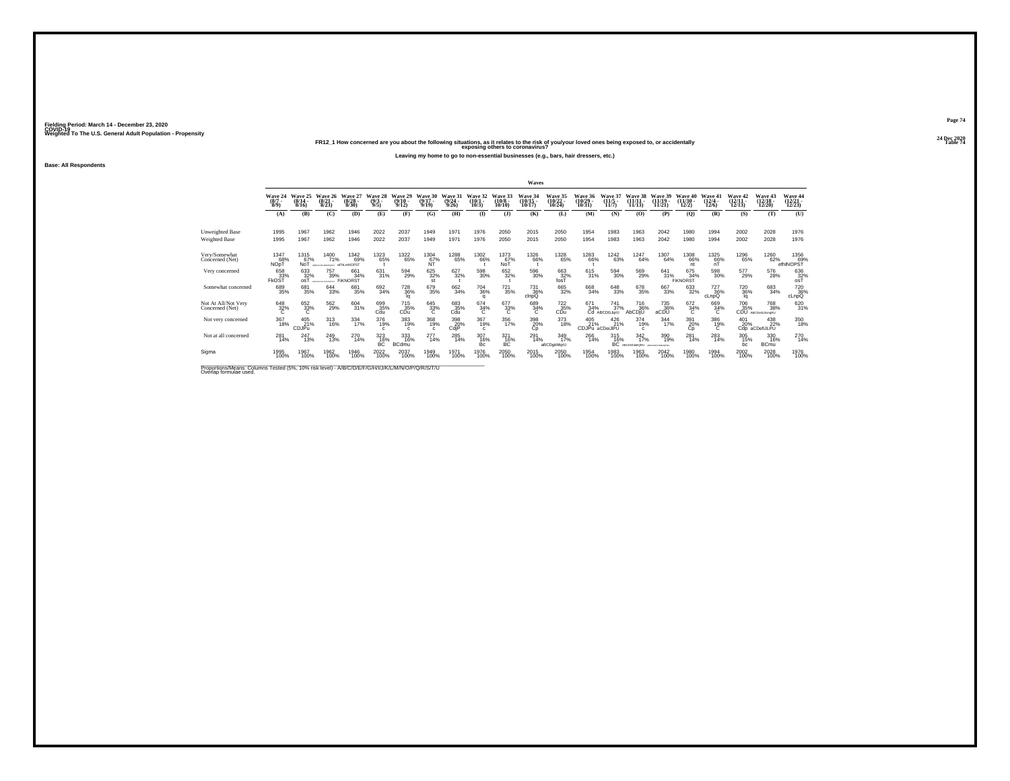#### **24 Dec 2020FR12\_1 How concerned are you about the following situations, as it relates to the risk of you/your loved ones being exposed to, or accidentally Table 74 exposing others to coronavirus?**

**Leaving my home to go to non-essential businesses (e.g., bars, hair dressers, etc.)**

**Base: All Respondents**

|                                                                                                                              |                                  |                           |                                                   |                           |                              |                                     |                                   |                              |                              |                               | Waves                                |                          |                             |                                    |                                 |                                   |                               |                                        |                                      |                                       |                              |
|------------------------------------------------------------------------------------------------------------------------------|----------------------------------|---------------------------|---------------------------------------------------|---------------------------|------------------------------|-------------------------------------|-----------------------------------|------------------------------|------------------------------|-------------------------------|--------------------------------------|--------------------------|-----------------------------|------------------------------------|---------------------------------|-----------------------------------|-------------------------------|----------------------------------------|--------------------------------------|---------------------------------------|------------------------------|
|                                                                                                                              | Wave 24<br>$(8/7 -$<br>$8/9$ )   | Wave 25<br>(8/14)<br>8/16 | Wave 26<br>$(8/21 -$<br>8/23                      | Wave 27<br>(8/28)<br>8/30 | Wave 28<br>(9/3)<br>9/5      | Wave 29<br>$(9/10 -$<br>9/12        | Wave 30<br>$(9/17 -$<br>9/19      | Wave<br>31<br>(9/24)<br>9/26 | ave 32<br>$(10/1 -$<br>10/3  | Wave 33<br>$(10/8 -$<br>10/10 | <b>Wave 34<br/>(10/15 -</b><br>10/17 | Wave 35<br>10/24         | Wave 36<br>(10/29)<br>10/31 | Wave<br>$(11/5 -$<br>11/7          | Wave 38<br>(11/1)<br>11/13      | Wave 39<br>(11/19)<br>11/21       | Wave 40<br>$(11/30 -$<br>12/2 | Wave 41<br>$(12/4 -$<br>12/6           | Wave 42<br>$(12/11 -$<br>12/13       | <b>Wave 43</b><br>$(12/18 -$<br>12/20 | Wave 44<br>(12/21 -<br>12/23 |
|                                                                                                                              | (A)                              | (B)                       | (C)                                               | (D)                       | (E)                          | (F)                                 | (G)                               | (H)                          | $\bf(I)$                     | $($ $)$                       | (K)                                  | (L)                      | (M)                         | (N)                                | (0)                             | (P)                               | (O)                           | (R)                                    | (S)                                  | (T)                                   | (U)                          |
| <b>Unweighted Base</b><br><b>Weighted Base</b>                                                                               | 1995<br>1995                     | 1967<br>1967              | 1962<br>1962                                      | 1946<br>1946              | 2022<br>2022                 | 2037<br>2037                        | 1949<br>1949                      | 1971<br>1971                 | 1976<br>1976                 | 2050<br>2050                  | 2015<br>2015                         | 2050<br>2050             | 1954<br>1954                | 1983<br>1983                       | 1963<br>1963                    | 2042<br>2042                      | 1980<br>1980                  | 1994<br>1994                           | 2002<br>2002                         | 2028<br>2028                          | 1976<br>1976                 |
| Very/Somewhat<br>Concerned (Net)                                                                                             | 1347<br>68%<br>NOpT              | 1315<br>67%<br>NoT        | <sup>1400</sup> 71%<br>METOMAMOROSIT @FINLMINOPST | <sup>1342</sup> 69%       | 1323<br>65%                  | <sup>1322</sup> 65%                 | $^{1304}_{67\%}$                  | 1288<br>65%                  | 1302<br>66%                  | 1373<br>67%<br>Not            | <sup>1326</sup> 66%                  | 1328<br>65%              | 1283<br>66%                 | <sup>1242</sup> 63%                | 1247<br>64%                     | 1307<br>64%                       | 1308<br>66%<br>nt             | 1325<br>66%<br>nT                      | 1296<br>65%                          | 1260 62%                              | 1356<br>69%<br>efhINOPST     |
| Very concerned                                                                                                               | 658<br>33%<br><b>FkOST</b>       | 633<br>32%<br>osT         | 757<br>39%<br>ABDREDHUNLIANOPORETA                | 661<br>34%<br>FIKNORST    | 631<br>31%                   | 594<br>29%                          | 625<br>32%<br>st                  | 627<br>32%                   | 598<br>30%                   | 652<br>32%                    | 596<br>30%                           | 663<br>32%<br>fosT       | 615<br>31%                  | 594<br>30%                         | 569<br>29%                      | 641<br>31%                        | 675<br>34%<br><b>FIKNORST</b> | 598<br>30%                             | 577<br>29%                           | 576<br>28%                            | 636<br>$rac{32}{65}$         |
| Somewhat concerned                                                                                                           | 689<br>35%                       | 681<br>35%                | 644<br>33%                                        | 681<br>35%                | $692 \atop 34\%$             | <sup>728</sup> <sub>36%</sub><br>la | 679<br>35%                        | 662<br>34%                   | <sup>704</sup> 36%<br>o      | $^{721}_{35\%}$               | 731<br>36%<br>cinpQ                  | 665<br>32%               | 668<br>34%                  | $^{648}_{33\%}$                    | 678<br>35%                      | 667<br>33%                        | 633<br>32%                    | <sup>727</sup> <sub>36%</sub><br>cLnpQ | <sup>720</sup> <sub>36%</sub><br>la. | 683<br>34%                            | 720 36%<br>cLnpQ             |
| Not At All/Not Very<br>Concerned (Net)                                                                                       | $\overset{648}{\phantom{1}32\%}$ | 652<br>33%                | $^{562}_{29\%}$                                   | 604<br>31%                | 699<br>35%<br>Cdu            | 715<br>35%<br>CDu                   | $\overset{645}{\phantom{1}33\%}}$ | 683<br>35%<br>Cdu            | $^{674}_{34\%}$              | 677<br>33%<br>C               | 689<br>34%                           | 722 35%<br>CĎŭ           | 671<br>34%                  | $\frac{741}{37\%}$<br>Cd ABCDGJgrU | 716<br>36%<br>AbCDjU            | 735<br>36%<br>aCDU                | $672 \atop 34\%$<br>C         | 669<br>34%                             | 706<br>35%<br><b>CDU</b>             | 768<br>38%<br>ABCDeGülkmoRU           | 620 31%                      |
| Not very concerned                                                                                                           | 367<br>18%                       | 405<br>21%<br>CDJPu       | 313<br>16%                                        | 334<br>17%                | 376<br>19%<br>$\mathfrak{c}$ | 383<br>19%<br>$\mathfrak{c}$        | 368<br>19%<br>$\mathbf{c}$        | 398<br>20%<br>CdiP           | 367<br>19%<br>$\mathfrak{c}$ | 356<br>17%                    | 398<br>20%<br>Сo                     | 373<br>18%               | 405<br>21%                  | 426<br>21%<br>CDJPu aCDeiJIPU      | 374<br>19%<br>c                 | 344<br>17%                        | 391<br>$\frac{20\%}{Cp}$      | 386<br>19%                             | 401<br>20%<br>CdD                    | 438<br>22%<br>aCDefiJLPU              | 350<br>18%                   |
| Not at all concerned                                                                                                         | 281<br>14%                       | 247<br>13%                | <sup>249</sup> <sub>13%</sub>                     | 270<br>14%                | 323<br>16%<br>BC             | 333<br>16%<br><b>BCdmu</b>          | 277<br>14%                        | $^{285}_{14\%}$              | 307<br>16%<br>Bc             | $321$<br>16%<br><b>BC</b>     | 291<br>14%                           | 349<br>17%<br>aBCDgkMgrU | 266<br>14%                  | 315<br>16%<br><b>BC</b>            | $\frac{342}{17\%}$<br>UROMAH202 | 390<br>19%<br><b>CO-LIAN CREA</b> | $^{281}_{14\%}$               | 283<br>14%                             | 305<br>15%<br>bc                     | 330<br>16%<br><b>BCmu</b>             | 270<br>14%                   |
| Sigma                                                                                                                        | 1995<br>100%                     | 1967<br>100%              | 1962<br>100%                                      | 1946<br>100%              | 2022<br>100%                 | 2037<br>100%                        | 1949<br>100%                      | 1971<br>100%                 | 1976<br>100%                 | 2050<br>100%                  | 2015<br>100%                         | 2050<br>100%             | 1954<br>100%                | 1983<br>100%                       | 1963<br>100%                    | 2042<br>100%                      | 1980<br>100%                  | 1994<br>100%                           | 2002<br>100%                         | 2028<br>100%                          | 1976<br>100%                 |
| Proportions/Means: Columns Tested (5%, 10% risk level) - A/B/C/D/E/F/G/H/I/J/K/L/M/N/O/P/Q/R/S/T/U<br>Overlap formulae used. |                                  |                           |                                                   |                           |                              |                                     |                                   |                              |                              |                               |                                      |                          |                             |                                    |                                 |                                   |                               |                                        |                                      |                                       |                              |

**Page 74**24 Dec 2020<br>Table 74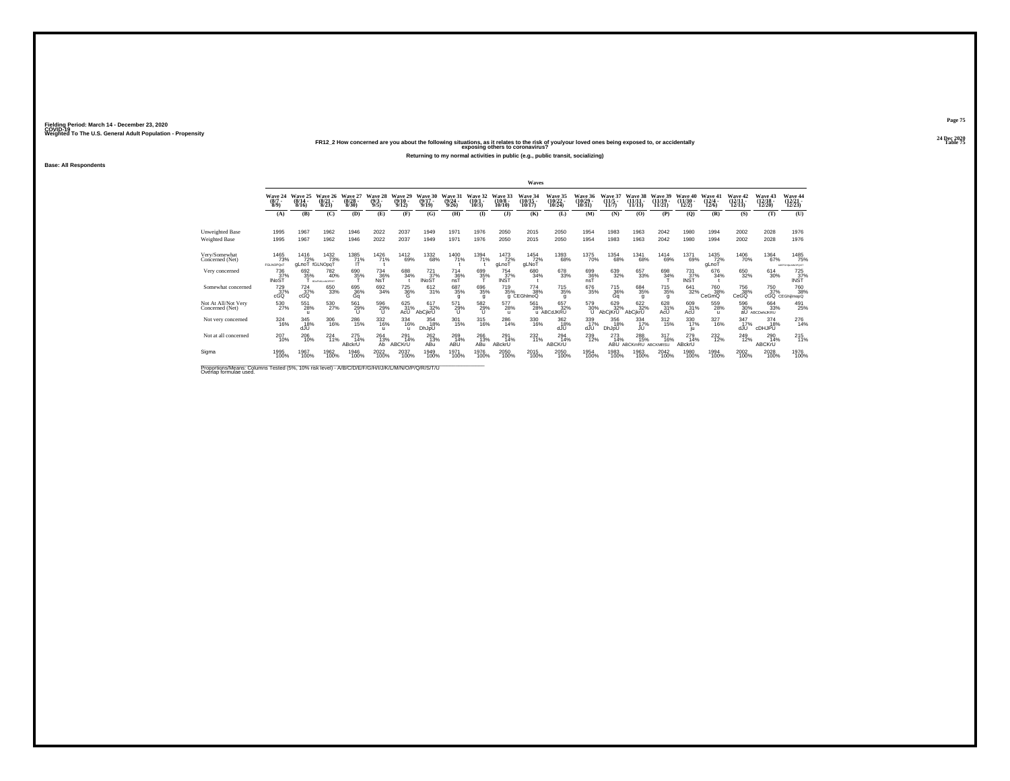#### **24 Dec 2020FR12\_2 How concerned are you about the following situations, as it relates to the risk of you/your loved ones being exposed to, or accidentally Table 75 exposing others to coronavirus?**

**Returning to my normal activities in public (e.g., public transit, socializing)**

**Base: All Respondents**

|                                                                                                                             |                                      |                              |                               |                           |                            |                              |                              |                              |                               |                               | Waves                          |                                  |                               |                                     |                                |                                |                                       |                              |                            |                                |                                       |
|-----------------------------------------------------------------------------------------------------------------------------|--------------------------------------|------------------------------|-------------------------------|---------------------------|----------------------------|------------------------------|------------------------------|------------------------------|-------------------------------|-------------------------------|--------------------------------|----------------------------------|-------------------------------|-------------------------------------|--------------------------------|--------------------------------|---------------------------------------|------------------------------|----------------------------|--------------------------------|---------------------------------------|
|                                                                                                                             | Wave 24<br>(8/7)<br>8/9              | Wave 25<br>$(8/14 -$<br>8/16 | Wave 26<br>(8/21)<br>8/23     | Wave 27<br>(8/28)<br>8/30 | Wave 28<br>$(9/3 -$<br>9/5 | Wave 29<br>$(9/10 -$<br>9/12 | Wave 30<br>$(9/17 -$<br>9/19 | Wave 31<br>$(9/24 -$<br>9/26 | Wave 32<br>$(10/1 -$<br>10/3) | Wave 33<br>$(10/8 -$<br>10/10 | Wave 34<br>$(10/15 -$<br>10/17 | Wave 35<br>$(10/22 -$<br>10/24   | Wave 36<br>(10/29)<br>10/31   | Wave 37<br>$(11/5 -$<br>11/7        | Wave<br>$(11/11 -$<br>11/13    | Wave 39<br>$(11/19 -$<br>11/21 | <b>Wave 40</b><br>$(11/30 -$<br>12/2) | Wave 41<br>$(12/4 -$<br>12/6 | Wave 42<br>(12/11<br>12/13 | Wave 43<br>$(12/18 -$<br>12/20 | Wave 44<br>$(12/21 -$<br>12/23        |
|                                                                                                                             | (A)                                  | (B)                          | (C)                           | (D)                       | (E)                        | (F)                          | (G)                          | (H)                          | $($ $\Gamma$                  | $($ $\bf{J}$ )                | (K)                            | (L)                              | (M)                           | (N)                                 | (0)                            | (P)                            | (Q)                                   | (R)                          | (S)                        | (T)                            | (U)                                   |
| Unweighted Base                                                                                                             | 1995                                 | 1967                         | 1962                          | 1946                      | 2022                       | 2037                         | 1949                         | 1971                         | 1976                          | 2050                          | 2015                           | 2050                             | 1954                          | 1983                                | 1963                           | 2042                           | 1980                                  | 1994                         | 2002                       | 2028                           | 1976                                  |
| Weighted Base                                                                                                               | 1995                                 | 1967                         | 1962                          | 1946                      | 2022                       | 2037                         | 1949                         | 1971                         | 1976                          | 2050                          | 2015                           | 2050                             | 1954                          | 1983                                | 1963                           | 2042                           | 1980                                  | 1994                         | 2002                       | 2028                           | 1976                                  |
| Very/Somewhat<br>Concerned (Net)                                                                                            | 1465<br>73%<br>FGLNOPOsT             | 1416<br>72%<br>aLnoT         | 1432<br>73%<br>fGLNOpqT       | 1385<br>71%<br>ш          | 1426<br>71%                | <sup>1412</sup> 69%          | <sup>1332</sup> 68%          | 1400<br>71%                  | <sup>1394</sup> 71%           | 1473<br>72%<br>gLnoT          | 1454<br>72%<br>gLNoT           | 1393<br>68%                      | <sup>1375</sup> 70%           | <sup>1354</sup> 68%                 | 1341<br>68%                    | <sup>1414</sup> 69%            | <sup>1371</sup> 69%                   | 1435<br>72%<br>gLnoT         | 1406<br>70%                | 1364<br>67%                    | 1485<br>75%<br>SOFFGHINLMNOPOST       |
| Very concerned                                                                                                              | 736<br>37%<br><b>INoST</b>           | 692<br>35%                   | 782<br>40%<br>BDAFNIKLANDPRST | 690<br>35%                | 734<br>36%<br>NsT          | 688<br>34%                   | 721<br>$\frac{37}{37}$       | 714<br>36%<br>nsT            | 699<br>35%                    | 754<br>$\overline{37\%}$      | 680<br>34%                     | 678<br>33%                       | 699<br>36%                    | 639<br>32%                          | 657<br>33%                     | 698<br>34%                     | 731<br>$\frac{37}{18}$                | 676<br>34%                   | 650<br>32%                 | 614<br>30%                     | 725<br>$\overline{37\%}$              |
| Somewhat concerned                                                                                                          | <sup>729</sup> <sub>37%</sub><br>cGQ | $^{724}_{37\%}$<br>cGQ       | 650<br>33%                    | 695<br>36%<br>Gq          | 692<br>34%                 | <sup>725</sup> 36%<br>G      | 612/31%                      | 687<br>35%                   | $^{696}_{35\%}$<br>q          | 719<br>35%<br>g               | $^{774}_{38\%}$<br>CEGhlmoQ    | $\substack{715 \\ 35\%}$<br>a    | 676<br>35%                    | <sup>715</sup> <sub>36%</sub><br>Ga | 684<br>35%<br>g                | 715<br>35%<br>g                | 641<br>32%                            | <sup>760</sup> 38%<br>CeGmQ  | 756<br>38%<br>CeGQ         | <sup>750</sup> <sub>37%</sub>  | <sup>760</sup> 38%<br>cGQ CEGhijlmopQ |
| Not At All/Not Very<br>Concerned (Net)                                                                                      | 530<br>27%                           | 551<br>28%                   | 530<br>27%                    | 561<br>29%                | $^{596}_{29\%}$            | 625<br>31%<br>AcU            | 617<br>32%<br>AbCikrU        | 571<br>29%                   | $^{582}_{29\%}$               | 577<br>28%<br>$\mathbf{u}$    | 561<br>28%                     | 657<br>32%<br>u ABCdJKRU         | 579<br>30%<br>U               | 629 32%<br>AbCjKrU                  | 622%<br>AbCikrU                | 628<br>31%<br>AcU              | 609<br>31%<br>AcU                     | 559<br>28%<br>$\mathbf{u}$   | 596<br>30%<br>aŪ           | 664<br>33%<br>ABCDehiJKRU      | 491<br>25%                            |
| Not very concerned                                                                                                          | 324<br>16%                           | 345<br>18%<br>dJU            | 306<br>16%                    | 286<br>15%                | 332<br>16%<br>$\mathbf{u}$ | 334<br>16%                   | 354<br>18%<br>DhJpU          | 301<br>15%                   | 315<br>16%                    | 286<br>14%                    | 330<br>16%                     | 362<br>18%<br>dJU                | 339<br>17%<br>dJU             | 356<br>18%<br>DhJpU                 | 334<br>17%<br>JU               | 312<br>15%                     | 330<br>17%<br>ΙU                      | 327<br>16%                   | 347<br>17%<br>dJÙ          | 374<br>18%<br>CDHJPU           | $^{276}_{14\%}$                       |
| Not at all concerned                                                                                                        | 207<br>10%                           | 206<br>10%                   | $^{224}_{11\%}$               | 275<br>14%<br>ABckrU      | 264<br>13%<br>Ab           | 291<br>14%<br>ABCKrU         | $^{262}_{13\%}$<br>ABu       | 269<br>14%<br>ABU            | $^{266}_{13\%}$<br>ABu        | 291<br>14%<br>ABckrU          | $^{232}_{11\%}$                | $^{294}_{14\%}$<br><b>ABCKrU</b> | <sup>239</sup> <sub>12%</sub> | 273<br>14%<br>ABU                   | 288<br>15%<br>ABCKmRU ABCKMRSU | $^{317}_{16\%}$                | 279<br>14%<br>ABckrU                  | 232%                         | $^{249}_{12\%}$            | 290<br>14%<br><b>ABCKrU</b>    | $^{215}_{11\%}$                       |
| Sigma                                                                                                                       | 1995<br>100%                         | 1967<br>100%                 | 1962<br>100%                  | 1946<br>100%              | 2022<br>100%               | 2037<br>100%                 | 1949<br>100%                 | 1971<br>100%                 | 1976<br>100%                  | 2050<br>100%                  | 2015<br>100%                   | 2050<br>100%                     | 1954<br>100%                  | 1983<br>100%                        | 1963<br>100%                   | 2042<br>100%                   | 1980<br>100%                          | 1994<br>100%                 | 2002<br>100%               | 2028<br>100%                   | 1976<br>100%                          |
| Proportions/Means: Columns Tested (5%, 10% risk level) - A/B/C/D/E/F/G/H/I/J/K/L/M/N/O/P/Q/R/S/T/U<br>Overlap formulae used |                                      |                              |                               |                           |                            |                              |                              |                              |                               |                               |                                |                                  |                               |                                     |                                |                                |                                       |                              |                            |                                |                                       |

**Page 75**24 Dec 2020<br>Table 75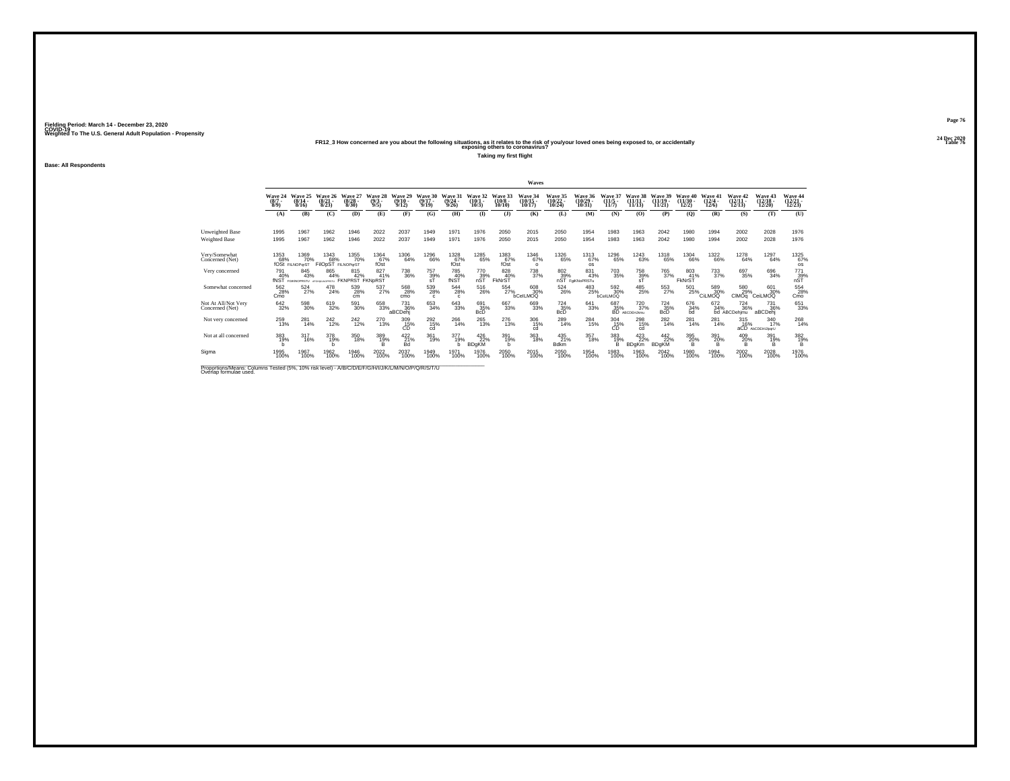#### **24 Dec 2020FR12\_3 How concerned are you about the following situations, as it relates to the risk of you/your loved ones being exposed to, or accidentally Table 76 exposing others to coronavirus?**

**Taking my first flight**

**Base: All Respondents**

|                                                                                                                             |                                |                                          |                                  |                              |                                |                              |                              |                              |                                      |                               | Waves                          |                                           |                                        |                               |                                             |                                 |                                |                              |                                    |                                    |                                                                       |
|-----------------------------------------------------------------------------------------------------------------------------|--------------------------------|------------------------------------------|----------------------------------|------------------------------|--------------------------------|------------------------------|------------------------------|------------------------------|--------------------------------------|-------------------------------|--------------------------------|-------------------------------------------|----------------------------------------|-------------------------------|---------------------------------------------|---------------------------------|--------------------------------|------------------------------|------------------------------------|------------------------------------|-----------------------------------------------------------------------|
|                                                                                                                             | Wave 24<br>$(8/7 -$<br>$8/9$ ) | Wave 25<br>$(8/14 -$<br>8/16             | Wave 26<br>$\binom{8/21}{8/23}$  | Wave 27<br>(8/28.<br>8/30    | Wave 28<br>$\frac{(9/3)}{9/5}$ | Wave 29<br>$(9/10 -$<br>9/12 | Wave 30<br>$(9/17 -$<br>9/19 | Wave 31<br>(9/24)<br>9/26    | Wave 32<br>$(10/1 -$<br>10/3         | Wave 33<br>$(10/8 -$<br>10/10 | Wave 34<br>$(10/15 -$<br>10/17 | <b>Wave 35</b><br>$\frac{(10/22)}{10/24}$ | Wave 36<br>$(10/29 -$<br>10/31         | Wave 37<br>(11/5)<br>11/7     | Wave 38<br>$(11/11 -$<br>11/13              | Wave 39<br>$(11/19 -$<br>11/21  | Wave 40<br>$(11/30 -$<br>12/2) | Wave 41<br>$(12/4 -$<br>12/6 | Wave 42<br>$\frac{(12/11)}{12/13}$ | Wave 43<br>$\frac{(12/18)}{12/20}$ | Wave 44<br>$\frac{(12/21)}{12/23}$                                    |
|                                                                                                                             | (A)                            | (B)                                      | (C)                              | (D)                          | (E)                            | (F)                          | (G)                          | (H)                          | $\bf{D}$                             | (J)                           | (K)                            | (L)                                       | (M)                                    | (N)                           | (O)                                         | (P)                             | (Q)                            | (R)                          | (S)                                | (T)                                | (U)                                                                   |
| Unweighted Base<br>Weighted Base                                                                                            | 1995<br>1995                   | 1967<br>1967                             | 1962<br>1962                     | 1946<br>1946                 | 2022<br>2022                   | 2037<br>2037                 | 1949<br>1949                 | 1971<br>1971                 | 1976<br>1976                         | 2050<br>2050                  | 2015<br>2015                   | 2050<br>2050                              | 1954<br>1954                           | 1983<br>1983                  | 1963<br>1963                                | 2042<br>2042                    | 1980<br>1980                   | 1994<br>1994                 | 2002<br>2002                       | 2028<br>2028                       | 1976<br>1976                                                          |
| Very/Somewhat<br>Concerned (Net)                                                                                            | 1353<br>68%                    | 1369<br>70%<br>fOSt FILNOParST           | 1343<br>68%                      | 1355<br>70%                  | 1364<br>67%<br>fOst            | 1306<br>64%                  | <sup>1296</sup> 66%          | 1328<br>67%<br>fOst          | 1285<br>65%                          | 1383<br>67%<br>fOst           | <sup>1346</sup> 67%            | <sup>1326</sup> 65%                       | 1313<br>67%                            | 1296<br>65%                   | <sup>1243</sup> 63%                         | 1318<br>65%                     | <sup>1304</sup> 66%            | <sup>1322</sup> 66%          | 1278<br>64%                        | 1297<br>64%                        | 1325<br>67%                                                           |
| Very concerned                                                                                                              | 791<br>40%<br>fNST             | 845<br>43%<br>FGIKNOPRSTU AFGHIKLNOPRSTU | FilOpST FILNOPgrST<br>865<br>44% | 815<br>42%<br><b>FKNPRST</b> | 827<br>41%<br>FKNpRST          | 738<br>36%                   | 757<br>39%                   | 785<br>40%<br>fNST           | 770<br>nST                           | 828<br>40%<br>FkNrST          | $\circ$<br>738<br>37%          | 802<br>nST                                | <b>OS</b><br>831<br>43%<br>FaiKNoPRSTu | $\substack{703 \\ 35\%}$      | 758<br>$\frac{39}{51}$ %                    | 765<br>37%                      | 803<br>41%<br>FkNrST           | 733<br>37%                   | 697<br>35%                         | 696<br>34%                         | <b>OS</b><br>$\begin{array}{c} 771 \\ 39\% \\ \text{nST} \end{array}$ |
| Somewhat concerned                                                                                                          | 562<br>28%<br>Cmo              | 524<br>27%                               | 478<br>24%                       | 539<br>28%<br>cm             | 537<br>27%                     | 568<br>28%<br>cmo            | 539<br>28%<br>$\Omega$       | 544<br>28%<br>$\mathfrak{c}$ | 516<br>26%                           | 554<br>27%                    | 608<br>30%<br>bCelLMOQ         | <sup>524</sup> <sub>26%</sub>             | 483<br>25%                             | 592 30%<br>bCelLMOQ           | 485<br>25%                                  | 553<br>27%                      | 501<br>25%                     | 589<br>30%<br>CiLMOQ         | 580<br>29%<br><b>CIMOa</b>         | 601<br>30%<br>CeiLMOQ              | 554<br>28%<br>Cmo                                                     |
| Not At All/Not Very<br>Concerned (Net)                                                                                      | $642_{32\%}$                   | 598<br>30%                               | 619<br>32%                       | 591<br>30%                   | 658<br>33%                     | 731<br>36%<br>aBCDeh         | 653<br>34%                   | 643<br>33%                   | 691<br>35%<br><b>B</b> <sub>cD</sub> | 667<br>33%                    | 669<br>33%                     | $^{724}_{35\%}$<br><b>BcD</b>             | 641<br>33%                             | $^{687}_{35\%}_{\rm BD}$      | <sup>720</sup> <sub>37%</sub><br>ABCDEHJkmu | $^{724}_{35\%}$<br><b>BcD</b>   | 676<br>34%<br>bd               | 672<br>34%                   | <sup>724</sup> 36%<br>bd ABCDehimu | 731<br>36%<br>aBCDehj              | 651<br>33%                                                            |
| Not very concerned                                                                                                          | 259<br>13%                     | 281<br>14%                               | 242<br>12%                       | 242<br>12%                   | 270<br>13%                     | 309<br>15%<br>CD             | 292<br>15%<br>cd             | 266<br>14%                   | 265<br>13%                           | 276<br>13%                    | 306<br>15%<br>cd               | 289<br>14%                                | 284<br>15%                             | 304<br>$\overline{CD}^{15\%}$ | 298<br>15%<br>cd                            | 282<br>14%                      | 281<br>14%                     | 281<br>14%                   | 315<br>16%                         | 340<br>17%<br>aCD AbCDEHIJIpgrU    | 268<br>14%                                                            |
| Not at all concerned                                                                                                        | 383<br>19%<br>h                | 317<br>16%                               | 378<br>19%                       | 350<br>18%                   | 389<br>19%<br>B                | $422$ <sub>21%</sub><br>Bd   | 361<br>19%                   | 377<br>19%                   | 426<br>22%<br><b>BDgKM</b>           | 391<br>19%<br>h               | 363<br>18%                     | 435<br>21%<br><b>Bdkm</b>                 | 357<br>18%                             | 383<br>19%<br>B               | 423<br><b>BDgKm</b>                         | $^{442}_{22\%}$<br><b>BDgKM</b> | 395<br>20%<br>B.               | 391<br>20%<br>B              | 409<br>20%<br>B                    | 391<br>19%<br>B.                   | 382%<br>B                                                             |
| Sigma                                                                                                                       | 1995<br>100%                   | 1967<br>100%                             | 1962<br>100%                     | 1946<br>100%                 | 2022<br>100%                   | 2037<br>100%                 | 1949<br>100%                 | 1971<br>100%                 | 1976<br>100%                         | 2050<br>100%                  | 2015<br>100%                   | 2050<br>100%                              | 1954<br>100%                           | 1983<br>100%                  | 1963<br>100%                                | 2042<br>100%                    | 1980<br>100%                   | 1994<br>100%                 | 2002<br>100%                       | 2028<br>100%                       | 1976<br>100%                                                          |
| Proportions/Means: Columns Tested (5%, 10% risk level) - A/B/C/D/E/F/G/H/I/J/K/L/M/N/O/P/Q/R/S/T/U<br>Overlap formulae used |                                |                                          |                                  |                              |                                |                              |                              |                              |                                      |                               |                                |                                           |                                        |                               |                                             |                                 |                                |                              |                                    |                                    |                                                                       |

**Page 76**24 Dec 2020<br>Table 76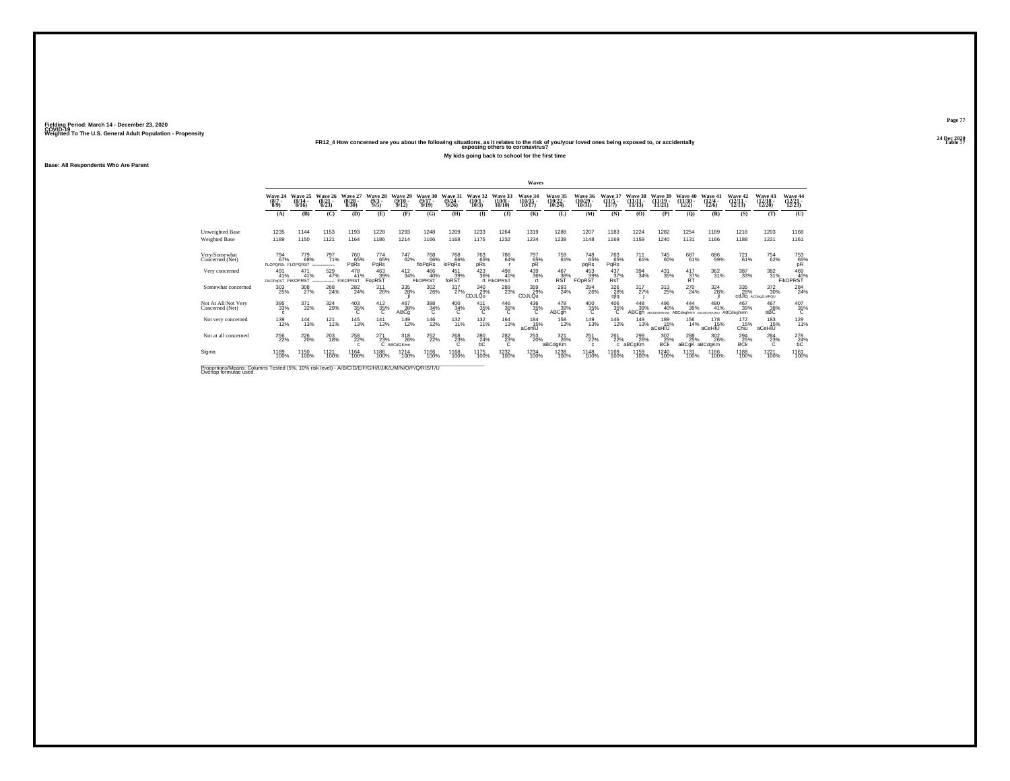#### **24 Dec 2020FR12\_4 How concerned are you about the following situations, as it relates to the risk of you/your loved ones being exposed to, or accidentally Table 77 exposing others to coronavirus?**

**My kids going back to school for the first time**

**Base: All Respondents Who Are Parent**

|                                                                                               |                                         |                              |                                                     |                                     |                            |                              |                                     |                              |                              |                               | Waves                      |                            |                               |                              |                        |                                |                                              |                                    |                                             |                                       |                          |
|-----------------------------------------------------------------------------------------------|-----------------------------------------|------------------------------|-----------------------------------------------------|-------------------------------------|----------------------------|------------------------------|-------------------------------------|------------------------------|------------------------------|-------------------------------|----------------------------|----------------------------|-------------------------------|------------------------------|------------------------|--------------------------------|----------------------------------------------|------------------------------------|---------------------------------------------|---------------------------------------|--------------------------|
|                                                                                               | Wave 24<br>$8/9$ )                      | Wave 25<br>$(8/14 -$<br>8/16 | $(8/21 -$<br>8/23                                   | Wave 2<br>$(8/28 -$<br>8/30         | Wave 28<br>$(9/3 -$<br>9/5 | Wave 29<br>$(9/10 -$<br>9/12 | <b>Wave 30</b><br>$(9/17 -$<br>9/19 | Wave 31<br>$(9/24 -$<br>9/26 | Wave 32<br>$(10/1 -$<br>10/3 | Wave 33<br>$(10/8 -$<br>10/10 | Wave 34<br>(10/15<br>10/17 | Wave 35<br>(10/22<br>10/24 | Wave 36<br>(10/29 -<br>10/31  | Wave 37<br>$(11/5 -$<br>11/7 | $(11/11 -$<br>11/13    | Wave 39<br>$(11/19 -$<br>11/21 | Wave 40<br>$(11/30 -$<br>12/2)               | Wave 41<br>$(12/4 -$<br>12/6       | Wave 42<br>(12/11 -<br>12/13)               | <b>Wave 43</b><br>$(12/18 -$<br>12/20 | Wave 44<br>12/23         |
|                                                                                               | (A)                                     | (B)                          | (C)                                                 | (D)                                 | (E)                        | (F)                          | (G)                                 | (H)                          | $($ I                        | $($ $)$                       | (K)                        | (L)                        | (M)                           | (N)                          | (O)                    | (P)                            | (Q)                                          | (R)                                | (S)                                         | (T)                                   | (U)                      |
| Unweighted Base                                                                               | 1235                                    | 1144                         | 1153                                                | 1193                                | 1228                       | 1293                         | 1248                                | 1209                         | 1233                         | 1264                          | 1319                       | 1288                       | 1207                          | 1183                         | 1224                   | 1282                           | 1254                                         | 1189                               | 1218                                        | 1203                                  | 1168                     |
| Weighted Base                                                                                 | 1189                                    | 1150                         | 1121                                                | 1164                                | 1186                       | 1214                         | 1166                                | 1168                         | 1175                         | 1232                          | 1234                       | 1238                       | 1148                          | 1169                         | 1159                   | 1240                           | 1131                                         | 1166                               | 1188                                        | 1221                                  | 1161                     |
| Very/Somewhat<br>Concerned (Net)                                                              | 794<br>67%<br><b>FLOPORSt FLOPORST</b>  | 779<br>68%                   | 797<br>71%<br>CEFENALMOFORES                        | 760<br>65%<br>PqRs                  | 774<br>65%<br>PqRs         | 747<br>62%                   | <sup>768</sup> 66%<br>floPaRs       | 768<br>66%<br>loPaRs         | 763<br>65%<br>pRs            | 786<br>64%                    | 797<br>65%<br><b>DR</b>    | 759<br>61%                 | 748<br>65%<br>pqRs            | 763<br>65%<br>PqRs           | 711<br>61%             | 745<br>60%                     | 687<br>61%                                   | 686<br>59%                         | 721%                                        | <sup>754</sup> 62%                    | 753<br>65%<br>pR         |
| Very concerned                                                                                | 491<br>41%<br><b>FIKOPGRST FIKOPRST</b> | 471<br>41%                   | 529<br>47%<br><b><i>ARCHEOLOGICAL MACHINEST</i></b> | 478<br>41%<br><b>FIKOPRST</b>       | 463<br>39%<br>FopRST       | 412<br>34%                   | 466<br>40%<br>FKOPRST               | 451<br>39%<br>foRST          | $\substack{423 \\ 36\%}$     | 498<br>40%<br>rt FikOPRST     | 439<br>36%                 | 467<br>RST                 | 453<br>39%<br>FOpRST          | 437<br>37%<br>RsT            | 394<br>34%             | 431<br>35%                     | $^{417}_{\substack{37\%\\ \scriptstyle RT}}$ | 362<br>31%                         | 387<br>33%                                  |                                       | 382<br>31%<br>FikOPRST   |
| Somewhat concerned                                                                            | 303<br>25%                              | 308<br>27%                   | 268<br>24%                                          | 282<br>24%                          | 311<br>26%                 | 335<br>28%                   | $^{302}_{\,26\%}$                   | $^{317}_{27\%}$              | 340<br>29%<br>CDJLQu         | 289<br>23%                    | 359<br>29%<br>CDJLQu       | $^{293}_{24\%}$            | <sup>294</sup> <sub>26%</sub> | 326<br>28%<br>cjlq           | $^{317}_{27\%}$        | 313<br>25%                     | 270<br>24%                                   | $\frac{324}{28\%}$                 | 335<br>28%<br>cdJla                         | 372<br>30%<br>ACDeaJLMPQU             | 284 24%                  |
| Not At All/Not Very<br>Concerned (Net)                                                        | 395<br>33%                              | 371<br>32%                   | 324<br>29%                                          | $^{403}_{35\%}$                     | $^{412}_{35\%}$            | 467<br>38%<br>ABCq           | $\frac{398}{34\%}$                  | 40034%                       | $^{411}_{35\%}$              | $^{446}_{36\%}$               | $^{436}_{35\%}$            | 478<br>39%<br>ABCqh        | $^{400}_{35\%}$               | 406<br>35%                   | 448<br>39%<br>ABCqh    | 40%<br>ABCDEGHkmNu             | $^{444}_{39\%}$<br>ABCdeghmn                 | 480<br>41%<br><b>ARCOFCHICARDS</b> | 467<br>39%<br>ABCdeghimn                    | 467<br>38%<br>aBC                     | $^{407}_{35\%}$          |
| Not very concerned                                                                            | 139<br>12%                              | 144<br>13%                   | 121<br>11%                                          | 145<br>13%                          | 141<br>12%                 | 149<br>12%                   | 146<br>12%                          | 132<br>11%                   | 132<br>11%                   | 164<br>13%                    | 184<br>15%<br>aCehIU       | 158<br>13%                 | 149<br>13%                    | 146<br>12%                   | 149<br>13%             | 189<br>15%<br>aCeHIU           | 156<br>14%                                   | 178<br>15%<br>aCeHIU               | 172<br>15%<br>Chiu                          | 183<br>15%<br>aCeHIU                  | 129<br>11%               |
| Not at all concerned                                                                          | <sup>256</sup> <sub>22%</sub>           | 226<br>20%                   | 203<br>18%                                          | <sup>258</sup> <sub>22%</sub><br>c. | 271<br>23%                 | 318<br>26%<br>C ABCdGKmn     | 252%                                | 268<br>23%                   | 280<br>24%<br>bС             | 282<br>23%<br>C               | 253<br>20%                 | 321<br>26%<br>aBCdgKm      | 251<br>22%<br>$\mathfrak{c}$  | 261<br>22%                   | 299<br>26%<br>c aBCgKm | 307<br>25%<br><b>BCk</b>       | 288<br>25%<br>aBCgK aBCdgKm                  | 302<br>26%                         | <sup>294</sup> <sub>25%</sub><br><b>BCK</b> | 284<br>23%<br>C                       | $^{278}_{\, \, 24\%}$ bC |
| Sigma                                                                                         | 1189<br>100%                            | 1150<br>100%                 | 1121<br>100%                                        | 1164<br>100%                        | 1186<br>100%               | 1214<br>100%                 | 1166<br>100%                        | 1168<br>100%                 | 1175<br>100%                 | 1232<br>100%                  | 1234<br>100%               | 1238<br>100%               | 1148<br>100%                  | 1169<br>100%                 | 1159<br>100%           | 1240<br>100%                   | 1131<br>100%                                 | 1166<br>100%                       | 1188<br>100%                                | 1221<br>100%                          | 1161<br>100%             |
| Proportions Means: Columns Tested (5%, 10% risk level) - MRIC/DIE/EIC/H/U/W/ /M/NIC/DIO/R/T/U |                                         |                              |                                                     |                                     |                            |                              |                                     |                              |                              |                               |                            |                            |                               |                              |                        |                                |                                              |                                    |                                             |                                       |                          |

Proportions/Means: Columns Tested (5%, 10% risk level) - *N'B/C/D/E/F/G/H/I/J/K/L/M/N/O/P/Q/R/S/T/U* Overlap formulae used.<br>Overlap formulae used.

**Page 77**24 Dec 2020<br>Table 77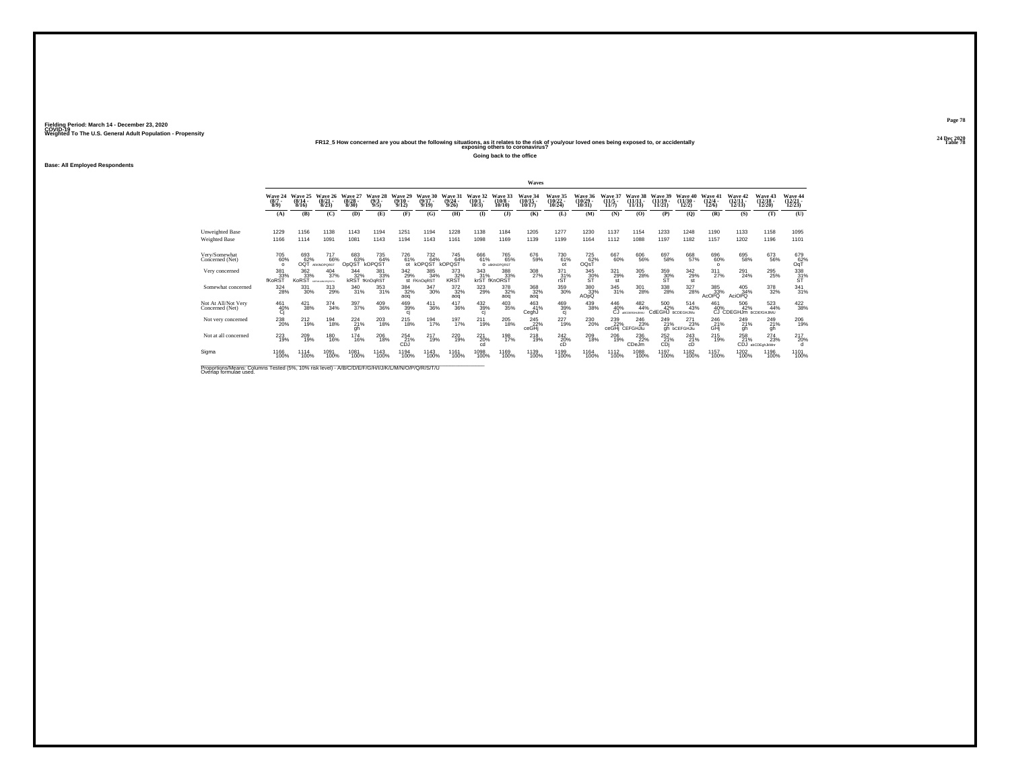#### **24 Dec 2020FR12\_5 How concerned are you about the following situations, as it relates to the risk of you/your loved ones being exposed to, or accidentally Table 78 exposing others to coronavirus?**

**Going back to the office**

**Base: All Employed Respondents**

|                                                                                                                             |                               |                              |                                          |                                  |                                |                              |                              |                               |                              |                                   | Waves                              |                                       |                                            |                                 |                                         |                                |                                  |                                  |                                      |                                     |                                    |
|-----------------------------------------------------------------------------------------------------------------------------|-------------------------------|------------------------------|------------------------------------------|----------------------------------|--------------------------------|------------------------------|------------------------------|-------------------------------|------------------------------|-----------------------------------|------------------------------------|---------------------------------------|--------------------------------------------|---------------------------------|-----------------------------------------|--------------------------------|----------------------------------|----------------------------------|--------------------------------------|-------------------------------------|------------------------------------|
|                                                                                                                             | Wave 24<br>$\binom{8/7}{8/9}$ | Wave 25<br>$(8/14 -$<br>8/16 | Wave 26<br>$\binom{8/21}{8/23}$          | Wave 27<br>$\frac{(8/28)}{8/30}$ | Wave 28<br>$\frac{(9/3)}{9/5}$ | Wave 29<br>$(9/10 -$<br>9/12 | Wave 30<br>$(9/17 -$<br>9/19 | Wave 31<br>(9/24)<br>9/26     | Wave 32<br>$(10/1 -$<br>10/3 | Wave 33<br>$(10/8 -$<br>10/10     | Wave 34<br>$\frac{(10/15)}{10/17}$ | <b>Wave 35</b><br>$(10/22 -$<br>10/24 | Wave 36<br>$\frac{(10/29 - 10/31)}{10/31}$ | Wave 37<br>$\binom{11/5}{11/7}$ | Wave 38<br>$(11/11 -$<br>11/13          | Wave 39<br>$(11/19 -$<br>11/21 | Wave<br>40<br>$(11/30 -$<br>12/2 | Wave 41<br>$\frac{(12/4)}{12/6}$ | Wave 42<br>$\frac{(12/11)}{12/13}$   | Wave 43<br>$(12/18 -$<br>12/20      | Wave 44<br>$\frac{(12/21)}{12/23}$ |
|                                                                                                                             | (A)                           | (B)                          | (C)                                      | (D)                              | (E)                            | (F)                          | (G)                          | (H)                           | $($ I                        | (1)                               | (K)                                | (L)                                   | (M)                                        | (N)                             | (O)                                     | (P)                            | $\mathbf{Q}$                     | (R)                              | (S)                                  | (T)                                 | (U)                                |
| Unweighted Base                                                                                                             | 1229                          | 1156                         | 1138                                     | 1143                             | 1194                           | 1251                         | 1194                         | 1228                          | 1138                         | 1184                              | 1205                               | 1277                                  | 1230                                       | 1137                            | 1154                                    | 1233                           | 1248                             | 1190                             | 1133                                 | 1158                                | 1095                               |
| <b>Weighted Base</b>                                                                                                        | 1166                          | 1114                         | 1091                                     | 1081                             | 1143                           | 1194                         | 1143                         | 1161                          | 1098                         | 1169                              | 1139                               | 1199                                  | 1164                                       | 1112                            | 1088                                    | 1197                           | 1182                             | 1157                             | 1202                                 | 1196                                | 1101                               |
| Very/Somewhat<br>Concerned (Net)                                                                                            | 705<br>60%<br>$\Omega$        | 693<br>62%<br>OQT            | <sup>717</sup> 66%<br><b>AIKINOPORST</b> | 683<br>63%<br>OpQST              | 735<br>64%<br>kOPQŠT           | 726<br>61%<br>ot             | 732<br>64%<br>KOPQST         | 745<br>64%<br>kOPQST          | 666<br>61%                   | 765<br>65%<br>O atkINOPORST       | 676<br>59%                         | 730<br>61%<br>ot                      | <sup>725</sup> 62%<br>OQ <sub>S</sub>      | 667<br>60%                      | 606<br>56%                              | 697<br>58%                     | 668<br>57%                       | $^{696}_{60\%}$<br>$\Omega$      | 695<br>58%                           | 673<br>56%                          | $^{679}_{62\%}$ OqT                |
| Very concerned                                                                                                              | 381<br>33%<br>fKoRS           | 362<br>33%<br><b>KoRST</b>   | 404<br>37%<br><b>SCRIMLMNOPORSTU</b>     | 344<br>32%                       | 381<br>33%<br>kRST fKnOgRST    | 342<br>29%                   | 385<br>34%<br>st FKnOgRST    | 373<br>KRST                   | 343                          | 388<br>31%<br>krST fKnORST<br>33% | 308<br>27%                         | 371<br>.31%                           | 345<br>$\frac{30}{5}$                      | 321<br>29%<br>st                | 305<br>28%                              | 359<br>$\frac{30}{51}$         | 342<br>29%<br>st                 | 311<br>27%                       | 291<br>24%                           | 295<br>25%                          | $\frac{338}{31}\%$                 |
| Somewhat concerned                                                                                                          | 324<br>28%                    | 331<br>30%                   | $^{313}_{29\%}$                          | 340<br>31%                       | $\substack{353 \\ 31\%}$       | 384<br>32%<br>aoq            | $\frac{347}{30\%}$           | 372%<br>aoq                   | $323 \atop 29\%$             | 378<br>32%<br>aog                 | 368<br>32%<br>aog                  | $^{359}_{30\%}$                       | 380<br>33%<br><b>AOpQ</b>                  | 345<br>31%                      | 301<br>28%                              | 338<br>28%                     | $^{327}_{28\%}$                  | 385<br>33%<br><b>AcOPQ</b>       | $\frac{405}{34\%}$<br><b>AciOPQ</b>  | 378<br>32%                          | $\frac{341}{31\%}$                 |
| Not At All/Not Very<br>Concerned (Net)                                                                                      | 461<br>40%<br>Ci              | 421<br>38%                   | $\frac{374}{34\%}$                       | 397 <sub>%</sub>                 | 409<br>36%                     | 469<br>39%<br>ci             | $^{411}_{36\%}$              | $\frac{417}{36\%}$            | 432<br>39%<br>cj             | 403<br>35%                        | 463<br>41%<br>CeghJ                | 469<br>39%<br>qj                      | 439<br>38%                                 | 446<br>40%<br>СJ                | $^{482}_{44\%}$<br><b>IBCDEKIHLIM/U</b> | 500<br>42%<br>CdEGHJ BCDEGHJMu | 514<br>43%                       | 461<br>40%                       | 506<br>42%<br>CJ CDEGHJm BCDEfGHJIMU | 523<br>44%                          | $\frac{422}{38\%}$                 |
| Not very concerned                                                                                                          | 238<br>20%                    | 212<br>19%                   | 194<br>18%                               | $^{224}_{21\%}$                  | 203<br>18%                     | $^{215}_{18\%}$              | 194<br>17%                   | 197<br>17%                    | 211<br>19%                   | 205<br>18%                        | 245<br>22%<br>ceGHi                | 227<br>19%                            | 230<br>20%                                 | 239<br>22%<br>ceGHi             | 246<br>23%<br>CEFGHJIu                  | 249<br>21%                     | 271<br>23%<br>gh bCEFGHJlu       | 246<br>GHJ                       | 249<br>21%<br>gh                     | 249<br>21%<br>gh                    | 206<br>19%                         |
| Not at all concerned                                                                                                        | 223<br>19%                    | 209<br>19%                   | <sup>180</sup><br>16%                    | <sup>174</sup><br><sup>16%</sup> | <sup>206</sup> 18%             | 254 21%<br>CDJ               | $^{217}_{19\%}$              | <sup>220</sup> <sub>19%</sub> | 221<br>20%<br>cd             | 198<br>17%                        | 218%                               | $^{242}_{20\%}$<br>cD                 | 209<br>18%                                 | 206<br>19%                      | 236<br>22%<br>CDeJm                     | $^{252}_{21\%}$<br>CDi         | 243<br>21%<br>cD                 | 215<br>19%                       | 258<br>21%                           | $^{274}_{23\%}$<br>CDJ abCDEghJkMnr | 217<br>20%                         |
| Sigma                                                                                                                       | 1166<br>100%                  | 1114<br>100%                 | 1091<br>100%                             | 1081<br>100%                     | 1143<br>100%                   | 1194<br>100%                 | 1143<br>100%                 | 1161<br>100%                  | 1098<br>100%                 | 1169<br>100%                      | 1139<br>100%                       | 1199<br>100%                          | 1164<br>100%                               | 1112<br>100%                    | 1088<br>100%                            | 1197<br>100%                   | 1182<br>100%                     | 1157<br>100%                     | 1202<br>100%                         | 1196<br>100%                        | 1101<br>100%                       |
| Proportions/Means: Columns Tested (5%, 10% risk level) - A/B/C/D/E/F/G/H/I/J/K/L/M/N/O/P/Q/R/S/T/U<br>Overlap formulae used |                               |                              |                                          |                                  |                                |                              |                              |                               |                              |                                   |                                    |                                       |                                            |                                 |                                         |                                |                                  |                                  |                                      |                                     |                                    |

**Page 78**24 Dec 2020<br>Table 78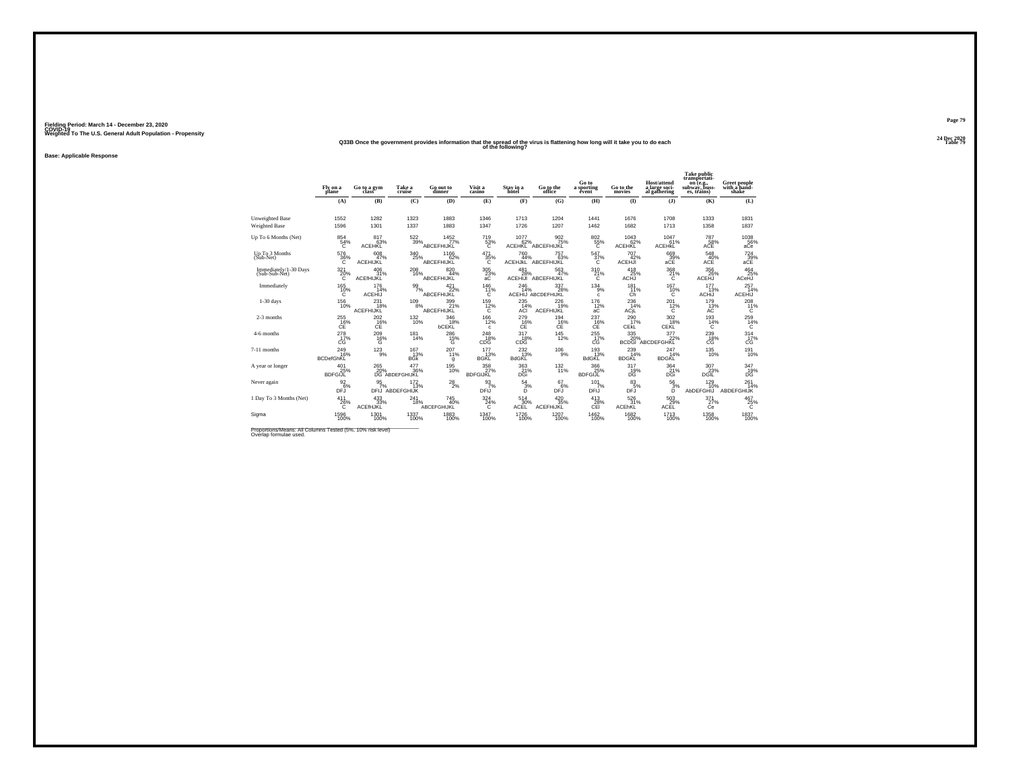#### **24 Dec 2020Q33B Once the government provides information that the spread of the virus is flattening how long will it take you to do each Table 79 of the following?**

**Base: Applicable Response**

|                                         | Fly on a<br>plane                                 | Go to a gym                             | Take a<br>cruise                      | Go out to<br>dinner       | Visit a<br>casino             | Stav in a<br>hotel               | Go to the<br>office              | Go to<br>a sporting<br>event         | Go to the<br>movies             | <b>Host/attend</b><br>a large soci-<br>al gathering | <b>Take public</b><br>transportati-<br>on (e.g.,<br>subway, buss-<br>es, trains) | Greet people<br>with a hand-<br>shake |
|-----------------------------------------|---------------------------------------------------|-----------------------------------------|---------------------------------------|---------------------------|-------------------------------|----------------------------------|----------------------------------|--------------------------------------|---------------------------------|-----------------------------------------------------|----------------------------------------------------------------------------------|---------------------------------------|
|                                         | (A)                                               | (B)                                     | (C)                                   | (D)                       | (E)                           | (F)                              | (G)                              | (H)                                  | (I)                             | $($ $)$                                             | (K)                                                                              | (L)                                   |
| Unweighted Base<br><b>Weighted Base</b> | 1552<br>1596                                      | 1282<br>1301                            | 1323<br>1337                          | 1883<br>1883              | 1346<br>1347                  | 1713<br>1726                     | 1204<br>1207                     | 1441<br>1462                         | 1676<br>1682                    | 1708<br>1713                                        | 1333<br>1358                                                                     | 1831<br>1837                          |
| Up To 6 Months (Net)                    | 854<br>54%<br>c                                   | 817<br>63%<br>ACEHKL                    | 522<br>39%                            | 1452<br>77%<br>ABCEFHIJKL | 719<br>$^{53}_{C}$            | 1077<br>62%<br>ACEHKL            | 902<br>75%<br>ABCEFHIJKL         | 802<br>$^{55\%}_{C}$                 | 1043<br>62%<br>ACEHKL           | 1047<br>61%<br><b>ACEHKL</b>                        | 787<br>$\mathcal{L}$ 58%<br>ACE                                                  | $^{1038}_{\,\,\,56\%}$ aCe            |
| Up To 3 Months<br>(Sub-Net)             | 576<br>36%<br>C                                   | $608$ <sub>47%</sub><br><b>ACEHIJKL</b> | $\frac{340}{25\%}$                    | 1166<br>62%<br>ABCEFHIJKL | $\frac{471}{35\%}$<br>C       | 760<br>44%<br><b>ACEHJKL</b>     | 757<br>63%<br>ABCEFHIJKL         | $\frac{547}{37}\%$<br>С              | 707<br>42%<br><b>ACEHJI</b>     | 669<br>39%<br>aCE                                   | 548<br>40%<br>ACE                                                                | $^{724}_{39\%}$<br>aCE                |
| Immediately/1-30 Days<br>(Sub-Sub-Net)  | $^{321}_{20\%}$                                   | 406<br>31%<br>ACEfHIJKL                 | $^{208}_{\,16\%}$                     | 820<br>44%<br>ABCEFHIJKL  | $\frac{305}{23}\%$            | 481<br>28%<br>ACEHIJI            | 563<br>47%<br>ABCEFHIJKL         | $^{310}_{21\%}$<br>Ć                 | 418<br>25%<br>ACHJ              | 368<br>21%<br>Ć                                     | 356<br>26%<br><b>ACEHJ</b>                                                       | $464\n25%$<br>ACeHJ                   |
| Immediately                             | 165<br>10%<br>Č.                                  | 176<br>14%<br><b>ACEHIJ</b>             | 99<br>7%                              | 421<br>22%<br>ABCEFHIJKL  | 146<br>$^{11\%}_{C}$          | 246<br>14%                       | 337<br>28%<br>ACEHIJ ABCDEFHIJKL | 134<br>9%<br>$\mathbf{c}$            | 181<br>11%<br>Ćĥ                | 167<br>$^{10\%}_{C}$                                | 177<br>13%<br><b>ACHIJ</b>                                                       | 257<br>14%<br><b>ACEHIJ</b>           |
| $1-30$ days                             | $^{156}_{10\%}$                                   | $^{231}_{18\%}$<br><b>ACEFHIJKL</b>     | $^{109}_{8\%}$                        | 399<br>21%<br>ABCEFHIJKL  | $\frac{159}{12\%}$<br>c       | 235<br>14%<br>ACI                | 226<br>19%<br>ACEFHIJKL          | $\frac{176}{12}\%$<br>aC             | $^{236}_{14\%}$<br>ACjL         | $^{201}_{12\%}$<br>C                                | 179<br>13%<br>AC                                                                 | $^{208}_{11\%}$<br>C                  |
| 2-3 months                              | $^{255}_{\phantom{16\%}_{\phantom{16\%}}\rm{CE}}$ | $^{202}_{\substack{16}{\text{CE}}}$     | $^{132}_{10\%}$                       | 346<br>18%<br>bCEKL       | $^{166}_{12\%}$<br>c          | $^{279}_{-16\%}$                 | $^{194}_{16\%}$                  | $^{237}_{-16\%}$                     | $^{290}_{17\%}$<br>CEKL         | $\frac{302}{18%}$<br>CEKL                           | $^{193}_{14\%}$<br>C                                                             | $^{259}_{\ 14\%}$                     |
| 4-6 months                              | 278<br>17%<br>CG                                  | $^{209}_{16\%}$<br>Ġ                    | $^{181}_{14\%}$                       | 286<br>15%<br>G           | $^{248}_{18\%}$<br>CDG        | 317<br>18%<br>CDG                | $^{145}_{12\%}$                  | $^{255}_{17\%}$<br>CG                | 335 20%<br><b>BCDGI</b>         | 377<br>22%<br>ABCDEFGHKL                            | 239<br>18%<br>СĞ                                                                 | $314 \atop 17\%$<br>СĠ                |
| 7-11 months                             | 249<br>16%<br><b>BCDefGhKL</b>                    | $^{123}_{9\%}$                          | 167<br>13%<br><b>BGK</b>              | 207<br>11%<br>g           | 177<br>13%<br><b>BGKL</b>     | 232 <sub>%</sub><br><b>BdGKL</b> | $^{106}_{9\%}$                   | $^{193}_{13\%}$<br><b>BdGKL</b>      | $^{239}_{14\%}$<br><b>BDGKL</b> | 247<br>14%<br><b>BDGKL</b>                          | $^{135}_{10\%}$                                                                  | 191<br>10%                            |
| A year or longer                        | 401<br>25%<br><b>BDFGIJL</b>                      | 265<br>20%                              | 477<br>36%<br>DG ABDEFGHIJKL          | 195<br>10%                | 358<br>27%<br><b>BDFGIJKL</b> | 363<br>21%<br>DGi                | 132<br>11%                       | 366<br>25%<br><b>BDFGIJL</b>         | 317<br>19%<br>DĞ                | 364<br>21%<br>DĜi                                   | 307<br>23%<br>DGĪĽ                                                               | 347<br>$^{19\%}_{DG}$                 |
| Never again                             | $\frac{92}{6}\%$<br>DFJ                           | $\frac{95}{7}\%$                        | $\frac{172}{13\%}$<br>DFIJ ABDEFGHIJK | $^{28}_{2\%}$             | $\frac{93}{7\%}$<br>DFIJ      | $\frac{54}{3}\%$<br>D            | $^{67}_{\ 6\%}$<br>DFJ           | $101$ <sub>7%</sub><br><b>DFIJ</b>   | $^{83}_{5\%}$<br><b>DFJ</b>     | $\frac{56}{3%}$<br>D                                | 129%<br>AbDEFGHIJ                                                                | $^{261}_{14\%}$<br>ABDEFGHIJK         |
| 1 Day To 3 Months (Net)                 | 411<br>26%<br>Ć                                   | $\frac{433}{33\%}$<br>ACEfHJKL          | $^{241}_{18\%}$                       | 745<br>40%<br>ABCEFGHIJKL | $\frac{324}{24\%}$            | 514<br>30%<br>ACĒĽ               | 420 35%<br>ACEFHIJKL             | $^{413}_{\substack{28\\ \text{CH}}}$ | $\frac{526}{31\%}$<br>ACEhKL    | $^{503}_{\phantom{1}29\%}$ ACEL                     | $\frac{371}{27\%}$                                                               | $^{467}_{25\%}$                       |
| Sigma                                   | 1596<br>100%                                      | 1301<br>100%                            | 1337<br>100%                          | 1883<br>100%              | 1347<br>100%                  | 1726<br>100%                     | 1207<br>100%                     | $\frac{1462}{100\%}$                 | 1682<br>100%                    | 1713<br>100%                                        | 1358<br>100%                                                                     | 1837<br>100%                          |

Proportions/Means: All Columns Tested (5%, 10% risk level)<br>Overlap formulae used.

**Page 7924 Dec 2020<br>Table 79**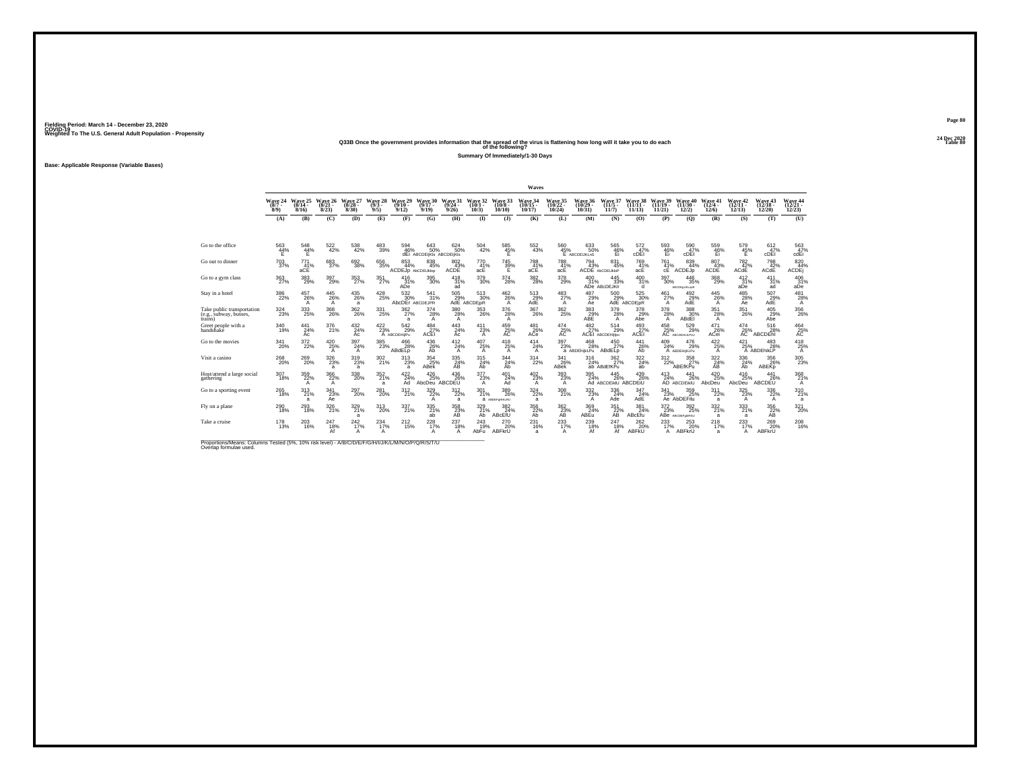#### **24 Dec 2020Q33B Once the government provides information that the spread of the virus is flattening how long will it take you to do each Table 80 of the following?**

**Summary Of Immediately/1-30 Days**

**Base: Applicable Response (Variable Bases)**

|                                                                                                                             |                                       |                                       |                                            |                              |                                       |                                                |                                       |                           |                              |                                       | Waves                                 |                                       |                                       |                                           |                                |                                        |                                      |                                                 |                                        |                                |                                                  |
|-----------------------------------------------------------------------------------------------------------------------------|---------------------------------------|---------------------------------------|--------------------------------------------|------------------------------|---------------------------------------|------------------------------------------------|---------------------------------------|---------------------------|------------------------------|---------------------------------------|---------------------------------------|---------------------------------------|---------------------------------------|-------------------------------------------|--------------------------------|----------------------------------------|--------------------------------------|-------------------------------------------------|----------------------------------------|--------------------------------|--------------------------------------------------|
|                                                                                                                             | Wave 24<br>$(8/7 -$<br>8/9            | Wave 25<br>$(8/14 -$<br>8/16          | Wave 26<br>$(8/21 -$<br>8/23               | Wave 27<br>$(8/28 -$<br>8/30 | Wave 28<br>$(9/3 -$<br>9/5)           | Wave 29<br>$(9/10 -$<br>9/12                   | Wave 30<br>$(9/17 -$<br>9/19          | Wave 31<br>(9/24)<br>9/26 | Wave 32<br>$(10/1 -$<br>10/3 | Wave 33<br>(10/8<br>10/10             | <b>Wave 34</b><br>$(10/15 -$<br>10/17 | <b>Wave 35</b><br>$(10/22 -$<br>10/24 | Wave 36<br>$(10/29 -$<br>10/31        | Wave 37<br>$(11/5 -$<br>11/7              | Wave 38<br>$(11/11 -$<br>11/13 | Wave 39<br>$(11/19 -$<br>11/21         | Wave<br>40<br>(11/30)<br>12/2)       | Wave 41<br>$(12/4 -$<br>12/6                    | Wave 42<br>$(12/11 -$<br>12/13         | Wave 43<br>$(12/18 -$<br>12/20 | Wave 44<br>$(12/21 -$<br>12/23                   |
|                                                                                                                             | (A)                                   | (B)                                   | (C)                                        | (D)                          | (E)                                   | (F)                                            | (G)                                   | (H)                       | $\mathbf{I}$                 | $($ $)$                               | (K)                                   | (L)                                   | (M)                                   | (N)                                       | (0)                            | (P)                                    | (Q)                                  | (R)                                             | (S)                                    | (T)                            | (U)                                              |
|                                                                                                                             |                                       |                                       |                                            |                              |                                       |                                                |                                       |                           |                              |                                       |                                       |                                       |                                       |                                           |                                |                                        |                                      |                                                 |                                        |                                |                                                  |
| Go to the office                                                                                                            | 563<br>44%                            | 548<br>$44\%$                         | $\substack{522 \\ 42\%}$                   | 538<br>42%                   | 483<br>39%                            | 594<br>46%                                     | 643<br>50%<br>dEI ABCDEIKIS ABCDEIKIS | 624<br>50%                | 504<br>42%                   | $^{585}_{\  \  \, 45\%}_{\  \  \, E}$ | $^{552}_{\ 43\%}$                     | 560                                   | 633<br>50%<br>45% 50°<br>E ABCDEUKLnS | $^{565}_{\substack{46\% \\ \text{Ei}}}$   | $\frac{572}{47}\%$<br>cDËI     | $^{593}_{\substack{46\%\\ \text{Ei}}}$ | 590<br>47%<br>cDEI                   | $^{559}_{\substack{46\%\\ \text{Ei}}}$          | 579<br>45%                             | 612<br>47%<br>cDEI             | $\frac{563}{47\%}$<br>cdEi                       |
| Go out to dinner                                                                                                            | $^{703}_{\ 37\%}$                     | 771<br>41%<br>aCE                     | 683                                        | 692<br>38%                   | $\substack{656\\35\%}$                | $\substack{853 \\ 44\%}$<br>ACDEJp AbCDEiJklop | $\substack{838 \\ 45\%}$              | 802<br>43%<br><b>ACDE</b> | 770<br>41%<br>acE            | $\frac{745}{39\%}$                    | 788<br>41%<br>aCE                     | 788<br>41%<br>acE                     | 794<br>43%                            | 831<br>45%<br>ACDE AbCDEUNOP              | 769 %<br>acE                   | $^{761}_{41\%}$<br>сE                  | 839<br>44%<br>ACDEJp                 | 807<br>43%<br>ACDE                              | <sup>782</sup> <sub>42</sub> %<br>ACdE | 798<br>42%<br>ACdE             | 820<br>44%<br>ACDE                               |
| Go to a gym class                                                                                                           | 363<br>27%                            | 383<br>29%                            | 397<br>29%                                 | 353<br>27%                   | 351<br>27%                            | 416<br>31%<br>ADe                              | 395<br>30%                            | 418<br>31%<br>ad          | 379<br>30%                   | 374<br>28%                            | 382<br>28%                            | 378<br>29%                            | 400<br>31%                            | 445<br>33%<br>ADe ABcDEJKIr               | 400<br>31%<br>d                | 397<br>30%                             | 446<br>35%<br>ABCDEgLIKLopR          | 368<br>29%                                      | 412<br>31%<br>aĎė                      | 411<br>31%<br>ad               | 406<br>31%<br>aDe                                |
| Stay in a hotel                                                                                                             | $^{386}_{22\%}$                       | 457<br>26%<br>А                       | $^{445}_{26\%}$<br>A                       | $^{435}_{\,26\%}$<br>a       | $^{428}_{\phantom{2}25\%}$            | $\frac{532}{30\%}$<br>AbcDEr ABCDEJPR          | 541<br>31%                            | $^{505}_{29\%}$           | 513<br>30%<br>AdE ABCDEIPR   | $^{462}_{26\%}$<br>$\mathsf{A}$       | 513<br>29%<br>AdE                     | $^{483}_{27\%}$<br>$\overline{A}$     | 487<br>29%<br>Ae                      | $^{500}_{29\%}$                           | 525 30%<br>AdE ABCDEIPR        | $^{461}_{27\%}$<br>$\overline{A}$      | 492 <sub>9%</sub><br>AdE             | $^{445}_{\  \, 26\%}$<br>A                      | 485<br>28%<br>Ae                       | 507<br>29%<br>AdE              | $^{481}_{28\%}$<br>A                             |
| Take public transportation<br>(e.g., subway, busses,<br>trains)                                                             | $^{324}_{\phantom{1}\phantom{1}23\%}$ | $^{333}_{\phantom{1}\phantom{1}25\%}$ | $^{368}_{\phantom{1}\phantom{1}26\%}$      | $^{362}_{26\%}$              | $^{331}_{\phantom{1}25\%}$            | 362<br>27%<br>a                                | $\frac{374}{28\%}$                    | 380<br>28%<br>A           | $^{353}_{26\%}$              | $^{376}_{28\%}$<br>A                  | $^{367}_{26\%}$                       | $^{362}_{25\%}$                       | $\underset{\mathsf{ABE}}{^{383}}$     | 379<br>28%<br>A                           | 378<br>29%<br>Abe              | $^{378}_{28\%}$<br>A                   | 388<br>30%<br>ABdEI                  | $351_{28\%}$<br>A                               | $^{351}_{26\%}$                        | 405<br>29%<br>Abe              | $^{356}_{\phantom{1}\phantom{1}\phantom{1}26\%}$ |
| Greet people with a<br>handshake                                                                                            | 340<br>19%                            | 441<br>24%<br>Ac                      | 376<br>21%                                 | 432<br>24%<br>Ac             | $^{422}_{23\%}$                       | 542<br>29%<br>A ABCDEHIJIPu                    | 484<br>$27\%$ ACEI                    | 443<br>24%<br>Ac          | 411<br>23%<br>A              | 459<br>$25%$<br>AC                    | 481<br>26%<br>ACe                     | 474<br>AC                             | 482                                   | 514<br>29%<br>27% 29%<br>ACEI ABCDEHIjipu | 493<br>$\frac{27}{27}$ %       | 458                                    | 529<br>25% 29<br>29%                 | 471<br>26%<br>ACei                              | 474<br>$^{26\%}_{\rm AC}$              | 516<br>28%<br>ABCDEN           | 464<br>A <sup>25%</sup>                          |
| Go to the movies                                                                                                            | 341<br>20%                            | $\frac{372}{22\%}$                    | 420 25%<br>A                               | 397<br>24%<br>A              | $^{385}_{\phantom{1}\phantom{1}23\%}$ | 466<br>28%<br>ABdELp                           | 436%<br>Ab                            | $^{412}_{24\%}$<br>A      | 407<br>25%<br>A              | $^{418}_{25\%}$<br>$\mathsf{A}$       | 414<br>24%<br>A                       | 397<br>23%                            | 468<br>28%<br>a ABDEhijkLPu           | $^{450}_{27\%}$<br>ABdELp                 | $^{441}_{26\%}$<br>Ab          | $^{409}_{24\%}$                        | 476<br>29%<br>A ABDEHIKLPu           | 422/25%<br>A                                    | 421/25%                                | 483<br>28%<br>A ABDEhikLP      | $^{418}_{25\%}$<br>A                             |
| Visit a casino                                                                                                              | $^{268}_{\,20\%}$                     | <sup>269</sup> <sub>20%</sub>         | $^{326}_{\phantom{1}\phantom{1}23\%}$<br>a | $^{319}_{23\%}$<br>a         | 302 %                                 | $^{313}_{23\%}$<br>a                           | 354<br>25%<br>ABek                    | 335<br>24%<br>ĀB          | 315<br>24%<br>Ab             | $\frac{344}{24\%}$<br>Āb              | 314<br>22%                            | $\frac{341}{26\%}$<br>ABek            | 316<br>24%                            | $\frac{362}{27\%}$<br>ab ABdEfKPu         | 322 %<br>ab                    | $^{312}_{22\%}$                        | 358<br>ABEfKPu                       | 322 %<br>ĀB                                     | $\frac{336}{24\%}$<br>Āb               | 356%<br>ABEKD                  | $^{305}_{\color{red}23\%}$                       |
| Host/attend a large social<br>gathering                                                                                     | $^{307}_{18\%}$                       | 359<br>22%<br>$\mathsf{A}$            | $\frac{366}{22\%}$<br>A                    | 338<br>20%                   | 352%<br>a                             | $\frac{422}{24\%}$<br>Ad                       | $^{426}_{25\%}$<br>AbcDeu             | 436%<br>ABCDEU            | 377<br>23%<br>A              | $^{401}_{24\%}$<br>Ad                 | $^{402}_{23\%}$<br>A                  | $393 \atop 23\%$<br>$\overline{A}$    | 395<br>24%                            | $^{445}_{26\%}$<br>Ad ABCDEIKIU ABCDEIU   | 439<br>26%                     | $^{413}_{24\%}$                        | 441<br>26%<br>AD ABCDEIKIU           | $^{420}_{\phantom{1}\phantom{1}25\%}$<br>AbcDeu | $^{416}_{25\%}$<br>AbcDeu              | 441<br>26%<br>ABCDEU           | 368<br>21%<br>A                                  |
| Go to a sporting event                                                                                                      | $^{265}_{18\%}$                       | $^{313}_{21\%}$<br>a                  | $\frac{341}{23\%}$<br>Āē                   | 297<br>20%                   | 281<br>20%                            | $^{312}_{21\%}$                                | $\frac{329}{22\%}$                    | 312/22%<br>a              | 301<br>21%                   | 389<br>26%<br><b>a</b> ABDEFOHIKLRU   | $\frac{324}{22\%}$<br>a               | $\frac{308}{21\%}$                    | 332/23%<br>A                          | $\frac{336}{24\%}$<br>Ade                 | 347<br>$^{24}_{\text{AdE}}$    | 341                                    | 359<br>25%<br>23% 25°<br>Ae AbDEFilu | $311_{22\%}$<br>a                               | 325<br>23%<br>А                        | 336<br>22%<br>$\mathsf{A}$     | $^{310}_{21\%}$<br>a                             |
| Fly on a plane                                                                                                              | 290<br>18%                            | 293<br>18%                            | 326<br>21%                                 | 329<br>21%<br>a              | 313<br>20%                            | 337<br>21%                                     | 335<br>21%<br>ab                      | 358<br>$\frac{23}{AB}$    | 329<br>21%<br>Ab             | 382<br>24%<br>ABcEfU                  | 356<br>22%<br>ĀБ                      | 362<br>23%<br>AB                      | 369<br>24%<br>ABEu                    | 351<br>22%<br>AB                          | 381<br>24%<br>ABcEfu           | 372<br>23%                             | 392<br>25%<br>ABe ABCDEFORRSU        | 332<br>21%<br>a                                 | 333<br>21%<br>a                        | 356<br>22%                     | 321<br>20%                                       |
| Take a cruise                                                                                                               | $^{178}_{13\%}$                       | $^{203}_{16\%}$                       | $^{247}_{18\%}$<br>Af                      | 242%<br>А                    | 234<br>17%<br>A                       | $^{212}_{15\%}$                                | $^{228}_{17\%}$<br>А                  | 237<br>18%<br>А           | $^{243}_{19\%}$<br>AbFu      | 270 20%<br>ABFkrU                     | 231<br>16%<br>a                       | $^{233}_{17\%}$<br>$\mathsf{A}$       | 239<br>18%<br>Af                      | 247<br>18%<br>Af                          | 262%<br><b>ABFKU</b>           | $^{233}_{17\%}$<br>A                   | 253<br>ABFkrU                        | $^{218}_{17\%}$<br>a                            | $^{233}_{17\%}$<br>А                   | 269<br>20%<br>ABFkrU           | 208<br>16%                                       |
| Proportions/Means: Columns Tested (5%, 10% risk level) - A/B/C/D/E/F/G/H/I/J/K/L/M/N/O/P/Q/R/S/T/U<br>Overlap formulae used |                                       |                                       |                                            |                              |                                       |                                                |                                       |                           |                              |                                       |                                       |                                       |                                       |                                           |                                |                                        |                                      |                                                 |                                        |                                |                                                  |

**Page 8024 Dec 2020<br>Table 80**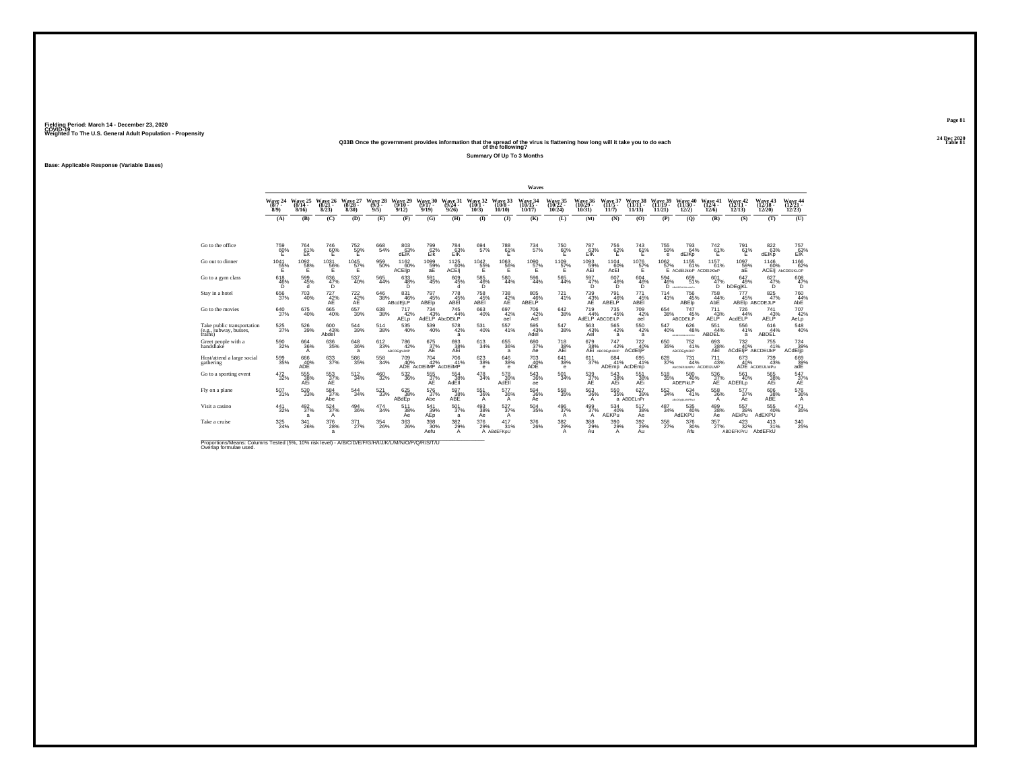#### **24 Dec 2020Q33B Once the government provides information that the spread of the virus is flattening how long will it take you to do each Table 81 of the following?**

**Summary Of Up To 3 Months**

**Base: Applicable Response (Variable Bases)**

|                                                                                                                             |                                |                                      |                              |                           |                             |                                           |                                          |                              |                                           |                                      | Waves                          |                                |                                       |                               |                                |                                |                                          |                                      |                                      |                                      |                                       |
|-----------------------------------------------------------------------------------------------------------------------------|--------------------------------|--------------------------------------|------------------------------|---------------------------|-----------------------------|-------------------------------------------|------------------------------------------|------------------------------|-------------------------------------------|--------------------------------------|--------------------------------|--------------------------------|---------------------------------------|-------------------------------|--------------------------------|--------------------------------|------------------------------------------|--------------------------------------|--------------------------------------|--------------------------------------|---------------------------------------|
|                                                                                                                             | Wave 24<br>$(8/7 -$<br>$8/9$ ) | Wave 25<br>$(8/14 -$<br>8/16         | Wave 26<br>$(8/21 -$<br>8/23 | Wave 27<br>(8/28)<br>8/30 | Wave 28<br>$(9/3 -$<br>9/5) | Wave 29<br>$(9/10 -$<br>9/12              | Wave 30<br>$(9/17 -$<br>9/19             | Wave 31<br>$(9/24 -$<br>9/26 | Wave 32<br>$(10/1 -$<br>10/3              | Wave 33<br>(10/8 -<br>10/10          | Wave 34<br>$(10/15 -$<br>10/17 | Wave 35<br>$(10/22 -$<br>10/24 | <b>Wave 36</b><br>$(10/29 -$<br>10/31 | Wave 37<br>$(11/5 -$<br>11/7  | Wave 38<br>$(11/11 -$<br>11/13 | Wave 39<br>$(11/19 -$<br>11/21 | Wave 40<br>$(11/30 -$<br>12/2)           | Wave 41<br>$(12/4 -$<br>12/6         | Wave 42<br>$(12/11 -$<br>12/13       | Wave 43<br>$(12/18 -$<br>12/20       | Wave 44<br>$(12/21 -$<br>12/23        |
|                                                                                                                             | (A)                            | (B)                                  | (C)                          | (D)                       | (E)                         | (F)                                       | (G)                                      | (H)                          | $($ $\Gamma$                              | $($ $)$                              | (K)                            | (L)                            | (M)                                   | (N)                           | (0)                            | (P)                            | (Q)                                      | (R)                                  | (S)                                  | (T)                                  | (U)                                   |
|                                                                                                                             |                                |                                      |                              |                           |                             |                                           |                                          |                              |                                           |                                      |                                |                                |                                       |                               |                                |                                |                                          |                                      |                                      |                                      |                                       |
| Go to the office                                                                                                            | 759<br>60%                     | 764<br>E <sub>k</sub> <sup>61%</sup> | 746<br>60%                   | 752<br>59%                | 668<br>54%                  | 803<br>63%<br>dEIK                        | 799<br>Eik                               | 784<br>E1K                   | 694<br>57%                                | 788<br>61%<br>Ε                      | 734<br>57%                     | 750<br>$^{60\%}$               | 787<br>EIR                            | 756<br>$^{62\%}$              | 743<br>61%<br>Ë.               | 755<br>59%<br>е                | 793<br>64%<br>dEIKp                      | 742<br>61%<br>F                      | 791<br>61%<br>F                      | 822<br>63%<br>dEIKp                  | 757<br>E1K                            |
| Go out to dinner                                                                                                            | 1041<br>55%<br>Е               | 1092<br>58%<br>Е                     | 1031<br>56%<br>Е             | 1045<br>57%<br>Е          | 959<br>50%                  | 1162<br>60%<br>ACEIjp                     | 1099%<br>аE                              | 1125<br>60%<br>ACEI          | $^{1042}_{55\%}$<br>Е                     | 1063<br>56%<br>Е                     | 1090<br>57%<br>F               | 1109<br>57%<br>Е               | 1093<br>AEi                           | 1104<br>60%<br>AcEI           | 1076<br>57%<br>Е               | $^{1062}_{57\%}$               | $1155$<br>61%<br>E ACdEIJkloP ACDEIJKloP | $^{1157}_{61\%}$                     | 1097<br>59%<br>aЕ                    | 1146<br>60%                          | $^{1166}_{62\%}$<br>ACEI AbCDEIJKLOP  |
| Go to a gym class                                                                                                           | 618<br>46%                     | 599<br>45%<br>d                      | 636<br>$47\%$                | 537<br>40%                | 565<br>44%                  | 633<br>$^{48%}_{D}$                       | 591<br>45%                               | 609<br>45%                   | $^{585}_{\phantom{5}46\%}_{\phantom{5}D}$ | 580<br>44%                           | 596<br>44%                     | 565<br>44%                     | 597<br>47%                            | 607<br>$^{46\%}_{D}$          | 604<br>$^{46\%}_{D}$           | 594<br>$^{46\%}_{D}$           | 659<br>51%<br>ARCEGIAUGUNOPU             | 601<br>$^{47\%}_{D}$                 | 647<br>49%<br>bDEgjKL                | 627<br>47%                           | 608<br>47%                            |
| Stay in a hotel                                                                                                             | 656<br>37%                     | $^{703}_{40\%}$                      | $^{727}_{42\%}$<br>AE        | $^{722}_{42\%}$<br>AE     | $\substack{646\\38\%}$      | 831<br>46%<br>ABcdEjLP                    | 797<br>45%<br>ABEIp                      | 778<br>45%<br>ABEI           | 758<br>45%<br>ABEI                        | <sup>738</sup> <sub>42</sub> %<br>AE | 805<br>46%<br>ABELP            | $^{721}_{41\%}$                | <sup>739</sup> <sub>43</sub> %<br>AE  | 791<br>46%<br>ABELP           | $^{771}_{45\%}$<br>ABEI        | 714<br>41%                     | 756<br>45%<br>ABEIp                      | 758<br>44%<br>AbE                    | $\frac{777}{45\%}$                   | $\frac{825}{47\%}$<br>ABEID ABCDEJLP | 760<br>44%<br>AbE                     |
| Go to the movies                                                                                                            | $^{640}_{37\%}$                | $^{675}_{40\%}$                      | $^{665}_{40\%}$              | $\substack{657\\39\%}$    | $^{638}_{38\%}$             | 717<br>42%<br>AELD                        | $^{734}_{43\%}$<br>AdELP AbcDEILP        | $^{745}_{44\%}$              | $^{663}_{40\%}$                           | 697<br>42%<br>ael                    | 706<br>42%<br>Ael              | $\substack{642\\38\%}$         | $^{719}_{44\%}$<br>AdELP ABCDEILP     | 735%                          | 709<br>42%<br>ael              | $\substack{654\\38\%}$         | $^{747}_{45\%}$<br><b>ABCDEILP</b>       | 711<br>43%<br><b>AELP</b>            | 726<br>44%<br>AcdELP                 | 741<br>43%<br>AELP <sup>'</sup>      | $707 \atop 42\%$<br>AeLp              |
| Take public transportation<br>(e.g., subway, busses,<br>trains)                                                             | $^{525}_{\ 37\%}$              | 526<br>39%                           | 600<br>43%<br>Abdel          | 544<br>39%                | 514<br>38%                  | 535<br>40%                                | 539<br>40%                               | 578<br>42%<br>a              | 531<br>40%                                | 557<br>41%                           | 595<br>43%<br>Adel             | 547<br>38%                     | 563<br>43%<br>Ael                     | 565<br>42%<br>a               | 550<br>42%<br>a                | 547<br>40%                     | 626<br>48%<br>ABGEFORMANYEW              | 551<br>44%<br>ABDEL                  | 556<br>41%<br>a                      | 616<br>44%<br>ABDEL                  | 548<br>40%                            |
| Greet people with a<br>handshake                                                                                            | $^{590}_{32\%}$                | 664<br>36%<br>A                      | $^{636}_{35\%}$              | $^{648}_{36\%}$<br>a      | $\substack{612 \\ 33\%}$    | <sup>786</sup> 42%<br><b>ABCDEchLIKIP</b> | 675<br>37%<br>ÄË.                        | 693<br>38%<br>AEi            | $\substack{613 \\ 34\%}$                  | 655<br>36%<br>a                      | 680<br>37%<br>Ae               | 718 38%<br>AEi                 | 679<br>38%                            | 747<br>42%<br>AEI ABCDEQNUKIP | 722 40%<br>ACdEliP             | $\substack{650\\35\%}$         | $^{752}_{41\%}$<br>ABCDEghLJKP           | 693<br>38%<br>AEI                    | $^{732}_{40\%}$<br>ACdEIIP ABCDEIJkP | $755$<br>$41\%$                      | $^{724}_{39\%}$<br>ACdEljp            |
| Host/attend a large social<br>gathering                                                                                     | $^{599}_{35\%}$                | 666<br>40%<br>ADE                    | 633<br>37%                   | 586<br>35%                | 558<br>34%                  | 709<br>40%                                | $^{704}_{42\%}$<br>ADE ACDEIIMP ACDEIIMP | 706<br>41%                   | $\substack{623 \\ 38\%}$<br>e             | 646<br>38%<br>$\mathbf e$            | 703<br>40%<br>ADE              | $641_{38\%}$<br>е              | $^{611}_{37\%}$                       | $684 \over 41\%$<br>ADEmp     | 695<br>41%<br>AcDEmp           | 628<br>37%                     | $^{731}_{44\%}$<br>ALCOEILLMPU ACDEIJLMP | $^{711}_{43\%}$                      | 673<br>40%                           | 739<br>43%<br>ADE ACDEULMPu          | $^{669}_{39\%}$ adE                   |
| Go to a sporting event                                                                                                      | $\substack{472 \\ 32\%}$       | 555%<br>AEi                          | 553<br>37%<br>AE             | 512<br>34%                | $^{460}_{\phantom{1}32\%}$  | $^{532}_{\ 36\%}$                         | 555%<br>AE                               | 554<br>38%<br>AdEll          | $^{478}_{\phantom{1}34\%}$                | 578<br>39%<br>AdEll                  | 543<br>36%<br>ae               | $^{501}_{34\%}$                | 539<br>37%<br>AE                      | 543<br>38%<br>AEi             | 551 38%<br>AEi                 | $^{518}_{35\%}$                | 580<br>40%<br>ADEFIKLP                   | $\frac{536}{37}\%$<br>AE <sup></sup> | 561<br>40%<br>ADEfILD                | 565<br>38%<br>AEi                    | 547%<br>AE <sup></sup>                |
| Fly on a plane                                                                                                              | $^{507}_{31\%}$                | $^{530}_{\ 33\%}$                    | 584 37%<br>Abe               | 544%                      | $^{521}_{33\%}$             | 625<br>38%<br>ABdEp                       | 576<br>37%<br>Abe                        | 597<br>$\frac{38}{38}\%$     | $^{551}_{36\%}$                           | 577<br>36%<br>A                      | 594<br>36%<br>Aė               | $^{558}_{35\%}$                | 563<br>36%<br>A                       | $\substack{550\\35\%}$        | 627<br>39%<br>a ABDELnPr       | 552<br>34%                     | 634<br>41%<br>ABCOG GIALMAPRAU           | $^{558}_{36\%}$<br>A                 | 577<br>37%<br>Ae                     | $^{606}_{38\%}$ ABE                  | $^{576}_{~36\%}$                      |
| Visit a casino                                                                                                              | 441<br>32%                     | 492<br>37%<br>a                      | 524<br>37%<br>A              | 494<br>36%                | 474<br>34%                  | 511<br>38%<br>Ae                          | 541<br>$A_{\text{EP}}^{39\%}$            | 501<br>37%<br>a              | 493<br>38%<br>Ae                          | 527<br>37%<br>A                      | 504<br>35%                     | 496<br>37%<br>$\mathsf{A}$     | 499<br>37%<br>A                       | 534<br>40%<br><b>AEKPu</b>    | 517<br>38%<br>Aė               | 487<br>34%                     | 535<br>40%<br>AdEKPU                     | 499<br>38%<br>Ae                     | 557<br>39%<br>AEkPu                  | 555<br>40%<br>AdEKPU                 | 471<br>35%                            |
| Take a cruise                                                                                                               | $^{325}_{\phantom{2}24\%}$     | $\frac{341}{26\%}$                   | $^{376}_{28\%}$<br>a         | 371<br>27%                | $^{354}_{\ 26\%}$           | $^{363}_{26\%}$                           | 398<br>30%<br>Aefu                       | $\frac{382}{29\%}$<br>A      | $^{376}_{29\%}$                           | 417<br>31%<br>A ABdEFKpU             | 376<br>26%                     | 382%<br>А                      | 388<br>29%<br>Au                      | 390 29%<br>A                  | 392 %<br>Au                    | 358<br>27%                     | 376<br>30%<br>Afu                        | $^{357}_{27\%}$                      | 423/32%<br>ABDEFKPrU                 | $^{413}_{31\%}$<br>AbdEFkU           | $^{340}_{\phantom{1}\phantom{1}25\%}$ |
| Proportions/Means: Columns Tested (5%, 10% risk level) - A/B/C/D/E/F/G/H/I/J/K/L/M/N/O/P/Q/R/S/T/U<br>Overlap formulae used |                                |                                      |                              |                           |                             |                                           |                                          |                              |                                           |                                      |                                |                                |                                       |                               |                                |                                |                                          |                                      |                                      |                                      |                                       |

**Page 8124 Dec 2020<br>Table 81**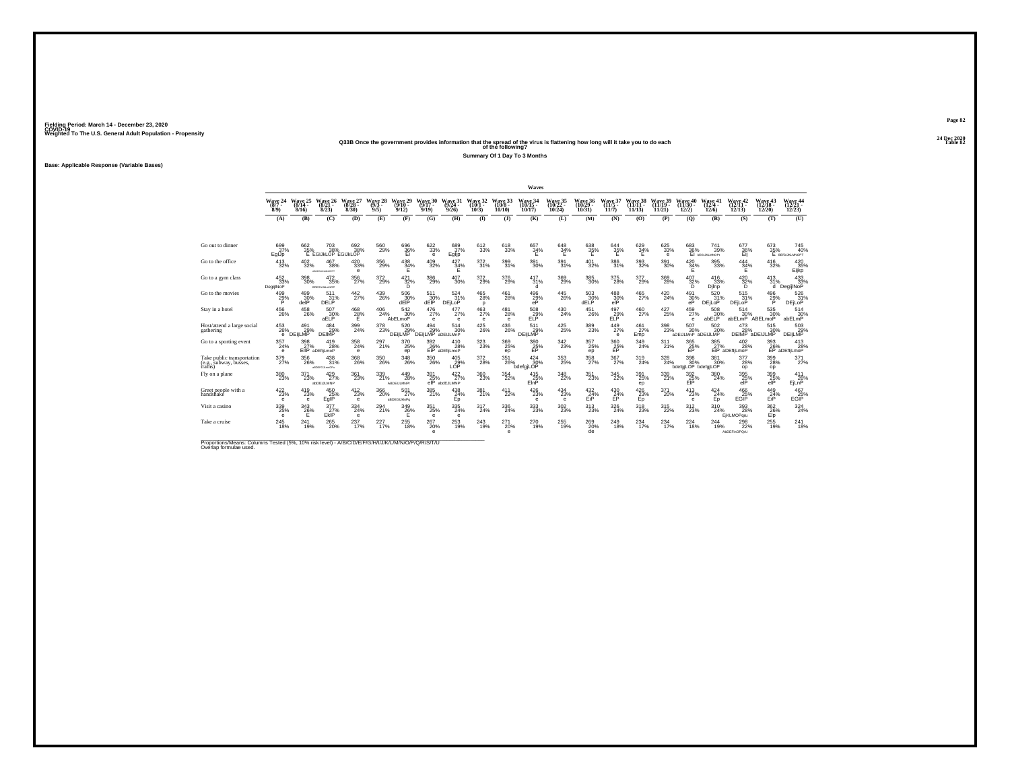## **24 Dec 2020Q33B Once the government provides information that the spread of the virus is flattening how long will it take you to do each Table 82 of the following?**

**Summary Of 1 Day To 3 Months**

**Base: Applicable Response (Variable Bases)**

|                                                                 |                                                  |                                |                                   |                                                  |                            |                                 |                                   |                                        |                              |                               | Waves                          |                                |                                       |                              |                                       |                                |                                   |                              |                                   |                                         |                                                                       |
|-----------------------------------------------------------------|--------------------------------------------------|--------------------------------|-----------------------------------|--------------------------------------------------|----------------------------|---------------------------------|-----------------------------------|----------------------------------------|------------------------------|-------------------------------|--------------------------------|--------------------------------|---------------------------------------|------------------------------|---------------------------------------|--------------------------------|-----------------------------------|------------------------------|-----------------------------------|-----------------------------------------|-----------------------------------------------------------------------|
|                                                                 | Wave 24<br>$(8/7 -$<br>$8/9$ )                   | Wave 25<br>$(8/14 -$<br>8/16   | Wave 26<br>$(8/21 -$<br>8/23      | Wave 27<br>$(8/28 -$<br>8/30                     | Wave 28<br>$(9/3 -$<br>9/5 | Wave 29<br>$(9/10 -$<br>9/12    | Wave 30<br>$(9/17 -$<br>9/19      | Wave 31<br>$(9/24 -$<br>9/26           | Wave 32<br>$(10/1 -$<br>10/3 | Wave 33<br>$(10/8 -$<br>10/10 | Wave 34<br>$(10/15 -$<br>10/17 | Wave 35<br>$(10/22 -$<br>10/24 | <b>Wave 36</b><br>$(10/29 -$<br>10/31 | Wave 37<br>$(11/5 -$<br>11/7 | Wave 38<br>$(11/11 -$<br>11/13        | Wave 39<br>$(11/19 -$<br>11/21 | Wave 40<br>$(11/30 -$<br>12/2)    | Wave 41<br>$(12/4 -$<br>12/6 | Wave 42<br>$(12/11 -$<br>12/13    | <b>Wave 43</b><br>$(12/18 -$<br>12/20   | <b>Wave 44</b><br>$(12/21 -$<br>12/23                                 |
|                                                                 | (A)                                              | (B)                            | (C)                               | (D)                                              | (E)                        | (F)                             | (G)                               | (H)                                    | $\mathbf{D}$                 | (3)                           | (K)                            | (L)                            | (M)                                   | (N)                          | (0)                                   | (P)                            | (O)                               | (R)                          | (S)                               | (T)                                     | (U)                                                                   |
|                                                                 |                                                  |                                |                                   |                                                  |                            |                                 |                                   |                                        |                              |                               |                                |                                |                                       |                              |                                       |                                |                                   |                              |                                   |                                         |                                                                       |
| Go out to dinner                                                | 699<br>37%<br>EglJp                              | 662<br>35%                     | 703<br>38%<br>E EGIJKLOP EGIJKLOP | 692<br>38%                                       | 560<br>29%                 | 696<br>$\frac{36}{5}$           | 622<br>33%<br>e                   | 689<br>37%<br>Eglip                    | 612<br>33%                   | 618<br>33%                    | 657<br>$\frac{34}{5}$ %        | 648<br>34%                     | 638<br>35%                            | 644<br>35%                   | 629<br>$\frac{34}{5}$ %               | 625<br>33%<br>$\theta$         | 683                               | 741<br>36% 39%<br>39%        | 677<br>36%                        | 673<br>35%                              | 745<br>40%<br>E BEIGLIKLMNOPT                                         |
| Go to the office                                                | $^{413}_{32\%}$                                  | $^{402}_{\phantom{1}32\%}$     | 467<br>38%<br>ABDGGLINLMNOPRT     | 420<br>33%<br>$\mathbf e$                        | $^{356}_{29\%}$            | $^{438}_{34\%}$<br>Έ            | $^{409}_{32\%}$                   | $\frac{427}{34\%}$<br>Ε                | 372 31%                      | 399<br>31%                    | $^{391}_{\ 30\%}$              | 391%                           | $^{401}_{32\%}$                       | 386<br>31%                   | $^{393}_{\ 32\%}$                     | $^{391}_{\ 30\%}$              | 420<br>34%<br>F                   | $\substack{395 \\ 33\%}$     | 444<br>34%<br>Ε                   | $^{416}_{32\%}$                         | 420 35%<br>Eijkp                                                      |
| Go to a gym class                                               | 452<br>33%<br>DegijlNoP                          | 398<br>30%                     | 472<br>35%<br><b>BDEGNUM.mNOP</b> | 356<br>27%                                       | 372<br>29%                 | $^{421}_{\substack{32\%\\D}}$   | 386<br>29%                        | 407<br>30%                             | $\frac{372}{29\%}$           | 376<br>29%                    | 417<br>31%<br>d                | 369<br>29%                     | 385<br>30%                            | 375<br>28%                   | 377<br>29%                            | 369<br>28%                     | 407<br>32%                        | 416<br>33%<br>Djinp          | 420<br>32%<br>D                   | 413<br>31%<br>ď                         | $\begin{array}{r} 433 \\ 433 \\ 33\% \\ \text{DegijINGP} \end{array}$ |
| Go to the movies                                                | 499<br>29%<br>P                                  | 499<br>30%<br>delP             | 511<br>31%<br>DELP                | $\frac{442}{27\%}$                               | $^{439}_{26\%}$            | 506<br>30%<br>dEIP              | 511<br>30%<br>dEIP                | 524 31%<br><b>DEILOP</b>               | $^{465}_{\  \, 28\%}$<br>D   | 461<br>28%                    | 496<br>29%<br>eP               | $^{445}_{26\%}$                | $^{503}_{30\%}$<br>dELP               | 488<br>30%<br>elP            | $^{465}_{\phantom{1}\phantom{1}27\%}$ | $^{420}_{24\%}$                | $^{491}_{30\%}$<br>eP             | $\frac{520}{31\%}$<br>DEjLoP | $^{515}_{31\%}$<br><b>DEILOP</b>  | 496<br>29%<br>P                         | 526<br>31%<br>DEjLoP                                                  |
| Stay in a hotel                                                 | $^{456}_{\phantom{1}\phantom{1}\phantom{1}26\%}$ | $^{458}_{\  \, 26\%}$          | $^{507}_{30\%}$ aELP              | $^{468}_{28\%}$                                  | $^{406}_{24\%}$            | $\frac{542}{30}\%$<br>AbELmoP   | $^{476}_{27\%}$<br>$\theta$       | $^{477}_{27\%}$<br>$\epsilon$          | $^{463}_{\ 27\%}$<br>e       | $^{481}_{28\%}$<br>$\theta$   | $^{508}_{\rm ELP}$             | $^{430}_{\  \, 24\%}$          | $^{451}_{26\%}$                       | $^{497}_{ELP}$               | $^{460}_{27\%}$                       | $^{427}_{25\%}$                | 459<br>27%<br>$\theta$            | $^{508}_{30\%}$<br>abELP     | $^{514}_{30\%}$<br>abELmP ABELmoP | 535<br>30%                              | $514\n30%$ abELmP                                                     |
| Host/attend a large social<br>gathering                         | 453<br>26%<br>е.                                 | 491<br>DEIJLMP -               | 484<br>DEIMP <sup>29%</sup>       | 399<br>24%                                       | 378<br>23%                 | 520<br>DEijLMP                  | 494<br>29%<br>DEILMP <sup>®</sup> | 514<br>30%<br>aDEIJLMnP                | 425<br>26%                   | 436<br>26%                    | 511<br>DEijLMP <sup>29%</sup>  | 425<br>25%                     | 389<br>23%                            | 449<br>27%<br>$\mathbf e$    | 461<br>27%<br>Emp                     | 398<br>23%                     | 507<br>30%<br>aDEIJLMnP aDEIJLMP  | 502<br>30%                   | 473                               | 515<br>30%<br>28% 30%<br>DEIMP aDEIJLMP | 503<br>DEijLMP                                                        |
| Go to a sporting event                                          | 357<br>24%<br>$\theta$                           | 398<br>27%                     | 419<br>28%<br>EIIP aDEfliLmoP     | $^{358}_{24\%}$<br>$\theta$                      | $^{297}_{21\%}$            | 370<br>25%<br>ep                | $\frac{392}{26\%}$                | 410<br>28%<br>EiP aDEfljLmoP           | $^{323}_{\color{red}23\%}$   | 369<br>25%<br>ep              | 380<br>25%<br>FP.              | $^{342}_{23\%}$                | 357<br>25%<br>ep                      | 360<br>25%<br><b>FP</b>      | 349<br>24%                            | $311$ <sub>21%</sub>           | 365<br>25%<br>EP                  | $\frac{385}{27}\%$           | $^{402}_{28\%}$<br>EiP aDEfliLmoP | $\frac{393}{26}\%$                      | $^{413}_{28\%}$<br>EP aDEfliLmoP                                      |
| Take public transportation<br>(e.g., subway, busses,<br>trains) | $^{379}_{27\%}$                                  | $^{356}_{\  \, 26\%}$          | 438<br>31%<br>atotrojumonu        | $^{368}_{\phantom{1}\phantom{1}\phantom{1}26\%}$ | $^{350}_{\,26\%}$          | 348<br>26%                      | $^{350}_{\,26\%}$                 | $^{405}_{29\%}$ LOP                    | $^{372}_{28\%}$              | 351<br>26%                    | 424<br>30%<br>bdefgiLOP        | 353<br>25%                     | $^{358}_{27\%}$                       | $^{367}_{27\%}$              | 319<br>24%                            | $^{328}_{24\%}$                | 398<br>30%<br>bdefgjLOP bdefgjLOP | $\frac{381}{30}\%$           | 377<br>28%<br>op                  | 399<br>28%<br>op                        | $^{371}_{27\%}$                                                       |
| Fly on a plane                                                  | $^{380}_{\phantom{1}23\%}$                       | $^{371}_{23\%}$                | $^{429}_{27\%}$<br>abDEiJLMNP     | 361<br>23%                                       | 339<br>21%                 | 449<br>28%<br>ABDEIJLMNPr       | 391<br>25%<br>$e$ IP              | $422/27$ %<br>abdEJLMNP                | $^{360}_{\phantom{1}23\%}$   | 354<br>22%                    | $^{415}_{25\%}$<br>EinP        | 348<br>22%                     | 351<br>23%                            | 345<br>22%                   | $^{391}_{\phantom{1}25\%}$<br>ep      | 339<br>21%                     | 392<br>25%<br>EIP                 | 380<br>24%                   | 395%<br>AIP                       | 399<br>25%<br>elP                       | 411<br>26%<br>EjLnP                                                   |
| Greet people with a<br>handshake                                | $^{422}_{23\%}$<br>е                             | $^{419}_{23\%}$<br>$\mathbf e$ | 450 25%<br>EglP                   | $^{412}_{23\%}$<br>$\mathbf{e}$                  | $^{366}_{\,20\%}$          | $^{501}_{27\%}$<br>aBDEGIJkloPq | 385<br>21%                        | $^{438}_{24\%}$<br>Ep                  | 381 <sub>%</sub>             | 411<br>22%                    | 426<br>23%<br>е                | $^{434}_{23\%}$<br>e           | $\frac{432}{24}\%$<br>EiP             | 430<br>24%<br>EP             | $^{426}_{23\%}$                       | $^{371}_{20\%}$                | 413<br>e                          | $^{424}_{24\%}$<br>Ep.       | 466<br>25%<br>EGĪP                | $^{449}_{24\%}$                         | $^{467}_{25\%}$<br>EGĪP                                               |
| Visit a casino                                                  | 339<br>25%<br>e                                  | 343<br>$\frac{26}{5}$ %        | 377<br>$27\%$ Ekip                | 334<br>24%<br>$\theta$                           | $^{294}_{21\%}$            | 349<br>26%                      | 351<br>25%<br>$\mathbf e$         | $\substack{335 \\ 24\%}$<br>$\epsilon$ | 317<br>24%                   | 336<br>24%                    | 333<br>23%                     | 302<br>23%                     | 313<br>23%                            | 326<br>24%                   | $^{318}_{\phantom{1}23\%}$            | $\underset{22\%}{^{315}}$      | $^{312}_{\phantom{1}23\%}$        | 310<br>24%                   | 393<br>28%<br><b>EiKLMOParu</b>   | 362<br>$E$ <sup>26%</sup>               | $\frac{324}{24\%}$                                                    |
| Take a cruise                                                   | $^{245}_{\ 18\%}$                                | 241<br>19%                     | 265<br>20%                        | 237<br>17%                                       | 227 <sub>17%</sub>         | 255<br>18%                      | 267<br>20%<br>e                   | $^{253}_{19\%}$                        | $^{243}_{19\%}$              | 271<br>20%<br>$\theta$        | 270<br>19%                     | 255<br>19%                     | 269 <sub>20%</sub><br>de              | 249<br>18%                   | $^{234}_{17\%}$                       | 234<br>17%                     | $^{224}_{18\%}$                   | 244<br>19%                   | 298<br><b>AbDEFinOPOrU</b>        | 255<br>19%                              | $^{241}_{18\%}$                                                       |

Proportions/Means: Columns Tested (5%, 10% risk level) - *N'B/C/D/E/F/G/H/I/J/K/L/M/N/O/P/Q/R/S/T/U* Overlap formulae used.<br>Overlap formulae used.

**Page 8224 Dec 2020<br>Table 82**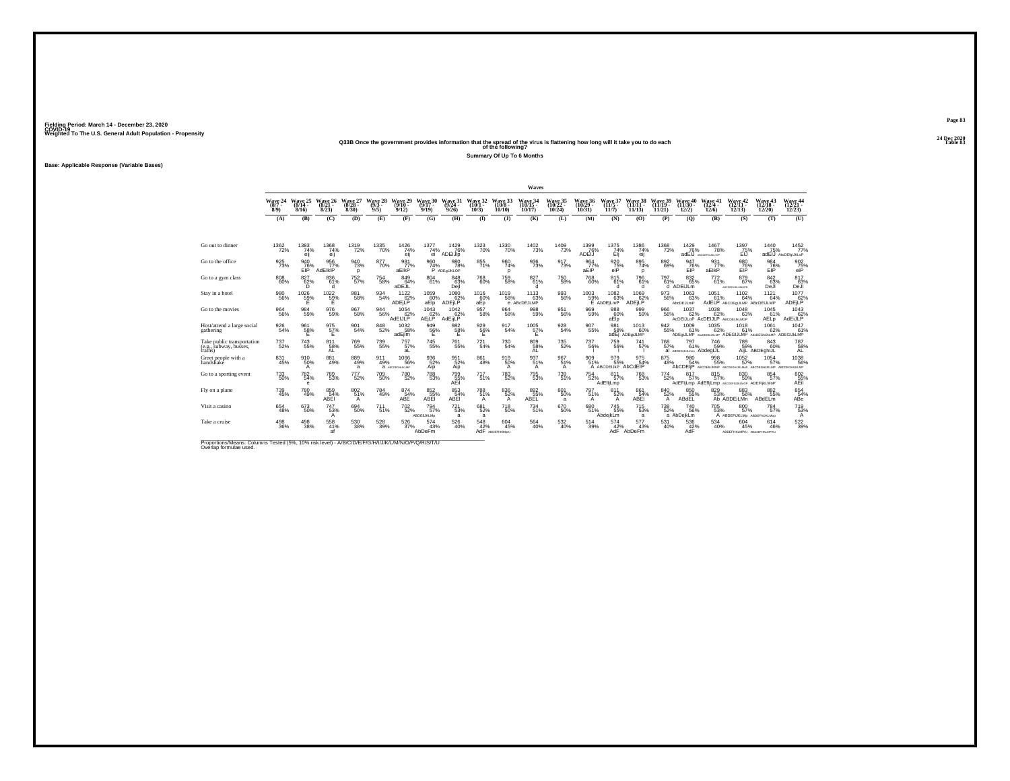#### **24 Dec 2020Q33B Once the government provides information that the spread of the virus is flattening how long will it take you to do each Table 83 of the following?**

**Summary Of Up To 6 Months**

**Base: Applicable Response (Variable Bases)**

|                                                                                                                             |                                |                              |                              |                              |                               |                              |                              |                               |                               |                                       | Waves                          |                                       |                                |                                   |                                |                                |                                       |                                                    |                                                                            |                                |                                            |
|-----------------------------------------------------------------------------------------------------------------------------|--------------------------------|------------------------------|------------------------------|------------------------------|-------------------------------|------------------------------|------------------------------|-------------------------------|-------------------------------|---------------------------------------|--------------------------------|---------------------------------------|--------------------------------|-----------------------------------|--------------------------------|--------------------------------|---------------------------------------|----------------------------------------------------|----------------------------------------------------------------------------|--------------------------------|--------------------------------------------|
|                                                                                                                             | Wave 24<br>$(8/7 -$<br>$8/9$ ) | Wave 25<br>$(8/14 -$<br>8/16 | Wave 26<br>$(8/21 -$<br>8/23 | Wave 27<br>$(8/28 -$<br>8/30 | Wave 28<br>$(9/3 -$<br>9/5)   | Wave 29<br>$(9/10 -$<br>9/12 | Wave 30<br>$(9/17 -$<br>9/19 | Wave 31<br>$(9/24 -$<br>9/26  | Wave 32<br>$(10/1 -$<br>10/3) | Wave 33<br>$(10/8 -$<br>10/10         | Wave 34<br>$(10/15 -$<br>10/17 | <b>Wave 35</b><br>$(10/22 -$<br>10/24 | Wave 36<br>$(10/29 -$<br>10/31 | Wave 37<br>$(11/5 -$<br>11/7      | Wave 38<br>$(11/11 -$<br>11/13 | Wave 39<br>$(11/19 -$<br>11/21 | Wave 40<br>$(11/30 -$<br>12/2         | Wave 41<br>$(12/4 -$<br>12/6                       | Wave 42<br>$(12/11 -$<br>12/13                                             | Wave 43<br>$(12/18 -$<br>12/20 | Wave 44<br>$(12/21 -$<br>12/23             |
|                                                                                                                             | (A)                            | (B)                          | (C)                          | (D)                          | (E)                           | (F)                          | (G)                          | (H)                           | $\bf{D}$                      | $($ $\Gamma$                          | (K)                            | (L)                                   | (M)                            | (N)                               | (0)                            | (P)                            | (Q)                                   | (R)                                                | (S)                                                                        | (T)                            | (U)                                        |
|                                                                                                                             |                                |                              |                              |                              |                               |                              |                              |                               |                               |                                       |                                |                                       |                                |                                   |                                |                                |                                       |                                                    |                                                                            |                                |                                            |
| Go out to dinner                                                                                                            | 1362<br>72%                    | 1383<br>74%<br>eij           | 1368<br>74%<br>eij           | 1319<br>72%                  | 1335<br>70%                   | 1426<br>74%<br>eij           | 1377<br>74%<br>ei            | 1429<br>76%<br>ADEIJIp        | $\frac{1323}{70\%}$           | 1330<br>70%                           | 1402<br>73%                    | $\frac{1409}{73\%}$                   | 1399<br>76%<br>ADEIJ           | 1375<br>74%<br>Ėij                | 1386<br>74%<br>eij             | 1368<br>73%                    | 1429<br>76%<br>adEIJ                  | 1467<br>78%<br>ABCOEFGUIKLHOP                      | 1397<br>75%<br>ElJ                                                         | 1440<br>75%                    | $\frac{1452}{77\%}$<br>adEIJ AbcDEfgIJKLoP |
| Go to the office                                                                                                            | $\frac{925}{73\%}$             | 940<br>76%<br>EIP            | 956<br>77%<br>AdEIkIP        | 940<br>73%<br>p              | 877<br>70%                    | $\frac{981}{72\%}$<br>aElkP  | 960<br>74%                   | 980<br>78%<br>P ADEQUKLOP     | 855<br>71%                    | 960<br>74%<br>p                       | 936<br>73%                     | $\frac{917}{73\%}$                    | $\frac{964}{77}\%$<br>aEIP     | 920 75%<br>eiP                    | 895<br>74%<br>p                | 892<br>69%                     | 947<br>76%<br>EIP                     | 931 77%<br>aElkP                                   | 980<br>76%<br>EIP                                                          | 984<br>76%<br>EIP              | 90275%<br>eiP                              |
| Go to a gym class                                                                                                           | 808<br>60%                     | 827<br>62%<br>D.             | 836<br>61%<br><b>d</b>       | $\frac{752}{57\%}$           | 754<br>58%                    | 849<br>64%<br>aDEJL          | 804<br>61%                   | 848<br>63%<br>Deil            | 768<br>60%                    | 759<br>58%                            | 827<br>61%<br>d                | 750<br>58%                            | 768<br>60%                     | 815<br>61%<br>d                   | 796<br>61%<br>d.               | 797<br>61%                     | 832<br>65%<br>d ADEIJLM               | 772<br>61%                                         | 879<br>67%<br>ABCDEGUKLMNOPR                                               | 842<br>63%<br>DeJi             | 817<br>63%<br>DeJI                         |
| Stay in a hotel                                                                                                             | 980<br>56%                     | 1026<br>59%<br>E             | $^{1022}_{59\%}$<br>Ε        | 981<br>58%                   | $\frac{934}{54\%}$            | $^{1122}_{62\%}$<br>ADEjLP   | $^{1059}_{60\%}$<br>aElp     | 1080<br>62%<br>ADEjLP         | 1016<br>60%<br>aEp            | $^{1019}_{-58\%}$                     | 1113<br>63%<br>e ABcDEJLMP     | $\substack{993 \\ 56\%}$              | 1003<br>59%                    | $^{1082}_{63\%}$<br>E AbDEjLmP    | 1069<br>62%<br>ADEjLP          | $\substack{973 \\ 56\%}$       | 1063<br>63%<br>AbcDEJLmP              | 1051<br>61%                                        | $^{1102}_{64\%}$<br>AdELP ABCDEgiJLMP ABCDEIJLMP                           | 1121<br>64%                    | 1077<br>62%<br>ADEjLP                      |
| Go to the movies                                                                                                            | 964<br>56%                     | 984<br>59%                   | 976<br>59%                   | 967<br>58%                   | 944<br>56%                    | $^{1054}_{62\%}$<br>AdEIJLP  | 1043<br>62%<br>AEjLP         | 1042<br>62%<br><b>AdEliLP</b> | $^{957}_{58\%}$               | 964<br>58%                            | $^{998}_{59\%}$                | $\substack{951 \\ 56\%}$              | 969<br>59%                     | 988<br>60%<br>aElo                | 999<br>59%                     | 966<br>56%                     | 1037<br>62%                           | $^{1038}_{62\%}$<br>AcDEIJLOP ACDEIJLP ABCDEUM.MOP | 1048<br>63%                                                                | 1045<br>61%<br>AELD            | 1043<br>AdEiJLP                            |
| Host/attend a large social<br>gathering                                                                                     | 926<br>54%                     | 961<br>$\frac{58}{5}$        | 975<br>$\frac{57}{5}$        | 901<br>54%                   | 848<br>52%                    | 1032<br>58%<br>adEjlm        | 949<br>$\frac{56}{5}$        | 982<br>$\frac{58}{5}$ %       | 929<br>$\frac{56}{5}$ %       | 917<br>54%                            | 1005<br>57%<br>F               | 928<br>54%                            | 907<br>55%                     | 981<br>58%                        | 1013<br>60%<br>adEi ADEaULMP   | 942<br>55%                     | 1009<br>61%                           | 1035<br>62%                                        | 1018<br>61%<br>ADEGULMP ANDEGNAMIN ADEGULMP ANDEGNAMIN ADEGUKLMP           | 1061<br>62%                    | 1047<br>61%                                |
| Take public transportation<br>(e.g., subway, busses,<br>trains)                                                             | $737 \atop 52\%$               | $^{743}_{55\%}$              | 811<br>58%<br>AL             | 769<br>55%                   | 739<br>55%                    | 757%<br>aL                   | $\substack{745 \\ 55\%}$     | $\substack{761 \\ 55\%}$      | $\substack{721 \\ 54\%}$      | 730<br>54%                            | 809/58%<br>AL                  | 735<br>52%                            | 737<br>56%                     | <sup>759</sup> 56%                | 741<br>57%                     | 768<br>57%                     | 797<br>61%<br>al ABDEGHULmno AbdegiJL | 746<br>59%                                         | 789%                                                                       | 84360%<br>AijL ABDEghIJL       | 787<br>58%<br>AL                           |
| Greet people with a<br>handshake                                                                                            | $\substack{831 \\ 45\%}$       | 910<br>50%<br>А              | 881<br>49%                   | 889<br>49%<br>a              | 911<br>49%                    | 1066<br>56%<br>а иссесными   | 936<br>52%<br>Aip            | 951<br>52%<br>Aip             | 861<br>48%                    | 919<br>50%<br>A                       | $^{937}_{51\%}$<br>А           | $\frac{967}{51\%}$<br>A               | 909<br>51%                     | 979<br>55%<br>A ABCDELIKP AbCdEIP | 975<br>54%                     | $875\phantom{.00}^{+48\%}$     | 98054%                                | 998<br>55%                                         | 1052<br>57%<br>АЬСОЕІІР АВСОЕНИМИР АВСОЕСНИКАМОР АВСОЕСНИКАМР АВСОЕСНИКАМР | $^{1054}_{-57\%}$              | 1038                                       |
| Go to a sporting event                                                                                                      | $\substack{733 \\ 50\%}$       | $^{782}_{54\%}$<br>e         | 789<br>53%                   | 777<br>52%                   | <sup>709</sup> 50%            | 780<br>52%                   | 788<br>53%                   | 799%<br>AEil                  | 717 <sub>51%</sub>            | 783<br>52%                            | 795<br>53%                     | 739<br>51%                            | 754<br>52%                     | 811<br>57%<br>AdEfljLmp           | 768<br>53%                     | $\substack{774 \\ 52\%}$       | 817<br>57%                            | $815/57\%$                                         | 830<br>59%<br>AdEFIjLmp AdEfljLmp ABCDEFGLKLMOP ADEFIjkLMoP                | 854<br>57%                     | 802<br>55%<br>AEil                         |
| Fly on a plane                                                                                                              | 739<br>45%                     | 780<br>49%                   | 859<br>54%<br>ABEI           | 802/51%<br>A                 | <sup>784</sup> <sub>49%</sub> | 874<br>54%<br>ABE            | 852%<br>ABEI                 | 853<br>ABEI                   | $^{788}_{51\%}$<br>A          | 836<br>52%<br>A                       | 8925%<br>ABĒL                  | 801 50%<br>a                          | 797<br>51%<br>A                | 811<br>52%<br>A                   | 861 <sub>54%</sub><br>ABEI     | 840<br>52%<br>A                | 850<br>55%<br>ABdEL                   | 829<br>53%                                         | 883<br>56%<br>Ab ABDEILMn                                                  | 882<br>55%<br>ABdELm           | 854<br>54%<br>ABe                          |
| Visit a casino                                                                                                              | 654<br>48%                     | 673<br>50%                   | 747<br>53%<br>A              | 694<br>50%                   | 711<br>51%                    | 702<br>52%                   | 794<br>57%<br>ABDEfuKLMp     | 721<br>53%<br>a               | 681<br>52%<br>a               | 718<br>50%                            | 734<br>51%                     | 670<br>50%                            | 680<br>51%                     | 745<br>55%<br>AbdeikLm            | 715<br>53%<br>a                | 738<br>52%                     | 740<br>56%<br>a AbDejkLm              | 705<br>53%                                         | 800<br>57%<br>A ABDEFIJKLMp ABDEFIJJKLMpp                                  | 784<br>57%                     | 719<br>53%<br>A                            |
| Take a cruise                                                                                                               | $^{498}_{36\%}$                | $^{498}_{\phantom{1}38\%}$   | 558<br>41%<br>аf             | $^{530}_{\ 38\%}$            | $^{528}_{39\%}$               | $^{526}_{37\%}$              | 574<br>43%<br>AbDeFm         | 526<br>40%                    | $\frac{548}{42\%}$            | $^{604}_{\ 45\%}$<br>AdF ABDEFINOMOIU | 564<br>40%                     | $^{532}_{\ 40\%}$                     | 514<br>39%                     | 574<br>42%<br>AdF                 | 577<br>43%<br>AbDeFm           | 531<br>40%                     | 536<br>42%<br>AdF                     | 534<br>40%                                         | $604 \over 45\%$<br>ABDEFHKLMPrU ABcDEFHKLMPRU                             | 614<br>46%                     | $\substack{522 \\ 39\%}$                   |
| Proportions/Means: Columns Tested (5%, 10% risk level) - A/B/C/D/E/F/G/H/I/J/K/L/M/N/O/P/Q/R/S/T/U<br>Overlap formulae used |                                |                              |                              |                              |                               |                              |                              |                               |                               |                                       |                                |                                       |                                |                                   |                                |                                |                                       |                                                    |                                                                            |                                |                                            |

**Page 8324 Dec 2020<br>Table 83**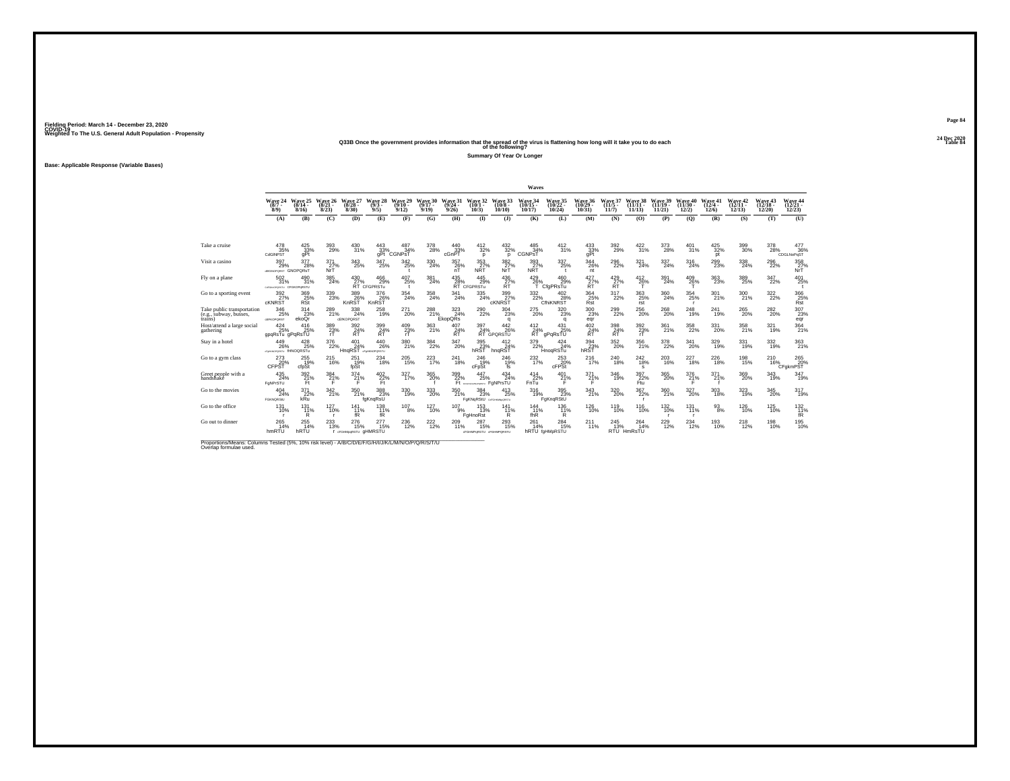### **24 Dec 2020Q33B Once the government provides information that the spread of the virus is flattening how long will it take you to do each Table 84 of the following?**

**Summary Of Year Or Longer**

**Base: Applicable Response (Variable Bases)**

|                                                                 |                                            |                              |                              |                                     |                                        |                                |                                                         |                              |                                             |                                 | Waves                          |                                |                                           |                                                          |                                    |                             |                                                       |                              |                                |                                |                                       |
|-----------------------------------------------------------------|--------------------------------------------|------------------------------|------------------------------|-------------------------------------|----------------------------------------|--------------------------------|---------------------------------------------------------|------------------------------|---------------------------------------------|---------------------------------|--------------------------------|--------------------------------|-------------------------------------------|----------------------------------------------------------|------------------------------------|-----------------------------|-------------------------------------------------------|------------------------------|--------------------------------|--------------------------------|---------------------------------------|
|                                                                 | Wave 24<br>$(8/7 -$<br>$8/9$ )             | Wave 25<br>$(8/14 -$<br>8/16 | Wave 26<br>$(8/21 -$<br>8/23 | Wave 27<br>$(8/28 -$<br>8/30        | Wave 28<br>$(9/3 -$<br>9/5             | Wave 29<br>$(9/10 -$<br>9/12   | Wave 30<br>$(9/17 -$<br>9/19                            | Wave 31<br>$(9/24 -$<br>9/26 | Wave 32<br>$(10/1 -$<br>10/3                | Wave 33<br>$(10/8 -$<br>10/10   | Wave 34<br>$(10/15 -$<br>10/17 | Wave 35<br>$(10/22 -$<br>10/24 | Wave 36<br>$(10/29 -$<br>10/31            | Wave 37<br>$(11/5 -$<br>11/7                             | Wave 38<br>$(11/11 -$<br>11/13     | Wave 39<br>(11/19)<br>11/21 | Wave 40<br>$(11/30 -$<br>12/2                         | Wave 41<br>$(12/4 -$<br>12/6 | Wave 42<br>$(12/11 -$<br>12/13 | Wave 43<br>$(12/18 -$<br>12/20 | <b>Wave 44</b><br>$(12/21 -$<br>12/23 |
|                                                                 | (A)                                        | (B)                          | (C)                          | (D)                                 | (E)                                    | (F)                            | (G)                                                     | (H)                          | $\mathbf{I}$                                | $($ $\Gamma$                    | (K)                            | (L)                            | (M)                                       | (N)                                                      | (0)                                | (P)                         | (Q)                                                   | (R)                          | (S)                            | (T)                            | (U)                                   |
|                                                                 |                                            |                              |                              |                                     |                                        |                                |                                                         |                              |                                             |                                 |                                |                                |                                           |                                                          |                                    |                             |                                                       |                              |                                |                                |                                       |
| Take a cruise                                                   | 478<br>35%<br>CdGINPST                     | 425<br>33%<br>qPt            | $\underset{29\%}{^{393}}$    | 430<br>31%                          | 443<br>$33%$<br>qPt $($                | 487<br>34%<br><b>CGNPST</b>    | 378<br>28%                                              | 440<br>33%<br>cGnPT          | $\frac{412}{32\%}$<br>D                     | $^{432}_{32\%}$<br>D            | 485<br>34%<br><b>CGNPST</b>    | 412<br>31%                     | $\underset{\substack{33 \\ gPt}}{^{433}}$ | 392<br>29%                                               | 422<br>31%                         | 373<br>28%                  | 401<br>31%                                            | $\frac{425}{32\%}$<br>pt     | 399<br>30%                     | 378<br>28%                     | 477<br>36%<br>CDGLNoPqST              |
| Visit a casino                                                  | $^{397}_{29\%}$<br>dEIGNOPORST GNOPORST    | 377<br>28%                   | 371 <sub>27%</sub><br>NrT    | $^{343}_{\phantom{1}25\%}$          | $^{347}_{25\%}$                        | $\frac{342}{25\%}$             | 330<br>24%                                              | 357<br>26%<br>nT             | $\frac{353}{27}\%$<br><b>NRT</b>            | $\frac{382}{27}\%$<br>NrT       | 393<br>27%<br><b>NRT</b>       | 337<br>25%                     | $\frac{344}{26\%}$<br>nt                  | 296<br>22%                                               | 321%                               | $\frac{337}{24\%}$          | 316<br>24%                                            | 299<br>23%                   | $^{338}_{24\%}$                | 296<br>22%                     | 358<br>NrT                            |
| Fly on a plane                                                  | 502<br>31%<br>callaworeastu CFGKOPaRSTU    | 490<br>31%                   | 385<br>24%                   | 430                                 | 466<br>27% 29%<br>RT CFGPRSTu<br>29%   | 407<br>25%                     | 381<br>24%                                              | 435<br>R <sup>28%</sup>      | 445<br>29%<br>CFGPRSTu                      | 436<br>R <sup>27</sup>          | 429<br>26%                     | 460<br>29%<br>CfaPRsTu         | 427<br>$RT$ %                             | $^{429}_{\substack{27}{\scriptscriptstyle \mathrm{RT}}}$ | 412<br>26%                         | 391<br>24%                  | 409<br>26%                                            | $\frac{363}{23\%}$           | 389<br>25%                     | 347<br>22%                     | $^{401}_{25\%}$                       |
| Go to a sporting event                                          | $\frac{392}{27}\%$<br><b>cKNRST</b>        | 369<br>25%<br>RSt            | 339<br>23%                   | 389<br>26%<br>KnRST                 | 376<br>26%<br>KnRST                    | $\frac{354}{24\%}$             | 358<br>24%                                              | 341<br>24%                   | 335<br>24%                                  | 399<br>27%<br><b>CKNRST</b>     | 332<br>22%                     | 402<br>28%<br>CfhiKNRST        | 364 25%<br>Rst                            | 317<br>22%                                               | $^{363}_{25\%}$<br>rst             | $^{360}_{\color{red}24\%}$  | $^{354}_{\phantom{1}\phantom{1}25\%}$<br>$\mathbf{r}$ | 301 <sub>%</sub>             | $^{300}_{21\%}$                | 322 <sub>%</sub>               | 366<br>25%<br>Rst                     |
| Take public transportation<br>(e.g., subway, busses,<br>trains) | 346<br>25%<br><b>GEFKOPORST</b>            | 314<br>23%<br>ekoQr          | 289<br>21%                   | 338<br>24%<br>cEfKOPQRST            | $^{258}_{19\%}$                        | $^{271}_{20\%}$                | $\overset{288}{\underset{\smile\text{KopQ}}{\text{K}}}$ |                              | $^{290}_{\,\,22\%}$                         | $^{304}_{\phantom{1}23\%}$<br>q | 275<br>20%                     | $^{320}_{23\%}$<br>q           | $^{300}_{\phantom{1}23\%}$<br>egr         | $^{299}_{\,\,22\%}$                                      | 256<br>20%                         | $^{268}_{\,20\%}$           | 248<br>19%                                            | 241<br>19%                   | $^{265}_{20\%}$                | $^{282}_{\ 20\%}$              | 307<br>23%<br>eqr                     |
| Host/attend a large social<br>gathering                         | 424<br>25%<br>gpqRsTu gPqRsTU              | 416<br>25%                   | 389<br>23%                   | 392<br>R <sup>24%</sup>             | 399<br>R <sup>24%</sup>                | $^{409}_{\substack{23\%\\rT}}$ | 363<br>21%                                              | 407<br>R <sup>24%</sup>      | 397<br>24%                                  | 442<br>26%<br>RT GPORSTU        | 412<br>24%<br>RT               | 431<br>25%<br>qPqRsTU          | 402<br>$R^{24\%}$                         | 398<br>R <sup>24%</sup>                                  | 392<br>$^{23\%}$                   | 361<br>21%                  | 358<br>22%                                            | 331<br>20%                   | 358<br>21%                     | 321<br>19%                     | $\frac{364}{21\%}$                    |
| Stay in a hotel                                                 | $^{449}_{26\%}$<br>disemperature fHNOQRSTu | 428<br>25%                   | $^{376}_{22\%}$              | $^{401}_{24\%}$<br>HngRST           | $^{440}_{26\%}$<br>d'astologiquestu    | 380<br>21%                     | $\frac{384}{22\%}$                                      | 347<br>20%                   | 395<br>23%<br>hRST                          | $^{412}_{24\%}$<br>hnaRST       | 379<br>22%                     | 424<br>24%<br>HnogRSTu         | 394<br>23%<br>hRST                        | $^{352}_{20\%}$                                          | 356<br>21%                         | $\frac{378}{22\%}$          | $^{341}_{20\%}$                                       | 329<br>19%                   | 331<br>19%                     | 332<br>19%                     | $\frac{363}{21\%}$                    |
| Go to a gym class                                               | 273<br>CFPST                               | 255<br>19%<br>cfpSt          | <sup>215</sup> %             | 251<br>19%<br>fpSt                  | $^{234}_{18\%}$                        | $^{205}_{15\%}$                | 223                                                     | $^{241}_{\ 18\%}$            | 246<br>19%<br>cFpSt                         | 246<br>19%<br>fs                | $^{232}_{17\%}$                | $^{253}_{20\%}$ cFPSt          | <sup>216</sup> <sub>17%</sub>             | 240<br>18%                                               | <sup>242</sup> <sub>18%</sub><br>s | $^{203}_{16\%}$             | $^{227}_{18\%}$                                       | $^{226}_{18\%}$              | 198<br>15%                     | <sup>210</sup> <sub>16%</sub>  | 265<br>20%<br>CFakmPST                |
| Greet people with a<br>handshake                                | $^{435}_{24\%}$<br>FoNPrSTU                | $\frac{392}{21}\%$<br>Ft.    | 384%<br>F                    | $^{374}_{21\%}$                     | $^{402}_{\substack{22\%\\ \text{Ft}}}$ | 327 <sub>17%</sub>             | $^{365}_{\,20\%}$                                       | 399<br>22%                   | 447<br>25%<br>Ft sometimesers FaNPrsTU      | $^{434}_{24\%}$                 | $^{414}_{22\%}$<br>FnTu        | 401<br>21%                     | $^{371}_{21\%}$<br>F.                     | 346<br>19%                                               | 397<br>22%<br>Ftu                  | $^{365}_{\,20\%}$           | $^{376}_{21\%}$                                       | 371 <sub>%</sub>             | 369<br>20%                     | 343<br>19%                     | 347<br>19%                            |
| Go to the movies                                                | 404<br>24%<br><b>FGKNORStU</b>             | $\frac{371}{22\%}$<br>kRu    | 342 %                        | 350<br>21%                          | 388<br>23%<br>fgKngRsU                 | 330<br>19%                     | 333<br>20%                                              | 350<br>21%                   | $\frac{384}{23\%}$<br>FaKNaRStU GEGHANGESTU | $^{413}_{25\%}$                 | 316<br>19%                     | 395<br>FgKngRStU               | $\frac{343}{21\%}$                        | $^{320}_{\,20\%}$                                        | 367<br>22%                         | 360<br>21%                  | $^{327}_{20\%}$                                       | 303<br>18%                   | 323<br>19%                     | 345<br>20%                     | $317_{19\%}$                          |
| Go to the office                                                | 131<br>10%                                 | 131<br>11%<br>R              | 127<br>10%<br>$\mathbf{r}$   | 141<br>11%<br>fŔ                    | 138<br>11%<br>fŔ                       | 107<br>8%                      | 127<br>10%                                              | 107<br>9%                    | 153<br>13%<br>FaHnoRst                      | 141<br>11%<br>R                 | 144<br>11%<br>fhR              | 136<br>11%<br>R                | $^{126}_{10\%}$                           | 119<br>10%                                               | 116<br>10%                         | $^{132}_{10\%}$             | 131<br>11%                                            | 93<br>8%                     | 126<br>10%                     | $^{125}_{10\%}$                | $^{132}_{\,\,\,11\%}$                 |
| Go out to dinner                                                | 265<br>14%<br>hmRTU                        | 255<br>14%<br>hRTU           | $^{233}_{13\%}$              | 276<br>15%<br>I dFGHMooRSTU GHMRSTU | 277<br>15%                             | $^{236}_{12\%}$                | $^{222}_{12\%}$                                         | 209<br>11%                   | 287<br>15%<br>cFGHMPoRSTU cFGHMPORSTU       | $^{293}_{15\%}$                 | 261<br>14%                     | 284<br>15%<br>hRTU fgHMpRSTU   | 211<br>11%                                | 245<br>13%                                               | 264<br>14%<br>RTU HmRsTU           | $^{229}_{12\%}$             | $^{234}_{12\%}$                                       | 193<br>10%                   | <sup>218</sup> <sub>12%</sub>  | 198<br>10%                     | 195<br>10%                            |

Proportions/Means: Columns Tested (5%, 10% risk level) - *N'B/C/D/E/F/G/H/I/J/K/L/M/N/O/P/Q/R/S/T/U* Overlap formulae used.<br>Overlap formulae used.

**Page 8424 Dec 2020<br>Table 84**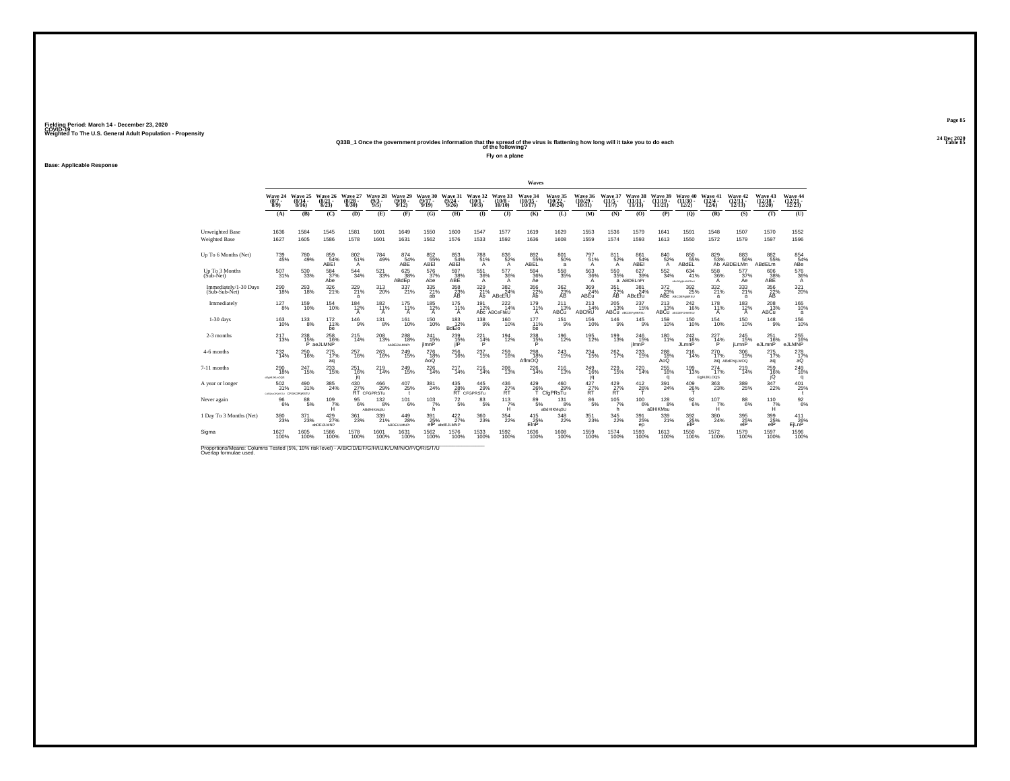#### **24 Dec 2020Q33B\_1 Once the government provides information that the spread of the virus is flattening how long will it take you to do each Table 85 of the following?**

**Fly on a plane**

**Base: Applicable Response**

|                                                                                                                             |                                         |                           |                                  |                       |                                   |                                  |                                   |                                |                                       |                                      | Waves                      |                                           |                                      |                                                          |                                  |                                        |                                               |                               |                                |                                           |                                    |
|-----------------------------------------------------------------------------------------------------------------------------|-----------------------------------------|---------------------------|----------------------------------|-----------------------|-----------------------------------|----------------------------------|-----------------------------------|--------------------------------|---------------------------------------|--------------------------------------|----------------------------|-------------------------------------------|--------------------------------------|----------------------------------------------------------|----------------------------------|----------------------------------------|-----------------------------------------------|-------------------------------|--------------------------------|-------------------------------------------|------------------------------------|
|                                                                                                                             | Wave 24<br>$(8/7 -$<br>$8/9$ )          | Wave 25<br>(8/14)<br>8/16 | Wave 26<br>$\frac{(8/21)}{8/23}$ | Wave 27<br>8/30       | Wave 28<br>(9/3<br>9/5            | Wave 29<br>$(9/10 -$<br>9/12     | Wave 30<br>$9/17 -$<br>9/19       | Wave 31<br>(9/24)<br>9/26      | Wave 32<br>(10/1<br>$10/3$ )          | Wave 33<br>$(10/8 -$<br>10/10        | Wave 34<br>(10/15<br>10/17 | <b>Wave 35</b><br>$\frac{(10/22)}{10/24}$ | Wave 36<br>$(10/29 -$<br>10/31       | Wave 37<br>$(11/5 -$<br>11/7                             | 38<br>Wave<br>(11/1)<br>11/13    | Wave 39<br>(11/19)<br>11/21            | <b>Wave 40</b><br>(11/30)<br>12/2)            | Wave 41<br>$(12/4 -$<br>12/6  | Wave 42<br>$(12/11 -$<br>12/13 | <b>Wave 43</b><br>$\frac{(12/18)}{12/20}$ | Wave 44<br>$\frac{(12/21)}{12/23}$ |
|                                                                                                                             | (A)                                     | (B)                       | (C)                              | (D)                   | (E)                               | (F)                              | (G)                               | (H)                            | $($ I                                 | $($ $)$                              | (K)                        | (L)                                       | (M)                                  | (N)                                                      | (0)                              | (P)                                    | (Q)                                           | (R)                           | (S)                            | (T)                                       | (U)                                |
| Unweighted Base<br><b>Weighted Base</b>                                                                                     | 1636<br>1627                            | 1584<br>1605              | 1545<br>1586                     | 1581<br>1578          | 1601<br>1601                      | 1649<br>1631                     | 1550<br>1562                      | 1600<br>1576                   | 1547<br>1533                          | 1577<br>1592                         | 1619<br>1636               | 1629<br>1608                              | 1553<br>1559                         | 1536<br>1574                                             | 1579<br>1593                     | 1641<br>1613                           | 1591<br>1550                                  | 1548<br>1572                  | 1507<br>1579                   | 1570<br>1597                              | 1552<br>1596                       |
| Up To 6 Months (Net)                                                                                                        | 739<br>45%                              | 780<br>49%                | 859<br>54%<br>ABEI               | 80251%<br>A           | 784<br>49%                        | 874 <sub>54%</sub><br>ABE        | $\underset{\mathsf{ABE}}{^{852}}$ | 853<br>54%<br>ABEI             | 788<br>51%<br>A                       | 836<br>52%<br>A                      | 892<br>55%<br>ABĒĽ         | 801 50%<br>a                              | 797 <sub>51%</sub><br>A              | 811<br>52%<br>$\overline{A}$                             | 861<br>54%<br>ABEI               | $\frac{840}{52\%}$                     | 850<br>55%<br>ABdEL                           | 829<br>53%                    | 883<br>56%<br>Ab ABDEILMn      | 882<br>55%<br>ABdELm                      | 854%<br>ABe                        |
| Up To 3 Months<br>(Sub-Net)                                                                                                 | 507<br>31%                              | 530<br>33%                | 584<br>37%<br>Abe                | 544<br>34%            | 521<br>33%                        | 625<br>38%<br>ABdEp              | 576<br>37%<br>Abe                 | 597<br>$\frac{38}{\text{ABE}}$ | 551<br>36%<br>$\overline{A}$          | 577<br>36%<br>A                      | 594<br>36%<br>Ae           | 558<br>35%                                | 563<br>$\frac{36\%}{A}$              | 550<br>35%                                               | 627<br>39%<br>a ABDELnPr         | 552<br>34%                             | 634<br>41%<br>ABORGIALMNPRAU                  | 558<br>36%<br>A               | 577<br>37%<br>Ae               | 606<br>38%<br>ABE                         | $\frac{576}{36\%}$                 |
| Immediately/1-30 Days<br>(Sub-Sub-Net)                                                                                      | $^{290}_{\phantom{1}18\%}$              | $^{293}_{18\%}$           | 326<br>21%                       | 329<br>21%<br>a       | 313<br>20%                        | $^{337}_{21\%}$                  | 335/21%<br>ab                     | 358<br>23%<br>AB               | 329<br>21%<br>Ab                      | $\frac{382}{24\%}$<br>ABcEfU         | 356<br>22%<br>Ah           | $\frac{362}{23}\%$<br>AB                  | $\frac{369}{24\%}$<br>ABEu           | $\frac{351}{22}\%$<br>AB                                 | $\frac{381}{24\%}$<br>ABcEfu     | 372<br>23%                             | $^{392}_{\phantom{1}25\%}$<br>ABe ABCDEFORRSU | $\frac{332}{21\%}$<br>a       | $333 \atop 21\%$<br>a          | 356<br>22%<br>AB                          | $321 \over 20\%$                   |
| Immediately                                                                                                                 | $^{127}_{8\%}$                          | 159<br>10%                | 154<br>10%                       | 184<br>12%<br>A       | $^{182}_{11\%}$<br>$\overline{A}$ | $^{175}_{11\%}$<br>A             | $^{185}_{12\%}$                   | 175<br>11%<br>A                | 191<br>12%                            | $^{222}_{14\%}$<br>Abc ABCeFhkU      | 179<br>11%<br>A            | 211<br>13%<br>ABCu                        | 213<br>14%<br>ABCfkU                 | $^{205}_{13\%}$                                          | 237<br>15%<br>ABCU ABCDEFORKRSU  | $^{213}_{13\%}$                        | 242<br>16%<br>ABCU ABCDEFGHIKRSU              | 178<br>11%<br>A               | 183<br>12%<br>A                | $^{208}_{13\%}$<br>ABCu                   | 165<br>10%<br>a                    |
| $1-30$ days                                                                                                                 | 163<br>10%                              | 133<br>8%                 | 172<br>11%<br>be                 | $^{146}_{9\%}$        | 131<br>8%                         | 161<br>10%                       | 150<br>10%                        | 183<br>12%<br><b>BdEio</b>     | 138<br>9%                             | 160<br>10%                           | 177<br>11%<br>be           | 151<br>9%                                 | 156<br>10%                           | 146<br>9%                                                | 145<br>9%                        | 159<br>10%                             | 150<br>10%                                    | 154<br>10%                    | 150<br>10%                     | 148<br>9%                                 | 156<br>10%                         |
| 2-3 months                                                                                                                  | <sup>217</sup> <sub>13%</sub>           | $^{238}_{15\%}$           | $^{258}_{16\%}$<br>P aeJLMNP     | 215<br>14%            | 208<br>13%                        | 288<br>18%<br><b>AbDEUMLMNPr</b> | $^{241}_{15\%}$<br>jImnP          | 239<br>15%<br>jΙP              | 221<br>14%<br>P                       | 194<br>12%                           | 238<br>15%                 | $^{196}_{12\%}$                           | 195<br>12%                           | 199<br>13%                                               | 246<br>15%<br>jlmnP              | 180<br>11%                             | $^{242}_{16\%}$<br>JLmnP                      | $^{227}_{14\%}$<br>P          | $^{245}_{15\%}$<br>jLmnP       | 251<br>16%<br>eJLmnP                      | 255<br>eJLMNP                      |
| 4-6 months                                                                                                                  | $^{232}_{14\%}$                         | 250<br>16%                | 275<br>17%<br>aq                 | 257<br>16%            | 263<br>16%                        | 249<br>15%                       | 276<br>$^{18}_{AoQ}$              | 256<br>16%                     | 237<br>15%                            | 259<br>16%                           | 298<br>18%<br>AflmOQ       | 243<br>15%                                | $^{234}_{\phantom{1}15\%}$           | $^{262}_{17\%}$                                          | 233<br>15%                       | 288<br>18%<br>AoQ                      | 216<br>14%                                    | 270<br>17%                    | 306<br>19%<br>ag ABdFhliLMOQ   | 275<br>17%<br>aq                          | $^{278}_{~17\%}$ aQ                |
| 7-11 months                                                                                                                 | $^{290}_{18\%}$<br>$cE$ offLJKLnOQS     | $^{247}_{15\%}$           | 233<br>15%                       | 251<br>16%<br>jq      | 219<br>14%                        | $^{249}_{15\%}$                  | $^{226}_{14\%}$                   | 217<br>14%                     | $^{216}_{14\%}$                       | $^{208}_{\phantom{1}13\%}$           | 226<br>14%                 | $^{216}_{13\%}$                           | 249 16%<br>jq                        | $^{229}_{15\%}$                                          | 220<br>14%                       | $^{255}_{\phantom{1}16\%}$<br>$\alpha$ | 199<br>13%                                    | $^{274}_{17\%}$<br>EdHiJKLOOS | 219<br>14%                     | 259 16%<br>jQ                             | $^{249}_{16\%}$<br>q               |
| A year or longer                                                                                                            | 502<br>31%<br>carakuorgastu CFGKOPgRSTU | $^{490}_{31\%}$           | 385<br>24%                       | $^{430}_{27\%}$<br>ŔŤ | $^{466}_{.29\%}$<br>CFGPRSTu      | 407<br>25%                       | 381<br>24%                        | $^{435}_{28\%}$ RT cl          | $^{445}_{29\%}$<br>CFGPRSTu           | $^{436}_{\substack{27 \ \text{RT}}}$ | 429<br>26%                 | $^{460}_{29\%}$<br>CfgPRsTu               | $^{427}_{\substack{27 \ \text{RT}}}$ | $^{429}_{\substack{27}{\scriptscriptstyle \mathrm{RT}}}$ | $^{412}_{26\%}$                  | 391<br>24%                             | 409<br>26%                                    | $\substack{363 \\ 23\%}$      | 389<br>25%                     | 347<br>22%                                | 401<br>25%                         |
| Never again                                                                                                                 | 96<br>6%                                | 88<br>5%                  | 109<br>7%<br>Ĥ                   | 95<br>6%              | 132<br>8%<br><b>ABdIHIKMaSU</b>   | 101<br>6%                        | 103<br>7%<br>h                    | $^{72}_{\ 5\%}$                | 83<br>5%                              | 113<br>$H^{\%}$                      | 89<br>5%                   | 131<br>8%<br>aBdHIKMgSU                   | 86<br>5%                             | 105<br>7%<br>h                                           | 100<br>6%                        | 128<br>8%<br>aBHIKMsu                  | 92<br>6%                                      | 107<br>7%<br>Ĥ                | 88<br>6%                       | 110<br>7%<br>Ĥ                            | $\frac{92}{6%}$                    |
| 1 Day To 3 Months (Net)                                                                                                     | $^{380}_{\phantom{1}\phantom{1}23\%}$   | 371<br>23%                | $^{429}_{27\%}$<br>abDEiJLMNP    | $^{361}_{23\%}$       | 339/21%                           | 449<br>28%<br>ABDEIJLMNPr        | 391<br>25%<br>elP                 | 422%<br>abdEJLMNP              | $^{360}_{\phantom{1}\phantom{1}23\%}$ | $\frac{354}{22\%}$                   | $^{415}_{25\%}$<br>EInP    | $\frac{348}{22\%}$                        | $^{351}_{23\%}$                      | $\substack{345 \\ 22\%}$                                 | $^{391}_{\phantom{1}25\%}$<br>ep | 339<br>21%                             | 392<br>25%<br>EIP                             | $^{380}_{\phantom{1}24\%}$    | 395%<br>elP                    | 399<br>25%<br>elP                         | $^{411}_{26\%}$<br>EjLnP           |
| Sigma                                                                                                                       | 1627<br>100%                            | 1605<br>100%              | 1586<br>100%                     | 1578<br>100%          | 1601<br>100%                      | 1631<br>100%                     | 1562<br>100%                      | 1576<br>100%                   | 1533<br>100%                          | 1592<br>100%                         | 1636<br>100%               | 1608<br>100%                              | 1559<br>100%                         | 1574<br>100%                                             | 1593<br>100%                     | 1613<br>100%                           | 1550<br>100%                                  | 1572<br>100%                  | 1579<br>100%                   | 1597<br>100%                              | 1596<br>100%                       |
| Proportions/Means: Columns Tested (5%, 10% risk level) - A/B/C/D/E/F/G/H/I/J/K/L/M/N/O/P/Q/R/S/T/U<br>Overlap formulae used |                                         |                           |                                  |                       |                                   |                                  |                                   |                                |                                       |                                      |                            |                                           |                                      |                                                          |                                  |                                        |                                               |                               |                                |                                           |                                    |

**Page 8524 Dec 2020<br>Table 85**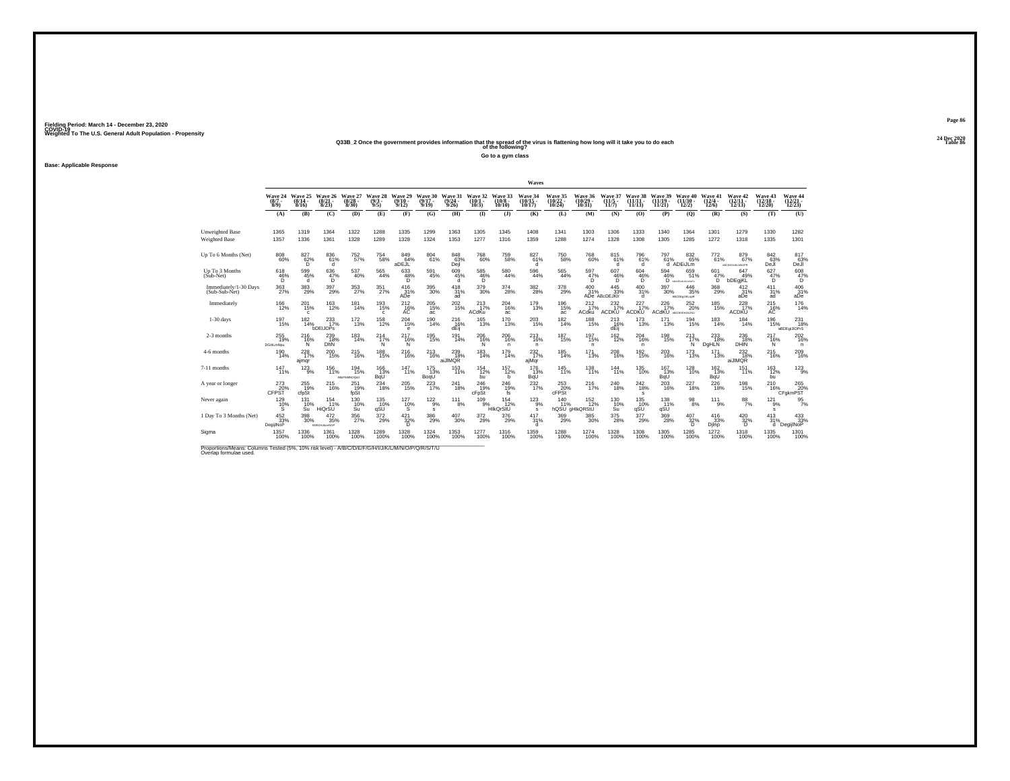#### **24 Dec 2020Q33B\_2 Once the government provides information that the spread of the virus is flattening how long will it take you to do each Table 86 of the following?**

**Go to a gym class**

**Base: Applicable Response**

|                                                                                                                              |                                       |                               |                                                  |                                 |                            |                              |                                       |                           |                              |                               | Waves                                 |                                           |                                 |                                     |                                    |                             |                                    |                              |                                 |                                           |                                       |
|------------------------------------------------------------------------------------------------------------------------------|---------------------------------------|-------------------------------|--------------------------------------------------|---------------------------------|----------------------------|------------------------------|---------------------------------------|---------------------------|------------------------------|-------------------------------|---------------------------------------|-------------------------------------------|---------------------------------|-------------------------------------|------------------------------------|-----------------------------|------------------------------------|------------------------------|---------------------------------|-------------------------------------------|---------------------------------------|
|                                                                                                                              | Wave 24<br>$(8/7 -$<br>$8/9$ )        | Wave 25<br>(8/14)<br>8/16     | Wave 26<br>$\frac{(8/21)}{8/23}$                 | Wave 27<br>(8/28)<br>8/30       | Wave 28<br>$(9/3 -$<br>9/5 | Wave 29<br>$(9/10 -$<br>9/12 | Wave 30<br>$9/17 -$<br>9/19           | Wave 31<br>(9/24)<br>9/26 | Wave 32<br>(10/1<br>$10/3$ ) | Wave 33<br>$(10/8 -$<br>10/10 | Wave 34<br>(10/15<br>10/17            | <b>Wave 35</b><br>$\frac{(10/22)}{10/24}$ | Wave 36<br>$(10/29 -$<br>10/31  | Wave 37<br>$(11/5 -$<br>11/7        | Wave 38<br>(11/1)<br>11/13         | Wave 39<br>(11/19)<br>11/21 | <b>Wave 40</b><br>(11/30)<br>12/2) | Wave 41<br>$(12/4 -$<br>12/6 | Wave 42<br>$(12/11 -$<br>12/13  | <b>Wave 43</b><br>$\frac{(12/18)}{12/20}$ | Wave 44<br>$\frac{(12/21)}{12/23}$    |
|                                                                                                                              | (A)                                   | (B)                           | (C)                                              | (D)                             | (E)                        | (F)                          | (G)                                   | (H)                       | $($ I                        | $($ $)$                       | (K)                                   | (L)                                       | (M)                             | (N)                                 | (0)                                | (P)                         | (Q)                                | (R)                          | (S)                             | (T)                                       | (U)                                   |
| Unweighted Base<br><b>Weighted Base</b>                                                                                      | 1365<br>1357                          | 1319<br>1336                  | 1364<br>1361                                     | 1322<br>1328                    | 1288<br>1289               | 1335<br>1328                 | 1299<br>1324                          | 1363<br>1353              | 1305<br>1277                 | 1345<br>1316                  | 1408<br>1359                          | 1341<br>1288                              | 1303<br>1274                    | 1306<br>1328                        | 1333<br>1308                       | 1340<br>1305                | 1364<br>1285                       | 1301<br>1272                 | 1279<br>1318                    | 1330<br>1335                              | 1282<br>1301                          |
| Up To 6 Months (Net)                                                                                                         | 808<br>60%                            | $^{827}_{\substack{62\%\\D}}$ | 836<br>61%<br>d                                  | 752<br>57%                      | <sup>754</sup> 58%         | 849<br>64%<br>aDEJL          | 804<br>61%                            | 848<br>63%<br>Dejl        | $^{768}_{60\%}$              | 759<br>58%                    | 827<br>61%<br>d                       | 750<br>58%                                | <sup>768</sup> 60%              | $815$ 61%<br>d.                     | 796<br>61%<br>d                    | 797<br>61%                  | 8326%<br>d ADEIJLm                 | $^{772}_{61\%}$              | 879<br>67%<br>ABCDEGUKLMNOPR    | 84263%<br>DeJI                            | 817<br>63%<br>DeJI                    |
| Up To 3 Months<br>(Sub-Net)                                                                                                  | 618<br>$^{46}_{D}$ %                  | 599<br>45%<br>d               | 636<br>47%                                       | 537<br>40%                      | 565<br>44%                 | 633<br>$^{48%}_{D}$          | 591<br>45%                            | 609<br>45%<br>d           | 585<br>$^{46\%}_{D}$         | 580<br>44%                    | 596<br>44%                            | 565<br>44%                                | 597<br>$\frac{47\%}{D}$         | 607<br>$^{46\%}_{D}$                | 604<br>46%                         | 594<br>46%                  | 659<br>51%<br>D ANDEGALKLANDA      | 601<br>47%<br>Ö,             | 647<br>49%<br>bDEgjKL           | 627<br>$^{47\%}_{D}$                      | $^{608}_{\  \  \, 47\%}_{\  \  \, D}$ |
| Immediately/1-30 Days<br>(Sub-Sub-Net)                                                                                       | $^{363}_{27\%}$                       | $^{383}_{29\%}$               | 397<br>29%                                       | 353<br>27%                      | 351<br>27%                 | 416<br>31%<br>ADe            | $^{395}_{\ 30\%}$                     | 418<br>31%<br>ad          | $^{379}_{30\%}$              | 374<br>28%                    | $^{382}_{\phantom{1}\phantom{1}28\%}$ | $^{378}_{29\%}$                           | $^{400}_{.31\%}$                | $\frac{445}{33\%}$<br>ADe ABcDEJKIr | 400 31%<br>d                       | 397<br>30%                  | $^{446}_{35\%}$<br>ABCDEgLIKLopR   | $^{368}_{\ 29\%}$            | $^{412}_{31\%}$<br>aDe          | $\frac{411}{31\%}$<br>ad                  | 406 31%<br>aDe                        |
| Immediately                                                                                                                  | $^{166}_{12\%}$                       | 201<br>15%<br>$\mathbf{c}$    | 163<br>12%                                       | 181<br>14%                      | 193<br>15%<br>$\mathbf{c}$ | $^{212}_{16\%}$              | $^{205}_{15\%}$<br>ac                 | $^{202}_{15\%}$           | $^{213}_{17\%}$<br>ACdKu     | $^{204}_{16\%}$<br>ac         | 179<br>13%                            | <sup>196</sup> 15%<br>ac                  | 212<br>17%<br>ACdku             | $^{232}_{17\%}$<br><b>ACDKU</b>     | 227<br>17%<br><b>ACDKU</b>         | $^{226}_{17\%}$<br>ACdKU    | $^{252}_{20\%}$<br>ABCOBIGHAUGUREJ | $^{185}_{15\%}$              | $^{228}_{17\%}$<br><b>ACDKU</b> | $^{215}_{16\%}$                           | 176<br>14%                            |
| $1-30$ days                                                                                                                  | 197<br>15%                            | 182<br>14%                    | 233<br>17%<br><b>bDEIJOPs</b>                    | 172<br>13%                      | $^{158}_{12\%}$            | $^{204}_{15\%}$<br>е         | 190<br>14%                            | 216<br>$dE_{ij}$          | 165<br>13%                   | 170<br>13%                    | 203<br>15%                            | 182<br>14%                                | 188<br>15%                      | 213<br>16%<br>dÉi                   | 173<br>13%                         | 171<br>13%                  | 194<br>15%                         | 183<br>14%                   | 184<br>14%                      | 196<br>15%                                | 231<br>18%<br>aBDEgIJIOPrS            |
| 2-3 months                                                                                                                   | $^{255}_{19\%}$<br><b>DGHLmNpu</b>    | 216<br>16%<br>N               | 239<br>18%<br><b>DhN</b>                         | 183<br>14%                      | $^{214}_{17\%}$<br>N       | 217<br>16%<br>N              | $^{195}_{15\%}$                       | 191<br>14%                | 206<br>16%<br>N              | $^{206}_{16\%}$<br>n.         | 213<br>16%<br>n.                      | $^{187}_{15\%}$                           | $^{197}_{15\%}$<br>$\mathsf{n}$ | $^{162}_{12\%}$                     | $^{204}_{\,16\%}$<br>n.            | 198<br>15%                  | 213<br>N                           | $^{233}_{18\%}$<br>DgHLN     | 236<br>18%<br><b>DHIN</b>       | $^{217}_{16\%}$<br>N                      | 202<br>16%<br>n.                      |
| 4-6 months                                                                                                                   | 190<br>14%                            | 228<br>17%<br>ajmqr           | 200<br>15%                                       | 215<br>16%                      | 188<br>15%                 | 216<br>16%                   | 213<br>16%                            | 239<br>18%<br>aiJIMQR     | 183<br>14%                   | 179<br>14%                    | 232<br>17%<br>ajMqr                   | $\frac{185}{14\%}$                        | 171<br>13%                      | 208<br>16%                          | $^{192}_{15\%}$                    | 203<br>16%                  | 173<br>13%                         | 171<br>13%                   | 232<br>18%<br>aiJIMQR           | 215<br>16%                                | 209<br>16%                            |
| 7-11 months                                                                                                                  | $^{147}_{11\%}$                       | $^{123}_{9\%}$                | $^{156}_{11\%}$                                  | $^{194}_{15\%}$<br>ABcFhIMNOQsU | 166<br>13%<br>BqU          | $^{147}_{11\%}$              | $\frac{175}{13\%}$<br>BoqU            | 153<br>11%                | $^{154}_{12\%}$<br>bu        | $^{157}_{12\%}$<br>b          | $^{176}_{13\%}$<br>BqU                | 145<br>11%                                | $^{138}_{11\%}$                 | $\frac{144}{11\%}$                  | 135<br>10%                         | 167<br>13%<br>BqU           | 128<br>10%                         | 162 13%<br>BqU               | 151 <sub>%</sub>                | 163%<br>bu                                | $^{123}_{9\%}$                        |
| A year or longer                                                                                                             | 273<br>20%<br>CFPST                   | 255<br>19%<br>cfpSt           | <sup>215</sup> <sub>16%</sub>                    | 251<br>19%<br>fpSt              | 234<br>18%                 | 205<br>15%                   | <sup>223</sup> <sub>17%</sub>         | 241<br>18%                | $^{246}_{19\%}$<br>cFpSt     | 246<br>19%<br>fs              | 232 <sub>%</sub>                      | $^{253}_{20\%}$<br>cFPSt                  | <sup>216</sup> <sub>17%</sub>   | 240<br>18%                          | <sup>242</sup> <sub>18%</sub><br>s | $^{203}_{16\%}$             | 227<br>18%                         | $^{226}_{18\%}$              | 198<br>15%                      | 210<br>16%                                | 265<br>20%<br>CFgkmPST                |
| Never again                                                                                                                  | 129<br>$^{10\%}$                      | 131<br>10%<br>Su              | 154<br>11%<br><b>HiQrSU</b>                      | 130<br>10%<br>Sü                | 135<br>10%<br>qSŬ          | 127<br>10%<br>`Š             | $^{122}_{9%}$<br><b>s</b>             | 111<br>8%                 | 109                          | 154<br>12%<br>9%<br>HikQrStU  | 123<br>9%<br>s                        | 140<br>11%                                | 152<br>12%<br>hQSU aHIkQRStU    | 130<br>10%<br>Sü                    | 135<br>10%<br>qSŨ                  | 138<br>11%<br>qSÙ           | 98<br>8%                           | 111<br>9%                    | 88<br>7%                        | 121<br>9%<br>s                            | $\frac{95}{7\%}$                      |
| 1 Day To 3 Months (Net)                                                                                                      | $\substack{452 \\ 33\%}$<br>DegijlNoP | 398<br>30%                    | $\substack{472 \\ 35\%}$<br><b>BDE GHUM HNOP</b> | 356<br>27%                      | $^{372}_{29\%}$            | $\frac{421}{32\%}$<br>D.     | $^{386}_{\phantom{1}\phantom{1}29\%}$ | 407<br>30%                | $^{372}_{29\%}$              | $^{376}_{29\%}$               | $\frac{417}{31\%}$<br>d               | $^{369}_{29\%}$                           | $^{385}_{\ 30\%}$               | $^{375}_{28\%}$                     | $^{377}_{29\%}$                    | 369<br>28%                  | $^{407}_{32\%}$<br>D.              | $^{416}_{33\%}$<br>Djinp     | 420/32%<br>D.                   | 413<br>31%<br>d                           | $^{433}_{33\%}$<br>DegijlNoP          |
| Sigma                                                                                                                        | 1357<br>100%                          | 1336<br>100%                  | 1361<br>100%                                     | 1328<br>100%                    | 1289<br>100%               | 1328<br>100%                 | 1324<br>100%                          | 1353<br>100%              | 1277<br>100%                 | 1316<br>100%                  | 1359<br>100%                          | 1288<br>100%                              | 1274<br>100%                    | 1328<br>100%                        | 1308<br>100%                       | 1305<br>100%                | 1285<br>100%                       | 1272<br>100%                 | 1318<br>100%                    | 1335<br>100%                              | 1301<br>100%                          |
| Proportions/Means: Columns Tested (5%, 10% risk level) - A/B/C/D/E/F/G/H/I/J/K/L/M/N/O/P/Q/R/S/T/U<br>Overlap formulae used. |                                       |                               |                                                  |                                 |                            |                              |                                       |                           |                              |                               |                                       |                                           |                                 |                                     |                                    |                             |                                    |                              |                                 |                                           |                                       |

**Page 86**24 Dec 2020<br>Table 86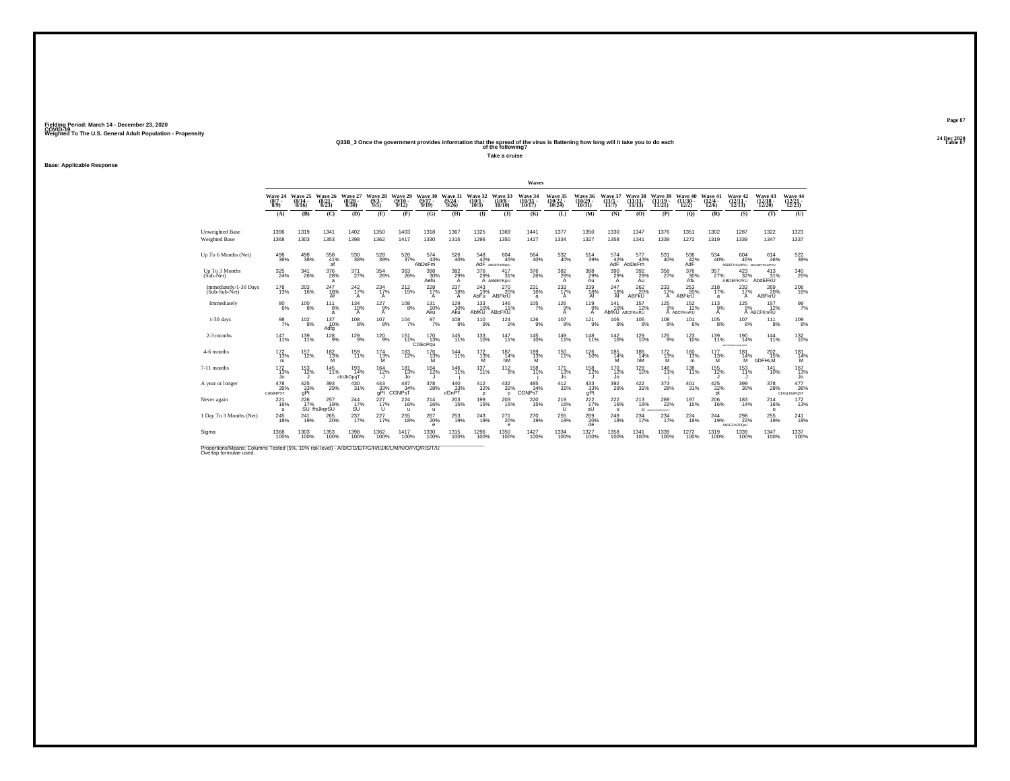#### **24 Dec 2020Q33B\_3 Once the government provides information that the spread of the virus is flattening how long will it take you to do each Table 87 of the following?**

**Take a cruise**

**Base: Applicable Response**

|                                                                                                                              |                            |                              |                                       |                              |                                             |                                  |                              |                              |                                                                                   |                                | Waves                          |                                        |                                  |                              |                                |                                       |                                |                                       |                                               |                                    |                                                            |
|------------------------------------------------------------------------------------------------------------------------------|----------------------------|------------------------------|---------------------------------------|------------------------------|---------------------------------------------|----------------------------------|------------------------------|------------------------------|-----------------------------------------------------------------------------------|--------------------------------|--------------------------------|----------------------------------------|----------------------------------|------------------------------|--------------------------------|---------------------------------------|--------------------------------|---------------------------------------|-----------------------------------------------|------------------------------------|------------------------------------------------------------|
|                                                                                                                              | Wave 24<br>$(8/7 -$<br>8/9 | Wave 25<br>$(8/14 -$<br>8/16 | Wave 26<br>(8/21<br>8/23              | Wave 27<br>(8/28)<br>8/30    | Wave 28<br>(9/3 -<br>9/5                    | Wave 29<br>$(9/10 -$<br>9/12     | Wave 30<br>$(9/17 -$<br>9/19 | Wave 31<br>$(9/24 -$<br>9/26 | Wave 32<br>$(10/1 -$<br>10/3)                                                     | Wave 33<br>$(10/8 -$<br>10/10  | Wave 34<br>$(10/15 -$<br>10/17 | Wave 35<br>(10/22<br>10/24             | Wave 36<br>$(10/29 -$<br>10/31   | Wave 37<br>$(11/5 -$<br>11/7 | Wave 38<br>(11/11)<br>11/13)   | Wave 39<br>(11/19)<br>11/21           | Wave 40<br>$(11/30 -$<br>12/2) | Wave 41<br>$\frac{(12/4 - 12)}{12/6}$ | Wave 42<br>$(12/11 -$<br>12/13                | Wave 43<br>$\frac{(12/18)}{12/20}$ | Wave 44<br>$\binom{12/21}{12/23}$                          |
|                                                                                                                              | (A)                        | (B)                          | (C)                                   | (D)                          | (E)                                         | (F)                              | (G)                          | (H)                          | $($ I                                                                             | $($ $\Gamma$                   | (K)                            | (L)                                    | (M)                              | (N)                          | (0)                            | (P)                                   | $\mathbf{Q}$                   | (R)                                   | (S)                                           | (T)                                | (U)                                                        |
| Unweighted Base<br>Weighted Base                                                                                             | 1396<br>1368               | 1319<br>1303                 | 1341<br>1353                          | 1402<br>1398                 | 1350<br>1362                                | 1403<br>1417                     | 1318<br>1330                 | 1367<br>1315                 | 1325<br>1296                                                                      | 1369<br>1350                   | 1441<br>1427                   | 1377<br>1334                           | 1350<br>1327                     | 1330<br>1358                 | 1347<br>1341                   | 1376<br>1339                          | 1351<br>1272                   | 1302<br>1319                          | 1287<br>1339                                  | 1322<br>1347                       | 1323<br>1337                                               |
| Up To 6 Months (Net)                                                                                                         | $^{498}_{\ 36\%}$          | $^{498}_{38\%}$              | 558<br>41%<br>af                      | 530<br>38%                   | $^{528}_{39\%}$                             | 526<br>37%                       | $\frac{574}{43\%}$<br>AbDeFm | 526<br>40%                   | $\underset{\mathsf{AdF}}{548}\underset{\mathsf{ad}}{\mathsf{}}\mathsf{^{64}2\%}}$ | 604<br>45%<br>ABDEFINOMorU     | 564<br>40%                     | $\substack{532 \\ 40\%}$               | 514<br>39%                       | $^{574}_{\AA\Xi^{2\%}}$      | 577<br>43%<br>AbDeFm           | 531<br>40%                            | $^{536}_{\rm{42\%}}$           | 534<br>40%                            | 604<br>45%<br>ABDEFHKLMPrU ABcDEFHKLMPRU      | 614<br>46%                         | $\substack{522 \\ 39\%}$                                   |
| Up To 3 Months<br>(Sub-Net)                                                                                                  | $\substack{325 \\ 24\%}$   | 341<br>26%                   | $\frac{376}{28\%}$<br>a               | 371<br>27%                   | $^{354}_{26\%}$                             | 363<br>26%                       | 398<br>30%<br>Aefu           | 382<br>$^{29%}_{A}$          | 376<br>29%                                                                        | 417<br>31%<br>A ABdEFKpU       | 376<br>26%                     | $^{382}_{\substack{29\%\\\mathrm{A}}}$ | 388<br>29%<br>Au                 | $^{390}_{\  \  \, 29\%}$     | 392<br>29%<br>Aù               | 358<br>27%                            | 376<br>30%<br>Afu              | 357<br>27%                            | 423<br>32%<br>ABDEFKPrU AbdEFKU               | 413<br>31%                         | $\substack{340 \\ 25\%}$                                   |
| Immediately/1-30 Days<br>(Sub-Sub-Net)                                                                                       | $^{178}_{13\%}$            | 203<br>16%                   | $^{247}_{18\%}$<br>Af                 | $^{242}_{17\%}$<br>А         | 234<br>17%<br>A                             | $^{212}_{15\%}$                  | $^{228}_{17\%}$<br>A         | 237<br>18%<br>A              | 243<br>19%<br>AbFu                                                                | 270 20%<br>ABFkrU              | 231<br>16%<br>a                | $^{233}_{17\%}$<br>$\overline{A}$      | 239<br>18%<br>Af                 | 247<br>18%<br>Af             | 262%<br>ABFKU                  | 233<br>17%<br>A                       | $^{253}_{20\%}$<br>ABFkrU      | $^{218}_{17\%}$<br>a                  | 233<br>A                                      | 269<br>20%<br>ABFkrU               | $^{208}_{16\%}$                                            |
| Immediately                                                                                                                  | $\substack{80\\6\%}$       | $^{100}_{8\%}$               | $^{11}$ <sub>8%</sub><br>a            | $^{134}_{10\%}$<br>А         | $^{127}_{9\%}$<br>A                         | $^{108}_{8\%}$                   | $^{131}_{10\%}$<br>Aku       | 129 10%<br>Aku               | $^{133}_{10\%}$<br><b>AbfKU</b>                                                   | 146<br>11%<br>ABcFKU           | $105$ <sub>7%</sub>            | $^{126}_{9%}$<br>A                     | $^{119}_{9\%}$<br>A              | 141<br>10%                   | 157<br>12%<br>AbfKU ABCFKmRU   | $^{125}_{9%}$                         | $^{152}_{12\%}$<br>A ABCFKmRU  | $^{113}_{9\%}$<br>A                   | $^{125}_{9\%}$                                | 157<br>12%<br>A ABCFKmRU           | $\frac{99}{7\%}$                                           |
| $1-30$ days                                                                                                                  | $\frac{98}{7\%}$           | 102<br>8%                    | 137<br>10%<br>Adfg                    | 108<br>8%                    | 107<br>8%                                   | 104<br>7%                        | 97<br>7%                     | 108<br>8%                    | 110<br>9%                                                                         | 124<br>9%                      | 126<br>9%                      | 107<br>8%                              | 121<br>9%                        | 106<br>8%                    | 105<br>8%                      | 108<br>8%                             | 101<br>8%                      | 105<br>8%                             | 107<br>8%                                     | 111<br>8%                          | $\frac{109}{8\%}$                                          |
| 2-3 months                                                                                                                   | $^{147}_{11\%}$            | 139<br>11%                   | $\frac{128}{9\%}$                     | $^{129}_{9\%}$               | $^{120}_{9\%}$                              | 151<br>11%                       | $^{170}_{13\%}$<br>CDEoPqu   | 145<br>11%                   | $^{133}_{10\%}$                                                                   | $^{147}_{11\%}$                | $^{145}_{10\%}$                | 149<br>11%                             | $^{148}_{11\%}$                  | $^{142}_{10\%}$              | <sup>129</sup><br>10%          | $^{125}_{-9\%}$                       | $^{123}_{10\%}$                | $^{139}_{11\%}$                       | 190<br>14%<br><b>INDPORTU</b><br><b>MCOGO</b> | $^{144}_{11\%}$                    | $^{132}_{10\%}$                                            |
| 4-6 months                                                                                                                   | $\frac{172}{13\%}$<br>m    | 157<br>12%                   | $\frac{182}{13\%}$                    | 159<br>11%                   | $^{174}_{\hphantom{1}13\%}_{\hphantom{1}M}$ | $^{163}_{12\%}$                  | 176<br>$\frac{13\%}{M}$      | 144<br>11%                   | $^{172}_{\substack{13\% \ \text{M}}}$                                             | 187<br>hM                      | 189<br>$\frac{13}{M}$          | 150<br>11%                             | $^{126}_{10\%}$                  | 185<br>14%<br>M              | $\underset{\text{hM}}{^{186}}$ | $^{172}_{\substack{13\% \ \text{M}}}$ | 160<br>13%<br>m                | 177<br>$^{13\%}_{M}$                  | 181<br>$^{14\%}_{M}$                          | 202<br>15%<br><b>bDFHLM</b>        | $\underset{\begin{array}{c}181\\14\%\\ \end{array}}{14\%}$ |
| 7-11 months                                                                                                                  | $^{172}_{13\%}$<br>Jo      | $^{153}_{12\%}$              | $^{145}_{11\%}$                       | $^{193}_{14\%}$<br>chlJkOpqT | $164 \atop 12\%$                            | $^{181}_{13\%}$<br>Jo            | $164$<br>$12%$               | 146<br>11%                   | $^{137}_{11\%}$                                                                   | $^{112}_{8\%}$                 | 158<br>11%                     | $^{171}_{13\%}$<br>Jo                  | <sup>158</sup><br>12%<br>$\cdot$ | 170<br>12%<br>Jo             | $^{129}_{10\%}$                | 148<br>11%                            | $^{138}_{11\%}$                | $155$<br>$12\%$                       | 153<br>11%                                    | 141<br>10%                         | $\frac{167}{13\%}$<br>Jo                                   |
| A year or longer                                                                                                             | 478<br>35%<br>CdGINPST     | $^{425}_{33\%}$ gPt          | $^{393}_{\phantom{1}29\%}$            | $^{430}_{31\%}$              | $^{443}_{33\%}$ gPt                         | $^{487}_{34\%}$<br><b>CGNPST</b> | 378<br>28%                   | 440<br>33%<br>cGnPT          | $^{412}_{32\%}$<br>P                                                              | $^{432}_{32\%}$<br>D           | $^{485}_{34\%}$<br>CGNPST      | $^{412}_{31\%}$                        | $^{433}_{33\%}$ gPt              | $^{392}_{\phantom{1}29\%}$   | $\frac{422}{31\%}$             | 373<br>28%                            | 401%                           | 425/32%<br>pt                         | 399<br>30%                                    | 378<br>28%                         | $\frac{477}{36\%}$<br>CDGLNoPqST                           |
| Never again                                                                                                                  | 221<br>16%<br>$\mathbf{u}$ | 226                          | 257<br>19%<br>17% 19%<br>SU fhiJkqrSU | 244<br>$\frac{17}{9}$        | 227<br>$^{17\%}_{U}$                        | 224<br>16%<br>$\mathbf{u}$       | 214<br>16%<br>$\mathbf{u}$   | 203<br>15%                   | $\frac{199}{15\%}$                                                                | 203<br>15%                     | 220<br>15%                     | 219<br>16%<br>u                        | $^{222}_{17\%}$<br>sU            | 222<br>16%<br>$\mathbf{u}$   | 213<br>16%<br>$\mathbf{u}$     | 289<br>22%<br>ARCHIVAGO MACCHINE      | 197<br>15%                     | 206<br>16%                            | 183<br>14%                                    | 214<br>16%<br>$\mathbf{u}$         | $\frac{172}{13\%}$                                         |
| 1 Day To 3 Months (Net)                                                                                                      | $^{245}_{18\%}$            | 241<br>19%                   | $^{265}_{20\%}$                       | 237<br>17%                   | 227%                                        | $^{255}_{18\%}$                  | $^{267}_{20\%}$<br>е         | $^{253}_{19\%}$              | $^{243}_{19\%}$                                                                   | $^{271}_{20\%}$<br>$\mathbf e$ | 270<br>19%                     | $^{255}_{19\%}$                        | 269 20%<br>de                    | $^{249}_{18\%}$              | $^{234}_{17\%}$                | 234                                   | $^{224}_{18\%}$                | 244<br>19%                            | $^{298}_{22\%}$<br><b>AbDEFinOPOrU</b>        | $^{255}_{19\%}$                    | $^{241}_{18\%}$                                            |
| Sigma                                                                                                                        | 1368<br>100%               | 1303<br>100%                 | 1353<br>100%                          | 1398<br>100%                 | 1362<br>100%                                | 1417<br>100%                     | 1330<br>100%                 | 1315<br>100%                 | 1296<br>100%                                                                      | 1350<br>100%                   | 1427<br>100%                   | 1334<br>100%                           | 1327<br>100%                     | 1358<br>100%                 | 1341<br>100%                   | 1339<br>100%                          | 1272<br>100%                   | 1319<br>100%                          | 1339<br>100%                                  | 1347<br>100%                       | 1337<br>100%                                               |
| Proportions/Means: Columns Tested (5%, 10% risk level) - A/B/C/D/E/F/G/H/I/J/K/L/M/N/O/P/Q/R/S/T/U<br>Overlap formulae used. |                            |                              |                                       |                              |                                             |                                  |                              |                              |                                                                                   |                                |                                |                                        |                                  |                              |                                |                                       |                                |                                       |                                               |                                    |                                                            |

**Page 8724 Dec 2020<br>Table 87**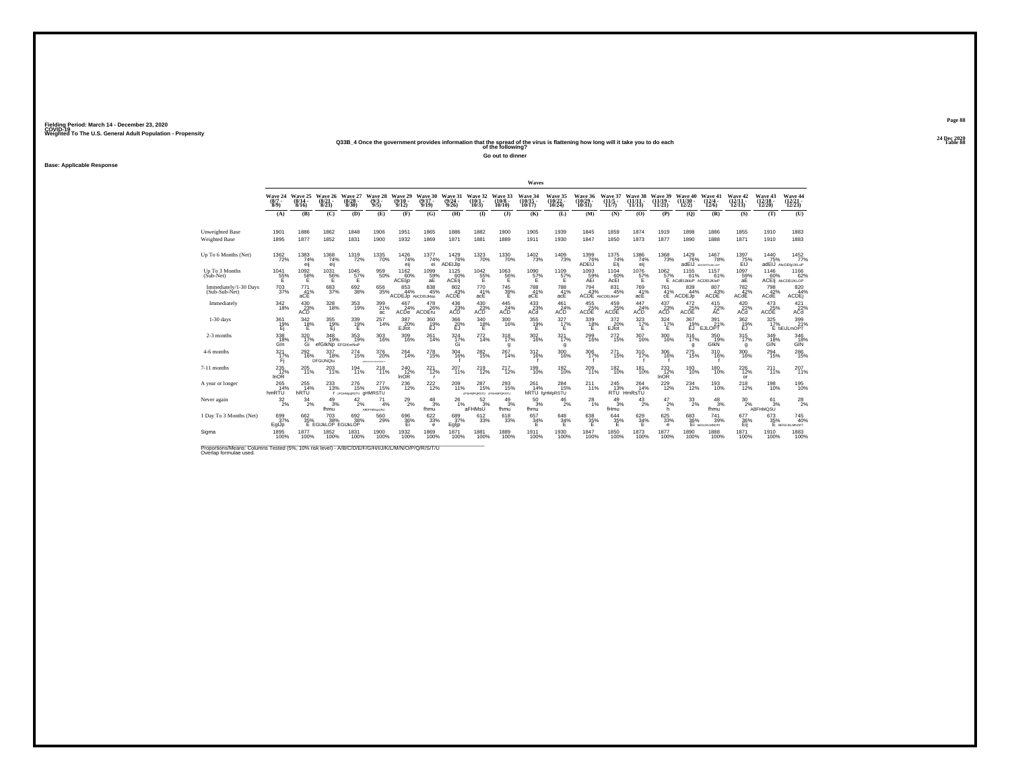#### **24 Dec 2020Q33B\_4 Once the government provides information that the spread of the virus is flattening how long will it take you to do each Table 88 of the following?**

**Go out to dinner**

**Base: Applicable Response**

|                                                                                                                             |                                |                                                                                            |                                        |                                          |                                              |                                  |                               |                                                                  |                                                            |                               | Waves                          |                                          |                             |                                                          |                                    |                                     |                                        |                                       |                                          |                                                        |                                                      |
|-----------------------------------------------------------------------------------------------------------------------------|--------------------------------|--------------------------------------------------------------------------------------------|----------------------------------------|------------------------------------------|----------------------------------------------|----------------------------------|-------------------------------|------------------------------------------------------------------|------------------------------------------------------------|-------------------------------|--------------------------------|------------------------------------------|-----------------------------|----------------------------------------------------------|------------------------------------|-------------------------------------|----------------------------------------|---------------------------------------|------------------------------------------|--------------------------------------------------------|------------------------------------------------------|
|                                                                                                                             | Wave 24<br>$(8/7 -$<br>$8/9$ ) | Wave 25<br>(8/14)<br>8/16                                                                  | Wave 26<br>(8/2)<br>8/23               | Wave 27<br>(8/28)<br>8/30                | Wave 28<br>$(9/3 -$<br>9/5                   | Wave 29<br>$(9/10 -$<br>9/12     | Wave 30<br>$(9/17 -$<br>9/19  | Wave 31<br>(9/24)<br>9/26                                        | Wave 32<br>(10/<br>10/3)                                   | Wave 33<br>$(10/8 -$<br>10/10 | Wave 34<br>$(10/15 -$<br>10/17 | <b>Wave 35</b><br>(10/22)<br>10/24       | Wave 36<br>(10/29)<br>10/31 | Wave 37<br>$(11/5 -$<br>11/7                             | <b>Wave 38</b><br>(11/11)<br>11/13 | Wave 39<br>$(11/19 -$<br>11/21      | Wave<br>.40<br>$(11/30 -$<br>12/2)     | Wave 41<br>$(12/4 -$<br>12/6          | Wave 42<br>$\frac{(12/11)}{12/13}$       | Wave 43<br>(12/18 -<br>12/20                           | Wave 44<br>(12/21 -<br>12/23)                        |
|                                                                                                                             | (A)                            | (B)                                                                                        | (C)                                    | (D)                                      | (E)                                          | (F)                              | (G)                           | (H)                                                              | $($ I                                                      | $($ $)$                       | (K)                            | (L)                                      | (M)                         | (N)                                                      | (O)                                | (P)                                 | (Q)                                    | (R)                                   | (S)                                      | (T)                                                    | (U)                                                  |
| Unweighted Base<br><b>Weighted Base</b>                                                                                     | 1901<br>1895                   | 1886<br>1877                                                                               | 1862<br>1852                           | 1848<br>1831                             | 1906<br>1900                                 | 1951<br>1932                     | 1865<br>1869                  | 1886<br>1871                                                     | 1882<br>1881                                               | 1900<br>1889                  | 1905<br>1911                   | 1939<br>1930                             | 1845<br>1847                | 1859<br>1850                                             | 1874<br>1873                       | 1919<br>1877                        | 1898<br>1890                           | 1886<br>1888                          | 1855<br>1871                             | 1910<br>1910                                           | 1883<br>1883                                         |
| Up To 6 Months (Net)                                                                                                        | $1362 \over 72\%$              | $^{1383}_{74\%}$<br>eij                                                                    | $^{1368}_{74\%}$<br>eij                | 1319<br>72%                              | <sup>1335</sup> 70%                          | $\frac{1426}{74%}$<br>eij        | 1377<br>74%<br>ei             | $1429$<br>$76%$<br>ADEIJIp                                       | <sup>1323</sup> 70%                                        | 1330<br>70%                   | $\frac{1402}{73\%}$            | 1409<br>73%                              | $^{1399}_{-76\%}$<br>ADEIJ  | $^{1375}_{74\%}$<br>Elj                                  | 1386<br>74%<br>eij                 | $^{1368}_{-73\%}$                   | $\frac{1429}{76\%}$<br>adEIJ           | <sup>1467</sup> 78%<br>ABCOEFGUIKLHOP | $^{1397}_{75\%}$<br>EŇ                   | 1440<br>75%                                            | 1452<br>77%<br>adEIJ AbcDEfgIJKLoP                   |
| Up To 3 Months<br>(Sub-Net)                                                                                                 | 1041<br>55%                    | 1092<br>58%                                                                                | 1031<br>$^{56\%}$                      | 1045<br>$\frac{57}{5}$                   | 959<br>50%                                   | 1162<br>60%<br>ACEIp             | 1099<br>$59\%$ aE             | 1125<br>ACEIJ                                                    | $^{1042}_{~55\%}$                                          | 1063<br>56%                   | 1090<br>57%<br>Έ               | 1109<br>$57\%$                           | 1093<br>59%<br>AEi          | 1104<br>60%<br>AcEI                                      | 1076<br>$^{57\%}_{E}$              | 1062<br>57%                         | 1155<br>61%<br>E ACdEIJkloP ACDEIJKloP | 1157<br>61%                           | 1097<br>$rac{59}{aE}$                    | 1146                                                   | 1166<br>62%<br>60% 62°<br>ACEII AbCDEUKLOP           |
| Immediately/1-30 Days<br>(Sub-Sub-Net)                                                                                      | $^{703}_{\ 37\%}$              | $^{771}_{41\%}$<br>aCE                                                                     | 683                                    | $^{692}_{38\%}$                          | $\substack{656 \\ 35\%}$                     | 853<br>44%<br>ACDEJp AbCDEiJklop | 838<br>45%                    | 802 43%<br><b>ACDE</b>                                           | 770<br>41%<br>acE                                          | 745<br>39%<br>Ë.              | $^{788}_{41\%}$<br>aCE         | 788<br>41%<br>acE                        | $^{794}_{43\%}$             | 831<br>45%<br>ACDE AbCDEURIOP                            | 769<br>41%<br>acE                  | <sup>761</sup> <sub>41%</sub><br>cE | 839<br>44%<br>ACDEJ <sub>p</sub>       | 807<br>43%<br>ACDE                    | $^{782}_{42\%}$<br>ACdE                  | 798<br>42%<br>ACdE                                     | 820<br>44%<br>ACDEj                                  |
| Immediately                                                                                                                 | $^{342}_{18\%}$                | $^{430}_{\vphantom{1}\vphantom{1}23\%}_{\vphantom{1}\vphantom{1}\smash{\lambda\cup1}}$ ACD | 328<br>18%                             | 353<br>19%                               | 399<br>21%<br>ac                             | 467<br>24%<br>ACDe               | 478<br>26%<br>ACDEru          | $^{436}_{\phantom{1}\phantom{1}\phantom{1}23\%}_{\Lambda\rm CD}$ | $^{430}_{\vphantom{1}\vphantom{1}23\%}_{\Lambda\text{CD}}$ | 445<br>$ACD$ <sup>24%</sup>   | $^{433}_{23\%}$<br>ACd         | $^{461}_{24\%}$ ACD                      | $^{455}_{25\%}$ ACDE        | $\overset{459}{\underset{\mathsf{ACDE}}{\mathsf{25\%}}}$ | 447<br>$\overline{24\%}$ ACD       | $^{437}_{23\%}$ ACD                 | $\mathcal{A}_{25\%}^{472}$<br>ACDE     | $^{415}_{22\%}$                       | $^{420}_{\substack{22 \\ \textrm{ACd}}}$ | $\overset{473}{\underset{\text{ACDE}}{\sum\text{25}}}$ | $^{421}_{\substack{22 \\ \scriptsize \textrm{AGd}}}$ |
| $1-30$ days                                                                                                                 | 361<br>$\frac{19}{15}$         | 342<br>18%                                                                                 | 355<br>$\frac{19}{15}$                 | 339<br>$^{19%}$                          | 257<br>14%                                   | 387<br>$E$ <sub>Jlot</sub>       | 360<br>19%                    | 366<br>$\frac{20}{E}$                                            | 340<br>$^{18\%}$                                           | 300<br>16%                    | 355<br>$^{19}_{E}$ %           | 327<br>$17\%$                            | 339<br>$^{18\%}$            | 372<br>EJlot                                             | 323<br>$\frac{17}{5}$ %            | 324<br>$\frac{17}{5}$ %             | 367<br>19%                             | 391<br>$\text{EJLOPT}^{21\%}$         | 362<br>$^{19\%}_{EJ}$                    | 325<br>17%                                             | 399<br>17% 21%<br>E bEiJLmOPT                        |
| 2-3 months                                                                                                                  | 338<br>Gln                     | $\frac{320}{17\%}$<br>Gi                                                                   | 348<br>19%<br>efGIkNp EFGIKmNoP        | 353<br>19%                               | $303 \atop 16\%$                             | $^{309}_{16\%}$                  | 261<br>14%                    | $\frac{324}{17\%}$<br>Gi                                         | $^{272}_{14\%}$                                            | 318 <sub>7%</sub><br>g        | $^{302}_{\,16\%}$              | 321%<br>g                                | $^{299}_{16\%}$             | 272 <sub>0%</sub>                                        | $^{307}_{16\%}$                    | $\frac{300}{16\%}$                  | 316 %<br>$\mathbf{q}$                  | 350<br>19%<br>GIkN                    | 315/17%<br>g                             | 349<br>18%<br>GIN                                      | 346<br>18%<br>GIN                                    |
| 4-6 months                                                                                                                  | 321<br>17%<br>Fi               | 292<br>16%                                                                                 | 337<br>18%<br>DFGIJNQtu                | 274<br>15%                               | 376<br>20%<br><b>APROVE</b><br><b>AMORES</b> | 264<br>14%                       | 278<br>15%                    | 304<br>16%                                                       | 282<br>15%                                                 | 267<br>14%                    | 312<br>16%                     | 300<br>16%                               | 306<br>17%                  | 271<br>15%                                               | 310<br>17%                         | 306<br>16%                          | 275<br>15%                             | 310<br>16%                            | 300<br>16%                               | 294<br>15%                                             | 286<br>15%                                           |
| 7-11 months                                                                                                                 | $^{235}_{12\%}$<br><b>InOR</b> | 205<br>11%                                                                                 | 203<br>11%                             | $^{194}_{11\%}$                          | 218<br>11%                                   | $^{240}_{12\%}$<br>InOR          | 221<br>12%                    | 207<br>11%                                                       | $^{219}_{12\%}$                                            | <sup>217</sup> <sub>12%</sub> | 199<br>10%                     | $^{192}_{10\%}$                          | 209<br>11%                  | $^{182}_{10\%}$                                          | $^{181}_{10\%}$                    | $^{233}_{12\%}$<br><b>InOR</b>      | 193<br>10%                             | $^{180}_{10\%}$                       | $^{226}_{12\%}$<br>or                    | $^{211}_{11\%}$                                        | $^{207}_{11\%}$                                      |
| A year or longer                                                                                                            | $^{265}_{14\%}$<br>hmRTU       | $^{255}_{14\%}$<br>hRTU                                                                    | 233                                    | $^{276}_{15\%}$<br>I dFGHMpgRSTU GHMRSTU | 277<br>15%                                   | $^{236}_{\hphantom{1}12\%}$      | 222 <sub>%</sub>              | $^{209}_{11\%}$                                                  | $^{287}_{15\%}$<br>dFGHMPdRSTU dFGHMPQRSTU                 | 293<br>15%                    | $^{261}_{14\%}$                | $^{284}_{15\%}$<br><b>hRTU</b> faHMpRSTU | $^{211}_{11\%}$             | $^{245}_{13\%}$                                          | $^{264}_{14\%}$<br>RTU HmRsTU      | $^{229}_{12\%}$                     | 234<br>12%                             | 193<br>10%                            | <sup>218</sup> <sub>12%</sub>            | 198<br>10%                                             | 195<br>10%                                           |
| Never again                                                                                                                 | $\frac{32}{2\%}$               | 34<br>2%                                                                                   | $^{49}_{3\%}$<br>fhmu                  | 42<br>2%                                 | 71<br>4%<br>ABDFHIMseQSU                     | $^{29}_{2\%}$                    | $\frac{48}{3%}$<br>fhmu       | 26<br>1%                                                         | 52<br>3%<br><sup>"</sup> aFHMsŪ                            | 49<br>3%<br>fhmu              | 50<br>3%<br>fhmu               | 46<br>2%                                 | 28<br>1%                    | 49<br>3%<br>fHmu                                         | 43<br>2%                           | 47<br>2%<br>h                       | $\frac{33}{2\%}$                       | 48<br>3%<br>fhmu                      | 30<br>2%                                 | 61<br>3%<br>ABFHMQSU                                   | $^{28}_{2\%}$                                        |
| 1 Day To 3 Months (Net)                                                                                                     | 699<br>37%<br>EglJp            | 662<br>35%                                                                                 | $^{703}_{38\%}$<br>E EGIJKLOP EGIJKLOP | 692 38%                                  | 560<br>29%                                   | 696<br>36%<br>Ei                 | $\substack{622 \\ 33\%}$<br>e | 689<br>37%<br>Egljp                                              | $\substack{612 \\ 33\%}$                                   | 618<br>33%                    | 657<br>34%<br>F                | $^{648}_{34\%}$<br>Е                     | 638<br>35%<br>F             | $644 \over 35\%$                                         | 629/34%<br>Ε                       | $\substack{625 \\ 33\%}$<br>е       | 683<br>36%                             | 741<br>39%<br>Ei <b>bEGUKLMNOP</b>    | 677<br>36%<br>Eij                        | 673<br>35%                                             | <sup>745</sup> <sub>40%</sub><br>E BEIGUKLMNOPT      |
| Sigma                                                                                                                       | 1895<br>100%                   | 1877<br>100%                                                                               | 1852<br>100%                           | 1831<br>100%                             | 1900<br>100%                                 | 1932<br>100%                     | 1869<br>100%                  | 1871<br>100%                                                     | 1881<br>100%                                               | 1889<br>100%                  | 1911<br>100%                   | 1930<br>100%                             | 1847<br>100%                | 1850<br>100%                                             | 1873<br>100%                       | 1877<br>100%                        | 1890<br>100%                           | 1888<br>100%                          | 1871<br>100%                             | 1910<br>100%                                           | 1883<br>100%                                         |
| Proportions/Means: Columns Tested (5%, 10% risk level) - A/B/C/D/E/F/G/H/I/J/K/L/M/N/O/P/Q/R/S/T/U<br>Overlap formulae used |                                |                                                                                            |                                        |                                          |                                              |                                  |                               |                                                                  |                                                            |                               |                                |                                          |                             |                                                          |                                    |                                     |                                        |                                       |                                          |                                                        |                                                      |

**Page 8824 Dec 2020<br>Table 88**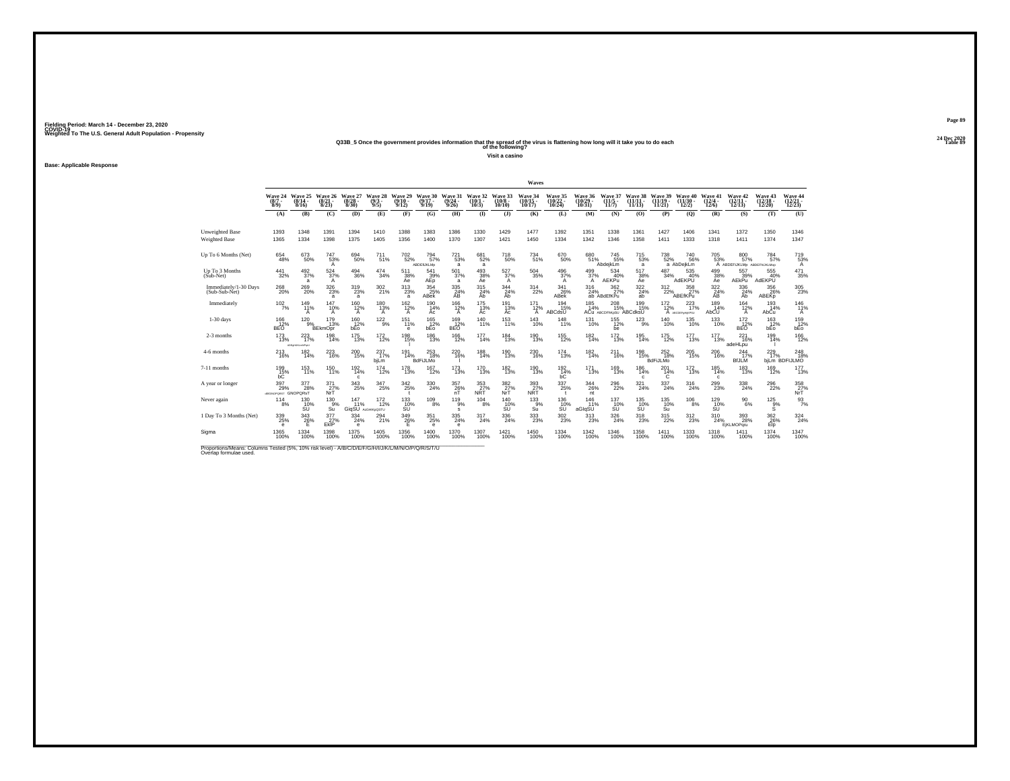#### **24 Dec 2020Q33B\_5 Once the government provides information that the spread of the virus is flattening how long will it take you to do each Table 89 of the following?**

**Visit a casino**

**Base: Applicable Response**

|                                        |                                                      |                                   |                                                          |                                  |                            |                                 |                              |                                         |                              |                                       | Waves                                        |                                    |                                |                                           |                                |                                |                                    |                                 |                                                     |                                    |                                             |
|----------------------------------------|------------------------------------------------------|-----------------------------------|----------------------------------------------------------|----------------------------------|----------------------------|---------------------------------|------------------------------|-----------------------------------------|------------------------------|---------------------------------------|----------------------------------------------|------------------------------------|--------------------------------|-------------------------------------------|--------------------------------|--------------------------------|------------------------------------|---------------------------------|-----------------------------------------------------|------------------------------------|---------------------------------------------|
|                                        | Wave 24<br>$(8/7 -$<br>8/9                           | Wave 25<br>$(8/14 -$<br>8/16      | Wave 26<br>$\binom{8/21}{8/23}$                          | Wave 27<br>$\frac{(8/28)}{8/30}$ | Wave 28<br>$(9/3 -$<br>9/5 | Wave 29<br>$(9/10 -$<br>9/12    | Wave 30<br>$(9/17 -$<br>9/19 | Wave 31<br>$\frac{(9/24 - 9/26)}{9/26}$ | Wave 32<br>$(10/1 -$<br>10/3 | Wave 33<br>$(10/8 -$<br>10/10         | Wave 34<br>$(10/15 -$<br>10/17               | Wave 35<br>$\frac{(10/22)}{10/24}$ | Wave 36<br>$(10/29 -$<br>10/31 | Wave 37<br>$\frac{(11/5)}{11/7}$          | Wave 38<br>$(11/11 -$<br>11/13 | Wave 39<br>$(11/19 -$<br>11/21 | Wave 40<br>$(11/30 -$<br>12(2)     | Wave 41<br>$\binom{12/4}{12/6}$ | Wave 42<br>$\frac{(12/11)}{12/13}$                  | Wave 43<br>$\frac{(12/18)}{12/20}$ | Wave 44<br>$\frac{(12/21)}{12/23}$          |
|                                        | (A)                                                  | (B)                               | (C)                                                      | (D)                              | (E)                        | (F)                             | (G)                          | (H)                                     | $($ I                        | $($ $)$                               | (K)                                          | (L)                                | (M)                            | (N)                                       | (O)                            | (P)                            | (Q)                                | (R)                             | (S)                                                 | (T)                                | (U)                                         |
| Unweighted Base<br>Weighted Base       | 1393<br>1365                                         | 1348<br>1334                      | 1391<br>1398                                             | 1394<br>1375                     | 1410<br>1405               | 1388<br>1356                    | 1383<br>1400                 | 1386<br>1370                            | 1330<br>1307                 | 1429<br>1421                          | 1477<br>1450                                 | 1392<br>1334                       | 1351<br>1342                   | 1338<br>1346                              | 1361<br>1358                   | 1427<br>1411                   | 1406<br>1333                       | 1341<br>1318                    | 1372<br>1411                                        | 1350<br>1374                       | 1346<br>1347                                |
| Up To 6 Months (Net)                   | $^{654}_{48\%}$                                      | 673<br>50%                        | <sup>747</sup> 53%<br>A                                  | 694<br>50%                       | 711 <sub>%</sub>           | $^{702}_{52\%}$                 | 794<br>57%<br>ABDEfUKLMo     | $^{721}_{53\%}$<br>a                    | 681<br>52%<br>a              | $^{718}_{50\%}$                       | 734<br>51%                                   | 670 50%                            | 680<br>51%                     | <sup>745</sup> 55%<br>AbdejkLm            | 715<br>53%<br>a                | $\substack{738 \\ 52\%}$       | <sup>740</sup> 56%<br>a AbDejkLm   | 705<br>53%                      | 800<br>57%<br>A ABDEFIJKLMp ABDEFIJKLMco            | 784<br>57%                         | $^{719}_{53\%}$<br>$\mathsf{A}$             |
| Up To 3 Months<br>(Sub-Net)            | 441<br>32%                                           | 492<br>37%<br>a                   | 524<br>37%<br>Α                                          | 494<br>36%                       | 474<br>34%                 | 511<br>38%<br>Aė                | 541<br>39%<br>AEp            | 501<br>37%<br>a                         | 493<br>38%<br>Ae             | 527<br>37%<br>Α                       | 504<br>35%                                   | $\frac{496}{37\%}$<br>A            | $\frac{499}{37\%}$             | 534<br>40%<br>AEKPu                       | 517<br>38%<br>Ae               | 487<br>34%                     | 535<br>40%<br>AdEKPU               | 499<br>38%<br>Ae                | 557<br>39%<br>AEkPu                                 | 555<br>40%<br>AdEKPU               | $\substack{471 \\ 35\%}$                    |
| Immediately/1-30 Days<br>(Sub-Sub-Net) | $^{268}_{\,20\%}$                                    | <sup>269</sup> <sub>20%</sub>     | $^{326}_{\phantom{1}\phantom{1}23\%}$<br>a               | $^{319}_{23\%}$<br>a             | 302 %                      | $^{313}_{\phantom{1}23\%}$<br>a | 354<br>25%<br>ABek           | 335<br>24%<br>AB                        | $315$ <sub>24%</sub><br>Ab   | $\frac{344}{24\%}$<br>Ab              | 314<br>22%                                   | 341<br>26%<br>ABek                 | $^{316}_{24\%}$                | $\frac{362}{27\%}$<br>ab ABdEfKPu         | 322 <sub>2</sub> %<br>ab       | 312/22%                        | $\frac{358}{27\%}$<br>ABEfKPu      | $\frac{322}{24\%}$<br>AB        | 336<br>24%<br>Ab                                    | 356<br>26%<br>ABEKp                | $^{305}_{\phantom{1}23\%}$                  |
| Immediately                            | $102 \atop 7\%$                                      | $^{149}_{11\%}$<br>А              | $^{147}_{10\%}$<br>A                                     | 160<br>12%<br>A                  | $^{180}_{~13\%}$           | $\frac{162}{12\%}$<br>A         | $^{190}_{14\%}$<br>Ac        | 166<br>12%<br>$\mathsf{A}$              | $^{175}_{13\%}$<br>Ac        | 191<br>13%<br>Ac                      | $^{171}_{12\%}$<br>$\mathsf{A}^{\mathsf{T}}$ | $^{194}_{15\%}$<br>ABCdsU          | $^{185}_{14\%}$                | $^{208}_{15\%}$<br>ACu ABCDFhKoSU ABCdksU | 199%                           | $^{172}_{12\%}$                | $^{223}_{17\%}$<br>A ABCOEFGHIKPSU | 189<br>14%<br>AbCU              | $\frac{164}{12\%}$<br>$\mathsf{A}$                  | 193<br>14%<br>AbCu                 | $^{146}_{11\%}$<br>$\mathsf{A}$             |
| $1-30$ days                            | 166<br>12%<br>BEO                                    | 120<br>9%                         | 179<br>13%<br><b>BEkmOpr</b>                             | 160<br>12%<br>bEo                | $^{122}_{9\%}$             | 151<br>11%<br>$\epsilon$        | 165<br>12%<br>bÉo            | 169<br>BEC                              | 140<br>11%                   | 153<br>11%                            | 143<br>10%                                   | 148<br>11%                         | 131<br>10%                     | $155$<br>$12\%$<br>be                     | $^{123}_{9\%}$                 | 140<br>10%                     | 135<br>10%                         | 133<br>10%                      | 172<br>BEC                                          | 163<br>$hE_0$ <sup>12%</sup>       | $^{159}_{12\%}$ bEo                         |
| 2-3 months                             | $^{173}_{13\%}$                                      | $^{223}_{17\%}$<br>ADEpliJALnNPqU | 198<br>14%                                               | $^{175}_{13\%}$                  | $^{172}_{12\%}$            | 198<br>15%                      | <sup>186</sup><br>13%        | $^{166}_{12\%}$                         | 177<br>14%                   | $^{184}_{13\%}$                       | $^{190}_{13\%}$                              | 155<br>12%                         | $^{182}_{14\%}$                | $^{172}_{13\%}$                           | $^{195}_{14\%}$                | $^{175}_{12\%}$                | $^{177}_{13\%}$                    | $^{177}_{13\%}$                 | $^{221}_{16\%}$<br>adeHLpu                          | 199<br>14%                         | 166<br>12%                                  |
| 4-6 months                             | 213<br>16%                                           | 182<br>14%                        | 223<br>16%                                               | 200<br>15%                       | 237<br>17%<br>bjLm         | 191<br>14%                      | 253<br>18%<br>BdFiJLMo       | 220<br>16%                              | 188<br>14%                   | 190<br>13%                            | 230<br>16%                                   | 174<br>13%                         | 182<br>14%                     | 211<br>16%                                | 198<br>15%                     | $^{252}_{18\%}$<br>BdFiJLMo    | 205<br>15%                         | 206<br>16%                      | 244<br>17%<br><b>BfJLM</b>                          | 229                                | $^{248}_{18\%}$<br>17% 189<br>bjLm BDFIJLMO |
| 7-11 months                            | 199<br>15%<br>bС                                     | $^{153}_{11\%}$                   | 150<br>11%                                               | $^{192}_{14\%}$<br>c             | $^{174}_{12\%}$            | <sup>178</sup><br>13%           | $^{167}_{12\%}$              | 173<br>13%                              | <sup>170</sup><br>13%        | 182<br>13%                            | 190<br>13%                                   | $\frac{192}{14\%}$<br>bС           | <sup>171</sup> <sub>13%</sub>  | 169<br>13%                                | 186<br>14%<br>$\mathbf{c}$     | $^{201}_{14\%}$<br>C           | <sup>172</sup> <sub>13%</sub>      | $\frac{185}{14\%}$<br>c         | 183<br>13%                                          | $^{169}_{12\%}$                    | $\frac{177}{13\%}$                          |
| A year or longer                       | $^{397}_{29\%}$<br><b>EIGNOPORST GNOPORST</b>        | 377<br>28%                        | $\begin{array}{c} 371 \\ 27\% \\ \text{NrT} \end{array}$ | $^{343}_{\phantom{1}25\%}$       | 347<br>25%                 | $\frac{342}{25\%}$              | 330<br>24%                   | $\frac{357}{26\%}$                      | $\frac{353}{27}\%$ NRT       | 382<br>27%<br>NrT                     | $\frac{393}{27}\%$ NRT                       | 337<br>25%                         | $\frac{344}{26\%}$<br>nt       | 296<br>22%                                | 321 <sub>24%</sub>             | $^{337}_{\ 24\%}$              | 316<br>24%                         | 299<br>23%                      | 338<br>24%                                          | 296<br>22%                         | 358<br>27%<br>NrT                           |
| Never again                            | 114<br>8%                                            | 130<br>$\frac{10\%}{SU}$          | 130<br>9%<br>Sū                                          | 147<br>11%<br>GiaSU ACGHIKOQSTU  | 172<br>12%                 | 133<br>10%<br>ŚŨ                | 109<br>8%                    | 119<br>9%<br>s                          | 104<br>8%                    | 140<br>$\frac{10\%}{SU}$              | 133<br>9%<br>Sŭ                              | 136<br>$\frac{10\%}{\text{SU}}$    | 146<br>11%<br>aGlqSU           | 137<br>$\frac{10\%}{SU}$                  | 135<br>$\frac{10\%}{SU}$       | 135<br>10%<br>Śū               | 106<br>8%                          | 129<br>$\frac{10\%}{SU}$        | 90<br>6%                                            | 125<br>$\frac{9}{5}$               | $\frac{93}{7\%}$                            |
| 1 Day To 3 Months (Net)                | $^{339}_{\phantom{1}\phantom{1}25\%}$<br>$\mathbf e$ | $\frac{343}{26}\%$<br>Ε           | $\frac{377}{27\%}$<br>EkIP                               | 334<br>24%<br>$\epsilon$         | $^{294}_{21\%}$            | 349<br>26%<br>Ε                 | $^{351}_{\  \, 25\%}$<br>e   | $^{335}_{\,\,24\%}$<br>$\mathbf e$      | 317<br>24%                   | $^{336}_{\phantom{1}\phantom{1}24\%}$ | $^{333}_{\phantom{1}\phantom{1}23\%}$        | 302<br>23%                         | $^{313}_{\phantom{1}23\%}$     | 326<br>24%                                | 318<br>23%                     | $^{315}_{\phantom{1}22\%}$     | $^{312}_{23\%}$                    | 310<br>24%                      | $^{393}_{\phantom{1}\phantom{1}28\%}$<br>EjKLMOPgru | 362<br>26%<br>Elo                  | $\frac{324}{24\%}$                          |
| Sigma                                  | 1365<br>100%                                         | 1334<br>100%                      | 1398<br>100%                                             | 1375<br>100%                     | 1405<br>100%               | 1356<br>100%                    | 1400<br>100%                 | 1370<br>100%                            | 1307<br>100%                 | 1421<br>100%                          | 1450<br>100%                                 | 1334<br>100%                       | 1342<br>100%                   | 1346<br>100%                              | 1358<br>100%                   | 1411<br>100%                   | 1333<br>100%                       | 1318<br>100%                    | 1411<br>100%                                        | 1374<br>100%                       | 1347<br>100%                                |

Proportions/Means: Columns Tested (5%, 10% risk level) - *N'B/C/D/E/F/G/H/I/J/K/L/M/N/O/P/Q/R/S/T/U* Overlap formulae used.<br>Overlap formulae used.

**Page 8924 Dec 2020<br>Table 89**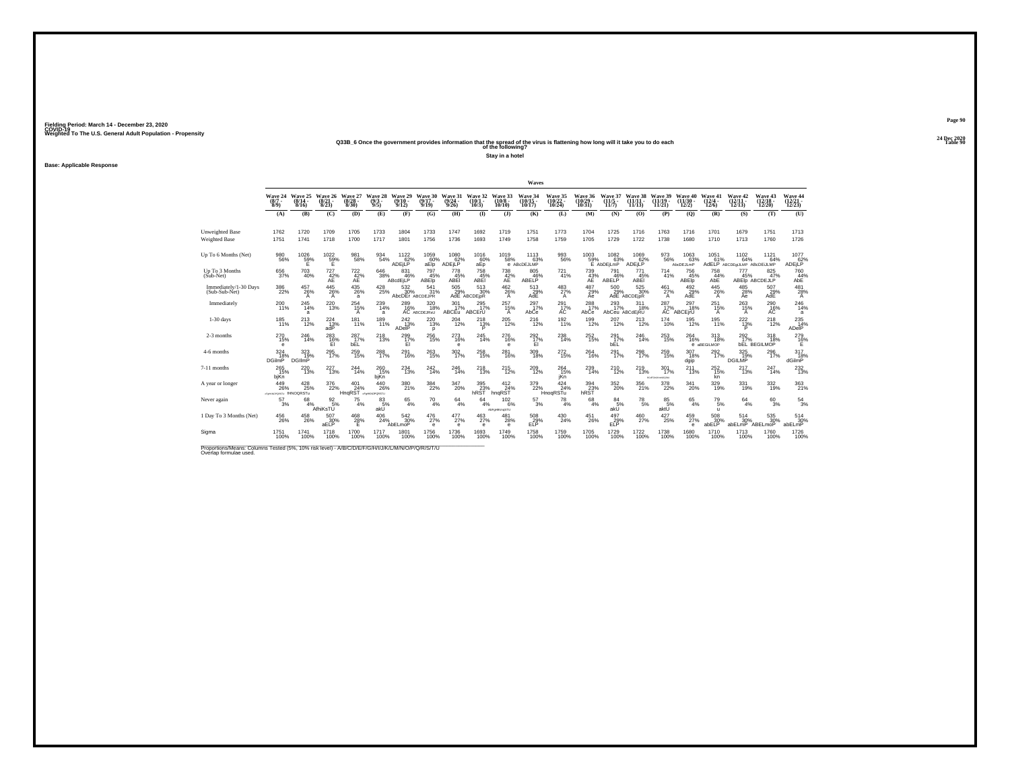#### **24 Dec 2020Q33B\_6 Once the government provides information that the spread of the virus is flattening how long will it take you to do each Table 90 of the following?**

**Stay in a hotel**

**Base: Applicable Response**

|                                                                                                                              |                                       |                              |                                 |                           |                                 |                                       |                              |                            |                                         |                                | Waves                           |                                 |                                      |                                                     |                                   |                                    |                                       |                                 |                                                 |                                   |                                                 |
|------------------------------------------------------------------------------------------------------------------------------|---------------------------------------|------------------------------|---------------------------------|---------------------------|---------------------------------|---------------------------------------|------------------------------|----------------------------|-----------------------------------------|--------------------------------|---------------------------------|---------------------------------|--------------------------------------|-----------------------------------------------------|-----------------------------------|------------------------------------|---------------------------------------|---------------------------------|-------------------------------------------------|-----------------------------------|-------------------------------------------------|
|                                                                                                                              | Wave 24<br>$(8/7 -$<br>8/9            | Wave 25<br>$(8/14 -$<br>8/16 | Wave 26<br>$\binom{8/21}{8/23}$ | Wave 27<br>8/30           | Wave 28<br>$(9/3 -$<br>9/5      | Wave 29<br>$(9/10 -$<br>9/12          | Wave 30<br>$(9/17 -$<br>9/19 | Wave 31<br>(9/24)<br>9/26  | Wave 32<br>(10/1<br>10/3                | Wave 33<br>$(10/8 -$<br>10/10  | Wave 34<br>10/17                | Wave 35<br>$(10/22 -$<br>10/24  | <b>Wave 36</b><br>$10/29 -$<br>10/31 | Wave 37<br>(11/5 -<br>11/7                          | Wave 38<br>(11/1)<br>11/13        | Wave 39<br>(11/19)<br>11/21        | <b>Wave 40</b><br>$(11/30 -$<br>12/2) | Wave 41<br>$(12/4 -$<br>12/6    | Wave 42<br>$(12/11 -$<br>12/13                  | Wave 43<br>$(12/18 -$<br>12/20    | Wave 44<br>$\frac{(12/21)}{12/23}$              |
|                                                                                                                              | (A)                                   | (B)                          | (C)                             | (D)                       | (E)                             | (F)                                   | (G)                          | (H)                        | $($ I                                   | $($ $)$                        | (K)                             | (L)                             | (M)                                  | (N)                                                 | (O)                               | (P)                                | (Q)                                   | (R)                             | (S)                                             | (T)                               | (U)                                             |
| Unweighted Base<br><b>Weighted Base</b>                                                                                      | 1762<br>1751                          | 1720<br>1741                 | 1709<br>1718                    | 1705<br>1700              | 1733<br>1717                    | 1804<br>1801                          | 1733<br>1756                 | 1747<br>1736               | 1692<br>1693                            | 1719<br>1749                   | 1751<br>1758                    | 1773<br>1759                    | 1704<br>1705                         | 1725<br>1729                                        | 1716<br>1722                      | 1763<br>1738                       | 1716<br>1680                          | 1701<br>1710                    | 1679<br>1713                                    | 1751<br>1760                      | 1713<br>1726                                    |
| Up To 6 Months (Net)                                                                                                         | $^{980}_{56\%}$                       | $^{1026}_{~59\%}$            | $^{1022}_{~59\%}$               | 981<br>58%                | 934<br>54%                      | $^{1122}_{62\%}$<br>ADEILP            | 1059<br>60%<br>aElp          | 1080<br>62%<br>ADEjLP      | $^{1016}_{60\%}$<br>aEp                 | 1019<br>58%                    | $^{1113}_{63\%}$<br>e ABcDEJLMP | 993<br>56%                      |                                      | 1003 1082<br>59% 63% E AbDEjLmP<br>$^{1082}_{63\%}$ | 1069<br>62%<br>ADEILP             | 973<br>56%                         | 1063<br>63%<br>AbcDEJLmP              | $^{1051}_{61\%}$                | $1102 \atop 64\%$<br>AdELP ABCDEGULMP ABCDEULMP | 1121<br>64%                       | 1077<br>62%<br>ADEjLP                           |
| Up To 3 Months<br>$(Sub-Net)$                                                                                                | 656<br>37%                            | 703<br>40%                   | 727<br>$A_E^{42\%}$             | 722<br>$A_E^{42\%}$       | 646<br>38%                      | 831<br>46%<br>ABcdEiLP                | 797<br>45%<br>ABEID          | 778<br>45%<br>ABEI         | 758<br>$\widetilde{\mathsf{45}}\%$ ABEI | 738<br>$A_E^{42\%}$            | 805<br>ABELP <sup>46%</sup>     | 721<br>41%                      | 739<br>$A_E^{43\%}$                  | 791<br>$46\%$ ABELP                                 | 771<br>$\frac{45}{\mathsf{ABEl}}$ | 714<br>41%                         | 756<br>45%<br>ABEIp                   | 758<br>44%<br>AbE               | 777<br>45%                                      | 825<br>47%<br>ABEID ABCDEJLP      | 760<br>$AB^2$                                   |
| Immediately/1-30 Days<br>(Sub-Sub-Net)                                                                                       | $^{386}_{\phantom{1}\phantom{1}22\%}$ | 457<br>26%<br>A              | $^{445}_{26\%}$<br>A            | $^{435}_{26\%}$<br>a      | $^{428}_{\,\,25\%}$             | $\frac{532}{30\%}$<br>AbcDEr ABCDEJPR | 541<br>31%                   | 505<br>29%                 | $^{513}_{30\%}$<br>AdE ABCDEIPR         | $^{462}_{26\%}$<br>Α           | 513<br>29%<br>AdE               | $^{483}_{27\%}$<br>$\mathsf{A}$ | 487<br>29%<br>Ae                     | $^{500}_{29\%}$                                     | 525<br>30%<br>AdE ABCDEIPR        | $^{461}_{27\%}$<br>A               | $^{492}_{29\%}$<br>AdE                | $^{445}_{26\%}$<br>A            | 485<br>28%<br>Ae                                | 507<br>29%<br>AdE                 | 481<br>28%<br>$\overline{A}$                    |
| Immediately                                                                                                                  | 200<br>11%                            | $^{245}_{\,14\%}$<br>a       | $^{220}_{13\%}$                 | 254<br>15%<br>A           | 239<br>14%<br>a                 | 289<br>16%                            | 320<br>18%<br>AC ABCDEJRsU   | 301<br>17%<br><b>ABCEu</b> | 295<br>17%<br><b>ABCErU</b>             | $^{257}_{15\%}$<br>A           | 297<br>17%<br>AbCe              | $^{291}_{17\%}$<br>AC           | $^{288}_{17\%}$<br>AbCe              | $^{293}_{17\%}$<br>AbCeu ABCdEjRU                   | 311<br>18%                        | $^{287}_{17\%}$<br>AC <sup>'</sup> | $^{297}_{18\%}$<br>ABCEIrU            | $^{251}_{15\%}$<br>Α            | $^{263}_{15\%}$<br>A                            | 290 16%<br>AC                     | $^{246}_{14\%}$<br>a                            |
| $1-30$ days                                                                                                                  | 185<br>11%                            | $^{213}_{12\%}$              | $^{224}_{\phantom{1}13\%}$ adP  | 181<br>11%                | 189<br>11%                      | 242<br>$\frac{442}{13\%}$             | 220<br>13%<br>D              | 204<br>12%                 | 218<br>13%                              | $^{205}_{\quad42\%}$           | $^{216}_{\ 12\%}$               | 192<br>11%                      | 199<br>12%                           | 207<br>12%                                          | 213<br>12%                        | $\frac{174}{10\%}$                 | 195<br>12%                            | 195<br>11%                      | $\frac{222}{13}\%$                              | 218<br>12%                        | $\overset{235}{\underset{\text{AlgeIP}}{14\%}}$ |
| 2-3 months                                                                                                                   | $^{270}_{15\%}$<br>e                  | $^{246}_{14\%}$              | $^{283}_{16\%}$<br>EI           | 287 <sub>17%</sub><br>bEL | 218                             | $^{299}_{17\%}$<br>EI                 | 256<br>15%                   | 273<br>16%<br>$\mathbf e$  | 245<br>14%                              | $^{276}_{16\%}$<br>$\mathbf e$ | $^{292}_{17\%}$<br>EI           | $^{238}_{14\%}$                 | $^{252}_{15\%}$                      | $^{291}_{17\%}$<br>bEL                              | 246<br>14%                        | $^{253}_{\phantom{1}15\%}$         | 264<br>16%                            | $313 \atop 18\%$<br>e aBEGILMOP | 292<br>17%                                      | $318/18$ %<br><b>bEL BEGILMOP</b> | 279<br>16%<br>Е                                 |
| 4-6 months                                                                                                                   | 324<br>18%<br><b>DGilmP</b>           | 323<br>19%<br><b>DGIImP</b>  | 295<br>17%                      | 259<br>15%                | 288<br>17%                      | 291<br>16%                            | 263<br>15%                   | 302<br>17%                 | 258<br>15%                              | 281<br>16%                     | 309<br>18%                      | 272<br>15%                      | 264<br>16%                           | 291<br>17%                                          | 298<br>17%                        | 259<br>15%                         | 307<br>18%<br>dgip                    | 292<br>17%                      | 325<br>19%<br>DGILMP                            | 296<br>17%                        | 317<br>18%<br>dGilmP                            |
| 7-11 months                                                                                                                  | 265%<br>bjKn                          | 220<br>13%                   | 227<br>13%                      | 244%                      | 260 15%<br>bjKn                 | $^{234}_{13\%}$                       | 242<br>14%                   | 246<br>14%                 | 218                                     | $^{215}_{12\%}$                | 209<br>12%                      | $^{264}_{15\%}$<br>jKn          | 239<br>14%                           | $^{210}_{12\%}$                                     | 219<br>13%                        | 301<br>17%<br>BOSTONJAHNOGSKI      | $^{211}_{13\%}$                       | $^{252}_{15\%}$<br>kn           | 217<br>13%                                      | 247<br>14%                        | $^{232}_{13\%}$                                 |
| A year or longer                                                                                                             | 449<br>26%<br>Germanasty fHNOQRSTu    | $^{428}_{25\%}$              | $^{376}_{22\%}$                 | 401<br>24%<br>HngRST      | $^{440}_{26\%}$<br>dfgHNOPQRSTU | 380<br>21%                            | 384<br>22%                   | 347<br>20%                 | 395<br>23%<br>hRST                      | $^{412}_{24\%}$<br>hnqRST      | 379<br>22%                      | $\frac{424}{24\%}$<br>HnogRSTu  | 394<br>23%<br>hRST                   | 352<br>20%                                          | 356<br>21%                        | 378<br>22%                         | 341<br>20%                            | 329<br>19%                      | 331<br>19%                                      | 332<br>19%                        | $\frac{363}{21\%}$                              |
| Never again                                                                                                                  | 57<br>3%                              | 68<br>4%                     | $\frac{92}{5\%}$<br>AfhiKsTŬ    | 75<br>4%                  | 83<br>5%<br>akU                 | $65$ <sub>4%</sub>                    | $^{70}_{4\%}$                | $64 \atop 4\%$             | 64<br>4%                                | 102<br>6%<br>AbFgHKmqSTU       | 57<br>3%                        | 78<br>4%                        | 68<br>4%                             | 84<br>5%<br>akÜ                                     | $^{78}_{\ 5\%}$                   | 85<br>5%<br>aktU                   | 65<br>4%                              | $^{79}_{\ 5\%}$<br>$\mathbf{u}$ | 64<br>4%                                        | 60<br>3%                          | $\frac{54}{3%}$                                 |
| 1 Day To 3 Months (Net)                                                                                                      | $^{456}_{\  \, 26\%}$                 | $^{458}_{\  \, 26\%}$        | 507<br>30%<br>aELP              | $^{468}_{28\%}$<br>F      | 406<br>24%                      | $\frac{542}{30}\%$<br>AbELmoP         | $^{476}_{27\%}$<br>e         | 477<br>27%<br>$\mathbf e$  | $^{463}_{27\%}$<br>e                    | $^{481}_{28\%}$<br>$\mathbf e$ | $^{508}_{29\%}$<br>ELP          | 430<br>24%                      | $^{451}_{26\%}$                      | $^{497}_{29\%}$<br>FI P                             | 460<br>27%                        | 427<br>25%                         | $^{459}_{27\%}$<br>е                  | $^{508}_{30\%}$<br>abELP        | 514<br>30%<br>abELmP                            | 535<br>30%<br>ABELmoP             | $^{514}_{30\%}$<br>abELmP                       |
| Sigma                                                                                                                        | 1751<br>100%                          | 1741<br>100%                 | 1718<br>100%                    | 1700<br>100%              | 1717<br>100%                    | 1801<br>100%                          | 1756<br>100%                 | 1736<br>100%               | 1693<br>100%                            | 1749<br>100%                   | 1758<br>100%                    | 1759<br>100%                    | 1705<br>100%                         | 1729<br>100%                                        | 1722<br>100%                      | 1738<br>100%                       | 1680<br>100%                          | 1710<br>100%                    | 1713<br>100%                                    | 1760<br>100%                      | 1726<br>100%                                    |
| Proportions/Means: Columns Tested (5%, 10% risk level) - A/B/C/D/E/F/G/H/I/J/K/L/M/N/O/P/Q/R/S/T/U<br>Overlap formulae used. |                                       |                              |                                 |                           |                                 |                                       |                              |                            |                                         |                                |                                 |                                 |                                      |                                                     |                                   |                                    |                                       |                                 |                                                 |                                   |                                                 |

**Page 90**24 Dec 2020<br>Table 90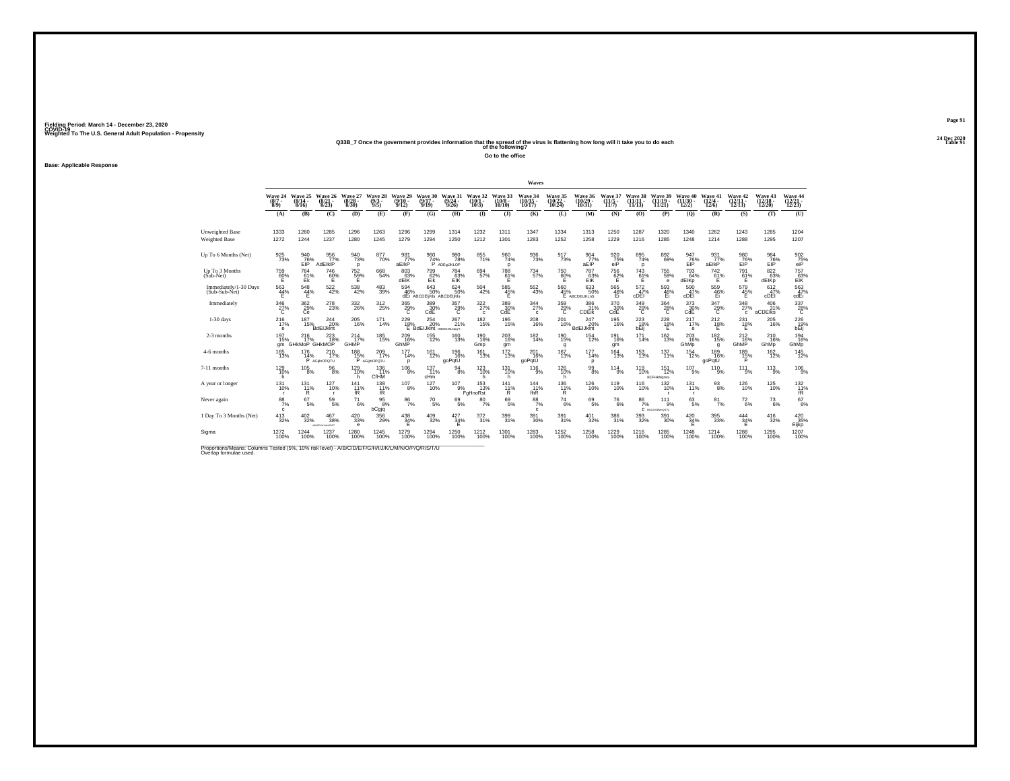#### **24 Dec 2020Q33B\_7 Once the government provides information that the spread of the virus is flattening how long will it take you to do each Table 91 of the following?**

**Go to the office**

**Base: Applicable Response**

|                                                |                                |                                         |                                           |                                       |                               |                              |                                                       |                                         |                                  |                            | Waves                              |                                    |                                        |                                  |                                         |                                           |                                                            |                                       |                                    |                                    |                                        |
|------------------------------------------------|--------------------------------|-----------------------------------------|-------------------------------------------|---------------------------------------|-------------------------------|------------------------------|-------------------------------------------------------|-----------------------------------------|----------------------------------|----------------------------|------------------------------------|------------------------------------|----------------------------------------|----------------------------------|-----------------------------------------|-------------------------------------------|------------------------------------------------------------|---------------------------------------|------------------------------------|------------------------------------|----------------------------------------|
|                                                | Wave 24<br>$(8/7 -$<br>$8/9$ ) | Wave 25<br>$(8/14 -$<br>8/16            | Wave 26<br>$\frac{(8/21)}{8/23}$          | Wave 27<br>$\binom{8/28}{8/30}$       | Wave 28<br>(9/3 -<br>9/5      | Wave 29<br>$(9/10 -$<br>9/12 | Wave 30<br>$(9/17 -$<br>9/19                          | Wave 31<br>$\frac{(9/24 - 9/26)}{9/26}$ | Wave 32<br>$(10/1 -$<br>10/3)    | Wave 33<br>(10/8)<br>10/10 | Wave 34<br>$(10/15 -$<br>10/17     | Wave 35<br>$\frac{(10/22)}{10/24}$ | Wave 36<br>$(10/29 -$<br>10/31         | Wave 37<br>$(11/5 \cdot$<br>11/7 | Wave 38<br>$(11/11 -$<br>11/13          | Wave 39<br>(11/19.<br>11/21               | Wave 40<br>(11/30.<br>12/2)                                | Wave 41<br>$\frac{(12/4 - 12)}{12/6}$ | Wave 42<br>$\frac{(12/11)}{12/13}$ | Wave 43<br>$\frac{(12/18)}{12/20}$ | Wave 44<br>$\binom{12/21}{12/23}$      |
|                                                | (A)                            | (B)                                     | (C)                                       | (D)                                   | (E)                           | (F)                          | (G)                                                   | (H)                                     | $($ $\Gamma$                     | $($ $)$                    | (K)                                | (L)                                | (M)                                    | (N)                              | (O)                                     | (P)                                       | (Q)                                                        | (R)                                   | (S)                                | (T)                                | (U)                                    |
| <b>Unweighted Base</b><br><b>Weighted Base</b> | 1333<br>1272                   | 1260<br>1244                            | 1285<br>1237                              | 1296<br>1280                          | 1263<br>1245                  | 1296<br>1279                 | 1299<br>1294                                          | 1314<br>1250                            | 1232<br>1212                     | 1311<br>1301               | 1347<br>1283                       | 1334<br>1252                       | 1313<br>1258                           | 1250<br>1229                     | 1287<br>1216                            | 1320<br>1285                              | 1340<br>1248                                               | 1262<br>1214                          | 1243<br>1288                       | 1285<br>1295                       | 1204<br>1207                           |
| Up To 6 Months (Net)                           | $\frac{925}{73\%}$             | 940<br>76%<br>EIP                       | 956<br>77%<br>AdEIkIP                     | 940<br>73%<br>p                       | 8770%                         | 981 <sub>77%</sub><br>aElkP  | $\frac{960}{74%}$                                     | 980<br>78%<br>P ADEQUKLOP               | 855                              | 960<br>74%<br>D            | 936<br>73%                         | $\frac{917}{73\%}$                 | 964 77%<br>aEIP                        | 920<br>75%<br>eiP                | 895<br>74%<br>D                         | $892\phantom{00}69\%$                     | 947<br>76%<br>EIP                                          | $\frac{931}{77}\%$<br>aElkP           | 980<br>76%<br>EIP                  | 984<br>76%<br>ElP                  | $^{902}_{\substack{75\\\mathrm{eiP}}}$ |
| Up To 3 Months<br>(Sub-Net)                    | 759<br>60%                     | 764<br>$E_k^{1%}$                       | 746<br>60%                                | 752<br>59%<br>E                       | 668<br>54%                    | 803<br>63%<br>dElK           | 799<br>Eik                                            | 784<br>E1K                              | 694<br>57%                       | $\frac{788}{61\%}$         | 734<br>57%                         | 750<br>$\frac{60}{5}$ %            | 787<br>$E$ <sub>E</sub> $\frac{63}{5}$ | 756<br>62%                       | 743<br>$61\%$                           | 755<br>59%<br>e                           | 793<br>64%<br>dEIKp                                        | 742<br>$^{61}_{E}$ %                  | 791<br>$^{61\%}_{E}$               | 822<br>63%<br>dEIKp                | 757<br>63%<br>ElK                      |
| Immediately/1-30 Days<br>(Sub-Sub-Net)         | $\frac{563}{44\%}$<br>Е        | $^{548}_{44\%}$<br>Е                    | $^{522}_{42\%}$                           | $^{538}_{\ 42\%}$                     | 483<br>39%                    | 594<br>46%                   | $\substack{643 \\ 50\%}$<br>dEi ABCDEIjKIs ABCDEIjKIs | $624 \over 50\%$                        | $^{504}_{\ 42\%}$                | 585<br>45%<br>E            | $^{552}_{\  \, 43\%}$              | $\frac{560}{45\%}$                 | 633<br>50%<br>E ABCDEIJKLnS            | 565<br>46%<br>Ei                 | $\frac{572}{47\%}$<br>CDEI              | 593<br>Ei                                 | 590 47%<br>cDEI                                            | 559 46%<br>Ei                         | 579<br>45%<br>Е                    | 612<br>47%<br>cDEI                 | $\frac{563}{47\%}$<br>cdEi             |
| Immediately                                    | $\frac{346}{27\%}$             | 362 %<br>Сĕ                             | $^{278}_{23\%}$                           | $^{332}_{\phantom{1}\phantom{1}26\%}$ | 312<br>25%                    | $\frac{365}{29\%}$           | $^{389}_{30\%}$ CdE                                   | $^{357}_{\  \  \, \text{29\%}}$         | 322/27%<br>$\Omega$              | 389%<br>CdE                | $\frac{344}{27\%}$<br>$\mathbf{c}$ | $^{359}_{-29\%}$                   | 386<br>31%<br>CDEIK                    | $^{370}_{30\%}$ CdE              | $\frac{349}{29\%}$                      | $^{364}_{\  \  \, 28\%}$                  | $^{373}_{\phantom{1}\phantom{1}\phantom{1}30\%}_{\rm CdE}$ | $\frac{347}{29\%}$                    | $\frac{348}{27\%}$<br>$\mathbf{c}$ | 406 31%<br>aCDEIKS                 | $^{337}_{28\%}$                        |
| $1-30$ days                                    | 216<br>17%<br>е                | 187                                     | 244<br>$\frac{37}{15\%}$ BdEIJkint<br>20% | 205<br>16%                            | 171<br>14%                    | 229<br>$^{18\%}$             | 254<br>20%<br><b>BdEIJkint</b> ABDEIJKLNpqrT          | 267<br>21%                              | 182<br>15%                       | 195<br>15%                 | 208<br>16%                         | 201<br>16%                         | 247<br>20%<br><b>BdEIJkint</b>         | 195<br>16%                       | 223<br>$b \overline{E}$ <sup>18</sup> % | $^{228}_{\  \  \, 18\%}_{\  \  \, E}$     | 217<br>17%<br>$\theta$                                     | 212<br>$^{18}_{E}$ %                  | 231<br>$^{18\%}$                   | 205<br>16%                         | 226<br>19%<br>bEij                     |
| 2-3 months                                     | 197<br>15%<br>am               | $^{216}_{17\%}$<br><b>GHKMoP GHKMOP</b> | 223<br>18%                                | $^{214}_{17\%}$<br><b>GHMP</b>        | $^{185}_{15\%}$               | 209<br>16%<br>GhMP           | $155$<br>$12\%$                                       | $^{160}_{13\%}$                         | $^{190}_{16\%}$<br>Gmp           | 203<br>16%<br>qm           | $^{182}_{14\%}$                    | $^{190}_{15\%}$<br>g               | <sup>154</sup><br>12%                  | 191<br>16%<br>qm                 | $^{171}_{14\%}$                         | $\frac{162}{13\%}$                        | $^{203}_{16\%}$<br>GhMp                                    | $^{182}_{15\%}$<br>q                  | $^{212}_{16\%}$<br>GhMP            | $^{210}_{16\%}$<br>GhMp            | 194<br>16%<br>GhMp                     |
| 4-6 months                                     | 165<br>13%                     | 176<br>14%                              | 210<br>17%<br>P AGijinOPOTU               | 188<br>15%                            | 209<br>17%<br>P AGijinOPOTU   | 177<br>14%<br>D              | 161<br>12%                                            | 196<br>16%<br>goPqtU                    | 161<br>13%                       | 172<br>13%                 | 201<br>16%<br>goPqtU               | 167<br>13%                         | 177<br>14%<br>р                        | 164<br>13%                       | $^{153}_{13\%}$                         | 137<br>11%                                | 154<br>12%                                                 | 189<br>16%<br>goPqtU                  | 189<br>15%                         | 162<br>12%                         | $\frac{145}{12\%}$                     |
| 7-11 months                                    | 129 10%<br>h                   | $^{105}_{\phantom{1}8\%}$               | $^{96}_{\,8\%}$                           | 129%<br>h                             | $^{136}_{11\%}$<br>CfHM       | $^{106}_{\phantom{1}8\%}$    | $137 \atop 11\%$<br>cHm                               | $\frac{94}{8%}$                         | 123<br>10%<br>h                  | $^{131}_{10\%}$<br>h       | 116<br>$\bar{9}$ %                 | 126<br>10%<br>h                    | $\frac{99}{8\%}$                       | $^{114}_{9\%}$                   | <sup>119</sup> 10%                      | $^{151}_{12\%}$<br>BCFHkMgrstu            | $^{107}_{9\%}$                                             | $^{110}_{9\%}$                        | $^{11}$ $^{11}_{9\%}$              | $^{113}_{9\%}$                     | $^{106}_{-9\%}$                        |
| A year or longer                               | $^{131}_{10\%}$                | $^{131}_{11\%}$<br>R                    | 127<br>10%                                | $^{141}_{11\%}$<br>fR                 | 138<br>11%<br>fR <sup>1</sup> | $^{107}_{8\%}$               | 127<br>10%                                            | $^{107}_{9\%}$                          | $153$ <sub>13%</sub><br>FgHnoRst | 141<br>11%<br>Ŕ.           | 144<br>11%<br>fhR                  | 136<br>11%<br>R                    | 126<br>10%                             | <sup>119</sup> <sub>10%</sub>    | 116%                                    | 132%                                      | $^{131}_{11\%}$<br>п                                       | $^{93}_{\ 8\%}$                       | $^{126}_{10\%}$                    | <sup>125</sup> 0%                  | $^{132}_{11\%}$<br>fR <sup>'</sup>     |
| Never again                                    | 88<br>7%<br>c.                 | 67<br>5%                                | 59<br>5%                                  | 71<br>6%                              | 95<br>8%<br>bCgjq             | 86<br>7%                     | 70<br>5%                                              | 69<br>5%                                | 80<br>7%                         | 69<br>5%                   | 88<br>7%<br>c                      | $^{74}_{6\%}$                      | 69<br>5%                               | 76<br>6%                         | 86<br>7%                                | 111<br>9%<br>C <i><b>BCDGHJMHQSTU</b></i> | 63<br>5%                                                   | 81<br>7%                              | $^{72}_{6\%}$                      | 73<br>6%                           | $^{67}_{\ 6\%}$                        |
| 1 Day To 3 Months (Net)                        | $^{413}_{32\%}$                | $^{402}_{\phantom{1}32\%}$              | 467<br>38%<br>TRROWANCE ESCAP             | $^{420}_{\ 33\%}$<br>e                | 356<br>29%                    | $^{438}_{34\%}$<br>F         | $^{409}_{\phantom{1}32\%}$                            | 427<br>34%<br>E                         | $\frac{372}{31\%}$               | 399<br>31%                 | 391<br>30%                         | 391%                               | $^{401}_{\ 32\%}$                      | 386<br>31%                       | $^{393}_{32\%}$                         | $^{391}_{\ 30\%}$                         | $^{420}_{34\%}$<br>E                                       | $^{395}_{\phantom{1}33\%}$            | $\frac{444}{34\%}$<br>Е            | $^{416}_{32\%}$                    | $^{420}_{.35\%}$<br>Eijkp              |
| Sigma                                          | 1272<br>100%                   | 1244<br>100%                            | 1237<br>100%                              | 1280<br>100%                          | 1245<br>100%                  | 1279<br>100%                 | 1294<br>100%                                          | 1250<br>100%                            | 1212<br>100%                     | 1301<br>100%               | 1283<br>100%                       | 1252<br>100%                       | 1258<br>100%                           | 1229<br>100%                     | 1216<br>100%                            | 1285<br>100%                              | 1248<br>100%                                               | 1214<br>100%                          | 1288<br>100%                       | 1295<br>100%                       | 1207<br>100%                           |

Proportions/Means: Columns Tested (5%, 10% risk level) - *N'B/C/D/E/F/G/H/I/J/K/L/M/N/O/P/Q/R/S/T/U* Overlap formulae used.<br>Overlap formulae used.

**Page 9124 Dec 2020<br>Table 91**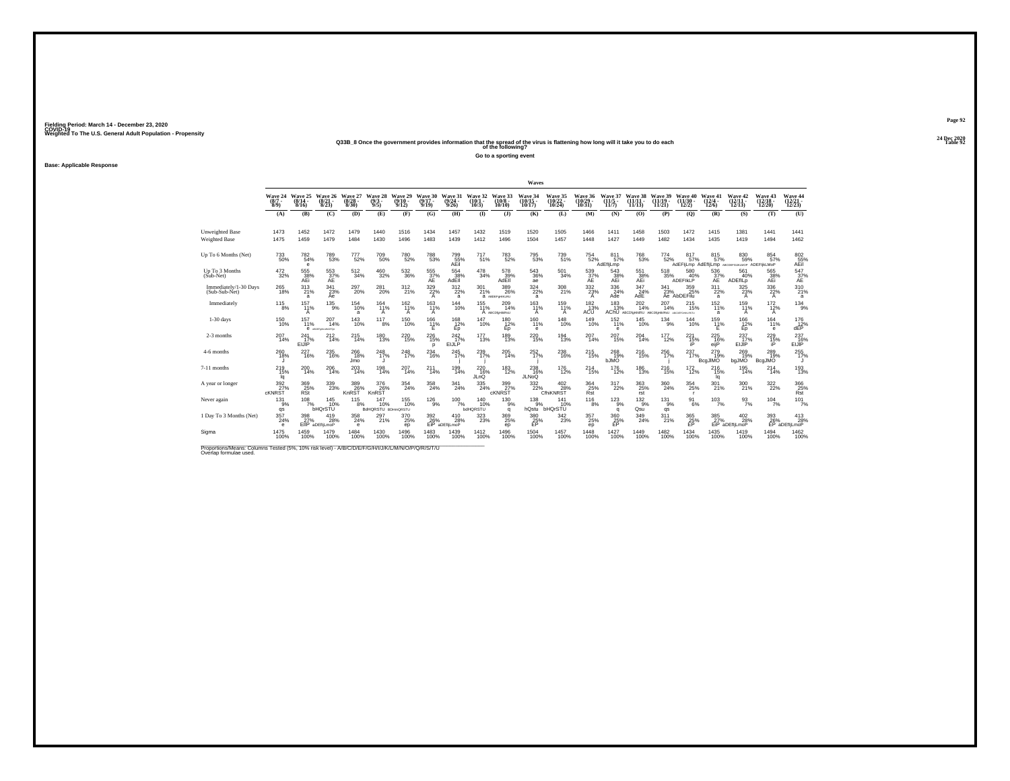#### **24 Dec 2020Q33B\_8 Once the government provides information that the spread of the virus is flattening how long will it take you to do each Table 92 of the following?**

**Go to a sporting event**

**Base: Applicable Response**

|                                         |                                |                              |                                       |                                     |                                  |                              |                                 |                                   |                                       |                                                                   | Waves                           |                                    |                                |                            |                                                           |                                 |                                                   |                                     |                                                             |                                |                                                      |
|-----------------------------------------|--------------------------------|------------------------------|---------------------------------------|-------------------------------------|----------------------------------|------------------------------|---------------------------------|-----------------------------------|---------------------------------------|-------------------------------------------------------------------|---------------------------------|------------------------------------|--------------------------------|----------------------------|-----------------------------------------------------------|---------------------------------|---------------------------------------------------|-------------------------------------|-------------------------------------------------------------|--------------------------------|------------------------------------------------------|
|                                         | Wave 24<br>$(8/7 -$<br>8/9     | Wave 25<br>$(8/14 -$<br>8/16 | Wave 26<br>(8/21<br>8/23              | Wave 27<br>(8/28.<br>8/30           | Wave 28<br>(9/3 -<br>9/5         | Wave 29<br>$(9/10 -$<br>9/12 | Wave 30<br>$(9/17 -$<br>9/19    | Wave 31<br>$\frac{(9/24)}{9/26}$  | Wave 32<br>$(10/1 -$<br>10/3          | Wave 33<br>$(10/8 -$<br>10/10                                     | Wave 34<br>10/17                | Wave 35<br>(10/22)<br>10/24        | Wave 36<br>$(10/29 -$<br>10/31 | Wave 37<br>(11/5 -<br>11/7 | Wave 38<br>(11/1)<br>11/13                                | Wave 39<br>$(11/19 -$<br>11/21) | Wave 40<br>$(11/30 -$<br>12/2)                    | Wave 41<br>$(12/4 -$<br>12/6        | Wave 42<br>$(12/11 -$<br>12/13                              | Wave 43<br>$(12/18 -$<br>12/20 | Wave 44<br>(12/21 -<br>12/23)                        |
|                                         | (A)                            | (B)                          | (C)                                   | (D)                                 | (E)                              | (F)                          | (G)                             | (H)                               | $\mathbf{I}$                          | $($ $\Gamma$                                                      | (K)                             | (L)                                | (M)                            | (N)                        | (0)                                                       | (P)                             | (Q)                                               | (R)                                 | (S)                                                         | (T)                            | (U)                                                  |
| Unweighted Base<br><b>Weighted Base</b> | 1473<br>1475                   | 1452<br>1459                 | 1472<br>1479                          | 1479<br>1484                        | 1440<br>1430                     | 1516<br>1496                 | 1434<br>1483                    | 1457<br>1439                      | 1432<br>1412                          | 1519<br>1496                                                      | 1520<br>1504                    | 1505<br>1457                       | 1466<br>1448                   | 1411<br>1427               | 1458<br>1449                                              | 1503<br>1482                    | 1472<br>1434                                      | 1415<br>1435                        | 1381<br>1419                                                | 1441<br>1494                   | 1441<br>1462                                         |
| Up To 6 Months (Net)                    | $^{733}_{\ 50\%}$              | $^{782}_{54\%}$<br>е         | 789<br>53%                            | 777<br>52%                          | <sup>709</sup> 50%               | <sup>780</sup> 52%           | 788<br>53%                      | 799<br>55%<br>AEil                | 717 <sub>51%</sub>                    | 783<br>52%                                                        | 795<br>53%                      | 739<br>51%                         | <sup>754</sup> <sub>52%</sub>  | 811<br>57%<br>AdEfljLmp    | 768<br>53%                                                | $\substack{774 \\ 52\%}$        | 817<br>57%                                        | 815<br>57%                          | 830<br>59%<br>AdEFIILmp AdEfIILmp ABCDEFGUKLMOP ADEFIIKLMoP | 854<br>57%                     | 802<br>55%<br>AEil                                   |
| Up To 3 Months<br>(Sub-Net)             | 472<br>32%                     | 555<br>38%<br>AEi            | 553<br>37%<br>AE                      | 512<br>34%                          | 460<br>32%                       | 532<br>36%                   | 555<br>$AE$ <sup>37%</sup>      | 554<br>$38%$<br>AdEll             | 478<br>34%                            | 578<br>AdEII                                                      | 543<br>36%<br>ae                | 501<br>34%                         | 539<br>$^{37\%}_{\rm AE}$      | 543<br>38%<br>AEi          | 551<br>38%<br>AEi                                         | 518<br>35%                      | 580<br>40%<br><b>ADEFIKLP</b>                     | 536<br>A <sup>E</sup> <sub>AE</sub> | 561<br>40%<br>ADEfILp                                       | 565<br>38%<br>AEi              | $^{547}_{\substack{37\%\\\text{AE}}}$                |
| Immediately/1-30 Days<br>(Sub-Sub-Net)  | $^{265}_{\phantom{1}18\%}$     | 313<br>21%<br>a              | 341<br>23%<br>Ae                      | 297<br>20%                          | 281<br>20%                       | $^{312}_{21\%}$              | 329/22%<br>A                    | $^{312}_{22\%}$<br>a              | 301 <sub>%</sub>                      | 389<br>26%<br><b>a</b> ABDEFoHIKLRU                               | $324_{22\%}$<br>a               | 308<br>21%                         | $332\atop23\%$<br>$\mathsf{A}$ | $^{336}_{\,\,24\%}$<br>Ade | $\frac{347}{24\%}$<br>AdE                                 | $\frac{341}{23\%}$              | 359<br>25%<br>Ae AbDEFilu                         | $^{311}_{22\%}$<br>a                | 325/23%<br>A                                                | 336<br>22%<br>$\mathsf{A}$     | $^{310}_{21\%}$<br>a                                 |
| Immediately                             | $^{115}_{8\%}$                 | $^{157}_{11\%}$<br>А         | $^{135}_{-9\%}$                       | 154<br>10%<br>$\overline{a}$        | 164 11%<br>$\overline{A}$        | $^{162}_{11\%}$<br>А         | $^{163}_{11\%}$<br>$\mathsf{A}$ | $^{144}_{10\%}$                   | $155$ <sub>11%</sub>                  | $^{209}_{14\%}$<br>A ABCDfaHikIRsU                                | $^{163}_{11\%}$<br>A            | 159<br>11%<br>A                    | $^{182}_{13\%}$<br>ACU         | $^{183}_{13\%}$            | 202<br>14%<br>AChU ABCDIgHINRU ABCDIgHINRSU ABCDECAMERETU | $^{207}_{14\%}$                 | $^{215}_{15\%}$                                   | $^{152}_{11\%}$<br>a                | 159<br>11%<br>A                                             | $^{172}_{12\%}$<br>A           | $^{134}_{9\%}$                                       |
| $1-30$ days                             | 150<br>10%                     | 157<br>11%                   | 207<br>14%<br>В насельнымого»         | 143<br>10%                          | 117<br>8%                        | 150<br>10%                   | 166<br>$\frac{11}{5}$ %         | 168<br>12%<br>Ep                  | 147<br>10%                            | 180<br>$E_{\rm p}^{12}$ %                                         | 160<br>11%<br>е                 | 148<br>10%                         | 149<br>10%                     | 152<br>11%<br>e            | 145<br>10%                                                | 134<br>9%                       | 144<br>10%                                        | 159<br>11%                          | 166<br>12%<br>Ep                                            | 164<br>11%<br>e                | 176<br>dE <sup>2</sup>                               |
| 2-3 months                              | $^{207}_{14\%}$                | 241<br>17%<br>EIJIP          | $^{212}_{14\%}$                       | 215<br>14%                          | $^{180}_{13\%}$                  | $^{220}_{15\%}$              | $^{226}_{15\%}$<br>$\Omega$     | $^{242}_{17\%}$<br>EIJLP          | $^{177}_{13\%}$                       | 189<br>13%                                                        | 220 <sub>15%</sub>              | $^{194}_{13\%}$                    | 207<br>14%                     | $^{207}_{15\%}$            | 204 14%                                                   | $^{177}_{12\%}$                 | 221<br>15%<br>iP                                  | 225<br>16%<br>eiiP                  | 237<br>17%<br><b>EIJIP</b>                                  | 229<br>15%<br>iP               | $^{237}_{16\%}$<br>EIJIP <sup>®</sup>                |
| 4-6 months                              | 260<br>18%                     | 227<br>16%                   | 235<br>16%                            | 266<br>18%<br>Jmo                   | 248<br>17%<br>u                  | 248<br>17%                   | 234<br>16%                      | 245<br>17%                        | 239<br>17%                            | 205<br>14%                                                        | 252<br>17%                      | 238<br>16%                         | 215<br>15%                     | 268<br>19%<br><b>bJMO</b>  | 216<br>15%                                                | 256<br>17%                      | 237<br>17%                                        | 279<br>19%<br>BcaJIMO               | 269<br>19%<br>bgJMO                                         | 289<br>19%<br><b>BcgJMO</b>    | 255<br>17%                                           |
| 7-11 months                             | $^{219}_{15\%}$<br>lq          | $^{200}_{14\%}$              | 206<br>14%                            | 203<br>14%                          | $^{198}_{14\%}$                  | $^{207}_{14\%}$              | 211<br>14%                      | $^{199}_{14\%}$                   | $^{220}_{16\%}$<br>JLnQ               | $^{183}_{12\%}$                                                   | $^{238}_{16\%}$<br><b>JLNoQ</b> | 176<br>12%                         | 214 6%                         | <sup>176</sup><br>12%      | 186<br>13%                                                | 216<br>15%                      | <sup>172</sup> <sub>12</sub> %                    | $^{216}_{15\%}$<br>lq               | $^{195}_{14\%}$                                             | $^{214}_{14\%}$                | 193%                                                 |
| A year or longer                        | $\frac{392}{27}\%$<br>cKNRST   | 369<br>RSt<br>RSt            | $^{339}_{\phantom{1}\phantom{1}23\%}$ | 389<br>26%<br>KnRST                 | 376<br>26%<br>KnRST              | $^{354}_{\  \, 24\%}$        | 358<br>24%                      | 341<br>24%                        | $^{335}_{\phantom{1}\phantom{1}24\%}$ | $\begin{array}{c}\n 399 \\  27\% \\  \text{CKNRST}\n \end{array}$ | $\frac{332}{22\%}$              | $^{402}_{28\%}$<br>CfhiKNRST       | $\underset{\text{Rst}}{364}$   | $\frac{317}{22\%}$         | 363<br>25%<br>rst                                         | $\substack{360 \\ 24\%}$        | $^{354}_{\phantom{1}\phantom{1}25\%}$<br><b>r</b> | 301 <sub>%</sub>                    | $^{300}_{21\%}$                                             | 322 <sub>%</sub>               | $\begin{array}{c} 366 \\ 25\% \\ \end{array}$<br>Rst |
| Never again                             | 131<br>9%<br>qs                | 108<br>7%                    | 145<br>10%<br><b>bHQrSTU</b>          | 115<br>8%                           | 147<br>10%<br>BdHQRSTU BDHmQRSTU | 155<br>10%                   | 126<br>9%                       | 100<br>7%                         | 140<br>10%<br>bdHQRSTU                | 130<br>9%<br>q                                                    | 138<br>9%<br>hQstu              | 141<br>10%<br><sup>"</sup> ыноrSTÜ | 116<br>8%                      | 123<br>9%<br>a             | 132<br>9%<br>Qsu                                          | 131<br>9%<br>qs                 | 91<br>6%                                          | 103<br>7%                           | $\frac{93}{7\%}$                                            | 104<br>7%                      | $101$<br>$7%$                                        |
| 1 Day To 3 Months (Net)                 | $^{357}_{24\%}$<br>$\mathbf e$ | 398<br>27%                   | $^{419}_{28\%}$<br>EIIP aDEfljLmoP    | $^{358}_{\  \, 24\%}$<br>$\epsilon$ | 297 <sub>21%</sub>               | 370<br>25%<br>ep             | 392<br>26%                      | $^{410}_{28\%}$<br>EiP aDEfljLmoP | $^{323}_{23\%}$                       | $^{369}_{25\%}$<br>ep                                             | 380<br>25%<br>EP                | $\frac{342}{23\%}$                 | $^{357}_{\ 25\%}$<br>ep        | 360 25%<br>EP              | 349<br>24%                                                | 311<br>21%                      | 365<br>25%<br>EP.                                 | $\frac{385}{27}\%$                  | $^{402}_{28\%}$<br>EiP aDEfliLmoP                           | 393<br>26%                     | $^{413}_{28\%}$<br>EP aDEfliLmoP                     |
| Sigma                                   | 1475<br>100%                   | 1459<br>100%                 | 1479<br>100%                          | 1484<br>100%                        | 1430<br>100%                     | 1496<br>100%                 | 1483<br>100%                    | 1439<br>100%                      | 1412<br>100%                          | 1496<br>100%                                                      | 1504<br>100%                    | 1457<br>100%                       | 1448<br>100%                   | 1427<br>100%               | 1449<br>100%                                              | 1482<br>100%                    | 1434<br>100%                                      | 1435<br>100%                        | 1419<br>100%                                                | 1494<br>100%                   | 1462<br>100%                                         |

Proportions/Means: Columns Tested (5%, 10% risk level) - *N'B/C/D/E/F/G/H/I/J/K/L/M/N/O/P/Q/R/S/T/U* Overlap formulae used.<br>Overlap formulae used.

**Page 9224 Dec 2020<br>Table 92**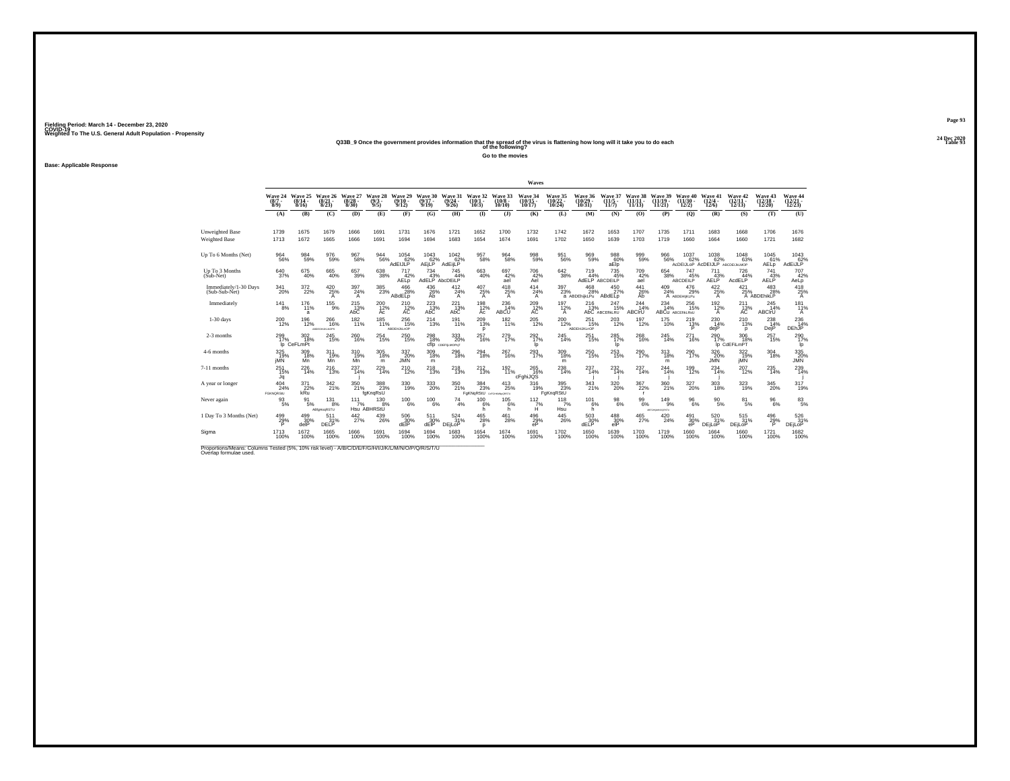#### **24 Dec 2020Q33B\_9 Once the government provides information that the spread of the virus is flattening how long will it take you to do each Table 93 of the following?**

**Go to the movies**

**Base: Applicable Response**

|                                                                                                                              |                                           |                                 |                                 |                               |                                       |                               |                                                        |                                |                                               |                                | Waves                       |                             |                                                        |                              |                            |                             |                                               |                                                    |                                  |                                |                                      |
|------------------------------------------------------------------------------------------------------------------------------|-------------------------------------------|---------------------------------|---------------------------------|-------------------------------|---------------------------------------|-------------------------------|--------------------------------------------------------|--------------------------------|-----------------------------------------------|--------------------------------|-----------------------------|-----------------------------|--------------------------------------------------------|------------------------------|----------------------------|-----------------------------|-----------------------------------------------|----------------------------------------------------|----------------------------------|--------------------------------|--------------------------------------|
|                                                                                                                              | Wave 24<br>$(8/7 -$<br>8/9                | Wave 25<br>$(8/14 -$<br>8/16    | Wave 26<br>$\binom{8/21}{8/23}$ | Wave 27<br>8/30               | Wave 28<br>$(9/3 -$<br>9/5            | Wave 29<br>$(9/10 -$<br>9/12  | Wave 30<br>$(9/17 -$<br>9/19                           | Wave 31<br>(9/24)<br>9/26      | Wave 32<br>(10/1<br>10/3                      | Wave 33<br>$(10/8 -$<br>10/10  | Wave 34<br>10/17            | Wave 35<br>(10/22)<br>10/24 | <b>Wave 36</b><br>$10/29 -$<br>10/31                   | Wave 37<br>(11/5 -<br>11/7   | Wave 38<br>(11/1)<br>11/13 | Wave 39<br>(11/19)<br>11/21 | <b>Wave 40</b><br>$(11/30 -$<br>12/2)         | Wave 41<br>$(12/4 -$<br>12/6                       | Wave 42<br>$(12/11 -$<br>12/13   | Wave 43<br>$(12/18 -$<br>12/20 | Wave 44<br>$\frac{(12/21)}{12/23}$   |
|                                                                                                                              | (A)                                       | (B)                             | (C)                             | (D)                           | (E)                                   | (F)                           | (G)                                                    | (H)                            | $($ I                                         | $($ $)$                        | (K)                         | (L)                         | (M)                                                    | (N)                          | (O)                        | (P)                         | (Q)                                           | (R)                                                | (S)                              | (T)                            | (U)                                  |
| Unweighted Base<br><b>Weighted Base</b>                                                                                      | 1739<br>1713                              | 1675<br>1672                    | 1679<br>1665                    | 1666<br>1666                  | 1691<br>1691                          | 1731<br>1694                  | 1676<br>1694                                           | 1721<br>1683                   | 1652<br>1654                                  | 1700<br>1674                   | 1732<br>1691                | 1742<br>1702                | 1672<br>1650                                           | 1653<br>1639                 | 1707<br>1703               | 1735<br>1719                | 1711<br>1660                                  | 1683<br>1664                                       | 1668<br>1660                     | 1706<br>1721                   | 1676<br>1682                         |
| Up To 6 Months (Net)                                                                                                         | $\frac{964}{56\%}$                        | 984<br>59%                      | 976<br>59%                      | 967<br>58%                    | $\frac{944}{56\%}$                    | 1054<br>62%<br><b>AdEIJLP</b> | $\begin{array}{c}\n1043 \\ 62\% \\ AEjLP\n\end{array}$ | 1042<br>62%<br>AdEijLP         | 957<br>58%                                    | 964<br>58%                     | 998<br>59%                  | $\substack{951 \\ 56\%}$    | 969%                                                   | 988<br>60%<br>aElo           | 999<br>59%                 | 966<br>56%                  | 1037<br>62%                                   | $^{1038}_{62\%}$<br>ACDEIJLOP ACDEIJLP ABCDEUM.MOP | 1048<br>63%                      | 1045<br>61%<br><b>AELp</b>     | 1043<br>62%<br>AdEiJLP               |
| Up To 3 Months<br>$(Sub-Net)$                                                                                                | 640<br>37%                                | 675<br>40%                      | 665<br>40%                      | 657<br>39%                    | 638<br>38%                            | 717<br>42%<br>AELp            | 734<br>43%                                             | 745<br>44%<br>AdELP AbcDEILP   | 663<br>40%                                    | 697<br>42%<br>ael              | 706<br>42%<br>Ael           | 642<br>38%                  | 719<br>44%                                             | 735<br>45%<br>AdELP ABCDEILP | 709<br>$\frac{42}{4}$      | 654<br>38%                  | 747<br>45%<br>ABCDEILP                        | 711<br>AELP <sup>43%</sup>                         | 726<br>44%<br>AcdELP             | 741<br>AED                     | 707<br>42%<br>AeLp                   |
| Immediately/1-30 Days<br>(Sub-Sub-Net)                                                                                       | $^{341}_{20\%}$                           | $\frac{372}{22\%}$              | $^{420}_{25\%}$<br>A            | 397<br>24%<br>A               | $^{385}_{\phantom{1}\phantom{1}23\%}$ | 466<br>28%<br>ABdELp          | 436 %<br>Ab                                            | $^{412}_{24\%}$<br>A           | $^{407}_{25\%}$<br>A                          | $^{418}_{25\%}$<br>Α           | $^{414}_{24\%}$<br>A        | $^{397}_{23\%}$             | $^{468}_{\phantom{1}\phantom{1}28\%}$<br>a ABDEhijkLPu | 450<br>27%<br>ABdELp         | 441<br>26%<br>Ab           | $^{409}_{24\%}$             | 476<br>29%<br>A ABDEHIJKLPu                   | 422/25%<br>A                                       | $^{421}_{25\%}$                  | $^{483}_{28\%}$<br>A ABDEhikLP | 418<br>25%<br>$\mathsf{A}$           |
| Immediately                                                                                                                  | $^{14}$ $^{1}_{8\%}$                      | 176<br>11%<br>a                 | $^{155}_{-9\%}$                 | $^{215}_{\rm A\bar{3}\%}$ AbC | 200<br>12%<br>Ac                      | $^{210}_{12\%}$               | $^{223}_{\hbox{13}\%}$ AbC                             | $^{221}_{\hbox{13}\%}$ AbC     | $^{198}_{12\%}$<br>Ac                         | $^{236}_{14\%}$<br><b>ABCU</b> | $^{209}_{\,\,\,12\%}$       | $^{197}_{12\%}$<br>А        | $^{216}_{12\%}$                                        | 247<br>15%<br>AbC ABCEfIKLRU | 244%<br><b>ABCIrU</b>      | 234<br>14%                  | $^{256}_{\phantom{1}15\%}$<br>ABCU ABCEHILRSU | $^{192}_{12\%}$<br>A                               | $^{211}_{13\%}$                  | 245<br>14%<br><b>ABCIrU</b>    | $181$ <sub>11%</sub><br>$\mathsf{A}$ |
| $1-30$ days                                                                                                                  | $^{200}_{\,12\%}$                         | 196<br>12%                      | 266<br>16%<br>ABDEGHLIKLNOPS    | 182<br>11%                    | 185<br>11%                            | 256<br>15%<br>ABDEHJkLnOP     | 214<br>13%                                             | 191<br>11%                     | 209<br>13%<br>D                               | 182<br>11%                     | $^{205}_{\phantom{1}12\%}$  | 200<br>12%                  | 251<br>15%<br>ABDEHUKLnOP                              | $^{203}_{\phantom{1}12\%}$   | 197<br>12%                 | 175<br>10%                  | 219<br>$13\%$                                 | 230<br>14%<br>deiP                                 | 210<br>13%<br>D                  | 238<br>14%<br>DejP             | $\frac{236}{14\%}$ DEhJP             |
| 2-3 months                                                                                                                   | $^{299}_{17\%}$                           | $\frac{302}{18%}$<br>lp CeFLmPt | 245<br>15%                      | 260<br>16%                    | 254<br>15%                            | $^{250}_{15\%}$               | 298<br>18%                                             | 333<br>20%<br>CfIp CDEFILMOPQT | 257<br>16%                                    | 279<br>17%                     | $^{292}_{17\%}$<br>Ip       | $^{245}_{14\%}$             | 251<br>15%                                             | $^{285}_{17\%}$<br>lp.       | 268<br>16%                 | $^{245}_{14\%}$             | 271<br>16%                                    | 290<br>17%                                         | 306<br>18%<br>Ip CdEFiLmPT       | 257<br>15%                     | 290<br>lp.                           |
| 4-6 months                                                                                                                   | 325<br>19%<br>jMÑ                         | 309<br>18%<br>Mn                | 311<br>19%<br>Mn                | 310<br>19%<br>Mň              | 305<br>18%<br>m                       | 337<br>20%<br><b>JMN</b>      | 309<br>18%<br>m                                        | 296<br>18%                     | 294<br>18%                                    | 267<br>16%                     | 293<br>17%                  | 309<br>18%<br>m             | 250<br>15%                                             | 253<br>15%                   | 290<br>17%                 | 313<br>18%<br>m             | 290<br>17%                                    | 326<br>$\frac{20}{100}$ %                          | 322<br>19%<br>jMN <sup>*</sup>   | 304<br>18%                     | 335<br>20%<br>JMN                    |
| 7-11 months                                                                                                                  | $^{251}_{15\%}$<br>Jq                     | $^{226}_{14\%}$                 | 216                             | 237<br>14%                    | $^{229}_{14\%}$                       | $^{210}_{12\%}$               | $^{218}_{13\%}$                                        | 218                            | $^{212}_{13\%}$                               | $^{192}_{11\%}$                | $^{265}_{16\%}$<br>cFghiJQS | 238<br>14%                  | 237<br>14%                                             | 232<br>14%                   | 237<br>14%                 | $^{244}_{14\%}$             | 199<br>12%                                    | $^{234}_{14\%}$                                    | 207<br>12%                       | 235<br>14%                     | $^{239}_{14\%}$                      |
| A year or longer                                                                                                             | $^{404}_{\  \, 24\%}$<br><b>FGKNQRStU</b> | 371<br>22%<br>kRū               | 342 <sub>9%</sub>               | 350<br>21%                    | 388<br>fgKngRsU                       | 330<br>19%                    | 333<br>20%                                             | 350<br>21%                     | $\frac{384}{23\%}$<br>FgKNqRStU carguaxygestu | $^{413}_{25\%}$                | 316<br>19%                  | 395<br>23%<br>FgKngRStU     | $\frac{343}{21\%}$                                     | $^{320}_{\,20\%}$            | 367<br>22%                 | $^{360}_{\,21\%}$           | 327<br>20%                                    | 303<br>18%                                         | 323<br>19%                       | 345<br>20%                     | 317<br>19%                           |
| Never again                                                                                                                  | 93<br>5%                                  | 91<br>5%                        | 131<br>8%<br>ABIgHogRSTU        | 111<br>7%                     | 130<br>8%<br>Hsu ABHRStU              | 100<br>6%                     | 100<br>6%                                              | 74<br>4%                       | 100<br>6%<br>h.                               | 105<br>6%<br>h                 | 112<br>7%<br>Ĥ              | 118<br>7%<br>Hsu            | 101<br>6%<br>h.                                        | 98<br>6%                     | 99<br>6%                   | 149<br>9%<br>ABFGHIMMODRSTU | 96<br>6%                                      | $^{90}_{\ 5\%}$                                    | 81<br>5%                         | 96<br>6%                       | $\frac{83}{5\%}$                     |
| 1 Day To 3 Months (Net)                                                                                                      | 499%<br>D                                 | 499 30%<br>delP                 | 511<br>31%<br>DELP              | $\frac{442}{27\%}$            | $^{439}_{26\%}$                       | 506<br>30%<br>dEIP            | 511<br>30%<br>dEIP                                     | 524%<br><b>DEILOP</b>          | $^{465}_{\  \, 28\%}$<br>$\Omega$             | $^{461}_{28\%}$                | $^{496}_{29\%}$<br>eP       | $^{445}_{\phantom{4}26\%}$  | $\frac{503}{30\%}$<br><b>dELP</b>                      | 488<br>30%<br>eIP            | 465<br>27%                 | 420<br>24%                  | $^{491}_{30\%}$<br>eP                         | $\frac{520}{31\%}$<br>DEjLoP                       | $^{515}_{31\%}$<br><b>DEILOP</b> | 496<br>29%<br>P                | $\frac{526}{31}\%$<br><b>DEjLoP</b>  |
| Sigma                                                                                                                        | 1713<br>100%                              | 1672<br>100%                    | 1665<br>100%                    | 1666<br>100%                  | 1691<br>100%                          | 1694<br>100%                  | 1694<br>100%                                           | 1683<br>100%                   | 1654<br>100%                                  | 1674<br>100%                   | 1691<br>100%                | 1702<br>100%                | 1650<br>100%                                           | 1639<br>100%                 | 1703<br>100%               | 1719<br>100%                | 1660<br>100%                                  | 1664<br>100%                                       | 1660<br>100%                     | 1721<br>100%                   | 1682<br>100%                         |
| Proportions/Means: Columns Tested (5%, 10% risk level) - A/B/C/D/E/F/G/H/I/J/K/L/M/N/O/P/Q/R/S/T/U<br>Overlap formulae used. |                                           |                                 |                                 |                               |                                       |                               |                                                        |                                |                                               |                                |                             |                             |                                                        |                              |                            |                             |                                               |                                                    |                                  |                                |                                      |

**Page 9324 Dec 2020<br>Table 93**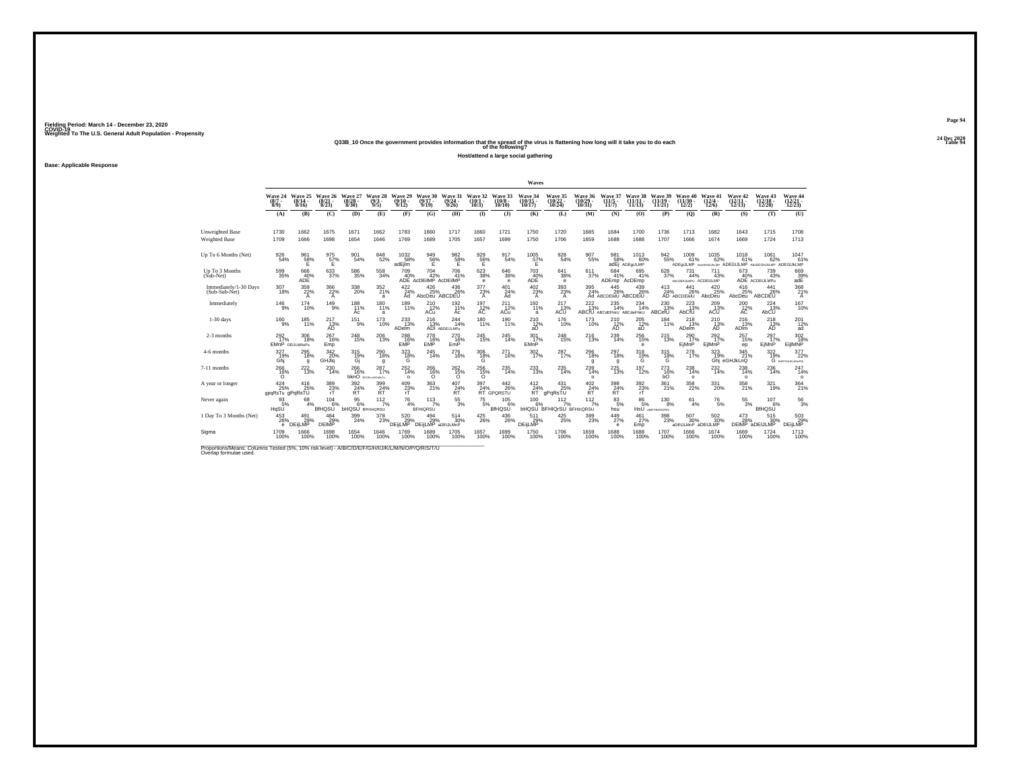#### **24 Dec 2020Q33B\_10 Once the government provides information that the spread of the virus is flattening how long will it take you to do each Table 94 of the following?**

**Host/attend a large social gathering**

**Base: Applicable Response**

|                                                                                                                             |                                |                                      |                                  |                                    |                                                 |                               |                                             |                                                 |                             |                                                                                   | Waves                          |                                        |                                |                                              |                                 |                                |                                     |                               |                                       |                                                             |                                                   |
|-----------------------------------------------------------------------------------------------------------------------------|--------------------------------|--------------------------------------|----------------------------------|------------------------------------|-------------------------------------------------|-------------------------------|---------------------------------------------|-------------------------------------------------|-----------------------------|-----------------------------------------------------------------------------------|--------------------------------|----------------------------------------|--------------------------------|----------------------------------------------|---------------------------------|--------------------------------|-------------------------------------|-------------------------------|---------------------------------------|-------------------------------------------------------------|---------------------------------------------------|
|                                                                                                                             | Wave 24<br>$(8/7 -$<br>$8/9$ ) | Wave 25<br>(8/14 -<br>8/16           | Wave 26<br>$\frac{(8/21)}{8/23}$ | Wave 27<br>$\frac{(8/28)}{8/30}$   | Wave 28<br>$(9/3 -$<br>9/5                      | Wave 29<br>$(9/10 -$<br>9/12  | Wave 30<br>$(9/17 -$<br>9/19                | Wave 31<br>(9/24 -<br>9/26                      | Wave 32<br>(10/1 -<br>10/3) | Wave 33<br>$(10/8 -$<br>10/10                                                     | Wave 34<br>$(10/15 -$<br>10/17 | Wave 35<br>$(10/22 -$<br>10/24         | Wave 36<br>$(10/29 -$<br>10/31 | Wave 37<br>$(11/5 -$<br>11/7                 | Wave 38<br>$(11/11 -$<br>11/13  | Wave 39<br>$(11/19 -$<br>11/21 | Wave 40<br>$(11/30 -$<br>12/2)      | Wave 41<br>$(12/4 -$<br>12/6  | Wave 42<br>$\frac{(12/11)}{12/13}$    | Wave 43<br>$\frac{(12/18)}{12/20}$                          | Wave 44<br>$\frac{(12/21)}{12/23}$                |
|                                                                                                                             | (A)                            | (B)                                  | (C)                              | (D)                                | (E)                                             | (F)                           | (G)                                         | (H)                                             | $\mathbf{I}$                | $($ $\bf{J}$ $)$                                                                  | (K)                            | (L)                                    | (M)                            | (N)                                          | (0)                             | (P)                            | (Q)                                 | (R)                           | (S)                                   | (T)                                                         | (U)                                               |
| Unweighted Base<br><b>Weighted Base</b>                                                                                     | 1730<br>1709                   | 1662<br>1666                         | 1675<br>1698                     | 1671<br>1654                       | 1662<br>1646                                    | 1783<br>1769                  | 1660<br>1689                                | 1717<br>1705                                    | 1660<br>1657                | 1721<br>1699                                                                      | 1750<br>1750                   | 1720<br>1706                           | 1685<br>1659                   | 1684<br>1688                                 | 1700<br>1688                    | 1736<br>1707                   | 1713<br>1666                        | 1682<br>1674                  | 1643<br>1669                          | 1715<br>1724                                                | 1708<br>1713                                      |
| Up To 6 Months (Net)                                                                                                        | $\underset{54\%}{^{926}}$      | $^{961}_{-58\%}$                     | $\frac{975}{57\%}$               | 901<br>54%                         | 848/52%                                         | $^{1032}_{-58\%}$<br>adEilm   | $\frac{949}{56\%}$                          | $\frac{982}{58}\%$                              | $^{929}_{-56\%}$            | 917<br>54%                                                                        | $^{1005}_{~57\%}$              | 928<br>54%                             | 907<br>55%                     | 98158%                                       | 1013<br>60%<br>adEj ADEgiJLMP   | $\substack{942 \\ 55\%}$       | 1009<br>61%<br>ADEqiJLMP            | $^{1035}_{\  \  \, 62\%}$     | 1018<br>61%                           | 1061<br>62%<br>ANDEGNUKLMP ADEGIJLMP ANDEGNUKLMP ADEGIJKLMP | 1047<br>61%                                       |
| Up To 3 Months<br>(Sub-Net)                                                                                                 | 599<br>35%                     | 666<br>$ADE$ <sup>40%</sup>          | 633<br>37%                       | 586<br>35%                         | 558<br>34%                                      | 709                           | 704<br>40% 42% 41°<br>ADE AcDEilMP AcDEilMP | 706<br>41%                                      | 623<br>38%<br>е             | 646<br>38%<br><b>e</b>                                                            | 703<br>40%<br>ADË              | 641<br>38%<br>e                        | 611<br>37%                     | 684<br>41%<br>ADEmp                          | 695<br>41%<br>AcDEmp            | 628<br>37%                     | 731<br>44%<br>ALCOENLIMPU ACDEIJLMP | 711<br>43%                    | 673<br>40%                            | 739<br>43%<br>ADE ACDEULMPu                                 | 669<br>$39%$<br>adE                               |
| Immediately/1-30 Days<br>(Sub-Sub-Net)                                                                                      | 307<br>18%                     | $\frac{359}{22\%}$<br>A              | 366<br>22%<br>A                  | 338<br>20%                         | 352/21%<br>a                                    | 422/24%<br>Ad                 | $^{426}_{\,\,25\%}$<br>AbcDeu ABCDEU        | 436%                                            | 377<br>23%<br>A             | 401 24%<br>Ad                                                                     | $^{402}_{23\%}$<br>A           | 393%<br>$\mathsf{A}$                   | 395<br>24%                     | 445<br>26%<br>Ad ABCDEIKIU ABCDEIU           | 439 26%                         | $^{413}_{24\%}$                | 441<br>26%<br>AD ABCDEIKIU          | $^{420}_{\,\,25\%}$<br>AbcDeu | $^{416}_{25\%}$<br>AbcDeu             | 441<br>26%<br>ABCDEU                                        | 368<br>21%<br>A                                   |
| Immediately                                                                                                                 | $^{146}_{9\%}$                 | $^{174}_{10\%}$                      | $^{149}_{9\%}$                   | 188<br>11%<br>Ac                   | 180<br>11%<br>a                                 | 189<br>11%                    | <sup>210</sup> <sub>12%</sub><br>ACu        | 192 %<br>Ac                                     | $^{197}_{12\%}$             | $^{211}_{12\%}$<br>ACu                                                            | 192 <sub>1%</sub><br>a         | $^{217}_{13\%}$<br>ACŬ                 | $^{222}_{13\%}$                | $^{235}_{14\%}$<br>ABCfU ABCdEFhkU ABCdeFhkU | 234<br>14%                      | $^{230}_{13\%}$<br>ABCefU      | $^{223}_{13\%}$<br>AbCfU            | 209<br>13%<br>ACŬ             | $^{200}_{\,\,\,12\%}$                 | <sup>224</sup> <sub>13%</sub><br>AbCU                       | 167<br>10%                                        |
| 1-30 days                                                                                                                   | 160<br>9%                      | 185<br>11%                           | 217<br>$AD^{13%}$                | 151<br>9%                          | 173<br>10%                                      | 233<br>13%<br><b>ADelm</b>    | 216                                         | 244<br>13% 14'<br>ADI ABDEIJLMPu<br>14%         | 180<br>11%                  | 190<br>11%                                                                        | 210<br>12%<br>äĎ               | 176<br>10%                             | 173<br>10%                     | 210<br>$AD^{12%}$                            | 205<br>$\frac{12}{4}$           | 184<br>11%                     | 218<br>13%<br><b>ADelm</b>          | 210<br>$AD^{13%}$             | 216<br>13%<br><b>ADIm</b>             | 218<br>13%<br>AD                                            | 201<br>12%<br>ad                                  |
| 2-3 months                                                                                                                  | $^{292}_{17\%}$                | 306<br>18%<br><b>EMnP DEIJLMNoPs</b> | $^{267}_{16\%}$<br>Emp           | 248<br>15%                         | 206<br>13%                                      | 288<br>16%<br><b>EMP</b>      | 278<br>16%<br>EMP                           | 270<br>16%<br>EmP                               | $^{245}_{\,15\%}$           | 245<br>14%                                                                        | 301 <sub>7%</sub><br>EMnP      | 248<br>15%                             | 216                            | $^{239}_{14\%}$                              | $^{256}_{\phantom{1}15\%}$<br>е | $^{215}_{13\%}$                | 290 <sub>17%</sub><br>EiMnP         | $^{292}_{17\%}$<br>EjlMnP     | $^{257}_{15\%}$<br>ep                 | $^{297}_{17\%}$<br>EiMnP                                    | 302<br>18%<br>EijIMNP                             |
| 4-6 months                                                                                                                  | 327<br>19%<br>Ghi              | 295<br>18%<br>g                      | 342<br>20%<br>GHJiq              | 315<br>$^{19%}_{Gi}$               | 290<br>18%<br>g                                 | 323<br>${}^{18\%}_{\text{G}}$ | 245<br>14%                                  | 276<br>16%                                      | 306<br>$^{18\%}_{\;G}$      | 271<br>16%                                                                        | 302<br>17%                     | 287<br>17%                             | 296<br>18%<br>g                | 297<br>18%<br>q                              | 318<br>$^{19\%}_{\text{G}}$     | 315<br>${}^{18\%}_{\text{G}}$  | 278<br>17%                          | 323                           | 345<br>19% 21%<br>Ghi eGHJkLnQ<br>21% | 322                                                         | $\frac{377}{22\%}$<br>19% 22°<br>G BEFGHUKLMNGPOL |
| 7-11 months                                                                                                                 | 266<br>16%<br>$\Omega$         | $^{222}_{13\%}$                      | $^{230}_{14\%}$                  | 266 16%                            | 287 <sub>17%</sub><br><b>bknO</b> BOUKLINDSRITU | $^{252}_{14\%}$<br>$\Omega$   | $^{266}_{16\%}$<br>$\Omega$                 | $^{262}_{15\%}$<br>$\Omega$                     | $^{256}_{15\%}$<br>$\circ$  | 235<br>14%                                                                        | 233<br>13%                     | 235<br>14%                             | 239<br>14%<br>$\circ$          | 225<br>13%                                   | $^{197}_{12\%}$                 | $^{273}_{16\%}$<br>bO          | 238<br>14%<br>$\circ$               | 232<br>14%                    | 238<br>14%<br>$\circ$                 | $^{236}_{14\%}$                                             | $^{247}_{14\%}$<br>$\circ$                        |
| A year or longer                                                                                                            | 424<br>25%<br>gpqRsTu gPqRsTU  | $^{416}_{25\%}$                      | $\frac{389}{23\%}$               | $\frac{392}{87}$ %                 | $\frac{399}{24\%}$ RT                           | $^{409}_{23\%}$               | 363<br>21%                                  | $^{407}_{\substack{24\%\\ \scriptstyle\sf RT}}$ | $\frac{397}{24\%}$          | $^{442}_{26\%}$<br>RT GPORSTU                                                     | $^{412}_{24\%}$<br>ŔŤ          | 431<br>25%<br>⊂gPqRsT̃Ŭ                | $^{402}_{\substack{24 \ N}}$   | $\frac{398}{24\%}$ RT                        | $\frac{392}{23}\%$              | $^{361}_{21\%}$                | 358<br>22%                          | 331<br>20%                    | 358<br>21%                            | $321$<br>19%                                                | $\frac{364}{21\%}$                                |
| Never again                                                                                                                 | 93<br>5%<br>HqSŬ               | 68                                   | 104<br>6%<br><b>BIHQSU</b>       | 95<br>6%<br><b>bHQSU</b> BFHInQRSU | 112<br>7%                                       | 76<br>4%                      | 113<br>7%<br><b>BFHIQRSU</b>                | $^{55}_{3\%}$                                   | 75                          | 105<br>5%<br>BfHQSŬ<br>6%                                                         | 100                            | 112<br><b>bHQSU BFHIQrSU BFHInQRSU</b> | 112<br>7%                      | 83<br>5%<br>hsu                              | 86<br>5%                        | 130<br>8%<br>HSU ananasoonsu   | 61<br>4%                            | 76<br>5%                      | 55<br>3%                              | 107<br>6%<br>BfHQSŬ                                         | $\frac{56}{3%}$                                   |
| 1 Day To 3 Months (Net)                                                                                                     | 453<br>26%<br>e                | 491<br>29%<br><b>DEiLMP</b>          | 484<br>29%<br><b>DEIMP</b>       | 399<br>24%                         | 378<br>23%                                      | 520<br>29%<br><b>DEILMP</b>   | $^{494}_{29\%}$<br>DEIILMP aDEIJLMnP        | $^{514}_{\ 30\%}$                               | $^{425}_{\,26\%}$           | $^{436}_{\phantom{1}\phantom{1}\phantom{1}\phantom{1}\phantom{1}\phantom{1}26\%}$ | 511<br>29%<br>DEIJLMP          | $^{425}_{\phantom{2}25\%}$             | 389<br>23%                     | 449<br>27%<br>e                              | $^{461}_{\ 27\%}$<br>Emp        | $^{398}_{23\%}$                | 507<br>30%<br>aDEIJLMnP aDEIJLMP    | $\frac{502}{30}\%$            | $\frac{473}{28\%}$                    | 515<br>30%<br>DEIMP aDEIJLMP                                | 503<br>DEIJLMP                                    |
| Sigma                                                                                                                       | 1709<br>100%                   | 1666<br>100%                         | 1698<br>100%                     | 1654<br>100%                       | 1646<br>100%                                    | 1769<br>100%                  | 1689<br>100%                                | 1705<br>100%                                    | 1657<br>100%                | 1699<br>100%                                                                      | 1750<br>100%                   | 1706<br>100%                           | 1659<br>100%                   | 1688<br>100%                                 | 1688<br>100%                    | 1707<br>100%                   | 1666<br>100%                        | 1674<br>100%                  | 1669<br>100%                          | 1724<br>100%                                                | 1713<br>100%                                      |
| Proportions/Means: Columns Tested (5%, 10% risk level) - A/B/C/D/E/F/G/H/I/J/K/L/M/N/O/P/Q/R/S/T/U<br>Overlap formulae used |                                |                                      |                                  |                                    |                                                 |                               |                                             |                                                 |                             |                                                                                   |                                |                                        |                                |                                              |                                 |                                |                                     |                               |                                       |                                                             |                                                   |

**Page 9424 Dec 2020<br>Table 94**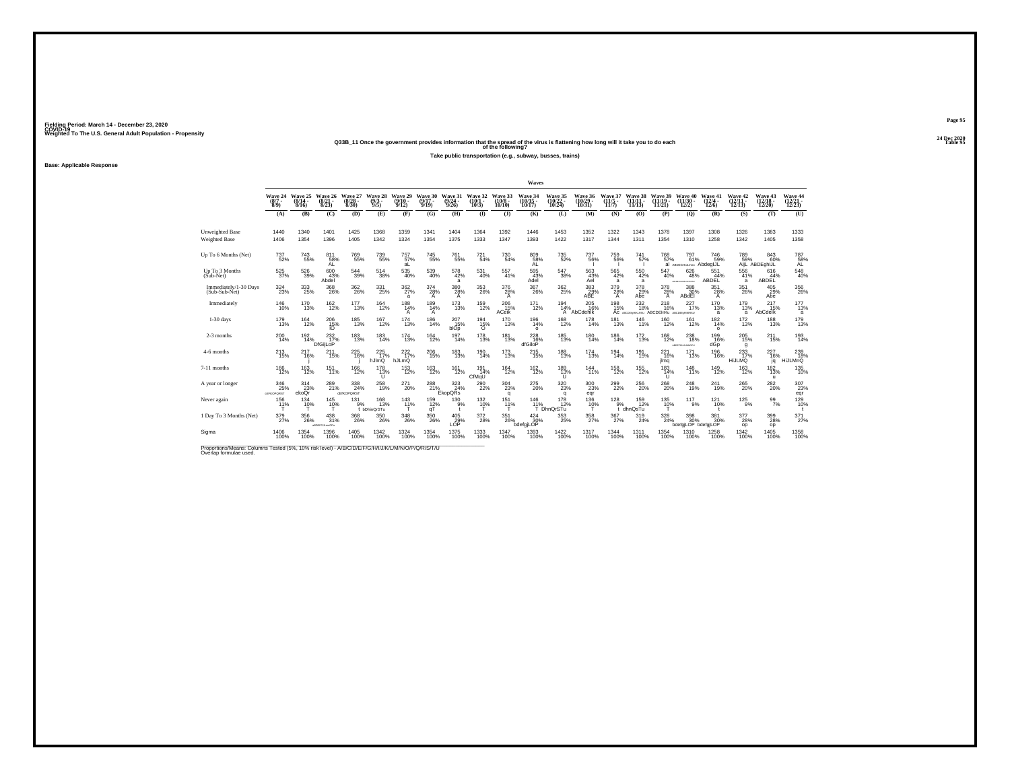#### **24 Dec 2020Q33B\_11 Once the government provides information that the spread of the virus is flattening how long will it take you to do each Table 95 of the following?**

**Take public transportation (e.g., subway, busses, trains)**

**Base: Applicable Response**

|                                                                                                                             |                                       |                                                  |                                     |                           |                            |                              |                          |                                       |                               |                               | Waves                           |                          |                               |                           |                                                         |                                    |                                       |                                |                                    |                                    |                               |
|-----------------------------------------------------------------------------------------------------------------------------|---------------------------------------|--------------------------------------------------|-------------------------------------|---------------------------|----------------------------|------------------------------|--------------------------|---------------------------------------|-------------------------------|-------------------------------|---------------------------------|--------------------------|-------------------------------|---------------------------|---------------------------------------------------------|------------------------------------|---------------------------------------|--------------------------------|------------------------------------|------------------------------------|-------------------------------|
|                                                                                                                             | Wave 24<br>$(8/7 -$<br>8/9            | Wave 25<br>(8/14)<br>8/16                        | Wave 26<br>(8/2)<br>8/23            | Wave 27<br>(8/28)<br>8/30 | Wave 28<br>$(9/3 -$<br>9/5 | Wave 29<br>$(9/10 -$<br>9/12 | Wave 30<br>(9/1)<br>9/19 | Wave 31<br>(9/24)<br>9/26             | Wave 32<br>(10/<br>$10/3$ )   | Wave 33<br>$(10/8 -$<br>10/10 | Wave 34<br>$(10/15 -$<br>10/17  | Wave 35<br>10/24         | Wave 36<br>$10/29$ .<br>10/31 | Wave 37<br>(11/5.<br>11/7 | Wave 38<br>(11/1)<br>11/13)                             | Wave 39<br>(11/19)<br>11/21        | Wave 40<br>$(11/30 -$<br>12/2)        | Wave 41<br>$(12/4 -$<br>12/6   | Wave 42<br>$\frac{(12/11)}{12/13}$ | Wave 43<br>$\frac{(12/18)}{12/20}$ | Wave 44<br>(12/21 -<br>12/23) |
|                                                                                                                             | (A)                                   | (B)                                              | (C)                                 | (D)                       | (E)                        | (F)                          | (G)                      | (H)                                   | $($ $\Gamma$                  | (I)                           | (K)                             | (L)                      | (M)                           | (N)                       | (0)                                                     | (P)                                | (Q)                                   | (R)                            | (S)                                | (T)                                | (U)                           |
| Unweighted Base<br>Weighted Base                                                                                            | 1440<br>1406                          | 1340<br>1354                                     | 1401<br>1396                        | 1425<br>1405              | 1368<br>1342               | 1359<br>1324                 | 1341<br>1354             | 1404<br>1375                          | 1364<br>1333                  | 1392<br>1347                  | 1446<br>1393                    | 1453<br>1422             | 1352<br>1317                  | 1322<br>1344              | 1343<br>1311                                            | 1378<br>1354                       | 1397<br>1310                          | 1308<br>1258                   | 1326<br>1342                       | 1383<br>1405                       | 1333<br>1358                  |
| Up To 6 Months (Net)                                                                                                        | 737<br>52%                            | $\substack{743 \\ 55\%}$                         | 811<br>58%<br>AL                    | 769<br>55%                | 739<br>55%                 | 757%<br>aL                   | 745<br>55%               | <sup>761</sup> 55%                    | 721<br>54%                    | 730<br>54%                    | 809<br>58%<br>ÄĽ                | 735<br>52%               | 737<br>56%                    | 759<br>56%                | 741<br>57%                                              | 768<br>57%                         | 797<br>61%<br>al ABDEGHLAmno AbdegiJL | 746<br>59%                     | 789<br>59%                         | 84360%<br>AijL ABDEghIJL           | $^{787}_{\,\,\,58\%}$         |
| Up To 3 Months<br>(Sub-Net)                                                                                                 | 525<br>37%                            | 526<br>39%                                       | 600<br>43%<br>Abdel                 | 544<br>39%                | 514<br>38%                 | 535<br>40%                   | 539<br>40%               | 578<br>42%<br>a                       | 531<br>40%                    | 557<br>41%                    | 595<br>43%<br>Adel              | 547<br>38%               | 563<br>43%<br>Ael             | 565<br>42%<br>a           | 550<br>42%<br>a                                         | 547<br>40%                         | 626<br>48%<br>ABJOIRDALA/ADPSU        | 551<br>44%<br>ABDEL            | 556<br>41%<br>a                    | 616<br>44%<br>ABDEL                | 548<br>40%                    |
| Immediately/1-30 Days<br>(Sub-Sub-Net)                                                                                      | $^{324}_{\phantom{1}\phantom{1}23\%}$ | $^{333}_{\phantom{1}\phantom{1}25\%}$            | $^{368}_{26\%}$                     | $^{362}_{26\%}$           | $^{331}_{\,\,25\%}$        | $\frac{362}{27\%}$<br>a      | $^{374}_{28\%}$<br>A     | $\frac{380}{28\%}$<br>A               | $^{353}_{\ 26\%}$             | 376<br>28%<br>Α               | $^{367}_{26\%}$                 | $^{362}_{25\%}$          | 383<br>29%<br>ABE             | 379<br>28%<br>A           | 378<br>29%<br>Abe                                       | $^{378}_{28\%}$<br>A               | 388<br>30%<br>ABdEI                   | $^{351}_{28\%}$<br>A           | $^{351}_{\  \, 26\%}$              | $^{405}_{29\%}$<br>Abe             | $^{356}_{26\%}$               |
| Immediately                                                                                                                 | $^{146}_{10\%}$                       | $^{170}_{13\%}$                                  | 162%                                | 177<br>13%                | 164<br>12%                 | 188<br>14%<br>A              | 189<br>14%<br>A          | $^{173}_{13\%}$                       | $^{159}_{12\%}$               | 206<br>15%<br>ACeik           | $^{171}_{12\%}$                 | $^{194}_{14\%}$<br>A     | $^{205}_{16\%}$<br>AbCdehlk   | 198<br>15%                | $^{232}_{18\%}$<br>AC ASCORMMARSU ABCDENIKU ABCORMMARSU | 218<br>16%                         | 227 <sub>17%</sub>                    | 170<br>13%<br>a                | 179<br>13%<br>a                    | 217<br>15%<br>AbCdelk              | $\frac{177}{13\%}$<br>a       |
| $1-30$ days                                                                                                                 | 179<br>13%                            | 164<br>12%                                       | $^{206}_{\,15\%}$                   | 185<br>13%                | 167<br>12%                 | 174<br>13%                   | 186<br>14%               | 207<br>15%<br>blOp                    | $\frac{194}{15\%}$            | 170<br>13%                    | 196<br>14%<br>$\Omega$          | 168<br>12%               | 178<br>14%                    | 181<br>13%                | 146<br>11%                                              | 160<br>12%                         | 161<br>12%                            | $\frac{182}{14\%}$<br>$\Omega$ | 172<br>13%                         | 188<br>13%                         | 179<br>13%                    |
| 2-3 months                                                                                                                  | $^{200}_{14\%}$                       | $^{192}_{14\%}$                                  | 232 <sub>%</sub><br><b>DfGijLoP</b> | $^{183}_{13\%}$           | $183 \over 14\%$           | $^{174}_{13\%}$              | 164<br>12%               | $^{197}_{14\%}$                       | $^{178}_{13\%}$               | $^{181}_{13\%}$               | $^{228}_{16\%}$<br>dfGiloP      | 185<br>13%               | $^{180}_{14\%}$               | $^{186}_{14\%}$           | $^{172}_{13\%}$                                         | $^{168}_{12\%}$                    | 238<br>18%<br>UROKECALLMAD PU         | 199<br>16%<br>dGp              | $^{205}_{\,15\%}$<br>g             | $^{211}_{15\%}$                    | $^{193}_{14\%}$               |
| 4-6 months                                                                                                                  | 213<br>15%                            | 217<br>16%                                       | 211<br>15%                          | 225<br>16%                | 225<br>17%<br>hJlmQ        | 222<br>17%<br>hJLmQ          | 206<br>15%               | 183<br>13%                            | 190<br>14%                    | 173<br>13%                    | 215<br>15%                      | 188<br>13%               | 174<br>13%                    | 194<br>14%                | 191<br>15%                                              | 221<br>16%<br>jimq                 | 171<br>13%                            | 196<br>16%                     | 233<br>17%<br><b>HIJLMQ</b>        | 227<br>16%<br>ją                   | 239<br>18%<br>HiJLMnQ         |
| 7-11 months                                                                                                                 | $^{166}_{12\%}$                       | $^{163}_{12\%}$                                  | 151%                                | $^{166}_{12\%}$           | 178 13%<br>ΰ               | $^{153}_{12\%}$              | $^{163}_{12\%}$          | $^{161}_{12\%}$                       | $191$ <sub>14%</sub><br>CfMqU | 164<br>12%                    | $^{162}_{12\%}$                 | 189 13%<br>$\cup$        | $^{144}_{11\%}$               | 158<br>12%                | $^{155}_{12\%}$                                         | $\frac{183}{14\%}$<br>$\mathbf{U}$ | 148<br>11%                            | $^{149}_{12\%}$                | $^{163}_{12\%}$                    | $\frac{182}{13\%}$<br>$\mathbf{u}$ | 135<br>10%                    |
| A year or longer                                                                                                            | 346<br>25%<br><b>GEFKOPORST</b>       | $\frac{314}{23\%}$<br>ekoQr                      | 289<br>21%                          | 338<br>24%<br>cEfKOPQRST  | $^{258}_{19\%}$            | 271<br>20%                   |                          | $288$<br>$21\%$ EkopQRs<br>323<br>24% | $^{290}_{22\%}$               | 304<br>23%<br>q               | $^{275}_{20\%}$                 | $\frac{320}{23\%}$<br>q  | 300<br>23%<br>eqr             | 299<br>22%                | 256<br>20%                                              | $^{268}_{20\%}$                    | 248<br>19%                            | 241<br>19%                     | $^{265}_{20\%}$                    | $^{282}_{20\%}$                    | 307<br>23%<br>eqr             |
| Never again                                                                                                                 | 156<br>11%                            | 134<br>10%                                       | 145<br>10%                          | 131<br>9%                 | 168<br>13%<br>t bDhinQrSTu | 143<br>11%                   | 159<br>12%<br>qT         | $^{130}_{9\%}$                        | $^{132}_{10\%}$               | 151<br>11%                    | 146<br>11%                      | 178<br>12%<br>T DhnQrSTu | 136<br>10%                    | 128<br>9%                 | 159<br>12%<br>t dhnQsTu                                 | 135<br>10%                         | 117<br>9%                             | 121<br>10%                     | $^{125}_{9\%}$                     | $\frac{99}{7\%}$                   | 129<br>10%                    |
| 1 Day To 3 Months (Net)                                                                                                     | $^{379}_{27\%}$                       | $^{356}_{\phantom{1}\phantom{1}\phantom{1}26\%}$ | 438<br>31%<br>atotrojumoni          | 368<br>26%                | $^{350}_{26\%}$            | $^{348}_{26\%}$              | 350<br>26%               | $^{405}_{29\%}$ LOP                   | $^{372}_{28\%}$               | $^{351}_{26\%}$               | $\frac{424}{30\%}$<br>bdefaiLOP | 353<br>25%               | $^{358}_{27\%}$               | 367%                      | $^{319}_{24\%}$                                         | 328<br>24%                         | 398<br>30%<br>bdefgjLOP bdefgjLOP     | 381<br>30%                     | 377<br>28%<br>op                   | $\frac{399}{28\%}$<br>op           | $^{371}_{27\%}$               |
| Sigma                                                                                                                       | 1406<br>100%                          | 1354<br>100%                                     | 1396<br>100%                        | 1405<br>100%              | 1342<br>100%               | 1324<br>100%                 | 1354<br>100%             | 1375<br>100%                          | 1333<br>100%                  | 1347<br>100%                  | 1393<br>100%                    | 1422<br>100%             | 1317<br>100%                  | 1344<br>100%              | 1311<br>100%                                            | 1354<br>100%                       | 1310<br>100%                          | 1258<br>100%                   | 1342<br>100%                       | 1405<br>100%                       | 1358<br>100%                  |
| Proportions/Means: Columns Tested (5%, 10% risk level) - A/B/C/D/E/F/G/H/I/J/K/L/M/N/O/P/Q/R/S/T/U<br>Overlap formulae used |                                       |                                                  |                                     |                           |                            |                              |                          |                                       |                               |                               |                                 |                          |                               |                           |                                                         |                                    |                                       |                                |                                    |                                    |                               |

**Page 9524 Dec 2020<br>Table 95**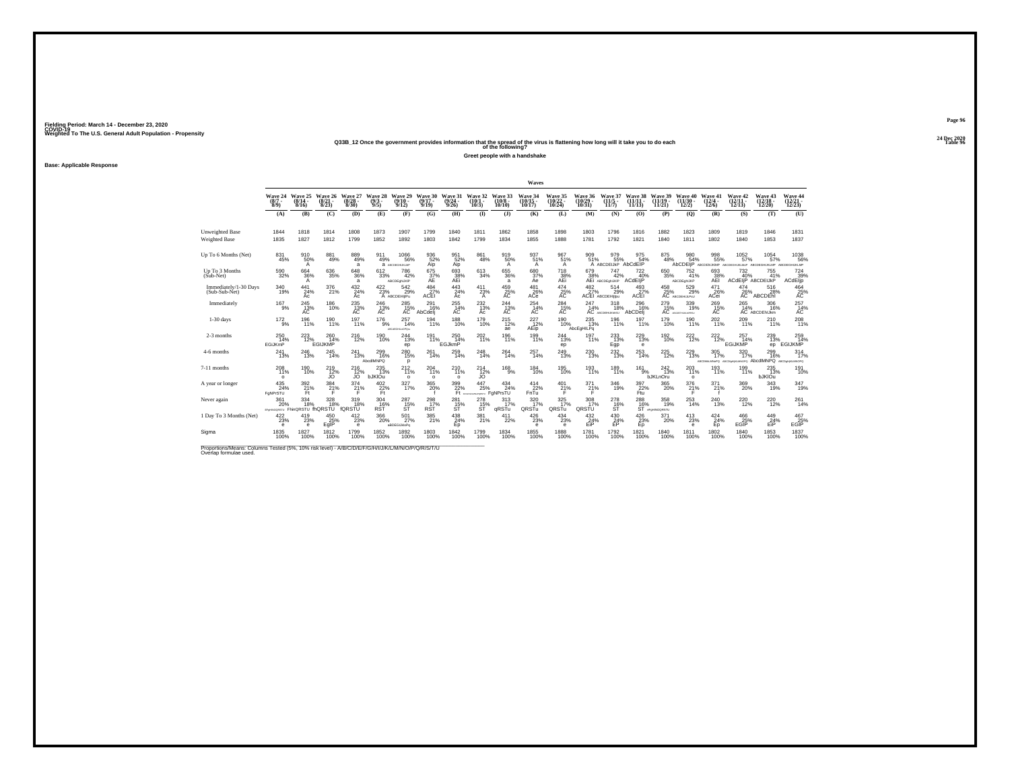#### **24 Dec 2020Q33B\_12 Once the government provides information that the spread of the virus is flattening how long will it take you to do each Table 96 of the following?**

**Greet people with a handshake**

**Base: Applicable Response**

|                                                                                                                             |                                              |                              |                                 |                                      |                                        |                              |                                |                                                                |                               |                                        | Waves                                      |                                            |                                |                                          |                                              |                                |                                                               |                                              |                                                        |                                            |                                    |
|-----------------------------------------------------------------------------------------------------------------------------|----------------------------------------------|------------------------------|---------------------------------|--------------------------------------|----------------------------------------|------------------------------|--------------------------------|----------------------------------------------------------------|-------------------------------|----------------------------------------|--------------------------------------------|--------------------------------------------|--------------------------------|------------------------------------------|----------------------------------------------|--------------------------------|---------------------------------------------------------------|----------------------------------------------|--------------------------------------------------------|--------------------------------------------|------------------------------------|
|                                                                                                                             | Wave 24<br>$\frac{(8/7)}{8/9}$               | Wave 25<br>$(8/14 -$<br>8/16 | Wave 26<br>$\binom{8/21}{8/23}$ | Wave 27<br>$\frac{(8/28)}{8/30}$     | Wave 28<br>$\binom{9/3}{9/5}$          | Wave 29<br>$(9/10 -$<br>9/12 | Wave 30<br>$(9/17 -$<br>9/19   | Wave 31<br>$(9/24 -$<br>9/26                                   | Wave 32<br>$(10/1 -$<br>10/3) | Wave 33<br>$(10/8 -$<br>10/10          | Wave 34<br>$(10/15 -$<br>10/17             | Wave 35<br>$\frac{(10/22 - 10/24)}{10/24}$ | Wave 36<br>$(10/29 -$<br>10/31 | Wave 37<br>$(11/5 -$<br>11/7             | Wave 38<br>$(11/11 -$<br>11/13               | Wave 39<br>$(11/19 -$<br>11/21 | Wave 40<br>$(11/30 -$<br>12/2)                                | Wave 41<br>$\frac{(12/4 - 12)}{12/6}$        | Wave 42<br>$\frac{(12/11)}{12/13}$                     | Wave 43<br>$\frac{(12/18)}{12/20}$         | Wave 44<br>$\frac{(12/21)}{12/23}$ |
|                                                                                                                             | (A)                                          | (B)                          | (C)                             | (D)                                  | (E)                                    | (F)                          | (G)                            | (H)                                                            | $($ $\Gamma$                  | $($ $\bf{J}$ )                         | (K)                                        | (L)                                        | (M)                            | (N)                                      | (O)                                          | (P)                            | (Q)                                                           | (R)                                          | (S)                                                    | (T)                                        | (U)                                |
| <b>Unweighted Base</b><br><b>Weighted Base</b>                                                                              | 1844<br>1835                                 | 1818<br>1827                 | 1814<br>1812                    | 1808<br>1799                         | 1873<br>1852                           | 1907<br>1892                 | 1799<br>1803                   | 1840<br>1842                                                   | 1811<br>1799                  | 1862<br>1834                           | 1858<br>1855                               | 1898<br>1888                               | 1803<br>1781                   | 1796<br>1792                             | 1816<br>1821                                 | 1882<br>1840                   | 1823<br>1811                                                  | 1809<br>1802                                 | 1819<br>1840                                           | 1846<br>1853                               | 1831<br>1837                       |
| Up To 6 Months (Net)                                                                                                        | 831<br>45%                                   | $^{910}_{50\%}$<br>A         | 881<br>49%                      | 889<br>49%<br>a                      | 911<br>49%                             | 1066<br>56%<br>а исследилир  | 936<br>52%<br>Aip              | 951<br>52%<br>Aip                                              | $\substack{861 \\ 48\%}$      | 919<br>50%<br>A                        | 937 <sub>51%</sub><br>A                    | $\frac{967}{51\%}$<br>A                    | 909<br>51%                     | 979<br>55%<br>A ABCDEIJKP AbCdEIP        | 975<br>54%                                   | $875\phantom{.000}^{+48\%}$    | 980<br>54%                                                    | $^{998}_{55\%}$<br>AbCDEIjP ABCDENJKMP ABCDE | $\frac{1052}{57\%}$<br>GHLIKLMsP AB                    | $1054 \over 57\%$<br><b>UKLMP</b>          | 1038<br>56%<br>ABCDEGHUKLMP        |
| Up To 3 Months<br>(Sub-Net)                                                                                                 | 590<br>32%                                   | 664<br>36%<br>A              | 636<br>35%                      | 648<br>36%<br>a                      | 612<br>33%                             | 786<br>42%<br>ABCDEghLIKIP   | 675<br>37%<br>AE               | 693<br>38%<br>AEi                                              | 613<br>34%                    | 655<br>36%<br>a                        | 680<br>37%<br>Ae                           | 718<br>38%<br>AEi                          | 679                            | 747<br>38% 42%<br>AEi ABCDEghUKIP<br>42% | 722<br>40%<br>ACdEliP                        | 650<br>35%                     | 752<br>41%<br>ABCDEghLJKP                                     | 693<br>38%<br>AEI                            | 732                                                    | 755<br>41%<br>40% 41°<br>ACdEliP ABCDEIJkP | 724<br>39%<br>ACdElip              |
| Immediately/1-30 Days<br>(Sub-Sub-Net)                                                                                      | 340<br>19%                                   | 441<br>24%<br>Ac             | 376<br>21%                      | 432/24%<br>Ac                        | 422/23%                                | 542<br>29%<br>A ABCDEHIJIPu  | $^{484}_{27\%}$<br><b>ACEI</b> | $443$ <sub>24%</sub><br>Ac                                     | 411<br>23%<br>Α               | 459 25%<br>AC                          | $^{481}_{26\%}$<br>ACe                     | 474<br>25%<br>AC                           | $\frac{482}{27}\%$             | 514<br>29%<br>ACEI ABCDEHIjIpu           | $^{493}_{27\%}$<br>ACEI                      | 458 25%                        | 529%<br>AC ABCDEHULPSU                                        | $^{471}_{26\%}$<br>ACei                      | 474<br>26%<br>AC                                       | 516<br>28%<br>ABCDEhl                      | 464<br>25%<br>AC                   |
| Immediately                                                                                                                 | $^{167}_{9\%}$                               | $^{245}_{13\%}$              | 186<br>10%                      | $^{235}_{\,\,13\%}$                  | $^{246}_{13\%}$                        | $^{285}_{15\%}$              | 291<br>16%<br>AbCdeli          | $^{255}_{\phantom{1}14\%}$                                     | $^{232}_{13\%}$<br>Áč         | 244<br>AC                              | $^{254}_{14\%}$<br>AC                      | 284<br>15%<br>AC                           | 247<br>14%                     | 318<br>18%<br>AC ABCDENLIKINGU           | 296<br>16%<br>AbCDeli                        |                                | $\underset{\text{AC}}{279} \underset{\text{600}}{339}$<br>19% | $^{269}_{\rm A\overline{C}}$                 |                                                        | 265 306<br>14% 16%<br>AC ABCDEhiJkm<br>16% | $^{257}_{14\%}$                    |
| $1-30$ days                                                                                                                 | 172<br>9%                                    | 196<br>11%                   | 190<br>11%                      | 197<br>11%                           | 176<br>9%                              | 257<br>14%<br>ABC/SGHL/OPO/L | 194<br>11%                     | 188<br>10%                                                     | 179<br>10%                    | 215<br>12%<br>ae                       | 227<br>12%<br>AEip                         | 190<br>10%                                 | 235<br>13%<br>AbcEgHILPq       | 196<br>11%                               | 197<br>11%                                   | 179<br>10%                     | 190<br>11%                                                    | 202<br>11%                                   | 209<br>11%                                             | 210<br>11%                                 | 208<br>11%                         |
| 2-3 months                                                                                                                  | 250<br>14%<br>EGiJKmP                        | $^{223}_{12\%}$              | 260<br>14%<br><b>EGIJKMP</b>    | <sup>216</sup> <sub>12%</sub>        | 190<br>10%                             | 244<br>13%<br>ep             | 191<br>11%                     | 250<br>14%<br><b>EGJkmP</b>                                    | 202<br>11%                    | 196<br>11%                             | 199<br>11%                                 | <sup>244</sup> <sub>13%</sub><br>ep        | $^{197}_{11\%}$                | 233<br>13%<br>Egp                        | <sup>229</sup> <sub>13%</sub><br>$\mathbf e$ | 192<br>10%                     | <sup>222</sup> <sub>12%</sub>                                 | $^{222}_{12\%}$                              | 257<br>14%<br>EGiJKMP                                  | 239<br>13%<br>ep                           | 259<br><b>EGIJKMP</b>              |
| 4-6 months                                                                                                                  | 241<br>13%                                   | 246<br>13%                   | 245<br>14%                      | 241<br>13%                           | 299<br>16%<br>AbcdIMNPQ                | 280<br>15%<br>n              | 261<br>14%                     | 259<br>14%                                                     | 248<br>14%                    | 264<br>14%                             | 257<br>14%                                 | 249<br>13%                                 | 230<br>13%                     | 232<br>13%                               | 253<br>14%                                   | 225<br>12%                     | 229<br>13%                                                    | 305<br>17%                                   | 320<br>17%<br>ABCONNAMINERO ABCONNINAMINORO ADOCHIMNPO | 299<br>16%                                 | 314<br>17%<br>ABCDeNIKLMNOPO       |
| 7-11 months                                                                                                                 | $^{208}_{11\%}$<br>$\circ$                   | 190<br>10%                   | 219<br>12%<br><b>JO</b>         | <sup>216</sup> <sub>12%</sub><br>JO. | $^{235}_{13\%}$<br>bJKIOu              | $^{212}_{11\%}$<br>$\Omega$  | 204<br>11%<br>$\circ$          | $^{210}_{11\%}$<br>$\circ$                                     | $^{214}_{12\%}$<br>JO.        | $^{168}_{9\%}$                         | 184<br>10%                                 | $^{195}_{10\%}$                            | $^{193}_{11\%}$                | 189<br>11%                               | $^{161}_{9\%}$                               | 242 <sub>13%</sub><br>bJKLnOru | 203<br>$\circ$                                                | $^{193}_{11\%}$                              | 199<br>11%                                             | $^{235}_{13\%}$<br><b>bJKIOu</b>           | 191<br>10%                         |
| A year or longer                                                                                                            | $^{435}_{\  \, 24\%}$<br>FoNPrSTU            | $\frac{392}{21\%}$           | $\frac{384}{21\%}$              | $\frac{374}{21\%}$                   | $^{402}_{\substack{22\%\\ \text{Ft}}}$ | 327 <sub>06</sub>            | $^{365}_{20\%}$                | $\begin{array}{c} 399 \\ 22\% \\ \hline \text{Ft} \end{array}$ | 447<br>25%                    | 434<br>24%<br><b>MANAGERY FONPISTU</b> | $\frac{414}{22\%}$ FnTu                    | $^{401}_{21\%}$                            | $^{371}_{21\%}$                | $\frac{346}{19\%}$                       | 397<br>22%<br>Ftu                            | $^{365}_{\,20\%}$              | $\frac{376}{21\%}$                                            | $^{371}_{21\%}$                              | 369<br>20%                                             | 343/19%                                    | 347<br>19%                         |
| Never again                                                                                                                 | 361<br>20%<br>EFerryoorsTU FhinQRSTU fhQRSTU | 334<br>18%                   | 328<br>18%                      | 319<br>18%<br>fQRSTU                 | 304<br>16%<br>RST                      | 287<br>$35\%$                | 298<br>RST                     | 281<br>$35\%$                                                  | 278<br>s <sup>15</sup>        | 313<br>17%<br>aRSTu                    | 320<br>17%<br>QRSTu                        | 325<br>17%<br>QRSTu                        | 308<br>17%<br>QRSTU            | 278<br>$316$ %                           | 288                                          | 358<br>19%<br>16% 19           | 253<br>14%                                                    | 240<br>13%                                   | 220<br>12%                                             | 220<br>12%                                 | 261<br>14%                         |
| 1 Day To 3 Months (Net)                                                                                                     | $^{422}_{\,\,23\%}$<br>е                     | $^{419}_{23\%}$<br>e         | 450 25%<br>EgIP                 | $^{412}_{23\%}$<br>$\epsilon$        | $^{366}_{\,20\%}$                      | 501<br>27%<br>aBDEGIJkloPq   | $\frac{385}{21\%}$             | $^{438}_{24\%}$<br>Ep                                          | 381<br>21%                    | 411<br>22%                             | $^{426}_{\phantom{1}\phantom{1}23\%}$<br>e | $^{434}_{23\%}$<br>е                       | $^{432}_{24\%}$<br>EiP         | $^{430}_{24\%}$<br>EP                    | $^{426}_{23\%}$<br>Ep                        | 371<br>20%                     | $^{413}_{23\%}$<br>$\mathbf{e}$                               | $^{424}_{24\%}$<br>Ep                        | 466<br>25%<br>EGIP                                     | 449<br>24%<br>EiP                          | 467<br>25%<br><b>EGIP</b>          |
| Sigma                                                                                                                       | 1835<br>100%                                 | 1827<br>100%                 | 1812<br>100%                    | 1799<br>100%                         | 1852<br>100%                           | 1892<br>100%                 | 1803<br>100%                   | 1842<br>100%                                                   | 1799<br>100%                  | 1834<br>100%                           | 1855<br>100%                               | 1888<br>100%                               | 1781<br>100%                   | 1792<br>100%                             | 1821<br>100%                                 | 1840<br>100%                   | 1811<br>100%                                                  | 1802<br>100%                                 | 1840<br>100%                                           | 1853<br>100%                               | 1837<br>100%                       |
| Proportions/Means: Columns Tested (5%, 10% risk level) - A/B/C/D/E/F/G/H/I/J/K/L/M/N/O/P/Q/R/S/T/U<br>Overlap formulae used |                                              |                              |                                 |                                      |                                        |                              |                                |                                                                |                               |                                        |                                            |                                            |                                |                                          |                                              |                                |                                                               |                                              |                                                        |                                            |                                    |

**Page 9624 Dec 2020<br>Table 96**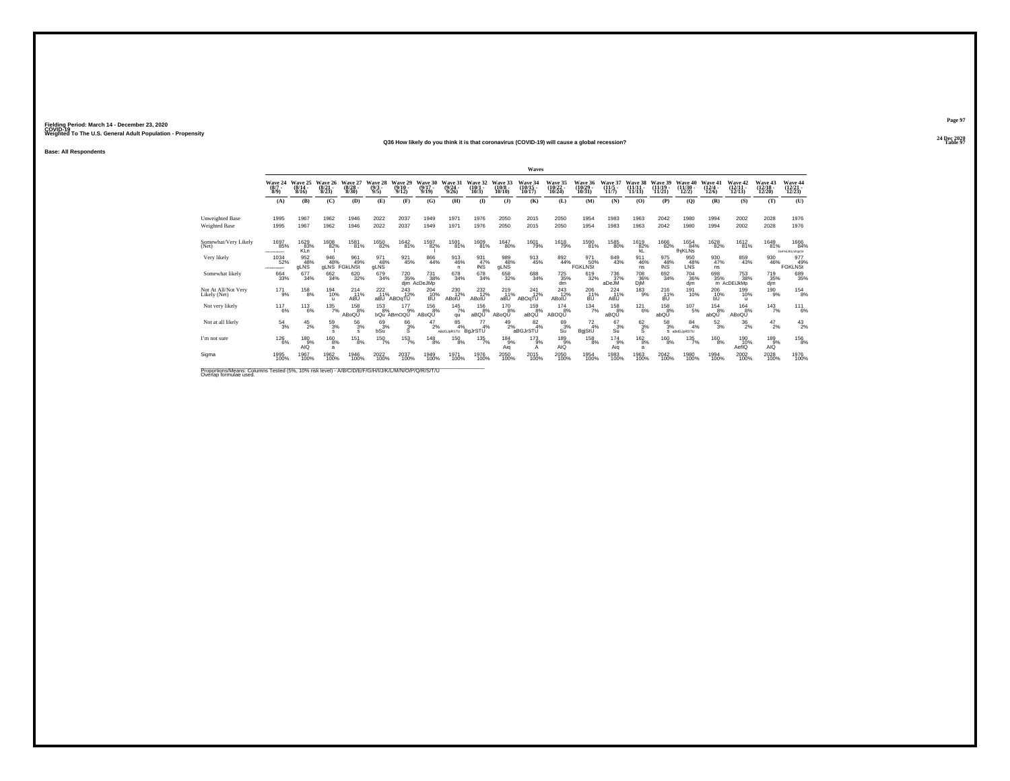#### **24 Dec 2020Q36 How likely do you think it is that coronavirus (COVID-19) will cause a global recession?Table 97 Table 97**

**Base: All Respondents**

|                                                                                                                             |                                         |                              |                                 |                              |                                    |                              |                              |                                |                              |                               | Waves                          |                                |                                |                              |                                |                                |                                |                                 |                                             |                               |                               |
|-----------------------------------------------------------------------------------------------------------------------------|-----------------------------------------|------------------------------|---------------------------------|------------------------------|------------------------------------|------------------------------|------------------------------|--------------------------------|------------------------------|-------------------------------|--------------------------------|--------------------------------|--------------------------------|------------------------------|--------------------------------|--------------------------------|--------------------------------|---------------------------------|---------------------------------------------|-------------------------------|-------------------------------|
|                                                                                                                             | Wave 24<br>$(8/7 -$<br>$8/9$ )          | Wave 25<br>$(8/14 -$<br>8/16 | Wave 26<br>$\binom{8/21}{8/23}$ | Wave 27<br>$(8/28 -$<br>8/30 | Wave 28<br>$(9/3 -$<br>9/5         | Wave 29<br>$(9/10 -$<br>9/12 | Wave 30<br>$(9/17 -$<br>9/19 | Wave 31<br>$(9/24 -$<br>9/26   | Wave 32<br>$(10/1 -$<br>10/3 | Wave 33<br>$(10/8 -$<br>10/10 | Wave 34<br>$(10/15 -$<br>10/17 | Wave 35<br>(10/22 -<br>10/24)  | Wave 36<br>$(10/29 -$<br>10/31 | Wave 37<br>$(11/5 -$<br>11/7 | Wave 38<br>$(11/11 -$<br>11/13 | Wave 39<br>$(11/19 -$<br>11/21 | Wave 40<br>$(11/30 -$<br>12/2) | Wave 41<br>$\binom{12/4}{12/6}$ | Wave 42<br>$\frac{(12/11)}{12/13}$          | Wave 43<br>(12/18 -<br>12/20) | Wave 44<br>(12/21 -<br>12/23) |
|                                                                                                                             | (A)                                     | (B)                          | (C)                             | (D)                          | (E)                                | (F)                          | (G)                          | (H)                            | $($ $\Gamma$                 | $($ $)$                       | (K)                            | (L)                            | (M)                            | (N)                          | (O)                            | (P)                            | (Q)                            | (R)                             | (S)                                         | (T)                           | (U)                           |
| Unweighted Base<br>Weighted Base                                                                                            | 1995<br>1995                            | 1967<br>1967                 | 1962<br>1962                    | 1946<br>1946                 | 2022<br>2022                       | 2037<br>2037                 | 1949<br>1949                 | 1971<br>1971                   | 1976<br>1976                 | 2050<br>2050                  | 2015<br>2015                   | 2050<br>2050                   | 1954<br>1954                   | 1983<br>1983                 | 1963<br>1963                   | 2042<br>2042                   | 1980<br>1980                   | 1994<br>1994                    | 2002<br>2002                                | 2028<br>2028                  | 1976<br>1976                  |
| Somewhat/Very Likely<br>(Net)                                                                                               | <sup>1697</sup> 85%<br>COEFOILIALMAPKET | 1629<br>83%<br><b>KLn</b>    | 1608<br>82%                     | <sup>1581</sup> 81%          | <sup>1650</sup> 82%                | <sup>1642</sup> 81%          | 1597<br>82%                  | 1591<br>81%                    | $^{1609}_{81\%}$             | 1647<br>80%                   | <sup>1601</sup> 79%            | <sup>1618</sup> 79%            | 1590<br>81%                    | 1585<br>80%                  | 1619<br>82%<br>kL              | <sup>1666</sup> 82%            | 1654<br>84%<br>fhiKLNs         | <sup>1628</sup> 82%             | 1612<br>81%                                 | <sup>1649</sup> 81%           | 1666<br>84%<br>DeFHiJKLmNprSt |
| Very likely                                                                                                                 | 1034<br>52%<br><b>APGHANDADIST</b>      | 952<br>48%<br>gLNS           | 946<br>48%                      | 961<br>49%<br>gLNS FGkLNSt   | 971<br>48%<br>gLNS                 | 921<br>45%                   | 866<br>44%                   | 913<br>46%<br>n                | 931<br>47%<br>INS            | 989<br>48%<br>gLNS            | 913<br>45%                     | 892<br>44%                     | 971<br>50%<br><b>FGKLNSt</b>   | 849<br>43%                   | 911<br>46%<br>ns               | 975<br>$^{48}_{\text{INS}}$    | 950<br>L <sub>NS</sub>         | 930<br>47%<br>ns                | 859<br>43%                                  | 930<br>46%                    | 977<br>49%<br>FGKLNSt         |
| Somewhat likely                                                                                                             | $\substack{664 \\ 33\%}$                | $677 \atop 34\%$             | $\substack{662\\34\%}$          | 620<br>32%                   | 679<br>34%                         | 720<br>35%                   | 731<br>38%<br>dim AcDeJMp    | 678<br>34%                     | 678<br>34%                   | 658<br>32%                    | 688<br>34%                     | $\substack{725 \\ 35\%}$<br>dm | 619<br>32%                     | 736<br>37%<br>aDeJM          | <sup>708</sup> 36%<br>DjM      | 692<br>34%                     | <sup>704</sup> 36%<br>djm      | $^{698}_{35\%}$                 | <sup>753</sup> <sub>38%</sub><br>m AcDEUKMp | 719<br>35%<br>djm             | 689<br>35%                    |
| Not At All/Not Very<br>Likely (Net)                                                                                         | $^{17}$ 1%                              | $^{158}_{8\%}$               | 194<br>10%<br>$\mathbf{u}$      | 214<br>11%<br>ABU            | $^{222}_{11\%}$<br>aBU <sup></sup> | $^{243}_{12\%}$<br>ABOqTU    | $^{204}_{10\%}$<br>BŪ.       | 230<br>12%<br>ABotU            | $^{232}_{12\%}$<br>ABotU     | $^{219}_{11\%}$<br>aBÚ        | 241<br>12%<br>ABOqTU           | $^{243}_{12\%}$<br>ABotU       | 206<br>11%<br>BÚ               | $^{224}_{11\%}$<br>ABU       | $^{183}_{9\%}$                 | $^{216}_{11\%}$<br>BÙ          | 191<br>10%                     | $^{206}_{\rm -10\%}$            | 199<br>10%<br>ш                             | $^{190}_{-9\%}$               | $^{154}_{8\%}$                |
| Not very likely                                                                                                             | 117<br>6%                               | 113<br>6%                    | 135<br>7%                       | 158<br>8%<br>ABoQU           | 153<br>8%                          | 177<br>9%<br>bQu ABmOQU      | 156<br>8%<br>ABoQU           | 145<br>7%<br>qu                | 156<br>8%<br>aBQŬ            | 170<br>8%<br>ABoQU            | 159<br>8%<br>aBQŬ              | 174<br>8%<br>ABOQU             | 134<br>7%                      | 158<br>8%<br>aBQU            | 121<br>6%                      | 158<br>8%<br>abQU              | 107<br>5%                      | 154<br>8%<br>abQU               | 164<br>8%<br>ABoQU                          | 143<br>7%                     | 111<br>6%                     |
| Not at all likely                                                                                                           | $^{54}_{3\%}$                           | $^{45}_{2\%}$                | 59<br>3%<br>s                   | 563%                         | $^{69}_{3%}$<br>bSu                | $^{66}_{3%}$<br>s            | $^{47}_{2\%}$                | $\frac{85}{4\%}$<br>ABdGJpRSTU | $^{77}_{4\%}$<br>BqJrSTU     | $^{49}_{2\%}$                 | $\frac{82}{4\%}$<br>aBGJrSTU   | 69 <sub>3%</sub><br>Su         | $^{72}_{4\%}$<br>BgjStU        | $^{67}_{3\%}$<br>Su          | $6^{2}_{3\%}$<br>s             | $^{58}_{3\%}$                  | 84<br>4%<br>S aBdGJpRSTU       | $^{52}_{3\%}$                   | $^{36}_{2\%}$                               | $^{47}_{2\%}$                 | $^{43}_{2\%}$                 |
| I'm not sure                                                                                                                | 126<br>6%                               | 180<br>9%<br>AIO             | 160<br>8%<br>a                  | 151<br>8%                    | 150<br>7%                          | 153<br>7%                    | 148<br>8%                    | 150<br>8%                      | 135<br>7%                    | 184<br>9%<br>Aia              | 173<br>9%<br>А                 | 189<br>9%<br>AIQ               | 158<br>8%                      | 174<br>9%<br>Aia             | $^{162}_{8\%}$<br>a            | 160<br>8%                      | 135<br>7%                      | 160<br>8%                       | 190<br>10%<br>AefIQ                         | 189<br>9%<br>AIQ              | 156<br>8%                     |
| Sigma                                                                                                                       | 1995<br>100%                            | 1967<br>100%                 | 1962<br>100%                    | 1946<br>100%                 | 2022<br>100%                       | 2037<br>100%                 | 1949<br>100%                 | 1971<br>100%                   | 1976<br>100%                 | 2050<br>100%                  | 2015<br>100%                   | 2050<br>100%                   | 1954<br>100%                   | 1983<br>100%                 | 1963<br>100%                   | $^{2042}_{100\%}$              | 1980<br>100%                   | 1994<br>100%                    | 2002<br>100%                                | 2028<br>100%                  | 1976<br>100%                  |
| Proportions/Means: Columns Tested (5%, 10% risk level) - A/B/C/D/E/F/G/H/I/J/K/L/M/N/O/P/Q/R/S/T/U<br>Overlap formulae used |                                         |                              |                                 |                              |                                    |                              |                              |                                |                              |                               |                                |                                |                                |                              |                                |                                |                                |                                 |                                             |                               |                               |

**Page 97**24 Dec 2020<br>Table 97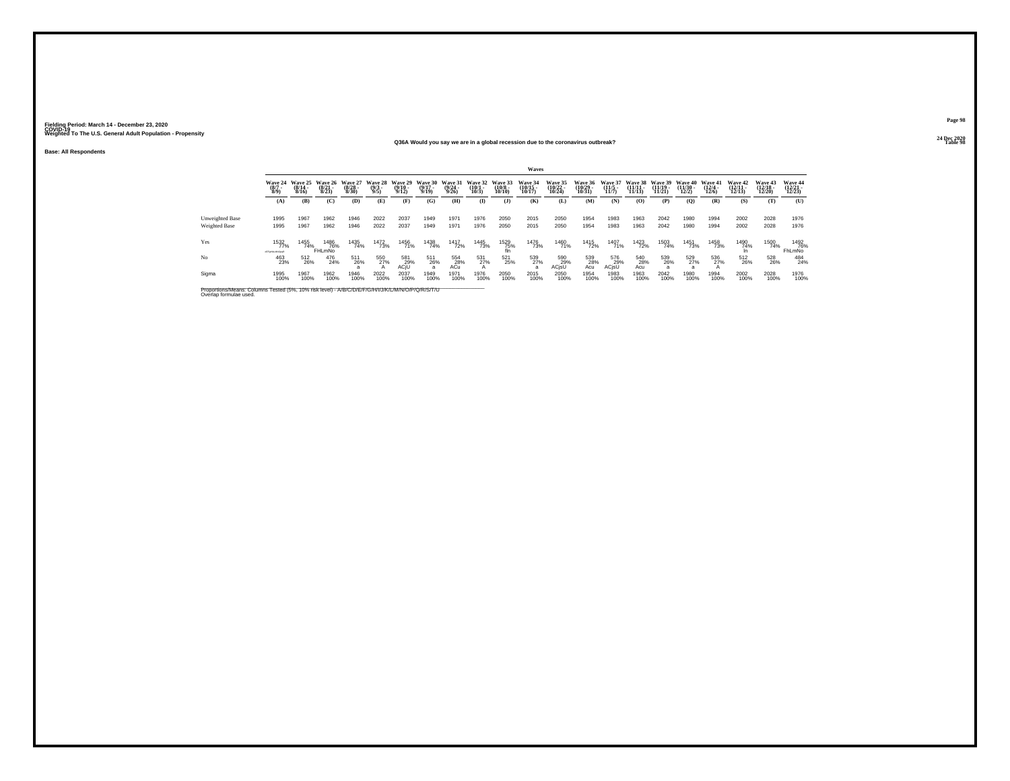**Base: All Respondents**

#### **24 Dec 2020Q36A Would you say we are in a global recession due to the coronavirus outbreak?**

| . . |  |  | <b>Table 98</b><br>------- |
|-----|--|--|----------------------------|
|     |  |  |                            |
|     |  |  |                            |
|     |  |  |                            |

|                                                                                                                              |                                                  |                              |                              |                              |                               |                              |                              |                              |                              |                                        | Waves                       |                              |                                  |                                     |                                 |                                |                                |                              |                  |                  |                              |
|------------------------------------------------------------------------------------------------------------------------------|--------------------------------------------------|------------------------------|------------------------------|------------------------------|-------------------------------|------------------------------|------------------------------|------------------------------|------------------------------|----------------------------------------|-----------------------------|------------------------------|----------------------------------|-------------------------------------|---------------------------------|--------------------------------|--------------------------------|------------------------------|------------------|------------------|------------------------------|
|                                                                                                                              | Wave 24<br>$\binom{8/7}{8/9}$                    | Wave 25<br>$(8/14 -$<br>8/16 | Wave 26<br>$(8/21 -$<br>8/23 | Wave 27<br>$(8/28 -$<br>8/30 | Wave 28<br>$\binom{9/3}{9/5}$ | Wave 29<br>$(9/10 -$<br>9/12 | Wave 30<br>$(9/17 -$<br>9/19 | Wave 31<br>$(9/24 -$<br>9/26 | Wave 32<br>$(10/1 -$<br>10/3 | Wave 33<br>$\substack{(10/8 \ 10/10)}$ | Wave 34<br>(10/15<br>10/17) | Wave 35<br>(10/22 -<br>10/24 | Wave 36<br>$\frac{10/29}{10/31}$ | <b>Wave 37</b><br>$(11/5 -$<br>11/7 | Wave 38<br>$(11/11 -$<br>11/13) | Wave 39<br>$(11/19 -$<br>11/21 | Wave 40<br>$(11/30 -$<br>12/2) | Wave 41<br>$(12/4 -$<br>12/6 | Wave 42<br>12/13 | Wave 43<br>12/20 | Wave 44<br>12/23             |
|                                                                                                                              | (A)                                              | (B)                          | (C)                          | (D)                          | (E)                           | (F)                          | (G)                          | (H)                          | $($ I                        | (J)                                    | (K)                         | (L)                          | (M)                              | (N)                                 | $\bf(O)$                        | (P)                            | (Q)                            | (R)                          | (S)              | (T)              | (U)                          |
| Unweighted Base                                                                                                              | 1995                                             | 1967                         | 1962                         | 1946                         | 2022                          | 2037                         | 1949                         | 1971                         | 1976                         | 2050                                   | 2015                        | 2050                         | 1954                             | 1983                                | 1963                            | 2042                           | 1980                           | 1994                         | 2002             | 2028             | 1976                         |
| Weighted Base                                                                                                                | 1995                                             | 1967                         | 1962                         | 1946                         | 2022                          | 2037                         | 1949                         | 1971                         | 1976                         | 2050                                   | 2015                        | 2050                         | 1954                             | 1983                                | 1963                            | 2042                           | 1980                           | 1994                         | 2002             | 2028             | 1976                         |
| Yes                                                                                                                          | <sup>1532</sup> <sup>%</sup><br><b>GFORDINGS</b> | 1455<br>74%                  | 1486<br>76%<br>FHLmNo        | 1435<br>74%                  | <sup>1472</sup> 73%           | 1456<br>71%                  | 1438<br>74%                  | 1417<br>72%                  | 1445<br>73%                  | 1529<br>75%<br>fln                     | 1476<br>73%                 | 1460<br>71%                  | 1415<br>72%                      | 1407<br>71%                         | 1423<br>72%                     | 1503<br>74%                    | 1451<br>73%                    | 1458<br>73%                  | 1490<br>74%      | 1500<br>74%      | 1492<br>76%<br><b>FhLmNo</b> |
| No                                                                                                                           | 463<br>23%                                       | 512<br>26%                   | 476<br>24%                   | 511<br>26%                   | 550<br>27%<br>$\mathbf{A}$    | 581<br>29%<br>ACjU           | 511<br>26%<br>$\overline{a}$ | 554<br>28%<br>ACü            | 531<br>27%                   | 521<br>25%                             | 539<br>27%<br>a             | 590<br>29%<br>ACjsU          | 539<br>28%<br>Acu                | 576<br>29%<br>ACjsU                 | 540<br>28%<br>Acu               | 539<br>26%                     | 529<br>27%<br>a                | 536<br>27%                   | 512<br>26%       | 528<br>26%       | 484<br>24%                   |
| Sigma                                                                                                                        | 1995<br>100%                                     | 1967<br>100%                 | 1962<br>100%                 | 1946<br>100%                 | 2022<br>100%                  | 2037<br>100%                 | 1949<br>100%                 | 1971<br>100%                 | 1976<br>100%                 | 2050<br>100%                           | 2015<br>100%                | 2050<br>100%                 | 1954<br>100%                     | 1983<br>100%                        | 1963<br>100%                    | 2042<br>100%                   | 1980<br>100%                   | 1994<br>100%                 | 2002<br>100%     | 2028<br>100%     | 1976<br>100%                 |
| Proportions/Means: Columns Tested (5%, 10% risk level) - A/B/C/D/E/F/G/H/I/J/K/L/M/N/O/P/Q/R/S/T/U<br>Overlap formulae used. |                                                  |                              |                              |                              |                               |                              |                              |                              |                              |                                        |                             |                              |                                  |                                     |                                 |                                |                                |                              |                  |                  |                              |

**Page 98**24 Dec 2020<br>Table 98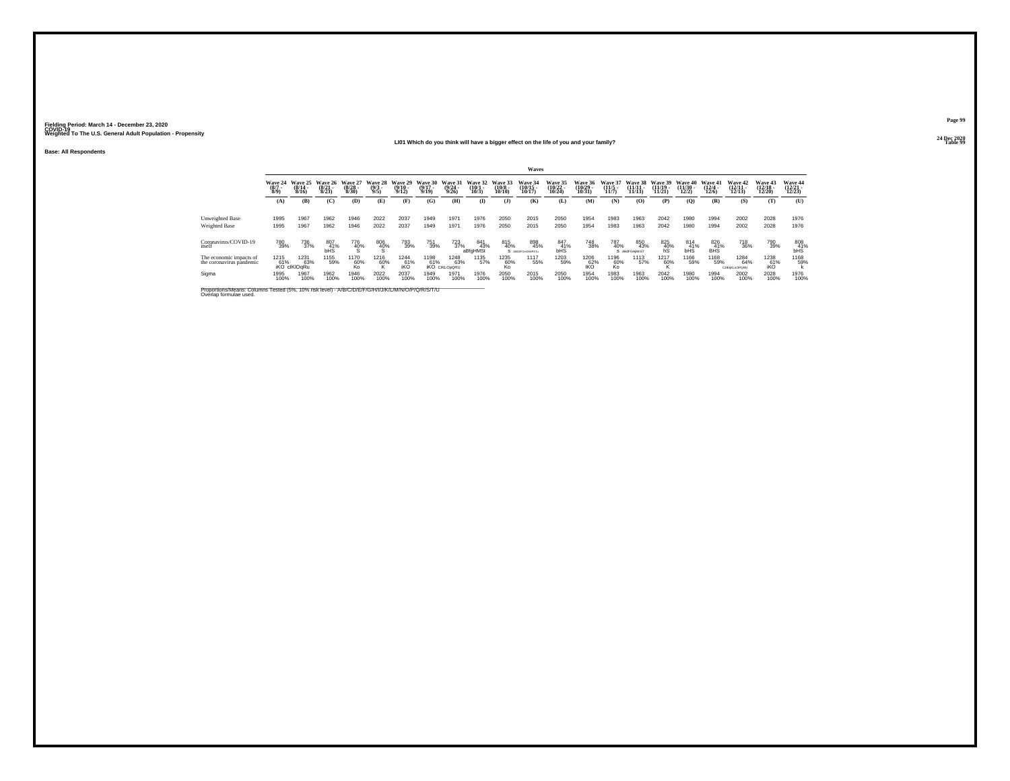**Base: All Respondents**

#### **24 Dec 2020LI01 Which do you think will have a bigger effect on the life of you and your family?Table 99**

|                                                                                                                              |                              |                                        |                              |                              |                                |                              |                              |                                                 |                              |                               | Waves                          |                               |                                       |                                  |                             |                                |                              |                              |                                |                                       |                          |
|------------------------------------------------------------------------------------------------------------------------------|------------------------------|----------------------------------------|------------------------------|------------------------------|--------------------------------|------------------------------|------------------------------|-------------------------------------------------|------------------------------|-------------------------------|--------------------------------|-------------------------------|---------------------------------------|----------------------------------|-----------------------------|--------------------------------|------------------------------|------------------------------|--------------------------------|---------------------------------------|--------------------------|
|                                                                                                                              | Wave 24<br>$(8/7 - )$<br>8/9 | Wave 25<br>$(8/14 -$<br>8/16           | Wave 26<br>$(8/21 -$<br>8/23 | Wave 27<br>$(8/28 -$<br>8/30 | Wave 28<br>$\frac{(9/3)}{9/5}$ | Wave 29<br>$(9/10 -$<br>9/12 | Wave 30<br>$(9/17 -$<br>9/19 | Wave 31<br>(9/24)<br>9/26                       | Wave 32<br>$(10/1 -$<br>10/3 | Wave 33<br>$(10/8 -$<br>10/10 | Wave 34<br>(10/15<br>10/17     | Wave 35<br>(10/22 -<br>10/24) | <b>Wave 36</b><br>$(10/29 -$<br>10/31 | <b>Wave 37</b><br>$\frac{11}{5}$ | Wave 38<br>(11/11)<br>11/13 | Wave 39<br>$(11/19 -$<br>11/21 | Wave 40<br>(11/30 -<br>12/2) | Wave 41<br>$(12/4 -$<br>12/6 | Wave 42<br>$(12/11 -$<br>12/13 | <b>Wave 43</b><br>$(12/18 -$<br>12/20 | Wave 44<br>12/23         |
|                                                                                                                              | (A)                          | (B)                                    | (C)                          | (D)                          | (E)                            | (F)                          | (G)                          | (H)                                             | $\bf(I)$                     | $($ $)$                       | (K)                            | (L)                           | (M)                                   | (N)                              | (O)                         | (P)                            | $\mathbf{Q}$                 | (R)                          | (S)                            | (T)                                   | (U)                      |
| Unweighted Base<br>Weighted Base                                                                                             | 1995<br>1995                 | 1967<br>1967                           | 1962<br>1962                 | 1946<br>1946                 | 2022<br>2022                   | 2037<br>2037                 | 1949<br>1949                 | 1971<br>1971                                    | 1976<br>1976                 | 2050<br>2050                  | 2015<br>2015                   | 2050<br>2050                  | 1954<br>1954                          | 1983<br>1983                     | 1963<br>1963                | 2042<br>2042                   | 1980<br>1980                 | 1994<br>1994                 | 2002<br>2002                   | 2028<br>2028                          | 1976<br>1976             |
| Coronavirus/COVID-19<br>itself                                                                                               | 780<br>39%                   | 736<br>37%                             | 807<br>41%<br><b>bHS</b>     | 776<br>40%                   | 806<br>40%                     | 793<br>39%                   | 751<br>39%                   | $^{723}_{37\%}$                                 | 841<br>43%<br>aBfaHMSt       | 815<br>40%                    | 898<br>45%<br>S ABDETGHJMMPSTu | 847<br>41%<br><b>bHS</b>      | 748<br>38%                            | 787<br>40%                       | 850<br>43%<br>S ABdFGHIMnST | $^{825}_{40\%}$ hS             | 814 41%<br><b>bHS</b>        | 826<br>41%<br><b>BHS</b>     | <sup>718</sup> <sub>36%</sub>  | 790<br>39%                            | 808<br>41%<br><b>bHS</b> |
| The economic impacts of<br>the coronavirus pandemic                                                                          | 1215                         | 1231<br>63%<br>61% 63%<br>iKO clKlOqRu | 1155<br>59%                  | 1170<br>60%<br>Ko            | 1216<br>60%                    | 1244<br>61%<br>iKO           | 1198<br>61%                  | 1248<br>63%<br><b>IKO</b> CIKLO <sub>DORU</sub> | 1135<br>57%                  | 1235<br>60%<br>Ko             | 1117<br>55%                    | 1203<br>59%                   | 1206<br>152%                          | 1196<br>60%<br>Ko                | 1113<br>57%                 | 1217<br>60%                    | 1166<br>59%                  | 1168<br>59%                  | 1284<br>64%<br>CDEIKLnOPORU    | 1238<br>61%<br>iKO                    | 1168<br>59%              |
| Sigma                                                                                                                        | 1995<br>100%                 | 1967<br>100%                           | 1962<br>100%                 | 1946<br>100%                 | 2022<br>100%                   | 2037<br>100%                 | 1949<br>100%                 | 1971<br>100%                                    | 1976<br>100%                 | 2050<br>100%                  | 2015<br>100%                   | 2050<br>100%                  | 1954<br>100%                          | 1983<br>100%                     | 1963<br>100%                | 2042<br>100%                   | 1980<br>100%                 | 1994<br>100%                 | 2002<br>100%                   | 2028<br>100%                          | 1976<br>100%             |
| Proportions/Means: Columns Tested (5%, 10% risk level) - A/B/C/D/E/F/G/H/I/J/K/L/M/N/O/P/Q/R/S/T/U<br>Overlap formulae used. |                              |                                        |                              |                              |                                |                              |                              |                                                 |                              |                               |                                |                               |                                       |                                  |                             |                                |                              |                              |                                |                                       |                          |

**Page 99**24 Dec 2020<br>Table 99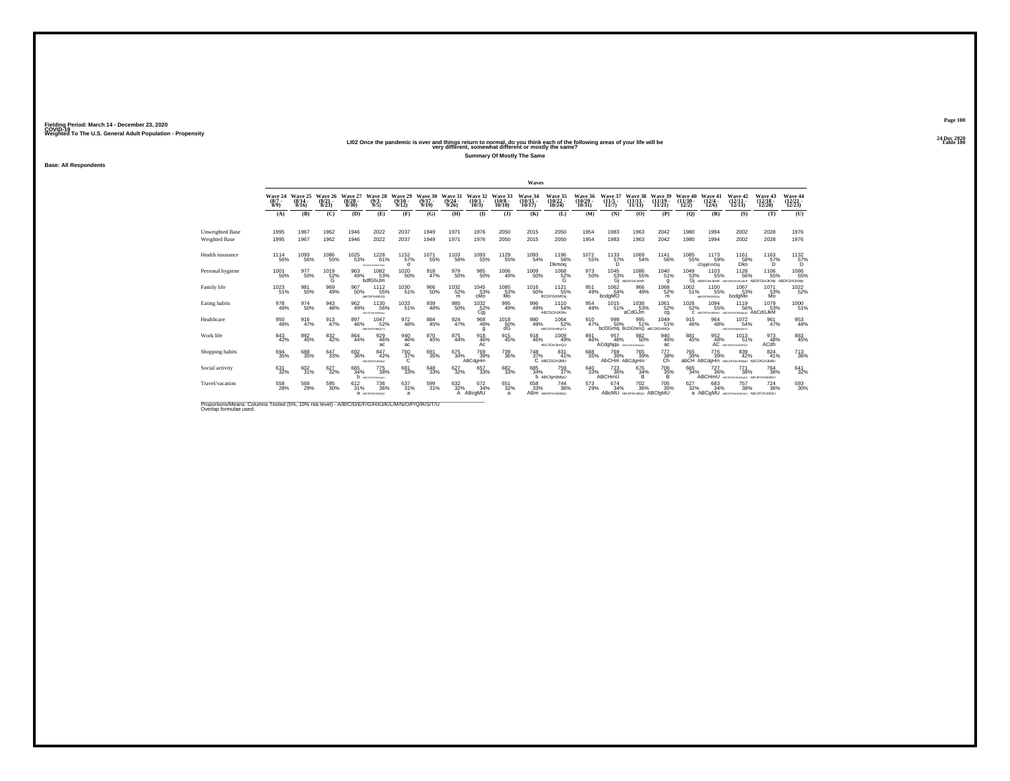# 2020 LIO2 Once the pandemic is over and things return to normal, do you think each of the following areas of your life will be<br>very different, somewhat different or mostly the same?

**Summary Of Mostly The Same**

**Base: All Respondents**

|                                                                                                                             |                     |                                      |                                 |                                  |                                        |                              |                              |                                  |                              |                                   | Waves                          |                                               |                                |                                         |                                                 |                                |                                |                                          |                                                                                       |                                    |                                      |
|-----------------------------------------------------------------------------------------------------------------------------|---------------------|--------------------------------------|---------------------------------|----------------------------------|----------------------------------------|------------------------------|------------------------------|----------------------------------|------------------------------|-----------------------------------|--------------------------------|-----------------------------------------------|--------------------------------|-----------------------------------------|-------------------------------------------------|--------------------------------|--------------------------------|------------------------------------------|---------------------------------------------------------------------------------------|------------------------------------|--------------------------------------|
|                                                                                                                             | $(8/7 -$<br>8/9     | Wave 24 Wave 25<br>$(8/14 -$<br>8/16 | Wave 26<br>$\binom{8/21}{8/23}$ | Wave 27<br>$\frac{(8/28)}{8/30}$ | Wave 28<br>$\frac{(9/3)}{9/5}$         | Wave 29<br>$(9/10 -$<br>9/12 | Wave 30<br>$(9/17 -$<br>9/19 | Wave 31<br>$\frac{(9/24)}{9/26}$ | Wave 32<br>$(10/1 -$<br>10/3 | Wave 33<br>$\frac{(10/8)}{10/10}$ | Wave 34<br>$(10/15 -$<br>10/17 | Wave 35<br>$\frac{(10/22)}{10/24}$            | Wave 36<br>$(10/29 -$<br>10/31 | Wave 37<br>$\binom{11/5}{11/7}$         | Wave 38<br>$(11/11 -$<br>11/13                  | Wave 39<br>$(11/19 -$<br>11/21 | Wave 40<br>$(11/30 -$<br>12/2) | Wave 41<br>$\binom{12/4}{12/6}$          | Wave 42<br>$\binom{12/11}{12/13}$                                                     | Wave 43<br>$\frac{(12/18)}{12/20}$ | Wave 44<br>$\frac{(12/21)}{(12/23)}$ |
|                                                                                                                             | (A)                 | (B)                                  | (C)                             | (D)                              | (E)                                    | (F)                          | (G)                          | (H)                              | $($ I                        | $($ $\bf{J}$                      | (K)                            | (L)                                           | (M)                            | (N)                                     | (0)                                             | (P)                            | (Q)                            | (R)                                      | (S)                                                                                   | (T)                                | (U)                                  |
| Unweighted Base<br><b>Weighted Base</b>                                                                                     | 1995<br>1995        | 1967<br>1967                         | 1962<br>1962                    | 1946<br>1946                     | 2022<br>2022                           | 2037<br>2037                 | 1949<br>1949                 | 1971<br>1971                     | 1976<br>1976                 | 2050<br>2050                      | 2015<br>2015                   | 2050<br>2050                                  | 1954<br>1954                   | 1983<br>1983                            | 1963<br>1963                                    | 2042<br>2042                   | 1980<br>1980                   | 1994<br>1994                             | 2002<br>2002                                                                          | 2028<br>2028                       | 1976<br>1976                         |
| Health insurance                                                                                                            | $^{1114}_{-56\%}$   | 1093<br>56%                          | $^{1086}_{-55\%}$               | <sup>1025</sup> 53%              | $^{1228}_{61\%}$<br>ABCOFOHLKM-OPQU    | 1152<br>57%<br>d             | <sup>1071</sup> 55%          | 1103<br>56%                      | 1093<br>55%                  | 1129<br>55%                       | 1093<br>54%                    | 1196<br>58%<br>Dkmoq                          | <sup>1072</sup> 55%            | $^{1133}_{57\%}$<br>n                   | 1069<br>54%                                     | <sup>1141</sup> 56%            | <sup>1085</sup> 55%            | 1173<br>59%<br>cDaiiKmOa                 | 1161<br>58%<br>Dko                                                                    | $^{1163}_{57\%}$<br>Õ.             | $^{1132}_{57\%}$<br>Õ.               |
| Personal hygiene                                                                                                            | 1001<br>50%         | 977<br>50%                           | 1019<br>$\frac{52}{9}$          | 963<br>49%                       | 1082<br>53%<br>bdfGhiJm                | 1020<br>50%                  | 918<br>47%                   | 979<br>50%                       | 985<br>50%                   | 1006<br>49%                       | 1009<br>50%                    | 1068<br>$\frac{52}{9}$                        | 973<br>50%                     | 1045<br>53%<br>Gi A                     | 1086<br>55%<br>ABDFGHUKMP                       | 1040<br>51%<br>q               | 1049                           | 1103                                     | 1128<br>53% 55% 56% 56% 55% 55%<br>GI ABDFGHIJKMP ABCPGHIJKMP ABDFGHIJKMD ABDFGHIJKMD | 1106                               | 1086<br>55%                          |
| Family life                                                                                                                 | $\frac{1023}{51\%}$ | 981<br>50%                           | 969<br>49%                      | 967<br>50%                       | <sup>11</sup> 12<br>55%<br>ABCDFGKMOQ  | 1030<br>51%                  | 966<br>50%                   | $^{1032}_{52\%}$<br>m            | 1045<br>53%<br>cMo           | 1085<br>53%<br>Mo                 | <sup>1016</sup> 50%            | <sup>1121</sup> 55%<br><b>BCDFGKMOg</b>       | 951<br>49%                     | 1062<br>54%<br>bcdgMO                   | 966<br>49%                                      | $^{1068}_{-52\%}$<br>m         | 1002<br>51%                    | <sup>1100</sup> 55%<br>#BCDFGKMOQu       | 1067<br>53%<br>bcdgMo                                                                 | 1071<br>53%<br>Mo                  | 1022<br>52%                          |
| Eating habits                                                                                                               | 978<br>49%          | 974<br>50%                           | 943<br>48%                      | $\frac{962}{49\%}$               | <sup>1130</sup> 56%<br>ABCOFGHLIKMINGU | $^{1033}_{51\%}$             | 939<br>48%                   | 985<br>50%                       | $^{1032}_{-52\%}$<br>Cai     | 995<br>49%                        | 996<br>49%                     | 1110<br>54%<br>ABCDGhJKMu                     | 954<br>49%                     | 1015<br>51%                             | 1038<br>53%<br>aCdGJm                           | 1061<br>52%<br>cq              | 1026<br>52%                    | 1094<br>55%<br>С АВСОРСНИМЫ АВСОРСНЫММЫЙ | 1119<br>56%                                                                           | 1079<br>53%<br>AbCdGJkM            | 1000<br>51%                          |
| Healthcare                                                                                                                  | 950<br>48%          | 916<br>47%                           | 913<br>47%                      | 897<br>46%                       | 1047<br>52%<br>ABCDFGHMQ/Tu            | 972<br>48%                   | 884<br>45%                   | 924<br>47%                       | 968<br>49%<br>g              | 1018<br>$\frac{50}{9}$            | 980<br>49%                     | 1064<br>52%<br>ABCDFGHMQrTu                   | 910<br>47%                     | 998<br>50%<br>bcDGmg BcDGhmQ aBCD/GHMQt | 995<br>51%                                      | 1049<br>51%                    | 915<br>46%                     | 964<br>48%                               | 1072<br>54%<br><b>ABCDFGHIKMORTU</b>                                                  | 961<br>47%                         | 953<br>48%                           |
| Work life                                                                                                                   | 843<br>42%          | 892<br>45%                           | $\substack{832 \\ 42\%}$        | 864<br>44%                       | 929<br>46%<br>ac                       | 940<br>46%<br>ac             | 870<br>45%                   | 875<br>44%                       | 918<br>46%<br>Ac             | 915<br>45%                        | 918<br>46%                     | <sup>1009</sup> <sub>49%</sub><br>AbCDGHJkmQU | 891<br>46%                     | 957<br>48%<br>ACdghjqu ACONSHUMMOU      | 982<br>50%                                      | $\frac{940}{46\%}$<br>ac       | 881<br>45%                     | 952<br>48%                               | 1013<br>51%<br>AC ABCDEFGHJAMPOU                                                      | 973<br>48%<br>ACdh                 | $\substack{883 \\ 45\%}$             |
| Shopping habits                                                                                                             | 694<br>35%          | 688<br>35%                           | 647<br>33%                      | 692<br>36%                       | 847<br>42%<br>ABCDFGHJKMpU             | $\frac{760}{37\%}$           | 691<br>35%                   | 675<br>34%                       | 769<br>39%<br>ABCdgHm        | 739<br>36%                        | 748<br>37%                     | 831<br>41%<br>C ABCDGHJMU                     | 688<br>35%                     | 769<br>39%<br>AbCHm ABCdgHm             | 765<br>39%                                      | 777<br>38%                     | 765<br>39%                     | 776<br>39%                               | 839<br>42%<br>abCH ABCdaHm ABCDFGHJKMuu ABCDfGHJKMU                                   | 824<br>41%                         | <sup>713</sup><br>36%                |
| Social activity                                                                                                             | $631 \over 32\%$    | $\frac{602}{31\%}$                   | $\substack{627\\32\%}$          | 665<br>34%<br>h                  | <sup>775</sup> 38%<br>ABCOFGHLIKMpQU   | 681<br>33%                   | 648<br>33%                   | $627 \over 32\%$                 | 657<br>33%                   | 682<br>33%                        | 685<br>34%                     | 759<br>37%<br>b ABCfgHijMqU                   | $^{640}_{33\%}$                | 723<br>36%<br>ABCHmU                    | 676<br>34%<br>B                                 | $^{706}_{35\%}$<br>в           | 665<br>34%                     | $^{727}_{36\%}$                          | 771<br>38%<br>ABCHMU ABCDFGHUKMOoQU ABCdFGHUMMQU                                      | <sup>764</sup> 38%                 | $641 \over 32\%$                     |
| Travel/vacation                                                                                                             | 558<br>28%          | 568<br>29%                           | 595<br>30%                      | 612/31%                          | <sup>736</sup> 36%<br>а исследников    | 637<br>31%<br>a              | 599<br>31%                   | 632%<br>A                        | 672<br>34%<br>ABcgMU         | 651<br>32%<br>a                   | 658<br>33%                     | $^{744}_{36\%}$<br>ABM ABCDFGHJAMQU           | 573<br>29%                     | $674 \atop 34\%$                        | <sup>702</sup> 36%<br>ABCMU ABCDFGhJMQU ABCfgMU | 705<br>35%                     | 627<br>32%                     | 683<br>34%                               | <sup>757</sup> 38%<br>a ABCgMU ABCDFGRJMGU ABCDFGRJMQU                                | $^{724}_{36\%}$                    | $^{593}_{\ 30\%}$                    |
| Proportions/Means: Columns Tested (5%, 10% risk level) - A/B/C/D/E/F/G/H/I/J/K/L/M/N/O/P/Q/R/S/T/U<br>Overlan formulae used |                     |                                      |                                 |                                  |                                        |                              |                              |                                  |                              |                                   |                                |                                               |                                |                                         |                                                 |                                |                                |                                          |                                                                                       |                                    |                                      |

**Page 100 Fielding Period: March 14 - December 23, 2020 COVID-19 Weighted To The U.S. General Adult Population - Propensity24 Dec 2020<br>Table 100**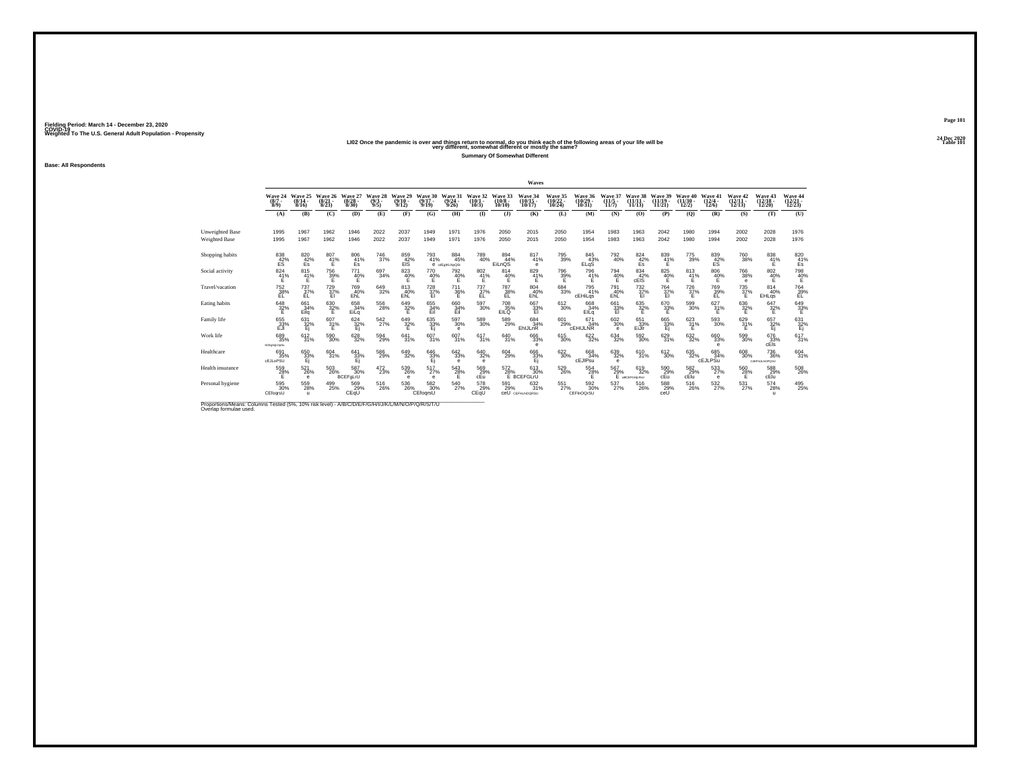2020 LIO2 Once the pandemic is over and things return to normal, do you think each of the following areas of your life will be<br>Very different, somewhat different or mostly the same?

**Summary Of Somewhat Different**

**Fielding Period: March 14 - December 23, 2020 COVID-19 Weighted To The U.S. General Adult Population - Propensity**

**Base: All Respondents**

|                                                                                                                              |                                     |                            |                           |                                  |                               |                              |                              |                                            |                                 |                                  | Waves                           |                                   |                                    |                          |                                  |                                 |                                |                                     |                                   |                                    |                                       |
|------------------------------------------------------------------------------------------------------------------------------|-------------------------------------|----------------------------|---------------------------|----------------------------------|-------------------------------|------------------------------|------------------------------|--------------------------------------------|---------------------------------|----------------------------------|---------------------------------|-----------------------------------|------------------------------------|--------------------------|----------------------------------|---------------------------------|--------------------------------|-------------------------------------|-----------------------------------|------------------------------------|---------------------------------------|
|                                                                                                                              | Wave 24<br>$\binom{8/7}{8/9}$       | Wave 25<br>(8/14)<br>8/16  | Wave 26<br>(8/21)<br>8/23 | Wave 27<br>$\frac{(8/28)}{8/30}$ | Wave 28<br>$\binom{9/3}{9/5}$ | Wave 29<br>$(9/10 -$<br>9/12 | Wave 30<br>$(9/17 -$<br>9/19 | Wave 31<br>(9/24)<br>9/26                  | Wave 32<br>$\binom{10/1}{10/3}$ | Wave 33<br>$\binom{10/8}{10/10}$ | Wave 34<br>$(10/15 -$<br>10/17  | Wave 35<br>$\binom{10/22}{10/24}$ | <b>Wave 36</b><br>(10/29)<br>10/31 | $\frac{(11/5)}{11/7}$    | Wave 38<br>(11/11<br>11/13       | Wave 39<br>$(11/19 -$<br>11/21  | Wave 40<br>$(11/30 -$<br>12/2) | Wave 41<br>$\frac{(12/4)}{12/6}$    | Wave 42<br>$\binom{12/11}{12/13}$ | Wave 43<br>$\frac{(12/18)}{12/20}$ | Wave 44<br>$\frac{(12/21)}{12/23}$    |
|                                                                                                                              | (A)                                 | (B)                        | (C)                       | (D)                              | (E)                           | (F)                          | (G)                          | (H)                                        | $($ I                           | $($ $)$                          | (K)                             | (L)                               | (M)                                | (N)                      | (0)                              | (P)                             | (Q)                            | (R)                                 | (S)                               | (T)                                | (U)                                   |
| <b>Unweighted Base</b><br><b>Weighted Base</b>                                                                               | 1995<br>1995                        | 1967<br>1967               | 1962<br>1962              | 1946<br>1946                     | 2022<br>2022                  | 2037<br>2037                 | 1949<br>1949                 | 1971<br>1971                               | 1976<br>1976                    | 2050<br>2050                     | 2015<br>2015                    | 2050<br>2050                      | 1954<br>1954                       | 1983<br>1983             | 1963<br>1963                     | 2042<br>2042                    | 1980<br>1980                   | 1994<br>1994                        | 2002<br>2002                      | 2028<br>2028                       | 1976<br>1976                          |
| Shopping habits                                                                                                              | $^{838}_{42\%}$                     | 820<br>42%<br>Es           | $^{807}_{41\%}$           | 806<br>41%<br>Es                 | <sup>746</sup> 37%            | 859<br>42%<br>EIS            | 793<br>41%                   | $\substack{884 \\ 45\%}$<br>e cdEgIKLNpQSt | 789<br>40%                      | 894<br>44%<br>EiLnQS             | 817<br>41%<br>А                 | 795<br>39%                        | 845<br>43%<br>ELgS                 | $^{792}_{40\%}$          | $\frac{824}{42\%}$<br>Es         | 839<br>41%                      | 775<br>39%                     | $^{839}_{42\%}$                     | <sup>760</sup> 38%                | $^{838}_{41\%}$                    | $\frac{820}{41\%}$<br>Es              |
| Social activity                                                                                                              | 824<br>41%                          | 815<br>41%                 | $\frac{756}{32\%}$        | 771<br>40%                       | 697<br>34%                    | 823<br>40%                   | 770<br>$^{40\%}$             | 792<br>40%                                 | $\frac{802}{41\%}$              | 814<br>$^{40\%}$                 | 829<br>41%                      | 796<br>39%<br>E                   | 796<br>41%                         | 794<br>40%               | 834<br>$rac{42}{cE}$             | $\underset{\mathsf{E}}{^{825}}$ | 813<br>$41\%$                  | 806<br>40%                          | 766<br>38%<br>е                   | 802<br>40%                         | 798<br>40%                            |
| Travel/vacation                                                                                                              | <sup>752</sup> <sub>38%</sub><br>EL | $^{737}_{37\%}$<br>EL      | 729 %<br>EI               | 769<br>40%<br>EhL                | $^{649}_{32\%}$               | 813<br>40%<br>EhL            | 728<br>37%<br>EI             | $\frac{711}{36\%}$                         | $^{737}_{37\%}$<br>EL           | 787<br>38%<br>EL                 | $\substack{804 \\ 40\%}$<br>EhL | $\substack{684 \\ 33\%}$          | 795<br>41%<br>cEHiLqs              | 791<br>40%<br>EhL        | $\frac{732}{37}\%$               | 764<br>37%<br>EI                | $\frac{726}{37\%}$             | <sup>769</sup> <sub>39%</sub><br>ĒĽ | $\frac{735}{37\%}$                | $\substack{814 \\ 40\%}$<br>EHLgs  | <sup>764</sup> 39%<br>EL              |
| Eating habits                                                                                                                | $\frac{648}{32\%}$                  | 661<br>34%<br>Eila         | $^{630}_{32\%}$           | 658<br>34%<br>EiLg               | $^{556}_{\  \, 28\%}$         | $\frac{649}{32\%}$           | 655<br>34%<br>Eil            | 660<br>34%<br>Eil                          | $^{597}_{30\%}$                 | 708<br>35%<br>EILO               | $\frac{667}{33}\%$              | $^{612}_{30\%}$                   | 668<br>34%<br>EILq                 | $\frac{661}{33}\%$       | $\substack{635 \\ 32\% \\ 5}$    | $^{670}_{33\%}$                 | 599<br>30%                     | $\frac{627}{31\%}$                  | $\frac{636}{32}\%$                | $\frac{647}{32\%}$                 | $\overset{649}{\substack{33\%}}$      |
| Family life                                                                                                                  | 655<br>$23\%$                       | 631<br>$\frac{32}{1}$      | 607<br>$31\%$             | 624<br>$\frac{32}{1}$            | 542<br>27%                    | 649<br>$\frac{32}{5}$ %      | 635<br>$\frac{33}{5}$        | 597<br>30%<br>$\theta$                     | 589<br>30%                      | 589<br>29%                       | 684<br>34%<br>EhlJLnR           | 601<br>29%                        | 671<br>34%<br><b>CEHIJLNR</b>      | 602<br>30%<br>$\epsilon$ | 651<br>33%<br>EiJir              | 665<br>$\frac{33}{5}$           | 623<br>$\frac{31}{5}$ %        | 593<br>30%                          | 629<br>31%                        | 657<br>$\frac{32}{5}$              | 631<br>32%                            |
| Work life                                                                                                                    | 689<br>35%<br>bCEghiLOpSu           | 612/31%                    | 590<br>30%                | 628                              | 594<br>29%                    | $^{641}_{31\%}$              | 607 <sub>31%</sub>           | 607<br>31%                                 | 617/31%                         | 640<br>31%                       | $\substack{666 \\ 33\%}$<br>e   | $^{615}_{30\%}$                   | 622%                               | $\substack{634 \\ 32\%}$ | $^{592}_{30\%}$                  | 629<br>31%                      | 632%                           | $\substack{660\\33\%}$<br>e         | 599<br>30%                        | 676<br>33%<br>cEls                 | 617<br>31%                            |
| Healthcare                                                                                                                   | 691<br>35%<br><b>cEJLoPSU</b>       | 650<br>33%<br>Ei           | 604<br>31%                | 641<br>33%                       | 586<br>29%                    | 649<br>32%                   | 646<br>33%                   | 642<br>33%<br>$\theta$                     | 640<br>32%<br>$\mathbf e$       | 604<br>29%                       | 666<br>33%<br>Е                 | 622<br>30%                        | 668<br>34%<br>cEJIPsu              | 639<br>32%<br>$\theta$   | 610<br>31%                       | 612<br>30%                      | 635<br>32%                     | 685<br>34%<br>cEJLPSu               | 608<br>30%                        | 736<br>36%<br>CdEFHJLNOPOSU        | 604<br>31%                            |
| Health insurance                                                                                                             | 559<br>28%                          | 521<br>26%<br>$\theta$     | $^{503}_{\ 26\%}$         | 587<br>30%<br>BCEFgLrU           | $^{472}_{23\%}$               | 539<br>26%<br>e              | $^{517}_{27\%}$<br>e         | 543<br>28%<br>F                            | 569%<br>cEu                     | 572<br>28%                       | 613<br>30%<br>E BCEFGLrU        | $^{529}_{26\%}$                   | 554 28%                            | 567<br>29%<br>F.         | 619<br>32%<br><b>ABCEFGHLRAU</b> | 590 29%<br>cEu                  | 582<br>29%<br>cElu             | $\frac{533}{27\%}$<br>e             | 560<br>28%<br>F                   | 588<br>29%<br>cElu                 | $^{508}_{\phantom{1}\phantom{1}26\%}$ |
| Personal hygiene                                                                                                             | 595<br>30%<br>CEfoarsU              | 559<br>28%<br>$\mathbf{u}$ | 499<br>25%                | 569%<br>CEqU                     | $^{516}_{\phantom{5}26\%}$    | $^{536}_{26\%}$              | 582 30%<br>CEfoqrsU          | $^{540}_{\ 27\%}$                          | 578<br>29%<br>CEqU              | 591<br>29%                       | 632 %<br>COU CEFHLNOQRSU        | $^{551}_{27\%}$                   | 592 %<br>CEFInOOrSU                | 537<br>27%               | 516<br>26%                       | 588<br>29%<br>ceŪ               | 516<br>26%                     | $\frac{532}{27\%}$                  | $^{531}_{27\%}$                   | 574<br>28%<br>$\mathbf{u}$         | 495<br>25%                            |
| Proportions/Means: Columns Tested (5%, 10% risk level) - A/B/C/D/E/F/G/H/I/J/K/L/M/N/O/P/Q/R/S/T/U<br>Overlap formulae used. |                                     |                            |                           |                                  |                               |                              |                              |                                            |                                 |                                  |                                 |                                   |                                    |                          |                                  |                                 |                                |                                     |                                   |                                    |                                       |

**Page 10124 Dec 2020<br>Table 101**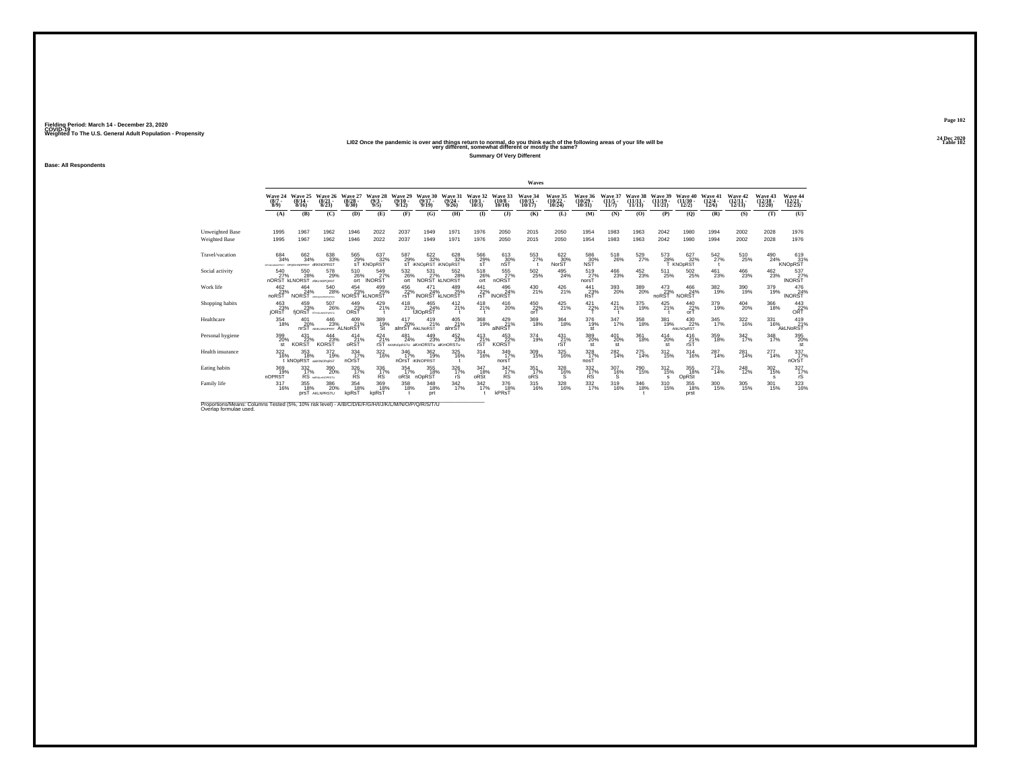# 24 Dec 2020<br>LIO2 Once the pandemic is over and things return to normal, do you think each of the following areas of your life will be<br>very different, somewhat different or mostly the same?

**Summary Of Very Different**

**Base: All Respondents**

|                                                                                                                             |                                |                                                    |                                       |                                  |                               |                              |                                                       |                                  |                                  |                                  | Waves                          |                                    |                                 |                                  |                                |                                |                                 |                                 |                                   |                                   |                                              |
|-----------------------------------------------------------------------------------------------------------------------------|--------------------------------|----------------------------------------------------|---------------------------------------|----------------------------------|-------------------------------|------------------------------|-------------------------------------------------------|----------------------------------|----------------------------------|----------------------------------|--------------------------------|------------------------------------|---------------------------------|----------------------------------|--------------------------------|--------------------------------|---------------------------------|---------------------------------|-----------------------------------|-----------------------------------|----------------------------------------------|
|                                                                                                                             | Wave 24<br>$(8/7 -$<br>$8/9$ ) | Wave 25<br>$(8/14 -$<br>8/16                       | Wave 26<br>$\binom{8/21}{8/23}$       | Wave 27<br>$\frac{(8/28)}{8/30}$ | Wave 28<br>$\binom{9/3}{9/5}$ | Wave 29<br>$(9/10 -$<br>9/12 | Wave 30<br>$(9/17 -$<br>9/19                          | Wave 31<br>$\frac{(9/24)}{9/26}$ | Wave 32<br>$(10/1 -$<br>$10/3$ ) | Wave 33<br>$(10/8 -$<br>10/10    | Wave 34<br>$(10/15 -$<br>10/17 | Wave 35<br>$\frac{(10/22)}{10/24}$ | Wave 36<br>$(10/29 -$<br>10/31  | Wave 37<br>$\frac{(11/5)}{11/7}$ | Wave 38<br>$(11/11 -$<br>11/13 | Wave 39<br>$(11/19 -$<br>11/21 | Wave 40<br>$(11/30 -$<br>12/2)  | Wave 41<br>$\binom{12/4}{12/6}$ | Wave 42<br>$\binom{12/11}{12/13}$ | Wave 43<br>$\binom{12/18}{12/20}$ | Wave 44<br>$\frac{(12/21)}{12/23}$           |
|                                                                                                                             | (A)                            | (B)                                                | (C)                                   | (D)                              | (E)                           | (F)                          | (G)                                                   | (H)                              | $($ I                            | $($ $)$                          | (K)                            | (L)                                | (M)                             | (N)                              | (O)                            | (P)                            | $\mathbf{Q}$                    | (R)                             | (S)                               | (T)                               | (U)                                          |
| Unweighted Base<br><b>Weighted Base</b>                                                                                     | 1995<br>1995                   | 1967<br>1967                                       | 1962<br>1962                          | 1946<br>1946                     | 2022<br>2022                  | 2037<br>2037                 | 1949<br>1949                                          | 1971<br>1971                     | 1976<br>1976                     | 2050<br>2050                     | 2015<br>2015                   | 2050<br>2050                       | 1954<br>1954                    | 1983<br>1983                     | 1963<br>1963                   | 2042<br>2042                   | 1980<br>1980                    | 1994<br>1994                    | 2002<br>2002                      | 2028<br>2028                      | 1976<br>1976                                 |
| Travel/vacation                                                                                                             | $^{684}_{34\%}$                | 662<br>34%<br>DEUKLMNOPRST DEIKIMNOPRST dfIKNOPRST | 638<br>33%                            | 565<br>29%                       | 637<br>32%<br>sT KNOpRST      | 587<br>29%<br>ΞŤ             | 622%<br><b>IKNOPRST IKNOPRST</b>                      | 628<br>32%                       | $\frac{566}{29}\%$ sT            | 613<br>30%<br>nŜŤ                | 553                            | 622<br>30%<br>NorŠŤ                | 586<br>30%<br>NST               | $^{518}_{26\%}$                  | 529 %                          | 573<br>28%                     | 627<br>32%<br>T KNOpRST         | $\frac{542}{27}\%$              | $^{510}_{25\%}$                   | 490<br>24%                        | $^{619}_{31\%}$<br><b>KNOpRST</b>            |
| Social activity                                                                                                             | 540<br>27%<br>nORST            | 550<br>28%<br><b>KLNORST</b> dIKLNOPORST           | 578<br>29%                            | 510<br>26%<br>ort                | 549<br>INORST <sup>27%</sup>  | 532<br>26%<br>ort            | 531<br>28<br>NORST KLNORST                            | 552<br>28%                       | 518<br>26%<br>ort                | 555<br>27%<br>nORST              | $^{502}_{\phantom{1}25\%}$     | 495<br>24%                         | 519<br>27%<br>norsT             | 466<br>23%                       | 452<br>23%                     | 511<br>25%                     | $^{502}_{\phantom{2}25\%}$      | 461<br>23%                      | 466<br>23%                        | 462<br>23%                        | 537<br>INORST <sup>27%</sup>                 |
| Work life                                                                                                                   | 462<br>23%<br>noRST            | 464<br>24%<br><b>NORST</b>                         | $^{540}_{\ 28\%}$<br>ARCFUSEAMOPORTS  | 454<br>23%<br><b>NORST</b>       | 499<br>25%<br><b>KLNORST</b>  | 456<br>22%<br>rsT            | $^{471}_{24\%}$<br><b>INORST KLNORST</b>              | 489<br>25%                       | 441<br>22%<br>rsT                | $^{496}_{24\%}$<br><b>INORST</b> | 430<br>21%                     | $^{426}_{21\%}$                    | $^{441}_{23\%}$<br>RsT          | 393<br>20%                       | 389<br>20%                     | $^{473}_{23\%}$<br>noRST       | $^{466}_{24\%}$<br><b>NORST</b> | $\frac{382}{19\%}$              | 390<br>19%                        | 379<br>19%                        | $^{476}_{24\%}$<br><b>INORST</b>             |
| Shopping habits                                                                                                             | 463<br>23%<br>jORsT            | 459<br>23%                                         | $^{507}_{26\%}$<br>fjORsT GRALMORRETU | 449<br>23%<br>ORST               | 429 %<br>$^{\circ}$           | 418<br>21%                   | 465<br>24%<br><b>fJIOpRST</b>                         | 412<br>21%                       | 418<br>21%                       | $^{416}_{20\%}$                  | 450<br>22%<br>orT              | $^{425}_{21\%}$                    | $^{421}_{22\%}$                 | $^{421}_{21\%}$                  | 375<br>19%                     | $425$ <sub>21%</sub>           | $^{440}_{22\%}$ or<br>T         | 379<br>19%                      | $^{404}_{20\%}$                   | 366<br>18%                        | $\overset{443}{\underset{\text{ORT}}{22\%}}$ |
| Healthcare                                                                                                                  | 354<br>18%                     | 401<br>20%<br>nrST                                 | 446<br>23%<br>AEIKLMNOPRST ALNORST    | 409<br>21%                       | 389<br>$\frac{19}{51}$        | 417<br>20%                   | 419<br>21%<br>alnrST AikLNoRST                        | 405<br>21%<br>alnrST             | 368<br>19%                       | 429<br>21%<br>alNRST             | 369<br>18%                     | 364<br>18%                         | 376<br>19%<br>st                | 347<br>17%                       | 358<br>18%                     | 381<br>19%                     | 430<br>22%<br>AikLNOpRST        | 345<br>17%                      | 322<br>16%                        | 331<br>16%                        | 419<br>21%<br>AkLNoRST                       |
| Personal hygiene                                                                                                            | 399<br>20%<br>st               | 431<br>22%<br><b>KORST</b>                         | $\frac{444}{23}\%$<br><b>KORST</b>    | $^{414}_{21\%}$<br>oRST          | $^{424}_{21\%}$               | 481<br>24%                   | 449<br>23%<br><b>rST</b> AKMNOORSTU aKmORSTu aKmORSTu | 452<br>23%                       | $^{413}_{21\%}$<br>rST           | 453<br>22%<br><b>KORST</b>       | 374<br>19%                     | $^{431}_{21\%}$<br>rST             | 389<br>20%<br>st                | $^{401}_{20\%}$<br>st            | 361<br>18%                     | $^{414}_{20\%}$<br>st          | 416<br>21%<br>rST               | 359<br>18%                      | 342 <sub>%</sub>                  | $\frac{348}{17\%}$                | 395<br>20%<br>st                             |
| Health insurance                                                                                                            | 322<br>16%                     | 353<br>18%<br>t KNODRST ankINOPURST                | 372<br>19%                            | 334<br>17%<br>nOrST              | $\frac{322}{16\%}$            | 346<br>17%                   | 362<br>19%<br>nOrsT <i>iKINOPRST</i>                  | 325<br>16%                       | 314<br>16%                       | 349<br>17%<br>norsT              | 309<br>15%                     | 325<br>16%                         | 328<br>17%<br>nosT              | $^{282}_{14\%}$                  | 275<br>14%                     | $\frac{312}{15\%}$             | 314<br>16%                      | 287<br>14%                      | 281<br>14%                        | 277<br>14%                        | 337<br>norst <sup>337</sup> %                |
| Eating habits                                                                                                               | 369%<br>nOPRST                 | 332<br>17%                                         | 390<br>20%<br><b>RS</b> MEHLANDPRSTU  | 326<br>17%<br><b>RS</b>          | 336<br>17%<br><b>RS</b>       | 354<br>17%<br>oRSt           | 355<br>18%<br>nOpRST                                  | 326<br>17%<br>rS                 | 347<br>18%<br>oRSt               | 347<br>17%<br><b>RS</b>          | 351<br>17%<br>oRS              | 328<br>16%<br>s                    | $\frac{332}{17}\%$<br><b>RS</b> | 307<br>16%<br>s                  | $^{290}_{15\%}$                | $^{312}_{15\%}$<br>s           | $355$<br>$18%$<br>OpRSt         | $^{273}_{14\%}$                 | $^{248}_{12\%}$                   | $^{302}_{15\%}$<br>s              | $\frac{327}{17\%}$<br>rS                     |
| Family life                                                                                                                 | $\frac{317}{16\%}$             | 355<br>18%                                         | 386<br>20%<br>DIST AKLNPRSTU          | $354 \over 18\%$<br>kpRs1        | 369<br>18%<br>kpRsT           | 358<br>18%                   | 348<br>18%<br>prt                                     | 342/17%                          | 342<br>17%                       | 376<br>18%<br>kPRsT              | $^{315}_{16\%}$                | $\frac{328}{16\%}$                 | 332/17%                         | $^{319}_{16\%}$                  | 346<br>18%                     | $^{310}_{15\%}$                | 355<br>18%<br>prst              | $\frac{300}{15\%}$              | $\frac{305}{15\%}$                | $^{301}_{15\%}$                   | 323/16%                                      |
| Proportions/Means: Columns Tested (5%, 10% risk level) - A/B/C/D/E/F/G/H/I/J/K/L/M/N/O/P/Q/R/S/T/U<br>Overlap formulae used |                                |                                                    |                                       |                                  |                               |                              |                                                       |                                  |                                  |                                  |                                |                                    |                                 |                                  |                                |                                |                                 |                                 |                                   |                                   |                                              |

**Page 10224 Dec 2020<br>Table 102**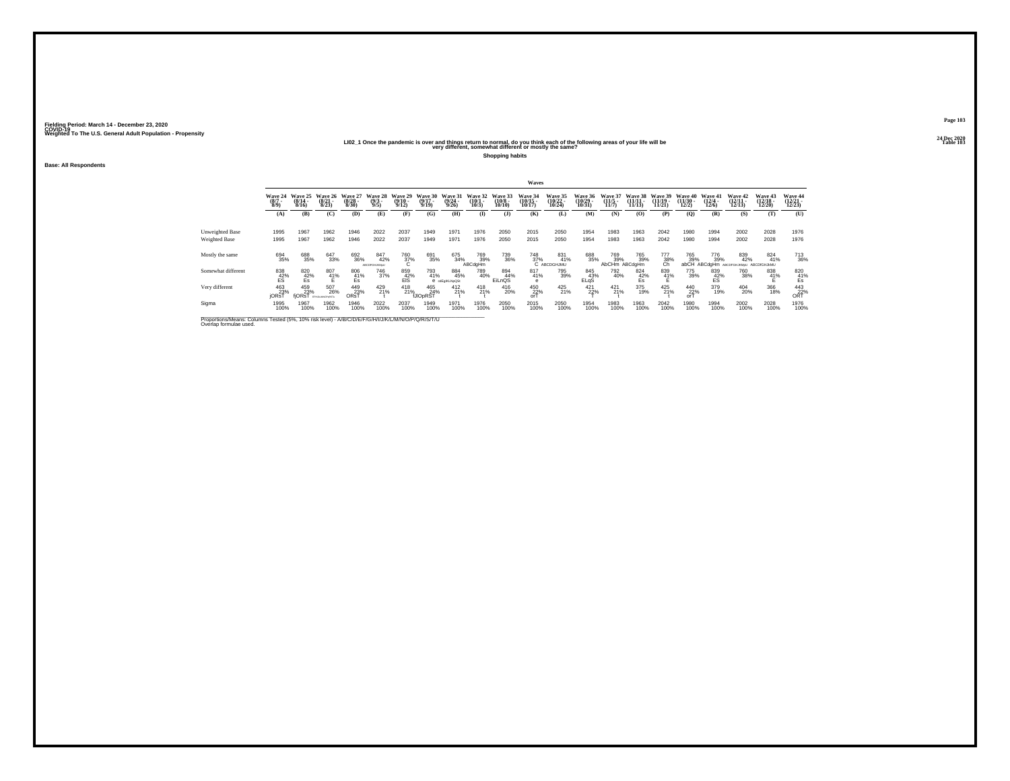#### 2021 2 - 2020<br>LIO2\_1 Once the pandemic is over and things return to normal, do you think each of the following areas of your life will be<br>very different, somewhat different or mostly the same?

**Shopping habits**

**Base: All Respondents**

|                                                                                                                              |                                         |                              |                                  |                                  |                            |                               |                              |                              |                              |                               | Waves                          |                                       |                             |                              |                                |                                |                                |                                  |                                        |                                |                                       |
|------------------------------------------------------------------------------------------------------------------------------|-----------------------------------------|------------------------------|----------------------------------|----------------------------------|----------------------------|-------------------------------|------------------------------|------------------------------|------------------------------|-------------------------------|--------------------------------|---------------------------------------|-----------------------------|------------------------------|--------------------------------|--------------------------------|--------------------------------|----------------------------------|----------------------------------------|--------------------------------|---------------------------------------|
|                                                                                                                              | Wave 24<br>$\binom{8/7}{8/9}$           | Wave 25<br>$(8/14 -$<br>8/16 | Wave 26<br>(8/21)<br>8/23        | Wave 27<br>$(8/28 -$<br>8/30     | Wave 28<br>$(9/3 -$<br>9/5 | Wave 29<br>$(9/10 -$<br>9/12  | Wave 30<br>$(9/17 -$<br>9/19 | Wave 31<br>(9/24)<br>9/26    | Wave 32<br>$(10/1 -$<br>10/3 | Wave 33<br>$(10/8 -$<br>10/10 | Wave 34<br>$(10/15 -$<br>10/17 | <b>Wave 35</b><br>$(10/22 -$<br>10/24 | Wave 36<br>(10/29)<br>10/31 | Wave 37<br>$(11/5 -$<br>11/7 | Wave 38<br>$(11/11 -$<br>11/13 | Wave 39<br>$(11/19 -$<br>11/21 | Wave 40<br>$(11/30 -$<br>12/2) | Wave 41<br>$\frac{(12/4)}{12/6}$ | Wave 42<br>$(12/11 -$<br>12/13         | Wave 43<br>$(12/18 -$<br>12/20 | <b>Wave 44</b><br>$(12/21 -$<br>12/23 |
|                                                                                                                              | (A)                                     | (B)                          | (C)                              | (D)                              | (E)                        | (F)                           | (G)                          | (H)                          | $($ I                        | $($ $)$                       | (K)                            | (L)                                   | (M)                         | (N)                          | (0)                            | (P)                            | (0)                            | (R)                              | (S)                                    | Œ                              | (U)                                   |
| Unweighted Base<br>Weighted Base                                                                                             | 1995<br>1995                            | 1967<br>1967                 | 1962<br>1962                     | 1946<br>1946                     | 2022<br>2022               | 2037<br>2037                  | 1949<br>1949                 | 1971<br>1971                 | 1976<br>1976                 | 2050<br>2050                  | 2015<br>2015                   | 2050<br>2050                          | 1954<br>1954                | 1983<br>1983                 | 1963<br>1963                   | 2042<br>2042                   | 1980<br>1980                   | 1994<br>1994                     | 2002<br>2002                           | 2028<br>2028                   | 1976<br>1976                          |
| Mostly the same                                                                                                              | 694<br>35%                              | 688<br>35%                   | 647<br>33%                       | 692<br>36%                       | 847<br>42%<br>ABCOFGHJKMeU | <sup>760</sup> <sub>37%</sub> | 691<br>35%                   | 675<br>34%                   | 769<br>39%<br>ABCdgHm        | 739<br>36%                    | 748<br>37%                     | 831%<br>C ABCDGHJMU                   | 688<br>35%                  | 769<br>39%<br><b>AbCHm</b>   | 765<br>39%<br>ABCdgHm          | $\frac{777}{38\%}$             | 765<br>39%<br>abCH             | 776<br>39%<br>ABCdaHm            | 839<br>42%<br>ABCDFGHJKMoU ABCDfGHJkMU | 824<br>41%                     | <sup>713</sup> 36%                    |
| Somewhat different                                                                                                           | $^{838}_{\substack{42\%\\\mathrm{ES}}}$ | 820<br>$\frac{42}{5}$        | $^{807}_{41\%}$                  | $\underset{\mathsf{Es}}{^{806}}$ | 746<br>37%                 | 859<br>42%<br>ElS             | 793<br>41%                   | 884<br>45%<br>e cdEgIKLNpQSt | 789<br>40%                   | 894<br>44%<br>EiLnOS          | 817<br>41%<br>e                | 795<br>39%                            | 845<br>43%<br>ELGS          | 792<br>40%                   | 824<br>$\frac{42}{5}$          | 839<br>41%                     | 775<br>39%                     | 839<br>$\frac{42}{5}$            | 760<br>38%                             | 838<br>41%                     | $\underset{\mathsf{Es}}{^{820}}$      |
| Very different                                                                                                               | 463<br><b>iORsT</b>                     | 459<br>23%<br>fjORsT         | 507<br>26%<br><b>EFHUMMORRST</b> | 449<br>23%<br>ORsT               | $^{429}_{21\%}$            | $^{418}_{21\%}$               | 465<br>24%<br>fJIOpRST       | $^{412}_{21\%}$              | 418<br>21%                   | $^{416}_{20\%}$               | 450<br>22%<br>orT              | $^{425}_{21\%}$                       | 421 22%                     | $^{421}_{21\%}$              | 375<br>19%                     | $^{425}_{21\%}$                | 440<br>22%<br>orT              | 379<br>19%                       | 404<br>20%                             | 366<br>18%                     | 443<br>22%<br>ORT                     |
| Sigma                                                                                                                        | 1995<br>100%                            | 1967<br>100%                 | 1962<br>100%                     | 1946<br>100%                     | 2022<br>100%               | 2037<br>100%                  | 1949<br>100%                 | 1971<br>100%                 | 1976<br>100%                 | 2050<br>100%                  | 2015<br>100%                   | 2050<br>100%                          | 1954<br>100%                | 1983<br>100%                 | 1963<br>100%                   | 2042<br>100%                   | 1980<br>100%                   | 1994<br>100%                     | 2002<br>100%                           | 2028<br>100%                   | 1976<br>100%                          |
| Proportions/Means: Columns Tested (5%, 10% risk level) - A/B/C/D/E/F/G/H/I/J/K/L/M/N/O/P/Q/R/S/T/U<br>Overlap formulae used. |                                         |                              |                                  |                                  |                            |                               |                              |                              |                              |                               |                                |                                       |                             |                              |                                |                                |                                |                                  |                                        |                                |                                       |

**Page 10324 Dec 2020<br>Table 103**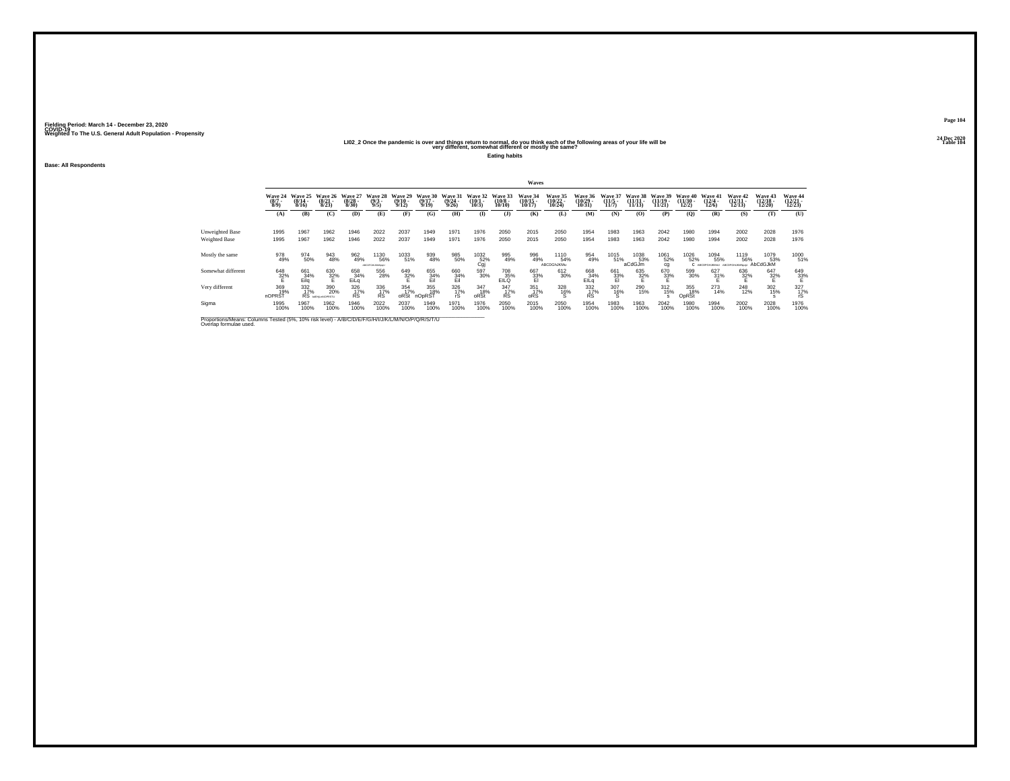#### 202\_2 2 Once the pandemic is over and things return to normal, do you think each of the following areas of your life will be "Sallowing" return to normal, do you think each of the following areas of your life will be "Tab

**Eating habits**

**Base: All Respondents**

|                                                                                                                              |                               |                                   |                                      |                              |                               |                              |                              |                           |                                                                             |                               | Waves                          |                                       |                             |                              |                                |                                |                                |                                 |                                |                                |                                       |
|------------------------------------------------------------------------------------------------------------------------------|-------------------------------|-----------------------------------|--------------------------------------|------------------------------|-------------------------------|------------------------------|------------------------------|---------------------------|-----------------------------------------------------------------------------|-------------------------------|--------------------------------|---------------------------------------|-----------------------------|------------------------------|--------------------------------|--------------------------------|--------------------------------|---------------------------------|--------------------------------|--------------------------------|---------------------------------------|
|                                                                                                                              | Wave 24<br>$\binom{8/7}{8/9}$ | Wave 25<br>(8/14)<br>8/16         | Wave 26<br>(8/21)<br>8/23            | Wave 27<br>$(8/28 -$<br>8/30 | Wave 28<br>$(9/3 -$<br>9/5    | Wave 29<br>$(9/10 -$<br>9/12 | Wave 30<br>$(9/17 -$<br>9/19 | Wave 31<br>(9/24)<br>9/26 | Wave 32<br>$(10/1 -$<br>10/3                                                | Wave 33<br>$(10/8 -$<br>10/10 | Wave 34<br>$(10/15 -$<br>10/17 | <b>Wave 35</b><br>$(10/22 -$<br>10/24 | Wave 36<br>(10/29)<br>10/31 | Wave 37<br>$(11/5 -$<br>11/7 | Wave 38<br>$(11/11 -$<br>11/13 | Wave 39<br>$(11/19 -$<br>11/21 | Wave 40<br>$(11/30 -$<br>12/2) | Wave 41<br>$\binom{12/4}{12/6}$ | Wave 42<br>$(12/11 -$<br>12/13 | Wave 43<br>$(12/18 -$<br>12/20 | <b>Wave 44</b><br>$(12/21 -$<br>12/23 |
|                                                                                                                              | (A)                           | (B)                               | (C)                                  | (D)                          | (E)                           | (F)                          | (G)                          | (H)                       | $($ I                                                                       | $($ $)$                       | (K)                            | (L)                                   | (M)                         | (N)                          | (0)                            | (P)                            | (0)                            | (R)                             | (S)                            | Œ                              | (U)                                   |
| Unweighted Base<br>Weighted Base                                                                                             | 1995<br>1995                  | 1967<br>1967                      | 1962<br>1962                         | 1946<br>1946                 | 2022<br>2022                  | 2037<br>2037                 | 1949<br>1949                 | 1971<br>1971              | 1976<br>1976                                                                | 2050<br>2050                  | 2015<br>2015                   | 2050<br>2050                          | 1954<br>1954                | 1983<br>1983                 | 1963<br>1963                   | 2042<br>2042                   | 1980<br>1980                   | 1994<br>1994                    | 2002<br>2002                   | 2028<br>2028                   | 1976<br>1976                          |
| Mostly the same                                                                                                              | 978<br>49%                    | 974<br>50%                        | 943<br>48%                           | 962<br>49%                   | 1130<br>56%<br>ABCOFGHLHMMad2 | 1033<br>51%                  | 939<br>48%                   | 985<br>50%                | $\overset{1032}{\underset{\text{Cgj}}{\text{52}}} \hspace{-0.3cm} \text{%}$ | 995<br>49%                    | 996<br>49%                     | 1110<br>54%<br>ABCDGhJKMu             | 954<br>49%                  | 1015<br>51%                  | 1038<br>53%<br>aCdGJm          | 1061<br>52%<br>cg              | 1026<br>52%                    | 1094<br>55%<br>ARCORDHISMAN     | 1119<br>56%<br>ABCDFGHJKMNodJ  | 1079<br>53%<br>AbCdGJkM        | 1000<br>51%                           |
| Somewhat different                                                                                                           | 648<br>32%                    | 661<br>$\frac{34\%}{\text{Eila}}$ | 630<br>32%                           | 658<br>34%<br>EiLa           | 556<br>28%                    | 649<br>32%                   | 655<br>34%<br>Eil            | 660<br>34%<br>Eil         | 597<br>30%                                                                  | 708<br>EILQ                   | 667<br>33%<br>El               | 612<br>30%                            | 668<br>34%<br>EILa          | 661<br>- 33%<br>- El         | 635<br>32%                     | 670<br>33%                     | 599<br>30%                     | 627<br>31%                      | 636<br>32%                     | 647<br>32%                     | 649<br>33%                            |
| Very different                                                                                                               | 369<br>19%<br>nOPRST          | $\frac{332}{17\%}$                | 390<br>20%<br>RS <b>MEHLHMOPRSTU</b> | 326<br>17%<br><b>RS</b>      | 336<br>17%<br><b>RS</b>       | 354<br>17%<br>oRSt           | 355<br>18%<br>nOpRST         | 326<br>17%<br>rS          | 347<br>18%<br>oRSt                                                          | 347<br>17%<br><b>RS</b>       | $\frac{351}{17\%}$<br>oRS      | 328<br>16%                            | 332 17%<br><b>RS</b>        | 307<br>16%                   | 290<br>15%                     | $^{312}_{15\%}$                | 355<br>18%<br>OpRSt            | 273<br>14%                      | <sup>248</sup> <sub>12%</sub>  | 302<br>15%                     | 327<br>17%<br>rS                      |
| Sigma                                                                                                                        | 1995<br>100%                  | 1967<br>100%                      | 1962<br>100%                         | 1946<br>100%                 | 2022<br>100%                  | 2037<br>100%                 | 1949<br>100%                 | 1971<br>100%              | 1976<br>100%                                                                | 2050<br>100%                  | 2015<br>100%                   | 2050<br>100%                          | 1954<br>100%                | 1983<br>100%                 | 1963<br>100%                   | 2042<br>100%                   | 1980<br>100%                   | 1994<br>100%                    | 2002<br>100%                   | 2028<br>100%                   | 1976<br>100%                          |
| Proportions/Means: Columns Tested (5%, 10% risk level) - A/B/C/D/E/F/G/H/I/J/K/L/M/N/O/P/Q/R/S/T/U<br>Overlap formulae used. |                               |                                   |                                      |                              |                               |                              |                              |                           |                                                                             |                               |                                |                                       |                             |                              |                                |                                |                                |                                 |                                |                                |                                       |

**Page 10424 Dec 2020<br>Table 104**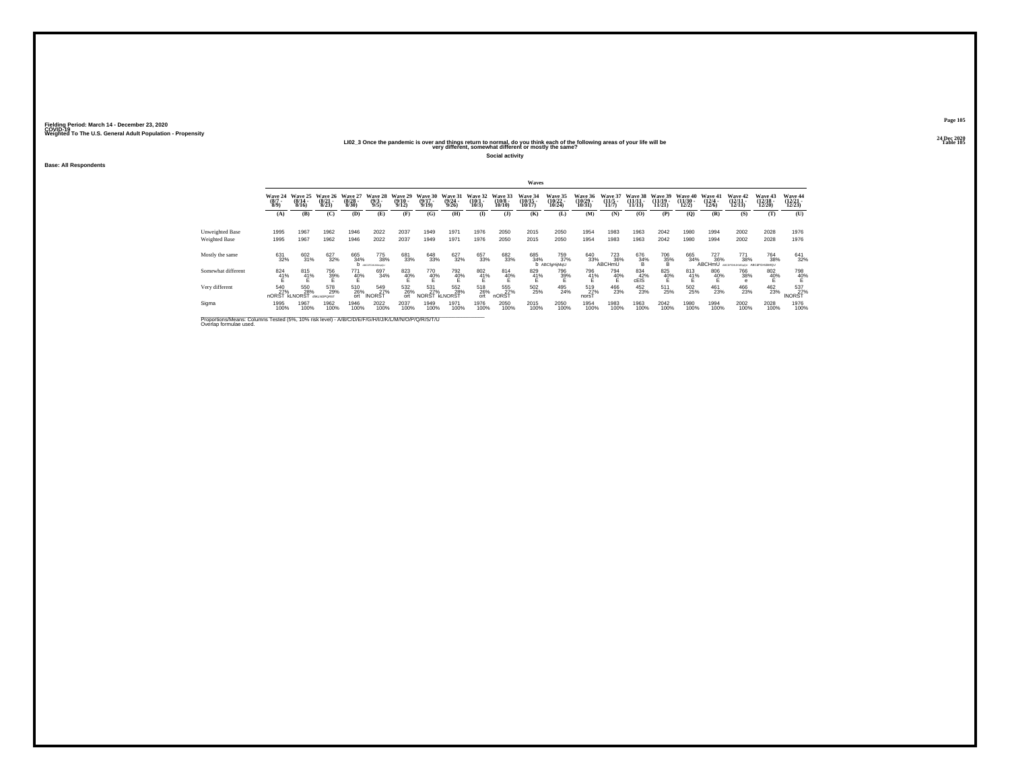#### 202\_2 20 All Dec 2020<br>LIO2\_3 Once the pandemic is over and things return to normal, do you think each of the following areas of your life will be<br>very different, somewhat different or mostly the same?

**Social activity**

**Base: All Respondents**

|                                                                                                                              |                               |                              |                           |                              |                                      |                              |                              |                              |                              |                               | Waves                          |                                       |                                 |                                         |                                |                                |                                |                                                |                                           |                                |                                       |
|------------------------------------------------------------------------------------------------------------------------------|-------------------------------|------------------------------|---------------------------|------------------------------|--------------------------------------|------------------------------|------------------------------|------------------------------|------------------------------|-------------------------------|--------------------------------|---------------------------------------|---------------------------------|-----------------------------------------|--------------------------------|--------------------------------|--------------------------------|------------------------------------------------|-------------------------------------------|--------------------------------|---------------------------------------|
|                                                                                                                              | Wave 24<br>$\binom{8/7}{8/9}$ | Wave 25<br>$(8/14 -$<br>8/16 | Wave 26<br>(8/21)<br>8/23 | Wave 27<br>$(8/28 -$<br>8/30 | Wave 28<br>$(9/3 -$<br>9/5           | Wave 29<br>$(9/10 -$<br>9/12 | Wave 30<br>$(9/17 -$<br>9/19 | Wave 31<br>$(9/24 -$<br>9/26 | Wave 32<br>$(10/1 -$<br>10/3 | Wave 33<br>$(10/8 -$<br>10/10 | Wave 34<br>$(10/15 -$<br>10/17 | <b>Wave 35</b><br>$(10/22 -$<br>10/24 | Wave 36<br>(10/29)<br>10/31     | Wave 37<br>$(11/5 -$<br>11/7            | Wave 38<br>$(11/11 -$<br>11/13 | Wave 39<br>$(11/19 -$<br>11/21 | Wave 40<br>$(11/30 -$<br>12/2) | Wave 41<br>$\frac{(12/4)}{12/6}$               | Wave 42<br>$(12/11 -$<br>12/13            | Wave 43<br>$(12/18 -$<br>12/20 | <b>Wave 44</b><br>$(12/21 -$<br>12/23 |
|                                                                                                                              | (A)                           | (B)                          | (C)                       | (D)                          | (E)                                  | (F)                          | (G)                          | (H)                          | $($ I                        | $($ $)$                       | (K)                            | (L)                                   | (M)                             | (N)                                     | (0)                            | (P)                            | (0)                            | (R)                                            | (S)                                       | Œ                              | (U)                                   |
| Unweighted Base<br>Weighted Base                                                                                             | 1995<br>1995                  | 1967<br>1967                 | 1962<br>1962              | 1946<br>1946                 | 2022<br>2022                         | 2037<br>2037                 | 1949<br>1949                 | 1971<br>1971                 | 1976<br>1976                 | 2050<br>2050                  | 2015<br>2015                   | 2050<br>2050                          | 1954<br>1954                    | 1983<br>1983                            | 1963<br>1963                   | 2042<br>2042                   | 1980<br>1980                   | 1994<br>1994                                   | 2002<br>2002                              | 2028<br>2028                   | 1976<br>1976                          |
| Mostly the same                                                                                                              | 631<br>32%                    | 602<br>31%                   | 627<br>32%                | 665<br>34%                   | 775<br>38%<br><b>D</b> ARCOFGHUKMoOU | 681<br>33%                   | 648<br>33%                   | 627<br>32%                   | 657<br>33%                   | 682<br>33%                    | 685<br>34%                     | 759<br>37%<br><b>b</b> ABCfgHijMqU    | 640<br>33%                      | <sup>723</sup> <sub>36%</sub><br>ABCHmU | $\substack{676 \\ 34\% \\ 8}$  | 706<br>35%                     | 665<br>34%                     | <sup>727</sup> <sub>36%</sub><br><b>ABCHmU</b> | 771<br>38%<br>AECDFGHUKMOoQU ABCdFGHUMMQU | <sup>764</sup> 38%             | 641<br>32%                            |
| Somewhat different                                                                                                           | $^{824}_{41\%}$               | 815<br>41%                   | 756<br>39%                | 771<br>40%                   | 697<br>34%                           | 823<br>40%                   | 770<br>40%                   | 792<br>40%                   | $^{802}_{41\%}$              | 814<br>40%                    | 829<br>41%                     | 796<br>39%                            | 796<br>41%                      | 794<br>40%                              | 834<br>$cE$ $\frac{42}{15}$    | 825<br>40%                     | $\frac{813}{41\%}$             | 806<br>40%                                     | 766<br>38%                                | 802<br>40%                     | 798<br>40%                            |
| Very different                                                                                                               | 540<br>27%<br>nORST KLNORST   | 550<br>28%                   | 578<br>29%<br>dfKLNOPQRST | 510<br>26%<br>ort            | 549<br>27%<br><b>INORST</b>          | 532<br>26%<br>ort            | 531<br>27%<br><b>NORST</b>   | 552<br>28%<br><b>KLNORST</b> | 518<br>26%<br>ort            | 555<br>27%<br>nORST           | 502<br>25%                     | 495<br>24%                            | 519<br>27%<br>nors <sub>1</sub> | 466<br>23%                              | 452<br>23%                     | 511<br>25%                     | 502<br>25%                     | 461<br>23%                                     | 466<br>23%                                | 462<br>23%                     | 537<br>27%<br><b>INORST</b>           |
| Sigma                                                                                                                        | 1995<br>100%                  | 1967<br>100%                 | 1962<br>100%              | 1946<br>100%                 | 2022<br>100%                         | 2037<br>100%                 | 1949<br>100%                 | 1971<br>100%                 | 1976<br>100%                 | 2050<br>100%                  | 2015<br>100%                   | 2050<br>100%                          | 1954<br>100%                    | 1983<br>100%                            | 1963<br>100%                   | 2042<br>100%                   | 1980<br>100%                   | 1994<br>100%                                   | 2002<br>100%                              | 2028<br>100%                   | 1976<br>100%                          |
| Proportions/Means: Columns Tested (5%, 10% risk level) - A/B/C/D/E/F/G/H/I/J/K/L/M/N/O/P/Q/R/S/T/U<br>Overlap formulae used. |                               |                              |                           |                              |                                      |                              |                              |                              |                              |                               |                                |                                       |                                 |                                         |                                |                                |                                |                                                |                                           |                                |                                       |

**Page 10524 Dec 2020<br>Table 105**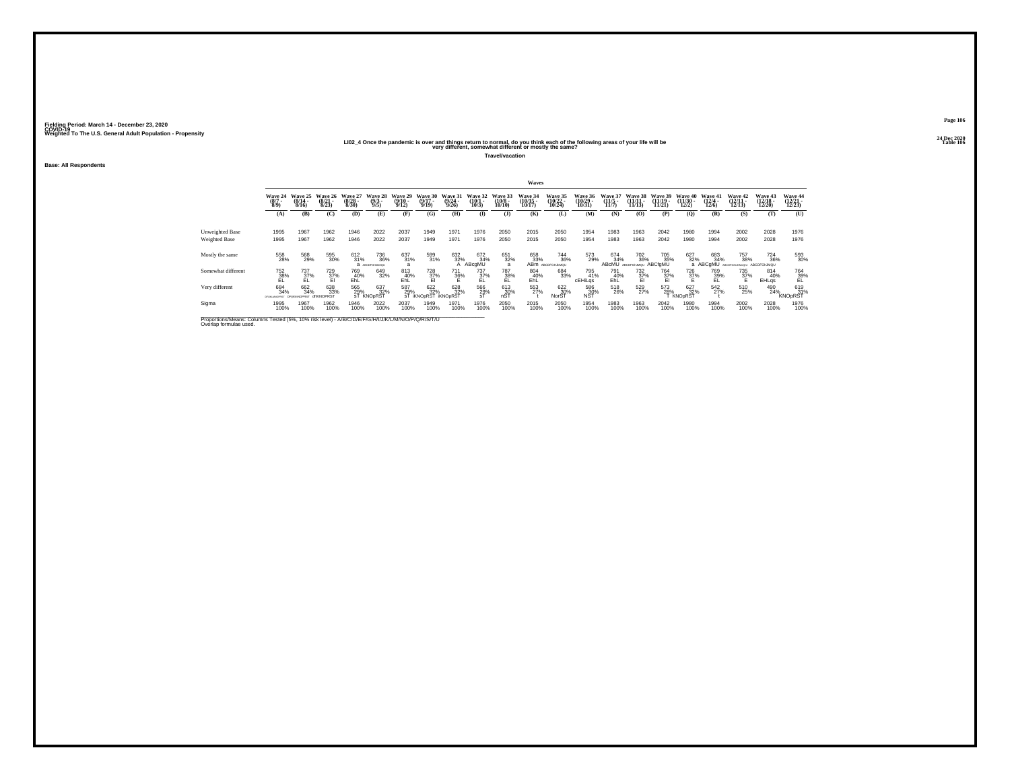#### 2024<br>LIO2\_4 Once the pandemic is over and things return to normal, do you think each of the following areas of your life will be<br>very different, somewhat different or mostly the same?

**Travel/vacation**

**Base: All Respondents**

|                                                                                                                              |                                         | Waves                     |                           |                                  |                                   |                               |                              |                           |                              |                               |                                |                                           |                             |                              |                                              |                                |                                       |                                       |                                |                                        |                              |
|------------------------------------------------------------------------------------------------------------------------------|-----------------------------------------|---------------------------|---------------------------|----------------------------------|-----------------------------------|-------------------------------|------------------------------|---------------------------|------------------------------|-------------------------------|--------------------------------|-------------------------------------------|-----------------------------|------------------------------|----------------------------------------------|--------------------------------|---------------------------------------|---------------------------------------|--------------------------------|----------------------------------------|------------------------------|
|                                                                                                                              | Wave 24<br>$\binom{8/7}{8/9}$           | Wave 25<br>(8/14.<br>8/16 | Wave 26<br>(8/21)<br>8/23 | Wave 27<br>$\frac{(8/28)}{8/30}$ | Wave 28<br>$\frac{(9/3)}{9/5}$    | Wave 29<br>$(9/10 -$<br>9/12  | Wave 30<br>$(9/17 -$<br>9/19 | Wave 31<br>(9/24)<br>9/26 | Wave 32<br>$(10/1 -$<br>10/3 | Wave 33<br>$(10/8 -$<br>10/10 | Wave 34<br>$(10/15 -$<br>10/17 | <b>Wave 35</b><br>$\frac{(10/22)}{10/24}$ | Wave 36<br>(10/29)<br>10/31 | Wave 37<br>$(11/5 -$<br>11/7 | Wave 38<br>$(11/11 -$<br>11/13               | Wave 39<br>$(11/19 -$<br>11/21 | <b>Wave 40</b><br>$(11/30 -$<br>12/2) | Wave 41<br>$\frac{(12/4 - 12)}{12/6}$ | Wave 42<br>$(12/11 -$<br>12/13 | Wave 43<br>$(12/18 -$<br>12/20         | Wave 44<br>12/23             |
|                                                                                                                              | (A)                                     | (B)                       | (C)                       | (D)                              | (E)                               | (F)                           | (G)                          | (H)                       | $\bf(I)$                     | $($ $\Gamma$                  | (K)                            | (L)                                       | (M)                         | (N)                          | (0)                                          | (P)                            | (0)                                   | (R)                                   | (S)                            | (T)                                    | (U)                          |
| Unweighted Base<br><b>Weighted Base</b>                                                                                      | 1995<br>1995                            | 1967<br>1967              | 1962<br>1962              | 1946<br>1946                     | 2022<br>2022                      | 2037<br>2037                  | 1949<br>1949                 | 1971<br>1971              | 1976<br>1976                 | 2050<br>2050                  | 2015<br>2015                   | 2050<br>2050                              | 1954<br>1954                | 1983<br>1983                 | 1963<br>1963                                 | 2042<br>2042                   | 1980<br>1980                          | 1994<br>1994                          | 2002<br>2002                   | 2028<br>2028                           | 1976<br>1976                 |
| Mostly the same                                                                                                              | 558<br>28%                              | 568<br>29%                | 595<br>30%                | $^{612}_{31\%}$                  | <sup>736</sup> %<br>В исследником | 637<br>31%                    | 599<br>31%                   | 632%                      | 672<br>34%<br>ABcgMU         | 651<br>32%<br>$\overline{a}$  | 658<br>33%<br>AB <sub>m</sub>  | <sup>744</sup> 36%<br>ABCDFGHJMMQU        | 573<br>29%                  | 674<br>34%<br><b>ABcMU</b>   | <sup>702</sup> <sub>36%</sub><br>ABCDFGhJMQU | 705<br>35%<br>ABCfaMU          | 627<br>32%                            | 683<br>34%<br>a ABCqMU                | 757<br>38%<br><b>ABCOFGH</b>   | $^{724}_{36\%}$<br>UKM-GrU ABCDFGhJMQU | 593<br>30%                   |
| Somewhat different                                                                                                           | 752<br>38%<br>EL                        | 737<br>$\frac{37}{5}$     | 729<br>37%<br>El          | 769<br>40%<br>EhL                | 649<br>32%                        | 813<br>$E_{\text{hL}}^{40\%}$ | $\frac{728}{37\%}$           | 711<br>36%                | 737<br>37%<br>EL             | 787<br>38%                    | 804<br>40%<br>EĥĽ              | 684<br>33%                                | 795<br>41%<br>cEHiLgs       | 791<br>40%<br>EhL            | 732<br>$\frac{37}{5}$ %                      | 764<br>37%                     | 726<br>37%                            | 769<br>39%<br>EL                      | 735<br>37%                     | 814<br>40%<br><b>EHLgs</b>             | 764<br>39%                   |
| Very different                                                                                                               | 684<br>34%<br>DEUKLMNOPRST DEIKIMNOPRST | 662<br>34%                | 638<br>33%<br>dflKNOPRST  | 565<br>29%                       | 637<br>32%<br>sT KNOpRST          | 587<br>29%                    | 622%<br>ST IKNOpRST IKNOpRST | 628<br>32%                | 566<br>29%<br>sT             | 613<br>30%<br>nST             | 553                            | 622 %<br>NorST                            | 586<br>30%<br><b>NST</b>    | 518<br>26%                   | 529<br>27%                                   | 573<br>28%                     | 627<br>32%<br>KNOpRST                 | 542                                   | 510<br>25%                     | 490<br>24%                             | 619<br>31%<br><b>KNOpRST</b> |
| Sigma                                                                                                                        | 1995<br>100%                            | 1967<br>100%              | 1962<br>100%              | 1946<br>100%                     | 2022<br>100%                      | 2037<br>100%                  | 1949<br>100%                 | 1971<br>100%              | 1976<br>100%                 | 2050<br>100%                  | 2015<br>100%                   | 2050<br>100%                              | 1954<br>100%                | 1983<br>100%                 | 1963<br>100%                                 | 2042<br>100%                   | 1980<br>100%                          | 1994<br>100%                          | 2002<br>100%                   | 2028<br>100%                           | 1976<br>100%                 |
| Proportions/Means: Columns Tested (5%, 10% risk level) - A/B/C/D/E/F/G/H/I/J/K/L/M/N/O/P/Q/R/S/T/U<br>Overlap formulae used. |                                         |                           |                           |                                  |                                   |                               |                              |                           |                              |                               |                                |                                           |                             |                              |                                              |                                |                                       |                                       |                                |                                        |                              |

**Page 10624 Dec 2020<br>Table 106**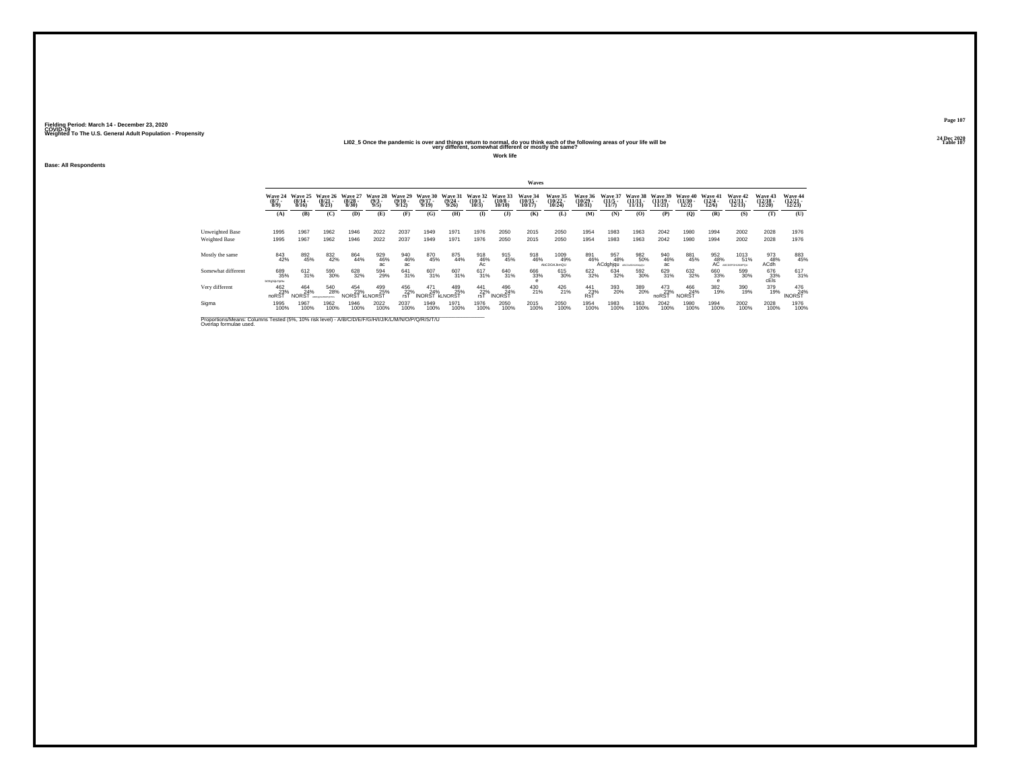## 2021 – 2022<br>LIO2\_5 Once the pandemic is over and things return to normal, do you think each of the following areas of your life will be<br>very different, somewhat different or mostly the same?

**Work life**

**Base: All Respondents**

|                                                                                                                              |                                      |                              |                                         |                              |                                |                              |                              |                              |                              |                               | Waves                          |                               |                                           |                               |                                |                                |                                   |                                  |                                  |                                    |                               |
|------------------------------------------------------------------------------------------------------------------------------|--------------------------------------|------------------------------|-----------------------------------------|------------------------------|--------------------------------|------------------------------|------------------------------|------------------------------|------------------------------|-------------------------------|--------------------------------|-------------------------------|-------------------------------------------|-------------------------------|--------------------------------|--------------------------------|-----------------------------------|----------------------------------|----------------------------------|------------------------------------|-------------------------------|
|                                                                                                                              | <b>Wave 24</b><br>$\binom{8/7}{8/9}$ | Wave 25<br>$(8/14 -$<br>8/16 | Wave 26<br>$\frac{(8/21)}{8/23}$        | Wave 27<br>$(8/28 -$<br>8/30 | Wave 28<br>$\frac{(9/3)}{9/5}$ | Wave 29<br>$(9/10 -$<br>9/12 | Wave 30<br>$(9/17 -$<br>9/19 | Wave 31<br>$(9/24 -$<br>9/26 | Wave 32<br>$(10/1 -$<br>10/3 | Wave 33<br>$(10/8 -$<br>10/10 | Wave 34<br>$(10/15 -$<br>10/17 | Wave 35<br>(10/22 -<br>10/24) | <b>Wave 36</b><br>$\frac{(10/29)}{10/31}$ | Wave 37<br>$\frac{11}{5}$     | Wave 38<br>$(11/11 -$<br>11/13 | Wave 39<br>$(11/19 -$<br>11/21 | Wave 40<br>$\frac{(11/30)}{12/2}$ | Wave 41<br>$\frac{(12/4)}{12/6}$ | Wave 42<br>(12/11<br>12/13)      | Wave 43<br>$\frac{(12/18)}{12/20}$ | Wave 44<br>(12/21 -<br>12/23) |
|                                                                                                                              | (A)                                  | (B)                          | (C)                                     | <b>(D)</b>                   | (E)                            | (F)                          | (G)                          | (H)                          | $\bf{I}$                     | $($ $\Gamma$                  | (K)                            | (L)                           | (M)                                       | (N)                           | (0)                            | (P)                            | (0)                               | (R)                              | (S)                              | (T)                                | (U)                           |
| Unweighted Base<br>Weighted Base                                                                                             | 1995<br>1995                         | 1967<br>1967                 | 1962<br>1962                            | 1946<br>1946                 | 2022<br>2022                   | 2037<br>2037                 | 1949<br>1949                 | 1971<br>1971                 | 1976<br>1976                 | 2050<br>2050                  | 2015<br>2015                   | 2050<br>2050                  | 1954<br>1954                              | 1983<br>1983                  | 1963<br>1963                   | 2042<br>2042                   | 1980<br>1980                      | 1994<br>1994                     | 2002<br>2002                     | 2028<br>2028                       | 1976<br>1976                  |
| Mostly the same                                                                                                              | 843<br>42%                           | 892<br>45%                   | 832<br>42%                              | 864<br>44%                   | 929<br>46%<br>aċ.              | 940<br>46%<br>ac             | 870<br>45%                   | 875<br>44%                   | $\frac{918}{46\%}$           | 915<br>45%                    | 918<br>46%                     | 1009<br>49%<br>AbCDGHJkmQU    | 891<br>46%                                | 957<br>48%<br><b>ACdghigu</b> | 982<br>50%<br>ABCDeGHJA0AGU    | 940<br>46%<br>ac               | 881<br>45%                        | 952<br>48%                       | 1013<br>51%<br>AC ARCDEFGHLHMPGU | 973<br>48%<br><b>ACdh</b>          | 883<br>45%                    |
| Somewhat different                                                                                                           | 689<br>35%<br>bCEghiLOpSu            | 612<br>31%                   | 590<br>30%                              | 628<br>32%                   | 594<br>29%                     | 641<br>31%                   | 607<br>31%                   | 607<br>31%                   | 617<br>31%                   | 640<br>31%                    | 666<br>33%                     | 615<br>30%                    | 622<br>32%                                | 634<br>32%                    | 592<br>30%                     | 629<br>31%                     | 632<br>32%                        | 660<br>33%                       | 599<br>30%                       | $676$<br>$33%$<br>cEls             | 617<br>31%                    |
| Very different                                                                                                               | 462<br>noRST                         | 464<br>24%<br><b>NORST</b>   | 540<br>28%<br><b>ARTICLES MATERIALS</b> | 454<br>23%<br>NORST KLNORST  | 499<br>25%                     | 456<br>22%<br>rsT            | 471<br>24%<br><b>INORST</b>  | 489<br>25%<br><b>KLNORST</b> | 441<br>22%<br>rsT            | 496<br>24%<br><b>INORST</b>   | 430<br>21%                     | $^{426}_{21\%}$               | 441<br>23%<br><b>RsT</b>                  | 393<br>20%                    | 389<br>20%                     | 473<br>23%<br>noRST            | 466<br>24%<br><b>NORST</b>        | 382<br>19%                       | 390<br>19%                       | 379<br>19%                         | 476<br>24%<br><b>INORST</b>   |
| Sigma                                                                                                                        | 1995<br>100%                         | 1967<br>100%                 | 1962<br>100%                            | 1946<br>100%                 | 2022<br>100%                   | 2037<br>100%                 | 1949<br>100%                 | 1971<br>100%                 | 1976<br>100%                 | 2050<br>100%                  | 2015<br>100%                   | 2050<br>100%                  | 1954<br>100%                              | 1983<br>100%                  | 1963<br>100%                   | 2042<br>100%                   | 1980<br>100%                      | 1994<br>100%                     | 2002<br>100%                     | 2028<br>100%                       | 1976<br>100%                  |
| Proportions/Means: Columns Tested (5%, 10% risk level) - A/B/C/D/E/F/G/H/I/J/K/L/M/N/O/P/Q/R/S/T/U<br>Overlap formulae used. |                                      |                              |                                         |                              |                                |                              |                              |                              |                              |                               |                                |                               |                                           |                               |                                |                                |                                   |                                  |                                  |                                    |                               |

**Page 10724 Dec 2020<br>Table 107**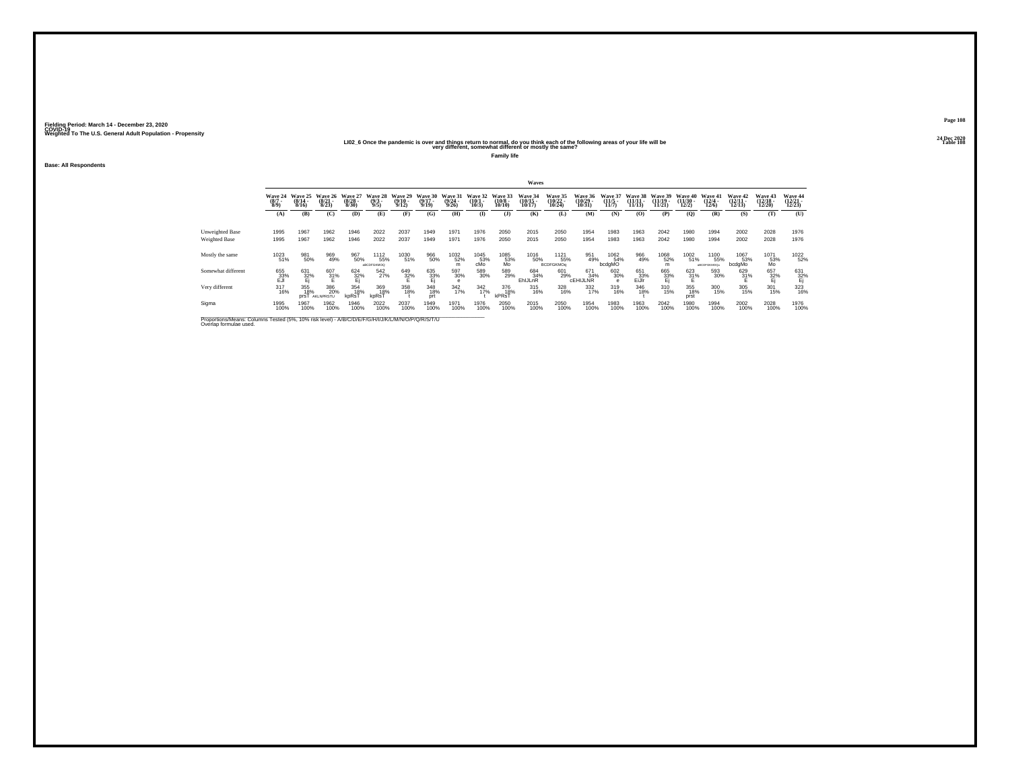## 2020 – 2020<br>LIO2\_6 Once the pandemic is over and things return to normal, do you think each of the following areas of your life will be<br>very different, somewhat different or mostly the same?

**Family life**

**Base: All Respondents**

|                                                                                                                              |                               |                           |                              |                           |                                   |                              |                              |                                     |                              |                               | <b>Waves</b>                   |                                           |                               |                         |                              |                                |                            |                                 |                                          |                                       |                               |
|------------------------------------------------------------------------------------------------------------------------------|-------------------------------|---------------------------|------------------------------|---------------------------|-----------------------------------|------------------------------|------------------------------|-------------------------------------|------------------------------|-------------------------------|--------------------------------|-------------------------------------------|-------------------------------|-------------------------|------------------------------|--------------------------------|----------------------------|---------------------------------|------------------------------------------|---------------------------------------|-------------------------------|
|                                                                                                                              | Wave 24<br>$\binom{8/7}{8/9}$ | Wave 25<br>(8/14)<br>8/16 | Wave 26<br>$(8/21 -$<br>8/23 | Wave 27<br>(8/28)<br>8/30 | Wave<br>28<br>$\frac{(9/3)}{9/5}$ | Wave 29<br>$(9/10 -$<br>9/12 | Wave 30<br>$(9/17 -$<br>9/19 | Wave 31<br>(9/24.<br>9/26           | Wave 32<br>$(10/1 -$<br>10/3 | Wave 33<br>$(10/8 -$<br>10/10 | Wave 34<br>$(10/15 -$<br>10/17 | <b>Wave 35</b><br>$\frac{(10/22)}{10/24}$ | Wave 36<br>(10/29 -<br>10/31  | Waye 37<br>11/5<br>11/7 | Wave 38<br>(11/11)<br>11/13) | Wave 39<br>$(11/19 -$<br>11/21 | Wave 40<br>(11/30)<br>12/2 | Wave 41<br>$\binom{12/4}{12/6}$ | <b>Wave 42</b><br>$\binom{12/11}{12/13}$ | <b>Wave 43</b><br>$(12/18 -$<br>12/20 | Wave 44<br>(12/21 -<br>12/23) |
|                                                                                                                              | (A)                           | (B)                       | (C)                          | (D)                       | (E)                               | (F)                          | (G)                          | (H)                                 | <b>(I)</b>                   | $($ $)$                       | (K)                            | (L)                                       | (M)                           | (N)                     | (0)                          | (P)                            | (Q)                        | (R)                             | (S)                                      | (T)                                   | (U)                           |
| Unweighted Base<br>Weighted Base                                                                                             | 1995<br>1995                  | 1967<br>1967              | 1962<br>1962                 | 1946<br>1946              | 2022<br>2022                      | 2037<br>2037                 | 1949<br>1949                 | 1971<br>1971                        | 1976<br>1976                 | 2050<br>2050                  | 2015<br>2015                   | 2050<br>2050                              | 1954<br>1954                  | 1983<br>1983            | 1963<br>1963                 | 2042<br>2042                   | 1980<br>1980               | 1994<br>1994                    | 2002<br>2002                             | 2028<br>2028                          | 1976<br>1976                  |
| Mostly the same                                                                                                              | 1023<br>51%                   | 981<br>50%                | 969<br>49%                   | 967<br>50%                | 1112<br>55%<br>ABCDFGKMOQ         | 1030<br>51%                  | 966<br>50%                   | <sup>1032</sup> <sub>52%</sub><br>m | 1045<br>53%<br>cMo           | 1085<br>53%<br>Mo             | <sup>1016</sup> 50%            | 1121<br>55%<br><b>BCDFGKMOg</b>           | 951<br>49%                    | 1062<br>54%<br>bcdgMO   | 966<br>49%                   | 1068<br>52%                    | 1002<br>51%                | 1100<br>55%<br>aBCDFGKMOQu      | 1067<br>53%<br>bcdgMo                    | 1071<br>53%<br>Mo                     | 1022<br>52%                   |
| Somewhat different                                                                                                           | 655<br>33%<br>EJI             | 631<br>$\frac{32}{1}$     | 607<br>31%                   | 624<br>32%                | 542<br>27%                        | 649<br>32%                   | 635<br>33%<br>Ej             | 597<br>30%<br>e                     | 589<br>30%                   | 589<br>29%                    | 684<br>34%<br>EhlJLnR          | 601<br>29%                                | 671<br>34%<br><b>CEHIJLNR</b> | 602<br>30%              | 651<br>$E$ <sub>53%</sub>    | 665<br>33%<br>Ei               | $\frac{623}{31}\%$         | 593<br>30%                      | 629<br>31%                               | 657<br>32%<br>Ej                      | 631<br>$\frac{32}{5}$         |
| Very different                                                                                                               | $^{317}_{16\%}$               | 355<br>18%<br>prsT        | 386<br>20%<br>AKLNPRSTU      | 354<br>18%<br>kpRsT       | 369<br>18%<br>kpRsT               | 358<br>18%                   | 348<br>18%<br>prt            | $\frac{342}{17\%}$                  | $\frac{342}{17\%}$           | 376<br>18%<br>kPRsT           | $^{315}_{16\%}$                | 328<br>16%                                | 332<br>17%                    | 319<br>16%              | 346<br>18%                   | 310<br>15%                     | 355<br>18%<br>prst         | 300<br>15%                      | 305<br>15%                               | 301<br>15%                            | 323<br>16%                    |
| Sigma                                                                                                                        | 1995<br>100%                  | 1967<br>100%              | 1962<br>100%                 | 1946<br>100%              | 2022<br>100%                      | 2037<br>100%                 | 1949<br>100%                 | 1971<br>100%                        | 1976<br>100%                 | 2050<br>100%                  | 2015<br>100%                   | 2050<br>100%                              | 1954<br>100%                  | 1983<br>100%            | 1963<br>100%                 | 2042<br>100%                   | 1980<br>100%               | 1994<br>100%                    | 2002<br>100%                             | 2028<br>100%                          | 1976<br>100%                  |
| Proportions/Means: Columns Tested (5%, 10% risk level) - A/B/C/D/E/F/G/H/I/J/K/L/M/N/O/P/Q/R/S/T/U<br>Overlap formulae used. |                               |                           |                              |                           |                                   |                              |                              |                                     |                              |                               |                                |                                           |                               |                         |                              |                                |                            |                                 |                                          |                                       |                               |

**Page 10824 Dec 2020<br>Table 108**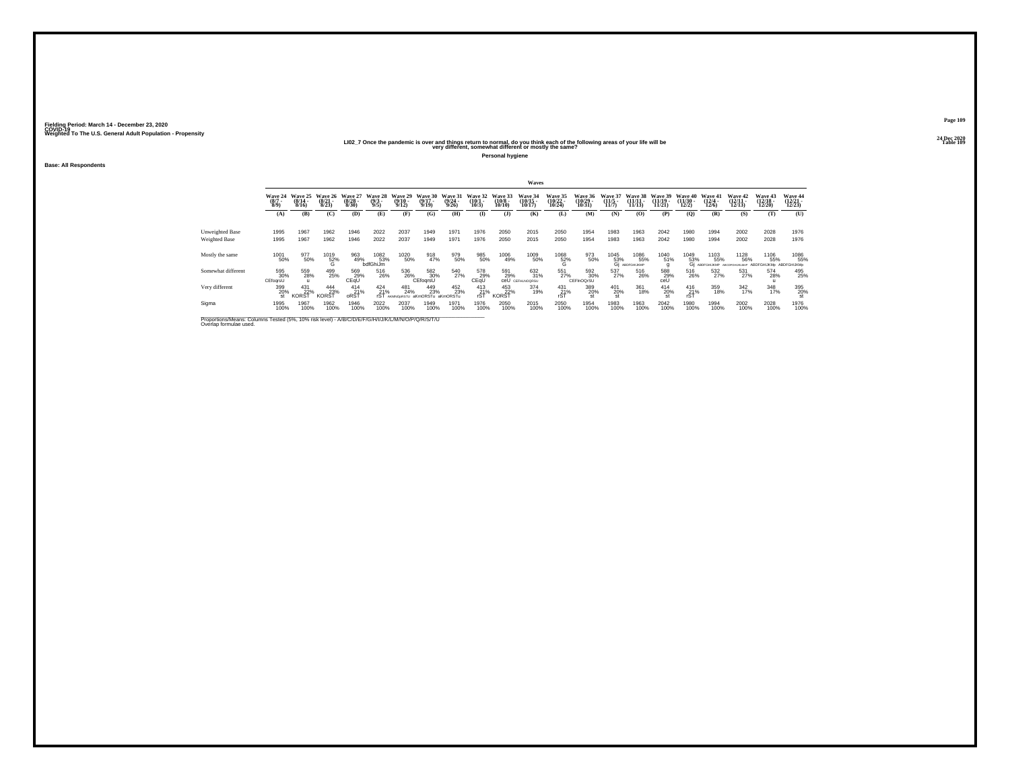## 2021 – 2021<br>LIO2\_7 Once the pandemic is over and things return to normal, do you think each of the following areas of your life will be<br>very different, somewhat different or mostly the same?

**Personal hygiene**

**Base: All Respondents**

|                                         |                                                                                                    |                              |                                 |                              |                               |                              |                              |                              |                              |                               | Waves                          |                                |                                    |                                     |                                |                                |                                          |                                       |                                         |                                        |                                    |
|-----------------------------------------|----------------------------------------------------------------------------------------------------|------------------------------|---------------------------------|------------------------------|-------------------------------|------------------------------|------------------------------|------------------------------|------------------------------|-------------------------------|--------------------------------|--------------------------------|------------------------------------|-------------------------------------|--------------------------------|--------------------------------|------------------------------------------|---------------------------------------|-----------------------------------------|----------------------------------------|------------------------------------|
|                                         | Wave 24<br>$(8/7 -$<br>8/9                                                                         | Wave 25<br>$(8/14 -$<br>8/16 | Wave 26<br>$(8/21 -$<br>8/23    | Wave 27<br>$(8/28 -$<br>8/30 | Wave 28<br>$\binom{9/3}{9/5}$ | Wave 29<br>$(9/10 -$<br>9/12 | Wave 30<br>$(9/17 -$<br>9/19 | Wave 31<br>$(9/24 -$<br>9/26 | Wave 32<br>$(10/1 -$<br>10/3 | Wave 33<br>$(10/8 -$<br>10/10 | Wave 34<br>$(10/15 -$<br>10/17 | Wave 35<br>$(10/22 -$<br>10/24 | <b>Wave 36</b><br>(10/29)<br>10/31 | <b>Wave 37</b><br>$(11/5 -$<br>11/7 | Wave 38<br>$(11/11 -$<br>11/13 | Wave 39<br>$(11/19 -$<br>11/21 | Wave 40<br>$\frac{(11/30 - 12/2)}{12/2}$ | Wave 41<br>$\frac{(12/4 - 12)}{12/6}$ | Wave 42<br>$(12/11 -$<br>12/13          | Wave 43<br>$\frac{(12/18)}{12/20}$     | Wave 44<br>$\frac{(12/21)}{12/23}$ |
|                                         | (A)                                                                                                | (B)                          | (C)                             | <b>(D)</b>                   | (E)                           | (F)                          | (G)                          | (H)                          | $($ I                        | $($ $\Gamma$                  | (K)                            | (L)                            | (M)                                | (N)                                 | (0)                            | (P)                            | (0)                                      | (R)                                   | (S)                                     | (T)                                    | (U)                                |
| Unweighted Base<br><b>Weighted Base</b> | 1995<br>1995                                                                                       | 1967<br>1967                 | 1962<br>1962                    | 1946<br>1946                 | 2022<br>2022                  | 2037<br>2037                 | 1949<br>1949                 | 1971<br>1971                 | 1976<br>1976                 | 2050<br>2050                  | 2015<br>2015                   | 2050<br>2050                   | 1954<br>1954                       | 1983<br>1983                        | 1963<br>1963                   | 2042<br>2042                   | 1980<br>1980                             | 1994<br>1994                          | 2002<br>2002                            | 2028<br>2028                           | 1976<br>1976                       |
| Mostly the same                         | 1001<br>50%                                                                                        | 977<br>50%                   | $^{1019}_{52\%}$                | 963<br>49%                   | 1082<br>53%<br>bdfGhiJm       | 1020<br>50%                  | 918                          | 979<br>50%                   | 985<br>50%                   | 1006<br>49%                   | 1009<br>50%                    | $^{1068}_{~52\%}$              | 973<br>50%                         | 1045<br>53%<br>Gi ABL               | 1086<br>55%<br>АВОРОНЦКМР      | 1040<br>51%                    | $^{1049}_{\substack{53\%\\61}}$          | 1103<br>55%<br>ABDFGHLKMP             | 1128<br>56%<br>ARCOFO<br><b>GAL DEB</b> | 1106<br>55%<br>ABDFGHIJKMp ABDFGHIJKMp | 1086<br>55%                        |
| Somewhat different                      | 595<br>30%<br>CEfogrsU                                                                             | 559<br>28%                   | 499<br>25%                      | 569<br>29%<br>CEqU           | 516<br>26%                    | 536<br>26%                   | 582<br>30%<br>CEfogrsU       | 540<br>27%                   | 578<br>29%<br>CEQU           | 591<br>29%<br>ceU             | 632<br>31%<br>CEFHLNOQRSU      | 551<br>27%                     | 592<br>30%<br>CEFInOQrSU           | 537<br>27%                          | 516<br>26%                     | 588<br>29%<br>ceÙ              | 516<br>26%                               | 532<br>27%                            | 531<br>27%                              | 574<br>28%                             | 495<br>25%                         |
| Very different                          | 399<br>20%<br>st                                                                                   | 431<br>22%<br><b>KORST</b>   | $^{444}_{23\%}$<br><b>KORST</b> | $^{414}_{21\%}$<br>oRST      | $^{424}_{21\%}$<br>rST        | 481<br>24%<br>AKMNOoRSTU     | 449<br>23%<br>aKmORSTu       | 452<br>23%<br>aKmORSTu       | 413<br>21%<br>rST            | 453<br><b>KORST</b>           | 374<br>19%                     | $^{431}_{21\%}$<br>rST         | 389<br>20%<br>st                   | 401<br>20%<br>st                    | 361<br>18%                     | 414<br>20%                     | $^{416}_{21\%}$<br>rST                   | 359<br>18%                            | 342 17%                                 | 348<br>17%                             | 395<br>20%                         |
| Sigma                                   | 1995<br>100%                                                                                       | 1967<br>100%                 | 1962<br>100%                    | 1946<br>100%                 | 2022<br>100%                  | 2037<br>100%                 | 1949<br>100%                 | 1971<br>100%                 | 1976<br>100%                 | 2050<br>100%                  | 2015<br>100%                   | 2050<br>100%                   | 1954<br>100%                       | 1983<br>100%                        | 1963<br>100%                   | 2042<br>100%                   | 1980<br>100%                             | 1994<br>100%                          | 2002<br>100%                            | 2028<br>100%                           | 1976<br>100%                       |
| Overlap formulae used.                  | Proportions/Means: Columns Tested (5%, 10% risk level) - A/B/C/D/E/F/G/H/I/J/K/L/M/N/O/P/Q/R/S/T/U |                              |                                 |                              |                               |                              |                              |                              |                              |                               |                                |                                |                                    |                                     |                                |                                |                                          |                                       |                                         |                                        |                                    |

**Page 10924 Dec 2020<br>Table 109**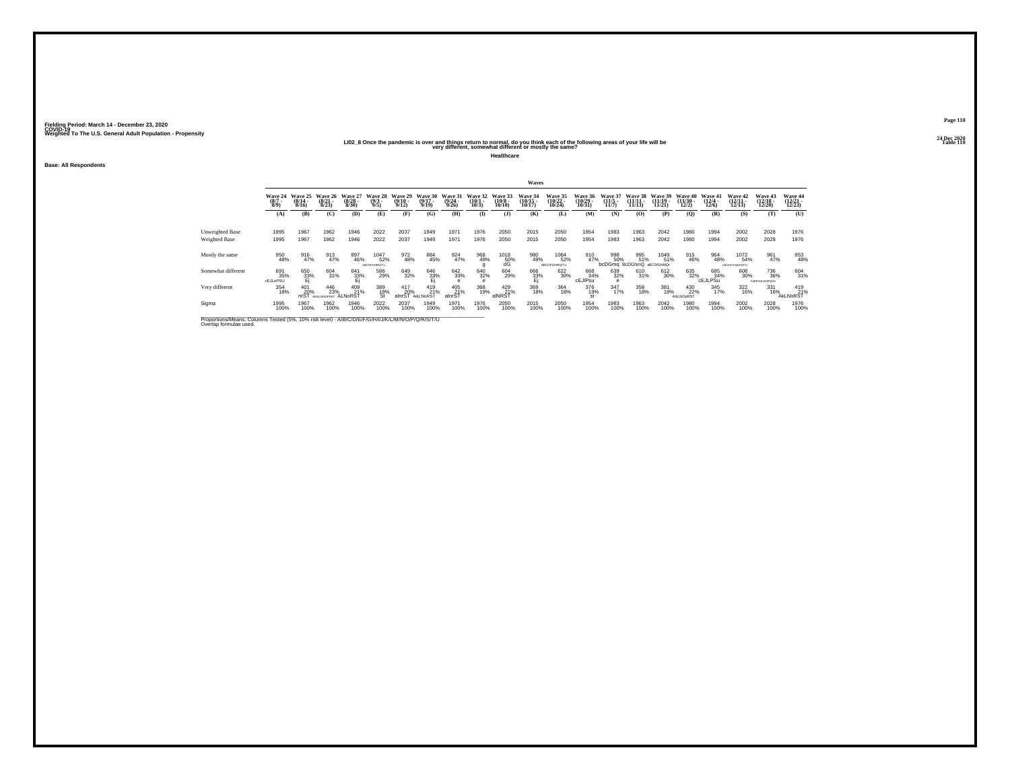## 202\_2 20 All Dec 2020<br>LIO2\_8 Once the pandemic is over and things return to normal, do you think each of the following areas of your<br>very different, somewhat different or mostly the same?

**Healthcare**

**Base: All Respondents**

|                                         |                                                                                                    |                              |                                    |                              |                               |                              |                              |                              |                              |                                         | Waves                          |                                |                                |                                                |                                |                                |                            |                                  |                                |                                |                                |
|-----------------------------------------|----------------------------------------------------------------------------------------------------|------------------------------|------------------------------------|------------------------------|-------------------------------|------------------------------|------------------------------|------------------------------|------------------------------|-----------------------------------------|--------------------------------|--------------------------------|--------------------------------|------------------------------------------------|--------------------------------|--------------------------------|----------------------------|----------------------------------|--------------------------------|--------------------------------|--------------------------------|
|                                         | Wave 24<br>$(8/7 -$<br>8/9                                                                         | Wave 25<br>$(8/14 -$<br>8/16 | Wave 26<br>$(8/21 -$<br>8/23       | Wave 27<br>$(8/28 -$<br>8/30 | Wave 28<br>$\binom{9/3}{9/5}$ | Wave 29<br>$(9/10 -$<br>9/12 | Wave 30<br>$(9/17 -$<br>9/19 | Wave 31<br>$(9/24 -$<br>9/26 | Wave 32<br>$(10/1 -$<br>10/3 | Wave 33<br>$(10/8 -$<br>10/10           | Wave 34<br>$(10/15 -$<br>10/17 | Wave 35<br>$(10/22 -$<br>10/24 | Wave 36<br>$(10/29 -$<br>10/31 | <b>Wave 37</b><br>$(11/5 -$<br>11/7            | Wave 38<br>$(11/11 -$<br>11/13 | Wave 39<br>$(11/19 -$<br>11/21 | Wave 40<br>(11/30.<br>12/2 | Wave 41<br>$\frac{(12/4)}{12/6}$ | Wave 42<br>$(12/11 -$<br>12/13 | Wave 43<br>$(12/18 -$<br>12/20 | Wave 44<br>$(12/21 -$<br>12/23 |
|                                         | (A)                                                                                                | (B)                          | (C)                                | (D)                          | (E)                           | (F)                          | (G)                          | (H)                          | $\bf{D}$                     | (J)                                     | (K)                            | (L)                            | (M)                            | (N)                                            | (0)                            | (P)                            | (0)                        | (R)                              | (S)                            | (T)                            | (U)                            |
| Unweighted Base<br><b>Weighted Base</b> | 1995<br>1995                                                                                       | 1967<br>1967                 | 1962<br>1962                       | 1946<br>1946                 | 2022<br>2022                  | 2037<br>2037                 | 1949<br>1949                 | 1971<br>1971                 | 1976<br>1976                 | 2050<br>2050                            | 2015<br>2015                   | 2050<br>2050                   | 1954<br>1954                   | 1983<br>1983                                   | 1963<br>1963                   | 2042<br>2042                   | 1980<br>1980               | 1994<br>1994                     | 2002<br>2002                   | 2028<br>2028                   | 1976<br>1976                   |
| Mostly the same                         | 950<br>48%                                                                                         | 916<br>47%                   | 913<br>47%                         | 897<br>46%                   | 1047<br>52%<br>ABCDFGHMQ/Tu   | 972<br>48%                   | 884<br>45%                   | 924<br>47%                   | 968<br>49%                   | $^{1018}_{\substack{50\% \ \text{dG}}}$ | 980<br>49%                     | 1064<br>52%<br>ABCDFGHMQrTu    | 910<br>47%                     | 998<br>50%<br><b>bcDGmg</b> BcDGhmQ aBCD/GHMQt | 995<br>51%                     | 1049<br>51%                    | 915<br>46%                 | 964<br>48%                       | 1072<br>54%<br>ABCDFGHIKMORTU  | 961<br>47%                     | 953<br>48%                     |
| Somewhat different                      | 691<br>35%<br><b>cEJLoPSU</b>                                                                      | 650<br>33%                   | 604<br>31%                         | 641<br>33%                   | 586<br>29%                    | 649<br>32%                   | 646<br>$\frac{33\%}{E}$      | 642<br>33%                   | 640<br>32%                   | 604<br>29%                              | 666<br>33%                     | 622<br>30%                     | 668<br>34%<br>cEJIPSu          | 639<br>32%                                     | 610<br>31%                     | 612<br>30%                     | 635<br>32%                 | 685<br>34%<br><b>CEJLPSu</b>     | 608<br>30%                     | 736<br>36%<br>CdEFHJLNOPOSU    | 604<br>31%                     |
| Very different                          | 354<br>18%                                                                                         | 401<br>20%<br>nrST           | 446<br>23%<br><b>AFIKI MNOPRRT</b> | 409<br>21%<br>ALNoRST        | 389<br>19%<br>St              | 417<br>20%<br>alnrST         | 419<br>21%<br>AikLNoRST      | 405<br>21%<br>alnrST         | 368<br>19%                   | 429 21%<br>alNRST                       | 369<br>18%                     | 364<br>18%                     | 376<br>19%                     | 347<br>17%                                     | 358<br>18%                     | 381<br>19%                     | 430<br>22%<br>AikLNOpRST   | 345<br>17%                       | 322<br>16%                     | 331<br>16%                     | 419<br>21%<br>AkLNoRST         |
| Sigma                                   | 1995<br>100%                                                                                       | 1967<br>100%                 | 1962<br>100%                       | 1946<br>100%                 | 2022<br>100%                  | 2037<br>100%                 | 1949<br>100%                 | 1971<br>100%                 | 1976<br>100%                 | 2050<br>100%                            | 2015<br>100%                   | 2050<br>100%                   | 1954<br>100%                   | 1983<br>100%                                   | 1963<br>100%                   | 2042<br>100%                   | 1980<br>100%               | 1994<br>100%                     | 2002<br>100%                   | 2028<br>100%                   | 1976<br>100%                   |
| Overlap formulae used.                  | Proportions/Means: Columns Tested (5%, 10% risk level) - A/B/C/D/E/F/G/H/I/J/K/L/M/N/O/P/Q/R/S/T/U |                              |                                    |                              |                               |                              |                              |                              |                              |                                         |                                |                                |                                |                                                |                                |                                |                            |                                  |                                |                                |                                |

**Page 11024 Dec 2020<br>Table 110**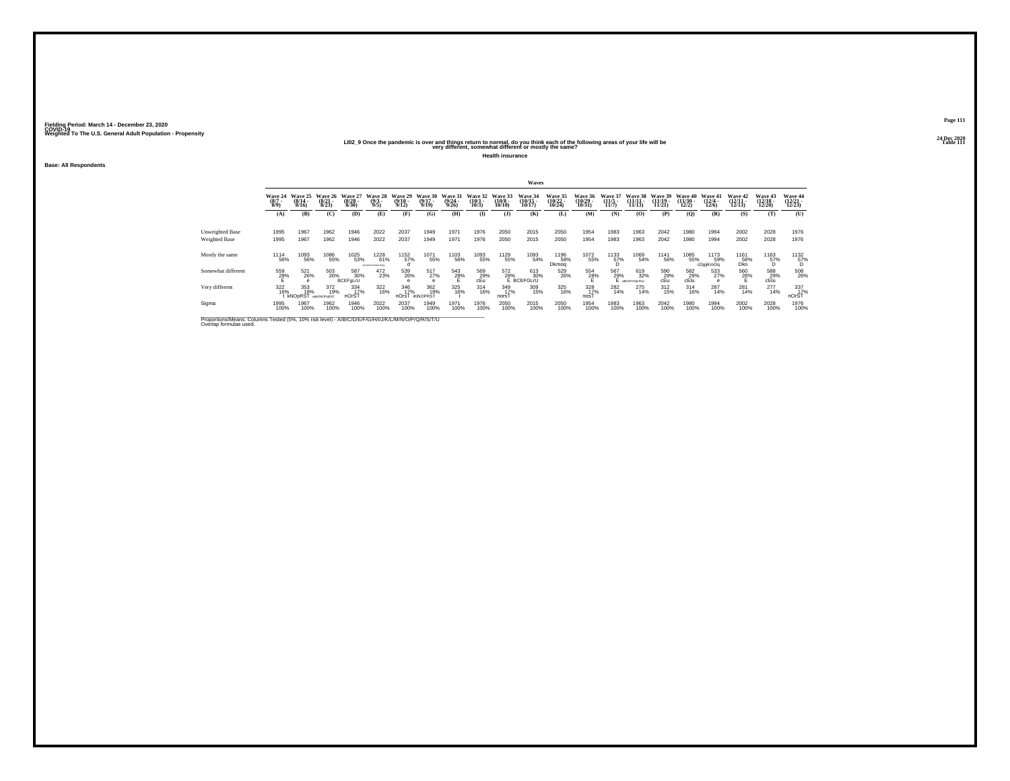## 202\_<br>LIO2\_9 Once the pandemic is over and things return to normal, do you think each of the following areas of your life will be<br>very different, somewhat different or mostly the same?

**Health insurance**

**Base: All Respondents**

|                                                                                                                              |                               |                              |                              |                           |                                |                              |                                |                              |                                                |                               | <b>Waves</b>                                 |                                |                              |                                      |                                   |                                |                               |                           |                                |                                              |                                |
|------------------------------------------------------------------------------------------------------------------------------|-------------------------------|------------------------------|------------------------------|---------------------------|--------------------------------|------------------------------|--------------------------------|------------------------------|------------------------------------------------|-------------------------------|----------------------------------------------|--------------------------------|------------------------------|--------------------------------------|-----------------------------------|--------------------------------|-------------------------------|---------------------------|--------------------------------|----------------------------------------------|--------------------------------|
|                                                                                                                              | Wave 24<br>$\binom{8/7}{8/9}$ | Wave 25<br>$(8/14 -$<br>8/16 | Wave 26<br>$(8/21 -$<br>8/23 | Wave 27<br>(8/28)<br>8/30 | Wave 28<br>(9/3.<br>9/5        | Wave 29<br>$(9/10 -$<br>9/12 | Wave 30<br>$(9/17 -$<br>9/19   | Wave 31<br>$(9/24 -$<br>9/26 | Wave 32<br>$(10/1 -$<br>10/3                   | Wave 33<br>$(10/8 -$<br>10/10 | Wave 34<br>$(10/15 -$<br>10/17               | Wave 35<br>$(10/22 -$<br>10/24 | Wave 36<br>(10/29 -<br>10/31 | Wave 37<br>$(11/5 -$<br>11/7         | Wave 38<br>$(11/11 -$<br>11/13)   | Wave 39<br>$(11/19 -$<br>11/21 | Wave 40<br>$(11/30 -$<br>12/2 | Wave 41<br>(12/4)<br>12/6 | Wave 42<br>$(12/11 -$<br>12/13 | Wave 43<br>$(12/18 -$<br>12/20               | Wave 44<br>$(12/21 -$<br>12/23 |
|                                                                                                                              | (A)                           | (B)                          | (C)                          | (D)                       | (E)                            | (F)                          | (G)                            | (H)                          | <b>(I)</b>                                     | $($ J $)$                     | (K)                                          | (L)                            | (M)                          | (N)                                  | (0)                               | (P)                            | (O)                           | (R)                       | (S)                            | (T)                                          | (U)                            |
| Unweighted Base<br>Weighted Base                                                                                             | 1995<br>1995                  | 1967<br>1967                 | 1962<br>1962                 | 1946<br>1946              | 2022<br>2022                   | 2037<br>2037                 | 1949<br>1949                   | 1971<br>1971                 | 1976<br>1976                                   | 2050<br>2050                  | 2015<br>2015                                 | 2050<br>2050                   | 1954<br>1954                 | 1983<br>1983                         | 1963<br>1963                      | 2042<br>2042                   | 1980<br>1980                  | 1994<br>1994              | 2002<br>2002                   | 2028<br>2028                                 | 1976<br>1976                   |
| Mostly the same                                                                                                              | 1114<br>56%                   | <sup>1093</sup> 56%          | 1086<br>55%                  | 1025<br>53%               | 1228<br>61%<br>MICOFORLAM OPOS | 1152<br>57%                  | 1071<br>55%                    | 1103<br>56%                  | 1093<br>55%                                    | 1129<br>55%                   | 1093<br>54%                                  | 1196<br>58%<br>Dkmog           | 1072<br>55%                  | $^{1133}_{\substack{57\%\\ \rm{D}}}$ | 1069<br>54%                       | <sup>1141</sup> 56%            | 1085<br>55%                   | 1173<br>59%<br>cDgijKmOq  | 1161<br>58%<br>Dko             | $^{1163}_{\hphantom{1}57\%}_{\hphantom{1}5}$ | 1132<br>57%                    |
| Somewhat different                                                                                                           | 559<br>28%                    | 521<br>26%                   | 503<br>26%                   | 587<br>30%<br>BCEFgLrU    | 472<br>23%                     | 539<br>26%                   | 517<br>27%                     | 543<br>28%                   | $\overset{569}{\underset{\mathsf{cEu}}{29\%}}$ |                               | 572 61<br>28% 3L<br>E BCEFGLrU<br>613<br>30% | 529<br>26%                     | 554<br>28%                   | 567<br>29%                           | 619<br>32%<br><b>ABCEFGHILRAU</b> | 590<br>29%<br>cEu              | 582<br>29%<br>cElu            | 533<br>27%                | 560<br>28%                     | 588<br>29%<br>cElu                           | 508<br>26%                     |
| Very different                                                                                                               | 322<br>16%                    | 353<br>18%<br><b>kNOpRST</b> | 372<br>19%<br>aeiKINOPoRST   | 334<br>17%<br>nOrST       | 322<br>16%                     | 346<br>17%<br>nOrsT          | 362<br>19%<br><b>IKINOPRST</b> | 325<br>16%                   | $314 \over 16\%$                               | 349<br>17%<br>norsT           | 309<br>15%                                   | 325<br>16%                     | 328<br>17%<br>nos            | 282<br>14%                           | 275<br>14%                        | 312/15%                        | $^{314}_{16\%}$               | 287<br>14%                | 281<br>14%                     | $^{277}_{14\%}$                              | 337<br>17%<br>nOrST            |
| Sigma                                                                                                                        | 1995<br>100%                  | 1967<br>100%                 | 1962<br>100%                 | 1946<br>100%              | 2022<br>100%                   | 2037<br>100%                 | 1949<br>100%                   | 1971<br>100%                 | 1976<br>100%                                   | 2050<br>100%                  | 2015<br>100%                                 | 2050<br>100%                   | 1954<br>100%                 | 1983<br>100%                         | 1963<br>100%                      | 2042<br>100%                   | 1980<br>100%                  | 1994<br>100%              | 2002<br>100%                   | 2028<br>100%                                 | 1976<br>100%                   |
| Proportions/Means: Columns Tested (5%, 10% risk level) - A/B/C/D/E/F/G/H/I/J/K/L/M/N/O/P/Q/R/S/T/U<br>Overlap formulae used. |                               |                              |                              |                           |                                |                              |                                |                              |                                                |                               |                                              |                                |                              |                                      |                                   |                                |                               |                           |                                |                                              |                                |

**Page 11124 Dec 2020<br>Table 111**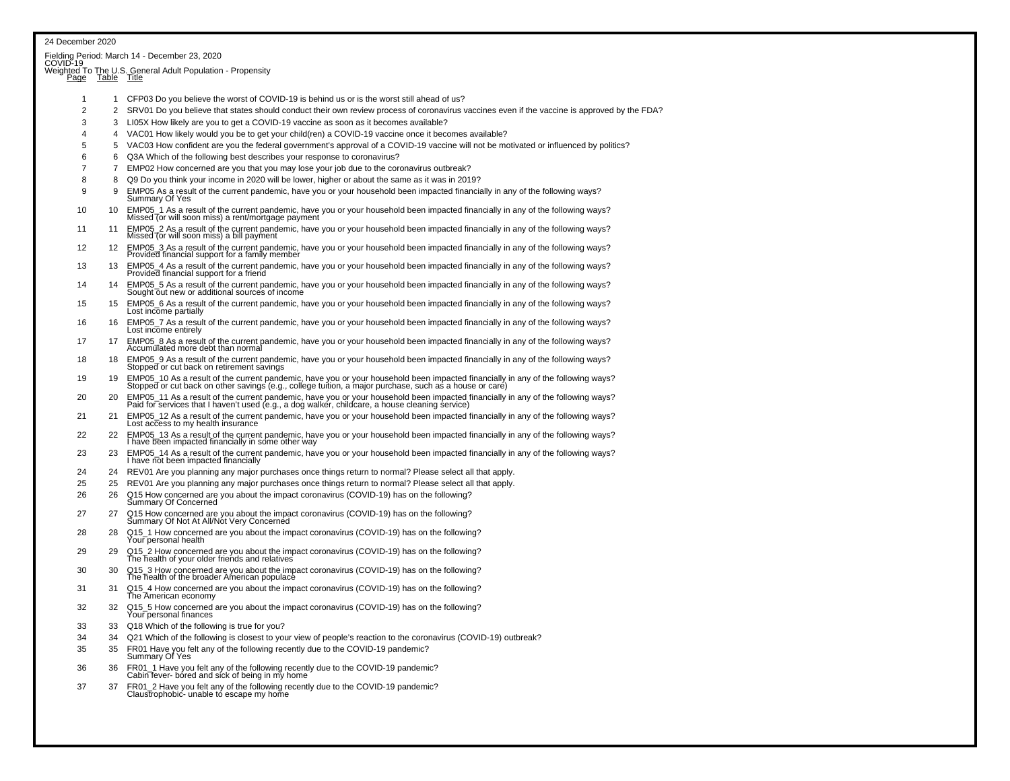| 24 December 2020 |          |                                                                                                                                                                                                                                   |
|------------------|----------|-----------------------------------------------------------------------------------------------------------------------------------------------------------------------------------------------------------------------------------|
|                  |          | Fielding Period: March 14 - December 23, 2020<br>COVID-19                                                                                                                                                                         |
|                  |          | Weighted To The U.S. General Adult Population - Propensity<br>Page Table Title                                                                                                                                                    |
|                  |          |                                                                                                                                                                                                                                   |
| 1                | 1        | CFP03 Do you believe the worst of COVID-19 is behind us or is the worst still ahead of us?                                                                                                                                        |
| $\overline{2}$   | 2        | SRV01 Do you believe that states should conduct their own review process of coronavirus vaccines even if the vaccine is approved by the FDA?                                                                                      |
| 3                | 3        | LI05X How likely are you to get a COVID-19 vaccine as soon as it becomes available?                                                                                                                                               |
| 4                | 4        | VAC01 How likely would you be to get your child(ren) a COVID-19 vaccine once it becomes available?                                                                                                                                |
| 5<br>6           | 5        | VAC03 How confident are you the federal government's approval of a COVID-19 vaccine will not be motivated or influenced by politics?                                                                                              |
| 7                | 6<br>7   | Q3A Which of the following best describes your response to coronavirus?<br>EMP02 How concerned are you that you may lose your job due to the coronavirus outbreak?                                                                |
| 8                | 8        | Q9 Do you think your income in 2020 will be lower, higher or about the same as it was in 2019?                                                                                                                                    |
| 9                | 9        | EMP05 As a result of the current pandemic, have you or your household been impacted financially in any of the following ways?<br>Summary Of Yes                                                                                   |
| 10               | 10       | EMP05_1 As a result of the current pandemic, have you or your household been impacted financially in any of the following ways?<br>Missed (or will soon miss) a rent/mortgage payment                                             |
| 11               | 11       | EMP05_2 As a result of the current pandemic, have you or your household been impacted financially in any of the following ways?<br>Missed (or will soon miss) a bill payment                                                      |
| 12               | 12       | EMP05_3 As a result of the current pandemic, have you or your household been impacted financially in any of the following ways?<br>Provided financial support for a family member                                                 |
| 13               | 13       | EMP05_4 As a result of the current pandemic, have you or your household been impacted financially in any of the following ways?<br>Provided financial support for a friend                                                        |
| 14               | 14       | EMP05_5 As a result of the current pandemic, have you or your household been impacted financially in any of the following ways?<br>Sought out new or additional sources of income                                                 |
| 15               | 15       | EMP05_6 As a result of the current pandemic, have you or your household been impacted financially in any of the following ways?<br>Lost income partially                                                                          |
| 16               | 16       | EMP05_7 As a result of the current pandemic, have you or your household been impacted financially in any of the following ways?<br>Lost income entirely                                                                           |
| 17               | 17       | EMP05_8 As a result of the current pandemic, have you or your household been impacted financially in any of the following ways?<br>Accumulated more debt than normal                                                              |
| 18               | 18       | EMP05 9 As a result of the current pandemic, have you or your household been impacted financially in any of the following ways?<br>Stopped or cut back on retirement savings                                                      |
| 19               | 19       | EMP05_10 As a result of the current pandemic, have you or your household been impacted financially in any of the following ways?<br>Stopped or cut back on other savings (e.g., college tuition, a major purchase, such as a hous |
| 20<br>21         | 20<br>21 | EMP05_11 As a result of the current pandemic, have you or your household been impacted financially in any of the following ways?<br>Paid for services that I haven't used (e.g., a dog walker, childcare, a house cleaning servic |
| 22               | 22       | EMP05_12 As a result of the current pandemic, have you or your household been impacted financially in any of the following ways?<br>Lost access to my health insurance                                                            |
| 23               | 23       | EMP05_13 As a result of the current pandemic, have you or your household been impacted financially in any of the following ways?<br>I have been impacted financially in some other way                                            |
|                  |          | EMP05_14 As a result of the current pandemic, have you or your household been impacted financially in any of the following ways?<br>I have not been impacted financially                                                          |
| 24               | 24       | REV01 Are you planning any major purchases once things return to normal? Please select all that apply.                                                                                                                            |
| 25<br>26         | 25<br>26 | REV01 Are you planning any major purchases once things return to normal? Please select all that apply.                                                                                                                            |
|                  |          | Q15 How concerned are you about the impact coronavirus (COVID-19) has on the following?<br>Summary Of Concerned                                                                                                                   |
| 27               | 27       | Q15 How concerned are you about the impact coronavirus (COVID-19) has on the following?<br>Summary Of Not At All/Not Very Concerned                                                                                               |
| 28               | 28       | Q15_1 How concerned are you about the impact coronavirus (COVID-19) has on the following?<br>Your personal health                                                                                                                 |
| 29               | 29       | Q15_2 How concerned are you about the impact coronavirus (COVID-19) has on the following?<br>The health of your older friends and relatives                                                                                       |
| 30               | 30       | Q15_3 How concerned are you about the impact coronavirus (COVID-19) has on the following?<br>The health of the broader American populace                                                                                          |
| 31               | 31       | Q15 4 How concerned are you about the impact coronavirus (COVID-19) has on the following?<br>The American economy                                                                                                                 |
| 32               |          | Q15_5 How concerned are you about the impact coronavirus (COVID-19) has on the following?<br>Your personal finances                                                                                                               |
| 33               | 33       | Q18 Which of the following is true for you?                                                                                                                                                                                       |
| 34               | 34       | Q21 Which of the following is closest to your view of people's reaction to the coronavirus (COVID-19) outbreak?                                                                                                                   |
| 35               | 35       | FR01 Have you felt any of the following recently due to the COVID-19 pandemic?<br>Summary Of Yes                                                                                                                                  |
| 36               | 36       | FR01_1 Have you felt any of the following recently due to the COVID-19 pandemic?<br>Cabin fever- bored and sick of being in my home                                                                                               |
| 37               | 37       | FR01_2 Have you felt any of the following recently due to the COVID-19 pandemic?<br>Claustrophobic- unable to escape my home                                                                                                      |
|                  |          |                                                                                                                                                                                                                                   |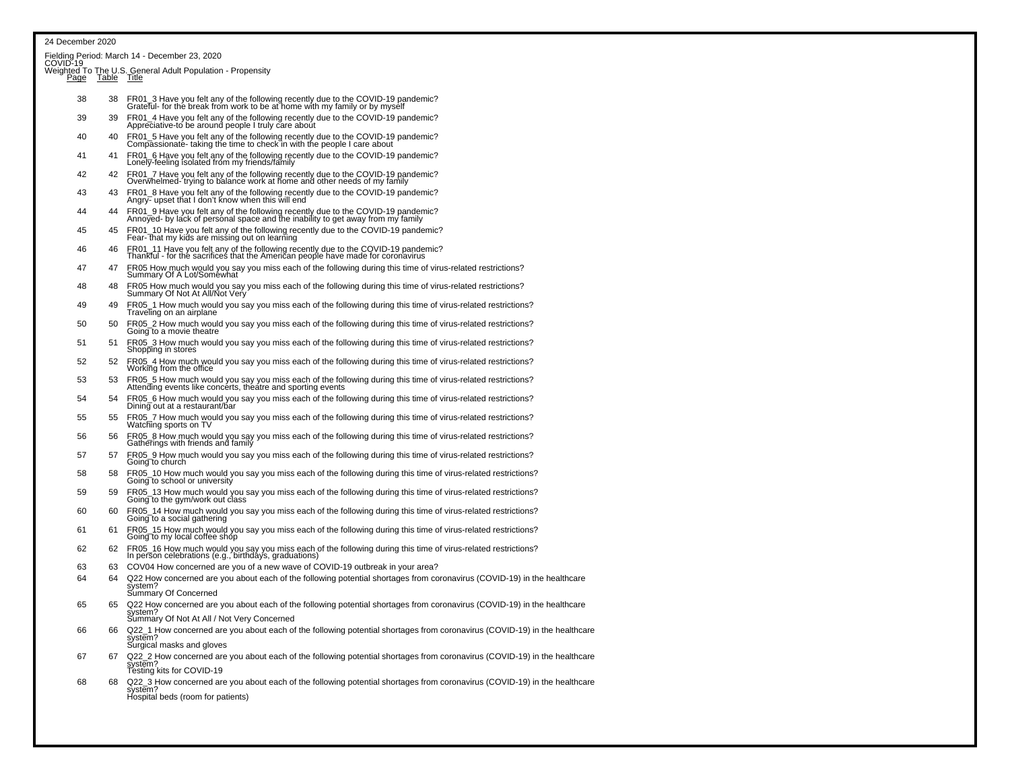### 24 December 2020

|    |     | Fielding Period: March 14 - December 23, 2020<br>COVID-19                                                                                                                        |
|----|-----|----------------------------------------------------------------------------------------------------------------------------------------------------------------------------------|
|    |     | Weighted To The U.S. General Adult Population - Propensity<br>Page Table Title                                                                                                   |
| 38 | 38  | FR01_3 Have you felt any of the following recently due to the COVID-19 pandemic?<br>Grateful- for the break from work to be at home with my family or by myself                  |
| 39 | 39  | FR01_4 Have you felt any of the following recently due to the COVID-19 pandemic?<br>Appreciative-to be around people I truly care about                                          |
| 40 | 40  | FR01_5 Have you felt any of the following recently due to the COVID-19 pandemic?<br>Compassionate-taking the time to check in with the people I care about                       |
| 41 | 41  | FR01_6 Have you felt any of the following recently due to the COVID-19 pandemic?<br>Lonely-feeling isolated from my friends/family                                               |
| 42 | 42  | FR01_7 Have you felt any of the following recently due to the COVID-19 pandemic?<br>Overwhelmed-'trying to balance work at home and other needs of my family                     |
| 43 | 43  | FR01_8 Have you felt any of the following recently due to the COVID-19 pandemic?<br>Angry- upset that I don't know when this will end                                            |
| 44 | 44  | FR01_9 Have you felt any of the following recently due to the COVID-19 pandemic?<br>Annoyed- by lack of personal space and the inability to get away from my family              |
| 45 | 45  | FR01_10 Have you felt any of the following recently due to the COVID-19 pandemic?<br>Fear- that my kids are missing out on learning                                              |
| 46 | 46  | FR01_11 Have you felt any of the following recently due to the COVID-19 pandemic?<br>Thankful - for the sacrifices that the American people have made for coronavirus            |
| 47 | 47  | FR05 How much would you say you miss each of the following during this time of virus-related restrictions?<br>Summary Of A Lot/Somewhat                                          |
| 48 | 48  | FR05 How much would you say you miss each of the following during this time of virus-related restrictions?<br>Summary Of Not At All/Not Very                                     |
| 49 | 49  | FR05_1 How much would you say you miss each of the following during this time of virus-related restrictions?<br>Traveling on an airplane                                         |
| 50 | 50  | FR05_2 How much would you say you miss each of the following during this time of virus-related restrictions?<br>Going to a movie theatre                                         |
| 51 | 51  | FR05_3 How much would you say you miss each of the following during this time of virus-related restrictions?<br>Shopping in stores                                               |
| 52 | 52  | FR05_4 How much would you say you miss each of the following during this time of virus-related restrictions?<br>Working from the office                                          |
| 53 | 53  | FR05_5 How much would you say you miss each of the following during this time of virus-related restrictions?<br>Attending events like concerts, theatre and sporting events      |
| 54 | .54 | FR05_6 How much would you say you miss each of the following during this time of virus-related restrictions?<br>Dining out at a restaurant/bar                                   |
| 55 | 55  | FR05_7 How much would you say you miss each of the following during this time of virus-related restrictions?<br>Watching sports on TV                                            |
| 56 | 56  | FR05_8 How much would you say you miss each of the following during this time of virus-related restrictions?<br>Gatherings with friends and family                               |
| 57 | 57  | FR05_9 How much would you say you miss each of the following during this time of virus-related restrictions?<br>Going to church                                                  |
| 58 | 58  | FR05_10 How much would you say you miss each of the following during this time of virus-related restrictions?<br>Going to school or university                                   |
| 59 | 59  | FR05_13 How much would you say you miss each of the following during this time of virus-related restrictions?<br>Going to the gym/work out class                                 |
| 60 | 60  | FR05_14 How much would you say you miss each of the following during this time of virus-related restrictions?<br>Going to a social gathering                                     |
| 61 | 61  | FR05_15 How much would you say you miss each of the following during this time of virus-related restrictions?<br>Going to my local coffee shop                                   |
| 62 | 62  | FR05_16 How much would you say you miss each of the following during this time of virus-related restrictions?<br>In person celebrations (e.g., birthdays, graduations)           |
| 63 | 63  | COV04 How concerned are you of a new wave of COVID-19 outbreak in your area?                                                                                                     |
| 64 | 64  | Q22 How concerned are you about each of the following potential shortages from coronavirus (COVID-19) in the healthcare<br>system?<br>Summary Of Concerned                       |
| 65 | 65  | Q22 How concerned are you about each of the following potential shortages from coronavirus (COVID-19) in the healthcare<br>svstem?<br>Summary Of Not At All / Not Very Concerned |
| 66 | 66  | Q22_1 How concerned are you about each of the following potential shortages from coronavirus (COVID-19) in the healthcare<br>system?                                             |
| 67 | 67  | Surgical masks and gloves<br>Q22_2 How concerned are you about each of the following potential shortages from coronavirus (COVID-19) in the healthcare<br>system?                |
|    |     | Testing kits for COVID-19                                                                                                                                                        |
| 68 | 68  | Q22_3 How concerned are you about each of the following potential shortages from coronavirus (COVID-19) in the healthcare<br>system?<br>Hospital beds (room for patients)        |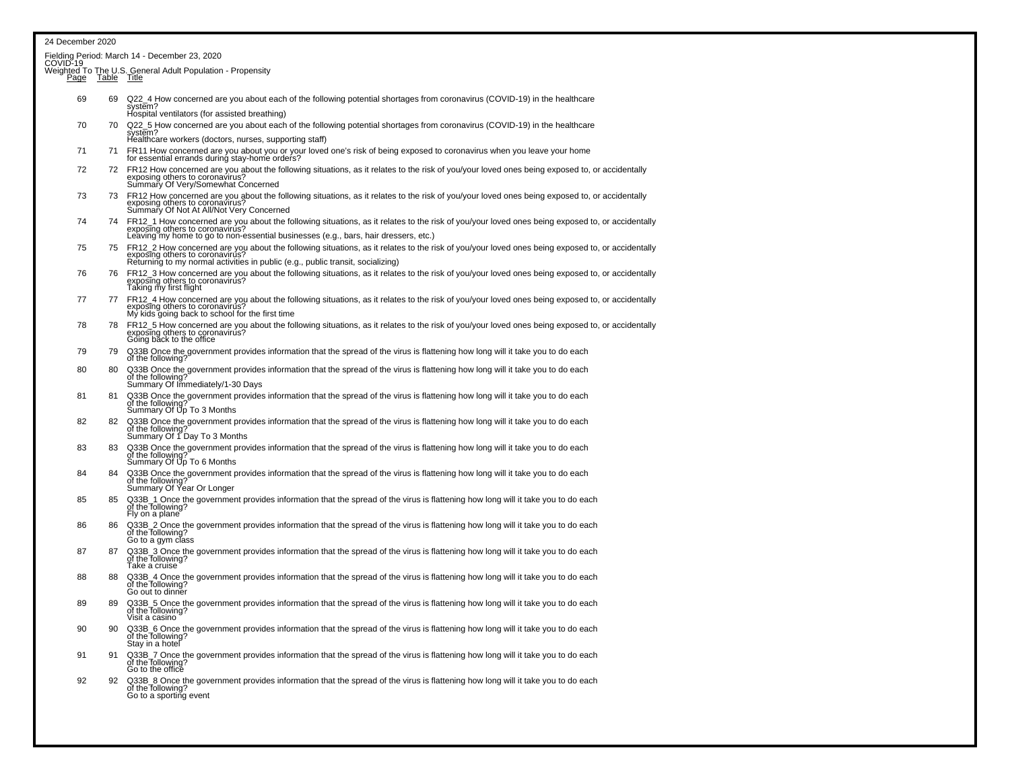| 24 December 2020 |             |                                                                                                                                                                                                                                                                           |
|------------------|-------------|---------------------------------------------------------------------------------------------------------------------------------------------------------------------------------------------------------------------------------------------------------------------------|
|                  |             | Fielding Period: March 14 - December 23, 2020<br>COVID-19___                                                                                                                                                                                                              |
| Page             | Table Title | Weighted To The U.S. General Adult Population - Propensity                                                                                                                                                                                                                |
| 69               | 69          | Q22_4 How concerned are you about each of the following potential shortages from coronavirus (COVID-19) in the healthcare<br>system?<br>Hospital ventilators (for assisted breathing)                                                                                     |
| 70               | 70          | Q22_5 How concerned are you about each of the following potential shortages from coronavirus (COVID-19) in the healthcare<br>system?<br>Healthcare workers (doctors, nurses, supporting staff)                                                                            |
| 71               | 71          | FR11 How concerned are you about you or your loved one's risk of being exposed to coronavirus when you leave your home<br>for essential errands during stay-home orders?                                                                                                  |
| 72               | 72          | FR12 How concerned are you about the following situations, as it relates to the risk of you/your loved ones being exposed to, or accidentally<br>exposing others to coronavirus?<br>Summary Of Very/Somewhat Concerned                                                    |
| 73               | 73          | FR12 How concerned are you about the following situations, as it relates to the risk of you/your loved ones being exposed to, or accidentally<br>exposing others to coronavirus?<br>Summary Of Not At All/Not Very Concerned                                              |
| 74               | 74          | FR12_1 How concerned are you about the following situations, as it relates to the risk of you/your loved ones being exposed to, or accidentally<br>exposing others to coronavirus?<br>Leaving my home to go to non-essential businesses (e.g., bars, hair dressers, etc.) |
| 75               |             | 75 FR12_2 How concerned are you about the following situations, as it relates to the risk of you/your loved ones being exposed to, or accidentally exposing others to coronavirus?<br>Returning to my normal activities in public (e.g., public transit, socializing)     |
| 76               |             | 76 FR12_3 How concerned are you about the following situations, as it relates to the risk of you/your loved ones being exposed to, or accidentally<br>exposing others to coronavirus?<br>Taking my first flight                                                           |
| 77               | 77          | FR12_4 How concerned are you about the following situations, as it relates to the risk of you/your loved ones being exposed to, or accidentally<br>exposing others to coronavirus?<br>My kids going back to school for the first tim                                      |
| 78               | 78          | FR12_5 How concerned are you about the following situations, as it relates to the risk of you/your loved ones being exposed to, or accidentally<br>exposing others to coronavirus?<br>Going back to the office                                                            |
| 79               | 79          | Q33B Once the government provides information that the spread of the virus is flattening how long will it take you to do each<br>of the following?                                                                                                                        |
| 80               | 80          | Q33B Once the government provides information that the spread of the virus is flattening how long will it take you to do each of the following?<br>Summary Of Immediately/1-30 Days                                                                                       |
| 81               | 81          | Q33B Once the government provides information that the spread of the virus is flattening how long will it take you to do each<br>of the following?<br>Summary Of Up To 3 Months                                                                                           |
| 82               | 82          | Q33B Once the government provides information that the spread of the virus is flattening how long will it take you to do each of the following?<br>Summary Of 1 Day To 3 Months                                                                                           |
| 83               | 83          | Q33B Once the government provides information that the spread of the virus is flattening how long will it take you to do each<br>of the following?<br>Summary Of Up To 6 Months                                                                                           |
| 84               | 84          | Q33B Once the government provides information that the spread of the virus is flattening how long will it take you to do each<br>of the following?<br>Summary Of Year Or Longer                                                                                           |
| 85               | 85          | Q33B_1 Once the government provides information that the spread of the virus is flattening how long will it take you to do each<br>of the following?<br>Fly on a plane                                                                                                    |
| 86               | 86          | Q33B_2 Once the government provides information that the spread of the virus is flattening how long will it take you to do each<br>of the following?<br>Go to a gym class                                                                                                 |
| 87               | 87          | Q33B_3 Once the government provides information that the spread of the virus is flattening how long will it take you to do each of the following?<br>Take a cruise                                                                                                        |
| 88               | 88          | Q33B_4 Once the government provides information that the spread of the virus is flattening how long will it take you to do each<br>of the following?<br>Go out to dinner                                                                                                  |
| 89               | 89          | Q33B_5 Once the government provides information that the spread of the virus is flattening how long will it take you to do each<br>of the following?<br>Visit a casino                                                                                                    |
| 90               | 90          | Q33B_6 Once the government provides information that the spread of the virus is flattening how long will it take you to do each<br>of the following?<br>Stay in a hotel                                                                                                   |
| 91               | 91          | Q33B_7 Once the government provides information that the spread of the virus is flattening how long will it take you to do each<br>of the following?<br>Go to the office                                                                                                  |
| 92               | 92          | Q33B_8 Once the government provides information that the spread of the virus is flattening how long will it take you to do each<br>of the following?<br>Go to a sporting event                                                                                            |